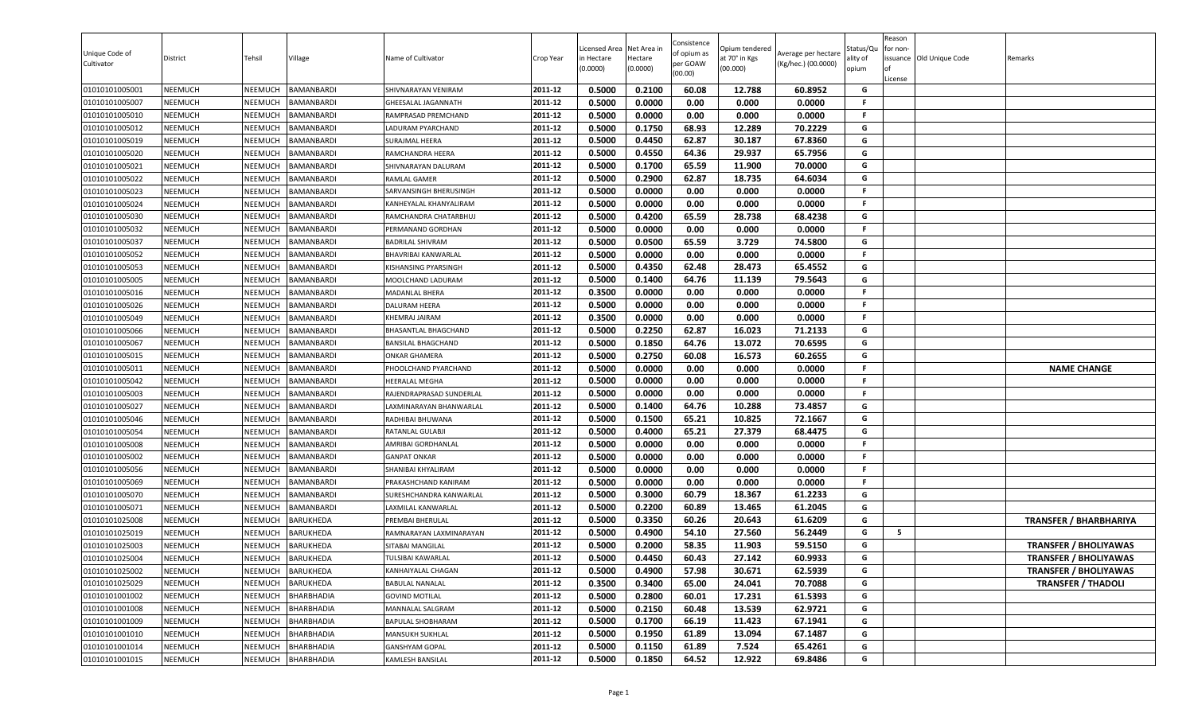| Unique Code of<br>Cultivator     | District                         | Tehsil             | Village                               | Name of Cultivator                           | Crop Year          | Licensed Area<br>in Hectare<br>(0.0000) | Net Area in<br>Hectare<br>(0.0000) | Consistence<br>of opium as<br>per GOAW<br>(00.00) | Opium tendered<br>at 70° in Kgs<br>(00.000) | Average per hectare<br>(Kg/hec.) (00.0000) | Status/Qu<br>ality of<br>opium | Reason<br>for non-<br>lof<br>License | issuance Old Unique Code | Remarks                       |
|----------------------------------|----------------------------------|--------------------|---------------------------------------|----------------------------------------------|--------------------|-----------------------------------------|------------------------------------|---------------------------------------------------|---------------------------------------------|--------------------------------------------|--------------------------------|--------------------------------------|--------------------------|-------------------------------|
| 01010101005001                   | <b>NEEMUCH</b>                   | NEEMUCH            | <b>BAMANBARDI</b>                     | SHIVNARAYAN VENIRAM                          | 2011-12            | 0.5000                                  | 0.2100                             | 60.08                                             | 12.788                                      | 60.8952                                    | G                              |                                      |                          |                               |
| 01010101005007                   | <b>NEEMUCH</b>                   | NEEMUCH            | <b>BAMANBARDI</b>                     | GHEESALAL JAGANNATH                          | 2011-12            | 0.5000                                  | 0.0000                             | 0.00                                              | 0.000                                       | 0.0000                                     | .F                             |                                      |                          |                               |
| 01010101005010                   | <b>NEEMUCH</b>                   | NEEMUCH            | <b>BAMANBARDI</b>                     | RAMPRASAD PREMCHAND                          | 2011-12            | 0.5000                                  | 0.0000                             | 0.00                                              | 0.000                                       | 0.0000                                     | F                              |                                      |                          |                               |
| 01010101005012                   | <b>NEEMUCH</b>                   | NEEMUCH            | <b>BAMANBARDI</b>                     | LADURAM PYARCHAND                            | 2011-12            | 0.5000                                  | 0.1750                             | 68.93                                             | 12.289                                      | 70.2229                                    | G                              |                                      |                          |                               |
| 01010101005019                   | <b>NEEMUCH</b>                   | NEEMUCH            | <b>BAMANBARDI</b>                     | SURAJMAL HEERA                               | 2011-12            | 0.5000                                  | 0.4450                             | 62.87                                             | 30.187                                      | 67.8360                                    | G                              |                                      |                          |                               |
| 01010101005020                   | <b>NEEMUCH</b>                   | NEEMUCH            | <b>BAMANBARDI</b>                     | RAMCHANDRA HEERA                             | 2011-12            | 0.5000                                  | 0.4550                             | 64.36                                             | 29.937                                      | 65.7956                                    | G                              |                                      |                          |                               |
| 01010101005021                   | <b>NEEMUCH</b>                   | NEEMUCH            | <b>BAMANBARDI</b>                     | SHIVNARAYAN DALURAM                          | 2011-12            | 0.5000                                  | 0.1700                             | 65.59                                             | 11.900                                      | 70.0000                                    | G                              |                                      |                          |                               |
| 01010101005022                   | <b>NEEMUCH</b>                   | NEEMUCH            | <b>BAMANBARDI</b>                     | RAMLAL GAMER                                 | 2011-12            | 0.5000                                  | 0.2900                             | 62.87                                             | 18.735                                      | 64.6034                                    | G                              |                                      |                          |                               |
| 01010101005023                   | <b>NEEMUCH</b>                   | NEEMUCH            | <b>BAMANBARDI</b>                     | SARVANSINGH BHERUSINGH                       | 2011-12            | 0.5000                                  | 0.0000                             | 0.00                                              | 0.000                                       | 0.0000                                     | F.                             |                                      |                          |                               |
| 01010101005024                   | <b>NEEMUCH</b>                   | NEEMUCH            | <b>BAMANBARDI</b>                     | KANHEYALAL KHANYALIRAM                       | 2011-12            | 0.5000                                  | 0.0000                             | 0.00                                              | 0.000                                       | 0.0000                                     | .F                             |                                      |                          |                               |
| 01010101005030                   | NEEMUCH                          | NEEMUCH            | <b>BAMANBARDI</b>                     | RAMCHANDRA CHATARBHUJ                        | 2011-12            | 0.5000                                  | 0.4200                             | 65.59                                             | 28.738                                      | 68.4238                                    | G                              |                                      |                          |                               |
| 01010101005032                   | <b>NEEMUCH</b>                   | NEEMUCH            | <b>BAMANBARDI</b>                     | PERMANAND GORDHAN                            | 2011-12            | 0.5000                                  | 0.0000                             | 0.00                                              | 0.000                                       | 0.0000                                     | F                              |                                      |                          |                               |
| 01010101005037                   | <b>NEEMUCH</b>                   | NEEMUCH            | <b>BAMANBARDI</b>                     | <b>BADRILAL SHIVRAM</b>                      | 2011-12            | 0.5000                                  | 0.0500                             | 65.59                                             | 3.729                                       | 74.5800                                    | G                              |                                      |                          |                               |
| 01010101005052                   | <b>NEEMUCH</b>                   | NEEMUCH            | <b>BAMANBARDI</b>                     | BHAVRIBAI KANWARLAL                          | 2011-12            | 0.5000                                  | 0.0000                             | 0.00                                              | 0.000                                       | 0.0000                                     | F                              |                                      |                          |                               |
| 01010101005053                   | <b>NEEMUCH</b>                   | NEEMUCH            | <b>BAMANBARDI</b>                     | KISHANSING PYARSINGH                         | 2011-12            | 0.5000                                  | 0.4350                             | 62.48                                             | 28.473                                      | 65.4552                                    | G                              |                                      |                          |                               |
| 01010101005005                   | <b>NEEMUCH</b>                   | NEEMUCH            | <b>BAMANBARDI</b>                     | MOOLCHAND LADURAM                            | 2011-12            | 0.5000                                  | 0.1400                             | 64.76                                             | 11.139                                      | 79.5643                                    | G                              |                                      |                          |                               |
| 01010101005016                   | <b>NEEMUCH</b>                   | NEEMUCH            | <b>BAMANBARDI</b>                     | <b>MADANLAL BHERA</b>                        | 2011-12            | 0.3500                                  | 0.0000                             | 0.00                                              | 0.000                                       | 0.0000                                     | F.                             |                                      |                          |                               |
| 01010101005026                   | <b>NEEMUCH</b>                   | NEEMUCH            | <b>BAMANBARDI</b>                     | DALURAM HEERA                                | 2011-12            | 0.5000                                  | 0.0000                             | 0.00                                              | 0.000                                       | 0.0000                                     | F.                             |                                      |                          |                               |
| 01010101005049                   | <b>NEEMUCH</b>                   | NEEMUCH            | <b>BAMANBARDI</b>                     | KHEMRAJ JAIRAM                               | 2011-12            | 0.3500                                  | 0.0000                             | 0.00                                              | 0.000                                       | 0.0000                                     | F                              |                                      |                          |                               |
| 01010101005066                   | <b>NEEMUCH</b>                   | NEEMUCH            | <b>BAMANBARDI</b>                     | BHASANTLAL BHAGCHAND                         | 2011-12            | 0.5000                                  | 0.2250                             | 62.87                                             | 16.023                                      | 71.2133                                    | G                              |                                      |                          |                               |
| 01010101005067                   | <b>NEEMUCH</b>                   | NEEMUCH            | <b>BAMANBARDI</b>                     | <b>BANSILAL BHAGCHAND</b>                    | 2011-12            | 0.5000                                  | 0.1850                             | 64.76                                             | 13.072                                      | 70.6595                                    | G                              |                                      |                          |                               |
| 01010101005015                   | <b>NEEMUCH</b>                   | <b>NEEMUCH</b>     | <b>BAMANBARDI</b>                     | <b>ONKAR GHAMERA</b>                         | 2011-12            | 0.5000                                  | 0.2750                             | 60.08                                             | 16.573                                      | 60.2655                                    | G                              |                                      |                          |                               |
| 01010101005011                   | <b>NEEMUCH</b>                   | NEEMUCH            | <b>BAMANBARDI</b>                     | PHOOLCHAND PYARCHAND                         | 2011-12            | 0.5000                                  | 0.0000                             | 0.00                                              | 0.000                                       | 0.0000                                     | .F                             |                                      |                          | <b>NAME CHANGE</b>            |
| 01010101005042                   | <b>NEEMUCH</b>                   | NEEMUCH            | <b>BAMANBARDI</b>                     | HEERALAL MEGHA                               | 2011-12            | 0.5000                                  | 0.0000                             | 0.00                                              | 0.000                                       | 0.0000                                     | F.                             |                                      |                          |                               |
| 01010101005003                   | <b>NEEMUCH</b>                   | NEEMUCH            | <b>BAMANBARDI</b>                     | RAJENDRAPRASAD SUNDERLAL                     | 2011-12            | 0.5000                                  | 0.0000                             | 0.00                                              | 0.000                                       | 0.0000                                     | F.                             |                                      |                          |                               |
| 01010101005027                   | <b>NEEMUCH</b>                   | NEEMUCH            | <b>BAMANBARDI</b>                     | LAXMINARAYAN BHANWARLAL                      | 2011-12            | 0.5000                                  | 0.1400                             | 64.76                                             | 10.288                                      | 73.4857                                    | G                              |                                      |                          |                               |
| 01010101005046                   | <b>NEEMUCH</b>                   | NEEMUCH            | BAMANBARDI                            | RADHIBAI BHUWANA                             | 2011-12            | 0.5000                                  | 0.1500                             | 65.21                                             | 10.825                                      | 72.1667                                    | G                              |                                      |                          |                               |
| 01010101005054                   | <b>NEEMUCH</b>                   | NEEMUCH            | <b>BAMANBARDI</b>                     | RATANLAL GULABJI                             | 2011-12            | 0.5000                                  | 0.4000                             | 65.21                                             | 27.379                                      | 68.4475                                    | G                              |                                      |                          |                               |
| 01010101005008                   | <b>NEEMUCH</b>                   | NEEMUCH            | <b>BAMANBARDI</b>                     | AMRIBAI GORDHANLAL                           | 2011-12            | 0.5000                                  | 0.0000                             | 0.00                                              | 0.000                                       | 0.0000                                     | F.                             |                                      |                          |                               |
| 01010101005002                   | <b>NEEMUCH</b>                   | NEEMUCH            | <b>BAMANBARDI</b>                     | <b>GANPAT ONKAR</b>                          | 2011-12            | 0.5000                                  | 0.0000                             | 0.00                                              | 0.000                                       | 0.0000                                     | F.                             |                                      |                          |                               |
| 01010101005056                   | <b>NEEMUCH</b>                   | NEEMUCH            | <b>BAMANBARDI</b>                     | SHANIBAI KHYALIRAM                           | 2011-12            | 0.5000                                  | 0.0000                             | 0.00                                              | 0.000                                       | 0.0000                                     | F.                             |                                      |                          |                               |
| 01010101005069                   | <b>NEEMUCH</b>                   | NEEMUCH            | <b>BAMANBARDI</b>                     | PRAKASHCHAND KANIRAM                         | 2011-12            | 0.5000                                  | 0.0000                             | 0.00                                              | 0.000                                       | 0.0000                                     | F                              |                                      |                          |                               |
| 01010101005070                   | <b>NEEMUCH</b>                   | NEEMUCH            | <b>BAMANBARDI</b>                     | SURESHCHANDRA KANWARLAL                      | 2011-12            | 0.5000                                  | 0.3000                             | 60.79                                             | 18.367                                      | 61.2233                                    | G                              |                                      |                          |                               |
| 01010101005071                   | <b>NEEMUCH</b>                   | NEEMUCH            | <b>BAMANBARDI</b>                     | LAXMILAL KANWARLAL                           | 2011-12            | 0.5000                                  | 0.2200                             | 60.89                                             | 13.465                                      | 61.2045                                    | G                              |                                      |                          |                               |
| 01010101025008                   | <b>NEEMUCH</b>                   | NEEMUCH            | BARUKHEDA                             | PREMBAI BHERULAL                             | 2011-12<br>2011-12 | 0.5000                                  | 0.3350<br>0.4900                   | 60.26                                             | 20.643                                      | 61.6209<br>56.2449                         | G<br>G                         | 5                                    |                          | <b>TRANSFER / BHARBHARIYA</b> |
| 01010101025019                   | <b>NEEMUCH</b>                   | NEEMUCH            | <b>BARUKHEDA</b>                      | RAMNARAYAN LAXMINARAYAN                      | 2011-12            | 0.5000                                  |                                    | 54.10                                             | 27.560                                      |                                            | G                              |                                      |                          |                               |
| 01010101025003                   | <b>NEEMUCH</b>                   | NEEMUCH            | <b>BARUKHEDA</b>                      | SITABAI MANGILAL<br>TULSIBAI KAWARLAL        | 2011-12            | 0.5000<br>0.5000                        | 0.2000<br>0.4450                   | 58.35<br>60.43                                    | 11.903<br>27.142                            | 59.5150<br>60.9933                         | G                              |                                      |                          | <b>TRANSFER / BHOLIYAWAS</b>  |
| 01010101025004                   | <b>NEEMUCH</b><br><b>NEEMUCH</b> | NEEMUCH            | <b>BARUKHEDA</b><br><b>BARUKHEDA</b>  |                                              | 2011-12            | 0.5000                                  |                                    |                                                   |                                             | 62.5939                                    | G                              |                                      |                          | <b>TRANSFER / BHOLIYAWAS</b>  |
| 01010101025002                   |                                  | NEEMUCH            |                                       | KANHAIYALAL CHAGAN<br><b>BABULAL NANALAL</b> | 2011-12            | 0.3500                                  | 0.4900<br>0.3400                   | 57.98<br>65.00                                    | 30.671                                      | 70.7088                                    | G                              |                                      |                          | <b>TRANSFER / BHOLIYAWAS</b>  |
| 01010101025029<br>01010101001002 | <b>NEEMUCH</b><br><b>NEEMUCH</b> | NEEMUCH            | <b>BARUKHEDA</b><br><b>BHARBHADIA</b> |                                              | 2011-12            | 0.5000                                  | 0.2800                             | 60.01                                             | 24.041<br>17.231                            | 61.5393                                    | G                              |                                      |                          | <b>TRANSFER / THADOLI</b>     |
|                                  |                                  | <b>NEEMUCH</b>     |                                       | <b>GOVIND MOTILAL</b>                        |                    |                                         | 0.2150                             |                                                   |                                             |                                            | G                              |                                      |                          |                               |
| 01010101001008                   | <b>NEEMUCH</b>                   | NEEMUCH<br>NEEMUCH | BHARBHADIA<br>BHARBHADIA              | MANNALAL SALGRAM                             | 2011-12<br>2011-12 | 0.5000                                  |                                    | 60.48<br>66.19                                    | 13.539                                      | 62.9721                                    | G                              |                                      |                          |                               |
| 01010101001009<br>01010101001010 | <b>NEEMUCH</b><br><b>NEEMUCH</b> | NEEMUCH            | <b>BHARBHADIA</b>                     | BAPULAL SHOBHARAM<br>MANSUKH SUKHLAL         | 2011-12            | 0.5000<br>0.5000                        | 0.1700<br>0.1950                   | 61.89                                             | 11.423<br>13.094                            | 67.1941<br>67.1487                         | G                              |                                      |                          |                               |
| 01010101001014                   | <b>NEEMUCH</b>                   | NEEMUCH            | BHARBHADIA                            | <b>GANSHYAM GOPAL</b>                        | 2011-12            | 0.5000                                  | 0.1150                             | 61.89                                             | 7.524                                       | 65.4261                                    | G                              |                                      |                          |                               |
| 01010101001015                   | <b>NEEMUCH</b>                   | NEEMUCH            | <b>BHARBHADIA</b>                     | KAMLESH BANSILAL                             | 2011-12            | 0.5000                                  | 0.1850                             | 64.52                                             | 12.922                                      | 69.8486                                    | G                              |                                      |                          |                               |
|                                  |                                  |                    |                                       |                                              |                    |                                         |                                    |                                                   |                                             |                                            |                                |                                      |                          |                               |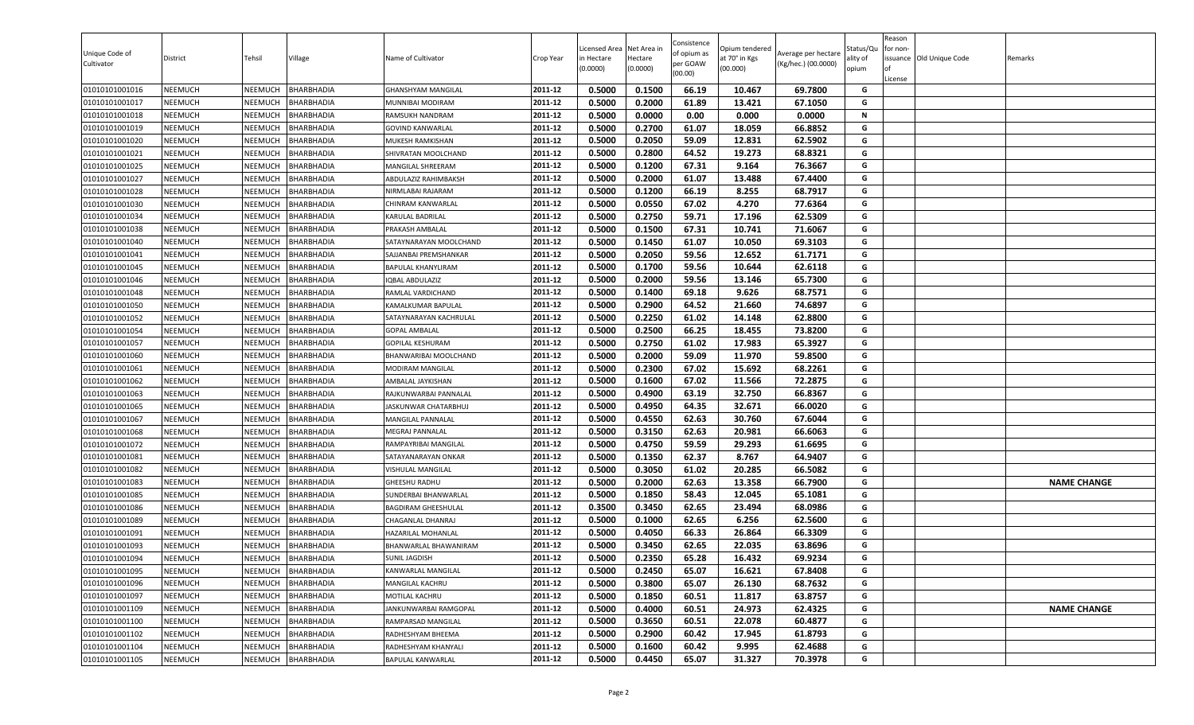| Unique Code of<br>Cultivator | District       | Tehsil         | Village           | Name of Cultivator        | Crop Year          | Licensed Area<br>in Hectare<br>(0.0000) | Net Area in<br>Hectare<br>(0.0000) | Consistence<br>of opium as<br>per GOAW<br>(00.00) | Opium tendered<br>at 70° in Kgs<br>(00.000) | Average per hectare<br>(Kg/hec.) (00.0000) | status/Qu<br>ılity of<br>opium | Reason<br>for non-<br>of<br>License | issuance Old Unique Code | Remarks            |
|------------------------------|----------------|----------------|-------------------|---------------------------|--------------------|-----------------------------------------|------------------------------------|---------------------------------------------------|---------------------------------------------|--------------------------------------------|--------------------------------|-------------------------------------|--------------------------|--------------------|
| 01010101001016               | <b>NEEMUCH</b> | NEEMUCH        | BHARBHADIA        | <b>GHANSHYAM MANGILAL</b> | 2011-12            | 0.5000                                  | 0.1500                             | 66.19                                             | 10.467                                      | 69.7800                                    | G                              |                                     |                          |                    |
| 01010101001017               | NEEMUCH        | NEEMUCH        | BHARBHADIA        | MUNNIBAI MODIRAM          | 2011-12            | 0.5000                                  | 0.2000                             | 61.89                                             | 13.421                                      | 67.1050                                    | G                              |                                     |                          |                    |
| 01010101001018               | NEEMUCH        | <b>NEEMUCH</b> | BHARBHADIA        | RAMSUKH NANDRAM           | 2011-12            | 0.5000                                  | 0.0000                             | 0.00                                              | 0.000                                       | 0.0000                                     | N                              |                                     |                          |                    |
| 01010101001019               | NEEMUCH        | NEEMUCH        | BHARBHADIA        | <b>GOVIND KANWARLAL</b>   | 2011-12            | 0.5000                                  | 0.2700                             | 61.07                                             | 18.059                                      | 66.8852                                    | G                              |                                     |                          |                    |
| 01010101001020               | NEEMUCH        | NEEMUCH        | BHARBHADIA        | MUKESH RAMKISHAN          | 2011-12            | 0.5000                                  | 0.2050                             | 59.09                                             | 12.831                                      | 62.5902                                    | G                              |                                     |                          |                    |
| 01010101001021               | <b>NEEMUCH</b> | NEEMUCH        | BHARBHADIA        | SHIVRATAN MOOLCHAND       | 2011-12            | 0.5000                                  | 0.2800                             | 64.52                                             | 19.273                                      | 68.8321                                    | G                              |                                     |                          |                    |
| 01010101001025               | <b>NEEMUCH</b> | NEEMUCH        | BHARBHADIA        | MANGILAL SHREERAM         | 2011-12            | 0.5000                                  | 0.1200                             | 67.31                                             | 9.164                                       | 76.3667                                    | G                              |                                     |                          |                    |
| 01010101001027               | <b>NEEMUCH</b> | NEEMUCH        | BHARBHADIA        | ABDULAZIZ RAHIMBAKSH      | 2011-12            | 0.5000                                  | 0.2000                             | 61.07                                             | 13.488                                      | 67.4400                                    | G                              |                                     |                          |                    |
| 01010101001028               | <b>NEEMUCH</b> | NEEMUCH        | BHARBHADIA        | NIRMLABAI RAJARAM         | 2011-12            | 0.5000                                  | 0.1200                             | 66.19                                             | 8.255                                       | 68.7917                                    | G                              |                                     |                          |                    |
| 01010101001030               | NEEMUCH        | <b>NEEMUCH</b> | BHARBHADIA        | CHINRAM KANWARLAL         | 2011-12            | 0.5000                                  | 0.0550                             | 67.02                                             | 4.270                                       | 77.6364                                    | G                              |                                     |                          |                    |
| 01010101001034               | NEEMUCH        | NEEMUCH        | BHARBHADIA        | KARULAL BADRILAL          | 2011-12            | 0.5000                                  | 0.2750                             | 59.71                                             | 17.196                                      | 62.5309                                    | G                              |                                     |                          |                    |
| 01010101001038               | NEEMUCH        | <b>NEEMUCH</b> | <b>BHARBHADIA</b> | PRAKASH AMBALAL           | 2011-12            | 0.5000                                  | 0.1500                             | 67.31                                             | 10.741                                      | 71.6067                                    | G                              |                                     |                          |                    |
| 01010101001040               | <b>NEEMUCH</b> | NEEMUCH        | BHARBHADIA        | SATAYNARAYAN MOOLCHAND    | 2011-12            | 0.5000                                  | 0.1450                             | 61.07                                             | 10.050                                      | 69.3103                                    | G                              |                                     |                          |                    |
| 01010101001041               | NEEMUCH        | NEEMUCH        | BHARBHADIA        | SAJJANBAI PREMSHANKAR     | 2011-12            | 0.5000                                  | 0.2050                             | 59.56                                             | 12.652                                      | 61.7171                                    | G                              |                                     |                          |                    |
| 01010101001045               | <b>NEEMUCH</b> | NEEMUCH        | BHARBHADIA        | BAPULAL KHANYLIRAM        | 2011-12            | 0.5000                                  | 0.1700                             | 59.56                                             | 10.644                                      | 62.6118                                    | G                              |                                     |                          |                    |
| 01010101001046               | <b>NEEMUCH</b> | NEEMUCH        | BHARBHADIA        | <b>IQBAL ABDULAZIZ</b>    | 2011-12            | 0.5000                                  | 0.2000                             | 59.56                                             | 13.146                                      | 65.7300                                    | G                              |                                     |                          |                    |
| 01010101001048               | <b>NEEMUCH</b> | NEEMUCH        | <b>BHARBHADIA</b> | RAMLAL VARDICHAND         | 2011-12            | 0.5000                                  | 0.1400                             | 69.18                                             | 9.626                                       | 68.7571                                    | G                              |                                     |                          |                    |
| 01010101001050               | NEEMUCH        | NEEMUCH        | <b>BHARBHADIA</b> | KAMALKUMAR BAPULAL        | 2011-12            | 0.5000                                  | 0.2900                             | 64.52                                             | 21.660                                      | 74.6897                                    | G                              |                                     |                          |                    |
| 01010101001052               | <b>NEEMUCH</b> | NEEMUCH        | BHARBHADIA        | SATAYNARAYAN KACHRULAL    | 2011-12            | 0.5000                                  | 0.2250                             | 61.02                                             | 14.148                                      | 62.8800                                    | G                              |                                     |                          |                    |
| 01010101001054               | NEEMUCH        | NEEMUCH        | BHARBHADIA        | <b>GOPAL AMBALAL</b>      | 2011-12            | 0.5000                                  | 0.2500                             | 66.25                                             | 18.455                                      | 73.8200                                    | G                              |                                     |                          |                    |
| 01010101001057               | NEEMUCH        | NEEMUCH        | BHARBHADIA        | <b>GOPILAL KESHURAM</b>   | 2011-12            | 0.5000                                  | 0.2750                             | 61.02                                             | 17.983                                      | 65.3927                                    | G                              |                                     |                          |                    |
| 01010101001060               | <b>NEEMUCH</b> | NEEMUCH        | BHARBHADIA        | BHANWARIBAI MOOLCHAND     | 2011-12            | 0.5000                                  | 0.2000                             | 59.09                                             | 11.970                                      | 59.8500                                    | G                              |                                     |                          |                    |
| 01010101001061               | <b>NEEMUCH</b> | NEEMUCH        | BHARBHADIA        | MODIRAM MANGILAL          | 2011-12            | 0.5000                                  | 0.2300                             | 67.02                                             | 15.692                                      | 68.2261                                    | G                              |                                     |                          |                    |
| 01010101001062               | <b>NEEMUCH</b> | NEEMUCH        | BHARBHADIA        | AMBALAL JAYKISHAN         | 2011-12            | 0.5000                                  | 0.1600                             | 67.02                                             | 11.566                                      | 72.2875                                    | G                              |                                     |                          |                    |
| 01010101001063               | <b>NEEMUCH</b> | NEEMUCH        | BHARBHADIA        | RAJKUNWARBAI PANNALAL     | 2011-12            | 0.5000                                  | 0.4900                             | 63.19                                             | 32.750                                      | 66.8367                                    | G                              |                                     |                          |                    |
| 01010101001065               | <b>NEEMUCH</b> | NEEMUCH        | BHARBHADIA        | JASKUNWAR CHATARBHUJ      | 2011-12            | 0.5000                                  | 0.4950                             | 64.35                                             | 32.671                                      | 66.0020                                    | G                              |                                     |                          |                    |
| 01010101001067               | NEEMUCH        | NEEMUCH        | BHARBHADIA        | MANGILAL PANNALAL         | 2011-12            | 0.5000                                  | 0.4550                             | 62.63                                             | 30.760                                      | 67.6044                                    | G                              |                                     |                          |                    |
| 01010101001068               | NEEMUCH        | <b>NEEMUCH</b> | BHARBHADIA        | MEGRAJ PANNALAL           | 2011-12            | 0.5000                                  | 0.3150                             | 62.63                                             | 20.981                                      | 66.6063                                    | G                              |                                     |                          |                    |
| 01010101001072               | NEEMUCH        | NEEMUCH        | BHARBHADIA        | RAMPAYRIBAI MANGILAL      | 2011-12            | 0.5000                                  | 0.4750                             | 59.59                                             | 29.293                                      | 61.6695                                    | G                              |                                     |                          |                    |
| 01010101001081               | NEEMUCH        | NEEMUCH        | BHARBHADIA        | SATAYANARAYAN ONKAR       | 2011-12            | 0.5000                                  | 0.1350                             | 62.37                                             | 8.767                                       | 64.9407                                    | G                              |                                     |                          |                    |
| 01010101001082               | <b>NEEMUCH</b> | NEEMUCH        | BHARBHADIA        | VISHULAL MANGILAL         | 2011-12            | 0.5000                                  | 0.3050                             | 61.02                                             | 20.285                                      | 66.5082                                    | G                              |                                     |                          |                    |
| 01010101001083               | <b>NEEMUCH</b> | NEEMUCH        | BHARBHADIA        | <b>GHEESHU RADHU</b>      | 2011-12            | 0.5000                                  | 0.2000                             | 62.63                                             | 13.358                                      | 66.7900                                    | G                              |                                     |                          | <b>NAME CHANGE</b> |
| 01010101001085               | <b>NEEMUCH</b> | NEEMUCH        | BHARBHADIA        | SUNDERBAI BHANWARLAL      | 2011-12            | 0.5000                                  | 0.1850                             | 58.43                                             | 12.045                                      | 65.1081                                    | G                              |                                     |                          |                    |
| 01010101001086               | NEEMUCH        | NEEMUCH        | BHARBHADIA        | BAGDIRAM GHEESHULAL       | 2011-12            | 0.3500                                  | 0.3450                             | 62.65                                             | 23.494                                      | 68.0986                                    | G                              |                                     |                          |                    |
| 01010101001089               | <b>NEEMUCH</b> | NEEMUCH        | BHARBHADIA        | CHAGANLAL DHANRAJ         | 2011-12            | 0.5000                                  | 0.1000                             | 62.65                                             | 6.256                                       | 62.5600                                    | G                              |                                     |                          |                    |
| 01010101001091               | NEEMUCH        | NEEMUCH        | BHARBHADIA        | HAZARILAL MOHANLAL        | 2011-12            | 0.5000                                  | 0.4050                             | 66.33                                             | 26.864                                      | 66.3309                                    | G<br>G                         |                                     |                          |                    |
| 01010101001093               | NEEMUCH        | NEEMUCH        | BHARBHADIA        | BHANWARLAL BHAWANIRAM     | 2011-12            | 0.5000                                  | 0.3450                             | 62.65                                             | 22.035                                      | 63.8696                                    | G                              |                                     |                          |                    |
| 01010101001094               | NEEMUCH        | NEEMUCH        | <b>BHARBHADIA</b> | <b>SUNIL JAGDISH</b>      | 2011-12<br>2011-12 | 0.5000                                  | 0.2350                             | 65.28                                             | 16.432                                      | 69.9234                                    |                                |                                     |                          |                    |
| 01010101001095               | NEEMUCH        | NEEMUCH        | <b>BHARBHADIA</b> | KANWARLAL MANGILAL        |                    | 0.5000                                  | 0.2450                             | 65.07                                             | 16.621                                      | 67.8408                                    | G<br>G                         |                                     |                          |                    |
| 01010101001096               | NEEMUCH        | NEEMUCH        | BHARBHADIA        | MANGILAL KACHRU           | 2011-12            | 0.5000                                  | 0.3800                             | 65.07                                             | 26.130                                      | 68.7632<br>63.8757                         | G                              |                                     |                          |                    |
| 01010101001097               | NEEMUCH        | NEEMUCH        | BHARBHADIA        | MOTILAL KACHRU            | 2011-12            | 0.5000                                  | 0.1850                             | 60.51                                             | 11.817                                      |                                            |                                |                                     |                          |                    |
| 01010101001109               | <b>NEEMUCH</b> | NEEMUCH        | BHARBHADIA        | JANKUNWARBAI RAMGOPAL     | 2011-12            | 0.5000                                  | 0.4000                             | 60.51                                             | 24.973                                      | 62.4325                                    | G                              |                                     |                          | <b>NAME CHANGE</b> |
| 01010101001100               | <b>NEEMUCH</b> | NEEMUCH        | BHARBHADIA        | RAMPARSAD MANGILAL        | 2011-12            | 0.5000                                  | 0.3650                             | 60.51                                             | 22.078                                      | 60.4877                                    | G                              |                                     |                          |                    |
| 01010101001102               | NEEMUCH        | NEEMUCH        | BHARBHADIA        | RADHESHYAM BHEEMA         | 2011-12            | 0.5000                                  | 0.2900                             | 60.42                                             | 17.945                                      | 61.8793                                    | G                              |                                     |                          |                    |
| 01010101001104               | <b>NEEMUCH</b> | NEEMUCH        | BHARBHADIA        | RADHESHYAM KHANYALI       | 2011-12            | 0.5000                                  | 0.1600                             | 60.42                                             | 9.995                                       | 62.4688                                    | G                              |                                     |                          |                    |
| 01010101001105               | NEEMUCH        | NEEMUCH        | <b>BHARBHADIA</b> | BAPULAL KANWARLAL         | 2011-12            | 0.5000                                  | 0.4450                             | 65.07                                             | 31.327                                      | 70.3978                                    | G                              |                                     |                          |                    |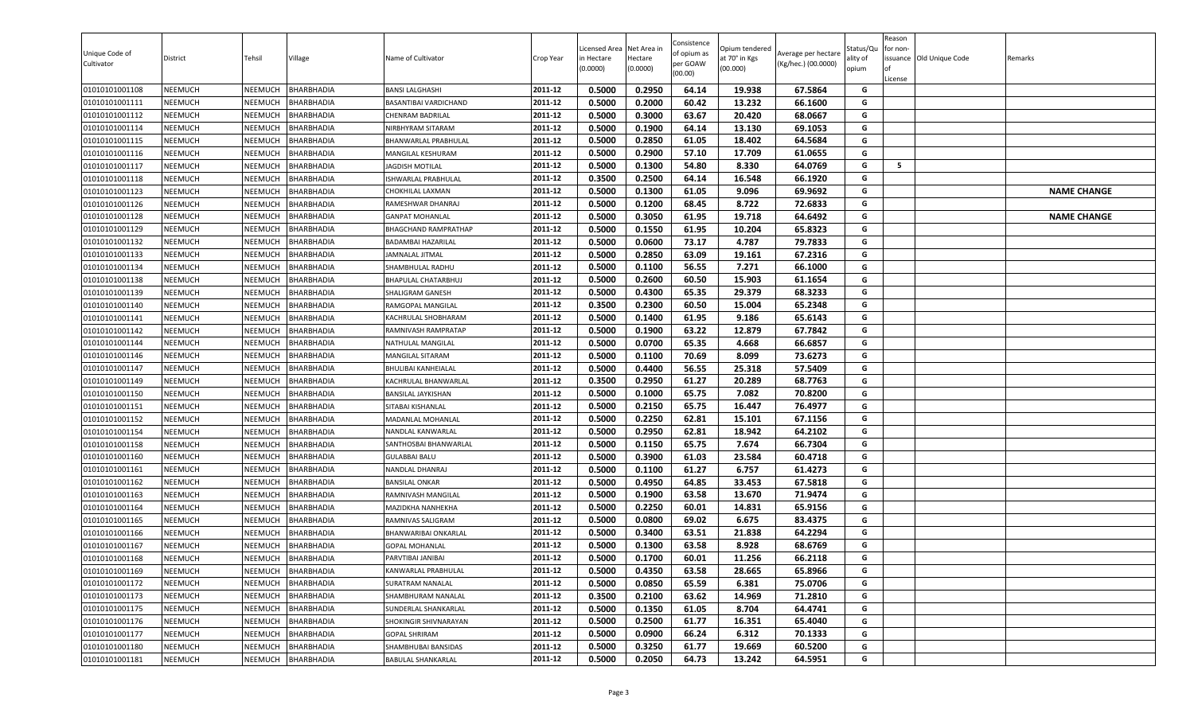| Unique Code of<br>Cultivator | District       | Tehsil         | Village           | Name of Cultivator         | Crop Year | Licensed Area<br>in Hectare<br>(0.0000) | Net Area in<br>Hectare<br>(0.0000) | Consistence<br>of opium as<br>per GOAW<br>(00.00) | )pium tendered<br>at 70° in Kgs<br>(00.000) | Average per hectare<br>(Kg/hec.) (00.0000) | Status/Qเ<br>ality of<br>opium | Reason<br>for non-<br>lof<br>License | issuance Old Unique Code | Remarks            |
|------------------------------|----------------|----------------|-------------------|----------------------------|-----------|-----------------------------------------|------------------------------------|---------------------------------------------------|---------------------------------------------|--------------------------------------------|--------------------------------|--------------------------------------|--------------------------|--------------------|
| 01010101001108               | <b>NEEMUCH</b> | NEEMUCH        | <b>BHARBHADIA</b> | <b>BANSI LALGHASHI</b>     | 2011-12   | 0.5000                                  | 0.2950                             | 64.14                                             | 19.938                                      | 67.5864                                    | G                              |                                      |                          |                    |
| 01010101001111               | <b>NEEMUCH</b> | NEEMUCH        | <b>BHARBHADIA</b> | BASANTIBAI VARDICHAND      | 2011-12   | 0.5000                                  | 0.2000                             | 60.42                                             | 13.232                                      | 66.1600                                    | G                              |                                      |                          |                    |
| 01010101001112               | NEEMUCH        | NEEMUCH        | <b>BHARBHADIA</b> | <b>CHENRAM BADRILAL</b>    | 2011-12   | 0.5000                                  | 0.3000                             | 63.67                                             | 20.420                                      | 68.0667                                    | G                              |                                      |                          |                    |
| 01010101001114               | <b>NEEMUCH</b> | NEEMUCH        | <b>BHARBHADIA</b> | NIRBHYRAM SITARAM          | 2011-12   | 0.5000                                  | 0.1900                             | 64.14                                             | 13.130                                      | 69.1053                                    | G                              |                                      |                          |                    |
| 01010101001115               | <b>NEEMUCH</b> | NEEMUCH        | <b>BHARBHADIA</b> | BHANWARLAL PRABHULAL       | 2011-12   | 0.5000                                  | 0.2850                             | 61.05                                             | 18.402                                      | 64.5684                                    | G                              |                                      |                          |                    |
| 01010101001116               | <b>NEEMUCH</b> | NEEMUCH        | <b>BHARBHADIA</b> | MANGILAL KESHURAM          | 2011-12   | 0.5000                                  | 0.2900                             | 57.10                                             | 17.709                                      | 61.0655                                    | G                              |                                      |                          |                    |
| 01010101001117               | <b>NEEMUCH</b> | NEEMUCH        | <b>BHARBHADIA</b> | JAGDISH MOTILAL            | 2011-12   | 0.5000                                  | 0.1300                             | 54.80                                             | 8.330                                       | 64.0769                                    | G                              | 5                                    |                          |                    |
| 01010101001118               | <b>NEEMUCH</b> | NEEMUCH        | <b>BHARBHADIA</b> | ISHWARLAL PRABHULAL        | 2011-12   | 0.3500                                  | 0.2500                             | 64.14                                             | 16.548                                      | 66.1920                                    | G                              |                                      |                          |                    |
| 01010101001123               | <b>NEEMUCH</b> | NEEMUCH        | <b>BHARBHADIA</b> | CHOKHILAL LAXMAN           | 2011-12   | 0.5000                                  | 0.1300                             | 61.05                                             | 9.096                                       | 69.9692                                    | G                              |                                      |                          | <b>NAME CHANGE</b> |
| 01010101001126               | <b>NEEMUCH</b> | NEEMUCH        | <b>BHARBHADIA</b> | RAMESHWAR DHANRAJ          | 2011-12   | 0.5000                                  | 0.1200                             | 68.45                                             | 8.722                                       | 72.6833                                    | G                              |                                      |                          |                    |
| 01010101001128               | NEEMUCH        | NEEMUCH        | BHARBHADIA        | GANPAT MOHANLAL            | 2011-12   | 0.5000                                  | 0.3050                             | 61.95                                             | 19.718                                      | 64.6492                                    | G                              |                                      |                          | <b>NAME CHANGE</b> |
| 01010101001129               | <b>NEEMUCH</b> | NEEMUCH        | <b>BHARBHADIA</b> | BHAGCHAND RAMPRATHAP       | 2011-12   | 0.5000                                  | 0.1550                             | 61.95                                             | 10.204                                      | 65.8323                                    | G                              |                                      |                          |                    |
| 01010101001132               | <b>NEEMUCH</b> | NEEMUCH        | BHARBHADIA        | <b>BADAMBAI HAZARILAL</b>  | 2011-12   | 0.5000                                  | 0.0600                             | 73.17                                             | 4.787                                       | 79.7833                                    | G                              |                                      |                          |                    |
| 01010101001133               | <b>NEEMUCH</b> | NEEMUCH        | <b>BHARBHADIA</b> | JAMNALAL JITMAL            | 2011-12   | 0.5000                                  | 0.2850                             | 63.09                                             | 19.161                                      | 67.2316                                    | G                              |                                      |                          |                    |
| 01010101001134               | <b>NEEMUCH</b> | NEEMUCH        | <b>BHARBHADIA</b> | SHAMBHULAL RADHU           | 2011-12   | 0.5000                                  | 0.1100                             | 56.55                                             | 7.271                                       | 66.1000                                    | G                              |                                      |                          |                    |
| 01010101001138               | <b>NEEMUCH</b> | NEEMUCH        | <b>BHARBHADIA</b> | BHAPULAL CHATARBHUJ        | 2011-12   | 0.5000                                  | 0.2600                             | 60.50                                             | 15.903                                      | 61.1654                                    | G                              |                                      |                          |                    |
| 01010101001139               | <b>NEEMUCH</b> | NEEMUCH        | <b>BHARBHADIA</b> | SHALIGRAM GANESH           | 2011-12   | 0.5000                                  | 0.4300                             | 65.35                                             | 29.379                                      | 68.3233                                    | G                              |                                      |                          |                    |
| 01010101001140               | <b>NEEMUCH</b> | NEEMUCH        | <b>BHARBHADIA</b> | RAMGOPAL MANGILAL          | 2011-12   | 0.3500                                  | 0.2300                             | 60.50                                             | 15.004                                      | 65.2348                                    | G                              |                                      |                          |                    |
| 01010101001141               | <b>NEEMUCH</b> | NEEMUCH        | <b>BHARBHADIA</b> | KACHRULAL SHOBHARAM        | 2011-12   | 0.5000                                  | 0.1400                             | 61.95                                             | 9.186                                       | 65.6143                                    | G                              |                                      |                          |                    |
| 01010101001142               | <b>NEEMUCH</b> | NEEMUCH        | <b>BHARBHADIA</b> | RAMNIVASH RAMPRATAP        | 2011-12   | 0.5000                                  | 0.1900                             | 63.22                                             | 12.879                                      | 67.7842                                    | G                              |                                      |                          |                    |
| 01010101001144               | <b>NEEMUCH</b> | NEEMUCH        | BHARBHADIA        | NATHULAL MANGILAL          | 2011-12   | 0.5000                                  | 0.0700                             | 65.35                                             | 4.668                                       | 66.6857                                    | G                              |                                      |                          |                    |
| 01010101001146               | <b>NEEMUCH</b> | <b>NEEMUCH</b> | <b>BHARBHADIA</b> | MANGILAL SITARAM           | 2011-12   | 0.5000                                  | 0.1100                             | 70.69                                             | 8.099                                       | 73.6273                                    | G                              |                                      |                          |                    |
| 01010101001147               | <b>NEEMUCH</b> | NEEMUCH        | BHARBHADIA        | <b>BHULIBAI KANHEIALAL</b> | 2011-12   | 0.5000                                  | 0.4400                             | 56.55                                             | 25.318                                      | 57.5409                                    | G                              |                                      |                          |                    |
| 01010101001149               | <b>NEEMUCH</b> | NEEMUCH        | <b>BHARBHADIA</b> | KACHRULAL BHANWARLAL       | 2011-12   | 0.3500                                  | 0.2950                             | 61.27                                             | 20.289                                      | 68.7763                                    | G                              |                                      |                          |                    |
| 01010101001150               | <b>NEEMUCH</b> | NEEMUCH        | BHARBHADIA        | BANSILAL JAYKISHAN         | 2011-12   | 0.5000                                  | 0.1000                             | 65.75                                             | 7.082                                       | 70.8200                                    | G                              |                                      |                          |                    |
| 01010101001151               | <b>NEEMUCH</b> | NEEMUCH        | <b>BHARBHADIA</b> | SITABAI KISHANLAL          | 2011-12   | 0.5000                                  | 0.2150                             | 65.75                                             | 16.447                                      | 76.4977                                    | G                              |                                      |                          |                    |
| 01010101001152               | <b>NEEMUCH</b> | NEEMUCH        | BHARBHADIA        | MADANLAL MOHANLAL          | 2011-12   | 0.5000                                  | 0.2250                             | 62.81                                             | 15.101                                      | 67.1156                                    | G                              |                                      |                          |                    |
| 01010101001154               | <b>NEEMUCH</b> | NEEMUCH        | <b>BHARBHADIA</b> | NANDLAL KANWARLAL          | 2011-12   | 0.5000                                  | 0.2950                             | 62.81                                             | 18.942                                      | 64.2102                                    | G                              |                                      |                          |                    |
| 01010101001158               | <b>NEEMUCH</b> | NEEMUCH        | <b>BHARBHADIA</b> | SANTHOSBAI BHANWARLAL      | 2011-12   | 0.5000                                  | 0.1150                             | 65.75                                             | 7.674                                       | 66.7304                                    | G                              |                                      |                          |                    |
| 01010101001160               | <b>NEEMUCH</b> | NEEMUCH        | <b>BHARBHADIA</b> | <b>GULABBAI BALU</b>       | 2011-12   | 0.5000                                  | 0.3900                             | 61.03                                             | 23.584                                      | 60.4718                                    | G                              |                                      |                          |                    |
| 01010101001161               | <b>NEEMUCH</b> | NEEMUCH        | <b>BHARBHADIA</b> | NANDLAL DHANRAJ            | 2011-12   | 0.5000                                  | 0.1100                             | 61.27                                             | 6.757                                       | 61.4273                                    | G                              |                                      |                          |                    |
| 01010101001162               | <b>NEEMUCH</b> | NEEMUCH        | <b>BHARBHADIA</b> | <b>BANSILAL ONKAR</b>      | 2011-12   | 0.5000                                  | 0.4950                             | 64.85                                             | 33.453                                      | 67.5818                                    | G                              |                                      |                          |                    |
| 01010101001163               | <b>NEEMUCH</b> | NEEMUCH        | <b>BHARBHADIA</b> | RAMNIVASH MANGILAL         | 2011-12   | 0.5000                                  | 0.1900                             | 63.58                                             | 13.670                                      | 71.9474                                    | G                              |                                      |                          |                    |
| 01010101001164               | <b>NEEMUCH</b> | NEEMUCH        | <b>BHARBHADIA</b> | MAZIDKHA NANHEKHA          | 2011-12   | 0.5000                                  | 0.2250                             | 60.01                                             | 14.831                                      | 65.9156                                    | G                              |                                      |                          |                    |
| 01010101001165               | <b>NEEMUCH</b> | NEEMUCH        | <b>BHARBHADIA</b> | RAMNIVAS SALIGRAM          | 2011-12   | 0.5000                                  | 0.0800                             | 69.02                                             | 6.675                                       | 83.4375                                    | G                              |                                      |                          |                    |
| 01010101001166               | <b>NEEMUCH</b> | NEEMUCH        | BHARBHADIA        | BHANWARIBAI ONKARLAL       | 2011-12   | 0.5000                                  | 0.3400                             | 63.51                                             | 21.838                                      | 64.2294                                    | G                              |                                      |                          |                    |
| 01010101001167               | <b>NEEMUCH</b> | NEEMUCH        | <b>BHARBHADIA</b> | <b>GOPAL MOHANLAL</b>      | 2011-12   | 0.5000                                  | 0.1300                             | 63.58                                             | 8.928                                       | 68.6769                                    | G                              |                                      |                          |                    |
| 01010101001168               | <b>NEEMUCH</b> | NEEMUCH        | <b>BHARBHADIA</b> | PARVTIBAI JANIBAI          | 2011-12   | 0.5000                                  | 0.1700                             | 60.01                                             | 11.256                                      | 66.2118                                    | G                              |                                      |                          |                    |
| 01010101001169               | <b>NEEMUCH</b> | NEEMUCH        | BHARBHADIA        | KANWARLAL PRABHULAL        | 2011-12   | 0.5000                                  | 0.4350                             | 63.58                                             | 28.665                                      | 65.8966                                    | G                              |                                      |                          |                    |
| 01010101001172               | <b>NEEMUCH</b> | NEEMUCH        | <b>BHARBHADIA</b> | <b>SURATRAM NANALAL</b>    | 2011-12   | 0.5000                                  | 0.0850                             | 65.59                                             | 6.381                                       | 75.0706                                    | G                              |                                      |                          |                    |
| 01010101001173               | <b>NEEMUCH</b> | NEEMUCH        | BHARBHADIA        | SHAMBHURAM NANALAL         | 2011-12   | 0.3500                                  | 0.2100                             | 63.62                                             | 14.969                                      | 71.2810                                    | G                              |                                      |                          |                    |
| 01010101001175               | <b>NEEMUCH</b> | NEEMUCH        | <b>BHARBHADIA</b> | SUNDERLAL SHANKARLAL       | 2011-12   | 0.5000                                  | 0.1350                             | 61.05                                             | 8.704                                       | 64.4741                                    | G                              |                                      |                          |                    |
| 01010101001176               | <b>NEEMUCH</b> | NEEMUCH        | <b>BHARBHADIA</b> | SHOKINGIR SHIVNARAYAN      | 2011-12   | 0.5000                                  | 0.2500                             | 61.77                                             | 16.351                                      | 65.4040                                    | G                              |                                      |                          |                    |
| 01010101001177               | <b>NEEMUCH</b> | NEEMUCH        | BHARBHADIA        | <b>GOPAL SHRIRAM</b>       | 2011-12   | 0.5000                                  | 0.0900                             | 66.24                                             | 6.312                                       | 70.1333                                    | G                              |                                      |                          |                    |
| 01010101001180               | <b>NEEMUCH</b> | <b>NEEMUCH</b> | <b>BHARBHADIA</b> | SHAMBHUBAI BANSIDAS        | 2011-12   | 0.5000                                  | 0.3250                             | 61.77                                             | 19.669                                      | 60.5200                                    | G                              |                                      |                          |                    |
| 01010101001181               | <b>NEEMUCH</b> | NEEMUCH        | BHARBHADIA        | BABULAL SHANKARLAL         | 2011-12   | 0.5000                                  | 0.2050                             | 64.73                                             | 13.242                                      | 64.5951                                    | G                              |                                      |                          |                    |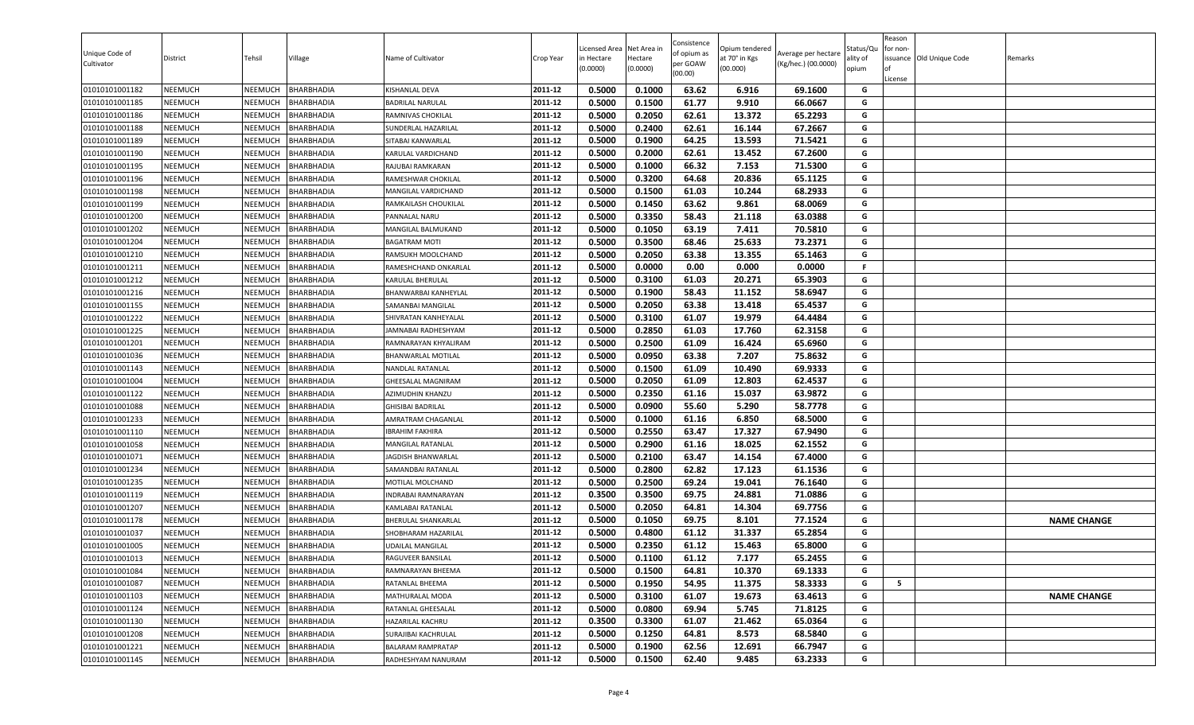| Unique Code of<br>Cultivator | District       | Tehsil         | Village           | Name of Cultivator         | Crop Year | Licensed Area<br>in Hectare<br>(0.0000) | Net Area in<br>Hectare<br>(0.0000) | Consistence<br>of opium as<br>per GOAW<br>(00.00) | Opium tendered<br>at 70° in Kgs<br>(00.000) | Average per hectare<br>(Kg/hec.) (00.0000) | Status/Qu<br>ality of<br>opium | Reason<br>for non-<br>ssuance Old Unique Code<br>License | Remarks            |
|------------------------------|----------------|----------------|-------------------|----------------------------|-----------|-----------------------------------------|------------------------------------|---------------------------------------------------|---------------------------------------------|--------------------------------------------|--------------------------------|----------------------------------------------------------|--------------------|
| 01010101001182               | <b>NEEMUCH</b> | NEEMUCH        | <b>BHARBHADIA</b> | KISHANLAL DEVA             | 2011-12   | 0.5000                                  | 0.1000                             | 63.62                                             | 6.916                                       | 69.1600                                    | G                              |                                                          |                    |
| 01010101001185               | <b>NEEMUCH</b> | NEEMUCH        | <b>BHARBHADIA</b> | BADRILAL NARULAL           | 2011-12   | 0.5000                                  | 0.1500                             | 61.77                                             | 9.910                                       | 66.0667                                    | G                              |                                                          |                    |
| 01010101001186               | <b>NEEMUCH</b> | NEEMUCH        | <b>BHARBHADIA</b> | RAMNIVAS CHOKILAL          | 2011-12   | 0.5000                                  | 0.2050                             | 62.61                                             | 13.372                                      | 65.2293                                    | G                              |                                                          |                    |
| 01010101001188               | <b>NEEMUCH</b> | NEEMUCH        | <b>BHARBHADIA</b> | SUNDERLAL HAZARILAL        | 2011-12   | 0.5000                                  | 0.2400                             | 62.61                                             | 16.144                                      | 67.2667                                    | G                              |                                                          |                    |
| 01010101001189               | <b>NEEMUCH</b> | NEEMUCH        | <b>BHARBHADIA</b> | SITABAI KANWARLAL          | 2011-12   | 0.5000                                  | 0.1900                             | 64.25                                             | 13.593                                      | 71.5421                                    | G                              |                                                          |                    |
| 01010101001190               | <b>NEEMUCH</b> | NEEMUCH        | <b>BHARBHADIA</b> | KARULAL VARDICHAND         | 2011-12   | 0.5000                                  | 0.2000                             | 62.61                                             | 13.452                                      | 67.2600                                    | G                              |                                                          |                    |
| 01010101001195               | <b>NEEMUCH</b> | NEEMUCH        | <b>BHARBHADIA</b> | RAJUBAI RAMKARAN           | 2011-12   | 0.5000                                  | 0.1000                             | 66.32                                             | 7.153                                       | 71.5300                                    | G                              |                                                          |                    |
| 01010101001196               | <b>NEEMUCH</b> | NEEMUCH        | <b>BHARBHADIA</b> | RAMESHWAR CHOKILAL         | 2011-12   | 0.5000                                  | 0.3200                             | 64.68                                             | 20.836                                      | 65.1125                                    | G                              |                                                          |                    |
| 01010101001198               | <b>NEEMUCH</b> | NEEMUCH        | <b>BHARBHADIA</b> | MANGILAL VARDICHAND        | 2011-12   | 0.5000                                  | 0.1500                             | 61.03                                             | 10.244                                      | 68.2933                                    | G                              |                                                          |                    |
| 01010101001199               | <b>NEEMUCH</b> | NEEMUCH        | <b>BHARBHADIA</b> | RAMKAILASH CHOUKILAL       | 2011-12   | 0.5000                                  | 0.1450                             | 63.62                                             | 9.861                                       | 68.0069                                    | G                              |                                                          |                    |
| 01010101001200               | <b>NEEMUCH</b> | NEEMUCH        | BHARBHADIA        | PANNALAL NARU              | 2011-12   | 0.5000                                  | 0.3350                             | 58.43                                             | 21.118                                      | 63.0388                                    | G                              |                                                          |                    |
| 01010101001202               | <b>NEEMUCH</b> | NEEMUCH        | <b>BHARBHADIA</b> | MANGILAL BALMUKAND         | 2011-12   | 0.5000                                  | 0.1050                             | 63.19                                             | 7.411                                       | 70.5810                                    | G                              |                                                          |                    |
| 01010101001204               | <b>NEEMUCH</b> | <b>NEEMUCH</b> | <b>BHARBHADIA</b> | <b>BAGATRAM MOTI</b>       | 2011-12   | 0.5000                                  | 0.3500                             | 68.46                                             | 25.633                                      | 73.2371                                    | G                              |                                                          |                    |
| 01010101001210               | <b>NEEMUCH</b> | NEEMUCH        | <b>BHARBHADIA</b> | RAMSUKH MOOLCHAND          | 2011-12   | 0.5000                                  | 0.2050                             | 63.38                                             | 13.355                                      | 65.1463                                    | G                              |                                                          |                    |
| 01010101001211               | <b>NEEMUCH</b> | NEEMUCH        | <b>BHARBHADIA</b> | RAMESHCHAND ONKARLAL       | 2011-12   | 0.5000                                  | 0.0000                             | 0.00                                              | 0.000                                       | 0.0000                                     | F.                             |                                                          |                    |
| 01010101001212               | <b>NEEMUCH</b> | NEEMUCH        | <b>BHARBHADIA</b> | KARULAL BHERULAL           | 2011-12   | 0.5000                                  | 0.3100                             | 61.03                                             | 20.271                                      | 65.3903                                    | G                              |                                                          |                    |
| 01010101001216               | <b>NEEMUCH</b> | NEEMUCH        | <b>BHARBHADIA</b> | BHANWARBAI KANHEYLAL       | 2011-12   | 0.5000                                  | 0.1900                             | 58.43                                             | 11.152                                      | 58.6947                                    | G                              |                                                          |                    |
| 01010101001155               | <b>NEEMUCH</b> | NEEMUCH        | <b>BHARBHADIA</b> | <b>SAMANBAI MANGILAL</b>   | 2011-12   | 0.5000                                  | 0.2050                             | 63.38                                             | 13.418                                      | 65.4537                                    | G                              |                                                          |                    |
| 01010101001222               | <b>NEEMUCH</b> | NEEMUCH        | <b>BHARBHADIA</b> | SHIVRATAN KANHEYALAL       | 2011-12   | 0.5000                                  | 0.3100                             | 61.07                                             | 19.979                                      | 64.4484                                    | G                              |                                                          |                    |
| 01010101001225               | <b>NEEMUCH</b> | NEEMUCH        | <b>BHARBHADIA</b> | JAMNABAI RADHESHYAM        | 2011-12   | 0.5000                                  | 0.2850                             | 61.03                                             | 17.760                                      | 62.3158                                    | G                              |                                                          |                    |
| 01010101001201               | <b>NEEMUCH</b> | NEEMUCH        | <b>BHARBHADIA</b> | RAMNARAYAN KHYALIRAM       | 2011-12   | 0.5000                                  | 0.2500                             | 61.09                                             | 16.424                                      | 65.6960                                    | G                              |                                                          |                    |
| 01010101001036               | <b>NEEMUCH</b> | NEEMUCH        | <b>BHARBHADIA</b> | BHANWARLAL MOTILAL         | 2011-12   | 0.5000                                  | 0.0950                             | 63.38                                             | 7.207                                       | 75.8632                                    | G                              |                                                          |                    |
| 01010101001143               | <b>NEEMUCH</b> | NEEMUCH        | <b>BHARBHADIA</b> | NANDLAL RATANLAL           | 2011-12   | 0.5000                                  | 0.1500                             | 61.09                                             | 10.490                                      | 69.9333                                    | G                              |                                                          |                    |
| 01010101001004               | <b>NEEMUCH</b> | NEEMUCH        | <b>BHARBHADIA</b> | GHEESALAL MAGNIRAM         | 2011-12   | 0.5000                                  | 0.2050                             | 61.09                                             | 12.803                                      | 62.4537                                    | G                              |                                                          |                    |
| 01010101001122               | <b>NEEMUCH</b> | NEEMUCH        | <b>BHARBHADIA</b> | AZIMUDHIN KHANZU           | 2011-12   | 0.5000                                  | 0.2350                             | 61.16                                             | 15.037                                      | 63.9872                                    | G                              |                                                          |                    |
| 01010101001088               | <b>NEEMUCH</b> | NEEMUCH        | <b>BHARBHADIA</b> | <b>GHISIBAI BADRILAL</b>   | 2011-12   | 0.5000                                  | 0.0900                             | 55.60                                             | 5.290                                       | 58.7778                                    | G                              |                                                          |                    |
| 01010101001233               | <b>NEEMUCH</b> | NEEMUCH        | <b>BHARBHADIA</b> | AMRATRAM CHAGANLAL         | 2011-12   | 0.5000                                  | 0.1000                             | 61.16                                             | 6.850                                       | 68.5000                                    | G                              |                                                          |                    |
| 01010101001110               | <b>NEEMUCH</b> | NEEMUCH        | <b>BHARBHADIA</b> | <b>IBRAHIM FAKHIRA</b>     | 2011-12   | 0.5000                                  | 0.2550                             | 63.47                                             | 17.327                                      | 67.9490                                    | G                              |                                                          |                    |
| 01010101001058               | <b>NEEMUCH</b> | NEEMUCH        | <b>BHARBHADIA</b> | MANGILAL RATANLAL          | 2011-12   | 0.5000                                  | 0.2900                             | 61.16                                             | 18.025                                      | 62.1552                                    | G                              |                                                          |                    |
| 01010101001071               | <b>NEEMUCH</b> | NEEMUCH        | <b>BHARBHADIA</b> | JAGDISH BHANWARLAL         | 2011-12   | 0.5000                                  | 0.2100                             | 63.47                                             | 14.154                                      | 67.4000                                    | G                              |                                                          |                    |
| 01010101001234               | <b>NEEMUCH</b> | NEEMUCH        | <b>BHARBHADIA</b> | SAMANDBAI RATANLAL         | 2011-12   | 0.5000                                  | 0.2800                             | 62.82                                             | 17.123                                      | 61.1536                                    | G                              |                                                          |                    |
| 01010101001235               | <b>NEEMUCH</b> | <b>NEEMUCH</b> | BHARBHADIA        | MOTILAL MOLCHAND           | 2011-12   | 0.5000                                  | 0.2500                             | 69.24                                             | 19.041                                      | 76.1640                                    | G                              |                                                          |                    |
| 01010101001119               | <b>NEEMUCH</b> | NEEMUCH        | <b>BHARBHADIA</b> | INDRABAI RAMNARAYAN        | 2011-12   | 0.3500                                  | 0.3500                             | 69.75                                             | 24.881                                      | 71.0886                                    | G                              |                                                          |                    |
| 01010101001207               | <b>NEEMUCH</b> | NEEMUCH        | <b>BHARBHADIA</b> | KAMLABAI RATANLAL          | 2011-12   | 0.5000                                  | 0.2050                             | 64.81                                             | 14.304                                      | 69.7756                                    | G                              |                                                          |                    |
| 01010101001178               | <b>NEEMUCH</b> | NEEMUCH        | <b>BHARBHADIA</b> | <b>BHERULAL SHANKARLAL</b> | 2011-12   | 0.5000                                  | 0.1050                             | 69.75                                             | 8.101                                       | 77.1524                                    | G                              |                                                          | <b>NAME CHANGE</b> |
| 01010101001037               | <b>NEEMUCH</b> | <b>NEEMUCH</b> | BHARBHADIA        | SHOBHARAM HAZARILAL        | 2011-12   | 0.5000                                  | 0.4800                             | 61.12                                             | 31.337                                      | 65.2854                                    | G                              |                                                          |                    |
| 01010101001005               | <b>NEEMUCH</b> | NEEMUCH        | <b>BHARBHADIA</b> | JDAILAL MANGILAL           | 2011-12   | 0.5000                                  | 0.2350                             | 61.12                                             | 15.463                                      | 65.8000                                    | G                              |                                                          |                    |
| 01010101001013               | <b>NEEMUCH</b> | NEEMUCH        | <b>BHARBHADIA</b> | RAGUVEER BANSILAL          | 2011-12   | 0.5000                                  | 0.1100                             | 61.12                                             | 7.177                                       | 65.2455                                    | G                              |                                                          |                    |
| 01010101001084               | <b>NEEMUCH</b> | NEEMUCH        | BHARBHADIA        | RAMNARAYAN BHEEMA          | 2011-12   | 0.5000                                  | 0.1500                             | 64.81                                             | 10.370                                      | 69.1333                                    | G                              |                                                          |                    |
| 01010101001087               | <b>NEEMUCH</b> | NEEMUCH        | <b>BHARBHADIA</b> | RATANLAL BHEEMA            | 2011-12   | 0.5000                                  | 0.1950                             | 54.95                                             | 11.375                                      | 58.3333                                    | G                              | 5                                                        |                    |
| 01010101001103               | <b>NEEMUCH</b> | NEEMUCH        | <b>BHARBHADIA</b> | MATHURALAL MODA            | 2011-12   | 0.5000                                  | 0.3100                             | 61.07                                             | 19.673                                      | 63.4613                                    | G                              |                                                          | <b>NAME CHANGE</b> |
| 01010101001124               | <b>NEEMUCH</b> | NEEMUCH        | <b>BHARBHADIA</b> | RATANLAL GHEESALAL         | 2011-12   | 0.5000                                  | 0.0800                             | 69.94                                             | 5.745                                       | 71.8125                                    | G                              |                                                          |                    |
| 01010101001130               | <b>NEEMUCH</b> | NEEMUCH        | <b>BHARBHADIA</b> | HAZARILAL KACHRU           | 2011-12   | 0.3500                                  | 0.3300                             | 61.07                                             | 21.462                                      | 65.0364                                    | G                              |                                                          |                    |
| 01010101001208               | <b>NEEMUCH</b> | NEEMUCH        | <b>BHARBHADIA</b> | SURAJIBAI KACHRULAL        | 2011-12   | 0.5000                                  | 0.1250                             | 64.81                                             | 8.573                                       | 68.5840                                    | G                              |                                                          |                    |
| 01010101001221               | <b>NEEMUCH</b> | <b>NEEMUCH</b> | <b>BHARBHADIA</b> | <b>BALARAM RAMPRATAP</b>   | 2011-12   | 0.5000                                  | 0.1900                             | 62.56                                             | 12.691                                      | 66.7947                                    | G                              |                                                          |                    |
| 01010101001145               | <b>NEEMUCH</b> | NEEMUCH        | <b>BHARBHADIA</b> | RADHESHYAM NANURAM         | 2011-12   | 0.5000                                  | 0.1500                             | 62.40                                             | 9.485                                       | 63.2333                                    | G                              |                                                          |                    |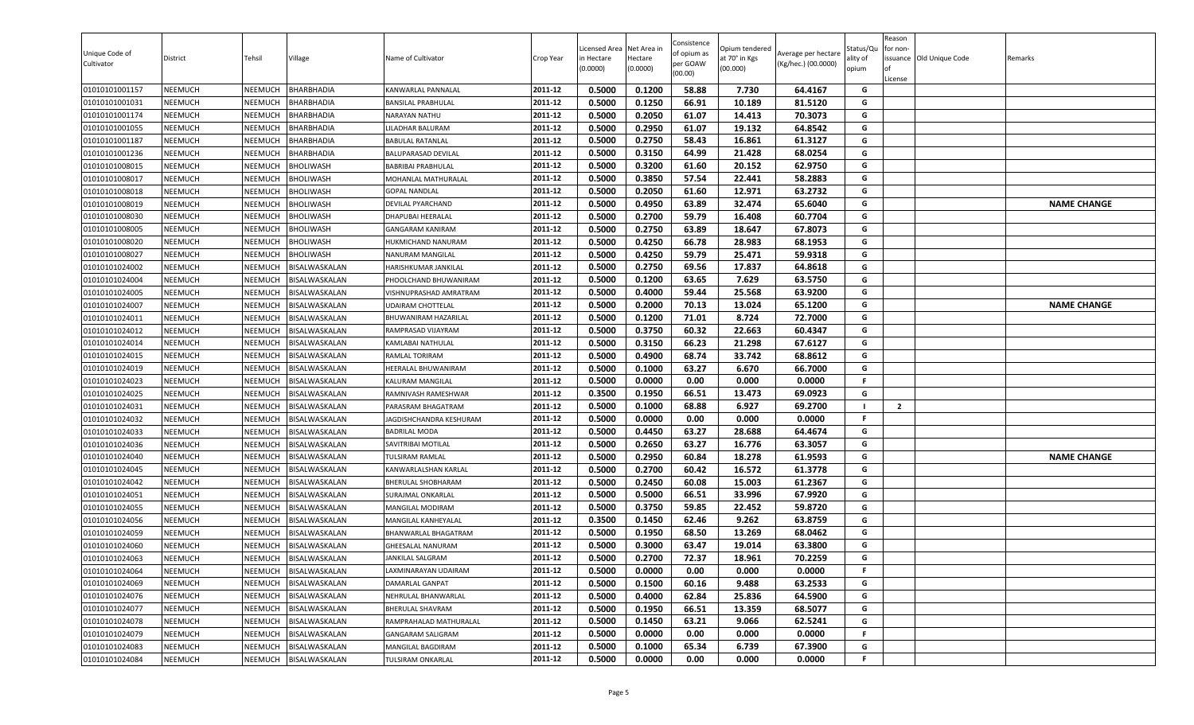| Unique Code of<br>Cultivator | District       | Tehsil         | Village              | Name of Cultivator          | Crop Year | Licensed Area<br>in Hectare<br>(0.0000) | Net Area in<br>Hectare<br>(0.0000) | Consistence<br>of opium as<br>per GOAW<br>(00.00) | )pium tendered<br>at 70° in Kgs<br>(00.000) | Average per hectare<br>(Kg/hec.) (00.0000) | Status/Qเ<br>ality of<br>opium | Reason<br>for non-<br>lof<br>License | issuance Old Unique Code | Remarks            |
|------------------------------|----------------|----------------|----------------------|-----------------------------|-----------|-----------------------------------------|------------------------------------|---------------------------------------------------|---------------------------------------------|--------------------------------------------|--------------------------------|--------------------------------------|--------------------------|--------------------|
| 01010101001157               | <b>NEEMUCH</b> | NEEMUCH        | <b>BHARBHADIA</b>    | KANWARLAL PANNALAL          | 2011-12   | 0.5000                                  | 0.1200                             | 58.88                                             | 7.730                                       | 64.4167                                    | G                              |                                      |                          |                    |
| 01010101001031               | <b>NEEMUCH</b> | NEEMUCH        | <b>BHARBHADIA</b>    | BANSILAL PRABHULAL          | 2011-12   | 0.5000                                  | 0.1250                             | 66.91                                             | 10.189                                      | 81.5120                                    | G                              |                                      |                          |                    |
| 01010101001174               | NEEMUCH        | NEEMUCH        | <b>BHARBHADIA</b>    | NARAYAN NATHU               | 2011-12   | 0.5000                                  | 0.2050                             | 61.07                                             | 14.413                                      | 70.3073                                    | G                              |                                      |                          |                    |
| 01010101001055               | NEEMUCH        | NEEMUCH        | BHARBHADIA           | LILADHAR BALURAM            | 2011-12   | 0.5000                                  | 0.2950                             | 61.07                                             | 19.132                                      | 64.8542                                    | G                              |                                      |                          |                    |
| 01010101001187               | <b>NEEMUCH</b> | NEEMUCH        | <b>BHARBHADIA</b>    | <b>BABULAL RATANLAL</b>     | 2011-12   | 0.5000                                  | 0.2750                             | 58.43                                             | 16.861                                      | 61.3127                                    | G                              |                                      |                          |                    |
| 01010101001236               | <b>NEEMUCH</b> | NEEMUCH        | <b>BHARBHADIA</b>    | BALUPARASAD DEVILAL         | 2011-12   | 0.5000                                  | 0.3150                             | 64.99                                             | 21.428                                      | 68.0254                                    | G                              |                                      |                          |                    |
| 01010101008015               | <b>NEEMUCH</b> | NEEMUCH        | <b>BHOLIWASH</b>     | <b>BABRIBAI PRABHULAL</b>   | 2011-12   | 0.5000                                  | 0.3200                             | 61.60                                             | 20.152                                      | 62.9750                                    | G                              |                                      |                          |                    |
| 01010101008017               | <b>NEEMUCH</b> | NEEMUCH        | <b>BHOLIWASH</b>     | MOHANLAL MATHURALAL         | 2011-12   | 0.5000                                  | 0.3850                             | 57.54                                             | 22.441                                      | 58.2883                                    | G                              |                                      |                          |                    |
| 01010101008018               | <b>NEEMUCH</b> | NEEMUCH        | <b>BHOLIWASH</b>     | <b>GOPAL NANDLAL</b>        | 2011-12   | 0.5000                                  | 0.2050                             | 61.60                                             | 12.971                                      | 63.2732                                    | G                              |                                      |                          |                    |
| 01010101008019               | <b>NEEMUCH</b> | NEEMUCH        | <b>BHOLIWASH</b>     | DEVILAL PYARCHAND           | 2011-12   | 0.5000                                  | 0.4950                             | 63.89                                             | 32.474                                      | 65.6040                                    | G                              |                                      |                          | <b>NAME CHANGE</b> |
| 01010101008030               | NEEMUCH        | NEEMUCH        | <b>BHOLIWASH</b>     | DHAPUBAI HEERALAL           | 2011-12   | 0.5000                                  | 0.2700                             | 59.79                                             | 16.408                                      | 60.7704                                    | G                              |                                      |                          |                    |
| 01010101008005               | <b>NEEMUCH</b> | NEEMUCH        | <b>BHOLIWASH</b>     | GANGARAM KANIRAM            | 2011-12   | 0.5000                                  | 0.2750                             | 63.89                                             | 18.647                                      | 67.8073                                    | G                              |                                      |                          |                    |
| 01010101008020               | <b>NEEMUCH</b> | NEEMUCH        | <b>BHOLIWASH</b>     | HUKMICHAND NANURAM          | 2011-12   | 0.5000                                  | 0.4250                             | 66.78                                             | 28.983                                      | 68.1953                                    | G                              |                                      |                          |                    |
| 01010101008027               | <b>NEEMUCH</b> | NEEMUCH        | <b>BHOLIWASH</b>     | NANURAM MANGILAL            | 2011-12   | 0.5000                                  | 0.4250                             | 59.79                                             | 25.471                                      | 59.9318                                    | G                              |                                      |                          |                    |
| 01010101024002               | <b>NEEMUCH</b> | NEEMUCH        | BISALWASKALAN        | HARISHKUMAR JANKILAL        | 2011-12   | 0.5000                                  | 0.2750                             | 69.56                                             | 17.837                                      | 64.8618                                    | G                              |                                      |                          |                    |
| 01010101024004               | <b>NEEMUCH</b> | NEEMUCH        | BISALWASKALAN        | PHOOLCHAND BHUWANIRAM       | 2011-12   | 0.5000                                  | 0.1200                             | 63.65                                             | 7.629                                       | 63.5750                                    | G                              |                                      |                          |                    |
| 01010101024005               | <b>NEEMUCH</b> | NEEMUCH        | BISALWASKALAN        | VISHNUPRASHAD AMRATRAM      | 2011-12   | 0.5000                                  | 0.4000                             | 59.44                                             | 25.568                                      | 63.9200                                    | G                              |                                      |                          |                    |
| 01010101024007               | <b>NEEMUCH</b> | NEEMUCH        | BISALWASKALAN        | UDAIRAM CHOTTELAL           | 2011-12   | 0.5000                                  | 0.2000                             | 70.13                                             | 13.024                                      | 65.1200                                    | G                              |                                      |                          | <b>NAME CHANGE</b> |
| 01010101024011               | <b>NEEMUCH</b> | NEEMUCH        | BISALWASKALAN        | <b>BHUWANIRAM HAZARILAL</b> | 2011-12   | 0.5000                                  | 0.1200                             | 71.01                                             | 8.724                                       | 72.7000                                    | G                              |                                      |                          |                    |
| 01010101024012               | <b>NEEMUCH</b> | NEEMUCH        | BISALWASKALAN        | RAMPRASAD VIJAYRAM          | 2011-12   | 0.5000                                  | 0.3750                             | 60.32                                             | 22.663                                      | 60.4347                                    | G                              |                                      |                          |                    |
| 01010101024014               | <b>NEEMUCH</b> | NEEMUCH        | BISALWASKALAN        | KAMLABAI NATHULAL           | 2011-12   | 0.5000                                  | 0.3150                             | 66.23                                             | 21.298                                      | 67.6127                                    | G                              |                                      |                          |                    |
| 01010101024015               | <b>NEEMUCH</b> | <b>NEEMUCH</b> | BISALWASKALAN        | RAMLAL TORIRAM              | 2011-12   | 0.5000                                  | 0.4900                             | 68.74                                             | 33.742                                      | 68.8612                                    | G                              |                                      |                          |                    |
| 01010101024019               | <b>NEEMUCH</b> | NEEMUCH        | BISALWASKALAN        | HEERALAL BHUWANIRAM         | 2011-12   | 0.5000                                  | 0.1000                             | 63.27                                             | 6.670                                       | 66.7000                                    | G                              |                                      |                          |                    |
| 01010101024023               | <b>NEEMUCH</b> | NEEMUCH        | BISALWASKALAN        | KALURAM MANGILAL            | 2011-12   | 0.5000                                  | 0.0000                             | 0.00                                              | 0.000                                       | 0.0000                                     | F.                             |                                      |                          |                    |
| 01010101024025               | <b>NEEMUCH</b> | NEEMUCH        | BISALWASKALAN        | RAMNIVASH RAMESHWAR         | 2011-12   | 0.3500                                  | 0.1950                             | 66.51                                             | 13.473                                      | 69.0923                                    | G                              |                                      |                          |                    |
| 01010101024031               | <b>NEEMUCH</b> | NEEMUCH        | BISALWASKALAN        | PARASRAM BHAGATRAM          | 2011-12   | 0.5000                                  | 0.1000                             | 68.88                                             | 6.927                                       | 69.2700                                    | - 1                            | $\overline{2}$                       |                          |                    |
| 01010101024032               | <b>NEEMUCH</b> | NEEMUCH        | BISALWASKALAN        | JAGDISHCHANDRA KESHURAM     | 2011-12   | 0.5000                                  | 0.0000                             | 0.00                                              | 0.000                                       | 0.0000                                     | F.                             |                                      |                          |                    |
| 01010101024033               | <b>NEEMUCH</b> | NEEMUCH        | BISALWASKALAN        | <b>BADRILAL MODA</b>        | 2011-12   | 0.5000                                  | 0.4450                             | 63.27                                             | 28.688                                      | 64.4674                                    | G                              |                                      |                          |                    |
| 01010101024036               | <b>NEEMUCH</b> | NEEMUCH        | BISALWASKALAN        | SAVITRIBAI MOTILAL          | 2011-12   | 0.5000                                  | 0.2650                             | 63.27                                             | 16.776                                      | 63.3057                                    | G                              |                                      |                          |                    |
| 01010101024040               | <b>NEEMUCH</b> | NEEMUCH        | BISALWASKALAN        | <b>TULSIRAM RAMLAL</b>      | 2011-12   | 0.5000                                  | 0.2950                             | 60.84                                             | 18.278                                      | 61.9593                                    | G                              |                                      |                          | <b>NAME CHANGE</b> |
| 01010101024045               | <b>NEEMUCH</b> | NEEMUCH        | BISALWASKALAN        | KANWARLALSHAN KARLAL        | 2011-12   | 0.5000                                  | 0.2700                             | 60.42                                             | 16.572                                      | 61.3778                                    | G                              |                                      |                          |                    |
| 01010101024042               | <b>NEEMUCH</b> | NEEMUCH        | BISALWASKALAN        | <b>BHERULAL SHOBHARAM</b>   | 2011-12   | 0.5000                                  | 0.2450                             | 60.08                                             | 15.003                                      | 61.2367                                    | G                              |                                      |                          |                    |
| 01010101024051               | <b>NEEMUCH</b> | NEEMUCH        | BISALWASKALAN        | <b>SURAJMAL ONKARLAL</b>    | 2011-12   | 0.5000                                  | 0.5000                             | 66.51                                             | 33.996                                      | 67.9920                                    | G                              |                                      |                          |                    |
| 01010101024055               | <b>NEEMUCH</b> | NEEMUCH        | <b>BISALWASKALAN</b> | MANGILAL MODIRAM            | 2011-12   | 0.5000                                  | 0.3750                             | 59.85                                             | 22.452                                      | 59.8720                                    | G                              |                                      |                          |                    |
| 01010101024056               | <b>NEEMUCH</b> | NEEMUCH        | BISALWASKALAN        | MANGILAL KANHEYALAL         | 2011-12   | 0.3500                                  | 0.1450                             | 62.46                                             | 9.262                                       | 63.8759                                    | G                              |                                      |                          |                    |
| 01010101024059               | <b>NEEMUCH</b> | NEEMUCH        | BISALWASKALAN        | BHANWARLAL BHAGATRAM        | 2011-12   | 0.5000                                  | 0.1950                             | 68.50                                             | 13.269                                      | 68.0462                                    | G                              |                                      |                          |                    |
| 01010101024060               | <b>NEEMUCH</b> | NEEMUCH        | BISALWASKALAN        | <b>GHEESALAL NANURAM</b>    | 2011-12   | 0.5000                                  | 0.3000                             | 63.47                                             | 19.014                                      | 63.3800                                    | G                              |                                      |                          |                    |
| 01010101024063               | <b>NEEMUCH</b> | NEEMUCH        | BISALWASKALAN        | <b>JANKILAL SALGRAM</b>     | 2011-12   | 0.5000                                  | 0.2700                             | 72.37                                             | 18.961                                      | 70.2259                                    | G                              |                                      |                          |                    |
| 01010101024064               | <b>NEEMUCH</b> | NEEMUCH        | BISALWASKALAN        | LAXMINARAYAN UDAIRAM        | 2011-12   | 0.5000                                  | 0.0000                             | 0.00                                              | 0.000                                       | 0.0000                                     | F.                             |                                      |                          |                    |
| 01010101024069               | <b>NEEMUCH</b> | NEEMUCH        | BISALWASKALAN        | DAMARLAL GANPAT             | 2011-12   | 0.5000                                  | 0.1500                             | 60.16                                             | 9.488                                       | 63.2533                                    | G                              |                                      |                          |                    |
| 01010101024076               | <b>NEEMUCH</b> | <b>NEEMUCH</b> | BISALWASKALAN        | NEHRULAL BHANWARLAL         | 2011-12   | 0.5000                                  | 0.4000                             | 62.84                                             | 25.836                                      | 64.5900                                    | G                              |                                      |                          |                    |
| 01010101024077               | <b>NEEMUCH</b> | NEEMUCH        | BISALWASKALAN        | BHERULAL SHAVRAM            | 2011-12   | 0.5000                                  | 0.1950                             | 66.51                                             | 13.359                                      | 68.5077                                    | G                              |                                      |                          |                    |
| 01010101024078               | <b>NEEMUCH</b> | NEEMUCH        | BISALWASKALAN        | RAMPRAHALAD MATHURALAL      | 2011-12   | 0.5000                                  | 0.1450                             | 63.21                                             | 9.066                                       | 62.5241                                    | G                              |                                      |                          |                    |
| 01010101024079               | <b>NEEMUCH</b> | NEEMUCH        | BISALWASKALAN        | GANGARAM SALIGRAM           | 2011-12   | 0.5000                                  | 0.0000                             | 0.00                                              | 0.000                                       | 0.0000                                     |                                |                                      |                          |                    |
| 01010101024083               | <b>NEEMUCH</b> | <b>NEEMUCH</b> | BISALWASKALAN        | MANGILAL BAGDIRAM           | 2011-12   | 0.5000                                  | 0.1000                             | 65.34                                             | 6.739                                       | 67.3900                                    | G                              |                                      |                          |                    |
| 01010101024084               | <b>NEEMUCH</b> | NEEMUCH        | BISALWASKALAN        | TULSIRAM ONKARLAL           | 2011-12   | 0.5000                                  | 0.0000                             | 0.00                                              | 0.000                                       | 0.0000                                     | F                              |                                      |                          |                    |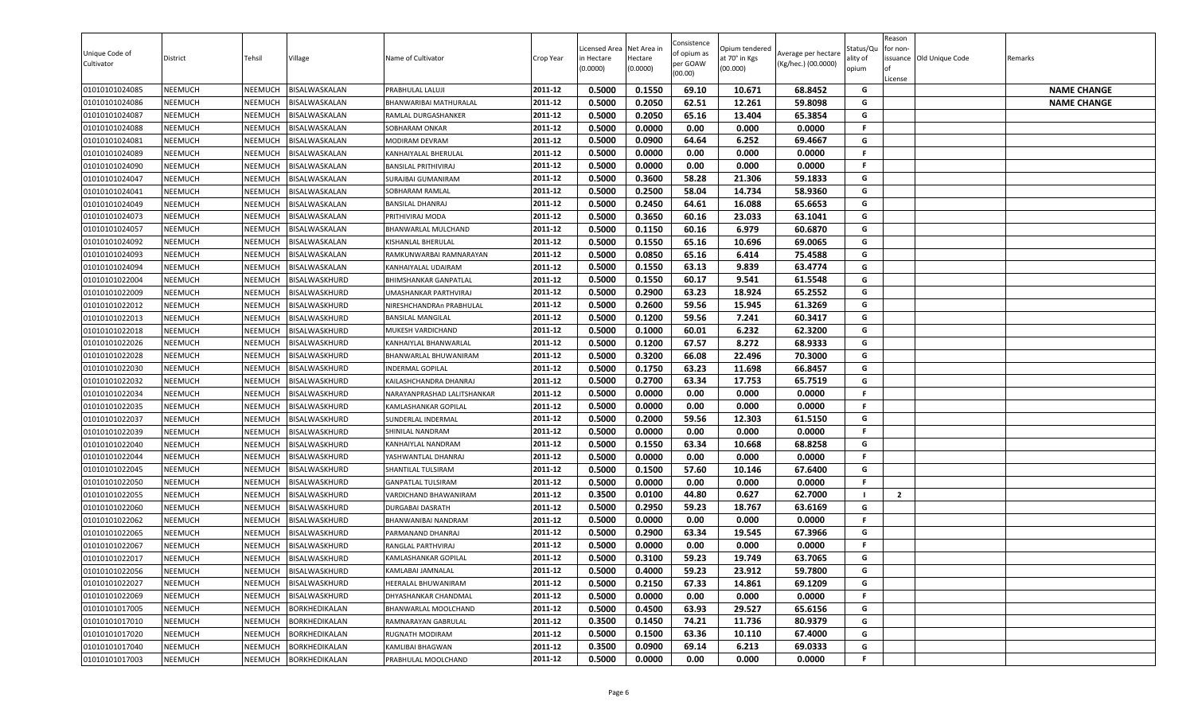| Unique Code of<br>Cultivator | District       | Tehsil         | Village              | Name of Cultivator          | Crop Year | Licensed Area<br>in Hectare<br>(0.0000) | Net Area in<br>Hectare<br>(0.0000) | Consistence<br>of opium as<br>per GOAW<br>(00.00) | )pium tendered<br>at 70° in Kgs<br>(00.000) | Average per hectare<br>(Kg/hec.) (00.0000) | Status/Qเ<br>ality of<br>opium | Reason<br>for non-<br>lof<br>License | issuance Old Unique Code | Remarks            |
|------------------------------|----------------|----------------|----------------------|-----------------------------|-----------|-----------------------------------------|------------------------------------|---------------------------------------------------|---------------------------------------------|--------------------------------------------|--------------------------------|--------------------------------------|--------------------------|--------------------|
| 01010101024085               | <b>NEEMUCH</b> | NEEMUCH        | BISALWASKALAN        | PRABHULAL LALUJI            | 2011-12   | 0.5000                                  | 0.1550                             | 69.10                                             | 10.671                                      | 68.8452                                    | G                              |                                      |                          | <b>NAME CHANGE</b> |
| 01010101024086               | <b>NEEMUCH</b> | NEEMUCH        | BISALWASKALAN        | BHANWARIBAI MATHURALAL      | 2011-12   | 0.5000                                  | 0.2050                             | 62.51                                             | 12.261                                      | 59.8098                                    | G                              |                                      |                          | <b>NAME CHANGE</b> |
| 01010101024087               | NEEMUCH        | NEEMUCH        | BISALWASKALAN        | RAMLAL DURGASHANKER         | 2011-12   | 0.5000                                  | 0.2050                             | 65.16                                             | 13.404                                      | 65.3854                                    | G                              |                                      |                          |                    |
| 01010101024088               | <b>NEEMUCH</b> | NEEMUCH        | BISALWASKALAN        | SOBHARAM ONKAR              | 2011-12   | 0.5000                                  | 0.0000                             | 0.00                                              | 0.000                                       | 0.0000                                     | F.                             |                                      |                          |                    |
| 01010101024081               | <b>NEEMUCH</b> | NEEMUCH        | BISALWASKALAN        | MODIRAM DEVRAM              | 2011-12   | 0.5000                                  | 0.0900                             | 64.64                                             | 6.252                                       | 69.4667                                    | G                              |                                      |                          |                    |
| 01010101024089               | <b>NEEMUCH</b> | NEEMUCH        | BISALWASKALAN        | KANHAIYALAL BHERULAL        | 2011-12   | 0.5000                                  | 0.0000                             | 0.00                                              | 0.000                                       | 0.0000                                     | F.                             |                                      |                          |                    |
| 01010101024090               | <b>NEEMUCH</b> | NEEMUCH        | BISALWASKALAN        | <b>BANSILAL PRITHIVIRAJ</b> | 2011-12   | 0.5000                                  | 0.0000                             | 0.00                                              | 0.000                                       | 0.0000                                     | F.                             |                                      |                          |                    |
| 01010101024047               | <b>NEEMUCH</b> | NEEMUCH        | BISALWASKALAN        | <b>SURAJBAI GUMANIRAM</b>   | 2011-12   | 0.5000                                  | 0.3600                             | 58.28                                             | 21.306                                      | 59.1833                                    | G                              |                                      |                          |                    |
| 01010101024041               | <b>NEEMUCH</b> | NEEMUCH        | BISALWASKALAN        | SOBHARAM RAMLAL             | 2011-12   | 0.5000                                  | 0.2500                             | 58.04                                             | 14.734                                      | 58.9360                                    | G                              |                                      |                          |                    |
| 01010101024049               | <b>NEEMUCH</b> | NEEMUCH        | BISALWASKALAN        | <b>BANSILAL DHANRAJ</b>     | 2011-12   | 0.5000                                  | 0.2450                             | 64.61                                             | 16.088                                      | 65.6653                                    | G                              |                                      |                          |                    |
| 01010101024073               | <b>NEEMUCH</b> | NEEMUCH        | BISALWASKALAN        | PRITHIVIRAJ MODA            | 2011-12   | 0.5000                                  | 0.3650                             | 60.16                                             | 23.033                                      | 63.1041                                    | G                              |                                      |                          |                    |
| 01010101024057               | <b>NEEMUCH</b> | NEEMUCH        | BISALWASKALAN        | BHANWARLAL MULCHAND         | 2011-12   | 0.5000                                  | 0.1150                             | 60.16                                             | 6.979                                       | 60.6870                                    | G                              |                                      |                          |                    |
| 01010101024092               | <b>NEEMUCH</b> | NEEMUCH        | BISALWASKALAN        | KISHANLAL BHERULAL          | 2011-12   | 0.5000                                  | 0.1550                             | 65.16                                             | 10.696                                      | 69.0065                                    | G                              |                                      |                          |                    |
| 01010101024093               | <b>NEEMUCH</b> | NEEMUCH        | BISALWASKALAN        | RAMKUNWARBAI RAMNARAYAN     | 2011-12   | 0.5000                                  | 0.0850                             | 65.16                                             | 6.414                                       | 75.4588                                    | G                              |                                      |                          |                    |
| 01010101024094               | <b>NEEMUCH</b> | NEEMUCH        | BISALWASKALAN        | KANHAIYALAL UDAIRAM         | 2011-12   | 0.5000                                  | 0.1550                             | 63.13                                             | 9.839                                       | 63.4774                                    | G                              |                                      |                          |                    |
| 01010101022004               | <b>NEEMUCH</b> | NEEMUCH        | BISALWASKHURD        | BHIMSHANKAR GANPATLAL       | 2011-12   | 0.5000                                  | 0.1550                             | 60.17                                             | 9.541                                       | 61.5548                                    | G                              |                                      |                          |                    |
| 01010101022009               | <b>NEEMUCH</b> | NEEMUCH        | BISALWASKHURD        | UMASHANKAR PARTHVIRAJ       | 2011-12   | 0.5000                                  | 0.2900                             | 63.23                                             | 18.924                                      | 65.2552                                    | G                              |                                      |                          |                    |
| 01010101022012               | <b>NEEMUCH</b> | NEEMUCH        | BISALWASKHURD        | NIRESHCHANDRAn PRABHULAL    | 2011-12   | 0.5000                                  | 0.2600                             | 59.56                                             | 15.945                                      | 61.3269                                    | G                              |                                      |                          |                    |
| 01010101022013               | <b>NEEMUCH</b> | NEEMUCH        | BISALWASKHURD        | <b>BANSILAL MANGILAL</b>    | 2011-12   | 0.5000                                  | 0.1200                             | 59.56                                             | 7.241                                       | 60.3417                                    | G                              |                                      |                          |                    |
| 01010101022018               | <b>NEEMUCH</b> | NEEMUCH        | BISALWASKHURD        | MUKESH VARDICHAND           | 2011-12   | 0.5000                                  | 0.1000                             | 60.01                                             | 6.232                                       | 62.3200                                    | G                              |                                      |                          |                    |
| 01010101022026               | <b>NEEMUCH</b> | NEEMUCH        | BISALWASKHURD        | KANHAIYLAL BHANWARLAL       | 2011-12   | 0.5000                                  | 0.1200                             | 67.57                                             | 8.272                                       | 68.9333                                    | G                              |                                      |                          |                    |
| 01010101022028               | <b>NEEMUCH</b> | NEEMUCH        | BISALWASKHURD        | BHANWARLAL BHUWANIRAM       | 2011-12   | 0.5000                                  | 0.3200                             | 66.08                                             | 22.496                                      | 70.3000                                    | G                              |                                      |                          |                    |
| 01010101022030               | <b>NEEMUCH</b> | NEEMUCH        | BISALWASKHURD        | <b>INDERMAL GOPILAL</b>     | 2011-12   | 0.5000                                  | 0.1750                             | 63.23                                             | 11.698                                      | 66.8457                                    | G                              |                                      |                          |                    |
| 01010101022032               | <b>NEEMUCH</b> | NEEMUCH        | BISALWASKHURD        | KAILASHCHANDRA DHANRAJ      | 2011-12   | 0.5000                                  | 0.2700                             | 63.34                                             | 17.753                                      | 65.7519                                    | G                              |                                      |                          |                    |
| 01010101022034               | <b>NEEMUCH</b> | NEEMUCH        | BISALWASKHURD        | NARAYANPRASHAD LALITSHANKAR | 2011-12   | 0.5000                                  | 0.0000                             | 0.00                                              | 0.000                                       | 0.0000                                     | F.                             |                                      |                          |                    |
| 01010101022035               | <b>NEEMUCH</b> | NEEMUCH        | BISALWASKHURD        | KAMLASHANKAR GOPILAI        | 2011-12   | 0.5000                                  | 0.0000                             | 0.00                                              | 0.000                                       | 0.0000                                     | F.                             |                                      |                          |                    |
| 01010101022037               | <b>NEEMUCH</b> | NEEMUCH        | BISALWASKHURD        | SUNDERLAL INDERMAL          | 2011-12   | 0.5000                                  | 0.2000                             | 59.56                                             | 12.303                                      | 61.5150                                    | G                              |                                      |                          |                    |
| 01010101022039               | <b>NEEMUCH</b> | NEEMUCH        | BISALWASKHURD        | SHINILAL NANDRAM            | 2011-12   | 0.5000                                  | 0.0000                             | 0.00                                              | 0.000                                       | 0.0000                                     | F                              |                                      |                          |                    |
| 01010101022040               | <b>NEEMUCH</b> | NEEMUCH        | BISALWASKHURD        | KANHAIYLAL NANDRAM          | 2011-12   | 0.5000                                  | 0.1550                             | 63.34                                             | 10.668                                      | 68.8258                                    | G                              |                                      |                          |                    |
| 01010101022044               | <b>NEEMUCH</b> | NEEMUCH        | BISALWASKHURD        | YASHWANTLAL DHANRAJ         | 2011-12   | 0.5000                                  | 0.0000                             | 0.00                                              | 0.000                                       | 0.0000                                     | F.                             |                                      |                          |                    |
| 01010101022045               | <b>NEEMUCH</b> | NEEMUCH        | BISALWASKHURD        | SHANTILAL TULSIRAM          | 2011-12   | 0.5000                                  | 0.1500                             | 57.60                                             | 10.146                                      | 67.6400                                    | G                              |                                      |                          |                    |
| 01010101022050               | <b>NEEMUCH</b> | NEEMUCH        | BISALWASKHURD        | <b>GANPATLAL TULSIRAM</b>   | 2011-12   | 0.5000                                  | 0.0000                             | 0.00                                              | 0.000                                       | 0.0000                                     | .F                             |                                      |                          |                    |
| 01010101022055               | <b>NEEMUCH</b> | NEEMUCH        | BISALWASKHURD        | VARDICHAND BHAWANIRAM       | 2011-12   | 0.3500                                  | 0.0100                             | 44.80                                             | 0.627                                       | 62.7000                                    | $\blacksquare$                 | $\overline{2}$                       |                          |                    |
| 01010101022060               | <b>NEEMUCH</b> | NEEMUCH        | BISALWASKHURD        | DURGABAI DASRATH            | 2011-12   | 0.5000                                  | 0.2950                             | 59.23                                             | 18.767                                      | 63.6169                                    | G                              |                                      |                          |                    |
| 01010101022062               | <b>NEEMUCH</b> | NEEMUCH        | BISALWASKHURD        | BHANWANIBAI NANDRAM         | 2011-12   | 0.5000                                  | 0.0000                             | 0.00                                              | 0.000                                       | 0.0000                                     | F.                             |                                      |                          |                    |
| 01010101022065               | <b>NEEMUCH</b> | NEEMUCH        | BISALWASKHURD        | PARMANAND DHANRAJ           | 2011-12   | 0.5000                                  | 0.2900                             | 63.34                                             | 19.545                                      | 67.3966                                    | G                              |                                      |                          |                    |
| 01010101022067               | <b>NEEMUCH</b> | NEEMUCH        | BISALWASKHURD        | RANGLAL PARTHVIRAJ          | 2011-12   | 0.5000                                  | 0.0000                             | 0.00                                              | 0.000                                       | 0.0000                                     | F.                             |                                      |                          |                    |
| 01010101022017               | <b>NEEMUCH</b> | NEEMUCH        | BISALWASKHURD        | <b>KAMLASHANKAR GOPILAL</b> | 2011-12   | 0.5000                                  | 0.3100                             | 59.23                                             | 19.749                                      | 63.7065                                    | G                              |                                      |                          |                    |
| 01010101022056               | <b>NEEMUCH</b> | NEEMUCH        | BISALWASKHURD        | KAMLABAI JAMNALAL           | 2011-12   | 0.5000                                  | 0.4000                             | 59.23                                             | 23.912                                      | 59.7800                                    | G                              |                                      |                          |                    |
| 01010101022027               | <b>NEEMUCH</b> | NEEMUCH        | BISALWASKHURD        | HEERALAL BHUWANIRAM         | 2011-12   | 0.5000                                  | 0.2150                             | 67.33                                             | 14.861                                      | 69.1209                                    | G                              |                                      |                          |                    |
| 01010101022069               | <b>NEEMUCH</b> | <b>NEEMUCH</b> | BISALWASKHURD        | DHYASHANKAR CHANDMAL        | 2011-12   | 0.5000                                  | 0.0000                             | 0.00                                              | 0.000                                       | 0.0000                                     | F                              |                                      |                          |                    |
| 01010101017005               | <b>NEEMUCH</b> | NEEMUCH        | <b>BORKHEDIKALAN</b> | BHANWARLAL MOOLCHAND        | 2011-12   | 0.5000                                  | 0.4500                             | 63.93                                             | 29.527                                      | 65.6156                                    | G                              |                                      |                          |                    |
| 01010101017010               | <b>NEEMUCH</b> | NEEMUCH        | BORKHEDIKALAN        | RAMNARAYAN GABRULAL         | 2011-12   | 0.3500                                  | 0.1450                             | 74.21                                             | 11.736                                      | 80.9379                                    | G                              |                                      |                          |                    |
| 01010101017020               | <b>NEEMUCH</b> | NEEMUCH        | BORKHEDIKALAN        | RUGNATH MODIRAM             | 2011-12   | 0.5000                                  | 0.1500                             | 63.36                                             | 10.110                                      | 67.4000                                    | G                              |                                      |                          |                    |
| 01010101017040               | <b>NEEMUCH</b> | <b>NEEMUCH</b> | BORKHEDIKALAN        | KAMLIBAI BHAGWAN            | 2011-12   | 0.3500                                  | 0.0900                             | 69.14                                             | 6.213                                       | 69.0333                                    | G                              |                                      |                          |                    |
| 01010101017003               | <b>NEEMUCH</b> | NEEMUCH        | BORKHEDIKALAN        | PRABHULAL MOOLCHAND         | 2011-12   | 0.5000                                  | 0.0000                             | 0.00                                              | 0.000                                       | 0.0000                                     | F                              |                                      |                          |                    |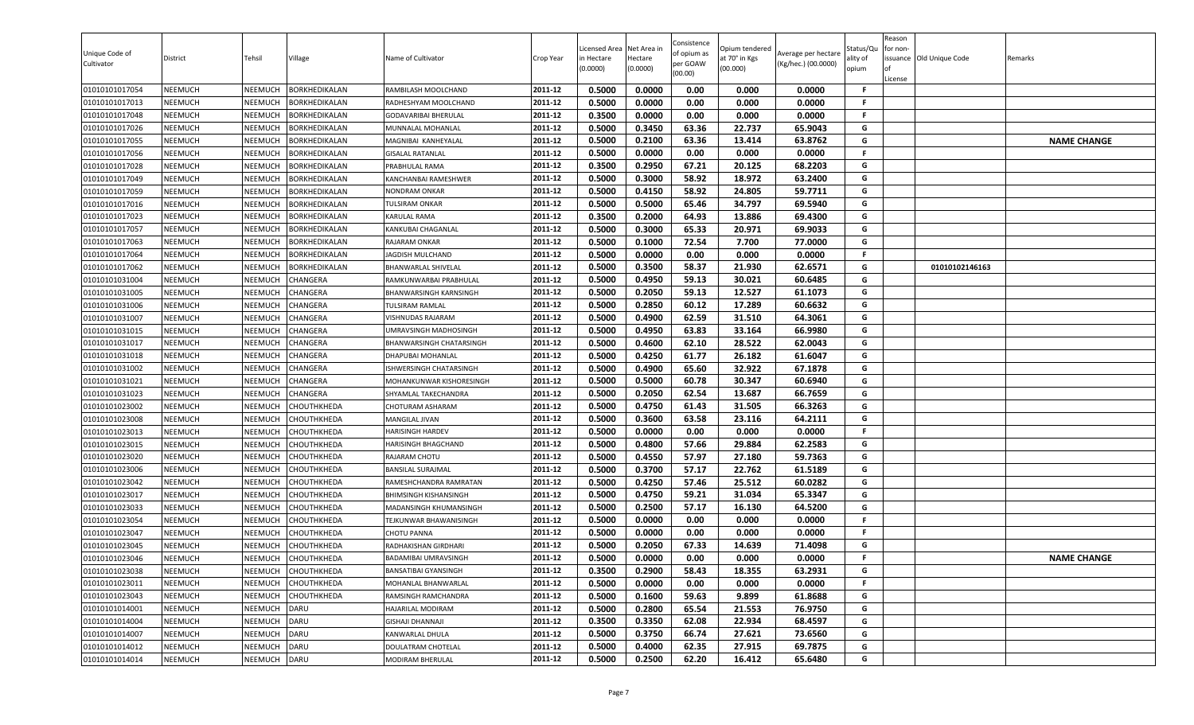| Unique Code of<br>Cultivator | District       | Tehsil         | Village              | Name of Cultivator            | Crop Year | Licensed Area<br>in Hectare<br>(0.0000) | Net Area in<br>Hectare<br>(0.0000) | Consistence<br>of opium as<br>per GOAW<br>(00.00) | Opium tendered<br>at 70° in Kgs<br>(00.000) | Average per hectare<br>(Kg/hec.) (00.0000) | Status/Qu<br>ality of<br>opium | Reason<br>for non-<br>ssuance Old Unique Code<br>License | Remarks            |
|------------------------------|----------------|----------------|----------------------|-------------------------------|-----------|-----------------------------------------|------------------------------------|---------------------------------------------------|---------------------------------------------|--------------------------------------------|--------------------------------|----------------------------------------------------------|--------------------|
| 01010101017054               | <b>NEEMUCH</b> | NEEMUCH        | <b>BORKHEDIKALAN</b> | RAMBILASH MOOLCHAND           | 2011-12   | 0.5000                                  | 0.0000                             | 0.00                                              | 0.000                                       | 0.0000                                     | -F                             |                                                          |                    |
| 01010101017013               | <b>NEEMUCH</b> | NEEMUCH        | BORKHEDIKALAN        | RADHESHYAM MOOLCHAND          | 2011-12   | 0.5000                                  | 0.0000                             | 0.00                                              | 0.000                                       | 0.0000                                     | -F                             |                                                          |                    |
| 01010101017048               | <b>NEEMUCH</b> | NEEMUCH        | <b>BORKHEDIKALAN</b> | <b>GODAVARIBAI BHERULAL</b>   | 2011-12   | 0.3500                                  | 0.0000                             | 0.00                                              | 0.000                                       | 0.0000                                     | F.                             |                                                          |                    |
| 01010101017026               | <b>NEEMUCH</b> | NEEMUCH        | <b>BORKHEDIKALAN</b> | MUNNALAL MOHANLAL             | 2011-12   | 0.5000                                  | 0.3450                             | 63.36                                             | 22.737                                      | 65.9043                                    | G                              |                                                          |                    |
| 01010101017055               | <b>NEEMUCH</b> | NEEMUCH        | <b>BORKHEDIKALAN</b> | MAGNIBAI KANHEYALAL           | 2011-12   | 0.5000                                  | 0.2100                             | 63.36                                             | 13.414                                      | 63.8762                                    | G                              |                                                          | <b>NAME CHANGE</b> |
| 01010101017056               | <b>NEEMUCH</b> | NEEMUCH        | <b>BORKHEDIKALAN</b> | <b>GISALAL RATANLAL</b>       | 2011-12   | 0.5000                                  | 0.0000                             | 0.00                                              | 0.000                                       | 0.0000                                     | F.                             |                                                          |                    |
| 01010101017028               | <b>NEEMUCH</b> | NEEMUCH        | <b>BORKHEDIKALAN</b> | PRABHULAL RAMA                | 2011-12   | 0.3500                                  | 0.2950                             | 67.21                                             | 20.125                                      | 68.2203                                    | G                              |                                                          |                    |
| 01010101017049               | <b>NEEMUCH</b> | NEEMUCH        | <b>BORKHEDIKALAN</b> | <b>KANCHANBAI RAMESHWER</b>   | 2011-12   | 0.5000                                  | 0.3000                             | 58.92                                             | 18.972                                      | 63.2400                                    | G                              |                                                          |                    |
| 01010101017059               | <b>NEEMUCH</b> | NEEMUCH        | <b>BORKHEDIKALAN</b> | <b>NONDRAM ONKAR</b>          | 2011-12   | 0.5000                                  | 0.4150                             | 58.92                                             | 24.805                                      | 59.7711                                    | G                              |                                                          |                    |
| 01010101017016               | <b>NEEMUCH</b> | NEEMUCH        | BORKHEDIKALAN        | TULSIRAM ONKAR                | 2011-12   | 0.5000                                  | 0.5000                             | 65.46                                             | 34.797                                      | 69.5940                                    | G                              |                                                          |                    |
| 01010101017023               | <b>NEEMUCH</b> | NEEMUCH        | <b>BORKHEDIKALAN</b> | KARULAL RAMA                  | 2011-12   | 0.3500                                  | 0.2000                             | 64.93                                             | 13.886                                      | 69.4300                                    | G                              |                                                          |                    |
| 01010101017057               | <b>NEEMUCH</b> | NEEMUCH        | <b>BORKHEDIKALAN</b> | KANKUBAI CHAGANLAL            | 2011-12   | 0.5000                                  | 0.3000                             | 65.33                                             | 20.971                                      | 69.9033                                    | G                              |                                                          |                    |
| 01010101017063               | <b>NEEMUCH</b> | <b>NEEMUCH</b> | <b>BORKHEDIKALAN</b> | RAJARAM ONKAR                 | 2011-12   | 0.5000                                  | 0.1000                             | 72.54                                             | 7.700                                       | 77.0000                                    | G                              |                                                          |                    |
| 01010101017064               | <b>NEEMUCH</b> | NEEMUCH        | BORKHEDIKALAN        | JAGDISH MULCHAND              | 2011-12   | 0.5000                                  | 0.0000                             | 0.00                                              | 0.000                                       | 0.0000                                     | F.                             |                                                          |                    |
| 01010101017062               | <b>NEEMUCH</b> | NEEMUCH        | <b>BORKHEDIKALAN</b> | <b>BHANWARLAL SHIVELAL</b>    | 2011-12   | 0.5000                                  | 0.3500                             | 58.37                                             | 21.930                                      | 62.6571                                    | G                              | 01010102146163                                           |                    |
| 01010101031004               | <b>NEEMUCH</b> | NEEMUCH        | CHANGERA             | RAMKUNWARBAI PRABHULAL        | 2011-12   | 0.5000                                  | 0.4950                             | 59.13                                             | 30.021                                      | 60.6485                                    | G                              |                                                          |                    |
| 01010101031005               | <b>NEEMUCH</b> | NEEMUCH        | CHANGERA             | <b>BHANWARSINGH KARNSINGH</b> | 2011-12   | 0.5000                                  | 0.2050                             | 59.13                                             | 12.527                                      | 61.1073                                    | G                              |                                                          |                    |
| 01010101031006               | <b>NEEMUCH</b> | NEEMUCH        | CHANGERA             | <b>TULSIRAM RAMLAL</b>        | 2011-12   | 0.5000                                  | 0.2850                             | 60.12                                             | 17.289                                      | 60.6632                                    | G                              |                                                          |                    |
| 01010101031007               | <b>NEEMUCH</b> | NEEMUCH        | CHANGERA             | VISHNUDAS RAJARAM             | 2011-12   | 0.5000                                  | 0.4900                             | 62.59                                             | 31.510                                      | 64.3061                                    | G                              |                                                          |                    |
| 01010101031015               | <b>NEEMUCH</b> | NEEMUCH        | CHANGERA             | UMRAVSINGH MADHOSINGH         | 2011-12   | 0.5000                                  | 0.4950                             | 63.83                                             | 33.164                                      | 66.9980                                    | G                              |                                                          |                    |
| 01010101031017               | <b>NEEMUCH</b> | NEEMUCH        | CHANGERA             | BHANWARSINGH CHATARSINGH      | 2011-12   | 0.5000                                  | 0.4600                             | 62.10                                             | 28.522                                      | 62.0043                                    | G                              |                                                          |                    |
| 01010101031018               | <b>NEEMUCH</b> | NEEMUCH        | CHANGERA             | DHAPUBAI MOHANLAL             | 2011-12   | 0.5000                                  | 0.4250                             | 61.77                                             | 26.182                                      | 61.6047                                    | G                              |                                                          |                    |
| 01010101031002               | <b>NEEMUCH</b> | NEEMUCH        | CHANGERA             | ISHWERSINGH CHATARSINGH       | 2011-12   | 0.5000                                  | 0.4900                             | 65.60                                             | 32.922                                      | 67.1878                                    | G                              |                                                          |                    |
| 01010101031021               | <b>NEEMUCH</b> | NEEMUCH        | CHANGERA             | MOHANKUNWAR KISHORESINGH      | 2011-12   | 0.5000                                  | 0.5000                             | 60.78                                             | 30.347                                      | 60.6940                                    | G                              |                                                          |                    |
| 01010101031023               | <b>NEEMUCH</b> | NEEMUCH        | CHANGERA             | SHYAMLAL TAKECHANDRA          | 2011-12   | 0.5000                                  | 0.2050                             | 62.54                                             | 13.687                                      | 66.7659                                    | G                              |                                                          |                    |
| 01010101023002               | <b>NEEMUCH</b> | NEEMUCH        | CHOUTHKHEDA          | CHOTURAM ASHARAM              | 2011-12   | 0.5000                                  | 0.4750                             | 61.43                                             | 31.505                                      | 66.3263                                    | G                              |                                                          |                    |
| 01010101023008               | <b>NEEMUCH</b> | NEEMUCH        | CHOUTHKHEDA          | MANGILAL JIVAN                | 2011-12   | 0.5000                                  | 0.3600                             | 63.58                                             | 23.116                                      | 64.2111                                    | G                              |                                                          |                    |
| 01010101023013               | <b>NEEMUCH</b> | NEEMUCH        | CHOUTHKHEDA          | HARISINGH HARDEV              | 2011-12   | 0.5000                                  | 0.0000                             | 0.00                                              | 0.000                                       | 0.0000                                     | F.                             |                                                          |                    |
| 01010101023015               | <b>NEEMUCH</b> | NEEMUCH        | CHOUTHKHEDA          | HARISINGH BHAGCHAND           | 2011-12   | 0.5000                                  | 0.4800                             | 57.66                                             | 29.884                                      | 62.2583                                    | G                              |                                                          |                    |
| 01010101023020               | <b>NEEMUCH</b> | NEEMUCH        | CHOUTHKHEDA          | RAJARAM CHOTU                 | 2011-12   | 0.5000                                  | 0.4550                             | 57.97                                             | 27.180                                      | 59.7363                                    | G                              |                                                          |                    |
| 01010101023006               | <b>NEEMUCH</b> | NEEMUCH        | <b>CHOUTHKHEDA</b>   | <b>BANSILAL SURAJMAL</b>      | 2011-12   | 0.5000                                  | 0.3700                             | 57.17                                             | 22.762                                      | 61.5189                                    | G                              |                                                          |                    |
| 01010101023042               | <b>NEEMUCH</b> | <b>NEEMUCH</b> | CHOUTHKHEDA          | RAMESHCHANDRA RAMRATAN        | 2011-12   | 0.5000                                  | 0.4250                             | 57.46                                             | 25.512                                      | 60.0282                                    | G                              |                                                          |                    |
| 01010101023017               | <b>NEEMUCH</b> | NEEMUCH        | <b>CHOUTHKHEDA</b>   | <b>BHIMSINGH KISHANSINGH</b>  | 2011-12   | 0.5000                                  | 0.4750                             | 59.21                                             | 31.034                                      | 65.3347                                    | G                              |                                                          |                    |
| 01010101023033               | <b>NEEMUCH</b> | NEEMUCH        | CHOUTHKHEDA          | MADANSINGH KHUMANSINGH        | 2011-12   | 0.5000                                  | 0.2500                             | 57.17                                             | 16.130                                      | 64.5200                                    | G                              |                                                          |                    |
| 01010101023054               | <b>NEEMUCH</b> | NEEMUCH        | CHOUTHKHEDA          | TEJKUNWAR BHAWANISINGH        | 2011-12   | 0.5000                                  | 0.0000                             | 0.00                                              | 0.000                                       | 0.0000                                     | F.                             |                                                          |                    |
| 01010101023047               | <b>NEEMUCH</b> | <b>NEEMUCH</b> | CHOUTHKHEDA          | <b>CHOTU PANNA</b>            | 2011-12   | 0.5000                                  | 0.0000                             | 0.00                                              | 0.000                                       | 0.0000                                     | F.                             |                                                          |                    |
| 01010101023045               | <b>NEEMUCH</b> | NEEMUCH        | <b>CHOUTHKHEDA</b>   | RADHAKISHAN GIRDHARI          | 2011-12   | 0.5000                                  | 0.2050                             | 67.33                                             | 14.639                                      | 71.4098                                    | G                              |                                                          |                    |
| 01010101023046               | <b>NEEMUCH</b> | NEEMUCH        | CHOUTHKHEDA          | <b>BADAMIBAI UMRAVSINGH</b>   | 2011-12   | 0.5000                                  | 0.0000                             | 0.00                                              | 0.000                                       | 0.0000                                     | F.                             |                                                          | <b>NAME CHANGE</b> |
| 01010101023038               | <b>NEEMUCH</b> |                | NEEMUCH CHOUTHKHEDA  | BANSATIBAI GYANSINGH          | 2011-12   | 0.3500                                  | 0.2900                             | 58.43                                             | 18.355                                      | 63.2931                                    | G                              |                                                          |                    |
| 01010101023011               | <b>NEEMUCH</b> | NEEMUCH        | СНОИТНКНЕДА          | MOHANLAL BHANWARLAL           | 2011-12   | 0.5000                                  | 0.0000                             | 0.00                                              | 0.000                                       | 0.0000                                     | .F                             |                                                          |                    |
| 01010101023043               | <b>NEEMUCH</b> | NEEMUCH        | СНОИТНКНЕДА          | RAMSINGH RAMCHANDRA           | 2011-12   | 0.5000                                  | 0.1600                             | 59.63                                             | 9.899                                       | 61.8688                                    | G                              |                                                          |                    |
| 01010101014001               | <b>NEEMUCH</b> | NEEMUCH        | <b>DARU</b>          | HAJARILAL MODIRAM             | 2011-12   | 0.5000                                  | 0.2800                             | 65.54                                             | 21.553                                      | 76.9750                                    | G                              |                                                          |                    |
| 01010101014004               | <b>NEEMUCH</b> | NEEMUCH        | <b>DARU</b>          | GISHAJI DHANNAJI              | 2011-12   | 0.3500                                  | 0.3350                             | 62.08                                             | 22.934                                      | 68.4597                                    | G                              |                                                          |                    |
| 01010101014007               | <b>NEEMUCH</b> | NEEMUCH        | <b>DARU</b>          | KANWARLAL DHULA               | 2011-12   | 0.5000                                  | 0.3750                             | 66.74                                             | 27.621                                      | 73.6560                                    | G                              |                                                          |                    |
| 01010101014012               | <b>NEEMUCH</b> | NEEMUCH        | <b>DARU</b>          | DOULATRAM CHOTELAL            | 2011-12   | 0.5000                                  | 0.4000                             | 62.35                                             | 27.915                                      | 69.7875                                    | G                              |                                                          |                    |
| 01010101014014               | <b>NEEMUCH</b> | NEEMUCH DARU   |                      | MODIRAM BHERULAL              | 2011-12   | 0.5000                                  | 0.2500                             | 62.20                                             | 16.412                                      | 65.6480                                    | G                              |                                                          |                    |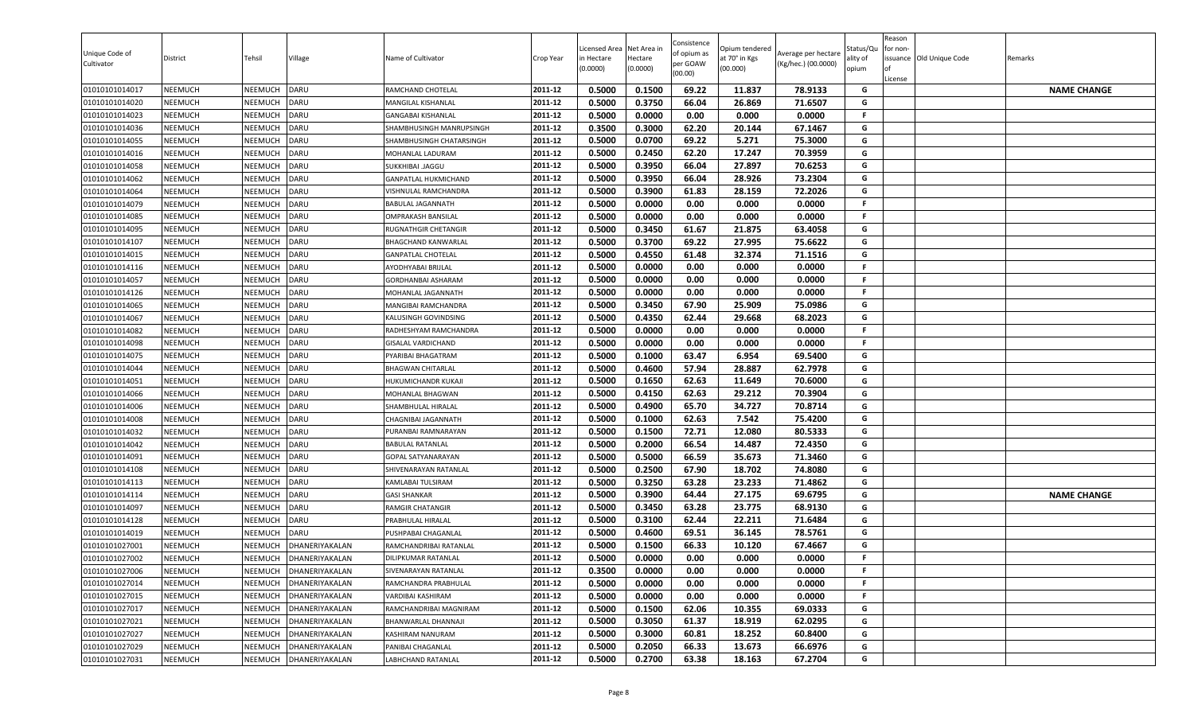| Unique Code of<br>Cultivator | District       | Tehsil         | Village        | Name of Cultivator          | Crop Year | Licensed Area<br>in Hectare<br>(0.0000) | Net Area in<br>Hectare<br>(0.0000) | Consistence<br>of opium as<br>per GOAW<br>(00.00) | Opium tendered<br>at 70° in Kgs<br>(00.000) | Average per hectare<br>(Kg/hec.) (00.0000) | აtatus/Qι<br>lity of<br>opium | Reason<br>for non-<br>lof<br>License | issuance Old Unique Code | Remarks            |
|------------------------------|----------------|----------------|----------------|-----------------------------|-----------|-----------------------------------------|------------------------------------|---------------------------------------------------|---------------------------------------------|--------------------------------------------|-------------------------------|--------------------------------------|--------------------------|--------------------|
| 01010101014017               | <b>NEEMUCH</b> | NEEMUCH        | <b>DARU</b>    | RAMCHAND CHOTELAL           | 2011-12   | 0.5000                                  | 0.1500                             | 69.22                                             | 11.837                                      | 78.9133                                    | G                             |                                      |                          | <b>NAME CHANGE</b> |
| 01010101014020               | NEEMUCH        | NEEMUCH        | DARU           | MANGILAL KISHANLAL          | 2011-12   | 0.5000                                  | 0.3750                             | 66.04                                             | 26.869                                      | 71.6507                                    | G                             |                                      |                          |                    |
| 01010101014023               | NEEMUCH        | <b>NEEMUCH</b> | <b>DARU</b>    | <b>GANGABAI KISHANLAL</b>   | 2011-12   | 0.5000                                  | 0.0000                             | 0.00                                              | 0.000                                       | 0.0000                                     | F.                            |                                      |                          |                    |
| 01010101014036               | NEEMUCH        | NEEMUCH        | DARU           | SHAMBHUSINGH MANRUPSINGH    | 2011-12   | 0.3500                                  | 0.3000                             | 62.20                                             | 20.144                                      | 67.1467                                    | G                             |                                      |                          |                    |
| 01010101014055               | NEEMUCH        | NEEMUCH        | DARU           | SHAMBHUSINGH CHATARSINGH    | 2011-12   | 0.5000                                  | 0.0700                             | 69.22                                             | 5.271                                       | 75.3000                                    | G                             |                                      |                          |                    |
| 01010101014016               | <b>NEEMUCH</b> | NEEMUCH        | DARU           | MOHANLAL LADURAM            | 2011-12   | 0.5000                                  | 0.2450                             | 62.20                                             | 17.247                                      | 70.3959                                    | G                             |                                      |                          |                    |
| 01010101014058               | <b>NEEMUCH</b> | NEEMUCH        | DARU           | SUKKHIBAI .JAGGU            | 2011-12   | 0.5000                                  | 0.3950                             | 66.04                                             | 27.897                                      | 70.6253                                    | G                             |                                      |                          |                    |
| 01010101014062               | <b>NEEMUCH</b> | NEEMUCH        | DARU           | GANPATLAL HUKMICHAND        | 2011-12   | 0.5000                                  | 0.3950                             | 66.04                                             | 28.926                                      | 73.2304                                    | G                             |                                      |                          |                    |
| 01010101014064               | <b>NEEMUCH</b> | NEEMUCH        | DARU           | VISHNULAL RAMCHANDRA        | 2011-12   | 0.5000                                  | 0.3900                             | 61.83                                             | 28.159                                      | 72.2026                                    | G                             |                                      |                          |                    |
| 01010101014079               | NEEMUCH        | <b>NEEMUCH</b> | DARU           | <b>BABULAL JAGANNATH</b>    | 2011-12   | 0.5000                                  | 0.0000                             | 0.00                                              | 0.000                                       | 0.0000                                     | F.                            |                                      |                          |                    |
| 01010101014085               | NEEMUCH        | NEEMUCH        | DARU           | <b>OMPRAKASH BANSILAL</b>   | 2011-12   | 0.5000                                  | 0.0000                             | 0.00                                              | 0.000                                       | 0.0000                                     | F.                            |                                      |                          |                    |
| 01010101014095               | NEEMUCH        | NEEMUCH        | <b>DARU</b>    | <b>RUGNATHGIR CHETANGIR</b> | 2011-12   | 0.5000                                  | 0.3450                             | 61.67                                             | 21.875                                      | 63.4058                                    | G                             |                                      |                          |                    |
| 01010101014107               | <b>NEEMUCH</b> | NEEMUCH        | DARU           | BHAGCHAND KANWARLAL         | 2011-12   | 0.5000                                  | 0.3700                             | 69.22                                             | 27.995                                      | 75.6622                                    | G                             |                                      |                          |                    |
| 01010101014015               | NEEMUCH        | NEEMUCH        | DARU           | <b>GANPATLAL CHOTELAL</b>   | 2011-12   | 0.5000                                  | 0.4550                             | 61.48                                             | 32.374                                      | 71.1516                                    | G                             |                                      |                          |                    |
| 01010101014116               | NEEMUCH        | NEEMUCH        | DARU           | AYODHYABAI BRIJLAL          | 2011-12   | 0.5000                                  | 0.0000                             | 0.00                                              | 0.000                                       | 0.0000                                     | F.                            |                                      |                          |                    |
| 01010101014057               | <b>NEEMUCH</b> | NEEMUCH        | DARU           | GORDHANBAI ASHARAM          | 2011-12   | 0.5000                                  | 0.0000                             | 0.00                                              | 0.000                                       | 0.0000                                     | F.                            |                                      |                          |                    |
| 01010101014126               | <b>NEEMUCH</b> | NEEMUCH        | DARU           | MOHANLAL JAGANNATH          | 2011-12   | 0.5000                                  | 0.0000                             | 0.00                                              | 0.000                                       | 0.0000                                     | F.                            |                                      |                          |                    |
| 01010101014065               | NEEMUCH        | NEEMUCH        | DARU           | MANGIBAI RAMCHANDRA         | 2011-12   | 0.5000                                  | 0.3450                             | 67.90                                             | 25.909                                      | 75.0986                                    | G                             |                                      |                          |                    |
| 01010101014067               | NEEMUCH        | <b>NEEMUCH</b> | DARU           | KALUSINGH GOVINDSING        | 2011-12   | 0.5000                                  | 0.4350                             | 62.44                                             | 29.668                                      | 68.2023                                    | G                             |                                      |                          |                    |
| 01010101014082               | NEEMUCH        | NEEMUCH        | DARU           | RADHESHYAM RAMCHANDRA       | 2011-12   | 0.5000                                  | 0.0000                             | 0.00                                              | 0.000                                       | 0.0000                                     | F.                            |                                      |                          |                    |
| 01010101014098               | NEEMUCH        | NEEMUCH        | <b>DARU</b>    | <b>GISALAL VARDICHAND</b>   | 2011-12   | 0.5000                                  | 0.0000                             | 0.00                                              | 0.000                                       | 0.0000                                     | F                             |                                      |                          |                    |
| 01010101014075               | <b>NEEMUCH</b> | NEEMUCH        | DARU           | PYARIBAI BHAGATRAM          | 2011-12   | 0.5000                                  | 0.1000                             | 63.47                                             | 6.954                                       | 69.5400                                    | G                             |                                      |                          |                    |
| 01010101014044               | NEEMUCH        | NEEMUCH        | DARU           | <b>BHAGWAN CHITARLAL</b>    | 2011-12   | 0.5000                                  | 0.4600                             | 57.94                                             | 28.887                                      | 62.7978                                    | G                             |                                      |                          |                    |
| 01010101014051               | <b>NEEMUCH</b> | NEEMUCH        | DARU           | HUKUMICHANDR KUKAJI         | 2011-12   | 0.5000                                  | 0.1650                             | 62.63                                             | 11.649                                      | 70.6000                                    | G                             |                                      |                          |                    |
| 01010101014066               | <b>NEEMUCH</b> | NEEMUCH        | DARU           | MOHANLAL BHAGWAN            | 2011-12   | 0.5000                                  | 0.4150                             | 62.63                                             | 29.212                                      | 70.3904                                    | G                             |                                      |                          |                    |
| 01010101014006               | NEEMUCH        | NEEMUCH        | DARU           | SHAMBHULAL HIRALAL          | 2011-12   | 0.5000                                  | 0.4900                             | 65.70                                             | 34.727                                      | 70.8714                                    | G                             |                                      |                          |                    |
| 01010101014008               | NEEMUCH        | NEEMUCH        | DARU           | CHAGNIBAI JAGANNATH         | 2011-12   | 0.5000                                  | 0.1000                             | 62.63                                             | 7.542                                       | 75.4200                                    | G                             |                                      |                          |                    |
| 01010101014032               | NEEMUCH        | <b>NEEMUCH</b> | DARU           | PURANBAI RAMNARAYAN         | 2011-12   | 0.5000                                  | 0.1500                             | 72.71                                             | 12.080                                      | 80.5333                                    | G                             |                                      |                          |                    |
| 01010101014042               | NEEMUCH        | NEEMUCH        | DARU           | <b>BABULAL RATANLAL</b>     | 2011-12   | 0.5000                                  | 0.2000                             | 66.54                                             | 14.487                                      | 72.4350                                    | G                             |                                      |                          |                    |
| 01010101014091               | NEEMUCH        | NEEMUCH        | DARU           | GOPAL SATYANARAYAN          | 2011-12   | 0.5000                                  | 0.5000                             | 66.59                                             | 35.673                                      | 71.3460                                    | G                             |                                      |                          |                    |
| 01010101014108               | NEEMUCH        | NEEMUCH        | DARU           | SHIVENARAYAN RATANLAL       | 2011-12   | 0.5000                                  | 0.2500                             | 67.90                                             | 18.702                                      | 74.8080                                    | G                             |                                      |                          |                    |
| 01010101014113               | <b>NEEMUCH</b> | NEEMUCH        | DARU           | KAMLABAI TULSIRAM           | 2011-12   | 0.5000                                  | 0.3250                             | 63.28                                             | 23.233                                      | 71.4862                                    | G                             |                                      |                          |                    |
| 01010101014114               | NEEMUCH        | NEEMUCH        | DARU           | <b>GASI SHANKAR</b>         | 2011-12   | 0.5000                                  | 0.3900                             | 64.44                                             | 27.175                                      | 69.6795                                    | G                             |                                      |                          | <b>NAME CHANGE</b> |
| 01010101014097               | <b>NEEMUCH</b> | NEEMUCH        | DARU           | RAMGIR CHATANGIR            | 2011-12   | 0.5000                                  | 0.3450                             | 63.28                                             | 23.775                                      | 68.9130                                    | G                             |                                      |                          |                    |
| 01010101014128               | NEEMUCH        | NEEMUCH        | DARU           | PRABHULAL HIRALAL           | 2011-12   | 0.5000                                  | 0.3100                             | 62.44                                             | 22.211                                      | 71.6484                                    | G                             |                                      |                          |                    |
| 01010101014019               | NEEMUCH        | NEEMUCH        | DARU           | PUSHPABAI CHAGANLAL         | 2011-12   | 0.5000                                  | 0.4600                             | 69.51                                             | 36.145                                      | 78.5761                                    | G                             |                                      |                          |                    |
| 01010101027001               | NEEMUCH        | <b>NEEMUCH</b> | DHANERIYAKALAN | RAMCHANDRIBAI RATANLAL      | 2011-12   | 0.5000                                  | 0.1500                             | 66.33                                             | 10.120                                      | 67.4667                                    | G                             |                                      |                          |                    |
| 01010101027002               | <b>NEEMUCH</b> | NEEMUCH        | DHANERIYAKALAN | DILIPKUMAR RATANLAL         | 2011-12   | 0.5000                                  | 0.0000                             | 0.00                                              | 0.000                                       | 0.0000                                     | F.                            |                                      |                          |                    |
| 01010101027006               | NEEMUCH        | NEEMUCH        | DHANERIYAKALAN | SIVENARAYAN RATANLAL        | 2011-12   | 0.3500                                  | 0.0000                             | 0.00                                              | 0.000                                       | 0.0000                                     | F.                            |                                      |                          |                    |
| 01010101027014               | NEEMUCH        | NEEMUCH        | DHANERIYAKALAN | RAMCHANDRA PRABHULAL        | 2011-12   | 0.5000                                  | 0.0000                             | 0.00                                              | 0.000                                       | 0.0000                                     | F.                            |                                      |                          |                    |
| 01010101027015               | NEEMUCH        | NEEMUCH        | DHANERIYAKALAN | VARDIBAI KASHIRAM           | 2011-12   | 0.5000                                  | 0.0000                             | 0.00                                              | 0.000                                       | 0.0000                                     | F.                            |                                      |                          |                    |
| 01010101027017               | NEEMUCH        | NEEMUCH        | DHANERIYAKALAN | RAMCHANDRIBAI MAGNIRAM      | 2011-12   | 0.5000                                  | 0.1500                             | 62.06                                             | 10.355                                      | 69.0333                                    | G                             |                                      |                          |                    |
| 01010101027021               | <b>NEEMUCH</b> | NEEMUCH        | DHANERIYAKALAN | BHANWARLAL DHANNAJI         | 2011-12   | 0.5000                                  | 0.3050                             | 61.37                                             | 18.919                                      | 62.0295                                    | G                             |                                      |                          |                    |
| 01010101027027               | NEEMUCH        | NEEMUCH        | DHANERIYAKALAN | KASHIRAM NANURAM            | 2011-12   | 0.5000                                  | 0.3000                             | 60.81                                             | 18.252                                      | 60.8400                                    | G                             |                                      |                          |                    |
| 01010101027029               | NEEMUCH        | NEEMUCH        | DHANERIYAKALAN | PANIBAI CHAGANLAL           | 2011-12   | 0.5000                                  | 0.2050                             | 66.33                                             | 13.673                                      | 66.6976                                    | G                             |                                      |                          |                    |
| 01010101027031               | NEEMUCH        | NEEMUCH        | DHANERIYAKALAN | LABHCHAND RATANLAL          | 2011-12   | 0.5000                                  | 0.2700                             | 63.38                                             | 18.163                                      | 67.2704                                    | G                             |                                      |                          |                    |
|                              |                |                |                |                             |           |                                         |                                    |                                                   |                                             |                                            |                               |                                      |                          |                    |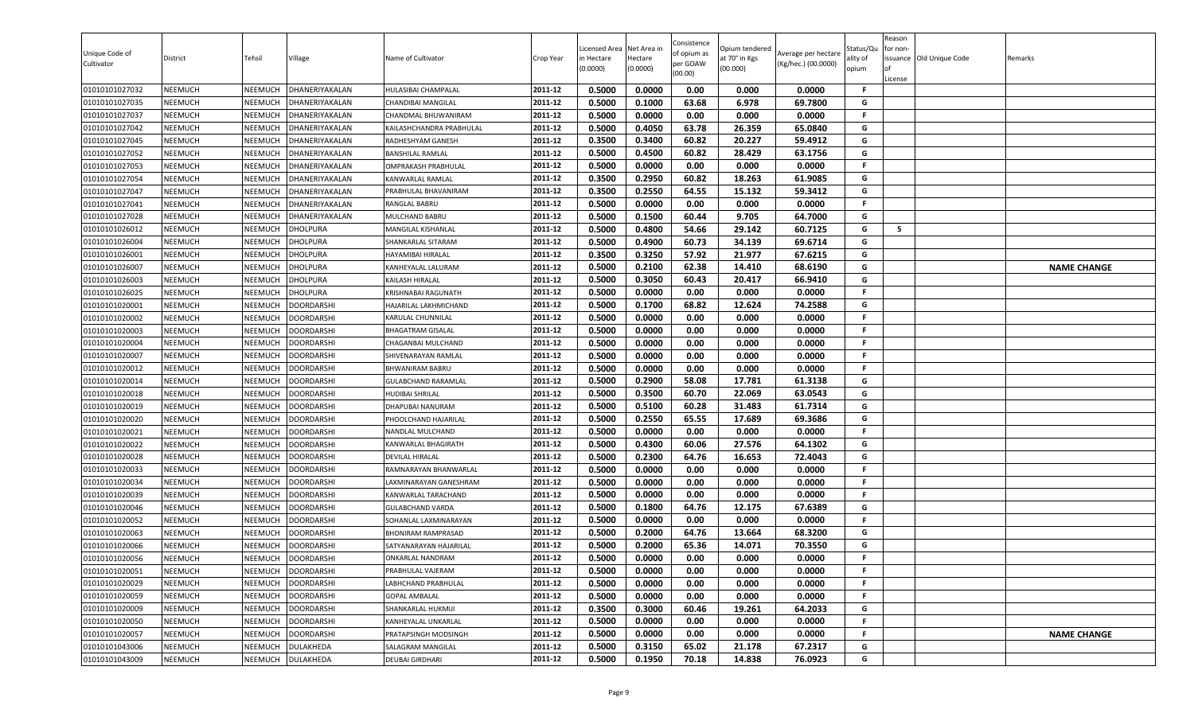| 0.5000<br>0.0000<br>0.00<br>0.0000<br><b>NEEMUCH</b><br>DHANERIYAKALAN<br>2011-12<br>0.000<br>01010101027032<br>NEEMUCH<br>HULASIBAI CHAMPALAL<br>F.<br>2011-12<br>0.5000<br>0.1000<br>63.68<br>6.978<br>69.7800<br>G<br>01010101027035<br>NEEMUCH<br>NEEMUCH<br>DHANERIYAKALAN<br>CHANDIBAI MANGILAL<br>NEEMUCH<br>2011-12<br>0.5000<br>0.0000<br>0.00<br>0.000<br>0.0000<br>F<br>01010101027037<br><b>NEEMUCH</b><br>DHANERIYAKALAN<br>CHANDMAL BHUWANIRAM<br>2011-12<br>G<br>01010101027042<br><b>NEEMUCH</b><br>NEEMUCH<br>0.5000<br>0.4050<br>63.78<br>26.359<br>65.0840<br>DHANERIYAKALAN<br>KAILASHCHANDRA PRABHULAL<br>0.3500<br>0.3400<br>2011-12<br>60.82<br>20.227<br>59.4912<br>G<br>01010101027045<br>NEEMUCH<br>NEEMUCH<br>DHANERIYAKALAN<br>RADHESHYAM GANESH<br>G<br>2011-12 |  |
|----------------------------------------------------------------------------------------------------------------------------------------------------------------------------------------------------------------------------------------------------------------------------------------------------------------------------------------------------------------------------------------------------------------------------------------------------------------------------------------------------------------------------------------------------------------------------------------------------------------------------------------------------------------------------------------------------------------------------------------------------------------------------------------------|--|
|                                                                                                                                                                                                                                                                                                                                                                                                                                                                                                                                                                                                                                                                                                                                                                                              |  |
|                                                                                                                                                                                                                                                                                                                                                                                                                                                                                                                                                                                                                                                                                                                                                                                              |  |
|                                                                                                                                                                                                                                                                                                                                                                                                                                                                                                                                                                                                                                                                                                                                                                                              |  |
|                                                                                                                                                                                                                                                                                                                                                                                                                                                                                                                                                                                                                                                                                                                                                                                              |  |
|                                                                                                                                                                                                                                                                                                                                                                                                                                                                                                                                                                                                                                                                                                                                                                                              |  |
| 0.5000<br>0.4500<br>60.82<br>28.429<br>63.1756<br>01010101027052<br><b>NEEMUCH</b><br>NEEMUCH<br>DHANERIYAKALAN<br><b>BANSHILAL RAMLAL</b>                                                                                                                                                                                                                                                                                                                                                                                                                                                                                                                                                                                                                                                   |  |
| 2011-12<br>0.5000<br>0.0000<br>0.00<br>0.000<br>0.0000<br>F<br><b>NEEMUCH</b><br>01010101027053<br>NEEMUCH<br>DHANERIYAKALAN<br>OMPRAKASH PRABHULAL                                                                                                                                                                                                                                                                                                                                                                                                                                                                                                                                                                                                                                          |  |
| 0.2950<br>G<br>01010101027054<br><b>NEEMUCH</b><br>2011-12<br>0.3500<br>60.82<br>18.263<br>61.9085<br>NEEMUCH<br>DHANERIYAKALAN<br>KANWARLAL RAMLAL                                                                                                                                                                                                                                                                                                                                                                                                                                                                                                                                                                                                                                          |  |
| 0.2550<br>64.55<br>01010101027047<br><b>NEEMUCH</b><br>0.3500<br>15.132<br>59.3412<br>NEEMUCH<br>DHANERIYAKALAN<br>2011-12<br>G<br>PRABHULAL BHAVANIRAM                                                                                                                                                                                                                                                                                                                                                                                                                                                                                                                                                                                                                                      |  |
| 01010101027041<br>NEEMUCH<br>2011-12<br>0.5000<br>0.0000<br>0.00<br>0.000<br>0.0000<br><b>NEEMUCH</b><br>DHANERIYAKALAN<br>F.<br>RANGLAL BABRU                                                                                                                                                                                                                                                                                                                                                                                                                                                                                                                                                                                                                                               |  |
| 0.5000<br>0.1500<br>60.44<br>9.705<br>64.7000<br>2011-12<br>G<br>01010101027028<br>NEEMUCH<br>NEEMUCH<br>DHANERIYAKALAN<br>MULCHAND BABRU                                                                                                                                                                                                                                                                                                                                                                                                                                                                                                                                                                                                                                                    |  |
| NEEMUCH<br>2011-12<br>0.5000<br>0.4800<br>54.66<br>29.142<br>60.7125<br>G<br>5<br>01010101026012<br>NEEMUCH<br><b>DHOLPURA</b><br>MANGILAL KISHANLAL                                                                                                                                                                                                                                                                                                                                                                                                                                                                                                                                                                                                                                         |  |
| 0.4900<br>69.6714<br>01010101026004<br><b>NEEMUCH</b><br>0.5000<br>60.73<br>34.139<br>G<br>NEEMUCH<br><b>DHOLPURA</b><br>2011-12<br>SHANKARLAL SITARAM                                                                                                                                                                                                                                                                                                                                                                                                                                                                                                                                                                                                                                       |  |
| 0.3500<br>0.3250<br>G<br>01010101026001<br>2011-12<br>57.92<br>21.977<br>67.6215<br>NEEMUCH<br>NEEMUCH<br><b>DHOLPURA</b><br>HAYAMIBAI HIRALAL                                                                                                                                                                                                                                                                                                                                                                                                                                                                                                                                                                                                                                               |  |
| 0.5000<br>0.2100<br>62.38<br>68.6190<br>G<br>01010101026007<br><b>NEEMUCH</b><br>NEEMUCH<br><b>DHOLPURA</b><br>2011-12<br>14.410<br><b>NAME CHANGE</b><br>KANHEYALAL LALURAM                                                                                                                                                                                                                                                                                                                                                                                                                                                                                                                                                                                                                 |  |
| <b>NEEMUCH</b><br>2011-12<br>0.5000<br>0.3050<br>60.43<br>66.9410<br>G<br>01010101026003<br>NEEMUCH<br><b>DHOLPURA</b><br>20.417<br>KAILASH HIRALAL                                                                                                                                                                                                                                                                                                                                                                                                                                                                                                                                                                                                                                          |  |
| 01010101026025<br>NEEMUCH<br>NEEMUCH<br><b>DHOLPURA</b><br>2011-12<br>0.5000<br>0.0000<br>0.00<br>0.000<br>0.0000<br>KRISHNABAI RAGUNATH<br>F.                                                                                                                                                                                                                                                                                                                                                                                                                                                                                                                                                                                                                                               |  |
| 01010101020001<br>NEEMUCH<br>NEEMUCH<br><b>DOORDARSHI</b><br>2011-12<br>0.5000<br>0.1700<br>68.82<br>12.624<br>74.2588<br>G<br>HAJARILAL LAKHMICHAND<br>F.                                                                                                                                                                                                                                                                                                                                                                                                                                                                                                                                                                                                                                   |  |
| 01010101020002<br><b>NEEMUCH</b><br>2011-12<br>0.5000<br>0.0000<br>0.00<br>0.000<br>0.0000<br>NEEMUCH<br><b>DOORDARSHI</b><br>KARULAL CHUNNILAL<br>0.00<br>F.                                                                                                                                                                                                                                                                                                                                                                                                                                                                                                                                                                                                                                |  |
| 0.5000<br>0.0000<br>0.000<br>0.0000<br>NEEMUCH<br>2011-12<br>NEEMUCH<br>DOORDARSHI<br>01010101020003<br><b>BHAGATRAM GISALAL</b><br>F                                                                                                                                                                                                                                                                                                                                                                                                                                                                                                                                                                                                                                                        |  |
| NEEMUCH<br>0.5000<br>0.0000<br>01010101020004<br>NEEMUCH<br><b>DOORDARSHI</b><br>2011-12<br>0.00<br>0.000<br>0.0000<br>CHAGANBAI MULCHAND<br>0.0000<br>2011-12<br>F.                                                                                                                                                                                                                                                                                                                                                                                                                                                                                                                                                                                                                         |  |
| 0.5000<br>0.00<br>0.000<br>0.0000<br>01010101020007<br><b>NEEMUCH</b><br>NEEMUCH<br><b>DOORDARSHI</b><br>SHIVENARAYAN RAMLAL                                                                                                                                                                                                                                                                                                                                                                                                                                                                                                                                                                                                                                                                 |  |
| 01010101020012<br><b>NEEMUCH</b><br>0.5000<br>0.0000<br>0.00<br>0.000<br>0.0000<br>NEEMUCH<br><b>DOORDARSHI</b><br>2011-12<br>F<br><b>BHWANIRAM BABRU</b><br>0.5000<br>G                                                                                                                                                                                                                                                                                                                                                                                                                                                                                                                                                                                                                     |  |
| 0.2900<br>58.08<br>61.3138<br>2011-12<br>17.781<br>01010101020014<br><b>NEEMUCH</b><br>NEEMUCH<br><b>DOORDARSHI</b><br><b>GULABCHAND RARAMLAL</b><br>0.3500<br><b>NEEMUCH</b><br>0.5000<br>60.70<br>22.069<br>63.0543<br>G                                                                                                                                                                                                                                                                                                                                                                                                                                                                                                                                                                   |  |
| 01010101020018<br>NEEMUCH<br><b>DOORDARSHI</b><br>2011-12<br>HUDIBAI SHRILAL<br>0.5000<br>0.5100<br>60.28<br>31.483<br>61.7314<br>NEEMUCH<br>2011-12<br>G                                                                                                                                                                                                                                                                                                                                                                                                                                                                                                                                                                                                                                    |  |
| 01010101020019<br><b>NEEMUCH</b><br><b>DOORDARSHI</b><br>DHAPUBAI NANURAM<br>0.2550<br>NEEMUCH<br>0.5000<br>65.55<br>17.689<br>69.3686<br>NEEMUCH<br>DOORDARSHI<br>2011-12<br>G                                                                                                                                                                                                                                                                                                                                                                                                                                                                                                                                                                                                              |  |
| 01010101020020<br>PHOOLCHAND HAJARILAL<br>2011-12<br>0.5000<br>0.0000<br>0.00<br>0.000<br>0.0000<br>01010101020021<br>NEEMUCH<br><b>NEEMUCH</b><br>F<br>NANDLAL MULCHAND                                                                                                                                                                                                                                                                                                                                                                                                                                                                                                                                                                                                                     |  |
| DOORDARSHI<br>NEEMUCH<br>0.5000<br>0.4300<br>60.06<br>27.576<br>64.1302<br>G<br>01010101020022<br>NEEMUCH<br>DOORDARSHI<br>2011-12<br>KANWARLAL BHAGIRATH                                                                                                                                                                                                                                                                                                                                                                                                                                                                                                                                                                                                                                    |  |
| 0.5000<br>0.2300<br>64.76<br>72.4043<br>2011-12<br>16.653<br>G<br>NEEMUCH<br>01010101020028<br>NEEMUCH<br><b>DOORDARSHI</b><br>DEVILAL HIRALAL                                                                                                                                                                                                                                                                                                                                                                                                                                                                                                                                                                                                                                               |  |
| 0.5000<br>0.0000<br>0.00<br>0.000<br>0.0000<br>01010101020033<br><b>NEEMUCH</b><br>NEEMUCH<br><b>DOORDARSHI</b><br>RAMNARAYAN BHANWARLAL<br>2011-12<br>F.                                                                                                                                                                                                                                                                                                                                                                                                                                                                                                                                                                                                                                    |  |
| 0.5000<br>0.0000<br>0.00<br>0.000<br>0.0000<br>01010101020034<br><b>NEEMUCH</b><br><b>DOORDARSHI</b><br>2011-12<br>NEEMUCH<br>LAXMINARAYAN GANESHRAM<br>F.                                                                                                                                                                                                                                                                                                                                                                                                                                                                                                                                                                                                                                   |  |
| 01010101020039<br>0.5000<br>0.0000<br>0.00<br>0.000<br>0.0000<br><b>NEEMUCH</b><br>NEEMUCH<br><b>DOORDARSHI</b><br>KANWARLAL TARACHAND<br>2011-12<br>F.                                                                                                                                                                                                                                                                                                                                                                                                                                                                                                                                                                                                                                      |  |
| 0.5000<br>0.1800<br>64.76<br>12.175<br>67.6389<br>NEEMUCH<br>2011-12<br>G<br>01010101020046<br>NEEMUCH<br><b>DOORDARSHI</b><br><b>GULABCHAND VARDA</b>                                                                                                                                                                                                                                                                                                                                                                                                                                                                                                                                                                                                                                       |  |
| 01010101020052<br><b>NEEMUCH</b><br>NEEMUCH<br>2011-12<br>0.5000<br>0.0000<br>0.00<br>0.000<br>0.0000<br>F.<br><b>DOORDARSHI</b><br>SOHANLAL LAXMINARAYAN                                                                                                                                                                                                                                                                                                                                                                                                                                                                                                                                                                                                                                    |  |
| 2011-12<br>0.5000<br>0.2000<br>64.76<br>13.664<br>68.3200<br>G<br>NEEMUCH<br><b>BHONIRAM RAMPRASAD</b><br>01010101020063<br>NEEMUCH<br>DOORDARSHI                                                                                                                                                                                                                                                                                                                                                                                                                                                                                                                                                                                                                                            |  |
| 0.5000<br>0.2000<br>70.3550<br>G<br>01010101020066<br>NEEMUCH<br>2011-12<br>65.36<br>14.071<br>NEEMUCH<br><b>DOORDARSHI</b><br>SATYANARAYAN HAJARILAL                                                                                                                                                                                                                                                                                                                                                                                                                                                                                                                                                                                                                                        |  |
| 0.5000<br>0.0000<br>0.00<br>2011-12<br>0.000<br>0.0000<br>F<br>NEEMUCH<br>NEEMUCH<br><b>DOORDARSHI</b><br><b>ONKARLAL NANDRAM</b><br>01010101020056                                                                                                                                                                                                                                                                                                                                                                                                                                                                                                                                                                                                                                          |  |
| 2011-12<br>01010101020051<br>NEEMUCH<br><b>DOORDARSHI</b><br>0.5000<br>0.0000<br>0.00<br>0.0000<br>F.<br>NEEMUCH<br>PRABHULAL VAJERAM<br>0.000                                                                                                                                                                                                                                                                                                                                                                                                                                                                                                                                                                                                                                               |  |
| 0.0000<br>0.00<br>2011-12<br>0.5000<br>0.000<br>0.0000<br>01010101020029<br>NEEMUCH<br>NEEMUCH<br><b>DOORDARSHI</b><br>LABHCHAND PRABHULAL<br>F.                                                                                                                                                                                                                                                                                                                                                                                                                                                                                                                                                                                                                                             |  |
| 01010101020059<br>2011-12<br>0.5000<br>0.0000<br>NEEMUCH<br>NEEMUCH<br><b>DOORDARSHI</b><br>0.00<br>0.000<br>0.0000<br><b>GOPAL AMBALAL</b><br>F.                                                                                                                                                                                                                                                                                                                                                                                                                                                                                                                                                                                                                                            |  |
| 01010101020009<br>2011-12<br>0.3500<br>0.3000<br>60.46<br>19.261<br>64.2033<br><b>NEEMUCH</b><br>NEEMUCH<br><b>DOORDARSHI</b><br>SHANKARLAL HUKMIJI<br>G                                                                                                                                                                                                                                                                                                                                                                                                                                                                                                                                                                                                                                     |  |
| 2011-12<br>0.00<br><b>NEEMUCH</b><br>DOORDARSHI<br>0.5000<br>0.0000<br>0.000<br>0.0000<br>F<br>01010101020050<br>NEEMUCH<br>KANHEYALAL UNKARLAL                                                                                                                                                                                                                                                                                                                                                                                                                                                                                                                                                                                                                                              |  |
| 01010101020057<br>0.00<br>NEEMUCH<br>NEEMUCH<br><b>DOORDARSHI</b><br>2011-12<br>0.5000<br>0.0000<br>0.000<br>0.0000<br><b>NAME CHANGE</b><br>PRATAPSINGH MODSINGH<br>F.                                                                                                                                                                                                                                                                                                                                                                                                                                                                                                                                                                                                                      |  |
| 2011-12<br>0.5000<br>0.3150<br>65.02<br>21.178<br>67.2317<br>G<br>01010101043006<br><b>NEEMUCH</b><br>NEEMUCH<br>DULAKHEDA<br>SALAGRAM MANGILAL                                                                                                                                                                                                                                                                                                                                                                                                                                                                                                                                                                                                                                              |  |
| 01010101043009<br>NEEMUCH<br>2011-12<br>0.5000<br>0.1950<br>70.18<br>14.838<br>76.0923<br>G<br>NEEMUCH<br>DULAKHEDA<br><b>DEUBAI GIRDHARI</b>                                                                                                                                                                                                                                                                                                                                                                                                                                                                                                                                                                                                                                                |  |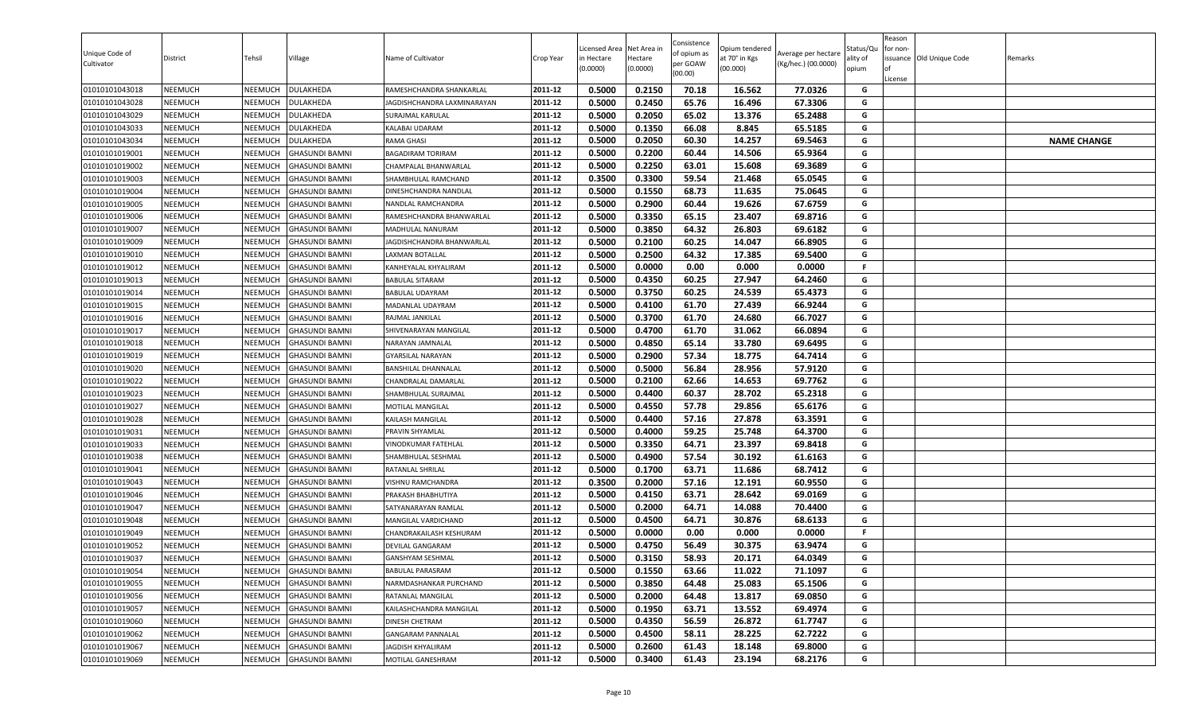| Unique Code of<br>Cultivator     | District                         | Tehsil             | Village                                        | Name of Cultivator                         | Crop Year          | Licensed Area<br>in Hectare<br>(0.0000) | Net Area in<br>Hectare<br>(0.0000) | Consistence<br>of opium as<br>per GOAW<br>(00.00) | Opium tendered<br>at 70° in Kgs<br>(00.000) | Average per hectare<br>(Kg/hec.) (00.0000) | Status/Qu<br>ality of<br>opium | Reason<br>for non-<br>lof<br>License | issuance Old Unique Code | Remarks            |
|----------------------------------|----------------------------------|--------------------|------------------------------------------------|--------------------------------------------|--------------------|-----------------------------------------|------------------------------------|---------------------------------------------------|---------------------------------------------|--------------------------------------------|--------------------------------|--------------------------------------|--------------------------|--------------------|
| 01010101043018                   | <b>NEEMUCH</b>                   | NEEMUCH            | DULAKHEDA                                      | RAMESHCHANDRA SHANKARLAL                   | 2011-12            | 0.5000                                  | 0.2150                             | 70.18                                             | 16.562                                      | 77.0326                                    | G                              |                                      |                          |                    |
| 01010101043028                   | <b>NEEMUCH</b>                   | NEEMUCH            | <b>DULAKHEDA</b>                               | IAGDISHCHANDRA LAXMINARAYAN                | 2011-12            | 0.5000                                  | 0.2450                             | 65.76                                             | 16.496                                      | 67.3306                                    | G                              |                                      |                          |                    |
| 01010101043029                   | <b>NEEMUCH</b>                   | NEEMUCH            | DULAKHEDA                                      | SURAJMAL KARULAL                           | 2011-12            | 0.5000                                  | 0.2050                             | 65.02                                             | 13.376                                      | 65.2488                                    | G                              |                                      |                          |                    |
| 01010101043033                   | <b>NEEMUCH</b>                   | NEEMUCH            | <b>DULAKHEDA</b>                               | KALABAI UDARAM                             | 2011-12            | 0.5000                                  | 0.1350                             | 66.08                                             | 8.845                                       | 65.5185                                    | G                              |                                      |                          |                    |
| 01010101043034                   | <b>NEEMUCH</b>                   | NEEMUCH            | <b>DULAKHEDA</b>                               | RAMA GHASI                                 | 2011-12            | 0.5000                                  | 0.2050                             | 60.30                                             | 14.257                                      | 69.5463                                    | G                              |                                      |                          | <b>NAME CHANGE</b> |
| 01010101019001                   | <b>NEEMUCH</b>                   | NEEMUCH            | <b>GHASUNDI BAMNI</b>                          | BAGADIRAM TORIRAM                          | 2011-12            | 0.5000                                  | 0.2200                             | 60.44                                             | 14.506                                      | 65.9364                                    | G                              |                                      |                          |                    |
| 01010101019002                   | <b>NEEMUCH</b>                   | NEEMUCH            | <b>GHASUNDI BAMNI</b>                          | CHAMPALAL BHANWARLAL                       | 2011-12            | 0.5000                                  | 0.2250                             | 63.01                                             | 15.608                                      | 69.3689                                    | G                              |                                      |                          |                    |
| 01010101019003                   | <b>NEEMUCH</b>                   | NEEMUCH            | <b>GHASUNDI BAMNI</b>                          | SHAMBHULAL RAMCHAND                        | 2011-12            | 0.3500                                  | 0.3300                             | 59.54                                             | 21.468                                      | 65.0545                                    | G                              |                                      |                          |                    |
| 01010101019004                   | <b>NEEMUCH</b>                   | NEEMUCH            | <b>GHASUNDI BAMNI</b>                          | DINESHCHANDRA NANDLAL                      | 2011-12            | 0.5000                                  | 0.1550                             | 68.73                                             | 11.635                                      | 75.0645                                    | G                              |                                      |                          |                    |
| 01010101019005                   | <b>NEEMUCH</b>                   | NEEMUCH            | <b>GHASUNDI BAMNI</b>                          | NANDLAL RAMCHANDRA                         | 2011-12            | 0.5000                                  | 0.2900                             | 60.44                                             | 19.626                                      | 67.6759                                    | G                              |                                      |                          |                    |
| 01010101019006                   | <b>NEEMUCH</b>                   | NEEMUCH            | <b>GHASUNDI BAMNI</b>                          | RAMESHCHANDRA BHANWARLAL                   | 2011-12            | 0.5000                                  | 0.3350                             | 65.15                                             | 23.407                                      | 69.8716                                    | G                              |                                      |                          |                    |
| 01010101019007                   | <b>NEEMUCH</b>                   | NEEMUCH            | <b>GHASUNDI BAMNI</b>                          | MADHULAL NANURAM                           | 2011-12            | 0.5000                                  | 0.3850                             | 64.32                                             | 26.803                                      | 69.6182                                    | G                              |                                      |                          |                    |
| 01010101019009                   | <b>NEEMUCH</b>                   | NEEMUCH            | <b>GHASUNDI BAMNI</b>                          | JAGDISHCHANDRA BHANWARLAL                  | 2011-12            | 0.5000                                  | 0.2100                             | 60.25                                             | 14.047                                      | 66.8905                                    | G                              |                                      |                          |                    |
| 01010101019010                   | <b>NEEMUCH</b>                   | NEEMUCH            | <b>GHASUNDI BAMNI</b>                          | LAXMAN BOTALLAL                            | 2011-12            | 0.5000                                  | 0.2500                             | 64.32                                             | 17.385                                      | 69.5400                                    | G                              |                                      |                          |                    |
| 01010101019012                   | <b>NEEMUCH</b>                   | NEEMUCH            | <b>GHASUNDI BAMNI</b>                          | KANHEYALAL KHYALIRAM                       | 2011-12            | 0.5000                                  | 0.0000                             | 0.00                                              | 0.000                                       | 0.0000                                     | F.                             |                                      |                          |                    |
| 01010101019013                   | <b>NEEMUCH</b>                   | NEEMUCH            | <b>GHASUNDI BAMNI</b>                          | <b>BABULAL SITARAM</b>                     | 2011-12            | 0.5000                                  | 0.4350                             | 60.25                                             | 27.947                                      | 64.2460                                    | G                              |                                      |                          |                    |
| 01010101019014                   | <b>NEEMUCH</b>                   | NEEMUCH            | <b>GHASUNDI BAMNI</b>                          | BABULAL UDAYRAM                            | 2011-12            | 0.5000                                  | 0.3750                             | 60.25                                             | 24.539                                      | 65.4373                                    | G                              |                                      |                          |                    |
| 01010101019015                   | <b>NEEMUCH</b>                   | NEEMUCH            | <b>GHASUNDI BAMNI</b>                          | MADANLAL UDAYRAM                           | 2011-12            | 0.5000                                  | 0.4100                             | 61.70                                             | 27.439                                      | 66.9244                                    | G                              |                                      |                          |                    |
| 01010101019016                   | <b>NEEMUCH</b>                   | NEEMUCH            | <b>GHASUNDI BAMNI</b>                          | RAJMAL JANKILAL                            | 2011-12            | 0.5000                                  | 0.3700                             | 61.70                                             | 24.680                                      | 66.7027                                    | G                              |                                      |                          |                    |
| 01010101019017                   | <b>NEEMUCH</b>                   | NEEMUCH            | <b>GHASUNDI BAMNI</b>                          | SHIVENARAYAN MANGILAL                      | 2011-12            | 0.5000                                  | 0.4700                             | 61.70                                             | 31.062                                      | 66.0894                                    | G                              |                                      |                          |                    |
| 01010101019018                   | <b>NEEMUCH</b>                   | NEEMUCH            | <b>GHASUNDI BAMNI</b>                          | NARAYAN JAMNALAL                           | 2011-12            | 0.5000                                  | 0.4850                             | 65.14                                             | 33.780                                      | 69.6495                                    | G                              |                                      |                          |                    |
| 01010101019019                   | <b>NEEMUCH</b>                   | <b>NEEMUCH</b>     | <b>GHASUNDI BAMNI</b>                          | <b>GYARSILAL NARAYAN</b>                   | 2011-12            | 0.5000                                  | 0.2900                             | 57.34                                             | 18.775                                      | 64.7414                                    | G                              |                                      |                          |                    |
| 01010101019020                   | <b>NEEMUCH</b>                   | NEEMUCH            | <b>GHASUNDI BAMNI</b>                          | BANSHILAL DHANNALAL                        | 2011-12            | 0.5000                                  | 0.5000                             | 56.84                                             | 28.956                                      | 57.9120                                    | G                              |                                      |                          |                    |
| 01010101019022                   | <b>NEEMUCH</b>                   | NEEMUCH            | <b>GHASUNDI BAMNI</b>                          | CHANDRALAL DAMARLAL                        | 2011-12            | 0.5000                                  | 0.2100                             | 62.66                                             | 14.653                                      | 69.7762                                    | G                              |                                      |                          |                    |
| 01010101019023                   | <b>NEEMUCH</b>                   | NEEMUCH            | <b>GHASUNDI BAMNI</b>                          | SHAMBHULAL SURAJMAL                        | 2011-12            | 0.5000                                  | 0.4400                             | 60.37                                             | 28.702                                      | 65.2318                                    | G                              |                                      |                          |                    |
| 01010101019027                   | <b>NEEMUCH</b>                   | NEEMUCH            | <b>GHASUNDI BAMNI</b>                          | MOTILAL MANGILAL                           | 2011-12            | 0.5000                                  | 0.4550                             | 57.78                                             | 29.856                                      | 65.6176                                    | G<br>G                         |                                      |                          |                    |
| 01010101019028                   | <b>NEEMUCH</b>                   | NEEMUCH            | <b>GHASUNDI BAMNI</b>                          | KAILASH MANGILAL                           | 2011-12            | 0.5000                                  | 0.4400                             | 57.16                                             | 27.878                                      | 63.3591                                    | G                              |                                      |                          |                    |
| 01010101019031                   | <b>NEEMUCH</b>                   | NEEMUCH            | <b>GHASUNDI BAMNI</b>                          | PRAVIN SHYAMLAL                            | 2011-12            | 0.5000                                  | 0.4000                             | 59.25                                             | 25.748                                      | 64.3700                                    |                                |                                      |                          |                    |
| 01010101019033                   | NEEMUCH                          | NEEMUCH            | <b>GHASUNDI BAMNI</b>                          | VINODKUMAR FATEHLAL                        | 2011-12            | 0.5000<br>0.5000                        | 0.3350<br>0.4900                   | 64.71<br>57.54                                    | 23.397                                      | 69.8418<br>61.6163                         | G<br>G                         |                                      |                          |                    |
| 01010101019038                   | <b>NEEMUCH</b>                   | NEEMUCH            | <b>GHASUNDI BAMNI</b>                          | SHAMBHULAL SESHMAL                         | 2011-12            |                                         |                                    |                                                   | 30.192                                      |                                            |                                |                                      |                          |                    |
| 01010101019041                   | <b>NEEMUCH</b>                   | NEEMUCH            | <b>GHASUNDI BAMNI</b>                          | RATANLAL SHRILAL                           | 2011-12            | 0.5000<br>0.3500                        | 0.1700<br>0.2000                   | 63.71                                             | 11.686                                      | 68.7412                                    | G                              |                                      |                          |                    |
| 01010101019043                   | <b>NEEMUCH</b>                   | NEEMUCH            | <b>GHASUNDI BAMNI</b><br><b>GHASUNDI BAMNI</b> | VISHNU RAMCHANDRA                          | 2011-12<br>2011-12 |                                         |                                    | 57.16                                             | 12.191                                      | 60.9550                                    | G                              |                                      |                          |                    |
| 01010101019046                   | <b>NEEMUCH</b><br><b>NEEMUCH</b> | NEEMUCH            |                                                | PRAKASH BHABHUTIYA                         | 2011-12            | 0.5000<br>0.5000                        | 0.4150<br>0.2000                   | 63.71<br>64.71                                    | 28.642<br>14.088                            | 69.0169<br>70.4400                         | G<br>G                         |                                      |                          |                    |
| 01010101019047<br>01010101019048 | <b>NEEMUCH</b>                   | NEEMUCH<br>NEEMUCH | <b>GHASUNDI BAMNI</b><br><b>GHASUNDI BAMNI</b> | SATYANARAYAN RAMLAL<br>MANGILAL VARDICHAND | 2011-12            | 0.5000                                  | 0.4500                             | 64.71                                             | 30.876                                      | 68.6133                                    | G                              |                                      |                          |                    |
|                                  | <b>NEEMUCH</b>                   | NEEMUCH            | <b>GHASUNDI BAMNI</b>                          | CHANDRAKAILASH KESHURAM                    | 2011-12            | 0.5000                                  | 0.0000                             | 0.00                                              | 0.000                                       | 0.0000                                     | F.                             |                                      |                          |                    |
| 01010101019049<br>01010101019052 | <b>NEEMUCH</b>                   | NEEMUCH            | <b>GHASUNDI BAMNI</b>                          | DEVILAL GANGARAM                           | 2011-12            | 0.5000                                  | 0.4750                             | 56.49                                             | 30.375                                      | 63.9474                                    | G                              |                                      |                          |                    |
| 01010101019037                   | <b>NEEMUCH</b>                   | NEEMUCH            | <b>GHASUNDI BAMNI</b>                          | GANSHYAM SESHMAL                           | 2011-12            | 0.5000                                  | 0.3150                             | 58.93                                             | 20.171                                      | 64.0349                                    | G                              |                                      |                          |                    |
| 01010101019054                   | <b>NEEMUCH</b>                   | NEEMUCH            | <b>GHASUNDI BAMNI</b>                          | BABULAL PARASRAM                           | 2011-12            | 0.5000                                  | 0.1550                             | 63.66                                             | 11.022                                      | 71.1097                                    | G                              |                                      |                          |                    |
| 01010101019055                   | <b>NEEMUCH</b>                   | NEEMUCH            | <b>GHASUNDI BAMNI</b>                          | NARMDASHANKAR PURCHAND                     | 2011-12            | 0.5000                                  | 0.3850                             | 64.48                                             | 25.083                                      | 65.1506                                    | G                              |                                      |                          |                    |
| 01010101019056                   | <b>NEEMUCH</b>                   | NEEMUCH            | <b>GHASUNDI BAMNI</b>                          | RATANLAL MANGILAL                          | 2011-12            | 0.5000                                  | 0.2000                             | 64.48                                             | 13.817                                      | 69.0850                                    | G                              |                                      |                          |                    |
| 01010101019057                   | <b>NEEMUCH</b>                   | NEEMUCH            | <b>GHASUNDI BAMNI</b>                          | KAILASHCHANDRA MANGILAL                    | 2011-12            | 0.5000                                  | 0.1950                             | 63.71                                             | 13.552                                      | 69.4974                                    | G                              |                                      |                          |                    |
| 01010101019060                   | <b>NEEMUCH</b>                   | NEEMUCH            | <b>GHASUNDI BAMNI</b>                          | DINESH CHETRAM                             | 2011-12            | 0.5000                                  | 0.4350                             | 56.59                                             | 26.872                                      | 61.7747                                    | G                              |                                      |                          |                    |
| 01010101019062                   | <b>NEEMUCH</b>                   | NEEMUCH            | <b>GHASUNDI BAMNI</b>                          | <b>GANGARAM PANNALAL</b>                   | 2011-12            | 0.5000                                  | 0.4500                             | 58.11                                             | 28.225                                      | 62.7222                                    | G                              |                                      |                          |                    |
| 01010101019067                   | <b>NEEMUCH</b>                   | <b>NEEMUCH</b>     | <b>GHASUNDI BAMNI</b>                          | JAGDISH KHYALIRAM                          | 2011-12            | 0.5000                                  | 0.2600                             | 61.43                                             | 18.148                                      | 69.8000                                    | G                              |                                      |                          |                    |
| 01010101019069                   | <b>NEEMUCH</b>                   | NEEMUCH            | <b>GHASUNDI BAMNI</b>                          | MOTILAL GANESHRAM                          | 2011-12            | 0.5000                                  | 0.3400                             | 61.43                                             | 23.194                                      | 68.2176                                    | G                              |                                      |                          |                    |
|                                  |                                  |                    |                                                |                                            |                    |                                         |                                    |                                                   |                                             |                                            |                                |                                      |                          |                    |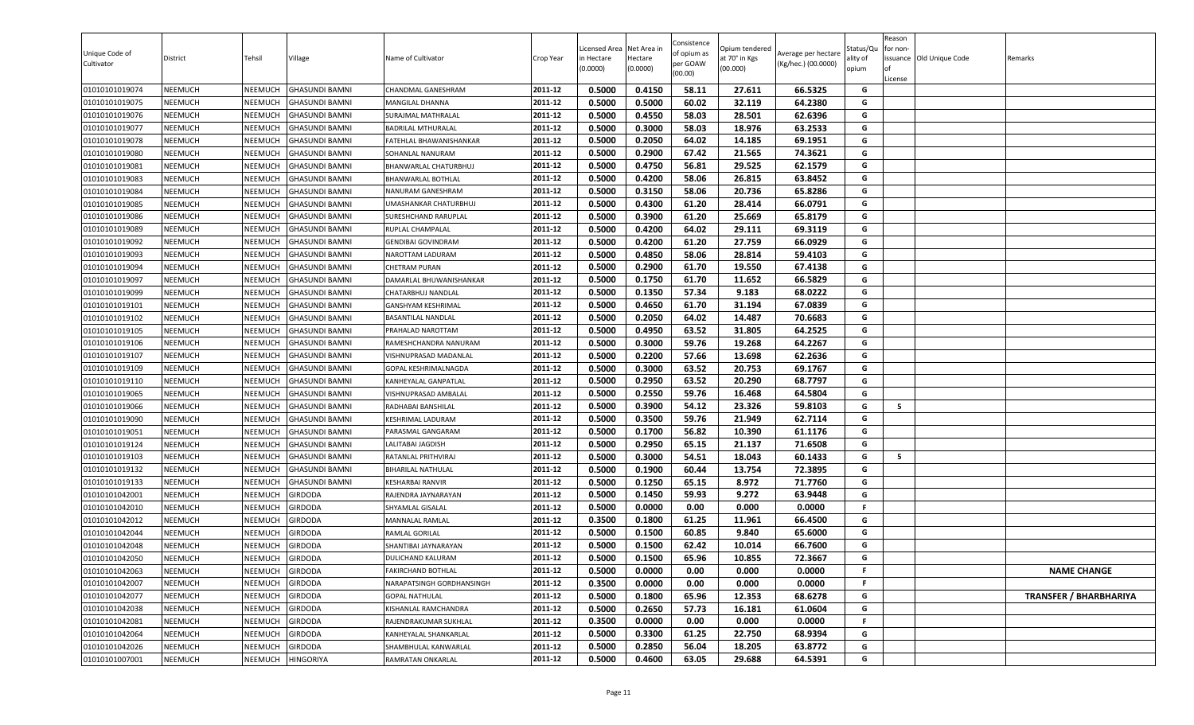| 0.5000<br>0.4150<br>58.11<br>66.5325<br><b>NEEMUCH</b><br><b>GHASUNDI BAMNI</b><br>2011-12<br>27.611<br>G<br>01010101019074<br>NEEMUCH<br>CHANDMAL GANESHRAM<br>2011-12<br>0.5000<br>0.5000<br>60.02<br>32.119<br>64.2380<br>G<br>01010101019075<br>NEEMUCH<br>NEEMUCH<br><b>GHASUNDI BAMNI</b><br>MANGILAL DHANNA<br>0.4550<br>NEEMUCH<br>2011-12<br>0.5000<br>58.03<br>28.501<br>62.6396<br>G<br><b>NEEMUCH</b><br>01010101019076<br><b>GHASUNDI BAMNI</b><br>SURAJMAL MATHRALAL<br>2011-12<br>0.3000<br>63.2533<br>G<br><b>NEEMUCH</b><br>NEEMUCH<br>0.5000<br>58.03<br>18.976<br>01010101019077<br>GHASUNDI BAMNI<br><b>BADRILAL MTHURALAL</b><br>0.2050<br>64.02<br>69.1951<br>2011-12<br>0.5000<br>14.185<br>G<br>01010101019078<br>NEEMUCH<br>NEEMUCH<br><b>GHASUNDI BAMNI</b><br>FATEHLAL BHAWANISHANKAR |                               |
|------------------------------------------------------------------------------------------------------------------------------------------------------------------------------------------------------------------------------------------------------------------------------------------------------------------------------------------------------------------------------------------------------------------------------------------------------------------------------------------------------------------------------------------------------------------------------------------------------------------------------------------------------------------------------------------------------------------------------------------------------------------------------------------------------------------|-------------------------------|
|                                                                                                                                                                                                                                                                                                                                                                                                                                                                                                                                                                                                                                                                                                                                                                                                                  |                               |
|                                                                                                                                                                                                                                                                                                                                                                                                                                                                                                                                                                                                                                                                                                                                                                                                                  |                               |
|                                                                                                                                                                                                                                                                                                                                                                                                                                                                                                                                                                                                                                                                                                                                                                                                                  |                               |
|                                                                                                                                                                                                                                                                                                                                                                                                                                                                                                                                                                                                                                                                                                                                                                                                                  |                               |
|                                                                                                                                                                                                                                                                                                                                                                                                                                                                                                                                                                                                                                                                                                                                                                                                                  |                               |
| G<br>2011-12<br>0.5000<br>0.2900<br>67.42<br>21.565<br>74.3621<br>01010101019080<br><b>NEEMUCH</b><br>NEEMUCH<br><b>GHASUNDI BAMNI</b><br>SOHANLAL NANURAM                                                                                                                                                                                                                                                                                                                                                                                                                                                                                                                                                                                                                                                       |                               |
| 0.4750<br>56.81<br>62.1579<br>2011-12<br>0.5000<br>29.525<br>G<br>NEEMUCH<br>01010101019081<br>NEEMUCH<br><b>GHASUNDI BAMNI</b><br>BHANWARLAL CHATURBHUJ                                                                                                                                                                                                                                                                                                                                                                                                                                                                                                                                                                                                                                                         |                               |
| 0.4200<br>G<br><b>NEEMUCH</b><br>2011-12<br>0.5000<br>58.06<br>26.815<br>63.8452<br>01010101019083<br>NEEMUCH<br><b>GHASUNDI BAMNI</b><br><b>BHANWARLAL BOTHLAL</b>                                                                                                                                                                                                                                                                                                                                                                                                                                                                                                                                                                                                                                              |                               |
| <b>NEEMUCH</b><br>0.5000<br>0.3150<br>58.06<br>20.736<br>65.8286<br>01010101019084<br>NEEMUCH<br><b>GHASUNDI BAMNI</b><br>2011-12<br>G<br>NANURAM GANESHRAM                                                                                                                                                                                                                                                                                                                                                                                                                                                                                                                                                                                                                                                      |                               |
| 0.4300<br>01010101019085<br>2011-12<br>0.5000<br>61.20<br>28.414<br>66.0791<br>G<br>NEEMUCH<br><b>NEEMUCH</b><br><b>GHASUNDI BAMNI</b><br>UMASHANKAR CHATURBHUJ                                                                                                                                                                                                                                                                                                                                                                                                                                                                                                                                                                                                                                                  |                               |
| 0.5000<br>0.3900<br>61.20<br>25.669<br>65.8179<br>G<br>NEEMUCH<br>NEEMUCH<br>2011-12<br>01010101019086<br>GHASUNDI BAMNI<br>SURESHCHAND RARUPLAL                                                                                                                                                                                                                                                                                                                                                                                                                                                                                                                                                                                                                                                                 |                               |
| NEEMUCH<br>2011-12<br>0.5000<br>0.4200<br>64.02<br>69.3119<br>G<br>NEEMUCH<br>29.111<br>01010101019089<br><b>GHASUNDI BAMNI</b><br>RUPLAL CHAMPALAL                                                                                                                                                                                                                                                                                                                                                                                                                                                                                                                                                                                                                                                              |                               |
| 0.4200<br>66.0929<br><b>NEEMUCH</b><br>0.5000<br>61.20<br>27.759<br>G<br>01010101019092<br>NEEMUCH<br>GHASUNDI BAMNI<br>2011-12<br><b>GENDIBAI GOVINDRAM</b>                                                                                                                                                                                                                                                                                                                                                                                                                                                                                                                                                                                                                                                     |                               |
| 2011-12<br>0.5000<br>0.4850<br>58.06<br>28.814<br>59.4103<br>G<br>01010101019093<br>NEEMUCH<br>NEEMUCH<br><b>GHASUNDI BAMNI</b><br>NAROTTAM LADURAM                                                                                                                                                                                                                                                                                                                                                                                                                                                                                                                                                                                                                                                              |                               |
| 0.5000<br>0.2900<br>61.70<br>67.4138<br>G<br>01010101019094<br><b>NEEMUCH</b><br>NEEMUCH<br><b>GHASUNDI BAMNI</b><br>2011-12<br>19.550<br><b>CHETRAM PURAN</b>                                                                                                                                                                                                                                                                                                                                                                                                                                                                                                                                                                                                                                                   |                               |
| <b>NEEMUCH</b><br>2011-12<br>0.5000<br>0.1750<br>61.70<br>11.652<br>66.5829<br>G<br>01010101019097<br>NEEMUCH<br><b>GHASUNDI BAMNI</b><br>DAMARLAL BHUWANISHANKAR                                                                                                                                                                                                                                                                                                                                                                                                                                                                                                                                                                                                                                                |                               |
| 0.1350<br>01010101019099<br>NEEMUCH<br>NEEMUCH<br>2011-12<br>0.5000<br>57.34<br>9.183<br>68.0222<br>G<br><b>GHASUNDI BAMNI</b><br>CHATARBHUJ NANDLAL                                                                                                                                                                                                                                                                                                                                                                                                                                                                                                                                                                                                                                                             |                               |
| NEEMUCH<br>NEEMUCH<br>2011-12<br>0.5000<br>0.4650<br>61.70<br>31.194<br>67.0839<br>G<br>01010101019101<br><b>GHASUNDI BAMNI</b><br><b>GANSHYAM KESHRIMAL</b>                                                                                                                                                                                                                                                                                                                                                                                                                                                                                                                                                                                                                                                     |                               |
| 01010101019102<br><b>NEEMUCH</b><br><b>GHASUNDI BAMNI</b><br>2011-12<br>0.5000<br>0.2050<br>64.02<br>14.487<br>70.6683<br>NEEMUCH<br><b>BASANTILAL NANDLAL</b><br>G                                                                                                                                                                                                                                                                                                                                                                                                                                                                                                                                                                                                                                              |                               |
| 64.2525<br>0.5000<br>0.4950<br>63.52<br>31.805<br>G<br>NEEMUCH<br>2011-12<br>NEEMUCH<br>01010101019105<br>GHASUNDI BAMNI<br>PRAHALAD NAROTTAM                                                                                                                                                                                                                                                                                                                                                                                                                                                                                                                                                                                                                                                                    |                               |
| NEEMUCH<br>0.5000<br>0.3000<br>59.76<br>19.268<br>64.2267<br>01010101019106<br>NEEMUCH<br>2011-12<br>G<br><b>GHASUNDI BAMNI</b><br>RAMESHCHANDRA NANURAM                                                                                                                                                                                                                                                                                                                                                                                                                                                                                                                                                                                                                                                         |                               |
| 0.2200<br>62.2636<br>0.5000<br>57.66<br>13.698<br>G<br>2011-12<br>01010101019107<br><b>NEEMUCH</b><br>NEEMUCH<br><b>GHASUNDI BAMNI</b><br>VISHNUPRASAD MADANLAL                                                                                                                                                                                                                                                                                                                                                                                                                                                                                                                                                                                                                                                  |                               |
| 0.3000<br>01010101019109<br><b>NEEMUCH</b><br>0.5000<br>63.52<br>69.1767<br>G<br>NEEMUCH<br><b>GHASUNDI BAMNI</b><br>2011-12<br>20.753<br>GOPAL KESHRIMALNAGDA                                                                                                                                                                                                                                                                                                                                                                                                                                                                                                                                                                                                                                                   |                               |
| 0.5000<br>0.2950<br>63.52<br>68.7797<br>2011-12<br>20.290<br>G<br>01010101019110<br><b>NEEMUCH</b><br>NEEMUCH<br><b>GHASUNDI BAMNI</b><br>KANHEYALAL GANPATLAL                                                                                                                                                                                                                                                                                                                                                                                                                                                                                                                                                                                                                                                   |                               |
| 0.2550<br><b>NEEMUCH</b><br>0.5000<br>59.76<br>16.468<br>64.5804<br>G<br>01010101019065<br>NEEMUCH<br><b>GHASUNDI BAMNI</b><br>2011-12<br>VISHNUPRASAD AMBALAL                                                                                                                                                                                                                                                                                                                                                                                                                                                                                                                                                                                                                                                   |                               |
| 2011-12<br>0.5000<br>0.3900<br>54.12<br>23.326<br>59.8103<br>01010101019066<br>NEEMUCH<br>NEEMUCH<br>G<br>5<br><b>GHASUNDI BAMNI</b><br>RADHABAI BANSHILAL                                                                                                                                                                                                                                                                                                                                                                                                                                                                                                                                                                                                                                                       |                               |
| 0.3500<br>NEEMUCH<br>0.5000<br>59.76<br>21.949<br>62.7114<br>01010101019090<br>NEEMUCH<br><b>GHASUNDI BAMNI</b><br>2011-12<br>G<br>KESHRIMAL LADURAM                                                                                                                                                                                                                                                                                                                                                                                                                                                                                                                                                                                                                                                             |                               |
| 2011-12<br>0.5000<br>0.1700<br>56.82<br>10.390<br>61.1176<br>G<br>01010101019051<br>NEEMUCH<br><b>NEEMUCH</b><br>GHASUNDI BAMNI<br>PARASMAL GANGARAM                                                                                                                                                                                                                                                                                                                                                                                                                                                                                                                                                                                                                                                             |                               |
| 0.2950<br>NEEMUCH<br>0.5000<br>65.15<br>21.137<br>71.6508<br>G<br>NEEMUCH<br>01010101019124<br>GHASUNDI BAMNI<br>LALITABAI JAGDISH<br>2011-12                                                                                                                                                                                                                                                                                                                                                                                                                                                                                                                                                                                                                                                                    |                               |
| 0.3000<br>54.51<br>60.1433<br>2011-12<br>0.5000<br>18.043<br>G<br><b>NEEMUCH</b><br>5<br>01010101019103<br>NEEMUCH<br><b>GHASUNDI BAMNI</b><br>RATANLAL PRITHVIRAJ                                                                                                                                                                                                                                                                                                                                                                                                                                                                                                                                                                                                                                               |                               |
| 0.5000<br>0.1900<br>60.44<br>13.754<br>72.3895<br>01010101019132<br><b>NEEMUCH</b><br>NEEMUCH<br>GHASUNDI BAMNI<br><b>BIHARILAL NATHULAL</b><br>2011-12<br>G                                                                                                                                                                                                                                                                                                                                                                                                                                                                                                                                                                                                                                                     |                               |
| 0.5000<br>0.1250<br>8.972<br>65.15<br>71.7760<br>01010101019133<br><b>NEEMUCH</b><br><b>KESHARBAI RANVIR</b><br>2011-12<br>G<br>NEEMUCH<br><b>GHASUNDI BAMNI</b>                                                                                                                                                                                                                                                                                                                                                                                                                                                                                                                                                                                                                                                 |                               |
| 0.5000<br>0.1450<br>59.93<br>9.272<br>63.9448<br>01010101042001<br><b>NEEMUCH</b><br>NEEMUCH<br><b>GIRDODA</b><br>2011-12<br>G<br>RAJENDRA JAYNARAYAN                                                                                                                                                                                                                                                                                                                                                                                                                                                                                                                                                                                                                                                            |                               |
| 0.5000<br>0.0000<br>0.00<br>0.000<br>0.0000<br>2011-12<br>01010101042010<br><b>NEEMUCH</b><br>NEEMUCH<br><b>GIRDODA</b><br>SHYAMLAL GISALAL<br>F.                                                                                                                                                                                                                                                                                                                                                                                                                                                                                                                                                                                                                                                                |                               |
| 01010101042012<br>NEEMUCH<br>NEEMUCH<br><b>GIRDODA</b><br>2011-12<br>0.3500<br>0.1800<br>61.25<br>11.961<br>66.4500<br>G<br>MANNALAL RAMLAL                                                                                                                                                                                                                                                                                                                                                                                                                                                                                                                                                                                                                                                                      |                               |
| 2011-12<br>0.5000<br>0.1500<br>60.85<br>9.840<br>65.6000<br>G<br>01010101042044<br>NEEMUCH<br>NEEMUCH<br>RAMLAL GORILAL<br>GIRDODA                                                                                                                                                                                                                                                                                                                                                                                                                                                                                                                                                                                                                                                                               |                               |
| 0.5000<br>0.1500<br>G<br>01010101042048<br>NEEMUCH<br>2011-12<br>62.42<br>10.014<br>66.7600<br>NEEMUCH<br>GIRDODA<br>SHANTIBAI JAYNARAYAN                                                                                                                                                                                                                                                                                                                                                                                                                                                                                                                                                                                                                                                                        |                               |
| 0.5000<br>0.1500<br>65.96<br>10.855<br>72.3667<br>2011-12<br>G<br>NEEMUCH<br>NEEMUCH<br><b>GIRDODA</b><br>DULICHAND KALURAM<br>01010101042050                                                                                                                                                                                                                                                                                                                                                                                                                                                                                                                                                                                                                                                                    |                               |
| 2011-12<br>NEEMUCH<br><b>GIRDODA</b><br>01010101042063<br>NEEMUCH<br>0.5000<br>0.0000<br>0.00<br>F.<br>FAKIRCHAND BOTHLAL<br>0.000<br>0.0000                                                                                                                                                                                                                                                                                                                                                                                                                                                                                                                                                                                                                                                                     | <b>NAME CHANGE</b>            |
| 0.0000<br>0.00<br>2011-12<br>0.3500<br>0.000<br>0.0000<br>01010101042007<br>NEEMUCH<br>NEEMUCH<br><b>GIRDODA</b><br>NARAPATSINGH GORDHANSINGH<br>F.                                                                                                                                                                                                                                                                                                                                                                                                                                                                                                                                                                                                                                                              |                               |
| 01010101042077<br><b>GIRDODA</b><br>2011-12<br>0.5000<br>0.1800<br>65.96<br>12.353<br>G<br>NEEMUCH<br>NEEMUCH<br>68.6278<br><b>GOPAL NATHULAL</b>                                                                                                                                                                                                                                                                                                                                                                                                                                                                                                                                                                                                                                                                | <b>TRANSFER / BHARBHARIYA</b> |
| 01010101042038<br>2011-12<br>0.5000<br>0.2650<br>57.73<br>16.181<br>61.0604<br><b>NEEMUCH</b><br>NEEMUCH<br><b>GIRDODA</b><br>KISHANLAL RAMCHANDRA<br>G                                                                                                                                                                                                                                                                                                                                                                                                                                                                                                                                                                                                                                                          |                               |
| 2011-12<br>0.00<br>NEEMUCH<br>NEEMUCH<br><b>GIRDODA</b><br>0.3500<br>0.0000<br>0.000<br>0.0000<br>01010101042081<br>F.<br>RAJENDRAKUMAR SUKHLAL                                                                                                                                                                                                                                                                                                                                                                                                                                                                                                                                                                                                                                                                  |                               |
| 01010101042064<br><b>GIRDODA</b><br>NEEMUCH<br>NEEMUCH<br>KANHEYALAL SHANKARLAL<br>2011-12<br>0.5000<br>0.3300<br>61.25<br>22.750<br>68.9394<br>G                                                                                                                                                                                                                                                                                                                                                                                                                                                                                                                                                                                                                                                                |                               |
| 2011-12<br>0.5000<br>0.2850<br>56.04<br>18.205<br>63.8772<br>G<br>01010101042026<br>NEEMUCH<br>NEEMUCH<br><b>GIRDODA</b><br>SHAMBHULAL KANWARLAL                                                                                                                                                                                                                                                                                                                                                                                                                                                                                                                                                                                                                                                                 |                               |
| 01010101007001<br><b>NEEMUCH</b><br>NEEMUCH<br><b>HINGORIYA</b><br>2011-12<br>0.5000<br>0.4600<br>63.05<br>29.688<br>64.5391<br>G<br>RAMRATAN ONKARLAL                                                                                                                                                                                                                                                                                                                                                                                                                                                                                                                                                                                                                                                           |                               |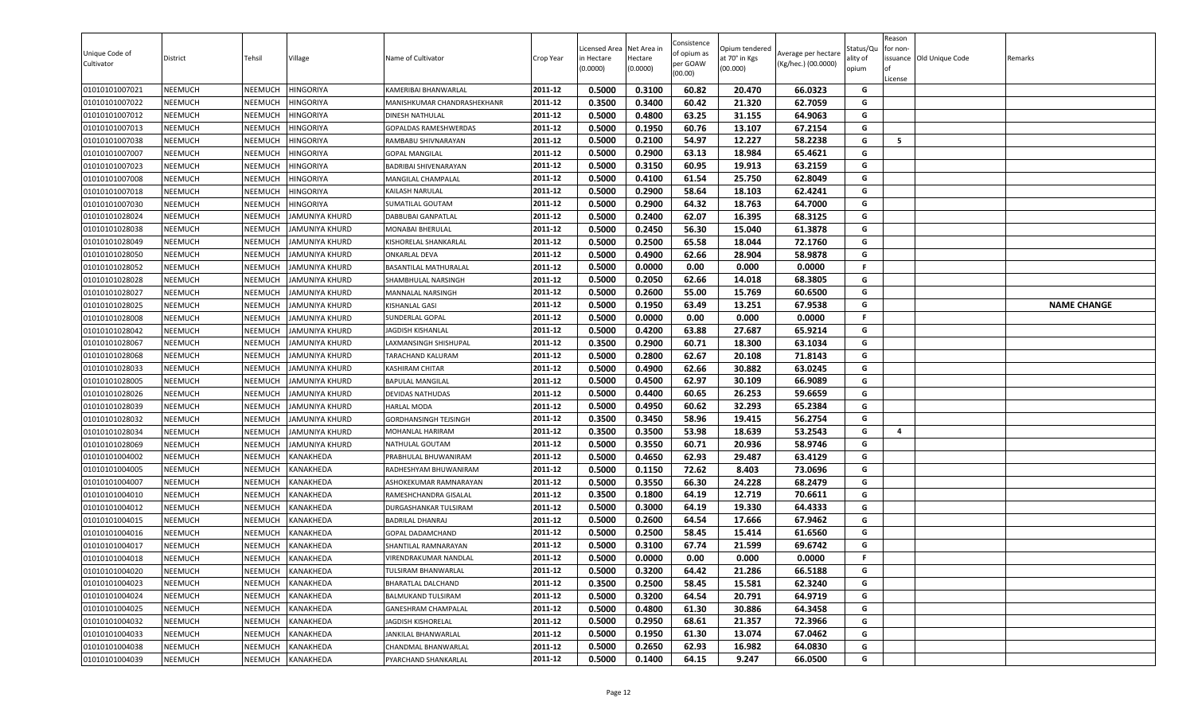| Unique Code of<br>Cultivator | District       | Tehsil         | Village               | Name of Cultivator          | Crop Year          | Licensed Area<br>in Hectare<br>(0.0000) | Net Area in<br>Hectare<br>(0.0000) | Consistence<br>of opium as<br>per GOAW<br>(00.00) | )pium tendered<br>at 70° in Kgs<br>(00.000) | Average per hectare<br>(Kg/hec.) (00.0000) | Status/Qเ<br>ality of<br>opium | Reason<br>for non-<br>lof<br>License | issuance Old Unique Code | Remarks            |
|------------------------------|----------------|----------------|-----------------------|-----------------------------|--------------------|-----------------------------------------|------------------------------------|---------------------------------------------------|---------------------------------------------|--------------------------------------------|--------------------------------|--------------------------------------|--------------------------|--------------------|
| 01010101007021               | <b>NEEMUCH</b> | NEEMUCH        | <b>HINGORIYA</b>      | KAMERIBAI BHANWARLAL        | 2011-12            | 0.5000                                  | 0.3100                             | 60.82                                             | 20.470                                      | 66.0323                                    | G                              |                                      |                          |                    |
| 01010101007022               | <b>NEEMUCH</b> | NEEMUCH        | <b>HINGORIYA</b>      | MANISHKUMAR CHANDRASHEKHANR | 2011-12            | 0.3500                                  | 0.3400                             | 60.42                                             | 21.320                                      | 62.7059                                    | G                              |                                      |                          |                    |
| 01010101007012               | <b>NEEMUCH</b> | NEEMUCH        | <b>HINGORIYA</b>      | <b>DINESH NATHULAL</b>      | 2011-12            | 0.5000                                  | 0.4800                             | 63.25                                             | 31.155                                      | 64.9063                                    | G                              |                                      |                          |                    |
| 01010101007013               | <b>NEEMUCH</b> | NEEMUCH        | <b>HINGORIYA</b>      | GOPALDAS RAMESHWERDAS       | 2011-12            | 0.5000                                  | 0.1950                             | 60.76                                             | 13.107                                      | 67.2154                                    | G                              |                                      |                          |                    |
| 01010101007038               | <b>NEEMUCH</b> | NEEMUCH        | <b>HINGORIYA</b>      | RAMBABU SHIVNARAYAN         | 2011-12            | 0.5000                                  | 0.2100                             | 54.97                                             | 12.227                                      | 58.2238                                    | G                              | 5                                    |                          |                    |
| 01010101007007               | <b>NEEMUCH</b> | NEEMUCH        | <b>HINGORIYA</b>      | <b>GOPAL MANGILAL</b>       | 2011-12            | 0.5000                                  | 0.2900                             | 63.13                                             | 18.984                                      | 65.4621                                    | G                              |                                      |                          |                    |
| 01010101007023               | <b>NEEMUCH</b> | NEEMUCH        | <b>HINGORIYA</b>      | BADRIBAI SHIVENARAYAN       | 2011-12            | 0.5000                                  | 0.3150                             | 60.95                                             | 19.913                                      | 63.2159                                    | G                              |                                      |                          |                    |
| 01010101007008               | <b>NEEMUCH</b> | NEEMUCH        | <b>HINGORIYA</b>      | MANGILAL CHAMPALAL          | 2011-12            | 0.5000                                  | 0.4100                             | 61.54                                             | 25.750                                      | 62.8049                                    | G                              |                                      |                          |                    |
| 01010101007018               | <b>NEEMUCH</b> | NEEMUCH        | <b>HINGORIYA</b>      | KAILASH NARULAL             | 2011-12            | 0.5000                                  | 0.2900                             | 58.64                                             | 18.103                                      | 62.4241                                    | G                              |                                      |                          |                    |
| 01010101007030               | <b>NEEMUCH</b> | NEEMUCH        | <b>HINGORIYA</b>      | SUMATILAL GOUTAM            | 2011-12            | 0.5000                                  | 0.2900                             | 64.32                                             | 18.763                                      | 64.7000                                    | G                              |                                      |                          |                    |
| 01010101028024               | <b>NEEMUCH</b> | NEEMUCH        | IAMUNIYA KHURD        | DABBUBAI GANPATLAL          | 2011-12            | 0.5000                                  | 0.2400                             | 62.07                                             | 16.395                                      | 68.3125                                    | G                              |                                      |                          |                    |
| 01010101028038               | <b>NEEMUCH</b> | NEEMUCH        | <b>JAMUNIYA KHURD</b> | MONABAI BHERULAL            | 2011-12            | 0.5000                                  | 0.2450                             | 56.30                                             | 15.040                                      | 61.3878                                    | G                              |                                      |                          |                    |
| 01010101028049               | <b>NEEMUCH</b> | NEEMUCH        | JAMUNIYA KHURD        | KISHORELAL SHANKARLAL       | 2011-12            | 0.5000                                  | 0.2500                             | 65.58                                             | 18.044                                      | 72.1760                                    | G                              |                                      |                          |                    |
| 01010101028050               | <b>NEEMUCH</b> | NEEMUCH        | JAMUNIYA KHURD        | <b>ONKARLAL DEVA</b>        | 2011-12            | 0.5000                                  | 0.4900                             | 62.66                                             | 28.904                                      | 58.9878                                    | G                              |                                      |                          |                    |
| 01010101028052               | <b>NEEMUCH</b> | NEEMUCH        | <b>JAMUNIYA KHURD</b> | BASANTILAL MATHURALAL       | 2011-12            | 0.5000                                  | 0.0000                             | 0.00                                              | 0.000                                       | 0.0000                                     | F.                             |                                      |                          |                    |
| 01010101028028               | <b>NEEMUCH</b> | NEEMUCH        | JAMUNIYA KHURD        | SHAMBHULAL NARSINGH         | 2011-12            | 0.5000                                  | 0.2050                             | 62.66                                             | 14.018                                      | 68.3805                                    | G                              |                                      |                          |                    |
| 01010101028027               | <b>NEEMUCH</b> | NEEMUCH        | <b>JAMUNIYA KHURD</b> | MANNALAL NARSINGH           | 2011-12            | 0.5000                                  | 0.2600                             | 55.00                                             | 15.769                                      | 60.6500                                    | G                              |                                      |                          |                    |
| 01010101028025               | <b>NEEMUCH</b> | NEEMUCH        | <b>JAMUNIYA KHURD</b> | KISHANLAL GASI              | 2011-12            | 0.5000                                  | 0.1950                             | 63.49                                             | 13.251                                      | 67.9538                                    | G                              |                                      |                          | <b>NAME CHANGE</b> |
| 01010101028008               | <b>NEEMUCH</b> | NEEMUCH        | <b>JAMUNIYA KHURD</b> | SUNDERLAL GOPAL             | 2011-12            | 0.5000                                  | 0.0000                             | 0.00                                              | 0.000                                       | 0.0000                                     | F.                             |                                      |                          |                    |
| 01010101028042               | <b>NEEMUCH</b> | NEEMUCH        | JAMUNIYA KHURD        | <b>JAGDISH KISHANLAL</b>    | 2011-12            | 0.5000                                  | 0.4200                             | 63.88                                             | 27.687                                      | 65.9214                                    | G                              |                                      |                          |                    |
| 01010101028067               | <b>NEEMUCH</b> | NEEMUCH        | JAMUNIYA KHURD        | LAXMANSINGH SHISHUPAL       | 2011-12            | 0.3500                                  | 0.2900                             | 60.71                                             | 18.300                                      | 63.1034                                    | G                              |                                      |                          |                    |
| 01010101028068               | <b>NEEMUCH</b> | <b>NEEMUCH</b> | JAMUNIYA KHURD        | TARACHAND KALURAM           | 2011-12            | 0.5000                                  | 0.2800                             | 62.67                                             | 20.108                                      | 71.8143                                    | G                              |                                      |                          |                    |
| 01010101028033               | <b>NEEMUCH</b> | NEEMUCH        | JAMUNIYA KHURD        | KASHIRAM CHITAR             | 2011-12            | 0.5000                                  | 0.4900                             | 62.66                                             | 30.882                                      | 63.0245                                    | G                              |                                      |                          |                    |
| 01010101028005               | <b>NEEMUCH</b> | NEEMUCH        | JAMUNIYA KHURD        | <b>BAPULAL MANGILAL</b>     | 2011-12            | 0.5000                                  | 0.4500                             | 62.97                                             | 30.109                                      | 66.9089                                    | G                              |                                      |                          |                    |
| 01010101028026               | <b>NEEMUCH</b> | NEEMUCH        | JAMUNIYA KHURD        | DEVIDAS NATHUDAS            | 2011-12            | 0.5000                                  | 0.4400                             | 60.65                                             | 26.253                                      | 59.6659                                    | G                              |                                      |                          |                    |
| 01010101028039               | <b>NEEMUCH</b> | NEEMUCH        | JAMUNIYA KHURD        | <b>HARLAL MODA</b>          | 2011-12            | 0.5000                                  | 0.4950                             | 60.62                                             | 32.293                                      | 65.2384                                    | G                              |                                      |                          |                    |
| 01010101028032               | <b>NEEMUCH</b> | NEEMUCH        | JAMUNIYA KHURD        | GORDHANSINGH TEJSINGH       | 2011-12            | 0.3500                                  | 0.3450                             | 58.96                                             | 19.415                                      | 56.2754                                    | G                              |                                      |                          |                    |
| 01010101028034               | <b>NEEMUCH</b> | NEEMUCH        | JAMUNIYA KHURD        | MOHANLAL HARIRAM            | 2011-12            | 0.3500                                  | 0.3500                             | 53.98                                             | 18.639                                      | 53.2543                                    | G                              | 4                                    |                          |                    |
| 01010101028069               | <b>NEEMUCH</b> | NEEMUCH        | JAMUNIYA KHURD        | NATHULAL GOUTAM             | 2011-12            | 0.5000                                  | 0.3550                             | 60.71                                             | 20.936                                      | 58.9746                                    | G                              |                                      |                          |                    |
| 01010101004002               | <b>NEEMUCH</b> | NEEMUCH        | <b>KANAKHEDA</b>      | PRABHULAL BHUWANIRAM        | 2011-12            | 0.5000                                  | 0.4650                             | 62.93                                             | 29.487                                      | 63.4129                                    | G                              |                                      |                          |                    |
| 01010101004005               | <b>NEEMUCH</b> | NEEMUCH        | KANAKHEDA             | RADHESHYAM BHUWANIRAM       | 2011-12            | 0.5000                                  | 0.1150                             | 72.62                                             | 8.403                                       | 73.0696                                    | G                              |                                      |                          |                    |
| 01010101004007               | <b>NEEMUCH</b> | NEEMUCH        | KANAKHEDA             | ASHOKEKUMAR RAMNARAYAN      | 2011-12            | 0.5000                                  | 0.3550                             | 66.30                                             | 24.228                                      | 68.2479                                    | G                              |                                      |                          |                    |
| 01010101004010               | <b>NEEMUCH</b> | NEEMUCH        | KANAKHEDA             | RAMESHCHANDRA GISALAL       | 2011-12            | 0.3500                                  | 0.1800                             | 64.19                                             | 12.719                                      | 70.6611                                    | G                              |                                      |                          |                    |
| 01010101004012               | <b>NEEMUCH</b> | NEEMUCH        | KANAKHEDA             | DURGASHANKAR TULSIRAM       | 2011-12            | 0.5000                                  | 0.3000                             | 64.19                                             | 19.330                                      | 64.4333                                    | G                              |                                      |                          |                    |
| 01010101004015               | <b>NEEMUCH</b> | NEEMUCH        | <b>KANAKHEDA</b>      | <b>BADRILAL DHANRAJ</b>     | 2011-12            | 0.5000                                  | 0.2600                             | 64.54                                             | 17.666                                      | 67.9462                                    | G                              |                                      |                          |                    |
| 01010101004016               | <b>NEEMUCH</b> | NEEMUCH        | KANAKHEDA             | GOPAL DADAMCHAND            | 2011-12<br>2011-12 | 0.5000                                  | 0.2500                             | 58.45                                             | 15.414                                      | 61.6560                                    | G<br>G                         |                                      |                          |                    |
| 01010101004017               | <b>NEEMUCH</b> | NEEMUCH        | KANAKHEDA             | SHANTILAL RAMNARAYAN        |                    | 0.5000                                  | 0.3100                             | 67.74                                             | 21.599<br>0.000                             | 69.6742                                    | F.                             |                                      |                          |                    |
| 01010101004018               | <b>NEEMUCH</b> | NEEMUCH        | <b>KANAKHEDA</b>      | VIRENDRAKUMAR NANDLAL       | 2011-12            | 0.5000                                  | 0.0000                             | 0.00                                              |                                             | 0.0000                                     |                                |                                      |                          |                    |
| 01010101004020               | <b>NEEMUCH</b> | NEEMUCH        | KANAKHEDA             | TULSIRAM BHANWARLAL         | 2011-12            | 0.5000                                  | 0.3200                             | 64.42                                             | 21.286                                      | 66.5188                                    | G<br>G                         |                                      |                          |                    |
| 01010101004023               | <b>NEEMUCH</b> | NEEMUCH        | KANAKHEDA             | BHARATLAL DALCHAND          | 2011-12            | 0.3500                                  | 0.2500                             | 58.45                                             | 15.581                                      | 62.3240                                    | G                              |                                      |                          |                    |
| 01010101004024               | <b>NEEMUCH</b> | NEEMUCH        | KANAKHEDA             | BALMUKAND TULSIRAM          | 2011-12            | 0.5000                                  | 0.3200                             | 64.54                                             | 20.791                                      | 64.9719                                    |                                |                                      |                          |                    |
| 01010101004025               | <b>NEEMUCH</b> | NEEMUCH        | KANAKHEDA             | GANESHRAM CHAMPALAL         | 2011-12<br>2011-12 | 0.5000                                  | 0.4800                             | 61.30                                             | 30.886                                      | 64.3458                                    | G<br>G                         |                                      |                          |                    |
| 01010101004032               | <b>NEEMUCH</b> | NEEMUCH        | KANAKHEDA             | JAGDISH KISHORELAL          |                    | 0.5000                                  | 0.2950                             | 68.61                                             | 21.357                                      | 72.3966                                    | G                              |                                      |                          |                    |
| 01010101004033               | <b>NEEMUCH</b> | NEEMUCH        | KANAKHEDA             | JANKILAL BHANWARLAL         | 2011-12<br>2011-12 | 0.5000                                  | 0.1950                             | 61.30                                             | 13.074                                      | 67.0462                                    | G                              |                                      |                          |                    |
| 01010101004038               | <b>NEEMUCH</b> | <b>NEEMUCH</b> | <b>KANAKHEDA</b>      | CHANDMAL BHANWARLAL         |                    | 0.5000                                  | 0.2650                             | 62.93                                             | 16.982                                      | 64.0830                                    |                                |                                      |                          |                    |
| 01010101004039               | <b>NEEMUCH</b> | NEEMUCH        | KANAKHEDA             | PYARCHAND SHANKARLAL        | 2011-12            | 0.5000                                  | 0.1400                             | 64.15                                             | 9.247                                       | 66.0500                                    | G                              |                                      |                          |                    |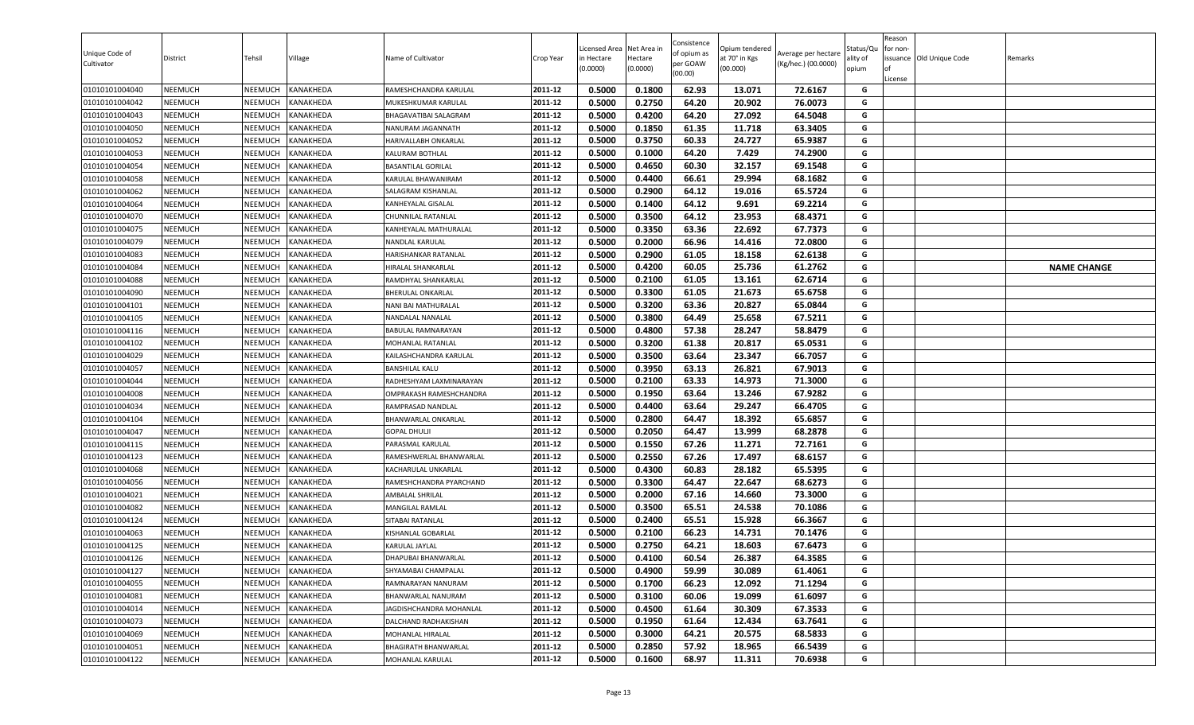| Unique Code of<br>Cultivator     | District                         | Tehsil             | Village                       | Name of Cultivator                 | Crop Year          | Licensed Area<br>in Hectare<br>(0.0000) | Net Area in<br>Hectare<br>(0.0000) | Consistence<br>of opium as<br>per GOAW<br>(00.00) | Opium tendered<br>at 70° in Kgs<br>(00.000) | Average per hectare<br>(Kg/hec.) (00.0000) | Status/Qu<br>ality of<br>opium | Reason<br>for non-<br>lof<br>License | issuance Old Unique Code | Remarks            |
|----------------------------------|----------------------------------|--------------------|-------------------------------|------------------------------------|--------------------|-----------------------------------------|------------------------------------|---------------------------------------------------|---------------------------------------------|--------------------------------------------|--------------------------------|--------------------------------------|--------------------------|--------------------|
| 01010101004040                   | <b>NEEMUCH</b>                   | NEEMUCH            | <b>KANAKHEDA</b>              | RAMESHCHANDRA KARULAL              | 2011-12            | 0.5000                                  | 0.1800                             | 62.93                                             | 13.071                                      | 72.6167                                    | G                              |                                      |                          |                    |
| 01010101004042                   | <b>NEEMUCH</b>                   | NEEMUCH            | KANAKHEDA                     | MUKESHKUMAR KARULAL                | 2011-12            | 0.5000                                  | 0.2750                             | 64.20                                             | 20.902                                      | 76.0073                                    | G                              |                                      |                          |                    |
| 01010101004043                   | <b>NEEMUCH</b>                   | NEEMUCH            | KANAKHEDA                     | BHAGAVATIBAI SALAGRAM              | 2011-12            | 0.5000                                  | 0.4200                             | 64.20                                             | 27.092                                      | 64.5048                                    | G                              |                                      |                          |                    |
| 01010101004050                   | <b>NEEMUCH</b>                   | NEEMUCH            | KANAKHEDA                     | NANURAM JAGANNATH                  | 2011-12            | 0.5000                                  | 0.1850                             | 61.35                                             | 11.718                                      | 63.3405                                    | G                              |                                      |                          |                    |
| 01010101004052                   | <b>NEEMUCH</b>                   | NEEMUCH            | KANAKHEDA                     | HARIVALLABH ONKARLAL               | 2011-12            | 0.5000                                  | 0.3750                             | 60.33                                             | 24.727                                      | 65.9387                                    | G                              |                                      |                          |                    |
| 01010101004053                   | <b>NEEMUCH</b>                   | NEEMUCH            | KANAKHEDA                     | KALURAM BOTHLAL                    | 2011-12            | 0.5000                                  | 0.1000                             | 64.20                                             | 7.429                                       | 74.2900                                    | G                              |                                      |                          |                    |
| 01010101004054                   | <b>NEEMUCH</b>                   | NEEMUCH            | KANAKHEDA                     | <b>BASANTILAL GORILAL</b>          | 2011-12            | 0.5000                                  | 0.4650                             | 60.30                                             | 32.157                                      | 69.1548                                    | G                              |                                      |                          |                    |
| 01010101004058                   | <b>NEEMUCH</b>                   | NEEMUCH            | <b>KANAKHEDA</b>              | KARULAL BHAWANIRAM                 | 2011-12            | 0.5000                                  | 0.4400                             | 66.61                                             | 29.994                                      | 68.1682                                    | G                              |                                      |                          |                    |
| 01010101004062                   | <b>NEEMUCH</b>                   | NEEMUCH            | KANAKHEDA                     | SALAGRAM KISHANLAL                 | 2011-12            | 0.5000                                  | 0.2900                             | 64.12                                             | 19.016                                      | 65.5724                                    | G                              |                                      |                          |                    |
| 01010101004064                   | <b>NEEMUCH</b>                   | NEEMUCH            | KANAKHEDA                     | KANHEYALAL GISALAL                 | 2011-12            | 0.5000                                  | 0.1400                             | 64.12                                             | 9.691                                       | 69.2214                                    | G                              |                                      |                          |                    |
| 01010101004070                   | <b>NEEMUCH</b>                   | NEEMUCH            | KANAKHEDA                     | CHUNNILAL RATANLAL                 | 2011-12            | 0.5000                                  | 0.3500                             | 64.12                                             | 23.953                                      | 68.4371                                    | G                              |                                      |                          |                    |
| 01010101004075                   | <b>NEEMUCH</b>                   | NEEMUCH            | KANAKHEDA                     | KANHEYALAL MATHURALAL              | 2011-12            | 0.5000                                  | 0.3350                             | 63.36                                             | 22.692                                      | 67.7373                                    | G                              |                                      |                          |                    |
| 01010101004079                   | <b>NEEMUCH</b>                   | NEEMUCH            | <b>KANAKHEDA</b>              | NANDLAL KARULAL                    | 2011-12            | 0.5000                                  | 0.2000                             | 66.96                                             | 14.416                                      | 72.0800                                    | G                              |                                      |                          |                    |
| 01010101004083                   | <b>NEEMUCH</b>                   | NEEMUCH            | KANAKHEDA                     | HARISHANKAR RATANLAL               | 2011-12            | 0.5000                                  | 0.2900                             | 61.05                                             | 18.158                                      | 62.6138                                    | G                              |                                      |                          |                    |
| 01010101004084                   | <b>NEEMUCH</b>                   | NEEMUCH            | KANAKHEDA                     | HIRALAL SHANKARLAL                 | 2011-12            | 0.5000                                  | 0.4200                             | 60.05                                             | 25.736                                      | 61.2762                                    | G                              |                                      |                          | <b>NAME CHANGE</b> |
| 01010101004088                   | <b>NEEMUCH</b>                   | NEEMUCH            | KANAKHEDA                     | RAMDHYAL SHANKARLAL                | 2011-12            | 0.5000                                  | 0.2100                             | 61.05                                             | 13.161                                      | 62.6714                                    | G                              |                                      |                          |                    |
| 01010101004090                   | <b>NEEMUCH</b>                   | NEEMUCH            | KANAKHEDA                     | <b>BHERULAL ONKARLAL</b>           | 2011-12            | 0.5000                                  | 0.3300                             | 61.05                                             | 21.673                                      | 65.6758                                    | G                              |                                      |                          |                    |
| 01010101004101                   | <b>NEEMUCH</b>                   | NEEMUCH            | KANAKHEDA                     | NANI BAI MATHURALAL                | 2011-12            | 0.5000                                  | 0.3200                             | 63.36                                             | 20.827                                      | 65.0844                                    | G                              |                                      |                          |                    |
| 01010101004105                   | <b>NEEMUCH</b>                   | NEEMUCH            | KANAKHEDA                     | NANDALAL NANALAL                   | 2011-12            | 0.5000                                  | 0.3800                             | 64.49                                             | 25.658                                      | 67.5211                                    | G                              |                                      |                          |                    |
| 01010101004116                   | <b>NEEMUCH</b>                   | NEEMUCH            | KANAKHEDA                     | BABULAL RAMNARAYAN                 | 2011-12            | 0.5000                                  | 0.4800                             | 57.38                                             | 28.247                                      | 58.8479                                    | G                              |                                      |                          |                    |
| 01010101004102                   | <b>NEEMUCH</b>                   | NEEMUCH            | KANAKHEDA                     | MOHANLAL RATANLAL                  | 2011-12            | 0.5000                                  | 0.3200                             | 61.38                                             | 20.817                                      | 65.0531                                    | G                              |                                      |                          |                    |
| 01010101004029                   | <b>NEEMUCH</b>                   | <b>NEEMUCH</b>     | KANAKHEDA                     | KAILASHCHANDRA KARULAL             | 2011-12            | 0.5000                                  | 0.3500                             | 63.64                                             | 23.347                                      | 66.7057                                    | G                              |                                      |                          |                    |
| 01010101004057                   | <b>NEEMUCH</b>                   | NEEMUCH            | KANAKHEDA                     | <b>BANSHILAL KALU</b>              | 2011-12            | 0.5000                                  | 0.3950                             | 63.13                                             | 26.821                                      | 67.9013                                    | G                              |                                      |                          |                    |
| 01010101004044                   | <b>NEEMUCH</b>                   | NEEMUCH            | KANAKHEDA                     | RADHESHYAM LAXMINARAYAN            | 2011-12            | 0.5000                                  | 0.2100                             | 63.33                                             | 14.973                                      | 71.3000                                    | G                              |                                      |                          |                    |
| 01010101004008                   | <b>NEEMUCH</b>                   | NEEMUCH            | <b>KANAKHEDA</b>              | OMPRAKASH RAMESHCHANDRA            | 2011-12            | 0.5000                                  | 0.1950                             | 63.64                                             | 13.246                                      | 67.9282                                    | G                              |                                      |                          |                    |
| 01010101004034                   | <b>NEEMUCH</b>                   | NEEMUCH            | KANAKHEDA                     | RAMPRASAD NANDLAL                  | 2011-12            | 0.5000                                  | 0.4400                             | 63.64                                             | 29.247                                      | 66.4705                                    | G                              |                                      |                          |                    |
| 01010101004104                   | <b>NEEMUCH</b>                   | NEEMUCH            | KANAKHEDA                     | BHANWARLAL ONKARLAL                | 2011-12            | 0.5000                                  | 0.2800                             | 64.47                                             | 18.392                                      | 65.6857                                    | G                              |                                      |                          |                    |
| 01010101004047                   | <b>NEEMUCH</b>                   | NEEMUCH            | KANAKHEDA                     | GOPAL DHULJ                        | 2011-12            | 0.5000                                  | 0.2050                             | 64.47                                             | 13.999                                      | 68.2878                                    | G                              |                                      |                          |                    |
| 01010101004115                   | <b>NEEMUCH</b>                   | NEEMUCH            | KANAKHEDA                     | PARASMAL KARULAL                   | 2011-12            | 0.5000                                  | 0.1550                             | 67.26                                             | 11.271                                      | 72.7161                                    | G                              |                                      |                          |                    |
| 01010101004123                   | <b>NEEMUCH</b>                   | NEEMUCH            | <b>KANAKHEDA</b>              | RAMESHWERLAL BHANWARLAL            | 2011-12            | 0.5000                                  | 0.2550                             | 67.26                                             | 17.497                                      | 68.6157                                    | G                              |                                      |                          |                    |
| 01010101004068                   | <b>NEEMUCH</b>                   | NEEMUCH            | KANAKHEDA                     | KACHARULAL UNKARLAL                | 2011-12            | 0.5000<br>0.5000                        | 0.4300<br>0.3300                   | 60.83                                             | 28.182<br>22.647                            | 65.5395<br>68.6273                         | G                              |                                      |                          |                    |
| 01010101004056                   | <b>NEEMUCH</b>                   | NEEMUCH            | KANAKHEDA                     | RAMESHCHANDRA PYARCHAND            | 2011-12<br>2011-12 |                                         |                                    | 64.47                                             |                                             |                                            | G                              |                                      |                          |                    |
| 01010101004021<br>01010101004082 | <b>NEEMUCH</b><br><b>NEEMUCH</b> | NEEMUCH<br>NEEMUCH | <b>KANAKHEDA</b><br>KANAKHEDA | AMBALAL SHRILAL<br>MANGILAL RAMLAL | 2011-12            | 0.5000<br>0.5000                        | 0.2000<br>0.3500                   | 67.16<br>65.51                                    | 14.660<br>24.538                            | 73.3000<br>70.1086                         | G<br>G                         |                                      |                          |                    |
| 01010101004124                   | <b>NEEMUCH</b>                   | NEEMUCH            | KANAKHEDA                     | SITABAI RATANLAL                   | 2011-12            | 0.5000                                  | 0.2400                             | 65.51                                             | 15.928                                      | 66.3667                                    | G                              |                                      |                          |                    |
| 01010101004063                   | <b>NEEMUCH</b>                   | NEEMUCH            | KANAKHEDA                     | KISHANLAL GOBARLAL                 | 2011-12            | 0.5000                                  | 0.2100                             | 66.23                                             | 14.731                                      | 70.1476                                    | G                              |                                      |                          |                    |
| 01010101004125                   | <b>NEEMUCH</b>                   | NEEMUCH            | KANAKHEDA                     | KARULAL JAYLAL                     | 2011-12            | 0.5000                                  | 0.2750                             | 64.21                                             | 18.603                                      | 67.6473                                    | G                              |                                      |                          |                    |
| 01010101004126                   | <b>NEEMUCH</b>                   | NEEMUCH            | <b>KANAKHEDA</b>              | DHAPUBAI BHANWARLAL                | 2011-12            | 0.5000                                  | 0.4100                             | 60.54                                             | 26.387                                      | 64.3585                                    | G                              |                                      |                          |                    |
| 01010101004127                   | <b>NEEMUCH</b>                   | NEEMUCH            | KANAKHEDA                     | SHYAMABAI CHAMPALAL                | 2011-12            | 0.5000                                  | 0.4900                             | 59.99                                             | 30.089                                      | 61.4061                                    | G                              |                                      |                          |                    |
| 01010101004055                   | <b>NEEMUCH</b>                   | NEEMUCH            | KANAKHEDA                     | RAMNARAYAN NANURAM                 | 2011-12            | 0.5000                                  | 0.1700                             | 66.23                                             | 12.092                                      | 71.1294                                    | G                              |                                      |                          |                    |
| 01010101004081                   | <b>NEEMUCH</b>                   | NEEMUCH            | KANAKHEDA                     | BHANWARLAL NANURAM                 | 2011-12            | 0.5000                                  | 0.3100                             | 60.06                                             | 19.099                                      | 61.6097                                    | G                              |                                      |                          |                    |
| 01010101004014                   | <b>NEEMUCH</b>                   | NEEMUCH            | KANAKHEDA                     | JAGDISHCHANDRA MOHANLAL            | 2011-12            | 0.5000                                  | 0.4500                             | 61.64                                             | 30.309                                      | 67.3533                                    | G                              |                                      |                          |                    |
| 01010101004073                   | <b>NEEMUCH</b>                   | NEEMUCH            | KANAKHEDA                     | DALCHAND RADHAKISHAN               | 2011-12            | 0.5000                                  | 0.1950                             | 61.64                                             | 12.434                                      | 63.7641                                    | G                              |                                      |                          |                    |
| 01010101004069                   | <b>NEEMUCH</b>                   | NEEMUCH            | KANAKHEDA                     | MOHANLAL HIRALAL                   | 2011-12            | 0.5000                                  | 0.3000                             | 64.21                                             | 20.575                                      | 68.5833                                    | G                              |                                      |                          |                    |
| 01010101004051                   | <b>NEEMUCH</b>                   | <b>NEEMUCH</b>     | <b>KANAKHEDA</b>              | BHAGIRATH BHANWARLAL               | 2011-12            | 0.5000                                  | 0.2850                             | 57.92                                             | 18.965                                      | 66.5439                                    | G                              |                                      |                          |                    |
| 01010101004122                   | <b>NEEMUCH</b>                   | NEEMUCH            | KANAKHEDA                     | MOHANLAL KARULAL                   | 2011-12            | 0.5000                                  | 0.1600                             | 68.97                                             | 11.311                                      | 70.6938                                    | G                              |                                      |                          |                    |
|                                  |                                  |                    |                               |                                    |                    |                                         |                                    |                                                   |                                             |                                            |                                |                                      |                          |                    |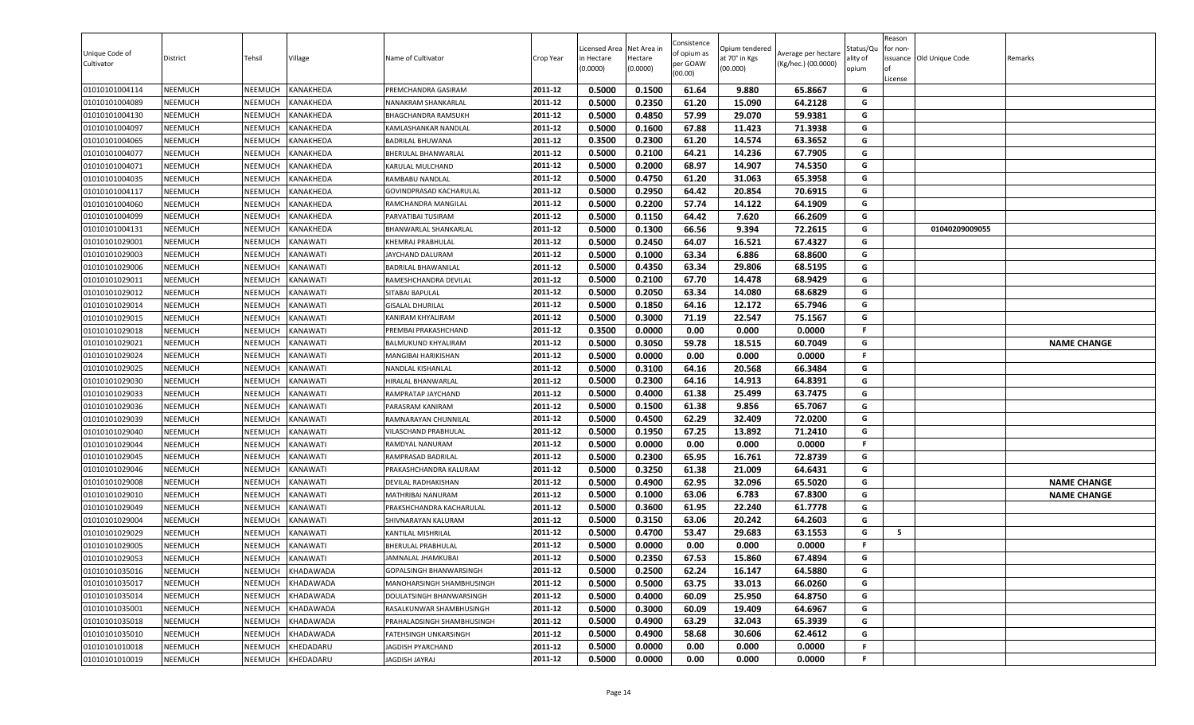| Unique Code of<br>Cultivator     | District                         | Tehsil                    | Village              | Name of Cultivator                         | Crop Year          | Licensed Area<br>in Hectare<br>(0.0000) | Net Area in<br>Hectare<br>(0.0000) | Consistence<br>of opium as<br>per GOAW<br>(00.00) | Opium tendered<br>at 70° in Kgs<br>(00.000) | Average per hectare<br>(Kg/hec.) (00.0000) | status/Qι<br>ılity of<br>opium | Reason<br>for non-<br>of<br>License | issuance Old Unique Code | Remarks            |
|----------------------------------|----------------------------------|---------------------------|----------------------|--------------------------------------------|--------------------|-----------------------------------------|------------------------------------|---------------------------------------------------|---------------------------------------------|--------------------------------------------|--------------------------------|-------------------------------------|--------------------------|--------------------|
| 01010101004114                   | <b>NEEMUCH</b>                   | NEEMUCH                   | KANAKHEDA            | PREMCHANDRA GASIRAM                        | 2011-12            | 0.5000                                  | 0.1500                             | 61.64                                             | 9.880                                       | 65.8667                                    | G                              |                                     |                          |                    |
| 01010101004089                   | NEEMUCH                          | NEEMUCH                   | KANAKHEDA            | NANAKRAM SHANKARLAL                        | 2011-12            | 0.5000                                  | 0.2350                             | 61.20                                             | 15.090                                      | 64.2128                                    | G                              |                                     |                          |                    |
| 01010101004130                   | NEEMUCH                          | <b>NEEMUCH</b>            | KANAKHEDA            | BHAGCHANDRA RAMSUKH                        | 2011-12            | 0.5000                                  | 0.4850                             | 57.99                                             | 29.070                                      | 59.9381                                    | G                              |                                     |                          |                    |
| 01010101004097                   | <b>NEEMUCH</b>                   | NEEMUCH                   | KANAKHEDA            | KAMLASHANKAR NANDLAL                       | 2011-12            | 0.5000                                  | 0.1600                             | 67.88                                             | 11.423                                      | 71.3938                                    | G                              |                                     |                          |                    |
| 01010101004065                   | NEEMUCH                          | NEEMUCH                   | KANAKHEDA            | <b>BADRILAL BHUWANA</b>                    | 2011-12            | 0.3500                                  | 0.2300                             | 61.20                                             | 14.574                                      | 63.3652                                    | G                              |                                     |                          |                    |
| 01010101004077                   | <b>NEEMUCH</b>                   | NEEMUCH                   | KANAKHEDA            | BHERULAL BHANWARLAL                        | 2011-12            | 0.5000                                  | 0.2100                             | 64.21                                             | 14.236                                      | 67.7905                                    | G                              |                                     |                          |                    |
| 01010101004071                   | <b>NEEMUCH</b>                   | NEEMUCH                   | KANAKHEDA            | KARULAL MULCHAND                           | 2011-12            | 0.5000                                  | 0.2000                             | 68.97                                             | 14.907                                      | 74.5350                                    | G                              |                                     |                          |                    |
| 01010101004035                   | <b>NEEMUCH</b>                   | NEEMUCH                   | KANAKHEDA            | RAMBABU NANDLAL                            | 2011-12            | 0.5000                                  | 0.4750                             | 61.20                                             | 31.063                                      | 65.3958                                    | G                              |                                     |                          |                    |
| 01010101004117                   | <b>NEEMUCH</b>                   | NEEMUCH                   | KANAKHEDA            | GOVINDPRASAD KACHARULAL                    | 2011-12            | 0.5000                                  | 0.2950                             | 64.42                                             | 20.854                                      | 70.6915                                    | G                              |                                     |                          |                    |
| 01010101004060                   | NEEMUCH                          | NEEMUCH                   | KANAKHEDA            | RAMCHANDRA MANGILAL                        | 2011-12            | 0.5000                                  | 0.2200                             | 57.74                                             | 14.122                                      | 64.1909                                    | G                              |                                     |                          |                    |
| 01010101004099                   | NEEMUCH                          | NEEMUCH                   | KANAKHEDA            | PARVATIBAI TUSIRAM                         | 2011-12            | 0.5000                                  | 0.1150                             | 64.42                                             | 7.620                                       | 66.2609                                    | G                              |                                     |                          |                    |
| 01010101004131                   | NEEMUCH                          | NEEMUCH                   | KANAKHEDA            | BHANWARLAL SHANKARLAL                      | 2011-12            | 0.5000                                  | 0.1300                             | 66.56                                             | 9.394                                       | 72.2615                                    | G                              |                                     | 01040209009055           |                    |
| 01010101029001                   | <b>NEEMUCH</b>                   | NEEMUCH                   | KANAWATI             | KHEMRAJ PRABHULAL                          | 2011-12            | 0.5000                                  | 0.2450                             | 64.07                                             | 16.521                                      | 67.4327                                    | G                              |                                     |                          |                    |
| 01010101029003                   | NEEMUCH                          | NEEMUCH                   | KANAWATI             | JAYCHAND DALURAM                           | 2011-12            | 0.5000                                  | 0.1000                             | 63.34                                             | 6.886                                       | 68.8600                                    | G                              |                                     |                          |                    |
| 01010101029006                   | <b>NEEMUCH</b>                   | NEEMUCH                   | KANAWATI             | <b>BADRILAL BHAWANILAL</b>                 | 2011-12            | 0.5000                                  | 0.4350                             | 63.34                                             | 29.806                                      | 68.5195                                    | G<br>G                         |                                     |                          |                    |
| 01010101029011                   | <b>NEEMUCH</b>                   | NEEMUCH<br>NEEMUCH        | KANAWATI<br>KANAWATI | RAMESHCHANDRA DEVILAL                      | 2011-12<br>2011-12 | 0.5000                                  | 0.2100<br>0.2050                   | 67.70                                             | 14.478                                      | 68.9429<br>68.6829                         | G                              |                                     |                          |                    |
| 01010101029012<br>01010101029014 | <b>NEEMUCH</b>                   |                           |                      | SITABAI BAPULAL                            | 2011-12            | 0.5000                                  |                                    | 63.34                                             | 14.080                                      |                                            | G                              |                                     |                          |                    |
|                                  | NEEMUCH                          | NEEMUCH<br><b>NEEMUCH</b> | KANAWATI<br>KANAWATI | <b>GISALAL DHURILAL</b>                    | 2011-12            | 0.5000                                  | 0.1850                             | 64.16                                             | 12.172                                      | 65.7946                                    | G                              |                                     |                          |                    |
| 01010101029015                   | <b>NEEMUCH</b>                   |                           |                      | KANIRAM KHYALIRAM                          | 2011-12            | 0.5000                                  | 0.3000                             | 71.19<br>0.00                                     | 22.547<br>0.000                             | 75.1567<br>0.0000                          | F.                             |                                     |                          |                    |
| 01010101029018                   | NEEMUCH<br>NEEMUCH               | NEEMUCH<br>NEEMUCH        | KANAWATI<br>KANAWATI | PREMBAI PRAKASHCHAND                       | 2011-12            | 0.3500<br>0.5000                        | 0.0000<br>0.3050                   | 59.78                                             | 18.515                                      | 60.7049                                    | G                              |                                     |                          |                    |
| 01010101029021                   |                                  |                           |                      | BALMUKUND KHYALIRAM<br>MANGIBAI HARIKISHAN | 2011-12            | 0.5000                                  | 0.0000                             | 0.00                                              | 0.000                                       | 0.0000                                     | F.                             |                                     |                          | <b>NAME CHANGE</b> |
| 01010101029024<br>01010101029025 | <b>NEEMUCH</b><br><b>NEEMUCH</b> | NEEMUCH                   | KANAWATI             |                                            | 2011-12            | 0.5000                                  | 0.3100                             | 64.16                                             | 20.568                                      | 66.3484                                    | G                              |                                     |                          |                    |
|                                  |                                  | NEEMUCH                   | KANAWATI             | NANDLAL KISHANLAL<br>HIRALAL BHANWARLAL    | 2011-12            | 0.5000                                  | 0.2300                             | 64.16                                             | 14.913                                      | 64.8391                                    | G                              |                                     |                          |                    |
| 01010101029030                   | <b>NEEMUCH</b><br><b>NEEMUCH</b> | NEEMUCH<br>NEEMUCH        | KANAWATI<br>KANAWATI |                                            | 2011-12            | 0.5000                                  | 0.4000                             | 61.38                                             | 25.499                                      | 63.7475                                    | G                              |                                     |                          |                    |
| 01010101029033<br>01010101029036 | NEEMUCH                          | NEEMUCH                   | KANAWATI             | RAMPRATAP JAYCHAND<br>PARASRAM KANIRAM     | 2011-12            | 0.5000                                  | 0.1500                             | 61.38                                             | 9.856                                       | 65.7067                                    | G                              |                                     |                          |                    |
| 01010101029039                   | NEEMUCH                          | NEEMUCH                   | KANAWATI             | RAMNARAYAN CHUNNILAL                       | 2011-12            | 0.5000                                  | 0.4500                             | 62.29                                             | 32.409                                      | 72.0200                                    | G                              |                                     |                          |                    |
| 01010101029040                   | NEEMUCH                          | <b>NEEMUCH</b>            | KANAWATI             | VILASCHAND PRABHULAL                       | 2011-12            | 0.5000                                  | 0.1950                             | 67.25                                             | 13.892                                      | 71.2410                                    | G                              |                                     |                          |                    |
| 01010101029044                   | NEEMUCH                          | NEEMUCH                   | KANAWATI             | RAMDYAL NANURAM                            | 2011-12            | 0.5000                                  | 0.0000                             | 0.00                                              | 0.000                                       | 0.0000                                     | F.                             |                                     |                          |                    |
| 01010101029045                   | NEEMUCH                          | NEEMUCH                   | KANAWATI             | RAMPRASAD BADRILAL                         | 2011-12            | 0.5000                                  | 0.2300                             | 65.95                                             | 16.761                                      | 72.8739                                    | G                              |                                     |                          |                    |
| 01010101029046                   | NEEMUCH                          | NEEMUCH                   | KANAWATI             | PRAKASHCHANDRA KALURAM                     | 2011-12            | 0.5000                                  | 0.3250                             | 61.38                                             | 21.009                                      | 64.6431                                    | G                              |                                     |                          |                    |
| 01010101029008                   | <b>NEEMUCH</b>                   | NEEMUCH                   | KANAWATI             | DEVILAL RADHAKISHAN                        | 2011-12            | 0.5000                                  | 0.4900                             | 62.95                                             | 32.096                                      | 65.5020                                    | G                              |                                     |                          | <b>NAME CHANGE</b> |
| 01010101029010                   | NEEMUCH                          | NEEMUCH                   | KANAWATI             | MATHRIBAI NANURAM                          | 2011-12            | 0.5000                                  | 0.1000                             | 63.06                                             | 6.783                                       | 67.8300                                    | G                              |                                     |                          | <b>NAME CHANGE</b> |
| 01010101029049                   | NEEMUCH                          | NEEMUCH                   | KANAWATI             | PRAKSHCHANDRA KACHARULAL                   | 2011-12            | 0.5000                                  | 0.3600                             | 61.95                                             | 22.240                                      | 61.7778                                    | G                              |                                     |                          |                    |
| 01010101029004                   | NEEMUCH                          | NEEMUCH                   | KANAWATI             | SHIVNARAYAN KALURAM                        | 2011-12            | 0.5000                                  | 0.3150                             | 63.06                                             | 20.242                                      | 64.2603                                    | G                              |                                     |                          |                    |
| 01010101029029                   | NEEMUCH                          | NEEMUCH                   | KANAWATI             | KANTILAL MISHRILAL                         | 2011-12            | 0.5000                                  | 0.4700                             | 53.47                                             | 29.683                                      | 63.1553                                    | G                              | 5                                   |                          |                    |
| 01010101029005                   | NEEMUCH                          | NEEMUCH                   | KANAWATI             | BHERULAL PRABHULAL                         | 2011-12            | 0.5000                                  | 0.0000                             | 0.00                                              | 0.000                                       | 0.0000                                     | F.                             |                                     |                          |                    |
| 01010101029053                   | <b>NEEMUCH</b>                   | NEEMUCH                   | KANAWATI             | JAMNALAL JHAMKUBAI                         | 2011-12            | 0.5000                                  | 0.2350                             | 67.53                                             | 15.860                                      | 67.4894                                    | G                              |                                     |                          |                    |
| 01010101035016                   | NEEMUCH                          | NEEMUCH                   | KHADAWADA            | <b>GOPALSINGH BHANWARSINGH</b>             | 2011-12            | 0.5000                                  | 0.2500                             | 62.24                                             | 16.147                                      | 64.5880                                    | G                              |                                     |                          |                    |
| 01010101035017                   | NEEMUCH                          | NEEMUCH                   | KHADAWADA            | MANOHARSINGH SHAMBHUSINGH                  | 2011-12            | 0.5000                                  | 0.5000                             | 63.75                                             | 33.013                                      | 66.0260                                    | G                              |                                     |                          |                    |
| 01010101035014                   | NEEMUCH                          | NEEMUCH                   | KHADAWADA            | DOULATSINGH BHANWARSINGH                   | 2011-12            | 0.5000                                  | 0.4000                             | 60.09                                             | 25.950                                      | 64.8750                                    | G                              |                                     |                          |                    |
| 01010101035001                   | NEEMUCH                          | NEEMUCH                   | KHADAWADA            | RASALKUNWAR SHAMBHUSINGH                   | 2011-12            | 0.5000                                  | 0.3000                             | 60.09                                             | 19.409                                      | 64.6967                                    | G                              |                                     |                          |                    |
| 01010101035018                   | <b>NEEMUCH</b>                   | NEEMUCH                   | KHADAWADA            | PRAHALADSINGH SHAMBHUSINGH                 | 2011-12            | 0.5000                                  | 0.4900                             | 63.29                                             | 32.043                                      | 65.3939                                    | G                              |                                     |                          |                    |
| 01010101035010                   | NEEMUCH                          | NEEMUCH                   | KHADAWADA            | FATEHSINGH UNKARSINGH                      | 2011-12            | 0.5000                                  | 0.4900                             | 58.68                                             | 30.606                                      | 62.4612                                    | G                              |                                     |                          |                    |
| 01010101010018                   | <b>NEEMUCH</b>                   | NEEMUCH                   | KHEDADARU            | JAGDISH PYARCHAND                          | 2011-12            | 0.5000                                  | 0.0000                             | 0.00                                              | 0.000                                       | 0.0000                                     | F.                             |                                     |                          |                    |
| 01010101010019                   | NEEMUCH                          | NEEMUCH                   | KHEDADARU            | JAGDISH JAYRAJ                             | 2011-12            | 0.5000                                  | 0.0000                             | 0.00                                              | 0.000                                       | 0.0000                                     | F                              |                                     |                          |                    |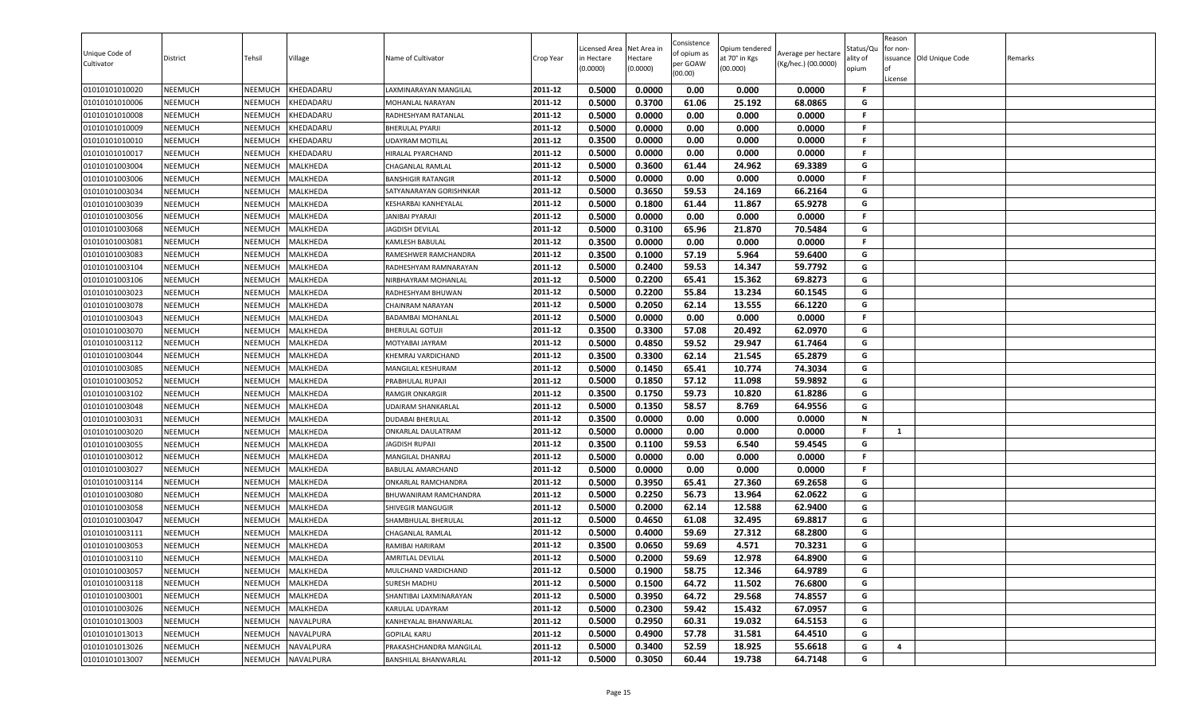| Unique Code of<br>Cultivator     | District                         | Tehsil             | Village              | Name of Cultivator                           | Crop Year          | Licensed Area<br>in Hectare<br>(0.0000) | Net Area in<br>Hectare<br>(0.0000) | Consistence<br>of opium as<br>per GOAW<br>(00.00) | )pium tendered<br>at 70° in Kgs<br>(00.000) | Average per hectare<br>(Kg/hec.) (00.0000) | Status/Qu<br>ality of<br>opium | Reason<br>for non-<br>lof<br>License | issuance Old Unique Code | Remarks |
|----------------------------------|----------------------------------|--------------------|----------------------|----------------------------------------------|--------------------|-----------------------------------------|------------------------------------|---------------------------------------------------|---------------------------------------------|--------------------------------------------|--------------------------------|--------------------------------------|--------------------------|---------|
| 01010101010020                   | <b>NEEMUCH</b>                   | NEEMUCH            | KHEDADARU            | LAXMINARAYAN MANGILAL                        | 2011-12            | 0.5000                                  | 0.0000                             | 0.00                                              | 0.000                                       | 0.0000                                     | F.                             |                                      |                          |         |
| 01010101010006                   | <b>NEEMUCH</b>                   | NEEMUCH            | KHEDADARU            | MOHANLAL NARAYAN                             | 2011-12            | 0.5000                                  | 0.3700                             | 61.06                                             | 25.192                                      | 68.0865                                    | G                              |                                      |                          |         |
| 01010101010008                   | <b>NEEMUCH</b>                   | NEEMUCH            | KHEDADARU            | RADHESHYAM RATANLAL                          | 2011-12            | 0.5000                                  | 0.0000                             | 0.00                                              | 0.000                                       | 0.0000                                     | F.                             |                                      |                          |         |
| 01010101010009                   | <b>NEEMUCH</b>                   | NEEMUCH            | KHEDADARU            | <b>BHERULAL PYARJI</b>                       | 2011-12            | 0.5000                                  | 0.0000                             | 0.00                                              | 0.000                                       | 0.0000                                     | F.                             |                                      |                          |         |
| 01010101010010                   | <b>NEEMUCH</b>                   | NEEMUCH            | KHEDADARU            | UDAYRAM MOTILAL                              | 2011-12            | 0.3500                                  | 0.0000                             | 0.00                                              | 0.000                                       | 0.0000                                     | F.                             |                                      |                          |         |
| 01010101010017                   | <b>NEEMUCH</b>                   | NEEMUCH            | KHEDADARU            | HIRALAL PYARCHAND                            | 2011-12            | 0.5000                                  | 0.0000                             | 0.00                                              | 0.000                                       | 0.0000                                     | F.                             |                                      |                          |         |
| 01010101003004                   | <b>NEEMUCH</b>                   | NEEMUCH            | MALKHEDA             | CHAGANLAL RAMLAL                             | 2011-12            | 0.5000                                  | 0.3600                             | 61.44                                             | 24.962                                      | 69.3389                                    | G                              |                                      |                          |         |
| 01010101003006                   | <b>NEEMUCH</b>                   | NEEMUCH            | MALKHEDA             | <b>BANSHIGIR RATANGIR</b>                    | 2011-12            | 0.5000                                  | 0.0000                             | 0.00                                              | 0.000                                       | 0.0000                                     | F.                             |                                      |                          |         |
| 01010101003034                   | <b>NEEMUCH</b>                   | NEEMUCH            | MALKHEDA             | SATYANARAYAN GORISHNKAR                      | 2011-12            | 0.5000                                  | 0.3650                             | 59.53                                             | 24.169                                      | 66.2164                                    | G                              |                                      |                          |         |
| 01010101003039                   | <b>NEEMUCH</b>                   | NEEMUCH            | MALKHEDA             | KESHARBAI KANHEYALAL                         | 2011-12            | 0.5000                                  | 0.1800                             | 61.44                                             | 11.867                                      | 65.9278                                    | G                              |                                      |                          |         |
| 01010101003056                   | <b>NEEMUCH</b>                   | NEEMUCH            | MALKHEDA             | IANIBAI PYARAJI                              | 2011-12            | 0.5000                                  | 0.0000                             | 0.00                                              | 0.000                                       | 0.0000                                     | F.                             |                                      |                          |         |
| 01010101003068                   | <b>NEEMUCH</b>                   | NEEMUCH            | MALKHEDA             | <b>AGDISH DEVILAL</b>                        | 2011-12            | 0.5000                                  | 0.3100                             | 65.96                                             | 21.870                                      | 70.5484                                    | G                              |                                      |                          |         |
| 01010101003081                   | <b>NEEMUCH</b>                   | NEEMUCH            | MALKHEDA             | KAMLESH BABULAL                              | 2011-12            | 0.3500                                  | 0.0000                             | 0.00                                              | 0.000                                       | 0.0000                                     | F.                             |                                      |                          |         |
| 01010101003083                   | <b>NEEMUCH</b>                   | NEEMUCH            | MALKHEDA             | RAMESHWER RAMCHANDRA                         | 2011-12            | 0.3500                                  | 0.1000                             | 57.19                                             | 5.964                                       | 59.6400                                    | G                              |                                      |                          |         |
| 01010101003104                   | <b>NEEMUCH</b>                   | NEEMUCH            | MALKHEDA             | RADHESHYAM RAMNARAYAN                        | 2011-12            | 0.5000                                  | 0.2400                             | 59.53                                             | 14.347                                      | 59.7792                                    | G                              |                                      |                          |         |
| 01010101003106                   | <b>NEEMUCH</b>                   | NEEMUCH            | MALKHEDA             | NIRBHAYRAM MOHANLAL                          | 2011-12            | 0.5000                                  | 0.2200                             | 65.41                                             | 15.362                                      | 69.8273                                    | G                              |                                      |                          |         |
| 01010101003023                   | <b>NEEMUCH</b>                   | NEEMUCH            | MALKHEDA             | RADHESHYAM BHUWAN                            | 2011-12            | 0.5000                                  | 0.2200                             | 55.84                                             | 13.234                                      | 60.1545                                    | G                              |                                      |                          |         |
| 01010101003078                   | <b>NEEMUCH</b>                   | NEEMUCH            | MALKHEDA             | CHAINRAM NARAYAN                             | 2011-12            | 0.5000                                  | 0.2050                             | 62.14                                             | 13.555                                      | 66.1220                                    | G                              |                                      |                          |         |
| 01010101003043                   | <b>NEEMUCH</b>                   | NEEMUCH            | MALKHEDA             | <b>BADAMBAI MOHANLAL</b>                     | 2011-12            | 0.5000                                  | 0.0000                             | 0.00                                              | 0.000                                       | 0.0000                                     | F.                             |                                      |                          |         |
| 01010101003070                   | <b>NEEMUCH</b>                   | NEEMUCH            | MALKHEDA             | <b>BHERULAL GOTUJI</b>                       | 2011-12            | 0.3500                                  | 0.3300                             | 57.08                                             | 20.492                                      | 62.0970                                    | G                              |                                      |                          |         |
| 01010101003112                   | <b>NEEMUCH</b>                   | NEEMUCH            | MALKHEDA             | MOTYABAI JAYRAM                              | 2011-12            | 0.5000                                  | 0.4850                             | 59.52                                             | 29.947                                      | 61.7464                                    | G                              |                                      |                          |         |
| 01010101003044                   | <b>NEEMUCH</b>                   | <b>NEEMUCH</b>     | MALKHEDA             | KHEMRAJ VARDICHAND                           | 2011-12            | 0.3500                                  | 0.3300                             | 62.14                                             | 21.545                                      | 65.2879                                    | G                              |                                      |                          |         |
| 01010101003085                   | <b>NEEMUCH</b>                   | NEEMUCH            | MALKHEDA             | MANGILAL KESHURAM                            | 2011-12            | 0.5000                                  | 0.1450                             | 65.41                                             | 10.774                                      | 74.3034                                    | G                              |                                      |                          |         |
| 01010101003052                   | <b>NEEMUCH</b>                   | NEEMUCH            | MALKHEDA             | PRABHULAL RUPAJI                             | 2011-12            | 0.5000                                  | 0.1850                             | 57.12                                             | 11.098                                      | 59.9892                                    | G                              |                                      |                          |         |
| 01010101003102                   | <b>NEEMUCH</b>                   | NEEMUCH            | MALKHEDA             | <b>RAMGIR ONKARGIR</b>                       | 2011-12            | 0.3500                                  | 0.1750                             | 59.73                                             | 10.820                                      | 61.8286                                    | G                              |                                      |                          |         |
| 01010101003048                   | <b>NEEMUCH</b>                   | NEEMUCH            | MALKHEDA             | UDAIRAM SHANKARLAL                           | 2011-12            | 0.5000                                  | 0.1350                             | 58.57                                             | 8.769                                       | 64.9556                                    | G                              |                                      |                          |         |
| 01010101003031                   | <b>NEEMUCH</b>                   | NEEMUCH            | MALKHEDA             | DUDABAI BHERULAL                             | 2011-12<br>2011-12 | 0.3500                                  | 0.0000                             | 0.00<br>0.00                                      | 0.000<br>0.000                              | 0.0000<br>0.0000                           | N<br>F                         |                                      |                          |         |
| 01010101003020                   | <b>NEEMUCH</b><br><b>NEEMUCH</b> | NEEMUCH            | MALKHEDA             | ONKARLAL DAULATRAM                           |                    | 0.5000                                  | 0.0000                             | 59.53                                             |                                             |                                            | G                              | $\mathbf{1}$                         |                          |         |
| 01010101003055                   |                                  | NEEMUCH            | MALKHEDA             | IAGDISH RUPAJI                               | 2011-12<br>2011-12 | 0.3500<br>0.5000                        | 0.1100<br>0.0000                   | 0.00                                              | 6.540<br>0.000                              | 59.4545<br>0.0000                          | F.                             |                                      |                          |         |
| 01010101003012                   | <b>NEEMUCH</b>                   | NEEMUCH            | MALKHEDA<br>MALKHEDA | MANGILAL DHANRAJ<br><b>BABULAL AMARCHAND</b> | 2011-12            | 0.5000                                  | 0.0000                             | 0.00                                              | 0.000                                       | 0.0000                                     | F.                             |                                      |                          |         |
| 01010101003027<br>01010101003114 | <b>NEEMUCH</b><br><b>NEEMUCH</b> | NEEMUCH<br>NEEMUCH | MALKHEDA             | ONKARLAL RAMCHANDRA                          | 2011-12            | 0.5000                                  | 0.3950                             | 65.41                                             | 27.360                                      | 69.2658                                    | G                              |                                      |                          |         |
| 01010101003080                   | <b>NEEMUCH</b>                   | NEEMUCH            | MALKHEDA             | BHUWANIRAM RAMCHANDRA                        | 2011-12            | 0.5000                                  | 0.2250                             | 56.73                                             | 13.964                                      | 62.0622                                    | G                              |                                      |                          |         |
| 01010101003058                   | <b>NEEMUCH</b>                   | NEEMUCH            | MALKHEDA             | <b>SHIVEGIR MANGUGIR</b>                     | 2011-12            | 0.5000                                  | 0.2000                             | 62.14                                             | 12.588                                      | 62.9400                                    | G                              |                                      |                          |         |
| 01010101003047                   | <b>NEEMUCH</b>                   | NEEMUCH            | MALKHEDA             | SHAMBHULAL BHERULAL                          | 2011-12            | 0.5000                                  | 0.4650                             | 61.08                                             | 32.495                                      | 69.8817                                    | G                              |                                      |                          |         |
| 01010101003111                   | <b>NEEMUCH</b>                   | NEEMUCH            | MALKHEDA             | CHAGANLAL RAMLAL                             | 2011-12            | 0.5000                                  | 0.4000                             | 59.69                                             | 27.312                                      | 68.2800                                    | G                              |                                      |                          |         |
| 01010101003053                   | <b>NEEMUCH</b>                   | NEEMUCH            | MALKHEDA             | RAMIBAI HARIRAM                              | 2011-12            | 0.3500                                  | 0.0650                             | 59.69                                             | 4.571                                       | 70.3231                                    | G                              |                                      |                          |         |
| 01010101003110                   | <b>NEEMUCH</b>                   | NEEMUCH            | MALKHEDA             | AMRITLAL DEVILAL                             | 2011-12            | 0.5000                                  | 0.2000                             | 59.69                                             | 12.978                                      | 64.8900                                    | G                              |                                      |                          |         |
| 01010101003057                   | <b>NEEMUCH</b>                   | NEEMUCH            | MALKHEDA             | MULCHAND VARDICHAND                          | 2011-12            | 0.5000                                  | 0.1900                             | 58.75                                             | 12.346                                      | 64.9789                                    | G                              |                                      |                          |         |
| 01010101003118                   | <b>NEEMUCH</b>                   | NEEMUCH            | MALKHEDA             | SURESH MADHU                                 | 2011-12            | 0.5000                                  | 0.1500                             | 64.72                                             | 11.502                                      | 76.6800                                    | G                              |                                      |                          |         |
| 01010101003001                   | <b>NEEMUCH</b>                   | <b>NEEMUCH</b>     | MALKHEDA             | SHANTIBAI LAXMINARAYAN                       | 2011-12            | 0.5000                                  | 0.3950                             | 64.72                                             | 29.568                                      | 74.8557                                    | G                              |                                      |                          |         |
| 01010101003026                   | <b>NEEMUCH</b>                   | NEEMUCH            | MALKHEDA             | KARULAL UDAYRAM                              | 2011-12            | 0.5000                                  | 0.2300                             | 59.42                                             | 15.432                                      | 67.0957                                    | G                              |                                      |                          |         |
| 01010101013003                   | <b>NEEMUCH</b>                   | NEEMUCH            | NAVALPURA            | KANHEYALAL BHANWARLAL                        | 2011-12            | 0.5000                                  | 0.2950                             | 60.31                                             | 19.032                                      | 64.5153                                    | G                              |                                      |                          |         |
| 01010101013013                   | <b>NEEMUCH</b>                   | NEEMUCH            | NAVALPURA            | <b>GOPILAL KARU</b>                          | 2011-12            | 0.5000                                  | 0.4900                             | 57.78                                             | 31.581                                      | 64.4510                                    | G                              |                                      |                          |         |
| 01010101013026                   | <b>NEEMUCH</b>                   | <b>NEEMUCH</b>     | NAVALPURA            | PRAKASHCHANDRA MANGILAL                      | 2011-12            | 0.5000                                  | 0.3400                             | 52.59                                             | 18.925                                      | 55.6618                                    | G                              | $\overline{4}$                       |                          |         |
| 01010101013007                   | <b>NEEMUCH</b>                   | NEEMUCH            | NAVALPURA            | BANSHILAL BHANWARLAL                         | 2011-12            | 0.5000                                  | 0.3050                             | 60.44                                             | 19.738                                      | 64.7148                                    | G                              |                                      |                          |         |
|                                  |                                  |                    |                      |                                              |                    |                                         |                                    |                                                   |                                             |                                            |                                |                                      |                          |         |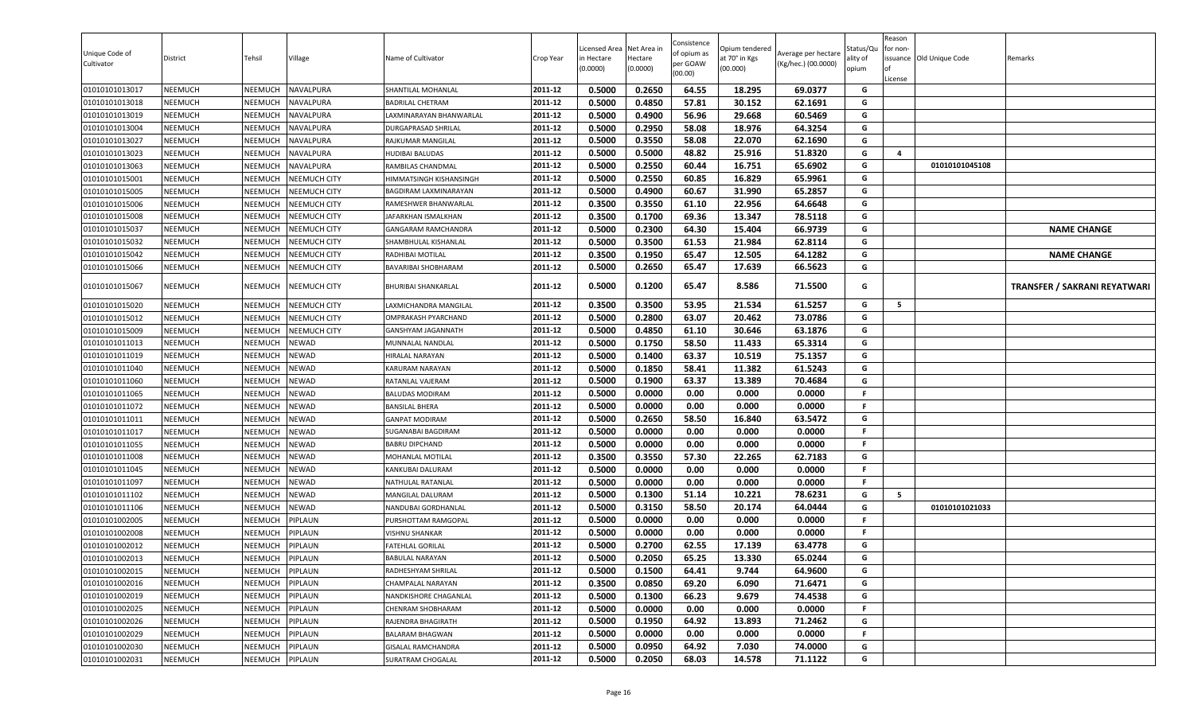| Unique Code of<br>Cultivator     | District                         | Tehsil             | Village                             | Name of Cultivator                                | Crop Year          | Licensed Area<br>in Hectare<br>(0.0000) | Net Area in<br>Hectare<br>(0.0000) | Consistence<br>of opium as<br>per GOAW<br>(00.00) | )pium tendered<br>at 70° in Kgs<br>(00.000) | Average per hectare<br>(Kg/hec.) (00.0000) | Status/Qเ<br>ality of<br>opium | Reason<br>for non-<br>lof<br>License | issuance Old Unique Code | Remarks                             |
|----------------------------------|----------------------------------|--------------------|-------------------------------------|---------------------------------------------------|--------------------|-----------------------------------------|------------------------------------|---------------------------------------------------|---------------------------------------------|--------------------------------------------|--------------------------------|--------------------------------------|--------------------------|-------------------------------------|
| 01010101013017                   | <b>NEEMUCH</b>                   | NEEMUCH            | NAVALPURA                           | SHANTILAL MOHANLAL                                | 2011-12            | 0.5000                                  | 0.2650                             | 64.55                                             | 18.295                                      | 69.0377                                    | G                              |                                      |                          |                                     |
| 01010101013018                   | <b>NEEMUCH</b>                   | NEEMUCH            | NAVALPURA                           | BADRILAL CHETRAM                                  | 2011-12            | 0.5000                                  | 0.4850                             | 57.81                                             | 30.152                                      | 62.1691                                    | G                              |                                      |                          |                                     |
| 01010101013019                   | NEEMUCH                          | NEEMUCH            | NAVALPURA                           | LAXMINARAYAN BHANWARLAL                           | 2011-12            | 0.5000                                  | 0.4900                             | 56.96                                             | 29.668                                      | 60.5469                                    | G                              |                                      |                          |                                     |
| 01010101013004                   | <b>NEEMUCH</b>                   | NEEMUCH            | NAVALPURA                           | <b>DURGAPRASAD SHRILAL</b>                        | 2011-12            | 0.5000                                  | 0.2950                             | 58.08                                             | 18.976                                      | 64.3254                                    | G                              |                                      |                          |                                     |
| 01010101013027                   | <b>NEEMUCH</b>                   | NEEMUCH            | NAVALPURA                           | RAJKUMAR MANGILAL                                 | 2011-12            | 0.5000                                  | 0.3550                             | 58.08                                             | 22.070                                      | 62.1690                                    | G                              |                                      |                          |                                     |
| 01010101013023                   | <b>NEEMUCH</b>                   | NEEMUCH            | NAVALPURA                           | <b>HUDIBAI BALUDAS</b>                            | 2011-12            | 0.5000                                  | 0.5000                             | 48.82                                             | 25.916                                      | 51.8320                                    | G                              | $\overline{4}$                       |                          |                                     |
| 01010101013063                   | <b>NEEMUCH</b>                   | NEEMUCH            | NAVALPURA                           | RAMBILAS CHANDMAL                                 | 2011-12            | 0.5000                                  | 0.2550                             | 60.44                                             | 16.751                                      | 65.6902                                    | G                              |                                      | 01010101045108           |                                     |
| 01010101015001                   | <b>NEEMUCH</b>                   | NEEMUCH            | <b>NEEMUCH CITY</b>                 | HIMMATSINGH KISHANSINGH                           | 2011-12            | 0.5000                                  | 0.2550                             | 60.85                                             | 16.829                                      | 65.9961                                    | G                              |                                      |                          |                                     |
| 01010101015005                   | <b>NEEMUCH</b>                   | NEEMUCH            | <b>NEEMUCH CITY</b>                 | BAGDIRAM LAXMINARAYAN                             | 2011-12            | 0.5000                                  | 0.4900                             | 60.67                                             | 31.990                                      | 65.2857                                    | G                              |                                      |                          |                                     |
| 01010101015006                   | <b>NEEMUCH</b>                   | NEEMUCH            | <b>NEEMUCH CITY</b>                 | RAMESHWER BHANWARLAL                              | 2011-12            | 0.3500                                  | 0.3550                             | 61.10                                             | 22.956                                      | 64.6648                                    | G                              |                                      |                          |                                     |
| 01010101015008                   | <b>NEEMUCH</b>                   | NEEMUCH            | NEEMUCH CITY                        | JAFARKHAN ISMALKHAN                               | 2011-12            | 0.3500                                  | 0.1700                             | 69.36                                             | 13.347                                      | 78.5118                                    | G                              |                                      |                          |                                     |
| 01010101015037                   | <b>NEEMUCH</b>                   | NEEMUCH            | <b>NEEMUCH CITY</b>                 | <b>GANGARAM RAMCHANDRA</b>                        | 2011-12            | 0.5000                                  | 0.2300                             | 64.30                                             | 15.404                                      | 66.9739                                    | G                              |                                      |                          | <b>NAME CHANGE</b>                  |
| 01010101015032                   | <b>NEEMUCH</b>                   | NEEMUCH            | <b>NEEMUCH CITY</b>                 | SHAMBHULAL KISHANLAL                              | 2011-12            | 0.5000                                  | 0.3500                             | 61.53                                             | 21.984                                      | 62.8114                                    | G                              |                                      |                          |                                     |
| 01010101015042                   | <b>NEEMUCH</b>                   | NEEMUCH            | NEEMUCH CITY                        | RADHIBAI MOTILAL                                  | 2011-12            | 0.3500                                  | 0.1950                             | 65.47                                             | 12.505                                      | 64.1282                                    | G                              |                                      |                          | <b>NAME CHANGE</b>                  |
| 01010101015066<br>01010101015067 | <b>NEEMUCH</b><br><b>NEEMUCH</b> | NEEMUCH<br>NEEMUCH | NEEMUCH CITY<br><b>NEEMUCH CITY</b> | <b>BAVARIBAI SHOBHARAM</b><br>BHURIBAI SHANKARLAL | 2011-12<br>2011-12 | 0.5000<br>0.5000                        | 0.2650<br>0.1200                   | 65.47<br>65.47                                    | 17.639<br>8.586                             | 66.5623<br>71.5500                         | G<br>G                         |                                      |                          | <b>TRANSFER / SAKRANI REYATWARI</b> |
| 01010101015020                   | <b>NEEMUCH</b>                   | NEEMUCH            | <b>NEEMUCH CITY</b>                 | LAXMICHANDRA MANGILAL                             | 2011-12            | 0.3500                                  | 0.3500                             | 53.95                                             | 21.534                                      | 61.5257                                    | G                              | 5                                    |                          |                                     |
| 01010101015012                   | <b>NEEMUCH</b>                   | NEEMUCH            | <b>NEEMUCH CITY</b>                 | OMPRAKASH PYARCHAND                               | 2011-12            | 0.5000                                  | 0.2800                             | 63.07                                             | 20.462                                      | 73.0786                                    | G                              |                                      |                          |                                     |
| 01010101015009                   | <b>NEEMUCH</b>                   | NEEMUCH            | <b>NEEMUCH CITY</b>                 | GANSHYAM JAGANNATH                                | 2011-12            | 0.5000                                  | 0.4850                             | 61.10                                             | 30.646                                      | 63.1876                                    | G                              |                                      |                          |                                     |
| 01010101011013                   | <b>NEEMUCH</b>                   | NEEMUCH            | <b>NEWAD</b>                        | MUNNALAL NANDLAL                                  | 2011-12            | 0.5000                                  | 0.1750                             | 58.50                                             | 11.433                                      | 65.3314                                    | G                              |                                      |                          |                                     |
| 01010101011019                   | <b>NEEMUCH</b>                   | <b>NEEMUCH</b>     | <b>NEWAD</b>                        | HIRALAL NARAYAN                                   | 2011-12            | 0.5000                                  | 0.1400                             | 63.37                                             | 10.519                                      | 75.1357                                    | G                              |                                      |                          |                                     |
| 01010101011040                   | <b>NEEMUCH</b>                   | NEEMUCH            | <b>NEWAD</b>                        | KARURAM NARAYAN                                   | 2011-12            | 0.5000                                  | 0.1850                             | 58.41                                             | 11.382                                      | 61.5243                                    | G                              |                                      |                          |                                     |
| 01010101011060                   | <b>NEEMUCH</b>                   | NEEMUCH            | <b>NEWAD</b>                        | RATANLAL VAJERAM                                  | 2011-12            | 0.5000                                  | 0.1900                             | 63.37                                             | 13.389                                      | 70.4684                                    | G                              |                                      |                          |                                     |
| 01010101011065                   | <b>NEEMUCH</b>                   | NEEMUCH            | NEWAD                               | <b>BALUDAS MODIRAM</b>                            | 2011-12            | 0.5000                                  | 0.0000                             | 0.00                                              | 0.000                                       | 0.0000                                     | F.                             |                                      |                          |                                     |
| 01010101011072                   | <b>NEEMUCH</b>                   | NEEMUCH            | NEWAD                               | <b>BANSILAL BHERA</b>                             | 2011-12            | 0.5000                                  | 0.0000                             | 0.00                                              | 0.000                                       | 0.0000                                     | F.                             |                                      |                          |                                     |
| 01010101011011                   | <b>NEEMUCH</b>                   | NEEMUCH            | NEWAD                               | <b>GANPAT MODIRAM</b>                             | 2011-12            | 0.5000                                  | 0.2650                             | 58.50                                             | 16.840                                      | 63.5472                                    | G                              |                                      |                          |                                     |
| 01010101011017                   | <b>NEEMUCH</b>                   | NEEMUCH            | NEWAD                               | SUGANABAI BAGDIRAM                                | 2011-12            | 0.5000                                  | 0.0000                             | 0.00                                              | 0.000                                       | 0.0000                                     |                                |                                      |                          |                                     |
| 01010101011055                   | <b>NEEMUCH</b>                   | NEEMUCH            | NEWAD                               | BABRU DIPCHAND                                    | 2011-12            | 0.5000                                  | 0.0000                             | 0.00                                              | 0.000                                       | 0.0000                                     | F.                             |                                      |                          |                                     |
| 01010101011008                   | <b>NEEMUCH</b>                   | NEEMUCH            | <b>NEWAD</b>                        | MOHANLAL MOTILAL                                  | 2011-12            | 0.3500                                  | 0.3550                             | 57.30                                             | 22.265                                      | 62.7183                                    | G                              |                                      |                          |                                     |
| 01010101011045                   | <b>NEEMUCH</b>                   | NEEMUCH            | <b>NEWAD</b>                        | KANKUBAI DALURAM                                  | 2011-12            | 0.5000                                  | 0.0000                             | 0.00                                              | 0.000                                       | 0.0000                                     | F.                             |                                      |                          |                                     |
| 01010101011097                   | <b>NEEMUCH</b>                   | NEEMUCH            | <b>NEWAD</b>                        | NATHULAL RATANLAL                                 | 2011-12            | 0.5000                                  | 0.0000                             | 0.00                                              | 0.000                                       | 0.0000                                     | F.                             |                                      |                          |                                     |
| 01010101011102                   | <b>NEEMUCH</b>                   | NEEMUCH            | <b>NEWAD</b>                        | MANGILAL DALURAM                                  | 2011-12            | 0.5000                                  | 0.1300                             | 51.14                                             | 10.221                                      | 78.6231                                    | G                              | 5                                    |                          |                                     |
| 01010101011106                   | <b>NEEMUCH</b>                   | NEEMUCH            | NEWAD                               | NANDUBAI GORDHANLAL                               | 2011-12            | 0.5000                                  | 0.3150                             | 58.50                                             | 20.174                                      | 64.0444                                    | G                              |                                      | 01010101021033           |                                     |
| 01010101002005                   | <b>NEEMUCH</b>                   | NEEMUCH            | PIPLAUN                             | PURSHOTTAM RAMGOPAL                               | 2011-12            | 0.5000                                  | 0.0000                             | 0.00                                              | 0.000                                       | 0.0000                                     | F.                             |                                      |                          |                                     |
| 01010101002008                   | <b>NEEMUCH</b>                   | NEEMUCH            | PIPLAUN                             | VISHNU SHANKAR                                    | 2011-12            | 0.5000                                  | 0.0000                             | 0.00                                              | 0.000                                       | 0.0000                                     | F.                             |                                      |                          |                                     |
| 01010101002012                   | <b>NEEMUCH</b>                   | NEEMUCH            | PIPLAUN                             | FATEHLAL GORILAL                                  | 2011-12            | 0.5000                                  | 0.2700                             | 62.55                                             | 17.139                                      | 63.4778                                    | G                              |                                      |                          |                                     |
| 01010101002013                   | <b>NEEMUCH</b>                   | NEEMUCH            | PIPLAUN                             | <b>BABULAL NARAYAN</b>                            | 2011-12            | 0.5000                                  | 0.2050                             | 65.25                                             | 13.330                                      | 65.0244                                    | G                              |                                      |                          |                                     |
| 01010101002015                   | <b>NEEMUCH</b>                   | NEEMUCH            | PIPLAUN                             | RADHESHYAM SHRILAL                                | 2011-12            | 0.5000                                  | 0.1500                             | 64.41                                             | 9.744                                       | 64.9600                                    | G                              |                                      |                          |                                     |
| 01010101002016                   | <b>NEEMUCH</b>                   | NEEMUCH            | PIPLAUN                             | CHAMPALAL NARAYAN                                 | 2011-12            | 0.3500                                  | 0.0850                             | 69.20                                             | 6.090                                       | 71.6471                                    | G                              |                                      |                          |                                     |
| 01010101002019                   | <b>NEEMUCH</b>                   | NEEMUCH            | PIPLAUN                             | NANDKISHORE CHAGANLAL                             | 2011-12            | 0.5000                                  | 0.1300                             | 66.23                                             | 9.679                                       | 74.4538                                    | G                              |                                      |                          |                                     |
| 01010101002025                   | <b>NEEMUCH</b>                   | NEEMUCH            | PIPLAUN                             | CHENRAM SHOBHARAM                                 | 2011-12            | 0.5000                                  | 0.0000                             | 0.00                                              | 0.000                                       | 0.0000                                     | F.                             |                                      |                          |                                     |
| 01010101002026                   | <b>NEEMUCH</b>                   | NEEMUCH            | PIPLAUN                             | RAJENDRA BHAGIRATH                                | 2011-12            | 0.5000                                  | 0.1950                             | 64.92                                             | 13.893                                      | 71.2462                                    | G                              |                                      |                          |                                     |
| 01010101002029                   | <b>NEEMUCH</b>                   | NEEMUCH            | PIPLAUN                             | <b>BALARAM BHAGWAN</b>                            | 2011-12            | 0.5000                                  | 0.0000                             | 0.00                                              | 0.000                                       | 0.0000                                     | F                              |                                      |                          |                                     |
| 01010101002030                   | <b>NEEMUCH</b>                   | <b>NEEMUCH</b>     | PIPLAUN                             | <b>GISALAL RAMCHANDRA</b>                         | 2011-12            | 0.5000                                  | 0.0950                             | 64.92                                             | 7.030                                       | 74.0000                                    | G                              |                                      |                          |                                     |
| 01010101002031                   | <b>NEEMUCH</b>                   | NEEMUCH            | PIPLAUN                             | SURATRAM CHOGALAL                                 | 2011-12            | 0.5000                                  | 0.2050                             | 68.03                                             | 14.578                                      | 71.1122                                    | G                              |                                      |                          |                                     |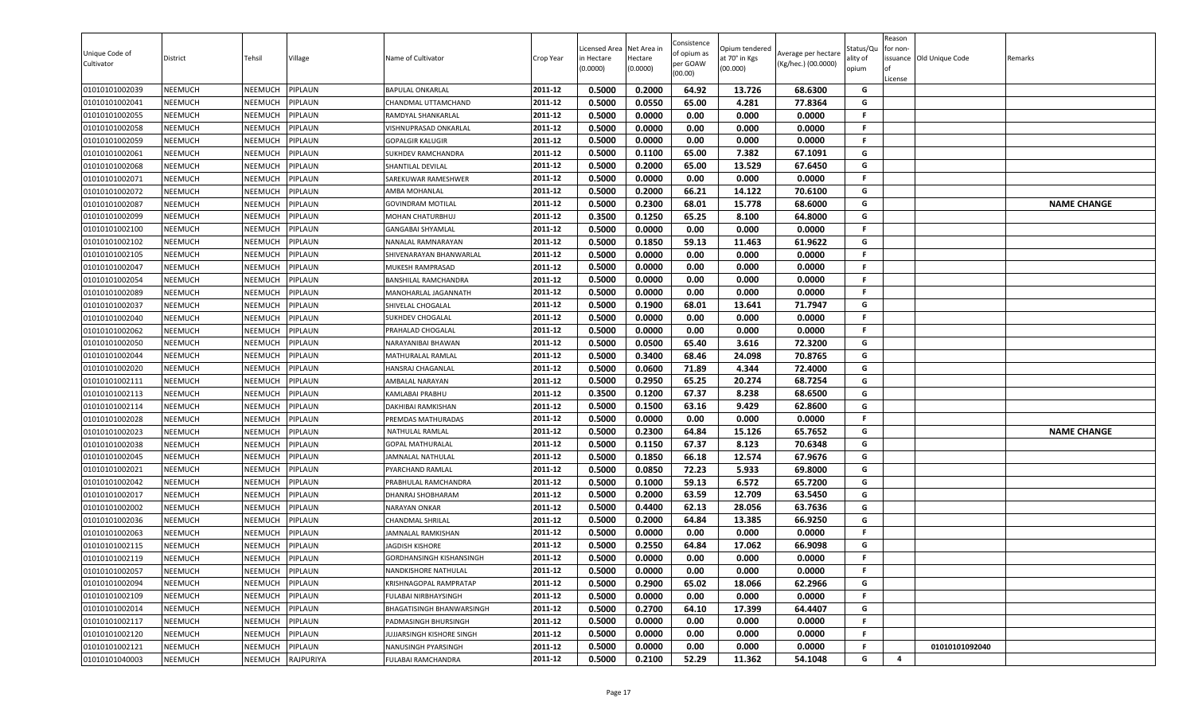| Unique Code of<br>Cultivator     | District                         | Tehsil                    | Village            | Name of Cultivator                                | Crop Year          | Licensed Area<br>in Hectare<br>(0.0000) | Net Area in<br>Hectare<br>(0.0000) | Consistence<br>of opium as<br>per GOAW<br>(00.00) | Opium tendered<br>at 70° in Kgs<br>(00.000) | Average per hectare<br>(Kg/hec.) (00.0000) | Status/Qu<br>ality of<br>opium | Reason<br>for non-<br>ssuance Old Unique Code<br>License | Remarks            |
|----------------------------------|----------------------------------|---------------------------|--------------------|---------------------------------------------------|--------------------|-----------------------------------------|------------------------------------|---------------------------------------------------|---------------------------------------------|--------------------------------------------|--------------------------------|----------------------------------------------------------|--------------------|
| 01010101002039                   | <b>NEEMUCH</b>                   | NEEMUCH                   | PIPLAUN            | <b>BAPULAL ONKARLAL</b>                           | 2011-12            | 0.5000                                  | 0.2000                             | 64.92                                             | 13.726                                      | 68.6300                                    | G                              |                                                          |                    |
| 01010101002041                   | <b>NEEMUCH</b>                   | NEEMUCH                   | PIPLAUN            | CHANDMAL UTTAMCHAND                               | 2011-12            | 0.5000                                  | 0.0550                             | 65.00                                             | 4.281                                       | 77.8364                                    | G                              |                                                          |                    |
| 01010101002055                   | <b>NEEMUCH</b>                   | NEEMUCH                   | PIPLAUN            | RAMDYAL SHANKARLAL                                | 2011-12            | 0.5000                                  | 0.0000                             | 0.00                                              | 0.000                                       | 0.0000                                     | F.                             |                                                          |                    |
| 01010101002058                   | <b>NEEMUCH</b>                   | NEEMUCH                   | PIPLAUN            | VISHNUPRASAD ONKARLAL                             | 2011-12            | 0.5000                                  | 0.0000                             | 0.00                                              | 0.000                                       | 0.0000                                     | F.                             |                                                          |                    |
| 01010101002059                   | <b>NEEMUCH</b>                   | NEEMUCH                   | PIPLAUN            | <b>GOPALGIR KALUGIR</b>                           | 2011-12            | 0.5000                                  | 0.0000                             | 0.00                                              | 0.000                                       | 0.0000                                     | F.                             |                                                          |                    |
| 01010101002061                   | <b>NEEMUCH</b>                   | NEEMUCH                   | PIPLAUN            | SUKHDEV RAMCHANDRA                                | 2011-12            | 0.5000                                  | 0.1100                             | 65.00                                             | 7.382                                       | 67.1091                                    | G                              |                                                          |                    |
| 01010101002068                   | <b>NEEMUCH</b>                   | NEEMUCH                   | PIPLAUN            | SHANTILAL DEVILAL                                 | 2011-12            | 0.5000                                  | 0.2000                             | 65.00                                             | 13.529                                      | 67.6450                                    | G                              |                                                          |                    |
| 01010101002071                   | <b>NEEMUCH</b>                   | NEEMUCH                   | PIPLAUN            | SAREKUWAR RAMESHWER                               | 2011-12            | 0.5000                                  | 0.0000                             | 0.00                                              | 0.000                                       | 0.0000                                     | F.                             |                                                          |                    |
| 01010101002072                   | <b>NEEMUCH</b>                   | NEEMUCH                   | PIPLAUN            | AMBA MOHANLAL                                     | 2011-12            | 0.5000                                  | 0.2000                             | 66.21                                             | 14.122                                      | 70.6100                                    | G                              |                                                          |                    |
| 01010101002087                   | <b>NEEMUCH</b>                   | NEEMUCH                   | PIPLAUN            | <b>GOVINDRAM MOTILAL</b>                          | 2011-12            | 0.5000                                  | 0.2300                             | 68.01                                             | 15.778                                      | 68.6000                                    | G                              |                                                          | <b>NAME CHANGE</b> |
| 01010101002099                   | <b>NEEMUCH</b>                   | NEEMUCH                   | PIPLAUN            | MOHAN CHATURBHUJ                                  | 2011-12            | 0.3500                                  | 0.1250                             | 65.25                                             | 8.100                                       | 64.8000                                    | G                              |                                                          |                    |
| 01010101002100                   | <b>NEEMUCH</b>                   | NEEMUCH                   | PIPLAUN            | <b>GANGABAI SHYAMLAL</b>                          | 2011-12            | 0.5000                                  | 0.0000                             | 0.00                                              | 0.000                                       | 0.0000                                     | F.                             |                                                          |                    |
| 01010101002102                   | <b>NEEMUCH</b>                   | <b>NEEMUCH</b>            | PIPLAUN            | NANALAL RAMNARAYAN                                | 2011-12            | 0.5000                                  | 0.1850                             | 59.13                                             | 11.463                                      | 61.9622                                    | G                              |                                                          |                    |
| 01010101002105                   | <b>NEEMUCH</b>                   | NEEMUCH                   | PIPLAUN            | SHIVENARAYAN BHANWARLAL                           | 2011-12            | 0.5000                                  | 0.0000                             | 0.00                                              | 0.000                                       | 0.0000                                     | F.                             |                                                          |                    |
| 01010101002047                   | <b>NEEMUCH</b>                   | NEEMUCH                   | PIPLAUN            | MUKESH RAMPRASAD                                  | 2011-12            | 0.5000                                  | 0.0000                             | 0.00                                              | 0.000                                       | 0.0000                                     | F.                             |                                                          |                    |
| 01010101002054                   | <b>NEEMUCH</b>                   | NEEMUCH                   | PIPLAUN            | BANSHILAL RAMCHANDRA                              | 2011-12            | 0.5000                                  | 0.0000                             | 0.00                                              | 0.000                                       | 0.0000                                     | F.                             |                                                          |                    |
| 01010101002089                   | <b>NEEMUCH</b>                   | NEEMUCH                   | PIPLAUN            | MANOHARLAL JAGANNATH                              | 2011-12            | 0.5000                                  | 0.0000                             | 0.00                                              | 0.000                                       | 0.0000                                     | .F                             |                                                          |                    |
| 01010101002037                   | <b>NEEMUCH</b>                   | NEEMUCH                   | PIPLAUN            | SHIVELAL CHOGALAL                                 | 2011-12            | 0.5000                                  | 0.1900                             | 68.01                                             | 13.641                                      | 71.7947                                    | G                              |                                                          |                    |
| 01010101002040                   | <b>NEEMUCH</b>                   | NEEMUCH                   | PIPLAUN            | SUKHDEV CHOGALAL                                  | 2011-12            | 0.5000                                  | 0.0000                             | 0.00                                              | 0.000                                       | 0.0000                                     | <b>F</b>                       |                                                          |                    |
| 01010101002062                   | <b>NEEMUCH</b>                   | NEEMUCH                   | PIPLAUN            | PRAHALAD CHOGALAL                                 | 2011-12            | 0.5000                                  | 0.0000                             | 0.00                                              | 0.000                                       | 0.0000                                     | F.                             |                                                          |                    |
| 01010101002050                   | <b>NEEMUCH</b>                   | NEEMUCH                   | PIPLAUN            | NARAYANIBAI BHAWAN                                | 2011-12            | 0.5000                                  | 0.0500                             | 65.40                                             | 3.616                                       | 72.3200                                    | G                              |                                                          |                    |
| 01010101002044                   | <b>NEEMUCH</b>                   | NEEMUCH                   | PIPLAUN            | MATHURALAL RAMLAL                                 | 2011-12            | 0.5000                                  | 0.3400                             | 68.46                                             | 24.098                                      | 70.8765                                    | G                              |                                                          |                    |
| 01010101002020                   | <b>NEEMUCH</b>                   | NEEMUCH                   | PIPLAUN            | HANSRAJ CHAGANLAL                                 | 2011-12            | 0.5000                                  | 0.0600                             | 71.89                                             | 4.344                                       | 72.4000                                    | G                              |                                                          |                    |
| 01010101002111                   | <b>NEEMUCH</b>                   | NEEMUCH                   | PIPLAUN            | AMBALAL NARAYAN                                   | 2011-12            | 0.5000                                  | 0.2950                             | 65.25                                             | 20.274                                      | 68.7254                                    | G                              |                                                          |                    |
| 01010101002113                   | <b>NEEMUCH</b>                   | NEEMUCH                   | PIPLAUN            | KAMLABAI PRABHU                                   | 2011-12            | 0.3500                                  | 0.1200                             | 67.37                                             | 8.238                                       | 68.6500                                    | G                              |                                                          |                    |
| 01010101002114                   | <b>NEEMUCH</b>                   | NEEMUCH                   | PIPLAUN            | DAKHIBAI RAMKISHAN                                | 2011-12            | 0.5000                                  | 0.1500                             | 63.16                                             | 9.429                                       | 62.8600                                    | G                              |                                                          |                    |
| 01010101002028                   | <b>NEEMUCH</b>                   | NEEMUCH                   | PIPLAUN            | PREMDAS MATHURADAS                                | 2011-12            | 0.5000                                  | 0.0000                             | 0.00                                              | 0.000                                       | 0.0000                                     | -F                             |                                                          |                    |
| 01010101002023                   | <b>NEEMUCH</b>                   | NEEMUCH                   | PIPLAUN            | NATHULAL RAMLAL                                   | 2011-12            | 0.5000                                  | 0.2300                             | 64.84                                             | 15.126                                      | 65.7652                                    | G                              |                                                          | <b>NAME CHANGE</b> |
| 01010101002038                   | <b>NEEMUCH</b>                   | NEEMUCH                   | PIPLAUN            | <b>GOPAL MATHURALAL</b>                           | 2011-12            | 0.5000                                  | 0.1150                             | 67.37                                             | 8.123                                       | 70.6348                                    | G                              |                                                          |                    |
| 01010101002045                   | <b>NEEMUCH</b>                   | NEEMUCH                   | PIPLAUN            | JAMNALAL NATHULAL                                 | 2011-12            | 0.5000                                  | 0.1850                             | 66.18                                             | 12.574                                      | 67.9676                                    | G                              |                                                          |                    |
| 01010101002021                   | <b>NEEMUCH</b>                   | NEEMUCH                   | PIPLAUN            | PYARCHAND RAMLAL                                  | 2011-12            | 0.5000                                  | 0.0850                             | 72.23                                             | 5.933                                       | 69.8000                                    | G                              |                                                          |                    |
| 01010101002042                   | <b>NEEMUCH</b>                   | <b>NEEMUCH</b>            | PIPLAUN            | PRABHULAL RAMCHANDRA                              | 2011-12            | 0.5000                                  | 0.1000                             | 59.13                                             | 6.572                                       | 65.7200                                    | G                              |                                                          |                    |
| 01010101002017                   | <b>NEEMUCH</b>                   | NEEMUCH                   | PIPLAUN            | <b>DHANRAJ SHOBHARAM</b><br><b>NARAYAN ONKAR</b>  | 2011-12            | 0.5000                                  | 0.2000                             | 63.59<br>62.13                                    | 12.709                                      | 63.5450                                    | G                              |                                                          |                    |
| 01010101002002                   | <b>NEEMUCH</b>                   | NEEMUCH                   | PIPLAUN            |                                                   | 2011-12<br>2011-12 | 0.5000                                  | 0.4400                             |                                                   | 28.056                                      | 63.7636                                    | G<br>G                         |                                                          |                    |
| 01010101002036                   | <b>NEEMUCH</b>                   | NEEMUCH                   | PIPLAUN            | <b>CHANDMAL SHRILAL</b><br>JAMNALAL RAMKISHAN     | 2011-12            | 0.5000<br>0.5000                        | 0.2000<br>0.0000                   | 64.84<br>0.00                                     | 13.385<br>0.000                             | 66.9250<br>0.0000                          | F.                             |                                                          |                    |
| 01010101002063                   | <b>NEEMUCH</b><br><b>NEEMUCH</b> | <b>NEEMUCH</b><br>NEEMUCH | PIPLAUN<br>PIPLAUN |                                                   | 2011-12            | 0.5000                                  | 0.2550                             | 64.84                                             | 17.062                                      |                                            | G                              |                                                          |                    |
| 01010101002115<br>01010101002119 | <b>NEEMUCH</b>                   |                           | PIPLAUN            | JAGDISH KISHORE<br>GORDHANSINGH KISHANSINGH       | 2011-12            | 0.5000                                  | 0.0000                             | 0.00                                              | 0.000                                       | 66.9098<br>0.0000                          | F.                             |                                                          |                    |
|                                  | <b>NEEMUCH</b>                   | NEEMUCH<br>NEEMUCH        | PIPLAUN            | NANDKISHORE NATHULAL                              | 2011-12            | 0.5000                                  | 0.0000                             | 0.00                                              | 0.000                                       | 0.0000                                     | F.                             |                                                          |                    |
| 01010101002057<br>01010101002094 | <b>NEEMUCH</b>                   | NEEMUCH                   | PIPLAUN            | KRISHNAGOPAL RAMPRATAP                            | 2011-12            | 0.5000                                  | 0.2900                             | 65.02                                             | 18.066                                      | 62.2966                                    | G                              |                                                          |                    |
| 01010101002109                   | <b>NEEMUCH</b>                   | NEEMUCH                   | PIPLAUN            |                                                   | 2011-12            | 0.5000                                  | 0.0000                             | 0.00                                              | 0.000                                       | 0.0000                                     | -F                             |                                                          |                    |
| 01010101002014                   | <b>NEEMUCH</b>                   | NEEMUCH                   | PIPLAUN            | FULABAI NIRBHAYSINGH<br>BHAGATISINGH BHANWARSINGH | 2011-12            | 0.5000                                  | 0.2700                             | 64.10                                             | 17.399                                      | 64.4407                                    | G                              |                                                          |                    |
| 01010101002117                   | <b>NEEMUCH</b>                   | NEEMUCH                   | PIPLAUN            | PADMASINGH BHURSINGH                              | 2011-12            | 0.5000                                  | 0.0000                             | 0.00                                              | 0.000                                       | 0.0000                                     | F.                             |                                                          |                    |
| 01010101002120                   | <b>NEEMUCH</b>                   | NEEMUCH                   | PIPLAUN            | JUJJARSINGH KISHORE SINGH                         | 2011-12            | 0.5000                                  | 0.0000                             | 0.00                                              | 0.000                                       | 0.0000                                     | F.                             |                                                          |                    |
| 01010101002121                   | <b>NEEMUCH</b>                   | <b>NEEMUCH</b>            | PIPLAUN            | NANUSINGH PYARSINGH                               | 2011-12            | 0.5000                                  | 0.0000                             | 0.00                                              | 0.000                                       | 0.0000                                     | F.                             | 01010101092040                                           |                    |
| 01010101040003                   | <b>NEEMUCH</b>                   | NEEMUCH                   | RAJPURIYA          | FULABAI RAMCHANDRA                                | 2011-12            | 0.5000                                  | 0.2100                             | 52.29                                             | 11.362                                      | 54.1048                                    | G                              | 4                                                        |                    |
|                                  |                                  |                           |                    |                                                   |                    |                                         |                                    |                                                   |                                             |                                            |                                |                                                          |                    |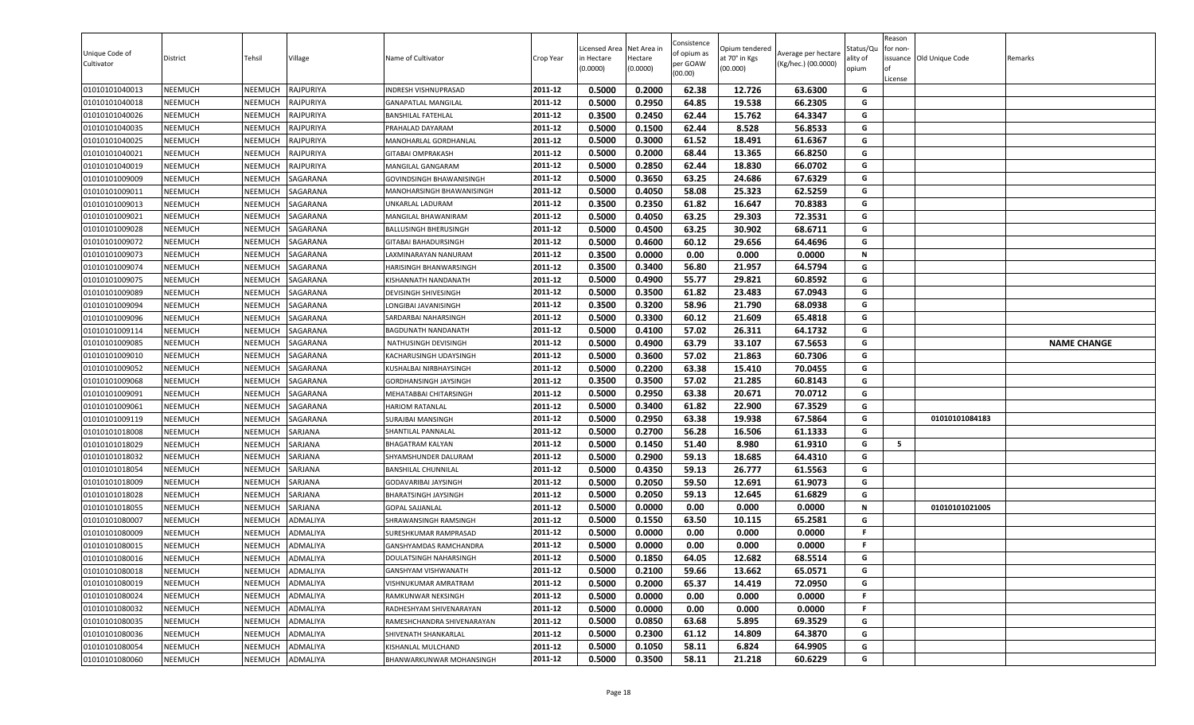| Unique Code of<br>Cultivator     | District           | Tehsil             | Village              | Name of Cultivator                                  | Crop Year          | Licensed Area<br>in Hectare<br>(0.0000) | Net Area in<br>Hectare<br>(0.0000) | Consistence<br>of opium as<br>per GOAW<br>(00.00) | Opium tendered<br>at 70° in Kgs<br>(00.000) | Average per hectare<br>(Kg/hec.) (00.0000) | Status/Qu<br>ality of<br>opium | Reason<br>for non-<br>License | ssuance Old Unique Code | Remarks            |
|----------------------------------|--------------------|--------------------|----------------------|-----------------------------------------------------|--------------------|-----------------------------------------|------------------------------------|---------------------------------------------------|---------------------------------------------|--------------------------------------------|--------------------------------|-------------------------------|-------------------------|--------------------|
| 01010101040013                   | NEEMUCH            | NEEMUCH            | RAJPURIYA            | INDRESH VISHNUPRASAD                                | 2011-12            | 0.5000                                  | 0.2000                             | 62.38                                             | 12.726                                      | 63.6300                                    | G                              |                               |                         |                    |
| 01010101040018                   | NEEMUCH            | NEEMUCH            | RAJPURIYA            | <b>GANAPATLAL MANGILAL</b>                          | 2011-12            | 0.5000                                  | 0.2950                             | 64.85                                             | 19.538                                      | 66.2305                                    | G                              |                               |                         |                    |
| 01010101040026                   | NEEMUCH            | NEEMUCH            | RAJPURIYA            | <b>BANSHILAL FATEHLAL</b>                           | 2011-12            | 0.3500                                  | 0.2450                             | 62.44                                             | 15.762                                      | 64.3347                                    | G                              |                               |                         |                    |
| 01010101040035                   | <b>NEEMUCH</b>     | NEEMUCH            | RAJPURIYA            | PRAHALAD DAYARAM                                    | 2011-12            | 0.5000                                  | 0.1500                             | 62.44                                             | 8.528                                       | 56.8533                                    | G                              |                               |                         |                    |
| 01010101040025                   | <b>NEEMUCH</b>     | NEEMUCH            | RAJPURIYA            | MANOHARLAL GORDHANLAL                               | 2011-12            | 0.5000                                  | 0.3000                             | 61.52                                             | 18.491                                      | 61.6367                                    | G                              |                               |                         |                    |
| 01010101040021                   | <b>NEEMUCH</b>     | NEEMUCH            | RAJPURIYA            | <b>GITABAI OMPRAKASH</b>                            | 2011-12            | 0.5000                                  | 0.2000                             | 68.44                                             | 13.365                                      | 66.8250                                    | G                              |                               |                         |                    |
| 01010101040019                   | <b>NEEMUCH</b>     | NEEMUCH            | RAJPURIYA            | MANGILAL GANGARAM                                   | 2011-12            | 0.5000                                  | 0.2850                             | 62.44                                             | 18.830                                      | 66.0702                                    | G<br>G                         |                               |                         |                    |
| 01010101009009                   | NEEMUCH            | NEEMUCH            | SAGARANA             | <b>GOVINDSINGH BHAWANISINGH</b>                     | 2011-12            | 0.5000                                  | 0.3650                             | 63.25                                             | 24.686                                      | 67.6329<br>62.5259                         |                                |                               |                         |                    |
| 01010101009011                   | <b>NEEMUCH</b>     | NEEMUCH            | SAGARANA             | MANOHARSINGH BHAWANISINGH                           | 2011-12<br>2011-12 | 0.5000                                  | 0.4050                             | 58.08                                             | 25.323                                      |                                            | G<br>G                         |                               |                         |                    |
| 01010101009013                   | NEEMUCH            | NEEMUCH            | SAGARANA             | UNKARLAL LADURAM                                    | 2011-12            | 0.3500<br>0.5000                        | 0.2350<br>0.4050                   | 61.82<br>63.25                                    | 16.647<br>29.303                            | 70.8383<br>72.3531                         | G                              |                               |                         |                    |
| 01010101009021<br>01010101009028 | NEEMUCH<br>NEEMUCH | NEEMUCH<br>NEEMUCH | SAGARANA<br>SAGARANA | MANGILAL BHAWANIRAM<br><b>BALLUSINGH BHERUSINGH</b> | 2011-12            | 0.5000                                  | 0.4500                             | 63.25                                             | 30.902                                      | 68.6711                                    | G                              |                               |                         |                    |
| 01010101009072                   | <b>NEEMUCH</b>     | NEEMUCH            | SAGARANA             | <b>GITABAI BAHADURSINGH</b>                         | 2011-12            | 0.5000                                  | 0.4600                             | 60.12                                             | 29.656                                      | 64.4696                                    | G                              |                               |                         |                    |
| 01010101009073                   | <b>NEEMUCH</b>     | NEEMUCH            | SAGARANA             | LAXMINARAYAN NANURAM                                | 2011-12            | 0.3500                                  | 0.0000                             | 0.00                                              | 0.000                                       | 0.0000                                     | Ν                              |                               |                         |                    |
| 01010101009074                   | <b>NEEMUCH</b>     | NEEMUCH            | SAGARANA             | HARISINGH BHANWARSINGH                              | 2011-12            | 0.3500                                  | 0.3400                             | 56.80                                             | 21.957                                      | 64.5794                                    | G                              |                               |                         |                    |
| 01010101009075                   | <b>NEEMUCH</b>     | NEEMUCH            | SAGARANA             | KISHANNATH NANDANATH                                | 2011-12            | 0.5000                                  | 0.4900                             | 55.77                                             | 29.821                                      | 60.8592                                    | G                              |                               |                         |                    |
| 01010101009089                   | NEEMUCH            | NEEMUCH            | SAGARANA             | DEVISINGH SHIVESINGH                                | 2011-12            | 0.5000                                  | 0.3500                             | 61.82                                             | 23.483                                      | 67.0943                                    | G                              |                               |                         |                    |
| 01010101009094                   | NEEMUCH            | NEEMUCH            | SAGARANA             | LONGIBAI JAVANISINGH                                | 2011-12            | 0.3500                                  | 0.3200                             | 58.96                                             | 21.790                                      | 68.0938                                    | G                              |                               |                         |                    |
| 01010101009096                   | NEEMUCH            | NEEMUCH            | SAGARANA             | SARDARBAI NAHARSINGH                                | 2011-12            | 0.5000                                  | 0.3300                             | 60.12                                             | 21.609                                      | 65.4818                                    | G                              |                               |                         |                    |
| 01010101009114                   | <b>NEEMUCH</b>     | NEEMUCH            | SAGARANA             | BAGDUNATH NANDANATH                                 | 2011-12            | 0.5000                                  | 0.4100                             | 57.02                                             | 26.311                                      | 64.1732                                    | G                              |                               |                         |                    |
| 01010101009085                   | NEEMUCH            | NEEMUCH            | SAGARANA             | NATHUSINGH DEVISINGH                                | 2011-12            | 0.5000                                  | 0.4900                             | 63.79                                             | 33.107                                      | 67.5653                                    | G                              |                               |                         | <b>NAME CHANGE</b> |
| 01010101009010                   | <b>NEEMUCH</b>     | NEEMUCH            | SAGARANA             | KACHARUSINGH UDAYSINGH                              | 2011-12            | 0.5000                                  | 0.3600                             | 57.02                                             | 21.863                                      | 60.7306                                    | G                              |                               |                         |                    |
| 01010101009052                   | <b>NEEMUCH</b>     | NEEMUCH            | SAGARANA             | KUSHALBAI NIRBHAYSINGH                              | 2011-12            | 0.5000                                  | 0.2200                             | 63.38                                             | 15.410                                      | 70.0455                                    | G                              |                               |                         |                    |
| 01010101009068                   | <b>NEEMUCH</b>     | NEEMUCH            | SAGARANA             | GORDHANSINGH JAYSINGH                               | 2011-12            | 0.3500                                  | 0.3500                             | 57.02                                             | 21.285                                      | 60.8143                                    | G                              |                               |                         |                    |
| 01010101009091                   | <b>NEEMUCH</b>     | NEEMUCH            | SAGARANA             | MEHATABBAI CHITARSINGH                              | 2011-12            | 0.5000                                  | 0.2950                             | 63.38                                             | 20.671                                      | 70.0712                                    | G                              |                               |                         |                    |
| 01010101009061                   | NEEMUCH            | NEEMUCH            | SAGARANA             | <b>HARIOM RATANLAL</b>                              | 2011-12            | 0.5000                                  | 0.3400                             | 61.82                                             | 22.900                                      | 67.3529                                    | G                              |                               |                         |                    |
| 01010101009119                   | NEEMUCH            | NEEMUCH            | SAGARANA             | <b>SURAJBAI MANSINGH</b>                            | 2011-12            | 0.5000                                  | 0.2950                             | 63.38                                             | 19.938                                      | 67.5864                                    | G                              |                               | 01010101084183          |                    |
| 01010101018008                   | NEEMUCH            | NEEMUCH            | SARJANA              | SHANTILAL PANNALAL                                  | 2011-12            | 0.5000                                  | 0.2700                             | 56.28                                             | 16.506                                      | 61.1333                                    | G                              |                               |                         |                    |
| 01010101018029                   | <b>NEEMUCH</b>     | NEEMUCH            | SARJANA              | <b>BHAGATRAM KALYAN</b>                             | 2011-12            | 0.5000                                  | 0.1450                             | 51.40                                             | 8.980                                       | 61.9310                                    | G                              | -5                            |                         |                    |
| 01010101018032                   | <b>NEEMUCH</b>     | NEEMUCH            | SARJANA              | SHYAMSHUNDER DALURAM                                | 2011-12            | 0.5000                                  | 0.2900                             | 59.13                                             | 18.685                                      | 64.4310                                    | G                              |                               |                         |                    |
| 01010101018054                   | <b>NEEMUCH</b>     | NEEMUCH            | SARJANA              | <b>BANSHILAL CHUNNILAL</b>                          | 2011-12            | 0.5000                                  | 0.4350                             | 59.13                                             | 26.777                                      | 61.5563                                    | G                              |                               |                         |                    |
| 01010101018009                   | NEEMUCH            | NEEMUCH            | SARJANA              | <b>GODAVARIBAI JAYSINGH</b>                         | 2011-12            | 0.5000                                  | 0.2050                             | 59.50                                             | 12.691                                      | 61.9073                                    | G                              |                               |                         |                    |
| 01010101018028                   | <b>NEEMUCH</b>     | NEEMUCH            | SARJANA              | <b>BHARATSINGH JAYSINGH</b>                         | 2011-12            | 0.5000                                  | 0.2050                             | 59.13                                             | 12.645                                      | 61.6829                                    | G                              |                               |                         |                    |
| 01010101018055                   | <b>NEEMUCH</b>     | NEEMUCH            | SARJANA              | <b>GOPAL SAJJANLAL</b>                              | 2011-12            | 0.5000                                  | 0.0000                             | 0.00                                              | 0.000                                       | 0.0000                                     | N                              |                               | 01010101021005          |                    |
| 01010101080007                   | NEEMUCH            | NEEMUCH            | ADMALIYA             | SHRAWANSINGH RAMSINGH                               | 2011-12            | 0.5000                                  | 0.1550                             | 63.50                                             | 10.115                                      | 65.2581                                    | G                              |                               |                         |                    |
| 01010101080009                   | <b>NEEMUCH</b>     | NEEMUCH            | ADMALIYA             | SURESHKUMAR RAMPRASAD                               | 2011-12            | 0.5000                                  | 0.0000                             | 0.00                                              | 0.000                                       | 0.0000                                     | F.                             |                               |                         |                    |
| 01010101080015                   | NEEMUCH            | NEEMUCH            | ADMALIYA             | GANSHYAMDAS RAMCHANDRA                              | 2011-12            | 0.5000                                  | 0.0000                             | 0.00                                              | 0.000                                       | 0.0000                                     | F.                             |                               |                         |                    |
| 01010101080016                   | NEEMUCH            | NEEMUCH            | ADMALIYA             | DOULATSINGH NAHARSINGH                              | 2011-12            | 0.5000                                  | 0.1850                             | 64.05                                             | 12.682                                      | 68.5514                                    | G                              |                               |                         |                    |
| 01010101080018                   | <b>NEEMUCH</b>     | NEEMUCH            | ADMALIYA             | GANSHYAM VISHWANATH                                 | 2011-12            | 0.5000                                  | 0.2100                             | 59.66                                             | 13.662                                      | 65.0571                                    | G                              |                               |                         |                    |
| 01010101080019                   | NEEMUCH            | <b>NEEMUCH</b>     | ADMALIYA             | VISHNUKUMAR AMRATRAM                                | 2011-12            | 0.5000                                  | 0.2000                             | 65.37                                             | 14.419                                      | 72.0950                                    | G                              |                               |                         |                    |
| 01010101080024                   | NEEMUCH            | <b>NEEMUCH</b>     | ADMALIYA             | RAMKUNWAR NEKSINGH                                  | 2011-12            | 0.5000                                  | 0.0000                             | 0.00                                              | 0.000                                       | 0.0000                                     | F.                             |                               |                         |                    |
| 01010101080032                   | <b>NEEMUCH</b>     | NEEMUCH            | ADMALIYA             | RADHESHYAM SHIVENARAYAN                             | 2011-12            | 0.5000                                  | 0.0000                             | 0.00                                              | 0.000                                       | 0.0000                                     | F.                             |                               |                         |                    |
| 01010101080035                   | <b>NEEMUCH</b>     | NEEMUCH            | ADMALIYA             | RAMESHCHANDRA SHIVENARAYAN                          | 2011-12            | 0.5000                                  | 0.0850                             | 63.68                                             | 5.895                                       | 69.3529                                    | G                              |                               |                         |                    |
| 01010101080036                   | <b>NEEMUCH</b>     | NEEMUCH            | ADMALIYA             | SHIVENATH SHANKARLAL                                | 2011-12            | 0.5000                                  | 0.2300                             | 61.12                                             | 14.809                                      | 64.3870                                    | G                              |                               |                         |                    |
| 01010101080054                   | <b>NEEMUCH</b>     | <b>NEEMUCH</b>     | ADMALIYA             | KISHANLAL MULCHAND                                  | 2011-12            | 0.5000                                  | 0.1050                             | 58.11                                             | 6.824                                       | 64.9905                                    | G                              |                               |                         |                    |
| 01010101080060                   | NEEMUCH            | <b>NEEMUCH</b>     | ADMALIYA             | BHANWARKUNWAR MOHANSINGH                            | 2011-12            | 0.5000                                  | 0.3500                             | 58.11                                             | 21.218                                      | 60.6229                                    | G                              |                               |                         |                    |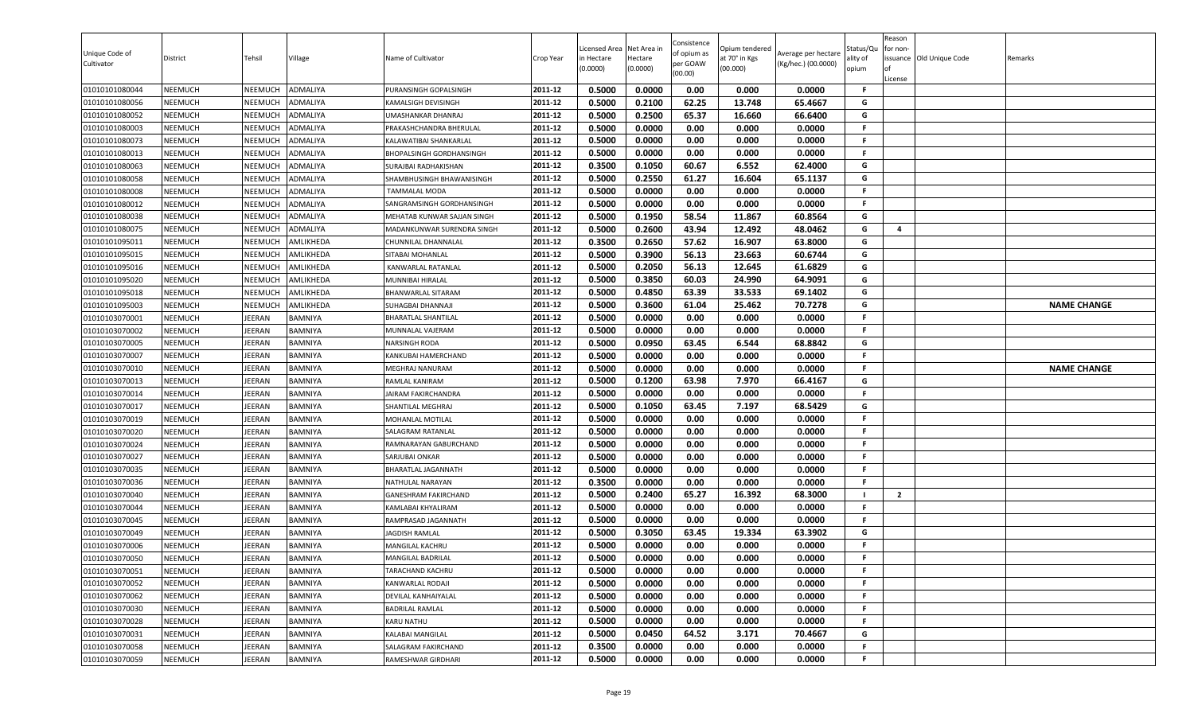| Unique Code of<br>Cultivator     | District                         | Tehsil             | Village                | Name of Cultivator                     | Crop Year          | Licensed Area<br>in Hectare<br>(0.0000) | Net Area in<br>Hectare<br>(0.0000) | Consistence<br>of opium as<br>per GOAW<br>(00.00) | Opium tendered<br>at 70° in Kgs<br>(00.000) | Average per hectare<br>(Kg/hec.) (00.0000) | Status/Qu<br>ality of<br>opium | Reason<br>for non-<br>ssuance Old Unique Code<br>License | Remarks            |
|----------------------------------|----------------------------------|--------------------|------------------------|----------------------------------------|--------------------|-----------------------------------------|------------------------------------|---------------------------------------------------|---------------------------------------------|--------------------------------------------|--------------------------------|----------------------------------------------------------|--------------------|
| 01010101080044                   | <b>NEEMUCH</b>                   | NEEMUCH            | <b>ADMALIYA</b>        | PURANSINGH GOPALSINGH                  | 2011-12            | 0.5000                                  | 0.0000                             | 0.00                                              | 0.000                                       | 0.0000                                     | -F                             |                                                          |                    |
| 01010101080056                   | <b>NEEMUCH</b>                   | NEEMUCH            | ADMALIYA               | KAMALSIGH DEVISINGH                    | 2011-12            | 0.5000                                  | 0.2100                             | 62.25                                             | 13.748                                      | 65.4667                                    | G                              |                                                          |                    |
| 01010101080052                   | <b>NEEMUCH</b>                   | NEEMUCH            | ADMALIYA               | UMASHANKAR DHANRAJ                     | 2011-12            | 0.5000                                  | 0.2500                             | 65.37                                             | 16.660                                      | 66.6400                                    | G                              |                                                          |                    |
| 01010101080003                   | <b>NEEMUCH</b>                   | NEEMUCH            | ADMALIYA               | PRAKASHCHANDRA BHERULAL                | 2011-12            | 0.5000                                  | 0.0000                             | 0.00                                              | 0.000                                       | 0.0000                                     | F.                             |                                                          |                    |
| 01010101080073                   | <b>NEEMUCH</b>                   | NEEMUCH            | ADMALIYA               | KALAWATIBAI SHANKARLAL                 | 2011-12            | 0.5000                                  | 0.0000                             | 0.00                                              | 0.000                                       | 0.0000                                     | F.                             |                                                          |                    |
| 01010101080013                   | <b>NEEMUCH</b>                   | NEEMUCH            | ADMALIYA               | <b>BHOPALSINGH GORDHANSINGH</b>        | 2011-12            | 0.5000                                  | 0.0000                             | 0.00                                              | 0.000                                       | 0.0000                                     | F.                             |                                                          |                    |
| 01010101080063                   | <b>NEEMUCH</b>                   | NEEMUCH            | <b>ADMALIYA</b>        | SURAJBAI RADHAKISHAN                   | 2011-12            | 0.3500                                  | 0.1050                             | 60.67                                             | 6.552                                       | 62.4000                                    | G                              |                                                          |                    |
| 01010101080058                   | <b>NEEMUCH</b>                   | NEEMUCH            | ADMALIYA               | SHAMBHUSINGH BHAWANISINGH              | 2011-12            | 0.5000                                  | 0.2550                             | 61.27                                             | 16.604                                      | 65.1137                                    | G                              |                                                          |                    |
| 01010101080008                   | <b>NEEMUCH</b>                   | NEEMUCH            | <b>ADMALIYA</b>        | TAMMALAL MODA                          | 2011-12            | 0.5000                                  | 0.0000                             | 0.00                                              | 0.000                                       | 0.0000                                     | F.                             |                                                          |                    |
| 01010101080012                   | <b>NEEMUCH</b>                   | NEEMUCH            | ADMALIYA               | SANGRAMSINGH GORDHANSINGH              | 2011-12            | 0.5000                                  | 0.0000                             | 0.00                                              | 0.000                                       | 0.0000                                     | F.                             |                                                          |                    |
| 01010101080038                   | <b>NEEMUCH</b>                   | NEEMUCH            | ADMALIYA               | MEHATAB KUNWAR SAJJAN SINGH            | 2011-12            | 0.5000                                  | 0.1950                             | 58.54                                             | 11.867                                      | 60.8564                                    | G                              |                                                          |                    |
| 01010101080075                   | <b>NEEMUCH</b>                   | NEEMUCH            | ADMALIYA               | MADANKUNWAR SURENDRA SINGH             | 2011-12            | 0.5000                                  | 0.2600                             | 43.94                                             | 12.492                                      | 48.0462                                    | G                              | 4                                                        |                    |
| 01010101095011                   | <b>NEEMUCH</b>                   | <b>NEEMUCH</b>     | AMLIKHEDA              | CHUNNILAL DHANNALAL                    | 2011-12<br>2011-12 | 0.3500                                  | 0.2650                             | 57.62                                             | 16.907                                      | 63.8000                                    | G<br>G                         |                                                          |                    |
| 01010101095015                   | <b>NEEMUCH</b>                   | NEEMUCH            | AMLIKHEDA              | SITABAI MOHANLAL                       |                    | 0.5000                                  | 0.3900                             | 56.13                                             | 23.663                                      | 60.6744                                    | G                              |                                                          |                    |
| 01010101095016<br>01010101095020 | <b>NEEMUCH</b>                   | NEEMUCH            | AMLIKHEDA              | KANWARLAL RATANLAL                     | 2011-12<br>2011-12 | 0.5000                                  | 0.2050                             | 56.13<br>60.03                                    | 12.645                                      | 61.6829                                    | G                              |                                                          |                    |
| 01010101095018                   | <b>NEEMUCH</b><br><b>NEEMUCH</b> | NEEMUCH<br>NEEMUCH | AMLIKHEDA<br>AMLIKHEDA | MUNNIBAI HIRALAL<br>BHANWARLAL SITARAM | 2011-12            | 0.5000<br>0.5000                        | 0.3850<br>0.4850                   | 63.39                                             | 24.990<br>33.533                            | 64.9091<br>69.1402                         | G                              |                                                          |                    |
| 01010101095003                   | <b>NEEMUCH</b>                   | NEEMUCH            | AMLIKHEDA              | SUHAGBAI DHANNAJI                      | 2011-12            | 0.5000                                  | 0.3600                             | 61.04                                             | 25.462                                      | 70.7278                                    | G                              |                                                          | <b>NAME CHANGE</b> |
| 01010103070001                   | <b>NEEMUCH</b>                   | <b>IEERAN</b>      | BAMNIYA                | <b>BHARATLAL SHANTILAL</b>             | 2011-12            | 0.5000                                  | 0.0000                             | 0.00                                              | 0.000                                       | 0.0000                                     | <b>F</b>                       |                                                          |                    |
| 01010103070002                   | <b>NEEMUCH</b>                   | IEERAN             | <b>BAMNIYA</b>         | MUNNALAL VAJERAM                       | 2011-12            | 0.5000                                  | 0.0000                             | 0.00                                              | 0.000                                       | 0.0000                                     | F.                             |                                                          |                    |
| 01010103070005                   | <b>NEEMUCH</b>                   | JEERAN             | <b>BAMNIYA</b>         | NARSINGH RODA                          | 2011-12            | 0.5000                                  | 0.0950                             | 63.45                                             | 6.544                                       | 68.8842                                    | G                              |                                                          |                    |
| 01010103070007                   | <b>NEEMUCH</b>                   | <b>IEERAN</b>      | <b>BAMNIYA</b>         | KANKUBAI HAMERCHAND                    | 2011-12            | 0.5000                                  | 0.0000                             | 0.00                                              | 0.000                                       | 0.0000                                     | F.                             |                                                          |                    |
| 01010103070010                   | <b>NEEMUCH</b>                   | <b>IEERAN</b>      | <b>BAMNIYA</b>         | MEGHRAJ NANURAM                        | 2011-12            | 0.5000                                  | 0.0000                             | 0.00                                              | 0.000                                       | 0.0000                                     | F.                             |                                                          | <b>NAME CHANGE</b> |
| 01010103070013                   | <b>NEEMUCH</b>                   | <b>IEERAN</b>      | BAMNIYA                | RAMLAL KANIRAM                         | 2011-12            | 0.5000                                  | 0.1200                             | 63.98                                             | 7.970                                       | 66.4167                                    | G                              |                                                          |                    |
| 01010103070014                   | <b>NEEMUCH</b>                   | <b>IEERAN</b>      | <b>BAMNIYA</b>         | JAIRAM FAKIRCHANDRA                    | 2011-12            | 0.5000                                  | 0.0000                             | 0.00                                              | 0.000                                       | 0.0000                                     | F.                             |                                                          |                    |
| 01010103070017                   | <b>NEEMUCH</b>                   | <b>IEERAN</b>      | <b>BAMNIYA</b>         | <b>SHANTILAL MEGHRAJ</b>               | 2011-12            | 0.5000                                  | 0.1050                             | 63.45                                             | 7.197                                       | 68.5429                                    | G                              |                                                          |                    |
| 01010103070019                   | <b>NEEMUCH</b>                   | <b>IEERAN</b>      | <b>BAMNIYA</b>         | MOHANLAL MOTILAL                       | 2011-12            | 0.5000                                  | 0.0000                             | 0.00                                              | 0.000                                       | 0.0000                                     | -F                             |                                                          |                    |
| 01010103070020                   | <b>NEEMUCH</b>                   | <b>IEERAN</b>      | <b>BAMNIYA</b>         | SALAGRAM RATANLAL                      | 2011-12            | 0.5000                                  | 0.0000                             | 0.00                                              | 0.000                                       | 0.0000                                     | .F                             |                                                          |                    |
| 01010103070024                   | <b>NEEMUCH</b>                   | <b>IEERAN</b>      | <b>BAMNIYA</b>         | RAMNARAYAN GABURCHAND                  | 2011-12            | 0.5000                                  | 0.0000                             | 0.00                                              | 0.000                                       | 0.0000                                     | F.                             |                                                          |                    |
| 01010103070027                   | <b>NEEMUCH</b>                   | <b>IEERAN</b>      | <b>BAMNIYA</b>         | SARJUBAI ONKAR                         | 2011-12            | 0.5000                                  | 0.0000                             | 0.00                                              | 0.000                                       | 0.0000                                     | F.                             |                                                          |                    |
| 01010103070035                   | <b>NEEMUCH</b>                   | <b>IEERAN</b>      | <b>BAMNIYA</b>         | BHARATLAL JAGANNATH                    | 2011-12            | 0.5000                                  | 0.0000                             | 0.00                                              | 0.000                                       | 0.0000                                     | F.                             |                                                          |                    |
| 01010103070036                   | <b>NEEMUCH</b>                   | <b>IEERAN</b>      | <b>BAMNIYA</b>         | NATHULAL NARAYAN                       | 2011-12            | 0.3500                                  | 0.0000                             | 0.00                                              | 0.000                                       | 0.0000                                     | F.                             |                                                          |                    |
| 01010103070040                   | <b>NEEMUCH</b>                   | <b>IEERAN</b>      | BAMNIYA                | <b>GANESHRAM FAKIRCHAND</b>            | 2011-12            | 0.5000                                  | 0.2400                             | 65.27                                             | 16.392                                      | 68.3000                                    |                                | $\overline{2}$                                           |                    |
| 01010103070044                   | <b>NEEMUCH</b>                   | <b>IEERAN</b>      | <b>BAMNIYA</b>         | KAMLABAI KHYALIRAM                     | 2011-12            | 0.5000                                  | 0.0000                             | 0.00                                              | 0.000                                       | 0.0000                                     | F.                             |                                                          |                    |
| 01010103070045                   | <b>NEEMUCH</b>                   | JEERAN             | <b>BAMNIYA</b>         | RAMPRASAD JAGANNATH                    | 2011-12            | 0.5000                                  | 0.0000                             | 0.00                                              | 0.000                                       | 0.0000                                     | F.                             |                                                          |                    |
| 01010103070049                   | <b>NEEMUCH</b>                   | <b>IEERAN</b>      | <b>BAMNIYA</b>         | <b>JAGDISH RAMLAL</b>                  | 2011-12            | 0.5000                                  | 0.3050                             | 63.45                                             | 19.334                                      | 63.3902                                    | G                              |                                                          |                    |
| 01010103070006                   | <b>NEEMUCH</b>                   | <b>IEERAN</b>      | BAMNIYA                | MANGILAL KACHRU                        | 2011-12            | 0.5000                                  | 0.0000                             | 0.00                                              | 0.000                                       | 0.0000                                     | F.                             |                                                          |                    |
| 01010103070050                   | <b>NEEMUCH</b>                   | JEERAN             | <b>BAMNIYA</b>         | MANGILAL BADRILAL                      | 2011-12            | 0.5000                                  | 0.0000                             | 0.00                                              | 0.000                                       | 0.0000                                     | F.                             |                                                          |                    |
| 01010103070051                   | <b>NEEMUCH</b>                   | JEERAN             | <b>BAMNIYA</b>         | TARACHAND KACHRU                       | 2011-12            | 0.5000                                  | 0.0000                             | 0.00                                              | 0.000                                       | 0.0000                                     | F.                             |                                                          |                    |
| 01010103070052                   | <b>NEEMUCH</b>                   | JEERAN             | <b>BAMNIYA</b>         | KANWARLAL RODAJI                       | 2011-12            | 0.5000                                  | 0.0000                             | 0.00                                              | 0.000                                       | 0.0000                                     | .F                             |                                                          |                    |
| 01010103070062                   | <b>NEEMUCH</b>                   | <b>IEERAN</b>      | <b>BAMNIYA</b>         | DEVILAL KANHAIYALAL                    | 2011-12            | 0.5000                                  | 0.0000                             | 0.00                                              | 0.000                                       | 0.0000                                     | -F                             |                                                          |                    |
| 01010103070030                   | <b>NEEMUCH</b>                   | <b>IEERAN</b>      | <b>BAMNIYA</b>         | <b>BADRILAL RAMLAL</b>                 | 2011-12            | 0.5000                                  | 0.0000                             | 0.00                                              | 0.000                                       | 0.0000                                     | -F                             |                                                          |                    |
| 01010103070028                   | <b>NEEMUCH</b>                   | <b>JEERAN</b>      | <b>BAMNIYA</b>         | KARU NATHU                             | 2011-12            | 0.5000                                  | 0.0000                             | 0.00                                              | 0.000                                       | 0.0000                                     | F.                             |                                                          |                    |
| 01010103070031                   | <b>NEEMUCH</b>                   | <b>IEERAN</b>      | <b>BAMNIYA</b>         | KALABAI MANGILAL                       | 2011-12            | 0.5000                                  | 0.0450                             | 64.52                                             | 3.171                                       | 70.4667                                    | G                              |                                                          |                    |
| 01010103070058                   | <b>NEEMUCH</b>                   | JEERAN             | <b>BAMNIYA</b>         | SALAGRAM FAKIRCHAND                    | 2011-12            | 0.3500                                  | 0.0000                             | 0.00                                              | 0.000                                       | 0.0000                                     | -F                             |                                                          |                    |
| 01010103070059                   | <b>NEEMUCH</b>                   | JEERAN             | <b>BAMNIYA</b>         | RAMESHWAR GIRDHARI                     | 2011-12            | 0.5000                                  | 0.0000                             | 0.00                                              | 0.000                                       | 0.0000                                     | F.                             |                                                          |                    |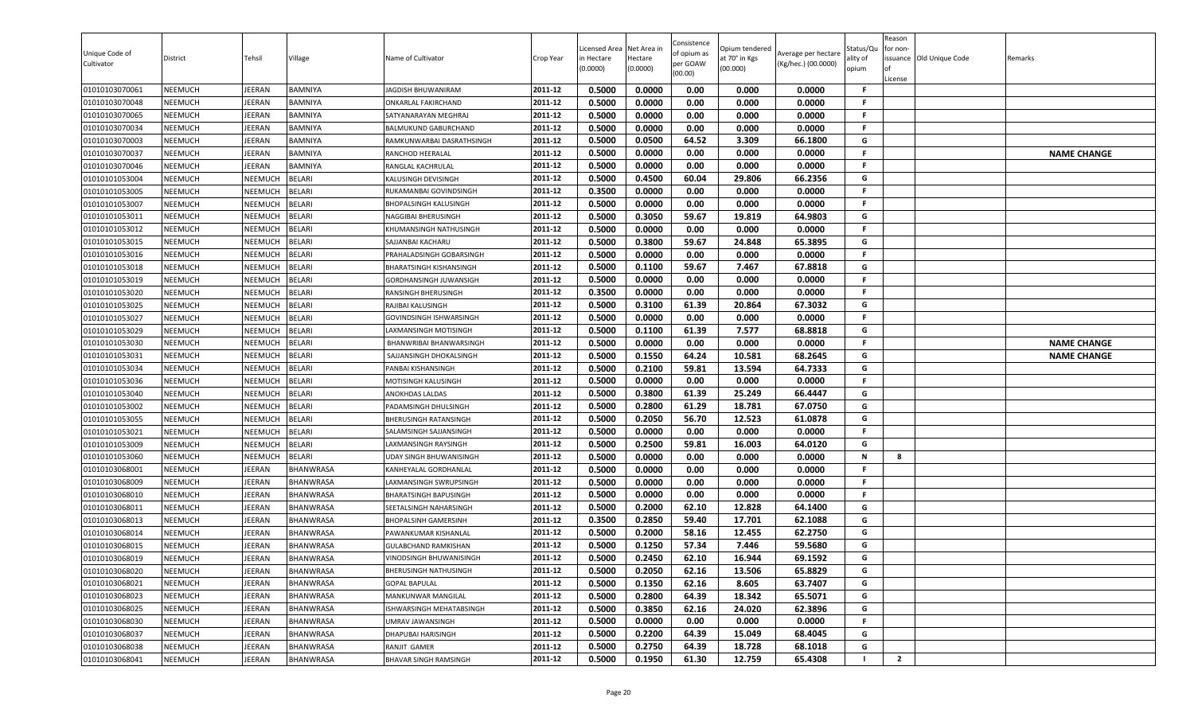| Unique Code of<br>Cultivator     | District                         | Tehsil             | Village                        | Name of Cultivator                                | Crop Year          | Licensed Area<br>in Hectare<br>(0.0000) | Net Area in<br>Hectare<br>(0.0000) | Consistence<br>of opium as<br>per GOAW<br>(00.00) | Opium tendered<br>at 70° in Kgs<br>(00.000) | Average per hectare<br>(Kg/hec.) (00.0000) | Status/Qu<br>ality of<br>opium | Reason<br>for non-<br>ssuance Old Unique Code<br>License | Remarks            |
|----------------------------------|----------------------------------|--------------------|--------------------------------|---------------------------------------------------|--------------------|-----------------------------------------|------------------------------------|---------------------------------------------------|---------------------------------------------|--------------------------------------------|--------------------------------|----------------------------------------------------------|--------------------|
| 01010103070061                   | <b>NEEMUCH</b>                   | <b>IEERAN</b>      | <b>BAMNIYA</b>                 | JAGDISH BHUWANIRAM                                | 2011-12            | 0.5000                                  | 0.0000                             | 0.00                                              | 0.000                                       | 0.0000                                     | -F                             |                                                          |                    |
| 01010103070048                   | <b>NEEMUCH</b>                   | EERAN              | <b>BAMNIYA</b>                 | ONKARLAL FAKIRCHAND                               | 2011-12            | 0.5000                                  | 0.0000                             | 0.00                                              | 0.000                                       | 0.0000                                     | -F                             |                                                          |                    |
| 01010103070065                   | <b>NEEMUCH</b>                   | JEERAN             | BAMNIYA                        | SATYANARAYAN MEGHRAJ                              | 2011-12            | 0.5000                                  | 0.0000                             | 0.00                                              | 0.000                                       | 0.0000                                     | F.                             |                                                          |                    |
| 01010103070034                   | <b>NEEMUCH</b>                   | <b>IEERAN</b>      | <b>BAMNIYA</b>                 | BALMUKUND GABURCHAND                              | 2011-12            | 0.5000                                  | 0.0000                             | 0.00                                              | 0.000                                       | 0.0000                                     | F.                             |                                                          |                    |
| 01010103070003                   | <b>NEEMUCH</b>                   | <b>IEERAN</b>      | <b>BAMNIYA</b>                 | RAMKUNWARBAI DASRATHSINGH                         | 2011-12            | 0.5000                                  | 0.0500                             | 64.52                                             | 3.309                                       | 66.1800                                    | G                              |                                                          |                    |
| 01010103070037                   | <b>NEEMUCH</b>                   | IEERAN             | <b>BAMNIYA</b>                 | RANCHOD HEERALAL                                  | 2011-12            | 0.5000                                  | 0.0000                             | 0.00                                              | 0.000                                       | 0.0000                                     | F.                             |                                                          | <b>NAME CHANGE</b> |
| 01010103070046                   | <b>NEEMUCH</b>                   | <b>IEERAN</b>      | <b>BAMNIYA</b>                 | RANGLAL KACHRULAL                                 | 2011-12            | 0.5000                                  | 0.0000                             | 0.00                                              | 0.000                                       | 0.0000                                     | F.                             |                                                          |                    |
| 01010101053004                   | <b>NEEMUCH</b>                   | NEEMUCH            | <b>BELARI</b>                  | <b>KALUSINGH DEVISINGH</b>                        | 2011-12            | 0.5000                                  | 0.4500                             | 60.04                                             | 29.806                                      | 66.2356                                    | G                              |                                                          |                    |
| 01010101053005                   | <b>NEEMUCH</b>                   | NEEMUCH            | <b>BELARI</b>                  | RUKAMANBAI GOVINDSINGH                            | 2011-12            | 0.3500                                  | 0.0000                             | 0.00                                              | 0.000                                       | 0.0000                                     | F.                             |                                                          |                    |
| 01010101053007                   | <b>NEEMUCH</b>                   | NEEMUCH            | <b>BELARI</b>                  | <b>BHOPALSINGH KALUSINGH</b>                      | 2011-12            | 0.5000                                  | 0.0000                             | 0.00                                              | 0.000                                       | 0.0000                                     | F.                             |                                                          |                    |
| 01010101053011                   | <b>NEEMUCH</b>                   | NEEMUCH            | <b>BELARI</b>                  | NAGGIBAI BHERUSINGH                               | 2011-12<br>2011-12 | 0.5000                                  | 0.3050                             | 59.67                                             | 19.819                                      | 64.9803                                    | G<br>F.                        |                                                          |                    |
| 01010101053012                   | <b>NEEMUCH</b><br><b>NEEMUCH</b> | NEEMUCH            | <b>BELARI</b><br><b>BELARI</b> | KHUMANSINGH NATHUSINGH                            | 2011-12            | 0.5000                                  | 0.0000<br>0.3800                   | 0.00<br>59.67                                     | 0.000                                       | 0.0000                                     | G                              |                                                          |                    |
| 01010101053015                   |                                  | NEEMUCH            |                                | SAJJANBAI KACHARU                                 | 2011-12            | 0.5000<br>0.5000                        |                                    |                                                   | 24.848                                      | 65.3895                                    | F.                             |                                                          |                    |
| 01010101053016                   | <b>NEEMUCH</b><br><b>NEEMUCH</b> | NEEMUCH<br>NEEMUCH | <b>BELARI</b><br><b>BELARI</b> | PRAHALADSINGH GOBARSINGH                          | 2011-12            | 0.5000                                  | 0.0000<br>0.1100                   | 0.00<br>59.67                                     | 0.000<br>7.467                              | 0.0000<br>67.8818                          | G                              |                                                          |                    |
| 01010101053018<br>01010101053019 | <b>NEEMUCH</b>                   | NEEMUCH            | <b>BELARI</b>                  | BHARATSINGH KISHANSINGH<br>GORDHANSINGH JUWANSIGH | 2011-12            | 0.5000                                  | 0.0000                             | 0.00                                              | 0.000                                       | 0.0000                                     | F.                             |                                                          |                    |
| 01010101053020                   | <b>NEEMUCH</b>                   | NEEMUCH            | <b>BELARI</b>                  | RANSINGH BHERUSINGH                               | 2011-12            | 0.3500                                  | 0.0000                             | 0.00                                              | 0.000                                       | 0.0000                                     | .F                             |                                                          |                    |
| 01010101053025                   | <b>NEEMUCH</b>                   | NEEMUCH            | <b>BELARI</b>                  | RAJIBAI KALUSINGH                                 | 2011-12            | 0.5000                                  | 0.3100                             | 61.39                                             | 20.864                                      | 67.3032                                    | G                              |                                                          |                    |
| 01010101053027                   | <b>NEEMUCH</b>                   | NEEMUCH            | <b>BELARI</b>                  | GOVINDSINGH ISHWARSINGH                           | 2011-12            | 0.5000                                  | 0.0000                             | 0.00                                              | 0.000                                       | 0.0000                                     | <b>F</b>                       |                                                          |                    |
| 01010101053029                   | <b>NEEMUCH</b>                   | NEEMUCH            | <b>BELARI</b>                  | AXMANSINGH MOTISINGH                              | 2011-12            | 0.5000                                  | 0.1100                             | 61.39                                             | 7.577                                       | 68.8818                                    | G                              |                                                          |                    |
| 01010101053030                   | <b>NEEMUCH</b>                   | NEEMUCH            | <b>BELARI</b>                  | BHANWRIBAI BHANWARSINGH                           | 2011-12            | 0.5000                                  | 0.0000                             | 0.00                                              | 0.000                                       | 0.0000                                     | F.                             |                                                          | <b>NAME CHANGE</b> |
| 01010101053031                   | <b>NEEMUCH</b>                   | NEEMUCH            | <b>BELARI</b>                  | SAJJANSINGH DHOKALSINGH                           | 2011-12            | 0.5000                                  | 0.1550                             | 64.24                                             | 10.581                                      | 68.2645                                    | G                              |                                                          | <b>NAME CHANGE</b> |
| 01010101053034                   | <b>NEEMUCH</b>                   | NEEMUCH            | <b>BELARI</b>                  | PANBAI KISHANSINGH                                | 2011-12            | 0.5000                                  | 0.2100                             | 59.81                                             | 13.594                                      | 64.7333                                    | G                              |                                                          |                    |
| 01010101053036                   | <b>NEEMUCH</b>                   | NEEMUCH            | <b>BELARI</b>                  | MOTISINGH KALUSINGH                               | 2011-12            | 0.5000                                  | 0.0000                             | 0.00                                              | 0.000                                       | 0.0000                                     | F.                             |                                                          |                    |
| 01010101053040                   | <b>NEEMUCH</b>                   | NEEMUCH            | <b>BELARI</b>                  | ANOKHDAS LALDAS                                   | 2011-12            | 0.5000                                  | 0.3800                             | 61.39                                             | 25.249                                      | 66.4447                                    | G                              |                                                          |                    |
| 01010101053002                   | <b>NEEMUCH</b>                   | NEEMUCH            | <b>BELARI</b>                  | PADAMSINGH DHULSINGH                              | 2011-12            | 0.5000                                  | 0.2800                             | 61.29                                             | 18.781                                      | 67.0750                                    | G                              |                                                          |                    |
| 01010101053055                   | <b>NEEMUCH</b>                   | NEEMUCH            | <b>BELARI</b>                  | BHERUSINGH RATANSINGH                             | 2011-12            | 0.5000                                  | 0.2050                             | 56.70                                             | 12.523                                      | 61.0878                                    | G                              |                                                          |                    |
| 01010101053021                   | <b>NEEMUCH</b>                   | NEEMUCH            | <b>BELARI</b>                  | SALAMSINGH SAJJANSINGH                            | 2011-12            | 0.5000                                  | 0.0000                             | 0.00                                              | 0.000                                       | 0.0000                                     | F.                             |                                                          |                    |
| 01010101053009                   | <b>NEEMUCH</b>                   | NEEMUCH            | <b>BELARI</b>                  | LAXMANSINGH RAYSINGH                              | 2011-12            | 0.5000                                  | 0.2500                             | 59.81                                             | 16.003                                      | 64.0120                                    | G                              |                                                          |                    |
| 01010101053060                   | <b>NEEMUCH</b>                   | NEEMUCH            | <b>BELARI</b>                  | UDAY SINGH BHUWANISINGH                           | 2011-12            | 0.5000                                  | 0.0000                             | 0.00                                              | 0.000                                       | 0.0000                                     | N                              | 8                                                        |                    |
| 01010103068001                   | <b>NEEMUCH</b>                   | IEERAN             | <b>BHANWRASA</b>               | KANHEYALAL GORDHANLAL                             | 2011-12            | 0.5000                                  | 0.0000                             | 0.00                                              | 0.000                                       | 0.0000                                     | F.                             |                                                          |                    |
| 01010103068009                   | <b>NEEMUCH</b>                   | <b>IEERAN</b>      | <b>BHANWRASA</b>               | LAXMANSINGH SWRUPSINGH                            | 2011-12            | 0.5000                                  | 0.0000                             | 0.00                                              | 0.000                                       | 0.0000                                     | F.                             |                                                          |                    |
| 01010103068010                   | <b>NEEMUCH</b>                   | <b>IEERAN</b>      | <b>BHANWRASA</b>               | <b>BHARATSINGH BAPUSINGH</b>                      | 2011-12            | 0.5000                                  | 0.0000                             | 0.00                                              | 0.000                                       | 0.0000                                     | F.                             |                                                          |                    |
| 01010103068011                   | <b>NEEMUCH</b>                   | <b>IEERAN</b>      | <b>BHANWRASA</b>               | SEETALSINGH NAHARSINGH                            | 2011-12            | 0.5000                                  | 0.2000                             | 62.10                                             | 12.828                                      | 64.1400                                    | G                              |                                                          |                    |
| 01010103068013                   | <b>NEEMUCH</b>                   | JEERAN             | <b>BHANWRASA</b>               | <b>BHOPALSINH GAMERSINH</b>                       | 2011-12            | 0.3500                                  | 0.2850                             | 59.40                                             | 17.701                                      | 62.1088                                    | G                              |                                                          |                    |
| 01010103068014                   | <b>NEEMUCH</b>                   | <b>IEERAN</b>      | <b>BHANWRASA</b>               | PAWANKUMAR KISHANLAL                              | 2011-12            | 0.5000                                  | 0.2000                             | 58.16                                             | 12.455                                      | 62.2750                                    | G                              |                                                          |                    |
| 01010103068015                   | <b>NEEMUCH</b>                   | <b>IEERAN</b>      | <b>BHANWRASA</b>               | GULABCHAND RAMKISHAN                              | 2011-12            | 0.5000                                  | 0.1250                             | 57.34                                             | 7.446                                       | 59.5680                                    | G                              |                                                          |                    |
| 01010103068019                   | <b>NEEMUCH</b>                   | JEERAN             | <b>BHANWRASA</b>               | VINODSINGH BHUWANISINGH                           | 2011-12            | 0.5000                                  | 0.2450                             | 62.10                                             | 16.944                                      | 69.1592                                    | G                              |                                                          |                    |
| 01010103068020                   | <b>NEEMUCH</b>                   | JEERAN             | <b>BHANWRASA</b>               | <b>BHERUSINGH NATHUSINGH</b>                      | 2011-12            | 0.5000                                  | 0.2050                             | 62.16                                             | 13.506                                      | 65.8829                                    | G                              |                                                          |                    |
| 01010103068021                   | <b>NEEMUCH</b>                   | JEERAN             | <b>BHANWRASA</b>               | <b>GOPAL BAPULAL</b>                              | 2011-12            | 0.5000                                  | 0.1350                             | 62.16                                             | 8.605                                       | 63.7407                                    | G                              |                                                          |                    |
| 01010103068023                   | <b>NEEMUCH</b>                   | <b>IEERAN</b>      | BHANWRASA                      | MANKUNWAR MANGILAL                                | 2011-12            | 0.5000                                  | 0.2800                             | 64.39                                             | 18.342                                      | 65.5071                                    | G                              |                                                          |                    |
| 01010103068025                   | <b>NEEMUCH</b>                   | <b>IEERAN</b>      | <b>BHANWRASA</b>               | ISHWARSINGH MEHATABSINGH                          | 2011-12            | 0.5000                                  | 0.3850                             | 62.16                                             | 24.020                                      | 62.3896                                    | G                              |                                                          |                    |
| 01010103068030                   | <b>NEEMUCH</b>                   | IEERAN             | <b>BHANWRASA</b>               | UMRAV JAWANSINGH                                  | 2011-12            | 0.5000                                  | 0.0000                             | 0.00                                              | 0.000                                       | 0.0000                                     | F.                             |                                                          |                    |
| 01010103068037                   | <b>NEEMUCH</b>                   | <b>IEERAN</b>      | <b>BHANWRASA</b>               | DHAPUBAI HARISINGH                                | 2011-12            | 0.5000                                  | 0.2200                             | 64.39                                             | 15.049                                      | 68.4045                                    | G                              |                                                          |                    |
| 01010103068038                   | <b>NEEMUCH</b>                   | JEERAN             | <b>BHANWRASA</b>               | RANJIT GAMER                                      | 2011-12            | 0.5000                                  | 0.2750                             | 64.39                                             | 18.728                                      | 68.1018                                    | G                              |                                                          |                    |
| 01010103068041                   | <b>NEEMUCH</b>                   | JEERAN             | <b>BHANWRASA</b>               | BHAVAR SINGH RAMSINGH                             | 2011-12            | 0.5000                                  | 0.1950                             | 61.30                                             | 12.759                                      | 65.4308                                    |                                | $\mathbf{2}$                                             |                    |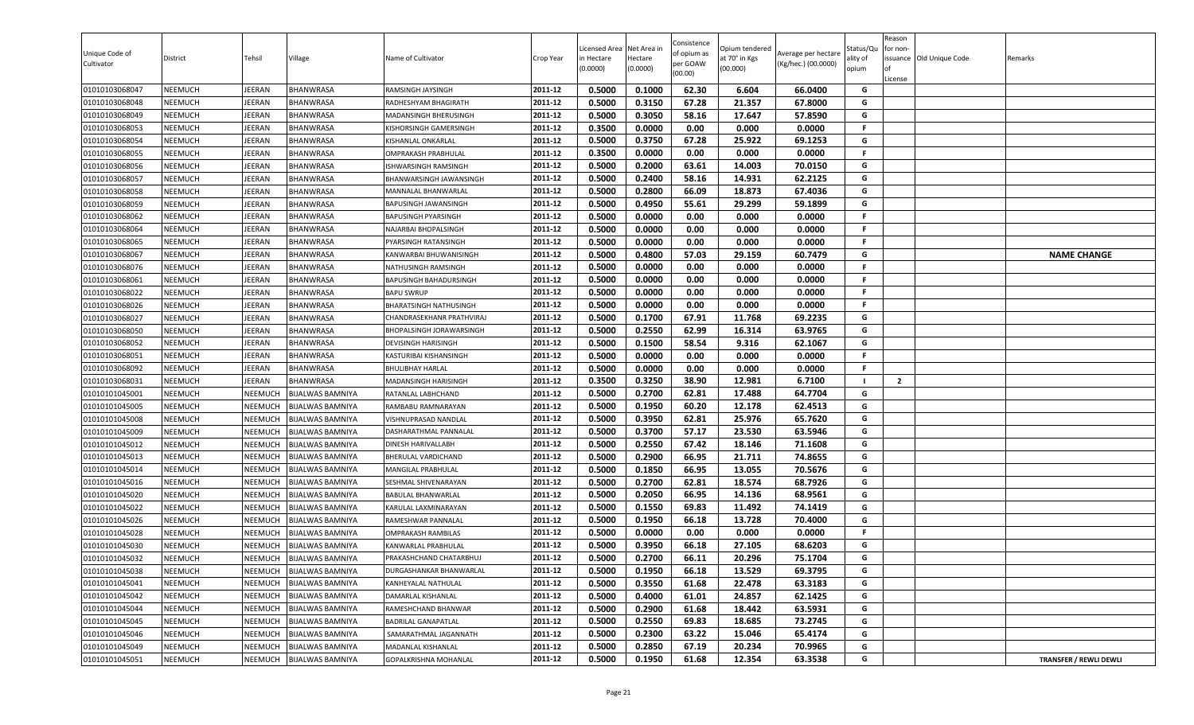| Unique Code of<br>Cultivator | District       | Tehsil         | Village                 | Name of Cultivator         | Crop Year | Licensed Area<br>in Hectare<br>(0.0000) | Net Area in<br>Hectare<br>(0.0000) | Consistence<br>of opium as<br>per GOAW<br>(00.00) | Opium tendered<br>at 70° in Kgs<br>(00.000) | Average per hectare<br>(Kg/hec.) (00.0000) | status/Qι<br>ılity of<br>opium | Reason<br>for non-<br>of<br>License | issuance Old Unique Code | Remarks                       |
|------------------------------|----------------|----------------|-------------------------|----------------------------|-----------|-----------------------------------------|------------------------------------|---------------------------------------------------|---------------------------------------------|--------------------------------------------|--------------------------------|-------------------------------------|--------------------------|-------------------------------|
| 01010103068047               | <b>NEEMUCH</b> | <b>JEERAN</b>  | BHANWRASA               | RAMSINGH JAYSINGH          | 2011-12   | 0.5000                                  | 0.1000                             | 62.30                                             | 6.604                                       | 66.0400                                    | G                              |                                     |                          |                               |
| 01010103068048               | NEEMUCH        | <b>JEERAN</b>  | BHANWRASA               | RADHESHYAM BHAGIRATH       | 2011-12   | 0.5000                                  | 0.3150                             | 67.28                                             | 21.357                                      | 67.8000                                    | G                              |                                     |                          |                               |
| 01010103068049               | NEEMUCH        | JEERAN         | BHANWRASA               | MADANSINGH BHERUSINGH      | 2011-12   | 0.5000                                  | 0.3050                             | 58.16                                             | 17.647                                      | 57.8590                                    | G                              |                                     |                          |                               |
| 01010103068053               | <b>NEEMUCH</b> | JEERAN         | BHANWRASA               | KISHORSINGH GAMERSINGH     | 2011-12   | 0.3500                                  | 0.0000                             | 0.00                                              | 0.000                                       | 0.0000                                     | F.                             |                                     |                          |                               |
| 01010103068054               | NEEMUCH        | JEERAN         | BHANWRASA               | KISHANLAL ONKARLAL         | 2011-12   | 0.5000                                  | 0.3750                             | 67.28                                             | 25.922                                      | 69.1253                                    | G                              |                                     |                          |                               |
| 01010103068055               | <b>NEEMUCH</b> | JEERAN         | BHANWRASA               | OMPRAKASH PRABHULAL        | 2011-12   | 0.3500                                  | 0.0000                             | 0.00                                              | 0.000                                       | 0.0000                                     | F.                             |                                     |                          |                               |
| 01010103068056               | <b>NEEMUCH</b> | JEERAN         | BHANWRASA               | ISHWARSINGH RAMSINGH       | 2011-12   | 0.5000                                  | 0.2000                             | 63.61                                             | 14.003                                      | 70.0150                                    | G                              |                                     |                          |                               |
| 01010103068057               | <b>NEEMUCH</b> | <b>JEERAN</b>  | BHANWRASA               | BHANWARSINGH JAWANSINGH    | 2011-12   | 0.5000                                  | 0.2400                             | 58.16                                             | 14.931                                      | 62.2125                                    | G                              |                                     |                          |                               |
| 01010103068058               | <b>NEEMUCH</b> | JEERAN         | BHANWRASA               | MANNALAL BHANWARLAL        | 2011-12   | 0.5000                                  | 0.2800                             | 66.09                                             | 18.873                                      | 67.4036                                    | G                              |                                     |                          |                               |
| 01010103068059               | NEEMUCH        | <b>JEERAN</b>  | BHANWRASA               | BAPUSINGH JAWANSINGH       | 2011-12   | 0.5000                                  | 0.4950                             | 55.61                                             | 29.299                                      | 59.1899                                    | G                              |                                     |                          |                               |
| 01010103068062               | NEEMUCH        | <b>JEERAN</b>  | BHANWRASA               | <b>BAPUSINGH PYARSINGH</b> | 2011-12   | 0.5000                                  | 0.0000                             | 0.00                                              | 0.000                                       | 0.0000                                     | F.                             |                                     |                          |                               |
| 01010103068064               | <b>NEEMUCH</b> | JEERAN         | BHANWRASA               | NAJARBAI BHOPALSINGH       | 2011-12   | 0.5000                                  | 0.0000                             | 0.00                                              | 0.000                                       | 0.0000                                     | F.                             |                                     |                          |                               |
| 01010103068065               | <b>NEEMUCH</b> | JEERAN         | BHANWRASA               | PYARSINGH RATANSINGH       | 2011-12   | 0.5000                                  | 0.0000                             | 0.00                                              | 0.000                                       | 0.0000                                     | F.                             |                                     |                          |                               |
| 01010103068067               | NEEMUCH        | JEERAN         | BHANWRASA               | KANWARBAI BHUWANISINGH     | 2011-12   | 0.5000                                  | 0.4800                             | 57.03                                             | 29.159                                      | 60.7479                                    | G                              |                                     |                          | <b>NAME CHANGE</b>            |
| 01010103068076               | <b>NEEMUCH</b> | <b>JEERAN</b>  | BHANWRASA               | NATHUSINGH RAMSINGH        | 2011-12   | 0.5000                                  | 0.0000                             | 0.00                                              | 0.000                                       | 0.0000                                     | F.                             |                                     |                          |                               |
| 01010103068061               | <b>NEEMUCH</b> | JEERAN         | BHANWRASA               | BAPUSINGH BAHADURSINGH     | 2011-12   | 0.5000                                  | 0.0000                             | 0.00                                              | 0.000                                       | 0.0000                                     | F.                             |                                     |                          |                               |
| 01010103068022               | <b>NEEMUCH</b> | JEERAN         | BHANWRASA               | <b>BAPU SWRUP</b>          | 2011-12   | 0.5000                                  | 0.0000                             | 0.00                                              | 0.000                                       | 0.0000                                     | F.                             |                                     |                          |                               |
| 01010103068026               | NEEMUCH        | <b>JEERAN</b>  | BHANWRASA               | BHARATSINGH NATHUSINGH     | 2011-12   | 0.5000                                  | 0.0000                             | 0.00                                              | 0.000                                       | 0.0000                                     | F.                             |                                     |                          |                               |
| 01010103068027               | <b>NEEMUCH</b> | <b>JEERAN</b>  | BHANWRASA               | CHANDRASEKHANR PRATHVIRAJ  | 2011-12   | 0.5000                                  | 0.1700                             | 67.91                                             | 11.768                                      | 69.2235                                    | G                              |                                     |                          |                               |
| 01010103068050               | NEEMUCH        | <b>JEERAN</b>  | BHANWRASA               | BHOPALSINGH JORAWARSINGH   | 2011-12   | 0.5000                                  | 0.2550                             | 62.99                                             | 16.314                                      | 63.9765                                    | G                              |                                     |                          |                               |
| 01010103068052               | NEEMUCH        | JEERAN         | BHANWRASA               | DEVISINGH HARISINGH        | 2011-12   | 0.5000                                  | 0.1500                             | 58.54                                             | 9.316                                       | 62.1067                                    | G                              |                                     |                          |                               |
| 01010103068051               | <b>NEEMUCH</b> | JEERAN         | BHANWRASA               | KASTURIBAI KISHANSINGH     | 2011-12   | 0.5000                                  | 0.0000                             | 0.00                                              | 0.000                                       | 0.0000                                     | F.                             |                                     |                          |                               |
| 01010103068092               | <b>NEEMUCH</b> | JEERAN         | BHANWRASA               | <b>BHULIBHAY HARLAL</b>    | 2011-12   | 0.5000                                  | 0.0000                             | 0.00                                              | 0.000                                       | 0.0000                                     | F                              |                                     |                          |                               |
| 01010103068031               | <b>NEEMUCH</b> | JEERAN         | BHANWRASA               | MADANSINGH HARISINGH       | 2011-12   | 0.3500                                  | 0.3250                             | 38.90                                             | 12.981                                      | 6.7100                                     |                                | $\overline{2}$                      |                          |                               |
| 01010101045001               | <b>NEEMUCH</b> | NEEMUCH        | <b>BIJALWAS BAMNIYA</b> | RATANLAL LABHCHAND         | 2011-12   | 0.5000                                  | 0.2700                             | 62.81                                             | 17.488                                      | 64.7704                                    | G                              |                                     |                          |                               |
| 01010101045005               | <b>NEEMUCH</b> | NEEMUCH        | <b>BIJALWAS BAMNIYA</b> | RAMBABU RAMNARAYAN         | 2011-12   | 0.5000                                  | 0.1950                             | 60.20                                             | 12.178                                      | 62.4513                                    | G                              |                                     |                          |                               |
| 01010101045008               | NEEMUCH        | NEEMUCH        | <b>BIJALWAS BAMNIYA</b> | VISHNUPRASAD NANDLAL       | 2011-12   | 0.5000                                  | 0.3950                             | 62.81                                             | 25.976                                      | 65.7620                                    | G                              |                                     |                          |                               |
| 01010101045009               | NEEMUCH        | <b>NEEMUCH</b> | <b>BIJALWAS BAMNIYA</b> | DASHARATHMAL PANNALAL      | 2011-12   | 0.5000                                  | 0.3700                             | 57.17                                             | 23.530                                      | 63.5946                                    | G                              |                                     |                          |                               |
| 01010101045012               | NEEMUCH        | NEEMUCH        | BIJALWAS BAMNIYA        | DINESH HARIVALLABH         | 2011-12   | 0.5000                                  | 0.2550                             | 67.42                                             | 18.146                                      | 71.1608                                    | G                              |                                     |                          |                               |
| 01010101045013               | NEEMUCH        | NEEMUCH        | <b>BIJALWAS BAMNIYA</b> | BHERULAL VARDICHAND        | 2011-12   | 0.5000                                  | 0.2900                             | 66.95                                             | 21.711                                      | 74.8655                                    | G                              |                                     |                          |                               |
| 01010101045014               | <b>NEEMUCH</b> | NEEMUCH        | <b>BIJALWAS BAMNIYA</b> | MANGILAL PRABHULAL         | 2011-12   | 0.5000                                  | 0.1850                             | 66.95                                             | 13.055                                      | 70.5676                                    | G                              |                                     |                          |                               |
| 01010101045016               | <b>NEEMUCH</b> | NEEMUCH        | <b>BIJALWAS BAMNIYA</b> | SESHMAL SHIVENARAYAN       | 2011-12   | 0.5000                                  | 0.2700                             | 62.81                                             | 18.574                                      | 68.7926                                    | G                              |                                     |                          |                               |
| 01010101045020               | <b>NEEMUCH</b> | NEEMUCH        | <b>BIJALWAS BAMNIYA</b> | BABULAL BHANWARLAL         | 2011-12   | 0.5000                                  | 0.2050                             | 66.95                                             | 14.136                                      | 68.9561                                    | G                              |                                     |                          |                               |
| 01010101045022               | NEEMUCH        | NEEMUCH        | <b>BIJALWAS BAMNIYA</b> | KARULAL LAXMINARAYAN       | 2011-12   | 0.5000                                  | 0.1550                             | 69.83                                             | 11.492                                      | 74.1419                                    | G                              |                                     |                          |                               |
| 01010101045026               | <b>NEEMUCH</b> | NEEMUCH        | <b>BIJALWAS BAMNIYA</b> | RAMESHWAR PANNALAL         | 2011-12   | 0.5000                                  | 0.1950                             | 66.18                                             | 13.728                                      | 70.4000                                    | G                              |                                     |                          |                               |
| 01010101045028               | NEEMUCH        | NEEMUCH        | BIJALWAS BAMNIYA        | OMPRAKASH RAMBILAS         | 2011-12   | 0.5000                                  | 0.0000                             | 0.00                                              | 0.000                                       | 0.0000                                     | F.                             |                                     |                          |                               |
| 01010101045030               | NEEMUCH        | NEEMUCH        | <b>BIJALWAS BAMNIYA</b> | KANWARLAL PRABHULAL        | 2011-12   | 0.5000                                  | 0.3950                             | 66.18                                             | 27.105                                      | 68.6203                                    | G                              |                                     |                          |                               |
| 01010101045032               | NEEMUCH        | NEEMUCH        | <b>BIJALWAS BAMNIYA</b> | PRAKASHCHAND CHATARBHUJ    | 2011-12   | 0.5000                                  | 0.2700                             | 66.11                                             | 20.296                                      | 75.1704                                    | G                              |                                     |                          |                               |
| 01010101045038               | NEEMUCH        | NEEMUCH        | <b>BIJALWAS BAMNIYA</b> | DURGASHANKAR BHANWARLAL    | 2011-12   | 0.5000                                  | 0.1950                             | 66.18                                             | 13.529                                      | 69.3795                                    | G                              |                                     |                          |                               |
| 01010101045041               | NEEMUCH        | NEEMUCH        | <b>BIJALWAS BAMNIYA</b> | KANHEYALAL NATHULAL        | 2011-12   | 0.5000                                  | 0.3550                             | 61.68                                             | 22.478                                      | 63.3183                                    | G                              |                                     |                          |                               |
| 01010101045042               | NEEMUCH        | NEEMUCH        | <b>BIJALWAS BAMNIYA</b> | DAMARLAL KISHANLAL         | 2011-12   | 0.5000                                  | 0.4000                             | 61.01                                             | 24.857                                      | 62.1425                                    | G                              |                                     |                          |                               |
| 01010101045044               | <b>NEEMUCH</b> | NEEMUCH        | <b>BIJALWAS BAMNIYA</b> | RAMESHCHAND BHANWAR        | 2011-12   | 0.5000                                  | 0.2900                             | 61.68                                             | 18.442                                      | 63.5931                                    | G                              |                                     |                          |                               |
| 01010101045045               | NEEMUCH        | NEEMUCH        | BIJALWAS BAMNIYA        | <b>BADRILAL GANAPATLAL</b> | 2011-12   | 0.5000                                  | 0.2550                             | 69.83                                             | 18.685                                      | 73.2745                                    | G                              |                                     |                          |                               |
| 01010101045046               | NEEMUCH        | NEEMUCH        | <b>BIJALWAS BAMNIYA</b> | SAMARATHMAL JAGANNATH      | 2011-12   | 0.5000                                  | 0.2300                             | 63.22                                             | 15.046                                      | 65.4174                                    | G                              |                                     |                          |                               |
| 01010101045049               | NEEMUCH        | NEEMUCH        | BIJALWAS BAMNIYA        | MADANLAL KISHANLAL         | 2011-12   | 0.5000                                  | 0.2850                             | 67.19                                             | 20.234                                      | 70.9965                                    | G                              |                                     |                          |                               |
| 01010101045051               | <b>NEEMUCH</b> | NEEMUCH        | <b>BIJALWAS BAMNIYA</b> | GOPALKRISHNA MOHANLAL      | 2011-12   | 0.5000                                  | 0.1950                             | 61.68                                             | 12.354                                      | 63.3538                                    | G                              |                                     |                          | <b>TRANSFER / REWLI DEWLI</b> |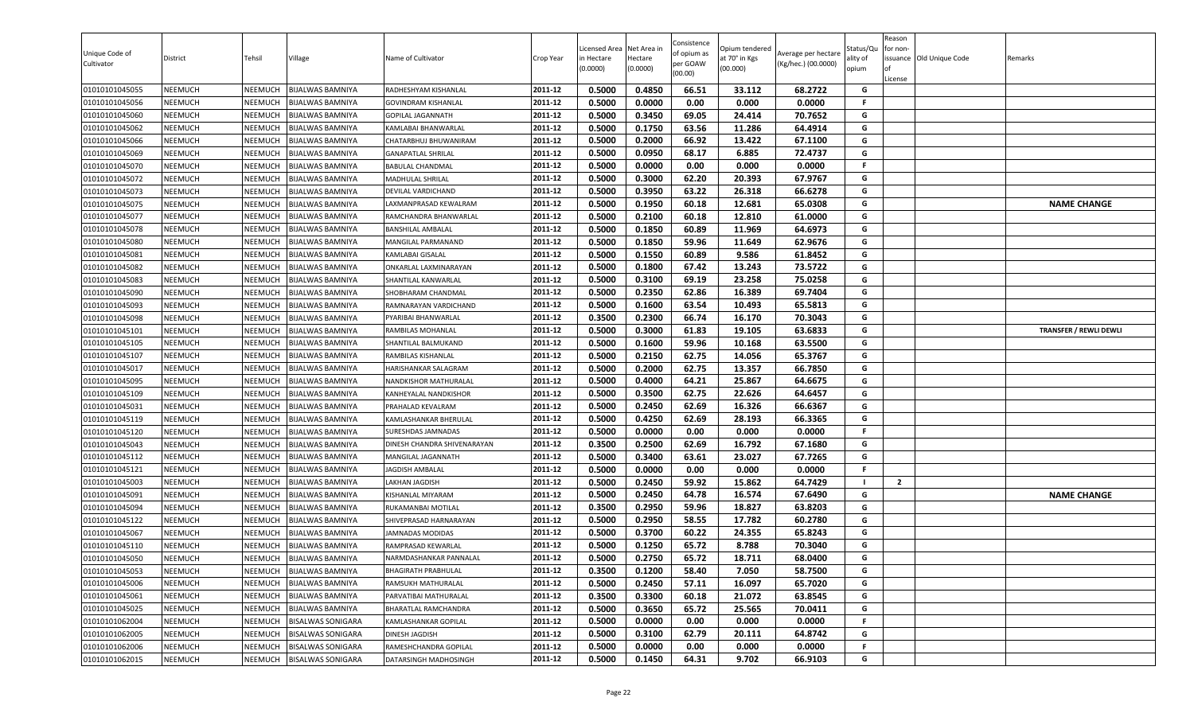| Consistence<br>Net Area in<br>Status/Qu<br>Licensed Area<br>Opium tendered<br>for non-<br>Unique Code of<br>of opium as<br>Average per hectare<br>Tehsil<br>Village<br>Name of Cultivator<br>Crop Year<br>at 70° in Kgs<br>issuance Old Unique Code<br>District<br>in Hectare<br>Hectare<br>ality of<br>Remarks<br>per GOAW<br>Cultivator<br>(Kg/hec.) (00.0000)<br>(0.0000)<br>(00.000)<br>(0.0000)<br>opium<br>(00.00)<br>License<br>2011-12<br>0.5000<br>0.4850<br>66.51<br>33.112<br>68.2722<br>01010101045055<br>NEEMUCH<br>NEEMUCH<br><b>BIJALWAS BAMNIYA</b><br>RADHESHYAM KISHANLAL<br>G<br>2011-12<br>0.5000<br>0.0000<br>0.000<br>0.0000<br>F.<br>NEEMUCH<br>0.00<br>01010101045056<br>NEEMUCH<br>BIJALWAS BAMNIYA<br><b>GOVINDRAM KISHANLAL</b><br>0.5000<br>0.3450<br>69.05<br>24.414<br>70.7652<br>2011-12<br>G<br><b>NEEMUCH</b><br>01010101045060<br>NEEMUCH<br><b>BIJALWAS BAMNIYA</b><br><b>GOPILAL JAGANNATH</b><br>G<br>2011-12<br>0.1750<br>01010101045062<br>0.5000<br>63.56<br>11.286<br>64.4914<br><b>NEEMUCH</b><br>NEEMUCH<br>BIJALWAS BAMNIYA<br>KAMLABAI BHANWARLAL<br>0.5000<br>0.2000<br>66.92<br>13.422<br>67.1100<br>2011-12<br>G<br>01010101045066<br><b>NEEMUCH</b><br>NEEMUCH<br><b>BIJALWAS BAMNIYA</b><br>CHATARBHUJ BHUWANIRAM<br>2011-12<br>G<br>01010101045069<br>NEEMUCH<br>NEEMUCH<br>0.5000<br>0.0950<br>68.17<br>6.885<br>72.4737<br><b>BIJALWAS BAMNIYA</b><br><b>GANAPATLAL SHRILAL</b><br>0.5000<br>0.0000<br>0.00<br>0.000<br>0.0000<br><b>NEEMUCH</b><br>NEEMUCH<br>2011-12<br>F.<br>01010101045070<br>BIJALWAS BAMNIYA<br><b>BABULAL CHANDMAL</b><br>2011-12<br>0.3000<br>01010101045072<br><b>NEEMUCH</b><br>NEEMUCH<br><b>BIJALWAS BAMNIYA</b><br>0.5000<br>62.20<br>20.393<br>67.9767<br>G<br>MADHULAL SHRILAL<br>0.5000<br>0.3950<br>63.22<br>26.318<br>66.6278<br>01010101045073<br><b>NEEMUCH</b><br><b>BIJALWAS BAMNIYA</b><br>2011-12<br>G<br>NEEMUCH<br>DEVILAL VARDICHAND<br>NEEMUCH<br>2011-12<br>0.5000<br>0.1950<br>60.18<br>12.681<br>65.0308<br>G<br>01010101045075<br>NEEMUCH<br>BIJALWAS BAMNIYA<br><b>NAME CHANGE</b><br>LAXMANPRASAD KEWALRAM<br>0.5000<br>0.2100<br>60.18<br>12.810<br>61.0000<br>G<br>2011-12<br>01010101045077<br><b>NEEMUCH</b><br>NEEMUCH<br>BIJALWAS BAMNIYA<br>RAMCHANDRA BHANWARLAL<br>2011-12<br>0.1850<br>60.89<br>64.6973<br>G<br><b>NEEMUCH</b><br>0.5000<br>11.969<br>01010101045078<br>NEEMUCH<br><b>BIJALWAS BAMNIYA</b><br><b>BANSHILAL AMBALAL</b><br>0.1850<br>62.9676<br>G<br>01010101045080<br><b>NEEMUCH</b><br>2011-12<br>0.5000<br>59.96<br>11.649<br>NEEMUCH<br>BIJALWAS BAMNIYA<br>MANGILAL PARMANAND<br>2011-12<br>0.1550<br>60.89<br>G<br>01010101045081<br><b>NEEMUCH</b><br>0.5000<br>9.586<br>61.8452<br>NEEMUCH<br>BIJALWAS BAMNIYA<br>KAMLABAI GISALAL<br>01010101045082<br><b>NEEMUCH</b><br><b>BIJALWAS BAMNIYA</b><br>2011-12<br>0.5000<br>0.1800<br>67.42<br>13.243<br>73.5722<br>G<br>NEEMUCH<br>ONKARLAL LAXMINARAYAN<br>2011-12<br>0.3100<br>69.19<br>23.258<br>75.0258<br>G<br>0.5000<br>01010101045083<br><b>NEEMUCH</b><br>NEEMUCH<br>BIJALWAS BAMNIYA<br>SHANTILAL KANWARLAL<br>0.2350<br>69.7404<br>01010101045090<br>NEEMUCH<br>NEEMUCH<br><b>BIJALWAS BAMNIYA</b><br>2011-12<br>0.5000<br>62.86<br>16.389<br>G<br>SHOBHARAM CHANDMAL<br>G<br>2011-12<br>0.5000<br>0.1600<br>63.54<br><b>NEEMUCH</b><br>10.493<br>65.5813<br>01010101045093<br>NEEMUCH<br>BIJALWAS BAMNIYA<br>RAMNARAYAN VARDICHAND<br>0.3500<br>0.2300<br>66.74<br>16.170<br>70.3043<br>01010101045098<br>NEEMUCH<br>NEEMUCH<br><b>BIJALWAS BAMNIYA</b><br>2011-12<br>G<br>PYARIBAI BHANWARLAL<br>0.5000<br>0.3000<br>61.83<br>63.6833<br>2011-12<br>19.105<br>G<br>01010101045101<br><b>NEEMUCH</b><br>NEEMUCH<br><b>BIJALWAS BAMNIYA</b><br>RAMBILAS MOHANLAL<br><b>TRANSFER / REWLI DEWLI</b><br>0.5000<br>0.1600<br>59.96<br>63.5500<br><b>NEEMUCH</b><br>2011-12<br>10.168<br>G<br>01010101045105<br>NEEMUCH<br><b>BIJALWAS BAMNIYA</b><br>SHANTILAL BALMUKAND<br>0.2150<br>65.3767<br>2011-12<br>0.5000<br>62.75<br>14.056<br>G<br>01010101045107<br><b>NEEMUCH</b><br>NEEMUCH<br>RAMBILAS KISHANLAL<br>BIJALWAS BAMNIYA<br>0.5000<br>0.2000<br>62.75<br>66.7850<br>01010101045017<br>NEEMUCH<br>2011-12<br>13.357<br>G<br>NEEMUCH<br><b>BIJALWAS BAMNIYA</b><br>HARISHANKAR SALAGRAM<br>0.4000<br>64.6675<br>2011-12<br>0.5000<br>64.21<br>25.867<br>01010101045095<br><b>NEEMUCH</b><br>NEEMUCH<br><b>BIJALWAS BAMNIYA</b><br>NANDKISHOR MATHURALAL<br>G<br>0.5000<br>0.3500<br>62.75<br>64.6457<br>2011-12<br>22.626<br>G<br>01010101045109<br>NEEMUCH<br>NEEMUCH<br><b>BIJALWAS BAMNIYA</b><br>KANHEYALAL NANDKISHOR<br>0.5000<br>0.2450<br>62.69<br>16.326<br>66.6367<br>NEEMUCH<br>2011-12<br>G<br>01010101045031<br>NEEMUCH<br><b>BIJALWAS BAMNIYA</b><br>PRAHALAD KEVALRAM<br>0.5000<br>0.4250<br>62.69<br>01010101045119<br><b>NEEMUCH</b><br>NEEMUCH<br>2011-12<br>28.193<br>66.3365<br>G<br><b>BIJALWAS BAMNIYA</b><br>KAMLASHANKAR BHERULAL<br>0.5000<br>0.0000<br>0.00<br>0.0000<br>2011-12<br>0.000<br>F.<br>01010101045120<br>NEEMUCH<br>NEEMUCH<br><b>BIJALWAS BAMNIYA</b><br><b>SURESHDAS JAMNADAS</b><br>01010101045043<br>2011-12<br>0.3500<br>0.2500<br>62.69<br>16.792<br>67.1680<br>G<br><b>NEEMUCH</b><br>NEEMUCH<br>BIJALWAS BAMNIYA<br>DINESH CHANDRA SHIVENARAYAN<br>0.3400<br>67.7265<br>2011-12<br>0.5000<br>63.61<br>23.027<br>G<br>01010101045112<br><b>NEEMUCH</b><br>MANGILAL JAGANNATH<br>NEEMUCH<br>BIJALWAS BAMNIYA<br>01010101045121<br><b>NEEMUCH</b><br>NEEMUCH<br><b>BIJALWAS BAMNIYA</b><br>2011-12<br>0.5000<br>0.0000<br>0.00<br>0.000<br>0.0000<br>F.<br><b>JAGDISH AMBALAL</b><br>0.2450<br>59.92<br>2011-12<br>0.5000<br>15.862<br>64.7429<br>01010101045003<br>$\overline{2}$<br>NEEMUCH<br>NEEMUCH<br>BIJALWAS BAMNIYA<br>LAKHAN JAGDISH<br>0.5000<br>0.2450<br>01010101045091<br><b>NEEMUCH</b><br>NEEMUCH<br><b>BIJALWAS BAMNIYA</b><br>2011-12<br>64.78<br>16.574<br>67.6490<br>G<br><b>NAME CHANGE</b><br>KISHANLAL MIYARAM<br>0.2950<br>2011-12<br>0.3500<br>59.96<br>18.827<br>63.8203<br>G<br>01010101045094<br><b>NEEMUCH</b><br>NEEMUCH<br>RUKAMANBAI MOTILAL<br>BIJALWAS BAMNIYA<br>NEEMUCH<br>2011-12<br>0.5000<br>0.2950<br>58.55<br>17.782<br>60.2780<br>G<br>01010101045122<br>NEEMUCH<br><b>BIJALWAS BAMNIYA</b><br>SHIVEPRASAD HARNARAYAN<br>0.3700<br>60.22<br>24.355<br>65.8243<br>G<br>2011-12<br>0.5000<br>01010101045067<br><b>NEEMUCH</b><br>NEEMUCH<br>BIJALWAS BAMNIYA<br><b>JAMNADAS MODIDAS</b><br>2011-12<br>0.5000<br>0.1250<br>65.72<br>8.788<br>G<br>01010101045110<br>NEEMUCH<br>70.3040<br>NEEMUCH<br><b>BIJALWAS BAMNIYA</b><br>RAMPRASAD KEWARLAL<br>0.5000<br>0.2750<br>65.72<br>18.711<br>G<br>2011-12<br>68.0400<br>NEEMUCH<br>NEEMUCH<br><b>BIJALWAS BAMNIYA</b><br>NARMDASHANKAR PANNALAL<br>2011-12<br>0.1200<br>G<br>NEEMUCH<br>0.3500<br>58.40<br>58.7500<br>01010101045053<br><b>NEEMUCH</b><br><b>BIJALWAS BAMNIYA</b><br><b>BHAGIRATH PRABHULAL</b><br>7.050<br>57.11<br>2011-12<br>0.5000<br>0.2450<br>16.097<br>65.7020<br>01010101045006<br><b>NEEMUCH</b><br>NEEMUCH<br><b>BIJALWAS BAMNIYA</b><br>RAMSUKH MATHURALAL<br>G<br>2011-12<br>0.3500<br>0.3300<br>G<br>01010101045061<br><b>BIJALWAS BAMNIYA</b><br>60.18<br>21.072<br>63.8545<br><b>NEEMUCH</b><br>NEEMUCH<br>PARVATIBAI MATHURALAL<br>0.5000<br>0.3650<br>2011-12<br>65.72<br>25.565<br>70.0411<br>G<br>01010101045025<br><b>NEEMUCH</b><br>NEEMUCH<br><b>BIJALWAS BAMNIYA</b><br>BHARATLAL RAMCHANDRA<br>F.<br>2011-12<br>0.5000<br>0.0000<br>0.00<br>0.000<br>0.0000<br>01010101062004<br><b>NEEMUCH</b><br>NEEMUCH<br>BISALWAS SONIGARA<br>KAMLASHANKAR GOPILAL<br>0.3100<br>62.79<br>64.8742<br>01010101062005<br><b>NEEMUCH</b><br>2011-12<br>0.5000<br>20.111<br>G<br>NEEMUCH<br><b>BISALWAS SONIGARA</b><br>DINESH JAGDISH<br>F.<br>2011-12<br>0.0000<br>0.00<br>0.0000<br><b>NEEMUCH</b><br><b>NEEMUCH</b><br><b>BISALWAS SONIGARA</b><br>RAMESHCHANDRA GOPILAL<br>0.5000<br>0.000<br>0.1450<br>2011-12<br>0.5000<br>64.31<br>9.702<br>66.9103<br>G<br><b>NEEMUCH</b><br>NEEMUCH<br><b>BISALWAS SONIGARA</b><br>DATARSINGH MADHOSINGH |                |  |  |  |  |  |        |  |
|--------------------------------------------------------------------------------------------------------------------------------------------------------------------------------------------------------------------------------------------------------------------------------------------------------------------------------------------------------------------------------------------------------------------------------------------------------------------------------------------------------------------------------------------------------------------------------------------------------------------------------------------------------------------------------------------------------------------------------------------------------------------------------------------------------------------------------------------------------------------------------------------------------------------------------------------------------------------------------------------------------------------------------------------------------------------------------------------------------------------------------------------------------------------------------------------------------------------------------------------------------------------------------------------------------------------------------------------------------------------------------------------------------------------------------------------------------------------------------------------------------------------------------------------------------------------------------------------------------------------------------------------------------------------------------------------------------------------------------------------------------------------------------------------------------------------------------------------------------------------------------------------------------------------------------------------------------------------------------------------------------------------------------------------------------------------------------------------------------------------------------------------------------------------------------------------------------------------------------------------------------------------------------------------------------------------------------------------------------------------------------------------------------------------------------------------------------------------------------------------------------------------------------------------------------------------------------------------------------------------------------------------------------------------------------------------------------------------------------------------------------------------------------------------------------------------------------------------------------------------------------------------------------------------------------------------------------------------------------------------------------------------------------------------------------------------------------------------------------------------------------------------------------------------------------------------------------------------------------------------------------------------------------------------------------------------------------------------------------------------------------------------------------------------------------------------------------------------------------------------------------------------------------------------------------------------------------------------------------------------------------------------------------------------------------------------------------------------------------------------------------------------------------------------------------------------------------------------------------------------------------------------------------------------------------------------------------------------------------------------------------------------------------------------------------------------------------------------------------------------------------------------------------------------------------------------------------------------------------------------------------------------------------------------------------------------------------------------------------------------------------------------------------------------------------------------------------------------------------------------------------------------------------------------------------------------------------------------------------------------------------------------------------------------------------------------------------------------------------------------------------------------------------------------------------------------------------------------------------------------------------------------------------------------------------------------------------------------------------------------------------------------------------------------------------------------------------------------------------------------------------------------------------------------------------------------------------------------------------------------------------------------------------------------------------------------------------------------------------------------------------------------------------------------------------------------------------------------------------------------------------------------------------------------------------------------------------------------------------------------------------------------------------------------------------------------------------------------------------------------------------------------------------------------------------------------------------------------------------------------------------------------------------------------------------------------------------------------------------------------------------------------------------------------------------------------------------------------------------------------------------------------------------------------------------------------------------------------------------------------------------------------------------------------------------------------------------------------------------------------------------------------------------------------------------------------------------------------------------------------------------------------------------------------------------------------------------------------------------------------------------------------------------------------------------------------------------------------------------------------------------------------------------------------------------------------------------------------------------------------------------------------------------------------------------------------------------------------------------------------------------------------------------------------------------------------------------------------------------------------------------------------------------------------------------------------------------------------------------------------------------------------------------------------------------------------------------------------------------------------------------------------------------------------------------------------------------------------------------------------------------------------------------------------------------------------------------------------------------------------------------------------------------------------------------------------------------------------------------------------------------------------------------------------------------------------------------------------------------------------------------------------------------------------------------------------------------------------------------------------------------------------------------------------------------------------------------------------------------------------|----------------|--|--|--|--|--|--------|--|
|                                                                                                                                                                                                                                                                                                                                                                                                                                                                                                                                                                                                                                                                                                                                                                                                                                                                                                                                                                                                                                                                                                                                                                                                                                                                                                                                                                                                                                                                                                                                                                                                                                                                                                                                                                                                                                                                                                                                                                                                                                                                                                                                                                                                                                                                                                                                                                                                                                                                                                                                                                                                                                                                                                                                                                                                                                                                                                                                                                                                                                                                                                                                                                                                                                                                                                                                                                                                                                                                                                                                                                                                                                                                                                                                                                                                                                                                                                                                                                                                                                                                                                                                                                                                                                                                                                                                                                                                                                                                                                                                                                                                                                                                                                                                                                                                                                                                                                                                                                                                                                                                                                                                                                                                                                                                                                                                                                                                                                                                                                                                                                                                                                                                                                                                                                                                                                                                                                                                                                                                                                                                                                                                                                                                                                                                                                                                                                                                                                                                                                                                                                                                                                                                                                                                                                                                                                                                                                                                                                                                                                                                                                                                                                                                                                                                                                                                                                                                                                                                                                                                                                                                                                                                                                                                                                                                                                                                                                                                                                                                                                                                                                                    |                |  |  |  |  |  | Reason |  |
|                                                                                                                                                                                                                                                                                                                                                                                                                                                                                                                                                                                                                                                                                                                                                                                                                                                                                                                                                                                                                                                                                                                                                                                                                                                                                                                                                                                                                                                                                                                                                                                                                                                                                                                                                                                                                                                                                                                                                                                                                                                                                                                                                                                                                                                                                                                                                                                                                                                                                                                                                                                                                                                                                                                                                                                                                                                                                                                                                                                                                                                                                                                                                                                                                                                                                                                                                                                                                                                                                                                                                                                                                                                                                                                                                                                                                                                                                                                                                                                                                                                                                                                                                                                                                                                                                                                                                                                                                                                                                                                                                                                                                                                                                                                                                                                                                                                                                                                                                                                                                                                                                                                                                                                                                                                                                                                                                                                                                                                                                                                                                                                                                                                                                                                                                                                                                                                                                                                                                                                                                                                                                                                                                                                                                                                                                                                                                                                                                                                                                                                                                                                                                                                                                                                                                                                                                                                                                                                                                                                                                                                                                                                                                                                                                                                                                                                                                                                                                                                                                                                                                                                                                                                                                                                                                                                                                                                                                                                                                                                                                                                                                                                    |                |  |  |  |  |  |        |  |
|                                                                                                                                                                                                                                                                                                                                                                                                                                                                                                                                                                                                                                                                                                                                                                                                                                                                                                                                                                                                                                                                                                                                                                                                                                                                                                                                                                                                                                                                                                                                                                                                                                                                                                                                                                                                                                                                                                                                                                                                                                                                                                                                                                                                                                                                                                                                                                                                                                                                                                                                                                                                                                                                                                                                                                                                                                                                                                                                                                                                                                                                                                                                                                                                                                                                                                                                                                                                                                                                                                                                                                                                                                                                                                                                                                                                                                                                                                                                                                                                                                                                                                                                                                                                                                                                                                                                                                                                                                                                                                                                                                                                                                                                                                                                                                                                                                                                                                                                                                                                                                                                                                                                                                                                                                                                                                                                                                                                                                                                                                                                                                                                                                                                                                                                                                                                                                                                                                                                                                                                                                                                                                                                                                                                                                                                                                                                                                                                                                                                                                                                                                                                                                                                                                                                                                                                                                                                                                                                                                                                                                                                                                                                                                                                                                                                                                                                                                                                                                                                                                                                                                                                                                                                                                                                                                                                                                                                                                                                                                                                                                                                                                                    |                |  |  |  |  |  |        |  |
|                                                                                                                                                                                                                                                                                                                                                                                                                                                                                                                                                                                                                                                                                                                                                                                                                                                                                                                                                                                                                                                                                                                                                                                                                                                                                                                                                                                                                                                                                                                                                                                                                                                                                                                                                                                                                                                                                                                                                                                                                                                                                                                                                                                                                                                                                                                                                                                                                                                                                                                                                                                                                                                                                                                                                                                                                                                                                                                                                                                                                                                                                                                                                                                                                                                                                                                                                                                                                                                                                                                                                                                                                                                                                                                                                                                                                                                                                                                                                                                                                                                                                                                                                                                                                                                                                                                                                                                                                                                                                                                                                                                                                                                                                                                                                                                                                                                                                                                                                                                                                                                                                                                                                                                                                                                                                                                                                                                                                                                                                                                                                                                                                                                                                                                                                                                                                                                                                                                                                                                                                                                                                                                                                                                                                                                                                                                                                                                                                                                                                                                                                                                                                                                                                                                                                                                                                                                                                                                                                                                                                                                                                                                                                                                                                                                                                                                                                                                                                                                                                                                                                                                                                                                                                                                                                                                                                                                                                                                                                                                                                                                                                                                    |                |  |  |  |  |  |        |  |
|                                                                                                                                                                                                                                                                                                                                                                                                                                                                                                                                                                                                                                                                                                                                                                                                                                                                                                                                                                                                                                                                                                                                                                                                                                                                                                                                                                                                                                                                                                                                                                                                                                                                                                                                                                                                                                                                                                                                                                                                                                                                                                                                                                                                                                                                                                                                                                                                                                                                                                                                                                                                                                                                                                                                                                                                                                                                                                                                                                                                                                                                                                                                                                                                                                                                                                                                                                                                                                                                                                                                                                                                                                                                                                                                                                                                                                                                                                                                                                                                                                                                                                                                                                                                                                                                                                                                                                                                                                                                                                                                                                                                                                                                                                                                                                                                                                                                                                                                                                                                                                                                                                                                                                                                                                                                                                                                                                                                                                                                                                                                                                                                                                                                                                                                                                                                                                                                                                                                                                                                                                                                                                                                                                                                                                                                                                                                                                                                                                                                                                                                                                                                                                                                                                                                                                                                                                                                                                                                                                                                                                                                                                                                                                                                                                                                                                                                                                                                                                                                                                                                                                                                                                                                                                                                                                                                                                                                                                                                                                                                                                                                                                                    |                |  |  |  |  |  |        |  |
|                                                                                                                                                                                                                                                                                                                                                                                                                                                                                                                                                                                                                                                                                                                                                                                                                                                                                                                                                                                                                                                                                                                                                                                                                                                                                                                                                                                                                                                                                                                                                                                                                                                                                                                                                                                                                                                                                                                                                                                                                                                                                                                                                                                                                                                                                                                                                                                                                                                                                                                                                                                                                                                                                                                                                                                                                                                                                                                                                                                                                                                                                                                                                                                                                                                                                                                                                                                                                                                                                                                                                                                                                                                                                                                                                                                                                                                                                                                                                                                                                                                                                                                                                                                                                                                                                                                                                                                                                                                                                                                                                                                                                                                                                                                                                                                                                                                                                                                                                                                                                                                                                                                                                                                                                                                                                                                                                                                                                                                                                                                                                                                                                                                                                                                                                                                                                                                                                                                                                                                                                                                                                                                                                                                                                                                                                                                                                                                                                                                                                                                                                                                                                                                                                                                                                                                                                                                                                                                                                                                                                                                                                                                                                                                                                                                                                                                                                                                                                                                                                                                                                                                                                                                                                                                                                                                                                                                                                                                                                                                                                                                                                                                    |                |  |  |  |  |  |        |  |
|                                                                                                                                                                                                                                                                                                                                                                                                                                                                                                                                                                                                                                                                                                                                                                                                                                                                                                                                                                                                                                                                                                                                                                                                                                                                                                                                                                                                                                                                                                                                                                                                                                                                                                                                                                                                                                                                                                                                                                                                                                                                                                                                                                                                                                                                                                                                                                                                                                                                                                                                                                                                                                                                                                                                                                                                                                                                                                                                                                                                                                                                                                                                                                                                                                                                                                                                                                                                                                                                                                                                                                                                                                                                                                                                                                                                                                                                                                                                                                                                                                                                                                                                                                                                                                                                                                                                                                                                                                                                                                                                                                                                                                                                                                                                                                                                                                                                                                                                                                                                                                                                                                                                                                                                                                                                                                                                                                                                                                                                                                                                                                                                                                                                                                                                                                                                                                                                                                                                                                                                                                                                                                                                                                                                                                                                                                                                                                                                                                                                                                                                                                                                                                                                                                                                                                                                                                                                                                                                                                                                                                                                                                                                                                                                                                                                                                                                                                                                                                                                                                                                                                                                                                                                                                                                                                                                                                                                                                                                                                                                                                                                                                                    |                |  |  |  |  |  |        |  |
|                                                                                                                                                                                                                                                                                                                                                                                                                                                                                                                                                                                                                                                                                                                                                                                                                                                                                                                                                                                                                                                                                                                                                                                                                                                                                                                                                                                                                                                                                                                                                                                                                                                                                                                                                                                                                                                                                                                                                                                                                                                                                                                                                                                                                                                                                                                                                                                                                                                                                                                                                                                                                                                                                                                                                                                                                                                                                                                                                                                                                                                                                                                                                                                                                                                                                                                                                                                                                                                                                                                                                                                                                                                                                                                                                                                                                                                                                                                                                                                                                                                                                                                                                                                                                                                                                                                                                                                                                                                                                                                                                                                                                                                                                                                                                                                                                                                                                                                                                                                                                                                                                                                                                                                                                                                                                                                                                                                                                                                                                                                                                                                                                                                                                                                                                                                                                                                                                                                                                                                                                                                                                                                                                                                                                                                                                                                                                                                                                                                                                                                                                                                                                                                                                                                                                                                                                                                                                                                                                                                                                                                                                                                                                                                                                                                                                                                                                                                                                                                                                                                                                                                                                                                                                                                                                                                                                                                                                                                                                                                                                                                                                                                    |                |  |  |  |  |  |        |  |
|                                                                                                                                                                                                                                                                                                                                                                                                                                                                                                                                                                                                                                                                                                                                                                                                                                                                                                                                                                                                                                                                                                                                                                                                                                                                                                                                                                                                                                                                                                                                                                                                                                                                                                                                                                                                                                                                                                                                                                                                                                                                                                                                                                                                                                                                                                                                                                                                                                                                                                                                                                                                                                                                                                                                                                                                                                                                                                                                                                                                                                                                                                                                                                                                                                                                                                                                                                                                                                                                                                                                                                                                                                                                                                                                                                                                                                                                                                                                                                                                                                                                                                                                                                                                                                                                                                                                                                                                                                                                                                                                                                                                                                                                                                                                                                                                                                                                                                                                                                                                                                                                                                                                                                                                                                                                                                                                                                                                                                                                                                                                                                                                                                                                                                                                                                                                                                                                                                                                                                                                                                                                                                                                                                                                                                                                                                                                                                                                                                                                                                                                                                                                                                                                                                                                                                                                                                                                                                                                                                                                                                                                                                                                                                                                                                                                                                                                                                                                                                                                                                                                                                                                                                                                                                                                                                                                                                                                                                                                                                                                                                                                                                                    |                |  |  |  |  |  |        |  |
|                                                                                                                                                                                                                                                                                                                                                                                                                                                                                                                                                                                                                                                                                                                                                                                                                                                                                                                                                                                                                                                                                                                                                                                                                                                                                                                                                                                                                                                                                                                                                                                                                                                                                                                                                                                                                                                                                                                                                                                                                                                                                                                                                                                                                                                                                                                                                                                                                                                                                                                                                                                                                                                                                                                                                                                                                                                                                                                                                                                                                                                                                                                                                                                                                                                                                                                                                                                                                                                                                                                                                                                                                                                                                                                                                                                                                                                                                                                                                                                                                                                                                                                                                                                                                                                                                                                                                                                                                                                                                                                                                                                                                                                                                                                                                                                                                                                                                                                                                                                                                                                                                                                                                                                                                                                                                                                                                                                                                                                                                                                                                                                                                                                                                                                                                                                                                                                                                                                                                                                                                                                                                                                                                                                                                                                                                                                                                                                                                                                                                                                                                                                                                                                                                                                                                                                                                                                                                                                                                                                                                                                                                                                                                                                                                                                                                                                                                                                                                                                                                                                                                                                                                                                                                                                                                                                                                                                                                                                                                                                                                                                                                                                    |                |  |  |  |  |  |        |  |
|                                                                                                                                                                                                                                                                                                                                                                                                                                                                                                                                                                                                                                                                                                                                                                                                                                                                                                                                                                                                                                                                                                                                                                                                                                                                                                                                                                                                                                                                                                                                                                                                                                                                                                                                                                                                                                                                                                                                                                                                                                                                                                                                                                                                                                                                                                                                                                                                                                                                                                                                                                                                                                                                                                                                                                                                                                                                                                                                                                                                                                                                                                                                                                                                                                                                                                                                                                                                                                                                                                                                                                                                                                                                                                                                                                                                                                                                                                                                                                                                                                                                                                                                                                                                                                                                                                                                                                                                                                                                                                                                                                                                                                                                                                                                                                                                                                                                                                                                                                                                                                                                                                                                                                                                                                                                                                                                                                                                                                                                                                                                                                                                                                                                                                                                                                                                                                                                                                                                                                                                                                                                                                                                                                                                                                                                                                                                                                                                                                                                                                                                                                                                                                                                                                                                                                                                                                                                                                                                                                                                                                                                                                                                                                                                                                                                                                                                                                                                                                                                                                                                                                                                                                                                                                                                                                                                                                                                                                                                                                                                                                                                                                                    |                |  |  |  |  |  |        |  |
|                                                                                                                                                                                                                                                                                                                                                                                                                                                                                                                                                                                                                                                                                                                                                                                                                                                                                                                                                                                                                                                                                                                                                                                                                                                                                                                                                                                                                                                                                                                                                                                                                                                                                                                                                                                                                                                                                                                                                                                                                                                                                                                                                                                                                                                                                                                                                                                                                                                                                                                                                                                                                                                                                                                                                                                                                                                                                                                                                                                                                                                                                                                                                                                                                                                                                                                                                                                                                                                                                                                                                                                                                                                                                                                                                                                                                                                                                                                                                                                                                                                                                                                                                                                                                                                                                                                                                                                                                                                                                                                                                                                                                                                                                                                                                                                                                                                                                                                                                                                                                                                                                                                                                                                                                                                                                                                                                                                                                                                                                                                                                                                                                                                                                                                                                                                                                                                                                                                                                                                                                                                                                                                                                                                                                                                                                                                                                                                                                                                                                                                                                                                                                                                                                                                                                                                                                                                                                                                                                                                                                                                                                                                                                                                                                                                                                                                                                                                                                                                                                                                                                                                                                                                                                                                                                                                                                                                                                                                                                                                                                                                                                                                    |                |  |  |  |  |  |        |  |
|                                                                                                                                                                                                                                                                                                                                                                                                                                                                                                                                                                                                                                                                                                                                                                                                                                                                                                                                                                                                                                                                                                                                                                                                                                                                                                                                                                                                                                                                                                                                                                                                                                                                                                                                                                                                                                                                                                                                                                                                                                                                                                                                                                                                                                                                                                                                                                                                                                                                                                                                                                                                                                                                                                                                                                                                                                                                                                                                                                                                                                                                                                                                                                                                                                                                                                                                                                                                                                                                                                                                                                                                                                                                                                                                                                                                                                                                                                                                                                                                                                                                                                                                                                                                                                                                                                                                                                                                                                                                                                                                                                                                                                                                                                                                                                                                                                                                                                                                                                                                                                                                                                                                                                                                                                                                                                                                                                                                                                                                                                                                                                                                                                                                                                                                                                                                                                                                                                                                                                                                                                                                                                                                                                                                                                                                                                                                                                                                                                                                                                                                                                                                                                                                                                                                                                                                                                                                                                                                                                                                                                                                                                                                                                                                                                                                                                                                                                                                                                                                                                                                                                                                                                                                                                                                                                                                                                                                                                                                                                                                                                                                                                                    |                |  |  |  |  |  |        |  |
|                                                                                                                                                                                                                                                                                                                                                                                                                                                                                                                                                                                                                                                                                                                                                                                                                                                                                                                                                                                                                                                                                                                                                                                                                                                                                                                                                                                                                                                                                                                                                                                                                                                                                                                                                                                                                                                                                                                                                                                                                                                                                                                                                                                                                                                                                                                                                                                                                                                                                                                                                                                                                                                                                                                                                                                                                                                                                                                                                                                                                                                                                                                                                                                                                                                                                                                                                                                                                                                                                                                                                                                                                                                                                                                                                                                                                                                                                                                                                                                                                                                                                                                                                                                                                                                                                                                                                                                                                                                                                                                                                                                                                                                                                                                                                                                                                                                                                                                                                                                                                                                                                                                                                                                                                                                                                                                                                                                                                                                                                                                                                                                                                                                                                                                                                                                                                                                                                                                                                                                                                                                                                                                                                                                                                                                                                                                                                                                                                                                                                                                                                                                                                                                                                                                                                                                                                                                                                                                                                                                                                                                                                                                                                                                                                                                                                                                                                                                                                                                                                                                                                                                                                                                                                                                                                                                                                                                                                                                                                                                                                                                                                                                    |                |  |  |  |  |  |        |  |
|                                                                                                                                                                                                                                                                                                                                                                                                                                                                                                                                                                                                                                                                                                                                                                                                                                                                                                                                                                                                                                                                                                                                                                                                                                                                                                                                                                                                                                                                                                                                                                                                                                                                                                                                                                                                                                                                                                                                                                                                                                                                                                                                                                                                                                                                                                                                                                                                                                                                                                                                                                                                                                                                                                                                                                                                                                                                                                                                                                                                                                                                                                                                                                                                                                                                                                                                                                                                                                                                                                                                                                                                                                                                                                                                                                                                                                                                                                                                                                                                                                                                                                                                                                                                                                                                                                                                                                                                                                                                                                                                                                                                                                                                                                                                                                                                                                                                                                                                                                                                                                                                                                                                                                                                                                                                                                                                                                                                                                                                                                                                                                                                                                                                                                                                                                                                                                                                                                                                                                                                                                                                                                                                                                                                                                                                                                                                                                                                                                                                                                                                                                                                                                                                                                                                                                                                                                                                                                                                                                                                                                                                                                                                                                                                                                                                                                                                                                                                                                                                                                                                                                                                                                                                                                                                                                                                                                                                                                                                                                                                                                                                                                                    |                |  |  |  |  |  |        |  |
|                                                                                                                                                                                                                                                                                                                                                                                                                                                                                                                                                                                                                                                                                                                                                                                                                                                                                                                                                                                                                                                                                                                                                                                                                                                                                                                                                                                                                                                                                                                                                                                                                                                                                                                                                                                                                                                                                                                                                                                                                                                                                                                                                                                                                                                                                                                                                                                                                                                                                                                                                                                                                                                                                                                                                                                                                                                                                                                                                                                                                                                                                                                                                                                                                                                                                                                                                                                                                                                                                                                                                                                                                                                                                                                                                                                                                                                                                                                                                                                                                                                                                                                                                                                                                                                                                                                                                                                                                                                                                                                                                                                                                                                                                                                                                                                                                                                                                                                                                                                                                                                                                                                                                                                                                                                                                                                                                                                                                                                                                                                                                                                                                                                                                                                                                                                                                                                                                                                                                                                                                                                                                                                                                                                                                                                                                                                                                                                                                                                                                                                                                                                                                                                                                                                                                                                                                                                                                                                                                                                                                                                                                                                                                                                                                                                                                                                                                                                                                                                                                                                                                                                                                                                                                                                                                                                                                                                                                                                                                                                                                                                                                                                    |                |  |  |  |  |  |        |  |
|                                                                                                                                                                                                                                                                                                                                                                                                                                                                                                                                                                                                                                                                                                                                                                                                                                                                                                                                                                                                                                                                                                                                                                                                                                                                                                                                                                                                                                                                                                                                                                                                                                                                                                                                                                                                                                                                                                                                                                                                                                                                                                                                                                                                                                                                                                                                                                                                                                                                                                                                                                                                                                                                                                                                                                                                                                                                                                                                                                                                                                                                                                                                                                                                                                                                                                                                                                                                                                                                                                                                                                                                                                                                                                                                                                                                                                                                                                                                                                                                                                                                                                                                                                                                                                                                                                                                                                                                                                                                                                                                                                                                                                                                                                                                                                                                                                                                                                                                                                                                                                                                                                                                                                                                                                                                                                                                                                                                                                                                                                                                                                                                                                                                                                                                                                                                                                                                                                                                                                                                                                                                                                                                                                                                                                                                                                                                                                                                                                                                                                                                                                                                                                                                                                                                                                                                                                                                                                                                                                                                                                                                                                                                                                                                                                                                                                                                                                                                                                                                                                                                                                                                                                                                                                                                                                                                                                                                                                                                                                                                                                                                                                                    |                |  |  |  |  |  |        |  |
|                                                                                                                                                                                                                                                                                                                                                                                                                                                                                                                                                                                                                                                                                                                                                                                                                                                                                                                                                                                                                                                                                                                                                                                                                                                                                                                                                                                                                                                                                                                                                                                                                                                                                                                                                                                                                                                                                                                                                                                                                                                                                                                                                                                                                                                                                                                                                                                                                                                                                                                                                                                                                                                                                                                                                                                                                                                                                                                                                                                                                                                                                                                                                                                                                                                                                                                                                                                                                                                                                                                                                                                                                                                                                                                                                                                                                                                                                                                                                                                                                                                                                                                                                                                                                                                                                                                                                                                                                                                                                                                                                                                                                                                                                                                                                                                                                                                                                                                                                                                                                                                                                                                                                                                                                                                                                                                                                                                                                                                                                                                                                                                                                                                                                                                                                                                                                                                                                                                                                                                                                                                                                                                                                                                                                                                                                                                                                                                                                                                                                                                                                                                                                                                                                                                                                                                                                                                                                                                                                                                                                                                                                                                                                                                                                                                                                                                                                                                                                                                                                                                                                                                                                                                                                                                                                                                                                                                                                                                                                                                                                                                                                                                    |                |  |  |  |  |  |        |  |
|                                                                                                                                                                                                                                                                                                                                                                                                                                                                                                                                                                                                                                                                                                                                                                                                                                                                                                                                                                                                                                                                                                                                                                                                                                                                                                                                                                                                                                                                                                                                                                                                                                                                                                                                                                                                                                                                                                                                                                                                                                                                                                                                                                                                                                                                                                                                                                                                                                                                                                                                                                                                                                                                                                                                                                                                                                                                                                                                                                                                                                                                                                                                                                                                                                                                                                                                                                                                                                                                                                                                                                                                                                                                                                                                                                                                                                                                                                                                                                                                                                                                                                                                                                                                                                                                                                                                                                                                                                                                                                                                                                                                                                                                                                                                                                                                                                                                                                                                                                                                                                                                                                                                                                                                                                                                                                                                                                                                                                                                                                                                                                                                                                                                                                                                                                                                                                                                                                                                                                                                                                                                                                                                                                                                                                                                                                                                                                                                                                                                                                                                                                                                                                                                                                                                                                                                                                                                                                                                                                                                                                                                                                                                                                                                                                                                                                                                                                                                                                                                                                                                                                                                                                                                                                                                                                                                                                                                                                                                                                                                                                                                                                                    |                |  |  |  |  |  |        |  |
|                                                                                                                                                                                                                                                                                                                                                                                                                                                                                                                                                                                                                                                                                                                                                                                                                                                                                                                                                                                                                                                                                                                                                                                                                                                                                                                                                                                                                                                                                                                                                                                                                                                                                                                                                                                                                                                                                                                                                                                                                                                                                                                                                                                                                                                                                                                                                                                                                                                                                                                                                                                                                                                                                                                                                                                                                                                                                                                                                                                                                                                                                                                                                                                                                                                                                                                                                                                                                                                                                                                                                                                                                                                                                                                                                                                                                                                                                                                                                                                                                                                                                                                                                                                                                                                                                                                                                                                                                                                                                                                                                                                                                                                                                                                                                                                                                                                                                                                                                                                                                                                                                                                                                                                                                                                                                                                                                                                                                                                                                                                                                                                                                                                                                                                                                                                                                                                                                                                                                                                                                                                                                                                                                                                                                                                                                                                                                                                                                                                                                                                                                                                                                                                                                                                                                                                                                                                                                                                                                                                                                                                                                                                                                                                                                                                                                                                                                                                                                                                                                                                                                                                                                                                                                                                                                                                                                                                                                                                                                                                                                                                                                                                    |                |  |  |  |  |  |        |  |
|                                                                                                                                                                                                                                                                                                                                                                                                                                                                                                                                                                                                                                                                                                                                                                                                                                                                                                                                                                                                                                                                                                                                                                                                                                                                                                                                                                                                                                                                                                                                                                                                                                                                                                                                                                                                                                                                                                                                                                                                                                                                                                                                                                                                                                                                                                                                                                                                                                                                                                                                                                                                                                                                                                                                                                                                                                                                                                                                                                                                                                                                                                                                                                                                                                                                                                                                                                                                                                                                                                                                                                                                                                                                                                                                                                                                                                                                                                                                                                                                                                                                                                                                                                                                                                                                                                                                                                                                                                                                                                                                                                                                                                                                                                                                                                                                                                                                                                                                                                                                                                                                                                                                                                                                                                                                                                                                                                                                                                                                                                                                                                                                                                                                                                                                                                                                                                                                                                                                                                                                                                                                                                                                                                                                                                                                                                                                                                                                                                                                                                                                                                                                                                                                                                                                                                                                                                                                                                                                                                                                                                                                                                                                                                                                                                                                                                                                                                                                                                                                                                                                                                                                                                                                                                                                                                                                                                                                                                                                                                                                                                                                                                                    |                |  |  |  |  |  |        |  |
|                                                                                                                                                                                                                                                                                                                                                                                                                                                                                                                                                                                                                                                                                                                                                                                                                                                                                                                                                                                                                                                                                                                                                                                                                                                                                                                                                                                                                                                                                                                                                                                                                                                                                                                                                                                                                                                                                                                                                                                                                                                                                                                                                                                                                                                                                                                                                                                                                                                                                                                                                                                                                                                                                                                                                                                                                                                                                                                                                                                                                                                                                                                                                                                                                                                                                                                                                                                                                                                                                                                                                                                                                                                                                                                                                                                                                                                                                                                                                                                                                                                                                                                                                                                                                                                                                                                                                                                                                                                                                                                                                                                                                                                                                                                                                                                                                                                                                                                                                                                                                                                                                                                                                                                                                                                                                                                                                                                                                                                                                                                                                                                                                                                                                                                                                                                                                                                                                                                                                                                                                                                                                                                                                                                                                                                                                                                                                                                                                                                                                                                                                                                                                                                                                                                                                                                                                                                                                                                                                                                                                                                                                                                                                                                                                                                                                                                                                                                                                                                                                                                                                                                                                                                                                                                                                                                                                                                                                                                                                                                                                                                                                                                    |                |  |  |  |  |  |        |  |
|                                                                                                                                                                                                                                                                                                                                                                                                                                                                                                                                                                                                                                                                                                                                                                                                                                                                                                                                                                                                                                                                                                                                                                                                                                                                                                                                                                                                                                                                                                                                                                                                                                                                                                                                                                                                                                                                                                                                                                                                                                                                                                                                                                                                                                                                                                                                                                                                                                                                                                                                                                                                                                                                                                                                                                                                                                                                                                                                                                                                                                                                                                                                                                                                                                                                                                                                                                                                                                                                                                                                                                                                                                                                                                                                                                                                                                                                                                                                                                                                                                                                                                                                                                                                                                                                                                                                                                                                                                                                                                                                                                                                                                                                                                                                                                                                                                                                                                                                                                                                                                                                                                                                                                                                                                                                                                                                                                                                                                                                                                                                                                                                                                                                                                                                                                                                                                                                                                                                                                                                                                                                                                                                                                                                                                                                                                                                                                                                                                                                                                                                                                                                                                                                                                                                                                                                                                                                                                                                                                                                                                                                                                                                                                                                                                                                                                                                                                                                                                                                                                                                                                                                                                                                                                                                                                                                                                                                                                                                                                                                                                                                                                                    |                |  |  |  |  |  |        |  |
|                                                                                                                                                                                                                                                                                                                                                                                                                                                                                                                                                                                                                                                                                                                                                                                                                                                                                                                                                                                                                                                                                                                                                                                                                                                                                                                                                                                                                                                                                                                                                                                                                                                                                                                                                                                                                                                                                                                                                                                                                                                                                                                                                                                                                                                                                                                                                                                                                                                                                                                                                                                                                                                                                                                                                                                                                                                                                                                                                                                                                                                                                                                                                                                                                                                                                                                                                                                                                                                                                                                                                                                                                                                                                                                                                                                                                                                                                                                                                                                                                                                                                                                                                                                                                                                                                                                                                                                                                                                                                                                                                                                                                                                                                                                                                                                                                                                                                                                                                                                                                                                                                                                                                                                                                                                                                                                                                                                                                                                                                                                                                                                                                                                                                                                                                                                                                                                                                                                                                                                                                                                                                                                                                                                                                                                                                                                                                                                                                                                                                                                                                                                                                                                                                                                                                                                                                                                                                                                                                                                                                                                                                                                                                                                                                                                                                                                                                                                                                                                                                                                                                                                                                                                                                                                                                                                                                                                                                                                                                                                                                                                                                                                    |                |  |  |  |  |  |        |  |
|                                                                                                                                                                                                                                                                                                                                                                                                                                                                                                                                                                                                                                                                                                                                                                                                                                                                                                                                                                                                                                                                                                                                                                                                                                                                                                                                                                                                                                                                                                                                                                                                                                                                                                                                                                                                                                                                                                                                                                                                                                                                                                                                                                                                                                                                                                                                                                                                                                                                                                                                                                                                                                                                                                                                                                                                                                                                                                                                                                                                                                                                                                                                                                                                                                                                                                                                                                                                                                                                                                                                                                                                                                                                                                                                                                                                                                                                                                                                                                                                                                                                                                                                                                                                                                                                                                                                                                                                                                                                                                                                                                                                                                                                                                                                                                                                                                                                                                                                                                                                                                                                                                                                                                                                                                                                                                                                                                                                                                                                                                                                                                                                                                                                                                                                                                                                                                                                                                                                                                                                                                                                                                                                                                                                                                                                                                                                                                                                                                                                                                                                                                                                                                                                                                                                                                                                                                                                                                                                                                                                                                                                                                                                                                                                                                                                                                                                                                                                                                                                                                                                                                                                                                                                                                                                                                                                                                                                                                                                                                                                                                                                                                                    |                |  |  |  |  |  |        |  |
|                                                                                                                                                                                                                                                                                                                                                                                                                                                                                                                                                                                                                                                                                                                                                                                                                                                                                                                                                                                                                                                                                                                                                                                                                                                                                                                                                                                                                                                                                                                                                                                                                                                                                                                                                                                                                                                                                                                                                                                                                                                                                                                                                                                                                                                                                                                                                                                                                                                                                                                                                                                                                                                                                                                                                                                                                                                                                                                                                                                                                                                                                                                                                                                                                                                                                                                                                                                                                                                                                                                                                                                                                                                                                                                                                                                                                                                                                                                                                                                                                                                                                                                                                                                                                                                                                                                                                                                                                                                                                                                                                                                                                                                                                                                                                                                                                                                                                                                                                                                                                                                                                                                                                                                                                                                                                                                                                                                                                                                                                                                                                                                                                                                                                                                                                                                                                                                                                                                                                                                                                                                                                                                                                                                                                                                                                                                                                                                                                                                                                                                                                                                                                                                                                                                                                                                                                                                                                                                                                                                                                                                                                                                                                                                                                                                                                                                                                                                                                                                                                                                                                                                                                                                                                                                                                                                                                                                                                                                                                                                                                                                                                                                    |                |  |  |  |  |  |        |  |
|                                                                                                                                                                                                                                                                                                                                                                                                                                                                                                                                                                                                                                                                                                                                                                                                                                                                                                                                                                                                                                                                                                                                                                                                                                                                                                                                                                                                                                                                                                                                                                                                                                                                                                                                                                                                                                                                                                                                                                                                                                                                                                                                                                                                                                                                                                                                                                                                                                                                                                                                                                                                                                                                                                                                                                                                                                                                                                                                                                                                                                                                                                                                                                                                                                                                                                                                                                                                                                                                                                                                                                                                                                                                                                                                                                                                                                                                                                                                                                                                                                                                                                                                                                                                                                                                                                                                                                                                                                                                                                                                                                                                                                                                                                                                                                                                                                                                                                                                                                                                                                                                                                                                                                                                                                                                                                                                                                                                                                                                                                                                                                                                                                                                                                                                                                                                                                                                                                                                                                                                                                                                                                                                                                                                                                                                                                                                                                                                                                                                                                                                                                                                                                                                                                                                                                                                                                                                                                                                                                                                                                                                                                                                                                                                                                                                                                                                                                                                                                                                                                                                                                                                                                                                                                                                                                                                                                                                                                                                                                                                                                                                                                                    |                |  |  |  |  |  |        |  |
|                                                                                                                                                                                                                                                                                                                                                                                                                                                                                                                                                                                                                                                                                                                                                                                                                                                                                                                                                                                                                                                                                                                                                                                                                                                                                                                                                                                                                                                                                                                                                                                                                                                                                                                                                                                                                                                                                                                                                                                                                                                                                                                                                                                                                                                                                                                                                                                                                                                                                                                                                                                                                                                                                                                                                                                                                                                                                                                                                                                                                                                                                                                                                                                                                                                                                                                                                                                                                                                                                                                                                                                                                                                                                                                                                                                                                                                                                                                                                                                                                                                                                                                                                                                                                                                                                                                                                                                                                                                                                                                                                                                                                                                                                                                                                                                                                                                                                                                                                                                                                                                                                                                                                                                                                                                                                                                                                                                                                                                                                                                                                                                                                                                                                                                                                                                                                                                                                                                                                                                                                                                                                                                                                                                                                                                                                                                                                                                                                                                                                                                                                                                                                                                                                                                                                                                                                                                                                                                                                                                                                                                                                                                                                                                                                                                                                                                                                                                                                                                                                                                                                                                                                                                                                                                                                                                                                                                                                                                                                                                                                                                                                                                    |                |  |  |  |  |  |        |  |
|                                                                                                                                                                                                                                                                                                                                                                                                                                                                                                                                                                                                                                                                                                                                                                                                                                                                                                                                                                                                                                                                                                                                                                                                                                                                                                                                                                                                                                                                                                                                                                                                                                                                                                                                                                                                                                                                                                                                                                                                                                                                                                                                                                                                                                                                                                                                                                                                                                                                                                                                                                                                                                                                                                                                                                                                                                                                                                                                                                                                                                                                                                                                                                                                                                                                                                                                                                                                                                                                                                                                                                                                                                                                                                                                                                                                                                                                                                                                                                                                                                                                                                                                                                                                                                                                                                                                                                                                                                                                                                                                                                                                                                                                                                                                                                                                                                                                                                                                                                                                                                                                                                                                                                                                                                                                                                                                                                                                                                                                                                                                                                                                                                                                                                                                                                                                                                                                                                                                                                                                                                                                                                                                                                                                                                                                                                                                                                                                                                                                                                                                                                                                                                                                                                                                                                                                                                                                                                                                                                                                                                                                                                                                                                                                                                                                                                                                                                                                                                                                                                                                                                                                                                                                                                                                                                                                                                                                                                                                                                                                                                                                                                                    |                |  |  |  |  |  |        |  |
|                                                                                                                                                                                                                                                                                                                                                                                                                                                                                                                                                                                                                                                                                                                                                                                                                                                                                                                                                                                                                                                                                                                                                                                                                                                                                                                                                                                                                                                                                                                                                                                                                                                                                                                                                                                                                                                                                                                                                                                                                                                                                                                                                                                                                                                                                                                                                                                                                                                                                                                                                                                                                                                                                                                                                                                                                                                                                                                                                                                                                                                                                                                                                                                                                                                                                                                                                                                                                                                                                                                                                                                                                                                                                                                                                                                                                                                                                                                                                                                                                                                                                                                                                                                                                                                                                                                                                                                                                                                                                                                                                                                                                                                                                                                                                                                                                                                                                                                                                                                                                                                                                                                                                                                                                                                                                                                                                                                                                                                                                                                                                                                                                                                                                                                                                                                                                                                                                                                                                                                                                                                                                                                                                                                                                                                                                                                                                                                                                                                                                                                                                                                                                                                                                                                                                                                                                                                                                                                                                                                                                                                                                                                                                                                                                                                                                                                                                                                                                                                                                                                                                                                                                                                                                                                                                                                                                                                                                                                                                                                                                                                                                                                    |                |  |  |  |  |  |        |  |
|                                                                                                                                                                                                                                                                                                                                                                                                                                                                                                                                                                                                                                                                                                                                                                                                                                                                                                                                                                                                                                                                                                                                                                                                                                                                                                                                                                                                                                                                                                                                                                                                                                                                                                                                                                                                                                                                                                                                                                                                                                                                                                                                                                                                                                                                                                                                                                                                                                                                                                                                                                                                                                                                                                                                                                                                                                                                                                                                                                                                                                                                                                                                                                                                                                                                                                                                                                                                                                                                                                                                                                                                                                                                                                                                                                                                                                                                                                                                                                                                                                                                                                                                                                                                                                                                                                                                                                                                                                                                                                                                                                                                                                                                                                                                                                                                                                                                                                                                                                                                                                                                                                                                                                                                                                                                                                                                                                                                                                                                                                                                                                                                                                                                                                                                                                                                                                                                                                                                                                                                                                                                                                                                                                                                                                                                                                                                                                                                                                                                                                                                                                                                                                                                                                                                                                                                                                                                                                                                                                                                                                                                                                                                                                                                                                                                                                                                                                                                                                                                                                                                                                                                                                                                                                                                                                                                                                                                                                                                                                                                                                                                                                                    |                |  |  |  |  |  |        |  |
|                                                                                                                                                                                                                                                                                                                                                                                                                                                                                                                                                                                                                                                                                                                                                                                                                                                                                                                                                                                                                                                                                                                                                                                                                                                                                                                                                                                                                                                                                                                                                                                                                                                                                                                                                                                                                                                                                                                                                                                                                                                                                                                                                                                                                                                                                                                                                                                                                                                                                                                                                                                                                                                                                                                                                                                                                                                                                                                                                                                                                                                                                                                                                                                                                                                                                                                                                                                                                                                                                                                                                                                                                                                                                                                                                                                                                                                                                                                                                                                                                                                                                                                                                                                                                                                                                                                                                                                                                                                                                                                                                                                                                                                                                                                                                                                                                                                                                                                                                                                                                                                                                                                                                                                                                                                                                                                                                                                                                                                                                                                                                                                                                                                                                                                                                                                                                                                                                                                                                                                                                                                                                                                                                                                                                                                                                                                                                                                                                                                                                                                                                                                                                                                                                                                                                                                                                                                                                                                                                                                                                                                                                                                                                                                                                                                                                                                                                                                                                                                                                                                                                                                                                                                                                                                                                                                                                                                                                                                                                                                                                                                                                                                    |                |  |  |  |  |  |        |  |
|                                                                                                                                                                                                                                                                                                                                                                                                                                                                                                                                                                                                                                                                                                                                                                                                                                                                                                                                                                                                                                                                                                                                                                                                                                                                                                                                                                                                                                                                                                                                                                                                                                                                                                                                                                                                                                                                                                                                                                                                                                                                                                                                                                                                                                                                                                                                                                                                                                                                                                                                                                                                                                                                                                                                                                                                                                                                                                                                                                                                                                                                                                                                                                                                                                                                                                                                                                                                                                                                                                                                                                                                                                                                                                                                                                                                                                                                                                                                                                                                                                                                                                                                                                                                                                                                                                                                                                                                                                                                                                                                                                                                                                                                                                                                                                                                                                                                                                                                                                                                                                                                                                                                                                                                                                                                                                                                                                                                                                                                                                                                                                                                                                                                                                                                                                                                                                                                                                                                                                                                                                                                                                                                                                                                                                                                                                                                                                                                                                                                                                                                                                                                                                                                                                                                                                                                                                                                                                                                                                                                                                                                                                                                                                                                                                                                                                                                                                                                                                                                                                                                                                                                                                                                                                                                                                                                                                                                                                                                                                                                                                                                                                                    |                |  |  |  |  |  |        |  |
|                                                                                                                                                                                                                                                                                                                                                                                                                                                                                                                                                                                                                                                                                                                                                                                                                                                                                                                                                                                                                                                                                                                                                                                                                                                                                                                                                                                                                                                                                                                                                                                                                                                                                                                                                                                                                                                                                                                                                                                                                                                                                                                                                                                                                                                                                                                                                                                                                                                                                                                                                                                                                                                                                                                                                                                                                                                                                                                                                                                                                                                                                                                                                                                                                                                                                                                                                                                                                                                                                                                                                                                                                                                                                                                                                                                                                                                                                                                                                                                                                                                                                                                                                                                                                                                                                                                                                                                                                                                                                                                                                                                                                                                                                                                                                                                                                                                                                                                                                                                                                                                                                                                                                                                                                                                                                                                                                                                                                                                                                                                                                                                                                                                                                                                                                                                                                                                                                                                                                                                                                                                                                                                                                                                                                                                                                                                                                                                                                                                                                                                                                                                                                                                                                                                                                                                                                                                                                                                                                                                                                                                                                                                                                                                                                                                                                                                                                                                                                                                                                                                                                                                                                                                                                                                                                                                                                                                                                                                                                                                                                                                                                                                    |                |  |  |  |  |  |        |  |
|                                                                                                                                                                                                                                                                                                                                                                                                                                                                                                                                                                                                                                                                                                                                                                                                                                                                                                                                                                                                                                                                                                                                                                                                                                                                                                                                                                                                                                                                                                                                                                                                                                                                                                                                                                                                                                                                                                                                                                                                                                                                                                                                                                                                                                                                                                                                                                                                                                                                                                                                                                                                                                                                                                                                                                                                                                                                                                                                                                                                                                                                                                                                                                                                                                                                                                                                                                                                                                                                                                                                                                                                                                                                                                                                                                                                                                                                                                                                                                                                                                                                                                                                                                                                                                                                                                                                                                                                                                                                                                                                                                                                                                                                                                                                                                                                                                                                                                                                                                                                                                                                                                                                                                                                                                                                                                                                                                                                                                                                                                                                                                                                                                                                                                                                                                                                                                                                                                                                                                                                                                                                                                                                                                                                                                                                                                                                                                                                                                                                                                                                                                                                                                                                                                                                                                                                                                                                                                                                                                                                                                                                                                                                                                                                                                                                                                                                                                                                                                                                                                                                                                                                                                                                                                                                                                                                                                                                                                                                                                                                                                                                                                                    |                |  |  |  |  |  |        |  |
|                                                                                                                                                                                                                                                                                                                                                                                                                                                                                                                                                                                                                                                                                                                                                                                                                                                                                                                                                                                                                                                                                                                                                                                                                                                                                                                                                                                                                                                                                                                                                                                                                                                                                                                                                                                                                                                                                                                                                                                                                                                                                                                                                                                                                                                                                                                                                                                                                                                                                                                                                                                                                                                                                                                                                                                                                                                                                                                                                                                                                                                                                                                                                                                                                                                                                                                                                                                                                                                                                                                                                                                                                                                                                                                                                                                                                                                                                                                                                                                                                                                                                                                                                                                                                                                                                                                                                                                                                                                                                                                                                                                                                                                                                                                                                                                                                                                                                                                                                                                                                                                                                                                                                                                                                                                                                                                                                                                                                                                                                                                                                                                                                                                                                                                                                                                                                                                                                                                                                                                                                                                                                                                                                                                                                                                                                                                                                                                                                                                                                                                                                                                                                                                                                                                                                                                                                                                                                                                                                                                                                                                                                                                                                                                                                                                                                                                                                                                                                                                                                                                                                                                                                                                                                                                                                                                                                                                                                                                                                                                                                                                                                                                    |                |  |  |  |  |  |        |  |
|                                                                                                                                                                                                                                                                                                                                                                                                                                                                                                                                                                                                                                                                                                                                                                                                                                                                                                                                                                                                                                                                                                                                                                                                                                                                                                                                                                                                                                                                                                                                                                                                                                                                                                                                                                                                                                                                                                                                                                                                                                                                                                                                                                                                                                                                                                                                                                                                                                                                                                                                                                                                                                                                                                                                                                                                                                                                                                                                                                                                                                                                                                                                                                                                                                                                                                                                                                                                                                                                                                                                                                                                                                                                                                                                                                                                                                                                                                                                                                                                                                                                                                                                                                                                                                                                                                                                                                                                                                                                                                                                                                                                                                                                                                                                                                                                                                                                                                                                                                                                                                                                                                                                                                                                                                                                                                                                                                                                                                                                                                                                                                                                                                                                                                                                                                                                                                                                                                                                                                                                                                                                                                                                                                                                                                                                                                                                                                                                                                                                                                                                                                                                                                                                                                                                                                                                                                                                                                                                                                                                                                                                                                                                                                                                                                                                                                                                                                                                                                                                                                                                                                                                                                                                                                                                                                                                                                                                                                                                                                                                                                                                                                                    |                |  |  |  |  |  |        |  |
|                                                                                                                                                                                                                                                                                                                                                                                                                                                                                                                                                                                                                                                                                                                                                                                                                                                                                                                                                                                                                                                                                                                                                                                                                                                                                                                                                                                                                                                                                                                                                                                                                                                                                                                                                                                                                                                                                                                                                                                                                                                                                                                                                                                                                                                                                                                                                                                                                                                                                                                                                                                                                                                                                                                                                                                                                                                                                                                                                                                                                                                                                                                                                                                                                                                                                                                                                                                                                                                                                                                                                                                                                                                                                                                                                                                                                                                                                                                                                                                                                                                                                                                                                                                                                                                                                                                                                                                                                                                                                                                                                                                                                                                                                                                                                                                                                                                                                                                                                                                                                                                                                                                                                                                                                                                                                                                                                                                                                                                                                                                                                                                                                                                                                                                                                                                                                                                                                                                                                                                                                                                                                                                                                                                                                                                                                                                                                                                                                                                                                                                                                                                                                                                                                                                                                                                                                                                                                                                                                                                                                                                                                                                                                                                                                                                                                                                                                                                                                                                                                                                                                                                                                                                                                                                                                                                                                                                                                                                                                                                                                                                                                                                    |                |  |  |  |  |  |        |  |
|                                                                                                                                                                                                                                                                                                                                                                                                                                                                                                                                                                                                                                                                                                                                                                                                                                                                                                                                                                                                                                                                                                                                                                                                                                                                                                                                                                                                                                                                                                                                                                                                                                                                                                                                                                                                                                                                                                                                                                                                                                                                                                                                                                                                                                                                                                                                                                                                                                                                                                                                                                                                                                                                                                                                                                                                                                                                                                                                                                                                                                                                                                                                                                                                                                                                                                                                                                                                                                                                                                                                                                                                                                                                                                                                                                                                                                                                                                                                                                                                                                                                                                                                                                                                                                                                                                                                                                                                                                                                                                                                                                                                                                                                                                                                                                                                                                                                                                                                                                                                                                                                                                                                                                                                                                                                                                                                                                                                                                                                                                                                                                                                                                                                                                                                                                                                                                                                                                                                                                                                                                                                                                                                                                                                                                                                                                                                                                                                                                                                                                                                                                                                                                                                                                                                                                                                                                                                                                                                                                                                                                                                                                                                                                                                                                                                                                                                                                                                                                                                                                                                                                                                                                                                                                                                                                                                                                                                                                                                                                                                                                                                                                                    |                |  |  |  |  |  |        |  |
|                                                                                                                                                                                                                                                                                                                                                                                                                                                                                                                                                                                                                                                                                                                                                                                                                                                                                                                                                                                                                                                                                                                                                                                                                                                                                                                                                                                                                                                                                                                                                                                                                                                                                                                                                                                                                                                                                                                                                                                                                                                                                                                                                                                                                                                                                                                                                                                                                                                                                                                                                                                                                                                                                                                                                                                                                                                                                                                                                                                                                                                                                                                                                                                                                                                                                                                                                                                                                                                                                                                                                                                                                                                                                                                                                                                                                                                                                                                                                                                                                                                                                                                                                                                                                                                                                                                                                                                                                                                                                                                                                                                                                                                                                                                                                                                                                                                                                                                                                                                                                                                                                                                                                                                                                                                                                                                                                                                                                                                                                                                                                                                                                                                                                                                                                                                                                                                                                                                                                                                                                                                                                                                                                                                                                                                                                                                                                                                                                                                                                                                                                                                                                                                                                                                                                                                                                                                                                                                                                                                                                                                                                                                                                                                                                                                                                                                                                                                                                                                                                                                                                                                                                                                                                                                                                                                                                                                                                                                                                                                                                                                                                                                    | 01010101045050 |  |  |  |  |  |        |  |
|                                                                                                                                                                                                                                                                                                                                                                                                                                                                                                                                                                                                                                                                                                                                                                                                                                                                                                                                                                                                                                                                                                                                                                                                                                                                                                                                                                                                                                                                                                                                                                                                                                                                                                                                                                                                                                                                                                                                                                                                                                                                                                                                                                                                                                                                                                                                                                                                                                                                                                                                                                                                                                                                                                                                                                                                                                                                                                                                                                                                                                                                                                                                                                                                                                                                                                                                                                                                                                                                                                                                                                                                                                                                                                                                                                                                                                                                                                                                                                                                                                                                                                                                                                                                                                                                                                                                                                                                                                                                                                                                                                                                                                                                                                                                                                                                                                                                                                                                                                                                                                                                                                                                                                                                                                                                                                                                                                                                                                                                                                                                                                                                                                                                                                                                                                                                                                                                                                                                                                                                                                                                                                                                                                                                                                                                                                                                                                                                                                                                                                                                                                                                                                                                                                                                                                                                                                                                                                                                                                                                                                                                                                                                                                                                                                                                                                                                                                                                                                                                                                                                                                                                                                                                                                                                                                                                                                                                                                                                                                                                                                                                                                                    |                |  |  |  |  |  |        |  |
|                                                                                                                                                                                                                                                                                                                                                                                                                                                                                                                                                                                                                                                                                                                                                                                                                                                                                                                                                                                                                                                                                                                                                                                                                                                                                                                                                                                                                                                                                                                                                                                                                                                                                                                                                                                                                                                                                                                                                                                                                                                                                                                                                                                                                                                                                                                                                                                                                                                                                                                                                                                                                                                                                                                                                                                                                                                                                                                                                                                                                                                                                                                                                                                                                                                                                                                                                                                                                                                                                                                                                                                                                                                                                                                                                                                                                                                                                                                                                                                                                                                                                                                                                                                                                                                                                                                                                                                                                                                                                                                                                                                                                                                                                                                                                                                                                                                                                                                                                                                                                                                                                                                                                                                                                                                                                                                                                                                                                                                                                                                                                                                                                                                                                                                                                                                                                                                                                                                                                                                                                                                                                                                                                                                                                                                                                                                                                                                                                                                                                                                                                                                                                                                                                                                                                                                                                                                                                                                                                                                                                                                                                                                                                                                                                                                                                                                                                                                                                                                                                                                                                                                                                                                                                                                                                                                                                                                                                                                                                                                                                                                                                                                    |                |  |  |  |  |  |        |  |
|                                                                                                                                                                                                                                                                                                                                                                                                                                                                                                                                                                                                                                                                                                                                                                                                                                                                                                                                                                                                                                                                                                                                                                                                                                                                                                                                                                                                                                                                                                                                                                                                                                                                                                                                                                                                                                                                                                                                                                                                                                                                                                                                                                                                                                                                                                                                                                                                                                                                                                                                                                                                                                                                                                                                                                                                                                                                                                                                                                                                                                                                                                                                                                                                                                                                                                                                                                                                                                                                                                                                                                                                                                                                                                                                                                                                                                                                                                                                                                                                                                                                                                                                                                                                                                                                                                                                                                                                                                                                                                                                                                                                                                                                                                                                                                                                                                                                                                                                                                                                                                                                                                                                                                                                                                                                                                                                                                                                                                                                                                                                                                                                                                                                                                                                                                                                                                                                                                                                                                                                                                                                                                                                                                                                                                                                                                                                                                                                                                                                                                                                                                                                                                                                                                                                                                                                                                                                                                                                                                                                                                                                                                                                                                                                                                                                                                                                                                                                                                                                                                                                                                                                                                                                                                                                                                                                                                                                                                                                                                                                                                                                                                                    |                |  |  |  |  |  |        |  |
|                                                                                                                                                                                                                                                                                                                                                                                                                                                                                                                                                                                                                                                                                                                                                                                                                                                                                                                                                                                                                                                                                                                                                                                                                                                                                                                                                                                                                                                                                                                                                                                                                                                                                                                                                                                                                                                                                                                                                                                                                                                                                                                                                                                                                                                                                                                                                                                                                                                                                                                                                                                                                                                                                                                                                                                                                                                                                                                                                                                                                                                                                                                                                                                                                                                                                                                                                                                                                                                                                                                                                                                                                                                                                                                                                                                                                                                                                                                                                                                                                                                                                                                                                                                                                                                                                                                                                                                                                                                                                                                                                                                                                                                                                                                                                                                                                                                                                                                                                                                                                                                                                                                                                                                                                                                                                                                                                                                                                                                                                                                                                                                                                                                                                                                                                                                                                                                                                                                                                                                                                                                                                                                                                                                                                                                                                                                                                                                                                                                                                                                                                                                                                                                                                                                                                                                                                                                                                                                                                                                                                                                                                                                                                                                                                                                                                                                                                                                                                                                                                                                                                                                                                                                                                                                                                                                                                                                                                                                                                                                                                                                                                                                    |                |  |  |  |  |  |        |  |
|                                                                                                                                                                                                                                                                                                                                                                                                                                                                                                                                                                                                                                                                                                                                                                                                                                                                                                                                                                                                                                                                                                                                                                                                                                                                                                                                                                                                                                                                                                                                                                                                                                                                                                                                                                                                                                                                                                                                                                                                                                                                                                                                                                                                                                                                                                                                                                                                                                                                                                                                                                                                                                                                                                                                                                                                                                                                                                                                                                                                                                                                                                                                                                                                                                                                                                                                                                                                                                                                                                                                                                                                                                                                                                                                                                                                                                                                                                                                                                                                                                                                                                                                                                                                                                                                                                                                                                                                                                                                                                                                                                                                                                                                                                                                                                                                                                                                                                                                                                                                                                                                                                                                                                                                                                                                                                                                                                                                                                                                                                                                                                                                                                                                                                                                                                                                                                                                                                                                                                                                                                                                                                                                                                                                                                                                                                                                                                                                                                                                                                                                                                                                                                                                                                                                                                                                                                                                                                                                                                                                                                                                                                                                                                                                                                                                                                                                                                                                                                                                                                                                                                                                                                                                                                                                                                                                                                                                                                                                                                                                                                                                                                                    |                |  |  |  |  |  |        |  |
|                                                                                                                                                                                                                                                                                                                                                                                                                                                                                                                                                                                                                                                                                                                                                                                                                                                                                                                                                                                                                                                                                                                                                                                                                                                                                                                                                                                                                                                                                                                                                                                                                                                                                                                                                                                                                                                                                                                                                                                                                                                                                                                                                                                                                                                                                                                                                                                                                                                                                                                                                                                                                                                                                                                                                                                                                                                                                                                                                                                                                                                                                                                                                                                                                                                                                                                                                                                                                                                                                                                                                                                                                                                                                                                                                                                                                                                                                                                                                                                                                                                                                                                                                                                                                                                                                                                                                                                                                                                                                                                                                                                                                                                                                                                                                                                                                                                                                                                                                                                                                                                                                                                                                                                                                                                                                                                                                                                                                                                                                                                                                                                                                                                                                                                                                                                                                                                                                                                                                                                                                                                                                                                                                                                                                                                                                                                                                                                                                                                                                                                                                                                                                                                                                                                                                                                                                                                                                                                                                                                                                                                                                                                                                                                                                                                                                                                                                                                                                                                                                                                                                                                                                                                                                                                                                                                                                                                                                                                                                                                                                                                                                                                    |                |  |  |  |  |  |        |  |
|                                                                                                                                                                                                                                                                                                                                                                                                                                                                                                                                                                                                                                                                                                                                                                                                                                                                                                                                                                                                                                                                                                                                                                                                                                                                                                                                                                                                                                                                                                                                                                                                                                                                                                                                                                                                                                                                                                                                                                                                                                                                                                                                                                                                                                                                                                                                                                                                                                                                                                                                                                                                                                                                                                                                                                                                                                                                                                                                                                                                                                                                                                                                                                                                                                                                                                                                                                                                                                                                                                                                                                                                                                                                                                                                                                                                                                                                                                                                                                                                                                                                                                                                                                                                                                                                                                                                                                                                                                                                                                                                                                                                                                                                                                                                                                                                                                                                                                                                                                                                                                                                                                                                                                                                                                                                                                                                                                                                                                                                                                                                                                                                                                                                                                                                                                                                                                                                                                                                                                                                                                                                                                                                                                                                                                                                                                                                                                                                                                                                                                                                                                                                                                                                                                                                                                                                                                                                                                                                                                                                                                                                                                                                                                                                                                                                                                                                                                                                                                                                                                                                                                                                                                                                                                                                                                                                                                                                                                                                                                                                                                                                                                                    | 01010101062006 |  |  |  |  |  |        |  |
|                                                                                                                                                                                                                                                                                                                                                                                                                                                                                                                                                                                                                                                                                                                                                                                                                                                                                                                                                                                                                                                                                                                                                                                                                                                                                                                                                                                                                                                                                                                                                                                                                                                                                                                                                                                                                                                                                                                                                                                                                                                                                                                                                                                                                                                                                                                                                                                                                                                                                                                                                                                                                                                                                                                                                                                                                                                                                                                                                                                                                                                                                                                                                                                                                                                                                                                                                                                                                                                                                                                                                                                                                                                                                                                                                                                                                                                                                                                                                                                                                                                                                                                                                                                                                                                                                                                                                                                                                                                                                                                                                                                                                                                                                                                                                                                                                                                                                                                                                                                                                                                                                                                                                                                                                                                                                                                                                                                                                                                                                                                                                                                                                                                                                                                                                                                                                                                                                                                                                                                                                                                                                                                                                                                                                                                                                                                                                                                                                                                                                                                                                                                                                                                                                                                                                                                                                                                                                                                                                                                                                                                                                                                                                                                                                                                                                                                                                                                                                                                                                                                                                                                                                                                                                                                                                                                                                                                                                                                                                                                                                                                                                                                    | 01010101062015 |  |  |  |  |  |        |  |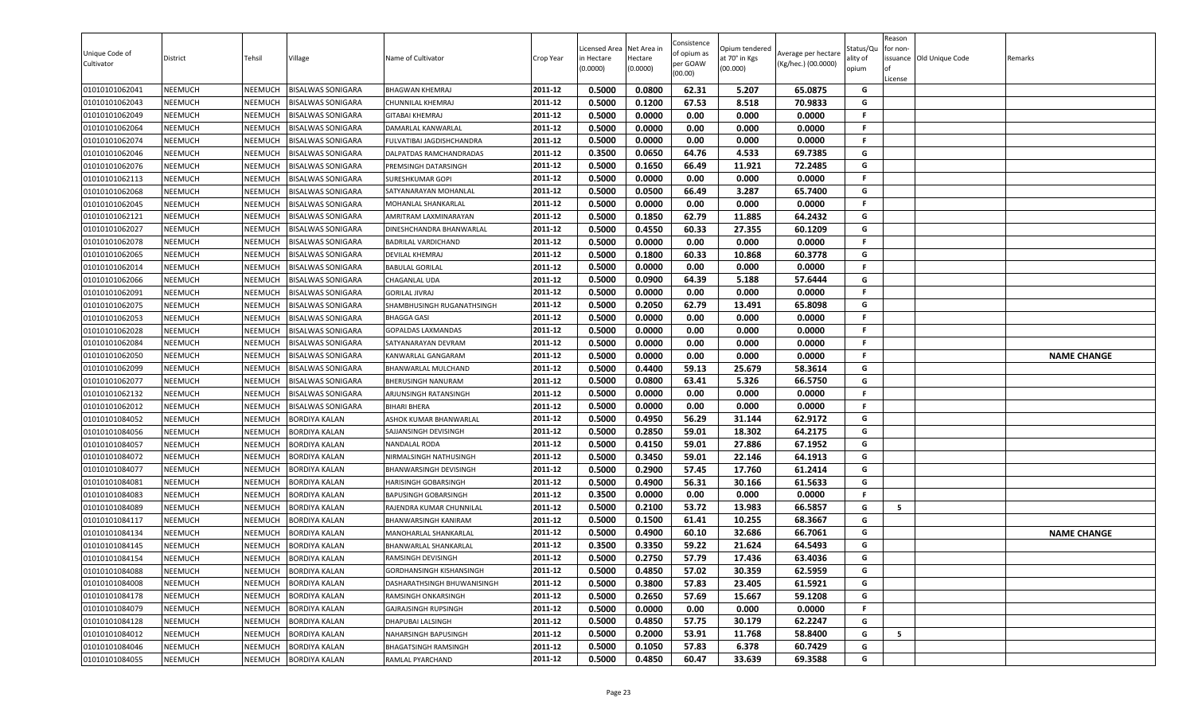| Unique Code of<br>Cultivator | District       | Tehsil         | Village                  | Name of Cultivator              | Crop Year | Licensed Area<br>in Hectare<br>(0.0000) | Net Area in<br>Hectare<br>(0.0000) | Consistence<br>of opium as<br>per GOAW<br>(00.00) | Opium tendered<br>at 70° in Kgs<br>(00.000) | Average per hectare<br>(Kg/hec.) (00.0000) | Status/Qu<br>ılity of<br>opium | Reason<br>for non-<br>License | ssuance Old Unique Code | Remarks            |
|------------------------------|----------------|----------------|--------------------------|---------------------------------|-----------|-----------------------------------------|------------------------------------|---------------------------------------------------|---------------------------------------------|--------------------------------------------|--------------------------------|-------------------------------|-------------------------|--------------------|
| 01010101062041               | NEEMUCH        | NEEMUCH        | <b>BISALWAS SONIGARA</b> | <b>BHAGWAN KHEMRAJ</b>          | 2011-12   | 0.5000                                  | 0.0800                             | 62.31                                             | 5.207                                       | 65.0875                                    | G                              |                               |                         |                    |
| 01010101062043               | NEEMUCH        | NEEMUCH        | BISALWAS SONIGARA        | CHUNNILAL KHEMRAJ               | 2011-12   | 0.5000                                  | 0.1200                             | 67.53                                             | 8.518                                       | 70.9833                                    | G                              |                               |                         |                    |
| 01010101062049               | NEEMUCH        | NEEMUCH        | BISALWAS SONIGARA        | <b>GITABAI KHEMRAJ</b>          | 2011-12   | 0.5000                                  | 0.0000                             | 0.00                                              | 0.000                                       | 0.0000                                     | F.                             |                               |                         |                    |
| 01010101062064               | <b>NEEMUCH</b> | NEEMUCH        | BISALWAS SONIGARA        | DAMARLAL KANWARLAL              | 2011-12   | 0.5000                                  | 0.0000                             | 0.00                                              | 0.000                                       | 0.0000                                     | F.                             |                               |                         |                    |
| 01010101062074               | <b>NEEMUCH</b> | NEEMUCH        | <b>BISALWAS SONIGARA</b> | FULVATIBAI JAGDISHCHANDRA       | 2011-12   | 0.5000                                  | 0.0000                             | 0.00                                              | 0.000                                       | 0.0000                                     | F.                             |                               |                         |                    |
| 01010101062046               | <b>NEEMUCH</b> | NEEMUCH        | BISALWAS SONIGARA        | DALPATDAS RAMCHANDRADAS         | 2011-12   | 0.3500                                  | 0.0650                             | 64.76                                             | 4.533                                       | 69.7385                                    | G                              |                               |                         |                    |
| 01010101062076               | <b>NEEMUCH</b> | NEEMUCH        | <b>BISALWAS SONIGARA</b> | PREMSINGH DATARSINGH            | 2011-12   | 0.5000                                  | 0.1650                             | 66.49                                             | 11.921                                      | 72.2485                                    | G                              |                               |                         |                    |
| 01010101062113               | NEEMUCH        | NEEMUCH        | <b>BISALWAS SONIGARA</b> | <b>SURESHKUMAR GOPI</b>         | 2011-12   | 0.5000                                  | 0.0000                             | 0.00                                              | 0.000                                       | 0.0000                                     | F.                             |                               |                         |                    |
| 01010101062068               | <b>NEEMUCH</b> | NEEMUCH        | <b>BISALWAS SONIGARA</b> | SATYANARAYAN MOHANLAL           | 2011-12   | 0.5000                                  | 0.0500                             | 66.49                                             | 3.287                                       | 65.7400                                    | G                              |                               |                         |                    |
| 01010101062045               | NEEMUCH        | NEEMUCH        | <b>BISALWAS SONIGARA</b> | MOHANLAL SHANKARLAL             | 2011-12   | 0.5000                                  | 0.0000                             | 0.00                                              | 0.000                                       | 0.0000                                     | .F.                            |                               |                         |                    |
| 01010101062121               | NEEMUCH        | NEEMUCH        | 3ISALWAS SONIGARA        | AMRITRAM LAXMINARAYAN           | 2011-12   | 0.5000                                  | 0.1850                             | 62.79                                             | 11.885                                      | 64.2432                                    | G                              |                               |                         |                    |
| 01010101062027               | NEEMUCH        | NEEMUCH        | BISALWAS SONIGARA        | DINESHCHANDRA BHANWARLAL        | 2011-12   | 0.5000                                  | 0.4550                             | 60.33                                             | 27.355                                      | 60.1209                                    | G                              |                               |                         |                    |
| 01010101062078               | <b>NEEMUCH</b> | NEEMUCH        | BISALWAS SONIGARA        | <b>BADRILAL VARDICHAND</b>      | 2011-12   | 0.5000                                  | 0.0000                             | 0.00                                              | 0.000                                       | 0.0000                                     | F.                             |                               |                         |                    |
| 01010101062065               | <b>NEEMUCH</b> | NEEMUCH        | BISALWAS SONIGARA        | <b>DEVILAL KHEMRAJ</b>          | 2011-12   | 0.5000                                  | 0.1800                             | 60.33                                             | 10.868                                      | 60.3778                                    | G                              |                               |                         |                    |
| 01010101062014               | <b>NEEMUCH</b> | NEEMUCH        | <b>BISALWAS SONIGARA</b> | <b>BABULAL GORILAL</b>          | 2011-12   | 0.5000                                  | 0.0000                             | 0.00                                              | 0.000                                       | 0.0000                                     | F.                             |                               |                         |                    |
| 01010101062066               | <b>NEEMUCH</b> | NEEMUCH        | <b>BISALWAS SONIGARA</b> | <b>CHAGANLAL UDA</b>            | 2011-12   | 0.5000                                  | 0.0900                             | 64.39                                             | 5.188                                       | 57.6444                                    | G                              |                               |                         |                    |
| 01010101062091               | NEEMUCH        | NEEMUCH        | BISALWAS SONIGARA        | <b>GORILAL JIVRAJ</b>           | 2011-12   | 0.5000                                  | 0.0000                             | 0.00                                              | 0.000                                       | 0.0000                                     | F.                             |                               |                         |                    |
| 01010101062075               | NEEMUCH        | NEEMUCH        | <b>BISALWAS SONIGARA</b> | SHAMBHUSINGH RUGANATHSINGH      | 2011-12   | 0.5000                                  | 0.2050                             | 62.79                                             | 13.491                                      | 65.8098                                    | G                              |                               |                         |                    |
| 01010101062053               | NEEMUCH        | NEEMUCH        | <b>BISALWAS SONIGARA</b> | <b>BHAGGA GASI</b>              | 2011-12   | 0.5000                                  | 0.0000                             | 0.00                                              | 0.000                                       | 0.0000                                     | F.                             |                               |                         |                    |
| 01010101062028               | <b>NEEMUCH</b> | NEEMUCH        | <b>BISALWAS SONIGARA</b> | <b>GOPALDAS LAXMANDAS</b>       | 2011-12   | 0.5000                                  | 0.0000                             | 0.00                                              | 0.000                                       | 0.0000                                     | F.                             |                               |                         |                    |
| 01010101062084               | NEEMUCH        | NEEMUCH        | <b>BISALWAS SONIGARA</b> | SATYANARAYAN DEVRAM             | 2011-12   | 0.5000                                  | 0.0000                             | 0.00                                              | 0.000                                       | 0.0000                                     | F.                             |                               |                         |                    |
| 01010101062050               | <b>NEEMUCH</b> | NEEMUCH        | BISALWAS SONIGARA        | KANWARLAL GANGARAM              | 2011-12   | 0.5000                                  | 0.0000                             | 0.00                                              | 0.000                                       | 0.0000                                     | F.                             |                               |                         | <b>NAME CHANGE</b> |
| 01010101062099               | <b>NEEMUCH</b> | NEEMUCH        | BISALWAS SONIGARA        | BHANWARLAL MULCHAND             | 2011-12   | 0.5000                                  | 0.4400                             | 59.13                                             | 25.679                                      | 58.3614                                    | G                              |                               |                         |                    |
| 01010101062077               | <b>NEEMUCH</b> | NEEMUCH        | BISALWAS SONIGARA        | <b>BHERUSINGH NANURAM</b>       | 2011-12   | 0.5000                                  | 0.0800                             | 63.41                                             | 5.326                                       | 66.5750                                    | G                              |                               |                         |                    |
| 01010101062132               | <b>NEEMUCH</b> | NEEMUCH        | <b>BISALWAS SONIGARA</b> | ARJUNSINGH RATANSINGH           | 2011-12   | 0.5000                                  | 0.0000                             | 0.00                                              | 0.000                                       | 0.0000                                     | F.                             |                               |                         |                    |
| 01010101062012               | NEEMUCH        | NEEMUCH        | <b>BISALWAS SONIGARA</b> | <b>BIHARI BHERA</b>             | 2011-12   | 0.5000                                  | 0.0000                             | 0.00                                              | 0.000                                       | 0.0000                                     | F.                             |                               |                         |                    |
| 01010101084052               | NEEMUCH        | NEEMUCH        | BORDIYA KALAN            | ASHOK KUMAR BHANWARLAL          | 2011-12   | 0.5000                                  | 0.4950                             | 56.29                                             | 31.144                                      | 62.9172                                    | G                              |                               |                         |                    |
| 01010101084056               | NEEMUCH        | NEEMUCH        | BORDIYA KALAN            | SAJJANSINGH DEVISINGH           | 2011-12   | 0.5000                                  | 0.2850                             | 59.01                                             | 18.302                                      | 64.2175                                    | G                              |                               |                         |                    |
| 01010101084057               | <b>NEEMUCH</b> | NEEMUCH        | BORDIYA KALAN            | NANDALAL RODA                   | 2011-12   | 0.5000                                  | 0.4150                             | 59.01                                             | 27.886                                      | 67.1952                                    | G                              |                               |                         |                    |
| 01010101084072               | <b>NEEMUCH</b> | NEEMUCH        | <b>BORDIYA KALAN</b>     | NIRMALSINGH NATHUSINGH          | 2011-12   | 0.5000                                  | 0.3450                             | 59.01                                             | 22.146                                      | 64.1913                                    | G                              |                               |                         |                    |
| 01010101084077               | <b>NEEMUCH</b> | NEEMUCH        | BORDIYA KALAN            | <b>BHANWARSINGH DEVISINGH</b>   | 2011-12   | 0.5000                                  | 0.2900                             | 57.45                                             | 17.760                                      | 61.2414                                    | G                              |                               |                         |                    |
| 01010101084081               | NEEMUCH        | NEEMUCH        | <b>BORDIYA KALAN</b>     | HARISINGH GOBARSINGH            | 2011-12   | 0.5000                                  | 0.4900                             | 56.31                                             | 30.166                                      | 61.5633                                    | G                              |                               |                         |                    |
| 01010101084083               | NEEMUCH        | NEEMUCH        | <b>BORDIYA KALAN</b>     | <b>BAPUSINGH GOBARSINGH</b>     | 2011-12   | 0.3500                                  | 0.0000                             | 0.00                                              | 0.000                                       | 0.0000                                     | F.                             |                               |                         |                    |
| 01010101084089               | <b>NEEMUCH</b> | NEEMUCH        | <b>BORDIYA KALAN</b>     | RAJENDRA KUMAR CHUNNILAL        | 2011-12   | 0.5000                                  | 0.2100                             | 53.72                                             | 13.983                                      | 66.5857                                    | G                              | 5                             |                         |                    |
| 01010101084117               | NEEMUCH        | NEEMUCH        | BORDIYA KALAN            | BHANWARSINGH KANIRAM            | 2011-12   | 0.5000                                  | 0.1500                             | 61.41                                             | 10.255                                      | 68.3667                                    | G                              |                               |                         |                    |
| 01010101084134               | <b>NEEMUCH</b> | NEEMUCH        | BORDIYA KALAN            | <b>MANOHARLAL SHANKARLAL</b>    | 2011-12   | 0.5000                                  | 0.4900                             | 60.10                                             | 32.686                                      | 66.7061                                    | G                              |                               |                         | <b>NAME CHANGE</b> |
| 01010101084145               | NEEMUCH        | NEEMUCH        | BORDIYA KALAN            | BHANWARLAL SHANKARLAL           | 2011-12   | 0.3500                                  | 0.3350                             | 59.22                                             | 21.624                                      | 64.5493                                    | G                              |                               |                         |                    |
| 01010101084154               | <b>NEEMUCH</b> | <b>NEEMUCH</b> | <b>BORDIYA KALAN</b>     | RAMSINGH DEVISINGH              | 2011-12   | 0.5000                                  | 0.2750                             | 57.79                                             | 17.436                                      | 63.4036                                    | G                              |                               |                         |                    |
| 01010101084088               | <b>NEEMUCH</b> | <b>NEEMUCH</b> | <b>BORDIYA KALAN</b>     | <b>GORDHANSINGH KISHANSINGH</b> | 2011-12   | 0.5000                                  | 0.4850                             | 57.02                                             | 30.359                                      | 62.5959                                    | G                              |                               |                         |                    |
| 01010101084008               | NEEMUCH        | <b>NEEMUCH</b> | <b>BORDIYA KALAN</b>     | DASHARATHSINGH BHUWANISINGH     | 2011-12   | 0.5000                                  | 0.3800                             | 57.83                                             | 23.405                                      | 61.5921                                    | G                              |                               |                         |                    |
| 01010101084178               | NEEMUCH        | <b>NEEMUCH</b> | <b>BORDIYA KALAN</b>     | RAMSINGH ONKARSINGH             | 2011-12   | 0.5000                                  | 0.2650                             | 57.69                                             | 15.667                                      | 59.1208                                    | G                              |                               |                         |                    |
| 01010101084079               | <b>NEEMUCH</b> | NEEMUCH        | <b>BORDIYA KALAN</b>     | GAJRAJSINGH RUPSINGH            | 2011-12   | 0.5000                                  | 0.0000                             | 0.00                                              | 0.000                                       | 0.0000                                     | F.                             |                               |                         |                    |
| 01010101084128               | <b>NEEMUCH</b> | NEEMUCH        | BORDIYA KALAN            | DHAPUBAI LALSINGH               | 2011-12   | 0.5000                                  | 0.4850                             | 57.75                                             | 30.179                                      | 62.2247                                    | G                              |                               |                         |                    |
| 01010101084012               | <b>NEEMUCH</b> | NEEMUCH        | BORDIYA KALAN            | NAHARSINGH BAPUSINGH            | 2011-12   | 0.5000                                  | 0.2000                             | 53.91                                             | 11.768                                      | 58.8400                                    | G                              | 5                             |                         |                    |
| 01010101084046               | NEEMUCH        | NEEMUCH        | BORDIYA KALAN            | <b>BHAGATSINGH RAMSINGH</b>     | 2011-12   | 0.5000                                  | 0.1050                             | 57.83                                             | 6.378                                       | 60.7429                                    | G                              |                               |                         |                    |
| 01010101084055               | <b>NEEMUCH</b> | <b>NEEMUCH</b> | <b>BORDIYA KALAN</b>     | RAMLAL PYARCHAND                | 2011-12   | 0.5000                                  | 0.4850                             | 60.47                                             | 33.639                                      | 69.3588                                    | G                              |                               |                         |                    |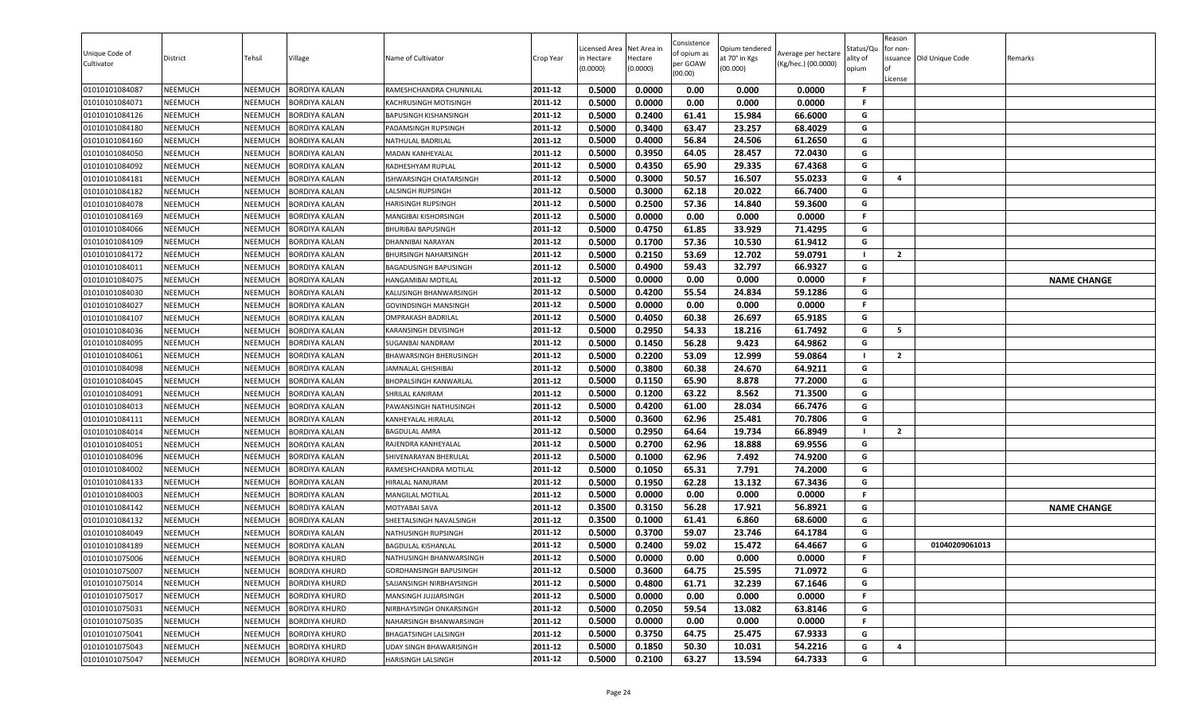| Unique Code of<br>Cultivator | District       | Tehsil         | Village              | Name of Cultivator           | Crop Year | Licensed Area<br>in Hectare<br>(0.0000) | Net Area in<br>Hectare<br>(0.0000) | Consistence<br>of opium as<br>per GOAW<br>(00.00) | Opium tendered<br>at 70° in Kgs<br>(00.000) | Average per hectare<br>(Kg/hec.) (00.0000) | Status/Qu<br>ality of<br>opium | Reason<br>for non-<br>ssuance Old Unique Code<br>License | Remarks            |
|------------------------------|----------------|----------------|----------------------|------------------------------|-----------|-----------------------------------------|------------------------------------|---------------------------------------------------|---------------------------------------------|--------------------------------------------|--------------------------------|----------------------------------------------------------|--------------------|
| 01010101084087               | <b>NEEMUCH</b> | NEEMUCH        | <b>BORDIYA KALAN</b> | RAMESHCHANDRA CHUNNILAL      | 2011-12   | 0.5000                                  | 0.0000                             | 0.00                                              | 0.000                                       | 0.0000                                     | -F                             |                                                          |                    |
| 01010101084071               | <b>NEEMUCH</b> | NEEMUCH        | <b>BORDIYA KALAN</b> | KACHRUSINGH MOTISINGH        | 2011-12   | 0.5000                                  | 0.0000                             | 0.00                                              | 0.000                                       | 0.0000                                     | -F                             |                                                          |                    |
| 01010101084126               | <b>NEEMUCH</b> | NEEMUCH        | <b>BORDIYA KALAN</b> | <b>BAPUSINGH KISHANSINGH</b> | 2011-12   | 0.5000                                  | 0.2400                             | 61.41                                             | 15.984                                      | 66.6000                                    | G                              |                                                          |                    |
| 01010101084180               | <b>NEEMUCH</b> | NEEMUCH        | <b>BORDIYA KALAN</b> | PADAMSINGH RUPSINGH          | 2011-12   | 0.5000                                  | 0.3400                             | 63.47                                             | 23.257                                      | 68.4029                                    | G                              |                                                          |                    |
| 01010101084160               | <b>NEEMUCH</b> | NEEMUCH        | <b>BORDIYA KALAN</b> | NATHULAL BADRILAL            | 2011-12   | 0.5000                                  | 0.4000                             | 56.84                                             | 24.506                                      | 61.2650                                    | G                              |                                                          |                    |
| 01010101084050               | <b>NEEMUCH</b> | NEEMUCH        | <b>BORDIYA KALAN</b> | MADAN KANHEYALAL             | 2011-12   | 0.5000                                  | 0.3950                             | 64.05                                             | 28.457                                      | 72.0430                                    | G                              |                                                          |                    |
| 01010101084092               | <b>NEEMUCH</b> | NEEMUCH        | <b>BORDIYA KALAN</b> | RADHESHYAM RUPLAL            | 2011-12   | 0.5000                                  | 0.4350                             | 65.90                                             | 29.335                                      | 67.4368                                    | G                              |                                                          |                    |
| 01010101084181               | <b>NEEMUCH</b> | NEEMUCH        | <b>BORDIYA KALAN</b> | ISHWARSINGH CHATARSINGH      | 2011-12   | 0.5000                                  | 0.3000                             | 50.57                                             | 16.507                                      | 55.0233                                    | G                              | 4                                                        |                    |
| 01010101084182               | <b>NEEMUCH</b> | NEEMUCH        | <b>BORDIYA KALAN</b> | LALSINGH RUPSINGH            | 2011-12   | 0.5000                                  | 0.3000                             | 62.18                                             | 20.022                                      | 66.7400                                    | G                              |                                                          |                    |
| 01010101084078               | <b>NEEMUCH</b> | NEEMUCH        | <b>BORDIYA KALAN</b> | HARISINGH RUPSINGH           | 2011-12   | 0.5000                                  | 0.2500                             | 57.36                                             | 14.840                                      | 59.3600                                    | G                              |                                                          |                    |
| 01010101084169               | <b>NEEMUCH</b> | NEEMUCH        | <b>BORDIYA KALAN</b> | MANGIBAI KISHORSINGH         | 2011-12   | 0.5000                                  | 0.0000                             | 0.00                                              | 0.000                                       | 0.0000                                     | F.                             |                                                          |                    |
| 01010101084066               | <b>NEEMUCH</b> | NEEMUCH        | <b>BORDIYA KALAN</b> | <b>BHURIBAI BAPUSINGH</b>    | 2011-12   | 0.5000                                  | 0.4750                             | 61.85                                             | 33.929                                      | 71.4295                                    | G                              |                                                          |                    |
| 01010101084109               | <b>NEEMUCH</b> | <b>NEEMUCH</b> | <b>BORDIYA KALAN</b> | DHANNIBAI NARAYAN            | 2011-12   | 0.5000                                  | 0.1700                             | 57.36                                             | 10.530                                      | 61.9412                                    | G                              |                                                          |                    |
| 01010101084172               | <b>NEEMUCH</b> | NEEMUCH        | <b>BORDIYA KALAN</b> | BHURSINGH NAHARSINGH         | 2011-12   | 0.5000                                  | 0.2150                             | 53.69                                             | 12.702                                      | 59.0791                                    |                                | $\overline{2}$                                           |                    |
| 01010101084011               | <b>NEEMUCH</b> | NEEMUCH        | <b>BORDIYA KALAN</b> | BAGADUSINGH BAPUSINGH        | 2011-12   | 0.5000                                  | 0.4900                             | 59.43                                             | 32.797                                      | 66.9327                                    | G                              |                                                          |                    |
| 01010101084075               | <b>NEEMUCH</b> | NEEMUCH        | <b>BORDIYA KALAN</b> | HANGAMIBAI MOTILAL           | 2011-12   | 0.5000                                  | 0.0000                             | 0.00                                              | 0.000                                       | 0.0000                                     | F.                             |                                                          | <b>NAME CHANGE</b> |
| 01010101084030               | <b>NEEMUCH</b> | NEEMUCH        | <b>BORDIYA KALAN</b> | KALUSINGH BHANWARSINGH       | 2011-12   | 0.5000                                  | 0.4200                             | 55.54                                             | 24.834                                      | 59.1286                                    | G                              |                                                          |                    |
| 01010101084027               | <b>NEEMUCH</b> | NEEMUCH        | <b>BORDIYA KALAN</b> | <b>GOVINDSINGH MANSINGH</b>  | 2011-12   | 0.5000                                  | 0.0000                             | 0.00                                              | 0.000                                       | 0.0000                                     | F.                             |                                                          |                    |
| 01010101084107               | <b>NEEMUCH</b> | NEEMUCH        | <b>BORDIYA KALAN</b> | OMPRAKASH BADRILAL           | 2011-12   | 0.5000                                  | 0.4050                             | 60.38                                             | 26.697                                      | 65.9185                                    | G                              |                                                          |                    |
| 01010101084036               | <b>NEEMUCH</b> | NEEMUCH        | <b>BORDIYA KALAN</b> | KARANSINGH DEVISINGH         | 2011-12   | 0.5000                                  | 0.2950                             | 54.33                                             | 18.216                                      | 61.7492                                    | G                              | 5                                                        |                    |
| 01010101084095               | <b>NEEMUCH</b> | NEEMUCH        | <b>BORDIYA KALAN</b> | SUGANBAI NANDRAM             | 2011-12   | 0.5000                                  | 0.1450                             | 56.28                                             | 9.423                                       | 64.9862                                    | G                              |                                                          |                    |
| 01010101084061               | <b>NEEMUCH</b> | NEEMUCH        | <b>BORDIYA KALAN</b> | BHAWARSINGH BHERUSINGH       | 2011-12   | 0.5000                                  | 0.2200                             | 53.09                                             | 12.999                                      | 59.0864                                    |                                | $\overline{2}$                                           |                    |
| 01010101084098               | <b>NEEMUCH</b> | NEEMUCH        | <b>BORDIYA KALAN</b> | JAMNALAL GHISHIBAI           | 2011-12   | 0.5000                                  | 0.3800                             | 60.38                                             | 24.670                                      | 64.9211                                    | G                              |                                                          |                    |
| 01010101084045               | <b>NEEMUCH</b> | NEEMUCH        | <b>BORDIYA KALAN</b> | BHOPALSINGH KANWARLAL        | 2011-12   | 0.5000                                  | 0.1150                             | 65.90                                             | 8.878                                       | 77.2000                                    | G                              |                                                          |                    |
| 01010101084091               | <b>NEEMUCH</b> | NEEMUCH        | <b>BORDIYA KALAN</b> | SHRILAL KANIRAM              | 2011-12   | 0.5000                                  | 0.1200                             | 63.22                                             | 8.562                                       | 71.3500                                    | G                              |                                                          |                    |
| 01010101084013               | <b>NEEMUCH</b> | NEEMUCH        | <b>BORDIYA KALAN</b> | PAWANSINGH NATHUSINGH        | 2011-12   | 0.5000                                  | 0.4200                             | 61.00                                             | 28.034                                      | 66.7476                                    | G                              |                                                          |                    |
| 01010101084111               | <b>NEEMUCH</b> | NEEMUCH        | <b>BORDIYA KALAN</b> | KANHEYALAL HIRALAL           | 2011-12   | 0.5000                                  | 0.3600                             | 62.96                                             | 25.481                                      | 70.7806                                    | G                              |                                                          |                    |
| 01010101084014               | <b>NEEMUCH</b> | NEEMUCH        | <b>BORDIYA KALAN</b> | <b>BAGDULAL AMRA</b>         | 2011-12   | 0.5000                                  | 0.2950                             | 64.64                                             | 19.734                                      | 66.8949                                    |                                | $\overline{2}$                                           |                    |
| 01010101084051               | <b>NEEMUCH</b> | NEEMUCH        | <b>BORDIYA KALAN</b> | RAJENDRA KANHEYALAL          | 2011-12   | 0.5000                                  | 0.2700                             | 62.96                                             | 18.888                                      | 69.9556                                    | G                              |                                                          |                    |
| 01010101084096               | <b>NEEMUCH</b> | NEEMUCH        | <b>BORDIYA KALAN</b> | SHIVENARAYAN BHERULAL        | 2011-12   | 0.5000                                  | 0.1000                             | 62.96                                             | 7.492                                       | 74.9200                                    | G                              |                                                          |                    |
| 01010101084002               | <b>NEEMUCH</b> | NEEMUCH        | <b>BORDIYA KALAN</b> | RAMESHCHANDRA MOTILAL        | 2011-12   | 0.5000                                  | 0.1050                             | 65.31                                             | 7.791                                       | 74.2000                                    | G                              |                                                          |                    |
| 01010101084133               | <b>NEEMUCH</b> | <b>NEEMUCH</b> | <b>BORDIYA KALAN</b> | HIRALAL NANURAM              | 2011-12   | 0.5000                                  | 0.1950                             | 62.28                                             | 13.132                                      | 67.3436                                    | G                              |                                                          |                    |
| 01010101084003               | <b>NEEMUCH</b> | NEEMUCH        | <b>BORDIYA KALAN</b> | <b>MANGILAL MOTILAL</b>      | 2011-12   | 0.5000                                  | 0.0000                             | 0.00                                              | 0.000                                       | 0.0000                                     | F.                             |                                                          |                    |
| 01010101084142               | <b>NEEMUCH</b> | NEEMUCH        | <b>BORDIYA KALAN</b> | MOTYABAI SAVA                | 2011-12   | 0.3500                                  | 0.3150                             | 56.28                                             | 17.921                                      | 56.8921                                    | G                              |                                                          | <b>NAME CHANGE</b> |
| 01010101084132               | <b>NEEMUCH</b> | NEEMUCH        | <b>BORDIYA KALAN</b> | SHEETALSINGH NAVALSINGH      | 2011-12   | 0.3500                                  | 0.1000                             | 61.41                                             | 6.860                                       | 68.6000                                    | G                              |                                                          |                    |
| 01010101084049               | <b>NEEMUCH</b> | <b>NEEMUCH</b> | <b>BORDIYA KALAN</b> | NATHUSINGH RUPSINGH          | 2011-12   | 0.5000                                  | 0.3700                             | 59.07                                             | 23.746                                      | 64.1784                                    | G                              |                                                          |                    |
| 01010101084189               | <b>NEEMUCH</b> | NEEMUCH        | <b>BORDIYA KALAN</b> | BAGDULAL KISHANLAL           | 2011-12   | 0.5000                                  | 0.2400                             | 59.02                                             | 15.472                                      | 64.4667                                    | G                              | 01040209061013                                           |                    |
| 01010101075006               | <b>NEEMUCH</b> | NEEMUCH        | <b>BORDIYA KHURD</b> | NATHUSINGH BHANWARSINGH      | 2011-12   | 0.5000                                  | 0.0000                             | 0.00                                              | 0.000                                       | 0.0000                                     | F.                             |                                                          |                    |
| 01010101075007               | <b>NEEMUCH</b> | NEEMUCH        | <b>BORDIYA KHURD</b> | GORDHANSINGH BAPUSINGH       | 2011-12   | 0.5000                                  | 0.3600                             | 64.75                                             | 25.595                                      | 71.0972                                    | G                              |                                                          |                    |
| 01010101075014               | <b>NEEMUCH</b> | NEEMUCH        | <b>BORDIYA KHURD</b> | SAJJANSINGH NIRBHAYSINGH     | 2011-12   | 0.5000                                  | 0.4800                             | 61.71                                             | 32.239                                      | 67.1646                                    | G                              |                                                          |                    |
| 01010101075017               | <b>NEEMUCH</b> | NEEMUCH        | <b>BORDIYA KHURD</b> | MANSINGH JUJJARSINGH         | 2011-12   | 0.5000                                  | 0.0000                             | 0.00                                              | 0.000                                       | 0.0000                                     | -F                             |                                                          |                    |
| 01010101075031               | <b>NEEMUCH</b> | NEEMUCH        | <b>BORDIYA KHURD</b> | NIRBHAYSINGH ONKARSINGH      | 2011-12   | 0.5000                                  | 0.2050                             | 59.54                                             | 13.082                                      | 63.8146                                    | G                              |                                                          |                    |
| 01010101075035               | <b>NEEMUCH</b> | NEEMUCH        | <b>BORDIYA KHURD</b> | NAHARSINGH BHANWARSINGH      | 2011-12   | 0.5000                                  | 0.0000                             | 0.00                                              | 0.000                                       | 0.0000                                     | F.                             |                                                          |                    |
| 01010101075041               | <b>NEEMUCH</b> | NEEMUCH        | <b>BORDIYA KHURD</b> | <b>BHAGATSINGH LALSINGH</b>  | 2011-12   | 0.5000                                  | 0.3750                             | 64.75                                             | 25.475                                      | 67.9333                                    | G                              |                                                          |                    |
| 01010101075043               | <b>NEEMUCH</b> | NEEMUCH        | <b>BORDIYA KHURD</b> | UDAY SINGH BHAWARISINGH      | 2011-12   | 0.5000                                  | 0.1850                             | 50.30                                             | 10.031                                      | 54.2216                                    | G                              | 4                                                        |                    |
| 01010101075047               | <b>NEEMUCH</b> | NEEMUCH        | <b>BORDIYA KHURD</b> | HARISINGH LALSINGH           | 2011-12   | 0.5000                                  | 0.2100                             | 63.27                                             | 13.594                                      | 64.7333                                    | G                              |                                                          |                    |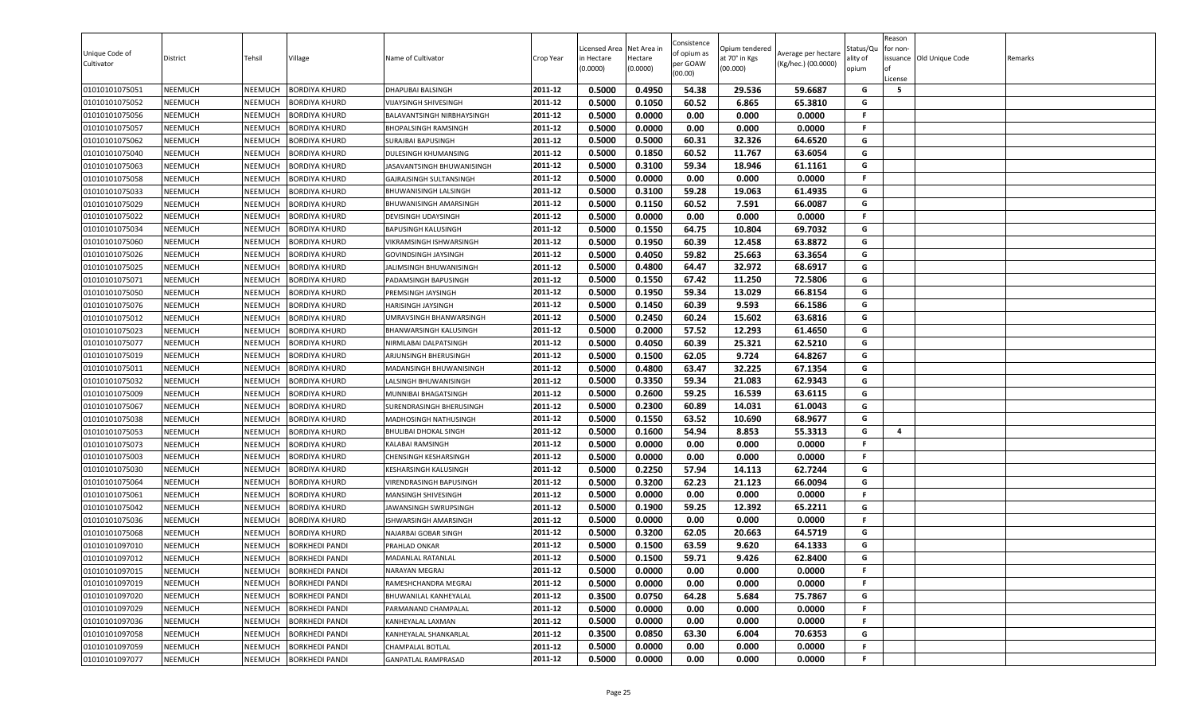| Unique Code of<br>Cultivator | District       | Tehsil         | Village               | Name of Cultivator          | Crop Year | Licensed Area<br>in Hectare<br>(0.0000) | Net Area in<br>Hectare<br>(0.0000) | Consistence<br>of opium as<br>per GOAW<br>(00.00) | Opium tendered<br>at 70° in Kgs<br>(00.000) | Average per hectare<br>(Kg/hec.) (00.0000) | Status/Qu<br>ality of<br>opium | Reason<br>for non-<br>lof<br>License | issuance Old Unique Code | Remarks |
|------------------------------|----------------|----------------|-----------------------|-----------------------------|-----------|-----------------------------------------|------------------------------------|---------------------------------------------------|---------------------------------------------|--------------------------------------------|--------------------------------|--------------------------------------|--------------------------|---------|
| 01010101075051               | <b>NEEMUCH</b> | NEEMUCH        | <b>BORDIYA KHURD</b>  | DHAPUBAI BALSINGH           | 2011-12   | 0.5000                                  | 0.4950                             | 54.38                                             | 29.536                                      | 59.6687                                    | G                              | 5                                    |                          |         |
| 01010101075052               | <b>NEEMUCH</b> | NEEMUCH        | <b>BORDIYA KHURD</b>  | VIJAYSINGH SHIVESINGH       | 2011-12   | 0.5000                                  | 0.1050                             | 60.52                                             | 6.865                                       | 65.3810                                    | G                              |                                      |                          |         |
| 01010101075056               | <b>NEEMUCH</b> | NEEMUCH        | <b>BORDIYA KHURD</b>  | BALAVANTSINGH NIRBHAYSINGH  | 2011-12   | 0.5000                                  | 0.0000                             | 0.00                                              | 0.000                                       | 0.0000                                     | F.                             |                                      |                          |         |
| 01010101075057               | <b>NEEMUCH</b> | NEEMUCH        | <b>BORDIYA KHURD</b>  | <b>BHOPALSINGH RAMSINGH</b> | 2011-12   | 0.5000                                  | 0.0000                             | 0.00                                              | 0.000                                       | 0.0000                                     | F.                             |                                      |                          |         |
| 01010101075062               | <b>NEEMUCH</b> | NEEMUCH        | <b>BORDIYA KHURD</b>  | SURAJBAI BAPUSINGH          | 2011-12   | 0.5000                                  | 0.5000                             | 60.31                                             | 32.326                                      | 64.6520                                    | G                              |                                      |                          |         |
| 01010101075040               | <b>NEEMUCH</b> | NEEMUCH        | <b>BORDIYA KHURD</b>  | DULESINGH KHUMANSING        | 2011-12   | 0.5000                                  | 0.1850                             | 60.52                                             | 11.767                                      | 63.6054                                    | G                              |                                      |                          |         |
| 01010101075063               | <b>NEEMUCH</b> | NEEMUCH        | <b>BORDIYA KHURD</b>  | JASAVANTSINGH BHUWANISINGH  | 2011-12   | 0.5000                                  | 0.3100                             | 59.34                                             | 18.946                                      | 61.1161                                    | G                              |                                      |                          |         |
| 01010101075058               | <b>NEEMUCH</b> | NEEMUCH        | <b>BORDIYA KHURD</b>  | GAJRAJSINGH SULTANSINGH     | 2011-12   | 0.5000                                  | 0.0000                             | 0.00                                              | 0.000                                       | 0.0000                                     | F.                             |                                      |                          |         |
| 01010101075033               | <b>NEEMUCH</b> | NEEMUCH        | <b>BORDIYA KHURD</b>  | BHUWANISINGH LALSINGH       | 2011-12   | 0.5000                                  | 0.3100                             | 59.28                                             | 19.063                                      | 61.4935                                    | G                              |                                      |                          |         |
| 01010101075029               | <b>NEEMUCH</b> | NEEMUCH        | <b>BORDIYA KHURD</b>  | BHUWANISINGH AMARSINGH      | 2011-12   | 0.5000                                  | 0.1150                             | 60.52                                             | 7.591                                       | 66.0087                                    | G                              |                                      |                          |         |
| 01010101075022               | <b>NEEMUCH</b> | NEEMUCH        | <b>BORDIYA KHURD</b>  | DEVISINGH UDAYSINGH         | 2011-12   | 0.5000                                  | 0.0000                             | 0.00                                              | 0.000                                       | 0.0000                                     | F.                             |                                      |                          |         |
| 01010101075034               | <b>NEEMUCH</b> | NEEMUCH        | <b>BORDIYA KHURD</b>  | <b>BAPUSINGH KALUSINGH</b>  | 2011-12   | 0.5000                                  | 0.1550                             | 64.75                                             | 10.804                                      | 69.7032                                    | G                              |                                      |                          |         |
| 01010101075060               | <b>NEEMUCH</b> | NEEMUCH        | <b>BORDIYA KHURD</b>  | VIKRAMSINGH ISHWARSINGH     | 2011-12   | 0.5000                                  | 0.1950                             | 60.39                                             | 12.458                                      | 63.8872                                    | G                              |                                      |                          |         |
| 01010101075026               | <b>NEEMUCH</b> | NEEMUCH        | <b>BORDIYA KHURD</b>  | GOVINDSINGH JAYSINGH        | 2011-12   | 0.5000                                  | 0.4050                             | 59.82                                             | 25.663                                      | 63.3654                                    | G                              |                                      |                          |         |
| 01010101075025               | <b>NEEMUCH</b> | NEEMUCH        | <b>BORDIYA KHURD</b>  | JALIMSINGH BHUWANISINGH     | 2011-12   | 0.5000                                  | 0.4800                             | 64.47                                             | 32.972                                      | 68.6917                                    | G                              |                                      |                          |         |
| 01010101075071               | <b>NEEMUCH</b> | NEEMUCH        | <b>BORDIYA KHURD</b>  | PADAMSINGH BAPUSINGH        | 2011-12   | 0.5000                                  | 0.1550                             | 67.42                                             | 11.250                                      | 72.5806                                    | G                              |                                      |                          |         |
| 01010101075050               | <b>NEEMUCH</b> | NEEMUCH        | <b>BORDIYA KHURD</b>  | PREMSINGH JAYSINGH          | 2011-12   | 0.5000                                  | 0.1950                             | 59.34                                             | 13.029                                      | 66.8154                                    | G                              |                                      |                          |         |
| 01010101075076               | <b>NEEMUCH</b> | NEEMUCH        | <b>BORDIYA KHURD</b>  | HARISINGH JAYSINGH          | 2011-12   | 0.5000                                  | 0.1450                             | 60.39                                             | 9.593                                       | 66.1586                                    | G                              |                                      |                          |         |
| 01010101075012               | <b>NEEMUCH</b> | NEEMUCH        | <b>BORDIYA KHURD</b>  | UMRAVSINGH BHANWARSINGH     | 2011-12   | 0.5000                                  | 0.2450                             | 60.24                                             | 15.602                                      | 63.6816                                    | G                              |                                      |                          |         |
| 01010101075023               | <b>NEEMUCH</b> | NEEMUCH        | <b>BORDIYA KHURD</b>  | BHANWARSINGH KALUSINGH      | 2011-12   | 0.5000                                  | 0.2000                             | 57.52                                             | 12.293                                      | 61.4650                                    | G                              |                                      |                          |         |
| 01010101075077               | <b>NEEMUCH</b> | NEEMUCH        | <b>BORDIYA KHURD</b>  | NIRMLABAI DALPATSINGH       | 2011-12   | 0.5000                                  | 0.4050                             | 60.39                                             | 25.321                                      | 62.5210                                    | G                              |                                      |                          |         |
| 01010101075019               | <b>NEEMUCH</b> | NEEMUCH        | <b>BORDIYA KHURD</b>  | ARJUNSINGH BHERUSINGH       | 2011-12   | 0.5000                                  | 0.1500                             | 62.05                                             | 9.724                                       | 64.8267                                    | G                              |                                      |                          |         |
| 01010101075011               | <b>NEEMUCH</b> | NEEMUCH        | <b>BORDIYA KHURD</b>  | MADANSINGH BHUWANISINGH     | 2011-12   | 0.5000                                  | 0.4800                             | 63.47                                             | 32.225                                      | 67.1354                                    | G                              |                                      |                          |         |
| 01010101075032               | <b>NEEMUCH</b> | NEEMUCH        | <b>BORDIYA KHURD</b>  | LALSINGH BHUWANISINGH       | 2011-12   | 0.5000                                  | 0.3350                             | 59.34                                             | 21.083                                      | 62.9343                                    | G                              |                                      |                          |         |
| 01010101075009               | <b>NEEMUCH</b> | NEEMUCH        | <b>BORDIYA KHURD</b>  | MUNNIBAI BHAGATSINGH        | 2011-12   | 0.5000                                  | 0.2600                             | 59.25                                             | 16.539                                      | 63.6115                                    | G                              |                                      |                          |         |
| 01010101075067               | <b>NEEMUCH</b> | NEEMUCH        | <b>BORDIYA KHURD</b>  | SURENDRASINGH BHERUSINGH    | 2011-12   | 0.5000                                  | 0.2300                             | 60.89                                             | 14.031                                      | 61.0043                                    | G                              |                                      |                          |         |
| 01010101075038               | <b>NEEMUCH</b> | NEEMUCH        | <b>BORDIYA KHURD</b>  | MADHOSINGH NATHUSINGH       | 2011-12   | 0.5000                                  | 0.1550                             | 63.52                                             | 10.690                                      | 68.9677                                    | G                              |                                      |                          |         |
| 01010101075053               | <b>NEEMUCH</b> | NEEMUCH        | <b>BORDIYA KHURD</b>  | BHULIBAI DHOKAL SINGH       | 2011-12   | 0.5000                                  | 0.1600                             | 54.94                                             | 8.853                                       | 55.3313                                    | G                              | $\overline{\mathbf{4}}$              |                          |         |
| 01010101075073               | <b>NEEMUCH</b> | NEEMUCH        | <b>BORDIYA KHURD</b>  | KALABAI RAMSINGH            | 2011-12   | 0.5000                                  | 0.0000                             | 0.00                                              | 0.000                                       | 0.0000                                     | F.                             |                                      |                          |         |
| 01010101075003               | <b>NEEMUCH</b> | NEEMUCH        | <b>BORDIYA KHURD</b>  | CHENSINGH KESHARSINGH       | 2011-12   | 0.5000                                  | 0.0000                             | 0.00                                              | 0.000                                       | 0.0000                                     | F.                             |                                      |                          |         |
| 01010101075030               | <b>NEEMUCH</b> | NEEMUCH        | <b>BORDIYA KHURD</b>  | KESHARSINGH KALUSINGH       | 2011-12   | 0.5000                                  | 0.2250                             | 57.94                                             | 14.113                                      | 62.7244                                    | G                              |                                      |                          |         |
| 01010101075064               | <b>NEEMUCH</b> | NEEMUCH        | <b>BORDIYA KHURD</b>  | VIRENDRASINGH BAPUSINGH     | 2011-12   | 0.5000                                  | 0.3200                             | 62.23                                             | 21.123                                      | 66.0094                                    | G                              |                                      |                          |         |
| 01010101075061               | <b>NEEMUCH</b> | NEEMUCH        | <b>BORDIYA KHURD</b>  | MANSINGH SHIVESINGH         | 2011-12   | 0.5000                                  | 0.0000                             | 0.00                                              | 0.000                                       | 0.0000                                     | F.                             |                                      |                          |         |
| 01010101075042               | <b>NEEMUCH</b> | NEEMUCH        | <b>BORDIYA KHURD</b>  | JAWANSINGH SWRUPSINGH       | 2011-12   | 0.5000                                  | 0.1900                             | 59.25                                             | 12.392                                      | 65.2211                                    | G                              |                                      |                          |         |
| 01010101075036               | <b>NEEMUCH</b> | NEEMUCH        | <b>BORDIYA KHURD</b>  | ISHWARSINGH AMARSINGH       | 2011-12   | 0.5000                                  | 0.0000                             | 0.00                                              | 0.000                                       | 0.0000                                     | F.                             |                                      |                          |         |
| 01010101075068               | <b>NEEMUCH</b> | NEEMUCH        | <b>BORDIYA KHURD</b>  | NAJARBAI GOBAR SINGH        | 2011-12   | 0.5000                                  | 0.3200                             | 62.05                                             | 20.663                                      | 64.5719                                    | G                              |                                      |                          |         |
| 01010101097010               | <b>NEEMUCH</b> | NEEMUCH        | <b>BORKHEDI PANDI</b> | PRAHLAD ONKAR               | 2011-12   | 0.5000                                  | 0.1500                             | 63.59                                             | 9.620                                       | 64.1333                                    | G                              |                                      |                          |         |
| 01010101097012               | <b>NEEMUCH</b> | NEEMUCH        | <b>BORKHEDI PANDI</b> | MADANLAL RATANLAL           | 2011-12   | 0.5000                                  | 0.1500                             | 59.71                                             | 9.426                                       | 62.8400                                    | G                              |                                      |                          |         |
| 01010101097015               | <b>NEEMUCH</b> | NEEMUCH        | <b>BORKHEDI PANDI</b> | NARAYAN MEGRAJ              | 2011-12   | 0.5000                                  | 0.0000                             | 0.00                                              | 0.000                                       | 0.0000                                     | F.                             |                                      |                          |         |
| 01010101097019               | <b>NEEMUCH</b> | NEEMUCH        | <b>BORKHEDI PANDI</b> | RAMESHCHANDRA MEGRAJ        | 2011-12   | 0.5000                                  | 0.0000                             | 0.00                                              | 0.000                                       | 0.0000                                     | F.                             |                                      |                          |         |
| 01010101097020               | <b>NEEMUCH</b> | <b>NEEMUCH</b> | <b>BORKHEDI PANDI</b> | BHUWANILAL KANHEYALAL       | 2011-12   | 0.3500                                  | 0.0750                             | 64.28                                             | 5.684                                       | 75.7867                                    | G                              |                                      |                          |         |
| 01010101097029               | <b>NEEMUCH</b> | NEEMUCH        | <b>BORKHEDI PANDI</b> | PARMANAND CHAMPALAL         | 2011-12   | 0.5000                                  | 0.0000                             | 0.00                                              | 0.000                                       | 0.0000                                     | .F                             |                                      |                          |         |
| 01010101097036               | <b>NEEMUCH</b> | NEEMUCH        | <b>BORKHEDI PANDI</b> | KANHEYALAL LAXMAN           | 2011-12   | 0.5000                                  | 0.0000                             | 0.00                                              | 0.000                                       | 0.0000                                     | F.                             |                                      |                          |         |
| 01010101097058               | <b>NEEMUCH</b> | NEEMUCH        | <b>BORKHEDI PANDI</b> | KANHEYALAL SHANKARLAL       | 2011-12   | 0.3500                                  | 0.0850                             | 63.30                                             | 6.004                                       | 70.6353                                    | G                              |                                      |                          |         |
| 01010101097059               | <b>NEEMUCH</b> | <b>NEEMUCH</b> | <b>BORKHEDI PANDI</b> | CHAMPALAL BOTLAL            | 2011-12   | 0.5000                                  | 0.0000                             | 0.00                                              | 0.000                                       | 0.0000                                     | F.                             |                                      |                          |         |
| 01010101097077               | <b>NEEMUCH</b> | NEEMUCH        | <b>BORKHEDI PANDI</b> | <b>GANPATLAL RAMPRASAD</b>  | 2011-12   | 0.5000                                  | 0.0000                             | 0.00                                              | 0.000                                       | 0.0000                                     | F                              |                                      |                          |         |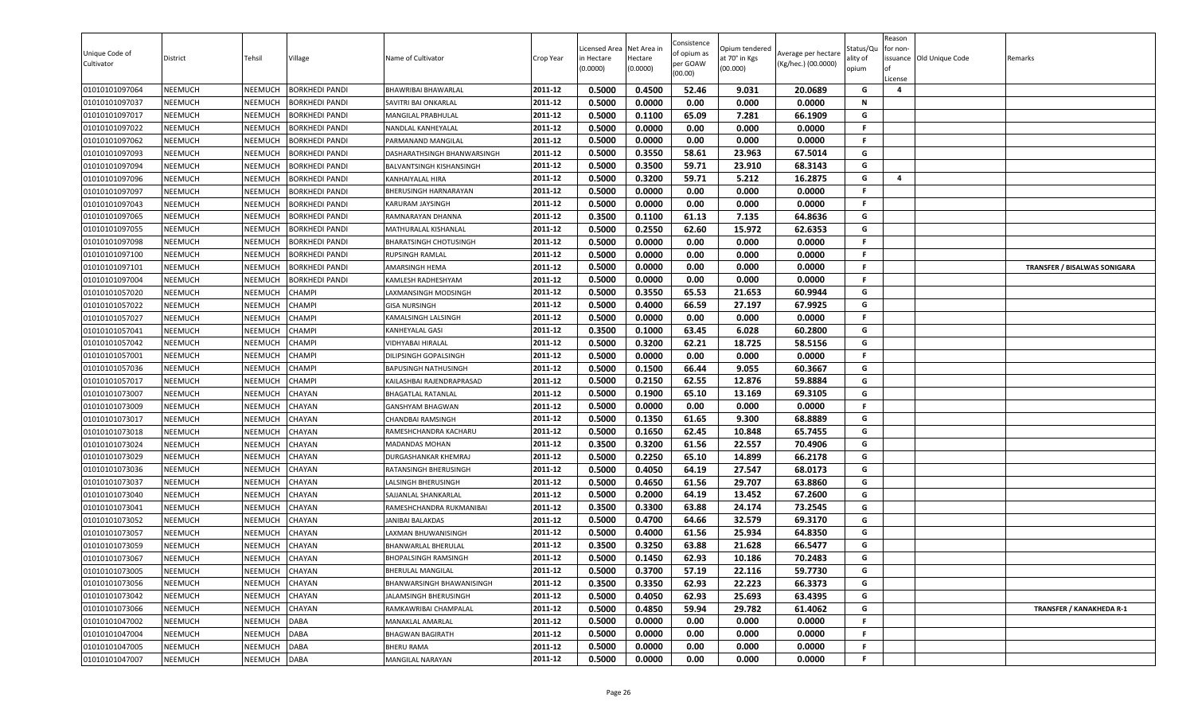| Unique Code of<br>Cultivator | District       | Tehsil         | Village               | Name of Cultivator            | Crop Year | Licensed Area<br>in Hectare<br>(0.0000) | Net Area in<br>Hectare<br>(0.0000) | Consistence<br>of opium as<br>per GOAW<br>(00.00) | Opium tendered<br>at 70° in Kgs<br>(00.000) | Average per hectare<br>(Kg/hec.) (00.0000) | Status/Qu<br>ality of<br>opium | Reason<br>for non-<br>ssuance Old Unique Code<br>License | Remarks                             |
|------------------------------|----------------|----------------|-----------------------|-------------------------------|-----------|-----------------------------------------|------------------------------------|---------------------------------------------------|---------------------------------------------|--------------------------------------------|--------------------------------|----------------------------------------------------------|-------------------------------------|
| 01010101097064               | <b>NEEMUCH</b> | NEEMUCH        | <b>BORKHEDI PANDI</b> | BHAWRIBAI BHAWARLAL           | 2011-12   | 0.5000                                  | 0.4500                             | 52.46                                             | 9.031                                       | 20.0689                                    | G                              | 4                                                        |                                     |
| 01010101097037               | <b>NEEMUCH</b> | NEEMUCH        | <b>BORKHEDI PANDI</b> | SAVITRI BAI ONKARLAL          | 2011-12   | 0.5000                                  | 0.0000                             | 0.00                                              | 0.000                                       | 0.0000                                     | N                              |                                                          |                                     |
| 01010101097017               | <b>NEEMUCH</b> | NEEMUCH        | <b>BORKHEDI PANDI</b> | MANGILAL PRABHULAL            | 2011-12   | 0.5000                                  | 0.1100                             | 65.09                                             | 7.281                                       | 66.1909                                    | G                              |                                                          |                                     |
| 01010101097022               | <b>NEEMUCH</b> | NEEMUCH        | <b>BORKHEDI PANDI</b> | NANDLAL KANHEYALAL            | 2011-12   | 0.5000                                  | 0.0000                             | 0.00                                              | 0.000                                       | 0.0000                                     | F.                             |                                                          |                                     |
| 01010101097062               | <b>NEEMUCH</b> | NEEMUCH        | <b>BORKHEDI PANDI</b> | PARMANAND MANGILAL            | 2011-12   | 0.5000                                  | 0.0000                             | 0.00                                              | 0.000                                       | 0.0000                                     | F.                             |                                                          |                                     |
| 01010101097093               | <b>NEEMUCH</b> | NEEMUCH        | <b>BORKHEDI PANDI</b> | DASHARATHSINGH BHANWARSINGH   | 2011-12   | 0.5000                                  | 0.3550                             | 58.61                                             | 23.963                                      | 67.5014                                    | G                              |                                                          |                                     |
| 01010101097094               | <b>NEEMUCH</b> | NEEMUCH        | <b>BORKHEDI PANDI</b> | BALVANTSINGH KISHANSINGH      | 2011-12   | 0.5000                                  | 0.3500                             | 59.71                                             | 23.910                                      | 68.3143                                    | G                              |                                                          |                                     |
| 01010101097096               | <b>NEEMUCH</b> | NEEMUCH        | <b>BORKHEDI PANDI</b> | <b>KANHAIYALAL HIRA</b>       | 2011-12   | 0.5000                                  | 0.3200                             | 59.71                                             | 5.212                                       | 16.2875                                    | G                              | 4                                                        |                                     |
| 01010101097097               | <b>NEEMUCH</b> | NEEMUCH        | <b>BORKHEDI PANDI</b> | BHERUSINGH HARNARAYAN         | 2011-12   | 0.5000                                  | 0.0000                             | 0.00                                              | 0.000                                       | 0.0000                                     | F.                             |                                                          |                                     |
| 01010101097043               | <b>NEEMUCH</b> | NEEMUCH        | <b>BORKHEDI PANDI</b> | KARURAM JAYSINGH              | 2011-12   | 0.5000                                  | 0.0000                             | 0.00                                              | 0.000                                       | 0.0000                                     | F.                             |                                                          |                                     |
| 01010101097065               | <b>NEEMUCH</b> | NEEMUCH        | <b>BORKHEDI PANDI</b> | RAMNARAYAN DHANNA             | 2011-12   | 0.3500                                  | 0.1100                             | 61.13                                             | 7.135                                       | 64.8636                                    | G                              |                                                          |                                     |
| 01010101097055               | <b>NEEMUCH</b> | NEEMUCH        | <b>BORKHEDI PANDI</b> | MATHURALAL KISHANLAL          | 2011-12   | 0.5000                                  | 0.2550                             | 62.60                                             | 15.972                                      | 62.6353                                    | G                              |                                                          |                                     |
| 01010101097098               | <b>NEEMUCH</b> | <b>NEEMUCH</b> | <b>BORKHEDI PANDI</b> | <b>BHARATSINGH CHOTUSINGH</b> | 2011-12   | 0.5000                                  | 0.0000                             | 0.00                                              | 0.000                                       | 0.0000                                     | F.                             |                                                          |                                     |
| 01010101097100               | <b>NEEMUCH</b> | NEEMUCH        | <b>BORKHEDI PANDI</b> | RUPSINGH RAMLAL               | 2011-12   | 0.5000                                  | 0.0000                             | 0.00                                              | 0.000                                       | 0.0000                                     | F.                             |                                                          |                                     |
| 01010101097101               | <b>NEEMUCH</b> | NEEMUCH        | <b>BORKHEDI PANDI</b> | AMARSINGH HEMA                | 2011-12   | 0.5000                                  | 0.0000                             | 0.00                                              | 0.000                                       | 0.0000                                     | F.                             |                                                          | <b>TRANSFER / BISALWAS SONIGARA</b> |
| 01010101097004               | <b>NEEMUCH</b> | NEEMUCH        | <b>BORKHEDI PANDI</b> | KAMLESH RADHESHYAM            | 2011-12   | 0.5000                                  | 0.0000                             | 0.00                                              | 0.000                                       | 0.0000                                     | F.                             |                                                          |                                     |
| 01010101057020               | <b>NEEMUCH</b> | NEEMUCH        | <b>CHAMPI</b>         | LAXMANSINGH MODSINGH          | 2011-12   | 0.5000                                  | 0.3550                             | 65.53                                             | 21.653                                      | 60.9944                                    | G                              |                                                          |                                     |
| 01010101057022               | <b>NEEMUCH</b> | NEEMUCH        | <b>CHAMPI</b>         | <b>GISA NURSINGH</b>          | 2011-12   | 0.5000                                  | 0.4000                             | 66.59                                             | 27.197                                      | 67.9925                                    | G                              |                                                          |                                     |
| 01010101057027               | <b>NEEMUCH</b> | NEEMUCH        | <b>CHAMPI</b>         | KAMALSINGH LALSINGH           | 2011-12   | 0.5000                                  | 0.0000                             | 0.00                                              | 0.000                                       | 0.0000                                     | -F                             |                                                          |                                     |
| 01010101057041               | <b>NEEMUCH</b> | NEEMUCH        | <b>CHAMPI</b>         | KANHEYALAL GASI               | 2011-12   | 0.3500                                  | 0.1000                             | 63.45                                             | 6.028                                       | 60.2800                                    | G                              |                                                          |                                     |
| 01010101057042               | <b>NEEMUCH</b> | NEEMUCH        | <b>CHAMPI</b>         | <b>JIDHYABAI HIRALAL</b>      | 2011-12   | 0.5000                                  | 0.3200                             | 62.21                                             | 18.725                                      | 58.5156                                    | G                              |                                                          |                                     |
| 01010101057001               | <b>NEEMUCH</b> | NEEMUCH        | <b>CHAMPI</b>         | DILIPSINGH GOPALSINGH         | 2011-12   | 0.5000                                  | 0.0000                             | 0.00                                              | 0.000                                       | 0.0000                                     | F.                             |                                                          |                                     |
| 01010101057036               | <b>NEEMUCH</b> | NEEMUCH        | <b>CHAMPI</b>         | <b>BAPUSINGH NATHUSINGH</b>   | 2011-12   | 0.5000                                  | 0.1500                             | 66.44                                             | 9.055                                       | 60.3667                                    | G                              |                                                          |                                     |
| 01010101057017               | <b>NEEMUCH</b> | NEEMUCH        | <b>CHAMPI</b>         | KAILASHBAI RAJENDRAPRASAD     | 2011-12   | 0.5000                                  | 0.2150                             | 62.55                                             | 12.876                                      | 59.8884                                    | G                              |                                                          |                                     |
| 01010101073007               | <b>NEEMUCH</b> | NEEMUCH        | CHAYAN                | BHAGATLAL RATANLAL            | 2011-12   | 0.5000                                  | 0.1900                             | 65.10                                             | 13.169                                      | 69.3105                                    | G                              |                                                          |                                     |
| 01010101073009               | <b>NEEMUCH</b> | NEEMUCH        | <b>CHAYAN</b>         | <b>GANSHYAM BHAGWAN</b>       | 2011-12   | 0.5000                                  | 0.0000                             | 0.00                                              | 0.000                                       | 0.0000                                     | F.                             |                                                          |                                     |
| 01010101073017               | <b>NEEMUCH</b> | NEEMUCH        | <b>CHAYAN</b>         | CHANDBAI RAMSINGH             | 2011-12   | 0.5000                                  | 0.1350                             | 61.65                                             | 9.300                                       | 68.8889                                    | G                              |                                                          |                                     |
| 01010101073018               | <b>NEEMUCH</b> | NEEMUCH        | <b>CHAYAN</b>         | RAMESHCHANDRA KACHARU         | 2011-12   | 0.5000                                  | 0.1650                             | 62.45                                             | 10.848                                      | 65.7455                                    | G                              |                                                          |                                     |
| 01010101073024               | <b>NEEMUCH</b> | NEEMUCH        | <b>CHAYAN</b>         | MADANDAS MOHAN                | 2011-12   | 0.3500                                  | 0.3200                             | 61.56                                             | 22.557                                      | 70.4906                                    | G                              |                                                          |                                     |
| 01010101073029               | <b>NEEMUCH</b> | NEEMUCH        | CHAYAN                | DURGASHANKAR KHEMRAJ          | 2011-12   | 0.5000                                  | 0.2250                             | 65.10                                             | 14.899                                      | 66.2178                                    | G                              |                                                          |                                     |
| 01010101073036               | <b>NEEMUCH</b> | NEEMUCH        | <b>CHAYAN</b>         | RATANSINGH BHERUSINGH         | 2011-12   | 0.5000                                  | 0.4050                             | 64.19                                             | 27.547                                      | 68.0173                                    | G                              |                                                          |                                     |
| 01010101073037               | <b>NEEMUCH</b> | <b>NEEMUCH</b> | <b>CHAYAN</b>         | LALSINGH BHERUSINGH           | 2011-12   | 0.5000                                  | 0.4650                             | 61.56                                             | 29.707                                      | 63.8860                                    | G                              |                                                          |                                     |
| 01010101073040               | <b>NEEMUCH</b> | NEEMUCH        | <b>CHAYAN</b>         | SAJJANLAL SHANKARLAL          | 2011-12   | 0.5000                                  | 0.2000                             | 64.19                                             | 13.452                                      | 67.2600                                    | G                              |                                                          |                                     |
| 01010101073041               | <b>NEEMUCH</b> | NEEMUCH        | <b>CHAYAN</b>         | RAMESHCHANDRA RUKMANIBAI      | 2011-12   | 0.3500                                  | 0.3300                             | 63.88                                             | 24.174                                      | 73.2545                                    | G                              |                                                          |                                     |
| 01010101073052               | <b>NEEMUCH</b> | NEEMUCH        | <b>CHAYAN</b>         | JANIBAI BALAKDAS              | 2011-12   | 0.5000                                  | 0.4700                             | 64.66                                             | 32.579                                      | 69.3170                                    | G                              |                                                          |                                     |
| 01010101073057               | <b>NEEMUCH</b> | <b>NEEMUCH</b> | <b>CHAYAN</b>         | LAXMAN BHUWANISINGH           | 2011-12   | 0.5000                                  | 0.4000                             | 61.56                                             | 25.934                                      | 64.8350                                    | G                              |                                                          |                                     |
| 01010101073059               | <b>NEEMUCH</b> | NEEMUCH        | <b>CHAYAN</b>         | BHANWARLAL BHERULAL           | 2011-12   | 0.3500                                  | 0.3250                             | 63.88                                             | 21.628                                      | 66.5477                                    | G                              |                                                          |                                     |
| 01010101073067               | <b>NEEMUCH</b> | NEEMUCH        | <b>CHAYAN</b>         | <b>BHOPALSINGH RAMSINGH</b>   | 2011-12   | 0.5000                                  | 0.1450                             | 62.93                                             | 10.186                                      | 70.2483                                    | G                              |                                                          |                                     |
| 01010101073005               | <b>NEEMUCH</b> | NEEMUCH        | CHAYAN                | BHERULAL MANGILAL             | 2011-12   | 0.5000                                  | 0.3700                             | 57.19                                             | 22.116                                      | 59.7730                                    | G                              |                                                          |                                     |
| 01010101073056               | <b>NEEMUCH</b> | NEEMUCH        | CHAYAN                | BHANWARSINGH BHAWANISINGH     | 2011-12   | 0.3500                                  | 0.3350                             | 62.93                                             | 22.223                                      | 66.3373                                    | G                              |                                                          |                                     |
| 01010101073042               | <b>NEEMUCH</b> | NEEMUCH        | CHAYAN                | JALAMSINGH BHERUSINGH         | 2011-12   | 0.5000                                  | 0.4050                             | 62.93                                             | 25.693                                      | 63.4395                                    | G                              |                                                          |                                     |
| 01010101073066               | <b>NEEMUCH</b> | NEEMUCH        | CHAYAN                | RAMKAWRIBAI CHAMPALAL         | 2011-12   | 0.5000                                  | 0.4850                             | 59.94                                             | 29.782                                      | 61.4062                                    | G                              |                                                          | <b>TRANSFER / KANAKHEDA R-1</b>     |
| 01010101047002               | <b>NEEMUCH</b> | NEEMUCH        | <b>DABA</b>           | MANAKLAL AMARLAL              | 2011-12   | 0.5000                                  | 0.0000                             | 0.00                                              | 0.000                                       | 0.0000                                     | -F                             |                                                          |                                     |
| 01010101047004               | <b>NEEMUCH</b> | NEEMUCH        | <b>DABA</b>           | <b>BHAGWAN BAGIRATH</b>       | 2011-12   | 0.5000                                  | 0.0000                             | 0.00                                              | 0.000                                       | 0.0000                                     | .F                             |                                                          |                                     |
| 01010101047005               | <b>NEEMUCH</b> | NEEMUCH        | <b>DABA</b>           | <b>BHERU RAMA</b>             | 2011-12   | 0.5000                                  | 0.0000                             | 0.00                                              | 0.000                                       | 0.0000                                     | -F                             |                                                          |                                     |
| 01010101047007               | <b>NEEMUCH</b> | NEEMUCH DABA   |                       | MANGILAL NARAYAN              | 2011-12   | 0.5000                                  | 0.0000                             | 0.00                                              | 0.000                                       | 0.0000                                     | F.                             |                                                          |                                     |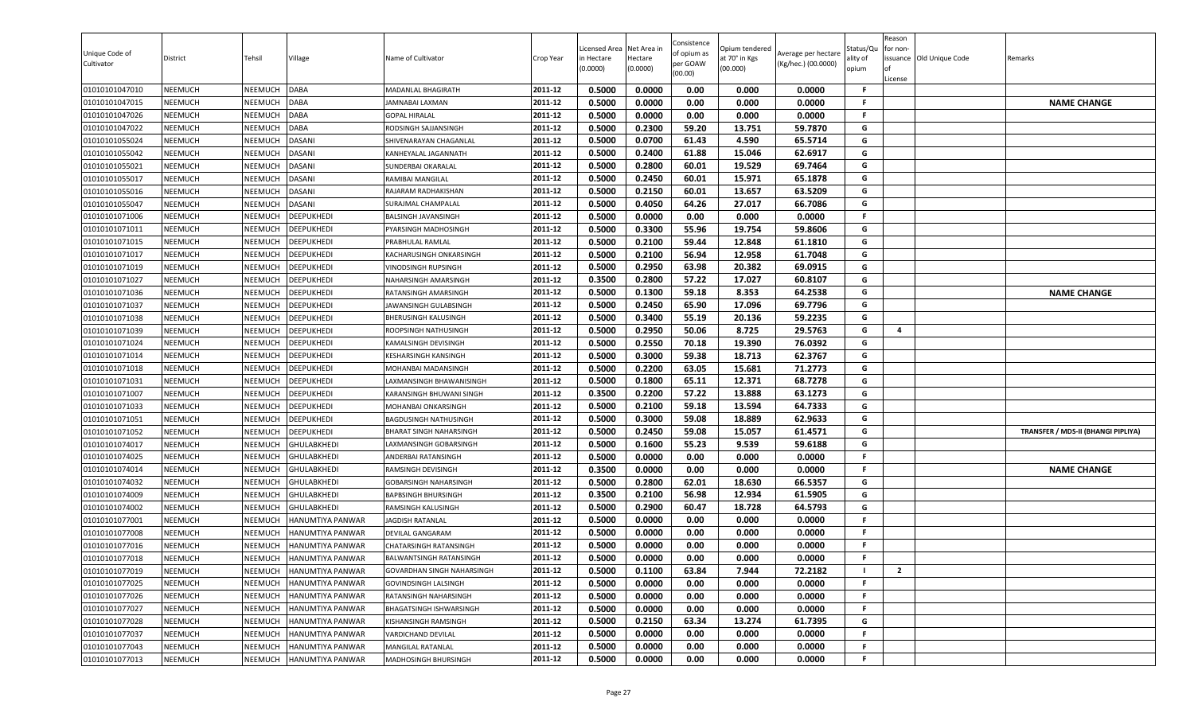| Unique Code of<br>Cultivator | District       | Tehsil         | Village                 | Name of Cultivator             | Crop Year | Licensed Area<br>in Hectare<br>(0.0000) | Net Area in<br>Hectare<br>(0.0000) | Consistence<br>of opium as<br>per GOAW<br>(00.00) | Opium tendered<br>at 70° in Kgs<br>(00.000) | Average per hectare<br>(Kg/hec.) (00.0000) | Status/Qu<br>ality of<br>opium | Reason<br>for non-<br>ssuance Old Unique Code<br>License | Remarks                            |
|------------------------------|----------------|----------------|-------------------------|--------------------------------|-----------|-----------------------------------------|------------------------------------|---------------------------------------------------|---------------------------------------------|--------------------------------------------|--------------------------------|----------------------------------------------------------|------------------------------------|
| 01010101047010               | <b>NEEMUCH</b> | NEEMUCH        | <b>DABA</b>             | MADANLAL BHAGIRATH             | 2011-12   | 0.5000                                  | 0.0000                             | 0.00                                              | 0.000                                       | 0.0000                                     | -F                             |                                                          |                                    |
| 01010101047015               | <b>NEEMUCH</b> | NEEMUCH        | <b>DABA</b>             | IAMNABAI LAXMAN                | 2011-12   | 0.5000                                  | 0.0000                             | 0.00                                              | 0.000                                       | 0.0000                                     | -F                             |                                                          | <b>NAME CHANGE</b>                 |
| 01010101047026               | <b>NEEMUCH</b> | NEEMUCH        | <b>DABA</b>             | <b>GOPAL HIRALAL</b>           | 2011-12   | 0.5000                                  | 0.0000                             | 0.00                                              | 0.000                                       | 0.0000                                     | F.                             |                                                          |                                    |
| 01010101047022               | <b>NEEMUCH</b> | NEEMUCH        | <b>DABA</b>             | RODSINGH SAJJANSINGH           | 2011-12   | 0.5000                                  | 0.2300                             | 59.20                                             | 13.751                                      | 59.7870                                    | G                              |                                                          |                                    |
| 01010101055024               | <b>NEEMUCH</b> | NEEMUCH        | <b>DASANI</b>           | SHIVENARAYAN CHAGANLAL         | 2011-12   | 0.5000                                  | 0.0700                             | 61.43                                             | 4.590                                       | 65.5714                                    | G                              |                                                          |                                    |
| 01010101055042               | <b>NEEMUCH</b> | NEEMUCH        | <b>DASANI</b>           | KANHEYALAL JAGANNATH           | 2011-12   | 0.5000                                  | 0.2400                             | 61.88                                             | 15.046                                      | 62.6917                                    | G                              |                                                          |                                    |
| 01010101055021               | <b>NEEMUCH</b> | NEEMUCH        | <b>DASANI</b>           | SUNDERBAI OKARALAL             | 2011-12   | 0.5000                                  | 0.2800                             | 60.01                                             | 19.529                                      | 69.7464                                    | G                              |                                                          |                                    |
| 01010101055017               | <b>NEEMUCH</b> | NEEMUCH        | <b>DASANI</b>           | RAMIBAI MANGILAL               | 2011-12   | 0.5000                                  | 0.2450                             | 60.01                                             | 15.971                                      | 65.1878                                    | G                              |                                                          |                                    |
| 01010101055016               | <b>NEEMUCH</b> | NEEMUCH        | <b>DASANI</b>           | RAJARAM RADHAKISHAN            | 2011-12   | 0.5000                                  | 0.2150                             | 60.01                                             | 13.657                                      | 63.5209                                    | G                              |                                                          |                                    |
| 01010101055047               | <b>NEEMUCH</b> | NEEMUCH        | <b>DASANI</b>           | <b>SURAJMAL CHAMPALAI</b>      | 2011-12   | 0.5000                                  | 0.4050                             | 64.26                                             | 27.017                                      | 66.7086                                    | G                              |                                                          |                                    |
| 01010101071006               | <b>NEEMUCH</b> | NEEMUCH        | DEEPUKHEDI              | BALSINGH JAVANSINGH            | 2011-12   | 0.5000                                  | 0.0000                             | 0.00                                              | 0.000                                       | 0.0000                                     | F.                             |                                                          |                                    |
| 01010101071011               | <b>NEEMUCH</b> | NEEMUCH        | <b>DEEPUKHEDI</b>       | PYARSINGH MADHOSINGH           | 2011-12   | 0.5000                                  | 0.3300                             | 55.96                                             | 19.754                                      | 59.8606                                    | G                              |                                                          |                                    |
| 01010101071015               | <b>NEEMUCH</b> | <b>NEEMUCH</b> | <b>DEEPUKHEDI</b>       | PRABHULAL RAMLAL               | 2011-12   | 0.5000                                  | 0.2100                             | 59.44                                             | 12.848                                      | 61.1810                                    | G                              |                                                          |                                    |
| 01010101071017               | <b>NEEMUCH</b> | NEEMUCH        | <b>DEEPUKHEDI</b>       | KACHARUSINGH ONKARSINGH        | 2011-12   | 0.5000                                  | 0.2100                             | 56.94                                             | 12.958                                      | 61.7048                                    | G                              |                                                          |                                    |
| 01010101071019               | <b>NEEMUCH</b> | NEEMUCH        | <b>DEEPUKHEDI</b>       | VINODSINGH RUPSINGH            | 2011-12   | 0.5000                                  | 0.2950                             | 63.98                                             | 20.382                                      | 69.0915                                    | G                              |                                                          |                                    |
| 01010101071027               | <b>NEEMUCH</b> | NEEMUCH        | <b>DEEPUKHEDI</b>       | NAHARSINGH AMARSINGH           | 2011-12   | 0.3500                                  | 0.2800                             | 57.22                                             | 17.027                                      | 60.8107                                    | G                              |                                                          |                                    |
| 01010101071036               | <b>NEEMUCH</b> | NEEMUCH        | <b>DEEPUKHEDI</b>       | RATANSINGH AMARSINGH           | 2011-12   | 0.5000                                  | 0.1300                             | 59.18                                             | 8.353                                       | 64.2538                                    | G                              |                                                          | <b>NAME CHANGE</b>                 |
| 01010101071037               | <b>NEEMUCH</b> | NEEMUCH        | <b>DEEPUKHEDI</b>       | JAWANSINGH GULABSINGH          | 2011-12   | 0.5000                                  | 0.2450                             | 65.90                                             | 17.096                                      | 69.7796                                    | G                              |                                                          |                                    |
| 01010101071038               | <b>NEEMUCH</b> | NEEMUCH        | <b>DEEPUKHEDI</b>       | <b>BHERUSINGH KALUSINGH</b>    | 2011-12   | 0.5000                                  | 0.3400                             | 55.19                                             | 20.136                                      | 59.2235                                    | G                              |                                                          |                                    |
| 01010101071039               | <b>NEEMUCH</b> | NEEMUCH        | <b>DEEPUKHEDI</b>       | ROOPSINGH NATHUSINGH           | 2011-12   | 0.5000                                  | 0.2950                             | 50.06                                             | 8.725                                       | 29.5763                                    | G                              | 4                                                        |                                    |
| 01010101071024               | <b>NEEMUCH</b> | NEEMUCH        | <b>DEEPUKHEDI</b>       | KAMALSINGH DEVISINGH           | 2011-12   | 0.5000                                  | 0.2550                             | 70.18                                             | 19.390                                      | 76.0392                                    | G                              |                                                          |                                    |
| 01010101071014               | <b>NEEMUCH</b> | NEEMUCH        | <b>DEEPUKHEDI</b>       | <b>KESHARSINGH KANSINGH</b>    | 2011-12   | 0.5000                                  | 0.3000                             | 59.38                                             | 18.713                                      | 62.3767                                    | G                              |                                                          |                                    |
| 01010101071018               | <b>NEEMUCH</b> | NEEMUCH        | <b>DEEPUKHEDI</b>       | MOHANBAI MADANSINGH            | 2011-12   | 0.5000                                  | 0.2200                             | 63.05                                             | 15.681                                      | 71.2773                                    | G                              |                                                          |                                    |
| 01010101071031               | <b>NEEMUCH</b> | NEEMUCH        | <b>DEEPUKHEDI</b>       | LAXMANSINGH BHAWANISINGH       | 2011-12   | 0.5000                                  | 0.1800                             | 65.11                                             | 12.371                                      | 68.7278                                    | G                              |                                                          |                                    |
| 01010101071007               | <b>NEEMUCH</b> | NEEMUCH        | <b>DEEPUKHEDI</b>       | KARANSINGH BHUWANI SINGH       | 2011-12   | 0.3500                                  | 0.2200                             | 57.22                                             | 13.888                                      | 63.1273                                    | G                              |                                                          |                                    |
| 01010101071033               | <b>NEEMUCH</b> | NEEMUCH        | <b>DEEPUKHEDI</b>       | MOHANBAI ONKARSINGH            | 2011-12   | 0.5000                                  | 0.2100                             | 59.18                                             | 13.594                                      | 64.7333                                    | G                              |                                                          |                                    |
| 01010101071051               | <b>NEEMUCH</b> | NEEMUCH        | <b>DEEPUKHEDI</b>       | <b>BAGDUSINGH NATHUSINGH</b>   | 2011-12   | 0.5000                                  | 0.3000                             | 59.08                                             | 18.889                                      | 62.9633                                    | G                              |                                                          |                                    |
| 01010101071052               | <b>NEEMUCH</b> | NEEMUCH        | <b>DEEPUKHEDI</b>       | BHARAT SINGH NAHARSINGH        | 2011-12   | 0.5000                                  | 0.2450                             | 59.08                                             | 15.057                                      | 61.4571                                    | G                              |                                                          | TRANSFER / MDS-II (BHANGI PIPLIYA) |
| 01010101074017               | <b>NEEMUCH</b> | NEEMUCH        | <b>GHULABKHEDI</b>      | LAXMANSINGH GOBARSINGH         | 2011-12   | 0.5000                                  | 0.1600                             | 55.23                                             | 9.539                                       | 59.6188                                    | G                              |                                                          |                                    |
| 01010101074025               | <b>NEEMUCH</b> | NEEMUCH        | <b>GHULABKHEDI</b>      | ANDERBAI RATANSINGH            | 2011-12   | 0.5000                                  | 0.0000                             | 0.00                                              | 0.000                                       | 0.0000                                     | F.                             |                                                          |                                    |
| 01010101074014               | <b>NEEMUCH</b> | NEEMUCH        | <b>GHULABKHEDI</b>      | RAMSINGH DEVISINGH             | 2011-12   | 0.3500                                  | 0.0000                             | 0.00                                              | 0.000                                       | 0.0000                                     | F.                             |                                                          | <b>NAME CHANGE</b>                 |
| 01010101074032               | <b>NEEMUCH</b> | <b>NEEMUCH</b> | <b>GHULABKHEDI</b>      | <b>GOBARSINGH NAHARSINGH</b>   | 2011-12   | 0.5000                                  | 0.2800                             | 62.01                                             | 18.630                                      | 66.5357                                    | G                              |                                                          |                                    |
| 01010101074009               | <b>NEEMUCH</b> | NEEMUCH        | <b>GHULABKHEDI</b>      | <b>BAPBSINGH BHURSINGH</b>     | 2011-12   | 0.3500                                  | 0.2100                             | 56.98                                             | 12.934                                      | 61.5905                                    | G                              |                                                          |                                    |
| 01010101074002               | <b>NEEMUCH</b> | NEEMUCH        | <b>GHULABKHEDI</b>      | RAMSINGH KALUSINGH             | 2011-12   | 0.5000                                  | 0.2900                             | 60.47                                             | 18.728                                      | 64.5793                                    | G                              |                                                          |                                    |
| 01010101077001               | <b>NEEMUCH</b> | NEEMUCH        | HANUMTIYA PANWAR        | <b>JAGDISH RATANLAL</b>        | 2011-12   | 0.5000                                  | 0.0000                             | 0.00                                              | 0.000                                       | 0.0000                                     | F.                             |                                                          |                                    |
| 01010101077008               | <b>NEEMUCH</b> | <b>NEEMUCH</b> | HANUMTIYA PANWAR        | <b>DEVILAL GANGARAM</b>        | 2011-12   | 0.5000                                  | 0.0000                             | 0.00                                              | 0.000                                       | 0.0000                                     | F.                             |                                                          |                                    |
| 01010101077016               | <b>NEEMUCH</b> | NEEMUCH        | HANUMTIYA PANWAR        | CHATARSINGH RATANSINGH         | 2011-12   | 0.5000                                  | 0.0000                             | 0.00                                              | 0.000                                       | 0.0000                                     | F.                             |                                                          |                                    |
| 01010101077018               | <b>NEEMUCH</b> | NEEMUCH        | <b>HANUMTIYA PANWAR</b> | <b>BALWANTSINGH RATANSINGH</b> | 2011-12   | 0.5000                                  | 0.0000                             | 0.00                                              | 0.000                                       | 0.0000                                     | F.                             |                                                          |                                    |
| 01010101077019               | <b>NEEMUCH</b> | NEEMUCH        | HANUMTIYA PANWAR        | GOVARDHAN SINGH NAHARSINGH     | 2011-12   | 0.5000                                  | 0.1100                             | 63.84                                             | 7.944                                       | 72.2182                                    |                                | $\overline{2}$                                           |                                    |
| 01010101077025               | <b>NEEMUCH</b> | NEEMUCH        | HANUMTIYA PANWAR        | <b>GOVINDSINGH LALSINGH</b>    | 2011-12   | 0.5000                                  | 0.0000                             | 0.00                                              | 0.000                                       | 0.0000                                     | F                              |                                                          |                                    |
| 01010101077026               | <b>NEEMUCH</b> | NEEMUCH        | HANUMTIYA PANWAR        | RATANSINGH NAHARSINGH          | 2011-12   | 0.5000                                  | 0.0000                             | 0.00                                              | 0.000                                       | 0.0000                                     | -F                             |                                                          |                                    |
| 01010101077027               | <b>NEEMUCH</b> | NEEMUCH        | HANUMTIYA PANWAR        | BHAGATSINGH ISHWARSINGH        | 2011-12   | 0.5000                                  | 0.0000                             | 0.00                                              | 0.000                                       | 0.0000                                     | -F                             |                                                          |                                    |
| 01010101077028               | <b>NEEMUCH</b> | NEEMUCH        | HANUMTIYA PANWAR        | KISHANSINGH RAMSINGH           | 2011-12   | 0.5000                                  | 0.2150                             | 63.34                                             | 13.274                                      | 61.7395                                    | G                              |                                                          |                                    |
| 01010101077037               | <b>NEEMUCH</b> | NEEMUCH        | HANUMTIYA PANWAR        | VARDICHAND DEVILAL             | 2011-12   | 0.5000                                  | 0.0000                             | 0.00                                              | 0.000                                       | 0.0000                                     | .F                             |                                                          |                                    |
| 01010101077043               | <b>NEEMUCH</b> | <b>NEEMUCH</b> | HANUMTIYA PANWAR        | MANGILAL RATANLAL              | 2011-12   | 0.5000                                  | 0.0000                             | 0.00                                              | 0.000                                       | 0.0000                                     | F.                             |                                                          |                                    |
| 01010101077013               | <b>NEEMUCH</b> | NEEMUCH        | HANUMTIYA PANWAR        | MADHOSINGH BHURSINGH           | 2011-12   | 0.5000                                  | 0.0000                             | 0.00                                              | 0.000                                       | 0.0000                                     | F.                             |                                                          |                                    |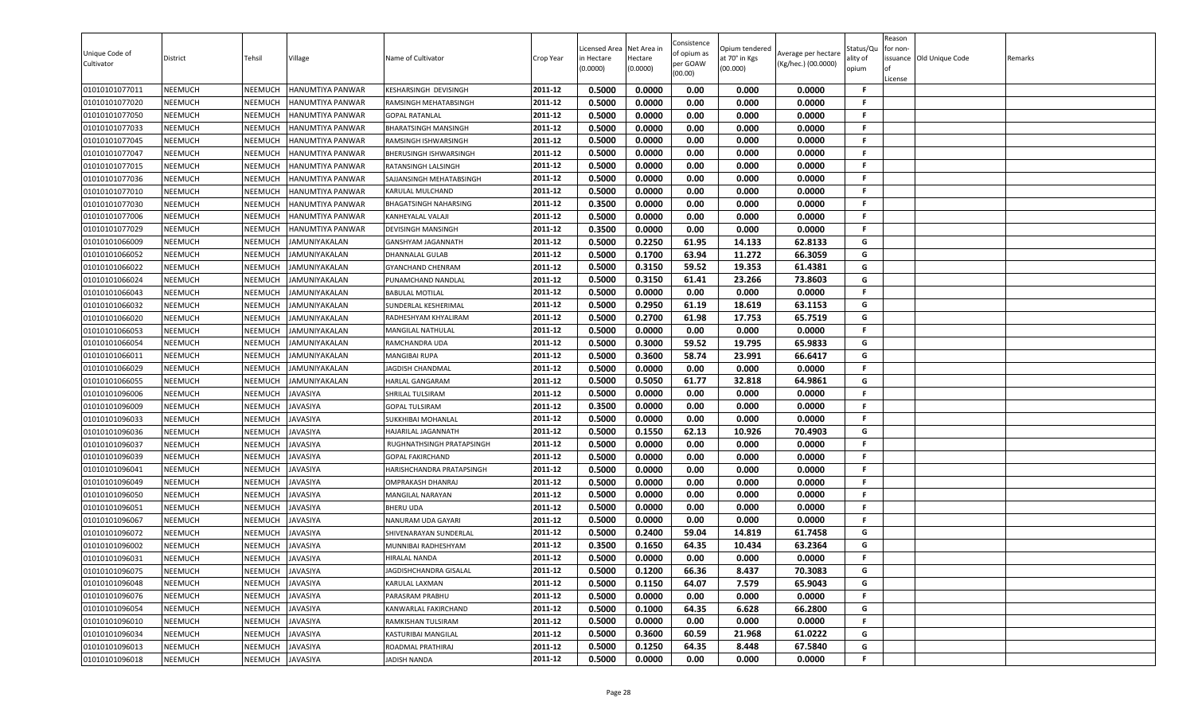| Unique Code of<br>Cultivator | District       | Tehsil         | Village              | Name of Cultivator            | Crop Year | Licensed Area<br>in Hectare<br>(0.0000) | Net Area in<br>Hectare<br>(0.0000) | Consistence<br>of opium as<br>per GOAW<br>(00.00) | Opium tendered<br>at 70° in Kgs<br>(00.000) | Average per hectare<br>(Kg/hec.) (00.0000) | Status/Qu<br>ality of<br>opium | Reason<br>for non-<br>License | issuance Old Unique Code | Remarks |
|------------------------------|----------------|----------------|----------------------|-------------------------------|-----------|-----------------------------------------|------------------------------------|---------------------------------------------------|---------------------------------------------|--------------------------------------------|--------------------------------|-------------------------------|--------------------------|---------|
| 01010101077011               | NEEMUCH        | NEEMUCH        | HANUMTIYA PANWAR     | KESHARSINGH DEVISINGH         | 2011-12   | 0.5000                                  | 0.0000                             | 0.00                                              | 0.000                                       | 0.0000                                     | -F                             |                               |                          |         |
| 01010101077020               | <b>NEEMUCH</b> | NEEMUCH        | HANUMTIYA PANWAR     | RAMSINGH MEHATABSINGH         | 2011-12   | 0.5000                                  | 0.0000                             | 0.00                                              | 0.000                                       | 0.0000                                     | F.                             |                               |                          |         |
| 01010101077050               | <b>NEEMUCH</b> | NEEMUCH        | HANUMTIYA PANWAR     | <b>GOPAL RATANLAL</b>         | 2011-12   | 0.5000                                  | 0.0000                             | 0.00                                              | 0.000                                       | 0.0000                                     | F.                             |                               |                          |         |
| 01010101077033               | <b>NEEMUCH</b> | NEEMUCH        | HANUMTIYA PANWAR     | <b>BHARATSINGH MANSINGH</b>   | 2011-12   | 0.5000                                  | 0.0000                             | 0.00                                              | 0.000                                       | 0.0000                                     | F.                             |                               |                          |         |
| 01010101077045               | NEEMUCH        | NEEMUCH        | HANUMTIYA PANWAR     | RAMSINGH ISHWARSINGH          | 2011-12   | 0.5000                                  | 0.0000                             | 0.00                                              | 0.000                                       | 0.0000                                     | F.                             |                               |                          |         |
| 01010101077047               | <b>NEEMUCH</b> | NEEMUCH        | HANUMTIYA PANWAR     | <b>BHERUSINGH ISHWARSINGH</b> | 2011-12   | 0.5000                                  | 0.0000                             | 0.00                                              | 0.000                                       | 0.0000                                     | F.                             |                               |                          |         |
| 01010101077015               | <b>NEEMUCH</b> | NEEMUCH        | HANUMTIYA PANWAR     | RATANSINGH LALSINGH           | 2011-12   | 0.5000                                  | 0.0000                             | 0.00                                              | 0.000                                       | 0.0000                                     | F.                             |                               |                          |         |
| 01010101077036               | NEEMUCH        | NEEMUCH        | HANUMTIYA PANWAR     | SAJJANSINGH MEHATABSINGH      | 2011-12   | 0.5000                                  | 0.0000                             | 0.00                                              | 0.000                                       | 0.0000                                     | F.                             |                               |                          |         |
| 01010101077010               | NEEMUCH        | NEEMUCH        | HANUMTIYA PANWAR     | KARULAL MULCHAND              | 2011-12   | 0.5000                                  | 0.0000                             | 0.00                                              | 0.000                                       | 0.0000                                     | F.                             |                               |                          |         |
| 01010101077030               | NEEMUCH        | NEEMUCH        | HANUMTIYA PANWAR     | BHAGATSINGH NAHARSING         | 2011-12   | 0.3500                                  | 0.0000                             | 0.00                                              | 0.000                                       | 0.0000                                     | F.                             |                               |                          |         |
| 01010101077006               | <b>NEEMUCH</b> | NEEMUCH        | HANUMTIYA PANWAR     | KANHEYALAL VALAJI             | 2011-12   | 0.5000                                  | 0.0000                             | 0.00                                              | 0.000                                       | 0.0000                                     | F.                             |                               |                          |         |
| 01010101077029               | <b>NEEMUCH</b> | NEEMUCH        | HANUMTIYA PANWAR     | <b>DEVISINGH MANSINGH</b>     | 2011-12   | 0.3500                                  | 0.0000                             | 0.00                                              | 0.000                                       | 0.0000                                     | F.                             |                               |                          |         |
| 01010101066009               | <b>NEEMUCH</b> | NEEMUCH        | JAMUNIYAKALAN        | GANSHYAM JAGANNATH            | 2011-12   | 0.5000                                  | 0.2250                             | 61.95                                             | 14.133                                      | 62.8133                                    | G                              |                               |                          |         |
| 01010101066052               | <b>NEEMUCH</b> | NEEMUCH        | JAMUNIYAKALAN        | DHANNALAL GULAB               | 2011-12   | 0.5000                                  | 0.1700                             | 63.94                                             | 11.272                                      | 66.3059                                    | G                              |                               |                          |         |
| 01010101066022               | <b>NEEMUCH</b> | NEEMUCH        | JAMUNIYAKALAN        | <b>GYANCHAND CHENRAM</b>      | 2011-12   | 0.5000                                  | 0.3150                             | 59.52                                             | 19.353                                      | 61.4381                                    | G                              |                               |                          |         |
| 01010101066024               | <b>NEEMUCH</b> | NEEMUCH        | JAMUNIYAKALAN        | PUNAMCHAND NANDLAL            | 2011-12   | 0.5000                                  | 0.3150                             | 61.41                                             | 23.266                                      | 73.8603                                    | G                              |                               |                          |         |
| 01010101066043               | NEEMUCH        | NEEMUCH        | <b>JAMUNIYAKALAN</b> | <b>BABULAL MOTILAL</b>        | 2011-12   | 0.5000                                  | 0.0000                             | 0.00                                              | 0.000                                       | 0.0000                                     | F.                             |                               |                          |         |
| 01010101066032               | <b>NEEMUCH</b> | NEEMUCH        | AMUNIYAKALAN         | SUNDERLAL KESHERIMAL          | 2011-12   | 0.5000                                  | 0.2950                             | 61.19                                             | 18.619                                      | 63.1153                                    | G                              |                               |                          |         |
| 01010101066020               | NEEMUCH        | NEEMUCH        | <b>JAMUNIYAKALAN</b> | RADHESHYAM KHYALIRAM          | 2011-12   | 0.5000                                  | 0.2700                             | 61.98                                             | 17.753                                      | 65.7519                                    | G                              |                               |                          |         |
| 01010101066053               | <b>NEEMUCH</b> | NEEMUCH        | <b>JAMUNIYAKALAN</b> | <b>MANGILAL NATHULAL</b>      | 2011-12   | 0.5000                                  | 0.0000                             | 0.00                                              | 0.000                                       | 0.0000                                     | F.                             |                               |                          |         |
| 01010101066054               | <b>NEEMUCH</b> | NEEMUCH        | JAMUNIYAKALAN        | RAMCHANDRA UDA                | 2011-12   | 0.5000                                  | 0.3000                             | 59.52                                             | 19.795                                      | 65.9833                                    | G                              |                               |                          |         |
| 01010101066011               | NEEMUCH        | NEEMUCH        | JAMUNIYAKALAN        | <b>MANGIBAI RUPA</b>          | 2011-12   | 0.5000                                  | 0.3600                             | 58.74                                             | 23.991                                      | 66.6417                                    | G                              |                               |                          |         |
| 01010101066029               | <b>NEEMUCH</b> | NEEMUCH        | <b>JAMUNIYAKALAN</b> | <b>JAGDISH CHANDMAL</b>       | 2011-12   | 0.5000                                  | 0.0000                             | 0.00                                              | 0.000                                       | 0.0000                                     | F.                             |                               |                          |         |
| 01010101066055               | NEEMUCH        | NEEMUCH        | <b>JAMUNIYAKALAN</b> | HARLAL GANGARAM               | 2011-12   | 0.5000                                  | 0.5050                             | 61.77                                             | 32.818                                      | 64.9861                                    | G                              |                               |                          |         |
| 01010101096006               | <b>NEEMUCH</b> | NEEMUCH        | JAVASIYA             | SHRILAL TULSIRAM              | 2011-12   | 0.5000                                  | 0.0000                             | 0.00                                              | 0.000                                       | 0.0000                                     | F.                             |                               |                          |         |
| 01010101096009               | NEEMUCH        | NEEMUCH        | <b>JAVASIYA</b>      | <b>GOPAL TULSIRAM</b>         | 2011-12   | 0.3500                                  | 0.0000                             | 0.00                                              | 0.000                                       | 0.0000                                     | F.                             |                               |                          |         |
| 01010101096033               | <b>NEEMUCH</b> | NEEMUCH        | JAVASIYA             | SUKKHIBAI MOHANLAL            | 2011-12   | 0.5000                                  | 0.0000                             | 0.00                                              | 0.000                                       | 0.0000                                     | F.                             |                               |                          |         |
| 01010101096036               | <b>NEEMUCH</b> | NEEMUCH        | JAVASIYA             | HAJARILAL JAGANNATH           | 2011-12   | 0.5000                                  | 0.1550                             | 62.13                                             | 10.926                                      | 70.4903                                    | G                              |                               |                          |         |
| 01010101096037               | <b>NEEMUCH</b> | NEEMUCH        | JAVASIYA             | RUGHNATHSINGH PRATAPSINGH     | 2011-12   | 0.5000                                  | 0.0000                             | 0.00                                              | 0.000                                       | 0.0000                                     | .F.                            |                               |                          |         |
| 01010101096039               | <b>NEEMUCH</b> | NEEMUCH        | JAVASIYA             | <b>GOPAL FAKIRCHAND</b>       | 2011-12   | 0.5000                                  | 0.0000                             | 0.00                                              | 0.000                                       | 0.0000                                     | F.                             |                               |                          |         |
| 01010101096041               | <b>NEEMUCH</b> | NEEMUCH        | <b>JAVASIYA</b>      | HARISHCHANDRA PRATAPSINGH     | 2011-12   | 0.5000                                  | 0.0000                             | 0.00                                              | 0.000                                       | 0.0000                                     | F.                             |                               |                          |         |
| 01010101096049               | <b>NEEMUCH</b> | NEEMUCH        | JAVASIYA             | <b>OMPRAKASH DHANRAJ</b>      | 2011-12   | 0.5000                                  | 0.0000                             | 0.00                                              | 0.000                                       | 0.0000                                     | F.                             |                               |                          |         |
| 01010101096050               | <b>NEEMUCH</b> | NEEMUCH        | <b>JAVASIYA</b>      | <b>MANGILAL NARAYAN</b>       | 2011-12   | 0.5000                                  | 0.0000                             | 0.00                                              | 0.000                                       | 0.0000                                     | F.                             |                               |                          |         |
| 01010101096051               | <b>NEEMUCH</b> | NEEMUCH        | JAVASIYA             | <b>BHERU UDA</b>              | 2011-12   | 0.5000                                  | 0.0000                             | 0.00                                              | 0.000                                       | 0.0000                                     | F.                             |                               |                          |         |
| 01010101096067               | NEEMUCH        | NEEMUCH        | <b>JAVASIYA</b>      | NANURAM UDA GAYARI            | 2011-12   | 0.5000                                  | 0.0000                             | 0.00                                              | 0.000                                       | 0.0000                                     | F.                             |                               |                          |         |
| 01010101096072               | <b>NEEMUCH</b> | NEEMUCH        | JAVASIYA             | SHIVENARAYAN SUNDERLAL        | 2011-12   | 0.5000                                  | 0.2400                             | 59.04                                             | 14.819                                      | 61.7458                                    | G                              |                               |                          |         |
| 01010101096002               | NEEMUCH        | NEEMUCH        | JAVASIYA             | MUNNIBAI RADHESHYAM           | 2011-12   | 0.3500                                  | 0.1650                             | 64.35                                             | 10.434                                      | 63.2364                                    | G                              |                               |                          |         |
| 01010101096031               | NEEMUCH        | NEEMUCH        | <b>JAVASIYA</b>      | <b>HIRALAL NANDA</b>          | 2011-12   | 0.5000                                  | 0.0000                             | 0.00                                              | 0.000                                       | 0.0000                                     | F                              |                               |                          |         |
| 01010101096075               | NEEMUCH        | <b>NEEMUCH</b> | <b>JAVASIYA</b>      | JAGDISHCHANDRA GISALAL        | 2011-12   | 0.5000                                  | 0.1200                             | 66.36                                             | 8.437                                       | 70.3083                                    | G                              |                               |                          |         |
| 01010101096048               | <b>NEEMUCH</b> | NEEMUCH        | JAVASIYA             | KARULAL LAXMAN                | 2011-12   | 0.5000                                  | 0.1150                             | 64.07                                             | 7.579                                       | 65.9043                                    | G                              |                               |                          |         |
| 01010101096076               | <b>NEEMUCH</b> | NEEMUCH        | JAVASIYA             | PARASRAM PRABHU               | 2011-12   | 0.5000                                  | 0.0000                             | 0.00                                              | 0.000                                       | 0.0000                                     | F.                             |                               |                          |         |
| 01010101096054               | <b>NEEMUCH</b> | NEEMUCH        | JAVASIYA             | KANWARLAL FAKIRCHAND          | 2011-12   | 0.5000                                  | 0.1000                             | 64.35                                             | 6.628                                       | 66.2800                                    | G                              |                               |                          |         |
| 01010101096010               | <b>NEEMUCH</b> | NEEMUCH        | JAVASIYA             | RAMKISHAN TULSIRAM            | 2011-12   | 0.5000                                  | 0.0000                             | 0.00                                              | 0.000                                       | 0.0000                                     | F.                             |                               |                          |         |
| 01010101096034               | <b>NEEMUCH</b> | NEEMUCH        | <b>JAVASIYA</b>      | KASTURIBAI MANGILAL           | 2011-12   | 0.5000                                  | 0.3600                             | 60.59                                             | 21.968                                      | 61.0222                                    | G                              |                               |                          |         |
| 01010101096013               | <b>NEEMUCH</b> | <b>NEEMUCH</b> | JAVASIYA             | ROADMAL PRATHIRAJ             | 2011-12   | 0.5000                                  | 0.1250                             | 64.35                                             | 8.448                                       | 67.5840                                    | G                              |                               |                          |         |
| 01010101096018               | <b>NEEMUCH</b> | NEEMUCH        | <b>JAVASIYA</b>      | <b>JADISH NANDA</b>           | 2011-12   | 0.5000                                  | 0.0000                             | 0.00                                              | 0.000                                       | 0.0000                                     | F.                             |                               |                          |         |
|                              |                |                |                      |                               |           |                                         |                                    |                                                   |                                             |                                            |                                |                               |                          |         |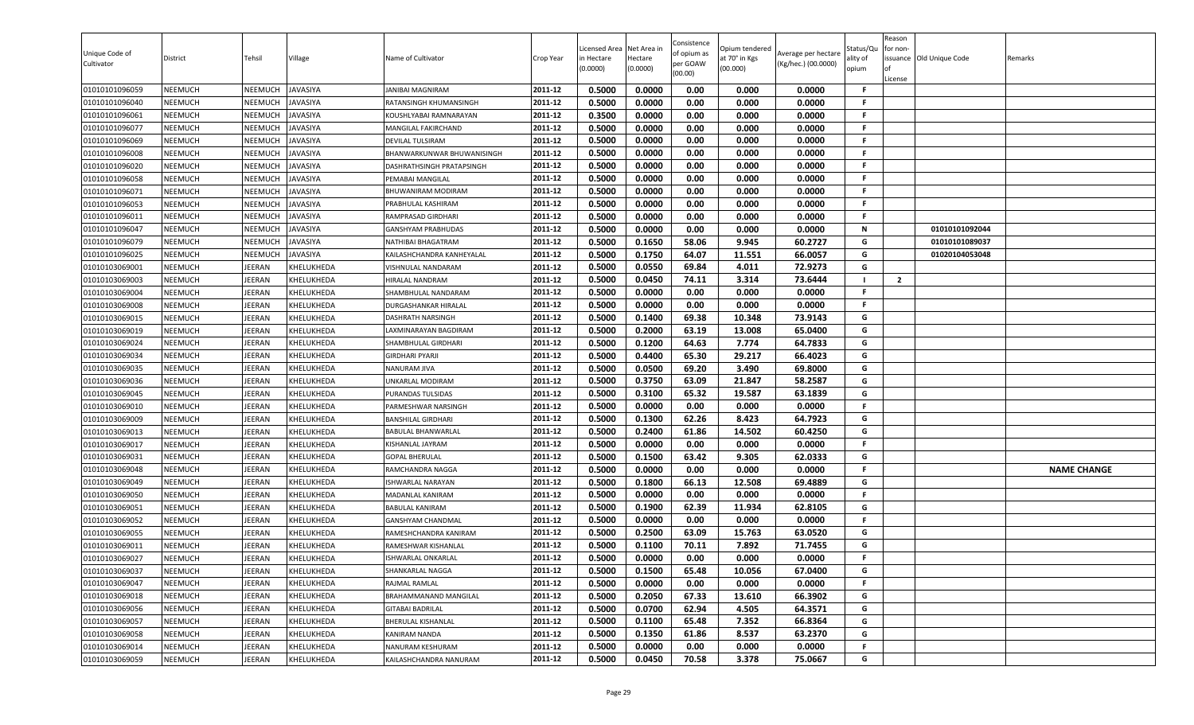| Unique Code of<br>Cultivator     | District                         | Tehsil                  | Village                  | Name of Cultivator                         | Crop Year          | Licensed Area<br>in Hectare<br>(0.0000) | Net Area in<br>Hectare<br>(0.0000) | Consistence<br>of opium as<br>per GOAW<br>(00.00) | Opium tendered<br>at 70° in Kgs<br>(00.000) | Average per hectare<br>(Kg/hec.) (00.0000) | Status/Qu<br>ality of<br>opium | Reason<br>for non-<br>ssuance Old Unique Code<br>License | Remarks            |
|----------------------------------|----------------------------------|-------------------------|--------------------------|--------------------------------------------|--------------------|-----------------------------------------|------------------------------------|---------------------------------------------------|---------------------------------------------|--------------------------------------------|--------------------------------|----------------------------------------------------------|--------------------|
| 01010101096059                   | <b>NEEMUCH</b>                   | NEEMUCH                 | <b>JAVASIYA</b>          | JANIBAI MAGNIRAM                           | 2011-12            | 0.5000                                  | 0.0000                             | 0.00                                              | 0.000                                       | 0.0000                                     | -F                             |                                                          |                    |
| 01010101096040                   | <b>NEEMUCH</b>                   | NEEMUCH                 | <b>JAVASIYA</b>          | RATANSINGH KHUMANSINGH                     | 2011-12            | 0.5000                                  | 0.0000                             | 0.00                                              | 0.000                                       | 0.0000                                     | -F                             |                                                          |                    |
| 01010101096061                   | <b>NEEMUCH</b>                   | NEEMUCH                 | <b>JAVASIYA</b>          | KOUSHLYABAI RAMNARAYAN                     | 2011-12            | 0.3500                                  | 0.0000                             | 0.00                                              | 0.000                                       | 0.0000                                     | F.                             |                                                          |                    |
| 01010101096077                   | <b>NEEMUCH</b>                   | NEEMUCH                 | <b>JAVASIYA</b>          | MANGILAL FAKIRCHAND                        | 2011-12            | 0.5000                                  | 0.0000                             | 0.00                                              | 0.000                                       | 0.0000                                     | F.                             |                                                          |                    |
| 01010101096069                   | <b>NEEMUCH</b>                   | NEEMUCH                 | <b>JAVASIYA</b>          | DEVILAL TULSIRAM                           | 2011-12            | 0.5000                                  | 0.0000                             | 0.00                                              | 0.000                                       | 0.0000                                     | F.                             |                                                          |                    |
| 01010101096008                   | <b>NEEMUCH</b>                   | NEEMUCH                 | <b>JAVASIYA</b>          | BHANWARKUNWAR BHUWANISINGH                 | 2011-12            | 0.5000                                  | 0.0000                             | 0.00                                              | 0.000                                       | 0.0000                                     | F.                             |                                                          |                    |
| 01010101096020                   | <b>NEEMUCH</b>                   | NEEMUCH                 | <b>JAVASIYA</b>          | DASHRATHSINGH PRATAPSINGH                  | 2011-12            | 0.5000                                  | 0.0000                             | 0.00                                              | 0.000                                       | 0.0000                                     | F.                             |                                                          |                    |
| 01010101096058                   | <b>NEEMUCH</b>                   | NEEMUCH                 | <b>JAVASIYA</b>          | PEMABAI MANGILAL                           | 2011-12            | 0.5000                                  | 0.0000                             | 0.00                                              | 0.000                                       | 0.0000                                     | F.                             |                                                          |                    |
| 01010101096071                   | <b>NEEMUCH</b>                   | NEEMUCH                 | <b>JAVASIYA</b>          | BHUWANIRAM MODIRAM                         | 2011-12            | 0.5000                                  | 0.0000                             | 0.00                                              | 0.000                                       | 0.0000                                     | F.                             |                                                          |                    |
| 01010101096053                   | <b>NEEMUCH</b>                   | NEEMUCH                 | <b>JAVASIYA</b>          | PRABHULAL KASHIRAM                         | 2011-12            | 0.5000                                  | 0.0000                             | 0.00                                              | 0.000                                       | 0.0000                                     | F.                             |                                                          |                    |
| 01010101096011                   | <b>NEEMUCH</b>                   | NEEMUCH                 | JAVASIYA                 | RAMPRASAD GIRDHARI                         | 2011-12            | 0.5000                                  | 0.0000                             | 0.00                                              | 0.000                                       | 0.0000                                     | F.                             |                                                          |                    |
| 01010101096047                   | <b>NEEMUCH</b>                   | NEEMUCH                 | <b>JAVASIYA</b>          | GANSHYAM PRABHUDAS                         | 2011-12            | 0.5000                                  | 0.0000                             | 0.00                                              | 0.000                                       | 0.0000                                     | N                              | 01010101092044                                           |                    |
| 01010101096079                   | <b>NEEMUCH</b>                   | <b>NEEMUCH</b>          | <b>JAVASIYA</b>          | NATHIBAI BHAGATRAM                         | 2011-12            | 0.5000                                  | 0.1650                             | 58.06                                             | 9.945                                       | 60.2727                                    | G                              | 01010101089037                                           |                    |
| 01010101096025                   | <b>NEEMUCH</b>                   | NEEMUCH                 | <b>JAVASIYA</b>          | KAILASHCHANDRA KANHEYALAL                  | 2011-12            | 0.5000                                  | 0.1750                             | 64.07                                             | 11.551                                      | 66.0057                                    | G                              | 01020104053048                                           |                    |
| 01010103069001                   | <b>NEEMUCH</b>                   | IEERAN                  | KHELUKHEDA               | VISHNULAL NANDARAM                         | 2011-12            | 0.5000                                  | 0.0550                             | 69.84                                             | 4.011                                       | 72.9273                                    | G                              |                                                          |                    |
| 01010103069003                   | <b>NEEMUCH</b>                   | <b>IEERAN</b>           | KHELUKHEDA               | HIRALAL NANDRAM                            | 2011-12            | 0.5000                                  | 0.0450                             | 74.11                                             | 3.314                                       | 73.6444                                    | F.                             | $\overline{2}$                                           |                    |
| 01010103069004                   | <b>NEEMUCH</b>                   | <b>IEERAN</b>           | KHELUKHEDA               | SHAMBHULAL NANDARAM                        | 2011-12            | 0.5000                                  | 0.0000                             | 0.00                                              | 0.000                                       | 0.0000                                     |                                |                                                          |                    |
| 01010103069008                   | <b>NEEMUCH</b>                   | JEERAN                  | <b>KHELUKHEDA</b>        | DURGASHANKAR HIRALAL                       | 2011-12            | 0.5000                                  | 0.0000                             | 0.00                                              | 0.000                                       | 0.0000                                     | F.                             |                                                          |                    |
| 01010103069015                   | <b>NEEMUCH</b>                   | <b>IEERAN</b>           | KHELUKHEDA               | <b>DASHRATH NARSINGH</b>                   | 2011-12            | 0.5000                                  | 0.1400                             | 69.38                                             | 10.348                                      | 73.9143                                    | G                              |                                                          |                    |
| 01010103069019                   | <b>NEEMUCH</b>                   | IEERAN                  | KHELUKHEDA               | AXMINARAYAN BAGDIRAM.                      | 2011-12            | 0.5000                                  | 0.2000                             | 63.19                                             | 13.008                                      | 65.0400                                    | G                              |                                                          |                    |
| 01010103069024                   | <b>NEEMUCH</b>                   | JEERAN                  | KHELUKHEDA               | SHAMBHULAL GIRDHARI                        | 2011-12            | 0.5000                                  | 0.1200                             | 64.63                                             | 7.774                                       | 64.7833                                    | G                              |                                                          |                    |
| 01010103069034                   | <b>NEEMUCH</b>                   | IEERAN                  | KHELUKHEDA               | <b>GIRDHARI PYARJI</b>                     | 2011-12            | 0.5000                                  | 0.4400                             | 65.30                                             | 29.217                                      | 66.4023                                    | G                              |                                                          |                    |
| 01010103069035                   | <b>NEEMUCH</b>                   | JEERAN                  | KHELUKHEDA               | NANURAM JIVA                               | 2011-12            | 0.5000                                  | 0.0500                             | 69.20                                             | 3.490                                       | 69.8000                                    | G                              |                                                          |                    |
| 01010103069036                   | <b>NEEMUCH</b>                   | <b>IEERAN</b>           | KHELUKHEDA               | UNKARLAL MODIRAM                           | 2011-12            | 0.5000                                  | 0.3750                             | 63.09                                             | 21.847                                      | 58.2587                                    | G                              |                                                          |                    |
| 01010103069045                   | <b>NEEMUCH</b>                   | <b>IEERAN</b>           | KHELUKHEDA               | PURANDAS TULSIDAS                          | 2011-12            | 0.5000                                  | 0.3100                             | 65.32                                             | 19.587                                      | 63.1839                                    | G<br>F.                        |                                                          |                    |
| 01010103069010                   | <b>NEEMUCH</b>                   | JEERAN                  | KHELUKHEDA               | PARMESHWAR NARSINGH                        | 2011-12            | 0.5000                                  | 0.0000                             | 0.00                                              | 0.000                                       | 0.0000                                     |                                |                                                          |                    |
| 01010103069009                   | <b>NEEMUCH</b>                   | <b>IEERAN</b>           | KHELUKHEDA               | <b>BANSHILAL GIRDHARI</b>                  | 2011-12            | 0.5000                                  | 0.1300                             | 62.26                                             | 8.423                                       | 64.7923                                    | G<br>G                         |                                                          |                    |
| 01010103069013                   | <b>NEEMUCH</b>                   | <b>IEERAN</b>           | KHELUKHEDA               | BABULAL BHANWARLAL                         | 2011-12            | 0.5000                                  | 0.2400                             | 61.86                                             | 14.502                                      | 60.4250                                    |                                |                                                          |                    |
| 01010103069017                   | <b>NEEMUCH</b>                   | IEERAN                  | KHELUKHEDA               | KISHANLAL JAYRAM                           | 2011-12            | 0.5000                                  | 0.0000                             | 0.00                                              | 0.000                                       | 0.0000                                     | F.                             |                                                          |                    |
| 01010103069031                   | <b>NEEMUCH</b>                   | <b>IEERAN</b>           | KHELUKHEDA               | <b>GOPAL BHERULAL</b>                      | 2011-12            | 0.5000                                  | 0.1500                             | 63.42                                             | 9.305                                       | 62.0333                                    | G<br>F.                        |                                                          |                    |
| 01010103069048                   | <b>NEEMUCH</b>                   | IEERAN                  | KHELUKHEDA               | RAMCHANDRA NAGGA                           | 2011-12            | 0.5000<br>0.5000                        | 0.0000                             | 0.00<br>66.13                                     | 0.000                                       | 0.0000                                     | G                              |                                                          | <b>NAME CHANGE</b> |
| 01010103069049                   | <b>NEEMUCH</b>                   | JEERAN<br><b>IEERAN</b> | KHELUKHEDA               | ISHWARLAL NARAYAN                          | 2011-12<br>2011-12 |                                         | 0.1800                             |                                                   | 12.508                                      | 69.4889                                    | F.                             |                                                          |                    |
| 01010103069050                   | <b>NEEMUCH</b>                   |                         | KHELUKHEDA               | MADANLAL KANIRAM                           |                    | 0.5000<br>0.5000                        | 0.0000<br>0.1900                   | 0.00<br>62.39                                     | 0.000<br>11.934                             | 0.0000<br>62.8105                          | G                              |                                                          |                    |
| 01010103069051<br>01010103069052 | <b>NEEMUCH</b><br><b>NEEMUCH</b> | <b>IEERAN</b><br>JEERAN | KHELUKHEDA<br>KHELUKHEDA | BABULAL KANIRAM                            | 2011-12<br>2011-12 | 0.5000                                  | 0.0000                             | 0.00                                              | 0.000                                       | 0.0000                                     | F.                             |                                                          |                    |
|                                  | <b>NEEMUCH</b>                   | <b>IEERAN</b>           |                          | GANSHYAM CHANDMAL<br>RAMESHCHANDRA KANIRAM | 2011-12            | 0.5000                                  | 0.2500                             | 63.09                                             | 15.763                                      | 63.0520                                    | G                              |                                                          |                    |
| 01010103069055<br>01010103069011 | <b>NEEMUCH</b>                   | <b>IEERAN</b>           | KHELUKHEDA<br>KHELUKHEDA | RAMESHWAR KISHANLAL                        | 2011-12            | 0.5000                                  | 0.1100                             | 70.11                                             | 7.892                                       | 71.7455                                    | G                              |                                                          |                    |
| 01010103069027                   | <b>NEEMUCH</b>                   | JEERAN                  | KHELUKHEDA               | ISHWARLAL ONKARLAL                         | 2011-12            | 0.5000                                  | 0.0000                             | 0.00                                              | 0.000                                       | 0.0000                                     | F.                             |                                                          |                    |
| 01010103069037                   | <b>NEEMUCH</b>                   | JEERAN                  | KHELUKHEDA               | SHANKARLAL NAGGA                           | 2011-12            | 0.5000                                  | 0.1500                             | 65.48                                             | 10.056                                      | 67.0400                                    | G                              |                                                          |                    |
| 01010103069047                   | <b>NEEMUCH</b>                   | JEERAN                  | KHELUKHEDA               | RAJMAL RAMLAL                              | 2011-12            | 0.5000                                  | 0.0000                             | 0.00                                              | 0.000                                       | 0.0000                                     | .F                             |                                                          |                    |
| 01010103069018                   | <b>NEEMUCH</b>                   | <b>IEERAN</b>           | KHELUKHEDA               | BRAHAMMANAND MANGILAL                      | 2011-12            | 0.5000                                  | 0.2050                             | 67.33                                             | 13.610                                      | 66.3902                                    | G                              |                                                          |                    |
| 01010103069056                   | <b>NEEMUCH</b>                   | <b>IEERAN</b>           | <b>KHELUKHEDA</b>        | <b>GITABAI BADRILAL</b>                    | 2011-12            | 0.5000                                  | 0.0700                             | 62.94                                             | 4.505                                       | 64.3571                                    | G                              |                                                          |                    |
| 01010103069057                   | <b>NEEMUCH</b>                   | <b>IEERAN</b>           | KHELUKHEDA               | BHERULAL KISHANLAL                         | 2011-12            | 0.5000                                  | 0.1100                             | 65.48                                             | 7.352                                       | 66.8364                                    | G                              |                                                          |                    |
| 01010103069058                   | <b>NEEMUCH</b>                   | <b>IEERAN</b>           | KHELUKHEDA               | KANIRAM NANDA                              | 2011-12            | 0.5000                                  | 0.1350                             | 61.86                                             | 8.537                                       | 63.2370                                    | G                              |                                                          |                    |
| 01010103069014                   | <b>NEEMUCH</b>                   | JEERAN                  | KHELUKHEDA               | NANURAM KESHURAM                           | 2011-12            | 0.5000                                  | 0.0000                             | 0.00                                              | 0.000                                       | 0.0000                                     | F.                             |                                                          |                    |
| 01010103069059                   | <b>NEEMUCH</b>                   | JEERAN                  | KHELUKHEDA               | KAILASHCHANDRA NANURAM                     | 2011-12            | 0.5000                                  | 0.0450                             | 70.58                                             | 3.378                                       | 75.0667                                    | G                              |                                                          |                    |
|                                  |                                  |                         |                          |                                            |                    |                                         |                                    |                                                   |                                             |                                            |                                |                                                          |                    |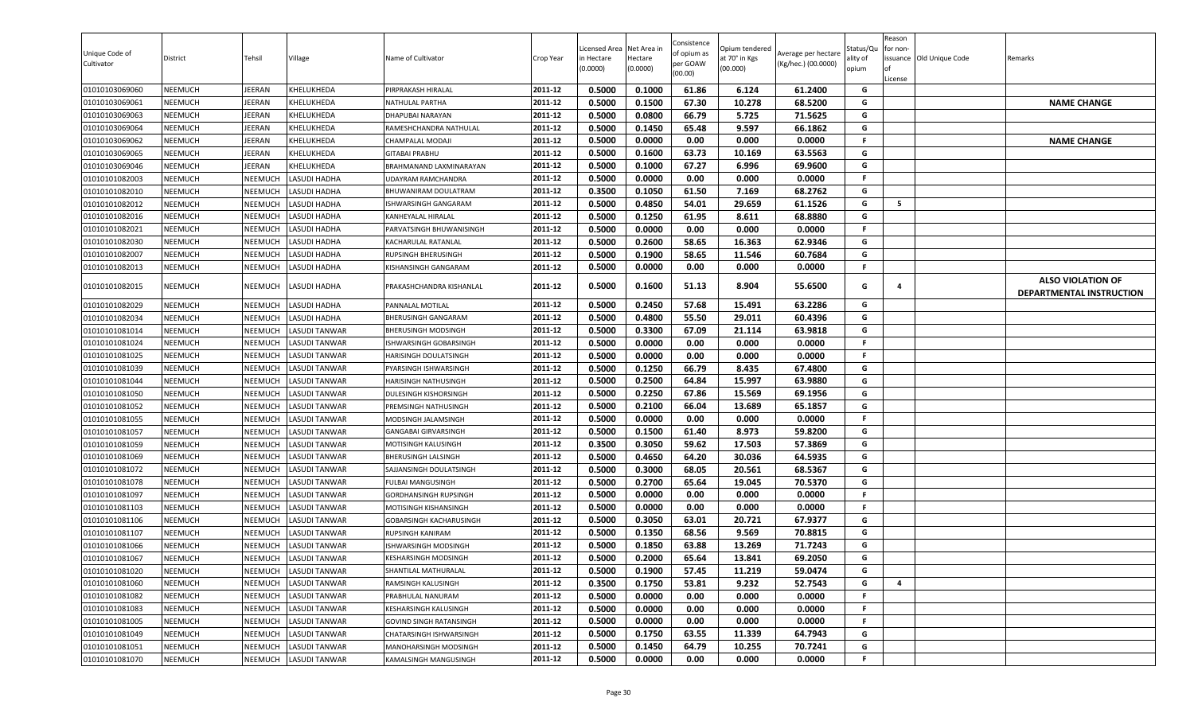| Unique Code of<br>Cultivator | District       | Tehsil         | Village              | Name of Cultivator             | Crop Year | Licensed Area<br>in Hectare<br>(0.0000) | Net Area in<br>Hectare<br>(0.0000) | Consistence<br>of opium as<br>per GOAW<br>(00.00) | Opium tendered<br>at 70° in Kgs<br>(00.000) | Average per hectare<br>(Kg/hec.) (00.0000) | Status/Qu<br>ality of<br>opium | Reason<br>for non-<br>ssuance Old Unique Code<br>License | Remarks                                              |
|------------------------------|----------------|----------------|----------------------|--------------------------------|-----------|-----------------------------------------|------------------------------------|---------------------------------------------------|---------------------------------------------|--------------------------------------------|--------------------------------|----------------------------------------------------------|------------------------------------------------------|
| 01010103069060               | <b>NEEMUCH</b> | <b>IEERAN</b>  | KHELUKHEDA           | PIRPRAKASH HIRALAL             | 2011-12   | 0.5000                                  | 0.1000                             | 61.86                                             | 6.124                                       | 61.2400                                    | G                              |                                                          |                                                      |
| 01010103069061               | <b>NEEMUCH</b> | EERAN          | KHELUKHEDA           | NATHULAL PARTHA                | 2011-12   | 0.5000                                  | 0.1500                             | 67.30                                             | 10.278                                      | 68.5200                                    | G                              |                                                          | <b>NAME CHANGE</b>                                   |
| 01010103069063               | <b>NEEMUCH</b> | JEERAN         | KHELUKHEDA           | <b>DHAPUBAI NARAYAN</b>        | 2011-12   | 0.5000                                  | 0.0800                             | 66.79                                             | 5.725                                       | 71.5625                                    | G                              |                                                          |                                                      |
| 01010103069064               | <b>NEEMUCH</b> | JEERAN         | KHELUKHEDA           | RAMESHCHANDRA NATHULAL         | 2011-12   | 0.5000                                  | 0.1450                             | 65.48                                             | 9.597                                       | 66.1862                                    | G                              |                                                          |                                                      |
| 01010103069062               | <b>NEEMUCH</b> | JEERAN         | KHELUKHEDA           | CHAMPALAL MODAJI               | 2011-12   | 0.5000                                  | 0.0000                             | 0.00                                              | 0.000                                       | 0.0000                                     | F.                             |                                                          | <b>NAME CHANGE</b>                                   |
| 01010103069065               | <b>NEEMUCH</b> | IEERAN         | KHELUKHEDA           | <b>GITABAI PRABHU</b>          | 2011-12   | 0.5000                                  | 0.1600                             | 63.73                                             | 10.169                                      | 63.5563                                    | G                              |                                                          |                                                      |
| 01010103069046               | <b>NEEMUCH</b> | <b>IEERAN</b>  | KHELUKHEDA           | BRAHMANAND LAXMINARAYAN        | 2011-12   | 0.5000                                  | 0.1000                             | 67.27                                             | 6.996                                       | 69.9600                                    | G                              |                                                          |                                                      |
| 01010101082003               | <b>NEEMUCH</b> | NEEMUCH        | <b>LASUDI HADHA</b>  | <b>UDAYRAM RAMCHANDRA</b>      | 2011-12   | 0.5000                                  | 0.0000                             | 0.00                                              | 0.000                                       | 0.0000                                     | F.                             |                                                          |                                                      |
| 01010101082010               | <b>NEEMUCH</b> | <b>NEEMUCH</b> | LASUDI HADHA         | BHUWANIRAM DOULATRAM           | 2011-12   | 0.3500                                  | 0.1050                             | 61.50                                             | 7.169                                       | 68.2762                                    | G                              |                                                          |                                                      |
| 01010101082012               | <b>NEEMUCH</b> | NEEMUCH        | LASUDI HADHA         | ISHWARSINGH GANGARAM           | 2011-12   | 0.5000                                  | 0.4850                             | 54.01                                             | 29.659                                      | 61.1526                                    | G                              | 5                                                        |                                                      |
| 01010101082016               | <b>NEEMUCH</b> | NEEMUCH        | LASUDI HADHA         | KANHEYALAL HIRALAL             | 2011-12   | 0.5000                                  | 0.1250                             | 61.95                                             | 8.611                                       | 68.8880                                    | G                              |                                                          |                                                      |
| 01010101082021               | <b>NEEMUCH</b> | NEEMUCH        | LASUDI HADHA         | PARVATSINGH BHUWANISINGH       | 2011-12   | 0.5000                                  | 0.0000                             | 0.00                                              | 0.000                                       | 0.0000                                     | F.                             |                                                          |                                                      |
| 01010101082030               | <b>NEEMUCH</b> | <b>NEEMUCH</b> | LASUDI HADHA         | KACHARULAL RATANLAL            | 2011-12   | 0.5000                                  | 0.2600                             | 58.65                                             | 16.363                                      | 62.9346                                    | G                              |                                                          |                                                      |
| 01010101082007               | <b>NEEMUCH</b> | NEEMUCH        | LASUDI HADHA         | RUPSINGH BHERUSINGH            | 2011-12   | 0.5000                                  | 0.1900                             | 58.65                                             | 11.546                                      | 60.7684                                    | G                              |                                                          |                                                      |
| 01010101082013               | <b>NEEMUCH</b> | NEEMUCH        | LASUDI HADHA         | KISHANSINGH GANGARAM           | 2011-12   | 0.5000                                  | 0.0000                             | 0.00                                              | 0.000                                       | 0.0000                                     | F.                             |                                                          |                                                      |
| 01010101082015               | <b>NEEMUCH</b> | NEEMUCH        | <b>LASUDI HADHA</b>  | PRAKASHCHANDRA KISHANLAL       | 2011-12   | 0.5000                                  | 0.1600                             | 51.13                                             | 8.904                                       | 55.6500                                    | G                              | 4                                                        | <b>ALSO VIOLATION OF</b><br>DEPARTMENTAL INSTRUCTION |
| 01010101082029               | <b>NEEMUCH</b> | NEEMUCH        | LASUDI HADHA         | PANNALAL MOTILAL               | 2011-12   | 0.5000                                  | 0.2450                             | 57.68                                             | 15.491                                      | 63.2286                                    | G                              |                                                          |                                                      |
| 01010101082034               | <b>NEEMUCH</b> | NEEMUCH        | LASUDI HADHA         | BHERUSINGH GANGARAM            | 2011-12   | 0.5000                                  | 0.4800                             | 55.50                                             | 29.011                                      | 60.4396                                    | G                              |                                                          |                                                      |
| 01010101081014               | NEEMUCH        | NEEMUCH        | LASUDI TANWAR        | <b>BHERUSINGH MODSINGH</b>     | 2011-12   | 0.5000                                  | 0.3300                             | 67.09                                             | 21.114                                      | 63.9818                                    | G                              |                                                          |                                                      |
| 01010101081024               | <b>NEEMUCH</b> | NEEMUCH        | <b>LASUDI TANWAR</b> | ISHWARSINGH GOBARSINGH         | 2011-12   | 0.5000                                  | 0.0000                             | 0.00                                              | 0.000                                       | 0.0000                                     | F.                             |                                                          |                                                      |
| 01010101081025               | <b>NEEMUCH</b> | NEEMUCH        | <b>LASUDI TANWAR</b> | <b>HARISINGH DOULATSINGH</b>   | 2011-12   | 0.5000                                  | 0.0000                             | 0.00                                              | 0.000                                       | 0.0000                                     | F.                             |                                                          |                                                      |
| 01010101081039               | <b>NEEMUCH</b> | NEEMUCH        | <b>LASUDI TANWAR</b> | PYARSINGH ISHWARSINGH          | 2011-12   | 0.5000                                  | 0.1250                             | 66.79                                             | 8.435                                       | 67.4800                                    | G                              |                                                          |                                                      |
| 01010101081044               | <b>NEEMUCH</b> | NEEMUCH        | <b>LASUDI TANWAR</b> | <b>HARISINGH NATHUSINGH</b>    | 2011-12   | 0.5000                                  | 0.2500                             | 64.84                                             | 15.997                                      | 63.9880                                    | G                              |                                                          |                                                      |
| 01010101081050               | <b>NEEMUCH</b> | NEEMUCH        | <b>LASUDI TANWAR</b> | DULESINGH KISHORSINGH          | 2011-12   | 0.5000                                  | 0.2250                             | 67.86                                             | 15.569                                      | 69.1956                                    | G                              |                                                          |                                                      |
| 01010101081052               | <b>NEEMUCH</b> | NEEMUCH        | <b>LASUDI TANWAR</b> | PREMSINGH NATHUSINGH           | 2011-12   | 0.5000                                  | 0.2100                             | 66.04                                             | 13.689                                      | 65.1857                                    | G                              |                                                          |                                                      |
| 01010101081055               | <b>NEEMUCH</b> | <b>NEEMUCH</b> | LASUDI TANWAR        | MODSINGH JALAMSINGH            | 2011-12   | 0.5000                                  | 0.0000                             | 0.00                                              | 0.000                                       | 0.0000                                     | -F                             |                                                          |                                                      |
| 01010101081057               | <b>NEEMUCH</b> | NEEMUCH        | <b>LASUDI TANWAR</b> | GANGABAI GIRVARSINGH           | 2011-12   | 0.5000                                  | 0.1500                             | 61.40                                             | 8.973                                       | 59.8200                                    | G                              |                                                          |                                                      |
| 01010101081059               | <b>NEEMUCH</b> | NEEMUCH        | <b>LASUDI TANWAR</b> | MOTISINGH KALUSINGH            | 2011-12   | 0.3500                                  | 0.3050                             | 59.62                                             | 17.503                                      | 57.3869                                    | G                              |                                                          |                                                      |
| 01010101081069               | <b>NEEMUCH</b> | NEEMUCH        | <b>LASUDI TANWAR</b> | BHERUSINGH LALSINGH            | 2011-12   | 0.5000                                  | 0.4650                             | 64.20                                             | 30.036                                      | 64.5935                                    | G                              |                                                          |                                                      |
| 01010101081072               | <b>NEEMUCH</b> | NEEMUCH        | <b>LASUDI TANWAR</b> | SAJJANSINGH DOULATSINGH        | 2011-12   | 0.5000                                  | 0.3000                             | 68.05                                             | 20.561                                      | 68.5367                                    | G                              |                                                          |                                                      |
| 01010101081078               | <b>NEEMUCH</b> | <b>NEEMUCH</b> | <b>LASUDI TANWAR</b> | <b>FULBAI MANGUSINGH</b>       | 2011-12   | 0.5000                                  | 0.2700                             | 65.64                                             | 19.045                                      | 70.5370                                    | G                              |                                                          |                                                      |
| 01010101081097               | <b>NEEMUCH</b> | NEEMUCH        | <b>LASUDI TANWAR</b> | GORDHANSINGH RUPSINGH          | 2011-12   | 0.5000                                  | 0.0000                             | 0.00                                              | 0.000                                       | 0.0000                                     | -F                             |                                                          |                                                      |
| 01010101081103               | <b>NEEMUCH</b> | NEEMUCH        | <b>LASUDI TANWAR</b> | MOTISINGH KISHANSINGH          | 2011-12   | 0.5000                                  | 0.0000                             | 0.00                                              | 0.000                                       | 0.0000                                     | F.                             |                                                          |                                                      |
| 01010101081106               | <b>NEEMUCH</b> | NEEMUCH        | <b>LASUDI TANWAR</b> | <b>GOBARSINGH KACHARUSINGH</b> | 2011-12   | 0.5000                                  | 0.3050                             | 63.01                                             | 20.721                                      | 67.9377                                    | G                              |                                                          |                                                      |
| 01010101081107               | <b>NEEMUCH</b> | <b>NEEMUCH</b> | <b>LASUDI TANWAR</b> | <b>RUPSINGH KANIRAM</b>        | 2011-12   | 0.5000                                  | 0.1350                             | 68.56                                             | 9.569                                       | 70.8815                                    | G                              |                                                          |                                                      |
| 01010101081066               | <b>NEEMUCH</b> | NEEMUCH        | <b>LASUDI TANWAR</b> | <b>ISHWARSINGH MODSINGH</b>    | 2011-12   | 0.5000                                  | 0.1850                             | 63.88                                             | 13.269                                      | 71.7243                                    | G                              |                                                          |                                                      |
| 01010101081067               | <b>NEEMUCH</b> | NEEMUCH        | <b>LASUDI TANWAR</b> | <b>KESHARSINGH MODSINGH</b>    | 2011-12   | 0.5000                                  | 0.2000                             | 65.64                                             | 13.841                                      | 69.2050                                    | G                              |                                                          |                                                      |
| 01010101081020               | <b>NEEMUCH</b> | NEEMUCH        | <b>LASUDI TANWAR</b> | SHANTILAL MATHURALAL           | 2011-12   | 0.5000                                  | 0.1900                             | 57.45                                             | 11.219                                      | 59.0474                                    | G                              |                                                          |                                                      |
| 01010101081060               | <b>NEEMUCH</b> | NEEMUCH        | <b>LASUDI TANWAR</b> | RAMSINGH KALUSINGH             | 2011-12   | 0.3500                                  | 0.1750                             | 53.81                                             | 9.232                                       | 52.7543                                    | G                              | 4                                                        |                                                      |
| 01010101081082               | <b>NEEMUCH</b> | NEEMUCH        | <b>LASUDI TANWAR</b> | PRABHULAL NANURAM              | 2011-12   | 0.5000                                  | 0.0000                             | 0.00                                              | 0.000                                       | 0.0000                                     | -F                             |                                                          |                                                      |
| 01010101081083               | <b>NEEMUCH</b> | NEEMUCH        | <b>LASUDI TANWAR</b> | KESHARSINGH KALUSINGH          | 2011-12   | 0.5000                                  | 0.0000                             | 0.00                                              | 0.000                                       | 0.0000                                     | -F                             |                                                          |                                                      |
| 01010101081005               | <b>NEEMUCH</b> | NEEMUCH        | <b>LASUDI TANWAR</b> | <b>GOVIND SINGH RATANSINGH</b> | 2011-12   | 0.5000                                  | 0.0000                             | 0.00                                              | 0.000                                       | 0.0000                                     | F.                             |                                                          |                                                      |
| 01010101081049               | <b>NEEMUCH</b> | NEEMUCH        | <b>LASUDI TANWAR</b> | CHATARSINGH ISHWARSINGH        | 2011-12   | 0.5000                                  | 0.1750                             | 63.55                                             | 11.339                                      | 64.7943                                    | G                              |                                                          |                                                      |
| 01010101081051               | <b>NEEMUCH</b> | NEEMUCH        | <b>LASUDI TANWAR</b> | MANOHARSINGH MODSINGH          | 2011-12   | 0.5000                                  | 0.1450                             | 64.79                                             | 10.255                                      | 70.7241                                    | G                              |                                                          |                                                      |
| 01010101081070               | <b>NEEMUCH</b> | NEEMUCH        | <b>LASUDI TANWAR</b> | KAMALSINGH MANGUSINGH          | 2011-12   | 0.5000                                  | 0.0000                             | 0.00                                              | 0.000                                       | 0.0000                                     | F                              |                                                          |                                                      |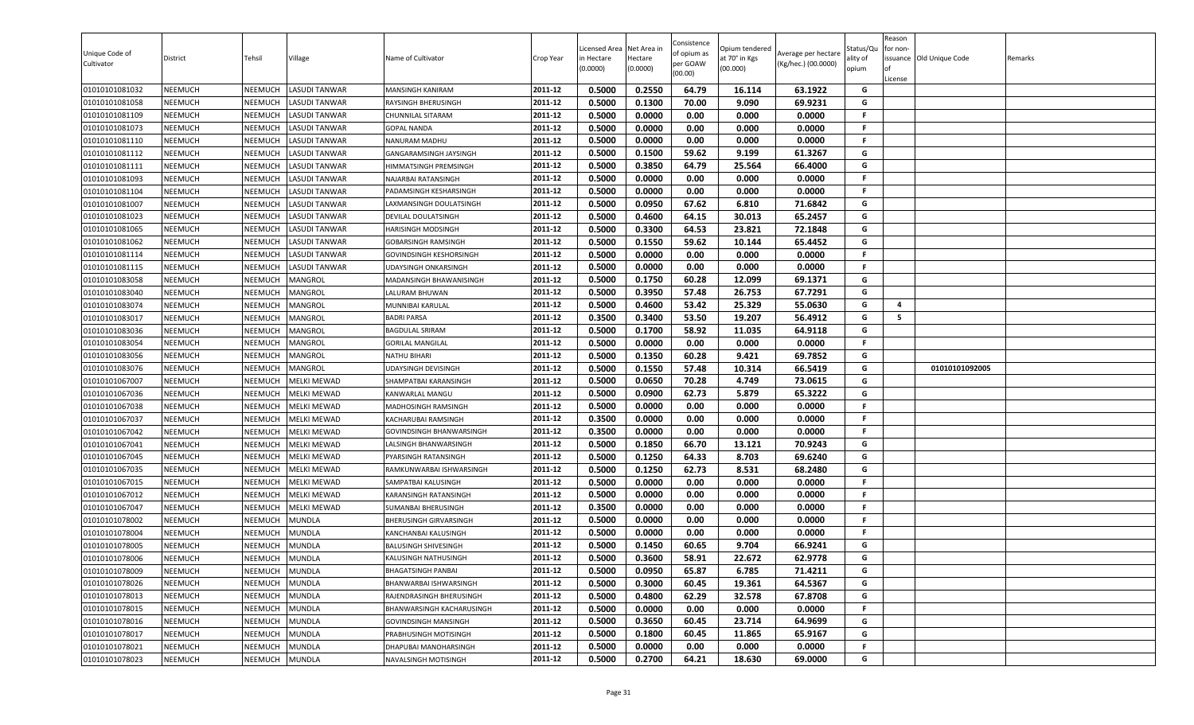| Unique Code of<br>Cultivator     | District                         | Tehsil             | Village                               | Name of Cultivator                                            | Crop Year          | Licensed Area<br>in Hectare<br>(0.0000) | Net Area in<br>Hectare<br>(0.0000) | Consistence<br>of opium as<br>per GOAW<br>(00.00) | Opium tendered<br>at 70° in Kgs<br>(00.000) | Average per hectare<br>(Kg/hec.) (00.0000) | Status/Qu<br>ality of<br>opium | Reason<br>for non-<br>License | issuance Old Unique Code | Remarks |
|----------------------------------|----------------------------------|--------------------|---------------------------------------|---------------------------------------------------------------|--------------------|-----------------------------------------|------------------------------------|---------------------------------------------------|---------------------------------------------|--------------------------------------------|--------------------------------|-------------------------------|--------------------------|---------|
| 01010101081032                   | NEEMUCH                          | NEEMUCH            | LASUDI TANWAR                         | <b>MANSINGH KANIRAM</b>                                       | 2011-12            | 0.5000                                  | 0.2550                             | 64.79                                             | 16.114                                      | 63.1922                                    | G                              |                               |                          |         |
| 01010101081058                   | NEEMUCH                          | NEEMUCH            | LASUDI TANWAR                         | RAYSINGH BHERUSINGH                                           | 2011-12            | 0.5000                                  | 0.1300                             | 70.00                                             | 9.090                                       | 69.9231                                    | G                              |                               |                          |         |
| 01010101081109                   | <b>NEEMUCH</b>                   | NEEMUCH            | LASUDI TANWAR                         | CHUNNILAL SITARAM                                             | 2011-12            | 0.5000                                  | 0.0000                             | 0.00                                              | 0.000                                       | 0.0000                                     | F.                             |                               |                          |         |
| 01010101081073                   | <b>NEEMUCH</b>                   | NEEMUCH            | LASUDI TANWAR                         | <b>GOPAL NANDA</b>                                            | 2011-12            | 0.5000                                  | 0.0000                             | 0.00                                              | 0.000                                       | 0.0000                                     | F.                             |                               |                          |         |
| 01010101081110                   | <b>NEEMUCH</b>                   | NEEMUCH            | LASUDI TANWAR                         | NANURAM MADHU                                                 | 2011-12            | 0.5000                                  | 0.0000                             | 0.00                                              | 0.000                                       | 0.0000                                     | F.                             |                               |                          |         |
| 01010101081112                   | <b>NEEMUCH</b>                   | NEEMUCH            | LASUDI TANWAR                         | GANGARAMSINGH JAYSINGH                                        | 2011-12            | 0.5000                                  | 0.1500                             | 59.62                                             | 9.199                                       | 61.3267                                    | G                              |                               |                          |         |
| 01010101081111                   | <b>NEEMUCH</b>                   | NEEMUCH            | LASUDI TANWAR                         | HIMMATSINGH PREMSINGH                                         | 2011-12            | 0.5000                                  | 0.3850                             | 64.79                                             | 25.564                                      | 66.4000                                    | G<br>F.                        |                               |                          |         |
| 01010101081093                   | <b>NEEMUCH</b>                   | NEEMUCH            | LASUDI TANWAR<br>LASUDI TANWAR        | NAJARBAI RATANSINGH                                           | 2011-12            | 0.5000                                  | 0.0000                             | 0.00                                              | 0.000                                       | 0.0000                                     | F.                             |                               |                          |         |
| 01010101081104                   | <b>NEEMUCH</b>                   | NEEMUCH            |                                       | PADAMSINGH KESHARSINGH                                        | 2011-12<br>2011-12 | 0.5000                                  | 0.0000                             | 0.00                                              | 0.000                                       | 0.0000                                     | G                              |                               |                          |         |
| 01010101081007                   | NEEMUCH                          | NEEMUCH            | LASUDI TANWAR                         | LAXMANSINGH DOULATSINGH                                       |                    | 0.5000                                  | 0.0950                             | 67.62                                             | 6.810                                       | 71.6842                                    | G                              |                               |                          |         |
| 01010101081023                   | NEEMUCH                          | NEEMUCH            | LASUDI TANWAR                         | DEVILAL DOULATSINGH                                           | 2011-12<br>2011-12 | 0.5000                                  | 0.4600                             | 64.15                                             | 30.013                                      | 65.2457                                    | G                              |                               |                          |         |
| 01010101081065                   | NEEMUCH                          | NEEMUCH            | <b>LASUDI TANWAR</b>                  | <b>HARISINGH MODSINGH</b>                                     |                    | 0.5000                                  | 0.3300<br>0.1550                   | 64.53<br>59.62                                    | 23.821                                      | 72.1848<br>65.4452                         | G                              |                               |                          |         |
| 01010101081062                   | <b>NEEMUCH</b>                   | NEEMUCH            | <b>LASUDI TANWAR</b>                  | <b>GOBARSINGH RAMSINGH</b>                                    | 2011-12<br>2011-12 | 0.5000                                  |                                    |                                                   | 10.144                                      |                                            | F.                             |                               |                          |         |
| 01010101081114<br>01010101081115 | <b>NEEMUCH</b><br><b>NEEMUCH</b> | NEEMUCH<br>NEEMUCH | LASUDI TANWAR<br><b>LASUDI TANWAR</b> | <b>GOVINDSINGH KESHORSINGH</b><br><b>UDAYSINGH ONKARSINGH</b> | 2011-12            | 0.5000<br>0.5000                        | 0.0000<br>0.0000                   | 0.00<br>0.00                                      | 0.000<br>0.000                              | 0.0000<br>0.0000                           | F.                             |                               |                          |         |
| 01010101083058                   | <b>NEEMUCH</b>                   | NEEMUCH            | MANGROL                               |                                                               | 2011-12            | 0.5000                                  | 0.1750                             | 60.28                                             | 12.099                                      | 69.1371                                    | G                              |                               |                          |         |
| 01010101083040                   | <b>NEEMUCH</b>                   | NEEMUCH            | MANGROL                               | MADANSINGH BHAWANISINGH<br>LALURAM BHUWAN                     | 2011-12            | 0.5000                                  | 0.3950                             | 57.48                                             | 26.753                                      | 67.7291                                    | G                              |                               |                          |         |
| 01010101083074                   | <b>NEEMUCH</b>                   | NEEMUCH            | MANGROL                               | MUNNIBAI KARULAL                                              | 2011-12            | 0.5000                                  | 0.4600                             | 53.42                                             | 25.329                                      | 55.0630                                    | G                              | 4                             |                          |         |
| 01010101083017                   | <b>NEEMUCH</b>                   | NEEMUCH            | MANGROL                               | <b>BADRI PARSA</b>                                            | 2011-12            | 0.3500                                  | 0.3400                             | 53.50                                             | 19.207                                      | 56.4912                                    | G                              | 5                             |                          |         |
| 01010101083036                   | <b>NEEMUCH</b>                   | NEEMUCH            | MANGROL                               | <b>BAGDULAL SRIRAM</b>                                        | 2011-12            | 0.5000                                  | 0.1700                             | 58.92                                             | 11.035                                      | 64.9118                                    | G                              |                               |                          |         |
| 01010101083054                   | NEEMUCH                          | NEEMUCH            | MANGROL                               | <b>GORILAL MANGILAL</b>                                       | 2011-12            | 0.5000                                  | 0.0000                             | 0.00                                              | 0.000                                       | 0.0000                                     | F.                             |                               |                          |         |
| 01010101083056                   | <b>NEEMUCH</b>                   | NEEMUCH            | MANGROL                               | <b>NATHU BIHARI</b>                                           | 2011-12            | 0.5000                                  | 0.1350                             | 60.28                                             | 9.421                                       | 69.7852                                    | G                              |                               |                          |         |
| 01010101083076                   | <b>NEEMUCH</b>                   | NEEMUCH            | MANGROL                               | <b>UDAYSINGH DEVISINGH</b>                                    | 2011-12            | 0.5000                                  | 0.1550                             | 57.48                                             | 10.314                                      | 66.5419                                    | G                              |                               | 01010101092005           |         |
| 01010101067007                   | <b>NEEMUCH</b>                   | NEEMUCH            | <b>MELKI MEWAD</b>                    | SHAMPATBAI KARANSINGH                                         | 2011-12            | 0.5000                                  | 0.0650                             | 70.28                                             | 4.749                                       | 73.0615                                    | G                              |                               |                          |         |
| 01010101067036                   | <b>NEEMUCH</b>                   | NEEMUCH            | <b>MELKI MEWAD</b>                    | KANWARLAL MANGU                                               | 2011-12            | 0.5000                                  | 0.0900                             | 62.73                                             | 5.879                                       | 65.3222                                    | G                              |                               |                          |         |
| 01010101067038                   | NEEMUCH                          | NEEMUCH            | <b>MELKI MEWAD</b>                    | MADHOSINGH RAMSINGH                                           | 2011-12            | 0.5000                                  | 0.0000                             | 0.00                                              | 0.000                                       | 0.0000                                     | F.                             |                               |                          |         |
| 01010101067037                   | NEEMUCH                          | NEEMUCH            | <b>MELKI MEWAD</b>                    | KACHARUBAI RAMSINGH                                           | 2011-12            | 0.3500                                  | 0.0000                             | 0.00                                              | 0.000                                       | 0.0000                                     | F.                             |                               |                          |         |
| 01010101067042                   | NEEMUCH                          | NEEMUCH            | <b>MELKI MEWAD</b>                    | <b>GOVINDSINGH BHANWARSINGH</b>                               | 2011-12            | 0.3500                                  | 0.0000                             | 0.00                                              | 0.000                                       | 0.0000                                     | F.                             |                               |                          |         |
| 01010101067041                   | <b>NEEMUCH</b>                   | NEEMUCH            | MELKI MEWAD                           | LALSINGH BHANWARSINGH                                         | 2011-12            | 0.5000                                  | 0.1850                             | 66.70                                             | 13.121                                      | 70.9243                                    | G                              |                               |                          |         |
| 01010101067045                   | <b>NEEMUCH</b>                   | NEEMUCH            | <b>MELKI MEWAD</b>                    | PYARSINGH RATANSINGH                                          | 2011-12            | 0.5000                                  | 0.1250                             | 64.33                                             | 8.703                                       | 69.6240                                    | G                              |                               |                          |         |
| 01010101067035                   | <b>NEEMUCH</b>                   | NEEMUCH            | <b>MELKI MEWAD</b>                    | RAMKUNWARBAI ISHWARSINGH                                      | 2011-12            | 0.5000                                  | 0.1250                             | 62.73                                             | 8.531                                       | 68.2480                                    | G                              |                               |                          |         |
| 01010101067015                   | NEEMUCH                          | NEEMUCH            | <b>MELKI MEWAD</b>                    | SAMPATBAI KALUSINGH                                           | 2011-12            | 0.5000                                  | 0.0000                             | 0.00                                              | 0.000                                       | 0.0000                                     | F.                             |                               |                          |         |
| 01010101067012                   | <b>NEEMUCH</b>                   | NEEMUCH            | <b>MELKI MEWAD</b>                    | KARANSINGH RATANSINGH                                         | 2011-12            | 0.5000                                  | 0.0000                             | 0.00                                              | 0.000                                       | 0.0000                                     | F.                             |                               |                          |         |
| 01010101067047                   | <b>NEEMUCH</b>                   | NEEMUCH            | <b>MELKI MEWAD</b>                    | <b>SUMANBAI BHERUSINGH</b>                                    | 2011-12            | 0.3500                                  | 0.0000                             | 0.00                                              | 0.000                                       | 0.0000                                     | F.                             |                               |                          |         |
| 01010101078002                   | NEEMUCH                          | NEEMUCH            | <b>MUNDLA</b>                         | <b>BHERUSINGH GIRVARSINGH</b>                                 | 2011-12            | 0.5000                                  | 0.0000                             | 0.00                                              | 0.000                                       | 0.0000                                     | F.                             |                               |                          |         |
| 01010101078004                   | <b>NEEMUCH</b>                   | NEEMUCH            | MUNDLA                                | KANCHANBAI KALUSINGH                                          | 2011-12            | 0.5000                                  | 0.0000                             | 0.00                                              | 0.000                                       | 0.0000                                     | F.                             |                               |                          |         |
| 01010101078005                   | NEEMUCH                          | NEEMUCH            | <b>MUNDLA</b>                         | <b>BALUSINGH SHIVESINGH</b>                                   | 2011-12            | 0.5000                                  | 0.1450                             | 60.65                                             | 9.704                                       | 66.9241                                    | G                              |                               |                          |         |
| 01010101078006                   | <b>NEEMUCH</b>                   | NEEMUCH            | <b>MUNDLA</b>                         | KALUSINGH NATHUSINGH                                          | 2011-12            | 0.5000                                  | 0.3600                             | 58.91                                             | 22.672                                      | 62.9778                                    | G                              |                               |                          |         |
| 01010101078009                   | <b>NEEMUCH</b>                   | NEEMUCH            | <b>MUNDLA</b>                         | <b>BHAGATSINGH PANBAI</b>                                     | 2011-12            | 0.5000                                  | 0.0950                             | 65.87                                             | 6.785                                       | 71.4211                                    | G                              |                               |                          |         |
| 01010101078026                   | NEEMUCH                          | <b>NEEMUCH</b>     | <b>MUNDLA</b>                         | BHANWARBAI ISHWARSINGH                                        | 2011-12            | 0.5000                                  | 0.3000                             | 60.45                                             | 19.361                                      | 64.5367                                    | G                              |                               |                          |         |
| 01010101078013                   | NEEMUCH                          | <b>NEEMUCH</b>     | <b>MUNDLA</b>                         | RAJENDRASINGH BHERUSINGH                                      | 2011-12            | 0.5000                                  | 0.4800                             | 62.29                                             | 32.578                                      | 67.8708                                    | G                              |                               |                          |         |
| 01010101078015                   | <b>NEEMUCH</b>                   | NEEMUCH            | <b>MUNDLA</b>                         | BHANWARSINGH KACHARUSINGH                                     | 2011-12            | 0.5000                                  | 0.0000                             | 0.00                                              | 0.000                                       | 0.0000                                     | F.                             |                               |                          |         |
| 01010101078016                   | <b>NEEMUCH</b>                   | NEEMUCH            | <b>MUNDLA</b>                         | <b>GOVINDSINGH MANSINGH</b>                                   | 2011-12            | 0.5000                                  | 0.3650                             | 60.45                                             | 23.714                                      | 64.9699                                    | G                              |                               |                          |         |
| 01010101078017                   | <b>NEEMUCH</b>                   | NEEMUCH            | <b>MUNDLA</b>                         | PRABHUSINGH MOTISINGH                                         | 2011-12            | 0.5000                                  | 0.1800                             | 60.45                                             | 11.865                                      | 65.9167                                    | G                              |                               |                          |         |
| 01010101078021                   | <b>NEEMUCH</b>                   | NEEMUCH            | <b>MUNDLA</b>                         | <b>DHAPUBAI MANOHARSINGH</b>                                  | 2011-12            | 0.5000                                  | 0.0000                             | 0.00                                              | 0.000                                       | 0.0000                                     | F.                             |                               |                          |         |
| 01010101078023                   | NEEMUCH                          | <b>NEEMUCH</b>     | <b>MUNDLA</b>                         | NAVALSINGH MOTISINGH                                          | 2011-12            | 0.5000                                  | 0.2700                             | 64.21                                             | 18.630                                      | 69.0000                                    | G                              |                               |                          |         |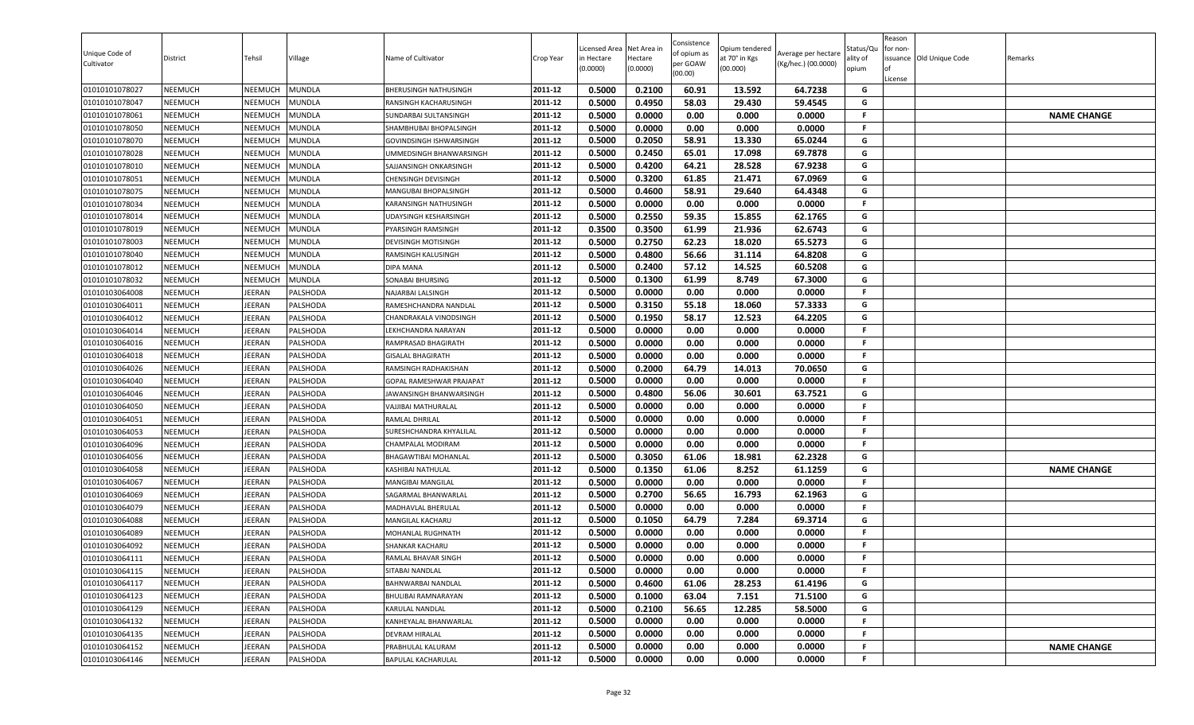| <b>NEEMUCH</b><br>2011-12<br>0.5000<br>0.4950<br>58.03<br>29.430<br>59.4545<br>G<br>01010101078047<br>NEEMUCH<br><b>MUNDLA</b><br>RANSINGH KACHARUSINGH<br>0.0000<br>0.0000<br><b>NEEMUCH</b><br>2011-12<br>0.5000<br>0.00<br>0.000<br>F.<br>01010101078061<br>NEEMUCH<br><b>MUNDLA</b><br><b>NAME CHANGE</b><br>SUNDARBAI SULTANSINGH<br>2011-12<br>0.5000<br>0.0000<br>F.<br><b>NEEMUCH</b><br>0.00<br>0.000<br>0.0000<br>01010101078050<br>NEEMUCH<br><b>MUNDLA</b><br>SHAMBHUBAI BHOPALSINGH<br>0.5000<br>0.2050<br>58.91<br>2011-12<br>13.330<br>65.0244<br>G<br><b>NEEMUCH</b><br><b>MUNDLA</b><br>01010101078070<br>NEEMUCH<br>GOVINDSINGH ISHWARSINGH<br>0.2450<br>G<br>2011-12<br>0.5000<br>65.01<br>17.098<br>69.7878<br>01010101078028<br><b>NEEMUCH</b><br>NEEMUCH<br><b>MUNDLA</b><br>UMMEDSINGH BHANWARSINGH<br>0.4200<br>64.21<br>28.528<br>67.9238<br>0.5000<br>G<br><b>NEEMUCH</b><br><b>MUNDLA</b><br>2011-12<br>01010101078010<br>NEEMUCH<br>SAJJANSINGH ONKARSINGH<br>G<br>2011-12<br>0.3200<br>01010101078051<br><b>NEEMUCH</b><br>NEEMUCH<br><b>MUNDLA</b><br>0.5000<br>61.85<br>21.471<br>67.0969<br><b>CHENSINGH DEVISINGH</b><br>0.5000<br>0.4600<br>58.91<br><b>NEEMUCH</b><br><b>MUNDLA</b><br>2011-12<br>29.640<br>64.4348<br>01010101078075<br>NEEMUCH<br>MANGUBAI BHOPALSINGH<br>G<br>01010101078034<br><b>NEEMUCH</b><br>NEEMUCH<br><b>MUNDLA</b><br>2011-12<br>0.5000<br>0.0000<br>0.00<br>0.000<br>0.0000<br>F.<br>KARANSINGH NATHUSINGH<br>0.2550<br>0.5000<br>59.35<br>15.855<br>62.1765<br>G<br><b>NEEMUCH</b><br>2011-12<br>01010101078014<br>NEEMUCH<br><b>MUNDLA</b><br>UDAYSINGH KESHARSINGH<br><b>NEEMUCH</b><br>2011-12<br>0.3500<br>0.3500<br>61.99<br>21.936<br>62.6743<br>G<br>01010101078019<br>NEEMUCH<br><b>MUNDLA</b><br>PYARSINGH RAMSINGH<br>0.2750<br>62.23<br>65.5273<br>01010101078003<br><b>NEEMUCH</b><br><b>MUNDLA</b><br>2011-12<br>0.5000<br>18.020<br>G<br><b>NEEMUCH</b><br>DEVISINGH MOTISINGH<br>2011-12<br>0.5000<br>0.4800<br>56.66<br>G<br><b>NEEMUCH</b><br>31.114<br>64.8208<br>01010101078040<br>NEEMUCH<br><b>MUNDLA</b><br>RAMSINGH KALUSINGH<br>0.5000<br>0.2400<br>57.12<br>60.5208<br>G<br>01010101078012<br><b>NEEMUCH</b><br>NEEMUCH<br><b>MUNDLA</b><br><b>DIPA MANA</b><br>2011-12<br>14.525<br>2011-12<br>0.1300<br>G<br><b>NEEMUCH</b><br><b>MUNDLA</b><br>0.5000<br>61.99<br>8.749<br>67.3000<br>01010101078032<br>NEEMUCH<br>SONABAI BHURSING<br>01010103064008<br><b>NEEMUCH</b><br><b>IEERAN</b><br>PALSHODA<br>2011-12<br>0.5000<br>0.0000<br>0.00<br>0.000<br>0.0000<br>.F<br>NAJARBAI LALSINGH<br>2011-12<br>0.3150<br>55.18<br>G<br><b>NEEMUCH</b><br>JEERAN<br><b>PALSHODA</b><br>0.5000<br>18.060<br>57.3333<br>01010103064011<br>RAMESHCHANDRA NANDLAL<br>0.5000<br>0.1950<br>12.523<br>64.2205<br>01010103064012<br><b>NEEMUCH</b><br><b>IEERAN</b><br>PALSHODA<br>2011-12<br>58.17<br>G<br>CHANDRAKALA VINODSINGH<br>0.5000<br>0.0000<br>0.00<br>0.000<br>0.0000<br>F.<br><b>NEEMUCH</b><br>2011-12<br>IEERAN<br>PALSHODA<br>01010103064014<br>LEKHCHANDRA NARAYAN<br><b>NEEMUCH</b><br>JEERAN<br>PALSHODA<br>2011-12<br>0.5000<br>0.0000<br>0.00<br>0.0000<br>01010103064016<br>0.000<br>F.<br>RAMPRASAD BHAGIRATH<br>0.5000<br>0.0000<br>0.00<br>0.0000<br>2011-12<br>0.000<br>F.<br>01010103064018<br><b>NEEMUCH</b><br>IEERAN<br>PALSHODA<br><b>GISALAL BHAGIRATH</b><br>0.5000<br>0.2000<br>64.79<br><b>NEEMUCH</b><br>JEERAN<br>2011-12<br>14.013<br>70.0650<br>G<br>01010103064026<br>PALSHODA<br>RAMSINGH RADHAKISHAN<br>0.5000<br>0.0000<br>0.00<br>0.000<br>0.0000<br>F.<br><b>NEEMUCH</b><br><b>IEERAN</b><br>PALSHODA<br>GOPAL RAMESHWAR PRAJAPAT<br>2011-12<br>01010103064040<br>56.06<br><b>NEEMUCH</b><br><b>IEERAN</b><br><b>PALSHODA</b><br>2011-12<br>0.5000<br>0.4800<br>30.601<br>63.7521<br>G<br>01010103064046<br>JAWANSINGH BHANWARSINGH<br>2011-12<br>0.5000<br>0.0000<br>0.00<br>0.000<br>0.0000<br>01010103064050<br><b>NEEMUCH</b><br>JEERAN<br><b>PALSHODA</b><br>VAJJIBAI MATHURALAL<br>F.<br>01010103064051<br><b>NEEMUCH</b><br><b>IEERAN</b><br>PALSHODA<br>2011-12<br>0.5000<br>0.0000<br>0.00<br>0.000<br>0.0000<br>RAMLAL DHRILAL<br>F.<br>2011-12<br>0.5000<br>0.0000<br>0.00<br>0.000<br>0.0000<br>.F<br>01010103064053<br><b>NEEMUCH</b><br><b>IEERAN</b><br>PALSHODA<br>SURESHCHANDRA KHYALILAL<br><b>NEEMUCH</b><br>PALSHODA<br>0.5000<br>0.0000<br>0.00<br>0.000<br>0.0000<br>F.<br>01010103064096<br>IEERAN<br>2011-12<br>CHAMPALAL MODIRAM<br>0.5000<br>0.3050<br>62.2328<br>2011-12<br>61.06<br>18.981<br>G<br><b>NEEMUCH</b><br><b>IEERAN</b><br>PALSHODA<br>01010103064056<br>BHAGAWTIBAI MOHANLAL<br>0.1350<br>2011-12<br>0.5000<br>61.06<br>8.252<br>61.1259<br>G<br><b>NAME CHANGE</b><br>01010103064058<br><b>NEEMUCH</b><br>IEERAN<br>PALSHODA<br>KASHIBAI NATHULAL<br>0.5000<br>0.0000<br>0.00<br>0.000<br>0.0000<br>F.<br>01010103064067<br><b>NEEMUCH</b><br>JEERAN<br>PALSHODA<br>2011-12<br>MANGIBAI MANGILAL<br><b>IEERAN</b><br>2011-12<br>0.5000<br>0.2700<br>56.65<br>16.793<br>62.1963<br>01010103064069<br><b>NEEMUCH</b><br><b>PALSHODA</b><br>SAGARMAL BHANWARLAI<br>G<br>0.5000<br>0.0000<br>0.00<br>0.000<br>0.0000<br><b>NEEMUCH</b><br><b>IEERAN</b><br><b>PALSHODA</b><br>2011-12<br>F.<br>01010103064079<br>MADHAVLAL BHERULAL<br>2011-12<br>0.1050<br><b>NEEMUCH</b><br>JEERAN<br>PALSHODA<br>0.5000<br>64.79<br>7.284<br>69.3714<br>G<br>01010103064088<br><b>MANGILAL KACHARU</b><br>2011-12<br>0.5000<br>0.0000<br>0.00<br>0.000<br>0.0000<br>F.<br><b>NEEMUCH</b><br><b>IEERAN</b><br>PALSHODA<br>01010103064089<br>MOHANLAL RUGHNATH<br>2011-12<br>0.5000<br>F.<br>01010103064092<br><b>NEEMUCH</b><br><b>IEERAN</b><br>PALSHODA<br>0.0000<br>0.00<br>0.000<br>0.0000<br>SHANKAR KACHARU<br>0.5000<br>0.0000<br>0.000<br>2011-12<br>0.00<br>0.0000<br>F.<br><b>NEEMUCH</b><br>JEERAN<br><b>PALSHODA</b><br>RAMLAL BHAVAR SINGH<br>01010103064111<br>2011-12<br>01010103064115<br><b>NEEMUCH</b><br>JEERAN<br>PALSHODA<br>0.5000<br>0.0000<br>0.00<br>F.<br>SITABAI NANDLAL<br>0.000<br>0.0000<br>0.4600<br>G<br>2011-12<br>0.5000<br>61.06<br>28.253<br>61.4196<br>01010103064117<br><b>NEEMUCH</b><br><b>IEERAN</b><br>PALSHODA<br>BAHNWARBAI NANDLAL<br>2011-12<br>0.5000<br>0.1000<br>63.04<br>7.151<br>G<br>01010103064123<br><b>NEEMUCH</b><br><b>IEERAN</b><br>PALSHODA<br>71.5100<br>BHULIBAI RAMNARAYAN<br>2011-12<br>0.5000<br>0.2100<br>56.65<br>12.285<br>58.5000<br>01010103064129<br><b>NEEMUCH</b><br><b>IEERAN</b><br>PALSHODA<br>KARULAL NANDLAL<br>G<br>2011-12<br><b>NEEMUCH</b><br><b>IEERAN</b><br>PALSHODA<br>0.5000<br>0.0000<br>0.00<br>0.000<br>0.0000<br>-F<br>01010103064132<br>KANHEYALAL BHANWARLAL<br>01010103064135<br><b>NEEMUCH</b><br><b>IEERAN</b><br>PALSHODA<br>2011-12<br>0.5000<br>0.0000<br>0.00<br>0.000<br>0.0000<br>.F<br><b>DEVRAM HIRALAL</b><br>2011-12<br>0.5000<br>0.0000<br>-F<br><b>NAME CHANGE</b><br>01010103064152<br><b>NEEMUCH</b><br>JEERAN<br>0.00<br>0.000<br>0.0000<br>PALSHODA<br>PRABHULAL KALURAM<br>01010103064146<br>JEERAN<br>0.5000<br>0.0000<br>0.00<br>0.0000<br><b>NEEMUCH</b><br>PALSHODA<br>2011-12<br>0.000<br>F.<br>BAPULAL KACHARULAL | Unique Code of<br>Cultivator | District       | Tehsil  | Village       | Name of Cultivator           | Crop Year | Licensed Area<br>in Hectare<br>(0.0000) | Net Area in<br>Hectare<br>(0.0000) | Consistence<br>of opium as<br>per GOAW<br>(00.00) | Opium tendered<br>at 70° in Kgs<br>(00.000) | Average per hectare<br>(Kg/hec.) (00.0000) | Status/Qu<br>ality of<br>opium | Reason<br>for non-<br>ssuance Old Unique Code<br>License | Remarks |
|-----------------------------------------------------------------------------------------------------------------------------------------------------------------------------------------------------------------------------------------------------------------------------------------------------------------------------------------------------------------------------------------------------------------------------------------------------------------------------------------------------------------------------------------------------------------------------------------------------------------------------------------------------------------------------------------------------------------------------------------------------------------------------------------------------------------------------------------------------------------------------------------------------------------------------------------------------------------------------------------------------------------------------------------------------------------------------------------------------------------------------------------------------------------------------------------------------------------------------------------------------------------------------------------------------------------------------------------------------------------------------------------------------------------------------------------------------------------------------------------------------------------------------------------------------------------------------------------------------------------------------------------------------------------------------------------------------------------------------------------------------------------------------------------------------------------------------------------------------------------------------------------------------------------------------------------------------------------------------------------------------------------------------------------------------------------------------------------------------------------------------------------------------------------------------------------------------------------------------------------------------------------------------------------------------------------------------------------------------------------------------------------------------------------------------------------------------------------------------------------------------------------------------------------------------------------------------------------------------------------------------------------------------------------------------------------------------------------------------------------------------------------------------------------------------------------------------------------------------------------------------------------------------------------------------------------------------------------------------------------------------------------------------------------------------------------------------------------------------------------------------------------------------------------------------------------------------------------------------------------------------------------------------------------------------------------------------------------------------------------------------------------------------------------------------------------------------------------------------------------------------------------------------------------------------------------------------------------------------------------------------------------------------------------------------------------------------------------------------------------------------------------------------------------------------------------------------------------------------------------------------------------------------------------------------------------------------------------------------------------------------------------------------------------------------------------------------------------------------------------------------------------------------------------------------------------------------------------------------------------------------------------------------------------------------------------------------------------------------------------------------------------------------------------------------------------------------------------------------------------------------------------------------------------------------------------------------------------------------------------------------------------------------------------------------------------------------------------------------------------------------------------------------------------------------------------------------------------------------------------------------------------------------------------------------------------------------------------------------------------------------------------------------------------------------------------------------------------------------------------------------------------------------------------------------------------------------------------------------------------------------------------------------------------------------------------------------------------------------------------------------------------------------------------------------------------------------------------------------------------------------------------------------------------------------------------------------------------------------------------------------------------------------------------------------------------------------------------------------------------------------------------------------------------------------------------------------------------------------------------------------------------------------------------------------------------------------------------------------------------------------------------------------------------------------------------------------------------------------------------------------------------------------------------------------------------------------------------------------------------------------------------------------------------------------------------------------------------------------------------------------------------------------------------------------------------------------------------------------------------------------------------------------------------------------------------------------------------------------------------------------------------------------------------------------------------------------------------------------------------------------------------------------------------------------------------------------------------------------------------------------------------------------------------------------------------------------------------------------------------------------------------------------------------------------------------------------------------------------------------------------------------------------------------------------------------|------------------------------|----------------|---------|---------------|------------------------------|-----------|-----------------------------------------|------------------------------------|---------------------------------------------------|---------------------------------------------|--------------------------------------------|--------------------------------|----------------------------------------------------------|---------|
|                                                                                                                                                                                                                                                                                                                                                                                                                                                                                                                                                                                                                                                                                                                                                                                                                                                                                                                                                                                                                                                                                                                                                                                                                                                                                                                                                                                                                                                                                                                                                                                                                                                                                                                                                                                                                                                                                                                                                                                                                                                                                                                                                                                                                                                                                                                                                                                                                                                                                                                                                                                                                                                                                                                                                                                                                                                                                                                                                                                                                                                                                                                                                                                                                                                                                                                                                                                                                                                                                                                                                                                                                                                                                                                                                                                                                                                                                                                                                                                                                                                                                                                                                                                                                                                                                                                                                                                                                                                                                                                                                                                                                                                                                                                                                                                                                                                                                                                                                                                                                                                                                                                                                                                                                                                                                                                                                                                                                                                                                                                                                                                                                                                                                                                                                                                                                                                                                                                                                                                                                                                                                                                                                                                                                                                                                                                                                                                                                                                                                                                                                                                                                                                                                                                                                                                                                                                                                                                                                                                                                                                                                                                                                                                         | 01010101078027               | <b>NEEMUCH</b> | NEEMUCH | <b>MUNDLA</b> | <b>BHERUSINGH NATHUSINGH</b> | 2011-12   | 0.5000                                  | 0.2100                             | 60.91                                             | 13.592                                      | 64.7238                                    | G                              |                                                          |         |
|                                                                                                                                                                                                                                                                                                                                                                                                                                                                                                                                                                                                                                                                                                                                                                                                                                                                                                                                                                                                                                                                                                                                                                                                                                                                                                                                                                                                                                                                                                                                                                                                                                                                                                                                                                                                                                                                                                                                                                                                                                                                                                                                                                                                                                                                                                                                                                                                                                                                                                                                                                                                                                                                                                                                                                                                                                                                                                                                                                                                                                                                                                                                                                                                                                                                                                                                                                                                                                                                                                                                                                                                                                                                                                                                                                                                                                                                                                                                                                                                                                                                                                                                                                                                                                                                                                                                                                                                                                                                                                                                                                                                                                                                                                                                                                                                                                                                                                                                                                                                                                                                                                                                                                                                                                                                                                                                                                                                                                                                                                                                                                                                                                                                                                                                                                                                                                                                                                                                                                                                                                                                                                                                                                                                                                                                                                                                                                                                                                                                                                                                                                                                                                                                                                                                                                                                                                                                                                                                                                                                                                                                                                                                                                                         |                              |                |         |               |                              |           |                                         |                                    |                                                   |                                             |                                            |                                |                                                          |         |
|                                                                                                                                                                                                                                                                                                                                                                                                                                                                                                                                                                                                                                                                                                                                                                                                                                                                                                                                                                                                                                                                                                                                                                                                                                                                                                                                                                                                                                                                                                                                                                                                                                                                                                                                                                                                                                                                                                                                                                                                                                                                                                                                                                                                                                                                                                                                                                                                                                                                                                                                                                                                                                                                                                                                                                                                                                                                                                                                                                                                                                                                                                                                                                                                                                                                                                                                                                                                                                                                                                                                                                                                                                                                                                                                                                                                                                                                                                                                                                                                                                                                                                                                                                                                                                                                                                                                                                                                                                                                                                                                                                                                                                                                                                                                                                                                                                                                                                                                                                                                                                                                                                                                                                                                                                                                                                                                                                                                                                                                                                                                                                                                                                                                                                                                                                                                                                                                                                                                                                                                                                                                                                                                                                                                                                                                                                                                                                                                                                                                                                                                                                                                                                                                                                                                                                                                                                                                                                                                                                                                                                                                                                                                                                                         |                              |                |         |               |                              |           |                                         |                                    |                                                   |                                             |                                            |                                |                                                          |         |
|                                                                                                                                                                                                                                                                                                                                                                                                                                                                                                                                                                                                                                                                                                                                                                                                                                                                                                                                                                                                                                                                                                                                                                                                                                                                                                                                                                                                                                                                                                                                                                                                                                                                                                                                                                                                                                                                                                                                                                                                                                                                                                                                                                                                                                                                                                                                                                                                                                                                                                                                                                                                                                                                                                                                                                                                                                                                                                                                                                                                                                                                                                                                                                                                                                                                                                                                                                                                                                                                                                                                                                                                                                                                                                                                                                                                                                                                                                                                                                                                                                                                                                                                                                                                                                                                                                                                                                                                                                                                                                                                                                                                                                                                                                                                                                                                                                                                                                                                                                                                                                                                                                                                                                                                                                                                                                                                                                                                                                                                                                                                                                                                                                                                                                                                                                                                                                                                                                                                                                                                                                                                                                                                                                                                                                                                                                                                                                                                                                                                                                                                                                                                                                                                                                                                                                                                                                                                                                                                                                                                                                                                                                                                                                                         |                              |                |         |               |                              |           |                                         |                                    |                                                   |                                             |                                            |                                |                                                          |         |
|                                                                                                                                                                                                                                                                                                                                                                                                                                                                                                                                                                                                                                                                                                                                                                                                                                                                                                                                                                                                                                                                                                                                                                                                                                                                                                                                                                                                                                                                                                                                                                                                                                                                                                                                                                                                                                                                                                                                                                                                                                                                                                                                                                                                                                                                                                                                                                                                                                                                                                                                                                                                                                                                                                                                                                                                                                                                                                                                                                                                                                                                                                                                                                                                                                                                                                                                                                                                                                                                                                                                                                                                                                                                                                                                                                                                                                                                                                                                                                                                                                                                                                                                                                                                                                                                                                                                                                                                                                                                                                                                                                                                                                                                                                                                                                                                                                                                                                                                                                                                                                                                                                                                                                                                                                                                                                                                                                                                                                                                                                                                                                                                                                                                                                                                                                                                                                                                                                                                                                                                                                                                                                                                                                                                                                                                                                                                                                                                                                                                                                                                                                                                                                                                                                                                                                                                                                                                                                                                                                                                                                                                                                                                                                                         |                              |                |         |               |                              |           |                                         |                                    |                                                   |                                             |                                            |                                |                                                          |         |
|                                                                                                                                                                                                                                                                                                                                                                                                                                                                                                                                                                                                                                                                                                                                                                                                                                                                                                                                                                                                                                                                                                                                                                                                                                                                                                                                                                                                                                                                                                                                                                                                                                                                                                                                                                                                                                                                                                                                                                                                                                                                                                                                                                                                                                                                                                                                                                                                                                                                                                                                                                                                                                                                                                                                                                                                                                                                                                                                                                                                                                                                                                                                                                                                                                                                                                                                                                                                                                                                                                                                                                                                                                                                                                                                                                                                                                                                                                                                                                                                                                                                                                                                                                                                                                                                                                                                                                                                                                                                                                                                                                                                                                                                                                                                                                                                                                                                                                                                                                                                                                                                                                                                                                                                                                                                                                                                                                                                                                                                                                                                                                                                                                                                                                                                                                                                                                                                                                                                                                                                                                                                                                                                                                                                                                                                                                                                                                                                                                                                                                                                                                                                                                                                                                                                                                                                                                                                                                                                                                                                                                                                                                                                                                                         |                              |                |         |               |                              |           |                                         |                                    |                                                   |                                             |                                            |                                |                                                          |         |
|                                                                                                                                                                                                                                                                                                                                                                                                                                                                                                                                                                                                                                                                                                                                                                                                                                                                                                                                                                                                                                                                                                                                                                                                                                                                                                                                                                                                                                                                                                                                                                                                                                                                                                                                                                                                                                                                                                                                                                                                                                                                                                                                                                                                                                                                                                                                                                                                                                                                                                                                                                                                                                                                                                                                                                                                                                                                                                                                                                                                                                                                                                                                                                                                                                                                                                                                                                                                                                                                                                                                                                                                                                                                                                                                                                                                                                                                                                                                                                                                                                                                                                                                                                                                                                                                                                                                                                                                                                                                                                                                                                                                                                                                                                                                                                                                                                                                                                                                                                                                                                                                                                                                                                                                                                                                                                                                                                                                                                                                                                                                                                                                                                                                                                                                                                                                                                                                                                                                                                                                                                                                                                                                                                                                                                                                                                                                                                                                                                                                                                                                                                                                                                                                                                                                                                                                                                                                                                                                                                                                                                                                                                                                                                                         |                              |                |         |               |                              |           |                                         |                                    |                                                   |                                             |                                            |                                |                                                          |         |
|                                                                                                                                                                                                                                                                                                                                                                                                                                                                                                                                                                                                                                                                                                                                                                                                                                                                                                                                                                                                                                                                                                                                                                                                                                                                                                                                                                                                                                                                                                                                                                                                                                                                                                                                                                                                                                                                                                                                                                                                                                                                                                                                                                                                                                                                                                                                                                                                                                                                                                                                                                                                                                                                                                                                                                                                                                                                                                                                                                                                                                                                                                                                                                                                                                                                                                                                                                                                                                                                                                                                                                                                                                                                                                                                                                                                                                                                                                                                                                                                                                                                                                                                                                                                                                                                                                                                                                                                                                                                                                                                                                                                                                                                                                                                                                                                                                                                                                                                                                                                                                                                                                                                                                                                                                                                                                                                                                                                                                                                                                                                                                                                                                                                                                                                                                                                                                                                                                                                                                                                                                                                                                                                                                                                                                                                                                                                                                                                                                                                                                                                                                                                                                                                                                                                                                                                                                                                                                                                                                                                                                                                                                                                                                                         |                              |                |         |               |                              |           |                                         |                                    |                                                   |                                             |                                            |                                |                                                          |         |
|                                                                                                                                                                                                                                                                                                                                                                                                                                                                                                                                                                                                                                                                                                                                                                                                                                                                                                                                                                                                                                                                                                                                                                                                                                                                                                                                                                                                                                                                                                                                                                                                                                                                                                                                                                                                                                                                                                                                                                                                                                                                                                                                                                                                                                                                                                                                                                                                                                                                                                                                                                                                                                                                                                                                                                                                                                                                                                                                                                                                                                                                                                                                                                                                                                                                                                                                                                                                                                                                                                                                                                                                                                                                                                                                                                                                                                                                                                                                                                                                                                                                                                                                                                                                                                                                                                                                                                                                                                                                                                                                                                                                                                                                                                                                                                                                                                                                                                                                                                                                                                                                                                                                                                                                                                                                                                                                                                                                                                                                                                                                                                                                                                                                                                                                                                                                                                                                                                                                                                                                                                                                                                                                                                                                                                                                                                                                                                                                                                                                                                                                                                                                                                                                                                                                                                                                                                                                                                                                                                                                                                                                                                                                                                                         |                              |                |         |               |                              |           |                                         |                                    |                                                   |                                             |                                            |                                |                                                          |         |
|                                                                                                                                                                                                                                                                                                                                                                                                                                                                                                                                                                                                                                                                                                                                                                                                                                                                                                                                                                                                                                                                                                                                                                                                                                                                                                                                                                                                                                                                                                                                                                                                                                                                                                                                                                                                                                                                                                                                                                                                                                                                                                                                                                                                                                                                                                                                                                                                                                                                                                                                                                                                                                                                                                                                                                                                                                                                                                                                                                                                                                                                                                                                                                                                                                                                                                                                                                                                                                                                                                                                                                                                                                                                                                                                                                                                                                                                                                                                                                                                                                                                                                                                                                                                                                                                                                                                                                                                                                                                                                                                                                                                                                                                                                                                                                                                                                                                                                                                                                                                                                                                                                                                                                                                                                                                                                                                                                                                                                                                                                                                                                                                                                                                                                                                                                                                                                                                                                                                                                                                                                                                                                                                                                                                                                                                                                                                                                                                                                                                                                                                                                                                                                                                                                                                                                                                                                                                                                                                                                                                                                                                                                                                                                                         |                              |                |         |               |                              |           |                                         |                                    |                                                   |                                             |                                            |                                |                                                          |         |
|                                                                                                                                                                                                                                                                                                                                                                                                                                                                                                                                                                                                                                                                                                                                                                                                                                                                                                                                                                                                                                                                                                                                                                                                                                                                                                                                                                                                                                                                                                                                                                                                                                                                                                                                                                                                                                                                                                                                                                                                                                                                                                                                                                                                                                                                                                                                                                                                                                                                                                                                                                                                                                                                                                                                                                                                                                                                                                                                                                                                                                                                                                                                                                                                                                                                                                                                                                                                                                                                                                                                                                                                                                                                                                                                                                                                                                                                                                                                                                                                                                                                                                                                                                                                                                                                                                                                                                                                                                                                                                                                                                                                                                                                                                                                                                                                                                                                                                                                                                                                                                                                                                                                                                                                                                                                                                                                                                                                                                                                                                                                                                                                                                                                                                                                                                                                                                                                                                                                                                                                                                                                                                                                                                                                                                                                                                                                                                                                                                                                                                                                                                                                                                                                                                                                                                                                                                                                                                                                                                                                                                                                                                                                                                                         |                              |                |         |               |                              |           |                                         |                                    |                                                   |                                             |                                            |                                |                                                          |         |
|                                                                                                                                                                                                                                                                                                                                                                                                                                                                                                                                                                                                                                                                                                                                                                                                                                                                                                                                                                                                                                                                                                                                                                                                                                                                                                                                                                                                                                                                                                                                                                                                                                                                                                                                                                                                                                                                                                                                                                                                                                                                                                                                                                                                                                                                                                                                                                                                                                                                                                                                                                                                                                                                                                                                                                                                                                                                                                                                                                                                                                                                                                                                                                                                                                                                                                                                                                                                                                                                                                                                                                                                                                                                                                                                                                                                                                                                                                                                                                                                                                                                                                                                                                                                                                                                                                                                                                                                                                                                                                                                                                                                                                                                                                                                                                                                                                                                                                                                                                                                                                                                                                                                                                                                                                                                                                                                                                                                                                                                                                                                                                                                                                                                                                                                                                                                                                                                                                                                                                                                                                                                                                                                                                                                                                                                                                                                                                                                                                                                                                                                                                                                                                                                                                                                                                                                                                                                                                                                                                                                                                                                                                                                                                                         |                              |                |         |               |                              |           |                                         |                                    |                                                   |                                             |                                            |                                |                                                          |         |
|                                                                                                                                                                                                                                                                                                                                                                                                                                                                                                                                                                                                                                                                                                                                                                                                                                                                                                                                                                                                                                                                                                                                                                                                                                                                                                                                                                                                                                                                                                                                                                                                                                                                                                                                                                                                                                                                                                                                                                                                                                                                                                                                                                                                                                                                                                                                                                                                                                                                                                                                                                                                                                                                                                                                                                                                                                                                                                                                                                                                                                                                                                                                                                                                                                                                                                                                                                                                                                                                                                                                                                                                                                                                                                                                                                                                                                                                                                                                                                                                                                                                                                                                                                                                                                                                                                                                                                                                                                                                                                                                                                                                                                                                                                                                                                                                                                                                                                                                                                                                                                                                                                                                                                                                                                                                                                                                                                                                                                                                                                                                                                                                                                                                                                                                                                                                                                                                                                                                                                                                                                                                                                                                                                                                                                                                                                                                                                                                                                                                                                                                                                                                                                                                                                                                                                                                                                                                                                                                                                                                                                                                                                                                                                                         |                              |                |         |               |                              |           |                                         |                                    |                                                   |                                             |                                            |                                |                                                          |         |
|                                                                                                                                                                                                                                                                                                                                                                                                                                                                                                                                                                                                                                                                                                                                                                                                                                                                                                                                                                                                                                                                                                                                                                                                                                                                                                                                                                                                                                                                                                                                                                                                                                                                                                                                                                                                                                                                                                                                                                                                                                                                                                                                                                                                                                                                                                                                                                                                                                                                                                                                                                                                                                                                                                                                                                                                                                                                                                                                                                                                                                                                                                                                                                                                                                                                                                                                                                                                                                                                                                                                                                                                                                                                                                                                                                                                                                                                                                                                                                                                                                                                                                                                                                                                                                                                                                                                                                                                                                                                                                                                                                                                                                                                                                                                                                                                                                                                                                                                                                                                                                                                                                                                                                                                                                                                                                                                                                                                                                                                                                                                                                                                                                                                                                                                                                                                                                                                                                                                                                                                                                                                                                                                                                                                                                                                                                                                                                                                                                                                                                                                                                                                                                                                                                                                                                                                                                                                                                                                                                                                                                                                                                                                                                                         |                              |                |         |               |                              |           |                                         |                                    |                                                   |                                             |                                            |                                |                                                          |         |
|                                                                                                                                                                                                                                                                                                                                                                                                                                                                                                                                                                                                                                                                                                                                                                                                                                                                                                                                                                                                                                                                                                                                                                                                                                                                                                                                                                                                                                                                                                                                                                                                                                                                                                                                                                                                                                                                                                                                                                                                                                                                                                                                                                                                                                                                                                                                                                                                                                                                                                                                                                                                                                                                                                                                                                                                                                                                                                                                                                                                                                                                                                                                                                                                                                                                                                                                                                                                                                                                                                                                                                                                                                                                                                                                                                                                                                                                                                                                                                                                                                                                                                                                                                                                                                                                                                                                                                                                                                                                                                                                                                                                                                                                                                                                                                                                                                                                                                                                                                                                                                                                                                                                                                                                                                                                                                                                                                                                                                                                                                                                                                                                                                                                                                                                                                                                                                                                                                                                                                                                                                                                                                                                                                                                                                                                                                                                                                                                                                                                                                                                                                                                                                                                                                                                                                                                                                                                                                                                                                                                                                                                                                                                                                                         |                              |                |         |               |                              |           |                                         |                                    |                                                   |                                             |                                            |                                |                                                          |         |
|                                                                                                                                                                                                                                                                                                                                                                                                                                                                                                                                                                                                                                                                                                                                                                                                                                                                                                                                                                                                                                                                                                                                                                                                                                                                                                                                                                                                                                                                                                                                                                                                                                                                                                                                                                                                                                                                                                                                                                                                                                                                                                                                                                                                                                                                                                                                                                                                                                                                                                                                                                                                                                                                                                                                                                                                                                                                                                                                                                                                                                                                                                                                                                                                                                                                                                                                                                                                                                                                                                                                                                                                                                                                                                                                                                                                                                                                                                                                                                                                                                                                                                                                                                                                                                                                                                                                                                                                                                                                                                                                                                                                                                                                                                                                                                                                                                                                                                                                                                                                                                                                                                                                                                                                                                                                                                                                                                                                                                                                                                                                                                                                                                                                                                                                                                                                                                                                                                                                                                                                                                                                                                                                                                                                                                                                                                                                                                                                                                                                                                                                                                                                                                                                                                                                                                                                                                                                                                                                                                                                                                                                                                                                                                                         |                              |                |         |               |                              |           |                                         |                                    |                                                   |                                             |                                            |                                |                                                          |         |
|                                                                                                                                                                                                                                                                                                                                                                                                                                                                                                                                                                                                                                                                                                                                                                                                                                                                                                                                                                                                                                                                                                                                                                                                                                                                                                                                                                                                                                                                                                                                                                                                                                                                                                                                                                                                                                                                                                                                                                                                                                                                                                                                                                                                                                                                                                                                                                                                                                                                                                                                                                                                                                                                                                                                                                                                                                                                                                                                                                                                                                                                                                                                                                                                                                                                                                                                                                                                                                                                                                                                                                                                                                                                                                                                                                                                                                                                                                                                                                                                                                                                                                                                                                                                                                                                                                                                                                                                                                                                                                                                                                                                                                                                                                                                                                                                                                                                                                                                                                                                                                                                                                                                                                                                                                                                                                                                                                                                                                                                                                                                                                                                                                                                                                                                                                                                                                                                                                                                                                                                                                                                                                                                                                                                                                                                                                                                                                                                                                                                                                                                                                                                                                                                                                                                                                                                                                                                                                                                                                                                                                                                                                                                                                                         |                              |                |         |               |                              |           |                                         |                                    |                                                   |                                             |                                            |                                |                                                          |         |
|                                                                                                                                                                                                                                                                                                                                                                                                                                                                                                                                                                                                                                                                                                                                                                                                                                                                                                                                                                                                                                                                                                                                                                                                                                                                                                                                                                                                                                                                                                                                                                                                                                                                                                                                                                                                                                                                                                                                                                                                                                                                                                                                                                                                                                                                                                                                                                                                                                                                                                                                                                                                                                                                                                                                                                                                                                                                                                                                                                                                                                                                                                                                                                                                                                                                                                                                                                                                                                                                                                                                                                                                                                                                                                                                                                                                                                                                                                                                                                                                                                                                                                                                                                                                                                                                                                                                                                                                                                                                                                                                                                                                                                                                                                                                                                                                                                                                                                                                                                                                                                                                                                                                                                                                                                                                                                                                                                                                                                                                                                                                                                                                                                                                                                                                                                                                                                                                                                                                                                                                                                                                                                                                                                                                                                                                                                                                                                                                                                                                                                                                                                                                                                                                                                                                                                                                                                                                                                                                                                                                                                                                                                                                                                                         |                              |                |         |               |                              |           |                                         |                                    |                                                   |                                             |                                            |                                |                                                          |         |
|                                                                                                                                                                                                                                                                                                                                                                                                                                                                                                                                                                                                                                                                                                                                                                                                                                                                                                                                                                                                                                                                                                                                                                                                                                                                                                                                                                                                                                                                                                                                                                                                                                                                                                                                                                                                                                                                                                                                                                                                                                                                                                                                                                                                                                                                                                                                                                                                                                                                                                                                                                                                                                                                                                                                                                                                                                                                                                                                                                                                                                                                                                                                                                                                                                                                                                                                                                                                                                                                                                                                                                                                                                                                                                                                                                                                                                                                                                                                                                                                                                                                                                                                                                                                                                                                                                                                                                                                                                                                                                                                                                                                                                                                                                                                                                                                                                                                                                                                                                                                                                                                                                                                                                                                                                                                                                                                                                                                                                                                                                                                                                                                                                                                                                                                                                                                                                                                                                                                                                                                                                                                                                                                                                                                                                                                                                                                                                                                                                                                                                                                                                                                                                                                                                                                                                                                                                                                                                                                                                                                                                                                                                                                                                                         |                              |                |         |               |                              |           |                                         |                                    |                                                   |                                             |                                            |                                |                                                          |         |
|                                                                                                                                                                                                                                                                                                                                                                                                                                                                                                                                                                                                                                                                                                                                                                                                                                                                                                                                                                                                                                                                                                                                                                                                                                                                                                                                                                                                                                                                                                                                                                                                                                                                                                                                                                                                                                                                                                                                                                                                                                                                                                                                                                                                                                                                                                                                                                                                                                                                                                                                                                                                                                                                                                                                                                                                                                                                                                                                                                                                                                                                                                                                                                                                                                                                                                                                                                                                                                                                                                                                                                                                                                                                                                                                                                                                                                                                                                                                                                                                                                                                                                                                                                                                                                                                                                                                                                                                                                                                                                                                                                                                                                                                                                                                                                                                                                                                                                                                                                                                                                                                                                                                                                                                                                                                                                                                                                                                                                                                                                                                                                                                                                                                                                                                                                                                                                                                                                                                                                                                                                                                                                                                                                                                                                                                                                                                                                                                                                                                                                                                                                                                                                                                                                                                                                                                                                                                                                                                                                                                                                                                                                                                                                                         |                              |                |         |               |                              |           |                                         |                                    |                                                   |                                             |                                            |                                |                                                          |         |
|                                                                                                                                                                                                                                                                                                                                                                                                                                                                                                                                                                                                                                                                                                                                                                                                                                                                                                                                                                                                                                                                                                                                                                                                                                                                                                                                                                                                                                                                                                                                                                                                                                                                                                                                                                                                                                                                                                                                                                                                                                                                                                                                                                                                                                                                                                                                                                                                                                                                                                                                                                                                                                                                                                                                                                                                                                                                                                                                                                                                                                                                                                                                                                                                                                                                                                                                                                                                                                                                                                                                                                                                                                                                                                                                                                                                                                                                                                                                                                                                                                                                                                                                                                                                                                                                                                                                                                                                                                                                                                                                                                                                                                                                                                                                                                                                                                                                                                                                                                                                                                                                                                                                                                                                                                                                                                                                                                                                                                                                                                                                                                                                                                                                                                                                                                                                                                                                                                                                                                                                                                                                                                                                                                                                                                                                                                                                                                                                                                                                                                                                                                                                                                                                                                                                                                                                                                                                                                                                                                                                                                                                                                                                                                                         |                              |                |         |               |                              |           |                                         |                                    |                                                   |                                             |                                            |                                |                                                          |         |
|                                                                                                                                                                                                                                                                                                                                                                                                                                                                                                                                                                                                                                                                                                                                                                                                                                                                                                                                                                                                                                                                                                                                                                                                                                                                                                                                                                                                                                                                                                                                                                                                                                                                                                                                                                                                                                                                                                                                                                                                                                                                                                                                                                                                                                                                                                                                                                                                                                                                                                                                                                                                                                                                                                                                                                                                                                                                                                                                                                                                                                                                                                                                                                                                                                                                                                                                                                                                                                                                                                                                                                                                                                                                                                                                                                                                                                                                                                                                                                                                                                                                                                                                                                                                                                                                                                                                                                                                                                                                                                                                                                                                                                                                                                                                                                                                                                                                                                                                                                                                                                                                                                                                                                                                                                                                                                                                                                                                                                                                                                                                                                                                                                                                                                                                                                                                                                                                                                                                                                                                                                                                                                                                                                                                                                                                                                                                                                                                                                                                                                                                                                                                                                                                                                                                                                                                                                                                                                                                                                                                                                                                                                                                                                                         |                              |                |         |               |                              |           |                                         |                                    |                                                   |                                             |                                            |                                |                                                          |         |
|                                                                                                                                                                                                                                                                                                                                                                                                                                                                                                                                                                                                                                                                                                                                                                                                                                                                                                                                                                                                                                                                                                                                                                                                                                                                                                                                                                                                                                                                                                                                                                                                                                                                                                                                                                                                                                                                                                                                                                                                                                                                                                                                                                                                                                                                                                                                                                                                                                                                                                                                                                                                                                                                                                                                                                                                                                                                                                                                                                                                                                                                                                                                                                                                                                                                                                                                                                                                                                                                                                                                                                                                                                                                                                                                                                                                                                                                                                                                                                                                                                                                                                                                                                                                                                                                                                                                                                                                                                                                                                                                                                                                                                                                                                                                                                                                                                                                                                                                                                                                                                                                                                                                                                                                                                                                                                                                                                                                                                                                                                                                                                                                                                                                                                                                                                                                                                                                                                                                                                                                                                                                                                                                                                                                                                                                                                                                                                                                                                                                                                                                                                                                                                                                                                                                                                                                                                                                                                                                                                                                                                                                                                                                                                                         |                              |                |         |               |                              |           |                                         |                                    |                                                   |                                             |                                            |                                |                                                          |         |
|                                                                                                                                                                                                                                                                                                                                                                                                                                                                                                                                                                                                                                                                                                                                                                                                                                                                                                                                                                                                                                                                                                                                                                                                                                                                                                                                                                                                                                                                                                                                                                                                                                                                                                                                                                                                                                                                                                                                                                                                                                                                                                                                                                                                                                                                                                                                                                                                                                                                                                                                                                                                                                                                                                                                                                                                                                                                                                                                                                                                                                                                                                                                                                                                                                                                                                                                                                                                                                                                                                                                                                                                                                                                                                                                                                                                                                                                                                                                                                                                                                                                                                                                                                                                                                                                                                                                                                                                                                                                                                                                                                                                                                                                                                                                                                                                                                                                                                                                                                                                                                                                                                                                                                                                                                                                                                                                                                                                                                                                                                                                                                                                                                                                                                                                                                                                                                                                                                                                                                                                                                                                                                                                                                                                                                                                                                                                                                                                                                                                                                                                                                                                                                                                                                                                                                                                                                                                                                                                                                                                                                                                                                                                                                                         |                              |                |         |               |                              |           |                                         |                                    |                                                   |                                             |                                            |                                |                                                          |         |
|                                                                                                                                                                                                                                                                                                                                                                                                                                                                                                                                                                                                                                                                                                                                                                                                                                                                                                                                                                                                                                                                                                                                                                                                                                                                                                                                                                                                                                                                                                                                                                                                                                                                                                                                                                                                                                                                                                                                                                                                                                                                                                                                                                                                                                                                                                                                                                                                                                                                                                                                                                                                                                                                                                                                                                                                                                                                                                                                                                                                                                                                                                                                                                                                                                                                                                                                                                                                                                                                                                                                                                                                                                                                                                                                                                                                                                                                                                                                                                                                                                                                                                                                                                                                                                                                                                                                                                                                                                                                                                                                                                                                                                                                                                                                                                                                                                                                                                                                                                                                                                                                                                                                                                                                                                                                                                                                                                                                                                                                                                                                                                                                                                                                                                                                                                                                                                                                                                                                                                                                                                                                                                                                                                                                                                                                                                                                                                                                                                                                                                                                                                                                                                                                                                                                                                                                                                                                                                                                                                                                                                                                                                                                                                                         |                              |                |         |               |                              |           |                                         |                                    |                                                   |                                             |                                            |                                |                                                          |         |
|                                                                                                                                                                                                                                                                                                                                                                                                                                                                                                                                                                                                                                                                                                                                                                                                                                                                                                                                                                                                                                                                                                                                                                                                                                                                                                                                                                                                                                                                                                                                                                                                                                                                                                                                                                                                                                                                                                                                                                                                                                                                                                                                                                                                                                                                                                                                                                                                                                                                                                                                                                                                                                                                                                                                                                                                                                                                                                                                                                                                                                                                                                                                                                                                                                                                                                                                                                                                                                                                                                                                                                                                                                                                                                                                                                                                                                                                                                                                                                                                                                                                                                                                                                                                                                                                                                                                                                                                                                                                                                                                                                                                                                                                                                                                                                                                                                                                                                                                                                                                                                                                                                                                                                                                                                                                                                                                                                                                                                                                                                                                                                                                                                                                                                                                                                                                                                                                                                                                                                                                                                                                                                                                                                                                                                                                                                                                                                                                                                                                                                                                                                                                                                                                                                                                                                                                                                                                                                                                                                                                                                                                                                                                                                                         |                              |                |         |               |                              |           |                                         |                                    |                                                   |                                             |                                            |                                |                                                          |         |
|                                                                                                                                                                                                                                                                                                                                                                                                                                                                                                                                                                                                                                                                                                                                                                                                                                                                                                                                                                                                                                                                                                                                                                                                                                                                                                                                                                                                                                                                                                                                                                                                                                                                                                                                                                                                                                                                                                                                                                                                                                                                                                                                                                                                                                                                                                                                                                                                                                                                                                                                                                                                                                                                                                                                                                                                                                                                                                                                                                                                                                                                                                                                                                                                                                                                                                                                                                                                                                                                                                                                                                                                                                                                                                                                                                                                                                                                                                                                                                                                                                                                                                                                                                                                                                                                                                                                                                                                                                                                                                                                                                                                                                                                                                                                                                                                                                                                                                                                                                                                                                                                                                                                                                                                                                                                                                                                                                                                                                                                                                                                                                                                                                                                                                                                                                                                                                                                                                                                                                                                                                                                                                                                                                                                                                                                                                                                                                                                                                                                                                                                                                                                                                                                                                                                                                                                                                                                                                                                                                                                                                                                                                                                                                                         |                              |                |         |               |                              |           |                                         |                                    |                                                   |                                             |                                            |                                |                                                          |         |
|                                                                                                                                                                                                                                                                                                                                                                                                                                                                                                                                                                                                                                                                                                                                                                                                                                                                                                                                                                                                                                                                                                                                                                                                                                                                                                                                                                                                                                                                                                                                                                                                                                                                                                                                                                                                                                                                                                                                                                                                                                                                                                                                                                                                                                                                                                                                                                                                                                                                                                                                                                                                                                                                                                                                                                                                                                                                                                                                                                                                                                                                                                                                                                                                                                                                                                                                                                                                                                                                                                                                                                                                                                                                                                                                                                                                                                                                                                                                                                                                                                                                                                                                                                                                                                                                                                                                                                                                                                                                                                                                                                                                                                                                                                                                                                                                                                                                                                                                                                                                                                                                                                                                                                                                                                                                                                                                                                                                                                                                                                                                                                                                                                                                                                                                                                                                                                                                                                                                                                                                                                                                                                                                                                                                                                                                                                                                                                                                                                                                                                                                                                                                                                                                                                                                                                                                                                                                                                                                                                                                                                                                                                                                                                                         |                              |                |         |               |                              |           |                                         |                                    |                                                   |                                             |                                            |                                |                                                          |         |
|                                                                                                                                                                                                                                                                                                                                                                                                                                                                                                                                                                                                                                                                                                                                                                                                                                                                                                                                                                                                                                                                                                                                                                                                                                                                                                                                                                                                                                                                                                                                                                                                                                                                                                                                                                                                                                                                                                                                                                                                                                                                                                                                                                                                                                                                                                                                                                                                                                                                                                                                                                                                                                                                                                                                                                                                                                                                                                                                                                                                                                                                                                                                                                                                                                                                                                                                                                                                                                                                                                                                                                                                                                                                                                                                                                                                                                                                                                                                                                                                                                                                                                                                                                                                                                                                                                                                                                                                                                                                                                                                                                                                                                                                                                                                                                                                                                                                                                                                                                                                                                                                                                                                                                                                                                                                                                                                                                                                                                                                                                                                                                                                                                                                                                                                                                                                                                                                                                                                                                                                                                                                                                                                                                                                                                                                                                                                                                                                                                                                                                                                                                                                                                                                                                                                                                                                                                                                                                                                                                                                                                                                                                                                                                                         |                              |                |         |               |                              |           |                                         |                                    |                                                   |                                             |                                            |                                |                                                          |         |
|                                                                                                                                                                                                                                                                                                                                                                                                                                                                                                                                                                                                                                                                                                                                                                                                                                                                                                                                                                                                                                                                                                                                                                                                                                                                                                                                                                                                                                                                                                                                                                                                                                                                                                                                                                                                                                                                                                                                                                                                                                                                                                                                                                                                                                                                                                                                                                                                                                                                                                                                                                                                                                                                                                                                                                                                                                                                                                                                                                                                                                                                                                                                                                                                                                                                                                                                                                                                                                                                                                                                                                                                                                                                                                                                                                                                                                                                                                                                                                                                                                                                                                                                                                                                                                                                                                                                                                                                                                                                                                                                                                                                                                                                                                                                                                                                                                                                                                                                                                                                                                                                                                                                                                                                                                                                                                                                                                                                                                                                                                                                                                                                                                                                                                                                                                                                                                                                                                                                                                                                                                                                                                                                                                                                                                                                                                                                                                                                                                                                                                                                                                                                                                                                                                                                                                                                                                                                                                                                                                                                                                                                                                                                                                                         |                              |                |         |               |                              |           |                                         |                                    |                                                   |                                             |                                            |                                |                                                          |         |
|                                                                                                                                                                                                                                                                                                                                                                                                                                                                                                                                                                                                                                                                                                                                                                                                                                                                                                                                                                                                                                                                                                                                                                                                                                                                                                                                                                                                                                                                                                                                                                                                                                                                                                                                                                                                                                                                                                                                                                                                                                                                                                                                                                                                                                                                                                                                                                                                                                                                                                                                                                                                                                                                                                                                                                                                                                                                                                                                                                                                                                                                                                                                                                                                                                                                                                                                                                                                                                                                                                                                                                                                                                                                                                                                                                                                                                                                                                                                                                                                                                                                                                                                                                                                                                                                                                                                                                                                                                                                                                                                                                                                                                                                                                                                                                                                                                                                                                                                                                                                                                                                                                                                                                                                                                                                                                                                                                                                                                                                                                                                                                                                                                                                                                                                                                                                                                                                                                                                                                                                                                                                                                                                                                                                                                                                                                                                                                                                                                                                                                                                                                                                                                                                                                                                                                                                                                                                                                                                                                                                                                                                                                                                                                                         |                              |                |         |               |                              |           |                                         |                                    |                                                   |                                             |                                            |                                |                                                          |         |
|                                                                                                                                                                                                                                                                                                                                                                                                                                                                                                                                                                                                                                                                                                                                                                                                                                                                                                                                                                                                                                                                                                                                                                                                                                                                                                                                                                                                                                                                                                                                                                                                                                                                                                                                                                                                                                                                                                                                                                                                                                                                                                                                                                                                                                                                                                                                                                                                                                                                                                                                                                                                                                                                                                                                                                                                                                                                                                                                                                                                                                                                                                                                                                                                                                                                                                                                                                                                                                                                                                                                                                                                                                                                                                                                                                                                                                                                                                                                                                                                                                                                                                                                                                                                                                                                                                                                                                                                                                                                                                                                                                                                                                                                                                                                                                                                                                                                                                                                                                                                                                                                                                                                                                                                                                                                                                                                                                                                                                                                                                                                                                                                                                                                                                                                                                                                                                                                                                                                                                                                                                                                                                                                                                                                                                                                                                                                                                                                                                                                                                                                                                                                                                                                                                                                                                                                                                                                                                                                                                                                                                                                                                                                                                                         |                              |                |         |               |                              |           |                                         |                                    |                                                   |                                             |                                            |                                |                                                          |         |
|                                                                                                                                                                                                                                                                                                                                                                                                                                                                                                                                                                                                                                                                                                                                                                                                                                                                                                                                                                                                                                                                                                                                                                                                                                                                                                                                                                                                                                                                                                                                                                                                                                                                                                                                                                                                                                                                                                                                                                                                                                                                                                                                                                                                                                                                                                                                                                                                                                                                                                                                                                                                                                                                                                                                                                                                                                                                                                                                                                                                                                                                                                                                                                                                                                                                                                                                                                                                                                                                                                                                                                                                                                                                                                                                                                                                                                                                                                                                                                                                                                                                                                                                                                                                                                                                                                                                                                                                                                                                                                                                                                                                                                                                                                                                                                                                                                                                                                                                                                                                                                                                                                                                                                                                                                                                                                                                                                                                                                                                                                                                                                                                                                                                                                                                                                                                                                                                                                                                                                                                                                                                                                                                                                                                                                                                                                                                                                                                                                                                                                                                                                                                                                                                                                                                                                                                                                                                                                                                                                                                                                                                                                                                                                                         |                              |                |         |               |                              |           |                                         |                                    |                                                   |                                             |                                            |                                |                                                          |         |
|                                                                                                                                                                                                                                                                                                                                                                                                                                                                                                                                                                                                                                                                                                                                                                                                                                                                                                                                                                                                                                                                                                                                                                                                                                                                                                                                                                                                                                                                                                                                                                                                                                                                                                                                                                                                                                                                                                                                                                                                                                                                                                                                                                                                                                                                                                                                                                                                                                                                                                                                                                                                                                                                                                                                                                                                                                                                                                                                                                                                                                                                                                                                                                                                                                                                                                                                                                                                                                                                                                                                                                                                                                                                                                                                                                                                                                                                                                                                                                                                                                                                                                                                                                                                                                                                                                                                                                                                                                                                                                                                                                                                                                                                                                                                                                                                                                                                                                                                                                                                                                                                                                                                                                                                                                                                                                                                                                                                                                                                                                                                                                                                                                                                                                                                                                                                                                                                                                                                                                                                                                                                                                                                                                                                                                                                                                                                                                                                                                                                                                                                                                                                                                                                                                                                                                                                                                                                                                                                                                                                                                                                                                                                                                                         |                              |                |         |               |                              |           |                                         |                                    |                                                   |                                             |                                            |                                |                                                          |         |
|                                                                                                                                                                                                                                                                                                                                                                                                                                                                                                                                                                                                                                                                                                                                                                                                                                                                                                                                                                                                                                                                                                                                                                                                                                                                                                                                                                                                                                                                                                                                                                                                                                                                                                                                                                                                                                                                                                                                                                                                                                                                                                                                                                                                                                                                                                                                                                                                                                                                                                                                                                                                                                                                                                                                                                                                                                                                                                                                                                                                                                                                                                                                                                                                                                                                                                                                                                                                                                                                                                                                                                                                                                                                                                                                                                                                                                                                                                                                                                                                                                                                                                                                                                                                                                                                                                                                                                                                                                                                                                                                                                                                                                                                                                                                                                                                                                                                                                                                                                                                                                                                                                                                                                                                                                                                                                                                                                                                                                                                                                                                                                                                                                                                                                                                                                                                                                                                                                                                                                                                                                                                                                                                                                                                                                                                                                                                                                                                                                                                                                                                                                                                                                                                                                                                                                                                                                                                                                                                                                                                                                                                                                                                                                                         |                              |                |         |               |                              |           |                                         |                                    |                                                   |                                             |                                            |                                |                                                          |         |
|                                                                                                                                                                                                                                                                                                                                                                                                                                                                                                                                                                                                                                                                                                                                                                                                                                                                                                                                                                                                                                                                                                                                                                                                                                                                                                                                                                                                                                                                                                                                                                                                                                                                                                                                                                                                                                                                                                                                                                                                                                                                                                                                                                                                                                                                                                                                                                                                                                                                                                                                                                                                                                                                                                                                                                                                                                                                                                                                                                                                                                                                                                                                                                                                                                                                                                                                                                                                                                                                                                                                                                                                                                                                                                                                                                                                                                                                                                                                                                                                                                                                                                                                                                                                                                                                                                                                                                                                                                                                                                                                                                                                                                                                                                                                                                                                                                                                                                                                                                                                                                                                                                                                                                                                                                                                                                                                                                                                                                                                                                                                                                                                                                                                                                                                                                                                                                                                                                                                                                                                                                                                                                                                                                                                                                                                                                                                                                                                                                                                                                                                                                                                                                                                                                                                                                                                                                                                                                                                                                                                                                                                                                                                                                                         |                              |                |         |               |                              |           |                                         |                                    |                                                   |                                             |                                            |                                |                                                          |         |
|                                                                                                                                                                                                                                                                                                                                                                                                                                                                                                                                                                                                                                                                                                                                                                                                                                                                                                                                                                                                                                                                                                                                                                                                                                                                                                                                                                                                                                                                                                                                                                                                                                                                                                                                                                                                                                                                                                                                                                                                                                                                                                                                                                                                                                                                                                                                                                                                                                                                                                                                                                                                                                                                                                                                                                                                                                                                                                                                                                                                                                                                                                                                                                                                                                                                                                                                                                                                                                                                                                                                                                                                                                                                                                                                                                                                                                                                                                                                                                                                                                                                                                                                                                                                                                                                                                                                                                                                                                                                                                                                                                                                                                                                                                                                                                                                                                                                                                                                                                                                                                                                                                                                                                                                                                                                                                                                                                                                                                                                                                                                                                                                                                                                                                                                                                                                                                                                                                                                                                                                                                                                                                                                                                                                                                                                                                                                                                                                                                                                                                                                                                                                                                                                                                                                                                                                                                                                                                                                                                                                                                                                                                                                                                                         |                              |                |         |               |                              |           |                                         |                                    |                                                   |                                             |                                            |                                |                                                          |         |
|                                                                                                                                                                                                                                                                                                                                                                                                                                                                                                                                                                                                                                                                                                                                                                                                                                                                                                                                                                                                                                                                                                                                                                                                                                                                                                                                                                                                                                                                                                                                                                                                                                                                                                                                                                                                                                                                                                                                                                                                                                                                                                                                                                                                                                                                                                                                                                                                                                                                                                                                                                                                                                                                                                                                                                                                                                                                                                                                                                                                                                                                                                                                                                                                                                                                                                                                                                                                                                                                                                                                                                                                                                                                                                                                                                                                                                                                                                                                                                                                                                                                                                                                                                                                                                                                                                                                                                                                                                                                                                                                                                                                                                                                                                                                                                                                                                                                                                                                                                                                                                                                                                                                                                                                                                                                                                                                                                                                                                                                                                                                                                                                                                                                                                                                                                                                                                                                                                                                                                                                                                                                                                                                                                                                                                                                                                                                                                                                                                                                                                                                                                                                                                                                                                                                                                                                                                                                                                                                                                                                                                                                                                                                                                                         |                              |                |         |               |                              |           |                                         |                                    |                                                   |                                             |                                            |                                |                                                          |         |
|                                                                                                                                                                                                                                                                                                                                                                                                                                                                                                                                                                                                                                                                                                                                                                                                                                                                                                                                                                                                                                                                                                                                                                                                                                                                                                                                                                                                                                                                                                                                                                                                                                                                                                                                                                                                                                                                                                                                                                                                                                                                                                                                                                                                                                                                                                                                                                                                                                                                                                                                                                                                                                                                                                                                                                                                                                                                                                                                                                                                                                                                                                                                                                                                                                                                                                                                                                                                                                                                                                                                                                                                                                                                                                                                                                                                                                                                                                                                                                                                                                                                                                                                                                                                                                                                                                                                                                                                                                                                                                                                                                                                                                                                                                                                                                                                                                                                                                                                                                                                                                                                                                                                                                                                                                                                                                                                                                                                                                                                                                                                                                                                                                                                                                                                                                                                                                                                                                                                                                                                                                                                                                                                                                                                                                                                                                                                                                                                                                                                                                                                                                                                                                                                                                                                                                                                                                                                                                                                                                                                                                                                                                                                                                                         |                              |                |         |               |                              |           |                                         |                                    |                                                   |                                             |                                            |                                |                                                          |         |
|                                                                                                                                                                                                                                                                                                                                                                                                                                                                                                                                                                                                                                                                                                                                                                                                                                                                                                                                                                                                                                                                                                                                                                                                                                                                                                                                                                                                                                                                                                                                                                                                                                                                                                                                                                                                                                                                                                                                                                                                                                                                                                                                                                                                                                                                                                                                                                                                                                                                                                                                                                                                                                                                                                                                                                                                                                                                                                                                                                                                                                                                                                                                                                                                                                                                                                                                                                                                                                                                                                                                                                                                                                                                                                                                                                                                                                                                                                                                                                                                                                                                                                                                                                                                                                                                                                                                                                                                                                                                                                                                                                                                                                                                                                                                                                                                                                                                                                                                                                                                                                                                                                                                                                                                                                                                                                                                                                                                                                                                                                                                                                                                                                                                                                                                                                                                                                                                                                                                                                                                                                                                                                                                                                                                                                                                                                                                                                                                                                                                                                                                                                                                                                                                                                                                                                                                                                                                                                                                                                                                                                                                                                                                                                                         |                              |                |         |               |                              |           |                                         |                                    |                                                   |                                             |                                            |                                |                                                          |         |
|                                                                                                                                                                                                                                                                                                                                                                                                                                                                                                                                                                                                                                                                                                                                                                                                                                                                                                                                                                                                                                                                                                                                                                                                                                                                                                                                                                                                                                                                                                                                                                                                                                                                                                                                                                                                                                                                                                                                                                                                                                                                                                                                                                                                                                                                                                                                                                                                                                                                                                                                                                                                                                                                                                                                                                                                                                                                                                                                                                                                                                                                                                                                                                                                                                                                                                                                                                                                                                                                                                                                                                                                                                                                                                                                                                                                                                                                                                                                                                                                                                                                                                                                                                                                                                                                                                                                                                                                                                                                                                                                                                                                                                                                                                                                                                                                                                                                                                                                                                                                                                                                                                                                                                                                                                                                                                                                                                                                                                                                                                                                                                                                                                                                                                                                                                                                                                                                                                                                                                                                                                                                                                                                                                                                                                                                                                                                                                                                                                                                                                                                                                                                                                                                                                                                                                                                                                                                                                                                                                                                                                                                                                                                                                                         |                              |                |         |               |                              |           |                                         |                                    |                                                   |                                             |                                            |                                |                                                          |         |
|                                                                                                                                                                                                                                                                                                                                                                                                                                                                                                                                                                                                                                                                                                                                                                                                                                                                                                                                                                                                                                                                                                                                                                                                                                                                                                                                                                                                                                                                                                                                                                                                                                                                                                                                                                                                                                                                                                                                                                                                                                                                                                                                                                                                                                                                                                                                                                                                                                                                                                                                                                                                                                                                                                                                                                                                                                                                                                                                                                                                                                                                                                                                                                                                                                                                                                                                                                                                                                                                                                                                                                                                                                                                                                                                                                                                                                                                                                                                                                                                                                                                                                                                                                                                                                                                                                                                                                                                                                                                                                                                                                                                                                                                                                                                                                                                                                                                                                                                                                                                                                                                                                                                                                                                                                                                                                                                                                                                                                                                                                                                                                                                                                                                                                                                                                                                                                                                                                                                                                                                                                                                                                                                                                                                                                                                                                                                                                                                                                                                                                                                                                                                                                                                                                                                                                                                                                                                                                                                                                                                                                                                                                                                                                                         |                              |                |         |               |                              |           |                                         |                                    |                                                   |                                             |                                            |                                |                                                          |         |
|                                                                                                                                                                                                                                                                                                                                                                                                                                                                                                                                                                                                                                                                                                                                                                                                                                                                                                                                                                                                                                                                                                                                                                                                                                                                                                                                                                                                                                                                                                                                                                                                                                                                                                                                                                                                                                                                                                                                                                                                                                                                                                                                                                                                                                                                                                                                                                                                                                                                                                                                                                                                                                                                                                                                                                                                                                                                                                                                                                                                                                                                                                                                                                                                                                                                                                                                                                                                                                                                                                                                                                                                                                                                                                                                                                                                                                                                                                                                                                                                                                                                                                                                                                                                                                                                                                                                                                                                                                                                                                                                                                                                                                                                                                                                                                                                                                                                                                                                                                                                                                                                                                                                                                                                                                                                                                                                                                                                                                                                                                                                                                                                                                                                                                                                                                                                                                                                                                                                                                                                                                                                                                                                                                                                                                                                                                                                                                                                                                                                                                                                                                                                                                                                                                                                                                                                                                                                                                                                                                                                                                                                                                                                                                                         |                              |                |         |               |                              |           |                                         |                                    |                                                   |                                             |                                            |                                |                                                          |         |
|                                                                                                                                                                                                                                                                                                                                                                                                                                                                                                                                                                                                                                                                                                                                                                                                                                                                                                                                                                                                                                                                                                                                                                                                                                                                                                                                                                                                                                                                                                                                                                                                                                                                                                                                                                                                                                                                                                                                                                                                                                                                                                                                                                                                                                                                                                                                                                                                                                                                                                                                                                                                                                                                                                                                                                                                                                                                                                                                                                                                                                                                                                                                                                                                                                                                                                                                                                                                                                                                                                                                                                                                                                                                                                                                                                                                                                                                                                                                                                                                                                                                                                                                                                                                                                                                                                                                                                                                                                                                                                                                                                                                                                                                                                                                                                                                                                                                                                                                                                                                                                                                                                                                                                                                                                                                                                                                                                                                                                                                                                                                                                                                                                                                                                                                                                                                                                                                                                                                                                                                                                                                                                                                                                                                                                                                                                                                                                                                                                                                                                                                                                                                                                                                                                                                                                                                                                                                                                                                                                                                                                                                                                                                                                                         |                              |                |         |               |                              |           |                                         |                                    |                                                   |                                             |                                            |                                |                                                          |         |
|                                                                                                                                                                                                                                                                                                                                                                                                                                                                                                                                                                                                                                                                                                                                                                                                                                                                                                                                                                                                                                                                                                                                                                                                                                                                                                                                                                                                                                                                                                                                                                                                                                                                                                                                                                                                                                                                                                                                                                                                                                                                                                                                                                                                                                                                                                                                                                                                                                                                                                                                                                                                                                                                                                                                                                                                                                                                                                                                                                                                                                                                                                                                                                                                                                                                                                                                                                                                                                                                                                                                                                                                                                                                                                                                                                                                                                                                                                                                                                                                                                                                                                                                                                                                                                                                                                                                                                                                                                                                                                                                                                                                                                                                                                                                                                                                                                                                                                                                                                                                                                                                                                                                                                                                                                                                                                                                                                                                                                                                                                                                                                                                                                                                                                                                                                                                                                                                                                                                                                                                                                                                                                                                                                                                                                                                                                                                                                                                                                                                                                                                                                                                                                                                                                                                                                                                                                                                                                                                                                                                                                                                                                                                                                                         |                              |                |         |               |                              |           |                                         |                                    |                                                   |                                             |                                            |                                |                                                          |         |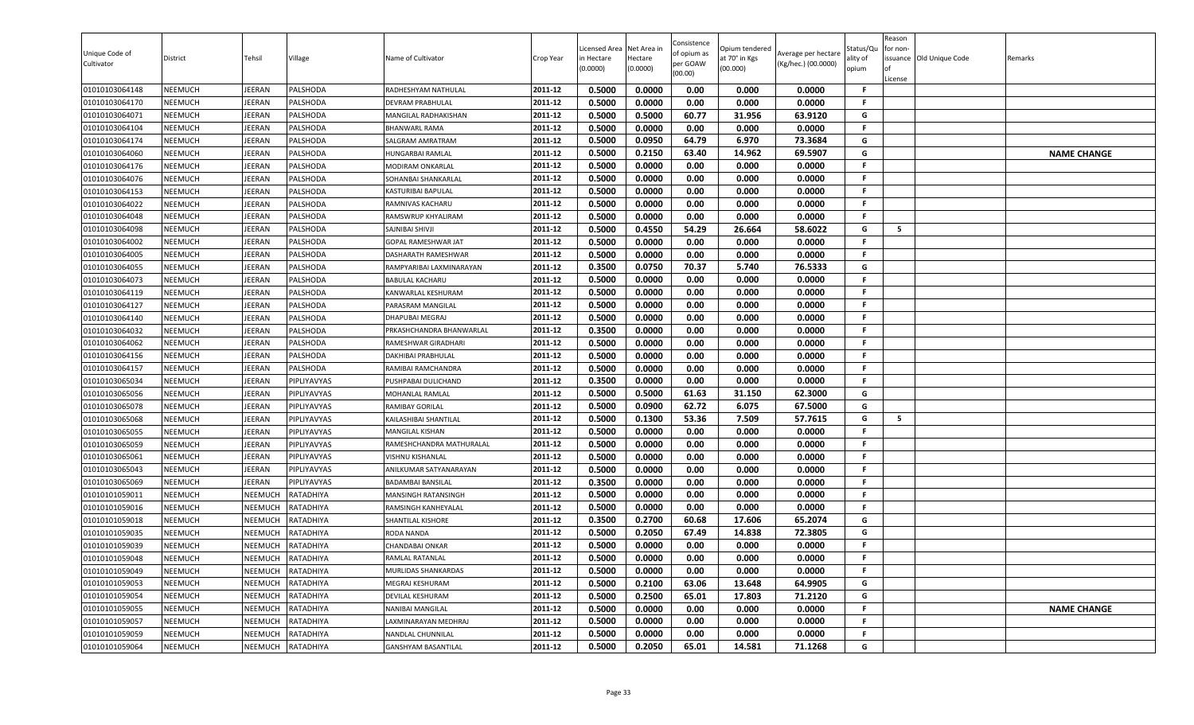| Unique Code of<br>Cultivator | District       | Tehsil         | Village     | Name of Cultivator         | Crop Year | Licensed Area<br>in Hectare<br>(0.0000) | Net Area in<br>Hectare<br>(0.0000) | Consistence<br>of opium as<br>per GOAW<br>(00.00) | Opium tendered<br>at 70° in Kgs<br>(00.000) | Average per hectare<br>(Kg/hec.) (00.0000) | Status/Qu<br>ality of<br>opium | Reason<br>for non-<br>License | ssuance Old Unique Code | Remarks            |
|------------------------------|----------------|----------------|-------------|----------------------------|-----------|-----------------------------------------|------------------------------------|---------------------------------------------------|---------------------------------------------|--------------------------------------------|--------------------------------|-------------------------------|-------------------------|--------------------|
| 01010103064148               | NEEMUCH        | EERAN          | PALSHODA    | RADHESHYAM NATHULAL        | 2011-12   | 0.5000                                  | 0.0000                             | 0.00                                              | 0.000                                       | 0.0000                                     | F.                             |                               |                         |                    |
| 01010103064170               | NEEMUCH        | EERAN          | PALSHODA    | DEVRAM PRABHULAL           | 2011-12   | 0.5000                                  | 0.0000                             | 0.00                                              | 0.000                                       | 0.0000                                     | F.                             |                               |                         |                    |
| 01010103064071               | NEEMUCH        | <b>JEERAN</b>  | PALSHODA    | MANGILAL RADHAKISHAN       | 2011-12   | 0.5000                                  | 0.5000                             | 60.77                                             | 31.956                                      | 63.9120                                    | G                              |                               |                         |                    |
| 01010103064104               | <b>NEEMUCH</b> | <b>JEERAN</b>  | PALSHODA    | <b>BHANWARL RAMA</b>       | 2011-12   | 0.5000                                  | 0.0000                             | 0.00                                              | 0.000                                       | 0.0000                                     | F.                             |                               |                         |                    |
| 01010103064174               | NEEMUCH        | JEERAN         | PALSHODA    | SALGRAM AMRATRAM           | 2011-12   | 0.5000                                  | 0.0950                             | 64.79                                             | 6.970                                       | 73.3684                                    | G                              |                               |                         |                    |
| 01010103064060               | <b>NEEMUCH</b> | EERAN          | PALSHODA    | HUNGARBAI RAMLAL           | 2011-12   | 0.5000                                  | 0.2150                             | 63.40                                             | 14.962                                      | 69.5907                                    | G                              |                               |                         | <b>NAME CHANGE</b> |
| 01010103064176               | <b>NEEMUCH</b> | JEERAN         | PALSHODA    | MODIRAM ONKARLAL           | 2011-12   | 0.5000                                  | 0.0000                             | 0.00                                              | 0.000                                       | 0.0000                                     | F.                             |                               |                         |                    |
| 01010103064076               | NEEMUCH        | <b>JEERAN</b>  | PALSHODA    | SOHANBAI SHANKARLAL        | 2011-12   | 0.5000                                  | 0.0000                             | 0.00                                              | 0.000                                       | 0.0000                                     | F.                             |                               |                         |                    |
| 01010103064153               | <b>NEEMUCH</b> | <b>JEERAN</b>  | PALSHODA    | <b>KASTURIBAI BAPULAL</b>  | 2011-12   | 0.5000                                  | 0.0000                             | 0.00                                              | 0.000                                       | 0.0000                                     | F.                             |                               |                         |                    |
| 01010103064022               | NEEMUCH        | EERAN          | PALSHODA    | RAMNIVAS KACHARU           | 2011-12   | 0.5000                                  | 0.0000                             | 0.00                                              | 0.000                                       | 0.0000                                     | F.                             |                               |                         |                    |
| 01010103064048               | NEEMUCH        | EERAN          | PALSHODA    | RAMSWRUP KHYALIRAM         | 2011-12   | 0.5000                                  | 0.0000                             | 0.00                                              | 0.000                                       | 0.0000                                     | F.                             |                               |                         |                    |
| 01010103064098               | NEEMUCH        | <b>JEERAN</b>  | PALSHODA    | SAJNIBAI SHIVJI            | 2011-12   | 0.5000                                  | 0.4550                             | 54.29                                             | 26.664                                      | 58.6022                                    | G                              | 5                             |                         |                    |
| 01010103064002               | <b>NEEMUCH</b> | JEERAN         | PALSHODA    | <b>GOPAL RAMESHWAR JAT</b> | 2011-12   | 0.5000                                  | 0.0000                             | 0.00                                              | 0.000                                       | 0.0000                                     | F.                             |                               |                         |                    |
| 01010103064005               | NEEMUCH        | JEERAN         | PALSHODA    | DASHARATH RAMESHWAR        | 2011-12   | 0.5000                                  | 0.0000                             | 0.00                                              | 0.000                                       | 0.0000                                     | F.                             |                               |                         |                    |
| 01010103064055               | <b>NEEMUCH</b> | EERAN          | PALSHODA    | RAMPYARIBAI LAXMINARAYAN   | 2011-12   | 0.3500                                  | 0.0750                             | 70.37                                             | 5.740                                       | 76.5333                                    | G                              |                               |                         |                    |
| 01010103064073               | <b>NEEMUCH</b> | <b>JEERAN</b>  | PALSHODA    | <b>BABULAL KACHARU</b>     | 2011-12   | 0.5000                                  | 0.0000                             | 0.00                                              | 0.000                                       | 0.0000                                     | F.                             |                               |                         |                    |
| 01010103064119               | NEEMUCH        | <b>JEERAN</b>  | PALSHODA    | KANWARLAL KESHURAM         | 2011-12   | 0.5000                                  | 0.0000                             | 0.00                                              | 0.000                                       | 0.0000                                     | F.                             |                               |                         |                    |
| 01010103064127               | <b>NEEMUCH</b> | <b>JEERAN</b>  | PALSHODA    | PARASRAM MANGILAL          | 2011-12   | 0.5000                                  | 0.0000                             | 0.00                                              | 0.000                                       | 0.0000                                     | F.                             |                               |                         |                    |
| 01010103064140               | NEEMUCH        | EERAN          | PALSHODA    | <b>DHAPUBAI MEGRAJ</b>     | 2011-12   | 0.5000                                  | 0.0000                             | 0.00                                              | 0.000                                       | 0.0000                                     | F.                             |                               |                         |                    |
| 01010103064032               | <b>NEEMUCH</b> | <b>JEERAN</b>  | PALSHODA    | PRKASHCHANDRA BHANWARLAL   | 2011-12   | 0.3500                                  | 0.0000                             | 0.00                                              | 0.000                                       | 0.0000                                     | F.                             |                               |                         |                    |
| 01010103064062               | NEEMUCH        | JEERAN         | PALSHODA    | RAMESHWAR GIRADHARI        | 2011-12   | 0.5000                                  | 0.0000                             | 0.00                                              | 0.000                                       | 0.0000                                     | F.                             |                               |                         |                    |
| 01010103064156               | <b>NEEMUCH</b> | JEERAN         | PALSHODA    | <b>DAKHIBAI PRABHULAL</b>  | 2011-12   | 0.5000                                  | 0.0000                             | 0.00                                              | 0.000                                       | 0.0000                                     | F.                             |                               |                         |                    |
| 01010103064157               | <b>NEEMUCH</b> | JEERAN         | PALSHODA    | RAMIBAI RAMCHANDRA         | 2011-12   | 0.5000                                  | 0.0000                             | 0.00                                              | 0.000                                       | 0.0000                                     | F.                             |                               |                         |                    |
| 01010103065034               | <b>NEEMUCH</b> | EERAN          | PIPLIYAVYAS | PUSHPABAI DULICHAND        | 2011-12   | 0.3500                                  | 0.0000                             | 0.00                                              | 0.000                                       | 0.0000                                     | F.                             |                               |                         |                    |
| 01010103065056               | <b>NEEMUCH</b> | EERAN          | PIPLIYAVYAS | MOHANLAL RAMLAL            | 2011-12   | 0.5000                                  | 0.5000                             | 61.63                                             | 31.150                                      | 62.3000                                    | G                              |                               |                         |                    |
| 01010103065078               | NEEMUCH        | <b>JEERAN</b>  | PIPLIYAVYAS | RAMIBAY GORILAL            | 2011-12   | 0.5000                                  | 0.0900                             | 62.72                                             | 6.075                                       | 67.5000                                    | G                              |                               |                         |                    |
| 01010103065068               | NEEMUCH        | JEERAN         | PIPLIYAVYAS | KAILASHIBAI SHANTILAL      | 2011-12   | 0.5000                                  | 0.1300                             | 53.36                                             | 7.509                                       | 57.7615                                    | G                              | 5                             |                         |                    |
| 01010103065055               | NEEMUCH        | EERAN          | PIPLIYAVYAS | <b>MANGILAL KISHAN</b>     | 2011-12   | 0.5000                                  | 0.0000                             | 0.00                                              | 0.000                                       | 0.0000                                     | F.                             |                               |                         |                    |
| 01010103065059               | <b>NEEMUCH</b> | EERAN          | PIPLIYAVYAS | RAMESHCHANDRA MATHURALAL   | 2011-12   | 0.5000                                  | 0.0000                             | 0.00                                              | 0.000                                       | 0.0000                                     | F.                             |                               |                         |                    |
| 01010103065061               | <b>NEEMUCH</b> | EERAN          | PIPLIYAVYAS | VISHNU KISHANLAL           | 2011-12   | 0.5000                                  | 0.0000                             | 0.00                                              | 0.000                                       | 0.0000                                     | F.                             |                               |                         |                    |
| 01010103065043               | <b>NEEMUCH</b> | JEERAN         | PIPLIYAVYAS | ANILKUMAR SATYANARAYAN     | 2011-12   | 0.5000                                  | 0.0000                             | 0.00                                              | 0.000                                       | 0.0000                                     | F.                             |                               |                         |                    |
| 01010103065069               | NEEMUCH        | <b>JEERAN</b>  | PIPLIYAVYAS | <b>BADAMBAI BANSILAI</b>   | 2011-12   | 0.3500                                  | 0.0000                             | 0.00                                              | 0.000                                       | 0.0000                                     | F.                             |                               |                         |                    |
| 01010101059011               | <b>NEEMUCH</b> | NEEMUCH        | RATADHIYA   | <b>MANSINGH RATANSINGH</b> | 2011-12   | 0.5000                                  | 0.0000                             | 0.00                                              | 0.000                                       | 0.0000                                     | F.                             |                               |                         |                    |
| 01010101059016               | <b>NEEMUCH</b> | NEEMUCH        | RATADHIYA   | RAMSINGH KANHEYALAL        | 2011-12   | 0.5000                                  | 0.0000                             | 0.00                                              | 0.000                                       | 0.0000                                     | F.                             |                               |                         |                    |
| 01010101059018               | NEEMUCH        | NEEMUCH        | RATADHIYA   | <b>SHANTILAL KISHORE</b>   | 2011-12   | 0.3500                                  | 0.2700                             | 60.68                                             | 17.606                                      | 65.2074                                    | G                              |                               |                         |                    |
| 01010101059035               | <b>NEEMUCH</b> | NEEMUCH        | RATADHIYA   | <b>RODA NANDA</b>          | 2011-12   | 0.5000                                  | 0.2050                             | 67.49                                             | 14.838                                      | 72.3805                                    | G                              |                               |                         |                    |
| 01010101059039               | NEEMUCH        | NEEMUCH        | RATADHIYA   | <b>CHANDABAI ONKAR</b>     | 2011-12   | 0.5000                                  | 0.0000                             | 0.00                                              | 0.000                                       | 0.0000                                     | F.                             |                               |                         |                    |
| 01010101059048               | NEEMUCH        | NEEMUCH        | RATADHIYA   | RAMLAL RATANLAL            | 2011-12   | 0.5000                                  | 0.0000                             | 0.00                                              | 0.000                                       | 0.0000                                     | F.                             |                               |                         |                    |
| 01010101059049               | <b>NEEMUCH</b> | <b>NEEMUCH</b> | RATADHIYA   | MURLIDAS SHANKARDAS        | 2011-12   | 0.5000                                  | 0.0000                             | 0.00                                              | 0.000                                       | 0.0000                                     | F.                             |                               |                         |                    |
| 01010101059053               | <b>NEEMUCH</b> | <b>NEEMUCH</b> | RATADHIYA   | MEGRAJ KESHURAM            | 2011-12   | 0.5000                                  | 0.2100                             | 63.06                                             | 13.648                                      | 64.9905                                    | G                              |                               |                         |                    |
| 01010101059054               | NEEMUCH        | <b>NEEMUCH</b> | RATADHIYA   | DEVILAL KESHURAM           | 2011-12   | 0.5000                                  | 0.2500                             | 65.01                                             | 17.803                                      | 71.2120                                    | G                              |                               |                         |                    |
| 01010101059055               | <b>NEEMUCH</b> | NEEMUCH        | RATADHIYA   | NANIBAI MANGILAL           | 2011-12   | 0.5000                                  | 0.0000                             | 0.00                                              | 0.000                                       | 0.0000                                     | F.                             |                               |                         | <b>NAME CHANGE</b> |
| 01010101059057               | NEEMUCH        | NEEMUCH        | RATADHIYA   | LAXMINARAYAN MEDHRAJ       | 2011-12   | 0.5000                                  | 0.0000                             | 0.00                                              | 0.000                                       | 0.0000                                     | F.                             |                               |                         |                    |
| 01010101059059               | <b>NEEMUCH</b> | NEEMUCH        | RATADHIYA   | NANDLAL CHUNNILAL          | 2011-12   | 0.5000                                  | 0.0000                             | 0.00                                              | 0.000                                       | 0.0000                                     | F.                             |                               |                         |                    |
| 01010101059064               | NEEMUCH        | NEEMUCH        | RATADHIYA   | <b>GANSHYAM BASANTILAL</b> | 2011-12   | 0.5000                                  | 0.2050                             | 65.01                                             | 14.581                                      | 71.1268                                    | G                              |                               |                         |                    |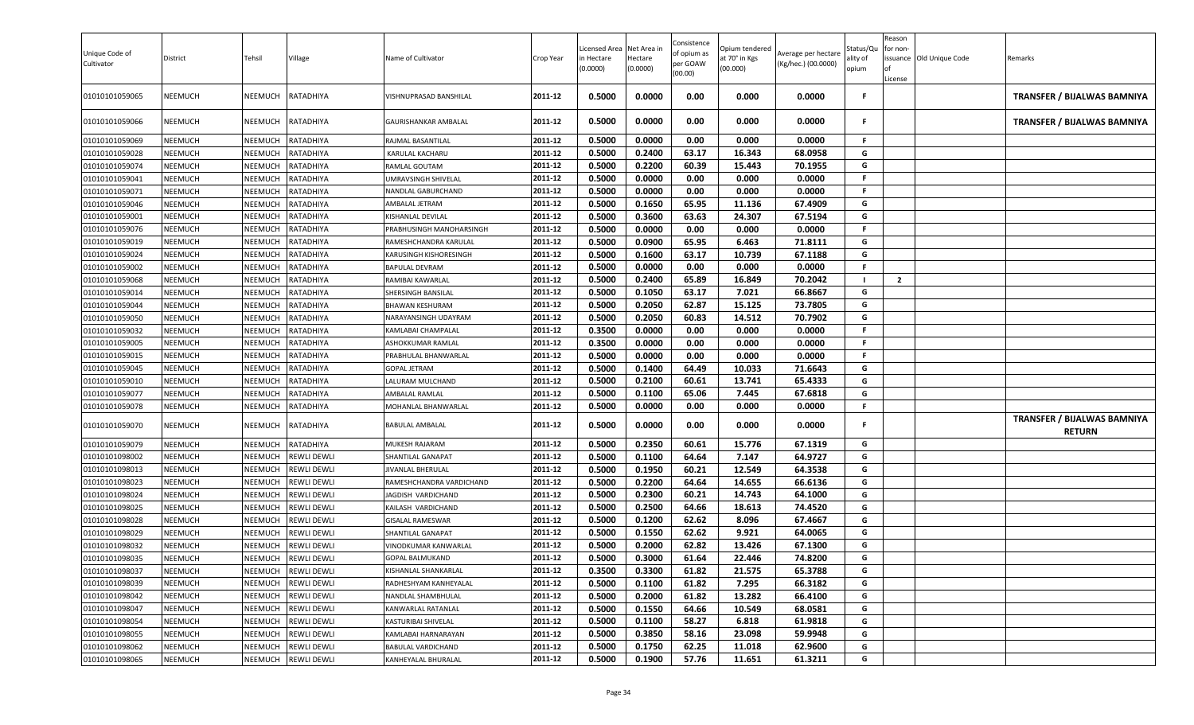| Unique Code of<br>Cultivator | District       | Tehsil  | Village            | Name of Cultivator          | Crop Year | icensed Area<br>in Hectare<br>(0.0000) | Net Area in<br>Hectare<br>(0.0000) | Consistence<br>of opium as<br>per GOAW<br>(00.00) | Opium tendered<br>at 70° in Kgs<br>(00.000) | Average per hectare<br>(Kg/hec.) (00.0000) | Status/Qu<br>ılity of<br>opium | Reason<br>or non-<br>License | issuance Old Unique Code | Remarks                                      |
|------------------------------|----------------|---------|--------------------|-----------------------------|-----------|----------------------------------------|------------------------------------|---------------------------------------------------|---------------------------------------------|--------------------------------------------|--------------------------------|------------------------------|--------------------------|----------------------------------------------|
| 01010101059065               | NEEMUCH        | NEEMUCH | RATADHIYA          | VISHNUPRASAD BANSHILAL      | 2011-12   | 0.5000                                 | 0.0000                             | 0.00                                              | 0.000                                       | 0.0000                                     | F                              |                              |                          | <b>TRANSFER / BIJALWAS BAMNIYA</b>           |
| 01010101059066               | NEEMUCH        | NEEMUCH | RATADHIYA          | GAURISHANKAR AMBALAL        | 2011-12   | 0.5000                                 | 0.0000                             | 0.00                                              | 0.000                                       | 0.0000                                     | .F                             |                              |                          | TRANSFER / BIJALWAS BAMNIYA                  |
| 01010101059069               | NEEMUCH        | NEEMUCH | RATADHIYA          | RAJMAL BASANTILAL           | 2011-12   | 0.5000                                 | 0.0000                             | 0.00                                              | 0.000                                       | 0.0000                                     | .F                             |                              |                          |                                              |
| 01010101059028               | <b>NEEMUCH</b> | NEEMUCH | RATADHIYA          | KARULAL KACHARU             | 2011-12   | 0.5000                                 | 0.2400                             | 63.17                                             | 16.343                                      | 68.0958                                    | G                              |                              |                          |                                              |
| 01010101059074               | <b>NEEMUCH</b> | NEEMUCH | RATADHIYA          | RAMLAL GOUTAM               | 2011-12   | 0.5000                                 | 0.2200                             | 60.39                                             | 15.443                                      | 70.1955                                    | G                              |                              |                          |                                              |
| 01010101059041               | NEEMUCH        | NEEMUCH | RATADHIYA          | UMRAVSINGH SHIVELAL         | 2011-12   | 0.5000                                 | 0.0000                             | 0.00                                              | 0.000                                       | 0.0000                                     | F                              |                              |                          |                                              |
| 01010101059071               | <b>NEEMUCH</b> | NEEMUCH | RATADHIYA          | NANDLAL GABURCHAND          | 2011-12   | 0.5000                                 | 0.0000                             | 0.00                                              | 0.000                                       | 0.0000                                     | F.                             |                              |                          |                                              |
| 01010101059046               | <b>NEEMUCH</b> | NEEMUCH | RATADHIYA          | AMBALAL JETRAM              | 2011-12   | 0.5000                                 | 0.1650                             | 65.95                                             | 11.136                                      | 67.4909                                    | G                              |                              |                          |                                              |
| 01010101059001               | <b>NEEMUCH</b> | NEEMUCH | RATADHIYA          | KISHANLAL DEVILAL           | 2011-12   | 0.5000                                 | 0.3600                             | 63.63                                             | 24.307                                      | 67.5194                                    | G                              |                              |                          |                                              |
| 01010101059076               | <b>NEEMUCH</b> | NEEMUCH | RATADHIYA          | PRABHUSINGH MANOHARSINGH    | 2011-12   | 0.5000                                 | 0.0000                             | 0.00                                              | 0.000                                       | 0.0000                                     | F                              |                              |                          |                                              |
| 01010101059019               | <b>NEEMUCH</b> | NEEMUCH | RATADHIYA          | RAMESHCHANDRA KARULAL       | 2011-12   | 0.5000                                 | 0.0900                             | 65.95                                             | 6.463                                       | 71.8111                                    | G                              |                              |                          |                                              |
| 01010101059024               | <b>NEEMUCH</b> | NEEMUCH | RATADHIYA          | KARUSINGH KISHORESINGH      | 2011-12   | 0.5000                                 | 0.1600                             | 63.17                                             | 10.739                                      | 67.1188                                    | G                              |                              |                          |                                              |
| 01010101059002               | NEEMUCH        | NEEMUCH | RATADHIYA          | <b>BAPULAL DEVRAM</b>       | 2011-12   | 0.5000                                 | 0.0000                             | 0.00                                              | 0.000                                       | 0.0000                                     | .F                             |                              |                          |                                              |
| 01010101059068               | <b>NEEMUCH</b> | NEEMUCH | RATADHIYA          | RAMIBAI KAWARLAL            | 2011-12   | 0.5000                                 | 0.2400                             | 65.89                                             | 16.849                                      | 70.2042                                    | - 1                            | $\overline{2}$               |                          |                                              |
| 01010101059014               | <b>NEEMUCH</b> | NEEMUCH | RATADHIYA          | SHERSINGH BANSILAL          | 2011-12   | 0.5000                                 | 0.1050                             | 63.17                                             | 7.021                                       | 66.8667                                    | G                              |                              |                          |                                              |
| 01010101059044               | NEEMUCH        | NEEMUCH | RATADHIYA          | <b>BHAWAN KESHURAM</b>      | 2011-12   | 0.5000                                 | 0.2050                             | 62.87                                             | 15.125                                      | 73.7805                                    | G                              |                              |                          |                                              |
| 01010101059050               | <b>NEEMUCH</b> | NEEMUCH | RATADHIYA          | NARAYANSINGH UDAYRAM        | 2011-12   | 0.5000                                 | 0.2050                             | 60.83                                             | 14.512                                      | 70.7902                                    | G                              |                              |                          |                                              |
| 01010101059032               | <b>NEEMUCH</b> | NEEMUCH | RATADHIYA          | KAMLABAI CHAMPALAL          | 2011-12   | 0.3500                                 | 0.0000                             | 0.00                                              | 0.000                                       | 0.0000                                     | F                              |                              |                          |                                              |
| 01010101059005               | <b>NEEMUCH</b> | NEEMUCH | RATADHIYA          | ASHOKKUMAR RAMLAL           | 2011-12   | 0.3500                                 | 0.0000                             | 0.00                                              | 0.000                                       | 0.0000                                     | F                              |                              |                          |                                              |
| 01010101059015               | NEEMUCH        | NEEMUCH | RATADHIYA          | PRABHULAL BHANWARLAL        | 2011-12   | 0.5000                                 | 0.0000                             | 0.00                                              | 0.000                                       | 0.0000                                     | F.                             |                              |                          |                                              |
| 01010101059045               | <b>NEEMUCH</b> | NEEMUCH | RATADHIYA          | <b>GOPAL JETRAM</b>         | 2011-12   | 0.5000                                 | 0.1400                             | 64.49                                             | 10.033                                      | 71.6643                                    | G                              |                              |                          |                                              |
| 01010101059010               | NEEMUCH        | NEEMUCH | RATADHIYA          | LALURAM MULCHAND            | 2011-12   | 0.5000                                 | 0.2100                             | 60.61                                             | 13.741                                      | 65.4333                                    | G                              |                              |                          |                                              |
| 01010101059077               | <b>NEEMUCH</b> | NEEMUCH | RATADHIYA          | AMBALAL RAMLAL              | 2011-12   | 0.5000                                 | 0.1100                             | 65.06                                             | 7.445                                       | 67.6818                                    | G                              |                              |                          |                                              |
| 01010101059078               | <b>NEEMUCH</b> | NEEMUCH | RATADHIYA          | MOHANLAL BHANWARLAL         | 2011-12   | 0.5000                                 | 0.0000                             | 0.00                                              | 0.000                                       | 0.0000                                     | F.                             |                              |                          |                                              |
| 01010101059070               | NEEMUCH        | NEEMUCH | RATADHIYA          | BABULAL AMBALAL             | 2011-12   | 0.5000                                 | 0.0000                             | 0.00                                              | 0.000                                       | 0.0000                                     | -F                             |                              |                          | TRANSFER / BIJALWAS BAMNIYA<br><b>RETURN</b> |
| 01010101059079               | <b>NEEMUCH</b> | NEEMUCH | RATADHIYA          | MUKESH RAJARAM              | 2011-12   | 0.5000                                 | 0.2350                             | 60.61                                             | 15.776                                      | 67.1319                                    | G                              |                              |                          |                                              |
| 01010101098002               | <b>NEEMUCH</b> | NEEMUCH | <b>REWLI DEWLI</b> | SHANTILAL GANAPAT           | 2011-12   | 0.5000                                 | 0.1100                             | 64.64                                             | 7.147                                       | 64.9727                                    | G                              |                              |                          |                                              |
| 01010101098013               | NEEMUCH        | NEEMUCH | REWLI DEWLI        | JIVANLAL BHERULAL           | 2011-12   | 0.5000                                 | 0.1950                             | 60.21                                             | 12.549                                      | 64.3538                                    | G                              |                              |                          |                                              |
| 01010101098023               | NEEMUCH        | NEEMUCH | <b>REWLI DEWLI</b> | RAMESHCHANDRA VARDICHAND    | 2011-12   | 0.5000                                 | 0.2200                             | 64.64                                             | 14.655                                      | 66.6136                                    | G                              |                              |                          |                                              |
| 01010101098024               | NEEMUCH        | NEEMUCH | REWLI DEWLI        | JAGDISH VARDICHAND          | 2011-12   | 0.5000                                 | 0.2300                             | 60.21                                             | 14.743                                      | 64.1000                                    | G                              |                              |                          |                                              |
| 01010101098025               | <b>NEEMUCH</b> | NEEMUCH | <b>REWLI DEWLI</b> | KAILASH VARDICHAND          | 2011-12   | 0.5000                                 | 0.2500                             | 64.66                                             | 18.613                                      | 74.4520                                    | G                              |                              |                          |                                              |
| 01010101098028               | <b>NEEMUCH</b> | NEEMUCH | REWLI DEWLI        | <b>GISALAL RAMESWAR</b>     | 2011-12   | 0.5000                                 | 0.1200                             | 62.62                                             | 8.096                                       | 67.4667                                    | G                              |                              |                          |                                              |
| 01010101098029               | <b>NEEMUCH</b> | NEEMUCH | REWLI DEWLI        | SHANTILAL GANAPAT           | 2011-12   | 0.5000                                 | 0.1550                             | 62.62                                             | 9.921                                       | 64.0065                                    | G                              |                              |                          |                                              |
| 01010101098032               | <b>NEEMUCH</b> | NEEMUCH | <b>REWLI DEWLI</b> | <b>VINODKUMAR KANWARLAL</b> | 2011-12   | 0.5000                                 | 0.2000                             | 62.82                                             | 13.426                                      | 67.1300                                    | G                              |                              |                          |                                              |
| 01010101098035               | NEEMUCH        | NEEMUCH | <b>REWLI DEWLI</b> | GOPAL BALMUKAND             | 2011-12   | 0.5000                                 | 0.3000                             | 61.64                                             | 22.446                                      | 74.8200                                    | G                              |                              |                          |                                              |
| 01010101098037               | <b>NEEMUCH</b> | NEEMUCH | <b>REWLI DEWLI</b> | KISHANLAL SHANKARLAL        | 2011-12   | 0.3500                                 | 0.3300                             | 61.82                                             | 21.575                                      | 65.3788                                    | G                              |                              |                          |                                              |
| 01010101098039               | <b>NEEMUCH</b> | NEEMUCH | <b>REWLI DEWLI</b> | RADHESHYAM KANHEYALAL       | 2011-12   | 0.5000                                 | 0.1100                             | 61.82                                             | 7.295                                       | 66.3182                                    | G                              |                              |                          |                                              |
| 01010101098042               | <b>NEEMUCH</b> | NEEMUCH | <b>REWLI DEWLI</b> | NANDLAL SHAMBHULAL          | 2011-12   | 0.5000                                 | 0.2000                             | 61.82                                             | 13.282                                      | 66.4100                                    | G                              |                              |                          |                                              |
| 01010101098047               | <b>NEEMUCH</b> | NEEMUCH | <b>REWLI DEWLI</b> | KANWARLAL RATANLAL          | 2011-12   | 0.5000                                 | 0.1550                             | 64.66                                             | 10.549                                      | 68.0581                                    | G                              |                              |                          |                                              |
| 01010101098054               | <b>NEEMUCH</b> | NEEMUCH | <b>REWLI DEWLI</b> | KASTURIBAI SHIVELAL         | 2011-12   | 0.5000                                 | 0.1100                             | 58.27                                             | 6.818                                       | 61.9818                                    | G                              |                              |                          |                                              |
| 01010101098055               | <b>NEEMUCH</b> | NEEMUCH | <b>REWLI DEWLI</b> | KAMLABAI HARNARAYAN         | 2011-12   | 0.5000                                 | 0.3850                             | 58.16                                             | 23.098                                      | 59.9948                                    | G                              |                              |                          |                                              |
| 01010101098062               | <b>NEEMUCH</b> | NEEMUCH | <b>REWLI DEWLI</b> | <b>BABULAL VARDICHAND</b>   | 2011-12   | 0.5000                                 | 0.1750                             | 62.25                                             | 11.018                                      | 62.9600                                    | G                              |                              |                          |                                              |
| 01010101098065               | <b>NEEMUCH</b> | NEEMUCH | <b>REWLI DEWLI</b> | KANHEYALAL BHURALAL         | 2011-12   | 0.5000                                 | 0.1900                             | 57.76                                             | 11.651                                      | 61.3211                                    | G                              |                              |                          |                                              |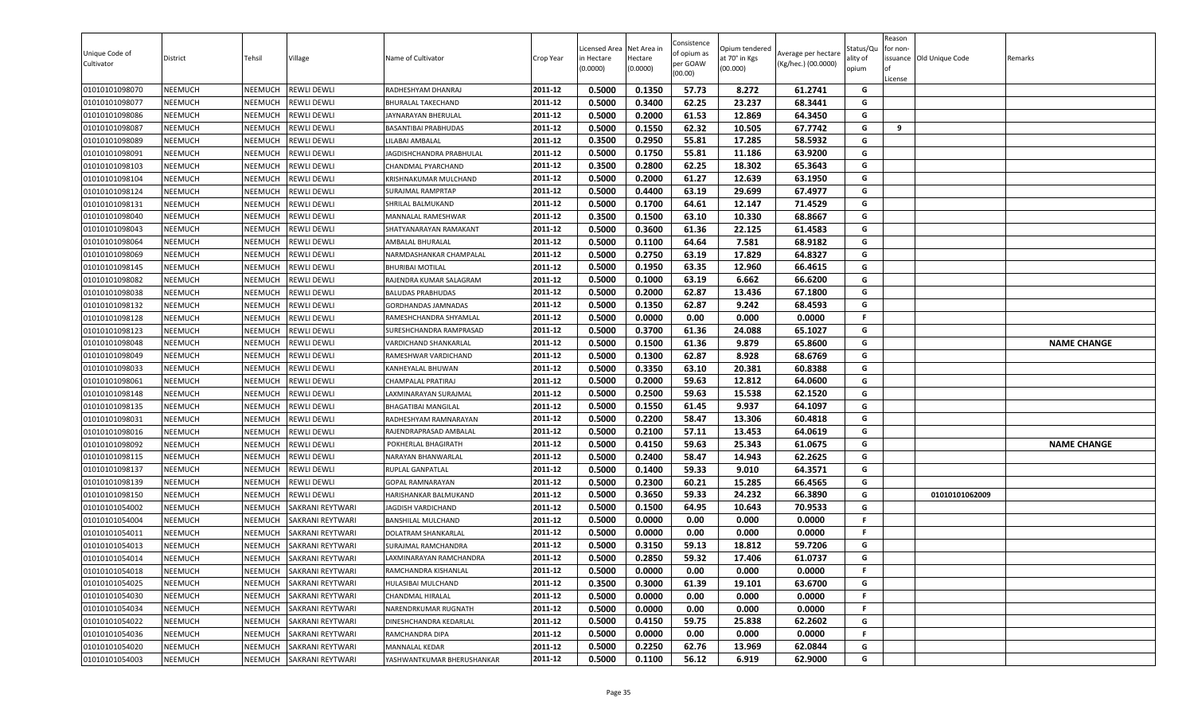| Unique Code of<br>Cultivator | District       | Tehsil         | Village                 | Name of Cultivator           | Crop Year | Licensed Area<br>in Hectare<br>(0.0000) | Net Area in<br>Hectare<br>(0.0000) | Consistence<br>of opium as<br>per GOAW<br>(00.00) | Opium tendered<br>at 70° in Kgs<br>(00.000) | Average per hectare<br>(Kg/hec.) (00.0000) | Status/Qu<br>ality of<br>opium | Reason<br>for non-<br>ssuance Old Unique Code<br>License | Remarks            |
|------------------------------|----------------|----------------|-------------------------|------------------------------|-----------|-----------------------------------------|------------------------------------|---------------------------------------------------|---------------------------------------------|--------------------------------------------|--------------------------------|----------------------------------------------------------|--------------------|
| 01010101098070               | <b>NEEMUCH</b> | NEEMUCH        | <b>REWLI DEWLI</b>      | RADHESHYAM DHANRAJ           | 2011-12   | 0.5000                                  | 0.1350                             | 57.73                                             | 8.272                                       | 61.2741                                    | G                              |                                                          |                    |
| 01010101098077               | <b>NEEMUCH</b> | NEEMUCH        | <b>REWLI DEWLI</b>      | BHURALAL TAKECHAND           | 2011-12   | 0.5000                                  | 0.3400                             | 62.25                                             | 23.237                                      | 68.3441                                    | G                              |                                                          |                    |
| 01010101098086               | <b>NEEMUCH</b> | NEEMUCH        | <b>REWLI DEWLI</b>      | JAYNARAYAN BHERULAL          | 2011-12   | 0.5000                                  | 0.2000                             | 61.53                                             | 12.869                                      | 64.3450                                    | G                              |                                                          |                    |
| 01010101098087               | <b>NEEMUCH</b> | NEEMUCH        | <b>REWLI DEWLI</b>      | BASANTIBAI PRABHUDAS         | 2011-12   | 0.5000                                  | 0.1550                             | 62.32                                             | 10.505                                      | 67.7742                                    | G                              | 9                                                        |                    |
| 01010101098089               | <b>NEEMUCH</b> | NEEMUCH        | <b>REWLI DEWLI</b>      | LILABAI AMBALAL              | 2011-12   | 0.3500                                  | 0.2950                             | 55.81                                             | 17.285                                      | 58.5932                                    | G                              |                                                          |                    |
| 01010101098091               | <b>NEEMUCH</b> | NEEMUCH        | <b>REWLI DEWLI</b>      | JAGDISHCHANDRA PRABHULAL     | 2011-12   | 0.5000                                  | 0.1750                             | 55.81                                             | 11.186                                      | 63.9200                                    | G                              |                                                          |                    |
| 01010101098103               | <b>NEEMUCH</b> | NEEMUCH        | <b>REWLI DEWLI</b>      | CHANDMAL PYARCHAND           | 2011-12   | 0.3500                                  | 0.2800                             | 62.25                                             | 18.302                                      | 65.3643                                    | G                              |                                                          |                    |
| 01010101098104               | <b>NEEMUCH</b> | NEEMUCH        | <b>REWLI DEWLI</b>      | <b>KRISHNAKUMAR MULCHAND</b> | 2011-12   | 0.5000                                  | 0.2000                             | 61.27                                             | 12.639                                      | 63.1950                                    | G                              |                                                          |                    |
| 01010101098124               | <b>NEEMUCH</b> | NEEMUCH        | <b>REWLI DEWLI</b>      | <b>SURAJMAL RAMPRTAP</b>     | 2011-12   | 0.5000                                  | 0.4400                             | 63.19                                             | 29.699                                      | 67.4977                                    | G                              |                                                          |                    |
| 01010101098131               | <b>NEEMUCH</b> | NEEMUCH        | <b>REWLI DEWLI</b>      | SHRILAL BALMUKAND            | 2011-12   | 0.5000                                  | 0.1700                             | 64.61                                             | 12.147                                      | 71.4529                                    | G                              |                                                          |                    |
| 01010101098040               | <b>NEEMUCH</b> | NEEMUCH        | <b>REWLI DEWLI</b>      | MANNALAL RAMESHWAR           | 2011-12   | 0.3500                                  | 0.1500                             | 63.10                                             | 10.330                                      | 68.8667                                    | G                              |                                                          |                    |
| 01010101098043               | <b>NEEMUCH</b> | NEEMUCH        | <b>REWLI DEWLI</b>      | SHATYANARAYAN RAMAKANT       | 2011-12   | 0.5000                                  | 0.3600                             | 61.36                                             | 22.125                                      | 61.4583                                    | G                              |                                                          |                    |
| 01010101098064               | <b>NEEMUCH</b> | NEEMUCH        | <b>REWLI DEWLI</b>      | AMBALAL BHURALAL             | 2011-12   | 0.5000                                  | 0.1100                             | 64.64                                             | 7.581                                       | 68.9182                                    | G                              |                                                          |                    |
| 01010101098069               | <b>NEEMUCH</b> | NEEMUCH        | <b>REWLI DEWLI</b>      | NARMDASHANKAR CHAMPALAL      | 2011-12   | 0.5000                                  | 0.2750                             | 63.19                                             | 17.829                                      | 64.8327                                    | G                              |                                                          |                    |
| 01010101098145               | <b>NEEMUCH</b> | NEEMUCH        | <b>REWLI DEWLI</b>      | <b>BHURIBAI MOTILAL</b>      | 2011-12   | 0.5000                                  | 0.1950                             | 63.35                                             | 12.960                                      | 66.4615                                    | G                              |                                                          |                    |
| 01010101098082               | <b>NEEMUCH</b> | NEEMUCH        | <b>REWLI DEWLI</b>      | RAJENDRA KUMAR SALAGRAM      | 2011-12   | 0.5000                                  | 0.1000                             | 63.19                                             | 6.662                                       | 66.6200                                    | G                              |                                                          |                    |
| 01010101098038               | <b>NEEMUCH</b> | NEEMUCH        | <b>REWLI DEWLI</b>      | <b>BALUDAS PRABHUDAS</b>     | 2011-12   | 0.5000                                  | 0.2000                             | 62.87                                             | 13.436                                      | 67.1800                                    | G                              |                                                          |                    |
| 01010101098132               | <b>NEEMUCH</b> | NEEMUCH        | <b>REWLI DEWLI</b>      | GORDHANDAS JAMNADAS          | 2011-12   | 0.5000                                  | 0.1350                             | 62.87                                             | 9.242                                       | 68.4593                                    | G                              |                                                          |                    |
| 01010101098128               | <b>NEEMUCH</b> | NEEMUCH        | <b>REWLI DEWLI</b>      | RAMESHCHANDRA SHYAMLAL       | 2011-12   | 0.5000                                  | 0.0000                             | 0.00                                              | 0.000                                       | 0.0000                                     | -F                             |                                                          |                    |
| 01010101098123               | <b>NEEMUCH</b> | NEEMUCH        | <b>REWLI DEWLI</b>      | SURESHCHANDRA RAMPRASAD      | 2011-12   | 0.5000                                  | 0.3700                             | 61.36                                             | 24.088                                      | 65.1027                                    | G                              |                                                          |                    |
| 01010101098048               | <b>NEEMUCH</b> | NEEMUCH        | <b>REWLI DEWLI</b>      | VARDICHAND SHANKARLAL        | 2011-12   | 0.5000                                  | 0.1500                             | 61.36                                             | 9.879                                       | 65.8600                                    | G                              |                                                          | <b>NAME CHANGE</b> |
| 01010101098049               | <b>NEEMUCH</b> | NEEMUCH        | <b>REWLI DEWLI</b>      | RAMESHWAR VARDICHAND         | 2011-12   | 0.5000                                  | 0.1300                             | 62.87                                             | 8.928                                       | 68.6769                                    | G                              |                                                          |                    |
| 01010101098033               | <b>NEEMUCH</b> | NEEMUCH        | <b>REWLI DEWLI</b>      | KANHEYALAL BHUWAN            | 2011-12   | 0.5000                                  | 0.3350                             | 63.10                                             | 20.381                                      | 60.8388                                    | G                              |                                                          |                    |
| 01010101098061               | <b>NEEMUCH</b> | NEEMUCH        | <b>REWLI DEWLI</b>      | CHAMPALAL PRATIRAJ           | 2011-12   | 0.5000                                  | 0.2000                             | 59.63                                             | 12.812                                      | 64.0600                                    | G                              |                                                          |                    |
| 01010101098148               | <b>NEEMUCH</b> | NEEMUCH        | <b>REWLI DEWLI</b>      | LAXMINARAYAN SURAJMAL        | 2011-12   | 0.5000                                  | 0.2500                             | 59.63                                             | 15.538                                      | 62.1520                                    | G                              |                                                          |                    |
| 01010101098135               | <b>NEEMUCH</b> | NEEMUCH        | <b>REWLI DEWLI</b>      | <b>BHAGATIBAI MANGILAL</b>   | 2011-12   | 0.5000                                  | 0.1550                             | 61.45                                             | 9.937                                       | 64.1097                                    | G                              |                                                          |                    |
| 01010101098031               | <b>NEEMUCH</b> | NEEMUCH        | <b>REWLI DEWLI</b>      | RADHESHYAM RAMNARAYAN        | 2011-12   | 0.5000                                  | 0.2200                             | 58.47                                             | 13.306                                      | 60.4818                                    | G                              |                                                          |                    |
| 01010101098016               | <b>NEEMUCH</b> | NEEMUCH        | <b>REWLI DEWLI</b>      | RAJENDRAPRASAD AMBALAL       | 2011-12   | 0.5000                                  | 0.2100                             | 57.11                                             | 13.453                                      | 64.0619                                    | G                              |                                                          |                    |
| 01010101098092               | <b>NEEMUCH</b> | NEEMUCH        | <b>REWLI DEWLI</b>      | POKHERLAL BHAGIRATH          | 2011-12   | 0.5000                                  | 0.4150                             | 59.63                                             | 25.343                                      | 61.0675                                    | G                              |                                                          | <b>NAME CHANGE</b> |
| 01010101098115               | <b>NEEMUCH</b> | NEEMUCH        | <b>REWLI DEWLI</b>      | NARAYAN BHANWARLAL           | 2011-12   | 0.5000                                  | 0.2400                             | 58.47                                             | 14.943                                      | 62.2625                                    | G                              |                                                          |                    |
| 01010101098137               | <b>NEEMUCH</b> | NEEMUCH        | <b>REWLI DEWLI</b>      | RUPLAL GANPATLAL             | 2011-12   | 0.5000                                  | 0.1400                             | 59.33                                             | 9.010                                       | 64.3571                                    | G                              |                                                          |                    |
| 01010101098139               | <b>NEEMUCH</b> | <b>NEEMUCH</b> | <b>REWLI DEWLI</b>      | GOPAL RAMNARAYAN             | 2011-12   | 0.5000                                  | 0.2300                             | 60.21                                             | 15.285                                      | 66.4565                                    | G                              |                                                          |                    |
| 01010101098150               | <b>NEEMUCH</b> | NEEMUCH        | <b>REWLI DEWLI</b>      | HARISHANKAR BALMUKAND        | 2011-12   | 0.5000                                  | 0.3650                             | 59.33                                             | 24.232                                      | 66.3890                                    | G                              | 01010101062009                                           |                    |
| 01010101054002               | <b>NEEMUCH</b> | NEEMUCH        | SAKRANI REYTWARI        | JAGDISH VARDICHAND           | 2011-12   | 0.5000                                  | 0.1500                             | 64.95                                             | 10.643                                      | 70.9533                                    | G                              |                                                          |                    |
| 01010101054004               | <b>NEEMUCH</b> | NEEMUCH        | SAKRANI REYTWARI        | <b>BANSHILAL MULCHAND</b>    | 2011-12   | 0.5000                                  | 0.0000                             | 0.00                                              | 0.000                                       | 0.0000                                     | F.                             |                                                          |                    |
| 01010101054011               | <b>NEEMUCH</b> | <b>NEEMUCH</b> | SAKRANI REYTWARI        | DOLATRAM SHANKARLAL          | 2011-12   | 0.5000                                  | 0.0000                             | 0.00                                              | 0.000                                       | 0.0000                                     | F.                             |                                                          |                    |
| 01010101054013               | <b>NEEMUCH</b> | NEEMUCH        | <b>SAKRANI REYTWARI</b> | <b>SURAJMAL RAMCHANDRA</b>   | 2011-12   | 0.5000                                  | 0.3150                             | 59.13                                             | 18.812                                      | 59.7206                                    | G                              |                                                          |                    |
| 01010101054014               | <b>NEEMUCH</b> | NEEMUCH        | <b>SAKRANI REYTWARI</b> | LAXMINARAYAN RAMCHANDRA      | 2011-12   | 0.5000                                  | 0.2850                             | 59.32                                             | 17.406                                      | 61.0737                                    | G                              |                                                          |                    |
| 01010101054018               | <b>NEEMUCH</b> | NEEMUCH        | SAKRANI REYTWARI        | RAMCHANDRA KISHANLAL         | 2011-12   | 0.5000                                  | 0.0000                             | 0.00                                              | 0.000                                       | 0.0000                                     | F.                             |                                                          |                    |
| 01010101054025               | <b>NEEMUCH</b> | NEEMUCH        | SAKRANI REYTWARI        | HULASIBAI MULCHAND           | 2011-12   | 0.3500                                  | 0.3000                             | 61.39                                             | 19.101                                      | 63.6700                                    | G                              |                                                          |                    |
| 01010101054030               | <b>NEEMUCH</b> | NEEMUCH        | <b>SAKRANI REYTWARI</b> | CHANDMAL HIRALAL             | 2011-12   | 0.5000                                  | 0.0000                             | 0.00                                              | 0.000                                       | 0.0000                                     | -F                             |                                                          |                    |
| 01010101054034               | <b>NEEMUCH</b> | NEEMUCH        | SAKRANI REYTWARI        | NARENDRKUMAR RUGNATH         | 2011-12   | 0.5000                                  | 0.0000                             | 0.00                                              | 0.000                                       | 0.0000                                     | -F                             |                                                          |                    |
| 01010101054022               | <b>NEEMUCH</b> | NEEMUCH        | SAKRANI REYTWARI        | DINESHCHANDRA KEDARLAL       | 2011-12   | 0.5000                                  | 0.4150                             | 59.75                                             | 25.838                                      | 62.2602                                    | G                              |                                                          |                    |
| 01010101054036               | <b>NEEMUCH</b> | NEEMUCH        | SAKRANI REYTWARI        | RAMCHANDRA DIPA              | 2011-12   | 0.5000                                  | 0.0000                             | 0.00                                              | 0.000                                       | 0.0000                                     | F.                             |                                                          |                    |
| 01010101054020               | <b>NEEMUCH</b> | NEEMUCH        | SAKRANI REYTWARI        | <b>MANNALAL KEDAR</b>        | 2011-12   | 0.5000                                  | 0.2250                             | 62.76                                             | 13.969                                      | 62.0844                                    | G                              |                                                          |                    |
| 01010101054003               | <b>NEEMUCH</b> | NEEMUCH        | SAKRANI REYTWARI        | YASHWANTKUMAR BHERUSHANKAR   | 2011-12   | 0.5000                                  | 0.1100                             | 56.12                                             | 6.919                                       | 62.9000                                    | G                              |                                                          |                    |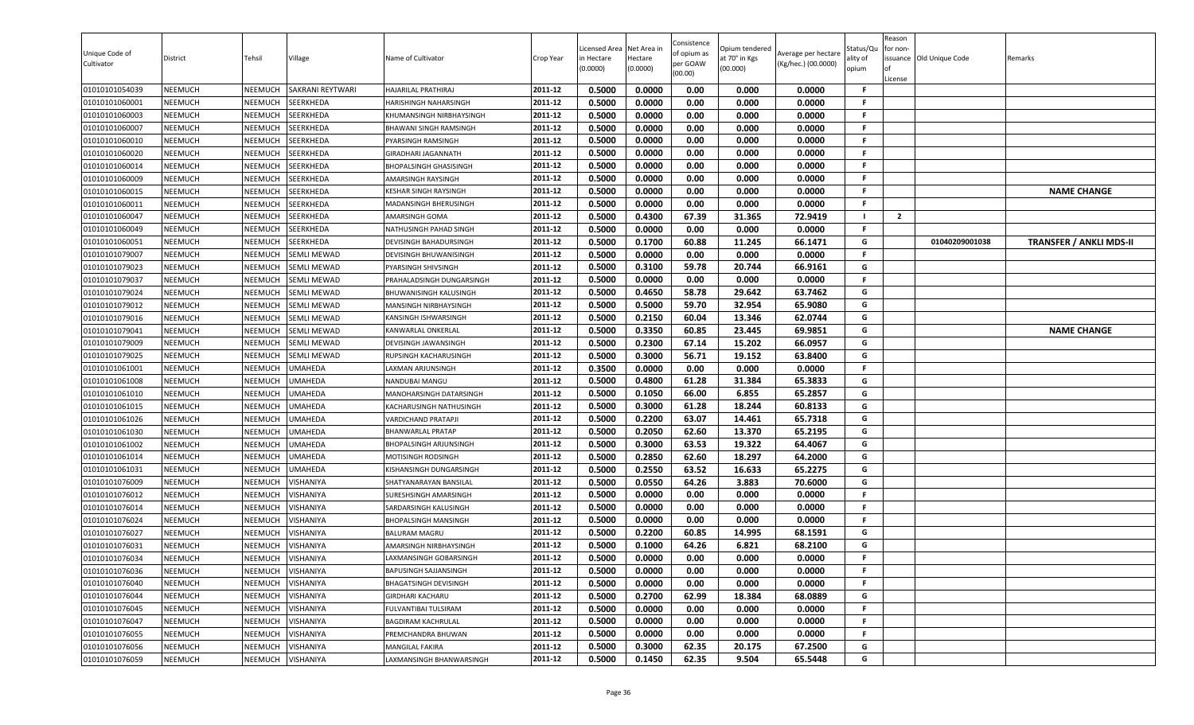| Unique Code of<br>Cultivator     | District                         | Tehsil                    | Village                | Name of Cultivator                                  | Crop Year          | Licensed Area<br>in Hectare<br>(0.0000) | Net Area in<br>Hectare<br>(0.0000) | Consistence<br>of opium as<br>per GOAW<br>(00.00) | Opium tendered<br>at 70° in Kgs<br>(00.000) | Average per hectare<br>(Kg/hec.) (00.0000) | Status/Qu<br>ality of<br>opium | Reason<br>for non-<br>ssuance Old Unique Code<br>License | Remarks                        |
|----------------------------------|----------------------------------|---------------------------|------------------------|-----------------------------------------------------|--------------------|-----------------------------------------|------------------------------------|---------------------------------------------------|---------------------------------------------|--------------------------------------------|--------------------------------|----------------------------------------------------------|--------------------------------|
| 01010101054039                   | <b>NEEMUCH</b>                   | NEEMUCH                   | SAKRANI REYTWARI       | HAJARILAL PRATHIRAJ                                 | 2011-12            | 0.5000                                  | 0.0000                             | 0.00                                              | 0.000                                       | 0.0000                                     | -F                             |                                                          |                                |
| 01010101060001                   | <b>NEEMUCH</b>                   | NEEMUCH                   | SEERKHEDA              | HARISHINGH NAHARSINGH                               | 2011-12            | 0.5000                                  | 0.0000                             | 0.00                                              | 0.000                                       | 0.0000                                     | -F                             |                                                          |                                |
| 01010101060003                   | NEEMUCH                          | NEEMUCH                   | SEERKHEDA              | KHUMANSINGH NIRBHAYSINGH                            | 2011-12            | 0.5000                                  | 0.0000                             | 0.00                                              | 0.000                                       | 0.0000                                     | F.                             |                                                          |                                |
| 01010101060007                   | <b>NEEMUCH</b>                   | NEEMUCH                   | SEERKHEDA              | BHAWANI SINGH RAMSINGH                              | 2011-12            | 0.5000                                  | 0.0000                             | 0.00                                              | 0.000                                       | 0.0000                                     | F.                             |                                                          |                                |
| 01010101060010                   | <b>NEEMUCH</b>                   | NEEMUCH                   | SEERKHEDA              | PYARSINGH RAMSINGH                                  | 2011-12            | 0.5000                                  | 0.0000                             | 0.00                                              | 0.000                                       | 0.0000                                     | F.                             |                                                          |                                |
| 01010101060020                   | <b>NEEMUCH</b>                   | NEEMUCH                   | <b>SEERKHEDA</b>       | <b>GIRADHARI JAGANNATH</b>                          | 2011-12            | 0.5000                                  | 0.0000                             | 0.00                                              | 0.000                                       | 0.0000                                     | F.                             |                                                          |                                |
| 01010101060014                   | <b>NEEMUCH</b>                   | NEEMUCH                   | SEERKHEDA              | <b>BHOPALSINGH GHASISINGH</b>                       | 2011-12            | 0.5000                                  | 0.0000                             | 0.00                                              | 0.000                                       | 0.0000                                     | F.                             |                                                          |                                |
| 01010101060009                   | <b>NEEMUCH</b>                   | NEEMUCH                   | SEERKHEDA              | <b>AMARSINGH RAYSINGH</b>                           | 2011-12            | 0.5000                                  | 0.0000                             | 0.00                                              | 0.000                                       | 0.0000                                     | F.                             |                                                          |                                |
| 01010101060015                   | <b>NEEMUCH</b>                   | NEEMUCH                   | SEERKHEDA              | <b>KESHAR SINGH RAYSINGH</b>                        | 2011-12            | 0.5000                                  | 0.0000                             | 0.00                                              | 0.000                                       | 0.0000                                     | F.                             |                                                          | <b>NAME CHANGE</b>             |
| 01010101060011                   | <b>NEEMUCH</b>                   | NEEMUCH                   | SEERKHEDA              | MADANSINGH BHERUSINGH                               | 2011-12            | 0.5000                                  | 0.0000                             | 0.00                                              | 0.000                                       | 0.0000                                     | F.                             |                                                          |                                |
| 01010101060047                   | <b>NEEMUCH</b>                   | NEEMUCH                   | SEERKHEDA              | AMARSINGH GOMA                                      | 2011-12            | 0.5000                                  | 0.4300                             | 67.39                                             | 31.365                                      | 72.9419                                    |                                | $\overline{2}$                                           |                                |
| 01010101060049                   | <b>NEEMUCH</b>                   | NEEMUCH                   | SEERKHEDA              | NATHUSINGH PAHAD SINGH                              | 2011-12            | 0.5000                                  | 0.0000                             | 0.00                                              | 0.000                                       | 0.0000                                     | F.                             |                                                          |                                |
| 01010101060051                   | <b>NEEMUCH</b>                   | <b>NEEMUCH</b>            | SEERKHEDA              | DEVISINGH BAHADURSINGH                              | 2011-12            | 0.5000                                  | 0.1700                             | 60.88                                             | 11.245                                      | 66.1471                                    | G                              | 01040209001038                                           | <b>TRANSFER / ANKLI MDS-II</b> |
| 01010101079007                   | <b>NEEMUCH</b>                   | NEEMUCH                   | <b>SEMLI MEWAD</b>     | DEVISINGH BHUWANISINGH                              | 2011-12            | 0.5000                                  | 0.0000                             | 0.00                                              | 0.000                                       | 0.0000                                     | F.                             |                                                          |                                |
| 01010101079023                   | <b>NEEMUCH</b>                   | NEEMUCH                   | <b>SEMLI MEWAD</b>     | PYARSINGH SHIVSINGH                                 | 2011-12            | 0.5000                                  | 0.3100                             | 59.78                                             | 20.744                                      | 66.9161                                    | G<br>-F                        |                                                          |                                |
| 01010101079037                   | <b>NEEMUCH</b>                   | NEEMUCH                   | <b>SEMLI MEWAD</b>     | PRAHALADSINGH DUNGARSINGH                           | 2011-12            | 0.5000                                  | 0.0000                             | 0.00                                              | 0.000                                       | 0.0000                                     |                                |                                                          |                                |
| 01010101079024                   | <b>NEEMUCH</b>                   | NEEMUCH                   | <b>SEMLI MEWAD</b>     | BHUWANISINGH KALUSINGH                              | 2011-12            | 0.5000                                  | 0.4650                             | 58.78                                             | 29.642                                      | 63.7462                                    | G                              |                                                          |                                |
| 01010101079012                   | <b>NEEMUCH</b>                   | NEEMUCH                   | <b>SEMLI MEWAD</b>     | MANSINGH NIRBHAYSINGH                               | 2011-12            | 0.5000                                  | 0.5000                             | 59.70                                             | 32.954                                      | 65.9080                                    | G                              |                                                          |                                |
| 01010101079016                   | <b>NEEMUCH</b>                   | NEEMUCH                   | <b>SEMLI MEWAD</b>     | KANSINGH ISHWARSINGH                                | 2011-12            | 0.5000                                  | 0.2150                             | 60.04                                             | 13.346                                      | 62.0744                                    | G                              |                                                          |                                |
| 01010101079041                   | <b>NEEMUCH</b>                   | NEEMUCH                   | <b>SEMLI MEWAD</b>     | KANWARLAL ONKERLAL                                  | 2011-12            | 0.5000                                  | 0.3350                             | 60.85                                             | 23.445                                      | 69.9851                                    | G                              |                                                          | <b>NAME CHANGE</b>             |
| 01010101079009                   | <b>NEEMUCH</b>                   | NEEMUCH                   | <b>SEMLI MEWAD</b>     | DEVISINGH JAWANSINGH                                | 2011-12            | 0.5000                                  | 0.2300                             | 67.14                                             | 15.202                                      | 66.0957                                    | G                              |                                                          |                                |
| 01010101079025                   | <b>NEEMUCH</b>                   | NEEMUCH                   | <b>SEMLI MEWAD</b>     | RUPSINGH KACHARUSINGH                               | 2011-12            | 0.5000                                  | 0.3000                             | 56.71                                             | 19.152                                      | 63.8400                                    | G                              |                                                          |                                |
| 01010101061001                   | <b>NEEMUCH</b>                   | NEEMUCH                   | <b>UMAHEDA</b>         | LAXMAN ARJUNSINGH                                   | 2011-12            | 0.3500                                  | 0.0000                             | 0.00                                              | 0.000                                       | 0.0000                                     | F.                             |                                                          |                                |
| 01010101061008                   | <b>NEEMUCH</b>                   | NEEMUCH                   | <b>UMAHEDA</b>         | NANDUBAI MANGU                                      | 2011-12            | 0.5000                                  | 0.4800                             | 61.28                                             | 31.384                                      | 65.3833                                    | G                              |                                                          |                                |
| 01010101061010                   | <b>NEEMUCH</b>                   | NEEMUCH                   | <b>UMAHEDA</b>         | MANOHARSINGH DATARSINGH                             | 2011-12            | 0.5000                                  | 0.1050                             | 66.00                                             | 6.855                                       | 65.2857                                    | G                              |                                                          |                                |
| 01010101061015                   | <b>NEEMUCH</b>                   | NEEMUCH                   | <b>UMAHEDA</b>         | KACHARUSINGH NATHUSINGH                             | 2011-12            | 0.5000                                  | 0.3000                             | 61.28                                             | 18.244                                      | 60.8133                                    | G                              |                                                          |                                |
| 01010101061026                   | <b>NEEMUCH</b>                   | NEEMUCH                   | <b>UMAHEDA</b>         | <b>VARDICHAND PRATAPJI</b>                          | 2011-12            | 0.5000                                  | 0.2200                             | 63.07                                             | 14.461                                      | 65.7318                                    | G                              |                                                          |                                |
| 01010101061030                   | <b>NEEMUCH</b>                   | NEEMUCH                   | <b>UMAHEDA</b>         | <b>BHANWARLAL PRATAP</b>                            | 2011-12            | 0.5000                                  | 0.2050                             | 62.60                                             | 13.370                                      | 65.2195                                    | G                              |                                                          |                                |
| 01010101061002                   | <b>NEEMUCH</b>                   | NEEMUCH                   | <b>UMAHEDA</b>         | BHOPALSINGH ARJUNSINGH                              | 2011-12            | 0.5000                                  | 0.3000                             | 63.53                                             | 19.322                                      | 64.4067                                    | G                              |                                                          |                                |
| 01010101061014                   | <b>NEEMUCH</b>                   | NEEMUCH                   | UMAHEDA                | MOTISINGH RODSINGH                                  | 2011-12            | 0.5000                                  | 0.2850                             | 62.60                                             | 18.297                                      | 64.2000                                    | G                              |                                                          |                                |
| 01010101061031                   | <b>NEEMUCH</b>                   | NEEMUCH                   | UMAHEDA                | KISHANSINGH DUNGARSINGH                             | 2011-12            | 0.5000                                  | 0.2550                             | 63.52                                             | 16.633                                      | 65.2275                                    | G<br>G                         |                                                          |                                |
| 01010101076009                   | <b>NEEMUCH</b>                   | <b>NEEMUCH</b>            | VISHANIYA              | SHATYANARAYAN BANSILAL                              | 2011-12            | 0.5000                                  | 0.0550                             | 64.26                                             | 3.883                                       | 70.6000                                    | -F                             |                                                          |                                |
| 01010101076012                   | <b>NEEMUCH</b>                   | NEEMUCH                   | VISHANIYA              | SURESHSINGH AMARSINGH                               | 2011-12            | 0.5000                                  | 0.0000                             | 0.00                                              | 0.000                                       | 0.0000                                     | F.                             |                                                          |                                |
| 01010101076014                   | <b>NEEMUCH</b><br><b>NEEMUCH</b> | NEEMUCH<br>NEEMUCH        | VISHANIYA<br>VISHANIYA | SARDARSINGH KALUSINGH                               | 2011-12<br>2011-12 | 0.5000                                  | 0.0000<br>0.0000                   | 0.00<br>0.00                                      | 0.000                                       | 0.0000                                     | F.                             |                                                          |                                |
| 01010101076024                   |                                  |                           |                        | <b>BHOPALSINGH MANSINGH</b><br><b>BALURAM MAGRU</b> | 2011-12            | 0.5000<br>0.5000                        | 0.2200                             | 60.85                                             | 0.000                                       | 0.0000<br>68.1591                          | G                              |                                                          |                                |
| 01010101076027<br>01010101076031 | <b>NEEMUCH</b><br><b>NEEMUCH</b> | <b>NEEMUCH</b><br>NEEMUCH | VISHANIYA<br>VISHANIYA |                                                     | 2011-12            | 0.5000                                  | 0.1000                             | 64.26                                             | 14.995<br>6.821                             | 68.2100                                    | G                              |                                                          |                                |
| 01010101076034                   | <b>NEEMUCH</b>                   | NEEMUCH                   | VISHANIYA              | AMARSINGH NIRBHAYSINGH<br>LAXMANSINGH GOBARSINGH    | 2011-12            | 0.5000                                  | 0.0000                             | 0.00                                              | 0.000                                       | 0.0000                                     | F.                             |                                                          |                                |
|                                  | <b>NEEMUCH</b>                   |                           | NEEMUCH VISHANIYA      | BAPUSINGH SAJJANSINGH                               | 2011-12            | 0.5000                                  | 0.0000                             | 0.00                                              | 0.000                                       | 0.0000                                     | F.                             |                                                          |                                |
| 01010101076036<br>01010101076040 | <b>NEEMUCH</b>                   | NEEMUCH                   | VISHANIYA              | <b>BHAGATSINGH DEVISINGH</b>                        | 2011-12            | 0.5000                                  | 0.0000                             | 0.00                                              | 0.000                                       | 0.0000                                     | .F                             |                                                          |                                |
| 01010101076044                   | <b>NEEMUCH</b>                   | NEEMUCH                   | VISHANIYA              |                                                     | 2011-12            | 0.5000                                  | 0.2700                             | 62.99                                             | 18.384                                      | 68.0889                                    | G                              |                                                          |                                |
|                                  |                                  |                           |                        | <b>GIRDHARI KACHARU</b>                             |                    |                                         |                                    |                                                   |                                             |                                            | -F                             |                                                          |                                |
| 01010101076045                   | <b>NEEMUCH</b>                   | NEEMUCH                   | VISHANIYA              | FULVANTIBAI TULSIRAM                                | 2011-12<br>2011-12 | 0.5000                                  | 0.0000                             | 0.00                                              | 0.000                                       | 0.0000                                     | -F                             |                                                          |                                |
| 01010101076047<br>01010101076055 | <b>NEEMUCH</b><br><b>NEEMUCH</b> | NEEMUCH<br>NEEMUCH        | VISHANIYA<br>VISHANIYA | <b>BAGDIRAM KACHRULAL</b>                           | 2011-12            | 0.5000<br>0.5000                        | 0.0000<br>0.0000                   | 0.00<br>0.00                                      | 0.000<br>0.000                              | 0.0000<br>0.0000                           | .F                             |                                                          |                                |
| 01010101076056                   | <b>NEEMUCH</b>                   | NEEMUCH                   |                        | PREMCHANDRA BHUWAN                                  | 2011-12            |                                         | 0.3000                             | 62.35                                             |                                             |                                            | G                              |                                                          |                                |
| 01010101076059                   |                                  | NEEMUCH                   | VISHANIYA              | <b>MANGILAL FAKIRA</b>                              | 2011-12            | 0.5000<br>0.5000                        | 0.1450                             | 62.35                                             | 20.175<br>9.504                             | 67.2500<br>65.5448                         | G                              |                                                          |                                |
|                                  | <b>NEEMUCH</b>                   |                           | VISHANIYA              | LAXMANSINGH BHANWARSINGH                            |                    |                                         |                                    |                                                   |                                             |                                            |                                |                                                          |                                |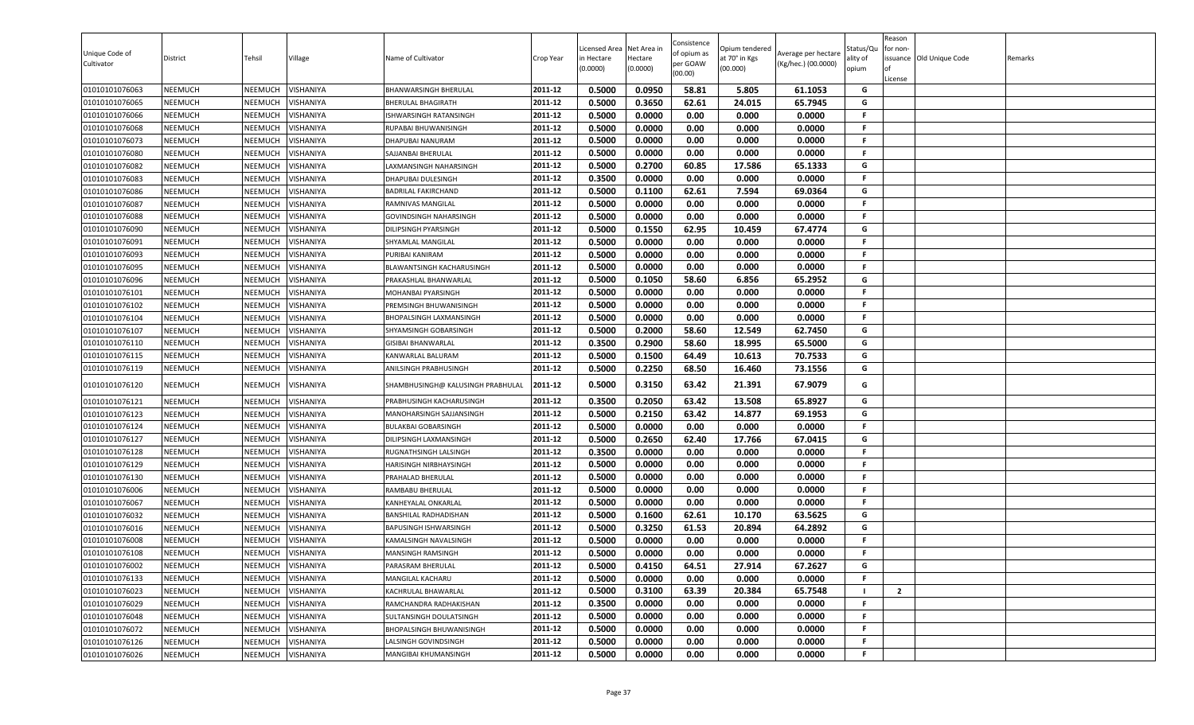| Unique Code of<br>Cultivator | District       | Tehsil         | Village           | Name of Cultivator<br><b>BHANWARSINGH BHERULAL</b> | Crop Year<br>2011-12 | Licensed Area<br>in Hectare<br>(0.0000)<br>0.5000 | Net Area in<br>Hectare<br>(0.0000)<br>0.0950 | Consistence<br>of opium as<br>per GOAW<br>(00.00)<br>58.81 | Opium tendered<br>at 70° in Kgs<br>(00.000) | Average per hectare<br>(Kg/hec.) (00.0000) | Status/Qu<br>ality of<br>opium | Reason<br>for non-<br>License | ssuance Old Unique Code | Remarks |
|------------------------------|----------------|----------------|-------------------|----------------------------------------------------|----------------------|---------------------------------------------------|----------------------------------------------|------------------------------------------------------------|---------------------------------------------|--------------------------------------------|--------------------------------|-------------------------------|-------------------------|---------|
| 01010101076063               | NEEMUCH        | NEEMUCH        | VISHANIYA         |                                                    |                      |                                                   |                                              |                                                            | 5.805                                       | 61.1053                                    | G                              |                               |                         |         |
| 01010101076065               | NEEMUCH        | NEEMUCH        | VISHANIYA         | <b>BHERULAL BHAGIRATH</b>                          | 2011-12              | 0.5000                                            | 0.3650                                       | 62.61                                                      | 24.015                                      | 65.7945                                    | G                              |                               |                         |         |
| 01010101076066               | <b>NEEMUCH</b> | NEEMUCH        | VISHANIYA         | <b>ISHWARSINGH RATANSINGH</b>                      | 2011-12              | 0.5000                                            | 0.0000                                       | 0.00                                                       | 0.000                                       | 0.0000                                     | F.                             |                               |                         |         |
| 01010101076068               | <b>NEEMUCH</b> | NEEMUCH        | VISHANIYA         | RUPABAI BHUWANISINGH                               | 2011-12              | 0.5000                                            | 0.0000                                       | 0.00                                                       | 0.000                                       | 0.0000                                     | F.                             |                               |                         |         |
| 01010101076073               | <b>NEEMUCH</b> | NEEMUCH        | VISHANIYA         | <b>DHAPUBAI NANURAM</b>                            | 2011-12              | 0.5000                                            | 0.0000                                       | 0.00                                                       | 0.000                                       | 0.0000                                     | F.<br>F.                       |                               |                         |         |
| 01010101076080               | <b>NEEMUCH</b> | NEEMUCH        | VISHANIYA         | SAJJANBAI BHERULAL                                 | 2011-12              | 0.5000                                            | 0.0000                                       | 0.00                                                       | 0.000                                       | 0.0000                                     |                                |                               |                         |         |
| 01010101076082               | <b>NEEMUCH</b> | NEEMUCH        | VISHANIYA         | LAXMANSINGH NAHARSINGH                             | 2011-12              | 0.5000                                            | 0.2700                                       | 60.85                                                      | 17.586                                      | 65.1333                                    | G<br>F.                        |                               |                         |         |
| 01010101076083               | <b>NEEMUCH</b> | NEEMUCH        | VISHANIYA         | DHAPUBAI DULESINGH                                 | 2011-12              | 0.3500                                            | 0.0000                                       | 0.00                                                       | 0.000                                       | 0.0000                                     |                                |                               |                         |         |
| 01010101076086               | <b>NEEMUCH</b> | NEEMUCH        | VISHANIYA         | <b>BADRILAL FAKIRCHAND</b>                         | 2011-12              | 0.5000                                            | 0.1100                                       | 62.61                                                      | 7.594                                       | 69.0364                                    | G                              |                               |                         |         |
| 01010101076087               | NEEMUCH        | NEEMUCH        | VISHANIYA         | RAMNIVAS MANGILAL                                  | 2011-12              | 0.5000                                            | 0.0000                                       | 0.00                                                       | 0.000                                       | 0.0000                                     | F.                             |                               |                         |         |
| 01010101076088               | NEEMUCH        | NEEMUCH        | VISHANIYA         | <b>GOVINDSINGH NAHARSINGH</b>                      | 2011-12              | 0.5000                                            | 0.0000                                       | 0.00                                                       | 0.000                                       | 0.0000                                     | F.                             |                               |                         |         |
| 01010101076090               | NEEMUCH        | NEEMUCH        | VISHANIYA         | DILIPSINGH PYARSINGH                               | 2011-12              | 0.5000                                            | 0.1550                                       | 62.95                                                      | 10.459                                      | 67.4774                                    | G                              |                               |                         |         |
| 01010101076091               | <b>NEEMUCH</b> | NEEMUCH        | VISHANIYA         | SHYAMLAL MANGILAL                                  | 2011-12              | 0.5000                                            | 0.0000                                       | 0.00                                                       | 0.000                                       | 0.0000                                     | F.                             |                               |                         |         |
| 01010101076093               | <b>NEEMUCH</b> | NEEMUCH        | VISHANIYA         | PURIBAI KANIRAM                                    | 2011-12              | 0.5000                                            | 0.0000                                       | 0.00                                                       | 0.000                                       | 0.0000                                     | F.                             |                               |                         |         |
| 01010101076095               | <b>NEEMUCH</b> | NEEMUCH        | VISHANIYA         | BLAWANTSINGH KACHARUSINGH                          | 2011-12              | 0.5000                                            | 0.0000                                       | 0.00                                                       | 0.000                                       | 0.0000                                     | F.                             |                               |                         |         |
| 01010101076096               | <b>NEEMUCH</b> | NEEMUCH        | VISHANIYA         | PRAKASHLAL BHANWARLAL                              | 2011-12              | 0.5000                                            | 0.1050                                       | 58.60                                                      | 6.856                                       | 65.2952                                    | G                              |                               |                         |         |
| 01010101076101               | <b>NEEMUCH</b> | NEEMUCH        | VISHANIYA         | MOHANBAI PYARSINGH                                 | 2011-12              | 0.5000                                            | 0.0000                                       | 0.00                                                       | 0.000                                       | 0.0000                                     | F.                             |                               |                         |         |
| 01010101076102               | <b>NEEMUCH</b> | NEEMUCH        | VISHANIYA         | PREMSINGH BHUWANISINGH                             | 2011-12              | 0.5000                                            | 0.0000                                       | 0.00                                                       | 0.000                                       | 0.0000                                     | F.                             |                               |                         |         |
| 01010101076104               | <b>NEEMUCH</b> | NEEMUCH        | VISHANIYA         | <b>BHOPALSINGH LAXMANSINGH</b>                     | 2011-12              | 0.5000                                            | 0.0000                                       | 0.00                                                       | 0.000                                       | 0.0000                                     | F.                             |                               |                         |         |
| 01010101076107               | <b>NEEMUCH</b> | NEEMUCH        | VISHANIYA         | SHYAMSINGH GOBARSINGH                              | 2011-12              | 0.5000                                            | 0.2000                                       | 58.60                                                      | 12.549                                      | 62.7450                                    | G                              |                               |                         |         |
| 01010101076110               | NEEMUCH        | NEEMUCH        | VISHANIYA         | <b>GISIBAI BHANWARLAL</b>                          | 2011-12              | 0.3500                                            | 0.2900                                       | 58.60                                                      | 18.995                                      | 65.5000                                    | G                              |                               |                         |         |
| 01010101076115               | <b>NEEMUCH</b> | NEEMUCH        | VISHANIYA         | KANWARLAL BALURAM                                  | 2011-12              | 0.5000                                            | 0.1500                                       | 64.49                                                      | 10.613                                      | 70.7533                                    | G                              |                               |                         |         |
| 01010101076119               | <b>NEEMUCH</b> | NEEMUCH        | VISHANIYA         | ANILSINGH PRABHUSINGH                              | 2011-12              | 0.5000                                            | 0.2250                                       | 68.50                                                      | 16.460                                      | 73.1556                                    | G                              |                               |                         |         |
| 01010101076120               | NEEMUCH        | <b>NEEMUCH</b> | VISHANIYA         | SHAMBHUSINGH@ KALUSINGH PRABHULAL                  | 2011-12              | 0.5000                                            | 0.3150                                       | 63.42                                                      | 21.391                                      | 67.9079                                    | G                              |                               |                         |         |
| 01010101076121               | <b>NEEMUCH</b> | NEEMUCH        | VISHANIYA         | PRABHUSINGH KACHARUSINGH                           | 2011-12              | 0.3500                                            | 0.2050                                       | 63.42                                                      | 13.508                                      | 65.8927                                    | G                              |                               |                         |         |
| 01010101076123               | <b>NEEMUCH</b> | NEEMUCH        | VISHANIYA         | MANOHARSINGH SAJJANSINGH                           | 2011-12              | 0.5000                                            | 0.2150                                       | 63.42                                                      | 14.877                                      | 69.1953                                    | G                              |                               |                         |         |
| 01010101076124               | <b>NEEMUCH</b> | NEEMUCH        | VISHANIYA         | <b>BULAKBAI GOBARSINGH</b>                         | 2011-12              | 0.5000                                            | 0.0000                                       | 0.00                                                       | 0.000                                       | 0.0000                                     | F.                             |                               |                         |         |
| 01010101076127               | <b>NEEMUCH</b> | NEEMUCH        | VISHANIYA         | DILIPSINGH LAXMANSINGH                             | 2011-12              | 0.5000                                            | 0.2650                                       | 62.40                                                      | 17.766                                      | 67.0415                                    | G                              |                               |                         |         |
| 01010101076128               | <b>NEEMUCH</b> | NEEMUCH        | VISHANIYA         | RUGNATHSINGH LALSINGH                              | 2011-12              | 0.3500                                            | 0.0000                                       | 0.00                                                       | 0.000                                       | 0.0000                                     | F.                             |                               |                         |         |
| 01010101076129               | <b>NEEMUCH</b> | NEEMUCH        | VISHANIYA         | HARISINGH NIRBHAYSINGH                             | 2011-12              | 0.5000                                            | 0.0000                                       | 0.00                                                       | 0.000                                       | 0.0000                                     | F.                             |                               |                         |         |
| 01010101076130               | <b>NEEMUCH</b> | NEEMUCH        | VISHANIYA         | PRAHALAD BHERULAL                                  | 2011-12              | 0.5000                                            | 0.0000                                       | 0.00                                                       | 0.000                                       | 0.0000                                     | F.                             |                               |                         |         |
| 01010101076006               | <b>NEEMUCH</b> | NEEMUCH        | VISHANIYA         | RAMBABU BHERULAL                                   | 2011-12              | 0.5000                                            | 0.0000                                       | 0.00                                                       | 0.000                                       | 0.0000                                     | F.                             |                               |                         |         |
| 01010101076067               | <b>NEEMUCH</b> | NEEMUCH        | VISHANIYA         | KANHEYALAL ONKARLAL                                | 2011-12              | 0.5000                                            | 0.0000                                       | 0.00                                                       | 0.000                                       | 0.0000                                     | F.                             |                               |                         |         |
| 01010101076032               | <b>NEEMUCH</b> | NEEMUCH        | VISHANIYA         | BANSHILAL RADHADISHAN                              | 2011-12              | 0.5000                                            | 0.1600                                       | 62.61                                                      | 10.170                                      | 63.5625                                    | G                              |                               |                         |         |
| 01010101076016               | NEEMUCH        | NEEMUCH        | VISHANIYA         | BAPUSINGH ISHWARSINGH                              | 2011-12              | 0.5000                                            | 0.3250                                       | 61.53                                                      | 20.894                                      | 64.2892                                    | G                              |                               |                         |         |
| 01010101076008               | <b>NEEMUCH</b> | NEEMUCH        | VISHANIYA         | KAMALSINGH NAVALSINGH                              | 2011-12              | 0.5000                                            | 0.0000                                       | 0.00                                                       | 0.000                                       | 0.0000                                     | F.                             |                               |                         |         |
| 01010101076108               | NEEMUCH        | NEEMUCH        | VISHANIYA         | MANSINGH RAMSINGH                                  | 2011-12              | 0.5000                                            | 0.0000                                       | 0.00                                                       | 0.000                                       | 0.0000                                     | F                              |                               |                         |         |
| 01010101076002               | <b>NEEMUCH</b> |                | NEEMUCH VISHANIYA | PARASRAM BHERULAL                                  | 2011-12              | 0.5000                                            | 0.4150                                       | 64.51                                                      | 27.914                                      | 67.2627                                    | G                              |                               |                         |         |
| 01010101076133               | NEEMUCH        | NEEMUCH        | VISHANIYA         | MANGILAL KACHARU                                   | 2011-12              | 0.5000                                            | 0.0000                                       | 0.00                                                       | 0.000                                       | 0.0000                                     | F.                             |                               |                         |         |
| 01010101076023               | NEEMUCH        | NEEMUCH        | VISHANIYA         | KACHRULAL BHAWARLAL                                | 2011-12              | 0.5000                                            | 0.3100                                       | 63.39                                                      | 20.384                                      | 65.7548                                    |                                | $\overline{2}$                |                         |         |
| 01010101076029               | <b>NEEMUCH</b> | <b>NEEMUCH</b> | VISHANIYA         | RAMCHANDRA RADHAKISHAN                             | 2011-12              | 0.3500                                            | 0.0000                                       | 0.00                                                       | 0.000                                       | 0.0000                                     | F.                             |                               |                         |         |
| 01010101076048               | NEEMUCH        | NEEMUCH        | VISHANIYA         | SULTANSINGH DOULATSINGH                            | 2011-12              | 0.5000                                            | 0.0000                                       | 0.00                                                       | 0.000                                       | 0.0000                                     | F.                             |                               |                         |         |
| 01010101076072               | NEEMUCH        | NEEMUCH        | VISHANIYA         | <b>BHOPALSINGH BHUWANISINGH</b>                    | 2011-12              | 0.5000                                            | 0.0000                                       | 0.00                                                       | 0.000                                       | 0.0000                                     | F.                             |                               |                         |         |
| 01010101076126               | NEEMUCH        | NEEMUCH        | VISHANIYA         | LALSINGH GOVINDSINGH                               | 2011-12              | 0.5000                                            | 0.0000                                       | 0.00                                                       | 0.000                                       | 0.0000                                     | F.                             |                               |                         |         |
| 01010101076026               | <b>NEEMUCH</b> | <b>NEEMUCH</b> | VISHANIYA         | <b>MANGIBAI KHUMANSINGH</b>                        | 2011-12              | 0.5000                                            | 0.0000                                       | 0.00                                                       | 0.000                                       | 0.0000                                     | F.                             |                               |                         |         |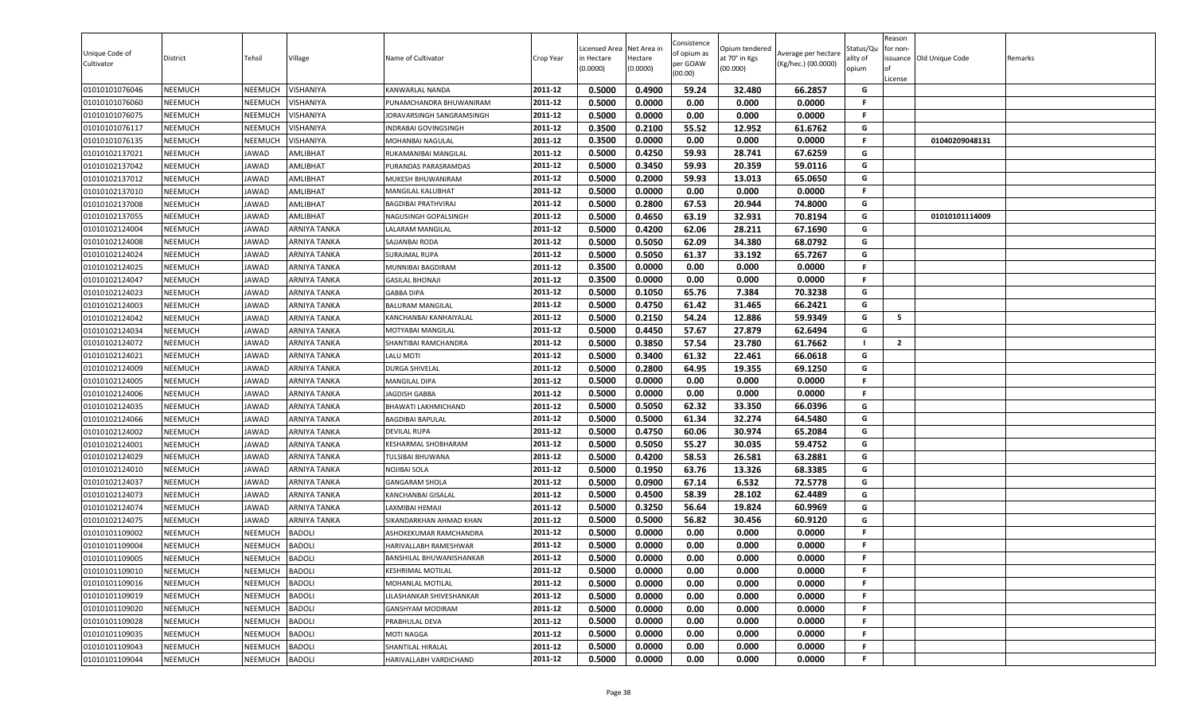| Unique Code of<br>Cultivator     | District                         | Tehsil             | Village                        | Name of Cultivator                                | Crop Year          | Licensed Area<br>in Hectare<br>(0.0000) | Net Area in<br>Hectare<br>(0.0000) | Consistence<br>of opium as<br>per GOAW<br>(00.00) | Opium tendered<br>at 70° in Kgs<br>(00.000) | Average per hectare<br>(Kg/hec.) (00.0000) | Status/Qu<br>ality of<br>opium | Reason<br>for non-<br>issuance Old Unique Code<br>License | Remarks |
|----------------------------------|----------------------------------|--------------------|--------------------------------|---------------------------------------------------|--------------------|-----------------------------------------|------------------------------------|---------------------------------------------------|---------------------------------------------|--------------------------------------------|--------------------------------|-----------------------------------------------------------|---------|
| 01010101076046                   | <b>NEEMUCH</b>                   | NEEMUCH            | VISHANIYA                      | KANWARLAL NANDA                                   | 2011-12            | 0.5000                                  | 0.4900                             | 59.24                                             | 32.480                                      | 66.2857                                    | G                              |                                                           |         |
| 01010101076060                   | <b>NEEMUCH</b>                   | NEEMUCH            | VISHANIYA                      | PUNAMCHANDRA BHUWANIRAM                           | 2011-12            | 0.5000                                  | 0.0000                             | 0.00                                              | 0.000                                       | 0.0000                                     | -F                             |                                                           |         |
| 01010101076075                   | <b>NEEMUCH</b>                   | NEEMUCH            | VISHANIYA                      | JORAVARSINGH SANGRAMSINGH                         | 2011-12            | 0.5000                                  | 0.0000                             | 0.00                                              | 0.000                                       | 0.0000                                     | F.                             |                                                           |         |
| 01010101076117                   | <b>NEEMUCH</b>                   | <b>NEEMUCH</b>     | VISHANIYA                      | INDRABAI GOVINGSINGH                              | 2011-12            | 0.3500                                  | 0.2100                             | 55.52                                             | 12.952                                      | 61.6762                                    | G                              |                                                           |         |
| 01010101076135                   | <b>NEEMUCH</b>                   | NEEMUCH            | VISHANIYA                      | MOHANBAI NAGULAL                                  | 2011-12            | 0.3500                                  | 0.0000                             | 0.00                                              | 0.000                                       | 0.0000                                     | F.                             | 01040209048131                                            |         |
| 01010102137021                   | <b>NEEMUCH</b>                   | JAWAD              | AMLIBHAT                       | RUKAMANIBAI MANGILAL                              | 2011-12            | 0.5000                                  | 0.4250                             | 59.93                                             | 28.741                                      | 67.6259                                    | G                              |                                                           |         |
| 01010102137042                   | <b>NEEMUCH</b>                   | JAWAD              | <b>AMLIBHAT</b>                | PURANDAS PARASRAMDAS                              | 2011-12            | 0.5000                                  | 0.3450                             | 59.93                                             | 20.359                                      | 59.0116                                    | G                              |                                                           |         |
| 01010102137012                   | <b>NEEMUCH</b>                   | JAWAD              | <b>AMLIBHAT</b>                | MUKESH BHUWANIRAM                                 | 2011-12            | 0.5000                                  | 0.2000                             | 59.93                                             | 13.013                                      | 65.0650                                    | G                              |                                                           |         |
| 01010102137010                   | <b>NEEMUCH</b>                   | JAWAD              | <b>AMLIBHAT</b>                | MANGILAL KALUBHAT                                 | 2011-12            | 0.5000                                  | 0.0000                             | 0.00                                              | 0.000                                       | 0.0000                                     | F.                             |                                                           |         |
| 01010102137008                   | <b>NEEMUCH</b>                   | JAWAD              | AMLIBHAT                       | BAGDIBAI PRATHVIRAJ                               | 2011-12            | 0.5000                                  | 0.2800                             | 67.53                                             | 20.944                                      | 74.8000                                    | G                              |                                                           |         |
| 01010102137055                   | <b>NEEMUCH</b>                   | JAWAD              | AMLIBHAT                       | NAGUSINGH GOPALSINGH                              | 2011-12            | 0.5000                                  | 0.4650                             | 63.19                                             | 32.931                                      | 70.8194                                    | G                              | 01010101114009                                            |         |
| 01010102124004                   | <b>NEEMUCH</b>                   | JAWAD              | <b>ARNIYA TANKA</b>            | LALARAM MANGILAL                                  | 2011-12            | 0.5000                                  | 0.4200                             | 62.06                                             | 28.211                                      | 67.1690                                    | G                              |                                                           |         |
| 01010102124008                   | <b>NEEMUCH</b>                   | JAWAD              | ARNIYA TANKA                   | SAJJANBAI RODA                                    | 2011-12            | 0.5000                                  | 0.5050                             | 62.09                                             | 34.380                                      | 68.0792                                    | G                              |                                                           |         |
| 01010102124024                   | <b>NEEMUCH</b>                   | JAWAD              | ARNIYA TANKA                   | SURAJMAL RUPA                                     | 2011-12            | 0.5000                                  | 0.5050                             | 61.37                                             | 33.192                                      | 65.7267                                    | G                              |                                                           |         |
| 01010102124025                   | <b>NEEMUCH</b>                   | JAWAD              | <b>ARNIYA TANKA</b>            | MUNNIBAI BAGDIRAM                                 | 2011-12            | 0.3500                                  | 0.0000                             | 0.00                                              | 0.000                                       | 0.0000                                     | F.                             |                                                           |         |
| 01010102124047                   | <b>NEEMUCH</b>                   | JAWAD              | ARNIYA TANKA                   | <b>GASILAL BHONAJI</b>                            | 2011-12            | 0.3500                                  | 0.0000                             | 0.00                                              | 0.000                                       | 0.0000                                     | F.                             |                                                           |         |
| 01010102124023                   | <b>NEEMUCH</b>                   | JAWAD              | ARNIYA TANKA                   | <b>GABBA DIPA</b>                                 | 2011-12            | 0.5000                                  | 0.1050                             | 65.76                                             | 7.384                                       | 70.3238                                    | G                              |                                                           |         |
| 01010102124003                   | <b>NEEMUCH</b>                   | JAWAD              | ARNIYA TANKA                   | <b>BALURAM MANGILAL</b>                           | 2011-12            | 0.5000                                  | 0.4750                             | 61.42                                             | 31.465                                      | 66.2421                                    | G                              |                                                           |         |
| 01010102124042                   | <b>NEEMUCH</b>                   | JAWAD              | <b>ARNIYA TANKA</b>            | KANCHANBAI KANHAIYALAL                            | 2011-12            | 0.5000                                  | 0.2150                             | 54.24                                             | 12.886                                      | 59.9349                                    | G                              | 5                                                         |         |
| 01010102124034                   | <b>NEEMUCH</b>                   | JAWAD              | ARNIYA TANKA                   | MOTYABAI MANGILAL                                 | 2011-12            | 0.5000                                  | 0.4450                             | 57.67                                             | 27.879                                      | 62.6494                                    | G                              |                                                           |         |
| 01010102124072                   | <b>NEEMUCH</b>                   | JAWAD              | <b>ARNIYA TANKA</b>            | SHANTIBAI RAMCHANDRA                              | 2011-12            | 0.5000                                  | 0.3850                             | 57.54                                             | 23.780                                      | 61.7662                                    |                                | $\mathbf{2}$                                              |         |
| 01010102124021                   | <b>NEEMUCH</b>                   | JAWAD              | ARNIYA TANKA                   | LALU MOTI                                         | 2011-12            | 0.5000                                  | 0.3400                             | 61.32                                             | 22.461                                      | 66.0618                                    | G                              |                                                           |         |
| 01010102124009                   | <b>NEEMUCH</b>                   | JAWAD              | <b>ARNIYA TANKA</b>            | <b>DURGA SHIVELAL</b>                             | 2011-12            | 0.5000                                  | 0.2800                             | 64.95                                             | 19.355                                      | 69.1250                                    | G                              |                                                           |         |
| 01010102124005                   | <b>NEEMUCH</b>                   | JAWAD              | <b>ARNIYA TANKA</b>            | MANGILAL DIPA                                     | 2011-12            | 0.5000                                  | 0.0000                             | 0.00                                              | 0.000                                       | 0.0000                                     | F.                             |                                                           |         |
| 01010102124006                   | <b>NEEMUCH</b>                   | JAWAD              | <b>ARNIYA TANKA</b>            | JAGDISH GABBA                                     | 2011-12            | 0.5000                                  | 0.0000                             | 0.00                                              | 0.000                                       | 0.0000                                     | F.                             |                                                           |         |
| 01010102124035                   | <b>NEEMUCH</b>                   | JAWAD              | <b>ARNIYA TANKA</b>            | <b>BHAWATI LAKHMICHAND</b>                        | 2011-12            | 0.5000                                  | 0.5050                             | 62.32                                             | 33.350                                      | 66.0396                                    | G                              |                                                           |         |
| 01010102124066                   | <b>NEEMUCH</b>                   | JAWAD              | ARNIYA TANKA                   | <b>BAGDIBAI BAPULAL</b>                           | 2011-12            | 0.5000                                  | 0.5000                             | 61.34                                             | 32.274                                      | 64.5480                                    | G                              |                                                           |         |
| 01010102124002                   | <b>NEEMUCH</b>                   | JAWAD              | ARNIYA TANKA                   | <b>DEVILAL RUPA</b>                               | 2011-12            | 0.5000                                  | 0.4750                             | 60.06                                             | 30.974                                      | 65.2084                                    | G                              |                                                           |         |
| 01010102124001                   | <b>NEEMUCH</b>                   | JAWAD              | ARNIYA TANKA                   | KESHARMAL SHOBHARAM                               | 2011-12            | 0.5000                                  | 0.5050                             | 55.27                                             | 30.035                                      | 59.4752                                    | G                              |                                                           |         |
| 01010102124029                   | <b>NEEMUCH</b>                   | JAWAD              | <b>ARNIYA TANKA</b>            | TULSIBAI BHUWANA                                  | 2011-12            | 0.5000                                  | 0.4200                             | 58.53                                             | 26.581                                      | 63.2881                                    | G                              |                                                           |         |
| 01010102124010                   | <b>NEEMUCH</b>                   | JAWAD              | ARNIYA TANKA                   | NOJIBAI SOLA                                      | 2011-12            | 0.5000                                  | 0.1950                             | 63.76                                             | 13.326                                      | 68.3385                                    | G                              |                                                           |         |
| 01010102124037                   | <b>NEEMUCH</b>                   | JAWAD              | <b>ARNIYA TANKA</b>            | <b>GANGARAM SHOLA</b>                             | 2011-12            | 0.5000                                  | 0.0900                             | 67.14                                             | 6.532                                       | 72.5778                                    | G                              |                                                           |         |
| 01010102124073                   | <b>NEEMUCH</b>                   | JAWAD              | ARNIYA TANKA                   | KANCHANBAI GISALAL                                | 2011-12            | 0.5000                                  | 0.4500<br>0.3250                   | 58.39<br>56.64                                    | 28.102                                      | 62.4489                                    | G                              |                                                           |         |
| 01010102124074                   | <b>NEEMUCH</b><br><b>NEEMUCH</b> | JAWAD<br>JAWAD     | <b>ARNIYA TANKA</b>            | LAXMIBAI HEMAJI                                   | 2011-12<br>2011-12 | 0.5000                                  | 0.5000                             |                                                   | 19.824                                      | 60.9969                                    | G<br>G                         |                                                           |         |
| 01010102124075                   |                                  |                    | <b>ARNIYA TANKA</b>            | SIKANDARKHAN AHMAD KHAN                           | 2011-12            | 0.5000<br>0.5000                        | 0.0000                             | 56.82<br>0.00                                     | 30.456<br>0.000                             | 60.9120<br>0.0000                          | F.                             |                                                           |         |
| 01010101109002<br>01010101109004 | <b>NEEMUCH</b><br><b>NEEMUCH</b> | <b>NEEMUCH</b>     | <b>BADOLI</b><br><b>BADOLI</b> | ASHOKEKUMAR RAMCHANDRA                            | 2011-12            | 0.5000                                  |                                    | 0.00                                              |                                             | 0.0000                                     | F.                             |                                                           |         |
|                                  | <b>NEEMUCH</b>                   | NEEMUCH            | <b>BADOLI</b>                  | HARIVALLABH RAMESHWAR<br>BANSHILAL BHUWANISHANKAR | 2011-12            | 0.5000                                  | 0.0000<br>0.0000                   | 0.00                                              | 0.000<br>0.000                              | 0.0000                                     | F.                             |                                                           |         |
| 01010101109005                   | <b>NEEMUCH</b>                   | NEEMUCH<br>NEEMUCH | <b>BADOLI</b>                  | <b>KESHRIMAL MOTILAL</b>                          | 2011-12            | 0.5000                                  | 0.0000                             | 0.00                                              | 0.000                                       | 0.0000                                     | F.                             |                                                           |         |
| 01010101109010<br>01010101109016 | <b>NEEMUCH</b>                   | NEEMUCH            | <b>BADOLI</b>                  | MOHANLAL MOTILAL                                  | 2011-12            | 0.5000                                  | 0.0000                             | 0.00                                              | 0.000                                       | 0.0000                                     | .F                             |                                                           |         |
| 01010101109019                   | <b>NEEMUCH</b>                   | NEEMUCH            | <b>BADOLI</b>                  | LILASHANKAR SHIVESHANKAR                          | 2011-12            | 0.5000                                  | 0.0000                             | 0.00                                              | 0.000                                       | 0.0000                                     | -F                             |                                                           |         |
|                                  |                                  |                    |                                |                                                   | 2011-12            | 0.5000                                  | 0.0000                             | 0.00                                              | 0.000                                       | 0.0000                                     | -F                             |                                                           |         |
| 01010101109020<br>01010101109028 | <b>NEEMUCH</b><br><b>NEEMUCH</b> | NEEMUCH<br>NEEMUCH | <b>BADOLI</b><br><b>BADOLI</b> | GANSHYAM MODIRAM                                  | 2011-12            | 0.5000                                  | 0.0000                             | 0.00                                              | 0.000                                       | 0.0000                                     | F.                             |                                                           |         |
| 01010101109035                   | <b>NEEMUCH</b>                   | NEEMUCH            | <b>BADOLI</b>                  | PRABHULAL DEVA<br>MOTI NAGGA                      | 2011-12            | 0.5000                                  | 0.0000                             | 0.00                                              | 0.000                                       | 0.0000                                     | F.                             |                                                           |         |
| 01010101109043                   | <b>NEEMUCH</b>                   | NEEMUCH            | <b>BADOLI</b>                  | SHANTILAL HIRALAL                                 | 2011-12            | 0.5000                                  | 0.0000                             | 0.00                                              | 0.000                                       | 0.0000                                     | F.                             |                                                           |         |
| 01010101109044                   | <b>NEEMUCH</b>                   | NEEMUCH            | <b>BADOLI</b>                  | HARIVALLABH VARDICHAND                            | 2011-12            | 0.5000                                  | 0.0000                             | 0.00                                              | 0.000                                       | 0.0000                                     | F.                             |                                                           |         |
|                                  |                                  |                    |                                |                                                   |                    |                                         |                                    |                                                   |                                             |                                            |                                |                                                           |         |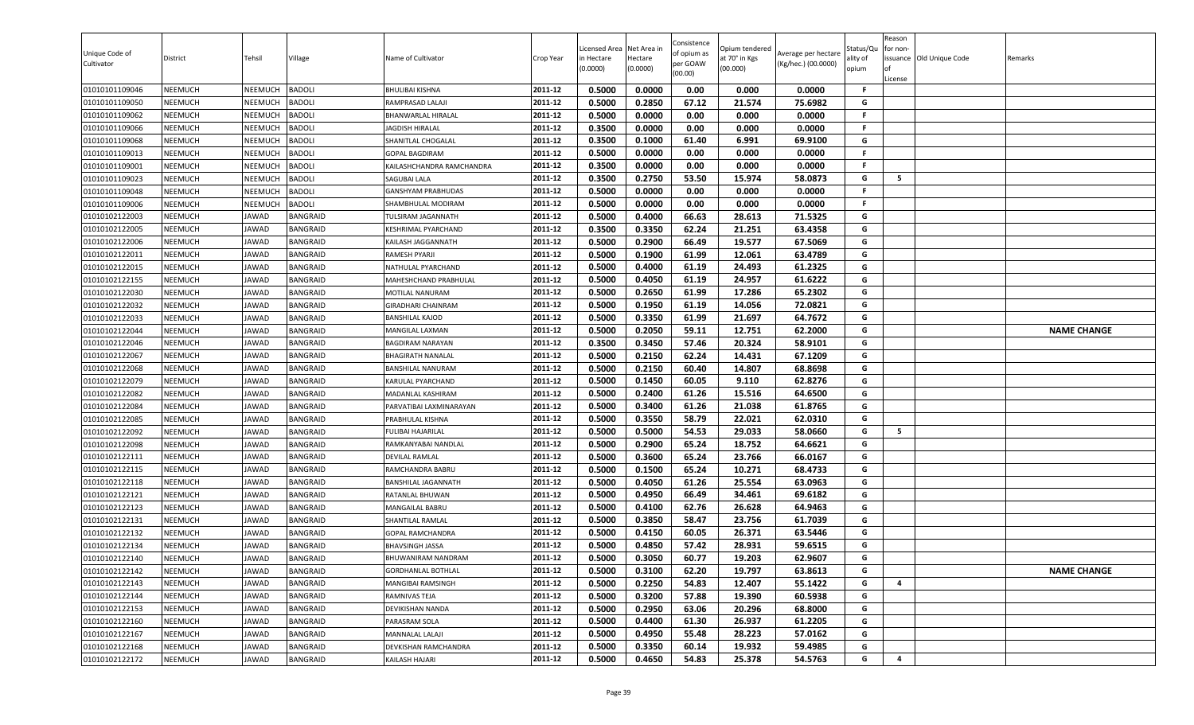| Unique Code of<br>Cultivator     | District                  | Tehsil         | Village                            | Name of Cultivator                  | Crop Year          | Licensed Area<br>in Hectare<br>(0.0000) | Net Area in<br>Hectare<br>(0.0000) | Consistence<br>of opium as<br>per GOAW<br>(00.00) | Opium tendered<br>at 70° in Kgs<br>(00.000) | Average per hectare<br>(Kg/hec.) (00.0000) | status/Qι<br>ılity of<br>opium | Reason<br>for non-<br>of<br>License | issuance Old Unique Code | Remarks            |
|----------------------------------|---------------------------|----------------|------------------------------------|-------------------------------------|--------------------|-----------------------------------------|------------------------------------|---------------------------------------------------|---------------------------------------------|--------------------------------------------|--------------------------------|-------------------------------------|--------------------------|--------------------|
| 01010101109046                   | NEEMUCH                   | NEEMUCH        | <b>BADOLI</b>                      | <b>BHULIBAI KISHNA</b>              | 2011-12            | 0.5000                                  | 0.0000                             | 0.00                                              | 0.000                                       | 0.0000                                     | F.                             |                                     |                          |                    |
| 01010101109050                   | NEEMUCH                   | NEEMUCH        | BADOLI                             | RAMPRASAD LALAJI                    | 2011-12            | 0.5000                                  | 0.2850                             | 67.12                                             | 21.574                                      | 75.6982                                    | G                              |                                     |                          |                    |
| 01010101109062                   | NEEMUCH                   | <b>NEEMUCH</b> | <b>BADOLI</b>                      | BHANWARLAL HIRALAL                  | 2011-12            | 0.5000                                  | 0.0000                             | 0.00                                              | 0.000                                       | 0.0000                                     | F                              |                                     |                          |                    |
| 01010101109066                   | NEEMUCH                   | NEEMUCH        | <b>BADOLI</b>                      | <b>JAGDISH HIRALAL</b>              | 2011-12            | 0.3500                                  | 0.0000                             | 0.00                                              | 0.000                                       | 0.0000                                     | F.                             |                                     |                          |                    |
| 01010101109068                   | NEEMUCH                   | NEEMUCH        | <b>BADOLI</b>                      | SHANITLAL CHOGALAL                  | 2011-12            | 0.3500                                  | 0.1000                             | 61.40                                             | 6.991                                       | 69.9100                                    | G                              |                                     |                          |                    |
| 01010101109013                   | <b>NEEMUCH</b>            | NEEMUCH        | <b>BADOLI</b>                      | <b>GOPAL BAGDIRAM</b>               | 2011-12            | 0.5000                                  | 0.0000                             | 0.00                                              | 0.000                                       | 0.0000                                     | F.                             |                                     |                          |                    |
| 01010101109001                   | <b>NEEMUCH</b>            | NEEMUCH        | <b>BADOLI</b>                      | KAILASHCHANDRA RAMCHANDRA           | 2011-12            | 0.3500                                  | 0.0000                             | 0.00                                              | 0.000                                       | 0.0000                                     | F.                             |                                     |                          |                    |
| 01010101109023                   | <b>NEEMUCH</b>            | NEEMUCH        | <b>BADOLI</b>                      | <b>SAGUBAI LALA</b>                 | 2011-12            | 0.3500                                  | 0.2750                             | 53.50                                             | 15.974                                      | 58.0873                                    | G                              | 5                                   |                          |                    |
| 01010101109048                   | <b>NEEMUCH</b>            | NEEMUCH        | <b>BADOLI</b>                      | GANSHYAM PRABHUDAS                  | 2011-12            | 0.5000                                  | 0.0000                             | 0.00                                              | 0.000                                       | 0.0000                                     | F                              |                                     |                          |                    |
| 01010101109006                   | NEEMUCH                   | NEEMUCH        | <b>BADOLI</b>                      | SHAMBHULAL MODIRAM                  | 2011-12            | 0.5000                                  | 0.0000                             | 0.00                                              | 0.000                                       | 0.0000                                     | F.                             |                                     |                          |                    |
| 01010102122003                   | NEEMUCH                   | JAWAD          | BANGRAID                           | TULSIRAM JAGANNATH                  | 2011-12            | 0.5000                                  | 0.4000                             | 66.63                                             | 28.613                                      | 71.5325                                    | G<br>G                         |                                     |                          |                    |
| 01010102122005                   | NEEMUCH                   | <b>JAWAD</b>   | <b>BANGRAID</b><br><b>BANGRAID</b> | <b>KESHRIMAL PYARCHAND</b>          | 2011-12<br>2011-12 | 0.3500<br>0.5000                        | 0.3350<br>0.2900                   | 62.24<br>66.49                                    | 21.251<br>19.577                            | 63.4358<br>67.5069                         | G                              |                                     |                          |                    |
| 01010102122006                   | <b>NEEMUCH</b>            | JAWAD          |                                    | KAILASH JAGGANNATH                  | 2011-12            | 0.5000                                  | 0.1900                             |                                                   |                                             |                                            | G                              |                                     |                          |                    |
| 01010102122011<br>01010102122015 | NEEMUCH<br><b>NEEMUCH</b> | JAWAD<br>JAWAD | BANGRAID<br>BANGRAID               | RAMESH PYARJI<br>NATHULAL PYARCHAND | 2011-12            | 0.5000                                  | 0.4000                             | 61.99<br>61.19                                    | 12.061<br>24.493                            | 63.4789<br>61.2325                         | G                              |                                     |                          |                    |
| 01010102122155                   | <b>NEEMUCH</b>            | JAWAD          | <b>BANGRAID</b>                    | MAHESHCHAND PRABHULAL               | 2011-12            | 0.5000                                  | 0.4050                             | 61.19                                             | 24.957                                      | 61.6222                                    | G                              |                                     |                          |                    |
| 01010102122030                   | <b>NEEMUCH</b>            | JAWAD          | <b>BANGRAID</b>                    | MOTILAL NANURAM                     | 2011-12            | 0.5000                                  | 0.2650                             | 61.99                                             | 17.286                                      | 65.2302                                    | G                              |                                     |                          |                    |
| 01010102122032                   | NEEMUCH                   | JAWAD          | BANGRAID                           | GIRADHARI CHAINRAM                  | 2011-12            | 0.5000                                  | 0.1950                             | 61.19                                             | 14.056                                      | 72.0821                                    | G                              |                                     |                          |                    |
| 01010102122033                   | <b>NEEMUCH</b>            | <b>JAWAD</b>   | <b>BANGRAID</b>                    | <b>BANSHILAL KAJOD</b>              | 2011-12            | 0.5000                                  | 0.3350                             | 61.99                                             | 21.697                                      | 64.7672                                    | G                              |                                     |                          |                    |
| 01010102122044                   | NEEMUCH                   | JAWAD          | BANGRAID                           | MANGILAL LAXMAN                     | 2011-12            | 0.5000                                  | 0.2050                             | 59.11                                             | 12.751                                      | 62.2000                                    | G                              |                                     |                          | <b>NAME CHANGE</b> |
| 01010102122046                   | NEEMUCH                   | <b>JAWAD</b>   | <b>BANGRAID</b>                    | <b>BAGDIRAM NARAYAN</b>             | 2011-12            | 0.3500                                  | 0.3450                             | 57.46                                             | 20.324                                      | 58.9101                                    | G                              |                                     |                          |                    |
| 01010102122067                   | <b>NEEMUCH</b>            | JAWAD          | BANGRAID                           | <b>BHAGIRATH NANALAL</b>            | 2011-12            | 0.5000                                  | 0.2150                             | 62.24                                             | 14.431                                      | 67.1209                                    | G                              |                                     |                          |                    |
| 01010102122068                   | NEEMUCH                   | JAWAD          | BANGRAID                           | BANSHILAL NANURAM                   | 2011-12            | 0.5000                                  | 0.2150                             | 60.40                                             | 14.807                                      | 68.8698                                    | G                              |                                     |                          |                    |
| 01010102122079                   | <b>NEEMUCH</b>            | JAWAD          | BANGRAID                           | KARULAL PYARCHAND                   | 2011-12            | 0.5000                                  | 0.1450                             | 60.05                                             | 9.110                                       | 62.8276                                    | G                              |                                     |                          |                    |
| 01010102122082                   | <b>NEEMUCH</b>            | JAWAD          | BANGRAID                           | MADANLAL KASHIRAM                   | 2011-12            | 0.5000                                  | 0.2400                             | 61.26                                             | 15.516                                      | 64.6500                                    | G                              |                                     |                          |                    |
| 01010102122084                   | NEEMUCH                   | JAWAD          | <b>BANGRAID</b>                    | PARVATIBAI LAXMINARAYAN             | 2011-12            | 0.5000                                  | 0.3400                             | 61.26                                             | 21.038                                      | 61.8765                                    | G                              |                                     |                          |                    |
| 01010102122085                   | NEEMUCH                   | JAWAD          | BANGRAID                           | PRABHULAL KISHNA                    | 2011-12            | 0.5000                                  | 0.3550                             | 58.79                                             | 22.021                                      | 62.0310                                    | G                              |                                     |                          |                    |
| 01010102122092                   | NEEMUCH                   | <b>JAWAD</b>   | <b>BANGRAID</b>                    | FULIBAI HAJARILAL                   | 2011-12            | 0.5000                                  | 0.5000                             | 54.53                                             | 29.033                                      | 58.0660                                    | G                              | 5                                   |                          |                    |
| 01010102122098                   | NEEMUCH                   | JAWAD          | BANGRAID                           | RAMKANYABAI NANDLAL                 | 2011-12            | 0.5000                                  | 0.2900                             | 65.24                                             | 18.752                                      | 64.6621                                    | G                              |                                     |                          |                    |
| 01010102122111                   | NEEMUCH                   | JAWAD          | BANGRAID                           | <b>DEVILAL RAMLAL</b>               | 2011-12            | 0.5000                                  | 0.3600                             | 65.24                                             | 23.766                                      | 66.0167                                    | G                              |                                     |                          |                    |
| 01010102122115                   | NEEMUCH                   | JAWAD          | BANGRAID                           | RAMCHANDRA BABRU                    | 2011-12            | 0.5000                                  | 0.1500                             | 65.24                                             | 10.271                                      | 68.4733                                    | G                              |                                     |                          |                    |
| 01010102122118                   | <b>NEEMUCH</b>            | JAWAD          | <b>BANGRAID</b>                    | <b>BANSHILAL JAGANNATH</b>          | 2011-12            | 0.5000                                  | 0.4050                             | 61.26                                             | 25.554                                      | 63.0963                                    | G                              |                                     |                          |                    |
| 01010102122121                   | NEEMUCH                   | JAWAD          | <b>BANGRAID</b>                    | RATANLAL BHUWAN                     | 2011-12            | 0.5000                                  | 0.4950                             | 66.49                                             | 34.461                                      | 69.6182                                    | G                              |                                     |                          |                    |
| 01010102122123                   | <b>NEEMUCH</b>            | JAWAD          | BANGRAID                           | MANGAILAL BABRU                     | 2011-12            | 0.5000                                  | 0.4100                             | 62.76                                             | 26.628                                      | 64.9463                                    | G                              |                                     |                          |                    |
| 01010102122131                   | NEEMUCH                   | JAWAD          | <b>BANGRAID</b>                    | SHANTILAL RAMLAL                    | 2011-12            | 0.5000                                  | 0.3850                             | 58.47                                             | 23.756                                      | 61.7039                                    | G                              |                                     |                          |                    |
| 01010102122132                   | NEEMUCH                   | JAWAD          | BANGRAID                           | <b>GOPAL RAMCHANDRA</b>             | 2011-12            | 0.5000                                  | 0.4150                             | 60.05                                             | 26.371                                      | 63.5446                                    | G                              |                                     |                          |                    |
| 01010102122134                   | NEEMUCH                   | JAWAD          | BANGRAID                           | <b>BHAVSINGH JASSA</b>              | 2011-12            | 0.5000                                  | 0.4850                             | 57.42                                             | 28.931                                      | 59.6515                                    | G                              |                                     |                          |                    |
| 01010102122140                   | <b>NEEMUCH</b>            | JAWAD          | <b>BANGRAID</b>                    | BHUWANIRAM NANDRAM                  | 2011-12            | 0.5000                                  | 0.3050                             | 60.77                                             | 19.203                                      | 62.9607                                    | G                              |                                     |                          |                    |
| 01010102122142                   | NEEMUCH                   | JAWAD          | BANGRAID                           | <b>GORDHANLAL BOTHLAL</b>           | 2011-12            | 0.5000                                  | 0.3100                             | 62.20                                             | 19.797                                      | 63.8613                                    | G                              |                                     |                          | <b>NAME CHANGE</b> |
| 01010102122143                   | NEEMUCH                   | JAWAD          | <b>BANGRAID</b>                    | MANGIBAI RAMSINGH                   | 2011-12            | 0.5000                                  | 0.2250                             | 54.83                                             | 12.407                                      | 55.1422                                    | G                              | 4                                   |                          |                    |
| 01010102122144                   | NEEMUCH                   | JAWAD          | <b>BANGRAID</b>                    | RAMNIVAS TEJA                       | 2011-12            | 0.5000                                  | 0.3200                             | 57.88                                             | 19.390                                      | 60.5938                                    | G                              |                                     |                          |                    |
| 01010102122153                   | <b>NEEMUCH</b>            | JAWAD          | <b>BANGRAID</b>                    | DEVIKISHAN NANDA                    | 2011-12            | 0.5000                                  | 0.2950                             | 63.06                                             | 20.296                                      | 68.8000                                    | G                              |                                     |                          |                    |
| 01010102122160                   | <b>NEEMUCH</b>            | JAWAD          | BANGRAID                           | PARASRAM SOLA                       | 2011-12            | 0.5000                                  | 0.4400                             | 61.30                                             | 26.937                                      | 61.2205                                    | G                              |                                     |                          |                    |
| 01010102122167                   | NEEMUCH                   | <b>JAWAD</b>   | <b>BANGRAID</b>                    | MANNALAL LALAJI                     | 2011-12            | 0.5000                                  | 0.4950                             | 55.48                                             | 28.223                                      | 57.0162                                    | G                              |                                     |                          |                    |
| 01010102122168                   | <b>NEEMUCH</b>            | JAWAD          | BANGRAID                           | DEVKISHAN RAMCHANDRA                | 2011-12            | 0.5000                                  | 0.3350                             | 60.14                                             | 19.932                                      | 59.4985                                    | G                              |                                     |                          |                    |
| 01010102122172                   | NEEMUCH                   | JAWAD          | <b>BANGRAID</b>                    | KAILASH HAJARI                      | 2011-12            | 0.5000                                  | 0.4650                             | 54.83                                             | 25.378                                      | 54.5763                                    | G                              | 4                                   |                          |                    |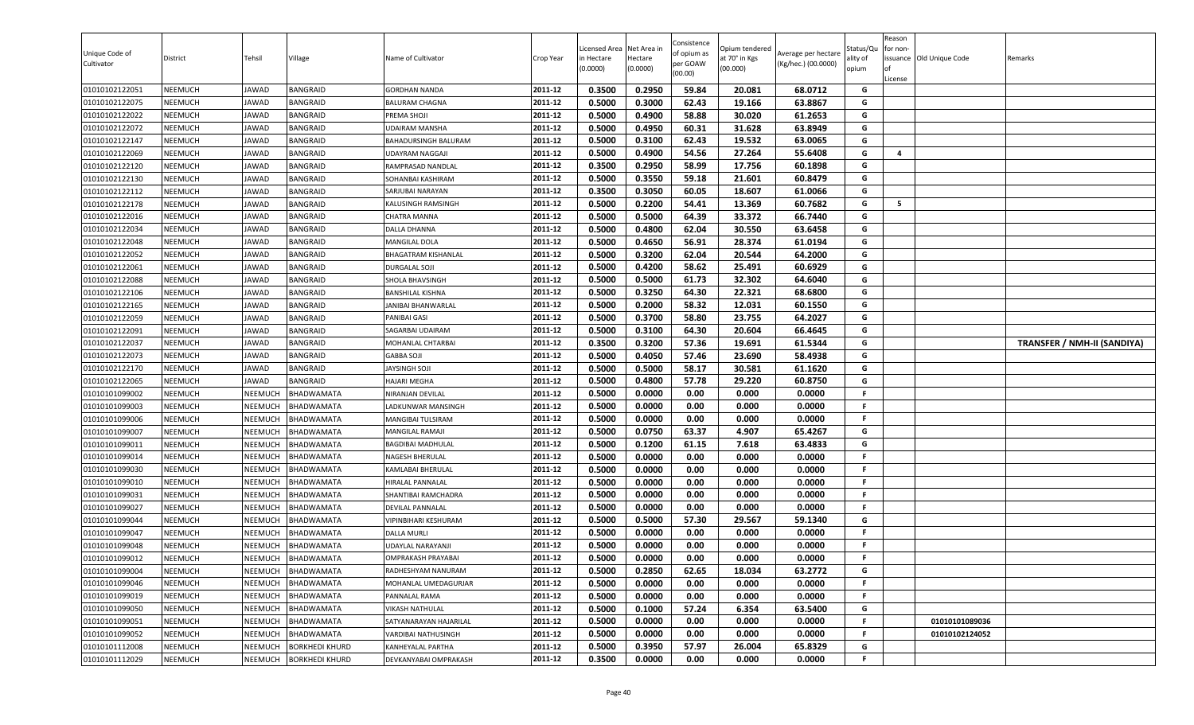| Unique Code of<br>Cultivator     | District                         | Tehsil             | Village                  | Name of Cultivator                             | Crop Year          | Licensed Area<br>in Hectare<br>(0.0000) | Net Area in<br>Hectare<br>(0.0000) | Consistence<br>of opium as<br>per GOAW<br>(00.00) | Opium tendered<br>at 70° in Kgs<br>(00.000) | Average per hectare<br>(Kg/hec.) (00.0000) | Status/Qเ<br>ality of<br>opium | Reason<br>for non-<br><b>of</b><br>License | issuance Old Unique Code | Remarks                     |
|----------------------------------|----------------------------------|--------------------|--------------------------|------------------------------------------------|--------------------|-----------------------------------------|------------------------------------|---------------------------------------------------|---------------------------------------------|--------------------------------------------|--------------------------------|--------------------------------------------|--------------------------|-----------------------------|
| 01010102122051                   | <b>NEEMUCH</b>                   | JAWAD              | <b>BANGRAID</b>          | <b>GORDHAN NANDA</b>                           | 2011-12            | 0.3500                                  | 0.2950                             | 59.84                                             | 20.081                                      | 68.0712                                    | G                              |                                            |                          |                             |
| 01010102122075                   | <b>NEEMUCH</b>                   | JAWAD              | <b>BANGRAID</b>          | <b>BALURAM CHAGNA</b>                          | 2011-12            | 0.5000                                  | 0.3000                             | 62.43                                             | 19.166                                      | 63.8867                                    | G                              |                                            |                          |                             |
| 01010102122022                   | NEEMUCH                          | JAWAD              | <b>BANGRAID</b>          | PREMA SHOJI                                    | 2011-12            | 0.5000                                  | 0.4900                             | 58.88                                             | 30.020                                      | 61.2653                                    | G                              |                                            |                          |                             |
| 01010102122072                   | NEEMUCH                          | JAWAD              | <b>BANGRAID</b>          | UDAIRAM MANSHA                                 | 2011-12            | 0.5000                                  | 0.4950                             | 60.31                                             | 31.628                                      | 63.8949                                    | G                              |                                            |                          |                             |
| 01010102122147                   | <b>NEEMUCH</b>                   | JAWAD              | <b>BANGRAID</b>          | BAHADURSINGH BALURAM                           | 2011-12            | 0.5000                                  | 0.3100                             | 62.43                                             | 19.532                                      | 63.0065                                    | G                              |                                            |                          |                             |
| 01010102122069                   | <b>NEEMUCH</b>                   | JAWAD              | <b>BANGRAID</b>          | UDAYRAM NAGGAJI                                | 2011-12            | 0.5000                                  | 0.4900                             | 54.56                                             | 27.264                                      | 55.6408                                    | G                              | $\overline{4}$                             |                          |                             |
| 01010102122120                   | <b>NEEMUCH</b>                   | JAWAD              | <b>BANGRAID</b>          | RAMPRASAD NANDLAL                              | 2011-12            | 0.3500                                  | 0.2950                             | 58.99                                             | 17.756                                      | 60.1898                                    | G                              |                                            |                          |                             |
| 01010102122130                   | <b>NEEMUCH</b>                   | JAWAD              | <b>BANGRAID</b>          | SOHANBAI KASHIRAM                              | 2011-12            | 0.5000                                  | 0.3550                             | 59.18                                             | 21.601                                      | 60.8479                                    | G                              |                                            |                          |                             |
| 01010102122112                   | <b>NEEMUCH</b>                   | JAWAD              | <b>BANGRAID</b>          | SARJUBAI NARAYAN                               | 2011-12            | 0.3500                                  | 0.3050                             | 60.05                                             | 18.607                                      | 61.0066                                    | G                              |                                            |                          |                             |
| 01010102122178                   | <b>NEEMUCH</b>                   | JAWAD              | <b>BANGRAID</b>          | KALUSINGH RAMSINGH                             | 2011-12            | 0.5000                                  | 0.2200                             | 54.41                                             | 13.369                                      | 60.7682                                    | G                              | 5                                          |                          |                             |
| 01010102122016                   | <b>NEEMUCH</b>                   | JAWAD              | <b>BANGRAID</b>          | CHATRA MANNA                                   | 2011-12            | 0.5000                                  | 0.5000                             | 64.39                                             | 33.372                                      | 66.7440                                    | G                              |                                            |                          |                             |
| 01010102122034                   | <b>NEEMUCH</b>                   | JAWAD              | <b>BANGRAID</b>          | DALLA DHANNA                                   | 2011-12            | 0.5000                                  | 0.4800                             | 62.04                                             | 30.550                                      | 63.6458                                    | G                              |                                            |                          |                             |
| 01010102122048                   | <b>NEEMUCH</b>                   | JAWAD              | <b>BANGRAID</b>          | <b>MANGILAL DOLA</b>                           | 2011-12            | 0.5000                                  | 0.4650                             | 56.91                                             | 28.374                                      | 61.0194                                    | G                              |                                            |                          |                             |
| 01010102122052                   | <b>NEEMUCH</b>                   | JAWAD              | <b>BANGRAID</b>          | BHAGATRAM KISHANLAL                            | 2011-12            | 0.5000                                  | 0.3200                             | 62.04                                             | 20.544                                      | 64.2000                                    | G                              |                                            |                          |                             |
| 01010102122061                   | <b>NEEMUCH</b>                   | JAWAD              | <b>BANGRAID</b>          | <b>DURGALAL SOJI</b>                           | 2011-12            | 0.5000                                  | 0.4200                             | 58.62                                             | 25.491                                      | 60.6929                                    | G                              |                                            |                          |                             |
| 01010102122088                   | <b>NEEMUCH</b>                   | JAWAD              | <b>BANGRAID</b>          | SHOLA BHAVSINGH                                | 2011-12            | 0.5000                                  | 0.5000                             | 61.73                                             | 32.302                                      | 64.6040                                    | G                              |                                            |                          |                             |
| 01010102122106                   | <b>NEEMUCH</b>                   | JAWAD              | <b>BANGRAID</b>          | <b>BANSHILAL KISHNA</b>                        | 2011-12            | 0.5000                                  | 0.3250                             | 64.30                                             | 22.321                                      | 68.6800                                    | G                              |                                            |                          |                             |
| 01010102122165                   | <b>NEEMUCH</b>                   | JAWAD              | <b>BANGRAID</b>          | JANIBAI BHANWARLAL                             | 2011-12            | 0.5000                                  | 0.2000                             | 58.32                                             | 12.031                                      | 60.1550                                    | G                              |                                            |                          |                             |
| 01010102122059                   | <b>NEEMUCH</b>                   | JAWAD              | <b>BANGRAID</b>          | PANIBAI GASI                                   | 2011-12            | 0.5000                                  | 0.3700                             | 58.80                                             | 23.755                                      | 64.2027                                    | G                              |                                            |                          |                             |
| 01010102122091                   | <b>NEEMUCH</b>                   | JAWAD              | <b>BANGRAID</b>          | SAGARBAI UDAIRAM                               | 2011-12            | 0.5000                                  | 0.3100                             | 64.30                                             | 20.604                                      | 66.4645                                    | G                              |                                            |                          |                             |
| 01010102122037                   | <b>NEEMUCH</b>                   | JAWAD              | <b>BANGRAID</b>          | MOHANLAL CHTARBAI                              | 2011-12            | 0.3500                                  | 0.3200                             | 57.36                                             | 19.691                                      | 61.5344                                    | G                              |                                            |                          | TRANSFER / NMH-II (SANDIYA) |
| 01010102122073                   | <b>NEEMUCH</b>                   | JAWAD              | <b>BANGRAID</b>          | <b>GABBA SOJI</b>                              | 2011-12            | 0.5000                                  | 0.4050                             | 57.46                                             | 23.690                                      | 58.4938                                    | G                              |                                            |                          |                             |
| 01010102122170                   | <b>NEEMUCH</b>                   | JAWAD              | BANGRAID                 | JAYSINGH SOJI                                  | 2011-12            | 0.5000                                  | 0.5000                             | 58.17                                             | 30.581                                      | 61.1620                                    | G                              |                                            |                          |                             |
| 01010102122065                   | <b>NEEMUCH</b>                   | JAWAD              | <b>BANGRAID</b>          | HAJARI MEGHA                                   | 2011-12            | 0.5000                                  | 0.4800                             | 57.78                                             | 29.220                                      | 60.8750                                    | G                              |                                            |                          |                             |
| 01010101099002                   | <b>NEEMUCH</b>                   | NEEMUCH            | BHADWAMATA               | NIRANJAN DEVILAL                               | 2011-12            | 0.5000                                  | 0.0000                             | 0.00                                              | 0.000                                       | 0.0000                                     | F.                             |                                            |                          |                             |
| 01010101099003                   | <b>NEEMUCH</b>                   | NEEMUCH            | <b>BHADWAMATA</b>        | LADKUNWAR MANSINGH                             | 2011-12            | 0.5000                                  | 0.0000                             | 0.00                                              | 0.000                                       | 0.0000                                     | F.                             |                                            |                          |                             |
| 01010101099006                   | <b>NEEMUCH</b>                   | NEEMUCH            | BHADWAMATA               | MANGIBAI TULSIRAM                              | 2011-12            | 0.5000                                  | 0.0000                             | 0.00                                              | 0.000                                       | 0.0000                                     | F.                             |                                            |                          |                             |
| 01010101099007                   | <b>NEEMUCH</b>                   | NEEMUCH            | BHADWAMATA               | MANGILAL RAMAJI                                | 2011-12            | 0.5000                                  | 0.0750                             | 63.37                                             | 4.907                                       | 65.4267                                    | G                              |                                            |                          |                             |
| 01010101099011                   | <b>NEEMUCH</b>                   | NEEMUCH            | BHADWAMATA               | BAGDIBAI MADHULAL                              | 2011-12            | 0.5000                                  | 0.1200                             | 61.15                                             | 7.618                                       | 63.4833                                    | G<br>F                         |                                            |                          |                             |
| 01010101099014                   | <b>NEEMUCH</b>                   | NEEMUCH            | BHADWAMATA               | NAGESH BHERULAL                                | 2011-12            | 0.5000                                  | 0.0000                             | 0.00                                              | 0.000                                       | 0.0000                                     |                                |                                            |                          |                             |
| 01010101099030                   | <b>NEEMUCH</b>                   | NEEMUCH            | BHADWAMATA               | KAMLABAI BHERULAL                              | 2011-12            | 0.5000                                  | 0.0000                             | 0.00                                              | 0.000                                       | 0.0000                                     | F.                             |                                            |                          |                             |
| 01010101099010                   | <b>NEEMUCH</b>                   | NEEMUCH            | BHADWAMATA               | HIRALAL PANNALAL                               | 2011-12            | 0.5000                                  | 0.0000                             | 0.00                                              | 0.000                                       | 0.0000                                     | .F                             |                                            |                          |                             |
| 01010101099031                   | <b>NEEMUCH</b>                   | NEEMUCH            | BHADWAMATA               | SHANTIBAI RAMCHADRA                            | 2011-12            | 0.5000<br>0.5000                        | 0.0000<br>0.0000                   | 0.00<br>0.00                                      | 0.000<br>0.000                              | 0.0000<br>0.0000                           | F.                             |                                            |                          |                             |
| 01010101099027<br>01010101099044 | <b>NEEMUCH</b><br><b>NEEMUCH</b> | NEEMUCH<br>NEEMUCH | BHADWAMATA<br>BHADWAMATA | DEVILAL PANNALAL<br>VIPINBIHARI KESHURAM       | 2011-12<br>2011-12 |                                         |                                    |                                                   |                                             |                                            | F.<br>G                        |                                            |                          |                             |
|                                  | <b>NEEMUCH</b>                   |                    | BHADWAMATA               | DALLA MURLI                                    | 2011-12            | 0.5000<br>0.5000                        | 0.5000<br>0.0000                   | 57.30<br>0.00                                     | 29.567<br>0.000                             | 59.1340<br>0.0000                          | F.                             |                                            |                          |                             |
| 01010101099047<br>01010101099048 | <b>NEEMUCH</b>                   | NEEMUCH<br>NEEMUCH | BHADWAMATA               |                                                | 2011-12            | 0.5000                                  | 0.0000                             | 0.00                                              | 0.000                                       | 0.0000                                     | F.                             |                                            |                          |                             |
| 01010101099012                   | <b>NEEMUCH</b>                   | NEEMUCH            | <b>BHADWAMATA</b>        | UDAYLAL NARAYANJI<br><b>OMPRAKASH PRAYABAI</b> | 2011-12            | 0.5000                                  | 0.0000                             | 0.00                                              | 0.000                                       | 0.0000                                     | F.                             |                                            |                          |                             |
| 01010101099004                   | <b>NEEMUCH</b>                   | NEEMUCH            | BHADWAMATA               | RADHESHYAM NANURAM                             | 2011-12            | 0.5000                                  | 0.2850                             | 62.65                                             | 18.034                                      | 63.2772                                    | G                              |                                            |                          |                             |
| 01010101099046                   | <b>NEEMUCH</b>                   | NEEMUCH            | BHADWAMATA               | MOHANLAL UMEDAGURJAR                           | 2011-12            | 0.5000                                  | 0.0000                             | 0.00                                              | 0.000                                       | 0.0000                                     | F                              |                                            |                          |                             |
| 01010101099019                   | <b>NEEMUCH</b>                   | <b>NEEMUCH</b>     | BHADWAMATA               | PANNALAL RAMA                                  | 2011-12            | 0.5000                                  | 0.0000                             | 0.00                                              | 0.000                                       | 0.0000                                     | F                              |                                            |                          |                             |
| 01010101099050                   | <b>NEEMUCH</b>                   | NEEMUCH            | BHADWAMATA               | VIKASH NATHULAL                                | 2011-12            | 0.5000                                  | 0.1000                             | 57.24                                             | 6.354                                       | 63.5400                                    | G                              |                                            |                          |                             |
| 01010101099051                   | <b>NEEMUCH</b>                   | NEEMUCH            | BHADWAMATA               | SATYANARAYAN HAJARILAL                         | 2011-12            | 0.5000                                  | 0.0000                             | 0.00                                              | 0.000                                       | 0.0000                                     | F.                             |                                            | 01010101089036           |                             |
| 01010101099052                   | <b>NEEMUCH</b>                   | NEEMUCH            | BHADWAMATA               | VARDIBAI NATHUSINGH                            | 2011-12            | 0.5000                                  | 0.0000                             | 0.00                                              | 0.000                                       | 0.0000                                     | F                              |                                            | 01010102124052           |                             |
| 01010101112008                   | <b>NEEMUCH</b>                   | <b>NEEMUCH</b>     | <b>BORKHEDI KHURD</b>    | KANHEYALAL PARTHA                              | 2011-12            | 0.5000                                  | 0.3950                             | 57.97                                             | 26.004                                      | 65.8329                                    | G                              |                                            |                          |                             |
| 01010101112029                   | <b>NEEMUCH</b>                   | NEEMUCH            | <b>BORKHEDI KHURD</b>    | DEVKANYABAI OMPRAKASH                          | 2011-12            | 0.3500                                  | 0.0000                             | 0.00                                              | 0.000                                       | 0.0000                                     | F                              |                                            |                          |                             |
|                                  |                                  |                    |                          |                                                |                    |                                         |                                    |                                                   |                                             |                                            |                                |                                            |                          |                             |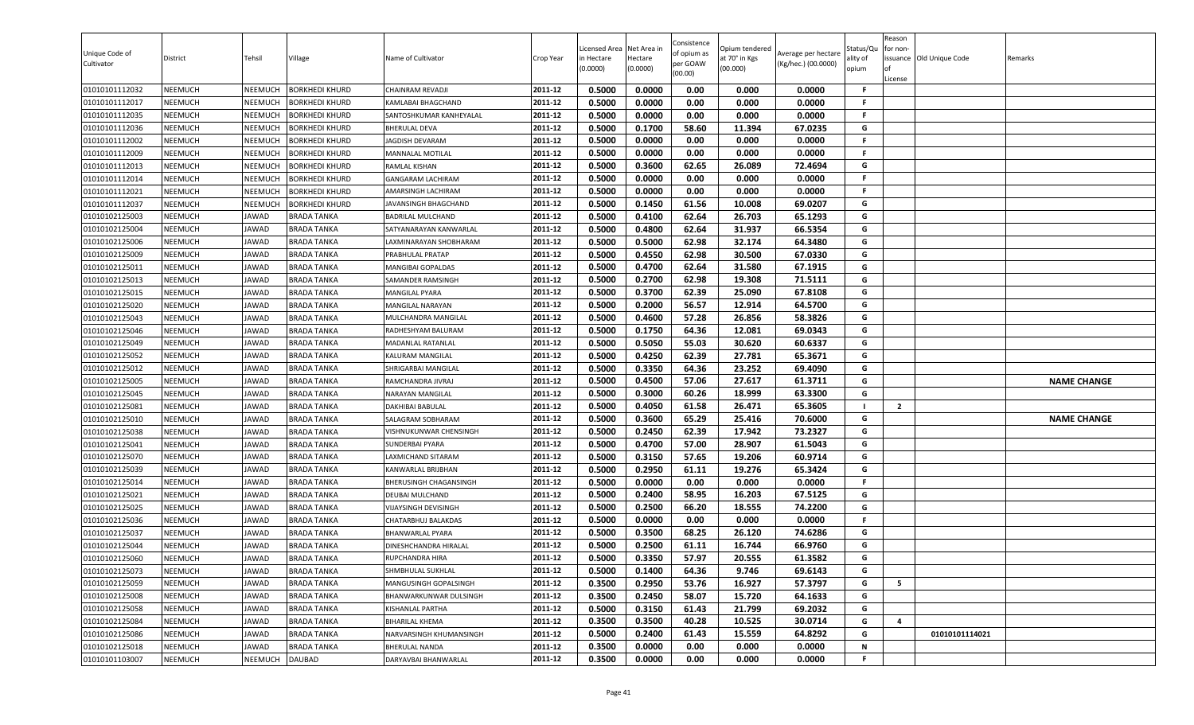| Unique Code of<br>Cultivator     | District                  | Tehsil         | Village                    | Name of Cultivator                           | Crop Year          | Licensed Area<br>in Hectare<br>(0.0000) | Net Area in<br>Hectare<br>(0.0000) | Consistence<br>of opium as<br>per GOAW<br>(00.00) | Opium tendered<br>at 70° in Kgs<br>(00.000) | Average per hectare<br>(Kg/hec.) (00.0000) | status/Qι<br>ılity of<br>opium | Reason<br>for non-<br>lof<br>License | issuance Old Unique Code | Remarks            |
|----------------------------------|---------------------------|----------------|----------------------------|----------------------------------------------|--------------------|-----------------------------------------|------------------------------------|---------------------------------------------------|---------------------------------------------|--------------------------------------------|--------------------------------|--------------------------------------|--------------------------|--------------------|
| 01010101112032                   | <b>NEEMUCH</b>            | NEEMUCH        | <b>BORKHEDI KHURD</b>      | CHAINRAM REVADJI                             | 2011-12            | 0.5000                                  | 0.0000                             | 0.00                                              | 0.000                                       | 0.0000                                     | F.                             |                                      |                          |                    |
| 01010101112017                   | NEEMUCH                   | NEEMUCH        | <b>BORKHEDI KHURD</b>      | KAMLABAI BHAGCHAND                           | 2011-12            | 0.5000                                  | 0.0000                             | 0.00                                              | 0.000                                       | 0.0000                                     | F.                             |                                      |                          |                    |
| 01010101112035                   | NEEMUCH                   | <b>NEEMUCH</b> | <b>BORKHEDI KHURD</b>      | SANTOSHKUMAR KANHEYALAL                      | 2011-12            | 0.5000                                  | 0.0000                             | 0.00                                              | 0.000                                       | 0.0000                                     | F.                             |                                      |                          |                    |
| 01010101112036                   | <b>NEEMUCH</b>            | NEEMUCH        | BORKHEDI KHURD             | <b>BHERULAL DEVA</b>                         | 2011-12            | 0.5000                                  | 0.1700                             | 58.60                                             | 11.394                                      | 67.0235                                    | G                              |                                      |                          |                    |
| 01010101112002                   | NEEMUCH                   | NEEMUCH        | BORKHEDI KHURD             | <b>JAGDISH DEVARAM</b>                       | 2011-12            | 0.5000                                  | 0.0000                             | 0.00                                              | 0.000                                       | 0.0000                                     | F.                             |                                      |                          |                    |
| 01010101112009                   | <b>NEEMUCH</b>            | NEEMUCH        | BORKHEDI KHURD             | MANNALAL MOTILAL                             | 2011-12            | 0.5000                                  | 0.0000                             | 0.00                                              | 0.000                                       | 0.0000                                     | F.                             |                                      |                          |                    |
| 01010101112013                   | <b>NEEMUCH</b>            | NEEMUCH        | BORKHEDI KHURD             | RAMLAL KISHAN                                | 2011-12            | 0.5000                                  | 0.3600                             | 62.65                                             | 26.089                                      | 72.4694                                    | G                              |                                      |                          |                    |
| 01010101112014                   | <b>NEEMUCH</b>            | NEEMUCH        | <b>BORKHEDI KHURD</b>      | <b>GANGARAM LACHIRAM</b>                     | 2011-12            | 0.5000                                  | 0.0000                             | 0.00                                              | 0.000                                       | 0.0000                                     | F.                             |                                      |                          |                    |
| 01010101112021                   | <b>NEEMUCH</b>            | NEEMUCH        | BORKHEDI KHURD             | AMARSINGH LACHIRAM                           | 2011-12            | 0.5000                                  | 0.0000                             | 0.00                                              | 0.000                                       | 0.0000                                     | F                              |                                      |                          |                    |
| 01010101112037                   | NEEMUCH                   | NEEMUCH        | <b>BORKHEDI KHURD</b>      | JAVANSINGH BHAGCHAND                         | 2011-12            | 0.5000                                  | 0.1450                             | 61.56                                             | 10.008                                      | 69.0207                                    | G                              |                                      |                          |                    |
| 01010102125003                   | NEEMUCH                   | JAWAD          | BRADA TANKA                | <b>BADRILAL MULCHAND</b>                     | 2011-12            | 0.5000                                  | 0.4100                             | 62.64                                             | 26.703                                      | 65.1293                                    | G                              |                                      |                          |                    |
| 01010102125004                   | NEEMUCH                   | <b>JAWAD</b>   | <b>BRADA TANKA</b>         | SATYANARAYAN KANWARLAL                       | 2011-12            | 0.5000<br>0.5000                        | 0.4800<br>0.5000                   | 62.64<br>62.98                                    | 31.937<br>32.174                            | 66.5354<br>64.3480                         | G<br>G                         |                                      |                          |                    |
| 01010102125006                   | <b>NEEMUCH</b>            | JAWAD          | <b>BRADA TANKA</b>         | LAXMINARAYAN SHOBHARAM                       | 2011-12<br>2011-12 | 0.5000                                  | 0.4550                             |                                                   |                                             |                                            | G                              |                                      |                          |                    |
| 01010102125009<br>01010102125011 | NEEMUCH<br><b>NEEMUCH</b> | JAWAD<br>JAWAD | BRADA TANKA<br>BRADA TANKA | PRABHULAL PRATAP<br><b>MANGIBAI GOPALDAS</b> | 2011-12            | 0.5000                                  | 0.4700                             | 62.98<br>62.64                                    | 30.500                                      | 67.0330<br>67.1915                         | G                              |                                      |                          |                    |
| 01010102125013                   | <b>NEEMUCH</b>            | JAWAD          | <b>BRADA TANKA</b>         |                                              | 2011-12            | 0.5000                                  | 0.2700                             | 62.98                                             | 31.580<br>19.308                            | 71.5111                                    | G                              |                                      |                          |                    |
| 01010102125015                   | <b>NEEMUCH</b>            | JAWAD          | <b>BRADA TANKA</b>         | SAMANDER RAMSINGH<br>MANGILAL PYARA          | 2011-12            | 0.5000                                  | 0.3700                             | 62.39                                             | 25.090                                      | 67.8108                                    | G                              |                                      |                          |                    |
| 01010102125020                   | NEEMUCH                   | JAWAD          | <b>BRADA TANKA</b>         | MANGILAL NARAYAN                             | 2011-12            | 0.5000                                  | 0.2000                             | 56.57                                             | 12.914                                      | 64.5700                                    | G                              |                                      |                          |                    |
| 01010102125043                   | <b>NEEMUCH</b>            | <b>JAWAD</b>   | <b>BRADA TANKA</b>         | MULCHANDRA MANGILAL                          | 2011-12            | 0.5000                                  | 0.4600                             | 57.28                                             | 26.856                                      | 58.3826                                    | G                              |                                      |                          |                    |
| 01010102125046                   | NEEMUCH                   | JAWAD          | BRADA TANKA                | RADHESHYAM BALURAM                           | 2011-12            | 0.5000                                  | 0.1750                             | 64.36                                             | 12.081                                      | 69.0343                                    | G                              |                                      |                          |                    |
| 01010102125049                   | NEEMUCH                   | <b>JAWAD</b>   | <b>BRADA TANKA</b>         | MADANLAL RATANLAL                            | 2011-12            | 0.5000                                  | 0.5050                             | 55.03                                             | 30.620                                      | 60.6337                                    | G                              |                                      |                          |                    |
| 01010102125052                   | <b>NEEMUCH</b>            | JAWAD          | BRADA TANKA                | KALURAM MANGILAL                             | 2011-12            | 0.5000                                  | 0.4250                             | 62.39                                             | 27.781                                      | 65.3671                                    | G                              |                                      |                          |                    |
| 01010102125012                   | <b>NEEMUCH</b>            | JAWAD          | <b>BRADA TANKA</b>         | SHRIGARBAI MANGILAL                          | 2011-12            | 0.5000                                  | 0.3350                             | 64.36                                             | 23.252                                      | 69.4090                                    | G                              |                                      |                          |                    |
| 01010102125005                   | <b>NEEMUCH</b>            | JAWAD          | <b>BRADA TANKA</b>         | RAMCHANDRA JIVRAJ                            | 2011-12            | 0.5000                                  | 0.4500                             | 57.06                                             | 27.617                                      | 61.3711                                    | G                              |                                      |                          | <b>NAME CHANGE</b> |
| 01010102125045                   | <b>NEEMUCH</b>            | JAWAD          | BRADA TANKA                | NARAYAN MANGILAL                             | 2011-12            | 0.5000                                  | 0.3000                             | 60.26                                             | 18.999                                      | 63.3300                                    | G                              |                                      |                          |                    |
| 01010102125081                   | NEEMUCH                   | JAWAD          | <b>BRADA TANKA</b>         | DAKHIBAI BABULAL                             | 2011-12            | 0.5000                                  | 0.4050                             | 61.58                                             | 26.471                                      | 65.3605                                    |                                | $\mathbf{2}$                         |                          |                    |
| 01010102125010                   | NEEMUCH                   | JAWAD          | BRADA TANKA                | SALAGRAM SOBHARAM                            | 2011-12            | 0.5000                                  | 0.3600                             | 65.29                                             | 25.416                                      | 70.6000                                    | G                              |                                      |                          | <b>NAME CHANGE</b> |
| 01010102125038                   | NEEMUCH                   | <b>JAWAD</b>   | <b>BRADA TANKA</b>         | VISHNUKUNWAR CHENSINGH                       | 2011-12            | 0.5000                                  | 0.2450                             | 62.39                                             | 17.942                                      | 73.2327                                    | G                              |                                      |                          |                    |
| 01010102125041                   | NEEMUCH                   | JAWAD          | <b>BRADA TANKA</b>         | <b>SUNDERBAI PYARA</b>                       | 2011-12            | 0.5000                                  | 0.4700                             | 57.00                                             | 28.907                                      | 61.5043                                    | G                              |                                      |                          |                    |
| 01010102125070                   | NEEMUCH                   | JAWAD          | BRADA TANKA                | LAXMICHAND SITARAM                           | 2011-12            | 0.5000                                  | 0.3150                             | 57.65                                             | 19.206                                      | 60.9714                                    | G                              |                                      |                          |                    |
| 01010102125039                   | NEEMUCH                   | JAWAD          | BRADA TANKA                | KANWARLAL BRIJBHAN                           | 2011-12            | 0.5000                                  | 0.2950                             | 61.11                                             | 19.276                                      | 65.3424                                    | G                              |                                      |                          |                    |
| 01010102125014                   | <b>NEEMUCH</b>            | JAWAD          | <b>BRADA TANKA</b>         | BHERUSINGH CHAGANSINGH                       | 2011-12            | 0.5000                                  | 0.0000                             | 0.00                                              | 0.000                                       | 0.0000                                     | F.                             |                                      |                          |                    |
| 01010102125021                   | <b>NEEMUCH</b>            | JAWAD          | <b>BRADA TANKA</b>         | <b>DEUBAI MULCHAND</b>                       | 2011-12            | 0.5000                                  | 0.2400                             | 58.95                                             | 16.203                                      | 67.5125                                    | G                              |                                      |                          |                    |
| 01010102125025                   | NEEMUCH                   | JAWAD          | BRADA TANKA                | <b>VIJAYSINGH DEVISINGH</b>                  | 2011-12            | 0.5000                                  | 0.2500                             | 66.20                                             | 18.555                                      | 74.2200                                    | G                              |                                      |                          |                    |
| 01010102125036                   | NEEMUCH                   | JAWAD          | <b>BRADA TANKA</b>         | CHATARBHUJ BALAKDAS                          | 2011-12            | 0.5000                                  | 0.0000                             | 0.00                                              | 0.000                                       | 0.0000                                     | F.                             |                                      |                          |                    |
| 01010102125037                   | NEEMUCH                   | JAWAD          | BRADA TANKA                | <b>BHANWARLAL PYARA</b>                      | 2011-12            | 0.5000                                  | 0.3500                             | 68.25                                             | 26.120                                      | 74.6286                                    | G                              |                                      |                          |                    |
| 01010102125044                   | NEEMUCH                   | JAWAD          | <b>BRADA TANKA</b>         | DINESHCHANDRA HIRALAL                        | 2011-12            | 0.5000                                  | 0.2500                             | 61.11                                             | 16.744                                      | 66.9760                                    | G                              |                                      |                          |                    |
| 01010102125060                   | NEEMUCH                   | JAWAD          | <b>BRADA TANKA</b>         | RUPCHANDRA HIRA                              | 2011-12            | 0.5000                                  | 0.3350                             | 57.97                                             | 20.555                                      | 61.3582                                    | G                              |                                      |                          |                    |
| 01010102125073                   | NEEMUCH                   | JAWAD          | <b>BRADA TANKA</b>         | SHMBHULAL SUKHLAL                            | 2011-12            | 0.5000                                  | 0.1400                             | 64.36                                             | 9.746                                       | 69.6143                                    | G                              |                                      |                          |                    |
| 01010102125059                   | NEEMUCH                   | JAWAD          | <b>BRADA TANKA</b>         | MANGUSINGH GOPALSINGH                        | 2011-12            | 0.3500                                  | 0.2950                             | 53.76                                             | 16.927                                      | 57.3797                                    | G                              | 5                                    |                          |                    |
| 01010102125008                   | NEEMUCH                   | JAWAD          | <b>BRADA TANKA</b>         | BHANWARKUNWAR DULSINGH                       | 2011-12            | 0.3500                                  | 0.2450                             | 58.07                                             | 15.720                                      | 64.1633                                    | G                              |                                      |                          |                    |
| 01010102125058                   | <b>NEEMUCH</b>            | JAWAD          | <b>BRADA TANKA</b>         | KISHANLAL PARTHA                             | 2011-12            | 0.5000                                  | 0.3150                             | 61.43                                             | 21.799                                      | 69.2032                                    | G                              |                                      |                          |                    |
| 01010102125084                   | <b>NEEMUCH</b>            | JAWAD          | BRADA TANKA                | <b>BIHARILAL KHEMA</b>                       | 2011-12            | 0.3500                                  | 0.3500                             | 40.28                                             | 10.525                                      | 30.0714                                    | G                              | 4                                    |                          |                    |
| 01010102125086                   | NEEMUCH                   | JAWAD          | <b>BRADA TANKA</b>         | NARVARSINGH KHUMANSINGH                      | 2011-12            | 0.5000                                  | 0.2400                             | 61.43                                             | 15.559                                      | 64.8292                                    | G                              |                                      | 01010101114021           |                    |
| 01010102125018                   | <b>NEEMUCH</b>            | JAWAD          | <b>BRADA TANKA</b>         | <b>BHERULAL NANDA</b>                        | 2011-12            | 0.3500                                  | 0.0000                             | 0.00                                              | 0.000                                       | 0.0000                                     | N                              |                                      |                          |                    |
| 01010101103007                   | NEEMUCH                   | NEEMUCH        | <b>DAUBAD</b>              | DARYAVBAI BHANWARLAL                         | 2011-12            | 0.3500                                  | 0.0000                             | 0.00                                              | 0.000                                       | 0.0000                                     | F                              |                                      |                          |                    |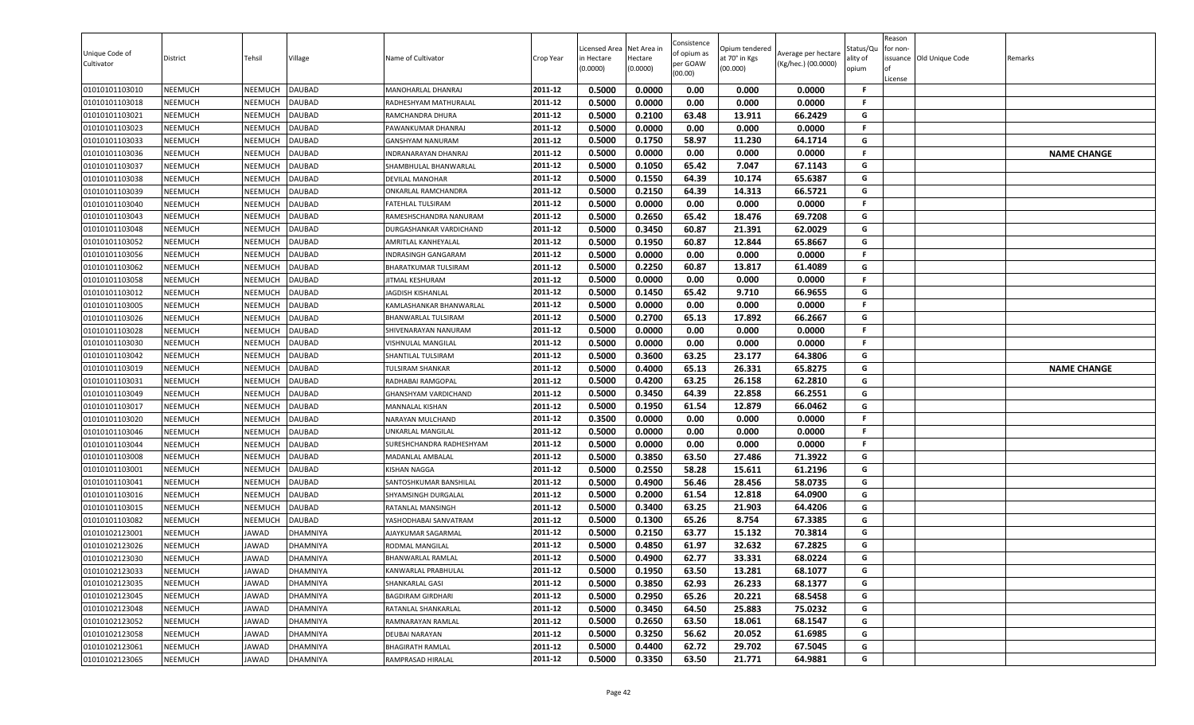| 0.5000<br>0.0000<br>0.00<br>0.000<br>0.0000<br><b>NEEMUCH</b><br><b>DAUBAD</b><br>MANOHARLAL DHANRAJ<br>2011-12<br>01010101103010<br>NEEMUCH<br>F.<br><b>NEEMUCH</b><br>2011-12<br>0.5000<br>0.0000<br>0.00<br>0.000<br>0.0000<br>01010101103018<br>NEEMUCH<br><b>DAUBAD</b><br>F.<br>RADHESHYAM MATHURALAL<br>0.2100<br><b>NEEMUCH</b><br>2011-12<br>0.5000<br>63.48<br>13.911<br>66.2429<br>G<br>NEEMUCH<br><b>DAUBAD</b><br>01010101103021<br>RAMCHANDRA DHURA<br>2011-12<br>0.5000<br>0.0000<br>01010101103023<br><b>NEEMUCH</b><br>NEEMUCH<br><b>DAUBAD</b><br>0.00<br>0.000<br>0.0000<br>F.<br>PAWANKUMAR DHANRAJ<br>0.5000<br>0.1750<br>58.97<br>64.1714<br>2011-12<br>11.230<br>G<br><b>NEEMUCH</b><br>NEEMUCH<br><b>DAUBAD</b><br>01010101103033<br>GANSHYAM NANURAM |                    |
|-------------------------------------------------------------------------------------------------------------------------------------------------------------------------------------------------------------------------------------------------------------------------------------------------------------------------------------------------------------------------------------------------------------------------------------------------------------------------------------------------------------------------------------------------------------------------------------------------------------------------------------------------------------------------------------------------------------------------------------------------------------------------------|--------------------|
|                                                                                                                                                                                                                                                                                                                                                                                                                                                                                                                                                                                                                                                                                                                                                                               |                    |
|                                                                                                                                                                                                                                                                                                                                                                                                                                                                                                                                                                                                                                                                                                                                                                               |                    |
|                                                                                                                                                                                                                                                                                                                                                                                                                                                                                                                                                                                                                                                                                                                                                                               |                    |
|                                                                                                                                                                                                                                                                                                                                                                                                                                                                                                                                                                                                                                                                                                                                                                               |                    |
|                                                                                                                                                                                                                                                                                                                                                                                                                                                                                                                                                                                                                                                                                                                                                                               |                    |
| 2011-12<br>0.5000<br>0.0000<br>0.00<br>0.000<br>0.0000<br>F.<br>01010101103036<br><b>NEEMUCH</b><br>NEEMUCH<br><b>DAUBAD</b><br>INDRANARAYAN DHANRAJ                                                                                                                                                                                                                                                                                                                                                                                                                                                                                                                                                                                                                          | <b>NAME CHANGE</b> |
| 65.42<br>67.1143<br>2011-12<br>0.5000<br>0.1050<br>7.047<br>G<br><b>NEEMUCH</b><br><b>DAUBAD</b><br>01010101103037<br>NEEMUCH<br>SHAMBHULAL BHANWARLAL                                                                                                                                                                                                                                                                                                                                                                                                                                                                                                                                                                                                                        |                    |
| 2011-12<br>0.1550<br>64.39<br>G<br>01010101103038<br><b>NEEMUCH</b><br>NEEMUCH<br><b>DAUBAD</b><br>0.5000<br>10.174<br>65.6387<br>DEVILAL MANOHAR                                                                                                                                                                                                                                                                                                                                                                                                                                                                                                                                                                                                                             |                    |
| 0.5000<br>0.2150<br>64.39<br>66.5721<br><b>NEEMUCH</b><br>NEEMUCH<br><b>DAUBAD</b><br>14.313<br>01010101103039<br>ONKARLAL RAMCHANDRA<br>2011-12<br>G                                                                                                                                                                                                                                                                                                                                                                                                                                                                                                                                                                                                                         |                    |
| 0.0000<br>01010101103040<br><b>NEEMUCH</b><br>NEEMUCH<br><b>DAUBAD</b><br>2011-12<br>0.5000<br>0.00<br>0.000<br>0.0000<br>FATEHLAL TULSIRAM<br>.F                                                                                                                                                                                                                                                                                                                                                                                                                                                                                                                                                                                                                             |                    |
| 0.5000<br>0.2650<br>65.42<br>18.476<br>69.7208<br>G<br><b>NEEMUCH</b><br>2011-12<br>NEEMUCH<br>DAUBAD<br>RAMESHSCHANDRA NANURAM<br>01010101103043                                                                                                                                                                                                                                                                                                                                                                                                                                                                                                                                                                                                                             |                    |
| <b>NEEMUCH</b><br><b>DAUBAD</b><br>2011-12<br>0.5000<br>0.3450<br>60.87<br>21.391<br>62.0029<br>G<br>NEEMUCH<br>01010101103048<br>DURGASHANKAR VARDICHAND                                                                                                                                                                                                                                                                                                                                                                                                                                                                                                                                                                                                                     |                    |
| 0.5000<br>0.1950<br>65.8667<br>01010101103052<br><b>NEEMUCH</b><br>NEEMUCH<br><b>DAUBAD</b><br>60.87<br>12.844<br>G<br>2011-12<br>AMRITLAL KANHEYALAL                                                                                                                                                                                                                                                                                                                                                                                                                                                                                                                                                                                                                         |                    |
| 2011-12<br>0.5000<br>0.0000<br><b>NEEMUCH</b><br>NEEMUCH<br><b>DAUBAD</b><br>0.00<br>0.000<br>0.0000<br>F.<br>01010101103056<br>INDRASINGH GANGARAM                                                                                                                                                                                                                                                                                                                                                                                                                                                                                                                                                                                                                           |                    |
| 0.2250<br>0.5000<br>60.87<br>13.817<br>61.4089<br>G<br>01010101103062<br><b>NEEMUCH</b><br>NEEMUCH<br><b>DAUBAD</b><br>2011-12<br>BHARATKUMAR TULSIRAM                                                                                                                                                                                                                                                                                                                                                                                                                                                                                                                                                                                                                        |                    |
| 2011-12<br><b>NEEMUCH</b><br>NEEMUCH<br><b>DAUBAD</b><br>0.5000<br>0.0000<br>0.00<br>0.000<br>0.0000<br>01010101103058<br>JITMAL KESHURAM<br>F.                                                                                                                                                                                                                                                                                                                                                                                                                                                                                                                                                                                                                               |                    |
| 01010101103012<br><b>NEEMUCH</b><br>NEEMUCH<br><b>DAUBAD</b><br>2011-12<br>0.5000<br>0.1450<br>65.42<br>9.710<br>66.9655<br>G<br><b>JAGDISH KISHANLAL</b>                                                                                                                                                                                                                                                                                                                                                                                                                                                                                                                                                                                                                     |                    |
| 01010101103005<br><b>NEEMUCH</b><br>NEEMUCH<br><b>DAUBAD</b><br>2011-12<br>0.5000<br>0.0000<br>0.00<br>0.000<br>0.0000<br>KAMLASHANKAR BHANWARLAL<br>F.<br><b>NEEMUCH</b><br>NEEMUCH<br><b>DAUBAD</b><br>2011-12<br>G                                                                                                                                                                                                                                                                                                                                                                                                                                                                                                                                                         |                    |
| 01010101103026<br>0.5000<br>0.2700<br>65.13<br>17.892<br>66.2667<br>BHANWARLAL TULSIRAM<br>0.00<br>0.5000<br>0.0000<br>0.000<br>0.0000<br>2011-12<br>F.                                                                                                                                                                                                                                                                                                                                                                                                                                                                                                                                                                                                                       |                    |
| <b>NEEMUCH</b><br>01010101103028<br>NEEMUCH<br><b>DAUBAD</b><br>SHIVENARAYAN NANURAM<br><b>NEEMUCH</b><br>0.5000<br>0.0000<br>0.00<br>0.000<br>0.0000<br>NEEMUCH<br><b>DAUBAD</b><br>2011-12<br>F.                                                                                                                                                                                                                                                                                                                                                                                                                                                                                                                                                                            |                    |
| 01010101103030<br>VISHNULAL MANGILAL<br>0.3600<br>23.177<br>2011-12<br>0.5000<br>63.25<br>64.3806<br>G                                                                                                                                                                                                                                                                                                                                                                                                                                                                                                                                                                                                                                                                        |                    |
| <b>NEEMUCH</b><br>01010101103042<br><b>NEEMUCH</b><br><b>DAUBAD</b><br>SHANTILAL TULSIRAM<br>0.5000<br>65.8275<br><b>NEEMUCH</b><br>NEEMUCH<br><b>DAUBAD</b><br>2011-12<br>0.4000<br>65.13<br>26.331<br>G<br>01010101103019<br><b>TULSIRAM SHANKAR</b>                                                                                                                                                                                                                                                                                                                                                                                                                                                                                                                        | <b>NAME CHANGE</b> |
| 0.5000<br>0.4200<br>63.25<br>26.158<br>62.2810<br><b>DAUBAD</b><br>2011-12<br>G<br>01010101103031<br><b>NEEMUCH</b><br>NEEMUCH<br>RADHABAI RAMGOPAL                                                                                                                                                                                                                                                                                                                                                                                                                                                                                                                                                                                                                           |                    |
| <b>NEEMUCH</b><br><b>DAUBAD</b><br>0.5000<br>0.3450<br>64.39<br>22.858<br>66.2551<br>G<br>01010101103049<br>NEEMUCH<br>2011-12<br>GHANSHYAM VARDICHAND                                                                                                                                                                                                                                                                                                                                                                                                                                                                                                                                                                                                                        |                    |
| 2011-12<br>0.5000<br>0.1950<br>61.54<br>12.879<br>66.0462<br>01010101103017<br><b>NEEMUCH</b><br>NEEMUCH<br><b>DAUBAD</b><br>MANNALAL KISHAN<br>G                                                                                                                                                                                                                                                                                                                                                                                                                                                                                                                                                                                                                             |                    |
| <b>NEEMUCH</b><br>0.3500<br>0.0000<br>0.00<br>0.000<br>0.0000<br>01010101103020<br>NEEMUCH<br><b>DAUBAD</b><br>2011-12<br>NARAYAN MULCHAND<br>.F                                                                                                                                                                                                                                                                                                                                                                                                                                                                                                                                                                                                                              |                    |
| 2011-12<br>0.5000<br>0.0000<br>0.00<br>0.000<br>0.0000<br>01010101103046<br><b>NEEMUCH</b><br>NEEMUCH<br><b>DAUBAD</b><br>F<br>UNKARLAL MANGILAL                                                                                                                                                                                                                                                                                                                                                                                                                                                                                                                                                                                                                              |                    |
| 0.00<br><b>NEEMUCH</b><br>0.5000<br>0.0000<br>0.000<br>0.0000<br>01010101103044<br>NEEMUCH<br>DAUBAD<br>2011-12<br>F.<br>SURESHCHANDRA RADHESHYAM                                                                                                                                                                                                                                                                                                                                                                                                                                                                                                                                                                                                                             |                    |
| 0.5000<br>0.3850<br>63.50<br>27.486<br>71.3922<br>2011-12<br>G<br><b>NEEMUCH</b><br><b>DAUBAD</b><br>MADANLAL AMBALAL<br>01010101103008<br>NEEMUCH                                                                                                                                                                                                                                                                                                                                                                                                                                                                                                                                                                                                                            |                    |
| 0.2550<br><b>NEEMUCH</b><br><b>DAUBAD</b><br>0.5000<br>58.28<br>15.611<br>61.2196<br>01010101103001<br>NEEMUCH<br><b>KISHAN NAGGA</b><br>2011-12<br>G                                                                                                                                                                                                                                                                                                                                                                                                                                                                                                                                                                                                                         |                    |
| 0.5000<br>0.4900<br>56.46<br>28.456<br>58.0735<br>01010101103041<br><b>NEEMUCH</b><br>NEEMUCH<br><b>DAUBAD</b><br>SANTOSHKUMAR BANSHILAL<br>2011-12<br>G                                                                                                                                                                                                                                                                                                                                                                                                                                                                                                                                                                                                                      |                    |
| 01010101103016<br><b>NEEMUCH</b><br>NEEMUCH<br><b>DAUBAD</b><br>2011-12<br>0.5000<br>0.2000<br>61.54<br>12.818<br>64.0900<br>SHYAMSINGH DURGALAL<br>G                                                                                                                                                                                                                                                                                                                                                                                                                                                                                                                                                                                                                         |                    |
| 0.5000<br>0.3400<br>63.25<br>21.903<br>64.4206<br><b>NEEMUCH</b><br>2011-12<br>G<br>01010101103015<br>NEEMUCH<br><b>DAUBAD</b><br>RATANLAL MANSINGH                                                                                                                                                                                                                                                                                                                                                                                                                                                                                                                                                                                                                           |                    |
| 01010101103082<br><b>NEEMUCH</b><br>NEEMUCH<br><b>DAUBAD</b><br>2011-12<br>0.5000<br>0.1300<br>65.26<br>8.754<br>67.3385<br>G<br>YASHODHABAI SANVATRAM                                                                                                                                                                                                                                                                                                                                                                                                                                                                                                                                                                                                                        |                    |
| 0.2150<br>15.132<br>2011-12<br>0.5000<br>63.77<br>70.3814<br>G<br><b>NEEMUCH</b><br>AJAYKUMAR SAGARMAL<br>01010102123001<br>JAWAD<br>DHAMNIYA                                                                                                                                                                                                                                                                                                                                                                                                                                                                                                                                                                                                                                 |                    |
| 2011-12<br>0.5000<br>0.4850<br>32.632<br>67.2825<br>G<br>01010102123026<br><b>NEEMUCH</b><br>JAWAD<br>61.97<br>DHAMNIYA<br>RODMAL MANGILAL                                                                                                                                                                                                                                                                                                                                                                                                                                                                                                                                                                                                                                    |                    |
| 0.5000<br>0.4900<br>62.77<br>33.331<br>68.0224<br>2011-12<br>G<br><b>NEEMUCH</b><br>JAWAD<br>01010102123030<br><b>DHAMNIYA</b><br>BHANWARLAL RAMLAL                                                                                                                                                                                                                                                                                                                                                                                                                                                                                                                                                                                                                           |                    |
| 2011-12<br>01010102123033<br><b>NEEMUCH</b><br>JAWAD<br>0.5000<br>0.1950<br>63.50<br>68.1077<br>G<br><b>DHAMNIYA</b><br>KANWARLAL PRABHULAL<br>13.281                                                                                                                                                                                                                                                                                                                                                                                                                                                                                                                                                                                                                         |                    |
| 0.3850<br>62.93<br>2011-12<br>0.5000<br>26.233<br>68.1377<br>G<br>01010102123035<br><b>NEEMUCH</b><br>JAWAD<br>DHAMNIYA<br>SHANKARLAL GASI                                                                                                                                                                                                                                                                                                                                                                                                                                                                                                                                                                                                                                    |                    |
| 2011-12<br>0.5000<br>0.2950<br>G<br>01010102123045<br><b>NEEMUCH</b><br>JAWAD<br>DHAMNIYA<br>65.26<br>20.221<br>68.5458<br><b>BAGDIRAM GIRDHARI</b>                                                                                                                                                                                                                                                                                                                                                                                                                                                                                                                                                                                                                           |                    |
| 2011-12<br>0.5000<br>0.3450<br>64.50<br>25.883<br>75.0232<br>01010102123048<br><b>NEEMUCH</b><br>JAWAD<br>DHAMNIYA<br>RATANLAL SHANKARLAL<br>G                                                                                                                                                                                                                                                                                                                                                                                                                                                                                                                                                                                                                                |                    |
| 63.50<br>G<br><b>NEEMUCH</b><br>2011-12<br>0.5000<br>0.2650<br>18.061<br>68.1547<br>01010102123052<br>JAWAD<br><b>DHAMNIYA</b><br>RAMNARAYAN RAMLAL                                                                                                                                                                                                                                                                                                                                                                                                                                                                                                                                                                                                                           |                    |
| 01010102123058<br><b>NEEMUCH</b><br>JAWAD<br><b>DHAMNIYA</b><br>2011-12<br>0.5000<br>0.3250<br>56.62<br>20.052<br>61.6985<br>G<br>DEUBAI NARAYAN                                                                                                                                                                                                                                                                                                                                                                                                                                                                                                                                                                                                                              |                    |
| 2011-12<br>62.72<br>29.702<br>67.5045<br>G<br>01010102123061<br><b>NEEMUCH</b><br>0.5000<br>0.4400<br>JAWAD<br><b>DHAMNIYA</b><br><b>BHAGIRATH RAMLAL</b>                                                                                                                                                                                                                                                                                                                                                                                                                                                                                                                                                                                                                     |                    |
| 01010102123065<br><b>NEEMUCH</b><br>0.5000<br>0.3350<br>63.50<br>21.771<br>64.9881<br>G<br>JAWAD<br>DHAMNIYA<br>2011-12<br>RAMPRASAD HIRALAL                                                                                                                                                                                                                                                                                                                                                                                                                                                                                                                                                                                                                                  |                    |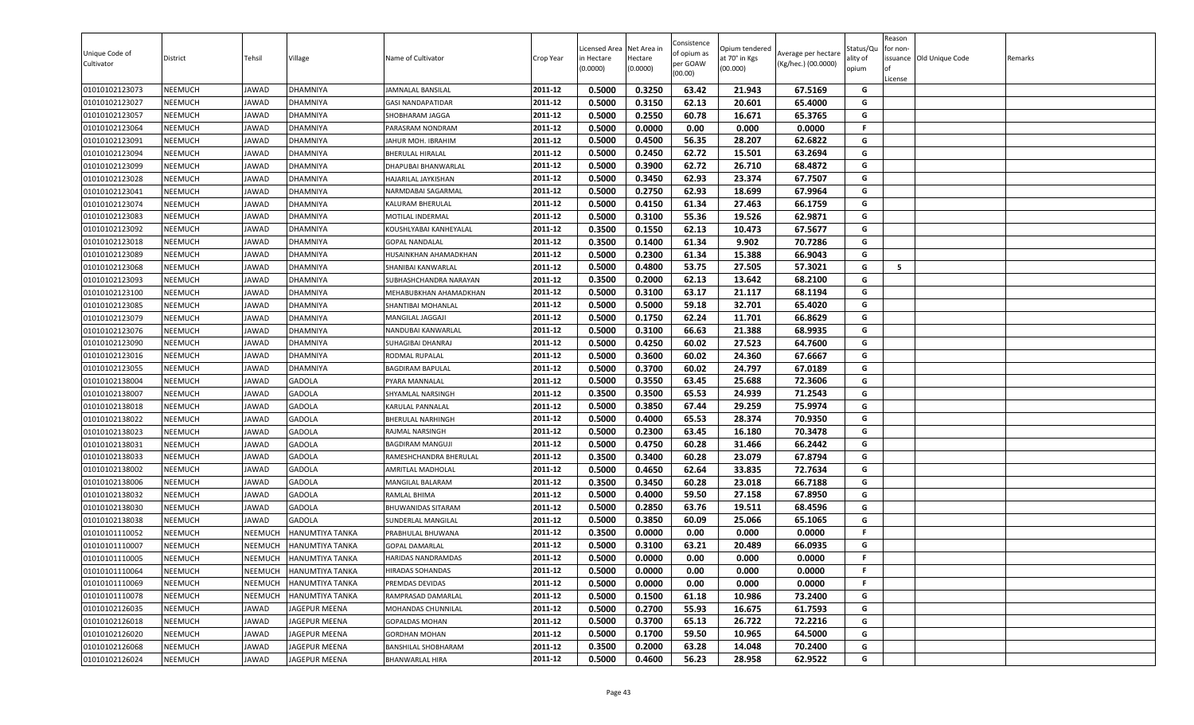| <b>NEEMUCH</b><br>2011-12<br>0.5000<br>0.3150<br>62.13<br>20.601<br>65.4000<br>G<br>01010102123027<br>JAWAD<br><b>DHAMNIYA</b><br>GASI NANDAPATIDAR<br>0.2550<br>NEEMUCH<br>2011-12<br>0.5000<br>60.78<br>16.671<br>65.3765<br>G<br>01010102123057<br>JAWAD<br>DHAMNIYA<br>SHOBHARAM JAGGA<br>2011-12<br>0.0000<br>01010102123064<br><b>NEEMUCH</b><br>0.5000<br>0.00<br>0.000<br>0.0000<br>F.<br>JAWAD<br><b>DHAMNIYA</b><br>PARASRAM NONDRAM<br>0.5000<br>0.4500<br>62.6822<br>2011-12<br>56.35<br>28.207<br>G<br><b>NEEMUCH</b><br>01010102123091<br>JAWAD<br>DHAMNIYA<br>JAHUR MOH. IBRAHIM<br>G<br>2011-12<br>0.5000<br>0.2450<br>62.72<br>15.501<br>63.2694<br>01010102123094<br><b>NEEMUCH</b><br>JAWAD<br>DHAMNIYA<br><b>BHERULAL HIRALAL</b><br>62.72<br>68.4872<br>2011-12<br>0.5000<br>0.3900<br>26.710<br>G<br><b>NEEMUCH</b><br>JAWAD<br>01010102123099<br>DHAMNIYA<br>DHAPUBAI BHANWARLAL<br>2011-12<br>0.3450<br>62.93<br>G<br>01010102123028<br><b>NEEMUCH</b><br>JAWAD<br>0.5000<br>23.374<br>67.7507<br><b>DHAMNIYA</b><br>HAJARILAL JAYKISHAN<br>0.2750<br><b>NEEMUCH</b><br>0.5000<br>62.93<br>18.699<br>67.9964<br>01010102123041<br>JAWAD<br>DHAMNIYA<br>NARMDABAI SAGARMAL<br>2011-12<br>G<br>01010102123074<br><b>NEEMUCH</b><br>JAWAD<br>2011-12<br>0.5000<br>0.4150<br>61.34<br>27.463<br>66.1759<br>G<br>DHAMNIYA<br>KALURAM BHERULAL<br>0.5000<br>0.3100<br>55.36<br>19.526<br>62.9871<br>G<br>2011-12<br>01010102123083<br><b>NEEMUCH</b><br>JAWAD<br>DHAMNIYA<br>MOTILAL INDERMAL<br><b>NEEMUCH</b><br>2011-12<br>0.3500<br>0.1550<br>62.13<br>10.473<br>67.5677<br>G<br>01010102123092<br>JAWAD<br>DHAMNIYA<br>KOUSHLYABAI KANHEYALAL<br>0.3500<br>0.1400<br>61.34<br>70.7286<br>01010102123018<br><b>NEEMUCH</b><br>9.902<br>G<br>JAWAD<br><b>DHAMNIYA</b><br>2011-12<br><b>GOPAL NANDALAL</b><br>0.5000<br>0.2300<br>G<br>01010102123089<br><b>NEEMUCH</b><br>2011-12<br>61.34<br>15.388<br>66.9043<br>JAWAD<br>DHAMNIYA<br>HUSAINKHAN AHAMADKHAN<br>0.5000<br>0.4800<br>53.75<br>27.505<br>57.3021<br>G<br>5<br>01010102123068<br><b>NEEMUCH</b><br>JAWAD<br><b>DHAMNIYA</b><br>SHANIBAI KANWARLAL<br>2011-12<br><b>NEEMUCH</b><br>JAWAD<br>DHAMNIYA<br>2011-12<br>0.3500<br>0.2000<br>62.13<br>13.642<br>68.2100<br>G<br>01010102123093<br>SUBHASHCHANDRA NARAYAN<br>01010102123100<br><b>NEEMUCH</b><br>JAWAD<br>DHAMNIYA<br>2011-12<br>0.5000<br>0.3100<br>63.17<br>21.117<br>68.1194<br>G<br>MEHABUBKHAN AHAMADKHAN<br>01010102123085<br><b>NEEMUCH</b><br>2011-12<br>0.5000<br>0.5000<br>59.18<br>32.701<br>65.4020<br>G<br>JAWAD<br><b>DHAMNIYA</b><br>SHANTIBAI MOHANLAL<br>01010102123079<br><b>NEEMUCH</b><br>JAWAD<br>DHAMNIYA<br>2011-12<br>0.5000<br>0.1750<br>62.24<br>11.701<br>66.8629<br>G<br><b>MANGILAL JAGGAJI</b><br>0.5000<br>0.3100<br>66.63<br>21.388<br>68.9935<br>G<br><b>NEEMUCH</b><br>2011-12<br>01010102123076<br>JAWAD<br>DHAMNIYA<br>NANDUBAI KANWARLAL<br><b>NEEMUCH</b><br>0.5000<br>0.4250<br>60.02<br>27.523<br>64.7600<br>01010102123090<br>JAWAD<br>DHAMNIYA<br>2011-12<br>G<br>SUHAGIBAI DHANRAJ<br>0.3600<br>67.6667<br>2011-12<br>0.5000<br>60.02<br>24.360<br>G<br><b>NEEMUCH</b><br>01010102123016<br>JAWAD<br><b>DHAMNIYA</b><br>RODMAL RUPALAL<br>0.3700<br>01010102123055<br><b>NEEMUCH</b><br>0.5000<br>60.02<br>24.797<br>67.0189<br>G<br>JAWAD<br>DHAMNIYA<br><b>BAGDIRAM BAPULAL</b><br>2011-12<br>0.5000<br>0.3550<br>63.45<br>72.3606<br>2011-12<br>25.688<br>G<br>01010102138004<br><b>NEEMUCH</b><br>JAWAD<br><b>GADOLA</b><br>PYARA MANNALAL<br>0.3500<br><b>NEEMUCH</b><br>JAWAD<br><b>GADOLA</b><br>0.3500<br>65.53<br>24.939<br>71.2543<br>G<br>01010102138007<br>2011-12<br>SHYAMLAL NARSINGH<br>2011-12<br>0.5000<br>0.3850<br>67.44<br>29.259<br>75.9974<br>01010102138018<br><b>NEEMUCH</b><br>JAWAD<br><b>GADOLA</b><br>KARULAL PANNALAL<br>G<br>01010102138022<br><b>NEEMUCH</b><br><b>GADOLA</b><br>0.5000<br>0.4000<br>65.53<br>28.374<br>70.9350<br>G<br>JAWAD<br>2011-12<br><b>BHERULAL NARHINGH</b><br>0.2300<br>2011-12<br>0.5000<br>63.45<br>16.180<br>70.3478<br>G<br>01010102138023<br><b>NEEMUCH</b><br>JAWAD<br><b>GADOLA</b><br>RAJMAL NARSINGH<br>0.4750<br><b>NEEMUCH</b><br>0.5000<br>60.28<br>31.466<br>66.2442<br>G<br>01010102138031<br>JAWAD<br><b>GADOLA</b><br>2011-12<br>BAGDIRAM MANGUJI<br>0.3500<br>0.3400<br>60.28<br>67.8794<br>2011-12<br>23.079<br>G<br><b>NEEMUCH</b><br><b>GADOLA</b><br>01010102138033<br>JAWAD<br>RAMESHCHANDRA BHERULAL<br>0.5000<br>0.4650<br>62.64<br>33.835<br>72.7634<br>01010102138002<br><b>NEEMUCH</b><br>JAWAD<br><b>GADOLA</b><br>AMRITLAL MADHOLAL<br>2011-12<br>G<br>0.3500<br>0.3450<br>60.28<br>23.018<br>66.7188<br>01010102138006<br><b>NEEMUCH</b><br>JAWAD<br><b>GADOLA</b><br>MANGILAL BALARAM<br>2011-12<br>G<br>01010102138032<br>JAWAD<br><b>GADOLA</b><br>2011-12<br>0.5000<br>0.4000<br>59.50<br>27.158<br>67.8950<br><b>NEEMUCH</b><br>RAMLAL BHIMA<br>G<br>0.5000<br>0.2850<br>63.76<br>19.511<br>68.4596<br><b>NEEMUCH</b><br>2011-12<br>G<br>01010102138030<br>JAWAD<br><b>GADOLA</b><br>BHUWANIDAS SITARAM<br>01010102138038<br><b>NEEMUCH</b><br>JAWAD<br><b>GADOLA</b><br>2011-12<br>0.5000<br>0.3850<br>60.09<br>25.066<br>65.1065<br>G<br>SUNDERLAL MANGILAL<br>2011-12<br>0.3500<br>0.0000<br>0.00<br>0.000<br>0.0000<br><b>NEEMUCH</b><br>F.<br>01010101110052<br>NEEMUCH<br>HANUMTIYA TANKA<br>PRABHULAL BHUWANA<br>2011-12<br>0.5000<br>0.3100<br><b>NEEMUCH</b><br>NEEMUCH<br>63.21<br>20.489<br>66.0935<br>G<br>01010101110007<br><b>HANUMTIYA TANKA</b><br><b>GOPAL DAMARLAL</b><br>0.5000<br>0.0000<br>0.00<br>0.000<br>2011-12<br>0.0000<br>F.<br><b>NEEMUCH</b><br>NEEMUCH<br><b>HANUMTIYA TANKA</b><br>01010101110005<br><b>HARIDAS NANDRAMDAS</b><br>2011-12<br><b>NEEMUCH</b><br>0.5000<br>0.0000<br>0.0000<br>01010101110064<br>NEEMUCH<br><b>HANUMTIYA TANKA</b><br>HIRADAS SOHANDAS<br>0.00<br>0.000<br>F.<br>0.0000<br>0.00<br>2011-12<br>0.5000<br>0.000<br>0.0000<br>01010101110069<br><b>NEEMUCH</b><br>NEEMUCH<br><b>HANUMTIYA TANKA</b><br>PREMDAS DEVIDAS<br>F.<br>2011-12<br>0.5000<br>0.1500<br>G<br>01010101110078<br><b>NEEMUCH</b><br>NEEMUCH<br><b>HANUMTIYA TANKA</b><br>61.18<br>10.986<br>73.2400<br>RAMPRASAD DAMARLAL<br>2011-12<br>0.5000<br>0.2700<br>55.93<br>16.675<br>61.7593<br>01010102126035<br><b>NEEMUCH</b><br>JAWAD<br>JAGEPUR MEENA<br>MOHANDAS CHUNNILAL<br>G<br>G<br><b>NEEMUCH</b><br>2011-12<br>0.5000<br>0.3700<br>65.13<br>26.722<br>72.2216<br>01010102126018<br>JAWAD<br>JAGEPUR MEENA<br>GOPALDAS MOHAN<br>64.5000<br>01010102126020<br><b>NEEMUCH</b><br>JAWAD<br>JAGEPUR MEENA<br>2011-12<br>0.5000<br>0.1700<br>59.50<br>10.965<br>G<br><b>GORDHAN MOHAN</b><br>2011-12<br>0.3500<br>0.2000<br>G<br>01010102126068<br><b>NEEMUCH</b><br>63.28<br>14.048<br>70.2400<br>JAWAD<br>JAGEPUR MEENA<br>BANSHILAL SHOBHARAM<br>01010102126024 | Unique Code of<br>Cultivator | District       | Tehsil | Village         | Name of Cultivator | Crop Year | Licensed Area<br>in Hectare<br>(0.0000) | Net Area in<br>Hectare<br>(0.0000) | Consistence<br>of opium as<br>per GOAW<br>(00.00) | Opium tendered<br>at 70° in Kgs<br>(00.000) | Average per hectare<br>(Kg/hec.) (00.0000) | Status/Qu<br>ality of<br>opium | Reason<br>for non-<br>lof<br>License | issuance Old Unique Code | Remarks |
|-------------------------------------------------------------------------------------------------------------------------------------------------------------------------------------------------------------------------------------------------------------------------------------------------------------------------------------------------------------------------------------------------------------------------------------------------------------------------------------------------------------------------------------------------------------------------------------------------------------------------------------------------------------------------------------------------------------------------------------------------------------------------------------------------------------------------------------------------------------------------------------------------------------------------------------------------------------------------------------------------------------------------------------------------------------------------------------------------------------------------------------------------------------------------------------------------------------------------------------------------------------------------------------------------------------------------------------------------------------------------------------------------------------------------------------------------------------------------------------------------------------------------------------------------------------------------------------------------------------------------------------------------------------------------------------------------------------------------------------------------------------------------------------------------------------------------------------------------------------------------------------------------------------------------------------------------------------------------------------------------------------------------------------------------------------------------------------------------------------------------------------------------------------------------------------------------------------------------------------------------------------------------------------------------------------------------------------------------------------------------------------------------------------------------------------------------------------------------------------------------------------------------------------------------------------------------------------------------------------------------------------------------------------------------------------------------------------------------------------------------------------------------------------------------------------------------------------------------------------------------------------------------------------------------------------------------------------------------------------------------------------------------------------------------------------------------------------------------------------------------------------------------------------------------------------------------------------------------------------------------------------------------------------------------------------------------------------------------------------------------------------------------------------------------------------------------------------------------------------------------------------------------------------------------------------------------------------------------------------------------------------------------------------------------------------------------------------------------------------------------------------------------------------------------------------------------------------------------------------------------------------------------------------------------------------------------------------------------------------------------------------------------------------------------------------------------------------------------------------------------------------------------------------------------------------------------------------------------------------------------------------------------------------------------------------------------------------------------------------------------------------------------------------------------------------------------------------------------------------------------------------------------------------------------------------------------------------------------------------------------------------------------------------------------------------------------------------------------------------------------------------------------------------------------------------------------------------------------------------------------------------------------------------------------------------------------------------------------------------------------------------------------------------------------------------------------------------------------------------------------------------------------------------------------------------------------------------------------------------------------------------------------------------------------------------------------------------------------------------------------------------------------------------------------------------------------------------------------------------------------------------------------------------------------------------------------------------------------------------------------------------------------------------------------------------------------------------------------------------------------------------------------------------------------------------------------------------------------------------------------------------------------------------------------------------------------------------------------------------------------------------------------------------------------------------------------------------------------------------------------------------------------------------------------------------------------------------------------------------------------------------------------------------------------------------------------------------------------------------------------------------------------------------------------------------------------------------------------------------------------------------------------------------------------------------------------------------------------------------------------------------------------------------------------------------------------------------------------------------------------------------------------------------------------------------------------------------------------------------------------------------|------------------------------|----------------|--------|-----------------|--------------------|-----------|-----------------------------------------|------------------------------------|---------------------------------------------------|---------------------------------------------|--------------------------------------------|--------------------------------|--------------------------------------|--------------------------|---------|
|                                                                                                                                                                                                                                                                                                                                                                                                                                                                                                                                                                                                                                                                                                                                                                                                                                                                                                                                                                                                                                                                                                                                                                                                                                                                                                                                                                                                                                                                                                                                                                                                                                                                                                                                                                                                                                                                                                                                                                                                                                                                                                                                                                                                                                                                                                                                                                                                                                                                                                                                                                                                                                                                                                                                                                                                                                                                                                                                                                                                                                                                                                                                                                                                                                                                                                                                                                                                                                                                                                                                                                                                                                                                                                                                                                                                                                                                                                                                                                                                                                                                                                                                                                                                                                                                                                                                                                                                                                                                                                                                                                                                                                                                                                                                                                                                                                                                                                                                                                                                                                                                                                                                                                                                                                                                                                                                                                                                                                                                                                                                                                                                                                                                                                                                                                                                                                                                                                                                                                                                                                                                                                                                                                                                                                                                                                                                                                                                                                                                                                                                                                                                                                                                                                                                                                                                                                                                                     | 01010102123073               | <b>NEEMUCH</b> | JAWAD  | <b>DHAMNIYA</b> | IAMNALAL BANSILAL  | 2011-12   | 0.5000                                  | 0.3250                             | 63.42                                             | 21.943                                      | 67.5169                                    | G                              |                                      |                          |         |
|                                                                                                                                                                                                                                                                                                                                                                                                                                                                                                                                                                                                                                                                                                                                                                                                                                                                                                                                                                                                                                                                                                                                                                                                                                                                                                                                                                                                                                                                                                                                                                                                                                                                                                                                                                                                                                                                                                                                                                                                                                                                                                                                                                                                                                                                                                                                                                                                                                                                                                                                                                                                                                                                                                                                                                                                                                                                                                                                                                                                                                                                                                                                                                                                                                                                                                                                                                                                                                                                                                                                                                                                                                                                                                                                                                                                                                                                                                                                                                                                                                                                                                                                                                                                                                                                                                                                                                                                                                                                                                                                                                                                                                                                                                                                                                                                                                                                                                                                                                                                                                                                                                                                                                                                                                                                                                                                                                                                                                                                                                                                                                                                                                                                                                                                                                                                                                                                                                                                                                                                                                                                                                                                                                                                                                                                                                                                                                                                                                                                                                                                                                                                                                                                                                                                                                                                                                                                                     |                              |                |        |                 |                    |           |                                         |                                    |                                                   |                                             |                                            |                                |                                      |                          |         |
|                                                                                                                                                                                                                                                                                                                                                                                                                                                                                                                                                                                                                                                                                                                                                                                                                                                                                                                                                                                                                                                                                                                                                                                                                                                                                                                                                                                                                                                                                                                                                                                                                                                                                                                                                                                                                                                                                                                                                                                                                                                                                                                                                                                                                                                                                                                                                                                                                                                                                                                                                                                                                                                                                                                                                                                                                                                                                                                                                                                                                                                                                                                                                                                                                                                                                                                                                                                                                                                                                                                                                                                                                                                                                                                                                                                                                                                                                                                                                                                                                                                                                                                                                                                                                                                                                                                                                                                                                                                                                                                                                                                                                                                                                                                                                                                                                                                                                                                                                                                                                                                                                                                                                                                                                                                                                                                                                                                                                                                                                                                                                                                                                                                                                                                                                                                                                                                                                                                                                                                                                                                                                                                                                                                                                                                                                                                                                                                                                                                                                                                                                                                                                                                                                                                                                                                                                                                                                     |                              |                |        |                 |                    |           |                                         |                                    |                                                   |                                             |                                            |                                |                                      |                          |         |
|                                                                                                                                                                                                                                                                                                                                                                                                                                                                                                                                                                                                                                                                                                                                                                                                                                                                                                                                                                                                                                                                                                                                                                                                                                                                                                                                                                                                                                                                                                                                                                                                                                                                                                                                                                                                                                                                                                                                                                                                                                                                                                                                                                                                                                                                                                                                                                                                                                                                                                                                                                                                                                                                                                                                                                                                                                                                                                                                                                                                                                                                                                                                                                                                                                                                                                                                                                                                                                                                                                                                                                                                                                                                                                                                                                                                                                                                                                                                                                                                                                                                                                                                                                                                                                                                                                                                                                                                                                                                                                                                                                                                                                                                                                                                                                                                                                                                                                                                                                                                                                                                                                                                                                                                                                                                                                                                                                                                                                                                                                                                                                                                                                                                                                                                                                                                                                                                                                                                                                                                                                                                                                                                                                                                                                                                                                                                                                                                                                                                                                                                                                                                                                                                                                                                                                                                                                                                                     |                              |                |        |                 |                    |           |                                         |                                    |                                                   |                                             |                                            |                                |                                      |                          |         |
|                                                                                                                                                                                                                                                                                                                                                                                                                                                                                                                                                                                                                                                                                                                                                                                                                                                                                                                                                                                                                                                                                                                                                                                                                                                                                                                                                                                                                                                                                                                                                                                                                                                                                                                                                                                                                                                                                                                                                                                                                                                                                                                                                                                                                                                                                                                                                                                                                                                                                                                                                                                                                                                                                                                                                                                                                                                                                                                                                                                                                                                                                                                                                                                                                                                                                                                                                                                                                                                                                                                                                                                                                                                                                                                                                                                                                                                                                                                                                                                                                                                                                                                                                                                                                                                                                                                                                                                                                                                                                                                                                                                                                                                                                                                                                                                                                                                                                                                                                                                                                                                                                                                                                                                                                                                                                                                                                                                                                                                                                                                                                                                                                                                                                                                                                                                                                                                                                                                                                                                                                                                                                                                                                                                                                                                                                                                                                                                                                                                                                                                                                                                                                                                                                                                                                                                                                                                                                     |                              |                |        |                 |                    |           |                                         |                                    |                                                   |                                             |                                            |                                |                                      |                          |         |
|                                                                                                                                                                                                                                                                                                                                                                                                                                                                                                                                                                                                                                                                                                                                                                                                                                                                                                                                                                                                                                                                                                                                                                                                                                                                                                                                                                                                                                                                                                                                                                                                                                                                                                                                                                                                                                                                                                                                                                                                                                                                                                                                                                                                                                                                                                                                                                                                                                                                                                                                                                                                                                                                                                                                                                                                                                                                                                                                                                                                                                                                                                                                                                                                                                                                                                                                                                                                                                                                                                                                                                                                                                                                                                                                                                                                                                                                                                                                                                                                                                                                                                                                                                                                                                                                                                                                                                                                                                                                                                                                                                                                                                                                                                                                                                                                                                                                                                                                                                                                                                                                                                                                                                                                                                                                                                                                                                                                                                                                                                                                                                                                                                                                                                                                                                                                                                                                                                                                                                                                                                                                                                                                                                                                                                                                                                                                                                                                                                                                                                                                                                                                                                                                                                                                                                                                                                                                                     |                              |                |        |                 |                    |           |                                         |                                    |                                                   |                                             |                                            |                                |                                      |                          |         |
|                                                                                                                                                                                                                                                                                                                                                                                                                                                                                                                                                                                                                                                                                                                                                                                                                                                                                                                                                                                                                                                                                                                                                                                                                                                                                                                                                                                                                                                                                                                                                                                                                                                                                                                                                                                                                                                                                                                                                                                                                                                                                                                                                                                                                                                                                                                                                                                                                                                                                                                                                                                                                                                                                                                                                                                                                                                                                                                                                                                                                                                                                                                                                                                                                                                                                                                                                                                                                                                                                                                                                                                                                                                                                                                                                                                                                                                                                                                                                                                                                                                                                                                                                                                                                                                                                                                                                                                                                                                                                                                                                                                                                                                                                                                                                                                                                                                                                                                                                                                                                                                                                                                                                                                                                                                                                                                                                                                                                                                                                                                                                                                                                                                                                                                                                                                                                                                                                                                                                                                                                                                                                                                                                                                                                                                                                                                                                                                                                                                                                                                                                                                                                                                                                                                                                                                                                                                                                     |                              |                |        |                 |                    |           |                                         |                                    |                                                   |                                             |                                            |                                |                                      |                          |         |
|                                                                                                                                                                                                                                                                                                                                                                                                                                                                                                                                                                                                                                                                                                                                                                                                                                                                                                                                                                                                                                                                                                                                                                                                                                                                                                                                                                                                                                                                                                                                                                                                                                                                                                                                                                                                                                                                                                                                                                                                                                                                                                                                                                                                                                                                                                                                                                                                                                                                                                                                                                                                                                                                                                                                                                                                                                                                                                                                                                                                                                                                                                                                                                                                                                                                                                                                                                                                                                                                                                                                                                                                                                                                                                                                                                                                                                                                                                                                                                                                                                                                                                                                                                                                                                                                                                                                                                                                                                                                                                                                                                                                                                                                                                                                                                                                                                                                                                                                                                                                                                                                                                                                                                                                                                                                                                                                                                                                                                                                                                                                                                                                                                                                                                                                                                                                                                                                                                                                                                                                                                                                                                                                                                                                                                                                                                                                                                                                                                                                                                                                                                                                                                                                                                                                                                                                                                                                                     |                              |                |        |                 |                    |           |                                         |                                    |                                                   |                                             |                                            |                                |                                      |                          |         |
|                                                                                                                                                                                                                                                                                                                                                                                                                                                                                                                                                                                                                                                                                                                                                                                                                                                                                                                                                                                                                                                                                                                                                                                                                                                                                                                                                                                                                                                                                                                                                                                                                                                                                                                                                                                                                                                                                                                                                                                                                                                                                                                                                                                                                                                                                                                                                                                                                                                                                                                                                                                                                                                                                                                                                                                                                                                                                                                                                                                                                                                                                                                                                                                                                                                                                                                                                                                                                                                                                                                                                                                                                                                                                                                                                                                                                                                                                                                                                                                                                                                                                                                                                                                                                                                                                                                                                                                                                                                                                                                                                                                                                                                                                                                                                                                                                                                                                                                                                                                                                                                                                                                                                                                                                                                                                                                                                                                                                                                                                                                                                                                                                                                                                                                                                                                                                                                                                                                                                                                                                                                                                                                                                                                                                                                                                                                                                                                                                                                                                                                                                                                                                                                                                                                                                                                                                                                                                     |                              |                |        |                 |                    |           |                                         |                                    |                                                   |                                             |                                            |                                |                                      |                          |         |
|                                                                                                                                                                                                                                                                                                                                                                                                                                                                                                                                                                                                                                                                                                                                                                                                                                                                                                                                                                                                                                                                                                                                                                                                                                                                                                                                                                                                                                                                                                                                                                                                                                                                                                                                                                                                                                                                                                                                                                                                                                                                                                                                                                                                                                                                                                                                                                                                                                                                                                                                                                                                                                                                                                                                                                                                                                                                                                                                                                                                                                                                                                                                                                                                                                                                                                                                                                                                                                                                                                                                                                                                                                                                                                                                                                                                                                                                                                                                                                                                                                                                                                                                                                                                                                                                                                                                                                                                                                                                                                                                                                                                                                                                                                                                                                                                                                                                                                                                                                                                                                                                                                                                                                                                                                                                                                                                                                                                                                                                                                                                                                                                                                                                                                                                                                                                                                                                                                                                                                                                                                                                                                                                                                                                                                                                                                                                                                                                                                                                                                                                                                                                                                                                                                                                                                                                                                                                                     |                              |                |        |                 |                    |           |                                         |                                    |                                                   |                                             |                                            |                                |                                      |                          |         |
|                                                                                                                                                                                                                                                                                                                                                                                                                                                                                                                                                                                                                                                                                                                                                                                                                                                                                                                                                                                                                                                                                                                                                                                                                                                                                                                                                                                                                                                                                                                                                                                                                                                                                                                                                                                                                                                                                                                                                                                                                                                                                                                                                                                                                                                                                                                                                                                                                                                                                                                                                                                                                                                                                                                                                                                                                                                                                                                                                                                                                                                                                                                                                                                                                                                                                                                                                                                                                                                                                                                                                                                                                                                                                                                                                                                                                                                                                                                                                                                                                                                                                                                                                                                                                                                                                                                                                                                                                                                                                                                                                                                                                                                                                                                                                                                                                                                                                                                                                                                                                                                                                                                                                                                                                                                                                                                                                                                                                                                                                                                                                                                                                                                                                                                                                                                                                                                                                                                                                                                                                                                                                                                                                                                                                                                                                                                                                                                                                                                                                                                                                                                                                                                                                                                                                                                                                                                                                     |                              |                |        |                 |                    |           |                                         |                                    |                                                   |                                             |                                            |                                |                                      |                          |         |
|                                                                                                                                                                                                                                                                                                                                                                                                                                                                                                                                                                                                                                                                                                                                                                                                                                                                                                                                                                                                                                                                                                                                                                                                                                                                                                                                                                                                                                                                                                                                                                                                                                                                                                                                                                                                                                                                                                                                                                                                                                                                                                                                                                                                                                                                                                                                                                                                                                                                                                                                                                                                                                                                                                                                                                                                                                                                                                                                                                                                                                                                                                                                                                                                                                                                                                                                                                                                                                                                                                                                                                                                                                                                                                                                                                                                                                                                                                                                                                                                                                                                                                                                                                                                                                                                                                                                                                                                                                                                                                                                                                                                                                                                                                                                                                                                                                                                                                                                                                                                                                                                                                                                                                                                                                                                                                                                                                                                                                                                                                                                                                                                                                                                                                                                                                                                                                                                                                                                                                                                                                                                                                                                                                                                                                                                                                                                                                                                                                                                                                                                                                                                                                                                                                                                                                                                                                                                                     |                              |                |        |                 |                    |           |                                         |                                    |                                                   |                                             |                                            |                                |                                      |                          |         |
|                                                                                                                                                                                                                                                                                                                                                                                                                                                                                                                                                                                                                                                                                                                                                                                                                                                                                                                                                                                                                                                                                                                                                                                                                                                                                                                                                                                                                                                                                                                                                                                                                                                                                                                                                                                                                                                                                                                                                                                                                                                                                                                                                                                                                                                                                                                                                                                                                                                                                                                                                                                                                                                                                                                                                                                                                                                                                                                                                                                                                                                                                                                                                                                                                                                                                                                                                                                                                                                                                                                                                                                                                                                                                                                                                                                                                                                                                                                                                                                                                                                                                                                                                                                                                                                                                                                                                                                                                                                                                                                                                                                                                                                                                                                                                                                                                                                                                                                                                                                                                                                                                                                                                                                                                                                                                                                                                                                                                                                                                                                                                                                                                                                                                                                                                                                                                                                                                                                                                                                                                                                                                                                                                                                                                                                                                                                                                                                                                                                                                                                                                                                                                                                                                                                                                                                                                                                                                     |                              |                |        |                 |                    |           |                                         |                                    |                                                   |                                             |                                            |                                |                                      |                          |         |
|                                                                                                                                                                                                                                                                                                                                                                                                                                                                                                                                                                                                                                                                                                                                                                                                                                                                                                                                                                                                                                                                                                                                                                                                                                                                                                                                                                                                                                                                                                                                                                                                                                                                                                                                                                                                                                                                                                                                                                                                                                                                                                                                                                                                                                                                                                                                                                                                                                                                                                                                                                                                                                                                                                                                                                                                                                                                                                                                                                                                                                                                                                                                                                                                                                                                                                                                                                                                                                                                                                                                                                                                                                                                                                                                                                                                                                                                                                                                                                                                                                                                                                                                                                                                                                                                                                                                                                                                                                                                                                                                                                                                                                                                                                                                                                                                                                                                                                                                                                                                                                                                                                                                                                                                                                                                                                                                                                                                                                                                                                                                                                                                                                                                                                                                                                                                                                                                                                                                                                                                                                                                                                                                                                                                                                                                                                                                                                                                                                                                                                                                                                                                                                                                                                                                                                                                                                                                                     |                              |                |        |                 |                    |           |                                         |                                    |                                                   |                                             |                                            |                                |                                      |                          |         |
|                                                                                                                                                                                                                                                                                                                                                                                                                                                                                                                                                                                                                                                                                                                                                                                                                                                                                                                                                                                                                                                                                                                                                                                                                                                                                                                                                                                                                                                                                                                                                                                                                                                                                                                                                                                                                                                                                                                                                                                                                                                                                                                                                                                                                                                                                                                                                                                                                                                                                                                                                                                                                                                                                                                                                                                                                                                                                                                                                                                                                                                                                                                                                                                                                                                                                                                                                                                                                                                                                                                                                                                                                                                                                                                                                                                                                                                                                                                                                                                                                                                                                                                                                                                                                                                                                                                                                                                                                                                                                                                                                                                                                                                                                                                                                                                                                                                                                                                                                                                                                                                                                                                                                                                                                                                                                                                                                                                                                                                                                                                                                                                                                                                                                                                                                                                                                                                                                                                                                                                                                                                                                                                                                                                                                                                                                                                                                                                                                                                                                                                                                                                                                                                                                                                                                                                                                                                                                     |                              |                |        |                 |                    |           |                                         |                                    |                                                   |                                             |                                            |                                |                                      |                          |         |
|                                                                                                                                                                                                                                                                                                                                                                                                                                                                                                                                                                                                                                                                                                                                                                                                                                                                                                                                                                                                                                                                                                                                                                                                                                                                                                                                                                                                                                                                                                                                                                                                                                                                                                                                                                                                                                                                                                                                                                                                                                                                                                                                                                                                                                                                                                                                                                                                                                                                                                                                                                                                                                                                                                                                                                                                                                                                                                                                                                                                                                                                                                                                                                                                                                                                                                                                                                                                                                                                                                                                                                                                                                                                                                                                                                                                                                                                                                                                                                                                                                                                                                                                                                                                                                                                                                                                                                                                                                                                                                                                                                                                                                                                                                                                                                                                                                                                                                                                                                                                                                                                                                                                                                                                                                                                                                                                                                                                                                                                                                                                                                                                                                                                                                                                                                                                                                                                                                                                                                                                                                                                                                                                                                                                                                                                                                                                                                                                                                                                                                                                                                                                                                                                                                                                                                                                                                                                                     |                              |                |        |                 |                    |           |                                         |                                    |                                                   |                                             |                                            |                                |                                      |                          |         |
|                                                                                                                                                                                                                                                                                                                                                                                                                                                                                                                                                                                                                                                                                                                                                                                                                                                                                                                                                                                                                                                                                                                                                                                                                                                                                                                                                                                                                                                                                                                                                                                                                                                                                                                                                                                                                                                                                                                                                                                                                                                                                                                                                                                                                                                                                                                                                                                                                                                                                                                                                                                                                                                                                                                                                                                                                                                                                                                                                                                                                                                                                                                                                                                                                                                                                                                                                                                                                                                                                                                                                                                                                                                                                                                                                                                                                                                                                                                                                                                                                                                                                                                                                                                                                                                                                                                                                                                                                                                                                                                                                                                                                                                                                                                                                                                                                                                                                                                                                                                                                                                                                                                                                                                                                                                                                                                                                                                                                                                                                                                                                                                                                                                                                                                                                                                                                                                                                                                                                                                                                                                                                                                                                                                                                                                                                                                                                                                                                                                                                                                                                                                                                                                                                                                                                                                                                                                                                     |                              |                |        |                 |                    |           |                                         |                                    |                                                   |                                             |                                            |                                |                                      |                          |         |
|                                                                                                                                                                                                                                                                                                                                                                                                                                                                                                                                                                                                                                                                                                                                                                                                                                                                                                                                                                                                                                                                                                                                                                                                                                                                                                                                                                                                                                                                                                                                                                                                                                                                                                                                                                                                                                                                                                                                                                                                                                                                                                                                                                                                                                                                                                                                                                                                                                                                                                                                                                                                                                                                                                                                                                                                                                                                                                                                                                                                                                                                                                                                                                                                                                                                                                                                                                                                                                                                                                                                                                                                                                                                                                                                                                                                                                                                                                                                                                                                                                                                                                                                                                                                                                                                                                                                                                                                                                                                                                                                                                                                                                                                                                                                                                                                                                                                                                                                                                                                                                                                                                                                                                                                                                                                                                                                                                                                                                                                                                                                                                                                                                                                                                                                                                                                                                                                                                                                                                                                                                                                                                                                                                                                                                                                                                                                                                                                                                                                                                                                                                                                                                                                                                                                                                                                                                                                                     |                              |                |        |                 |                    |           |                                         |                                    |                                                   |                                             |                                            |                                |                                      |                          |         |
|                                                                                                                                                                                                                                                                                                                                                                                                                                                                                                                                                                                                                                                                                                                                                                                                                                                                                                                                                                                                                                                                                                                                                                                                                                                                                                                                                                                                                                                                                                                                                                                                                                                                                                                                                                                                                                                                                                                                                                                                                                                                                                                                                                                                                                                                                                                                                                                                                                                                                                                                                                                                                                                                                                                                                                                                                                                                                                                                                                                                                                                                                                                                                                                                                                                                                                                                                                                                                                                                                                                                                                                                                                                                                                                                                                                                                                                                                                                                                                                                                                                                                                                                                                                                                                                                                                                                                                                                                                                                                                                                                                                                                                                                                                                                                                                                                                                                                                                                                                                                                                                                                                                                                                                                                                                                                                                                                                                                                                                                                                                                                                                                                                                                                                                                                                                                                                                                                                                                                                                                                                                                                                                                                                                                                                                                                                                                                                                                                                                                                                                                                                                                                                                                                                                                                                                                                                                                                     |                              |                |        |                 |                    |           |                                         |                                    |                                                   |                                             |                                            |                                |                                      |                          |         |
|                                                                                                                                                                                                                                                                                                                                                                                                                                                                                                                                                                                                                                                                                                                                                                                                                                                                                                                                                                                                                                                                                                                                                                                                                                                                                                                                                                                                                                                                                                                                                                                                                                                                                                                                                                                                                                                                                                                                                                                                                                                                                                                                                                                                                                                                                                                                                                                                                                                                                                                                                                                                                                                                                                                                                                                                                                                                                                                                                                                                                                                                                                                                                                                                                                                                                                                                                                                                                                                                                                                                                                                                                                                                                                                                                                                                                                                                                                                                                                                                                                                                                                                                                                                                                                                                                                                                                                                                                                                                                                                                                                                                                                                                                                                                                                                                                                                                                                                                                                                                                                                                                                                                                                                                                                                                                                                                                                                                                                                                                                                                                                                                                                                                                                                                                                                                                                                                                                                                                                                                                                                                                                                                                                                                                                                                                                                                                                                                                                                                                                                                                                                                                                                                                                                                                                                                                                                                                     |                              |                |        |                 |                    |           |                                         |                                    |                                                   |                                             |                                            |                                |                                      |                          |         |
|                                                                                                                                                                                                                                                                                                                                                                                                                                                                                                                                                                                                                                                                                                                                                                                                                                                                                                                                                                                                                                                                                                                                                                                                                                                                                                                                                                                                                                                                                                                                                                                                                                                                                                                                                                                                                                                                                                                                                                                                                                                                                                                                                                                                                                                                                                                                                                                                                                                                                                                                                                                                                                                                                                                                                                                                                                                                                                                                                                                                                                                                                                                                                                                                                                                                                                                                                                                                                                                                                                                                                                                                                                                                                                                                                                                                                                                                                                                                                                                                                                                                                                                                                                                                                                                                                                                                                                                                                                                                                                                                                                                                                                                                                                                                                                                                                                                                                                                                                                                                                                                                                                                                                                                                                                                                                                                                                                                                                                                                                                                                                                                                                                                                                                                                                                                                                                                                                                                                                                                                                                                                                                                                                                                                                                                                                                                                                                                                                                                                                                                                                                                                                                                                                                                                                                                                                                                                                     |                              |                |        |                 |                    |           |                                         |                                    |                                                   |                                             |                                            |                                |                                      |                          |         |
|                                                                                                                                                                                                                                                                                                                                                                                                                                                                                                                                                                                                                                                                                                                                                                                                                                                                                                                                                                                                                                                                                                                                                                                                                                                                                                                                                                                                                                                                                                                                                                                                                                                                                                                                                                                                                                                                                                                                                                                                                                                                                                                                                                                                                                                                                                                                                                                                                                                                                                                                                                                                                                                                                                                                                                                                                                                                                                                                                                                                                                                                                                                                                                                                                                                                                                                                                                                                                                                                                                                                                                                                                                                                                                                                                                                                                                                                                                                                                                                                                                                                                                                                                                                                                                                                                                                                                                                                                                                                                                                                                                                                                                                                                                                                                                                                                                                                                                                                                                                                                                                                                                                                                                                                                                                                                                                                                                                                                                                                                                                                                                                                                                                                                                                                                                                                                                                                                                                                                                                                                                                                                                                                                                                                                                                                                                                                                                                                                                                                                                                                                                                                                                                                                                                                                                                                                                                                                     |                              |                |        |                 |                    |           |                                         |                                    |                                                   |                                             |                                            |                                |                                      |                          |         |
|                                                                                                                                                                                                                                                                                                                                                                                                                                                                                                                                                                                                                                                                                                                                                                                                                                                                                                                                                                                                                                                                                                                                                                                                                                                                                                                                                                                                                                                                                                                                                                                                                                                                                                                                                                                                                                                                                                                                                                                                                                                                                                                                                                                                                                                                                                                                                                                                                                                                                                                                                                                                                                                                                                                                                                                                                                                                                                                                                                                                                                                                                                                                                                                                                                                                                                                                                                                                                                                                                                                                                                                                                                                                                                                                                                                                                                                                                                                                                                                                                                                                                                                                                                                                                                                                                                                                                                                                                                                                                                                                                                                                                                                                                                                                                                                                                                                                                                                                                                                                                                                                                                                                                                                                                                                                                                                                                                                                                                                                                                                                                                                                                                                                                                                                                                                                                                                                                                                                                                                                                                                                                                                                                                                                                                                                                                                                                                                                                                                                                                                                                                                                                                                                                                                                                                                                                                                                                     |                              |                |        |                 |                    |           |                                         |                                    |                                                   |                                             |                                            |                                |                                      |                          |         |
|                                                                                                                                                                                                                                                                                                                                                                                                                                                                                                                                                                                                                                                                                                                                                                                                                                                                                                                                                                                                                                                                                                                                                                                                                                                                                                                                                                                                                                                                                                                                                                                                                                                                                                                                                                                                                                                                                                                                                                                                                                                                                                                                                                                                                                                                                                                                                                                                                                                                                                                                                                                                                                                                                                                                                                                                                                                                                                                                                                                                                                                                                                                                                                                                                                                                                                                                                                                                                                                                                                                                                                                                                                                                                                                                                                                                                                                                                                                                                                                                                                                                                                                                                                                                                                                                                                                                                                                                                                                                                                                                                                                                                                                                                                                                                                                                                                                                                                                                                                                                                                                                                                                                                                                                                                                                                                                                                                                                                                                                                                                                                                                                                                                                                                                                                                                                                                                                                                                                                                                                                                                                                                                                                                                                                                                                                                                                                                                                                                                                                                                                                                                                                                                                                                                                                                                                                                                                                     |                              |                |        |                 |                    |           |                                         |                                    |                                                   |                                             |                                            |                                |                                      |                          |         |
|                                                                                                                                                                                                                                                                                                                                                                                                                                                                                                                                                                                                                                                                                                                                                                                                                                                                                                                                                                                                                                                                                                                                                                                                                                                                                                                                                                                                                                                                                                                                                                                                                                                                                                                                                                                                                                                                                                                                                                                                                                                                                                                                                                                                                                                                                                                                                                                                                                                                                                                                                                                                                                                                                                                                                                                                                                                                                                                                                                                                                                                                                                                                                                                                                                                                                                                                                                                                                                                                                                                                                                                                                                                                                                                                                                                                                                                                                                                                                                                                                                                                                                                                                                                                                                                                                                                                                                                                                                                                                                                                                                                                                                                                                                                                                                                                                                                                                                                                                                                                                                                                                                                                                                                                                                                                                                                                                                                                                                                                                                                                                                                                                                                                                                                                                                                                                                                                                                                                                                                                                                                                                                                                                                                                                                                                                                                                                                                                                                                                                                                                                                                                                                                                                                                                                                                                                                                                                     |                              |                |        |                 |                    |           |                                         |                                    |                                                   |                                             |                                            |                                |                                      |                          |         |
|                                                                                                                                                                                                                                                                                                                                                                                                                                                                                                                                                                                                                                                                                                                                                                                                                                                                                                                                                                                                                                                                                                                                                                                                                                                                                                                                                                                                                                                                                                                                                                                                                                                                                                                                                                                                                                                                                                                                                                                                                                                                                                                                                                                                                                                                                                                                                                                                                                                                                                                                                                                                                                                                                                                                                                                                                                                                                                                                                                                                                                                                                                                                                                                                                                                                                                                                                                                                                                                                                                                                                                                                                                                                                                                                                                                                                                                                                                                                                                                                                                                                                                                                                                                                                                                                                                                                                                                                                                                                                                                                                                                                                                                                                                                                                                                                                                                                                                                                                                                                                                                                                                                                                                                                                                                                                                                                                                                                                                                                                                                                                                                                                                                                                                                                                                                                                                                                                                                                                                                                                                                                                                                                                                                                                                                                                                                                                                                                                                                                                                                                                                                                                                                                                                                                                                                                                                                                                     |                              |                |        |                 |                    |           |                                         |                                    |                                                   |                                             |                                            |                                |                                      |                          |         |
|                                                                                                                                                                                                                                                                                                                                                                                                                                                                                                                                                                                                                                                                                                                                                                                                                                                                                                                                                                                                                                                                                                                                                                                                                                                                                                                                                                                                                                                                                                                                                                                                                                                                                                                                                                                                                                                                                                                                                                                                                                                                                                                                                                                                                                                                                                                                                                                                                                                                                                                                                                                                                                                                                                                                                                                                                                                                                                                                                                                                                                                                                                                                                                                                                                                                                                                                                                                                                                                                                                                                                                                                                                                                                                                                                                                                                                                                                                                                                                                                                                                                                                                                                                                                                                                                                                                                                                                                                                                                                                                                                                                                                                                                                                                                                                                                                                                                                                                                                                                                                                                                                                                                                                                                                                                                                                                                                                                                                                                                                                                                                                                                                                                                                                                                                                                                                                                                                                                                                                                                                                                                                                                                                                                                                                                                                                                                                                                                                                                                                                                                                                                                                                                                                                                                                                                                                                                                                     |                              |                |        |                 |                    |           |                                         |                                    |                                                   |                                             |                                            |                                |                                      |                          |         |
|                                                                                                                                                                                                                                                                                                                                                                                                                                                                                                                                                                                                                                                                                                                                                                                                                                                                                                                                                                                                                                                                                                                                                                                                                                                                                                                                                                                                                                                                                                                                                                                                                                                                                                                                                                                                                                                                                                                                                                                                                                                                                                                                                                                                                                                                                                                                                                                                                                                                                                                                                                                                                                                                                                                                                                                                                                                                                                                                                                                                                                                                                                                                                                                                                                                                                                                                                                                                                                                                                                                                                                                                                                                                                                                                                                                                                                                                                                                                                                                                                                                                                                                                                                                                                                                                                                                                                                                                                                                                                                                                                                                                                                                                                                                                                                                                                                                                                                                                                                                                                                                                                                                                                                                                                                                                                                                                                                                                                                                                                                                                                                                                                                                                                                                                                                                                                                                                                                                                                                                                                                                                                                                                                                                                                                                                                                                                                                                                                                                                                                                                                                                                                                                                                                                                                                                                                                                                                     |                              |                |        |                 |                    |           |                                         |                                    |                                                   |                                             |                                            |                                |                                      |                          |         |
|                                                                                                                                                                                                                                                                                                                                                                                                                                                                                                                                                                                                                                                                                                                                                                                                                                                                                                                                                                                                                                                                                                                                                                                                                                                                                                                                                                                                                                                                                                                                                                                                                                                                                                                                                                                                                                                                                                                                                                                                                                                                                                                                                                                                                                                                                                                                                                                                                                                                                                                                                                                                                                                                                                                                                                                                                                                                                                                                                                                                                                                                                                                                                                                                                                                                                                                                                                                                                                                                                                                                                                                                                                                                                                                                                                                                                                                                                                                                                                                                                                                                                                                                                                                                                                                                                                                                                                                                                                                                                                                                                                                                                                                                                                                                                                                                                                                                                                                                                                                                                                                                                                                                                                                                                                                                                                                                                                                                                                                                                                                                                                                                                                                                                                                                                                                                                                                                                                                                                                                                                                                                                                                                                                                                                                                                                                                                                                                                                                                                                                                                                                                                                                                                                                                                                                                                                                                                                     |                              |                |        |                 |                    |           |                                         |                                    |                                                   |                                             |                                            |                                |                                      |                          |         |
|                                                                                                                                                                                                                                                                                                                                                                                                                                                                                                                                                                                                                                                                                                                                                                                                                                                                                                                                                                                                                                                                                                                                                                                                                                                                                                                                                                                                                                                                                                                                                                                                                                                                                                                                                                                                                                                                                                                                                                                                                                                                                                                                                                                                                                                                                                                                                                                                                                                                                                                                                                                                                                                                                                                                                                                                                                                                                                                                                                                                                                                                                                                                                                                                                                                                                                                                                                                                                                                                                                                                                                                                                                                                                                                                                                                                                                                                                                                                                                                                                                                                                                                                                                                                                                                                                                                                                                                                                                                                                                                                                                                                                                                                                                                                                                                                                                                                                                                                                                                                                                                                                                                                                                                                                                                                                                                                                                                                                                                                                                                                                                                                                                                                                                                                                                                                                                                                                                                                                                                                                                                                                                                                                                                                                                                                                                                                                                                                                                                                                                                                                                                                                                                                                                                                                                                                                                                                                     |                              |                |        |                 |                    |           |                                         |                                    |                                                   |                                             |                                            |                                |                                      |                          |         |
|                                                                                                                                                                                                                                                                                                                                                                                                                                                                                                                                                                                                                                                                                                                                                                                                                                                                                                                                                                                                                                                                                                                                                                                                                                                                                                                                                                                                                                                                                                                                                                                                                                                                                                                                                                                                                                                                                                                                                                                                                                                                                                                                                                                                                                                                                                                                                                                                                                                                                                                                                                                                                                                                                                                                                                                                                                                                                                                                                                                                                                                                                                                                                                                                                                                                                                                                                                                                                                                                                                                                                                                                                                                                                                                                                                                                                                                                                                                                                                                                                                                                                                                                                                                                                                                                                                                                                                                                                                                                                                                                                                                                                                                                                                                                                                                                                                                                                                                                                                                                                                                                                                                                                                                                                                                                                                                                                                                                                                                                                                                                                                                                                                                                                                                                                                                                                                                                                                                                                                                                                                                                                                                                                                                                                                                                                                                                                                                                                                                                                                                                                                                                                                                                                                                                                                                                                                                                                     |                              |                |        |                 |                    |           |                                         |                                    |                                                   |                                             |                                            |                                |                                      |                          |         |
|                                                                                                                                                                                                                                                                                                                                                                                                                                                                                                                                                                                                                                                                                                                                                                                                                                                                                                                                                                                                                                                                                                                                                                                                                                                                                                                                                                                                                                                                                                                                                                                                                                                                                                                                                                                                                                                                                                                                                                                                                                                                                                                                                                                                                                                                                                                                                                                                                                                                                                                                                                                                                                                                                                                                                                                                                                                                                                                                                                                                                                                                                                                                                                                                                                                                                                                                                                                                                                                                                                                                                                                                                                                                                                                                                                                                                                                                                                                                                                                                                                                                                                                                                                                                                                                                                                                                                                                                                                                                                                                                                                                                                                                                                                                                                                                                                                                                                                                                                                                                                                                                                                                                                                                                                                                                                                                                                                                                                                                                                                                                                                                                                                                                                                                                                                                                                                                                                                                                                                                                                                                                                                                                                                                                                                                                                                                                                                                                                                                                                                                                                                                                                                                                                                                                                                                                                                                                                     |                              |                |        |                 |                    |           |                                         |                                    |                                                   |                                             |                                            |                                |                                      |                          |         |
|                                                                                                                                                                                                                                                                                                                                                                                                                                                                                                                                                                                                                                                                                                                                                                                                                                                                                                                                                                                                                                                                                                                                                                                                                                                                                                                                                                                                                                                                                                                                                                                                                                                                                                                                                                                                                                                                                                                                                                                                                                                                                                                                                                                                                                                                                                                                                                                                                                                                                                                                                                                                                                                                                                                                                                                                                                                                                                                                                                                                                                                                                                                                                                                                                                                                                                                                                                                                                                                                                                                                                                                                                                                                                                                                                                                                                                                                                                                                                                                                                                                                                                                                                                                                                                                                                                                                                                                                                                                                                                                                                                                                                                                                                                                                                                                                                                                                                                                                                                                                                                                                                                                                                                                                                                                                                                                                                                                                                                                                                                                                                                                                                                                                                                                                                                                                                                                                                                                                                                                                                                                                                                                                                                                                                                                                                                                                                                                                                                                                                                                                                                                                                                                                                                                                                                                                                                                                                     |                              |                |        |                 |                    |           |                                         |                                    |                                                   |                                             |                                            |                                |                                      |                          |         |
|                                                                                                                                                                                                                                                                                                                                                                                                                                                                                                                                                                                                                                                                                                                                                                                                                                                                                                                                                                                                                                                                                                                                                                                                                                                                                                                                                                                                                                                                                                                                                                                                                                                                                                                                                                                                                                                                                                                                                                                                                                                                                                                                                                                                                                                                                                                                                                                                                                                                                                                                                                                                                                                                                                                                                                                                                                                                                                                                                                                                                                                                                                                                                                                                                                                                                                                                                                                                                                                                                                                                                                                                                                                                                                                                                                                                                                                                                                                                                                                                                                                                                                                                                                                                                                                                                                                                                                                                                                                                                                                                                                                                                                                                                                                                                                                                                                                                                                                                                                                                                                                                                                                                                                                                                                                                                                                                                                                                                                                                                                                                                                                                                                                                                                                                                                                                                                                                                                                                                                                                                                                                                                                                                                                                                                                                                                                                                                                                                                                                                                                                                                                                                                                                                                                                                                                                                                                                                     |                              |                |        |                 |                    |           |                                         |                                    |                                                   |                                             |                                            |                                |                                      |                          |         |
|                                                                                                                                                                                                                                                                                                                                                                                                                                                                                                                                                                                                                                                                                                                                                                                                                                                                                                                                                                                                                                                                                                                                                                                                                                                                                                                                                                                                                                                                                                                                                                                                                                                                                                                                                                                                                                                                                                                                                                                                                                                                                                                                                                                                                                                                                                                                                                                                                                                                                                                                                                                                                                                                                                                                                                                                                                                                                                                                                                                                                                                                                                                                                                                                                                                                                                                                                                                                                                                                                                                                                                                                                                                                                                                                                                                                                                                                                                                                                                                                                                                                                                                                                                                                                                                                                                                                                                                                                                                                                                                                                                                                                                                                                                                                                                                                                                                                                                                                                                                                                                                                                                                                                                                                                                                                                                                                                                                                                                                                                                                                                                                                                                                                                                                                                                                                                                                                                                                                                                                                                                                                                                                                                                                                                                                                                                                                                                                                                                                                                                                                                                                                                                                                                                                                                                                                                                                                                     |                              |                |        |                 |                    |           |                                         |                                    |                                                   |                                             |                                            |                                |                                      |                          |         |
|                                                                                                                                                                                                                                                                                                                                                                                                                                                                                                                                                                                                                                                                                                                                                                                                                                                                                                                                                                                                                                                                                                                                                                                                                                                                                                                                                                                                                                                                                                                                                                                                                                                                                                                                                                                                                                                                                                                                                                                                                                                                                                                                                                                                                                                                                                                                                                                                                                                                                                                                                                                                                                                                                                                                                                                                                                                                                                                                                                                                                                                                                                                                                                                                                                                                                                                                                                                                                                                                                                                                                                                                                                                                                                                                                                                                                                                                                                                                                                                                                                                                                                                                                                                                                                                                                                                                                                                                                                                                                                                                                                                                                                                                                                                                                                                                                                                                                                                                                                                                                                                                                                                                                                                                                                                                                                                                                                                                                                                                                                                                                                                                                                                                                                                                                                                                                                                                                                                                                                                                                                                                                                                                                                                                                                                                                                                                                                                                                                                                                                                                                                                                                                                                                                                                                                                                                                                                                     |                              |                |        |                 |                    |           |                                         |                                    |                                                   |                                             |                                            |                                |                                      |                          |         |
|                                                                                                                                                                                                                                                                                                                                                                                                                                                                                                                                                                                                                                                                                                                                                                                                                                                                                                                                                                                                                                                                                                                                                                                                                                                                                                                                                                                                                                                                                                                                                                                                                                                                                                                                                                                                                                                                                                                                                                                                                                                                                                                                                                                                                                                                                                                                                                                                                                                                                                                                                                                                                                                                                                                                                                                                                                                                                                                                                                                                                                                                                                                                                                                                                                                                                                                                                                                                                                                                                                                                                                                                                                                                                                                                                                                                                                                                                                                                                                                                                                                                                                                                                                                                                                                                                                                                                                                                                                                                                                                                                                                                                                                                                                                                                                                                                                                                                                                                                                                                                                                                                                                                                                                                                                                                                                                                                                                                                                                                                                                                                                                                                                                                                                                                                                                                                                                                                                                                                                                                                                                                                                                                                                                                                                                                                                                                                                                                                                                                                                                                                                                                                                                                                                                                                                                                                                                                                     |                              |                |        |                 |                    |           |                                         |                                    |                                                   |                                             |                                            |                                |                                      |                          |         |
|                                                                                                                                                                                                                                                                                                                                                                                                                                                                                                                                                                                                                                                                                                                                                                                                                                                                                                                                                                                                                                                                                                                                                                                                                                                                                                                                                                                                                                                                                                                                                                                                                                                                                                                                                                                                                                                                                                                                                                                                                                                                                                                                                                                                                                                                                                                                                                                                                                                                                                                                                                                                                                                                                                                                                                                                                                                                                                                                                                                                                                                                                                                                                                                                                                                                                                                                                                                                                                                                                                                                                                                                                                                                                                                                                                                                                                                                                                                                                                                                                                                                                                                                                                                                                                                                                                                                                                                                                                                                                                                                                                                                                                                                                                                                                                                                                                                                                                                                                                                                                                                                                                                                                                                                                                                                                                                                                                                                                                                                                                                                                                                                                                                                                                                                                                                                                                                                                                                                                                                                                                                                                                                                                                                                                                                                                                                                                                                                                                                                                                                                                                                                                                                                                                                                                                                                                                                                                     |                              |                |        |                 |                    |           |                                         |                                    |                                                   |                                             |                                            |                                |                                      |                          |         |
|                                                                                                                                                                                                                                                                                                                                                                                                                                                                                                                                                                                                                                                                                                                                                                                                                                                                                                                                                                                                                                                                                                                                                                                                                                                                                                                                                                                                                                                                                                                                                                                                                                                                                                                                                                                                                                                                                                                                                                                                                                                                                                                                                                                                                                                                                                                                                                                                                                                                                                                                                                                                                                                                                                                                                                                                                                                                                                                                                                                                                                                                                                                                                                                                                                                                                                                                                                                                                                                                                                                                                                                                                                                                                                                                                                                                                                                                                                                                                                                                                                                                                                                                                                                                                                                                                                                                                                                                                                                                                                                                                                                                                                                                                                                                                                                                                                                                                                                                                                                                                                                                                                                                                                                                                                                                                                                                                                                                                                                                                                                                                                                                                                                                                                                                                                                                                                                                                                                                                                                                                                                                                                                                                                                                                                                                                                                                                                                                                                                                                                                                                                                                                                                                                                                                                                                                                                                                                     |                              |                |        |                 |                    |           |                                         |                                    |                                                   |                                             |                                            |                                |                                      |                          |         |
|                                                                                                                                                                                                                                                                                                                                                                                                                                                                                                                                                                                                                                                                                                                                                                                                                                                                                                                                                                                                                                                                                                                                                                                                                                                                                                                                                                                                                                                                                                                                                                                                                                                                                                                                                                                                                                                                                                                                                                                                                                                                                                                                                                                                                                                                                                                                                                                                                                                                                                                                                                                                                                                                                                                                                                                                                                                                                                                                                                                                                                                                                                                                                                                                                                                                                                                                                                                                                                                                                                                                                                                                                                                                                                                                                                                                                                                                                                                                                                                                                                                                                                                                                                                                                                                                                                                                                                                                                                                                                                                                                                                                                                                                                                                                                                                                                                                                                                                                                                                                                                                                                                                                                                                                                                                                                                                                                                                                                                                                                                                                                                                                                                                                                                                                                                                                                                                                                                                                                                                                                                                                                                                                                                                                                                                                                                                                                                                                                                                                                                                                                                                                                                                                                                                                                                                                                                                                                     |                              |                |        |                 |                    |           |                                         |                                    |                                                   |                                             |                                            |                                |                                      |                          |         |
|                                                                                                                                                                                                                                                                                                                                                                                                                                                                                                                                                                                                                                                                                                                                                                                                                                                                                                                                                                                                                                                                                                                                                                                                                                                                                                                                                                                                                                                                                                                                                                                                                                                                                                                                                                                                                                                                                                                                                                                                                                                                                                                                                                                                                                                                                                                                                                                                                                                                                                                                                                                                                                                                                                                                                                                                                                                                                                                                                                                                                                                                                                                                                                                                                                                                                                                                                                                                                                                                                                                                                                                                                                                                                                                                                                                                                                                                                                                                                                                                                                                                                                                                                                                                                                                                                                                                                                                                                                                                                                                                                                                                                                                                                                                                                                                                                                                                                                                                                                                                                                                                                                                                                                                                                                                                                                                                                                                                                                                                                                                                                                                                                                                                                                                                                                                                                                                                                                                                                                                                                                                                                                                                                                                                                                                                                                                                                                                                                                                                                                                                                                                                                                                                                                                                                                                                                                                                                     |                              |                |        |                 |                    |           |                                         |                                    |                                                   |                                             |                                            |                                |                                      |                          |         |
|                                                                                                                                                                                                                                                                                                                                                                                                                                                                                                                                                                                                                                                                                                                                                                                                                                                                                                                                                                                                                                                                                                                                                                                                                                                                                                                                                                                                                                                                                                                                                                                                                                                                                                                                                                                                                                                                                                                                                                                                                                                                                                                                                                                                                                                                                                                                                                                                                                                                                                                                                                                                                                                                                                                                                                                                                                                                                                                                                                                                                                                                                                                                                                                                                                                                                                                                                                                                                                                                                                                                                                                                                                                                                                                                                                                                                                                                                                                                                                                                                                                                                                                                                                                                                                                                                                                                                                                                                                                                                                                                                                                                                                                                                                                                                                                                                                                                                                                                                                                                                                                                                                                                                                                                                                                                                                                                                                                                                                                                                                                                                                                                                                                                                                                                                                                                                                                                                                                                                                                                                                                                                                                                                                                                                                                                                                                                                                                                                                                                                                                                                                                                                                                                                                                                                                                                                                                                                     |                              |                |        |                 |                    |           |                                         |                                    |                                                   |                                             |                                            |                                |                                      |                          |         |
|                                                                                                                                                                                                                                                                                                                                                                                                                                                                                                                                                                                                                                                                                                                                                                                                                                                                                                                                                                                                                                                                                                                                                                                                                                                                                                                                                                                                                                                                                                                                                                                                                                                                                                                                                                                                                                                                                                                                                                                                                                                                                                                                                                                                                                                                                                                                                                                                                                                                                                                                                                                                                                                                                                                                                                                                                                                                                                                                                                                                                                                                                                                                                                                                                                                                                                                                                                                                                                                                                                                                                                                                                                                                                                                                                                                                                                                                                                                                                                                                                                                                                                                                                                                                                                                                                                                                                                                                                                                                                                                                                                                                                                                                                                                                                                                                                                                                                                                                                                                                                                                                                                                                                                                                                                                                                                                                                                                                                                                                                                                                                                                                                                                                                                                                                                                                                                                                                                                                                                                                                                                                                                                                                                                                                                                                                                                                                                                                                                                                                                                                                                                                                                                                                                                                                                                                                                                                                     |                              |                |        |                 |                    |           |                                         |                                    |                                                   |                                             |                                            |                                |                                      |                          |         |
|                                                                                                                                                                                                                                                                                                                                                                                                                                                                                                                                                                                                                                                                                                                                                                                                                                                                                                                                                                                                                                                                                                                                                                                                                                                                                                                                                                                                                                                                                                                                                                                                                                                                                                                                                                                                                                                                                                                                                                                                                                                                                                                                                                                                                                                                                                                                                                                                                                                                                                                                                                                                                                                                                                                                                                                                                                                                                                                                                                                                                                                                                                                                                                                                                                                                                                                                                                                                                                                                                                                                                                                                                                                                                                                                                                                                                                                                                                                                                                                                                                                                                                                                                                                                                                                                                                                                                                                                                                                                                                                                                                                                                                                                                                                                                                                                                                                                                                                                                                                                                                                                                                                                                                                                                                                                                                                                                                                                                                                                                                                                                                                                                                                                                                                                                                                                                                                                                                                                                                                                                                                                                                                                                                                                                                                                                                                                                                                                                                                                                                                                                                                                                                                                                                                                                                                                                                                                                     |                              |                |        |                 |                    |           |                                         |                                    |                                                   |                                             |                                            |                                |                                      |                          |         |
|                                                                                                                                                                                                                                                                                                                                                                                                                                                                                                                                                                                                                                                                                                                                                                                                                                                                                                                                                                                                                                                                                                                                                                                                                                                                                                                                                                                                                                                                                                                                                                                                                                                                                                                                                                                                                                                                                                                                                                                                                                                                                                                                                                                                                                                                                                                                                                                                                                                                                                                                                                                                                                                                                                                                                                                                                                                                                                                                                                                                                                                                                                                                                                                                                                                                                                                                                                                                                                                                                                                                                                                                                                                                                                                                                                                                                                                                                                                                                                                                                                                                                                                                                                                                                                                                                                                                                                                                                                                                                                                                                                                                                                                                                                                                                                                                                                                                                                                                                                                                                                                                                                                                                                                                                                                                                                                                                                                                                                                                                                                                                                                                                                                                                                                                                                                                                                                                                                                                                                                                                                                                                                                                                                                                                                                                                                                                                                                                                                                                                                                                                                                                                                                                                                                                                                                                                                                                                     |                              |                |        |                 |                    |           |                                         |                                    |                                                   |                                             |                                            |                                |                                      |                          |         |
|                                                                                                                                                                                                                                                                                                                                                                                                                                                                                                                                                                                                                                                                                                                                                                                                                                                                                                                                                                                                                                                                                                                                                                                                                                                                                                                                                                                                                                                                                                                                                                                                                                                                                                                                                                                                                                                                                                                                                                                                                                                                                                                                                                                                                                                                                                                                                                                                                                                                                                                                                                                                                                                                                                                                                                                                                                                                                                                                                                                                                                                                                                                                                                                                                                                                                                                                                                                                                                                                                                                                                                                                                                                                                                                                                                                                                                                                                                                                                                                                                                                                                                                                                                                                                                                                                                                                                                                                                                                                                                                                                                                                                                                                                                                                                                                                                                                                                                                                                                                                                                                                                                                                                                                                                                                                                                                                                                                                                                                                                                                                                                                                                                                                                                                                                                                                                                                                                                                                                                                                                                                                                                                                                                                                                                                                                                                                                                                                                                                                                                                                                                                                                                                                                                                                                                                                                                                                                     |                              | <b>NEEMUCH</b> | JAWAD  | JAGEPUR MEENA   | BHANWARLAL HIRA    | 2011-12   | 0.5000                                  | 0.4600                             | 56.23                                             | 28.958                                      | 62.9522                                    | G                              |                                      |                          |         |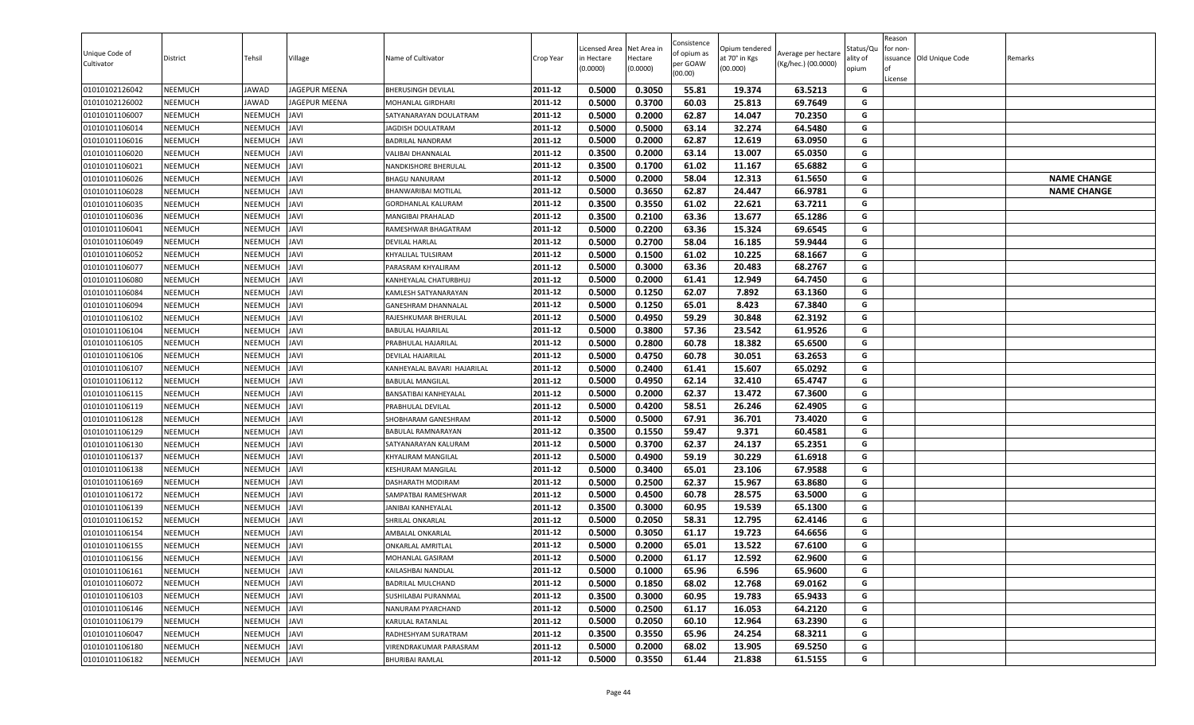| Unique Code of<br>Cultivator     | District                         | Tehsil                  | Village                    | Name of Cultivator                             | Crop Year          | Licensed Area<br>in Hectare<br>(0.0000) | Net Area in<br>Hectare<br>(0.0000) | Consistence<br>of opium as<br>per GOAW<br>(00.00) | )pium tendered<br>at 70° in Kgs<br>(00.000) | Average per hectare<br>(Kg/hec.) (00.0000) | Status/Qเ<br>ality of<br>opium | Reason<br>for non-<br>lof<br>License | issuance Old Unique Code | Remarks            |
|----------------------------------|----------------------------------|-------------------------|----------------------------|------------------------------------------------|--------------------|-----------------------------------------|------------------------------------|---------------------------------------------------|---------------------------------------------|--------------------------------------------|--------------------------------|--------------------------------------|--------------------------|--------------------|
| 01010102126042                   | <b>NEEMUCH</b>                   | JAWAD                   | JAGEPUR MEENA              | <b>BHERUSINGH DEVILAL</b>                      | 2011-12            | 0.5000                                  | 0.3050                             | 55.81                                             | 19.374                                      | 63.5213                                    | G                              |                                      |                          |                    |
| 01010102126002                   | <b>NEEMUCH</b>                   | JAWAD                   | JAGEPUR MEENA              | MOHANLAL GIRDHARI                              | 2011-12            | 0.5000                                  | 0.3700                             | 60.03                                             | 25.813                                      | 69.7649                                    | G                              |                                      |                          |                    |
| 01010101106007                   | <b>NEEMUCH</b>                   | NEEMUCH                 | <b>JAVI</b>                | SATYANARAYAN DOULATRAM                         | 2011-12            | 0.5000                                  | 0.2000                             | 62.87                                             | 14.047                                      | 70.2350                                    | G                              |                                      |                          |                    |
| 01010101106014                   | NEEMUCH                          | NEEMUCH                 | <b>JAVI</b>                | JAGDISH DOULATRAM                              | 2011-12            | 0.5000                                  | 0.5000                             | 63.14                                             | 32.274                                      | 64.5480                                    | G                              |                                      |                          |                    |
| 01010101106016                   | <b>NEEMUCH</b>                   | NEEMUCH                 | <b>JAVI</b>                | <b>BADRILAL NANDRAM</b>                        | 2011-12            | 0.5000                                  | 0.2000                             | 62.87                                             | 12.619                                      | 63.0950                                    | G                              |                                      |                          |                    |
| 01010101106020                   | <b>NEEMUCH</b>                   | NEEMUCH                 | <b>JAVI</b>                | VALIBAI DHANNALAL                              | 2011-12            | 0.3500                                  | 0.2000                             | 63.14                                             | 13.007                                      | 65.0350                                    | G<br>G                         |                                      |                          |                    |
| 01010101106021                   | <b>NEEMUCH</b>                   | NEEMUCH                 | <b>JAVI</b>                | NANDKISHORE BHERULAL                           | 2011-12            | 0.3500                                  | 0.1700                             | 61.02                                             | 11.167                                      | 65.6882                                    | G                              |                                      |                          |                    |
| 01010101106026<br>01010101106028 | <b>NEEMUCH</b>                   | NEEMUCH                 | <b>JAVI</b><br><b>JAVI</b> | <b>BHAGU NANURAM</b>                           | 2011-12<br>2011-12 | 0.5000<br>0.5000                        | 0.2000<br>0.3650                   | 58.04                                             | 12.313                                      | 61.5650                                    |                                |                                      |                          | <b>NAME CHANGE</b> |
|                                  | <b>NEEMUCH</b><br><b>NEEMUCH</b> | NEEMUCH<br>NEEMUCH      | <b>JAVI</b>                | BHANWARIBAI MOTILAL                            | 2011-12            | 0.3500                                  | 0.3550                             | 62.87<br>61.02                                    | 24.447                                      | 66.9781<br>63.7211                         | G<br>G                         |                                      |                          | <b>NAME CHANGE</b> |
| 01010101106035                   | NEEMUCH                          |                         | <b>JAVI</b>                | <b>GORDHANLAL KALURAM</b><br>MANGIBAI PRAHALAD | 2011-12            | 0.3500                                  | 0.2100                             | 63.36                                             | 22.621<br>13.677                            | 65.1286                                    | G                              |                                      |                          |                    |
| 01010101106036<br>01010101106041 | <b>NEEMUCH</b>                   | NEEMUCH<br>NEEMUCH      | <b>JAVI</b>                | RAMESHWAR BHAGATRAM                            | 2011-12            | 0.5000                                  | 0.2200                             | 63.36                                             | 15.324                                      | 69.6545                                    | G                              |                                      |                          |                    |
| 01010101106049                   | <b>NEEMUCH</b>                   | NEEMUCH                 | <b>JAVI</b>                | <b>DEVILAL HARLAL</b>                          | 2011-12            | 0.5000                                  | 0.2700                             | 58.04                                             | 16.185                                      | 59.9444                                    | G                              |                                      |                          |                    |
| 01010101106052                   | <b>NEEMUCH</b>                   | NEEMUCH                 | <b>JAVI</b>                | KHYALILAL TULSIRAM                             | 2011-12            | 0.5000                                  | 0.1500                             | 61.02                                             | 10.225                                      | 68.1667                                    | G                              |                                      |                          |                    |
| 01010101106077                   | <b>NEEMUCH</b>                   | NEEMUCH                 | <b>JAVI</b>                | PARASRAM KHYALIRAM                             | 2011-12            | 0.5000                                  | 0.3000                             | 63.36                                             | 20.483                                      | 68.2767                                    | G                              |                                      |                          |                    |
| 01010101106080                   | <b>NEEMUCH</b>                   | NEEMUCH                 | <b>JAVI</b>                | KANHEYALAL CHATURBHUJ                          | 2011-12            | 0.5000                                  | 0.2000                             | 61.41                                             | 12.949                                      | 64.7450                                    | G                              |                                      |                          |                    |
| 01010101106084                   | <b>NEEMUCH</b>                   | NEEMUCH                 | <b>JAVI</b>                | KAMLESH SATYANARAYAN                           | 2011-12            | 0.5000                                  | 0.1250                             | 62.07                                             | 7.892                                       | 63.1360                                    | G                              |                                      |                          |                    |
| 01010101106094                   | <b>NEEMUCH</b>                   | NEEMUCH                 | <b>JAVI</b>                | GANESHRAM DHANNALAL                            | 2011-12            | 0.5000                                  | 0.1250                             | 65.01                                             | 8.423                                       | 67.3840                                    | G                              |                                      |                          |                    |
| 01010101106102                   | <b>NEEMUCH</b>                   | NEEMUCH                 | <b>JAVI</b>                | RAJESHKUMAR BHERULAI                           | 2011-12            | 0.5000                                  | 0.4950                             | 59.29                                             | 30.848                                      | 62.3192                                    | G                              |                                      |                          |                    |
| 01010101106104                   | <b>NEEMUCH</b>                   | NEEMUCH                 | <b>JAVI</b>                | BABULAL HAJARILAL                              | 2011-12            | 0.5000                                  | 0.3800                             | 57.36                                             | 23.542                                      | 61.9526                                    | G                              |                                      |                          |                    |
| 01010101106105                   | <b>NEEMUCH</b>                   | NEEMUCH                 | <b>JAVI</b>                | PRABHULAL HAJARILAL                            | 2011-12            | 0.5000                                  | 0.2800                             | 60.78                                             | 18.382                                      | 65.6500                                    | G                              |                                      |                          |                    |
| 01010101106106                   | <b>NEEMUCH</b>                   | NEEMUCH                 | <b>JAVI</b>                | DEVILAL HAJARILAL                              | 2011-12            | 0.5000                                  | 0.4750                             | 60.78                                             | 30.051                                      | 63.2653                                    | G                              |                                      |                          |                    |
| 01010101106107                   | <b>NEEMUCH</b>                   | NEEMUCH                 | <b>JAVI</b>                | KANHEYALAL BAVARI HAJARILAL                    | 2011-12            | 0.5000                                  | 0.2400                             | 61.41                                             | 15.607                                      | 65.0292                                    | G                              |                                      |                          |                    |
| 01010101106112                   | <b>NEEMUCH</b>                   | NEEMUCH                 | <b>JAVI</b>                | <b>BABULAL MANGILAL</b>                        | 2011-12            | 0.5000                                  | 0.4950                             | 62.14                                             | 32.410                                      | 65.4747                                    | G                              |                                      |                          |                    |
| 01010101106115                   | <b>NEEMUCH</b>                   | NEEMUCH                 | <b>JAVI</b>                | BANSATIBAI KANHEYALAL                          | 2011-12            | 0.5000                                  | 0.2000                             | 62.37                                             | 13.472                                      | 67.3600                                    | G                              |                                      |                          |                    |
| 01010101106119                   | <b>NEEMUCH</b>                   | NEEMUCH                 | <b>JAVI</b>                | PRABHULAL DEVILAL                              | 2011-12            | 0.5000                                  | 0.4200                             | 58.51                                             | 26.246                                      | 62.4905                                    | G                              |                                      |                          |                    |
| 01010101106128                   | <b>NEEMUCH</b>                   | NEEMUCH                 | <b>JAVI</b>                | SHOBHARAM GANESHRAM                            | 2011-12            | 0.5000                                  | 0.5000                             | 67.91                                             | 36.701                                      | 73.4020                                    | G                              |                                      |                          |                    |
| 01010101106129                   | <b>NEEMUCH</b>                   | NEEMUCH                 | <b>JAVI</b>                | BABULAL RAMNARAYAN                             | 2011-12            | 0.3500                                  | 0.1550                             | 59.47                                             | 9.371                                       | 60.4581                                    | G                              |                                      |                          |                    |
| 01010101106130                   | <b>NEEMUCH</b>                   | NEEMUCH                 | <b>JAVI</b>                | SATYANARAYAN KALURAM                           | 2011-12            | 0.5000                                  | 0.3700                             | 62.37                                             | 24.137                                      | 65.2351                                    | G                              |                                      |                          |                    |
| 01010101106137                   | <b>NEEMUCH</b>                   | NEEMUCH                 | <b>JAVI</b>                | KHYALIRAM MANGILAL                             | 2011-12            | 0.5000                                  | 0.4900                             | 59.19                                             | 30.229                                      | 61.6918                                    | G                              |                                      |                          |                    |
| 01010101106138                   | <b>NEEMUCH</b>                   | NEEMUCH                 | <b>JAVI</b>                | <b>KESHURAM MANGILAL</b>                       | 2011-12            | 0.5000                                  | 0.3400                             | 65.01                                             | 23.106                                      | 67.9588                                    | G                              |                                      |                          |                    |
| 01010101106169                   | <b>NEEMUCH</b>                   | NEEMUCH                 | <b>JAVI</b>                | DASHARATH MODIRAM                              | 2011-12            | 0.5000                                  | 0.2500                             | 62.37                                             | 15.967                                      | 63.8680                                    | G                              |                                      |                          |                    |
| 01010101106172                   | <b>NEEMUCH</b>                   | NEEMUCH                 | <b>JAVI</b>                | SAMPATBAI RAMESHWAR                            | 2011-12            | 0.5000                                  | 0.4500                             | 60.78                                             | 28.575                                      | 63.5000                                    | G                              |                                      |                          |                    |
| 01010101106139                   | <b>NEEMUCH</b>                   | NEEMUCH                 | <b>JAVI</b>                | JANIBAI KANHEYALAL                             | 2011-12            | 0.3500                                  | 0.3000                             | 60.95                                             | 19.539                                      | 65.1300                                    | G                              |                                      |                          |                    |
| 01010101106152                   | <b>NEEMUCH</b>                   | NEEMUCH                 | <b>JAVI</b>                | SHRILAL ONKARLAL                               | 2011-12            | 0.5000                                  | 0.2050                             | 58.31                                             | 12.795                                      | 62.4146                                    | G                              |                                      |                          |                    |
| 01010101106154                   | <b>NEEMUCH</b>                   | NEEMUCH                 | <b>JAVI</b>                | AMBALAL ONKARLAL                               | 2011-12            | 0.5000                                  | 0.3050                             | 61.17                                             | 19.723                                      | 64.6656                                    | G                              |                                      |                          |                    |
| 01010101106155                   | <b>NEEMUCH</b>                   | NEEMUCH                 | <b>JAVI</b>                | <b>ONKARLAL AMRITLAL</b>                       | 2011-12            | 0.5000                                  | 0.2000                             | 65.01                                             | 13.522                                      | 67.6100                                    | G                              |                                      |                          |                    |
| 01010101106156                   | <b>NEEMUCH</b>                   | NEEMUCH                 | <b>JAVI</b>                | MOHANLAL GASIRAM                               | 2011-12            | 0.5000                                  | 0.2000                             | 61.17                                             | 12.592                                      | 62.9600                                    | G                              |                                      |                          |                    |
| 01010101106161                   | <b>NEEMUCH</b>                   | NEEMUCH JAVI            |                            | KAILASHBAI NANDLAL                             | 2011-12            | 0.5000                                  | 0.1000                             | 65.96                                             | 6.596                                       | 65.9600                                    | G                              |                                      |                          |                    |
| 01010101106072                   | <b>NEEMUCH</b>                   | NEEMUCH                 | <b>JAVI</b>                | BADRILAL MULCHAND                              | 2011-12            | 0.5000                                  | 0.1850                             | 68.02                                             | 12.768                                      | 69.0162                                    | G                              |                                      |                          |                    |
| 01010101106103                   | <b>NEEMUCH</b>                   | NEEMUCH                 | <b>JAVI</b>                | SUSHILABAI PURANMAL                            | 2011-12            | 0.3500                                  | 0.3000                             | 60.95                                             | 19.783                                      | 65.9433                                    | G                              |                                      |                          |                    |
| 01010101106146                   | <b>NEEMUCH</b>                   | NEEMUCH                 | <b>JAVI</b>                | NANURAM PYARCHAND                              | 2011-12            | 0.5000                                  | 0.2500                             | 61.17                                             | 16.053                                      | 64.2120                                    | G                              |                                      |                          |                    |
| 01010101106179                   | <b>NEEMUCH</b>                   | NEEMUCH                 | <b>JAVI</b>                | KARULAL RATANLAL                               | 2011-12            | 0.5000                                  | 0.2050                             | 60.10                                             | 12.964                                      | 63.2390                                    | G                              |                                      |                          |                    |
| 01010101106047                   | <b>NEEMUCH</b>                   | NEEMUCH                 | <b>JAVI</b>                | RADHESHYAM SURATRAM                            | 2011-12<br>2011-12 | 0.3500                                  | 0.3550                             | 65.96                                             | 24.254                                      | 68.3211                                    | G<br>G                         |                                      |                          |                    |
| 01010101106180<br>01010101106182 | <b>NEEMUCH</b>                   | NEEMUCH<br>NEEMUCH JAVI | <b>JAVI</b>                | VIRENDRAKUMAR PARASRAM                         |                    | 0.5000<br>0.5000                        | 0.2000<br>0.3550                   | 68.02                                             | 13.905                                      | 69.5250                                    |                                |                                      |                          |                    |
|                                  | <b>NEEMUCH</b>                   |                         |                            | <b>BHURIBAI RAMLAL</b>                         | 2011-12            |                                         |                                    | 61.44                                             | 21.838                                      | 61.5155                                    | G                              |                                      |                          |                    |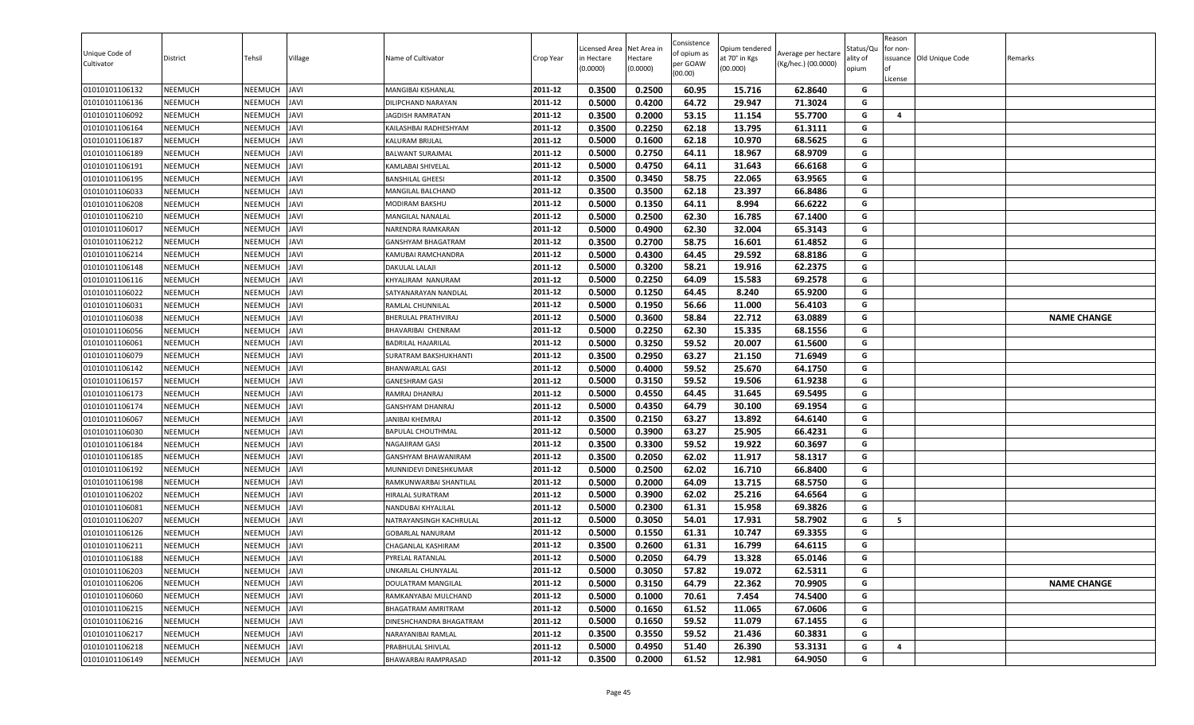| Unique Code of<br>Cultivator | District       | Tehsil         | Village     | Name of Cultivator        | Crop Year | Licensed Area<br>in Hectare<br>(0.0000) | Net Area in<br>Hectare<br>(0.0000) | Consistence<br>of opium as<br>per GOAW<br>(00.00) | Opium tendered<br>at 70° in Kgs<br>(00.000) | Average per hectare<br>(Kg/hec.) (00.0000) | Status/Qu<br>ality of<br>opium | Reason<br>for non-<br>ssuance Old Unique Code<br>License | Remarks            |
|------------------------------|----------------|----------------|-------------|---------------------------|-----------|-----------------------------------------|------------------------------------|---------------------------------------------------|---------------------------------------------|--------------------------------------------|--------------------------------|----------------------------------------------------------|--------------------|
| 01010101106132               | <b>NEEMUCH</b> | NEEMUCH        | <b>JAVI</b> | MANGIBAI KISHANLAL        | 2011-12   | 0.3500                                  | 0.2500                             | 60.95                                             | 15.716                                      | 62.8640                                    | G                              |                                                          |                    |
| 01010101106136               | <b>NEEMUCH</b> | NEEMUCH        | <b>JAVI</b> | DILIPCHAND NARAYAN        | 2011-12   | 0.5000                                  | 0.4200                             | 64.72                                             | 29.947                                      | 71.3024                                    | G                              |                                                          |                    |
| 01010101106092               | <b>NEEMUCH</b> | NEEMUCH        | <b>JAVI</b> | <b>JAGDISH RAMRATAN</b>   | 2011-12   | 0.3500                                  | 0.2000                             | 53.15                                             | 11.154                                      | 55.7700                                    | G                              | 4                                                        |                    |
| 01010101106164               | <b>NEEMUCH</b> | NEEMUCH        | <b>JAVI</b> | KAILASHBAI RADHESHYAM     | 2011-12   | 0.3500                                  | 0.2250                             | 62.18                                             | 13.795                                      | 61.3111                                    | G                              |                                                          |                    |
| 01010101106187               | <b>NEEMUCH</b> | NEEMUCH        | <b>JAVI</b> | KALURAM BRIJLAL           | 2011-12   | 0.5000                                  | 0.1600                             | 62.18                                             | 10.970                                      | 68.5625                                    | G                              |                                                          |                    |
| 01010101106189               | <b>NEEMUCH</b> | NEEMUCH        | <b>JAVI</b> | <b>BALWANT SURAJMAL</b>   | 2011-12   | 0.5000                                  | 0.2750                             | 64.11                                             | 18.967                                      | 68.9709                                    | G                              |                                                          |                    |
| 01010101106191               | <b>NEEMUCH</b> | NEEMUCH        | <b>JAVI</b> | KAMLABAI SHIVELAL         | 2011-12   | 0.5000                                  | 0.4750                             | 64.11                                             | 31.643                                      | 66.6168                                    | G                              |                                                          |                    |
| 01010101106195               | <b>NEEMUCH</b> | NEEMUCH        | <b>JAVI</b> | <b>BANSHILAL GHEESI</b>   | 2011-12   | 0.3500                                  | 0.3450                             | 58.75                                             | 22.065                                      | 63.9565                                    | G                              |                                                          |                    |
| 01010101106033               | <b>NEEMUCH</b> | NEEMUCH        | <b>JAVI</b> | MANGILAL BALCHAND         | 2011-12   | 0.3500                                  | 0.3500                             | 62.18                                             | 23.397                                      | 66.8486                                    | G                              |                                                          |                    |
| 01010101106208               | <b>NEEMUCH</b> | NEEMUCH        | <b>JAVI</b> | <b>MODIRAM BAKSHU</b>     | 2011-12   | 0.5000                                  | 0.1350                             | 64.11                                             | 8.994                                       | 66.6222                                    | G                              |                                                          |                    |
| 01010101106210               | <b>NEEMUCH</b> | NEEMUCH        | <b>JAVI</b> | MANGILAL NANALAL          | 2011-12   | 0.5000                                  | 0.2500                             | 62.30                                             | 16.785                                      | 67.1400                                    | G                              |                                                          |                    |
| 01010101106017               | <b>NEEMUCH</b> | NEEMUCH        | <b>JAVI</b> | NARENDRA RAMKARAN         | 2011-12   | 0.5000                                  | 0.4900                             | 62.30                                             | 32.004                                      | 65.3143                                    | G                              |                                                          |                    |
| 01010101106212               | <b>NEEMUCH</b> | NEEMUCH        | <b>JAVI</b> | GANSHYAM BHAGATRAM        | 2011-12   | 0.3500                                  | 0.2700                             | 58.75                                             | 16.601                                      | 61.4852                                    | G                              |                                                          |                    |
| 01010101106214               | <b>NEEMUCH</b> | NEEMUCH        | <b>JAVI</b> | KAMUBAI RAMCHANDRA        | 2011-12   | 0.5000                                  | 0.4300                             | 64.45                                             | 29.592                                      | 68.8186                                    | G                              |                                                          |                    |
| 01010101106148               | <b>NEEMUCH</b> | NEEMUCH        | <b>JAVI</b> | DAKULAL LALAJI            | 2011-12   | 0.5000                                  | 0.3200                             | 58.21                                             | 19.916                                      | 62.2375                                    | G                              |                                                          |                    |
| 01010101106116               | <b>NEEMUCH</b> | NEEMUCH        | <b>JAVI</b> | KHYALIRAM NANURAM         | 2011-12   | 0.5000                                  | 0.2250                             | 64.09                                             | 15.583                                      | 69.2578                                    | G                              |                                                          |                    |
| 01010101106022               | <b>NEEMUCH</b> | NEEMUCH        | <b>JAVI</b> | SATYANARAYAN NANDLAL      | 2011-12   | 0.5000                                  | 0.1250                             | 64.45                                             | 8.240                                       | 65.9200                                    | G                              |                                                          |                    |
| 01010101106031               | <b>NEEMUCH</b> | NEEMUCH        | <b>JAVI</b> | RAMLAL CHUNNILAL          | 2011-12   | 0.5000                                  | 0.1950                             | 56.66                                             | 11.000                                      | 56.4103                                    | G                              |                                                          |                    |
| 01010101106038               | <b>NEEMUCH</b> | NEEMUCH        | <b>JAVI</b> | BHERULAL PRATHVIRAJ       | 2011-12   | 0.5000                                  | 0.3600                             | 58.84                                             | 22.712                                      | 63.0889                                    | G                              |                                                          | <b>NAME CHANGE</b> |
| 01010101106056               | <b>NEEMUCH</b> | NEEMUCH        | <b>JAVI</b> | BHAVARIBAI CHENRAM        | 2011-12   | 0.5000                                  | 0.2250                             | 62.30                                             | 15.335                                      | 68.1556                                    | G                              |                                                          |                    |
| 01010101106061               | <b>NEEMUCH</b> | NEEMUCH        | <b>JAVI</b> | <b>BADRILAL HAJARILAL</b> | 2011-12   | 0.5000                                  | 0.3250                             | 59.52                                             | 20.007                                      | 61.5600                                    | G                              |                                                          |                    |
| 01010101106079               | <b>NEEMUCH</b> | NEEMUCH        | <b>JAVI</b> | SURATRAM BAKSHUKHANTI     | 2011-12   | 0.3500                                  | 0.2950                             | 63.27                                             | 21.150                                      | 71.6949                                    | G                              |                                                          |                    |
| 01010101106142               | <b>NEEMUCH</b> | NEEMUCH        | <b>JAVI</b> | <b>BHANWARLAL GASI</b>    | 2011-12   | 0.5000                                  | 0.4000                             | 59.52                                             | 25.670                                      | 64.1750                                    | G                              |                                                          |                    |
| 01010101106157               | <b>NEEMUCH</b> | NEEMUCH        | <b>JAVI</b> | <b>GANESHRAM GASI</b>     | 2011-12   | 0.5000                                  | 0.3150                             | 59.52                                             | 19.506                                      | 61.9238                                    | G                              |                                                          |                    |
| 01010101106173               | <b>NEEMUCH</b> | NEEMUCH        | <b>JAVI</b> | RAMRAJ DHANRAJ            | 2011-12   | 0.5000                                  | 0.4550                             | 64.45                                             | 31.645                                      | 69.5495                                    | G                              |                                                          |                    |
| 01010101106174               | <b>NEEMUCH</b> | NEEMUCH        | <b>JAVI</b> | <b>GANSHYAM DHANRAJ</b>   | 2011-12   | 0.5000                                  | 0.4350                             | 64.79                                             | 30.100                                      | 69.1954                                    | G                              |                                                          |                    |
| 01010101106067               | <b>NEEMUCH</b> | NEEMUCH        | <b>JAVI</b> | JANIBAI KHEMRAJ           | 2011-12   | 0.3500                                  | 0.2150                             | 63.27                                             | 13.892                                      | 64.6140                                    | G                              |                                                          |                    |
| 01010101106030               | <b>NEEMUCH</b> | NEEMUCH        | <b>JAVI</b> | <b>BAPULAL CHOUTHMAL</b>  | 2011-12   | 0.5000                                  | 0.3900                             | 63.27                                             | 25.905                                      | 66.4231                                    | G                              |                                                          |                    |
| 01010101106184               | <b>NEEMUCH</b> | NEEMUCH        | <b>JAVI</b> | NAGAJIRAM GASI            | 2011-12   | 0.3500                                  | 0.3300                             | 59.52                                             | 19.922                                      | 60.3697                                    | G                              |                                                          |                    |
| 01010101106185               | <b>NEEMUCH</b> | NEEMUCH        | <b>JAVI</b> | GANSHYAM BHAWANIRAM       | 2011-12   | 0.3500                                  | 0.2050                             | 62.02                                             | 11.917                                      | 58.1317                                    | G                              |                                                          |                    |
| 01010101106192               | <b>NEEMUCH</b> | NEEMUCH        | <b>JAVI</b> | MUNNIDEVI DINESHKUMAR     | 2011-12   | 0.5000                                  | 0.2500                             | 62.02                                             | 16.710                                      | 66.8400                                    | G                              |                                                          |                    |
| 01010101106198               | <b>NEEMUCH</b> | <b>NEEMUCH</b> | <b>JAVI</b> | RAMKUNWARBAI SHANTILAL    | 2011-12   | 0.5000                                  | 0.2000                             | 64.09                                             | 13.715                                      | 68.5750                                    | G                              |                                                          |                    |
| 01010101106202               | <b>NEEMUCH</b> | NEEMUCH        | <b>JAVI</b> | HIRALAL SURATRAM          | 2011-12   | 0.5000                                  | 0.3900                             | 62.02                                             | 25.216                                      | 64.6564                                    | G                              |                                                          |                    |
| 01010101106081               | <b>NEEMUCH</b> | NEEMUCH        | <b>JAVI</b> | NANDUBAI KHYALILAL        | 2011-12   | 0.5000                                  | 0.2300                             | 61.31                                             | 15.958                                      | 69.3826                                    | G                              |                                                          |                    |
| 01010101106207               | <b>NEEMUCH</b> | NEEMUCH        | <b>JAVI</b> | NATRAYANSINGH KACHRULAL   | 2011-12   | 0.5000                                  | 0.3050                             | 54.01                                             | 17.931                                      | 58.7902                                    | G                              | 5                                                        |                    |
| 01010101106126               | <b>NEEMUCH</b> | <b>NEEMUCH</b> | <b>JAVI</b> | <b>GOBARLAL NANURAM</b>   | 2011-12   | 0.5000                                  | 0.1550                             | 61.31                                             | 10.747                                      | 69.3355                                    | G                              |                                                          |                    |
| 01010101106211               | <b>NEEMUCH</b> | NEEMUCH        | <b>JAVI</b> | CHAGANLAL KASHIRAM        | 2011-12   | 0.3500                                  | 0.2600                             | 61.31                                             | 16.799                                      | 64.6115                                    | G                              |                                                          |                    |
| 01010101106188               | <b>NEEMUCH</b> | NEEMUCH        | <b>JAVI</b> | PYRELAL RATANLAL          | 2011-12   | 0.5000                                  | 0.2050                             | 64.79                                             | 13.328                                      | 65.0146                                    | G                              |                                                          |                    |
| 01010101106203               | <b>NEEMUCH</b> | NEEMUCH JAVI   |             | UNKARLAL CHUNYALAL        | 2011-12   | 0.5000                                  | 0.3050                             | 57.82                                             | 19.072                                      | 62.5311                                    | G                              |                                                          |                    |
| 01010101106206               | <b>NEEMUCH</b> | NEEMUCH        | <b>JAVI</b> | DOULATRAM MANGILAL        | 2011-12   | 0.5000                                  | 0.3150                             | 64.79                                             | 22.362                                      | 70.9905                                    | G                              |                                                          | <b>NAME CHANGE</b> |
| 01010101106060               | <b>NEEMUCH</b> | NEEMUCH        | <b>JAVI</b> | RAMKANYABAI MULCHAND      | 2011-12   | 0.5000                                  | 0.1000                             | 70.61                                             | 7.454                                       | 74.5400                                    | G                              |                                                          |                    |
| 01010101106215               | <b>NEEMUCH</b> | NEEMUCH        | <b>JAVI</b> | BHAGATRAM AMRITRAM        | 2011-12   | 0.5000                                  | 0.1650                             | 61.52                                             | 11.065                                      | 67.0606                                    | G                              |                                                          |                    |
| 01010101106216               | <b>NEEMUCH</b> | NEEMUCH        | <b>JAVI</b> | DINESHCHANDRA BHAGATRAM   | 2011-12   | 0.5000                                  | 0.1650                             | 59.52                                             | 11.079                                      | 67.1455                                    | G                              |                                                          |                    |
| 01010101106217               | <b>NEEMUCH</b> | NEEMUCH        | <b>JAVI</b> | NARAYANIBAI RAMLAL        | 2011-12   | 0.3500                                  | 0.3550                             | 59.52                                             | 21.436                                      | 60.3831                                    | G                              |                                                          |                    |
| 01010101106218               | <b>NEEMUCH</b> | NEEMUCH        | <b>JAVI</b> | PRABHULAL SHIVLAL         | 2011-12   | 0.5000                                  | 0.4950                             | 51.40                                             | 26.390                                      | 53.3131                                    | G                              | 4                                                        |                    |
| 01010101106149               | <b>NEEMUCH</b> | NEEMUCH JAVI   |             | BHAWARBAI RAMPRASAD       | 2011-12   | 0.3500                                  | 0.2000                             | 61.52                                             | 12.981                                      | 64.9050                                    | G                              |                                                          |                    |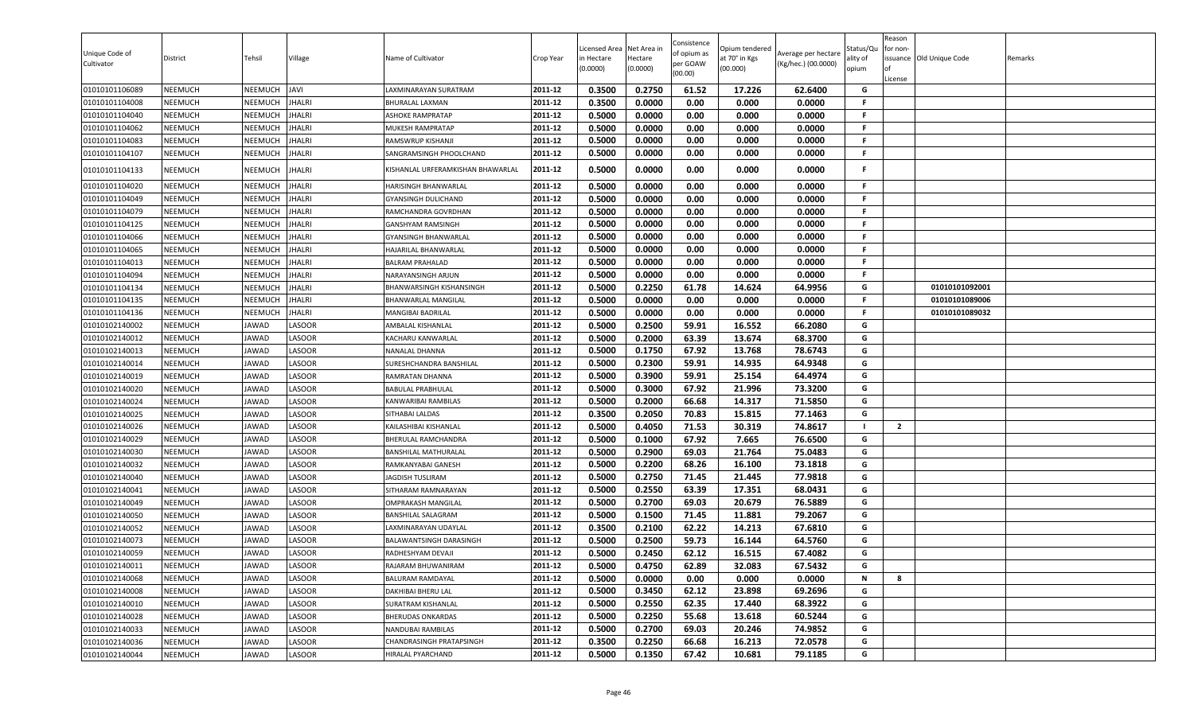|                |                           |                |                  |                                                   |                    | icensed Area | Net Area in | Consistence | Opium tendered |                     | Status/Qu | Reason<br>or non- |                         |         |
|----------------|---------------------------|----------------|------------------|---------------------------------------------------|--------------------|--------------|-------------|-------------|----------------|---------------------|-----------|-------------------|-------------------------|---------|
| Unique Code of | District                  | Tehsil         | Village          | Name of Cultivator                                | Crop Year          | in Hectare   | Hectare     | of opium as | at 70° in Kgs  | Average per hectare | ılity of  |                   | ssuance Old Unique Code | Remarks |
| Cultivator     |                           |                |                  |                                                   |                    | (0.0000)     | (0.0000)    | per GOAW    | (00.000)       | (Kg/hec.) (00.0000) | opium     |                   |                         |         |
|                |                           |                |                  |                                                   |                    |              |             | (00.00)     |                |                     |           | License           |                         |         |
| 01010101106089 | <b>NEEMUCH</b>            | NEEMUCH        | JAVI             | LAXMINARAYAN SURATRAM                             | 2011-12            | 0.3500       | 0.2750      | 61.52       | 17.226         | 62.6400             | G         |                   |                         |         |
| 01010101104008 | <b>NEEMUCH</b>            | NEEMUCH        | JHALRI           | <b>BHURALAL LAXMAN</b>                            | 2011-12            | 0.3500       | 0.0000      | 0.00        | 0.000          | 0.0000              | F.        |                   |                         |         |
| 01010101104040 | NEEMUCH                   | NEEMUCH        | <b>JHALRI</b>    | <b>ASHOKE RAMPRATAP</b>                           | 2011-12            | 0.5000       | 0.0000      | 0.00        | 0.000          | 0.0000              | F.        |                   |                         |         |
| 01010101104062 | NEEMUCH                   | NEEMUCH        | JHALRI           | <b>MUKESH RAMPRATAP</b>                           | 2011-12            | 0.5000       | 0.0000      | 0.00        | 0.000          | 0.0000              | F.        |                   |                         |         |
| 01010101104083 | NEEMUCH                   | NEEMUCH        | <b>JHALRI</b>    | <b>RAMSWRUP KISHANJI</b>                          | 2011-12            | 0.5000       | 0.0000      | 0.00        | 0.000          | 0.0000              | F.        |                   |                         |         |
| 01010101104107 | <b>NEEMUCH</b>            | NEEMUCH        | HALRI            | SANGRAMSINGH PHOOLCHAND                           | 2011-12            | 0.5000       | 0.0000      | 0.00        | 0.000          | 0.0000              | F.        |                   |                         |         |
| 01010101104133 | NEEMUCH                   | NEEMUCH        | JHALRI           | KISHANLAL URFERAMKISHAN BHAWARLAL                 | 2011-12            | 0.5000       | 0.0000      | 0.00        | 0.000          | 0.0000              | F         |                   |                         |         |
| 01010101104020 | <b>NEEMUCH</b>            | <b>NEEMUCH</b> | JHALRI           | <b>HARISINGH BHANWARLAL</b>                       | 2011-12            | 0.5000       | 0.0000      | 0.00        | 0.000          | 0.0000              | F.        |                   |                         |         |
| 01010101104049 | <b>NEEMUCH</b>            | NEEMUCH        | JHALRI           | <b>GYANSINGH DULICHAND</b>                        | 2011-12            | 0.5000       | 0.0000      | 0.00        | 0.000          | 0.0000              | F.        |                   |                         |         |
| 01010101104079 | NEEMUCH                   | NEEMUCH        | JHALRI           | RAMCHANDRA GOVRDHAN                               | 2011-12            | 0.5000       | 0.0000      | 0.00        | 0.000          | 0.0000              | F.        |                   |                         |         |
| 01010101104125 | <b>NEEMUCH</b>            | NEEMUCH        | JHALRI           | <b>GANSHYAM RAMSINGH</b>                          | 2011-12            | 0.5000       | 0.0000      | 0.00        | 0.000          | 0.0000              | F.        |                   |                         |         |
| 01010101104066 | NEEMUCH                   | NEEMUCH        | <b>JHALRI</b>    | <b>GYANSINGH BHANWARLAL</b>                       | 2011-12            | 0.5000       | 0.0000      | 0.00        | 0.000          | 0.0000              | F.        |                   |                         |         |
| 01010101104065 | <b>NEEMUCH</b>            | NEEMUCH        | JHALRI           | HAJARILAL BHANWARLAL                              | 2011-12            | 0.5000       | 0.0000      | 0.00        | 0.000          | 0.0000              | F.        |                   |                         |         |
| 01010101104013 | NEEMUCH                   | NEEMUCH        | JHALRI           | <b>BALRAM PRAHALAD</b>                            | 2011-12            | 0.5000       | 0.0000      | 0.00        | 0.000          | 0.0000              | F.        |                   |                         |         |
| 01010101104094 | <b>NEEMUCH</b>            | NEEMUCH        | JHALRI           | NARAYANSINGH ARJUN                                | 2011-12            | 0.5000       | 0.0000      | 0.00        | 0.000          | 0.0000              | F.        |                   |                         |         |
| 01010101104134 | NEEMUCH                   | NEEMUCH        | <b>JHALRI</b>    | BHANWARSINGH KISHANSINGH                          | 2011-12            | 0.5000       | 0.2250      | 61.78       | 14.624         | 64.9956             | G         |                   | 01010101092001          |         |
| 01010101104135 | NEEMUCH                   | NEEMUCH        | HALRI            | <b>BHANWARLAL MANGILAL</b>                        | 2011-12            | 0.5000       | 0.0000      | 0.00        | 0.000          | 0.0000              | F.        |                   | 01010101089006          |         |
| 01010101104136 | NEEMUCH                   | NEEMUCH        | JHALRI           | <b>MANGIBAI BADRILAL</b>                          | 2011-12            | 0.5000       | 0.0000      | 0.00        | 0.000          | 0.0000              | F.        |                   | 01010101089032          |         |
| 01010102140002 | NEEMUCH                   | <b>JAWAD</b>   | <b>ASOOR</b>     | <b>AMBALAL KISHANLAL</b>                          | 2011-12            | 0.5000       | 0.2500      | 59.91       | 16.552         | 66.2080             | G         |                   |                         |         |
| 01010102140012 | <b>NEEMUCH</b>            | JAWAD          | LASOOR           | KACHARU KANWARLAL                                 | 2011-12            | 0.5000       | 0.2000      | 63.39       | 13.674         | 68.3700             | G         |                   |                         |         |
| 01010102140013 | <b>NEEMUCH</b>            | JAWAD          | LASOOR           | NANALAL DHANNA                                    | 2011-12            | 0.5000       | 0.1750      | 67.92       | 13.768         | 78.6743             | G         |                   |                         |         |
| 01010102140014 | <b>NEEMUCH</b>            | JAWAD          | LASOOR           | SURESHCHANDRA BANSHILAL                           | 2011-12            | 0.5000       | 0.2300      | 59.91       | 14.935         | 64.9348             | G         |                   |                         |         |
| 01010102140019 | <b>NEEMUCH</b>            | JAWAD          | <b>ASOOR</b>     | RAMRATAN DHANNA                                   | 2011-12            | 0.5000       | 0.3900      | 59.91       | 25.154         | 64.4974             | G         |                   |                         |         |
| 01010102140020 | <b>NEEMUCH</b>            | JAWAD          | LASOOR           | <b>BABULAL PRABHULAL</b>                          | 2011-12            | 0.5000       | 0.3000      | 67.92       | 21.996         | 73.3200             | G         |                   |                         |         |
| 01010102140024 | NEEMUCH                   | JAWAD          | LASOOR           | KANWARIBAI RAMBILAS                               | 2011-12            | 0.5000       | 0.2000      | 66.68       | 14.317         | 71.5850             | G         |                   |                         |         |
| 01010102140025 | NEEMUCH                   | <b>JAWAD</b>   | LASOOR           | SITHABAI LALDAS                                   | 2011-12            | 0.3500       | 0.2050      | 70.83       | 15.815         | 77.1463             | G         |                   |                         |         |
| 01010102140026 | <b>NEEMUCH</b>            | JAWAD          | LASOOR           | KAILASHIBAI KISHANLAL                             | 2011-12            | 0.5000       | 0.4050      | 71.53       | 30.319         | 74.8617             |           | $\overline{2}$    |                         |         |
| 01010102140029 | NEEMUCH                   | <b>JAWAD</b>   | LASOOR           | <b>BHERULAL RAMCHANDRA</b>                        | 2011-12            | 0.5000       | 0.1000      | 67.92       | 7.665          | 76.6500             | G         |                   |                         |         |
| 01010102140030 | <b>NEEMUCH</b>            | JAWAD          | LASOOR           | <b>BANSHILAL MATHURALAL</b>                       | 2011-12            | 0.5000       | 0.2900      | 69.03       | 21.764         | 75.0483             | G         |                   |                         |         |
| 01010102140032 | <b>NEEMUCH</b>            | JAWAD          | LASOOR           | RAMKANYABAI GANESH                                | 2011-12            | 0.5000       | 0.2200      | 68.26       | 16.100         | 73.1818             | G         |                   |                         |         |
| 01010102140040 | <b>NEEMUCH</b>            | JAWAD          | LASOOR           | <b>JAGDISH TUSLIRAM</b>                           | 2011-12            | 0.5000       | 0.2750      | 71.45       | 21.445         | 77.9818             | G         |                   |                         |         |
| 01010102140041 | NEEMUCH                   | JAWAD          | LASOOR           | SITHARAM RAMNARAYAN                               | 2011-12            | 0.5000       | 0.2550      | 63.39       | 17.351         | 68.0431             | G         |                   |                         |         |
| 01010102140049 | <b>NEEMUCH</b>            | JAWAD          | LASOOR           | <b>OMPRAKASH MANGILAL</b>                         | 2011-12            | 0.5000       | 0.2700      | 69.03       | 20.679         | 76.5889             | G         |                   |                         |         |
| 01010102140050 | <b>NEEMUCH</b>            | JAWAD          | LASOOR           |                                                   | 2011-12            | 0.5000       | 0.1500      | 71.45       | 11.881         | 79.2067             | G         |                   |                         |         |
| 01010102140052 | NEEMUCH                   | JAWAD          | LASOOR           | <b>BANSHILAL SALAGRAM</b><br>LAXMINARAYAN UDAYLAL | 2011-12            | 0.3500       | 0.2100      | 62.22       | 14.213         | 67.6810             | G         |                   |                         |         |
| 01010102140073 | NEEMUCH                   | JAWAD          | <b>ASOOR</b>     |                                                   | 2011-12            | 0.5000       | 0.2500      | 59.73       | 16.144         | 64.5760             | G         |                   |                         |         |
| 01010102140059 | NEEMUCH                   | <b>JAWAD</b>   | <b>ASOOR</b>     | BALAWANTSINGH DARASINGH<br>RADHESHYAM DEVAJI      | 2011-12            | 0.5000       | 0.2450      | 62.12       | 16.515         | 67.4082             | G         |                   |                         |         |
|                |                           |                |                  |                                                   |                    |              |             |             |                |                     |           |                   |                         |         |
| 01010102140011 | <b>NEEMUCH</b><br>NEEMUCH | JAWAD          | LASOOR<br>LASOOR | RAJARAM BHUWANIRAM                                | 2011-12<br>2011-12 | 0.5000       | 0.4750      | 62.89       | 32.083         | 67.5432             | G<br>N    | 8                 |                         |         |
| 01010102140068 |                           | JAWAD          |                  | <b>BALURAM RAMDAYAL</b>                           |                    | 0.5000       | 0.0000      | 0.00        | 0.000          | 0.0000              |           |                   |                         |         |
| 01010102140008 | <b>NEEMUCH</b>            | <b>JAWAD</b>   | LASOOR           | DAKHIBAI BHERU LAL                                | 2011-12            | 0.5000       | 0.3450      | 62.12       | 23.898         | 69.2696             | G         |                   |                         |         |
| 01010102140010 | NEEMUCH                   | <b>JAWAD</b>   | LASOOR           | SURATRAM KISHANLAL                                | 2011-12            | 0.5000       | 0.2550      | 62.35       | 17.440         | 68.3922             | G         |                   |                         |         |
| 01010102140028 | <b>NEEMUCH</b>            | JAWAD          | LASOOR           | <b>BHERUDAS ONKARDAS</b>                          | 2011-12            | 0.5000       | 0.2250      | 55.68       | 13.618         | 60.5244             | G         |                   |                         |         |
| 01010102140033 | NEEMUCH                   | JAWAD          | LASOOR           | NANDUBAI RAMBILAS                                 | 2011-12            | 0.5000       | 0.2700      | 69.03       | 20.246         | 74.9852             | G         |                   |                         |         |
| 01010102140036 | <b>NEEMUCH</b>            | JAWAD          | LASOOR           | CHANDRASINGH PRATAPSINGH                          | 2011-12            | 0.3500       | 0.2250      | 66.68       | 16.213         | 72.0578             | G         |                   |                         |         |
| 01010102140044 | <b>NEEMUCH</b>            | JAWAD          | LASOOR           | <b>HIRALAL PYARCHAND</b>                          | 2011-12            | 0.5000       | 0.1350      | 67.42       | 10.681         | 79.1185             | G         |                   |                         |         |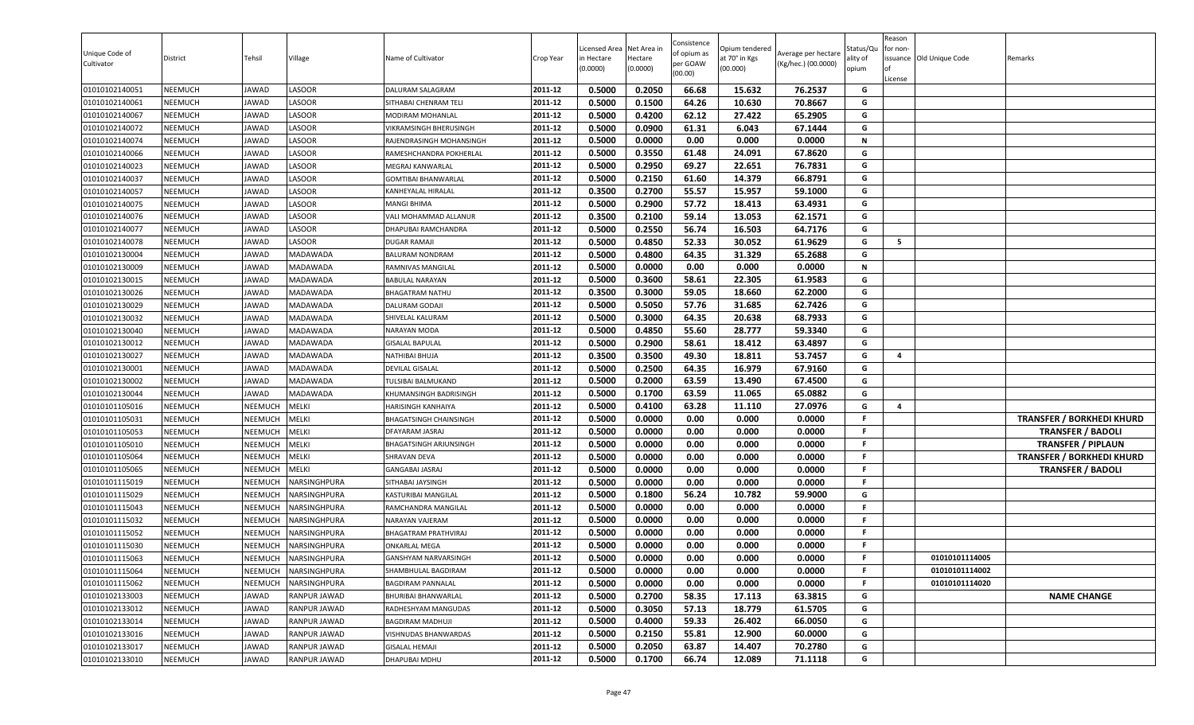| 0.5000<br>0.2050<br>66.68<br>15.632<br>76.2537<br><b>NEEMUCH</b><br>LASOOR<br>DALURAM SALAGRAM<br>2011-12<br>G<br>01010102140051<br>JAWAD<br><b>NEEMUCH</b><br>LASOOR<br>2011-12<br>0.5000<br>0.1500<br>64.26<br>10.630<br>70.8667<br>G<br>01010102140061<br>JAWAD<br>SITHABAI CHENRAM TELI<br>0.4200<br>65.2905<br><b>NEEMUCH</b><br>LASOOR<br>2011-12<br>0.5000<br>62.12<br>27.422<br>G<br>01010102140067<br>JAWAD<br>MODIRAM MOHANLAL<br><b>NEEMUCH</b><br>2011-12<br>0.5000<br>0.0900<br>67.1444<br>G<br>LASOOR<br>61.31<br>6.043<br>01010102140072<br>JAWAD<br>VIKRAMSINGH BHERUSINGH<br>0.5000<br>0.0000<br>2011-12<br>0.00<br>0.000<br>0.0000<br>N<br>01010102140074<br><b>NEEMUCH</b><br>LASOOR<br>JAWAD<br>RAJENDRASINGH MOHANSINGH<br>0.3550<br>67.8620<br>G<br>2011-12<br>0.5000<br>61.48<br>24.091<br>01010102140066<br><b>NEEMUCH</b><br>JAWAD<br>LASOOR<br>RAMESHCHANDRA POKHERLAI<br>0.2950<br>69.27<br>22.651<br>76.7831<br>G<br>2011-12<br>0.5000<br><b>NEEMUCH</b><br>JAWAD<br>LASOOR<br>01010102140023<br>MEGRAJ KANWARLAL<br>2011-12<br>0.2150<br>61.60<br>14.379<br>66.8791<br>G<br>01010102140037<br><b>NEEMUCH</b><br>JAWAD<br>LASOOR<br>0.5000<br><b>GOMTIBAI BHANWARLAL</b><br>0.3500<br>0.2700<br>55.57<br>15.957<br>01010102140057<br><b>NEEMUCH</b><br>JAWAD<br>LASOOR<br>59.1000<br>KANHEYALAL HIRALAL<br>2011-12<br>G<br>0.5000<br>0.2900<br>63.4931<br>01010102140075<br><b>NEEMUCH</b><br>JAWAD<br>LASOOR<br>2011-12<br>57.72<br>18.413<br>G<br>MANGI BHIMA<br>0.2100<br>59.14<br>62.1571<br>0.3500<br>13.053<br>G<br><b>NEEMUCH</b><br>LASOOR<br>2011-12<br>01010102140076<br>JAWAD<br>VALI MOHAMMAD ALLANUR<br><b>NEEMUCH</b><br>LASOOR<br>2011-12<br>0.5000<br>0.2550<br>56.74<br>16.503<br>64.7176<br>G<br>01010102140077<br>JAWAD<br>DHAPUBAI RAMCHANDRA<br>0.5000<br>0.4850<br>52.33<br>30.052<br>61.9629<br>01010102140078<br><b>NEEMUCH</b><br>LASOOR<br>2011-12<br>G<br>5<br>JAWAD<br><b>DUGAR RAMAJI</b><br>2011-12<br>0.5000<br>0.4800<br>64.35<br>65.2688<br>G<br>01010102130004<br><b>NEEMUCH</b><br>JAWAD<br>31.329<br>MADAWADA<br><b>BALURAM NONDRAM</b><br>0.0000<br>0.00<br>0.0000<br>0.5000<br>0.000<br>N<br>01010102130009<br><b>NEEMUCH</b><br>JAWAD<br>MADAWADA<br>2011-12<br>RAMNIVAS MANGILAL<br>2011-12<br>58.61<br>01010102130015<br><b>NEEMUCH</b><br>JAWAD<br>MADAWADA<br>0.5000<br>0.3600<br>22.305<br>61.9583<br>G<br>BABULAL NARAYAN<br>0.3000<br>62.2000<br>01010102130026<br><b>NEEMUCH</b><br>JAWAD<br><b>MADAWADA</b><br>2011-12<br>0.3500<br>59.05<br>18.660<br>G<br><b>BHAGATRAM NATHU</b><br>2011-12<br>0.5050<br>01010102130029<br><b>NEEMUCH</b><br>MADAWADA<br>0.5000<br>57.76<br>31.685<br>62.7426<br>G<br>JAWAD<br>DALURAM GODAJI<br>01010102130032<br><b>NEEMUCH</b><br>JAWAD<br><b>MADAWADA</b><br>2011-12<br>0.5000<br>0.3000<br>64.35<br>20.638<br>68.7933<br>G<br>SHIVELAL KALURAM<br>0.4850<br>55.60<br>28.777<br>59.3340<br>2011-12<br>0.5000<br>G<br><b>NEEMUCH</b><br>01010102130040<br>JAWAD<br>MADAWADA<br>NARAYAN MODA<br><b>NEEMUCH</b><br>0.5000<br>0.2900<br>58.61<br>18.412<br>63.4897<br>01010102130012<br>JAWAD<br><b>MADAWADA</b><br>2011-12<br>G<br><b>GISALAL BAPULAL</b><br>0.3500<br>0.3500<br>53.7457<br>2011-12<br>49.30<br>18.811<br>G<br>$\overline{4}$<br><b>NEEMUCH</b><br>NATHIBAI BHUJA<br>01010102130027<br>JAWAD<br>MADAWADA<br>0.5000<br>0.2500<br>01010102130001<br><b>NEEMUCH</b><br>2011-12<br>64.35<br>16.979<br>67.9160<br>G<br>JAWAD<br>MADAWADA<br>DEVILAL GISALAL<br>63.59<br>0.5000<br>0.2000<br>67.4500<br>G<br>01010102130002<br><b>NEEMUCH</b><br>2011-12<br>13.490<br>JAWAD<br>MADAWADA<br>TULSIBAI BALMUKAND<br>0.1700<br><b>NEEMUCH</b><br>JAWAD<br>0.5000<br>63.59<br>11.065<br>65.0882<br>G<br>01010102130044<br>MADAWADA<br>2011-12<br>KHUMANSINGH BADRISINGH<br>2011-12<br>0.5000<br>0.4100<br>63.28<br>11.110<br>27.0976<br>01010101105016<br><b>NEEMUCH</b><br>NEEMUCH<br>MELKI<br>G<br>$\overline{\mathbf{4}}$<br><b>HARISINGH KANHAIYA</b><br>01010101105031<br><b>NEEMUCH</b><br>MELKI<br>0.5000<br>0.0000<br>0.00<br>0.000<br>0.0000<br>NEEMUCH<br>2011-12<br><b>TRANSFER / BORKHEDI KHURD</b><br><b>BHAGATSINGH CHAINSINGH</b><br>.F<br>2011-12<br>0.5000<br>0.0000<br>0.00<br>0.000<br>0.0000<br>01010101105053<br><b>NEEMUCH</b><br>NEEMUCH<br>MELKI<br>F<br>DFAYARAM JASRAJ<br><b>TRANSFER / BADOLI</b><br>0.5000<br>0.0000<br>0.00<br><b>NEEMUCH</b><br>MELKI<br>0.000<br>0.0000<br>01010101105010<br>NEEMUCH<br>2011-12<br>F.<br>BHAGATSINGH ARJUNSINGH<br><b>TRANSFER / PIPLAUN</b><br>0.5000<br>0.0000<br>0.00<br>0.0000<br>2011-12<br>0.000<br>F.<br>01010101105064<br><b>NEEMUCH</b><br>MELKI<br><b>TRANSFER / BORKHEDI KHURD</b><br>NEEMUCH<br>SHRAVAN DEVA<br>0.0000<br>0.00<br>01010101105065<br><b>NEEMUCH</b><br>MELKI<br>0.5000<br>0.000<br>0.0000<br>NEEMUCH<br><b>GANGABAI JASRAJ</b><br>2011-12<br>F.<br><b>TRANSFER / BADOLI</b><br>0.5000<br>0.0000<br>0.00<br>0.000<br>0.0000<br>01010101115019<br><b>NEEMUCH</b><br>NEEMUCH<br>NARSINGHPURA<br>SITHABAI JAYSINGH<br>2011-12<br>F<br>01010101115029<br><b>NEEMUCH</b><br>NEEMUCH<br>NARSINGHPURA<br>2011-12<br>0.5000<br>0.1800<br>56.24<br>10.782<br>59.9000<br>G<br>KASTURIBAI MANGILAL<br>0.5000<br>0.0000<br>0.00<br>0.000<br>0.0000<br><b>NEEMUCH</b><br><b>NARSINGHPURA</b><br>2011-12<br>01010101115043<br>NEEMUCH<br>RAMCHANDRA MANGILAL<br>F.<br>2011-12<br>01010101115032<br><b>NEEMUCH</b><br>NEEMUCH<br>NARSINGHPURA<br>0.5000<br>0.0000<br>0.00<br>0.000<br>0.0000<br>F.<br>NARAYAN VAJERAM<br>2011-12<br>0.5000<br>0.0000<br>0.00<br>0.000<br>0.0000<br><b>NEEMUCH</b><br>F.<br>01010101115052<br>NEEMUCH<br>NARSINGHPURA<br>BHAGATRAM PRATHVIRAJ<br>2011-12<br>0.5000<br>0.0000<br>01010101115030<br><b>NEEMUCH</b><br>NEEMUCH<br>NARSINGHPURA<br>0.00<br>0.000<br>0.0000<br>F<br>ONKARLAL MEGA<br>0.5000<br>0.0000<br>0.00<br>0.000<br>0.0000<br>2011-12<br>F.<br><b>NEEMUCH</b><br>NEEMUCH<br><b>NARSINGHPURA</b><br>01010101114005<br>01010101115063<br>GANSHYAM NARVARSINGH<br>2011-12<br>01010101115064<br><b>NEEMUCH</b><br>NEEMUCH<br>NARSINGHPURA<br>0.5000<br>0.0000<br>0.00<br>0.0000<br>F.<br>01010101114002<br>SHAMBHULAL BAGDIRAM<br>0.000<br>0.0000<br>0.00<br>2011-12<br>0.5000<br>0.000<br>0.0000<br>01010101114020<br>01010101115062<br><b>NEEMUCH</b><br><b>NEEMUCH</b><br>NARSINGHPURA<br><b>BAGDIRAM PANNALAL</b><br>F.<br>01010102133003<br>2011-12<br>0.5000<br>0.2700<br>58.35<br>63.3815<br>G<br><b>NAME CHANGE</b><br><b>NEEMUCH</b><br>JAWAD<br>RANPUR JAWAD<br>17.113<br>BHURIBAI BHANWARLAL<br>01010102133012<br>2011-12<br>0.5000<br>0.3050<br>57.13<br>18.779<br>61.5705<br><b>NEEMUCH</b><br>JAWAD<br>RANPUR JAWAD<br>RADHESHYAM MANGUDAS<br>G<br>2011-12<br>59.33<br>G<br>01010102133014<br><b>NEEMUCH</b><br>JAWAD<br>0.5000<br>0.4000<br>26.402<br>66.0050<br>RANPUR JAWAD<br><b>BAGDIRAM MADHUJI</b><br>01010102133016<br>55.81<br><b>NEEMUCH</b><br>JAWAD<br>RANPUR JAWAD<br>2011-12<br>0.5000<br>0.2150<br>12.900<br>60.0000<br>G<br>VISHNUDAS BHANWARDAS<br>2011-12<br>0.5000<br>0.2050<br>63.87<br>14.407<br>70.2780<br>G<br>01010102133017<br><b>NEEMUCH</b><br>JAWAD<br>RANPUR JAWAD<br><b>GISALAL HEMAJI</b><br>01010102133010<br><b>NEEMUCH</b><br>2011-12<br>0.5000<br>0.1700<br>66.74<br>12.089<br>71.1118<br>G<br>JAWAD<br>RANPUR JAWAD<br>DHAPUBAI MDHU | Unique Code of<br>Cultivator | District | Tehsil | Village | Name of Cultivator | Crop Year | Licensed Area<br>in Hectare<br>(0.0000) | Net Area in<br>Hectare<br>(0.0000) | Consistence<br>of opium as<br>per GOAW<br>(00.00) | Opium tendered<br>at 70° in Kgs<br>(00.000) | Average per hectare<br>(Kg/hec.) (00.0000) | Status/Qเ<br>ality of<br>opium | Reason<br>for non-<br>lof<br>License | issuance Old Unique Code | Remarks |
|----------------------------------------------------------------------------------------------------------------------------------------------------------------------------------------------------------------------------------------------------------------------------------------------------------------------------------------------------------------------------------------------------------------------------------------------------------------------------------------------------------------------------------------------------------------------------------------------------------------------------------------------------------------------------------------------------------------------------------------------------------------------------------------------------------------------------------------------------------------------------------------------------------------------------------------------------------------------------------------------------------------------------------------------------------------------------------------------------------------------------------------------------------------------------------------------------------------------------------------------------------------------------------------------------------------------------------------------------------------------------------------------------------------------------------------------------------------------------------------------------------------------------------------------------------------------------------------------------------------------------------------------------------------------------------------------------------------------------------------------------------------------------------------------------------------------------------------------------------------------------------------------------------------------------------------------------------------------------------------------------------------------------------------------------------------------------------------------------------------------------------------------------------------------------------------------------------------------------------------------------------------------------------------------------------------------------------------------------------------------------------------------------------------------------------------------------------------------------------------------------------------------------------------------------------------------------------------------------------------------------------------------------------------------------------------------------------------------------------------------------------------------------------------------------------------------------------------------------------------------------------------------------------------------------------------------------------------------------------------------------------------------------------------------------------------------------------------------------------------------------------------------------------------------------------------------------------------------------------------------------------------------------------------------------------------------------------------------------------------------------------------------------------------------------------------------------------------------------------------------------------------------------------------------------------------------------------------------------------------------------------------------------------------------------------------------------------------------------------------------------------------------------------------------------------------------------------------------------------------------------------------------------------------------------------------------------------------------------------------------------------------------------------------------------------------------------------------------------------------------------------------------------------------------------------------------------------------------------------------------------------------------------------------------------------------------------------------------------------------------------------------------------------------------------------------------------------------------------------------------------------------------------------------------------------------------------------------------------------------------------------------------------------------------------------------------------------------------------------------------------------------------------------------------------------------------------------------------------------------------------------------------------------------------------------------------------------------------------------------------------------------------------------------------------------------------------------------------------------------------------------------------------------------------------------------------------------------------------------------------------------------------------------------------------------------------------------------------------------------------------------------------------------------------------------------------------------------------------------------------------------------------------------------------------------------------------------------------------------------------------------------------------------------------------------------------------------------------------------------------------------------------------------------------------------------------------------------------------------------------------------------------------------------------------------------------------------------------------------------------------------------------------------------------------------------------------------------------------------------------------------------------------------------------------------------------------------------------------------------------------------------------------------------------------------------------------------------------------------------------------------------------------------------------------------------------------------------------------------------------------------------------------------------------------------------------------------------------------------------------------------------------------------------------------------------------------------------------------------------------------------------------------------------------------------------------------------------------------------------------------------------------------------------------------------------------------------------------------------------------------------------------------------------------------------------------------------------------------------------------------------------------------------------------------------------------------------------------------------------------------------------------------------------------------------------------------------|------------------------------|----------|--------|---------|--------------------|-----------|-----------------------------------------|------------------------------------|---------------------------------------------------|---------------------------------------------|--------------------------------------------|--------------------------------|--------------------------------------|--------------------------|---------|
|                                                                                                                                                                                                                                                                                                                                                                                                                                                                                                                                                                                                                                                                                                                                                                                                                                                                                                                                                                                                                                                                                                                                                                                                                                                                                                                                                                                                                                                                                                                                                                                                                                                                                                                                                                                                                                                                                                                                                                                                                                                                                                                                                                                                                                                                                                                                                                                                                                                                                                                                                                                                                                                                                                                                                                                                                                                                                                                                                                                                                                                                                                                                                                                                                                                                                                                                                                                                                                                                                                                                                                                                                                                                                                                                                                                                                                                                                                                                                                                                                                                                                                                                                                                                                                                                                                                                                                                                                                                                                                                                                                                                                                                                                                                                                                                                                                                                                                                                                                                                                                                                                                                                                                                                                                                                                                                                                                                                                                                                                                                                                                                                                                                                                                                                                                                                                                                                                                                                                                                                                                                                                                                                                                                                                                                                                                                                                                                                                                                                                                                                                                                                                                                                                                                                                                                                                                                                                                                                                                                                                                                                                                                                                                                                                                                                                                                                  |                              |          |        |         |                    |           |                                         |                                    |                                                   |                                             |                                            |                                |                                      |                          |         |
|                                                                                                                                                                                                                                                                                                                                                                                                                                                                                                                                                                                                                                                                                                                                                                                                                                                                                                                                                                                                                                                                                                                                                                                                                                                                                                                                                                                                                                                                                                                                                                                                                                                                                                                                                                                                                                                                                                                                                                                                                                                                                                                                                                                                                                                                                                                                                                                                                                                                                                                                                                                                                                                                                                                                                                                                                                                                                                                                                                                                                                                                                                                                                                                                                                                                                                                                                                                                                                                                                                                                                                                                                                                                                                                                                                                                                                                                                                                                                                                                                                                                                                                                                                                                                                                                                                                                                                                                                                                                                                                                                                                                                                                                                                                                                                                                                                                                                                                                                                                                                                                                                                                                                                                                                                                                                                                                                                                                                                                                                                                                                                                                                                                                                                                                                                                                                                                                                                                                                                                                                                                                                                                                                                                                                                                                                                                                                                                                                                                                                                                                                                                                                                                                                                                                                                                                                                                                                                                                                                                                                                                                                                                                                                                                                                                                                                                                  |                              |          |        |         |                    |           |                                         |                                    |                                                   |                                             |                                            |                                |                                      |                          |         |
|                                                                                                                                                                                                                                                                                                                                                                                                                                                                                                                                                                                                                                                                                                                                                                                                                                                                                                                                                                                                                                                                                                                                                                                                                                                                                                                                                                                                                                                                                                                                                                                                                                                                                                                                                                                                                                                                                                                                                                                                                                                                                                                                                                                                                                                                                                                                                                                                                                                                                                                                                                                                                                                                                                                                                                                                                                                                                                                                                                                                                                                                                                                                                                                                                                                                                                                                                                                                                                                                                                                                                                                                                                                                                                                                                                                                                                                                                                                                                                                                                                                                                                                                                                                                                                                                                                                                                                                                                                                                                                                                                                                                                                                                                                                                                                                                                                                                                                                                                                                                                                                                                                                                                                                                                                                                                                                                                                                                                                                                                                                                                                                                                                                                                                                                                                                                                                                                                                                                                                                                                                                                                                                                                                                                                                                                                                                                                                                                                                                                                                                                                                                                                                                                                                                                                                                                                                                                                                                                                                                                                                                                                                                                                                                                                                                                                                                                  |                              |          |        |         |                    |           |                                         |                                    |                                                   |                                             |                                            |                                |                                      |                          |         |
|                                                                                                                                                                                                                                                                                                                                                                                                                                                                                                                                                                                                                                                                                                                                                                                                                                                                                                                                                                                                                                                                                                                                                                                                                                                                                                                                                                                                                                                                                                                                                                                                                                                                                                                                                                                                                                                                                                                                                                                                                                                                                                                                                                                                                                                                                                                                                                                                                                                                                                                                                                                                                                                                                                                                                                                                                                                                                                                                                                                                                                                                                                                                                                                                                                                                                                                                                                                                                                                                                                                                                                                                                                                                                                                                                                                                                                                                                                                                                                                                                                                                                                                                                                                                                                                                                                                                                                                                                                                                                                                                                                                                                                                                                                                                                                                                                                                                                                                                                                                                                                                                                                                                                                                                                                                                                                                                                                                                                                                                                                                                                                                                                                                                                                                                                                                                                                                                                                                                                                                                                                                                                                                                                                                                                                                                                                                                                                                                                                                                                                                                                                                                                                                                                                                                                                                                                                                                                                                                                                                                                                                                                                                                                                                                                                                                                                                                  |                              |          |        |         |                    |           |                                         |                                    |                                                   |                                             |                                            |                                |                                      |                          |         |
|                                                                                                                                                                                                                                                                                                                                                                                                                                                                                                                                                                                                                                                                                                                                                                                                                                                                                                                                                                                                                                                                                                                                                                                                                                                                                                                                                                                                                                                                                                                                                                                                                                                                                                                                                                                                                                                                                                                                                                                                                                                                                                                                                                                                                                                                                                                                                                                                                                                                                                                                                                                                                                                                                                                                                                                                                                                                                                                                                                                                                                                                                                                                                                                                                                                                                                                                                                                                                                                                                                                                                                                                                                                                                                                                                                                                                                                                                                                                                                                                                                                                                                                                                                                                                                                                                                                                                                                                                                                                                                                                                                                                                                                                                                                                                                                                                                                                                                                                                                                                                                                                                                                                                                                                                                                                                                                                                                                                                                                                                                                                                                                                                                                                                                                                                                                                                                                                                                                                                                                                                                                                                                                                                                                                                                                                                                                                                                                                                                                                                                                                                                                                                                                                                                                                                                                                                                                                                                                                                                                                                                                                                                                                                                                                                                                                                                                                  |                              |          |        |         |                    |           |                                         |                                    |                                                   |                                             |                                            |                                |                                      |                          |         |
|                                                                                                                                                                                                                                                                                                                                                                                                                                                                                                                                                                                                                                                                                                                                                                                                                                                                                                                                                                                                                                                                                                                                                                                                                                                                                                                                                                                                                                                                                                                                                                                                                                                                                                                                                                                                                                                                                                                                                                                                                                                                                                                                                                                                                                                                                                                                                                                                                                                                                                                                                                                                                                                                                                                                                                                                                                                                                                                                                                                                                                                                                                                                                                                                                                                                                                                                                                                                                                                                                                                                                                                                                                                                                                                                                                                                                                                                                                                                                                                                                                                                                                                                                                                                                                                                                                                                                                                                                                                                                                                                                                                                                                                                                                                                                                                                                                                                                                                                                                                                                                                                                                                                                                                                                                                                                                                                                                                                                                                                                                                                                                                                                                                                                                                                                                                                                                                                                                                                                                                                                                                                                                                                                                                                                                                                                                                                                                                                                                                                                                                                                                                                                                                                                                                                                                                                                                                                                                                                                                                                                                                                                                                                                                                                                                                                                                                                  |                              |          |        |         |                    |           |                                         |                                    |                                                   |                                             |                                            |                                |                                      |                          |         |
|                                                                                                                                                                                                                                                                                                                                                                                                                                                                                                                                                                                                                                                                                                                                                                                                                                                                                                                                                                                                                                                                                                                                                                                                                                                                                                                                                                                                                                                                                                                                                                                                                                                                                                                                                                                                                                                                                                                                                                                                                                                                                                                                                                                                                                                                                                                                                                                                                                                                                                                                                                                                                                                                                                                                                                                                                                                                                                                                                                                                                                                                                                                                                                                                                                                                                                                                                                                                                                                                                                                                                                                                                                                                                                                                                                                                                                                                                                                                                                                                                                                                                                                                                                                                                                                                                                                                                                                                                                                                                                                                                                                                                                                                                                                                                                                                                                                                                                                                                                                                                                                                                                                                                                                                                                                                                                                                                                                                                                                                                                                                                                                                                                                                                                                                                                                                                                                                                                                                                                                                                                                                                                                                                                                                                                                                                                                                                                                                                                                                                                                                                                                                                                                                                                                                                                                                                                                                                                                                                                                                                                                                                                                                                                                                                                                                                                                                  |                              |          |        |         |                    |           |                                         |                                    |                                                   |                                             |                                            |                                |                                      |                          |         |
|                                                                                                                                                                                                                                                                                                                                                                                                                                                                                                                                                                                                                                                                                                                                                                                                                                                                                                                                                                                                                                                                                                                                                                                                                                                                                                                                                                                                                                                                                                                                                                                                                                                                                                                                                                                                                                                                                                                                                                                                                                                                                                                                                                                                                                                                                                                                                                                                                                                                                                                                                                                                                                                                                                                                                                                                                                                                                                                                                                                                                                                                                                                                                                                                                                                                                                                                                                                                                                                                                                                                                                                                                                                                                                                                                                                                                                                                                                                                                                                                                                                                                                                                                                                                                                                                                                                                                                                                                                                                                                                                                                                                                                                                                                                                                                                                                                                                                                                                                                                                                                                                                                                                                                                                                                                                                                                                                                                                                                                                                                                                                                                                                                                                                                                                                                                                                                                                                                                                                                                                                                                                                                                                                                                                                                                                                                                                                                                                                                                                                                                                                                                                                                                                                                                                                                                                                                                                                                                                                                                                                                                                                                                                                                                                                                                                                                                                  |                              |          |        |         |                    |           |                                         |                                    |                                                   |                                             |                                            |                                |                                      |                          |         |
|                                                                                                                                                                                                                                                                                                                                                                                                                                                                                                                                                                                                                                                                                                                                                                                                                                                                                                                                                                                                                                                                                                                                                                                                                                                                                                                                                                                                                                                                                                                                                                                                                                                                                                                                                                                                                                                                                                                                                                                                                                                                                                                                                                                                                                                                                                                                                                                                                                                                                                                                                                                                                                                                                                                                                                                                                                                                                                                                                                                                                                                                                                                                                                                                                                                                                                                                                                                                                                                                                                                                                                                                                                                                                                                                                                                                                                                                                                                                                                                                                                                                                                                                                                                                                                                                                                                                                                                                                                                                                                                                                                                                                                                                                                                                                                                                                                                                                                                                                                                                                                                                                                                                                                                                                                                                                                                                                                                                                                                                                                                                                                                                                                                                                                                                                                                                                                                                                                                                                                                                                                                                                                                                                                                                                                                                                                                                                                                                                                                                                                                                                                                                                                                                                                                                                                                                                                                                                                                                                                                                                                                                                                                                                                                                                                                                                                                                  |                              |          |        |         |                    |           |                                         |                                    |                                                   |                                             |                                            |                                |                                      |                          |         |
|                                                                                                                                                                                                                                                                                                                                                                                                                                                                                                                                                                                                                                                                                                                                                                                                                                                                                                                                                                                                                                                                                                                                                                                                                                                                                                                                                                                                                                                                                                                                                                                                                                                                                                                                                                                                                                                                                                                                                                                                                                                                                                                                                                                                                                                                                                                                                                                                                                                                                                                                                                                                                                                                                                                                                                                                                                                                                                                                                                                                                                                                                                                                                                                                                                                                                                                                                                                                                                                                                                                                                                                                                                                                                                                                                                                                                                                                                                                                                                                                                                                                                                                                                                                                                                                                                                                                                                                                                                                                                                                                                                                                                                                                                                                                                                                                                                                                                                                                                                                                                                                                                                                                                                                                                                                                                                                                                                                                                                                                                                                                                                                                                                                                                                                                                                                                                                                                                                                                                                                                                                                                                                                                                                                                                                                                                                                                                                                                                                                                                                                                                                                                                                                                                                                                                                                                                                                                                                                                                                                                                                                                                                                                                                                                                                                                                                                                  |                              |          |        |         |                    |           |                                         |                                    |                                                   |                                             |                                            |                                |                                      |                          |         |
|                                                                                                                                                                                                                                                                                                                                                                                                                                                                                                                                                                                                                                                                                                                                                                                                                                                                                                                                                                                                                                                                                                                                                                                                                                                                                                                                                                                                                                                                                                                                                                                                                                                                                                                                                                                                                                                                                                                                                                                                                                                                                                                                                                                                                                                                                                                                                                                                                                                                                                                                                                                                                                                                                                                                                                                                                                                                                                                                                                                                                                                                                                                                                                                                                                                                                                                                                                                                                                                                                                                                                                                                                                                                                                                                                                                                                                                                                                                                                                                                                                                                                                                                                                                                                                                                                                                                                                                                                                                                                                                                                                                                                                                                                                                                                                                                                                                                                                                                                                                                                                                                                                                                                                                                                                                                                                                                                                                                                                                                                                                                                                                                                                                                                                                                                                                                                                                                                                                                                                                                                                                                                                                                                                                                                                                                                                                                                                                                                                                                                                                                                                                                                                                                                                                                                                                                                                                                                                                                                                                                                                                                                                                                                                                                                                                                                                                                  |                              |          |        |         |                    |           |                                         |                                    |                                                   |                                             |                                            |                                |                                      |                          |         |
|                                                                                                                                                                                                                                                                                                                                                                                                                                                                                                                                                                                                                                                                                                                                                                                                                                                                                                                                                                                                                                                                                                                                                                                                                                                                                                                                                                                                                                                                                                                                                                                                                                                                                                                                                                                                                                                                                                                                                                                                                                                                                                                                                                                                                                                                                                                                                                                                                                                                                                                                                                                                                                                                                                                                                                                                                                                                                                                                                                                                                                                                                                                                                                                                                                                                                                                                                                                                                                                                                                                                                                                                                                                                                                                                                                                                                                                                                                                                                                                                                                                                                                                                                                                                                                                                                                                                                                                                                                                                                                                                                                                                                                                                                                                                                                                                                                                                                                                                                                                                                                                                                                                                                                                                                                                                                                                                                                                                                                                                                                                                                                                                                                                                                                                                                                                                                                                                                                                                                                                                                                                                                                                                                                                                                                                                                                                                                                                                                                                                                                                                                                                                                                                                                                                                                                                                                                                                                                                                                                                                                                                                                                                                                                                                                                                                                                                                  |                              |          |        |         |                    |           |                                         |                                    |                                                   |                                             |                                            |                                |                                      |                          |         |
|                                                                                                                                                                                                                                                                                                                                                                                                                                                                                                                                                                                                                                                                                                                                                                                                                                                                                                                                                                                                                                                                                                                                                                                                                                                                                                                                                                                                                                                                                                                                                                                                                                                                                                                                                                                                                                                                                                                                                                                                                                                                                                                                                                                                                                                                                                                                                                                                                                                                                                                                                                                                                                                                                                                                                                                                                                                                                                                                                                                                                                                                                                                                                                                                                                                                                                                                                                                                                                                                                                                                                                                                                                                                                                                                                                                                                                                                                                                                                                                                                                                                                                                                                                                                                                                                                                                                                                                                                                                                                                                                                                                                                                                                                                                                                                                                                                                                                                                                                                                                                                                                                                                                                                                                                                                                                                                                                                                                                                                                                                                                                                                                                                                                                                                                                                                                                                                                                                                                                                                                                                                                                                                                                                                                                                                                                                                                                                                                                                                                                                                                                                                                                                                                                                                                                                                                                                                                                                                                                                                                                                                                                                                                                                                                                                                                                                                                  |                              |          |        |         |                    |           |                                         |                                    |                                                   |                                             |                                            |                                |                                      |                          |         |
|                                                                                                                                                                                                                                                                                                                                                                                                                                                                                                                                                                                                                                                                                                                                                                                                                                                                                                                                                                                                                                                                                                                                                                                                                                                                                                                                                                                                                                                                                                                                                                                                                                                                                                                                                                                                                                                                                                                                                                                                                                                                                                                                                                                                                                                                                                                                                                                                                                                                                                                                                                                                                                                                                                                                                                                                                                                                                                                                                                                                                                                                                                                                                                                                                                                                                                                                                                                                                                                                                                                                                                                                                                                                                                                                                                                                                                                                                                                                                                                                                                                                                                                                                                                                                                                                                                                                                                                                                                                                                                                                                                                                                                                                                                                                                                                                                                                                                                                                                                                                                                                                                                                                                                                                                                                                                                                                                                                                                                                                                                                                                                                                                                                                                                                                                                                                                                                                                                                                                                                                                                                                                                                                                                                                                                                                                                                                                                                                                                                                                                                                                                                                                                                                                                                                                                                                                                                                                                                                                                                                                                                                                                                                                                                                                                                                                                                                  |                              |          |        |         |                    |           |                                         |                                    |                                                   |                                             |                                            |                                |                                      |                          |         |
|                                                                                                                                                                                                                                                                                                                                                                                                                                                                                                                                                                                                                                                                                                                                                                                                                                                                                                                                                                                                                                                                                                                                                                                                                                                                                                                                                                                                                                                                                                                                                                                                                                                                                                                                                                                                                                                                                                                                                                                                                                                                                                                                                                                                                                                                                                                                                                                                                                                                                                                                                                                                                                                                                                                                                                                                                                                                                                                                                                                                                                                                                                                                                                                                                                                                                                                                                                                                                                                                                                                                                                                                                                                                                                                                                                                                                                                                                                                                                                                                                                                                                                                                                                                                                                                                                                                                                                                                                                                                                                                                                                                                                                                                                                                                                                                                                                                                                                                                                                                                                                                                                                                                                                                                                                                                                                                                                                                                                                                                                                                                                                                                                                                                                                                                                                                                                                                                                                                                                                                                                                                                                                                                                                                                                                                                                                                                                                                                                                                                                                                                                                                                                                                                                                                                                                                                                                                                                                                                                                                                                                                                                                                                                                                                                                                                                                                                  |                              |          |        |         |                    |           |                                         |                                    |                                                   |                                             |                                            |                                |                                      |                          |         |
|                                                                                                                                                                                                                                                                                                                                                                                                                                                                                                                                                                                                                                                                                                                                                                                                                                                                                                                                                                                                                                                                                                                                                                                                                                                                                                                                                                                                                                                                                                                                                                                                                                                                                                                                                                                                                                                                                                                                                                                                                                                                                                                                                                                                                                                                                                                                                                                                                                                                                                                                                                                                                                                                                                                                                                                                                                                                                                                                                                                                                                                                                                                                                                                                                                                                                                                                                                                                                                                                                                                                                                                                                                                                                                                                                                                                                                                                                                                                                                                                                                                                                                                                                                                                                                                                                                                                                                                                                                                                                                                                                                                                                                                                                                                                                                                                                                                                                                                                                                                                                                                                                                                                                                                                                                                                                                                                                                                                                                                                                                                                                                                                                                                                                                                                                                                                                                                                                                                                                                                                                                                                                                                                                                                                                                                                                                                                                                                                                                                                                                                                                                                                                                                                                                                                                                                                                                                                                                                                                                                                                                                                                                                                                                                                                                                                                                                                  |                              |          |        |         |                    |           |                                         |                                    |                                                   |                                             |                                            |                                |                                      |                          |         |
|                                                                                                                                                                                                                                                                                                                                                                                                                                                                                                                                                                                                                                                                                                                                                                                                                                                                                                                                                                                                                                                                                                                                                                                                                                                                                                                                                                                                                                                                                                                                                                                                                                                                                                                                                                                                                                                                                                                                                                                                                                                                                                                                                                                                                                                                                                                                                                                                                                                                                                                                                                                                                                                                                                                                                                                                                                                                                                                                                                                                                                                                                                                                                                                                                                                                                                                                                                                                                                                                                                                                                                                                                                                                                                                                                                                                                                                                                                                                                                                                                                                                                                                                                                                                                                                                                                                                                                                                                                                                                                                                                                                                                                                                                                                                                                                                                                                                                                                                                                                                                                                                                                                                                                                                                                                                                                                                                                                                                                                                                                                                                                                                                                                                                                                                                                                                                                                                                                                                                                                                                                                                                                                                                                                                                                                                                                                                                                                                                                                                                                                                                                                                                                                                                                                                                                                                                                                                                                                                                                                                                                                                                                                                                                                                                                                                                                                                  |                              |          |        |         |                    |           |                                         |                                    |                                                   |                                             |                                            |                                |                                      |                          |         |
|                                                                                                                                                                                                                                                                                                                                                                                                                                                                                                                                                                                                                                                                                                                                                                                                                                                                                                                                                                                                                                                                                                                                                                                                                                                                                                                                                                                                                                                                                                                                                                                                                                                                                                                                                                                                                                                                                                                                                                                                                                                                                                                                                                                                                                                                                                                                                                                                                                                                                                                                                                                                                                                                                                                                                                                                                                                                                                                                                                                                                                                                                                                                                                                                                                                                                                                                                                                                                                                                                                                                                                                                                                                                                                                                                                                                                                                                                                                                                                                                                                                                                                                                                                                                                                                                                                                                                                                                                                                                                                                                                                                                                                                                                                                                                                                                                                                                                                                                                                                                                                                                                                                                                                                                                                                                                                                                                                                                                                                                                                                                                                                                                                                                                                                                                                                                                                                                                                                                                                                                                                                                                                                                                                                                                                                                                                                                                                                                                                                                                                                                                                                                                                                                                                                                                                                                                                                                                                                                                                                                                                                                                                                                                                                                                                                                                                                                  |                              |          |        |         |                    |           |                                         |                                    |                                                   |                                             |                                            |                                |                                      |                          |         |
|                                                                                                                                                                                                                                                                                                                                                                                                                                                                                                                                                                                                                                                                                                                                                                                                                                                                                                                                                                                                                                                                                                                                                                                                                                                                                                                                                                                                                                                                                                                                                                                                                                                                                                                                                                                                                                                                                                                                                                                                                                                                                                                                                                                                                                                                                                                                                                                                                                                                                                                                                                                                                                                                                                                                                                                                                                                                                                                                                                                                                                                                                                                                                                                                                                                                                                                                                                                                                                                                                                                                                                                                                                                                                                                                                                                                                                                                                                                                                                                                                                                                                                                                                                                                                                                                                                                                                                                                                                                                                                                                                                                                                                                                                                                                                                                                                                                                                                                                                                                                                                                                                                                                                                                                                                                                                                                                                                                                                                                                                                                                                                                                                                                                                                                                                                                                                                                                                                                                                                                                                                                                                                                                                                                                                                                                                                                                                                                                                                                                                                                                                                                                                                                                                                                                                                                                                                                                                                                                                                                                                                                                                                                                                                                                                                                                                                                                  |                              |          |        |         |                    |           |                                         |                                    |                                                   |                                             |                                            |                                |                                      |                          |         |
|                                                                                                                                                                                                                                                                                                                                                                                                                                                                                                                                                                                                                                                                                                                                                                                                                                                                                                                                                                                                                                                                                                                                                                                                                                                                                                                                                                                                                                                                                                                                                                                                                                                                                                                                                                                                                                                                                                                                                                                                                                                                                                                                                                                                                                                                                                                                                                                                                                                                                                                                                                                                                                                                                                                                                                                                                                                                                                                                                                                                                                                                                                                                                                                                                                                                                                                                                                                                                                                                                                                                                                                                                                                                                                                                                                                                                                                                                                                                                                                                                                                                                                                                                                                                                                                                                                                                                                                                                                                                                                                                                                                                                                                                                                                                                                                                                                                                                                                                                                                                                                                                                                                                                                                                                                                                                                                                                                                                                                                                                                                                                                                                                                                                                                                                                                                                                                                                                                                                                                                                                                                                                                                                                                                                                                                                                                                                                                                                                                                                                                                                                                                                                                                                                                                                                                                                                                                                                                                                                                                                                                                                                                                                                                                                                                                                                                                                  |                              |          |        |         |                    |           |                                         |                                    |                                                   |                                             |                                            |                                |                                      |                          |         |
|                                                                                                                                                                                                                                                                                                                                                                                                                                                                                                                                                                                                                                                                                                                                                                                                                                                                                                                                                                                                                                                                                                                                                                                                                                                                                                                                                                                                                                                                                                                                                                                                                                                                                                                                                                                                                                                                                                                                                                                                                                                                                                                                                                                                                                                                                                                                                                                                                                                                                                                                                                                                                                                                                                                                                                                                                                                                                                                                                                                                                                                                                                                                                                                                                                                                                                                                                                                                                                                                                                                                                                                                                                                                                                                                                                                                                                                                                                                                                                                                                                                                                                                                                                                                                                                                                                                                                                                                                                                                                                                                                                                                                                                                                                                                                                                                                                                                                                                                                                                                                                                                                                                                                                                                                                                                                                                                                                                                                                                                                                                                                                                                                                                                                                                                                                                                                                                                                                                                                                                                                                                                                                                                                                                                                                                                                                                                                                                                                                                                                                                                                                                                                                                                                                                                                                                                                                                                                                                                                                                                                                                                                                                                                                                                                                                                                                                                  |                              |          |        |         |                    |           |                                         |                                    |                                                   |                                             |                                            |                                |                                      |                          |         |
|                                                                                                                                                                                                                                                                                                                                                                                                                                                                                                                                                                                                                                                                                                                                                                                                                                                                                                                                                                                                                                                                                                                                                                                                                                                                                                                                                                                                                                                                                                                                                                                                                                                                                                                                                                                                                                                                                                                                                                                                                                                                                                                                                                                                                                                                                                                                                                                                                                                                                                                                                                                                                                                                                                                                                                                                                                                                                                                                                                                                                                                                                                                                                                                                                                                                                                                                                                                                                                                                                                                                                                                                                                                                                                                                                                                                                                                                                                                                                                                                                                                                                                                                                                                                                                                                                                                                                                                                                                                                                                                                                                                                                                                                                                                                                                                                                                                                                                                                                                                                                                                                                                                                                                                                                                                                                                                                                                                                                                                                                                                                                                                                                                                                                                                                                                                                                                                                                                                                                                                                                                                                                                                                                                                                                                                                                                                                                                                                                                                                                                                                                                                                                                                                                                                                                                                                                                                                                                                                                                                                                                                                                                                                                                                                                                                                                                                                  |                              |          |        |         |                    |           |                                         |                                    |                                                   |                                             |                                            |                                |                                      |                          |         |
|                                                                                                                                                                                                                                                                                                                                                                                                                                                                                                                                                                                                                                                                                                                                                                                                                                                                                                                                                                                                                                                                                                                                                                                                                                                                                                                                                                                                                                                                                                                                                                                                                                                                                                                                                                                                                                                                                                                                                                                                                                                                                                                                                                                                                                                                                                                                                                                                                                                                                                                                                                                                                                                                                                                                                                                                                                                                                                                                                                                                                                                                                                                                                                                                                                                                                                                                                                                                                                                                                                                                                                                                                                                                                                                                                                                                                                                                                                                                                                                                                                                                                                                                                                                                                                                                                                                                                                                                                                                                                                                                                                                                                                                                                                                                                                                                                                                                                                                                                                                                                                                                                                                                                                                                                                                                                                                                                                                                                                                                                                                                                                                                                                                                                                                                                                                                                                                                                                                                                                                                                                                                                                                                                                                                                                                                                                                                                                                                                                                                                                                                                                                                                                                                                                                                                                                                                                                                                                                                                                                                                                                                                                                                                                                                                                                                                                                                  |                              |          |        |         |                    |           |                                         |                                    |                                                   |                                             |                                            |                                |                                      |                          |         |
|                                                                                                                                                                                                                                                                                                                                                                                                                                                                                                                                                                                                                                                                                                                                                                                                                                                                                                                                                                                                                                                                                                                                                                                                                                                                                                                                                                                                                                                                                                                                                                                                                                                                                                                                                                                                                                                                                                                                                                                                                                                                                                                                                                                                                                                                                                                                                                                                                                                                                                                                                                                                                                                                                                                                                                                                                                                                                                                                                                                                                                                                                                                                                                                                                                                                                                                                                                                                                                                                                                                                                                                                                                                                                                                                                                                                                                                                                                                                                                                                                                                                                                                                                                                                                                                                                                                                                                                                                                                                                                                                                                                                                                                                                                                                                                                                                                                                                                                                                                                                                                                                                                                                                                                                                                                                                                                                                                                                                                                                                                                                                                                                                                                                                                                                                                                                                                                                                                                                                                                                                                                                                                                                                                                                                                                                                                                                                                                                                                                                                                                                                                                                                                                                                                                                                                                                                                                                                                                                                                                                                                                                                                                                                                                                                                                                                                                                  |                              |          |        |         |                    |           |                                         |                                    |                                                   |                                             |                                            |                                |                                      |                          |         |
|                                                                                                                                                                                                                                                                                                                                                                                                                                                                                                                                                                                                                                                                                                                                                                                                                                                                                                                                                                                                                                                                                                                                                                                                                                                                                                                                                                                                                                                                                                                                                                                                                                                                                                                                                                                                                                                                                                                                                                                                                                                                                                                                                                                                                                                                                                                                                                                                                                                                                                                                                                                                                                                                                                                                                                                                                                                                                                                                                                                                                                                                                                                                                                                                                                                                                                                                                                                                                                                                                                                                                                                                                                                                                                                                                                                                                                                                                                                                                                                                                                                                                                                                                                                                                                                                                                                                                                                                                                                                                                                                                                                                                                                                                                                                                                                                                                                                                                                                                                                                                                                                                                                                                                                                                                                                                                                                                                                                                                                                                                                                                                                                                                                                                                                                                                                                                                                                                                                                                                                                                                                                                                                                                                                                                                                                                                                                                                                                                                                                                                                                                                                                                                                                                                                                                                                                                                                                                                                                                                                                                                                                                                                                                                                                                                                                                                                                  |                              |          |        |         |                    |           |                                         |                                    |                                                   |                                             |                                            |                                |                                      |                          |         |
|                                                                                                                                                                                                                                                                                                                                                                                                                                                                                                                                                                                                                                                                                                                                                                                                                                                                                                                                                                                                                                                                                                                                                                                                                                                                                                                                                                                                                                                                                                                                                                                                                                                                                                                                                                                                                                                                                                                                                                                                                                                                                                                                                                                                                                                                                                                                                                                                                                                                                                                                                                                                                                                                                                                                                                                                                                                                                                                                                                                                                                                                                                                                                                                                                                                                                                                                                                                                                                                                                                                                                                                                                                                                                                                                                                                                                                                                                                                                                                                                                                                                                                                                                                                                                                                                                                                                                                                                                                                                                                                                                                                                                                                                                                                                                                                                                                                                                                                                                                                                                                                                                                                                                                                                                                                                                                                                                                                                                                                                                                                                                                                                                                                                                                                                                                                                                                                                                                                                                                                                                                                                                                                                                                                                                                                                                                                                                                                                                                                                                                                                                                                                                                                                                                                                                                                                                                                                                                                                                                                                                                                                                                                                                                                                                                                                                                                                  |                              |          |        |         |                    |           |                                         |                                    |                                                   |                                             |                                            |                                |                                      |                          |         |
|                                                                                                                                                                                                                                                                                                                                                                                                                                                                                                                                                                                                                                                                                                                                                                                                                                                                                                                                                                                                                                                                                                                                                                                                                                                                                                                                                                                                                                                                                                                                                                                                                                                                                                                                                                                                                                                                                                                                                                                                                                                                                                                                                                                                                                                                                                                                                                                                                                                                                                                                                                                                                                                                                                                                                                                                                                                                                                                                                                                                                                                                                                                                                                                                                                                                                                                                                                                                                                                                                                                                                                                                                                                                                                                                                                                                                                                                                                                                                                                                                                                                                                                                                                                                                                                                                                                                                                                                                                                                                                                                                                                                                                                                                                                                                                                                                                                                                                                                                                                                                                                                                                                                                                                                                                                                                                                                                                                                                                                                                                                                                                                                                                                                                                                                                                                                                                                                                                                                                                                                                                                                                                                                                                                                                                                                                                                                                                                                                                                                                                                                                                                                                                                                                                                                                                                                                                                                                                                                                                                                                                                                                                                                                                                                                                                                                                                                  |                              |          |        |         |                    |           |                                         |                                    |                                                   |                                             |                                            |                                |                                      |                          |         |
|                                                                                                                                                                                                                                                                                                                                                                                                                                                                                                                                                                                                                                                                                                                                                                                                                                                                                                                                                                                                                                                                                                                                                                                                                                                                                                                                                                                                                                                                                                                                                                                                                                                                                                                                                                                                                                                                                                                                                                                                                                                                                                                                                                                                                                                                                                                                                                                                                                                                                                                                                                                                                                                                                                                                                                                                                                                                                                                                                                                                                                                                                                                                                                                                                                                                                                                                                                                                                                                                                                                                                                                                                                                                                                                                                                                                                                                                                                                                                                                                                                                                                                                                                                                                                                                                                                                                                                                                                                                                                                                                                                                                                                                                                                                                                                                                                                                                                                                                                                                                                                                                                                                                                                                                                                                                                                                                                                                                                                                                                                                                                                                                                                                                                                                                                                                                                                                                                                                                                                                                                                                                                                                                                                                                                                                                                                                                                                                                                                                                                                                                                                                                                                                                                                                                                                                                                                                                                                                                                                                                                                                                                                                                                                                                                                                                                                                                  |                              |          |        |         |                    |           |                                         |                                    |                                                   |                                             |                                            |                                |                                      |                          |         |
|                                                                                                                                                                                                                                                                                                                                                                                                                                                                                                                                                                                                                                                                                                                                                                                                                                                                                                                                                                                                                                                                                                                                                                                                                                                                                                                                                                                                                                                                                                                                                                                                                                                                                                                                                                                                                                                                                                                                                                                                                                                                                                                                                                                                                                                                                                                                                                                                                                                                                                                                                                                                                                                                                                                                                                                                                                                                                                                                                                                                                                                                                                                                                                                                                                                                                                                                                                                                                                                                                                                                                                                                                                                                                                                                                                                                                                                                                                                                                                                                                                                                                                                                                                                                                                                                                                                                                                                                                                                                                                                                                                                                                                                                                                                                                                                                                                                                                                                                                                                                                                                                                                                                                                                                                                                                                                                                                                                                                                                                                                                                                                                                                                                                                                                                                                                                                                                                                                                                                                                                                                                                                                                                                                                                                                                                                                                                                                                                                                                                                                                                                                                                                                                                                                                                                                                                                                                                                                                                                                                                                                                                                                                                                                                                                                                                                                                                  |                              |          |        |         |                    |           |                                         |                                    |                                                   |                                             |                                            |                                |                                      |                          |         |
|                                                                                                                                                                                                                                                                                                                                                                                                                                                                                                                                                                                                                                                                                                                                                                                                                                                                                                                                                                                                                                                                                                                                                                                                                                                                                                                                                                                                                                                                                                                                                                                                                                                                                                                                                                                                                                                                                                                                                                                                                                                                                                                                                                                                                                                                                                                                                                                                                                                                                                                                                                                                                                                                                                                                                                                                                                                                                                                                                                                                                                                                                                                                                                                                                                                                                                                                                                                                                                                                                                                                                                                                                                                                                                                                                                                                                                                                                                                                                                                                                                                                                                                                                                                                                                                                                                                                                                                                                                                                                                                                                                                                                                                                                                                                                                                                                                                                                                                                                                                                                                                                                                                                                                                                                                                                                                                                                                                                                                                                                                                                                                                                                                                                                                                                                                                                                                                                                                                                                                                                                                                                                                                                                                                                                                                                                                                                                                                                                                                                                                                                                                                                                                                                                                                                                                                                                                                                                                                                                                                                                                                                                                                                                                                                                                                                                                                                  |                              |          |        |         |                    |           |                                         |                                    |                                                   |                                             |                                            |                                |                                      |                          |         |
|                                                                                                                                                                                                                                                                                                                                                                                                                                                                                                                                                                                                                                                                                                                                                                                                                                                                                                                                                                                                                                                                                                                                                                                                                                                                                                                                                                                                                                                                                                                                                                                                                                                                                                                                                                                                                                                                                                                                                                                                                                                                                                                                                                                                                                                                                                                                                                                                                                                                                                                                                                                                                                                                                                                                                                                                                                                                                                                                                                                                                                                                                                                                                                                                                                                                                                                                                                                                                                                                                                                                                                                                                                                                                                                                                                                                                                                                                                                                                                                                                                                                                                                                                                                                                                                                                                                                                                                                                                                                                                                                                                                                                                                                                                                                                                                                                                                                                                                                                                                                                                                                                                                                                                                                                                                                                                                                                                                                                                                                                                                                                                                                                                                                                                                                                                                                                                                                                                                                                                                                                                                                                                                                                                                                                                                                                                                                                                                                                                                                                                                                                                                                                                                                                                                                                                                                                                                                                                                                                                                                                                                                                                                                                                                                                                                                                                                                  |                              |          |        |         |                    |           |                                         |                                    |                                                   |                                             |                                            |                                |                                      |                          |         |
|                                                                                                                                                                                                                                                                                                                                                                                                                                                                                                                                                                                                                                                                                                                                                                                                                                                                                                                                                                                                                                                                                                                                                                                                                                                                                                                                                                                                                                                                                                                                                                                                                                                                                                                                                                                                                                                                                                                                                                                                                                                                                                                                                                                                                                                                                                                                                                                                                                                                                                                                                                                                                                                                                                                                                                                                                                                                                                                                                                                                                                                                                                                                                                                                                                                                                                                                                                                                                                                                                                                                                                                                                                                                                                                                                                                                                                                                                                                                                                                                                                                                                                                                                                                                                                                                                                                                                                                                                                                                                                                                                                                                                                                                                                                                                                                                                                                                                                                                                                                                                                                                                                                                                                                                                                                                                                                                                                                                                                                                                                                                                                                                                                                                                                                                                                                                                                                                                                                                                                                                                                                                                                                                                                                                                                                                                                                                                                                                                                                                                                                                                                                                                                                                                                                                                                                                                                                                                                                                                                                                                                                                                                                                                                                                                                                                                                                                  |                              |          |        |         |                    |           |                                         |                                    |                                                   |                                             |                                            |                                |                                      |                          |         |
|                                                                                                                                                                                                                                                                                                                                                                                                                                                                                                                                                                                                                                                                                                                                                                                                                                                                                                                                                                                                                                                                                                                                                                                                                                                                                                                                                                                                                                                                                                                                                                                                                                                                                                                                                                                                                                                                                                                                                                                                                                                                                                                                                                                                                                                                                                                                                                                                                                                                                                                                                                                                                                                                                                                                                                                                                                                                                                                                                                                                                                                                                                                                                                                                                                                                                                                                                                                                                                                                                                                                                                                                                                                                                                                                                                                                                                                                                                                                                                                                                                                                                                                                                                                                                                                                                                                                                                                                                                                                                                                                                                                                                                                                                                                                                                                                                                                                                                                                                                                                                                                                                                                                                                                                                                                                                                                                                                                                                                                                                                                                                                                                                                                                                                                                                                                                                                                                                                                                                                                                                                                                                                                                                                                                                                                                                                                                                                                                                                                                                                                                                                                                                                                                                                                                                                                                                                                                                                                                                                                                                                                                                                                                                                                                                                                                                                                                  |                              |          |        |         |                    |           |                                         |                                    |                                                   |                                             |                                            |                                |                                      |                          |         |
|                                                                                                                                                                                                                                                                                                                                                                                                                                                                                                                                                                                                                                                                                                                                                                                                                                                                                                                                                                                                                                                                                                                                                                                                                                                                                                                                                                                                                                                                                                                                                                                                                                                                                                                                                                                                                                                                                                                                                                                                                                                                                                                                                                                                                                                                                                                                                                                                                                                                                                                                                                                                                                                                                                                                                                                                                                                                                                                                                                                                                                                                                                                                                                                                                                                                                                                                                                                                                                                                                                                                                                                                                                                                                                                                                                                                                                                                                                                                                                                                                                                                                                                                                                                                                                                                                                                                                                                                                                                                                                                                                                                                                                                                                                                                                                                                                                                                                                                                                                                                                                                                                                                                                                                                                                                                                                                                                                                                                                                                                                                                                                                                                                                                                                                                                                                                                                                                                                                                                                                                                                                                                                                                                                                                                                                                                                                                                                                                                                                                                                                                                                                                                                                                                                                                                                                                                                                                                                                                                                                                                                                                                                                                                                                                                                                                                                                                  |                              |          |        |         |                    |           |                                         |                                    |                                                   |                                             |                                            |                                |                                      |                          |         |
|                                                                                                                                                                                                                                                                                                                                                                                                                                                                                                                                                                                                                                                                                                                                                                                                                                                                                                                                                                                                                                                                                                                                                                                                                                                                                                                                                                                                                                                                                                                                                                                                                                                                                                                                                                                                                                                                                                                                                                                                                                                                                                                                                                                                                                                                                                                                                                                                                                                                                                                                                                                                                                                                                                                                                                                                                                                                                                                                                                                                                                                                                                                                                                                                                                                                                                                                                                                                                                                                                                                                                                                                                                                                                                                                                                                                                                                                                                                                                                                                                                                                                                                                                                                                                                                                                                                                                                                                                                                                                                                                                                                                                                                                                                                                                                                                                                                                                                                                                                                                                                                                                                                                                                                                                                                                                                                                                                                                                                                                                                                                                                                                                                                                                                                                                                                                                                                                                                                                                                                                                                                                                                                                                                                                                                                                                                                                                                                                                                                                                                                                                                                                                                                                                                                                                                                                                                                                                                                                                                                                                                                                                                                                                                                                                                                                                                                                  |                              |          |        |         |                    |           |                                         |                                    |                                                   |                                             |                                            |                                |                                      |                          |         |
|                                                                                                                                                                                                                                                                                                                                                                                                                                                                                                                                                                                                                                                                                                                                                                                                                                                                                                                                                                                                                                                                                                                                                                                                                                                                                                                                                                                                                                                                                                                                                                                                                                                                                                                                                                                                                                                                                                                                                                                                                                                                                                                                                                                                                                                                                                                                                                                                                                                                                                                                                                                                                                                                                                                                                                                                                                                                                                                                                                                                                                                                                                                                                                                                                                                                                                                                                                                                                                                                                                                                                                                                                                                                                                                                                                                                                                                                                                                                                                                                                                                                                                                                                                                                                                                                                                                                                                                                                                                                                                                                                                                                                                                                                                                                                                                                                                                                                                                                                                                                                                                                                                                                                                                                                                                                                                                                                                                                                                                                                                                                                                                                                                                                                                                                                                                                                                                                                                                                                                                                                                                                                                                                                                                                                                                                                                                                                                                                                                                                                                                                                                                                                                                                                                                                                                                                                                                                                                                                                                                                                                                                                                                                                                                                                                                                                                                                  |                              |          |        |         |                    |           |                                         |                                    |                                                   |                                             |                                            |                                |                                      |                          |         |
|                                                                                                                                                                                                                                                                                                                                                                                                                                                                                                                                                                                                                                                                                                                                                                                                                                                                                                                                                                                                                                                                                                                                                                                                                                                                                                                                                                                                                                                                                                                                                                                                                                                                                                                                                                                                                                                                                                                                                                                                                                                                                                                                                                                                                                                                                                                                                                                                                                                                                                                                                                                                                                                                                                                                                                                                                                                                                                                                                                                                                                                                                                                                                                                                                                                                                                                                                                                                                                                                                                                                                                                                                                                                                                                                                                                                                                                                                                                                                                                                                                                                                                                                                                                                                                                                                                                                                                                                                                                                                                                                                                                                                                                                                                                                                                                                                                                                                                                                                                                                                                                                                                                                                                                                                                                                                                                                                                                                                                                                                                                                                                                                                                                                                                                                                                                                                                                                                                                                                                                                                                                                                                                                                                                                                                                                                                                                                                                                                                                                                                                                                                                                                                                                                                                                                                                                                                                                                                                                                                                                                                                                                                                                                                                                                                                                                                                                  |                              |          |        |         |                    |           |                                         |                                    |                                                   |                                             |                                            |                                |                                      |                          |         |
|                                                                                                                                                                                                                                                                                                                                                                                                                                                                                                                                                                                                                                                                                                                                                                                                                                                                                                                                                                                                                                                                                                                                                                                                                                                                                                                                                                                                                                                                                                                                                                                                                                                                                                                                                                                                                                                                                                                                                                                                                                                                                                                                                                                                                                                                                                                                                                                                                                                                                                                                                                                                                                                                                                                                                                                                                                                                                                                                                                                                                                                                                                                                                                                                                                                                                                                                                                                                                                                                                                                                                                                                                                                                                                                                                                                                                                                                                                                                                                                                                                                                                                                                                                                                                                                                                                                                                                                                                                                                                                                                                                                                                                                                                                                                                                                                                                                                                                                                                                                                                                                                                                                                                                                                                                                                                                                                                                                                                                                                                                                                                                                                                                                                                                                                                                                                                                                                                                                                                                                                                                                                                                                                                                                                                                                                                                                                                                                                                                                                                                                                                                                                                                                                                                                                                                                                                                                                                                                                                                                                                                                                                                                                                                                                                                                                                                                                  |                              |          |        |         |                    |           |                                         |                                    |                                                   |                                             |                                            |                                |                                      |                          |         |
|                                                                                                                                                                                                                                                                                                                                                                                                                                                                                                                                                                                                                                                                                                                                                                                                                                                                                                                                                                                                                                                                                                                                                                                                                                                                                                                                                                                                                                                                                                                                                                                                                                                                                                                                                                                                                                                                                                                                                                                                                                                                                                                                                                                                                                                                                                                                                                                                                                                                                                                                                                                                                                                                                                                                                                                                                                                                                                                                                                                                                                                                                                                                                                                                                                                                                                                                                                                                                                                                                                                                                                                                                                                                                                                                                                                                                                                                                                                                                                                                                                                                                                                                                                                                                                                                                                                                                                                                                                                                                                                                                                                                                                                                                                                                                                                                                                                                                                                                                                                                                                                                                                                                                                                                                                                                                                                                                                                                                                                                                                                                                                                                                                                                                                                                                                                                                                                                                                                                                                                                                                                                                                                                                                                                                                                                                                                                                                                                                                                                                                                                                                                                                                                                                                                                                                                                                                                                                                                                                                                                                                                                                                                                                                                                                                                                                                                                  |                              |          |        |         |                    |           |                                         |                                    |                                                   |                                             |                                            |                                |                                      |                          |         |
|                                                                                                                                                                                                                                                                                                                                                                                                                                                                                                                                                                                                                                                                                                                                                                                                                                                                                                                                                                                                                                                                                                                                                                                                                                                                                                                                                                                                                                                                                                                                                                                                                                                                                                                                                                                                                                                                                                                                                                                                                                                                                                                                                                                                                                                                                                                                                                                                                                                                                                                                                                                                                                                                                                                                                                                                                                                                                                                                                                                                                                                                                                                                                                                                                                                                                                                                                                                                                                                                                                                                                                                                                                                                                                                                                                                                                                                                                                                                                                                                                                                                                                                                                                                                                                                                                                                                                                                                                                                                                                                                                                                                                                                                                                                                                                                                                                                                                                                                                                                                                                                                                                                                                                                                                                                                                                                                                                                                                                                                                                                                                                                                                                                                                                                                                                                                                                                                                                                                                                                                                                                                                                                                                                                                                                                                                                                                                                                                                                                                                                                                                                                                                                                                                                                                                                                                                                                                                                                                                                                                                                                                                                                                                                                                                                                                                                                                  |                              |          |        |         |                    |           |                                         |                                    |                                                   |                                             |                                            |                                |                                      |                          |         |
|                                                                                                                                                                                                                                                                                                                                                                                                                                                                                                                                                                                                                                                                                                                                                                                                                                                                                                                                                                                                                                                                                                                                                                                                                                                                                                                                                                                                                                                                                                                                                                                                                                                                                                                                                                                                                                                                                                                                                                                                                                                                                                                                                                                                                                                                                                                                                                                                                                                                                                                                                                                                                                                                                                                                                                                                                                                                                                                                                                                                                                                                                                                                                                                                                                                                                                                                                                                                                                                                                                                                                                                                                                                                                                                                                                                                                                                                                                                                                                                                                                                                                                                                                                                                                                                                                                                                                                                                                                                                                                                                                                                                                                                                                                                                                                                                                                                                                                                                                                                                                                                                                                                                                                                                                                                                                                                                                                                                                                                                                                                                                                                                                                                                                                                                                                                                                                                                                                                                                                                                                                                                                                                                                                                                                                                                                                                                                                                                                                                                                                                                                                                                                                                                                                                                                                                                                                                                                                                                                                                                                                                                                                                                                                                                                                                                                                                                  |                              |          |        |         |                    |           |                                         |                                    |                                                   |                                             |                                            |                                |                                      |                          |         |
|                                                                                                                                                                                                                                                                                                                                                                                                                                                                                                                                                                                                                                                                                                                                                                                                                                                                                                                                                                                                                                                                                                                                                                                                                                                                                                                                                                                                                                                                                                                                                                                                                                                                                                                                                                                                                                                                                                                                                                                                                                                                                                                                                                                                                                                                                                                                                                                                                                                                                                                                                                                                                                                                                                                                                                                                                                                                                                                                                                                                                                                                                                                                                                                                                                                                                                                                                                                                                                                                                                                                                                                                                                                                                                                                                                                                                                                                                                                                                                                                                                                                                                                                                                                                                                                                                                                                                                                                                                                                                                                                                                                                                                                                                                                                                                                                                                                                                                                                                                                                                                                                                                                                                                                                                                                                                                                                                                                                                                                                                                                                                                                                                                                                                                                                                                                                                                                                                                                                                                                                                                                                                                                                                                                                                                                                                                                                                                                                                                                                                                                                                                                                                                                                                                                                                                                                                                                                                                                                                                                                                                                                                                                                                                                                                                                                                                                                  |                              |          |        |         |                    |           |                                         |                                    |                                                   |                                             |                                            |                                |                                      |                          |         |
|                                                                                                                                                                                                                                                                                                                                                                                                                                                                                                                                                                                                                                                                                                                                                                                                                                                                                                                                                                                                                                                                                                                                                                                                                                                                                                                                                                                                                                                                                                                                                                                                                                                                                                                                                                                                                                                                                                                                                                                                                                                                                                                                                                                                                                                                                                                                                                                                                                                                                                                                                                                                                                                                                                                                                                                                                                                                                                                                                                                                                                                                                                                                                                                                                                                                                                                                                                                                                                                                                                                                                                                                                                                                                                                                                                                                                                                                                                                                                                                                                                                                                                                                                                                                                                                                                                                                                                                                                                                                                                                                                                                                                                                                                                                                                                                                                                                                                                                                                                                                                                                                                                                                                                                                                                                                                                                                                                                                                                                                                                                                                                                                                                                                                                                                                                                                                                                                                                                                                                                                                                                                                                                                                                                                                                                                                                                                                                                                                                                                                                                                                                                                                                                                                                                                                                                                                                                                                                                                                                                                                                                                                                                                                                                                                                                                                                                                  |                              |          |        |         |                    |           |                                         |                                    |                                                   |                                             |                                            |                                |                                      |                          |         |
|                                                                                                                                                                                                                                                                                                                                                                                                                                                                                                                                                                                                                                                                                                                                                                                                                                                                                                                                                                                                                                                                                                                                                                                                                                                                                                                                                                                                                                                                                                                                                                                                                                                                                                                                                                                                                                                                                                                                                                                                                                                                                                                                                                                                                                                                                                                                                                                                                                                                                                                                                                                                                                                                                                                                                                                                                                                                                                                                                                                                                                                                                                                                                                                                                                                                                                                                                                                                                                                                                                                                                                                                                                                                                                                                                                                                                                                                                                                                                                                                                                                                                                                                                                                                                                                                                                                                                                                                                                                                                                                                                                                                                                                                                                                                                                                                                                                                                                                                                                                                                                                                                                                                                                                                                                                                                                                                                                                                                                                                                                                                                                                                                                                                                                                                                                                                                                                                                                                                                                                                                                                                                                                                                                                                                                                                                                                                                                                                                                                                                                                                                                                                                                                                                                                                                                                                                                                                                                                                                                                                                                                                                                                                                                                                                                                                                                                                  |                              |          |        |         |                    |           |                                         |                                    |                                                   |                                             |                                            |                                |                                      |                          |         |
|                                                                                                                                                                                                                                                                                                                                                                                                                                                                                                                                                                                                                                                                                                                                                                                                                                                                                                                                                                                                                                                                                                                                                                                                                                                                                                                                                                                                                                                                                                                                                                                                                                                                                                                                                                                                                                                                                                                                                                                                                                                                                                                                                                                                                                                                                                                                                                                                                                                                                                                                                                                                                                                                                                                                                                                                                                                                                                                                                                                                                                                                                                                                                                                                                                                                                                                                                                                                                                                                                                                                                                                                                                                                                                                                                                                                                                                                                                                                                                                                                                                                                                                                                                                                                                                                                                                                                                                                                                                                                                                                                                                                                                                                                                                                                                                                                                                                                                                                                                                                                                                                                                                                                                                                                                                                                                                                                                                                                                                                                                                                                                                                                                                                                                                                                                                                                                                                                                                                                                                                                                                                                                                                                                                                                                                                                                                                                                                                                                                                                                                                                                                                                                                                                                                                                                                                                                                                                                                                                                                                                                                                                                                                                                                                                                                                                                                                  |                              |          |        |         |                    |           |                                         |                                    |                                                   |                                             |                                            |                                |                                      |                          |         |
|                                                                                                                                                                                                                                                                                                                                                                                                                                                                                                                                                                                                                                                                                                                                                                                                                                                                                                                                                                                                                                                                                                                                                                                                                                                                                                                                                                                                                                                                                                                                                                                                                                                                                                                                                                                                                                                                                                                                                                                                                                                                                                                                                                                                                                                                                                                                                                                                                                                                                                                                                                                                                                                                                                                                                                                                                                                                                                                                                                                                                                                                                                                                                                                                                                                                                                                                                                                                                                                                                                                                                                                                                                                                                                                                                                                                                                                                                                                                                                                                                                                                                                                                                                                                                                                                                                                                                                                                                                                                                                                                                                                                                                                                                                                                                                                                                                                                                                                                                                                                                                                                                                                                                                                                                                                                                                                                                                                                                                                                                                                                                                                                                                                                                                                                                                                                                                                                                                                                                                                                                                                                                                                                                                                                                                                                                                                                                                                                                                                                                                                                                                                                                                                                                                                                                                                                                                                                                                                                                                                                                                                                                                                                                                                                                                                                                                                                  |                              |          |        |         |                    |           |                                         |                                    |                                                   |                                             |                                            |                                |                                      |                          |         |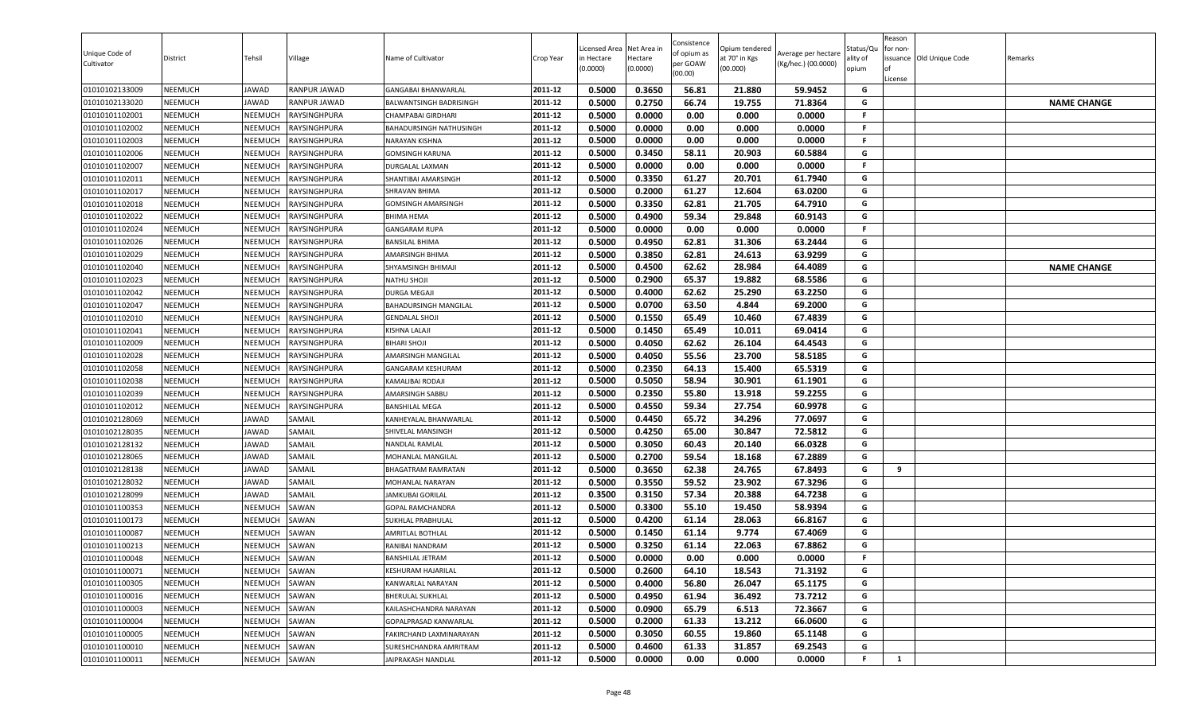| Unique Code of<br>Cultivator | District       | Tehsil         | Village             | Name of Cultivator                             | Crop Year          | Licensed Area<br>in Hectare<br>(0.0000) | Net Area in<br>Hectare<br>(0.0000) | Consistence<br>of opium as<br>per GOAW<br>(00.00) | Opium tendered<br>at 70° in Kgs<br>(00.000) | Average per hectare<br>(Kg/hec.) (00.0000) | Status/Qu<br>ality of<br>opium | Reason<br>for non-<br>ssuance Old Unique Code<br>License | Remarks            |
|------------------------------|----------------|----------------|---------------------|------------------------------------------------|--------------------|-----------------------------------------|------------------------------------|---------------------------------------------------|---------------------------------------------|--------------------------------------------|--------------------------------|----------------------------------------------------------|--------------------|
| 01010102133009               | <b>NEEMUCH</b> | JAWAD          | <b>RANPUR JAWAD</b> | <b>GANGABAI BHANWARLAL</b>                     | 2011-12            | 0.5000                                  | 0.3650                             | 56.81                                             | 21.880                                      | 59.9452                                    | G                              |                                                          |                    |
| 01010102133020               | <b>NEEMUCH</b> | JAWAD          | <b>RANPUR JAWAD</b> | BALWANTSINGH BADRISINGH                        | 2011-12            | 0.5000                                  | 0.2750                             | 66.74                                             | 19.755                                      | 71.8364                                    | G                              |                                                          | <b>NAME CHANGE</b> |
| 01010101102001               | <b>NEEMUCH</b> | NEEMUCH        | <b>RAYSINGHPURA</b> | CHAMPABAI GIRDHARI                             | 2011-12            | 0.5000                                  | 0.0000                             | 0.00                                              | 0.000                                       | 0.0000                                     | F.                             |                                                          |                    |
| 01010101102002               | <b>NEEMUCH</b> | NEEMUCH        | RAYSINGHPURA        | BAHADURSINGH NATHUSINGH                        | 2011-12            | 0.5000                                  | 0.0000                             | 0.00                                              | 0.000                                       | 0.0000                                     | F.                             |                                                          |                    |
| 01010101102003               | <b>NEEMUCH</b> | NEEMUCH        | <b>RAYSINGHPURA</b> | NARAYAN KISHNA                                 | 2011-12            | 0.5000                                  | 0.0000                             | 0.00                                              | 0.000                                       | 0.0000                                     | F.                             |                                                          |                    |
| 01010101102006               | <b>NEEMUCH</b> | NEEMUCH        | <b>RAYSINGHPURA</b> | <b>GOMSINGH KARUNA</b>                         | 2011-12            | 0.5000                                  | 0.3450                             | 58.11                                             | 20.903                                      | 60.5884                                    | G                              |                                                          |                    |
| 01010101102007               | <b>NEEMUCH</b> | NEEMUCH        | RAYSINGHPURA        | DURGALAL LAXMAN                                | 2011-12            | 0.5000                                  | 0.0000                             | 0.00                                              | 0.000                                       | 0.0000                                     | F.                             |                                                          |                    |
| 01010101102011               | <b>NEEMUCH</b> | NEEMUCH        | RAYSINGHPURA        | SHANTIBAI AMARSINGH                            | 2011-12            | 0.5000                                  | 0.3350                             | 61.27                                             | 20.701                                      | 61.7940                                    | G                              |                                                          |                    |
| 01010101102017               | <b>NEEMUCH</b> | NEEMUCH        | <b>RAYSINGHPURA</b> | SHRAVAN BHIMA                                  | 2011-12            | 0.5000                                  | 0.2000                             | 61.27                                             | 12.604                                      | 63.0200                                    | G                              |                                                          |                    |
| 01010101102018               | <b>NEEMUCH</b> | NEEMUCH        | RAYSINGHPURA        | <b>GOMSINGH AMARSINGH</b>                      | 2011-12            | 0.5000                                  | 0.3350                             | 62.81                                             | 21.705                                      | 64.7910                                    | G                              |                                                          |                    |
| 01010101102022               | <b>NEEMUCH</b> | NEEMUCH        | RAYSINGHPURA        | BHIMA HEMA                                     | 2011-12            | 0.5000                                  | 0.4900                             | 59.34                                             | 29.848                                      | 60.9143                                    | G                              |                                                          |                    |
| 01010101102024               | <b>NEEMUCH</b> | NEEMUCH        | RAYSINGHPURA        | <b>GANGARAM RUPA</b>                           | 2011-12            | 0.5000                                  | 0.0000                             | 0.00                                              | 0.000                                       | 0.0000                                     | F.                             |                                                          |                    |
| 01010101102026               | <b>NEEMUCH</b> | <b>NEEMUCH</b> | RAYSINGHPURA        | <b>BANSILAL BHIMA</b>                          | 2011-12            | 0.5000                                  | 0.4950                             | 62.81                                             | 31.306                                      | 63.2444                                    | G                              |                                                          |                    |
| 01010101102029               | <b>NEEMUCH</b> | NEEMUCH        | <b>RAYSINGHPURA</b> | AMARSINGH BHIMA                                | 2011-12            | 0.5000                                  | 0.3850                             | 62.81                                             | 24.613                                      | 63.9299                                    | G                              |                                                          |                    |
| 01010101102040               | <b>NEEMUCH</b> | NEEMUCH        | RAYSINGHPURA        | SHYAMSINGH BHIMAJI                             | 2011-12            | 0.5000                                  | 0.4500                             | 62.62                                             | 28.984                                      | 64.4089                                    | G                              |                                                          | <b>NAME CHANGE</b> |
| 01010101102023               | <b>NEEMUCH</b> | NEEMUCH        | RAYSINGHPURA        | NATHU SHOJI                                    | 2011-12            | 0.5000                                  | 0.2900                             | 65.37                                             | 19.882                                      | 68.5586                                    | G                              |                                                          |                    |
| 01010101102042               | <b>NEEMUCH</b> | NEEMUCH        | RAYSINGHPURA        | <b>DURGA MEGAJI</b>                            | 2011-12            | 0.5000                                  | 0.4000                             | 62.62                                             | 25.290                                      | 63.2250                                    | G                              |                                                          |                    |
| 01010101102047               | <b>NEEMUCH</b> | NEEMUCH        | RAYSINGHPURA        | <b>BAHADURSINGH MANGILAL</b>                   | 2011-12            | 0.5000                                  | 0.0700                             | 63.50                                             | 4.844                                       | 69.2000                                    | G                              |                                                          |                    |
| 01010101102010               | <b>NEEMUCH</b> | NEEMUCH        | RAYSINGHPURA        | <b>GENDALAL SHOJI</b>                          | 2011-12            | 0.5000                                  | 0.1550                             | 65.49                                             | 10.460                                      | 67.4839                                    | G                              |                                                          |                    |
| 01010101102041               | NEEMUCH        | NEEMUCH        | RAYSINGHPURA        | KISHNA LALAJI                                  | 2011-12            | 0.5000                                  | 0.1450                             | 65.49                                             | 10.011                                      | 69.0414                                    | G                              |                                                          |                    |
| 01010101102009               | <b>NEEMUCH</b> | NEEMUCH        | RAYSINGHPURA        | BIHARI SHOJI                                   | 2011-12            | 0.5000                                  | 0.4050                             | 62.62                                             | 26.104                                      | 64.4543                                    | G                              |                                                          |                    |
| 01010101102028               | <b>NEEMUCH</b> | NEEMUCH        | <b>RAYSINGHPURA</b> | AMARSINGH MANGILAL                             | 2011-12            | 0.5000                                  | 0.4050                             | 55.56                                             | 23.700                                      | 58.5185                                    | G                              |                                                          |                    |
| 01010101102058               | <b>NEEMUCH</b> | NEEMUCH        | RAYSINGHPURA        | <b>GANGARAM KESHURAM</b>                       | 2011-12            | 0.5000                                  | 0.2350                             | 64.13                                             | 15.400                                      | 65.5319                                    | G                              |                                                          |                    |
| 01010101102038               | <b>NEEMUCH</b> | NEEMUCH        | RAYSINGHPURA        | KAMALIBAI RODAJI                               | 2011-12            | 0.5000                                  | 0.5050                             | 58.94                                             | 30.901                                      | 61.1901                                    | G                              |                                                          |                    |
| 01010101102039               | <b>NEEMUCH</b> | NEEMUCH        | RAYSINGHPURA        | AMARSINGH SABBU                                | 2011-12            | 0.5000                                  | 0.2350                             | 55.80                                             | 13.918                                      | 59.2255                                    | G                              |                                                          |                    |
| 01010101102012               | <b>NEEMUCH</b> | NEEMUCH        | RAYSINGHPURA        | <b>BANSHILAL MEGA</b>                          | 2011-12            | 0.5000                                  | 0.4550                             | 59.34                                             | 27.754                                      | 60.9978                                    | G                              |                                                          |                    |
| 01010102128069               | <b>NEEMUCH</b> | JAWAD          | SAMAIL              | KANHEYALAL BHANWARLAL                          | 2011-12            | 0.5000                                  | 0.4450                             | 65.72                                             | 34.296                                      | 77.0697                                    | G                              |                                                          |                    |
| 01010102128035               | <b>NEEMUCH</b> | JAWAD          | SAMAIL              | SHIVELAL MANSINGH                              | 2011-12            | 0.5000                                  | 0.4250                             | 65.00                                             | 30.847                                      | 72.5812                                    | G                              |                                                          |                    |
| 01010102128132               | <b>NEEMUCH</b> | JAWAD          | SAMAIL              | NANDLAL RAMLAL                                 | 2011-12            | 0.5000                                  | 0.3050                             | 60.43                                             | 20.140                                      | 66.0328                                    | G                              |                                                          |                    |
| 01010102128065               | <b>NEEMUCH</b> | JAWAD          | SAMAIL              | MOHANLAL MANGILAL                              | 2011-12            | 0.5000                                  | 0.2700                             | 59.54                                             | 18.168                                      | 67.2889                                    | G                              |                                                          |                    |
| 01010102128138               | <b>NEEMUCH</b> | JAWAD          | SAMAIL              | <b>BHAGATRAM RAMRATAN</b>                      | 2011-12            | 0.5000                                  | 0.3650                             | 62.38                                             | 24.765                                      | 67.8493                                    | G                              | 9                                                        |                    |
| 01010102128032               | <b>NEEMUCH</b> | JAWAD          | SAMAIL              | MOHANLAL NARAYAN                               | 2011-12            | 0.5000                                  | 0.3550                             | 59.52                                             | 23.902                                      | 67.3296                                    | G                              |                                                          |                    |
| 01010102128099               | <b>NEEMUCH</b> | JAWAD          | SAMAIL              | <b>JAMKUBAI GORILAL</b>                        | 2011-12            | 0.3500                                  | 0.3150                             | 57.34                                             | 20.388                                      | 64.7238                                    | G                              |                                                          |                    |
| 01010101100353               | <b>NEEMUCH</b> | NEEMUCH        | SAWAN               | GOPAL RAMCHANDRA                               | 2011-12            | 0.5000                                  | 0.3300                             | 55.10                                             | 19.450                                      | 58.9394                                    | G                              |                                                          |                    |
| 01010101100173               | <b>NEEMUCH</b> | NEEMUCH        | SAWAN               | SUKHLAL PRABHULAL                              | 2011-12            | 0.5000                                  | 0.4200                             | 61.14                                             | 28.063                                      | 66.8167                                    | G                              |                                                          |                    |
| 01010101100087               | <b>NEEMUCH</b> | NEEMUCH        | SAWAN               | <b>AMRITLAL BOTHLAL</b>                        | 2011-12<br>2011-12 | 0.5000                                  | 0.1450                             | 61.14                                             | 9.774                                       | 67.4069                                    | G<br>G                         |                                                          |                    |
| 01010101100213               | <b>NEEMUCH</b> | NEEMUCH        | SAWAN               | RANIBAI NANDRAM                                |                    | 0.5000                                  | 0.3250                             | 61.14                                             | 22.063                                      | 67.8862                                    | F.                             |                                                          |                    |
| 01010101100048               | <b>NEEMUCH</b> | NEEMUCH        | SAWAN               | <b>BANSHILAL JETRAM</b>                        | 2011-12            | 0.5000                                  | 0.0000                             | 0.00                                              | 0.000                                       | 0.0000                                     |                                |                                                          |                    |
| 01010101100071               | <b>NEEMUCH</b> | NEEMUCH        | SAWAN               | KESHURAM HAJARILAL<br><b>KANWARLAL NARAYAN</b> | 2011-12            | 0.5000                                  | 0.2600                             | 64.10                                             | 18.543                                      | 71.3192                                    | G                              |                                                          |                    |
| 01010101100305               | <b>NEEMUCH</b> | NEEMUCH        | SAWAN               |                                                | 2011-12            | 0.5000                                  | 0.4000                             | 56.80                                             | 26.047                                      | 65.1175                                    | G                              |                                                          |                    |
| 01010101100016               | <b>NEEMUCH</b> | NEEMUCH        | SAWAN               | <b>BHERULAL SUKHLAL</b>                        | 2011-12            | 0.5000                                  | 0.4950                             | 61.94                                             | 36.492                                      | 73.7212                                    | G                              |                                                          |                    |
| 01010101100003               | <b>NEEMUCH</b> | NEEMUCH        | SAWAN               | KAILASHCHANDRA NARAYAN                         | 2011-12            | 0.5000                                  | 0.0900                             | 65.79                                             | 6.513                                       | 72.3667                                    | G<br>G                         |                                                          |                    |
| 01010101100004               | <b>NEEMUCH</b> | NEEMUCH        | SAWAN               | GOPALPRASAD KANWARLAL                          | 2011-12            | 0.5000                                  | 0.2000                             | 61.33                                             | 13.212                                      | 66.0600                                    |                                |                                                          |                    |
| 01010101100005               | <b>NEEMUCH</b> | NEEMUCH        | SAWAN               | <b>FAKIRCHAND LAXMINARAYAN</b>                 | 2011-12<br>2011-12 | 0.5000                                  | 0.3050                             | 60.55                                             | 19.860                                      | 65.1148                                    | G<br>G                         |                                                          |                    |
| 01010101100010               | <b>NEEMUCH</b> | NEEMUCH        | SAWAN               | SURESHCHANDRA AMRITRAM                         |                    | 0.5000                                  | 0.4600                             | 61.33                                             | 31.857                                      | 69.2543                                    | F.                             |                                                          |                    |
| 01010101100011               | <b>NEEMUCH</b> | NEEMUCH        | SAWAN               | JAIPRAKASH NANDLAL                             | 2011-12            | 0.5000                                  | 0.0000                             | 0.00                                              | 0.000                                       | 0.0000                                     |                                | 1                                                        |                    |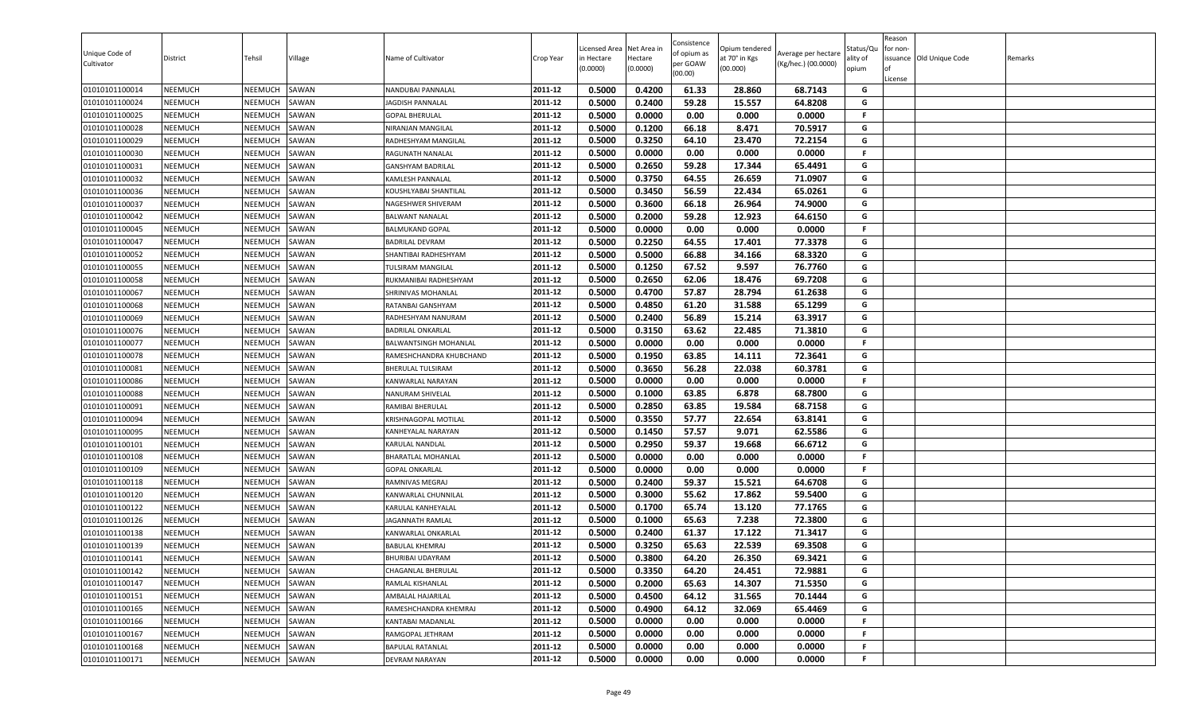| Unique Code of<br>Cultivator     | District                         | Tehsil             | Village        | Name of Cultivator                       | Crop Year          | Licensed Area<br>in Hectare<br>(0.0000) | Net Area in<br>Hectare<br>(0.0000) | Consistence<br>of opium as<br>per GOAW<br>(00.00) | )pium tendered<br>at 70° in Kgs<br>(00.000) | Average per hectare<br>(Kg/hec.) (00.0000) | Status/Qu<br>ality of<br>opium | Reason<br>for non-<br>lof<br>License | issuance Old Unique Code | Remarks |
|----------------------------------|----------------------------------|--------------------|----------------|------------------------------------------|--------------------|-----------------------------------------|------------------------------------|---------------------------------------------------|---------------------------------------------|--------------------------------------------|--------------------------------|--------------------------------------|--------------------------|---------|
| 01010101100014                   | <b>NEEMUCH</b>                   | NEEMUCH            | SAWAN          | NANDUBAI PANNALAL                        | 2011-12            | 0.5000                                  | 0.4200                             | 61.33                                             | 28.860                                      | 68.7143                                    | G                              |                                      |                          |         |
| 01010101100024                   | <b>NEEMUCH</b>                   | NEEMUCH            | SAWAN          | IAGDISH PANNALAL                         | 2011-12            | 0.5000                                  | 0.2400                             | 59.28                                             | 15.557                                      | 64.8208                                    | G                              |                                      |                          |         |
| 01010101100025                   | NEEMUCH                          | NEEMUCH            | SAWAN          | <b>GOPAL BHERULAL</b>                    | 2011-12            | 0.5000                                  | 0.0000                             | 0.00                                              | 0.000                                       | 0.0000                                     | F.                             |                                      |                          |         |
| 01010101100028                   | <b>NEEMUCH</b>                   | NEEMUCH            | SAWAN          | NIRANJAN MANGILAL                        | 2011-12            | 0.5000                                  | 0.1200                             | 66.18                                             | 8.471                                       | 70.5917                                    | G                              |                                      |                          |         |
| 01010101100029                   | <b>NEEMUCH</b>                   | NEEMUCH            | SAWAN          | RADHESHYAM MANGILAL                      | 2011-12            | 0.5000                                  | 0.3250                             | 64.10                                             | 23.470                                      | 72.2154                                    | G                              |                                      |                          |         |
| 01010101100030                   | <b>NEEMUCH</b>                   | NEEMUCH            | SAWAN          | RAGUNATH NANALAL                         | 2011-12            | 0.5000                                  | 0.0000                             | 0.00                                              | 0.000                                       | 0.0000                                     | F.                             |                                      |                          |         |
| 01010101100031                   | <b>NEEMUCH</b>                   | NEEMUCH            | SAWAN          | GANSHYAM BADRILAL                        | 2011-12            | 0.5000                                  | 0.2650                             | 59.28                                             | 17.344                                      | 65.4491                                    | G                              |                                      |                          |         |
| 01010101100032                   | <b>NEEMUCH</b>                   | NEEMUCH            | SAWAN          | KAMLESH PANNALAL                         | 2011-12            | 0.5000                                  | 0.3750                             | 64.55                                             | 26.659                                      | 71.0907                                    | G                              |                                      |                          |         |
| 01010101100036                   | <b>NEEMUCH</b>                   | NEEMUCH            | SAWAN          | KOUSHLYABAI SHANTILAL                    | 2011-12            | 0.5000                                  | 0.3450                             | 56.59                                             | 22.434                                      | 65.0261                                    | G                              |                                      |                          |         |
| 01010101100037                   | <b>NEEMUCH</b>                   | NEEMUCH            | SAWAN          | NAGESHWER SHIVERAM                       | 2011-12            | 0.5000                                  | 0.3600                             | 66.18                                             | 26.964                                      | 74.9000                                    | G                              |                                      |                          |         |
| 01010101100042                   | <b>NEEMUCH</b>                   | NEEMUCH            | SAWAN          | <b>BALWANT NANALAL</b>                   | 2011-12            | 0.5000                                  | 0.2000                             | 59.28                                             | 12.923                                      | 64.6150                                    | G                              |                                      |                          |         |
| 01010101100045                   | <b>NEEMUCH</b>                   | NEEMUCH            | SAWAN          | <b>BALMUKAND GOPAL</b>                   | 2011-12            | 0.5000                                  | 0.0000                             | 0.00                                              | 0.000                                       | 0.0000                                     | F                              |                                      |                          |         |
| 01010101100047                   | <b>NEEMUCH</b>                   | NEEMUCH            | SAWAN          | <b>BADRILAL DEVRAM</b>                   | 2011-12            | 0.5000                                  | 0.2250                             | 64.55                                             | 17.401                                      | 77.3378                                    | G                              |                                      |                          |         |
| 01010101100052                   | <b>NEEMUCH</b>                   | NEEMUCH            | SAWAN          | SHANTIBAI RADHESHYAM                     | 2011-12            | 0.5000                                  | 0.5000                             | 66.88                                             | 34.166                                      | 68.3320                                    | G                              |                                      |                          |         |
| 01010101100055                   | <b>NEEMUCH</b>                   | NEEMUCH            | SAWAN          | TULSIRAM MANGILAL                        | 2011-12            | 0.5000                                  | 0.1250                             | 67.52                                             | 9.597                                       | 76.7760                                    | G                              |                                      |                          |         |
| 01010101100058                   | <b>NEEMUCH</b>                   | NEEMUCH            | SAWAN          | RUKMANIBAI RADHESHYAM                    | 2011-12            | 0.5000                                  | 0.2650                             | 62.06                                             | 18.476                                      | 69.7208                                    | G                              |                                      |                          |         |
| 01010101100067                   | <b>NEEMUCH</b>                   | NEEMUCH            | SAWAN          | SHRINIVAS MOHANLAL                       | 2011-12            | 0.5000                                  | 0.4700                             | 57.87                                             | 28.794                                      | 61.2638                                    | G                              |                                      |                          |         |
| 01010101100068                   | <b>NEEMUCH</b>                   | NEEMUCH            | SAWAN          | RATANBAI GANSHYAM                        | 2011-12            | 0.5000                                  | 0.4850                             | 61.20                                             | 31.588                                      | 65.1299                                    | G                              |                                      |                          |         |
| 01010101100069                   | <b>NEEMUCH</b>                   | NEEMUCH            | SAWAN          | RADHESHYAM NANURAM                       | 2011-12            | 0.5000                                  | 0.2400                             | 56.89                                             | 15.214                                      | 63.3917                                    | G                              |                                      |                          |         |
| 01010101100076                   | <b>NEEMUCH</b>                   | NEEMUCH            | SAWAN          | BADRILAL ONKARLAL                        | 2011-12            | 0.5000                                  | 0.3150                             | 63.62                                             | 22.485                                      | 71.3810                                    | G                              |                                      |                          |         |
| 01010101100077                   | <b>NEEMUCH</b>                   | NEEMUCH            | SAWAN          | BALWANTSINGH MOHANLAL                    | 2011-12            | 0.5000                                  | 0.0000                             | 0.00                                              | 0.000                                       | 0.0000                                     | F                              |                                      |                          |         |
| 01010101100078                   | <b>NEEMUCH</b>                   | <b>NEEMUCH</b>     | SAWAN          | RAMESHCHANDRA KHUBCHAND                  | 2011-12            | 0.5000                                  | 0.1950                             | 63.85                                             | 14.111                                      | 72.3641                                    | G                              |                                      |                          |         |
| 01010101100081                   | <b>NEEMUCH</b>                   | NEEMUCH            | SAWAN          | <b>BHERULAL TULSIRAM</b>                 | 2011-12            | 0.5000                                  | 0.3650                             | 56.28                                             | 22.038                                      | 60.3781                                    | G<br>F.                        |                                      |                          |         |
| 01010101100086                   | <b>NEEMUCH</b>                   | NEEMUCH            | SAWAN          | KANWARLAL NARAYAN                        | 2011-12            | 0.5000                                  | 0.0000                             | 0.00                                              | 0.000                                       | 0.0000                                     |                                |                                      |                          |         |
| 01010101100088                   | <b>NEEMUCH</b>                   | NEEMUCH            | SAWAN          | NANURAM SHIVELAL                         | 2011-12<br>2011-12 | 0.5000                                  | 0.1000                             | 63.85                                             | 6.878                                       | 68.7800                                    | G                              |                                      |                          |         |
| 01010101100091                   | <b>NEEMUCH</b>                   | NEEMUCH            | SAWAN          | RAMIBAI BHERULAL                         |                    | 0.5000                                  | 0.2850                             | 63.85                                             | 19.584                                      | 68.7158                                    | G<br>G                         |                                      |                          |         |
| 01010101100094                   | <b>NEEMUCH</b>                   | NEEMUCH            | SAWAN          | KRISHNAGOPAL MOTILAL                     | 2011-12<br>2011-12 | 0.5000                                  | 0.3550                             | 57.77                                             | 22.654                                      | 63.8141                                    | G                              |                                      |                          |         |
| 01010101100095                   | <b>NEEMUCH</b>                   | NEEMUCH            | SAWAN          | KANHEYALAL NARAYAN                       |                    | 0.5000                                  | 0.1450                             | 57.57                                             | 9.071                                       | 62.5586                                    | G                              |                                      |                          |         |
| 01010101100101                   | <b>NEEMUCH</b>                   | NEEMUCH            | SAWAN          | KARULAL NANDLAL                          | 2011-12<br>2011-12 | 0.5000<br>0.5000                        | 0.2950<br>0.0000                   | 59.37<br>0.00                                     | 19.668                                      | 66.6712<br>0.0000                          | F.                             |                                      |                          |         |
| 01010101100108                   | <b>NEEMUCH</b>                   | NEEMUCH            | SAWAN          | BHARATLAL MOHANLAL                       |                    |                                         |                                    | 0.00                                              | 0.000                                       |                                            |                                |                                      |                          |         |
| 01010101100109                   | <b>NEEMUCH</b>                   | NEEMUCH<br>NEEMUCH | SAWAN          | <b>GOPAL ONKARLAL</b><br>RAMNIVAS MEGRAJ | 2011-12<br>2011-12 | 0.5000<br>0.5000                        | 0.0000<br>0.2400                   | 59.37                                             | 0.000<br>15.521                             | 0.0000<br>64.6708                          | F.<br>G                        |                                      |                          |         |
| 01010101100118<br>01010101100120 | <b>NEEMUCH</b><br><b>NEEMUCH</b> | NEEMUCH            | SAWAN<br>SAWAN | KANWARLAL CHUNNILAL                      | 2011-12            | 0.5000                                  | 0.3000                             | 55.62                                             | 17.862                                      | 59.5400                                    | G                              |                                      |                          |         |
| 01010101100122                   | <b>NEEMUCH</b>                   | NEEMUCH            | SAWAN          | KARULAL KANHEYALAL                       | 2011-12            | 0.5000                                  | 0.1700                             | 65.74                                             | 13.120                                      | 77.1765                                    | G                              |                                      |                          |         |
| 01010101100126                   | <b>NEEMUCH</b>                   | NEEMUCH            | SAWAN          | JAGANNATH RAMLAL                         | 2011-12            | 0.5000                                  | 0.1000                             | 65.63                                             | 7.238                                       | 72.3800                                    | G                              |                                      |                          |         |
| 01010101100138                   | <b>NEEMUCH</b>                   | NEEMUCH            | SAWAN          | KANWARLAL ONKARLAL                       | 2011-12            | 0.5000                                  | 0.2400                             | 61.37                                             | 17.122                                      | 71.3417                                    | G                              |                                      |                          |         |
| 01010101100139                   | <b>NEEMUCH</b>                   | NEEMUCH            | SAWAN          | BABULAL KHEMRAJ                          | 2011-12            | 0.5000                                  | 0.3250                             | 65.63                                             | 22.539                                      | 69.3508                                    | G                              |                                      |                          |         |
| 01010101100141                   | <b>NEEMUCH</b>                   | NEEMUCH            | SAWAN          | <b>BHURIBAI UDAYRAM</b>                  | 2011-12            | 0.5000                                  | 0.3800                             | 64.20                                             | 26.350                                      | 69.3421                                    | G                              |                                      |                          |         |
| 01010101100142                   | <b>NEEMUCH</b>                   | NEEMUCH            | SAWAN          | CHAGANLAL BHERULAL                       | 2011-12            | 0.5000                                  | 0.3350                             | 64.20                                             | 24.451                                      | 72.9881                                    | G                              |                                      |                          |         |
| 01010101100147                   | <b>NEEMUCH</b>                   | NEEMUCH            | SAWAN          | RAMLAL KISHANLAL                         | 2011-12            | 0.5000                                  | 0.2000                             | 65.63                                             | 14.307                                      | 71.5350                                    | G                              |                                      |                          |         |
| 01010101100151                   | <b>NEEMUCH</b>                   | <b>NEEMUCH</b>     | SAWAN          | AMBALAL HAJARILAL                        | 2011-12            | 0.5000                                  | 0.4500                             | 64.12                                             | 31.565                                      | 70.1444                                    | G                              |                                      |                          |         |
| 01010101100165                   | <b>NEEMUCH</b>                   | NEEMUCH            | SAWAN          | RAMESHCHANDRA KHEMRAJ                    | 2011-12            | 0.5000                                  | 0.4900                             | 64.12                                             | 32.069                                      | 65.4469                                    | G                              |                                      |                          |         |
| 01010101100166                   | <b>NEEMUCH</b>                   | NEEMUCH            | SAWAN          | KANTABAI MADANLAL                        | 2011-12            | 0.5000                                  | 0.0000                             | 0.00                                              | 0.000                                       | 0.0000                                     | F.                             |                                      |                          |         |
| 01010101100167                   | <b>NEEMUCH</b>                   | NEEMUCH            | SAWAN          | RAMGOPAL JETHRAM                         | 2011-12            | 0.5000                                  | 0.0000                             | 0.00                                              | 0.000                                       | 0.0000                                     | F                              |                                      |                          |         |
| 01010101100168                   | <b>NEEMUCH</b>                   | <b>NEEMUCH</b>     | SAWAN          | <b>BAPULAL RATANLAL</b>                  | 2011-12            | 0.5000                                  | 0.0000                             | 0.00                                              | 0.000                                       | 0.0000                                     | F.                             |                                      |                          |         |
| 01010101100171                   | <b>NEEMUCH</b>                   | NEEMUCH            | SAWAN          | DEVRAM NARAYAN                           | 2011-12            | 0.5000                                  | 0.0000                             | 0.00                                              | 0.000                                       | 0.0000                                     | F                              |                                      |                          |         |
|                                  |                                  |                    |                |                                          |                    |                                         |                                    |                                                   |                                             |                                            |                                |                                      |                          |         |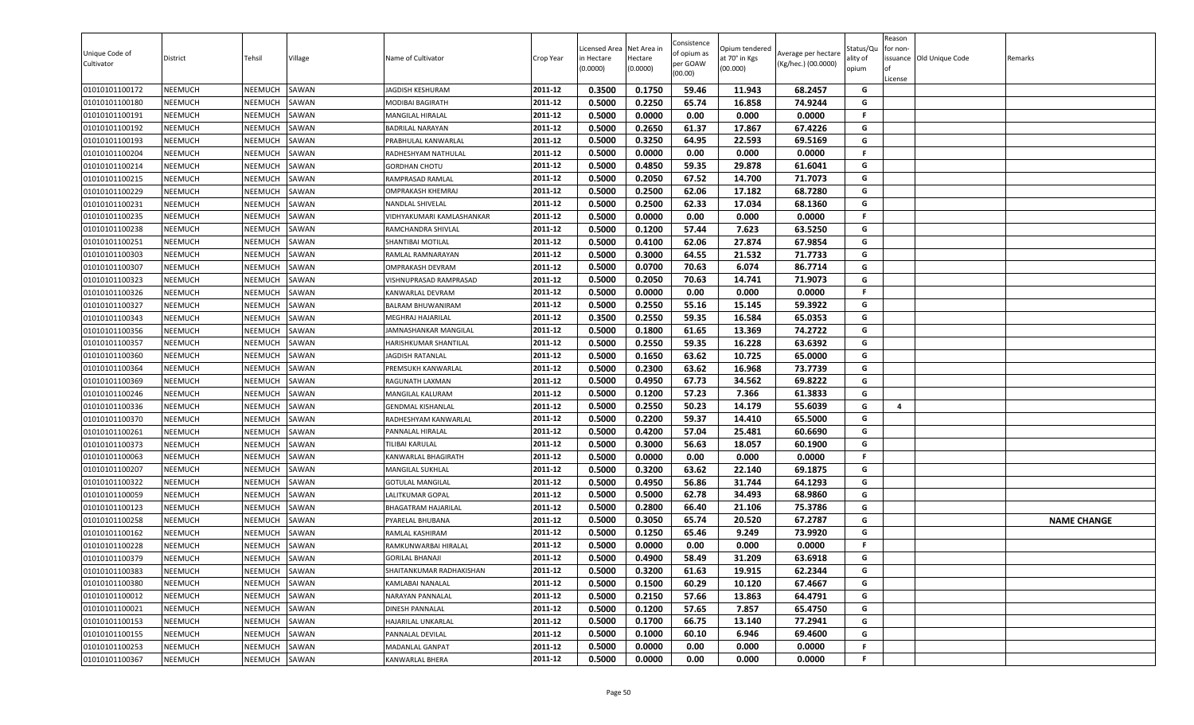| Unique Code of<br>Cultivator     | District                  | Tehsil             | Village        | Name of Cultivator                                  | Crop Year          | Licensed Area<br>in Hectare<br>(0.0000) | Net Area in<br>Hectare<br>(0.0000) | Consistence<br>of opium as<br>per GOAW<br>(00.00) | Opium tendered<br>at 70° in Kgs<br>(00.000) | Average per hectare<br>(Kg/hec.) (00.0000) | Status/Qu<br>ality of<br>opium | Reason<br>for non-<br>License | ssuance Old Unique Code | Remarks            |
|----------------------------------|---------------------------|--------------------|----------------|-----------------------------------------------------|--------------------|-----------------------------------------|------------------------------------|---------------------------------------------------|---------------------------------------------|--------------------------------------------|--------------------------------|-------------------------------|-------------------------|--------------------|
| 01010101100172                   | NEEMUCH                   | NEEMUCH            | SAWAN          | JAGDISH KESHURAM                                    | 2011-12            | 0.3500                                  | 0.1750                             | 59.46                                             | 11.943                                      | 68.2457                                    | G                              |                               |                         |                    |
| 01010101100180                   | NEEMUCH                   | NEEMUCH            | SAWAN          | MODIBAI BAGIRATH                                    | 2011-12            | 0.5000                                  | 0.2250                             | 65.74                                             | 16.858                                      | 74.9244                                    | G                              |                               |                         |                    |
| 01010101100191                   | NEEMUCH                   | NEEMUCH            | SAWAN          | <b>MANGILAL HIRALAL</b>                             | 2011-12            | 0.5000                                  | 0.0000                             | 0.00                                              | 0.000                                       | 0.0000                                     | F.                             |                               |                         |                    |
| 01010101100192                   | <b>NEEMUCH</b>            | NEEMUCH            | SAWAN          | <b>BADRILAL NARAYAN</b>                             | 2011-12            | 0.5000                                  | 0.2650                             | 61.37                                             | 17.867                                      | 67.4226                                    | G                              |                               |                         |                    |
| 01010101100193                   | <b>NEEMUCH</b>            | NEEMUCH            | SAWAN          | PRABHULAL KANWARLAL                                 | 2011-12            | 0.5000                                  | 0.3250                             | 64.95                                             | 22.593                                      | 69.5169                                    | G<br>F.                        |                               |                         |                    |
| 01010101100204                   | <b>NEEMUCH</b>            | NEEMUCH            | SAWAN          | RADHESHYAM NATHULAL                                 | 2011-12            | 0.5000                                  | 0.0000                             | 0.00                                              | 0.000                                       | 0.0000                                     |                                |                               |                         |                    |
| 01010101100214                   | <b>NEEMUCH</b>            | NEEMUCH            | SAWAN          | <b>GORDHAN CHOTU</b>                                | 2011-12            | 0.5000                                  | 0.4850                             | 59.35                                             | 29.878                                      | 61.6041                                    | G<br>G                         |                               |                         |                    |
| 01010101100215                   | NEEMUCH                   | NEEMUCH            | SAWAN          | <b>RAMPRASAD RAMLAL</b>                             | 2011-12<br>2011-12 | 0.5000                                  | 0.2050<br>0.2500                   | 67.52<br>62.06                                    | 14.700<br>17.182                            | 71.7073<br>68.7280                         |                                |                               |                         |                    |
| 01010101100229                   | <b>NEEMUCH</b>            | NEEMUCH            | SAWAN          | <b>OMPRAKASH KHEMRAJ</b><br><b>NANDLAL SHIVELAL</b> | 2011-12            | 0.5000                                  |                                    |                                                   |                                             |                                            | G<br>G                         |                               |                         |                    |
| 01010101100231                   | NEEMUCH                   | NEEMUCH            | SAWAN          |                                                     |                    | 0.5000                                  | 0.2500                             | 62.33                                             | 17.034                                      | 68.1360                                    | F.                             |                               |                         |                    |
| 01010101100235                   | NEEMUCH<br>NEEMUCH        | NEEMUCH            | SAWAN          | VIDHYAKUMARI KAMLASHANKAR                           | 2011-12<br>2011-12 | 0.5000                                  | 0.0000                             | 0.00                                              | 0.000                                       | 0.0000                                     | G                              |                               |                         |                    |
| 01010101100238<br>01010101100251 | <b>NEEMUCH</b>            | NEEMUCH<br>NEEMUCH | SAWAN<br>SAWAN | RAMCHANDRA SHIVLAL<br><b>SHANTIBAI MOTILAL</b>      | 2011-12            | 0.5000                                  | 0.1200<br>0.4100                   | 57.44<br>62.06                                    | 7.623<br>27.874                             | 63.5250<br>67.9854                         | G                              |                               |                         |                    |
|                                  |                           |                    |                |                                                     | 2011-12            | 0.5000<br>0.5000                        | 0.3000                             | 64.55                                             | 21.532                                      |                                            | G                              |                               |                         |                    |
| 01010101100303<br>01010101100307 | NEEMUCH<br><b>NEEMUCH</b> | NEEMUCH<br>NEEMUCH | SAWAN<br>SAWAN | RAMLAL RAMNARAYAN<br><b>OMPRAKASH DEVRAM</b>        | 2011-12            | 0.5000                                  | 0.0700                             | 70.63                                             | 6.074                                       | 71.7733<br>86.7714                         | G                              |                               |                         |                    |
| 01010101100323                   | <b>NEEMUCH</b>            | NEEMUCH            | SAWAN          | VISHNUPRASAD RAMPRASAD                              | 2011-12            | 0.5000                                  | 0.2050                             | 70.63                                             | 14.741                                      | 71.9073                                    | G                              |                               |                         |                    |
| 01010101100326                   | NEEMUCH                   | NEEMUCH            | SAWAN          | <b>KANWARLAL DEVRAM</b>                             | 2011-12            | 0.5000                                  | 0.0000                             | 0.00                                              | 0.000                                       | 0.0000                                     | F.                             |                               |                         |                    |
| 01010101100327                   | NEEMUCH                   | NEEMUCH            | SAWAN          | <b>BALRAM BHUWANIRAM</b>                            | 2011-12            | 0.5000                                  | 0.2550                             | 55.16                                             | 15.145                                      | 59.3922                                    | G                              |                               |                         |                    |
| 01010101100343                   | NEEMUCH                   | NEEMUCH            | SAWAN          | MEGHRAJ HAJARILAL                                   | 2011-12            | 0.3500                                  | 0.2550                             | 59.35                                             | 16.584                                      | 65.0353                                    | G                              |                               |                         |                    |
| 01010101100356                   | <b>NEEMUCH</b>            | NEEMUCH            | SAWAN          | JAMNASHANKAR MANGILAL                               | 2011-12            | 0.5000                                  | 0.1800                             | 61.65                                             | 13.369                                      | 74.2722                                    | G                              |                               |                         |                    |
| 01010101100357                   | NEEMUCH                   | NEEMUCH            | SAWAN          | <b>HARISHKUMAR SHANTILAL</b>                        | 2011-12            | 0.5000                                  | 0.2550                             | 59.35                                             | 16.228                                      | 63.6392                                    | G                              |                               |                         |                    |
| 01010101100360                   | <b>NEEMUCH</b>            | NEEMUCH            | SAWAN          | <b>JAGDISH RATANLAL</b>                             | 2011-12            | 0.5000                                  | 0.1650                             | 63.62                                             | 10.725                                      | 65.0000                                    | G                              |                               |                         |                    |
| 01010101100364                   | <b>NEEMUCH</b>            | NEEMUCH            | SAWAN          | PREMSUKH KANWARLAL                                  | 2011-12            | 0.5000                                  | 0.2300                             | 63.62                                             | 16.968                                      | 73.7739                                    | G                              |                               |                         |                    |
| 01010101100369                   | <b>NEEMUCH</b>            | NEEMUCH            | SAWAN          | RAGUNATH LAXMAN                                     | 2011-12            | 0.5000                                  | 0.4950                             | 67.73                                             | 34.562                                      | 69.8222                                    | G                              |                               |                         |                    |
| 01010101100246                   | <b>NEEMUCH</b>            | NEEMUCH            | SAWAN          | MANGILAL KALURAM                                    | 2011-12            | 0.5000                                  | 0.1200                             | 57.23                                             | 7.366                                       | 61.3833                                    | G                              |                               |                         |                    |
| 01010101100336                   | NEEMUCH                   | NEEMUCH            | SAWAN          | <b>GENDMAL KISHANLAL</b>                            | 2011-12            | 0.5000                                  | 0.2550                             | 50.23                                             | 14.179                                      | 55.6039                                    | G                              | 4                             |                         |                    |
| 01010101100370                   | NEEMUCH                   | NEEMUCH            | SAWAN          | RADHESHYAM KANWARLAL                                | 2011-12            | 0.5000                                  | 0.2200                             | 59.37                                             | 14.410                                      | 65.5000                                    | G                              |                               |                         |                    |
| 01010101100261                   | NEEMUCH                   | NEEMUCH            | SAWAN          | PANNALAL HIRALAL                                    | 2011-12            | 0.5000                                  | 0.4200                             | 57.04                                             | 25.481                                      | 60.6690                                    | G                              |                               |                         |                    |
| 01010101100373                   | <b>NEEMUCH</b>            | NEEMUCH            | SAWAN          | TILIBAI KARULAL                                     | 2011-12            | 0.5000                                  | 0.3000                             | 56.63                                             | 18.057                                      | 60.1900                                    | G                              |                               |                         |                    |
| 01010101100063                   | <b>NEEMUCH</b>            | NEEMUCH            | SAWAN          | KANWARLAL BHAGIRATH                                 | 2011-12            | 0.5000                                  | 0.0000                             | 0.00                                              | 0.000                                       | 0.0000                                     | F.                             |                               |                         |                    |
| 01010101100207                   | <b>NEEMUCH</b>            | NEEMUCH            | SAWAN          | <b>MANGILAL SUKHLAL</b>                             | 2011-12            | 0.5000                                  | 0.3200                             | 63.62                                             | 22.140                                      | 69.1875                                    | G                              |                               |                         |                    |
| 01010101100322                   | NEEMUCH                   | NEEMUCH            | SAWAN          | <b>GOTULAL MANGILAL</b>                             | 2011-12            | 0.5000                                  | 0.4950                             | 56.86                                             | 31.744                                      | 64.1293                                    | G                              |                               |                         |                    |
| 01010101100059                   | NEEMUCH                   | NEEMUCH            | SAWAN          | <b>LALITKUMAR GOPAL</b>                             | 2011-12            | 0.5000                                  | 0.5000                             | 62.78                                             | 34.493                                      | 68.9860                                    | G                              |                               |                         |                    |
| 01010101100123                   | <b>NEEMUCH</b>            | NEEMUCH            | SAWAN          | <b>BHAGATRAM HAJARILAL</b>                          | 2011-12            | 0.5000                                  | 0.2800                             | 66.40                                             | 21.106                                      | 75.3786                                    | G                              |                               |                         |                    |
| 01010101100258                   | NEEMUCH                   | NEEMUCH            | SAWAN          | PYARELAL BHUBANA                                    | 2011-12            | 0.5000                                  | 0.3050                             | 65.74                                             | 20.520                                      | 67.2787                                    | G                              |                               |                         | <b>NAME CHANGE</b> |
| 01010101100162                   | <b>NEEMUCH</b>            | NEEMUCH            | SAWAN          | <b>RAMLAL KASHIRAM</b>                              | 2011-12            | 0.5000                                  | 0.1250                             | 65.46                                             | 9.249                                       | 73.9920                                    | G                              |                               |                         |                    |
| 01010101100228                   | NEEMUCH                   | NEEMUCH            | SAWAN          | RAMKUNWARBAI HIRALAL                                | 2011-12            | 0.5000                                  | 0.0000                             | 0.00                                              | 0.000                                       | 0.0000                                     | F.                             |                               |                         |                    |
| 01010101100379                   | NEEMUCH                   | NEEMUCH            | SAWAN          | <b>GORILAL BHANAJI</b>                              | 2011-12            | 0.5000                                  | 0.4900                             | 58.49                                             | 31.209                                      | 63.6918                                    | G                              |                               |                         |                    |
| 01010101100383                   | NEEMUCH                   | NEEMUCH            | SAWAN          | SHAITANKUMAR RADHAKISHAN                            | 2011-12            | 0.5000                                  | 0.3200                             | 61.63                                             | 19.915                                      | 62.2344                                    | G                              |                               |                         |                    |
| 01010101100380                   | NEEMUCH                   | <b>NEEMUCH</b>     | SAWAN          | <b>KAMLABAI NANALAL</b>                             | 2011-12            | 0.5000                                  | 0.1500                             | 60.29                                             | 10.120                                      | 67.4667                                    | G                              |                               |                         |                    |
| 01010101100012                   | NEEMUCH                   | <b>NEEMUCH</b>     | SAWAN          | <b>NARAYAN PANNALAL</b>                             | 2011-12            | 0.5000                                  | 0.2150                             | 57.66                                             | 13.863                                      | 64.4791                                    | G                              |                               |                         |                    |
| 01010101100021                   | <b>NEEMUCH</b>            | NEEMUCH            | SAWAN          | <b>DINESH PANNALAL</b>                              | 2011-12            | 0.5000                                  | 0.1200                             | 57.65                                             | 7.857                                       | 65.4750                                    | G                              |                               |                         |                    |
| 01010101100153                   | <b>NEEMUCH</b>            | NEEMUCH            | SAWAN          | HAJARILAL UNKARLAL                                  | 2011-12            | 0.5000                                  | 0.1700                             | 66.75                                             | 13.140                                      | 77.2941                                    | G                              |                               |                         |                    |
| 01010101100155                   | <b>NEEMUCH</b>            | NEEMUCH            | SAWAN          | PANNALAL DEVILAL                                    | 2011-12            | 0.5000                                  | 0.1000                             | 60.10                                             | 6.946                                       | 69.4600                                    | G                              |                               |                         |                    |
| 01010101100253                   | NEEMUCH                   | NEEMUCH            | SAWAN          | <b>MADANLAL GANPAT</b>                              | 2011-12            | 0.5000                                  | 0.0000                             | 0.00                                              | 0.000                                       | 0.0000                                     | F.                             |                               |                         |                    |
| 01010101100367                   | NEEMUCH                   | NEEMUCH            | SAWAN          | KANWARLAL BHERA                                     | 2011-12            | 0.5000                                  | 0.0000                             | 0.00                                              | 0.000                                       | 0.0000                                     | F                              |                               |                         |                    |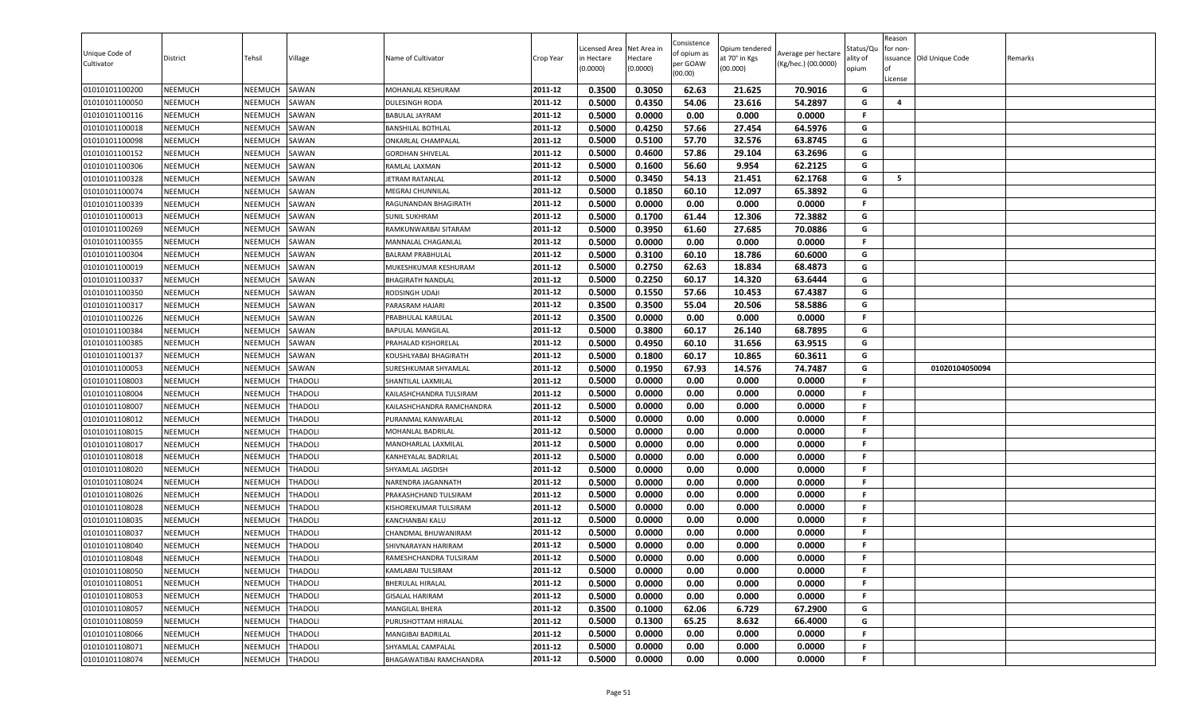| 0.3500<br>0.3050<br>62.63<br>21.625<br>70.9016<br><b>NEEMUCH</b><br>SAWAN<br>MOHANLAL KESHURAM<br>2011-12<br>G<br>01010101100200<br>NEEMUCH<br><b>NEEMUCH</b><br>2011-12<br>0.5000<br>0.4350<br>54.06<br>23.616<br>54.2897<br>G<br>$\overline{4}$<br>01010101100050<br>NEEMUCH<br>SAWAN<br>DULESINGH RODA<br>0.0000<br>0.00<br>NEEMUCH<br>2011-12<br>0.5000<br>0.000<br>0.0000<br>F<br>01010101100116<br>NEEMUCH<br>SAWAN<br><b>BABULAL JAYRAM</b><br>2011-12<br>0.4250<br>57.66<br>G<br><b>NEEMUCH</b><br>SAWAN<br>0.5000<br>27.454<br>64.5976<br>01010101100018<br>NEEMUCH<br><b>BANSHILAL BOTHLAL</b><br>0.5000<br>0.5100<br>32.576<br>2011-12<br>57.70<br>63.8745<br>G<br><b>NEEMUCH</b><br>01010101100098<br>NEEMUCH<br>SAWAN<br>ONKARLAL CHAMPALAL<br>G<br>2011-12<br>0.5000<br>0.4600<br>57.86<br>63.2696<br>01010101100152<br><b>NEEMUCH</b><br>NEEMUCH<br>SAWAN<br>29.104<br><b>GORDHAN SHIVELAL</b><br>56.60<br>62.2125<br>G<br>2011-12<br>0.5000<br>0.1600<br>9.954<br><b>NEEMUCH</b><br>01010101100306<br>NEEMUCH<br>SAWAN<br>RAMLAL LAXMAN<br>2011-12<br>0.3450<br>G<br>5<br>01010101100328<br><b>NEEMUCH</b><br>NEEMUCH<br>SAWAN<br>0.5000<br>54.13<br>21.451<br>62.1768<br>JETRAM RATANLAL<br><b>NEEMUCH</b><br>0.5000<br>0.1850<br>60.10<br>12.097<br>65.3892<br>01010101100074<br>NEEMUCH<br>SAWAN<br>2011-12<br>G<br>MEGRAJ CHUNNILAL<br>01010101100339<br><b>NEEMUCH</b><br>SAWAN<br>2011-12<br>0.5000<br>0.0000<br>0.00<br>0.000<br>0.0000<br>NEEMUCH<br>F.<br>RAGUNANDAN BHAGIRATH<br>72.3882<br>0.5000<br>0.1700<br>61.44<br>12.306<br>G<br><b>NEEMUCH</b><br>2011-12<br>01010101100013<br>NEEMUCH<br>SAWAN<br>SUNIL SUKHRAM<br><b>NEEMUCH</b><br>2011-12<br>0.5000<br>0.3950<br>61.60<br>27.685<br>70.0886<br>G<br>01010101100269<br>NEEMUCH<br>SAWAN<br>RAMKUNWARBAI SITARAM<br>0.0000<br>0.00<br>0.0000<br>01010101100355<br><b>NEEMUCH</b><br>SAWAN<br>0.5000<br>0.000<br>NEEMUCH<br>2011-12<br>F.<br>MANNALAL CHAGANLAL<br>0.5000<br>0.3100<br>G<br>01010101100304<br><b>NEEMUCH</b><br>NEEMUCH<br>SAWAN<br>2011-12<br>60.10<br>18.786<br>60.6000<br><b>BALRAM PRABHULAL</b><br>0.2750<br>0.5000<br>62.63<br>68.4873<br>G<br>01010101100019<br><b>NEEMUCH</b><br>NEEMUCH<br>SAWAN<br>2011-12<br>18.834<br>MUKESHKUMAR KESHURAM<br>0.2250<br><b>NEEMUCH</b><br>NEEMUCH<br>SAWAN<br>2011-12<br>0.5000<br>60.17<br>14.320<br>63.6444<br>G<br>01010101100337<br><b>BHAGIRATH NANDLAL</b><br>0.1550<br>01010101100350<br><b>NEEMUCH</b><br>NEEMUCH<br>SAWAN<br>2011-12<br>0.5000<br>57.66<br>10.453<br>67.4387<br>G<br>RODSINGH UDAJI<br>01010101100317<br><b>NEEMUCH</b><br>NEEMUCH<br>2011-12<br>0.3500<br>0.3500<br>55.04<br>20.506<br>58.5886<br>G<br>SAWAN<br>PARASRAM HAJARI<br>01010101100226<br><b>NEEMUCH</b><br>NEEMUCH<br>SAWAN<br>2011-12<br>0.3500<br>0.0000<br>0.00<br>0.000<br>0.0000<br>F.<br>PRABHULAL KARULAL<br>0.5000<br>0.3800<br>60.17<br>26.140<br>68.7895<br>G<br><b>NEEMUCH</b><br>2011-12<br>01010101100384<br>NEEMUCH<br>SAWAN<br>BAPULAL MANGILAL<br><b>NEEMUCH</b><br>0.5000<br>0.4950<br>60.10<br>63.9515<br>01010101100385<br>NEEMUCH<br>SAWAN<br>2011-12<br>31.656<br>G<br>PRAHALAD KISHORELAL<br>60.3611<br>2011-12<br>0.5000<br>0.1800<br>60.17<br>10.865<br>G<br><b>NEEMUCH</b><br>01010101100137<br><b>NEEMUCH</b><br>SAWAN<br>KOUSHLYABAI BHAGIRATH<br><b>NEEMUCH</b><br>0.5000<br>0.1950<br>67.93<br>14.576<br>74.7487<br>G<br>01010101100053<br>NEEMUCH<br>SAWAN<br>2011-12<br>01020104050094<br>SURESHKUMAR SHYAMLAL<br>0.5000<br>0.0000<br>0.00<br>0.0000<br>THADOLI<br>2011-12<br>0.000<br>F.<br>01010101108003<br><b>NEEMUCH</b><br>NEEMUCH<br>SHANTILAL LAXMILAL<br><b>NEEMUCH</b><br>THADOLI<br>0.5000<br>0.0000<br>0.00<br>0.000<br>0.0000<br>01010101108004<br>NEEMUCH<br>2011-12<br>F.<br>KAILASHCHANDRA TULSIRAM<br>0.5000<br>0.0000<br>0.00<br>0.000<br>0.0000<br>01010101108007<br><b>NEEMUCH</b><br>NEEMUCH<br>THADOLI<br>2011-12<br>F.<br>KAILASHCHANDRA RAMCHANDRA<br><b>NEEMUCH</b><br>0.5000<br>0.0000<br>0.00<br>0.000<br>0.0000<br>01010101108012<br>NEEMUCH<br>THADOLI<br>2011-12<br>PURANMAL KANWARLAL<br>F.<br>2011-12<br>0.5000<br>0.0000<br>0.00<br>0.000<br>0.0000<br>01010101108015<br><b>NEEMUCH</b><br>NEEMUCH<br>THADOLI<br>F<br>MOHANLAL BADRILAL<br>0.00<br><b>NEEMUCH</b><br>0.5000<br>0.0000<br>0.000<br>0.0000<br>01010101108017<br>NEEMUCH<br>THADOLI<br>2011-12<br>F.<br>MANOHARLAL LAXMILAL<br>0.5000<br>0.0000<br>0.00<br>2011-12<br>0.000<br>0.0000<br>F.<br><b>NEEMUCH</b><br>THADOLI<br>01010101108018<br>NEEMUCH<br>KANHEYALAL BADRILAL<br>0.5000<br>0.0000<br>0.00<br>0.000<br>0.0000<br>01010101108020<br><b>NEEMUCH</b><br>NEEMUCH<br>THADOLI<br>2011-12<br>F.<br>SHYAMLAL JAGDISH<br>0.5000<br>0.0000<br>0.00<br>0.000<br>0.0000<br>01010101108024<br><b>NEEMUCH</b><br>NEEMUCH<br>THADOLI<br>2011-12<br>NARENDRA JAGANNATH<br>F.<br>01010101108026<br><b>NEEMUCH</b><br>NEEMUCH<br>THADOLI<br>0.5000<br>0.0000<br>0.00<br>0.000<br>0.0000<br>2011-12<br>F.<br>PRAKASHCHAND TULSIRAM<br>0.5000<br>0.0000<br>0.00<br>0.000<br>0.0000<br><b>NEEMUCH</b><br>THADOLI<br>2011-12<br>F.<br>01010101108028<br>NEEMUCH<br>KISHOREKUMAR TULSIRAM<br><b>NEEMUCH</b><br>NEEMUCH<br><b>THADOLI</b><br>2011-12<br>0.5000<br>0.0000<br>0.00<br>0.000<br>0.0000<br>F.<br>01010101108035<br>KANCHANBAI KALU<br>2011-12<br>0.5000<br>0.0000<br>0.00<br>0.000<br>0.0000<br><b>NEEMUCH</b><br>F.<br>01010101108037<br>NEEMUCH<br>THADOLI<br>CHANDMAL BHUWANIRAM<br>0.5000<br><b>NEEMUCH</b><br>NEEMUCH<br><b>THADOLI</b><br>2011-12<br>0.0000<br>0.00<br>0.000<br>0.0000<br>F.<br>01010101108040<br>SHIVNARAYAN HARIRAM<br>0.5000<br>0.0000<br>0.00<br>0.0000<br>2011-12<br>0.000<br>F.<br><b>NEEMUCH</b><br>NEEMUCH<br><b>THADOLI</b><br>RAMESHCHANDRA TULSIRAM<br>01010101108048<br>2011-12<br><b>NEEMUCH</b><br>NEEMUCH<br><b>THADOLI</b><br>0.5000<br>0.0000<br>01010101108050<br>KAMLABAI TULSIRAM<br>0.00<br>0.000<br>0.0000<br>F.<br>0.00<br>2011-12<br>0.5000<br>0.0000<br>0.000<br>0.0000<br>01010101108051<br><b>NEEMUCH</b><br><b>NEEMUCH</b><br><b>THADOLI</b><br><b>BHERULAL HIRALAL</b><br>F.<br>2011-12<br>0.0000<br>01010101108053<br><b>NEEMUCH</b><br><b>NEEMUCH</b><br><b>THADOLI</b><br>0.5000<br>0.00<br>0.000<br>0.0000<br><b>GISALAL HARIRAM</b><br>F<br>2011-12<br>0.3500<br>0.1000<br>62.06<br>6.729<br>67.2900<br>01010101108057<br><b>NEEMUCH</b><br>NEEMUCH<br>THADOLI<br>G<br>MANGILAL BHERA<br><b>NEEMUCH</b><br>THADOLI<br>2011-12<br>0.5000<br>0.1300<br>65.25<br>8.632<br>66.4000<br>G<br>01010101108059<br>NEEMUCH<br>PURUSHOTTAM HIRALAL<br>01010101108066<br><b>NEEMUCH</b><br>NEEMUCH<br>THADOLI<br>2011-12<br>0.5000<br>0.0000<br>0.00<br>0.000<br>0.0000<br>F<br>MANGIBAI BADRILAL<br>2011-12<br><b>NEEMUCH</b><br>0.5000<br>0.0000<br>0.00<br>0.000<br>0.0000<br>01010101108071<br><b>NEEMUCH</b><br>THADOLI<br>F.<br>SHYAMLAL CAMPALAL<br>0.5000<br>0.0000<br>01010101108074<br><b>NEEMUCH</b><br>NEEMUCH<br><b>THADOLI</b><br>2011-12<br>0.00<br>0.000<br>0.0000<br>F<br>BHAGAWATIBAI RAMCHANDRA | Unique Code of<br>Cultivator | District | Tehsil | Village | Name of Cultivator | Crop Year | Licensed Area<br>in Hectare<br>(0.0000) | Net Area in<br>Hectare<br>(0.0000) | Consistence<br>of opium as<br>per GOAW<br>(00.00) | Opium tendered<br>at 70° in Kgs<br>(00.000) | Average per hectare<br>(Kg/hec.) (00.0000) | Status/Qu<br>ality of<br>opium | Reason<br>for non-<br>lof<br>License | issuance Old Unique Code | Remarks |
|------------------------------------------------------------------------------------------------------------------------------------------------------------------------------------------------------------------------------------------------------------------------------------------------------------------------------------------------------------------------------------------------------------------------------------------------------------------------------------------------------------------------------------------------------------------------------------------------------------------------------------------------------------------------------------------------------------------------------------------------------------------------------------------------------------------------------------------------------------------------------------------------------------------------------------------------------------------------------------------------------------------------------------------------------------------------------------------------------------------------------------------------------------------------------------------------------------------------------------------------------------------------------------------------------------------------------------------------------------------------------------------------------------------------------------------------------------------------------------------------------------------------------------------------------------------------------------------------------------------------------------------------------------------------------------------------------------------------------------------------------------------------------------------------------------------------------------------------------------------------------------------------------------------------------------------------------------------------------------------------------------------------------------------------------------------------------------------------------------------------------------------------------------------------------------------------------------------------------------------------------------------------------------------------------------------------------------------------------------------------------------------------------------------------------------------------------------------------------------------------------------------------------------------------------------------------------------------------------------------------------------------------------------------------------------------------------------------------------------------------------------------------------------------------------------------------------------------------------------------------------------------------------------------------------------------------------------------------------------------------------------------------------------------------------------------------------------------------------------------------------------------------------------------------------------------------------------------------------------------------------------------------------------------------------------------------------------------------------------------------------------------------------------------------------------------------------------------------------------------------------------------------------------------------------------------------------------------------------------------------------------------------------------------------------------------------------------------------------------------------------------------------------------------------------------------------------------------------------------------------------------------------------------------------------------------------------------------------------------------------------------------------------------------------------------------------------------------------------------------------------------------------------------------------------------------------------------------------------------------------------------------------------------------------------------------------------------------------------------------------------------------------------------------------------------------------------------------------------------------------------------------------------------------------------------------------------------------------------------------------------------------------------------------------------------------------------------------------------------------------------------------------------------------------------------------------------------------------------------------------------------------------------------------------------------------------------------------------------------------------------------------------------------------------------------------------------------------------------------------------------------------------------------------------------------------------------------------------------------------------------------------------------------------------------------------------------------------------------------------------------------------------------------------------------------------------------------------------------------------------------------------------------------------------------------------------------------------------------------------------------------------------------------------------------------------------------------------------------------------------------------------------------------------------------------------------------------------------------------------------------------------------------------------------------------------------------------------------------------------------------------------------------------------------------------------------------------------------------------------------------------------------------------------------------------------------------------------------------------------------------------------------------------------------------------------------------------------------------------------------------------------------------------------------------------------------------------------------------------------------------------------------------------------------------------------------------------------------------------------------------------------------------------------------------------------------------------------------------------------------------------------------------------------------------------------------------------------------------------------------------------------------------------------------------------------------------------------------------------------------------------------------------------|------------------------------|----------|--------|---------|--------------------|-----------|-----------------------------------------|------------------------------------|---------------------------------------------------|---------------------------------------------|--------------------------------------------|--------------------------------|--------------------------------------|--------------------------|---------|
|                                                                                                                                                                                                                                                                                                                                                                                                                                                                                                                                                                                                                                                                                                                                                                                                                                                                                                                                                                                                                                                                                                                                                                                                                                                                                                                                                                                                                                                                                                                                                                                                                                                                                                                                                                                                                                                                                                                                                                                                                                                                                                                                                                                                                                                                                                                                                                                                                                                                                                                                                                                                                                                                                                                                                                                                                                                                                                                                                                                                                                                                                                                                                                                                                                                                                                                                                                                                                                                                                                                                                                                                                                                                                                                                                                                                                                                                                                                                                                                                                                                                                                                                                                                                                                                                                                                                                                                                                                                                                                                                                                                                                                                                                                                                                                                                                                                                                                                                                                                                                                                                                                                                                                                                                                                                                                                                                                                                                                                                                                                                                                                                                                                                                                                                                                                                                                                                                                                                                                                                                                                                                                                                                                                                                                                                                                                                                                                                                                                                                                                                                                                                                                                                                                                                                                                                                                                                                                                                                                                                                                    |                              |          |        |         |                    |           |                                         |                                    |                                                   |                                             |                                            |                                |                                      |                          |         |
|                                                                                                                                                                                                                                                                                                                                                                                                                                                                                                                                                                                                                                                                                                                                                                                                                                                                                                                                                                                                                                                                                                                                                                                                                                                                                                                                                                                                                                                                                                                                                                                                                                                                                                                                                                                                                                                                                                                                                                                                                                                                                                                                                                                                                                                                                                                                                                                                                                                                                                                                                                                                                                                                                                                                                                                                                                                                                                                                                                                                                                                                                                                                                                                                                                                                                                                                                                                                                                                                                                                                                                                                                                                                                                                                                                                                                                                                                                                                                                                                                                                                                                                                                                                                                                                                                                                                                                                                                                                                                                                                                                                                                                                                                                                                                                                                                                                                                                                                                                                                                                                                                                                                                                                                                                                                                                                                                                                                                                                                                                                                                                                                                                                                                                                                                                                                                                                                                                                                                                                                                                                                                                                                                                                                                                                                                                                                                                                                                                                                                                                                                                                                                                                                                                                                                                                                                                                                                                                                                                                                                                    |                              |          |        |         |                    |           |                                         |                                    |                                                   |                                             |                                            |                                |                                      |                          |         |
|                                                                                                                                                                                                                                                                                                                                                                                                                                                                                                                                                                                                                                                                                                                                                                                                                                                                                                                                                                                                                                                                                                                                                                                                                                                                                                                                                                                                                                                                                                                                                                                                                                                                                                                                                                                                                                                                                                                                                                                                                                                                                                                                                                                                                                                                                                                                                                                                                                                                                                                                                                                                                                                                                                                                                                                                                                                                                                                                                                                                                                                                                                                                                                                                                                                                                                                                                                                                                                                                                                                                                                                                                                                                                                                                                                                                                                                                                                                                                                                                                                                                                                                                                                                                                                                                                                                                                                                                                                                                                                                                                                                                                                                                                                                                                                                                                                                                                                                                                                                                                                                                                                                                                                                                                                                                                                                                                                                                                                                                                                                                                                                                                                                                                                                                                                                                                                                                                                                                                                                                                                                                                                                                                                                                                                                                                                                                                                                                                                                                                                                                                                                                                                                                                                                                                                                                                                                                                                                                                                                                                                    |                              |          |        |         |                    |           |                                         |                                    |                                                   |                                             |                                            |                                |                                      |                          |         |
|                                                                                                                                                                                                                                                                                                                                                                                                                                                                                                                                                                                                                                                                                                                                                                                                                                                                                                                                                                                                                                                                                                                                                                                                                                                                                                                                                                                                                                                                                                                                                                                                                                                                                                                                                                                                                                                                                                                                                                                                                                                                                                                                                                                                                                                                                                                                                                                                                                                                                                                                                                                                                                                                                                                                                                                                                                                                                                                                                                                                                                                                                                                                                                                                                                                                                                                                                                                                                                                                                                                                                                                                                                                                                                                                                                                                                                                                                                                                                                                                                                                                                                                                                                                                                                                                                                                                                                                                                                                                                                                                                                                                                                                                                                                                                                                                                                                                                                                                                                                                                                                                                                                                                                                                                                                                                                                                                                                                                                                                                                                                                                                                                                                                                                                                                                                                                                                                                                                                                                                                                                                                                                                                                                                                                                                                                                                                                                                                                                                                                                                                                                                                                                                                                                                                                                                                                                                                                                                                                                                                                                    |                              |          |        |         |                    |           |                                         |                                    |                                                   |                                             |                                            |                                |                                      |                          |         |
|                                                                                                                                                                                                                                                                                                                                                                                                                                                                                                                                                                                                                                                                                                                                                                                                                                                                                                                                                                                                                                                                                                                                                                                                                                                                                                                                                                                                                                                                                                                                                                                                                                                                                                                                                                                                                                                                                                                                                                                                                                                                                                                                                                                                                                                                                                                                                                                                                                                                                                                                                                                                                                                                                                                                                                                                                                                                                                                                                                                                                                                                                                                                                                                                                                                                                                                                                                                                                                                                                                                                                                                                                                                                                                                                                                                                                                                                                                                                                                                                                                                                                                                                                                                                                                                                                                                                                                                                                                                                                                                                                                                                                                                                                                                                                                                                                                                                                                                                                                                                                                                                                                                                                                                                                                                                                                                                                                                                                                                                                                                                                                                                                                                                                                                                                                                                                                                                                                                                                                                                                                                                                                                                                                                                                                                                                                                                                                                                                                                                                                                                                                                                                                                                                                                                                                                                                                                                                                                                                                                                                                    |                              |          |        |         |                    |           |                                         |                                    |                                                   |                                             |                                            |                                |                                      |                          |         |
|                                                                                                                                                                                                                                                                                                                                                                                                                                                                                                                                                                                                                                                                                                                                                                                                                                                                                                                                                                                                                                                                                                                                                                                                                                                                                                                                                                                                                                                                                                                                                                                                                                                                                                                                                                                                                                                                                                                                                                                                                                                                                                                                                                                                                                                                                                                                                                                                                                                                                                                                                                                                                                                                                                                                                                                                                                                                                                                                                                                                                                                                                                                                                                                                                                                                                                                                                                                                                                                                                                                                                                                                                                                                                                                                                                                                                                                                                                                                                                                                                                                                                                                                                                                                                                                                                                                                                                                                                                                                                                                                                                                                                                                                                                                                                                                                                                                                                                                                                                                                                                                                                                                                                                                                                                                                                                                                                                                                                                                                                                                                                                                                                                                                                                                                                                                                                                                                                                                                                                                                                                                                                                                                                                                                                                                                                                                                                                                                                                                                                                                                                                                                                                                                                                                                                                                                                                                                                                                                                                                                                                    |                              |          |        |         |                    |           |                                         |                                    |                                                   |                                             |                                            |                                |                                      |                          |         |
|                                                                                                                                                                                                                                                                                                                                                                                                                                                                                                                                                                                                                                                                                                                                                                                                                                                                                                                                                                                                                                                                                                                                                                                                                                                                                                                                                                                                                                                                                                                                                                                                                                                                                                                                                                                                                                                                                                                                                                                                                                                                                                                                                                                                                                                                                                                                                                                                                                                                                                                                                                                                                                                                                                                                                                                                                                                                                                                                                                                                                                                                                                                                                                                                                                                                                                                                                                                                                                                                                                                                                                                                                                                                                                                                                                                                                                                                                                                                                                                                                                                                                                                                                                                                                                                                                                                                                                                                                                                                                                                                                                                                                                                                                                                                                                                                                                                                                                                                                                                                                                                                                                                                                                                                                                                                                                                                                                                                                                                                                                                                                                                                                                                                                                                                                                                                                                                                                                                                                                                                                                                                                                                                                                                                                                                                                                                                                                                                                                                                                                                                                                                                                                                                                                                                                                                                                                                                                                                                                                                                                                    |                              |          |        |         |                    |           |                                         |                                    |                                                   |                                             |                                            |                                |                                      |                          |         |
|                                                                                                                                                                                                                                                                                                                                                                                                                                                                                                                                                                                                                                                                                                                                                                                                                                                                                                                                                                                                                                                                                                                                                                                                                                                                                                                                                                                                                                                                                                                                                                                                                                                                                                                                                                                                                                                                                                                                                                                                                                                                                                                                                                                                                                                                                                                                                                                                                                                                                                                                                                                                                                                                                                                                                                                                                                                                                                                                                                                                                                                                                                                                                                                                                                                                                                                                                                                                                                                                                                                                                                                                                                                                                                                                                                                                                                                                                                                                                                                                                                                                                                                                                                                                                                                                                                                                                                                                                                                                                                                                                                                                                                                                                                                                                                                                                                                                                                                                                                                                                                                                                                                                                                                                                                                                                                                                                                                                                                                                                                                                                                                                                                                                                                                                                                                                                                                                                                                                                                                                                                                                                                                                                                                                                                                                                                                                                                                                                                                                                                                                                                                                                                                                                                                                                                                                                                                                                                                                                                                                                                    |                              |          |        |         |                    |           |                                         |                                    |                                                   |                                             |                                            |                                |                                      |                          |         |
|                                                                                                                                                                                                                                                                                                                                                                                                                                                                                                                                                                                                                                                                                                                                                                                                                                                                                                                                                                                                                                                                                                                                                                                                                                                                                                                                                                                                                                                                                                                                                                                                                                                                                                                                                                                                                                                                                                                                                                                                                                                                                                                                                                                                                                                                                                                                                                                                                                                                                                                                                                                                                                                                                                                                                                                                                                                                                                                                                                                                                                                                                                                                                                                                                                                                                                                                                                                                                                                                                                                                                                                                                                                                                                                                                                                                                                                                                                                                                                                                                                                                                                                                                                                                                                                                                                                                                                                                                                                                                                                                                                                                                                                                                                                                                                                                                                                                                                                                                                                                                                                                                                                                                                                                                                                                                                                                                                                                                                                                                                                                                                                                                                                                                                                                                                                                                                                                                                                                                                                                                                                                                                                                                                                                                                                                                                                                                                                                                                                                                                                                                                                                                                                                                                                                                                                                                                                                                                                                                                                                                                    |                              |          |        |         |                    |           |                                         |                                    |                                                   |                                             |                                            |                                |                                      |                          |         |
|                                                                                                                                                                                                                                                                                                                                                                                                                                                                                                                                                                                                                                                                                                                                                                                                                                                                                                                                                                                                                                                                                                                                                                                                                                                                                                                                                                                                                                                                                                                                                                                                                                                                                                                                                                                                                                                                                                                                                                                                                                                                                                                                                                                                                                                                                                                                                                                                                                                                                                                                                                                                                                                                                                                                                                                                                                                                                                                                                                                                                                                                                                                                                                                                                                                                                                                                                                                                                                                                                                                                                                                                                                                                                                                                                                                                                                                                                                                                                                                                                                                                                                                                                                                                                                                                                                                                                                                                                                                                                                                                                                                                                                                                                                                                                                                                                                                                                                                                                                                                                                                                                                                                                                                                                                                                                                                                                                                                                                                                                                                                                                                                                                                                                                                                                                                                                                                                                                                                                                                                                                                                                                                                                                                                                                                                                                                                                                                                                                                                                                                                                                                                                                                                                                                                                                                                                                                                                                                                                                                                                                    |                              |          |        |         |                    |           |                                         |                                    |                                                   |                                             |                                            |                                |                                      |                          |         |
|                                                                                                                                                                                                                                                                                                                                                                                                                                                                                                                                                                                                                                                                                                                                                                                                                                                                                                                                                                                                                                                                                                                                                                                                                                                                                                                                                                                                                                                                                                                                                                                                                                                                                                                                                                                                                                                                                                                                                                                                                                                                                                                                                                                                                                                                                                                                                                                                                                                                                                                                                                                                                                                                                                                                                                                                                                                                                                                                                                                                                                                                                                                                                                                                                                                                                                                                                                                                                                                                                                                                                                                                                                                                                                                                                                                                                                                                                                                                                                                                                                                                                                                                                                                                                                                                                                                                                                                                                                                                                                                                                                                                                                                                                                                                                                                                                                                                                                                                                                                                                                                                                                                                                                                                                                                                                                                                                                                                                                                                                                                                                                                                                                                                                                                                                                                                                                                                                                                                                                                                                                                                                                                                                                                                                                                                                                                                                                                                                                                                                                                                                                                                                                                                                                                                                                                                                                                                                                                                                                                                                                    |                              |          |        |         |                    |           |                                         |                                    |                                                   |                                             |                                            |                                |                                      |                          |         |
|                                                                                                                                                                                                                                                                                                                                                                                                                                                                                                                                                                                                                                                                                                                                                                                                                                                                                                                                                                                                                                                                                                                                                                                                                                                                                                                                                                                                                                                                                                                                                                                                                                                                                                                                                                                                                                                                                                                                                                                                                                                                                                                                                                                                                                                                                                                                                                                                                                                                                                                                                                                                                                                                                                                                                                                                                                                                                                                                                                                                                                                                                                                                                                                                                                                                                                                                                                                                                                                                                                                                                                                                                                                                                                                                                                                                                                                                                                                                                                                                                                                                                                                                                                                                                                                                                                                                                                                                                                                                                                                                                                                                                                                                                                                                                                                                                                                                                                                                                                                                                                                                                                                                                                                                                                                                                                                                                                                                                                                                                                                                                                                                                                                                                                                                                                                                                                                                                                                                                                                                                                                                                                                                                                                                                                                                                                                                                                                                                                                                                                                                                                                                                                                                                                                                                                                                                                                                                                                                                                                                                                    |                              |          |        |         |                    |           |                                         |                                    |                                                   |                                             |                                            |                                |                                      |                          |         |
|                                                                                                                                                                                                                                                                                                                                                                                                                                                                                                                                                                                                                                                                                                                                                                                                                                                                                                                                                                                                                                                                                                                                                                                                                                                                                                                                                                                                                                                                                                                                                                                                                                                                                                                                                                                                                                                                                                                                                                                                                                                                                                                                                                                                                                                                                                                                                                                                                                                                                                                                                                                                                                                                                                                                                                                                                                                                                                                                                                                                                                                                                                                                                                                                                                                                                                                                                                                                                                                                                                                                                                                                                                                                                                                                                                                                                                                                                                                                                                                                                                                                                                                                                                                                                                                                                                                                                                                                                                                                                                                                                                                                                                                                                                                                                                                                                                                                                                                                                                                                                                                                                                                                                                                                                                                                                                                                                                                                                                                                                                                                                                                                                                                                                                                                                                                                                                                                                                                                                                                                                                                                                                                                                                                                                                                                                                                                                                                                                                                                                                                                                                                                                                                                                                                                                                                                                                                                                                                                                                                                                                    |                              |          |        |         |                    |           |                                         |                                    |                                                   |                                             |                                            |                                |                                      |                          |         |
|                                                                                                                                                                                                                                                                                                                                                                                                                                                                                                                                                                                                                                                                                                                                                                                                                                                                                                                                                                                                                                                                                                                                                                                                                                                                                                                                                                                                                                                                                                                                                                                                                                                                                                                                                                                                                                                                                                                                                                                                                                                                                                                                                                                                                                                                                                                                                                                                                                                                                                                                                                                                                                                                                                                                                                                                                                                                                                                                                                                                                                                                                                                                                                                                                                                                                                                                                                                                                                                                                                                                                                                                                                                                                                                                                                                                                                                                                                                                                                                                                                                                                                                                                                                                                                                                                                                                                                                                                                                                                                                                                                                                                                                                                                                                                                                                                                                                                                                                                                                                                                                                                                                                                                                                                                                                                                                                                                                                                                                                                                                                                                                                                                                                                                                                                                                                                                                                                                                                                                                                                                                                                                                                                                                                                                                                                                                                                                                                                                                                                                                                                                                                                                                                                                                                                                                                                                                                                                                                                                                                                                    |                              |          |        |         |                    |           |                                         |                                    |                                                   |                                             |                                            |                                |                                      |                          |         |
|                                                                                                                                                                                                                                                                                                                                                                                                                                                                                                                                                                                                                                                                                                                                                                                                                                                                                                                                                                                                                                                                                                                                                                                                                                                                                                                                                                                                                                                                                                                                                                                                                                                                                                                                                                                                                                                                                                                                                                                                                                                                                                                                                                                                                                                                                                                                                                                                                                                                                                                                                                                                                                                                                                                                                                                                                                                                                                                                                                                                                                                                                                                                                                                                                                                                                                                                                                                                                                                                                                                                                                                                                                                                                                                                                                                                                                                                                                                                                                                                                                                                                                                                                                                                                                                                                                                                                                                                                                                                                                                                                                                                                                                                                                                                                                                                                                                                                                                                                                                                                                                                                                                                                                                                                                                                                                                                                                                                                                                                                                                                                                                                                                                                                                                                                                                                                                                                                                                                                                                                                                                                                                                                                                                                                                                                                                                                                                                                                                                                                                                                                                                                                                                                                                                                                                                                                                                                                                                                                                                                                                    |                              |          |        |         |                    |           |                                         |                                    |                                                   |                                             |                                            |                                |                                      |                          |         |
|                                                                                                                                                                                                                                                                                                                                                                                                                                                                                                                                                                                                                                                                                                                                                                                                                                                                                                                                                                                                                                                                                                                                                                                                                                                                                                                                                                                                                                                                                                                                                                                                                                                                                                                                                                                                                                                                                                                                                                                                                                                                                                                                                                                                                                                                                                                                                                                                                                                                                                                                                                                                                                                                                                                                                                                                                                                                                                                                                                                                                                                                                                                                                                                                                                                                                                                                                                                                                                                                                                                                                                                                                                                                                                                                                                                                                                                                                                                                                                                                                                                                                                                                                                                                                                                                                                                                                                                                                                                                                                                                                                                                                                                                                                                                                                                                                                                                                                                                                                                                                                                                                                                                                                                                                                                                                                                                                                                                                                                                                                                                                                                                                                                                                                                                                                                                                                                                                                                                                                                                                                                                                                                                                                                                                                                                                                                                                                                                                                                                                                                                                                                                                                                                                                                                                                                                                                                                                                                                                                                                                                    |                              |          |        |         |                    |           |                                         |                                    |                                                   |                                             |                                            |                                |                                      |                          |         |
|                                                                                                                                                                                                                                                                                                                                                                                                                                                                                                                                                                                                                                                                                                                                                                                                                                                                                                                                                                                                                                                                                                                                                                                                                                                                                                                                                                                                                                                                                                                                                                                                                                                                                                                                                                                                                                                                                                                                                                                                                                                                                                                                                                                                                                                                                                                                                                                                                                                                                                                                                                                                                                                                                                                                                                                                                                                                                                                                                                                                                                                                                                                                                                                                                                                                                                                                                                                                                                                                                                                                                                                                                                                                                                                                                                                                                                                                                                                                                                                                                                                                                                                                                                                                                                                                                                                                                                                                                                                                                                                                                                                                                                                                                                                                                                                                                                                                                                                                                                                                                                                                                                                                                                                                                                                                                                                                                                                                                                                                                                                                                                                                                                                                                                                                                                                                                                                                                                                                                                                                                                                                                                                                                                                                                                                                                                                                                                                                                                                                                                                                                                                                                                                                                                                                                                                                                                                                                                                                                                                                                                    |                              |          |        |         |                    |           |                                         |                                    |                                                   |                                             |                                            |                                |                                      |                          |         |
|                                                                                                                                                                                                                                                                                                                                                                                                                                                                                                                                                                                                                                                                                                                                                                                                                                                                                                                                                                                                                                                                                                                                                                                                                                                                                                                                                                                                                                                                                                                                                                                                                                                                                                                                                                                                                                                                                                                                                                                                                                                                                                                                                                                                                                                                                                                                                                                                                                                                                                                                                                                                                                                                                                                                                                                                                                                                                                                                                                                                                                                                                                                                                                                                                                                                                                                                                                                                                                                                                                                                                                                                                                                                                                                                                                                                                                                                                                                                                                                                                                                                                                                                                                                                                                                                                                                                                                                                                                                                                                                                                                                                                                                                                                                                                                                                                                                                                                                                                                                                                                                                                                                                                                                                                                                                                                                                                                                                                                                                                                                                                                                                                                                                                                                                                                                                                                                                                                                                                                                                                                                                                                                                                                                                                                                                                                                                                                                                                                                                                                                                                                                                                                                                                                                                                                                                                                                                                                                                                                                                                                    |                              |          |        |         |                    |           |                                         |                                    |                                                   |                                             |                                            |                                |                                      |                          |         |
|                                                                                                                                                                                                                                                                                                                                                                                                                                                                                                                                                                                                                                                                                                                                                                                                                                                                                                                                                                                                                                                                                                                                                                                                                                                                                                                                                                                                                                                                                                                                                                                                                                                                                                                                                                                                                                                                                                                                                                                                                                                                                                                                                                                                                                                                                                                                                                                                                                                                                                                                                                                                                                                                                                                                                                                                                                                                                                                                                                                                                                                                                                                                                                                                                                                                                                                                                                                                                                                                                                                                                                                                                                                                                                                                                                                                                                                                                                                                                                                                                                                                                                                                                                                                                                                                                                                                                                                                                                                                                                                                                                                                                                                                                                                                                                                                                                                                                                                                                                                                                                                                                                                                                                                                                                                                                                                                                                                                                                                                                                                                                                                                                                                                                                                                                                                                                                                                                                                                                                                                                                                                                                                                                                                                                                                                                                                                                                                                                                                                                                                                                                                                                                                                                                                                                                                                                                                                                                                                                                                                                                    |                              |          |        |         |                    |           |                                         |                                    |                                                   |                                             |                                            |                                |                                      |                          |         |
|                                                                                                                                                                                                                                                                                                                                                                                                                                                                                                                                                                                                                                                                                                                                                                                                                                                                                                                                                                                                                                                                                                                                                                                                                                                                                                                                                                                                                                                                                                                                                                                                                                                                                                                                                                                                                                                                                                                                                                                                                                                                                                                                                                                                                                                                                                                                                                                                                                                                                                                                                                                                                                                                                                                                                                                                                                                                                                                                                                                                                                                                                                                                                                                                                                                                                                                                                                                                                                                                                                                                                                                                                                                                                                                                                                                                                                                                                                                                                                                                                                                                                                                                                                                                                                                                                                                                                                                                                                                                                                                                                                                                                                                                                                                                                                                                                                                                                                                                                                                                                                                                                                                                                                                                                                                                                                                                                                                                                                                                                                                                                                                                                                                                                                                                                                                                                                                                                                                                                                                                                                                                                                                                                                                                                                                                                                                                                                                                                                                                                                                                                                                                                                                                                                                                                                                                                                                                                                                                                                                                                                    |                              |          |        |         |                    |           |                                         |                                    |                                                   |                                             |                                            |                                |                                      |                          |         |
|                                                                                                                                                                                                                                                                                                                                                                                                                                                                                                                                                                                                                                                                                                                                                                                                                                                                                                                                                                                                                                                                                                                                                                                                                                                                                                                                                                                                                                                                                                                                                                                                                                                                                                                                                                                                                                                                                                                                                                                                                                                                                                                                                                                                                                                                                                                                                                                                                                                                                                                                                                                                                                                                                                                                                                                                                                                                                                                                                                                                                                                                                                                                                                                                                                                                                                                                                                                                                                                                                                                                                                                                                                                                                                                                                                                                                                                                                                                                                                                                                                                                                                                                                                                                                                                                                                                                                                                                                                                                                                                                                                                                                                                                                                                                                                                                                                                                                                                                                                                                                                                                                                                                                                                                                                                                                                                                                                                                                                                                                                                                                                                                                                                                                                                                                                                                                                                                                                                                                                                                                                                                                                                                                                                                                                                                                                                                                                                                                                                                                                                                                                                                                                                                                                                                                                                                                                                                                                                                                                                                                                    |                              |          |        |         |                    |           |                                         |                                    |                                                   |                                             |                                            |                                |                                      |                          |         |
|                                                                                                                                                                                                                                                                                                                                                                                                                                                                                                                                                                                                                                                                                                                                                                                                                                                                                                                                                                                                                                                                                                                                                                                                                                                                                                                                                                                                                                                                                                                                                                                                                                                                                                                                                                                                                                                                                                                                                                                                                                                                                                                                                                                                                                                                                                                                                                                                                                                                                                                                                                                                                                                                                                                                                                                                                                                                                                                                                                                                                                                                                                                                                                                                                                                                                                                                                                                                                                                                                                                                                                                                                                                                                                                                                                                                                                                                                                                                                                                                                                                                                                                                                                                                                                                                                                                                                                                                                                                                                                                                                                                                                                                                                                                                                                                                                                                                                                                                                                                                                                                                                                                                                                                                                                                                                                                                                                                                                                                                                                                                                                                                                                                                                                                                                                                                                                                                                                                                                                                                                                                                                                                                                                                                                                                                                                                                                                                                                                                                                                                                                                                                                                                                                                                                                                                                                                                                                                                                                                                                                                    |                              |          |        |         |                    |           |                                         |                                    |                                                   |                                             |                                            |                                |                                      |                          |         |
|                                                                                                                                                                                                                                                                                                                                                                                                                                                                                                                                                                                                                                                                                                                                                                                                                                                                                                                                                                                                                                                                                                                                                                                                                                                                                                                                                                                                                                                                                                                                                                                                                                                                                                                                                                                                                                                                                                                                                                                                                                                                                                                                                                                                                                                                                                                                                                                                                                                                                                                                                                                                                                                                                                                                                                                                                                                                                                                                                                                                                                                                                                                                                                                                                                                                                                                                                                                                                                                                                                                                                                                                                                                                                                                                                                                                                                                                                                                                                                                                                                                                                                                                                                                                                                                                                                                                                                                                                                                                                                                                                                                                                                                                                                                                                                                                                                                                                                                                                                                                                                                                                                                                                                                                                                                                                                                                                                                                                                                                                                                                                                                                                                                                                                                                                                                                                                                                                                                                                                                                                                                                                                                                                                                                                                                                                                                                                                                                                                                                                                                                                                                                                                                                                                                                                                                                                                                                                                                                                                                                                                    |                              |          |        |         |                    |           |                                         |                                    |                                                   |                                             |                                            |                                |                                      |                          |         |
|                                                                                                                                                                                                                                                                                                                                                                                                                                                                                                                                                                                                                                                                                                                                                                                                                                                                                                                                                                                                                                                                                                                                                                                                                                                                                                                                                                                                                                                                                                                                                                                                                                                                                                                                                                                                                                                                                                                                                                                                                                                                                                                                                                                                                                                                                                                                                                                                                                                                                                                                                                                                                                                                                                                                                                                                                                                                                                                                                                                                                                                                                                                                                                                                                                                                                                                                                                                                                                                                                                                                                                                                                                                                                                                                                                                                                                                                                                                                                                                                                                                                                                                                                                                                                                                                                                                                                                                                                                                                                                                                                                                                                                                                                                                                                                                                                                                                                                                                                                                                                                                                                                                                                                                                                                                                                                                                                                                                                                                                                                                                                                                                                                                                                                                                                                                                                                                                                                                                                                                                                                                                                                                                                                                                                                                                                                                                                                                                                                                                                                                                                                                                                                                                                                                                                                                                                                                                                                                                                                                                                                    |                              |          |        |         |                    |           |                                         |                                    |                                                   |                                             |                                            |                                |                                      |                          |         |
|                                                                                                                                                                                                                                                                                                                                                                                                                                                                                                                                                                                                                                                                                                                                                                                                                                                                                                                                                                                                                                                                                                                                                                                                                                                                                                                                                                                                                                                                                                                                                                                                                                                                                                                                                                                                                                                                                                                                                                                                                                                                                                                                                                                                                                                                                                                                                                                                                                                                                                                                                                                                                                                                                                                                                                                                                                                                                                                                                                                                                                                                                                                                                                                                                                                                                                                                                                                                                                                                                                                                                                                                                                                                                                                                                                                                                                                                                                                                                                                                                                                                                                                                                                                                                                                                                                                                                                                                                                                                                                                                                                                                                                                                                                                                                                                                                                                                                                                                                                                                                                                                                                                                                                                                                                                                                                                                                                                                                                                                                                                                                                                                                                                                                                                                                                                                                                                                                                                                                                                                                                                                                                                                                                                                                                                                                                                                                                                                                                                                                                                                                                                                                                                                                                                                                                                                                                                                                                                                                                                                                                    |                              |          |        |         |                    |           |                                         |                                    |                                                   |                                             |                                            |                                |                                      |                          |         |
|                                                                                                                                                                                                                                                                                                                                                                                                                                                                                                                                                                                                                                                                                                                                                                                                                                                                                                                                                                                                                                                                                                                                                                                                                                                                                                                                                                                                                                                                                                                                                                                                                                                                                                                                                                                                                                                                                                                                                                                                                                                                                                                                                                                                                                                                                                                                                                                                                                                                                                                                                                                                                                                                                                                                                                                                                                                                                                                                                                                                                                                                                                                                                                                                                                                                                                                                                                                                                                                                                                                                                                                                                                                                                                                                                                                                                                                                                                                                                                                                                                                                                                                                                                                                                                                                                                                                                                                                                                                                                                                                                                                                                                                                                                                                                                                                                                                                                                                                                                                                                                                                                                                                                                                                                                                                                                                                                                                                                                                                                                                                                                                                                                                                                                                                                                                                                                                                                                                                                                                                                                                                                                                                                                                                                                                                                                                                                                                                                                                                                                                                                                                                                                                                                                                                                                                                                                                                                                                                                                                                                                    |                              |          |        |         |                    |           |                                         |                                    |                                                   |                                             |                                            |                                |                                      |                          |         |
|                                                                                                                                                                                                                                                                                                                                                                                                                                                                                                                                                                                                                                                                                                                                                                                                                                                                                                                                                                                                                                                                                                                                                                                                                                                                                                                                                                                                                                                                                                                                                                                                                                                                                                                                                                                                                                                                                                                                                                                                                                                                                                                                                                                                                                                                                                                                                                                                                                                                                                                                                                                                                                                                                                                                                                                                                                                                                                                                                                                                                                                                                                                                                                                                                                                                                                                                                                                                                                                                                                                                                                                                                                                                                                                                                                                                                                                                                                                                                                                                                                                                                                                                                                                                                                                                                                                                                                                                                                                                                                                                                                                                                                                                                                                                                                                                                                                                                                                                                                                                                                                                                                                                                                                                                                                                                                                                                                                                                                                                                                                                                                                                                                                                                                                                                                                                                                                                                                                                                                                                                                                                                                                                                                                                                                                                                                                                                                                                                                                                                                                                                                                                                                                                                                                                                                                                                                                                                                                                                                                                                                    |                              |          |        |         |                    |           |                                         |                                    |                                                   |                                             |                                            |                                |                                      |                          |         |
|                                                                                                                                                                                                                                                                                                                                                                                                                                                                                                                                                                                                                                                                                                                                                                                                                                                                                                                                                                                                                                                                                                                                                                                                                                                                                                                                                                                                                                                                                                                                                                                                                                                                                                                                                                                                                                                                                                                                                                                                                                                                                                                                                                                                                                                                                                                                                                                                                                                                                                                                                                                                                                                                                                                                                                                                                                                                                                                                                                                                                                                                                                                                                                                                                                                                                                                                                                                                                                                                                                                                                                                                                                                                                                                                                                                                                                                                                                                                                                                                                                                                                                                                                                                                                                                                                                                                                                                                                                                                                                                                                                                                                                                                                                                                                                                                                                                                                                                                                                                                                                                                                                                                                                                                                                                                                                                                                                                                                                                                                                                                                                                                                                                                                                                                                                                                                                                                                                                                                                                                                                                                                                                                                                                                                                                                                                                                                                                                                                                                                                                                                                                                                                                                                                                                                                                                                                                                                                                                                                                                                                    |                              |          |        |         |                    |           |                                         |                                    |                                                   |                                             |                                            |                                |                                      |                          |         |
|                                                                                                                                                                                                                                                                                                                                                                                                                                                                                                                                                                                                                                                                                                                                                                                                                                                                                                                                                                                                                                                                                                                                                                                                                                                                                                                                                                                                                                                                                                                                                                                                                                                                                                                                                                                                                                                                                                                                                                                                                                                                                                                                                                                                                                                                                                                                                                                                                                                                                                                                                                                                                                                                                                                                                                                                                                                                                                                                                                                                                                                                                                                                                                                                                                                                                                                                                                                                                                                                                                                                                                                                                                                                                                                                                                                                                                                                                                                                                                                                                                                                                                                                                                                                                                                                                                                                                                                                                                                                                                                                                                                                                                                                                                                                                                                                                                                                                                                                                                                                                                                                                                                                                                                                                                                                                                                                                                                                                                                                                                                                                                                                                                                                                                                                                                                                                                                                                                                                                                                                                                                                                                                                                                                                                                                                                                                                                                                                                                                                                                                                                                                                                                                                                                                                                                                                                                                                                                                                                                                                                                    |                              |          |        |         |                    |           |                                         |                                    |                                                   |                                             |                                            |                                |                                      |                          |         |
|                                                                                                                                                                                                                                                                                                                                                                                                                                                                                                                                                                                                                                                                                                                                                                                                                                                                                                                                                                                                                                                                                                                                                                                                                                                                                                                                                                                                                                                                                                                                                                                                                                                                                                                                                                                                                                                                                                                                                                                                                                                                                                                                                                                                                                                                                                                                                                                                                                                                                                                                                                                                                                                                                                                                                                                                                                                                                                                                                                                                                                                                                                                                                                                                                                                                                                                                                                                                                                                                                                                                                                                                                                                                                                                                                                                                                                                                                                                                                                                                                                                                                                                                                                                                                                                                                                                                                                                                                                                                                                                                                                                                                                                                                                                                                                                                                                                                                                                                                                                                                                                                                                                                                                                                                                                                                                                                                                                                                                                                                                                                                                                                                                                                                                                                                                                                                                                                                                                                                                                                                                                                                                                                                                                                                                                                                                                                                                                                                                                                                                                                                                                                                                                                                                                                                                                                                                                                                                                                                                                                                                    |                              |          |        |         |                    |           |                                         |                                    |                                                   |                                             |                                            |                                |                                      |                          |         |
|                                                                                                                                                                                                                                                                                                                                                                                                                                                                                                                                                                                                                                                                                                                                                                                                                                                                                                                                                                                                                                                                                                                                                                                                                                                                                                                                                                                                                                                                                                                                                                                                                                                                                                                                                                                                                                                                                                                                                                                                                                                                                                                                                                                                                                                                                                                                                                                                                                                                                                                                                                                                                                                                                                                                                                                                                                                                                                                                                                                                                                                                                                                                                                                                                                                                                                                                                                                                                                                                                                                                                                                                                                                                                                                                                                                                                                                                                                                                                                                                                                                                                                                                                                                                                                                                                                                                                                                                                                                                                                                                                                                                                                                                                                                                                                                                                                                                                                                                                                                                                                                                                                                                                                                                                                                                                                                                                                                                                                                                                                                                                                                                                                                                                                                                                                                                                                                                                                                                                                                                                                                                                                                                                                                                                                                                                                                                                                                                                                                                                                                                                                                                                                                                                                                                                                                                                                                                                                                                                                                                                                    |                              |          |        |         |                    |           |                                         |                                    |                                                   |                                             |                                            |                                |                                      |                          |         |
|                                                                                                                                                                                                                                                                                                                                                                                                                                                                                                                                                                                                                                                                                                                                                                                                                                                                                                                                                                                                                                                                                                                                                                                                                                                                                                                                                                                                                                                                                                                                                                                                                                                                                                                                                                                                                                                                                                                                                                                                                                                                                                                                                                                                                                                                                                                                                                                                                                                                                                                                                                                                                                                                                                                                                                                                                                                                                                                                                                                                                                                                                                                                                                                                                                                                                                                                                                                                                                                                                                                                                                                                                                                                                                                                                                                                                                                                                                                                                                                                                                                                                                                                                                                                                                                                                                                                                                                                                                                                                                                                                                                                                                                                                                                                                                                                                                                                                                                                                                                                                                                                                                                                                                                                                                                                                                                                                                                                                                                                                                                                                                                                                                                                                                                                                                                                                                                                                                                                                                                                                                                                                                                                                                                                                                                                                                                                                                                                                                                                                                                                                                                                                                                                                                                                                                                                                                                                                                                                                                                                                                    |                              |          |        |         |                    |           |                                         |                                    |                                                   |                                             |                                            |                                |                                      |                          |         |
|                                                                                                                                                                                                                                                                                                                                                                                                                                                                                                                                                                                                                                                                                                                                                                                                                                                                                                                                                                                                                                                                                                                                                                                                                                                                                                                                                                                                                                                                                                                                                                                                                                                                                                                                                                                                                                                                                                                                                                                                                                                                                                                                                                                                                                                                                                                                                                                                                                                                                                                                                                                                                                                                                                                                                                                                                                                                                                                                                                                                                                                                                                                                                                                                                                                                                                                                                                                                                                                                                                                                                                                                                                                                                                                                                                                                                                                                                                                                                                                                                                                                                                                                                                                                                                                                                                                                                                                                                                                                                                                                                                                                                                                                                                                                                                                                                                                                                                                                                                                                                                                                                                                                                                                                                                                                                                                                                                                                                                                                                                                                                                                                                                                                                                                                                                                                                                                                                                                                                                                                                                                                                                                                                                                                                                                                                                                                                                                                                                                                                                                                                                                                                                                                                                                                                                                                                                                                                                                                                                                                                                    |                              |          |        |         |                    |           |                                         |                                    |                                                   |                                             |                                            |                                |                                      |                          |         |
|                                                                                                                                                                                                                                                                                                                                                                                                                                                                                                                                                                                                                                                                                                                                                                                                                                                                                                                                                                                                                                                                                                                                                                                                                                                                                                                                                                                                                                                                                                                                                                                                                                                                                                                                                                                                                                                                                                                                                                                                                                                                                                                                                                                                                                                                                                                                                                                                                                                                                                                                                                                                                                                                                                                                                                                                                                                                                                                                                                                                                                                                                                                                                                                                                                                                                                                                                                                                                                                                                                                                                                                                                                                                                                                                                                                                                                                                                                                                                                                                                                                                                                                                                                                                                                                                                                                                                                                                                                                                                                                                                                                                                                                                                                                                                                                                                                                                                                                                                                                                                                                                                                                                                                                                                                                                                                                                                                                                                                                                                                                                                                                                                                                                                                                                                                                                                                                                                                                                                                                                                                                                                                                                                                                                                                                                                                                                                                                                                                                                                                                                                                                                                                                                                                                                                                                                                                                                                                                                                                                                                                    |                              |          |        |         |                    |           |                                         |                                    |                                                   |                                             |                                            |                                |                                      |                          |         |
|                                                                                                                                                                                                                                                                                                                                                                                                                                                                                                                                                                                                                                                                                                                                                                                                                                                                                                                                                                                                                                                                                                                                                                                                                                                                                                                                                                                                                                                                                                                                                                                                                                                                                                                                                                                                                                                                                                                                                                                                                                                                                                                                                                                                                                                                                                                                                                                                                                                                                                                                                                                                                                                                                                                                                                                                                                                                                                                                                                                                                                                                                                                                                                                                                                                                                                                                                                                                                                                                                                                                                                                                                                                                                                                                                                                                                                                                                                                                                                                                                                                                                                                                                                                                                                                                                                                                                                                                                                                                                                                                                                                                                                                                                                                                                                                                                                                                                                                                                                                                                                                                                                                                                                                                                                                                                                                                                                                                                                                                                                                                                                                                                                                                                                                                                                                                                                                                                                                                                                                                                                                                                                                                                                                                                                                                                                                                                                                                                                                                                                                                                                                                                                                                                                                                                                                                                                                                                                                                                                                                                                    |                              |          |        |         |                    |           |                                         |                                    |                                                   |                                             |                                            |                                |                                      |                          |         |
|                                                                                                                                                                                                                                                                                                                                                                                                                                                                                                                                                                                                                                                                                                                                                                                                                                                                                                                                                                                                                                                                                                                                                                                                                                                                                                                                                                                                                                                                                                                                                                                                                                                                                                                                                                                                                                                                                                                                                                                                                                                                                                                                                                                                                                                                                                                                                                                                                                                                                                                                                                                                                                                                                                                                                                                                                                                                                                                                                                                                                                                                                                                                                                                                                                                                                                                                                                                                                                                                                                                                                                                                                                                                                                                                                                                                                                                                                                                                                                                                                                                                                                                                                                                                                                                                                                                                                                                                                                                                                                                                                                                                                                                                                                                                                                                                                                                                                                                                                                                                                                                                                                                                                                                                                                                                                                                                                                                                                                                                                                                                                                                                                                                                                                                                                                                                                                                                                                                                                                                                                                                                                                                                                                                                                                                                                                                                                                                                                                                                                                                                                                                                                                                                                                                                                                                                                                                                                                                                                                                                                                    |                              |          |        |         |                    |           |                                         |                                    |                                                   |                                             |                                            |                                |                                      |                          |         |
|                                                                                                                                                                                                                                                                                                                                                                                                                                                                                                                                                                                                                                                                                                                                                                                                                                                                                                                                                                                                                                                                                                                                                                                                                                                                                                                                                                                                                                                                                                                                                                                                                                                                                                                                                                                                                                                                                                                                                                                                                                                                                                                                                                                                                                                                                                                                                                                                                                                                                                                                                                                                                                                                                                                                                                                                                                                                                                                                                                                                                                                                                                                                                                                                                                                                                                                                                                                                                                                                                                                                                                                                                                                                                                                                                                                                                                                                                                                                                                                                                                                                                                                                                                                                                                                                                                                                                                                                                                                                                                                                                                                                                                                                                                                                                                                                                                                                                                                                                                                                                                                                                                                                                                                                                                                                                                                                                                                                                                                                                                                                                                                                                                                                                                                                                                                                                                                                                                                                                                                                                                                                                                                                                                                                                                                                                                                                                                                                                                                                                                                                                                                                                                                                                                                                                                                                                                                                                                                                                                                                                                    |                              |          |        |         |                    |           |                                         |                                    |                                                   |                                             |                                            |                                |                                      |                          |         |
|                                                                                                                                                                                                                                                                                                                                                                                                                                                                                                                                                                                                                                                                                                                                                                                                                                                                                                                                                                                                                                                                                                                                                                                                                                                                                                                                                                                                                                                                                                                                                                                                                                                                                                                                                                                                                                                                                                                                                                                                                                                                                                                                                                                                                                                                                                                                                                                                                                                                                                                                                                                                                                                                                                                                                                                                                                                                                                                                                                                                                                                                                                                                                                                                                                                                                                                                                                                                                                                                                                                                                                                                                                                                                                                                                                                                                                                                                                                                                                                                                                                                                                                                                                                                                                                                                                                                                                                                                                                                                                                                                                                                                                                                                                                                                                                                                                                                                                                                                                                                                                                                                                                                                                                                                                                                                                                                                                                                                                                                                                                                                                                                                                                                                                                                                                                                                                                                                                                                                                                                                                                                                                                                                                                                                                                                                                                                                                                                                                                                                                                                                                                                                                                                                                                                                                                                                                                                                                                                                                                                                                    |                              |          |        |         |                    |           |                                         |                                    |                                                   |                                             |                                            |                                |                                      |                          |         |
|                                                                                                                                                                                                                                                                                                                                                                                                                                                                                                                                                                                                                                                                                                                                                                                                                                                                                                                                                                                                                                                                                                                                                                                                                                                                                                                                                                                                                                                                                                                                                                                                                                                                                                                                                                                                                                                                                                                                                                                                                                                                                                                                                                                                                                                                                                                                                                                                                                                                                                                                                                                                                                                                                                                                                                                                                                                                                                                                                                                                                                                                                                                                                                                                                                                                                                                                                                                                                                                                                                                                                                                                                                                                                                                                                                                                                                                                                                                                                                                                                                                                                                                                                                                                                                                                                                                                                                                                                                                                                                                                                                                                                                                                                                                                                                                                                                                                                                                                                                                                                                                                                                                                                                                                                                                                                                                                                                                                                                                                                                                                                                                                                                                                                                                                                                                                                                                                                                                                                                                                                                                                                                                                                                                                                                                                                                                                                                                                                                                                                                                                                                                                                                                                                                                                                                                                                                                                                                                                                                                                                                    |                              |          |        |         |                    |           |                                         |                                    |                                                   |                                             |                                            |                                |                                      |                          |         |
|                                                                                                                                                                                                                                                                                                                                                                                                                                                                                                                                                                                                                                                                                                                                                                                                                                                                                                                                                                                                                                                                                                                                                                                                                                                                                                                                                                                                                                                                                                                                                                                                                                                                                                                                                                                                                                                                                                                                                                                                                                                                                                                                                                                                                                                                                                                                                                                                                                                                                                                                                                                                                                                                                                                                                                                                                                                                                                                                                                                                                                                                                                                                                                                                                                                                                                                                                                                                                                                                                                                                                                                                                                                                                                                                                                                                                                                                                                                                                                                                                                                                                                                                                                                                                                                                                                                                                                                                                                                                                                                                                                                                                                                                                                                                                                                                                                                                                                                                                                                                                                                                                                                                                                                                                                                                                                                                                                                                                                                                                                                                                                                                                                                                                                                                                                                                                                                                                                                                                                                                                                                                                                                                                                                                                                                                                                                                                                                                                                                                                                                                                                                                                                                                                                                                                                                                                                                                                                                                                                                                                                    |                              |          |        |         |                    |           |                                         |                                    |                                                   |                                             |                                            |                                |                                      |                          |         |
|                                                                                                                                                                                                                                                                                                                                                                                                                                                                                                                                                                                                                                                                                                                                                                                                                                                                                                                                                                                                                                                                                                                                                                                                                                                                                                                                                                                                                                                                                                                                                                                                                                                                                                                                                                                                                                                                                                                                                                                                                                                                                                                                                                                                                                                                                                                                                                                                                                                                                                                                                                                                                                                                                                                                                                                                                                                                                                                                                                                                                                                                                                                                                                                                                                                                                                                                                                                                                                                                                                                                                                                                                                                                                                                                                                                                                                                                                                                                                                                                                                                                                                                                                                                                                                                                                                                                                                                                                                                                                                                                                                                                                                                                                                                                                                                                                                                                                                                                                                                                                                                                                                                                                                                                                                                                                                                                                                                                                                                                                                                                                                                                                                                                                                                                                                                                                                                                                                                                                                                                                                                                                                                                                                                                                                                                                                                                                                                                                                                                                                                                                                                                                                                                                                                                                                                                                                                                                                                                                                                                                                    |                              |          |        |         |                    |           |                                         |                                    |                                                   |                                             |                                            |                                |                                      |                          |         |
|                                                                                                                                                                                                                                                                                                                                                                                                                                                                                                                                                                                                                                                                                                                                                                                                                                                                                                                                                                                                                                                                                                                                                                                                                                                                                                                                                                                                                                                                                                                                                                                                                                                                                                                                                                                                                                                                                                                                                                                                                                                                                                                                                                                                                                                                                                                                                                                                                                                                                                                                                                                                                                                                                                                                                                                                                                                                                                                                                                                                                                                                                                                                                                                                                                                                                                                                                                                                                                                                                                                                                                                                                                                                                                                                                                                                                                                                                                                                                                                                                                                                                                                                                                                                                                                                                                                                                                                                                                                                                                                                                                                                                                                                                                                                                                                                                                                                                                                                                                                                                                                                                                                                                                                                                                                                                                                                                                                                                                                                                                                                                                                                                                                                                                                                                                                                                                                                                                                                                                                                                                                                                                                                                                                                                                                                                                                                                                                                                                                                                                                                                                                                                                                                                                                                                                                                                                                                                                                                                                                                                                    |                              |          |        |         |                    |           |                                         |                                    |                                                   |                                             |                                            |                                |                                      |                          |         |
|                                                                                                                                                                                                                                                                                                                                                                                                                                                                                                                                                                                                                                                                                                                                                                                                                                                                                                                                                                                                                                                                                                                                                                                                                                                                                                                                                                                                                                                                                                                                                                                                                                                                                                                                                                                                                                                                                                                                                                                                                                                                                                                                                                                                                                                                                                                                                                                                                                                                                                                                                                                                                                                                                                                                                                                                                                                                                                                                                                                                                                                                                                                                                                                                                                                                                                                                                                                                                                                                                                                                                                                                                                                                                                                                                                                                                                                                                                                                                                                                                                                                                                                                                                                                                                                                                                                                                                                                                                                                                                                                                                                                                                                                                                                                                                                                                                                                                                                                                                                                                                                                                                                                                                                                                                                                                                                                                                                                                                                                                                                                                                                                                                                                                                                                                                                                                                                                                                                                                                                                                                                                                                                                                                                                                                                                                                                                                                                                                                                                                                                                                                                                                                                                                                                                                                                                                                                                                                                                                                                                                                    |                              |          |        |         |                    |           |                                         |                                    |                                                   |                                             |                                            |                                |                                      |                          |         |
|                                                                                                                                                                                                                                                                                                                                                                                                                                                                                                                                                                                                                                                                                                                                                                                                                                                                                                                                                                                                                                                                                                                                                                                                                                                                                                                                                                                                                                                                                                                                                                                                                                                                                                                                                                                                                                                                                                                                                                                                                                                                                                                                                                                                                                                                                                                                                                                                                                                                                                                                                                                                                                                                                                                                                                                                                                                                                                                                                                                                                                                                                                                                                                                                                                                                                                                                                                                                                                                                                                                                                                                                                                                                                                                                                                                                                                                                                                                                                                                                                                                                                                                                                                                                                                                                                                                                                                                                                                                                                                                                                                                                                                                                                                                                                                                                                                                                                                                                                                                                                                                                                                                                                                                                                                                                                                                                                                                                                                                                                                                                                                                                                                                                                                                                                                                                                                                                                                                                                                                                                                                                                                                                                                                                                                                                                                                                                                                                                                                                                                                                                                                                                                                                                                                                                                                                                                                                                                                                                                                                                                    |                              |          |        |         |                    |           |                                         |                                    |                                                   |                                             |                                            |                                |                                      |                          |         |
|                                                                                                                                                                                                                                                                                                                                                                                                                                                                                                                                                                                                                                                                                                                                                                                                                                                                                                                                                                                                                                                                                                                                                                                                                                                                                                                                                                                                                                                                                                                                                                                                                                                                                                                                                                                                                                                                                                                                                                                                                                                                                                                                                                                                                                                                                                                                                                                                                                                                                                                                                                                                                                                                                                                                                                                                                                                                                                                                                                                                                                                                                                                                                                                                                                                                                                                                                                                                                                                                                                                                                                                                                                                                                                                                                                                                                                                                                                                                                                                                                                                                                                                                                                                                                                                                                                                                                                                                                                                                                                                                                                                                                                                                                                                                                                                                                                                                                                                                                                                                                                                                                                                                                                                                                                                                                                                                                                                                                                                                                                                                                                                                                                                                                                                                                                                                                                                                                                                                                                                                                                                                                                                                                                                                                                                                                                                                                                                                                                                                                                                                                                                                                                                                                                                                                                                                                                                                                                                                                                                                                                    |                              |          |        |         |                    |           |                                         |                                    |                                                   |                                             |                                            |                                |                                      |                          |         |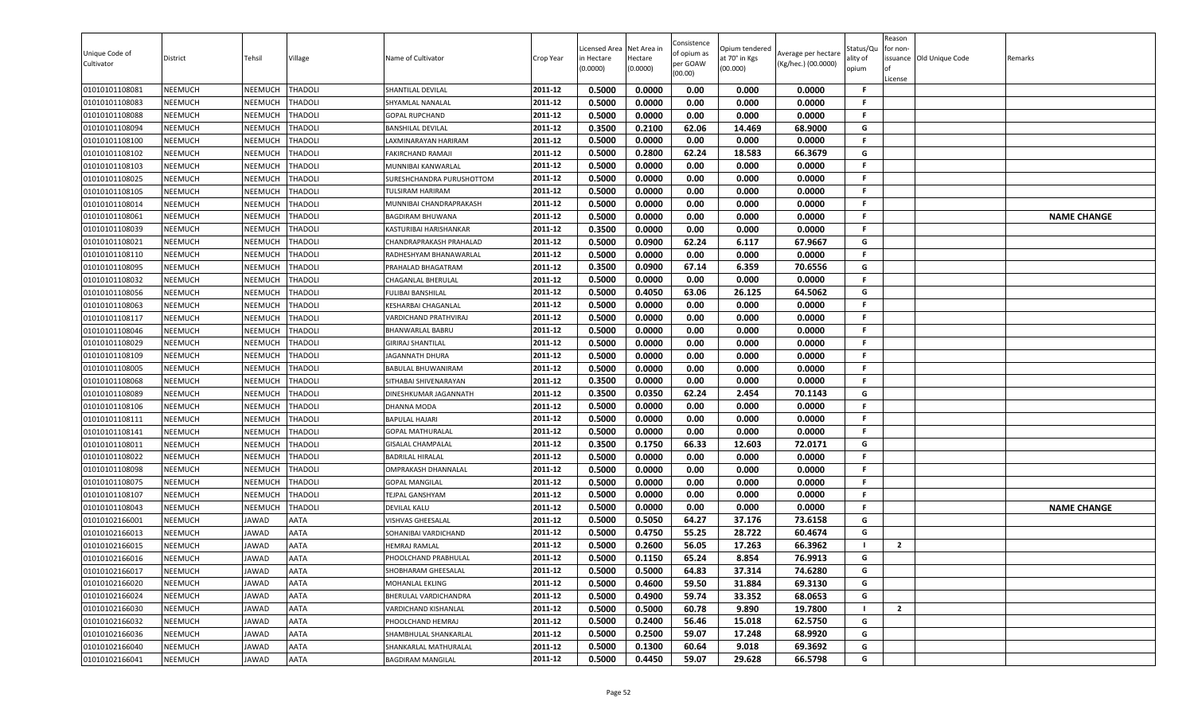| Unique Code of<br>Cultivator     | District                         | Tehsil                    | Village                          | Name of Cultivator                                | Crop Year          | Licensed Area<br>in Hectare<br>(0.0000) | Net Area in<br>Hectare<br>(0.0000) | Consistence<br>of opium as<br>per GOAW<br>(00.00) | Opium tendered<br>at 70° in Kgs<br>(00.000) | Average per hectare<br>(Kg/hec.) (00.0000) | Status/Qu<br>ality of<br>opium | Reason<br>for non-<br>ssuance Old Unique Code<br>License | Remarks            |
|----------------------------------|----------------------------------|---------------------------|----------------------------------|---------------------------------------------------|--------------------|-----------------------------------------|------------------------------------|---------------------------------------------------|---------------------------------------------|--------------------------------------------|--------------------------------|----------------------------------------------------------|--------------------|
| 01010101108081                   | <b>NEEMUCH</b>                   | NEEMUCH                   | <b>THADOLI</b>                   | SHANTILAL DEVILAL                                 | 2011-12            | 0.5000                                  | 0.0000                             | 0.00                                              | 0.000                                       | 0.0000                                     | -F                             |                                                          |                    |
| 01010101108083                   | <b>NEEMUCH</b>                   | NEEMUCH                   | THADOLI                          | SHYAMLAL NANALAL                                  | 2011-12            | 0.5000                                  | 0.0000                             | 0.00                                              | 0.000                                       | 0.0000                                     | -F                             |                                                          |                    |
| 01010101108088                   | NEEMUCH                          | NEEMUCH                   | <b>THADOLI</b>                   | <b>GOPAL RUPCHAND</b>                             | 2011-12            | 0.5000                                  | 0.0000                             | 0.00                                              | 0.000                                       | 0.0000                                     | F.                             |                                                          |                    |
| 01010101108094                   | <b>NEEMUCH</b>                   | NEEMUCH                   | <b>THADOLI</b>                   | <b>BANSHILAL DEVILAL</b>                          | 2011-12            | 0.3500                                  | 0.2100                             | 62.06                                             | 14.469                                      | 68.9000                                    | G                              |                                                          |                    |
| 01010101108100                   | <b>NEEMUCH</b>                   | NEEMUCH                   | <b>THADOLI</b>                   | AXMINARAYAN HARIRAM                               | 2011-12            | 0.5000                                  | 0.0000                             | 0.00                                              | 0.000                                       | 0.0000                                     | F.                             |                                                          |                    |
| 01010101108102                   | <b>NEEMUCH</b>                   | NEEMUCH                   | <b>THADOLI</b>                   | <b>FAKIRCHAND RAMAJI</b>                          | 2011-12            | 0.5000                                  | 0.2800                             | 62.24                                             | 18.583                                      | 66.3679                                    | G<br>F.                        |                                                          |                    |
| 01010101108103                   | <b>NEEMUCH</b>                   | NEEMUCH                   | <b>THADOLI</b>                   | MUNNIBAI KANWARLAL                                | 2011-12<br>2011-12 | 0.5000                                  | 0.0000                             | 0.00<br>0.00                                      | 0.000                                       | 0.0000                                     | F.                             |                                                          |                    |
| 01010101108025                   | <b>NEEMUCH</b>                   | NEEMUCH                   | <b>THADOLI</b><br><b>THADOLI</b> | SURESHCHANDRA PURUSHOTTOM<br>TULSIRAM HARIRAM     | 2011-12            | 0.5000<br>0.5000                        | 0.0000                             |                                                   | 0.000                                       | 0.0000                                     | F.                             |                                                          |                    |
| 01010101108105                   | <b>NEEMUCH</b>                   | NEEMUCH                   |                                  |                                                   | 2011-12            |                                         | 0.0000                             | 0.00                                              | 0.000                                       | 0.0000                                     | F.                             |                                                          |                    |
| 01010101108014                   | <b>NEEMUCH</b>                   | NEEMUCH                   | <b>THADOLI</b>                   | MUNNIBAI CHANDRAPRAKASH                           | 2011-12            | 0.5000<br>0.5000                        | 0.0000<br>0.0000                   | 0.00<br>0.00                                      | 0.000<br>0.000                              | 0.0000<br>0.0000                           | F.                             |                                                          |                    |
| 01010101108061<br>01010101108039 | <b>NEEMUCH</b><br><b>NEEMUCH</b> | NEEMUCH<br><b>NEEMUCH</b> | THADOLI<br><b>THADOLI</b>        | BAGDIRAM BHUWANA                                  | 2011-12            | 0.3500                                  | 0.0000                             | 0.00                                              | 0.000                                       | 0.0000                                     | F.                             |                                                          | <b>NAME CHANGE</b> |
| 01010101108021                   | <b>NEEMUCH</b>                   | <b>NEEMUCH</b>            | <b>THADOLI</b>                   | KASTURIBAI HARISHANKAR<br>CHANDRAPRAKASH PRAHALAD | 2011-12            | 0.5000                                  | 0.0900                             | 62.24                                             | 6.117                                       | 67.9667                                    | G                              |                                                          |                    |
| 01010101108110                   | <b>NEEMUCH</b>                   | NEEMUCH                   | <b>THADOLI</b>                   | RADHESHYAM BHANAWARLAL                            | 2011-12            | 0.5000                                  | 0.0000                             | 0.00                                              | 0.000                                       | 0.0000                                     | F.                             |                                                          |                    |
| 01010101108095                   | <b>NEEMUCH</b>                   | NEEMUCH                   | <b>THADOLI</b>                   | PRAHALAD BHAGATRAM                                | 2011-12            | 0.3500                                  | 0.0900                             | 67.14                                             | 6.359                                       | 70.6556                                    | G                              |                                                          |                    |
| 01010101108032                   | <b>NEEMUCH</b>                   | NEEMUCH                   | <b>THADOLI</b>                   | CHAGANLAL BHERULAL                                | 2011-12            | 0.5000                                  | 0.0000                             | 0.00                                              | 0.000                                       | 0.0000                                     | F.                             |                                                          |                    |
| 01010101108056                   | <b>NEEMUCH</b>                   | NEEMUCH                   | <b>THADOLI</b>                   | <b>FULIBAI BANSHILAL</b>                          | 2011-12            | 0.5000                                  | 0.4050                             | 63.06                                             | 26.125                                      | 64.5062                                    | G                              |                                                          |                    |
| 01010101108063                   | <b>NEEMUCH</b>                   | NEEMUCH                   | <b>THADOLI</b>                   | KESHARBAI CHAGANLAL                               | 2011-12            | 0.5000                                  | 0.0000                             | 0.00                                              | 0.000                                       | 0.0000                                     | F.                             |                                                          |                    |
| 01010101108117                   | <b>NEEMUCH</b>                   | NEEMUCH                   | <b>THADOLI</b>                   | VARDICHAND PRATHVIRAJ                             | 2011-12            | 0.5000                                  | 0.0000                             | 0.00                                              | 0.000                                       | 0.0000                                     | <b>F</b>                       |                                                          |                    |
| 01010101108046                   | <b>NEEMUCH</b>                   | NEEMUCH                   | <b>THADOLI</b>                   | BHANWARLAL BABRU                                  | 2011-12            | 0.5000                                  | 0.0000                             | 0.00                                              | 0.000                                       | 0.0000                                     | F.                             |                                                          |                    |
| 01010101108029                   | <b>NEEMUCH</b>                   | NEEMUCH                   | <b>THADOLI</b>                   | <b>GIRIRAJ SHANTILAL</b>                          | 2011-12            | 0.5000                                  | 0.0000                             | 0.00                                              | 0.000                                       | 0.0000                                     | F.                             |                                                          |                    |
| 01010101108109                   | <b>NEEMUCH</b>                   | <b>NEEMUCH</b>            | <b>THADOLI</b>                   | <b>JAGANNATH DHURA</b>                            | 2011-12            | 0.5000                                  | 0.0000                             | 0.00                                              | 0.000                                       | 0.0000                                     | F.                             |                                                          |                    |
| 01010101108005                   | <b>NEEMUCH</b>                   | NEEMUCH                   | <b>THADOLI</b>                   | BABULAL BHUWANIRAM                                | 2011-12            | 0.5000                                  | 0.0000                             | 0.00                                              | 0.000                                       | 0.0000                                     | F.                             |                                                          |                    |
| 01010101108068                   | <b>NEEMUCH</b>                   | NEEMUCH                   | <b>THADOLI</b>                   | SITHABAI SHIVENARAYAN                             | 2011-12            | 0.3500                                  | 0.0000                             | 0.00                                              | 0.000                                       | 0.0000                                     | F.                             |                                                          |                    |
| 01010101108089                   | <b>NEEMUCH</b>                   | NEEMUCH                   | <b>THADOLI</b>                   | DINESHKUMAR JAGANNATH                             | 2011-12            | 0.3500                                  | 0.0350                             | 62.24                                             | 2.454                                       | 70.1143                                    | G                              |                                                          |                    |
| 01010101108106                   | <b>NEEMUCH</b>                   | NEEMUCH                   | <b>THADOLI</b>                   | <b>DHANNA MODA</b>                                | 2011-12            | 0.5000                                  | 0.0000                             | 0.00                                              | 0.000                                       | 0.0000                                     | F.                             |                                                          |                    |
| 01010101108111                   | <b>NEEMUCH</b>                   | NEEMUCH                   | <b>THADOLI</b>                   | <b>BAPULAL HAJARI</b>                             | 2011-12            | 0.5000                                  | 0.0000                             | 0.00                                              | 0.000                                       | 0.0000                                     | F.                             |                                                          |                    |
| 01010101108141                   | <b>NEEMUCH</b>                   | NEEMUCH                   | THADOLI                          | <b>GOPAL MATHURALAL</b>                           | 2011-12            | 0.5000                                  | 0.0000                             | 0.00                                              | 0.000                                       | 0.0000                                     | .F                             |                                                          |                    |
| 01010101108011                   | <b>NEEMUCH</b>                   | NEEMUCH                   | THADOLI                          | <b>GISALAL CHAMPALAL</b>                          | 2011-12            | 0.3500                                  | 0.1750                             | 66.33                                             | 12.603                                      | 72.0171                                    | G                              |                                                          |                    |
| 01010101108022                   | <b>NEEMUCH</b>                   | NEEMUCH                   | <b>THADOLI</b>                   | <b>BADRILAL HIRALAL</b>                           | 2011-12            | 0.5000                                  | 0.0000                             | 0.00                                              | 0.000                                       | 0.0000                                     | F.                             |                                                          |                    |
| 01010101108098                   | <b>NEEMUCH</b>                   | NEEMUCH                   | <b>THADOLI</b>                   | <b>OMPRAKASH DHANNALAL</b>                        | 2011-12            | 0.5000                                  | 0.0000                             | 0.00                                              | 0.000                                       | 0.0000                                     | F.                             |                                                          |                    |
| 01010101108075                   | <b>NEEMUCH</b>                   | NEEMUCH                   | <b>THADOLI</b>                   | <b>GOPAL MANGILAL</b>                             | 2011-12            | 0.5000                                  | 0.0000                             | 0.00                                              | 0.000                                       | 0.0000                                     | F.                             |                                                          |                    |
| 01010101108107                   | <b>NEEMUCH</b>                   | NEEMUCH                   | <b>THADOLI</b>                   | TEJPAL GANSHYAM                                   | 2011-12            | 0.5000                                  | 0.0000                             | 0.00                                              | 0.000                                       | 0.0000                                     | -F                             |                                                          |                    |
| 01010101108043                   | <b>NEEMUCH</b>                   | NEEMUCH                   | <b>THADOLI</b>                   | DEVILAL KALU                                      | 2011-12            | 0.5000                                  | 0.0000                             | 0.00                                              | 0.000                                       | 0.0000                                     | F.                             |                                                          | <b>NAME CHANGE</b> |
| 01010102166001                   | <b>NEEMUCH</b>                   | JAWAD                     | <b>AATA</b>                      | <b>VISHVAS GHEESALAL</b>                          | 2011-12            | 0.5000                                  | 0.5050                             | 64.27                                             | 37.176                                      | 73.6158                                    | G                              |                                                          |                    |
| 01010102166013                   | <b>NEEMUCH</b>                   | JAWAD                     | <b>AATA</b>                      | SOHANIBAI VARDICHAND                              | 2011-12            | 0.5000                                  | 0.4750                             | 55.25                                             | 28.722                                      | 60.4674                                    | G                              |                                                          |                    |
| 01010102166015                   | <b>NEEMUCH</b>                   | <b>IAWAD</b>              | AATA                             | HEMRAJ RAMLAL                                     | 2011-12            | 0.5000                                  | 0.2600                             | 56.05                                             | 17.263                                      | 66.3962                                    |                                | $\overline{2}$                                           |                    |
| 01010102166016                   | <b>NEEMUCH</b>                   | JAWAD                     | <b>AATA</b>                      | PHOOLCHAND PRABHULAL                              | 2011-12            | 0.5000                                  | 0.1150                             | 65.24                                             | 8.854                                       | 76.9913                                    | G                              |                                                          |                    |
| 01010102166017                   | <b>NEEMUCH</b>                   | JAWAD                     | <b>AATA</b>                      | SHOBHARAM GHEESALAL                               | 2011-12            | 0.5000                                  | 0.5000                             | 64.83                                             | 37.314                                      | 74.6280                                    | G                              |                                                          |                    |
| 01010102166020                   | <b>NEEMUCH</b>                   | JAWAD                     | <b>AATA</b>                      | MOHANLAL EKLING                                   | 2011-12            | 0.5000                                  | 0.4600                             | 59.50                                             | 31.884                                      | 69.3130                                    | G                              |                                                          |                    |
| 01010102166024                   | <b>NEEMUCH</b>                   | JAWAD                     | <b>AATA</b>                      | BHERULAL VARDICHANDRA                             | 2011-12            | 0.5000                                  | 0.4900                             | 59.74                                             | 33.352                                      | 68.0653                                    | G                              |                                                          |                    |
| 01010102166030                   | <b>NEEMUCH</b>                   | JAWAD                     | AATA                             | VARDICHAND KISHANLAL                              | 2011-12            | 0.5000                                  | 0.5000                             | 60.78                                             | 9.890                                       | 19.7800                                    |                                | $\overline{2}$                                           |                    |
| 01010102166032                   | <b>NEEMUCH</b>                   | JAWAD                     | AATA                             | PHOOLCHAND HEMRAJ                                 | 2011-12            | 0.5000                                  | 0.2400                             | 56.46                                             | 15.018                                      | 62.5750                                    | G                              |                                                          |                    |
| 01010102166036                   | <b>NEEMUCH</b>                   | JAWAD                     | <b>AATA</b>                      | SHAMBHULAL SHANKARLAL                             | 2011-12            | 0.5000                                  | 0.2500                             | 59.07                                             | 17.248                                      | 68.9920                                    | G                              |                                                          |                    |
| 01010102166040                   | <b>NEEMUCH</b>                   | JAWAD                     | <b>AATA</b>                      | SHANKARLAL MATHURALAL                             | 2011-12            | 0.5000                                  | 0.1300                             | 60.64                                             | 9.018                                       | 69.3692                                    | G                              |                                                          |                    |
| 01010102166041                   | <b>NEEMUCH</b>                   | JAWAD                     | AATA                             | <b>BAGDIRAM MANGILAL</b>                          | 2011-12            | 0.5000                                  | 0.4450                             | 59.07                                             | 29.628                                      | 66.5798                                    | G                              |                                                          |                    |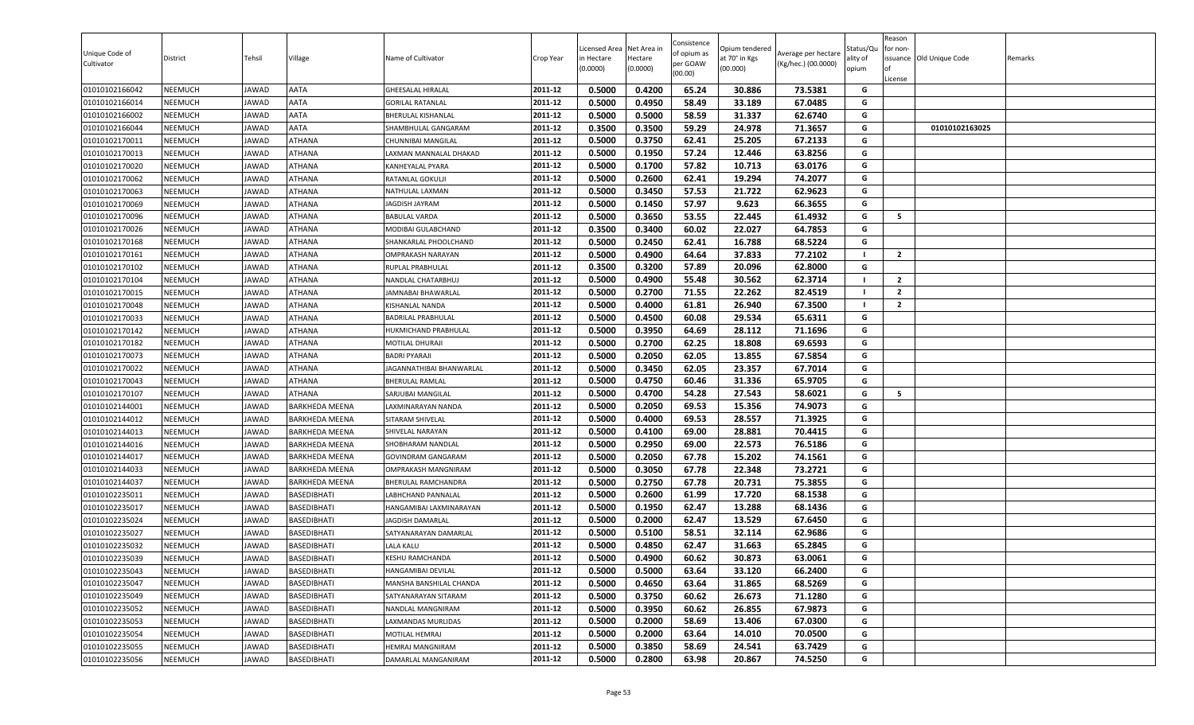|                              |                |              |                       |                           |           | icensed Area | Net Area in | Consistence             | Opium tendered |                                            | Status/Qu | Reason<br>or non- |                         |         |
|------------------------------|----------------|--------------|-----------------------|---------------------------|-----------|--------------|-------------|-------------------------|----------------|--------------------------------------------|-----------|-------------------|-------------------------|---------|
| Unique Code of<br>Cultivator | District       | Tehsil       | Village               | Name of Cultivator        | Crop Year | in Hectare   | Hectare     | of opium as<br>per GOAW | at 70° in Kgs  | Average per hectare<br>(Kg/hec.) (00.0000) | ılity of  |                   | ssuance Old Unique Code | Remarks |
|                              |                |              |                       |                           |           | (0.0000)     | (0.0000)    | (00.00)                 | (00.000)       |                                            | opium     |                   |                         |         |
| 01010102166042               | <b>NEEMUCH</b> | JAWAD        | AATA                  | <b>GHEESALAL HIRALAL</b>  | 2011-12   | 0.5000       | 0.4200      | 65.24                   | 30.886         | 73.5381                                    | G         | License           |                         |         |
| 01010102166014               | <b>NEEMUCH</b> | JAWAD        | AATA                  | <b>GORILAL RATANLAL</b>   | 2011-12   | 0.5000       | 0.4950      | 58.49                   | 33.189         | 67.0485                                    | G         |                   |                         |         |
| 01010102166002               | NEEMUCH        | JAWAD        | AATA                  | <b>BHERULAL KISHANLAL</b> | 2011-12   | 0.5000       | 0.5000      | 58.59                   | 31.337         | 62.6740                                    | G         |                   |                         |         |
| 01010102166044               | NEEMUCH        | JAWAD        | AATA                  | SHAMBHULAL GANGARAM       | 2011-12   | 0.3500       | 0.3500      | 59.29                   | 24.978         | 71.3657                                    | G         |                   | 01010102163025          |         |
| 01010102170011               | NEEMUCH        | <b>JAWAD</b> | ATHANA                | CHUNNIBAI MANGILAL        | 2011-12   | 0.5000       | 0.3750      | 62.41                   | 25.205         | 67.2133                                    | G         |                   |                         |         |
| 01010102170013               | <b>NEEMUCH</b> | JAWAD        | ATHANA                | LAXMAN MANNALAL DHAKAD    | 2011-12   | 0.5000       | 0.1950      | 57.24                   | 12.446         | 63.8256                                    | G         |                   |                         |         |
| 01010102170020               | <b>NEEMUCH</b> | JAWAD        | <b>ATHANA</b>         | KANHEYALAL PYARA          | 2011-12   | 0.5000       | 0.1700      | 57.82                   | 10.713         | 63.0176                                    | G         |                   |                         |         |
| 01010102170062               | <b>NEEMUCH</b> | JAWAD        | ATHANA                | RATANLAL GOKULJI          | 2011-12   | 0.5000       | 0.2600      | 62.41                   | 19.294         | 74.2077                                    | G         |                   |                         |         |
| 01010102170063               | <b>NEEMUCH</b> | JAWAD        | ATHANA                | NATHULAL LAXMAN           | 2011-12   | 0.5000       | 0.3450      | 57.53                   | 21.722         | 62.9623                                    | G         |                   |                         |         |
| 01010102170069               | <b>NEEMUCH</b> | JAWAD        | ATHANA                | <b>JAGDISH JAYRAM</b>     | 2011-12   | 0.5000       | 0.1450      | 57.97                   | 9.623          | 66.3655                                    | G         |                   |                         |         |
| 01010102170096               | <b>NEEMUCH</b> | JAWAD        | ATHANA                | <b>BABULAL VARDA</b>      | 2011-12   | 0.5000       | 0.3650      | 53.55                   | 22.445         | 61.4932                                    | G         | 5                 |                         |         |
| 01010102170026               | <b>NEEMUCH</b> | <b>JAWAD</b> | ATHANA                | MODIBAI GULABCHAND        | 2011-12   | 0.3500       | 0.3400      | 60.02                   | 22.027         | 64.7853                                    | G         |                   |                         |         |
| 01010102170168               | <b>NEEMUCH</b> | JAWAD        | ATHANA                | SHANKARLAL PHOOLCHAND     | 2011-12   | 0.5000       | 0.2450      | 62.41                   | 16.788         | 68.5224                                    | G         |                   |                         |         |
| 01010102170161               | NEEMUCH        | JAWAD        | ATHANA                | <b>OMPRAKASH NARAYAN</b>  | 2011-12   | 0.5000       | 0.4900      | 64.64                   | 37.833         | 77.2102                                    |           | $\overline{2}$    |                         |         |
| 01010102170102               | <b>NEEMUCH</b> | JAWAD        | ATHANA                | RUPLAL PRABHULAL          | 2011-12   | 0.3500       | 0.3200      | 57.89                   | 20.096         | 62.8000                                    | G         |                   |                         |         |
| 01010102170104               | <b>NEEMUCH</b> | JAWAD        | ATHANA                | NANDLAL CHATARBHUJ        | 2011-12   | 0.5000       | 0.4900      | 55.48                   | 30.562         | 62.3714                                    |           | $\overline{2}$    |                         |         |
| 01010102170015               | <b>NEEMUCH</b> | JAWAD        | ATHANA                | JAMNABAI BHAWARLAL        | 2011-12   | 0.5000       | 0.2700      | 71.55                   | 22.262         | 82.4519                                    | - 1       | $\overline{2}$    |                         |         |
| 01010102170048               | <b>NEEMUCH</b> | JAWAD        | ATHANA                | KISHANLAL NANDA           | 2011-12   | 0.5000       | 0.4000      | 61.81                   | 26.940         | 67.3500                                    |           | $\mathbf{2}$      |                         |         |
| 01010102170033               | <b>NEEMUCH</b> | JAWAD        | ATHANA                | <b>BADRILAL PRABHULAL</b> | 2011-12   | 0.5000       | 0.4500      | 60.08                   | 29.534         | 65.6311                                    | G         |                   |                         |         |
| 01010102170142               | NEEMUCH        | JAWAD        | ATHANA                | HUKMICHAND PRABHULAL      | 2011-12   | 0.5000       | 0.3950      | 64.69                   | 28.112         | 71.1696                                    | G         |                   |                         |         |
| 01010102170182               | NEEMUCH        | <b>JAWAD</b> | ATHANA                | <b>MOTILAL DHURAJI</b>    | 2011-12   | 0.5000       | 0.2700      | 62.25                   | 18.808         | 69.6593                                    | G         |                   |                         |         |
| 01010102170073               | <b>NEEMUCH</b> | JAWAD        | ATHANA                | <b>BADRI PYARAJI</b>      | 2011-12   | 0.5000       | 0.2050      | 62.05                   | 13.855         | 67.5854                                    | G         |                   |                         |         |
| 01010102170022               | NEEMUCH        | <b>JAWAD</b> | ATHANA                | JAGANNATHIBAI BHANWARLAL  | 2011-12   | 0.5000       | 0.3450      | 62.05                   | 23.357         | 67.7014                                    | G         |                   |                         |         |
| 01010102170043               | <b>NEEMUCH</b> | JAWAD        | ATHANA                | <b>BHERULAL RAMLAL</b>    | 2011-12   | 0.5000       | 0.4750      | 60.46                   | 31.336         | 65.9705                                    | G         |                   |                         |         |
| 01010102170107               | <b>NEEMUCH</b> | JAWAD        | ATHANA                | SARJUBAI MANGILAL         | 2011-12   | 0.5000       | 0.4700      | 54.28                   | 27.543         | 58.6021                                    | G         | -5                |                         |         |
| 01010102144001               | <b>NEEMUCH</b> | JAWAD        | <b>BARKHEDA MEENA</b> | LAXMINARAYAN NANDA        | 2011-12   | 0.5000       | 0.2050      | 69.53                   | 15.356         | 74.9073                                    | G         |                   |                         |         |
| 01010102144012               | NEEMUCH        | <b>JAWAD</b> | <b>BARKHEDA MEENA</b> | SITARAM SHIVELAL          | 2011-12   | 0.5000       | 0.4000      | 69.53                   | 28.557         | 71.3925                                    | G         |                   |                         |         |
| 01010102144013               | NEEMUCH        | <b>JAWAD</b> | BARKHEDA MEENA        | SHIVELAL NARAYAN          | 2011-12   | 0.5000       | 0.4100      | 69.00                   | 28.881         | 70.4415                                    | G         |                   |                         |         |
| 01010102144016               | <b>NEEMUCH</b> | JAWAD        | <b>BARKHEDA MEENA</b> | SHOBHARAM NANDLAL         | 2011-12   | 0.5000       | 0.2950      | 69.00                   | 22.573         | 76.5186                                    | G         |                   |                         |         |
| 01010102144017               | NEEMUCH        | <b>JAWAD</b> | <b>BARKHEDA MEENA</b> | <b>GOVINDRAM GANGARAM</b> | 2011-12   | 0.5000       | 0.2050      | 67.78                   | 15.202         | 74.1561                                    | G         |                   |                         |         |
| 01010102144033               | <b>NEEMUCH</b> | JAWAD        | <b>BARKHEDA MEENA</b> | OMPRAKASH MANGNIRAM       | 2011-12   | 0.5000       | 0.3050      | 67.78                   | 22.348         | 73.2721                                    | G         |                   |                         |         |
| 01010102144037               | <b>NEEMUCH</b> | JAWAD        | <b>BARKHEDA MEENA</b> | BHERULAL RAMCHANDRA       | 2011-12   | 0.5000       | 0.2750      | 67.78                   | 20.731         | 75.3855                                    | G         |                   |                         |         |
| 01010102235011               | <b>NEEMUCH</b> | JAWAD        | BASEDIBHATI           | LABHCHAND PANNALAL        | 2011-12   | 0.5000       | 0.2600      | 61.99                   | 17.720         | 68.1538                                    | G         |                   |                         |         |
| 01010102235017               | <b>NEEMUCH</b> | JAWAD        | BASEDIBHATI           | HANGAMIBAI LAXMINARAYAN   | 2011-12   | 0.5000       | 0.1950      | 62.47                   | 13.288         | 68.1436                                    | G         |                   |                         |         |
| 01010102235024               | <b>NEEMUCH</b> | JAWAD        | BASEDIBHATI           | JAGDISH DAMARLAL          | 2011-12   | 0.5000       | 0.2000      | 62.47                   | 13.529         | 67.6450                                    | G         |                   |                         |         |
| 01010102235027               | NEEMUCH        | JAWAD        | BASEDIBHATI           | SATYANARAYAN DAMARLAL     | 2011-12   | 0.5000       | 0.5100      | 58.51                   | 32.114         | 62.9686                                    | G         |                   |                         |         |
| 01010102235032               | NEEMUCH        | AWAD         | BASEDIBHATI           | <b>LALA KALU</b>          | 2011-12   | 0.5000       | 0.4850      | 62.47                   | 31.663         | 65.2845                                    | G         |                   |                         |         |
| 01010102235039               | NEEMUCH        | <b>JAWAD</b> | BASEDIBHATI           | KESHU RAMCHANDA           | 2011-12   | 0.5000       | 0.4900      | 60.62                   | 30.873         | 63.0061                                    | G         |                   |                         |         |
| 01010102235043               | <b>NEEMUCH</b> | <b>JAWAD</b> | BASEDIBHATI           | HANGAMIBAI DEVILAL        | 2011-12   | 0.5000       | 0.5000      | 63.64                   | 33.120         | 66.2400                                    | G         |                   |                         |         |
| 01010102235047               | <b>NEEMUCH</b> | JAWAD        | BASEDIBHATI           | MANSHA BANSHILAL CHANDA   | 2011-12   | 0.5000       | 0.4650      | 63.64                   | 31.865         | 68.5269                                    | G         |                   |                         |         |
| 01010102235049               | NEEMUCH        | <b>JAWAD</b> | <b>BASEDIBHATI</b>    | SATYANARAYAN SITARAM      | 2011-12   | 0.5000       | 0.3750      | 60.62                   | 26.673         | 71.1280                                    | G         |                   |                         |         |
| 01010102235052               | NEEMUCH        | JAWAD        | BASEDIBHATI           | NANDLAL MANGNIRAM         | 2011-12   | 0.5000       | 0.3950      | 60.62                   | 26.855         | 67.9873                                    | G         |                   |                         |         |
| 01010102235053               | <b>NEEMUCH</b> | <b>JAWAD</b> | <b>BASEDIBHATI</b>    | LAXMANDAS MURLIDAS        | 2011-12   | 0.5000       | 0.2000      | 58.69                   | 13.406         | 67.0300                                    | G         |                   |                         |         |
| 01010102235054               | <b>NEEMUCH</b> | JAWAD        | BASEDIBHATI           | MOTILAL HEMRAJ            | 2011-12   | 0.5000       | 0.2000      | 63.64                   | 14.010         | 70.0500                                    | G         |                   |                         |         |
| 01010102235055               | <b>NEEMUCH</b> | <b>JAWAD</b> | BASEDIBHATI           | <b>HEMRAJ MANGNIRAM</b>   | 2011-12   | 0.5000       | 0.3850      | 58.69                   | 24.541         | 63.7429                                    | G         |                   |                         |         |
| 01010102235056               | NEEMUCH        | <b>JAWAD</b> | <b>BASEDIBHATI</b>    | DAMARLAL MANGANIRAM       | 2011-12   | 0.5000       | 0.2800      | 63.98                   | 20.867         | 74.5250                                    | G         |                   |                         |         |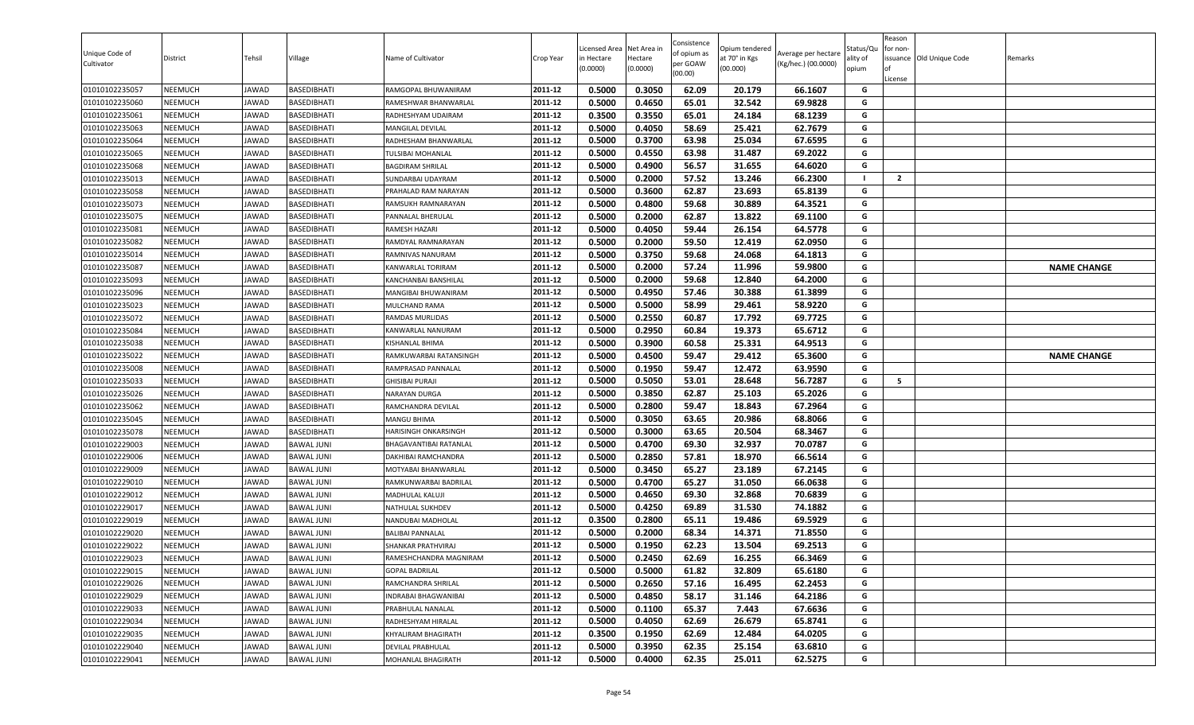| Unique Code of<br>Cultivator     | District                         | Tehsil         | Village                    | Name of Cultivator                    | Crop Year          | Licensed Area<br>in Hectare<br>(0.0000) | Net Area in<br>Hectare<br>(0.0000) | Consistence<br>of opium as<br>per GOAW<br>(00.00) | Opium tendered<br>at 70° in Kgs<br>(00.000) | Average per hectare<br>(Kg/hec.) (00.0000) | Status/Qu<br>ality of<br>opium | Reason<br>for non-<br>ssuance Old Unique Code<br>License | Remarks            |
|----------------------------------|----------------------------------|----------------|----------------------------|---------------------------------------|--------------------|-----------------------------------------|------------------------------------|---------------------------------------------------|---------------------------------------------|--------------------------------------------|--------------------------------|----------------------------------------------------------|--------------------|
| 01010102235057                   | <b>NEEMUCH</b>                   | JAWAD          | BASEDIBHATI                | RAMGOPAL BHUWANIRAM                   | 2011-12            | 0.5000                                  | 0.3050                             | 62.09                                             | 20.179                                      | 66.1607                                    | G                              |                                                          |                    |
| 01010102235060                   | <b>NEEMUCH</b>                   | JAWAD          | BASEDIBHATI                | RAMESHWAR BHANWARLAL                  | 2011-12            | 0.5000                                  | 0.4650                             | 65.01                                             | 32.542                                      | 69.9828                                    | G                              |                                                          |                    |
| 01010102235061                   | <b>NEEMUCH</b>                   | JAWAD          | BASEDIBHATI                | RADHESHYAM UDAIRAM                    | 2011-12            | 0.3500                                  | 0.3550                             | 65.01                                             | 24.184                                      | 68.1239                                    | G                              |                                                          |                    |
| 01010102235063                   | <b>NEEMUCH</b>                   | JAWAD          | BASEDIBHATI                | MANGILAL DEVILAL                      | 2011-12            | 0.5000                                  | 0.4050                             | 58.69                                             | 25.421                                      | 62.7679                                    | G                              |                                                          |                    |
| 01010102235064                   | <b>NEEMUCH</b>                   | JAWAD          | BASEDIBHATI                | RADHESHAM BHANWARLAL                  | 2011-12            | 0.5000                                  | 0.3700                             | 63.98                                             | 25.034                                      | 67.6595                                    | G                              |                                                          |                    |
| 01010102235065                   | <b>NEEMUCH</b>                   | JAWAD          | BASEDIBHATI                | TULSIBAI MOHANLAL                     | 2011-12            | 0.5000                                  | 0.4550                             | 63.98                                             | 31.487                                      | 69.2022                                    | G                              |                                                          |                    |
| 01010102235068                   | <b>NEEMUCH</b>                   | JAWAD          | BASEDIBHATI                | <b>BAGDIRAM SHRILAL</b>               | 2011-12            | 0.5000                                  | 0.4900                             | 56.57                                             | 31.655                                      | 64.6020                                    | G                              |                                                          |                    |
| 01010102235013                   | <b>NEEMUCH</b>                   | JAWAD          | BASEDIBHATI                | SUNDARBAI UDAYRAM                     | 2011-12            | 0.5000                                  | 0.2000                             | 57.52                                             | 13.246                                      | 66.2300                                    |                                | $\overline{2}$                                           |                    |
| 01010102235058                   | <b>NEEMUCH</b>                   | JAWAD          | BASEDIBHATI                | PRAHALAD RAM NARAYAN                  | 2011-12            | 0.5000                                  | 0.3600                             | 62.87                                             | 23.693                                      | 65.8139                                    | G                              |                                                          |                    |
| 01010102235073                   | <b>NEEMUCH</b>                   | JAWAD          | BASEDIBHATI                | RAMSUKH RAMNARAYAN                    | 2011-12            | 0.5000                                  | 0.4800                             | 59.68                                             | 30.889                                      | 64.3521                                    | G                              |                                                          |                    |
| 01010102235075                   | <b>NEEMUCH</b>                   | JAWAD          | BASEDIBHATI                | PANNALAL BHERULAL                     | 2011-12<br>2011-12 | 0.5000                                  | 0.2000                             | 62.87                                             | 13.822                                      | 69.1100                                    | G<br>G                         |                                                          |                    |
| 01010102235081                   | <b>NEEMUCH</b><br><b>NEEMUCH</b> | JAWAD          | BASEDIBHATI<br>BASEDIBHATI | RAMESH HAZARI                         | 2011-12            | 0.5000                                  | 0.4050<br>0.2000                   | 59.44<br>59.50                                    | 26.154                                      | 64.5778<br>62.0950                         | G                              |                                                          |                    |
| 01010102235082                   |                                  | JAWAD          |                            | RAMDYAL RAMNARAYAN                    | 2011-12            | 0.5000<br>0.5000                        | 0.3750                             |                                                   | 12.419                                      | 64.1813                                    | G                              |                                                          |                    |
| 01010102235014<br>01010102235087 | <b>NEEMUCH</b><br><b>NEEMUCH</b> | JAWAD<br>JAWAD | BASEDIBHATI<br>BASEDIBHATI | RAMNIVAS NANURAM<br>KANWARLAL TORIRAM | 2011-12            | 0.5000                                  | 0.2000                             | 59.68<br>57.24                                    | 24.068                                      | 59.9800                                    | G                              |                                                          |                    |
| 01010102235093                   | <b>NEEMUCH</b>                   | JAWAD          | BASEDIBHATI                | KANCHANBAI BANSHILAL                  | 2011-12            | 0.5000                                  | 0.2000                             | 59.68                                             | 11.996<br>12.840                            | 64.2000                                    | G                              |                                                          | <b>NAME CHANGE</b> |
| 01010102235096                   | <b>NEEMUCH</b>                   | JAWAD          | BASEDIBHATI                | MANGIBAI BHUWANIRAM                   | 2011-12            | 0.5000                                  | 0.4950                             | 57.46                                             | 30.388                                      | 61.3899                                    | G                              |                                                          |                    |
| 01010102235023                   | <b>NEEMUCH</b>                   | JAWAD          | BASEDIBHATI                | MULCHAND RAMA                         | 2011-12            | 0.5000                                  | 0.5000                             | 58.99                                             | 29.461                                      | 58.9220                                    | G                              |                                                          |                    |
| 01010102235072                   | <b>NEEMUCH</b>                   | JAWAD          | BASEDIBHATI                | RAMDAS MURLIDAS                       | 2011-12            | 0.5000                                  | 0.2550                             | 60.87                                             | 17.792                                      | 69.7725                                    | G                              |                                                          |                    |
| 01010102235084                   | <b>NEEMUCH</b>                   | JAWAD          | BASEDIBHATI                | KANWARLAL NANURAM                     | 2011-12            | 0.5000                                  | 0.2950                             | 60.84                                             | 19.373                                      | 65.6712                                    | G                              |                                                          |                    |
| 01010102235038                   | <b>NEEMUCH</b>                   | JAWAD          | BASEDIBHATI                | KISHANLAL BHIMA                       | 2011-12            | 0.5000                                  | 0.3900                             | 60.58                                             | 25.331                                      | 64.9513                                    | G                              |                                                          |                    |
| 01010102235022                   | <b>NEEMUCH</b>                   | JAWAD          | BASEDIBHATI                | RAMKUWARBAI RATANSINGH                | 2011-12            | 0.5000                                  | 0.4500                             | 59.47                                             | 29.412                                      | 65.3600                                    | G                              |                                                          | <b>NAME CHANGE</b> |
| 01010102235008                   | <b>NEEMUCH</b>                   | JAWAD          | BASEDIBHATI                | RAMPRASAD PANNALAL                    | 2011-12            | 0.5000                                  | 0.1950                             | 59.47                                             | 12.472                                      | 63.9590                                    | G                              |                                                          |                    |
| 01010102235033                   | <b>NEEMUCH</b>                   | JAWAD          | BASEDIBHATI                | <b>GHISIBAI PURAJI</b>                | 2011-12            | 0.5000                                  | 0.5050                             | 53.01                                             | 28.648                                      | 56.7287                                    | G                              | -5                                                       |                    |
| 01010102235026                   | <b>NEEMUCH</b>                   | JAWAD          | BASEDIBHATI                | NARAYAN DURGA                         | 2011-12            | 0.5000                                  | 0.3850                             | 62.87                                             | 25.103                                      | 65.2026                                    | G                              |                                                          |                    |
| 01010102235062                   | <b>NEEMUCH</b>                   | JAWAD          | BASEDIBHATI                | RAMCHANDRA DEVILAL                    | 2011-12            | 0.5000                                  | 0.2800                             | 59.47                                             | 18.843                                      | 67.2964                                    | G                              |                                                          |                    |
| 01010102235045                   | <b>NEEMUCH</b>                   | JAWAD          | BASEDIBHATI                | MANGU BHIMA                           | 2011-12            | 0.5000                                  | 0.3050                             | 63.65                                             | 20.986                                      | 68.8066                                    | G                              |                                                          |                    |
| 01010102235078                   | <b>NEEMUCH</b>                   | JAWAD          | BASEDIBHATI                | HARISINGH ONKARSINGH                  | 2011-12            | 0.5000                                  | 0.3000                             | 63.65                                             | 20.504                                      | 68.3467                                    | G                              |                                                          |                    |
| 01010102229003                   | <b>NEEMUCH</b>                   | JAWAD          | <b>BAWAL JUNI</b>          | BHAGAVANTIBAI RATANLAL                | 2011-12            | 0.5000                                  | 0.4700                             | 69.30                                             | 32.937                                      | 70.0787                                    | G                              |                                                          |                    |
| 01010102229006                   | <b>NEEMUCH</b>                   | JAWAD          | <b>BAWAL JUNI</b>          | DAKHIBAI RAMCHANDRA                   | 2011-12            | 0.5000                                  | 0.2850                             | 57.81                                             | 18.970                                      | 66.5614                                    | G                              |                                                          |                    |
| 01010102229009                   | <b>NEEMUCH</b>                   | JAWAD          | <b>BAWAL JUNI</b>          | MOTYABAI BHANWARLAL                   | 2011-12            | 0.5000                                  | 0.3450                             | 65.27                                             | 23.189                                      | 67.2145                                    | G                              |                                                          |                    |
| 01010102229010                   | <b>NEEMUCH</b>                   | JAWAD          | <b>BAWAL JUNI</b>          | RAMKUNWARBAI BADRILAL                 | 2011-12            | 0.5000                                  | 0.4700                             | 65.27                                             | 31.050                                      | 66.0638                                    | G                              |                                                          |                    |
| 01010102229012                   | <b>NEEMUCH</b>                   | JAWAD          | <b>BAWAL JUNI</b>          | <b>MADHULAL KALUJI</b>                | 2011-12            | 0.5000                                  | 0.4650                             | 69.30                                             | 32.868                                      | 70.6839                                    | G                              |                                                          |                    |
| 01010102229017                   | <b>NEEMUCH</b>                   | JAWAD          | <b>BAWAL JUNI</b>          | NATHULAL SUKHDEV                      | 2011-12            | 0.5000                                  | 0.4250                             | 69.89                                             | 31.530                                      | 74.1882                                    | G                              |                                                          |                    |
| 01010102229019                   | <b>NEEMUCH</b>                   | JAWAD          | <b>BAWAL JUNI</b>          | NANDUBAI MADHOLAL                     | 2011-12            | 0.3500                                  | 0.2800                             | 65.11                                             | 19.486                                      | 69.5929                                    | G                              |                                                          |                    |
| 01010102229020                   | <b>NEEMUCH</b>                   | JAWAD          | <b>BAWAL JUNI</b>          | <b>BALIBAI PANNALAL</b>               | 2011-12            | 0.5000                                  | 0.2000                             | 68.34                                             | 14.371                                      | 71.8550                                    | G                              |                                                          |                    |
| 01010102229022                   | <b>NEEMUCH</b>                   | <b>IAWAD</b>   | <b>BAWAL JUNI</b>          | SHANKAR PRATHVIRAJ                    | 2011-12            | 0.5000                                  | 0.1950                             | 62.23                                             | 13.504                                      | 69.2513                                    | G                              |                                                          |                    |
| 01010102229023                   | <b>NEEMUCH</b>                   | JAWAD          | <b>BAWAL JUNI</b>          | RAMESHCHANDRA MAGNIRAM                | 2011-12            | 0.5000                                  | 0.2450                             | 62.69                                             | 16.255                                      | 66.3469                                    | G                              |                                                          |                    |
| 01010102229015                   | <b>NEEMUCH</b>                   | JAWAD          | <b>BAWAL JUNI</b>          | <b>GOPAL BADRILAL</b>                 | 2011-12            | 0.5000                                  | 0.5000                             | 61.82                                             | 32.809                                      | 65.6180                                    | G                              |                                                          |                    |
| 01010102229026                   | <b>NEEMUCH</b>                   | JAWAD          | <b>BAWAL JUNI</b>          | RAMCHANDRA SHRILAL                    | 2011-12            | 0.5000                                  | 0.2650                             | 57.16                                             | 16.495                                      | 62.2453                                    | G                              |                                                          |                    |
| 01010102229029                   | <b>NEEMUCH</b>                   | JAWAD          | <b>BAWAL JUNI</b>          | <b>INDRABAI BHAGWANIBAI</b>           | 2011-12            | 0.5000                                  | 0.4850                             | 58.17                                             | 31.146                                      | 64.2186                                    | G                              |                                                          |                    |
| 01010102229033                   | <b>NEEMUCH</b>                   | JAWAD          | <b>BAWAL JUNI</b>          | PRABHULAL NANALAL                     | 2011-12            | 0.5000                                  | 0.1100                             | 65.37                                             | 7.443                                       | 67.6636                                    | G                              |                                                          |                    |
| 01010102229034                   | <b>NEEMUCH</b>                   | JAWAD          | <b>BAWAL JUNI</b>          | RADHESHYAM HIRALAL                    | 2011-12            | 0.5000                                  | 0.4050                             | 62.69                                             | 26.679                                      | 65.8741                                    | G                              |                                                          |                    |
| 01010102229035                   | <b>NEEMUCH</b>                   | JAWAD          | <b>BAWAL JUNI</b>          | KHYALIRAM BHAGIRATH                   | 2011-12            | 0.3500                                  | 0.1950                             | 62.69                                             | 12.484                                      | 64.0205                                    | G                              |                                                          |                    |
| 01010102229040                   | <b>NEEMUCH</b>                   | JAWAD          | <b>BAWAL JUNI</b>          | DEVILAL PRABHULAL                     | 2011-12            | 0.5000                                  | 0.3950                             | 62.35                                             | 25.154                                      | 63.6810                                    | G                              |                                                          |                    |
| 01010102229041                   | <b>NEEMUCH</b>                   | JAWAD          | <b>BAWAL JUNI</b>          | MOHANLAL BHAGIRATH                    | 2011-12            | 0.5000                                  | 0.4000                             | 62.35                                             | 25.011                                      | 62.5275                                    | G                              |                                                          |                    |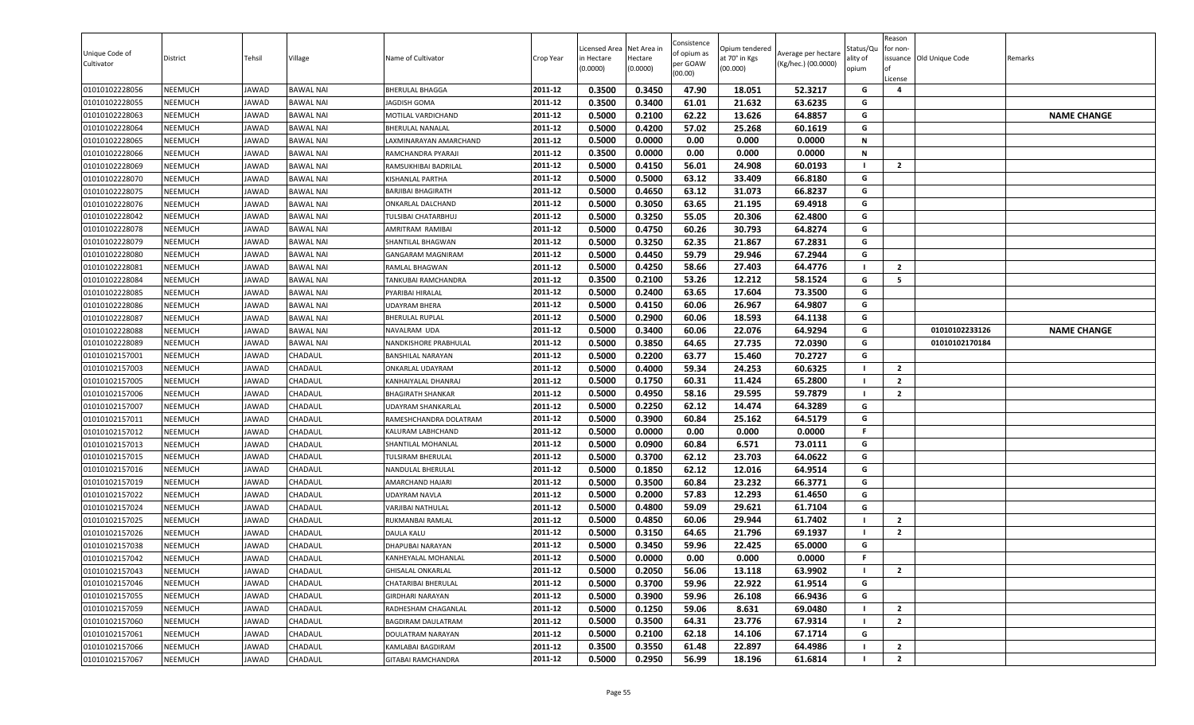| Unique Code of<br>Cultivator     | District                         | Tehsil         | Village                              | Name of Cultivator                    | Crop Year          | Licensed Area<br>in Hectare<br>(0.0000) | Net Area in<br>Hectare<br>(0.0000) | Consistence<br>of opium as<br>per GOAW<br>(00.00) | Opium tendered<br>at 70° in Kgs<br>(00.000) | Average per hectare<br>(Kg/hec.) (00.0000) | Status/Qu<br>ality of<br>opium | Reason<br>for non-<br>ssuance Old Unique Code<br>License | Remarks            |
|----------------------------------|----------------------------------|----------------|--------------------------------------|---------------------------------------|--------------------|-----------------------------------------|------------------------------------|---------------------------------------------------|---------------------------------------------|--------------------------------------------|--------------------------------|----------------------------------------------------------|--------------------|
| 01010102228056                   | <b>NEEMUCH</b>                   | JAWAD          | <b>BAWAL NAI</b>                     | <b>BHERULAL BHAGGA</b>                | 2011-12            | 0.3500                                  | 0.3450                             | 47.90                                             | 18.051                                      | 52.3217                                    | G                              | 4                                                        |                    |
| 01010102228055                   | <b>NEEMUCH</b>                   | JAWAD          | <b>BAWAL NAI</b>                     | IAGDISH GOMA                          | 2011-12            | 0.3500                                  | 0.3400                             | 61.01                                             | 21.632                                      | 63.6235                                    | G                              |                                                          |                    |
| 01010102228063                   | <b>NEEMUCH</b>                   | JAWAD          | <b>BAWAL NAI</b>                     | MOTILAL VARDICHAND                    | 2011-12            | 0.5000                                  | 0.2100                             | 62.22                                             | 13.626                                      | 64.8857                                    | G                              |                                                          | <b>NAME CHANGE</b> |
| 01010102228064                   | <b>NEEMUCH</b>                   | JAWAD          | <b>BAWAL NAI</b>                     | BHERULAL NANALAL                      | 2011-12            | 0.5000                                  | 0.4200                             | 57.02                                             | 25.268                                      | 60.1619                                    | G                              |                                                          |                    |
| 01010102228065                   | <b>NEEMUCH</b>                   | JAWAD          | <b>BAWAL NAI</b>                     | AXMINARAYAN AMARCHAND                 | 2011-12            | 0.5000                                  | 0.0000                             | 0.00                                              | 0.000                                       | 0.0000                                     | N                              |                                                          |                    |
| 01010102228066                   | <b>NEEMUCH</b>                   | JAWAD          | <b>BAWAL NAI</b>                     | RAMCHANDRA PYARAJI                    | 2011-12            | 0.3500                                  | 0.0000                             | 0.00                                              | 0.000                                       | 0.0000                                     | N                              |                                                          |                    |
| 01010102228069                   | <b>NEEMUCH</b>                   | JAWAD          | <b>BAWAL NAI</b>                     | RAMSUKHIBAI BADRILAL                  | 2011-12            | 0.5000                                  | 0.4150                             | 56.01                                             | 24.908                                      | 60.0193                                    |                                | $\overline{2}$                                           |                    |
| 01010102228070                   | <b>NEEMUCH</b>                   | JAWAD          | <b>BAWAL NAI</b>                     | KISHANLAL PARTHA                      | 2011-12            | 0.5000                                  | 0.5000                             | 63.12                                             | 33.409                                      | 66.8180                                    | G                              |                                                          |                    |
| 01010102228075                   | <b>NEEMUCH</b>                   | JAWAD          | <b>BAWAL NAI</b>                     | <b>BARJIBAI BHAGIRATH</b>             | 2011-12<br>2011-12 | 0.5000                                  | 0.4650                             | 63.12                                             | 31.073                                      | 66.8237                                    | G                              |                                                          |                    |
| 01010102228076                   | <b>NEEMUCH</b>                   | JAWAD          | <b>BAWAL NAI</b>                     | ONKARLAL DALCHAND                     |                    | 0.5000                                  | 0.3050                             | 63.65                                             | 21.195                                      | 69.4918                                    | G<br>G                         |                                                          |                    |
| 01010102228042                   | <b>NEEMUCH</b>                   | JAWAD          | <b>BAWAL NAI</b>                     | TULSIBAI CHATARBHUJ                   | 2011-12<br>2011-12 | 0.5000                                  | 0.3250                             | 55.05                                             | 20.306                                      | 62.4800                                    | G                              |                                                          |                    |
| 01010102228078<br>01010102228079 | <b>NEEMUCH</b><br><b>NEEMUCH</b> | JAWAD          | <b>BAWAL NAI</b>                     | AMRITRAM RAMIBAI                      | 2011-12            | 0.5000                                  | 0.4750<br>0.3250                   | 60.26<br>62.35                                    | 30.793<br>21.867                            | 64.8274<br>67.2831                         | G                              |                                                          |                    |
|                                  |                                  | JAWAD          | <b>BAWAL NAI</b>                     | SHANTILAL BHAGWAN                     | 2011-12            | 0.5000<br>0.5000                        | 0.4450                             | 59.79                                             |                                             |                                            | G                              |                                                          |                    |
| 01010102228080<br>01010102228081 | <b>NEEMUCH</b><br><b>NEEMUCH</b> | JAWAD<br>JAWAD | <b>BAWAL NAI</b><br><b>BAWAL NAI</b> | GANGARAM MAGNIRAM                     | 2011-12            | 0.5000                                  | 0.4250                             | 58.66                                             | 29.946<br>27.403                            | 67.2944<br>64.4776                         |                                | $\overline{2}$                                           |                    |
| 01010102228084                   | <b>NEEMUCH</b>                   | JAWAD          | <b>BAWAL NAI</b>                     | RAMLAL BHAGWAN<br>TANKUBAI RAMCHANDRA | 2011-12            | 0.3500                                  | 0.2100                             | 53.26                                             | 12.212                                      | 58.1524                                    | G                              | 5                                                        |                    |
| 01010102228085                   | <b>NEEMUCH</b>                   | JAWAD          | <b>BAWAL NAI</b>                     | PYARIBAI HIRALAL                      | 2011-12            | 0.5000                                  | 0.2400                             | 63.65                                             | 17.604                                      | 73.3500                                    | G                              |                                                          |                    |
| 01010102228086                   | <b>NEEMUCH</b>                   | JAWAD          | <b>BAWAL NAI</b>                     | <b>UDAYRAM BHERA</b>                  | 2011-12            | 0.5000                                  | 0.4150                             | 60.06                                             | 26.967                                      | 64.9807                                    | G                              |                                                          |                    |
| 01010102228087                   | <b>NEEMUCH</b>                   | JAWAD          | <b>BAWAL NAI</b>                     | <b>BHERULAL RUPLAL</b>                | 2011-12            | 0.5000                                  | 0.2900                             | 60.06                                             | 18.593                                      | 64.1138                                    | G                              |                                                          |                    |
| 01010102228088                   | <b>NEEMUCH</b>                   | JAWAD          | <b>BAWAL NAI</b>                     | NAVALRAM UDA                          | 2011-12            | 0.5000                                  | 0.3400                             | 60.06                                             | 22.076                                      | 64.9294                                    | G                              | 01010102233126                                           | <b>NAME CHANGE</b> |
| 01010102228089                   | <b>NEEMUCH</b>                   | JAWAD          | <b>BAWAL NAI</b>                     | NANDKISHORE PRABHULAL                 | 2011-12            | 0.5000                                  | 0.3850                             | 64.65                                             | 27.735                                      | 72.0390                                    | G                              | 01010102170184                                           |                    |
| 01010102157001                   | <b>NEEMUCH</b>                   | JAWAD          | CHADAUL                              | <b>BANSHILAL NARAYAN</b>              | 2011-12            | 0.5000                                  | 0.2200                             | 63.77                                             | 15.460                                      | 70.2727                                    | G                              |                                                          |                    |
| 01010102157003                   | <b>NEEMUCH</b>                   | <b>JAWAD</b>   | CHADAUL                              | ONKARLAL UDAYRAM                      | 2011-12            | 0.5000                                  | 0.4000                             | 59.34                                             | 24.253                                      | 60.6325                                    |                                | $\overline{2}$                                           |                    |
| 01010102157005                   | <b>NEEMUCH</b>                   | JAWAD          | CHADAUL                              | KANHAIYALAL DHANRAJ                   | 2011-12            | 0.5000                                  | 0.1750                             | 60.31                                             | 11.424                                      | 65.2800                                    |                                | $\overline{2}$                                           |                    |
| 01010102157006                   | <b>NEEMUCH</b>                   | JAWAD          | CHADAUL                              | <b>BHAGIRATH SHANKAR</b>              | 2011-12            | 0.5000                                  | 0.4950                             | 58.16                                             | 29.595                                      | 59.7879                                    | - 1                            | $\overline{2}$                                           |                    |
| 01010102157007                   | <b>NEEMUCH</b>                   | JAWAD          | CHADAUL                              | <b>UDAYRAM SHANKARLAL</b>             | 2011-12            | 0.5000                                  | 0.2250                             | 62.12                                             | 14.474                                      | 64.3289                                    | G                              |                                                          |                    |
| 01010102157011                   | <b>NEEMUCH</b>                   | JAWAD          | CHADAUL                              | RAMESHCHANDRA DOLATRAM                | 2011-12            | 0.5000                                  | 0.3900                             | 60.84                                             | 25.162                                      | 64.5179                                    | G                              |                                                          |                    |
| 01010102157012                   | <b>NEEMUCH</b>                   | JAWAD          | CHADAUL                              | KALURAM LABHCHAND                     | 2011-12            | 0.5000                                  | 0.0000                             | 0.00                                              | 0.000                                       | 0.0000                                     | F.                             |                                                          |                    |
| 01010102157013                   | <b>NEEMUCH</b>                   | JAWAD          | CHADAUL                              | SHANTILAL MOHANLAL                    | 2011-12            | 0.5000                                  | 0.0900                             | 60.84                                             | 6.571                                       | 73.0111                                    | G                              |                                                          |                    |
| 01010102157015                   | <b>NEEMUCH</b>                   | JAWAD          | CHADAUL                              | TULSIRAM BHERULAL                     | 2011-12            | 0.5000                                  | 0.3700                             | 62.12                                             | 23.703                                      | 64.0622                                    | G                              |                                                          |                    |
| 01010102157016                   | <b>NEEMUCH</b>                   | JAWAD          | <b>CHADAUL</b>                       | NANDULAL BHERULAL                     | 2011-12            | 0.5000                                  | 0.1850                             | 62.12                                             | 12.016                                      | 64.9514                                    | G                              |                                                          |                    |
| 01010102157019                   | <b>NEEMUCH</b>                   | JAWAD          | CHADAUL                              | AMARCHAND HAJARI                      | 2011-12            | 0.5000                                  | 0.3500                             | 60.84                                             | 23.232                                      | 66.3771                                    | G                              |                                                          |                    |
| 01010102157022                   | <b>NEEMUCH</b>                   | JAWAD          | CHADAUL                              | <b>UDAYRAM NAVLA</b>                  | 2011-12            | 0.5000                                  | 0.2000                             | 57.83                                             | 12.293                                      | 61.4650                                    | G                              |                                                          |                    |
| 01010102157024                   | <b>NEEMUCH</b>                   | JAWAD          | CHADAUL                              | VARJIBAI NATHULAL                     | 2011-12            | 0.5000                                  | 0.4800                             | 59.09                                             | 29.621                                      | 61.7104                                    | G                              |                                                          |                    |
| 01010102157025                   | <b>NEEMUCH</b>                   | JAWAD          | CHADAUL                              | RUKMANBAI RAMLAL                      | 2011-12            | 0.5000                                  | 0.4850                             | 60.06                                             | 29.944                                      | 61.7402                                    |                                | $\overline{2}$                                           |                    |
| 01010102157026                   | <b>NEEMUCH</b>                   | JAWAD          | CHADAUL                              | <b>DAULA KALU</b>                     | 2011-12            | 0.5000                                  | 0.3150                             | 64.65                                             | 21.796                                      | 69.1937                                    |                                | $\overline{2}$                                           |                    |
| 01010102157038                   | <b>NEEMUCH</b>                   | JAWAD          | CHADAUL                              | DHAPUBAI NARAYAN                      | 2011-12            | 0.5000                                  | 0.3450                             | 59.96                                             | 22.425                                      | 65.0000                                    | G                              |                                                          |                    |
| 01010102157042                   | <b>NEEMUCH</b>                   | JAWAD          | CHADAUL                              | KANHEYALAL MOHANLAL                   | 2011-12            | 0.5000                                  | 0.0000                             | 0.00                                              | 0.000                                       | 0.0000                                     | F.                             |                                                          |                    |
| 01010102157043                   | <b>NEEMUCH</b>                   | JAWAD          | CHADAUL                              | <b>GHISALAL ONKARLAL</b>              | 2011-12            | 0.5000                                  | 0.2050                             | 56.06                                             | 13.118                                      | 63.9902                                    |                                | $\overline{2}$                                           |                    |
| 01010102157046                   | <b>NEEMUCH</b>                   | JAWAD          | CHADAUL                              | CHATARIBAI BHERULAL                   | 2011-12            | 0.5000                                  | 0.3700                             | 59.96                                             | 22.922                                      | 61.9514                                    | G                              |                                                          |                    |
| 01010102157055                   | <b>NEEMUCH</b>                   | JAWAD          | CHADAUL                              | <b>GIRDHARI NARAYAN</b>               | 2011-12            | 0.5000                                  | 0.3900                             | 59.96                                             | 26.108                                      | 66.9436                                    | G                              |                                                          |                    |
| 01010102157059                   | <b>NEEMUCH</b>                   | JAWAD          | CHADAUL                              | RADHESHAM CHAGANLAL                   | 2011-12            | 0.5000                                  | 0.1250                             | 59.06                                             | 8.631                                       | 69.0480                                    |                                | $\overline{2}$                                           |                    |
| 01010102157060                   | <b>NEEMUCH</b>                   | JAWAD          | CHADAUL                              | BAGDIRAM DAULATRAM                    | 2011-12            | 0.5000                                  | 0.3500                             | 64.31                                             | 23.776                                      | 67.9314                                    |                                | $\overline{2}$                                           |                    |
| 01010102157061                   | <b>NEEMUCH</b>                   | JAWAD          | CHADAUL                              | DOULATRAM NARAYAN                     | 2011-12            | 0.5000                                  | 0.2100                             | 62.18                                             | 14.106                                      | 67.1714                                    | G                              |                                                          |                    |
| 01010102157066                   | <b>NEEMUCH</b>                   | JAWAD          | <b>CHADAUL</b>                       | KAMLABAI BAGDIRAM                     | 2011-12            | 0.3500                                  | 0.3550                             | 61.48                                             | 22.897                                      | 64.4986                                    |                                | $\overline{2}$                                           |                    |
| 01010102157067                   | <b>NEEMUCH</b>                   | JAWAD          | CHADAUL                              | GITABAI RAMCHANDRA                    | 2011-12            | 0.5000                                  | 0.2950                             | 56.99                                             | 18.196                                      | 61.6814                                    |                                | $\mathbf{2}$                                             |                    |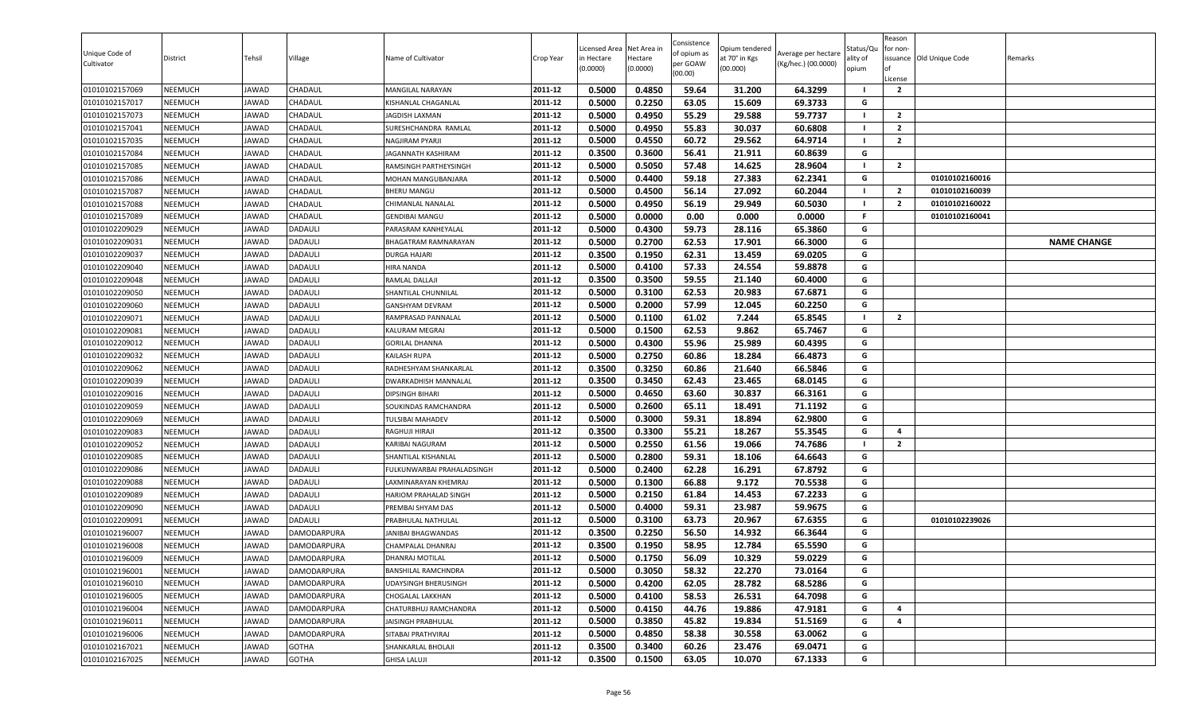| Unique Code of<br>Cultivator     | District                         | Tehsil         | Village                          | Name of Cultivator                       | Crop Year          | Licensed Area<br>in Hectare<br>(0.0000) | Net Area in<br>Hectare<br>(0.0000) | Consistence<br>of opium as<br>per GOAW<br>(00.00) | Opium tendered<br>at 70° in Kgs<br>(00.000) | Average per hectare<br>(Kg/hec.) (00.0000) | Status/Qu<br>ality of<br>opium | Reason<br>for non-<br>lof<br>License | issuance Old Unique Code | Remarks            |
|----------------------------------|----------------------------------|----------------|----------------------------------|------------------------------------------|--------------------|-----------------------------------------|------------------------------------|---------------------------------------------------|---------------------------------------------|--------------------------------------------|--------------------------------|--------------------------------------|--------------------------|--------------------|
| 01010102157069                   | <b>NEEMUCH</b>                   | JAWAD          | <b>CHADAUL</b>                   | <b>MANGILAL NARAYAN</b>                  | 2011-12            | 0.5000                                  | 0.4850                             | 59.64                                             | 31.200                                      | 64.3299                                    | - 1                            | $\overline{2}$                       |                          |                    |
| 01010102157017                   | <b>NEEMUCH</b>                   | JAWAD          | CHADAUL                          | KISHANLAL CHAGANLAL                      | 2011-12            | 0.5000                                  | 0.2250                             | 63.05                                             | 15.609                                      | 69.3733                                    | G                              |                                      |                          |                    |
| 01010102157073                   | NEEMUCH                          | JAWAD          | CHADAUL                          | <b>JAGDISH LAXMAN</b>                    | 2011-12            | 0.5000                                  | 0.4950                             | 55.29                                             | 29.588                                      | 59.7737                                    | - 1                            | $\overline{2}$                       |                          |                    |
| 01010102157041                   | <b>NEEMUCH</b>                   | JAWAD          | CHADAUL                          | SURESHCHANDRA RAMLAL                     | 2011-12            | 0.5000                                  | 0.4950                             | 55.83                                             | 30.037                                      | 60.6808                                    | $\blacksquare$                 | $\overline{2}$                       |                          |                    |
| 01010102157035                   | <b>NEEMUCH</b>                   | JAWAD          | CHADAUL                          | NAGJIRAM PYARJI                          | 2011-12            | 0.5000                                  | 0.4550                             | 60.72                                             | 29.562                                      | 64.9714                                    | $\blacksquare$                 | $\overline{2}$                       |                          |                    |
| 01010102157084                   | <b>NEEMUCH</b>                   | JAWAD          | CHADAUL                          | JAGANNATH KASHIRAM                       | 2011-12            | 0.3500                                  | 0.3600                             | 56.41                                             | 21.911                                      | 60.8639                                    | G                              |                                      |                          |                    |
| 01010102157085                   | <b>NEEMUCH</b>                   | JAWAD          | CHADAUL                          | RAMSINGH PARTHEYSINGH                    | 2011-12            | 0.5000                                  | 0.5050                             | 57.48                                             | 14.625                                      | 28.9604                                    | - 1                            | $\overline{2}$                       |                          |                    |
| 01010102157086                   | <b>NEEMUCH</b>                   | JAWAD          | CHADAUL                          | MOHAN MANGUBANJARA                       | 2011-12            | 0.5000                                  | 0.4400                             | 59.18                                             | 27.383                                      | 62.2341                                    | G                              |                                      | 01010102160016           |                    |
| 01010102157087                   | <b>NEEMUCH</b>                   | JAWAD          | CHADAUL                          | <b>BHERU MANGU</b>                       | 2011-12            | 0.5000                                  | 0.4500                             | 56.14                                             | 27.092                                      | 60.2044                                    | - 1                            | $\overline{2}$                       | 01010102160039           |                    |
| 01010102157088                   | <b>NEEMUCH</b>                   | JAWAD          | <b>CHADAUL</b>                   | CHIMANLAL NANALAL                        | 2011-12            | 0.5000                                  | 0.4950                             | 56.19                                             | 29.949                                      | 60.5030                                    | - 1                            | $\overline{2}$                       | 01010102160022           |                    |
| 01010102157089                   | <b>NEEMUCH</b>                   | JAWAD          | CHADAUL                          | GENDIBAI MANGU                           | 2011-12            | 0.5000                                  | 0.0000                             | 0.00                                              | 0.000                                       | 0.0000                                     | F.                             |                                      | 01010102160041           |                    |
| 01010102209029                   | <b>NEEMUCH</b>                   | JAWAD          | <b>DADAULI</b>                   | PARASRAM KANHEYALAL                      | 2011-12            | 0.5000                                  | 0.4300                             | 59.73                                             | 28.116                                      | 65.3860                                    | G                              |                                      |                          |                    |
| 01010102209031                   | <b>NEEMUCH</b>                   | JAWAD          | <b>DADAULI</b>                   | BHAGATRAM RAMNARAYAN                     | 2011-12            | 0.5000                                  | 0.2700                             | 62.53                                             | 17.901                                      | 66.3000                                    | G                              |                                      |                          | <b>NAME CHANGE</b> |
| 01010102209037                   | <b>NEEMUCH</b>                   | JAWAD          | <b>DADAULI</b>                   | <b>DURGA HAJARI</b>                      | 2011-12            | 0.3500                                  | 0.1950                             | 62.31                                             | 13.459                                      | 69.0205                                    | G                              |                                      |                          |                    |
| 01010102209040                   | <b>NEEMUCH</b>                   | JAWAD          | <b>DADAULI</b>                   | HIRA NANDA                               | 2011-12            | 0.5000                                  | 0.4100                             | 57.33                                             | 24.554                                      | 59.8878                                    | G                              |                                      |                          |                    |
| 01010102209048                   | <b>NEEMUCH</b>                   | JAWAD          | <b>DADAULI</b>                   | RAMLAL DALLAJI                           | 2011-12            | 0.3500                                  | 0.3500                             | 59.55                                             | 21.140                                      | 60.4000                                    | G                              |                                      |                          |                    |
| 01010102209050                   | <b>NEEMUCH</b>                   | JAWAD          | <b>DADAULI</b>                   | SHANTILAL CHUNNILAL                      | 2011-12            | 0.5000                                  | 0.3100                             | 62.53                                             | 20.983                                      | 67.6871                                    | G                              |                                      |                          |                    |
| 01010102209060                   | <b>NEEMUCH</b>                   | JAWAD          | <b>DADAULI</b>                   | <b>GANSHYAM DEVRAM</b>                   | 2011-12            | 0.5000                                  | 0.2000                             | 57.99                                             | 12.045                                      | 60.2250                                    | G                              |                                      |                          |                    |
| 01010102209071                   | <b>NEEMUCH</b>                   | JAWAD          | <b>DADAULI</b>                   | RAMPRASAD PANNALAL                       | 2011-12            | 0.5000                                  | 0.1100                             | 61.02                                             | 7.244                                       | 65.8545                                    | - 1                            | $\overline{2}$                       |                          |                    |
| 01010102209081                   | <b>NEEMUCH</b>                   | JAWAD          | DADAULI                          | KALURAM MEGRAJ                           | 2011-12            | 0.5000                                  | 0.1500                             | 62.53                                             | 9.862                                       | 65.7467                                    | G                              |                                      |                          |                    |
| 01010102209012                   | <b>NEEMUCH</b>                   | JAWAD          | <b>DADAULI</b>                   | <b>GORILAL DHANNA</b>                    | 2011-12            | 0.5000                                  | 0.4300                             | 55.96                                             | 25.989                                      | 60.4395                                    | G                              |                                      |                          |                    |
| 01010102209032                   | <b>NEEMUCH</b>                   | JAWAD          | <b>DADAULI</b>                   | KAILASH RUPA                             | 2011-12            | 0.5000                                  | 0.2750                             | 60.86                                             | 18.284                                      | 66.4873                                    | G                              |                                      |                          |                    |
| 01010102209062                   | <b>NEEMUCH</b>                   | JAWAD          | <b>DADAULI</b>                   | RADHESHYAM SHANKARLAL                    | 2011-12            | 0.3500                                  | 0.3250                             | 60.86                                             | 21.640                                      | 66.5846                                    | G                              |                                      |                          |                    |
| 01010102209039                   | <b>NEEMUCH</b>                   | JAWAD          | <b>DADAULI</b>                   | DWARKADHISH MANNALAL                     | 2011-12            | 0.3500                                  | 0.3450                             | 62.43                                             | 23.465                                      | 68.0145                                    | G                              |                                      |                          |                    |
| 01010102209016                   | <b>NEEMUCH</b>                   | JAWAD          | DADAULI                          | <b>DIPSINGH BIHARI</b>                   | 2011-12            | 0.5000                                  | 0.4650                             | 63.60                                             | 30.837                                      | 66.3161                                    | G                              |                                      |                          |                    |
| 01010102209059                   | <b>NEEMUCH</b>                   | JAWAD          | <b>DADAULI</b>                   | SOUKINDAS RAMCHANDRA                     | 2011-12            | 0.5000                                  | 0.2600                             | 65.11                                             | 18.491                                      | 71.1192                                    | G                              |                                      |                          |                    |
| 01010102209069                   | <b>NEEMUCH</b>                   | JAWAD          | <b>DADAULI</b>                   | <b>TULSIBAI MAHADEV</b>                  | 2011-12            | 0.5000                                  | 0.3000                             | 59.31                                             | 18.894                                      | 62.9800                                    | G                              |                                      |                          |                    |
| 01010102209083                   | <b>NEEMUCH</b>                   | JAWAD          | DADAULI                          | RAGHUJI HIRAJI                           | 2011-12            | 0.3500                                  | 0.3300                             | 55.21                                             | 18.267                                      | 55.3545                                    | G                              | 4                                    |                          |                    |
| 01010102209052                   | NEEMUCH                          | JAWAD          | DADAULI                          | KARIBAI NAGURAM                          | 2011-12            | 0.5000                                  | 0.2550                             | 61.56                                             | 19.066                                      | 74.7686                                    | - 1                            | $\overline{2}$                       |                          |                    |
| 01010102209085                   | <b>NEEMUCH</b>                   | JAWAD          | <b>DADAULI</b>                   | SHANTILAL KISHANLAL                      | 2011-12            | 0.5000                                  | 0.2800                             | 59.31                                             | 18.106                                      | 64.6643                                    | G                              |                                      |                          |                    |
| 01010102209086                   | <b>NEEMUCH</b>                   | JAWAD          | <b>DADAULI</b>                   | FULKUNWARBAI PRAHALADSINGH               | 2011-12            | 0.5000                                  | 0.2400                             | 62.28                                             | 16.291                                      | 67.8792                                    | G                              |                                      |                          |                    |
| 01010102209088                   | <b>NEEMUCH</b>                   | JAWAD          | <b>DADAULI</b>                   | LAXMINARAYAN KHEMRAJ                     | 2011-12            | 0.5000                                  | 0.1300                             | 66.88                                             | 9.172                                       | 70.5538                                    | G                              |                                      |                          |                    |
| 01010102209089                   | <b>NEEMUCH</b>                   | JAWAD          | <b>DADAULI</b>                   | <b>HARIOM PRAHALAD SINGH</b>             | 2011-12<br>2011-12 | 0.5000<br>0.5000                        | 0.2150<br>0.4000                   | 61.84<br>59.31                                    | 14.453<br>23.987                            | 67.2233<br>59.9675                         | G<br>G                         |                                      |                          |                    |
| 01010102209090                   | <b>NEEMUCH</b><br><b>NEEMUCH</b> | JAWAD<br>JAWAD | <b>DADAULI</b><br><b>DADAULI</b> | PREMBAI SHYAM DAS                        | 2011-12            | 0.5000                                  |                                    |                                                   |                                             |                                            | G                              |                                      | 01010102239026           |                    |
| 01010102209091                   | <b>NEEMUCH</b>                   |                |                                  | PRABHULAL NATHULAL<br>JANIBAI BHAGWANDAS | 2011-12            | 0.3500                                  | 0.3100<br>0.2250                   | 63.73<br>56.50                                    | 20.967<br>14.932                            | 67.6355<br>66.3644                         | G                              |                                      |                          |                    |
| 01010102196007<br>01010102196008 | <b>NEEMUCH</b>                   | JAWAD<br>JAWAD | DAMODARPURA<br>DAMODARPURA       | CHAMPALAL DHANRAJ                        | 2011-12            | 0.3500                                  | 0.1950                             | 58.95                                             | 12.784                                      | 65.5590                                    | G                              |                                      |                          |                    |
| 01010102196009                   | <b>NEEMUCH</b>                   | JAWAD          | <b>DAMODARPURA</b>               | <b>DHANRAJ MOTILAL</b>                   | 2011-12            | 0.5000                                  | 0.1750                             | 56.09                                             | 10.329                                      | 59.0229                                    | G                              |                                      |                          |                    |
| 01010102196001                   | <b>NEEMUCH</b>                   | JAWAD          | DAMODARPURA                      | BANSHILAL RAMCHNDRA                      | 2011-12            | 0.5000                                  | 0.3050                             | 58.32                                             | 22.270                                      | 73.0164                                    | G                              |                                      |                          |                    |
| 01010102196010                   | <b>NEEMUCH</b>                   | JAWAD          | DAMODARPURA                      | <b>UDAYSINGH BHERUSINGH</b>              | 2011-12            | 0.5000                                  | 0.4200                             | 62.05                                             | 28.782                                      | 68.5286                                    | G                              |                                      |                          |                    |
| 01010102196005                   | <b>NEEMUCH</b>                   | JAWAD          | DAMODARPURA                      | CHOGALAL LAKKHAN                         | 2011-12            | 0.5000                                  | 0.4100                             | 58.53                                             | 26.531                                      | 64.7098                                    | G                              |                                      |                          |                    |
| 01010102196004                   | <b>NEEMUCH</b>                   | JAWAD          | DAMODARPURA                      | CHATURBHUJ RAMCHANDRA                    | 2011-12            | 0.5000                                  | 0.4150                             | 44.76                                             | 19.886                                      | 47.9181                                    | G                              | 4                                    |                          |                    |
| 01010102196011                   | <b>NEEMUCH</b>                   | JAWAD          | DAMODARPURA                      | JAISINGH PRABHULAL                       | 2011-12            | 0.5000                                  | 0.3850                             | 45.82                                             | 19.834                                      | 51.5169                                    | G                              | $\overline{4}$                       |                          |                    |
| 01010102196006                   | <b>NEEMUCH</b>                   | JAWAD          | <b>DAMODARPURA</b>               | SITABAI PRATHVIRAJ                       | 2011-12            | 0.5000                                  | 0.4850                             | 58.38                                             | 30.558                                      | 63.0062                                    | G                              |                                      |                          |                    |
| 01010102167021                   | <b>NEEMUCH</b>                   | JAWAD          | <b>GOTHA</b>                     | SHANKARLAL BHOLAJI                       | 2011-12            | 0.3500                                  | 0.3400                             | 60.26                                             | 23.476                                      | 69.0471                                    | G                              |                                      |                          |                    |
| 01010102167025                   | <b>NEEMUCH</b>                   | JAWAD          | <b>GOTHA</b>                     |                                          | 2011-12            | 0.3500                                  | 0.1500                             | 63.05                                             | 10.070                                      | 67.1333                                    | G                              |                                      |                          |                    |
|                                  |                                  |                |                                  | <b>GHISA LALUJI</b>                      |                    |                                         |                                    |                                                   |                                             |                                            |                                |                                      |                          |                    |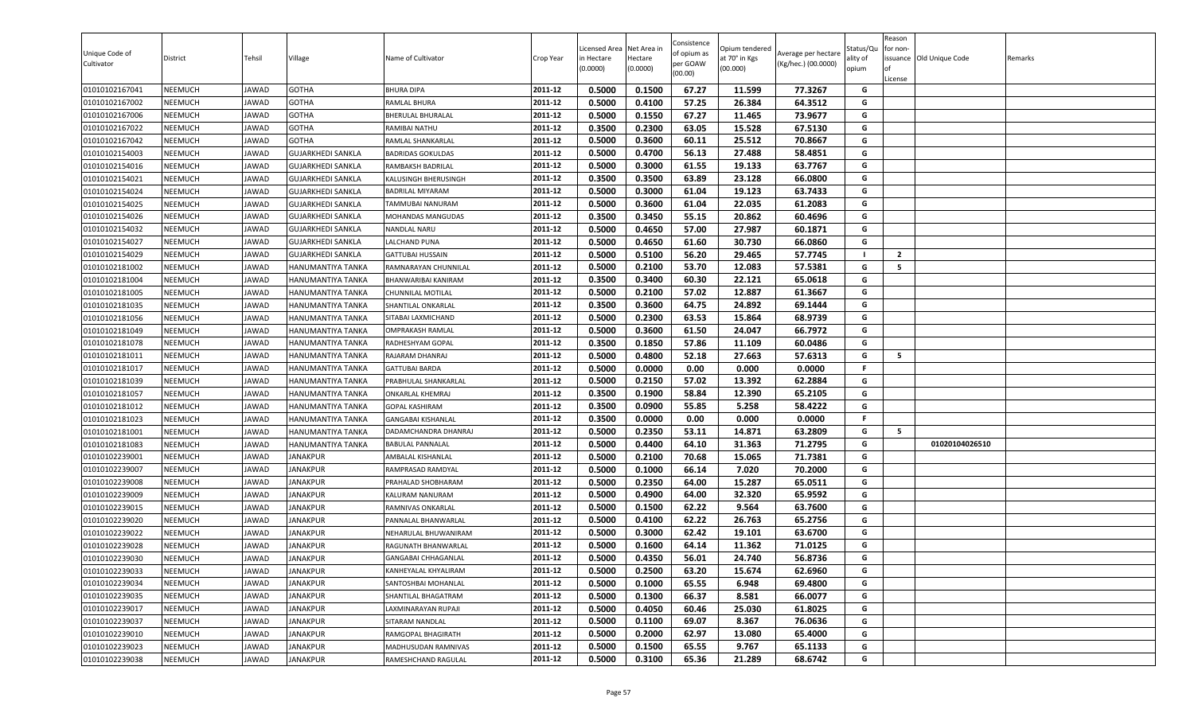| Unique Code of<br>Cultivator | District       | Tehsil | Village                  | Name of Cultivator        | Crop Year | Licensed Area<br>in Hectare<br>(0.0000) | Net Area in<br>Hectare<br>(0.0000) | Consistence<br>of opium as<br>per GOAW<br>(00.00) | Opium tendered<br>at 70° in Kgs<br>(00.000) | Average per hectare<br>(Kg/hec.) (00.0000) | Status/Qu<br>ality of<br>opium | Reason<br>for non-<br>lof<br>License | issuance Old Unique Code | Remarks |
|------------------------------|----------------|--------|--------------------------|---------------------------|-----------|-----------------------------------------|------------------------------------|---------------------------------------------------|---------------------------------------------|--------------------------------------------|--------------------------------|--------------------------------------|--------------------------|---------|
| 01010102167041               | <b>NEEMUCH</b> | JAWAD  | <b>GOTHA</b>             | <b>BHURA DIPA</b>         | 2011-12   | 0.5000                                  | 0.1500                             | 67.27                                             | 11.599                                      | 77.3267                                    | G                              |                                      |                          |         |
| 01010102167002               | <b>NEEMUCH</b> | JAWAD  | <b>GOTHA</b>             | RAMLAL BHURA              | 2011-12   | 0.5000                                  | 0.4100                             | 57.25                                             | 26.384                                      | 64.3512                                    | G                              |                                      |                          |         |
| 01010102167006               | NEEMUCH        | JAWAD  | <b>GOTHA</b>             | <b>BHERULAL BHURALAL</b>  | 2011-12   | 0.5000                                  | 0.1550                             | 67.27                                             | 11.465                                      | 73.9677                                    | G                              |                                      |                          |         |
| 01010102167022               | <b>NEEMUCH</b> | JAWAD  | <b>GOTHA</b>             | RAMIBAI NATHU             | 2011-12   | 0.3500                                  | 0.2300                             | 63.05                                             | 15.528                                      | 67.5130                                    | G                              |                                      |                          |         |
| 01010102167042               | <b>NEEMUCH</b> | JAWAD  | <b>GOTHA</b>             | RAMLAL SHANKARLAL         | 2011-12   | 0.5000                                  | 0.3600                             | 60.11                                             | 25.512                                      | 70.8667                                    | G                              |                                      |                          |         |
| 01010102154003               | <b>NEEMUCH</b> | JAWAD  | <b>GUJARKHEDI SANKLA</b> | <b>BADRIDAS GOKULDAS</b>  | 2011-12   | 0.5000                                  | 0.4700                             | 56.13                                             | 27.488                                      | 58.4851                                    | G                              |                                      |                          |         |
| 01010102154016               | <b>NEEMUCH</b> | JAWAD  | <b>GUJARKHEDI SANKLA</b> | RAMBAKSH BADRILAL         | 2011-12   | 0.5000                                  | 0.3000                             | 61.55                                             | 19.133                                      | 63.7767                                    | G                              |                                      |                          |         |
| 01010102154021               | <b>NEEMUCH</b> | JAWAD  | <b>GUJARKHEDI SANKLA</b> | KALUSINGH BHERUSINGH      | 2011-12   | 0.3500                                  | 0.3500                             | 63.89                                             | 23.128                                      | 66.0800                                    | G                              |                                      |                          |         |
| 01010102154024               | <b>NEEMUCH</b> | JAWAD  | <b>GUJARKHEDI SANKLA</b> | BADRILAL MIYARAM          | 2011-12   | 0.5000                                  | 0.3000                             | 61.04                                             | 19.123                                      | 63.7433                                    | G                              |                                      |                          |         |
| 01010102154025               | <b>NEEMUCH</b> | JAWAD  | <b>GUJARKHEDI SANKLA</b> | TAMMUBAI NANURAM          | 2011-12   | 0.5000                                  | 0.3600                             | 61.04                                             | 22.035                                      | 61.2083                                    | G                              |                                      |                          |         |
| 01010102154026               | <b>NEEMUCH</b> | JAWAD  | <b>GUJARKHEDI SANKLA</b> | MOHANDAS MANGUDAS         | 2011-12   | 0.3500                                  | 0.3450                             | 55.15                                             | 20.862                                      | 60.4696                                    | G                              |                                      |                          |         |
| 01010102154032               | <b>NEEMUCH</b> | JAWAD  | <b>GUJARKHEDI SANKLA</b> | NANDLAL NARU              | 2011-12   | 0.5000                                  | 0.4650                             | 57.00                                             | 27.987                                      | 60.1871                                    | G                              |                                      |                          |         |
| 01010102154027               | <b>NEEMUCH</b> | JAWAD  | <b>GUJARKHEDI SANKLA</b> | LALCHAND PUNA             | 2011-12   | 0.5000                                  | 0.4650                             | 61.60                                             | 30.730                                      | 66.0860                                    | G                              |                                      |                          |         |
| 01010102154029               | <b>NEEMUCH</b> | JAWAD  | <b>GUJARKHEDI SANKLA</b> | <b>GATTUBAI HUSSAIN</b>   | 2011-12   | 0.5000                                  | 0.5100                             | 56.20                                             | 29.465                                      | 57.7745                                    | - 1                            | $\overline{2}$                       |                          |         |
| 01010102181002               | <b>NEEMUCH</b> | JAWAD  | <b>HANUMANTIYA TANKA</b> | RAMNARAYAN CHUNNILAL      | 2011-12   | 0.5000                                  | 0.2100                             | 53.70                                             | 12.083                                      | 57.5381                                    | G                              | 5                                    |                          |         |
| 01010102181004               | <b>NEEMUCH</b> | JAWAD  | <b>HANUMANTIYA TANKA</b> | BHANWARIBAI KANIRAM       | 2011-12   | 0.3500                                  | 0.3400                             | 60.30                                             | 22.121                                      | 65.0618                                    | G                              |                                      |                          |         |
| 01010102181005               | <b>NEEMUCH</b> | JAWAD  | <b>HANUMANTIYA TANKA</b> | CHUNNILAL MOTILAL         | 2011-12   | 0.5000                                  | 0.2100                             | 57.02                                             | 12.887                                      | 61.3667                                    | G                              |                                      |                          |         |
| 01010102181035               | <b>NEEMUCH</b> | JAWAD  | HANUMANTIYA TANKA        | SHANTILAL ONKARLAL        | 2011-12   | 0.3500                                  | 0.3600                             | 64.75                                             | 24.892                                      | 69.1444                                    | G                              |                                      |                          |         |
| 01010102181056               | <b>NEEMUCH</b> | JAWAD  | <b>HANUMANTIYA TANKA</b> | SITABAI LAXMICHAND        | 2011-12   | 0.5000                                  | 0.2300                             | 63.53                                             | 15.864                                      | 68.9739                                    | G                              |                                      |                          |         |
| 01010102181049               | <b>NEEMUCH</b> | JAWAD  | HANUMANTIYA TANKA        | <b>OMPRAKASH RAMLAL</b>   | 2011-12   | 0.5000                                  | 0.3600                             | 61.50                                             | 24.047                                      | 66.7972                                    | G                              |                                      |                          |         |
| 01010102181078               | <b>NEEMUCH</b> | JAWAD  | <b>HANUMANTIYA TANKA</b> | RADHESHYAM GOPAL          | 2011-12   | 0.3500                                  | 0.1850                             | 57.86                                             | 11.109                                      | 60.0486                                    | G                              |                                      |                          |         |
| 01010102181011               | <b>NEEMUCH</b> | JAWAD  | <b>HANUMANTIYA TANKA</b> | RAJARAM DHANRAJ           | 2011-12   | 0.5000                                  | 0.4800                             | 52.18                                             | 27.663                                      | 57.6313                                    | G                              | 5                                    |                          |         |
| 01010102181017               | <b>NEEMUCH</b> | JAWAD  | HANUMANTIYA TANKA        | <b>GATTUBAI BARDA</b>     | 2011-12   | 0.5000                                  | 0.0000                             | 0.00                                              | 0.000                                       | 0.0000                                     | F                              |                                      |                          |         |
| 01010102181039               | <b>NEEMUCH</b> | JAWAD  | <b>HANUMANTIYA TANKA</b> | PRABHULAL SHANKARLAL      | 2011-12   | 0.5000                                  | 0.2150                             | 57.02                                             | 13.392                                      | 62.2884                                    | G                              |                                      |                          |         |
| 01010102181057               | <b>NEEMUCH</b> | JAWAD  | HANUMANTIYA TANKA        | ONKARLAL KHEMRAJ          | 2011-12   | 0.3500                                  | 0.1900                             | 58.84                                             | 12.390                                      | 65.2105                                    | G                              |                                      |                          |         |
| 01010102181012               | <b>NEEMUCH</b> | JAWAD  | <b>HANUMANTIYA TANKA</b> | GOPAL KASHIRAM            | 2011-12   | 0.3500                                  | 0.0900                             | 55.85                                             | 5.258                                       | 58.4222                                    | G                              |                                      |                          |         |
| 01010102181023               | <b>NEEMUCH</b> | JAWAD  | HANUMANTIYA TANKA        | <b>GANGABAI KISHANLAL</b> | 2011-12   | 0.3500                                  | 0.0000                             | 0.00                                              | 0.000                                       | 0.0000                                     | F.                             |                                      |                          |         |
| 01010102181001               | <b>NEEMUCH</b> | JAWAD  | HANUMANTIYA TANKA        | DADAMCHANDRA DHANRAJ      | 2011-12   | 0.5000                                  | 0.2350                             | 53.11                                             | 14.871                                      | 63.2809                                    | G                              | 5                                    |                          |         |
| 01010102181083               | <b>NEEMUCH</b> | JAWAD  | HANUMANTIYA TANKA        | <b>BABULAL PANNALAL</b>   | 2011-12   | 0.5000                                  | 0.4400                             | 64.10                                             | 31.363                                      | 71.2795                                    | G                              |                                      | 01020104026510           |         |
| 01010102239001               | <b>NEEMUCH</b> | JAWAD  | <b>JANAKPUR</b>          | AMBALAL KISHANLAL         | 2011-12   | 0.5000                                  | 0.2100                             | 70.68                                             | 15.065                                      | 71.7381                                    | G                              |                                      |                          |         |
| 01010102239007               | <b>NEEMUCH</b> | JAWAD  | <b>JANAKPUR</b>          | RAMPRASAD RAMDYAL         | 2011-12   | 0.5000                                  | 0.1000                             | 66.14                                             | 7.020                                       | 70.2000                                    | G                              |                                      |                          |         |
| 01010102239008               | <b>NEEMUCH</b> | JAWAD  | <b>JANAKPUR</b>          | PRAHALAD SHOBHARAM        | 2011-12   | 0.5000                                  | 0.2350                             | 64.00                                             | 15.287                                      | 65.0511                                    | G                              |                                      |                          |         |
| 01010102239009               | <b>NEEMUCH</b> | JAWAD  | <b>JANAKPUR</b>          | KALURAM NANURAM           | 2011-12   | 0.5000                                  | 0.4900                             | 64.00                                             | 32.320                                      | 65.9592                                    | G                              |                                      |                          |         |
| 01010102239015               | <b>NEEMUCH</b> | JAWAD  | <b>JANAKPUR</b>          | RAMNIVAS ONKARLAL         | 2011-12   | 0.5000                                  | 0.1500                             | 62.22                                             | 9.564                                       | 63.7600                                    | G                              |                                      |                          |         |
| 01010102239020               | <b>NEEMUCH</b> | JAWAD  | <b>JANAKPUR</b>          | PANNALAL BHANWARLAL       | 2011-12   | 0.5000                                  | 0.4100                             | 62.22                                             | 26.763                                      | 65.2756                                    | G                              |                                      |                          |         |
| 01010102239022               | <b>NEEMUCH</b> | JAWAD  | <b>JANAKPUR</b>          | NEHARULAL BHUWANIRAM      | 2011-12   | 0.5000                                  | 0.3000                             | 62.42                                             | 19.101                                      | 63.6700                                    | G                              |                                      |                          |         |
| 01010102239028               | <b>NEEMUCH</b> | JAWAD  | JANAKPUR                 | RAGUNATH BHANWARLAL       | 2011-12   | 0.5000                                  | 0.1600                             | 64.14                                             | 11.362                                      | 71.0125                                    | G                              |                                      |                          |         |
| 01010102239030               | <b>NEEMUCH</b> | JAWAD  | <b>JANAKPUR</b>          | GANGABAI CHHAGANLAL       | 2011-12   | 0.5000                                  | 0.4350                             | 56.01                                             | 24.740                                      | 56.8736                                    | G                              |                                      |                          |         |
| 01010102239033               | <b>NEEMUCH</b> | JAWAD  | <b>JANAKPUR</b>          | KANHEYALAL KHYALIRAM      | 2011-12   | 0.5000                                  | 0.2500                             | 63.20                                             | 15.674                                      | 62.6960                                    | G                              |                                      |                          |         |
| 01010102239034               | <b>NEEMUCH</b> | JAWAD  | <b>JANAKPUR</b>          | SANTOSHBAI MOHANLAL       | 2011-12   | 0.5000                                  | 0.1000                             | 65.55                                             | 6.948                                       | 69.4800                                    | G                              |                                      |                          |         |
| 01010102239035               | <b>NEEMUCH</b> | JAWAD  | <b>JANAKPUR</b>          | SHANTILAL BHAGATRAM       | 2011-12   | 0.5000                                  | 0.1300                             | 66.37                                             | 8.581                                       | 66.0077                                    | G                              |                                      |                          |         |
| 01010102239017               | <b>NEEMUCH</b> | JAWAD  | <b>JANAKPUR</b>          | LAXMINARAYAN RUPAJI       | 2011-12   | 0.5000                                  | 0.4050                             | 60.46                                             | 25.030                                      | 61.8025                                    | G                              |                                      |                          |         |
| 01010102239037               | <b>NEEMUCH</b> | JAWAD  | <b>JANAKPUR</b>          | SITARAM NANDLAL           | 2011-12   | 0.5000                                  | 0.1100                             | 69.07                                             | 8.367                                       | 76.0636                                    | G                              |                                      |                          |         |
| 01010102239010               | <b>NEEMUCH</b> | JAWAD  | <b>JANAKPUR</b>          | RAMGOPAL BHAGIRATH        | 2011-12   | 0.5000                                  | 0.2000                             | 62.97                                             | 13.080                                      | 65.4000                                    | G                              |                                      |                          |         |
| 01010102239023               | <b>NEEMUCH</b> | JAWAD  | <b>JANAKPUR</b>          | MADHUSUDAN RAMNIVAS       | 2011-12   | 0.5000                                  | 0.1500                             | 65.55                                             | 9.767                                       | 65.1133                                    | G                              |                                      |                          |         |
| 01010102239038               | <b>NEEMUCH</b> | JAWAD  | <b>JANAKPUR</b>          | RAMESHCHAND RAGULAL       | 2011-12   | 0.5000                                  | 0.3100                             | 65.36                                             | 21.289                                      | 68.6742                                    | G                              |                                      |                          |         |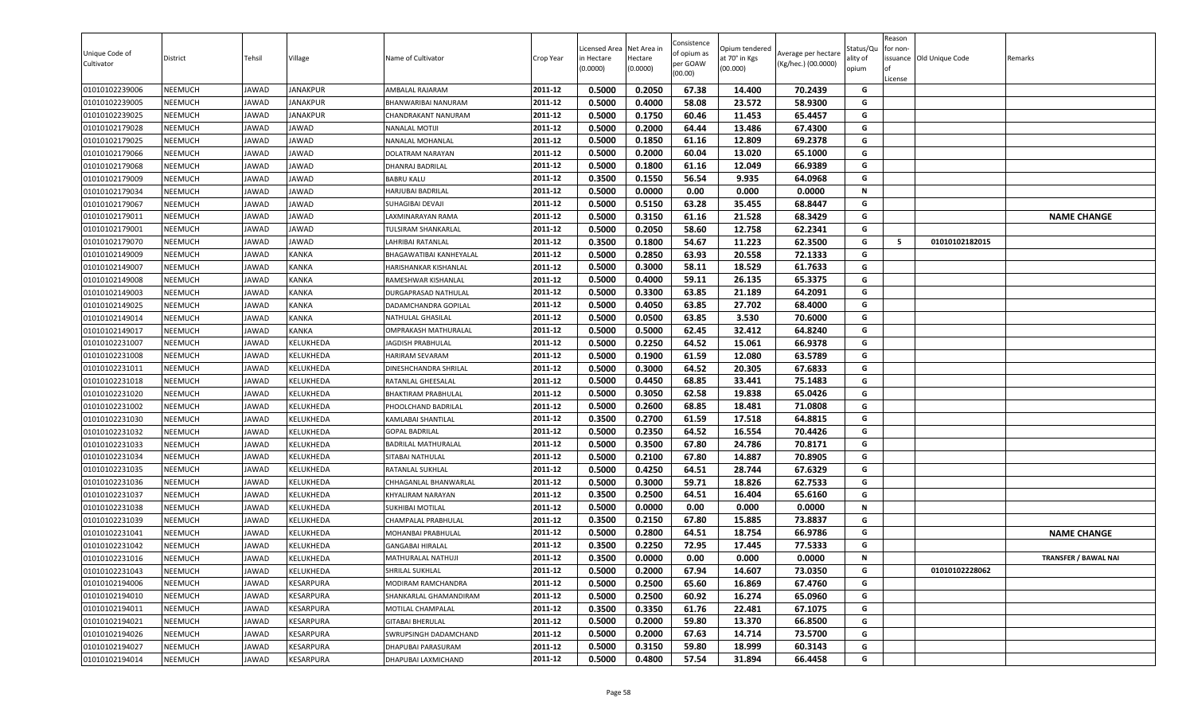| Unique Code of<br>Cultivator     | District           | Tehsil         | Village         | Name of Cultivator                          | Crop Year          | icensed Area<br>in Hectare<br>0.0000 | Net Area in<br>Hectare<br>(0.0000) | Consistence<br>of opium as<br>per GOAW<br>(00.00) | )pium tendered<br>it 70° in Kgs<br>(00.000) | Average per hectare<br>(Kg/hec.) (00.0000) | status/Qu<br>lity of<br>opium | Reason<br>for non-<br>of<br>License | issuance Old Unique Code | Remarks                     |
|----------------------------------|--------------------|----------------|-----------------|---------------------------------------------|--------------------|--------------------------------------|------------------------------------|---------------------------------------------------|---------------------------------------------|--------------------------------------------|-------------------------------|-------------------------------------|--------------------------|-----------------------------|
| 01010102239006                   | <b>NEEMUCH</b>     | JAWAD          | <b>JANAKPUR</b> | AMBALAL RAJARAM                             | 2011-12            | 0.5000                               | 0.2050                             | 67.38                                             | 14.400                                      | 70.2439                                    | G                             |                                     |                          |                             |
| 01010102239005                   | <b>NEEMUCH</b>     | JAWAD          | JANAKPUR        | BHANWARIBAI NANURAM                         | 2011-12            | 0.5000                               | 0.4000                             | 58.08                                             | 23.572                                      | 58.9300                                    | G                             |                                     |                          |                             |
| 01010102239025                   | NEEMUCH            | <b>JAWAD</b>   | <b>JANAKPUR</b> | <b>CHANDRAKANT NANURAM</b>                  | 2011-12            | 0.5000                               | 0.1750                             | 60.46                                             | 11.453                                      | 65.4457                                    | G                             |                                     |                          |                             |
| 01010102179028                   | NEEMUCH            | JAWAD          | <b>JAWAD</b>    | <b>NANALAL MOTIJI</b>                       | 2011-12            | 0.5000                               | 0.2000                             | 64.44                                             | 13.486                                      | 67.4300                                    | G                             |                                     |                          |                             |
| 01010102179025                   | NEEMUCH            | <b>JAWAD</b>   | JAWAD           | NANALAL MOHANLAL                            | 2011-12            | 0.5000                               | 0.1850                             | 61.16                                             | 12.809                                      | 69.2378                                    | G                             |                                     |                          |                             |
| 01010102179066                   | NEEMUCH            | JAWAD          | JAWAD           | DOLATRAM NARAYAN                            | 2011-12            | 0.5000                               | 0.2000                             | 60.04                                             | 13.020                                      | 65.1000                                    | G                             |                                     |                          |                             |
| 01010102179068                   | <b>NEEMUCH</b>     | JAWAD          | JAWAD           | DHANRAJ BADRILAL                            | 2011-12            | 0.5000                               | 0.1800                             | 61.16                                             | 12.049                                      | 66.9389                                    | G                             |                                     |                          |                             |
| 01010102179009                   | <b>NEEMUCH</b>     | JAWAD          | <b>JAWAD</b>    | <b>BABRU KALU</b>                           | 2011-12            | 0.3500                               | 0.1550                             | 56.54                                             | 9.935                                       | 64.0968                                    | G                             |                                     |                          |                             |
| 01010102179034                   | NEEMUCH            | JAWAD          | JAWAD           | <b>HARJUBAI BADRILAL</b>                    | 2011-12            | 0.5000                               | 0.0000                             | 0.00                                              | 0.000                                       | 0.0000                                     | N                             |                                     |                          |                             |
| 01010102179067                   | <b>NEEMUCH</b>     | JAWAD          | JAWAD           | SUHAGIBAI DEVAJI                            | 2011-12            | 0.5000                               | 0.5150                             | 63.28                                             | 35.455                                      | 68.8447                                    | G                             |                                     |                          |                             |
| 01010102179011                   | NEEMUCH            | JAWAD          | JAWAD           | LAXMINARAYAN RAMA                           | 2011-12            | 0.5000                               | 0.3150                             | 61.16                                             | 21.528                                      | 68.3429                                    | G                             |                                     |                          | <b>NAME CHANGE</b>          |
| 01010102179001                   | NEEMUCH            | <b>JAWAD</b>   | JAWAD           | <b>TULSIRAM SHANKARLAL</b>                  | 2011-12            | 0.5000                               | 0.2050                             | 58.60                                             | 12.758                                      | 62.2341                                    | G                             |                                     |                          |                             |
| 01010102179070                   | <b>NEEMUCH</b>     | JAWAD          | <b>JAWAD</b>    | LAHRIBAI RATANLAL                           | 2011-12<br>2011-12 | 0.3500                               | 0.1800                             | 54.67                                             | 11.223                                      | 62.3500                                    | G<br>G                        | 5                                   | 01010102182015           |                             |
| 01010102149009                   | NEEMUCH<br>NEEMUCH | <b>JAWAD</b>   | KANKA           | BHAGAWATIBAI KANHEYALAL                     | 2011-12            | 0.5000                               | 0.2850                             | 63.93                                             | 20.558                                      | 72.1333<br>61.7633                         | G                             |                                     |                          |                             |
| 01010102149007                   | NEEMUCH            | JAWAD          | KANKA<br>KANKA  | HARISHANKAR KISHANLAL                       | 2011-12            | 0.5000<br>0.5000                     | 0.3000<br>0.4000                   | 58.11<br>59.11                                    | 18.529<br>26.135                            | 65.3375                                    | G                             |                                     |                          |                             |
| 01010102149008<br>01010102149003 | <b>NEEMUCH</b>     | JAWAD<br>JAWAD | KANKA           | RAMESHWAR KISHANLAL<br>DURGAPRASAD NATHULAL | 2011-12            | 0.5000                               | 0.3300                             | 63.85                                             | 21.189                                      | 64.2091                                    | G                             |                                     |                          |                             |
| 01010102149025                   | NEEMUCH            | JAWAD          | KANKA           | DADAMCHANDRA GOPILAL                        | 2011-12            | 0.5000                               | 0.4050                             | 63.85                                             | 27.702                                      | 68.4000                                    | G                             |                                     |                          |                             |
| 01010102149014                   | <b>NEEMUCH</b>     | JAWAD          | KANKA           | NATHULAL GHASILAL                           | 2011-12            | 0.5000                               | 0.0500                             | 63.85                                             | 3.530                                       | 70.6000                                    | G                             |                                     |                          |                             |
| 01010102149017                   | NEEMUCH            | JAWAD          | KANKA           | OMPRAKASH MATHURALAL                        | 2011-12            | 0.5000                               | 0.5000                             | 62.45                                             | 32.412                                      | 64.8240                                    | G                             |                                     |                          |                             |
| 01010102231007                   | NEEMUCH            | <b>JAWAD</b>   | KELUKHEDA       | <b>JAGDISH PRABHULAL</b>                    | 2011-12            | 0.5000                               | 0.2250                             | 64.52                                             | 15.061                                      | 66.9378                                    | G                             |                                     |                          |                             |
| 01010102231008                   | NEEMUCH            | JAWAD          | KELUKHEDA       | <b>HARIRAM SEVARAM</b>                      | 2011-12            | 0.5000                               | 0.1900                             | 61.59                                             | 12.080                                      | 63.5789                                    | G                             |                                     |                          |                             |
| 01010102231011                   | NEEMUCH            | JAWAD          | KELUKHEDA       | DINESHCHANDRA SHRILAL                       | 2011-12            | 0.5000                               | 0.3000                             | 64.52                                             | 20.305                                      | 67.6833                                    | G                             |                                     |                          |                             |
| 01010102231018                   | <b>NEEMUCH</b>     | JAWAD          | KELUKHEDA       | RATANLAL GHEESALAL                          | 2011-12            | 0.5000                               | 0.4450                             | 68.85                                             | 33.441                                      | 75.1483                                    | G                             |                                     |                          |                             |
| 01010102231020                   | NEEMUCH            | JAWAD          | KELUKHEDA       | <b>BHAKTIRAM PRABHULAL</b>                  | 2011-12            | 0.5000                               | 0.3050                             | 62.58                                             | 19.838                                      | 65.0426                                    | G                             |                                     |                          |                             |
| 01010102231002                   | <b>NEEMUCH</b>     | JAWAD          | KELUKHEDA       | PHOOLCHAND BADRILAL                         | 2011-12            | 0.5000                               | 0.2600                             | 68.85                                             | 18.481                                      | 71.0808                                    | G                             |                                     |                          |                             |
| 01010102231030                   | <b>NEEMUCH</b>     | JAWAD          | KELUKHEDA       | KAMLABAI SHANTILAL                          | 2011-12            | 0.3500                               | 0.2700                             | 61.59                                             | 17.518                                      | 64.8815                                    | G                             |                                     |                          |                             |
| 01010102231032                   | <b>NEEMUCH</b>     | <b>JAWAD</b>   | KELUKHEDA       | <b>GOPAL BADRILAL</b>                       | 2011-12            | 0.5000                               | 0.2350                             | 64.52                                             | 16.554                                      | 70.4426                                    | G                             |                                     |                          |                             |
| 01010102231033                   | NEEMUCH            | JAWAD          | KELUKHEDA       | BADRILAL MATHURALAL                         | 2011-12            | 0.5000                               | 0.3500                             | 67.80                                             | 24.786                                      | 70.8171                                    | G                             |                                     |                          |                             |
| 01010102231034                   | NEEMUCH            | <b>JAWAD</b>   | KELUKHEDA       | SITABAI NATHULAL                            | 2011-12            | 0.5000                               | 0.2100                             | 67.80                                             | 14.887                                      | 70.8905                                    | G                             |                                     |                          |                             |
| 01010102231035                   | NEEMUCH            | JAWAD          | KELUKHEDA       | RATANLAL SUKHLAL                            | 2011-12            | 0.5000                               | 0.4250                             | 64.51                                             | 28.744                                      | 67.6329                                    | G                             |                                     |                          |                             |
| 01010102231036                   | NEEMUCH            | JAWAD          | KELUKHEDA       | CHHAGANLAL BHANWARLAL                       | 2011-12            | 0.5000                               | 0.3000                             | 59.71                                             | 18.826                                      | 62.7533                                    | G                             |                                     |                          |                             |
| 01010102231037                   | <b>NEEMUCH</b>     | JAWAD          | KELUKHEDA       | KHYALIRAM NARAYAN                           | 2011-12            | 0.3500                               | 0.2500                             | 64.51                                             | 16.404                                      | 65.6160                                    | G                             |                                     |                          |                             |
| 01010102231038                   | <b>NEEMUCH</b>     | JAWAD          | KELUKHEDA       | SUKHIBAI MOTILAL                            | 2011-12            | 0.5000                               | 0.0000                             | 0.00                                              | 0.000                                       | 0.0000                                     | N                             |                                     |                          |                             |
| 01010102231039                   | <b>NEEMUCH</b>     | JAWAD          | KELUKHEDA       | CHAMPALAL PRABHULAL                         | 2011-12            | 0.3500                               | 0.2150                             | 67.80                                             | 15.885                                      | 73.8837                                    | G                             |                                     |                          |                             |
| 01010102231041                   | NEEMUCH            | JAWAD          | KELUKHEDA       | MOHANBAI PRABHULAL                          | 2011-12            | 0.5000                               | 0.2800                             | 64.51                                             | 18.754                                      | 66.9786                                    | G                             |                                     |                          | <b>NAME CHANGE</b>          |
| 01010102231042                   | NEEMUCH            | JAWAD          | KELUKHEDA       | <b>GANGABAI HIRALAL</b>                     | 2011-12            | 0.3500                               | 0.2250                             | 72.95                                             | 17.445                                      | 77.5333                                    | G                             |                                     |                          |                             |
| 01010102231016                   | NEEMUCH            | JAWAD          | KELUKHEDA       | MATHURALAL NATHUJI                          | 2011-12            | 0.3500                               | 0.0000                             | 0.00                                              | 0.000                                       | 0.0000                                     | N                             |                                     |                          | <b>TRANSFER / BAWAL NAI</b> |
| 01010102231043                   | NEEMUCH            | JAWAD          | KELUKHEDA       | SHRILAL SUKHLAL                             | 2011-12            | 0.5000                               | 0.2000                             | 67.94                                             | 14.607                                      | 73.0350                                    | G                             |                                     | 01010102228062           |                             |
| 01010102194006                   | NEEMUCH            | JAWAD          | KESARPURA       | MODIRAM RAMCHANDRA                          | 2011-12            | 0.5000                               | 0.2500                             | 65.60                                             | 16.869                                      | 67.4760                                    | G                             |                                     |                          |                             |
| 01010102194010                   | NEEMUCH            | JAWAD          | KESARPURA       | SHANKARLAL GHAMANDIRAM                      | 2011-12            | 0.5000                               | 0.2500                             | 60.92                                             | 16.274                                      | 65.0960                                    | G                             |                                     |                          |                             |
| 01010102194011                   | <b>NEEMUCH</b>     | JAWAD          | KESARPURA       | MOTILAL CHAMPALAL                           | 2011-12            | 0.3500                               | 0.3350                             | 61.76                                             | 22.481                                      | 67.1075                                    | G                             |                                     |                          |                             |
| 01010102194021                   | NEEMUCH            | JAWAD          | KESARPURA       | <b>GITABAI BHERULAL</b>                     | 2011-12            | 0.5000                               | 0.2000                             | 59.80                                             | 13.370                                      | 66.8500                                    | G                             |                                     |                          |                             |
| 01010102194026                   | <b>NEEMUCH</b>     | JAWAD          | KESARPURA       | SWRUPSINGH DADAMCHAND                       | 2011-12            | 0.5000                               | 0.2000                             | 67.63                                             | 14.714                                      | 73.5700                                    | G                             |                                     |                          |                             |
| 01010102194027                   | <b>NEEMUCH</b>     | JAWAD          | KESARPURA       | DHAPUBAI PARASURAM                          | 2011-12            | 0.5000                               | 0.3150                             | 59.80                                             | 18.999                                      | 60.3143                                    | G                             |                                     |                          |                             |
| 01010102194014                   | NEEMUCH            | JAWAD          | KESARPURA       | DHAPUBAI LAXMICHAND                         | 2011-12            | 0.5000                               | 0.4800                             | 57.54                                             | 31.894                                      | 66.4458                                    | G                             |                                     |                          |                             |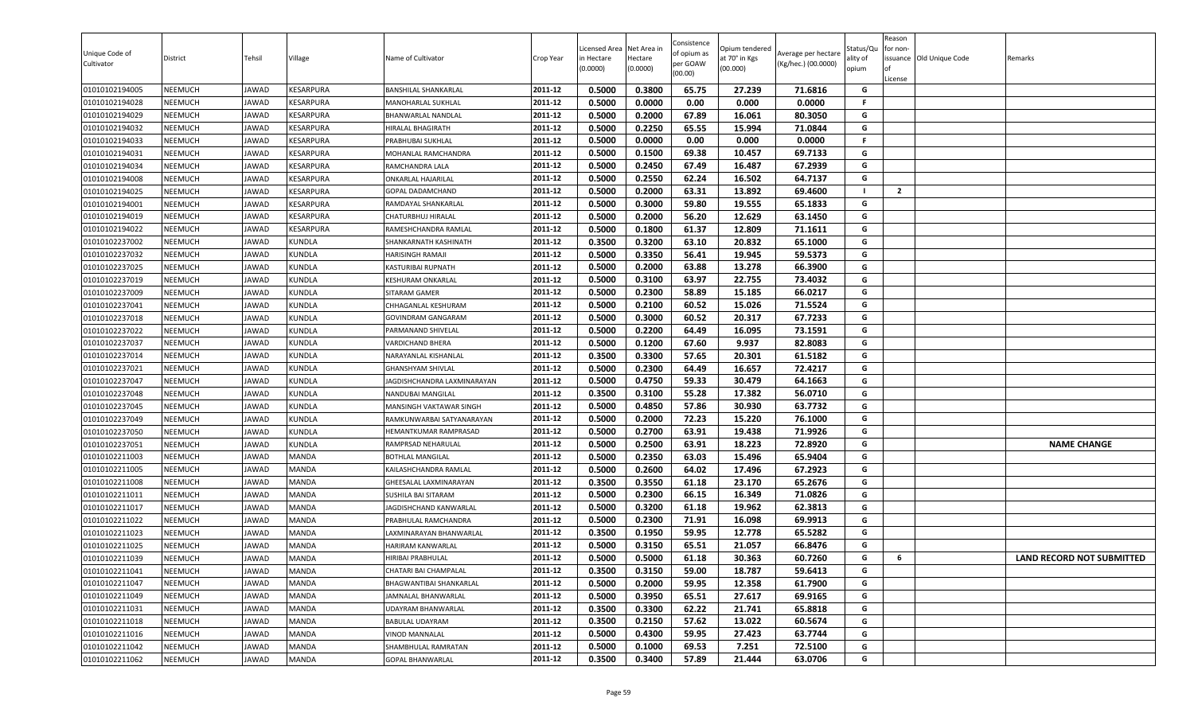| Unique Code of<br>Cultivator     | District                  | Tehsil                | Village                      | Name of Cultivator                             | Crop Year          | Licensed Area<br>in Hectare<br>(0.0000) | Net Area in<br>Hectare<br>(0.0000) | Consistence<br>of opium as<br>per GOAW<br>(00.00) | Opium tendered<br>at 70° in Kgs<br>(00.000) | Average per hectare<br>(Kg/hec.) (00.0000) | status/Qι<br>ılity of<br>opium | Reason<br>for non-<br>of<br>License | issuance Old Unique Code | Remarks                          |
|----------------------------------|---------------------------|-----------------------|------------------------------|------------------------------------------------|--------------------|-----------------------------------------|------------------------------------|---------------------------------------------------|---------------------------------------------|--------------------------------------------|--------------------------------|-------------------------------------|--------------------------|----------------------------------|
| 01010102194005                   | <b>NEEMUCH</b>            | JAWAD                 | KESARPURA                    | <b>BANSHILAL SHANKARLAL</b>                    | 2011-12            | 0.5000                                  | 0.3800                             | 65.75                                             | 27.239                                      | 71.6816                                    | G                              |                                     |                          |                                  |
| 01010102194028                   | NEEMUCH                   | JAWAD                 | KESARPURA                    | MANOHARLAL SUKHLAL                             | 2011-12            | 0.5000                                  | 0.0000                             | 0.00                                              | 0.000                                       | 0.0000                                     | F.                             |                                     |                          |                                  |
| 01010102194029                   | NEEMUCH                   | JAWAD                 | KESARPURA                    | BHANWARLAL NANDLAL                             | 2011-12            | 0.5000                                  | 0.2000                             | 67.89                                             | 16.061                                      | 80.3050                                    | G                              |                                     |                          |                                  |
| 01010102194032                   | <b>NEEMUCH</b>            | JAWAD                 | KESARPURA                    | HIRALAL BHAGIRATH                              | 2011-12            | 0.5000                                  | 0.2250                             | 65.55                                             | 15.994                                      | 71.0844                                    | G                              |                                     |                          |                                  |
| 01010102194033                   | NEEMUCH                   | JAWAD                 | KESARPURA                    | PRABHUBAI SUKHLAL                              | 2011-12            | 0.5000                                  | 0.0000                             | 0.00                                              | 0.000                                       | 0.0000                                     | F                              |                                     |                          |                                  |
| 01010102194031                   | <b>NEEMUCH</b>            | JAWAD                 | KESARPURA                    | MOHANLAL RAMCHANDRA                            | 2011-12            | 0.5000                                  | 0.1500                             | 69.38                                             | 10.457                                      | 69.7133                                    | G                              |                                     |                          |                                  |
| 01010102194034                   | <b>NEEMUCH</b>            | JAWAD                 | KESARPURA                    | RAMCHANDRA LALA                                | 2011-12            | 0.5000                                  | 0.2450                             | 67.49                                             | 16.487                                      | 67.2939                                    | G                              |                                     |                          |                                  |
| 01010102194008                   | <b>NEEMUCH</b>            | JAWAD                 | KESARPURA                    | <b>ONKARLAL HAJARILAL</b>                      | 2011-12            | 0.5000                                  | 0.2550                             | 62.24                                             | 16.502                                      | 64.7137                                    | G                              |                                     |                          |                                  |
| 01010102194025                   | <b>NEEMUCH</b>            | JAWAD                 | KESARPURA                    | GOPAL DADAMCHAND                               | 2011-12            | 0.5000                                  | 0.2000                             | 63.31                                             | 13.892                                      | 69.4600                                    | - 1                            | $\overline{2}$                      |                          |                                  |
| 01010102194001                   | NEEMUCH                   | JAWAD                 | KESARPURA                    | RAMDAYAL SHANKARLAL                            | 2011-12            | 0.5000                                  | 0.3000                             | 59.80                                             | 19.555                                      | 65.1833                                    | G                              |                                     |                          |                                  |
| 01010102194019                   | NEEMUCH                   | JAWAD                 | KESARPURA                    | CHATURBHUJ HIRALAL                             | 2011-12            | 0.5000                                  | 0.2000                             | 56.20                                             | 12.629                                      | 63.1450                                    | G                              |                                     |                          |                                  |
| 01010102194022                   | NEEMUCH                   | <b>JAWAD</b>          | KESARPURA                    | RAMESHCHANDRA RAMLAL                           | 2011-12            | 0.5000                                  | 0.1800                             | 61.37                                             | 12.809                                      | 71.1611                                    | G                              |                                     |                          |                                  |
| 01010102237002                   | <b>NEEMUCH</b>            | JAWAD                 | <b>KUNDLA</b>                | SHANKARNATH KASHINATH                          | 2011-12            | 0.3500                                  | 0.3200                             | 63.10                                             | 20.832                                      | 65.1000                                    | G                              |                                     |                          |                                  |
| 01010102237032                   | NEEMUCH                   | JAWAD                 | <b>KUNDLA</b>                | HARISINGH RAMAJI                               | 2011-12            | 0.5000                                  | 0.3350                             | 56.41                                             | 19.945                                      | 59.5373                                    | G                              |                                     |                          |                                  |
| 01010102237025                   | <b>NEEMUCH</b>            | JAWAD                 | <b>KUNDLA</b>                | KASTURIBAI RUPNATH                             | 2011-12            | 0.5000                                  | 0.2000                             | 63.88                                             | 13.278                                      | 66.3900                                    | G                              |                                     |                          |                                  |
| 01010102237019                   | <b>NEEMUCH</b>            | JAWAD                 | <b>KUNDLA</b>                | KESHURAM ONKARLAL                              | 2011-12            | 0.5000                                  | 0.3100                             | 63.97                                             | 22.755                                      | 73.4032                                    | G                              |                                     |                          |                                  |
| 01010102237009                   | <b>NEEMUCH</b>            | JAWAD                 | <b>KUNDLA</b>                | SITARAM GAMER                                  | 2011-12            | 0.5000                                  | 0.2300                             | 58.89                                             | 15.185                                      | 66.0217                                    | G                              |                                     |                          |                                  |
| 01010102237041                   | NEEMUCH                   | JAWAD                 | KUNDLA                       | CHHAGANLAL KESHURAM                            | 2011-12            | 0.5000                                  | 0.2100                             | 60.52                                             | 15.026                                      | 71.5524                                    | G                              |                                     |                          |                                  |
| 01010102237018                   | NEEMUCH                   | <b>JAWAD</b>          | <b>KUNDLA</b>                | <b>GOVINDRAM GANGARAM</b>                      | 2011-12            | 0.5000                                  | 0.3000                             | 60.52                                             | 20.317                                      | 67.7233                                    | G                              |                                     |                          |                                  |
| 01010102237022                   | NEEMUCH                   | JAWAD                 | KUNDLA                       | PARMANAND SHIVELAL                             | 2011-12            | 0.5000                                  | 0.2200                             | 64.49                                             | 16.095                                      | 73.1591                                    | G                              |                                     |                          |                                  |
| 01010102237037                   | NEEMUCH                   | <b>JAWAD</b>          | <b>KUNDLA</b>                | VARDICHAND BHERA                               | 2011-12            | 0.5000                                  | 0.1200                             | 67.60                                             | 9.937                                       | 82.8083                                    | G                              |                                     |                          |                                  |
| 01010102237014                   | <b>NEEMUCH</b>            | JAWAD                 | <b>KUNDLA</b>                | NARAYANLAL KISHANLAL                           | 2011-12            | 0.3500                                  | 0.3300                             | 57.65                                             | 20.301                                      | 61.5182                                    | G                              |                                     |                          |                                  |
| 01010102237021                   | <b>NEEMUCH</b>            | JAWAD                 | <b>KUNDLA</b>                | <b>GHANSHYAM SHIVLAL</b>                       | 2011-12            | 0.5000                                  | 0.2300                             | 64.49                                             | 16.657                                      | 72.4217                                    | G                              |                                     |                          |                                  |
| 01010102237047                   | <b>NEEMUCH</b>            | JAWAD                 | <b>KUNDLA</b>                | JAGDISHCHANDRA LAXMINARAYAN                    | 2011-12            | 0.5000                                  | 0.4750                             | 59.33                                             | 30.479                                      | 64.1663                                    | G                              |                                     |                          |                                  |
| 01010102237048                   | <b>NEEMUCH</b>            | JAWAD                 | KUNDLA                       | NANDUBAI MANGILAL                              | 2011-12            | 0.3500                                  | 0.3100                             | 55.28                                             | 17.382                                      | 56.0710                                    | G                              |                                     |                          |                                  |
| 01010102237045                   | NEEMUCH                   | JAWAD                 | <b>KUNDLA</b>                | MANSINGH VAKTAWAR SINGH                        | 2011-12            | 0.5000                                  | 0.4850                             | 57.86                                             | 30.930                                      | 63.7732                                    | G                              |                                     |                          |                                  |
| 01010102237049                   | NEEMUCH                   | JAWAD                 | KUNDLA                       | RAMKUNWARBAI SATYANARAYAN                      | 2011-12            | 0.5000                                  | 0.2000                             | 72.23                                             | 15.220                                      | 76.1000                                    | G                              |                                     |                          |                                  |
| 01010102237050                   | NEEMUCH                   | <b>JAWAD</b>          | KUNDLA                       | HEMANTKUMAR RAMPRASAD                          | 2011-12            | 0.5000                                  | 0.2700                             | 63.91                                             | 19.438                                      | 71.9926                                    | G                              |                                     |                          |                                  |
| 01010102237051                   | NEEMUCH                   | JAWAD                 | KUNDLA                       | RAMPRSAD NEHARULAL                             | 2011-12            | 0.5000                                  | 0.2500                             | 63.91                                             | 18.223                                      | 72.8920                                    | G                              |                                     |                          | <b>NAME CHANGE</b>               |
| 01010102211003                   | NEEMUCH                   | JAWAD                 | MANDA                        | <b>BOTHLAL MANGILAL</b>                        | 2011-12            | 0.5000                                  | 0.2350                             | 63.03                                             | 15.496                                      | 65.9404                                    | G                              |                                     |                          |                                  |
| 01010102211005                   | NEEMUCH                   | JAWAD                 | MANDA                        | KAILASHCHANDRA RAMLAL                          | 2011-12            | 0.5000                                  | 0.2600                             | 64.02                                             | 17.496                                      | 67.2923                                    | G                              |                                     |                          |                                  |
| 01010102211008                   | <b>NEEMUCH</b>            | JAWAD                 | <b>MANDA</b>                 | GHEESALAL LAXMINARAYAN                         | 2011-12            | 0.3500                                  | 0.3550                             | 61.18                                             | 23.170                                      | 65.2676                                    | G                              |                                     |                          |                                  |
| 01010102211011                   | NEEMUCH                   | JAWAD                 | <b>MANDA</b>                 | <b>SUSHILA BAI SITARAM</b>                     | 2011-12            | 0.5000                                  | 0.2300<br>0.3200                   | 66.15                                             | 16.349                                      | 71.0826<br>62.3813                         | G                              |                                     |                          |                                  |
| 01010102211017                   | <b>NEEMUCH</b><br>NEEMUCH | JAWAD<br>JAWAD        | <b>MANDA</b><br><b>MANDA</b> | JAGDISHCHAND KANWARLAL<br>PRABHULAL RAMCHANDRA | 2011-12<br>2011-12 | 0.5000                                  |                                    | 61.18                                             | 19.962                                      |                                            | G<br>G                         |                                     |                          |                                  |
| 01010102211022                   |                           |                       |                              |                                                | 2011-12            | 0.5000<br>0.3500                        | 0.2300<br>0.1950                   | 71.91<br>59.95                                    | 16.098<br>12.778                            | 69.9913<br>65.5282                         | G                              |                                     |                          |                                  |
| 01010102211023<br>01010102211025 | NEEMUCH<br>NEEMUCH        | JAWAD                 | MANDA<br>MANDA               | LAXMINARAYAN BHANWARLAL                        | 2011-12            | 0.5000                                  | 0.3150                             | 65.51                                             |                                             | 66.8476                                    | G                              |                                     |                          |                                  |
|                                  | <b>NEEMUCH</b>            | JAWAD                 | <b>MANDA</b>                 | HARIRAM KANWARLAI<br><b>HIRIBAI PRABHULAL</b>  | 2011-12            | 0.5000                                  | 0.5000                             | 61.18                                             | 21.057<br>30.363                            | 60.7260                                    | G                              | 6                                   |                          |                                  |
| 01010102211039                   | NEEMUCH                   | JAWAD                 | <b>MANDA</b>                 | CHATARI BAI CHAMPALAL                          | 2011-12            |                                         |                                    | 59.00                                             |                                             |                                            | G                              |                                     |                          | <b>LAND RECORD NOT SUBMITTED</b> |
| 01010102211041                   |                           | JAWAD                 | <b>MANDA</b>                 | BHAGWANTIBAI SHANKARLAL                        | 2011-12            | 0.3500<br>0.5000                        | 0.3150<br>0.2000                   | 59.95                                             | 18.787<br>12.358                            | 59.6413<br>61.7900                         | G                              |                                     |                          |                                  |
| 01010102211047                   | NEEMUCH                   | JAWAD                 |                              |                                                | 2011-12            |                                         | 0.3950                             |                                                   |                                             |                                            | G                              |                                     |                          |                                  |
| 01010102211049<br>01010102211031 | NEEMUCH                   | JAWAD<br>JAWAD        | <b>MANDA</b>                 | JAMNALAL BHANWARLAL<br>UDAYRAM BHANWARLAL      | 2011-12            | 0.5000<br>0.3500                        | 0.3300                             | 65.51<br>62.22                                    | 27.617                                      | 69.9165<br>65.8818                         | G                              |                                     |                          |                                  |
|                                  | NEEMUCH                   |                       | MANDA                        |                                                | 2011-12            |                                         |                                    | 57.62                                             | 21.741                                      |                                            | G                              |                                     |                          |                                  |
| 01010102211018<br>01010102211016 | <b>NEEMUCH</b><br>NEEMUCH | JAWAD<br><b>JAWAD</b> | MANDA<br><b>MANDA</b>        | BABULAL UDAYRAM                                | 2011-12            | 0.3500<br>0.5000                        | 0.2150<br>0.4300                   | 59.95                                             | 13.022<br>27.423                            | 60.5674<br>63.7744                         | G                              |                                     |                          |                                  |
| 01010102211042                   |                           |                       | <b>MANDA</b>                 | VINOD MANNALAL                                 | 2011-12            |                                         |                                    | 69.53                                             | 7.251                                       |                                            | G                              |                                     |                          |                                  |
| 01010102211062                   | <b>NEEMUCH</b>            | JAWAD                 |                              | SHAMBHULAL RAMRATAN                            |                    | 0.5000<br>0.3500                        | 0.1000<br>0.3400                   | 57.89                                             |                                             | 72.5100                                    |                                |                                     |                          |                                  |
|                                  | NEEMUCH                   | JAWAD                 | MANDA                        | <b>GOPAL BHANWARLAL</b>                        | 2011-12            |                                         |                                    |                                                   | 21.444                                      | 63.0706                                    | G                              |                                     |                          |                                  |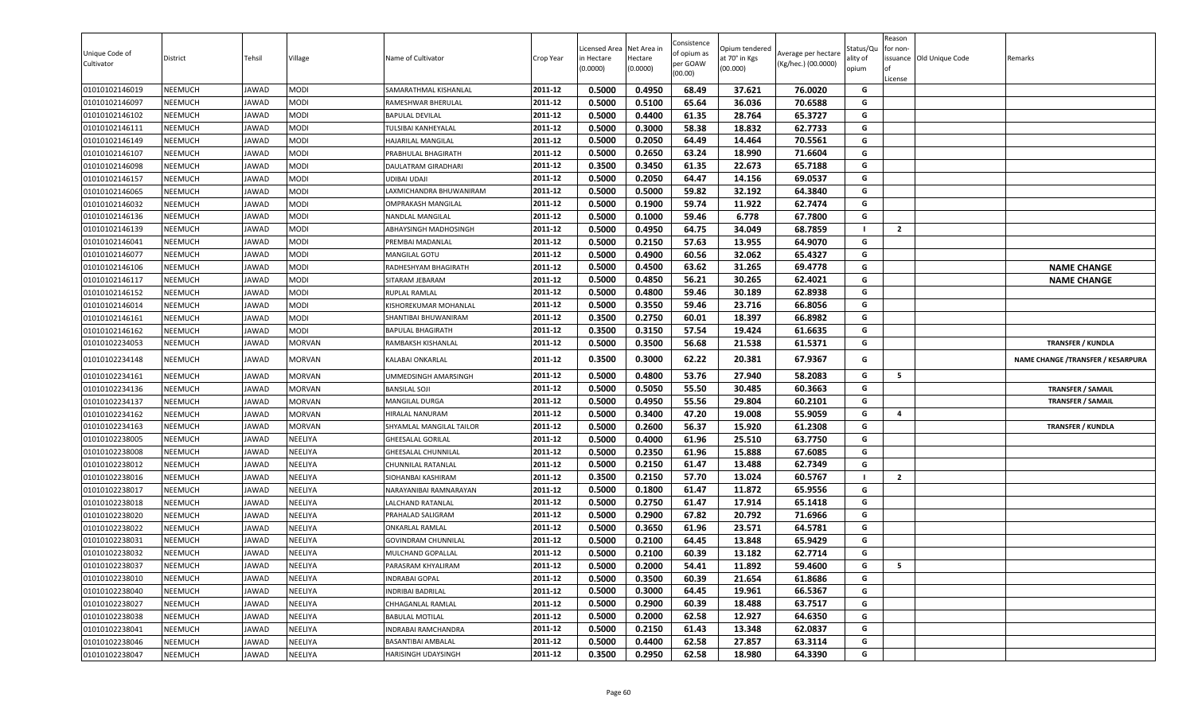| Unique Code of<br>Cultivator | District       | Tehsil       | Village       | Name of Cultivator         | Crop Year | Licensed Area<br>in Hectare<br>(0.0000) | Net Area in<br>Hectare<br>(0.0000) | Consistence<br>of opium as<br>per GOAW<br>(00.00) | Opium tendered<br>at 70° in Kgs<br>(00.000) | Average per hectare<br>(Kg/hec.) (00.0000) | Status/Qเ<br>ality of<br>opium | Reason<br>for non-<br>lof<br>License | issuance Old Unique Code | Remarks                            |
|------------------------------|----------------|--------------|---------------|----------------------------|-----------|-----------------------------------------|------------------------------------|---------------------------------------------------|---------------------------------------------|--------------------------------------------|--------------------------------|--------------------------------------|--------------------------|------------------------------------|
| 01010102146019               | <b>NEEMUCH</b> | JAWAD        | <b>MODI</b>   | SAMARATHMAL KISHANLAL      | 2011-12   | 0.5000                                  | 0.4950                             | 68.49                                             | 37.621                                      | 76.0020                                    | G                              |                                      |                          |                                    |
| 01010102146097               | <b>NEEMUCH</b> | JAWAD        | MODI          | RAMESHWAR BHERULAL         | 2011-12   | 0.5000                                  | 0.5100                             | 65.64                                             | 36.036                                      | 70.6588                                    | G                              |                                      |                          |                                    |
| 01010102146102               | NEEMUCH        | JAWAD        | <b>MODI</b>   | <b>BAPULAL DEVILAL</b>     | 2011-12   | 0.5000                                  | 0.4400                             | 61.35                                             | 28.764                                      | 65.3727                                    | G                              |                                      |                          |                                    |
| 01010102146111               | <b>NEEMUCH</b> | JAWAD        | <b>MODI</b>   | TULSIBAI KANHEYALAL        | 2011-12   | 0.5000                                  | 0.3000                             | 58.38                                             | 18.832                                      | 62.7733                                    | G                              |                                      |                          |                                    |
| 01010102146149               | <b>NEEMUCH</b> | <b>JAWAD</b> | MODI          | HAJARILAL MANGILAL         | 2011-12   | 0.5000                                  | 0.2050                             | 64.49                                             | 14.464                                      | 70.5561                                    | G                              |                                      |                          |                                    |
| 01010102146107               | <b>NEEMUCH</b> | JAWAD        | <b>MODI</b>   | PRABHULAL BHAGIRATH        | 2011-12   | 0.5000                                  | 0.2650                             | 63.24                                             | 18.990                                      | 71.6604                                    | G                              |                                      |                          |                                    |
| 01010102146098               | <b>NEEMUCH</b> | JAWAD        | MODI          | DAULATRAM GIRADHARI        | 2011-12   | 0.3500                                  | 0.3450                             | 61.35                                             | 22.673                                      | 65.7188                                    | G                              |                                      |                          |                                    |
| 01010102146157               | <b>NEEMUCH</b> | JAWAD        | <b>MODI</b>   | UDIBAI UDAJI               | 2011-12   | 0.5000                                  | 0.2050                             | 64.47                                             | 14.156                                      | 69.0537                                    | G                              |                                      |                          |                                    |
| 01010102146065               | <b>NEEMUCH</b> | JAWAD        | MODI          | LAXMICHANDRA BHUWANIRAM    | 2011-12   | 0.5000                                  | 0.5000                             | 59.82                                             | 32.192                                      | 64.3840                                    | G                              |                                      |                          |                                    |
| 01010102146032               | <b>NEEMUCH</b> | JAWAD        | <b>MODI</b>   | <b>OMPRAKASH MANGILAL</b>  | 2011-12   | 0.5000                                  | 0.1900                             | 59.74                                             | 11.922                                      | 62.7474                                    | G                              |                                      |                          |                                    |
| 01010102146136               | <b>NEEMUCH</b> | JAWAD        | <b>MODI</b>   | NANDLAL MANGILAL           | 2011-12   | 0.5000                                  | 0.1000                             | 59.46                                             | 6.778                                       | 67.7800                                    | G                              |                                      |                          |                                    |
| 01010102146139               | <b>NEEMUCH</b> | JAWAD        | <b>MODI</b>   | ABHAYSINGH MADHOSINGH      | 2011-12   | 0.5000                                  | 0.4950                             | 64.75                                             | 34.049                                      | 68.7859                                    | - 1                            | $\overline{2}$                       |                          |                                    |
| 01010102146041               | <b>NEEMUCH</b> | JAWAD        | <b>MODI</b>   | PREMBAI MADANLAL           | 2011-12   | 0.5000                                  | 0.2150                             | 57.63                                             | 13.955                                      | 64.9070                                    | G                              |                                      |                          |                                    |
| 01010102146077               | <b>NEEMUCH</b> | <b>JAWAD</b> | MODI          | MANGILAL GOTU              | 2011-12   | 0.5000                                  | 0.4900                             | 60.56                                             | 32.062                                      | 65.4327                                    | G                              |                                      |                          |                                    |
| 01010102146106               | <b>NEEMUCH</b> | JAWAD        | <b>MODI</b>   | RADHESHYAM BHAGIRATH       | 2011-12   | 0.5000                                  | 0.4500                             | 63.62                                             | 31.265                                      | 69.4778                                    | G                              |                                      |                          | <b>NAME CHANGE</b>                 |
| 01010102146117               | <b>NEEMUCH</b> | JAWAD        | MODI          | SITARAM JEBARAM            | 2011-12   | 0.5000                                  | 0.4850                             | 56.21                                             | 30.265                                      | 62.4021                                    | G                              |                                      |                          | <b>NAME CHANGE</b>                 |
| 01010102146152               | <b>NEEMUCH</b> | JAWAD        | <b>MODI</b>   | RUPLAL RAMLAL              | 2011-12   | 0.5000                                  | 0.4800                             | 59.46                                             | 30.189                                      | 62.8938                                    | G                              |                                      |                          |                                    |
| 01010102146014               | <b>NEEMUCH</b> | JAWAD        | MODI          | KISHOREKUMAR MOHANLAL      | 2011-12   | 0.5000                                  | 0.3550                             | 59.46                                             | 23.716                                      | 66.8056                                    | G                              |                                      |                          |                                    |
| 01010102146161               | <b>NEEMUCH</b> | JAWAD        | MODI          | SHANTIBAI BHUWANIRAM       | 2011-12   | 0.3500                                  | 0.2750                             | 60.01                                             | 18.397                                      | 66.8982                                    | G                              |                                      |                          |                                    |
| 01010102146162               | <b>NEEMUCH</b> | JAWAD        | MODI          | <b>BAPULAL BHAGIRATH</b>   | 2011-12   | 0.3500                                  | 0.3150                             | 57.54                                             | 19.424                                      | 61.6635                                    | G                              |                                      |                          |                                    |
| 01010102234053               | <b>NEEMUCH</b> | JAWAD        | <b>MORVAN</b> | RAMBAKSH KISHANLAL         | 2011-12   | 0.5000                                  | 0.3500                             | 56.68                                             | 21.538                                      | 61.5371                                    | G                              |                                      |                          | <b>TRANSFER / KUNDLA</b>           |
| 01010102234148               | <b>NEEMUCH</b> | JAWAD        | <b>MORVAN</b> | KALABAI ONKARLAL           | 2011-12   | 0.3500                                  | 0.3000                             | 62.22                                             | 20.381                                      | 67.9367                                    | G                              |                                      |                          | NAME CHANGE / TRANSFER / KESARPURA |
| 01010102234161               | <b>NEEMUCH</b> | JAWAD        | <b>MORVAN</b> | UMMEDSINGH AMARSINGH       | 2011-12   | 0.5000                                  | 0.4800                             | 53.76                                             | 27.940                                      | 58.2083                                    | G                              | 5                                    |                          |                                    |
| 01010102234136               | <b>NEEMUCH</b> | JAWAD        | <b>MORVAN</b> | <b>BANSILAL SOJI</b>       | 2011-12   | 0.5000                                  | 0.5050                             | 55.50                                             | 30.485                                      | 60.3663                                    | G                              |                                      |                          | <b>TRANSFER / SAMAIL</b>           |
| 01010102234137               | <b>NEEMUCH</b> | JAWAD        | <b>MORVAN</b> | MANGILAL DURGA             | 2011-12   | 0.5000                                  | 0.4950                             | 55.56                                             | 29.804                                      | 60.2101                                    | G                              |                                      |                          | <b>TRANSFER / SAMAIL</b>           |
| 01010102234162               | <b>NEEMUCH</b> | JAWAD        | <b>MORVAN</b> | HIRALAL NANURAM            | 2011-12   | 0.5000                                  | 0.3400                             | 47.20                                             | 19.008                                      | 55.9059                                    | G                              | $\overline{\mathbf{4}}$              |                          |                                    |
| 01010102234163               | <b>NEEMUCH</b> | JAWAD        | <b>MORVAN</b> | SHYAMLAL MANGILAL TAILOR   | 2011-12   | 0.5000                                  | 0.2600                             | 56.37                                             | 15.920                                      | 61.2308                                    | G                              |                                      |                          | <b>TRANSFER / KUNDLA</b>           |
| 01010102238005               | <b>NEEMUCH</b> | JAWAD        | NEELIYA       | <b>GHEESALAL GORILAL</b>   | 2011-12   | 0.5000                                  | 0.4000                             | 61.96                                             | 25.510                                      | 63.7750                                    | G                              |                                      |                          |                                    |
| 01010102238008               | <b>NEEMUCH</b> | JAWAD        | NEELIYA       | GHEESALAL CHUNNILAL        | 2011-12   | 0.5000                                  | 0.2350                             | 61.96                                             | 15.888                                      | 67.6085                                    | G                              |                                      |                          |                                    |
| 01010102238012               | <b>NEEMUCH</b> | JAWAD        | NEELIYA       | CHUNNILAL RATANLAL         | 2011-12   | 0.5000                                  | 0.2150                             | 61.47                                             | 13.488                                      | 62.7349                                    | G                              |                                      |                          |                                    |
| 01010102238016               | <b>NEEMUCH</b> | JAWAD        | NEELIYA       | SIOHANBAI KASHIRAM         | 2011-12   | 0.3500                                  | 0.2150                             | 57.70                                             | 13.024                                      | 60.5767                                    | - 1                            | $\overline{2}$                       |                          |                                    |
| 01010102238017               | <b>NEEMUCH</b> | JAWAD        | NEELIYA       | NARAYANIBAI RAMNARAYAN     | 2011-12   | 0.5000                                  | 0.1800                             | 61.47                                             | 11.872                                      | 65.9556                                    | G                              |                                      |                          |                                    |
| 01010102238018               | <b>NEEMUCH</b> | JAWAD        | NEELIYA       | LALCHAND RATANLAL          | 2011-12   | 0.5000                                  | 0.2750                             | 61.47                                             | 17.914                                      | 65.1418                                    | G                              |                                      |                          |                                    |
| 01010102238020               | <b>NEEMUCH</b> | JAWAD        | NEELIYA       | PRAHALAD SALIGRAM          | 2011-12   | 0.5000                                  | 0.2900                             | 67.82                                             | 20.792                                      | 71.6966                                    | G                              |                                      |                          |                                    |
| 01010102238022               | <b>NEEMUCH</b> | JAWAD        | NEELIYA       | <b>ONKARLAL RAMLAL</b>     | 2011-12   | 0.5000                                  | 0.3650                             | 61.96                                             | 23.571                                      | 64.5781                                    | G                              |                                      |                          |                                    |
| 01010102238031               | <b>NEEMUCH</b> | <b>JAWAD</b> | NEELIYA       | <b>GOVINDRAM CHUNNILAL</b> | 2011-12   | 0.5000                                  | 0.2100                             | 64.45                                             | 13.848                                      | 65.9429                                    | G                              |                                      |                          |                                    |
| 01010102238032               | <b>NEEMUCH</b> | JAWAD        | NEELIYA       | MULCHAND GOPALLAL          | 2011-12   | 0.5000                                  | 0.2100                             | 60.39                                             | 13.182                                      | 62.7714                                    | G                              |                                      |                          |                                    |
| 01010102238037               | <b>NEEMUCH</b> | JAWAD        | NEELIYA       | PARASRAM KHYALIRAM         | 2011-12   | 0.5000                                  | 0.2000                             | 54.41                                             | 11.892                                      | 59.4600                                    | G                              | 5                                    |                          |                                    |
| 01010102238010               | <b>NEEMUCH</b> | JAWAD        | NEELIYA       | INDRABAI GOPAL             | 2011-12   | 0.5000                                  | 0.3500                             | 60.39                                             | 21.654                                      | 61.8686                                    | G                              |                                      |                          |                                    |
| 01010102238040               | <b>NEEMUCH</b> | JAWAD        | NEELIYA       | INDRIBAI BADRILAL          | 2011-12   | 0.5000                                  | 0.3000                             | 64.45                                             | 19.961                                      | 66.5367                                    | G                              |                                      |                          |                                    |
| 01010102238027               | <b>NEEMUCH</b> | JAWAD        | NEELIYA       | CHHAGANLAL RAMLAL          | 2011-12   | 0.5000                                  | 0.2900                             | 60.39                                             | 18.488                                      | 63.7517                                    | G                              |                                      |                          |                                    |
| 01010102238038               | <b>NEEMUCH</b> | JAWAD        | NEELIYA       | <b>BABULAL MOTILAL</b>     | 2011-12   | 0.5000                                  | 0.2000                             | 62.58                                             | 12.927                                      | 64.6350                                    | G                              |                                      |                          |                                    |
| 01010102238041               | <b>NEEMUCH</b> | JAWAD        | NEELIYA       | INDRABAI RAMCHANDRA        | 2011-12   | 0.5000                                  | 0.2150                             | 61.43                                             | 13.348                                      | 62.0837                                    | G                              |                                      |                          |                                    |
| 01010102238046               | <b>NEEMUCH</b> | JAWAD        | NEELIYA       | BASANTIBAI AMBALAL         | 2011-12   | 0.5000                                  | 0.4400                             | 62.58                                             | 27.857                                      | 63.3114                                    | G                              |                                      |                          |                                    |
| 01010102238047               | <b>NEEMUCH</b> | JAWAD        | NEELIYA       | HARISINGH UDAYSINGH        | 2011-12   | 0.3500                                  | 0.2950                             | 62.58                                             | 18.980                                      | 64.3390                                    | G                              |                                      |                          |                                    |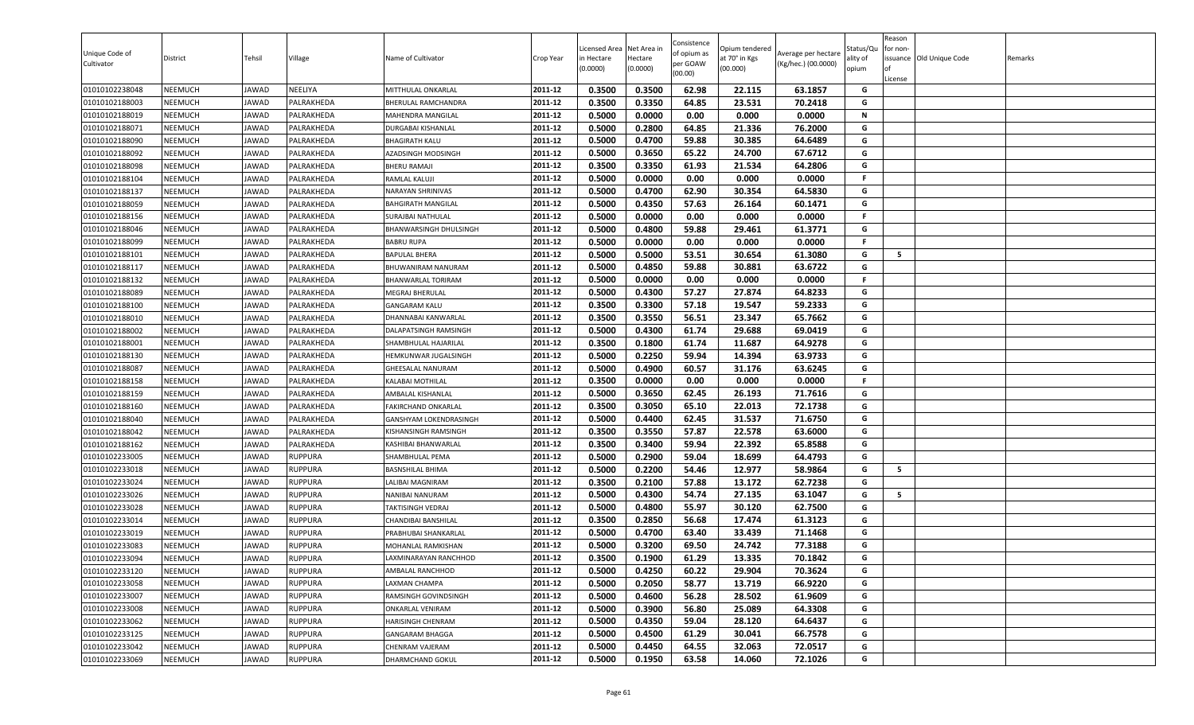| <b>NEEMUCH</b><br>2011-12<br>0.3500<br>0.3350<br>64.85<br>23.531<br>70.2418<br>G<br>01010102188003<br>JAWAD<br>PALRAKHEDA<br>BHERULAL RAMCHANDRA<br>0.0000<br>0.00<br>NEEMUCH<br>2011-12<br>0.5000<br>0.000<br>0.0000<br>N<br>01010102188019<br>JAWAD<br>PALRAKHEDA<br>MAHENDRA MANGILAL<br>2011-12<br>0.2800<br>G<br><b>NEEMUCH</b><br>0.5000<br>64.85<br>21.336<br>76.2000<br>01010102188071<br>JAWAD<br>PALRAKHEDA<br>DURGABAI KISHANLAL<br>0.5000<br>0.4700<br>2011-12<br>59.88<br>30.385<br>64.6489<br>G<br><b>NEEMUCH</b><br>01010102188090<br>JAWAD<br>PALRAKHEDA<br><b>BHAGIRATH KALU</b><br>G<br>2011-12<br>0.5000<br>0.3650<br>65.22<br>67.6712<br>01010102188092<br><b>NEEMUCH</b><br>JAWAD<br>PALRAKHEDA<br>24.700<br>AZADSINGH MODSINGH<br>0.3350<br>2011-12<br>0.3500<br>61.93<br>21.534<br>64.2806<br>G<br><b>NEEMUCH</b><br>JAWAD<br>01010102188098<br>PALRAKHEDA<br><b>BHERU RAMAJI</b><br>2011-12<br>0.00<br>01010102188104<br><b>NEEMUCH</b><br>JAWAD<br>PALRAKHEDA<br>0.5000<br>0.0000<br>0.000<br>0.0000<br>F.<br>RAMLAL KALUJI<br>0.4700<br>01010102188137<br><b>NEEMUCH</b><br>0.5000<br>62.90<br>30.354<br>64.5830<br>JAWAD<br>PALRAKHEDA<br>NARAYAN SHRINIVAS<br>2011-12<br>G<br>0.4350<br>01010102188059<br><b>NEEMUCH</b><br>JAWAD<br>2011-12<br>0.5000<br>57.63<br>26.164<br>60.1471<br>G<br>PALRAKHEDA<br><b>BAHGIRATH MANGILAL</b><br>0.5000<br>0.0000<br>0.00<br>0.000<br>0.0000<br>2011-12<br><b>NEEMUCH</b><br>JAWAD<br>PALRAKHEDA<br>F.<br>01010102188156<br>SURAJBAI NATHULAL<br><b>NEEMUCH</b><br>2011-12<br>0.5000<br>0.4800<br>59.88<br>61.3771<br>G<br>01010102188046<br>JAWAD<br>PALRAKHEDA<br>29.461<br>BHANWARSINGH DHULSINGH<br>0.0000<br>0.00<br>0.0000<br>01010102188099<br><b>NEEMUCH</b><br>0.5000<br>0.000<br>JAWAD<br>PALRAKHEDA<br><b>BABRU RUPA</b><br>2011-12<br>F.<br>2011-12<br>0.5000<br>0.5000<br>G<br>5<br>01010102188101<br><b>NEEMUCH</b><br>53.51<br>30.654<br>61.3080<br>JAWAD<br>PALRAKHEDA<br><b>BAPULAL BHERA</b><br>0.5000<br>0.4850<br>59.88<br>63.6722<br>G<br>01010102188117<br><b>NEEMUCH</b><br>JAWAD<br>PALRAKHEDA<br>BHUWANIRAM NANURAM<br>2011-12<br>30.881<br><b>NEEMUCH</b><br>JAWAD<br>2011-12<br>0.5000<br>0.0000<br>0.00<br>0.000<br>0.0000<br>F.<br>01010102188132<br>PALRAKHEDA<br>BHANWARLAL TORIRAM<br>01010102188089<br><b>NEEMUCH</b><br>JAWAD<br>PALRAKHEDA<br>2011-12<br>0.5000<br>0.4300<br>57.27<br>27.874<br>64.8233<br><b>MEGRAJ BHERULAL</b><br>G<br>01010102188100<br><b>NEEMUCH</b><br>2011-12<br>0.3500<br>0.3300<br>57.18<br>19.547<br>59.2333<br>G<br>JAWAD<br>PALRAKHEDA<br>GANGARAM KALU<br>01010102188010<br><b>NEEMUCH</b><br>JAWAD<br>2011-12<br>0.3500<br>0.3550<br>56.51<br>23.347<br>65.7662<br>G<br>PALRAKHEDA<br>DHANNABAI KANWARLAL<br>0.4300<br>0.5000<br>61.74<br>29.688<br>69.0419<br>G<br><b>NEEMUCH</b><br>2011-12<br>01010102188002<br>JAWAD<br>PALRAKHEDA<br>DALAPATSINGH RAMSINGH<br><b>NEEMUCH</b><br>0.3500<br>0.1800<br>61.74<br>64.9278<br>01010102188001<br>JAWAD<br>PALRAKHEDA<br>2011-12<br>11.687<br>G<br>SHAMBHULAL HAJARILAL<br>0.2250<br>63.9733<br>0.5000<br>59.94<br>14.394<br>G<br>2011-12<br>01010102188130<br><b>NEEMUCH</b><br>JAWAD<br>PALRAKHEDA<br>HEMKUNWAR JUGALSINGH<br>01010102188087<br><b>NEEMUCH</b><br>0.5000<br>0.4900<br>60.57<br>63.6245<br>G<br>JAWAD<br>PALRAKHEDA<br>GHEESALAL NANURAM<br>2011-12<br>31.176<br>0.3500<br>0.0000<br>0.00<br>0.0000<br>2011-12<br>0.000<br>F.<br>01010102188158<br><b>NEEMUCH</b><br>JAWAD<br>PALRAKHEDA<br>KALABAI MOTHILAL<br><b>NEEMUCH</b><br>JAWAD<br>0.5000<br>0.3650<br>62.45<br>26.193<br>71.7616<br>G<br>01010102188159<br>PALRAKHEDA<br>2011-12<br>AMBALAL KISHANLAL<br>2011-12<br>0.3500<br>0.3050<br>65.10<br>22.013<br>72.1738<br>01010102188160<br><b>NEEMUCH</b><br>JAWAD<br>PALRAKHEDA<br><b>FAKIRCHAND ONKARLAL</b><br>G<br>0.4400<br>01010102188040<br><b>NEEMUCH</b><br>0.5000<br>62.45<br>31.537<br>71.6750<br>G<br>JAWAD<br>PALRAKHEDA<br>2011-12<br>GANSHYAM LOKENDRASINGH<br>2011-12<br>0.3500<br>0.3550<br>57.87<br>22.578<br>63.6000<br>G<br>01010102188042<br><b>NEEMUCH</b><br>JAWAD<br>PALRAKHEDA<br>KISHANSINGH RAMSINGH<br>0.3500<br>0.3400<br>59.94<br>65.8588<br>NEEMUCH<br>22.392<br>G<br>01010102188162<br>JAWAD<br>PALRAKHEDA<br>2011-12<br>KASHIBAI BHANWARLAL<br>0.5000<br>0.2900<br>59.04<br>18.699<br>64.4793<br>2011-12<br>G<br>01010102233005<br><b>NEEMUCH</b><br>JAWAD<br><b>RUPPURA</b><br>SHAMBHULAL PEMA<br>0.2200<br>01010102233018<br>0.5000<br>54.46<br>12.977<br>58.9864<br>G<br>5<br><b>NEEMUCH</b><br>JAWAD<br><b>RUPPURA</b><br><b>BASNSHILAL BHIMA</b><br>2011-12<br>0.3500<br>0.2100<br>13.172<br>57.88<br>62.7238<br>01010102233024<br><b>NEEMUCH</b><br>JAWAD<br><b>RUPPURA</b><br>LALIBAI MAGNIRAM<br>2011-12<br>G<br>01010102233026<br>JAWAD<br><b>RUPPURA</b><br>2011-12<br>0.5000<br>0.4300<br>54.74<br>27.135<br>63.1047<br>5<br><b>NEEMUCH</b><br>NANIBAI NANURAM<br>G<br>0.5000<br>0.4800<br>55.97<br>30.120<br>62.7500<br>01010102233028<br><b>NEEMUCH</b><br><b>RUPPURA</b><br>2011-12<br>G<br>JAWAD<br>TAKTISINGH VEDRAJ<br>01010102233014<br><b>NEEMUCH</b><br>JAWAD<br><b>RUPPURA</b><br>2011-12<br>0.3500<br>0.2850<br>56.68<br>17.474<br>61.3123<br>G<br>CHANDIBAI BANSHILAL<br>0.4700<br>2011-12<br>0.5000<br>63.40<br>33.439<br>71.1468<br>G<br>01010102233019<br><b>NEEMUCH</b><br>PRABHUBAI SHANKARLAL<br>JAWAD<br><b>RUPPURA</b><br>0.5000<br>0.3200<br>77.3188<br>G<br>01010102233083<br><b>NEEMUCH</b><br>JAWAD<br><b>RUPPURA</b><br>2011-12<br>69.50<br>24.742<br>MOHANLAL RAMKISHAN<br>0.3500<br>0.1900<br>61.29<br>13.335<br>2011-12<br>70.1842<br>G<br><b>NEEMUCH</b><br>JAWAD<br><b>RUPPURA</b><br>01010102233094<br>LAXMINARAYAN RANCHHOD<br>2011-12<br>01010102233120<br><b>NEEMUCH</b><br>JAWAD<br>0.5000<br>0.4250<br>60.22<br>70.3624<br>G<br><b>RUPPURA</b><br>AMBALAL RANCHHOD<br>29.904<br>0.2050<br>2011-12<br>0.5000<br>58.77<br>13.719<br>66.9220<br>G<br>01010102233058<br><b>NEEMUCH</b><br>JAWAD<br><b>RUPPURA</b><br>LAXMAN CHAMPA<br>2011-12<br>0.4600<br>G<br>01010102233007<br><b>NEEMUCH</b><br>JAWAD<br><b>RUPPURA</b><br>0.5000<br>56.28<br>28.502<br>61.9609<br>RAMSINGH GOVINDSINGH<br>2011-12<br>0.5000<br>0.3900<br>56.80<br>25.089<br>64.3308<br>01010102233008<br><b>NEEMUCH</b><br>JAWAD<br><b>RUPPURA</b><br>ONKARLAL VENIRAM<br>G<br>G<br>01010102233062<br><b>NEEMUCH</b><br>2011-12<br>0.5000<br>0.4350<br>59.04<br>28.120<br>64.6437<br>JAWAD<br><b>RUPPURA</b><br>HARISINGH CHENRAM<br>01010102233125<br><b>NEEMUCH</b><br>JAWAD<br><b>RUPPURA</b><br>2011-12<br>0.5000<br>0.4500<br>61.29<br>30.041<br>66.7578<br>G<br><b>GANGARAM BHAGGA</b><br>2011-12<br>32.063<br>72.0517<br>G<br>01010102233042<br><b>NEEMUCH</b><br>0.5000<br>0.4450<br>64.55<br>JAWAD<br><b>RUPPURA</b><br>CHENRAM VAJERAM<br>01010102233069<br><b>NEEMUCH</b><br>0.5000<br>0.1950<br>63.58<br>72.1026<br>G<br>JAWAD<br><b>RUPPURA</b><br>2011-12<br>14.060<br>DHARMCHAND GOKUL | Unique Code of<br>Cultivator | District       | Tehsil | Village | Name of Cultivator | Crop Year | Licensed Area<br>in Hectare<br>(0.0000) | Net Area in<br>Hectare<br>(0.0000) | Consistence<br>of opium as<br>per GOAW<br>(00.00) | Opium tendered<br>at 70° in Kgs<br>(00.000) | Average per hectare<br>(Kg/hec.) (00.0000) | Status/Qu<br>ality of<br>opium | Reason<br>for non-<br>lof<br>License | issuance Old Unique Code | Remarks |
|-----------------------------------------------------------------------------------------------------------------------------------------------------------------------------------------------------------------------------------------------------------------------------------------------------------------------------------------------------------------------------------------------------------------------------------------------------------------------------------------------------------------------------------------------------------------------------------------------------------------------------------------------------------------------------------------------------------------------------------------------------------------------------------------------------------------------------------------------------------------------------------------------------------------------------------------------------------------------------------------------------------------------------------------------------------------------------------------------------------------------------------------------------------------------------------------------------------------------------------------------------------------------------------------------------------------------------------------------------------------------------------------------------------------------------------------------------------------------------------------------------------------------------------------------------------------------------------------------------------------------------------------------------------------------------------------------------------------------------------------------------------------------------------------------------------------------------------------------------------------------------------------------------------------------------------------------------------------------------------------------------------------------------------------------------------------------------------------------------------------------------------------------------------------------------------------------------------------------------------------------------------------------------------------------------------------------------------------------------------------------------------------------------------------------------------------------------------------------------------------------------------------------------------------------------------------------------------------------------------------------------------------------------------------------------------------------------------------------------------------------------------------------------------------------------------------------------------------------------------------------------------------------------------------------------------------------------------------------------------------------------------------------------------------------------------------------------------------------------------------------------------------------------------------------------------------------------------------------------------------------------------------------------------------------------------------------------------------------------------------------------------------------------------------------------------------------------------------------------------------------------------------------------------------------------------------------------------------------------------------------------------------------------------------------------------------------------------------------------------------------------------------------------------------------------------------------------------------------------------------------------------------------------------------------------------------------------------------------------------------------------------------------------------------------------------------------------------------------------------------------------------------------------------------------------------------------------------------------------------------------------------------------------------------------------------------------------------------------------------------------------------------------------------------------------------------------------------------------------------------------------------------------------------------------------------------------------------------------------------------------------------------------------------------------------------------------------------------------------------------------------------------------------------------------------------------------------------------------------------------------------------------------------------------------------------------------------------------------------------------------------------------------------------------------------------------------------------------------------------------------------------------------------------------------------------------------------------------------------------------------------------------------------------------------------------------------------------------------------------------------------------------------------------------------------------------------------------------------------------------------------------------------------------------------------------------------------------------------------------------------------------------------------------------------------------------------------------------------------------------------------------------------------------------------------------------------------------------------------------------------------------------------------------------------------------------------------------------------------------------------------------------------------------------------------------------------------------------------------------------------------------------------------------------------------------------------------------------------------------------------------------------------------------------------------------------------------------------------------------------------------------------------------------------------------------------------------------------------------------------------------------------------------------------------------------------------------------------------------------------------------------------------------------------------------------------------------------------------------------------------------------------------------------------------------------------------------------------------------------------------------------------------------------------------------------------------------------------|------------------------------|----------------|--------|---------|--------------------|-----------|-----------------------------------------|------------------------------------|---------------------------------------------------|---------------------------------------------|--------------------------------------------|--------------------------------|--------------------------------------|--------------------------|---------|
|                                                                                                                                                                                                                                                                                                                                                                                                                                                                                                                                                                                                                                                                                                                                                                                                                                                                                                                                                                                                                                                                                                                                                                                                                                                                                                                                                                                                                                                                                                                                                                                                                                                                                                                                                                                                                                                                                                                                                                                                                                                                                                                                                                                                                                                                                                                                                                                                                                                                                                                                                                                                                                                                                                                                                                                                                                                                                                                                                                                                                                                                                                                                                                                                                                                                                                                                                                                                                                                                                                                                                                                                                                                                                                                                                                                                                                                                                                                                                                                                                                                                                                                                                                                                                                                                                                                                                                                                                                                                                                                                                                                                                                                                                                                                                                                                                                                                                                                                                                                                                                                                                                                                                                                                                                                                                                                                                                                                                                                                                                                                                                                                                                                                                                                                                                                                                                                                                                                                                                                                                                                                                                                                                                                                                                                                                                                                                                                                                                                                                                                                                                                                                                                                                                                                                                                                                                                                                                                                                                 | 01010102238048               | <b>NEEMUCH</b> | JAWAD  | NEELIYA | MITTHULAL ONKARLAL | 2011-12   | 0.3500                                  | 0.3500                             | 62.98                                             | 22.115                                      | 63.1857                                    | G                              |                                      |                          |         |
|                                                                                                                                                                                                                                                                                                                                                                                                                                                                                                                                                                                                                                                                                                                                                                                                                                                                                                                                                                                                                                                                                                                                                                                                                                                                                                                                                                                                                                                                                                                                                                                                                                                                                                                                                                                                                                                                                                                                                                                                                                                                                                                                                                                                                                                                                                                                                                                                                                                                                                                                                                                                                                                                                                                                                                                                                                                                                                                                                                                                                                                                                                                                                                                                                                                                                                                                                                                                                                                                                                                                                                                                                                                                                                                                                                                                                                                                                                                                                                                                                                                                                                                                                                                                                                                                                                                                                                                                                                                                                                                                                                                                                                                                                                                                                                                                                                                                                                                                                                                                                                                                                                                                                                                                                                                                                                                                                                                                                                                                                                                                                                                                                                                                                                                                                                                                                                                                                                                                                                                                                                                                                                                                                                                                                                                                                                                                                                                                                                                                                                                                                                                                                                                                                                                                                                                                                                                                                                                                                                 |                              |                |        |         |                    |           |                                         |                                    |                                                   |                                             |                                            |                                |                                      |                          |         |
|                                                                                                                                                                                                                                                                                                                                                                                                                                                                                                                                                                                                                                                                                                                                                                                                                                                                                                                                                                                                                                                                                                                                                                                                                                                                                                                                                                                                                                                                                                                                                                                                                                                                                                                                                                                                                                                                                                                                                                                                                                                                                                                                                                                                                                                                                                                                                                                                                                                                                                                                                                                                                                                                                                                                                                                                                                                                                                                                                                                                                                                                                                                                                                                                                                                                                                                                                                                                                                                                                                                                                                                                                                                                                                                                                                                                                                                                                                                                                                                                                                                                                                                                                                                                                                                                                                                                                                                                                                                                                                                                                                                                                                                                                                                                                                                                                                                                                                                                                                                                                                                                                                                                                                                                                                                                                                                                                                                                                                                                                                                                                                                                                                                                                                                                                                                                                                                                                                                                                                                                                                                                                                                                                                                                                                                                                                                                                                                                                                                                                                                                                                                                                                                                                                                                                                                                                                                                                                                                                                 |                              |                |        |         |                    |           |                                         |                                    |                                                   |                                             |                                            |                                |                                      |                          |         |
|                                                                                                                                                                                                                                                                                                                                                                                                                                                                                                                                                                                                                                                                                                                                                                                                                                                                                                                                                                                                                                                                                                                                                                                                                                                                                                                                                                                                                                                                                                                                                                                                                                                                                                                                                                                                                                                                                                                                                                                                                                                                                                                                                                                                                                                                                                                                                                                                                                                                                                                                                                                                                                                                                                                                                                                                                                                                                                                                                                                                                                                                                                                                                                                                                                                                                                                                                                                                                                                                                                                                                                                                                                                                                                                                                                                                                                                                                                                                                                                                                                                                                                                                                                                                                                                                                                                                                                                                                                                                                                                                                                                                                                                                                                                                                                                                                                                                                                                                                                                                                                                                                                                                                                                                                                                                                                                                                                                                                                                                                                                                                                                                                                                                                                                                                                                                                                                                                                                                                                                                                                                                                                                                                                                                                                                                                                                                                                                                                                                                                                                                                                                                                                                                                                                                                                                                                                                                                                                                                                 |                              |                |        |         |                    |           |                                         |                                    |                                                   |                                             |                                            |                                |                                      |                          |         |
|                                                                                                                                                                                                                                                                                                                                                                                                                                                                                                                                                                                                                                                                                                                                                                                                                                                                                                                                                                                                                                                                                                                                                                                                                                                                                                                                                                                                                                                                                                                                                                                                                                                                                                                                                                                                                                                                                                                                                                                                                                                                                                                                                                                                                                                                                                                                                                                                                                                                                                                                                                                                                                                                                                                                                                                                                                                                                                                                                                                                                                                                                                                                                                                                                                                                                                                                                                                                                                                                                                                                                                                                                                                                                                                                                                                                                                                                                                                                                                                                                                                                                                                                                                                                                                                                                                                                                                                                                                                                                                                                                                                                                                                                                                                                                                                                                                                                                                                                                                                                                                                                                                                                                                                                                                                                                                                                                                                                                                                                                                                                                                                                                                                                                                                                                                                                                                                                                                                                                                                                                                                                                                                                                                                                                                                                                                                                                                                                                                                                                                                                                                                                                                                                                                                                                                                                                                                                                                                                                                 |                              |                |        |         |                    |           |                                         |                                    |                                                   |                                             |                                            |                                |                                      |                          |         |
|                                                                                                                                                                                                                                                                                                                                                                                                                                                                                                                                                                                                                                                                                                                                                                                                                                                                                                                                                                                                                                                                                                                                                                                                                                                                                                                                                                                                                                                                                                                                                                                                                                                                                                                                                                                                                                                                                                                                                                                                                                                                                                                                                                                                                                                                                                                                                                                                                                                                                                                                                                                                                                                                                                                                                                                                                                                                                                                                                                                                                                                                                                                                                                                                                                                                                                                                                                                                                                                                                                                                                                                                                                                                                                                                                                                                                                                                                                                                                                                                                                                                                                                                                                                                                                                                                                                                                                                                                                                                                                                                                                                                                                                                                                                                                                                                                                                                                                                                                                                                                                                                                                                                                                                                                                                                                                                                                                                                                                                                                                                                                                                                                                                                                                                                                                                                                                                                                                                                                                                                                                                                                                                                                                                                                                                                                                                                                                                                                                                                                                                                                                                                                                                                                                                                                                                                                                                                                                                                                                 |                              |                |        |         |                    |           |                                         |                                    |                                                   |                                             |                                            |                                |                                      |                          |         |
|                                                                                                                                                                                                                                                                                                                                                                                                                                                                                                                                                                                                                                                                                                                                                                                                                                                                                                                                                                                                                                                                                                                                                                                                                                                                                                                                                                                                                                                                                                                                                                                                                                                                                                                                                                                                                                                                                                                                                                                                                                                                                                                                                                                                                                                                                                                                                                                                                                                                                                                                                                                                                                                                                                                                                                                                                                                                                                                                                                                                                                                                                                                                                                                                                                                                                                                                                                                                                                                                                                                                                                                                                                                                                                                                                                                                                                                                                                                                                                                                                                                                                                                                                                                                                                                                                                                                                                                                                                                                                                                                                                                                                                                                                                                                                                                                                                                                                                                                                                                                                                                                                                                                                                                                                                                                                                                                                                                                                                                                                                                                                                                                                                                                                                                                                                                                                                                                                                                                                                                                                                                                                                                                                                                                                                                                                                                                                                                                                                                                                                                                                                                                                                                                                                                                                                                                                                                                                                                                                                 |                              |                |        |         |                    |           |                                         |                                    |                                                   |                                             |                                            |                                |                                      |                          |         |
|                                                                                                                                                                                                                                                                                                                                                                                                                                                                                                                                                                                                                                                                                                                                                                                                                                                                                                                                                                                                                                                                                                                                                                                                                                                                                                                                                                                                                                                                                                                                                                                                                                                                                                                                                                                                                                                                                                                                                                                                                                                                                                                                                                                                                                                                                                                                                                                                                                                                                                                                                                                                                                                                                                                                                                                                                                                                                                                                                                                                                                                                                                                                                                                                                                                                                                                                                                                                                                                                                                                                                                                                                                                                                                                                                                                                                                                                                                                                                                                                                                                                                                                                                                                                                                                                                                                                                                                                                                                                                                                                                                                                                                                                                                                                                                                                                                                                                                                                                                                                                                                                                                                                                                                                                                                                                                                                                                                                                                                                                                                                                                                                                                                                                                                                                                                                                                                                                                                                                                                                                                                                                                                                                                                                                                                                                                                                                                                                                                                                                                                                                                                                                                                                                                                                                                                                                                                                                                                                                                 |                              |                |        |         |                    |           |                                         |                                    |                                                   |                                             |                                            |                                |                                      |                          |         |
|                                                                                                                                                                                                                                                                                                                                                                                                                                                                                                                                                                                                                                                                                                                                                                                                                                                                                                                                                                                                                                                                                                                                                                                                                                                                                                                                                                                                                                                                                                                                                                                                                                                                                                                                                                                                                                                                                                                                                                                                                                                                                                                                                                                                                                                                                                                                                                                                                                                                                                                                                                                                                                                                                                                                                                                                                                                                                                                                                                                                                                                                                                                                                                                                                                                                                                                                                                                                                                                                                                                                                                                                                                                                                                                                                                                                                                                                                                                                                                                                                                                                                                                                                                                                                                                                                                                                                                                                                                                                                                                                                                                                                                                                                                                                                                                                                                                                                                                                                                                                                                                                                                                                                                                                                                                                                                                                                                                                                                                                                                                                                                                                                                                                                                                                                                                                                                                                                                                                                                                                                                                                                                                                                                                                                                                                                                                                                                                                                                                                                                                                                                                                                                                                                                                                                                                                                                                                                                                                                                 |                              |                |        |         |                    |           |                                         |                                    |                                                   |                                             |                                            |                                |                                      |                          |         |
|                                                                                                                                                                                                                                                                                                                                                                                                                                                                                                                                                                                                                                                                                                                                                                                                                                                                                                                                                                                                                                                                                                                                                                                                                                                                                                                                                                                                                                                                                                                                                                                                                                                                                                                                                                                                                                                                                                                                                                                                                                                                                                                                                                                                                                                                                                                                                                                                                                                                                                                                                                                                                                                                                                                                                                                                                                                                                                                                                                                                                                                                                                                                                                                                                                                                                                                                                                                                                                                                                                                                                                                                                                                                                                                                                                                                                                                                                                                                                                                                                                                                                                                                                                                                                                                                                                                                                                                                                                                                                                                                                                                                                                                                                                                                                                                                                                                                                                                                                                                                                                                                                                                                                                                                                                                                                                                                                                                                                                                                                                                                                                                                                                                                                                                                                                                                                                                                                                                                                                                                                                                                                                                                                                                                                                                                                                                                                                                                                                                                                                                                                                                                                                                                                                                                                                                                                                                                                                                                                                 |                              |                |        |         |                    |           |                                         |                                    |                                                   |                                             |                                            |                                |                                      |                          |         |
|                                                                                                                                                                                                                                                                                                                                                                                                                                                                                                                                                                                                                                                                                                                                                                                                                                                                                                                                                                                                                                                                                                                                                                                                                                                                                                                                                                                                                                                                                                                                                                                                                                                                                                                                                                                                                                                                                                                                                                                                                                                                                                                                                                                                                                                                                                                                                                                                                                                                                                                                                                                                                                                                                                                                                                                                                                                                                                                                                                                                                                                                                                                                                                                                                                                                                                                                                                                                                                                                                                                                                                                                                                                                                                                                                                                                                                                                                                                                                                                                                                                                                                                                                                                                                                                                                                                                                                                                                                                                                                                                                                                                                                                                                                                                                                                                                                                                                                                                                                                                                                                                                                                                                                                                                                                                                                                                                                                                                                                                                                                                                                                                                                                                                                                                                                                                                                                                                                                                                                                                                                                                                                                                                                                                                                                                                                                                                                                                                                                                                                                                                                                                                                                                                                                                                                                                                                                                                                                                                                 |                              |                |        |         |                    |           |                                         |                                    |                                                   |                                             |                                            |                                |                                      |                          |         |
|                                                                                                                                                                                                                                                                                                                                                                                                                                                                                                                                                                                                                                                                                                                                                                                                                                                                                                                                                                                                                                                                                                                                                                                                                                                                                                                                                                                                                                                                                                                                                                                                                                                                                                                                                                                                                                                                                                                                                                                                                                                                                                                                                                                                                                                                                                                                                                                                                                                                                                                                                                                                                                                                                                                                                                                                                                                                                                                                                                                                                                                                                                                                                                                                                                                                                                                                                                                                                                                                                                                                                                                                                                                                                                                                                                                                                                                                                                                                                                                                                                                                                                                                                                                                                                                                                                                                                                                                                                                                                                                                                                                                                                                                                                                                                                                                                                                                                                                                                                                                                                                                                                                                                                                                                                                                                                                                                                                                                                                                                                                                                                                                                                                                                                                                                                                                                                                                                                                                                                                                                                                                                                                                                                                                                                                                                                                                                                                                                                                                                                                                                                                                                                                                                                                                                                                                                                                                                                                                                                 |                              |                |        |         |                    |           |                                         |                                    |                                                   |                                             |                                            |                                |                                      |                          |         |
|                                                                                                                                                                                                                                                                                                                                                                                                                                                                                                                                                                                                                                                                                                                                                                                                                                                                                                                                                                                                                                                                                                                                                                                                                                                                                                                                                                                                                                                                                                                                                                                                                                                                                                                                                                                                                                                                                                                                                                                                                                                                                                                                                                                                                                                                                                                                                                                                                                                                                                                                                                                                                                                                                                                                                                                                                                                                                                                                                                                                                                                                                                                                                                                                                                                                                                                                                                                                                                                                                                                                                                                                                                                                                                                                                                                                                                                                                                                                                                                                                                                                                                                                                                                                                                                                                                                                                                                                                                                                                                                                                                                                                                                                                                                                                                                                                                                                                                                                                                                                                                                                                                                                                                                                                                                                                                                                                                                                                                                                                                                                                                                                                                                                                                                                                                                                                                                                                                                                                                                                                                                                                                                                                                                                                                                                                                                                                                                                                                                                                                                                                                                                                                                                                                                                                                                                                                                                                                                                                                 |                              |                |        |         |                    |           |                                         |                                    |                                                   |                                             |                                            |                                |                                      |                          |         |
|                                                                                                                                                                                                                                                                                                                                                                                                                                                                                                                                                                                                                                                                                                                                                                                                                                                                                                                                                                                                                                                                                                                                                                                                                                                                                                                                                                                                                                                                                                                                                                                                                                                                                                                                                                                                                                                                                                                                                                                                                                                                                                                                                                                                                                                                                                                                                                                                                                                                                                                                                                                                                                                                                                                                                                                                                                                                                                                                                                                                                                                                                                                                                                                                                                                                                                                                                                                                                                                                                                                                                                                                                                                                                                                                                                                                                                                                                                                                                                                                                                                                                                                                                                                                                                                                                                                                                                                                                                                                                                                                                                                                                                                                                                                                                                                                                                                                                                                                                                                                                                                                                                                                                                                                                                                                                                                                                                                                                                                                                                                                                                                                                                                                                                                                                                                                                                                                                                                                                                                                                                                                                                                                                                                                                                                                                                                                                                                                                                                                                                                                                                                                                                                                                                                                                                                                                                                                                                                                                                 |                              |                |        |         |                    |           |                                         |                                    |                                                   |                                             |                                            |                                |                                      |                          |         |
|                                                                                                                                                                                                                                                                                                                                                                                                                                                                                                                                                                                                                                                                                                                                                                                                                                                                                                                                                                                                                                                                                                                                                                                                                                                                                                                                                                                                                                                                                                                                                                                                                                                                                                                                                                                                                                                                                                                                                                                                                                                                                                                                                                                                                                                                                                                                                                                                                                                                                                                                                                                                                                                                                                                                                                                                                                                                                                                                                                                                                                                                                                                                                                                                                                                                                                                                                                                                                                                                                                                                                                                                                                                                                                                                                                                                                                                                                                                                                                                                                                                                                                                                                                                                                                                                                                                                                                                                                                                                                                                                                                                                                                                                                                                                                                                                                                                                                                                                                                                                                                                                                                                                                                                                                                                                                                                                                                                                                                                                                                                                                                                                                                                                                                                                                                                                                                                                                                                                                                                                                                                                                                                                                                                                                                                                                                                                                                                                                                                                                                                                                                                                                                                                                                                                                                                                                                                                                                                                                                 |                              |                |        |         |                    |           |                                         |                                    |                                                   |                                             |                                            |                                |                                      |                          |         |
|                                                                                                                                                                                                                                                                                                                                                                                                                                                                                                                                                                                                                                                                                                                                                                                                                                                                                                                                                                                                                                                                                                                                                                                                                                                                                                                                                                                                                                                                                                                                                                                                                                                                                                                                                                                                                                                                                                                                                                                                                                                                                                                                                                                                                                                                                                                                                                                                                                                                                                                                                                                                                                                                                                                                                                                                                                                                                                                                                                                                                                                                                                                                                                                                                                                                                                                                                                                                                                                                                                                                                                                                                                                                                                                                                                                                                                                                                                                                                                                                                                                                                                                                                                                                                                                                                                                                                                                                                                                                                                                                                                                                                                                                                                                                                                                                                                                                                                                                                                                                                                                                                                                                                                                                                                                                                                                                                                                                                                                                                                                                                                                                                                                                                                                                                                                                                                                                                                                                                                                                                                                                                                                                                                                                                                                                                                                                                                                                                                                                                                                                                                                                                                                                                                                                                                                                                                                                                                                                                                 |                              |                |        |         |                    |           |                                         |                                    |                                                   |                                             |                                            |                                |                                      |                          |         |
|                                                                                                                                                                                                                                                                                                                                                                                                                                                                                                                                                                                                                                                                                                                                                                                                                                                                                                                                                                                                                                                                                                                                                                                                                                                                                                                                                                                                                                                                                                                                                                                                                                                                                                                                                                                                                                                                                                                                                                                                                                                                                                                                                                                                                                                                                                                                                                                                                                                                                                                                                                                                                                                                                                                                                                                                                                                                                                                                                                                                                                                                                                                                                                                                                                                                                                                                                                                                                                                                                                                                                                                                                                                                                                                                                                                                                                                                                                                                                                                                                                                                                                                                                                                                                                                                                                                                                                                                                                                                                                                                                                                                                                                                                                                                                                                                                                                                                                                                                                                                                                                                                                                                                                                                                                                                                                                                                                                                                                                                                                                                                                                                                                                                                                                                                                                                                                                                                                                                                                                                                                                                                                                                                                                                                                                                                                                                                                                                                                                                                                                                                                                                                                                                                                                                                                                                                                                                                                                                                                 |                              |                |        |         |                    |           |                                         |                                    |                                                   |                                             |                                            |                                |                                      |                          |         |
|                                                                                                                                                                                                                                                                                                                                                                                                                                                                                                                                                                                                                                                                                                                                                                                                                                                                                                                                                                                                                                                                                                                                                                                                                                                                                                                                                                                                                                                                                                                                                                                                                                                                                                                                                                                                                                                                                                                                                                                                                                                                                                                                                                                                                                                                                                                                                                                                                                                                                                                                                                                                                                                                                                                                                                                                                                                                                                                                                                                                                                                                                                                                                                                                                                                                                                                                                                                                                                                                                                                                                                                                                                                                                                                                                                                                                                                                                                                                                                                                                                                                                                                                                                                                                                                                                                                                                                                                                                                                                                                                                                                                                                                                                                                                                                                                                                                                                                                                                                                                                                                                                                                                                                                                                                                                                                                                                                                                                                                                                                                                                                                                                                                                                                                                                                                                                                                                                                                                                                                                                                                                                                                                                                                                                                                                                                                                                                                                                                                                                                                                                                                                                                                                                                                                                                                                                                                                                                                                                                 |                              |                |        |         |                    |           |                                         |                                    |                                                   |                                             |                                            |                                |                                      |                          |         |
|                                                                                                                                                                                                                                                                                                                                                                                                                                                                                                                                                                                                                                                                                                                                                                                                                                                                                                                                                                                                                                                                                                                                                                                                                                                                                                                                                                                                                                                                                                                                                                                                                                                                                                                                                                                                                                                                                                                                                                                                                                                                                                                                                                                                                                                                                                                                                                                                                                                                                                                                                                                                                                                                                                                                                                                                                                                                                                                                                                                                                                                                                                                                                                                                                                                                                                                                                                                                                                                                                                                                                                                                                                                                                                                                                                                                                                                                                                                                                                                                                                                                                                                                                                                                                                                                                                                                                                                                                                                                                                                                                                                                                                                                                                                                                                                                                                                                                                                                                                                                                                                                                                                                                                                                                                                                                                                                                                                                                                                                                                                                                                                                                                                                                                                                                                                                                                                                                                                                                                                                                                                                                                                                                                                                                                                                                                                                                                                                                                                                                                                                                                                                                                                                                                                                                                                                                                                                                                                                                                 |                              |                |        |         |                    |           |                                         |                                    |                                                   |                                             |                                            |                                |                                      |                          |         |
|                                                                                                                                                                                                                                                                                                                                                                                                                                                                                                                                                                                                                                                                                                                                                                                                                                                                                                                                                                                                                                                                                                                                                                                                                                                                                                                                                                                                                                                                                                                                                                                                                                                                                                                                                                                                                                                                                                                                                                                                                                                                                                                                                                                                                                                                                                                                                                                                                                                                                                                                                                                                                                                                                                                                                                                                                                                                                                                                                                                                                                                                                                                                                                                                                                                                                                                                                                                                                                                                                                                                                                                                                                                                                                                                                                                                                                                                                                                                                                                                                                                                                                                                                                                                                                                                                                                                                                                                                                                                                                                                                                                                                                                                                                                                                                                                                                                                                                                                                                                                                                                                                                                                                                                                                                                                                                                                                                                                                                                                                                                                                                                                                                                                                                                                                                                                                                                                                                                                                                                                                                                                                                                                                                                                                                                                                                                                                                                                                                                                                                                                                                                                                                                                                                                                                                                                                                                                                                                                                                 |                              |                |        |         |                    |           |                                         |                                    |                                                   |                                             |                                            |                                |                                      |                          |         |
|                                                                                                                                                                                                                                                                                                                                                                                                                                                                                                                                                                                                                                                                                                                                                                                                                                                                                                                                                                                                                                                                                                                                                                                                                                                                                                                                                                                                                                                                                                                                                                                                                                                                                                                                                                                                                                                                                                                                                                                                                                                                                                                                                                                                                                                                                                                                                                                                                                                                                                                                                                                                                                                                                                                                                                                                                                                                                                                                                                                                                                                                                                                                                                                                                                                                                                                                                                                                                                                                                                                                                                                                                                                                                                                                                                                                                                                                                                                                                                                                                                                                                                                                                                                                                                                                                                                                                                                                                                                                                                                                                                                                                                                                                                                                                                                                                                                                                                                                                                                                                                                                                                                                                                                                                                                                                                                                                                                                                                                                                                                                                                                                                                                                                                                                                                                                                                                                                                                                                                                                                                                                                                                                                                                                                                                                                                                                                                                                                                                                                                                                                                                                                                                                                                                                                                                                                                                                                                                                                                 |                              |                |        |         |                    |           |                                         |                                    |                                                   |                                             |                                            |                                |                                      |                          |         |
|                                                                                                                                                                                                                                                                                                                                                                                                                                                                                                                                                                                                                                                                                                                                                                                                                                                                                                                                                                                                                                                                                                                                                                                                                                                                                                                                                                                                                                                                                                                                                                                                                                                                                                                                                                                                                                                                                                                                                                                                                                                                                                                                                                                                                                                                                                                                                                                                                                                                                                                                                                                                                                                                                                                                                                                                                                                                                                                                                                                                                                                                                                                                                                                                                                                                                                                                                                                                                                                                                                                                                                                                                                                                                                                                                                                                                                                                                                                                                                                                                                                                                                                                                                                                                                                                                                                                                                                                                                                                                                                                                                                                                                                                                                                                                                                                                                                                                                                                                                                                                                                                                                                                                                                                                                                                                                                                                                                                                                                                                                                                                                                                                                                                                                                                                                                                                                                                                                                                                                                                                                                                                                                                                                                                                                                                                                                                                                                                                                                                                                                                                                                                                                                                                                                                                                                                                                                                                                                                                                 |                              |                |        |         |                    |           |                                         |                                    |                                                   |                                             |                                            |                                |                                      |                          |         |
|                                                                                                                                                                                                                                                                                                                                                                                                                                                                                                                                                                                                                                                                                                                                                                                                                                                                                                                                                                                                                                                                                                                                                                                                                                                                                                                                                                                                                                                                                                                                                                                                                                                                                                                                                                                                                                                                                                                                                                                                                                                                                                                                                                                                                                                                                                                                                                                                                                                                                                                                                                                                                                                                                                                                                                                                                                                                                                                                                                                                                                                                                                                                                                                                                                                                                                                                                                                                                                                                                                                                                                                                                                                                                                                                                                                                                                                                                                                                                                                                                                                                                                                                                                                                                                                                                                                                                                                                                                                                                                                                                                                                                                                                                                                                                                                                                                                                                                                                                                                                                                                                                                                                                                                                                                                                                                                                                                                                                                                                                                                                                                                                                                                                                                                                                                                                                                                                                                                                                                                                                                                                                                                                                                                                                                                                                                                                                                                                                                                                                                                                                                                                                                                                                                                                                                                                                                                                                                                                                                 |                              |                |        |         |                    |           |                                         |                                    |                                                   |                                             |                                            |                                |                                      |                          |         |
|                                                                                                                                                                                                                                                                                                                                                                                                                                                                                                                                                                                                                                                                                                                                                                                                                                                                                                                                                                                                                                                                                                                                                                                                                                                                                                                                                                                                                                                                                                                                                                                                                                                                                                                                                                                                                                                                                                                                                                                                                                                                                                                                                                                                                                                                                                                                                                                                                                                                                                                                                                                                                                                                                                                                                                                                                                                                                                                                                                                                                                                                                                                                                                                                                                                                                                                                                                                                                                                                                                                                                                                                                                                                                                                                                                                                                                                                                                                                                                                                                                                                                                                                                                                                                                                                                                                                                                                                                                                                                                                                                                                                                                                                                                                                                                                                                                                                                                                                                                                                                                                                                                                                                                                                                                                                                                                                                                                                                                                                                                                                                                                                                                                                                                                                                                                                                                                                                                                                                                                                                                                                                                                                                                                                                                                                                                                                                                                                                                                                                                                                                                                                                                                                                                                                                                                                                                                                                                                                                                 |                              |                |        |         |                    |           |                                         |                                    |                                                   |                                             |                                            |                                |                                      |                          |         |
|                                                                                                                                                                                                                                                                                                                                                                                                                                                                                                                                                                                                                                                                                                                                                                                                                                                                                                                                                                                                                                                                                                                                                                                                                                                                                                                                                                                                                                                                                                                                                                                                                                                                                                                                                                                                                                                                                                                                                                                                                                                                                                                                                                                                                                                                                                                                                                                                                                                                                                                                                                                                                                                                                                                                                                                                                                                                                                                                                                                                                                                                                                                                                                                                                                                                                                                                                                                                                                                                                                                                                                                                                                                                                                                                                                                                                                                                                                                                                                                                                                                                                                                                                                                                                                                                                                                                                                                                                                                                                                                                                                                                                                                                                                                                                                                                                                                                                                                                                                                                                                                                                                                                                                                                                                                                                                                                                                                                                                                                                                                                                                                                                                                                                                                                                                                                                                                                                                                                                                                                                                                                                                                                                                                                                                                                                                                                                                                                                                                                                                                                                                                                                                                                                                                                                                                                                                                                                                                                                                 |                              |                |        |         |                    |           |                                         |                                    |                                                   |                                             |                                            |                                |                                      |                          |         |
|                                                                                                                                                                                                                                                                                                                                                                                                                                                                                                                                                                                                                                                                                                                                                                                                                                                                                                                                                                                                                                                                                                                                                                                                                                                                                                                                                                                                                                                                                                                                                                                                                                                                                                                                                                                                                                                                                                                                                                                                                                                                                                                                                                                                                                                                                                                                                                                                                                                                                                                                                                                                                                                                                                                                                                                                                                                                                                                                                                                                                                                                                                                                                                                                                                                                                                                                                                                                                                                                                                                                                                                                                                                                                                                                                                                                                                                                                                                                                                                                                                                                                                                                                                                                                                                                                                                                                                                                                                                                                                                                                                                                                                                                                                                                                                                                                                                                                                                                                                                                                                                                                                                                                                                                                                                                                                                                                                                                                                                                                                                                                                                                                                                                                                                                                                                                                                                                                                                                                                                                                                                                                                                                                                                                                                                                                                                                                                                                                                                                                                                                                                                                                                                                                                                                                                                                                                                                                                                                                                 |                              |                |        |         |                    |           |                                         |                                    |                                                   |                                             |                                            |                                |                                      |                          |         |
|                                                                                                                                                                                                                                                                                                                                                                                                                                                                                                                                                                                                                                                                                                                                                                                                                                                                                                                                                                                                                                                                                                                                                                                                                                                                                                                                                                                                                                                                                                                                                                                                                                                                                                                                                                                                                                                                                                                                                                                                                                                                                                                                                                                                                                                                                                                                                                                                                                                                                                                                                                                                                                                                                                                                                                                                                                                                                                                                                                                                                                                                                                                                                                                                                                                                                                                                                                                                                                                                                                                                                                                                                                                                                                                                                                                                                                                                                                                                                                                                                                                                                                                                                                                                                                                                                                                                                                                                                                                                                                                                                                                                                                                                                                                                                                                                                                                                                                                                                                                                                                                                                                                                                                                                                                                                                                                                                                                                                                                                                                                                                                                                                                                                                                                                                                                                                                                                                                                                                                                                                                                                                                                                                                                                                                                                                                                                                                                                                                                                                                                                                                                                                                                                                                                                                                                                                                                                                                                                                                 |                              |                |        |         |                    |           |                                         |                                    |                                                   |                                             |                                            |                                |                                      |                          |         |
|                                                                                                                                                                                                                                                                                                                                                                                                                                                                                                                                                                                                                                                                                                                                                                                                                                                                                                                                                                                                                                                                                                                                                                                                                                                                                                                                                                                                                                                                                                                                                                                                                                                                                                                                                                                                                                                                                                                                                                                                                                                                                                                                                                                                                                                                                                                                                                                                                                                                                                                                                                                                                                                                                                                                                                                                                                                                                                                                                                                                                                                                                                                                                                                                                                                                                                                                                                                                                                                                                                                                                                                                                                                                                                                                                                                                                                                                                                                                                                                                                                                                                                                                                                                                                                                                                                                                                                                                                                                                                                                                                                                                                                                                                                                                                                                                                                                                                                                                                                                                                                                                                                                                                                                                                                                                                                                                                                                                                                                                                                                                                                                                                                                                                                                                                                                                                                                                                                                                                                                                                                                                                                                                                                                                                                                                                                                                                                                                                                                                                                                                                                                                                                                                                                                                                                                                                                                                                                                                                                 |                              |                |        |         |                    |           |                                         |                                    |                                                   |                                             |                                            |                                |                                      |                          |         |
|                                                                                                                                                                                                                                                                                                                                                                                                                                                                                                                                                                                                                                                                                                                                                                                                                                                                                                                                                                                                                                                                                                                                                                                                                                                                                                                                                                                                                                                                                                                                                                                                                                                                                                                                                                                                                                                                                                                                                                                                                                                                                                                                                                                                                                                                                                                                                                                                                                                                                                                                                                                                                                                                                                                                                                                                                                                                                                                                                                                                                                                                                                                                                                                                                                                                                                                                                                                                                                                                                                                                                                                                                                                                                                                                                                                                                                                                                                                                                                                                                                                                                                                                                                                                                                                                                                                                                                                                                                                                                                                                                                                                                                                                                                                                                                                                                                                                                                                                                                                                                                                                                                                                                                                                                                                                                                                                                                                                                                                                                                                                                                                                                                                                                                                                                                                                                                                                                                                                                                                                                                                                                                                                                                                                                                                                                                                                                                                                                                                                                                                                                                                                                                                                                                                                                                                                                                                                                                                                                                 |                              |                |        |         |                    |           |                                         |                                    |                                                   |                                             |                                            |                                |                                      |                          |         |
|                                                                                                                                                                                                                                                                                                                                                                                                                                                                                                                                                                                                                                                                                                                                                                                                                                                                                                                                                                                                                                                                                                                                                                                                                                                                                                                                                                                                                                                                                                                                                                                                                                                                                                                                                                                                                                                                                                                                                                                                                                                                                                                                                                                                                                                                                                                                                                                                                                                                                                                                                                                                                                                                                                                                                                                                                                                                                                                                                                                                                                                                                                                                                                                                                                                                                                                                                                                                                                                                                                                                                                                                                                                                                                                                                                                                                                                                                                                                                                                                                                                                                                                                                                                                                                                                                                                                                                                                                                                                                                                                                                                                                                                                                                                                                                                                                                                                                                                                                                                                                                                                                                                                                                                                                                                                                                                                                                                                                                                                                                                                                                                                                                                                                                                                                                                                                                                                                                                                                                                                                                                                                                                                                                                                                                                                                                                                                                                                                                                                                                                                                                                                                                                                                                                                                                                                                                                                                                                                                                 |                              |                |        |         |                    |           |                                         |                                    |                                                   |                                             |                                            |                                |                                      |                          |         |
|                                                                                                                                                                                                                                                                                                                                                                                                                                                                                                                                                                                                                                                                                                                                                                                                                                                                                                                                                                                                                                                                                                                                                                                                                                                                                                                                                                                                                                                                                                                                                                                                                                                                                                                                                                                                                                                                                                                                                                                                                                                                                                                                                                                                                                                                                                                                                                                                                                                                                                                                                                                                                                                                                                                                                                                                                                                                                                                                                                                                                                                                                                                                                                                                                                                                                                                                                                                                                                                                                                                                                                                                                                                                                                                                                                                                                                                                                                                                                                                                                                                                                                                                                                                                                                                                                                                                                                                                                                                                                                                                                                                                                                                                                                                                                                                                                                                                                                                                                                                                                                                                                                                                                                                                                                                                                                                                                                                                                                                                                                                                                                                                                                                                                                                                                                                                                                                                                                                                                                                                                                                                                                                                                                                                                                                                                                                                                                                                                                                                                                                                                                                                                                                                                                                                                                                                                                                                                                                                                                 |                              |                |        |         |                    |           |                                         |                                    |                                                   |                                             |                                            |                                |                                      |                          |         |
|                                                                                                                                                                                                                                                                                                                                                                                                                                                                                                                                                                                                                                                                                                                                                                                                                                                                                                                                                                                                                                                                                                                                                                                                                                                                                                                                                                                                                                                                                                                                                                                                                                                                                                                                                                                                                                                                                                                                                                                                                                                                                                                                                                                                                                                                                                                                                                                                                                                                                                                                                                                                                                                                                                                                                                                                                                                                                                                                                                                                                                                                                                                                                                                                                                                                                                                                                                                                                                                                                                                                                                                                                                                                                                                                                                                                                                                                                                                                                                                                                                                                                                                                                                                                                                                                                                                                                                                                                                                                                                                                                                                                                                                                                                                                                                                                                                                                                                                                                                                                                                                                                                                                                                                                                                                                                                                                                                                                                                                                                                                                                                                                                                                                                                                                                                                                                                                                                                                                                                                                                                                                                                                                                                                                                                                                                                                                                                                                                                                                                                                                                                                                                                                                                                                                                                                                                                                                                                                                                                 |                              |                |        |         |                    |           |                                         |                                    |                                                   |                                             |                                            |                                |                                      |                          |         |
|                                                                                                                                                                                                                                                                                                                                                                                                                                                                                                                                                                                                                                                                                                                                                                                                                                                                                                                                                                                                                                                                                                                                                                                                                                                                                                                                                                                                                                                                                                                                                                                                                                                                                                                                                                                                                                                                                                                                                                                                                                                                                                                                                                                                                                                                                                                                                                                                                                                                                                                                                                                                                                                                                                                                                                                                                                                                                                                                                                                                                                                                                                                                                                                                                                                                                                                                                                                                                                                                                                                                                                                                                                                                                                                                                                                                                                                                                                                                                                                                                                                                                                                                                                                                                                                                                                                                                                                                                                                                                                                                                                                                                                                                                                                                                                                                                                                                                                                                                                                                                                                                                                                                                                                                                                                                                                                                                                                                                                                                                                                                                                                                                                                                                                                                                                                                                                                                                                                                                                                                                                                                                                                                                                                                                                                                                                                                                                                                                                                                                                                                                                                                                                                                                                                                                                                                                                                                                                                                                                 |                              |                |        |         |                    |           |                                         |                                    |                                                   |                                             |                                            |                                |                                      |                          |         |
|                                                                                                                                                                                                                                                                                                                                                                                                                                                                                                                                                                                                                                                                                                                                                                                                                                                                                                                                                                                                                                                                                                                                                                                                                                                                                                                                                                                                                                                                                                                                                                                                                                                                                                                                                                                                                                                                                                                                                                                                                                                                                                                                                                                                                                                                                                                                                                                                                                                                                                                                                                                                                                                                                                                                                                                                                                                                                                                                                                                                                                                                                                                                                                                                                                                                                                                                                                                                                                                                                                                                                                                                                                                                                                                                                                                                                                                                                                                                                                                                                                                                                                                                                                                                                                                                                                                                                                                                                                                                                                                                                                                                                                                                                                                                                                                                                                                                                                                                                                                                                                                                                                                                                                                                                                                                                                                                                                                                                                                                                                                                                                                                                                                                                                                                                                                                                                                                                                                                                                                                                                                                                                                                                                                                                                                                                                                                                                                                                                                                                                                                                                                                                                                                                                                                                                                                                                                                                                                                                                 |                              |                |        |         |                    |           |                                         |                                    |                                                   |                                             |                                            |                                |                                      |                          |         |
|                                                                                                                                                                                                                                                                                                                                                                                                                                                                                                                                                                                                                                                                                                                                                                                                                                                                                                                                                                                                                                                                                                                                                                                                                                                                                                                                                                                                                                                                                                                                                                                                                                                                                                                                                                                                                                                                                                                                                                                                                                                                                                                                                                                                                                                                                                                                                                                                                                                                                                                                                                                                                                                                                                                                                                                                                                                                                                                                                                                                                                                                                                                                                                                                                                                                                                                                                                                                                                                                                                                                                                                                                                                                                                                                                                                                                                                                                                                                                                                                                                                                                                                                                                                                                                                                                                                                                                                                                                                                                                                                                                                                                                                                                                                                                                                                                                                                                                                                                                                                                                                                                                                                                                                                                                                                                                                                                                                                                                                                                                                                                                                                                                                                                                                                                                                                                                                                                                                                                                                                                                                                                                                                                                                                                                                                                                                                                                                                                                                                                                                                                                                                                                                                                                                                                                                                                                                                                                                                                                 |                              |                |        |         |                    |           |                                         |                                    |                                                   |                                             |                                            |                                |                                      |                          |         |
|                                                                                                                                                                                                                                                                                                                                                                                                                                                                                                                                                                                                                                                                                                                                                                                                                                                                                                                                                                                                                                                                                                                                                                                                                                                                                                                                                                                                                                                                                                                                                                                                                                                                                                                                                                                                                                                                                                                                                                                                                                                                                                                                                                                                                                                                                                                                                                                                                                                                                                                                                                                                                                                                                                                                                                                                                                                                                                                                                                                                                                                                                                                                                                                                                                                                                                                                                                                                                                                                                                                                                                                                                                                                                                                                                                                                                                                                                                                                                                                                                                                                                                                                                                                                                                                                                                                                                                                                                                                                                                                                                                                                                                                                                                                                                                                                                                                                                                                                                                                                                                                                                                                                                                                                                                                                                                                                                                                                                                                                                                                                                                                                                                                                                                                                                                                                                                                                                                                                                                                                                                                                                                                                                                                                                                                                                                                                                                                                                                                                                                                                                                                                                                                                                                                                                                                                                                                                                                                                                                 |                              |                |        |         |                    |           |                                         |                                    |                                                   |                                             |                                            |                                |                                      |                          |         |
|                                                                                                                                                                                                                                                                                                                                                                                                                                                                                                                                                                                                                                                                                                                                                                                                                                                                                                                                                                                                                                                                                                                                                                                                                                                                                                                                                                                                                                                                                                                                                                                                                                                                                                                                                                                                                                                                                                                                                                                                                                                                                                                                                                                                                                                                                                                                                                                                                                                                                                                                                                                                                                                                                                                                                                                                                                                                                                                                                                                                                                                                                                                                                                                                                                                                                                                                                                                                                                                                                                                                                                                                                                                                                                                                                                                                                                                                                                                                                                                                                                                                                                                                                                                                                                                                                                                                                                                                                                                                                                                                                                                                                                                                                                                                                                                                                                                                                                                                                                                                                                                                                                                                                                                                                                                                                                                                                                                                                                                                                                                                                                                                                                                                                                                                                                                                                                                                                                                                                                                                                                                                                                                                                                                                                                                                                                                                                                                                                                                                                                                                                                                                                                                                                                                                                                                                                                                                                                                                                                 |                              |                |        |         |                    |           |                                         |                                    |                                                   |                                             |                                            |                                |                                      |                          |         |
|                                                                                                                                                                                                                                                                                                                                                                                                                                                                                                                                                                                                                                                                                                                                                                                                                                                                                                                                                                                                                                                                                                                                                                                                                                                                                                                                                                                                                                                                                                                                                                                                                                                                                                                                                                                                                                                                                                                                                                                                                                                                                                                                                                                                                                                                                                                                                                                                                                                                                                                                                                                                                                                                                                                                                                                                                                                                                                                                                                                                                                                                                                                                                                                                                                                                                                                                                                                                                                                                                                                                                                                                                                                                                                                                                                                                                                                                                                                                                                                                                                                                                                                                                                                                                                                                                                                                                                                                                                                                                                                                                                                                                                                                                                                                                                                                                                                                                                                                                                                                                                                                                                                                                                                                                                                                                                                                                                                                                                                                                                                                                                                                                                                                                                                                                                                                                                                                                                                                                                                                                                                                                                                                                                                                                                                                                                                                                                                                                                                                                                                                                                                                                                                                                                                                                                                                                                                                                                                                                                 |                              |                |        |         |                    |           |                                         |                                    |                                                   |                                             |                                            |                                |                                      |                          |         |
|                                                                                                                                                                                                                                                                                                                                                                                                                                                                                                                                                                                                                                                                                                                                                                                                                                                                                                                                                                                                                                                                                                                                                                                                                                                                                                                                                                                                                                                                                                                                                                                                                                                                                                                                                                                                                                                                                                                                                                                                                                                                                                                                                                                                                                                                                                                                                                                                                                                                                                                                                                                                                                                                                                                                                                                                                                                                                                                                                                                                                                                                                                                                                                                                                                                                                                                                                                                                                                                                                                                                                                                                                                                                                                                                                                                                                                                                                                                                                                                                                                                                                                                                                                                                                                                                                                                                                                                                                                                                                                                                                                                                                                                                                                                                                                                                                                                                                                                                                                                                                                                                                                                                                                                                                                                                                                                                                                                                                                                                                                                                                                                                                                                                                                                                                                                                                                                                                                                                                                                                                                                                                                                                                                                                                                                                                                                                                                                                                                                                                                                                                                                                                                                                                                                                                                                                                                                                                                                                                                 |                              |                |        |         |                    |           |                                         |                                    |                                                   |                                             |                                            |                                |                                      |                          |         |
|                                                                                                                                                                                                                                                                                                                                                                                                                                                                                                                                                                                                                                                                                                                                                                                                                                                                                                                                                                                                                                                                                                                                                                                                                                                                                                                                                                                                                                                                                                                                                                                                                                                                                                                                                                                                                                                                                                                                                                                                                                                                                                                                                                                                                                                                                                                                                                                                                                                                                                                                                                                                                                                                                                                                                                                                                                                                                                                                                                                                                                                                                                                                                                                                                                                                                                                                                                                                                                                                                                                                                                                                                                                                                                                                                                                                                                                                                                                                                                                                                                                                                                                                                                                                                                                                                                                                                                                                                                                                                                                                                                                                                                                                                                                                                                                                                                                                                                                                                                                                                                                                                                                                                                                                                                                                                                                                                                                                                                                                                                                                                                                                                                                                                                                                                                                                                                                                                                                                                                                                                                                                                                                                                                                                                                                                                                                                                                                                                                                                                                                                                                                                                                                                                                                                                                                                                                                                                                                                                                 |                              |                |        |         |                    |           |                                         |                                    |                                                   |                                             |                                            |                                |                                      |                          |         |
|                                                                                                                                                                                                                                                                                                                                                                                                                                                                                                                                                                                                                                                                                                                                                                                                                                                                                                                                                                                                                                                                                                                                                                                                                                                                                                                                                                                                                                                                                                                                                                                                                                                                                                                                                                                                                                                                                                                                                                                                                                                                                                                                                                                                                                                                                                                                                                                                                                                                                                                                                                                                                                                                                                                                                                                                                                                                                                                                                                                                                                                                                                                                                                                                                                                                                                                                                                                                                                                                                                                                                                                                                                                                                                                                                                                                                                                                                                                                                                                                                                                                                                                                                                                                                                                                                                                                                                                                                                                                                                                                                                                                                                                                                                                                                                                                                                                                                                                                                                                                                                                                                                                                                                                                                                                                                                                                                                                                                                                                                                                                                                                                                                                                                                                                                                                                                                                                                                                                                                                                                                                                                                                                                                                                                                                                                                                                                                                                                                                                                                                                                                                                                                                                                                                                                                                                                                                                                                                                                                 |                              |                |        |         |                    |           |                                         |                                    |                                                   |                                             |                                            |                                |                                      |                          |         |
|                                                                                                                                                                                                                                                                                                                                                                                                                                                                                                                                                                                                                                                                                                                                                                                                                                                                                                                                                                                                                                                                                                                                                                                                                                                                                                                                                                                                                                                                                                                                                                                                                                                                                                                                                                                                                                                                                                                                                                                                                                                                                                                                                                                                                                                                                                                                                                                                                                                                                                                                                                                                                                                                                                                                                                                                                                                                                                                                                                                                                                                                                                                                                                                                                                                                                                                                                                                                                                                                                                                                                                                                                                                                                                                                                                                                                                                                                                                                                                                                                                                                                                                                                                                                                                                                                                                                                                                                                                                                                                                                                                                                                                                                                                                                                                                                                                                                                                                                                                                                                                                                                                                                                                                                                                                                                                                                                                                                                                                                                                                                                                                                                                                                                                                                                                                                                                                                                                                                                                                                                                                                                                                                                                                                                                                                                                                                                                                                                                                                                                                                                                                                                                                                                                                                                                                                                                                                                                                                                                 |                              |                |        |         |                    |           |                                         |                                    |                                                   |                                             |                                            |                                |                                      |                          |         |
|                                                                                                                                                                                                                                                                                                                                                                                                                                                                                                                                                                                                                                                                                                                                                                                                                                                                                                                                                                                                                                                                                                                                                                                                                                                                                                                                                                                                                                                                                                                                                                                                                                                                                                                                                                                                                                                                                                                                                                                                                                                                                                                                                                                                                                                                                                                                                                                                                                                                                                                                                                                                                                                                                                                                                                                                                                                                                                                                                                                                                                                                                                                                                                                                                                                                                                                                                                                                                                                                                                                                                                                                                                                                                                                                                                                                                                                                                                                                                                                                                                                                                                                                                                                                                                                                                                                                                                                                                                                                                                                                                                                                                                                                                                                                                                                                                                                                                                                                                                                                                                                                                                                                                                                                                                                                                                                                                                                                                                                                                                                                                                                                                                                                                                                                                                                                                                                                                                                                                                                                                                                                                                                                                                                                                                                                                                                                                                                                                                                                                                                                                                                                                                                                                                                                                                                                                                                                                                                                                                 |                              |                |        |         |                    |           |                                         |                                    |                                                   |                                             |                                            |                                |                                      |                          |         |
|                                                                                                                                                                                                                                                                                                                                                                                                                                                                                                                                                                                                                                                                                                                                                                                                                                                                                                                                                                                                                                                                                                                                                                                                                                                                                                                                                                                                                                                                                                                                                                                                                                                                                                                                                                                                                                                                                                                                                                                                                                                                                                                                                                                                                                                                                                                                                                                                                                                                                                                                                                                                                                                                                                                                                                                                                                                                                                                                                                                                                                                                                                                                                                                                                                                                                                                                                                                                                                                                                                                                                                                                                                                                                                                                                                                                                                                                                                                                                                                                                                                                                                                                                                                                                                                                                                                                                                                                                                                                                                                                                                                                                                                                                                                                                                                                                                                                                                                                                                                                                                                                                                                                                                                                                                                                                                                                                                                                                                                                                                                                                                                                                                                                                                                                                                                                                                                                                                                                                                                                                                                                                                                                                                                                                                                                                                                                                                                                                                                                                                                                                                                                                                                                                                                                                                                                                                                                                                                                                                 |                              |                |        |         |                    |           |                                         |                                    |                                                   |                                             |                                            |                                |                                      |                          |         |
|                                                                                                                                                                                                                                                                                                                                                                                                                                                                                                                                                                                                                                                                                                                                                                                                                                                                                                                                                                                                                                                                                                                                                                                                                                                                                                                                                                                                                                                                                                                                                                                                                                                                                                                                                                                                                                                                                                                                                                                                                                                                                                                                                                                                                                                                                                                                                                                                                                                                                                                                                                                                                                                                                                                                                                                                                                                                                                                                                                                                                                                                                                                                                                                                                                                                                                                                                                                                                                                                                                                                                                                                                                                                                                                                                                                                                                                                                                                                                                                                                                                                                                                                                                                                                                                                                                                                                                                                                                                                                                                                                                                                                                                                                                                                                                                                                                                                                                                                                                                                                                                                                                                                                                                                                                                                                                                                                                                                                                                                                                                                                                                                                                                                                                                                                                                                                                                                                                                                                                                                                                                                                                                                                                                                                                                                                                                                                                                                                                                                                                                                                                                                                                                                                                                                                                                                                                                                                                                                                                 |                              |                |        |         |                    |           |                                         |                                    |                                                   |                                             |                                            |                                |                                      |                          |         |
|                                                                                                                                                                                                                                                                                                                                                                                                                                                                                                                                                                                                                                                                                                                                                                                                                                                                                                                                                                                                                                                                                                                                                                                                                                                                                                                                                                                                                                                                                                                                                                                                                                                                                                                                                                                                                                                                                                                                                                                                                                                                                                                                                                                                                                                                                                                                                                                                                                                                                                                                                                                                                                                                                                                                                                                                                                                                                                                                                                                                                                                                                                                                                                                                                                                                                                                                                                                                                                                                                                                                                                                                                                                                                                                                                                                                                                                                                                                                                                                                                                                                                                                                                                                                                                                                                                                                                                                                                                                                                                                                                                                                                                                                                                                                                                                                                                                                                                                                                                                                                                                                                                                                                                                                                                                                                                                                                                                                                                                                                                                                                                                                                                                                                                                                                                                                                                                                                                                                                                                                                                                                                                                                                                                                                                                                                                                                                                                                                                                                                                                                                                                                                                                                                                                                                                                                                                                                                                                                                                 |                              |                |        |         |                    |           |                                         |                                    |                                                   |                                             |                                            |                                |                                      |                          |         |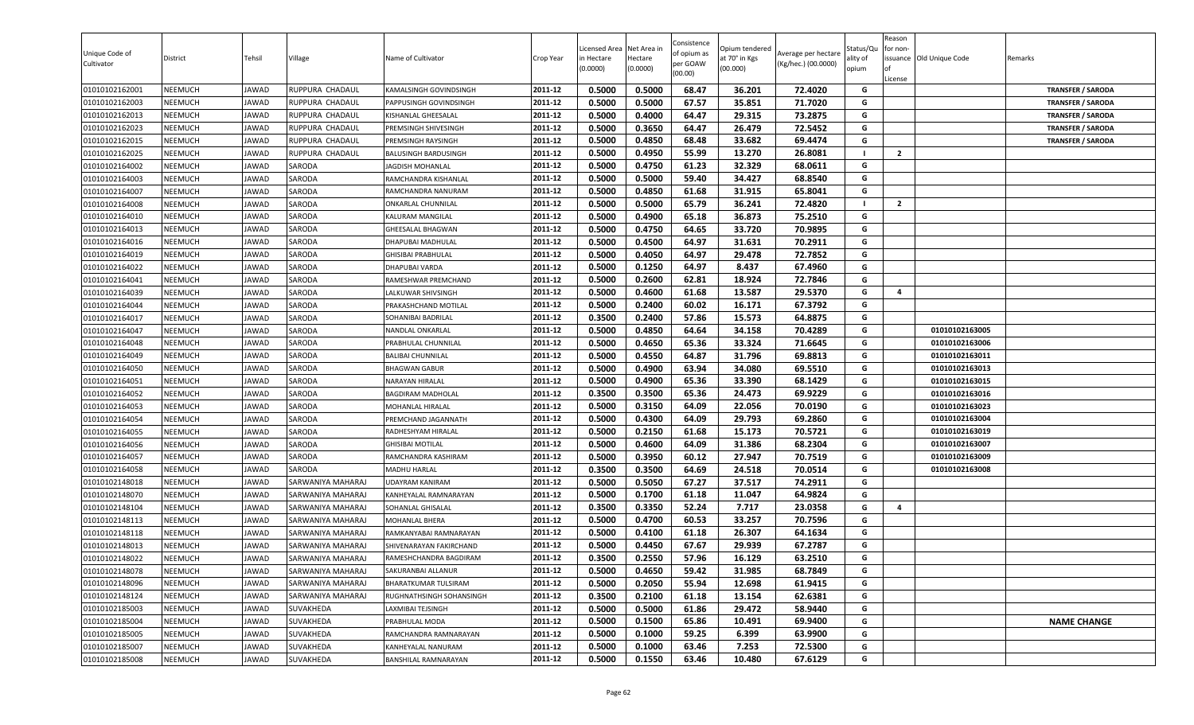| Unique Code of<br>Cultivator | District       | Tehsil | Village           | Name of Cultivator          | Crop Year | Licensed Area<br>in Hectare<br>(0.0000) | Net Area in<br>Hectare<br>(0.0000) | Consistence<br>of opium as<br>per GOAW<br>(00.00) | Opium tendered<br>at 70° in Kgs<br>(00.000) | Average per hectare<br>(Kg/hec.) (00.0000) | Status/Qu<br>ality of<br>opium | Reason<br>for non-<br>lof<br>License | issuance Old Unique Code | Remarks                  |
|------------------------------|----------------|--------|-------------------|-----------------------------|-----------|-----------------------------------------|------------------------------------|---------------------------------------------------|---------------------------------------------|--------------------------------------------|--------------------------------|--------------------------------------|--------------------------|--------------------------|
| 01010102162001               | <b>NEEMUCH</b> | JAWAD  | RUPPURA CHADAUL   | KAMALSINGH GOVINDSINGH      | 2011-12   | 0.5000                                  | 0.5000                             | 68.47                                             | 36.201                                      | 72.4020                                    | G                              |                                      |                          | <b>TRANSFER / SARODA</b> |
| 01010102162003               | <b>NEEMUCH</b> | JAWAD  | RUPPURA CHADAUL   | PAPPUSINGH GOVINDSINGH      | 2011-12   | 0.5000                                  | 0.5000                             | 67.57                                             | 35.851                                      | 71.7020                                    | G                              |                                      |                          | <b>TRANSFER / SARODA</b> |
| 01010102162013               | NEEMUCH        | JAWAD  | RUPPURA CHADAUL   | KISHANLAL GHEESALAL         | 2011-12   | 0.5000                                  | 0.4000                             | 64.47                                             | 29.315                                      | 73.2875                                    | G                              |                                      |                          | <b>TRANSFER / SARODA</b> |
| 01010102162023               | <b>NEEMUCH</b> | JAWAD  | RUPPURA CHADAUL   | PREMSINGH SHIVESINGH        | 2011-12   | 0.5000                                  | 0.3650                             | 64.47                                             | 26.479                                      | 72.5452                                    | G                              |                                      |                          | <b>TRANSFER / SARODA</b> |
| 01010102162015               | <b>NEEMUCH</b> | JAWAD  | RUPPURA CHADAUL   | PREMSINGH RAYSINGH          | 2011-12   | 0.5000                                  | 0.4850                             | 68.48                                             | 33.682                                      | 69.4474                                    | G                              |                                      |                          | <b>TRANSFER / SARODA</b> |
| 01010102162025               | <b>NEEMUCH</b> | JAWAD  | RUPPURA CHADAUL   | <b>BALUSINGH BARDUSINGH</b> | 2011-12   | 0.5000                                  | 0.4950                             | 55.99                                             | 13.270                                      | 26.8081                                    | - 1                            | $\overline{2}$                       |                          |                          |
| 01010102164002               | <b>NEEMUCH</b> | JAWAD  | SARODA            | JAGDISH MOHANLAL            | 2011-12   | 0.5000                                  | 0.4750                             | 61.23                                             | 32.329                                      | 68.0611                                    | G                              |                                      |                          |                          |
| 01010102164003               | <b>NEEMUCH</b> | JAWAD  | SARODA            | RAMCHANDRA KISHANLAL        | 2011-12   | 0.5000                                  | 0.5000                             | 59.40                                             | 34.427                                      | 68.8540                                    | G                              |                                      |                          |                          |
| 01010102164007               | <b>NEEMUCH</b> | JAWAD  | SARODA            | RAMCHANDRA NANURAM          | 2011-12   | 0.5000                                  | 0.4850                             | 61.68                                             | 31.915                                      | 65.8041                                    | G                              |                                      |                          |                          |
| 01010102164008               | <b>NEEMUCH</b> | JAWAD  | SARODA            | ONKARLAL CHUNNILAL          | 2011-12   | 0.5000                                  | 0.5000                             | 65.79                                             | 36.241                                      | 72.4820                                    |                                | $\overline{2}$                       |                          |                          |
| 01010102164010               | <b>NEEMUCH</b> | JAWAD  | SARODA            | KALURAM MANGILAL            | 2011-12   | 0.5000                                  | 0.4900                             | 65.18                                             | 36.873                                      | 75.2510                                    | G                              |                                      |                          |                          |
| 01010102164013               | <b>NEEMUCH</b> | JAWAD  | SARODA            | GHEESALAL BHAGWAN           | 2011-12   | 0.5000                                  | 0.4750                             | 64.65                                             | 33.720                                      | 70.9895                                    | G                              |                                      |                          |                          |
| 01010102164016               | <b>NEEMUCH</b> | JAWAD  | SARODA            | DHAPUBAI MADHULAL           | 2011-12   | 0.5000                                  | 0.4500                             | 64.97                                             | 31.631                                      | 70.2911                                    | G                              |                                      |                          |                          |
| 01010102164019               | <b>NEEMUCH</b> | JAWAD  | SARODA            | <b>GHISIBAI PRABHULAL</b>   | 2011-12   | 0.5000                                  | 0.4050                             | 64.97                                             | 29.478                                      | 72.7852                                    | G                              |                                      |                          |                          |
| 01010102164022               | <b>NEEMUCH</b> | JAWAD  | SARODA            | DHAPUBAI VARDA              | 2011-12   | 0.5000                                  | 0.1250                             | 64.97                                             | 8.437                                       | 67.4960                                    | G                              |                                      |                          |                          |
| 01010102164041               | <b>NEEMUCH</b> | JAWAD  | SARODA            | RAMESHWAR PREMCHAND         | 2011-12   | 0.5000                                  | 0.2600                             | 62.81                                             | 18.924                                      | 72.7846                                    | G                              |                                      |                          |                          |
| 01010102164039               | <b>NEEMUCH</b> | JAWAD  | SARODA            | LALKUWAR SHIVSINGH          | 2011-12   | 0.5000                                  | 0.4600                             | 61.68                                             | 13.587                                      | 29.5370                                    | G                              | 4                                    |                          |                          |
| 01010102164044               | <b>NEEMUCH</b> | JAWAD  | SARODA            | PRAKASHCHAND MOTILAL        | 2011-12   | 0.5000                                  | 0.2400                             | 60.02                                             | 16.171                                      | 67.3792                                    | G                              |                                      |                          |                          |
| 01010102164017               | <b>NEEMUCH</b> | JAWAD  | SARODA            | SOHANIBAI BADRILAL          | 2011-12   | 0.3500                                  | 0.2400                             | 57.86                                             | 15.573                                      | 64.8875                                    | G                              |                                      |                          |                          |
| 01010102164047               | <b>NEEMUCH</b> | JAWAD  | SARODA            | NANDLAL ONKARLAL            | 2011-12   | 0.5000                                  | 0.4850                             | 64.64                                             | 34.158                                      | 70.4289                                    | G                              |                                      | 01010102163005           |                          |
| 01010102164048               | <b>NEEMUCH</b> | JAWAD  | SARODA            | PRABHULAL CHUNNILAL         | 2011-12   | 0.5000                                  | 0.4650                             | 65.36                                             | 33.324                                      | 71.6645                                    | G                              |                                      | 01010102163006           |                          |
| 01010102164049               | <b>NEEMUCH</b> | JAWAD  | SARODA            | <b>BALIBAI CHUNNILAL</b>    | 2011-12   | 0.5000                                  | 0.4550                             | 64.87                                             | 31.796                                      | 69.8813                                    | G                              |                                      | 01010102163011           |                          |
| 01010102164050               | <b>NEEMUCH</b> | JAWAD  | SARODA            | <b>BHAGWAN GABUR</b>        | 2011-12   | 0.5000                                  | 0.4900                             | 63.94                                             | 34.080                                      | 69.5510                                    | G                              |                                      | 01010102163013           |                          |
| 01010102164051               | <b>NEEMUCH</b> | JAWAD  | SARODA            | NARAYAN HIRALAL             | 2011-12   | 0.5000                                  | 0.4900                             | 65.36                                             | 33.390                                      | 68.1429                                    | G                              |                                      | 01010102163015           |                          |
| 01010102164052               | <b>NEEMUCH</b> | JAWAD  | SARODA            | <b>BAGDIRAM MADHOLAL</b>    | 2011-12   | 0.3500                                  | 0.3500                             | 65.36                                             | 24.473                                      | 69.9229                                    | G                              |                                      | 01010102163016           |                          |
| 01010102164053               | <b>NEEMUCH</b> | JAWAD  | SARODA            | MOHANLAL HIRALAL            | 2011-12   | 0.5000                                  | 0.3150                             | 64.09                                             | 22.056                                      | 70.0190                                    | G                              |                                      | 01010102163023           |                          |
| 01010102164054               | <b>NEEMUCH</b> | JAWAD  | SARODA            | PREMCHAND JAGANNATH         | 2011-12   | 0.5000                                  | 0.4300                             | 64.09                                             | 29.793                                      | 69.2860                                    | G                              |                                      | 01010102163004           |                          |
| 01010102164055               | <b>NEEMUCH</b> | JAWAD  | SARODA            | RADHESHYAM HIRALAL          | 2011-12   | 0.5000                                  | 0.2150                             | 61.68                                             | 15.173                                      | 70.5721                                    | G                              |                                      | 01010102163019           |                          |
| 01010102164056               | <b>NEEMUCH</b> | JAWAD  | SARODA            | GHISIBAI MOTILAL            | 2011-12   | 0.5000                                  | 0.4600                             | 64.09                                             | 31.386                                      | 68.2304                                    | G                              |                                      | 01010102163007           |                          |
| 01010102164057               | <b>NEEMUCH</b> | JAWAD  | SARODA            | RAMCHANDRA KASHIRAM         | 2011-12   | 0.5000                                  | 0.3950                             | 60.12                                             | 27.947                                      | 70.7519                                    | G                              |                                      | 01010102163009           |                          |
| 01010102164058               | <b>NEEMUCH</b> | JAWAD  | SARODA            | <b>MADHU HARLAL</b>         | 2011-12   | 0.3500                                  | 0.3500                             | 64.69                                             | 24.518                                      | 70.0514                                    | G                              |                                      | 01010102163008           |                          |
| 01010102148018               | <b>NEEMUCH</b> | JAWAD  | SARWANIYA MAHARAJ | UDAYRAM KANIRAM             | 2011-12   | 0.5000                                  | 0.5050                             | 67.27                                             | 37.517                                      | 74.2911                                    | G                              |                                      |                          |                          |
| 01010102148070               | <b>NEEMUCH</b> | JAWAD  | SARWANIYA MAHARAJ | KANHEYALAL RAMNARAYAN       | 2011-12   | 0.5000                                  | 0.1700                             | 61.18                                             | 11.047                                      | 64.9824                                    | G                              |                                      |                          |                          |
| 01010102148104               | <b>NEEMUCH</b> | JAWAD  | SARWANIYA MAHARAJ | SOHANLAL GHISALAL           | 2011-12   | 0.3500                                  | 0.3350                             | 52.24                                             | 7.717                                       | 23.0358                                    | G                              | $\overline{4}$                       |                          |                          |
| 01010102148113               | <b>NEEMUCH</b> | JAWAD  | SARWANIYA MAHARAJ | MOHANLAL BHERA              | 2011-12   | 0.5000                                  | 0.4700                             | 60.53                                             | 33.257                                      | 70.7596                                    | G                              |                                      |                          |                          |
| 01010102148118               | <b>NEEMUCH</b> | JAWAD  | SARWANIYA MAHARAJ | RAMKANYABAI RAMNARAYAN      | 2011-12   | 0.5000                                  | 0.4100                             | 61.18                                             | 26.307                                      | 64.1634                                    | G                              |                                      |                          |                          |
| 01010102148013               | <b>NEEMUCH</b> | JAWAD  | SARWANIYA MAHARAJ | SHIVENARAYAN FAKIRCHAND     | 2011-12   | 0.5000                                  | 0.4450                             | 67.67                                             | 29.939                                      | 67.2787                                    | G                              |                                      |                          |                          |
| 01010102148022               | <b>NEEMUCH</b> | JAWAD  | SARWANIYA MAHARAJ | RAMESHCHANDRA BAGDIRAM      | 2011-12   | 0.3500                                  | 0.2550                             | 57.96                                             | 16.129                                      | 63.2510                                    | G                              |                                      |                          |                          |
| 01010102148078               | <b>NEEMUCH</b> | JAWAD  | SARWANIYA MAHARAJ | SAKURANBAI ALLANUR          | 2011-12   | 0.5000                                  | 0.4650                             | 59.42                                             | 31.985                                      | 68.7849                                    | G                              |                                      |                          |                          |
| 01010102148096               | <b>NEEMUCH</b> | JAWAD  | SARWANIYA MAHARAJ | BHARATKUMAR TULSIRAM        | 2011-12   | 0.5000                                  | 0.2050                             | 55.94                                             | 12.698                                      | 61.9415                                    | G                              |                                      |                          |                          |
| 01010102148124               | <b>NEEMUCH</b> | JAWAD  | SARWANIYA MAHARAJ | RUGHNATHSINGH SOHANSINGH    | 2011-12   | 0.3500                                  | 0.2100                             | 61.18                                             | 13.154                                      | 62.6381                                    | G                              |                                      |                          |                          |
| 01010102185003               | <b>NEEMUCH</b> | JAWAD  | SUVAKHEDA         | LAXMIBAI TEJSINGH           | 2011-12   | 0.5000                                  | 0.5000                             | 61.86                                             | 29.472                                      | 58.9440                                    | G                              |                                      |                          |                          |
| 01010102185004               | <b>NEEMUCH</b> | JAWAD  | SUVAKHEDA         | PRABHULAL MODA              | 2011-12   | 0.5000                                  | 0.1500                             | 65.86                                             | 10.491                                      | 69.9400                                    | G                              |                                      |                          | <b>NAME CHANGE</b>       |
| 01010102185005               | <b>NEEMUCH</b> | JAWAD  | SUVAKHEDA         | RAMCHANDRA RAMNARAYAN       | 2011-12   | 0.5000                                  | 0.1000                             | 59.25                                             | 6.399                                       | 63.9900                                    | G                              |                                      |                          |                          |
| 01010102185007               | <b>NEEMUCH</b> | JAWAD  | SUVAKHEDA         | KANHEYALAL NANURAM          | 2011-12   | 0.5000                                  | 0.1000                             | 63.46                                             | 7.253                                       | 72.5300                                    | G                              |                                      |                          |                          |
| 01010102185008               | <b>NEEMUCH</b> | JAWAD  | SUVAKHEDA         | BANSHILAL RAMNARAYAN        | 2011-12   | 0.5000                                  | 0.1550                             | 63.46                                             | 10.480                                      | 67.6129                                    | G                              |                                      |                          |                          |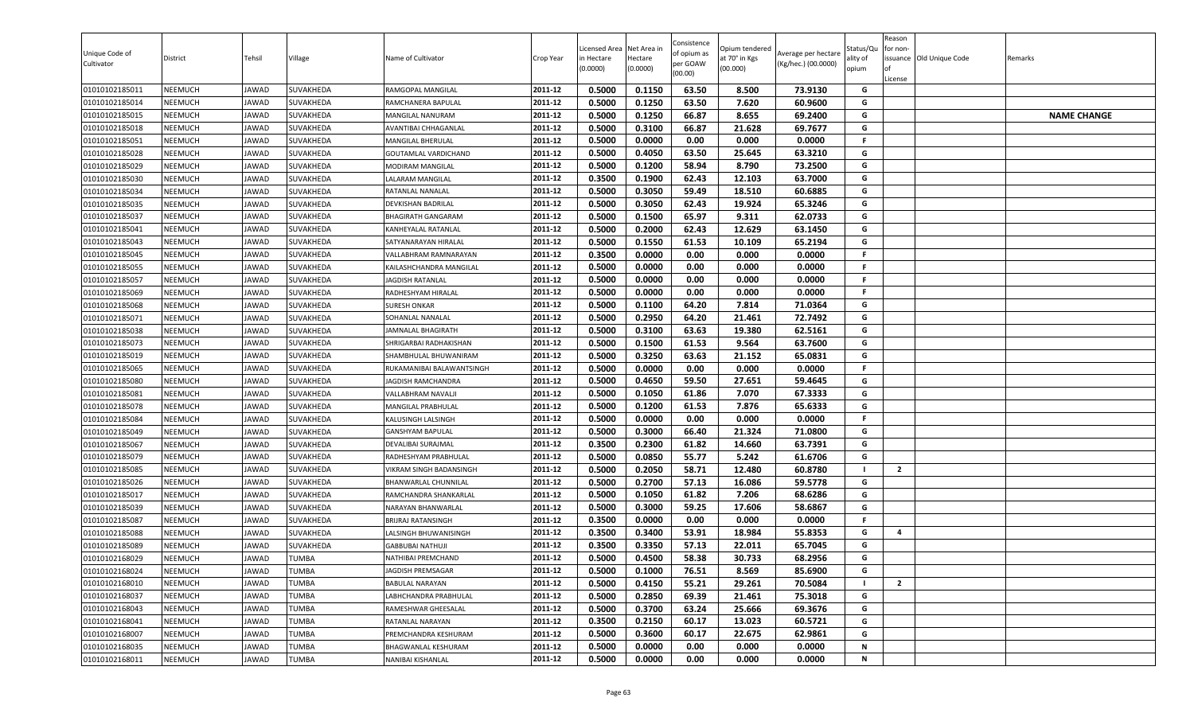| 0.5000<br>0.1150<br>63.50<br>8.500<br>73.9130<br><b>NEEMUCH</b><br>SUVAKHEDA<br>2011-12<br>G<br>01010102185011<br>JAWAD<br>RAMGOPAL MANGILAL<br>0.1250<br>7.620<br><b>NEEMUCH</b><br>2011-12<br>0.5000<br>63.50<br>60.9600<br>G<br>01010102185014<br>JAWAD<br>SUVAKHEDA<br>RAMCHANERA BAPULAL<br>0.1250<br><b>NEEMUCH</b><br>2011-12<br>0.5000<br>66.87<br>8.655<br>69.2400<br>G<br>01010102185015<br>JAWAD<br>SUVAKHEDA<br>MANGILAL NANURAM<br><b>NAME CHANGE</b><br>2011-12<br>0.5000<br>0.3100<br>66.87<br>69.7677<br>G<br>01010102185018<br><b>NEEMUCH</b><br>21.628<br>JAWAD<br>SUVAKHEDA<br>AVANTIBAI CHHAGANLAL<br>0.5000<br>0.0000<br>0.0000<br>2011-12<br>0.00<br>0.000<br>F.<br>01010102185051<br><b>NEEMUCH</b><br>JAWAD<br>SUVAKHEDA<br>MANGILAL BHERULAL<br>63.50<br>G<br>2011-12<br>0.5000<br>0.4050<br>25.645<br>63.3210<br>01010102185028<br><b>NEEMUCH</b><br>JAWAD<br>SUVAKHEDA<br><b>GOUTAMLAL VARDICHAND</b><br>0.1200<br>58.94<br>73.2500<br>G<br>2011-12<br>0.5000<br>8.790<br><b>NEEMUCH</b><br>JAWAD<br>SUVAKHEDA<br>01010102185029<br>MODIRAM MANGILAL<br>G<br>2011-12<br>0.1900<br>01010102185030<br><b>NEEMUCH</b><br>JAWAD<br>SUVAKHEDA<br>0.3500<br>62.43<br>12.103<br>63.7000<br>LALARAM MANGILAL<br>0.5000<br><b>NEEMUCH</b><br>SUVAKHEDA<br>2011-12<br>0.3050<br>59.49<br>18.510<br>60.6885<br>01010102185034<br>JAWAD<br>RATANLAL NANALAL<br>G<br>2011-12<br>01010102185035<br><b>NEEMUCH</b><br>JAWAD<br><b>SUVAKHEDA</b><br>0.5000<br>0.3050<br>62.43<br>19.924<br>65.3246<br>G<br>DEVKISHAN BADRILAL<br>0.5000<br>0.1500<br>65.97<br>9.311<br>62.0733<br>G<br><b>NEEMUCH</b><br>2011-12<br>01010102185037<br>JAWAD<br>SUVAKHEDA<br>BHAGIRATH GANGARAM<br><b>NEEMUCH</b><br>2011-12<br>0.5000<br>0.2000<br>62.43<br>12.629<br>63.1450<br>G<br>01010102185041<br>JAWAD<br>SUVAKHEDA<br>KANHEYALAL RATANLAL<br>0.1550<br>61.53<br>65.2194<br>01010102185043<br><b>NEEMUCH</b><br>SUVAKHEDA<br>2011-12<br>0.5000<br>10.109<br>G<br>JAWAD<br>SATYANARAYAN HIRALAL<br>2011-12<br>0.3500<br>F.<br>01010102185045<br><b>NEEMUCH</b><br>0.0000<br>0.00<br>0.0000<br>JAWAD<br>SUVAKHEDA<br>0.000<br>VALLABHRAM RAMNARAYAN<br>0.5000<br>0.0000<br>0.00<br>0.0000<br>F.<br>01010102185055<br><b>NEEMUCH</b><br>JAWAD<br>SUVAKHEDA<br>2011-12<br>0.000<br>KAILASHCHANDRA MANGILAL<br>2011-12<br>F.<br><b>NEEMUCH</b><br>0.5000<br>0.0000<br>0.00<br>0.000<br>0.0000<br>01010102185057<br>JAWAD<br>SUVAKHEDA<br><b>JAGDISH RATANLAL</b><br>01010102185069<br><b>NEEMUCH</b><br>JAWAD<br>SUVAKHEDA<br>2011-12<br>0.5000<br>0.0000<br>0.00<br>0.000<br>0.0000<br>.F<br>RADHESHYAM HIRALAL<br>2011-12<br>7.814<br>G<br>01010102185068<br><b>NEEMUCH</b><br>0.5000<br>0.1100<br>64.20<br>71.0364<br>JAWAD<br>SUVAKHEDA<br><b>SURESH ONKAR</b><br>0.5000<br>0.2950<br>72.7492<br>01010102185071<br><b>NEEMUCH</b><br>JAWAD<br>SUVAKHEDA<br>2011-12<br>64.20<br>21.461<br>G<br>SOHANLAL NANALAL<br>0.5000<br>0.3100<br>63.63<br>19.380<br>62.5161<br>G<br><b>NEEMUCH</b><br>2011-12<br>01010102185038<br>JAWAD<br>SUVAKHEDA<br><b>JAMNALAL BHAGIRATH</b><br><b>NEEMUCH</b><br>0.5000<br>0.1500<br>61.53<br>9.564<br>63.7600<br>G<br>01010102185073<br>JAWAD<br><b>SUVAKHEDA</b><br>2011-12<br>SHRIGARBAI RADHAKISHAN<br>0.5000<br>0.3250<br>63.63<br>65.0831<br>21.152<br>G<br>2011-12<br>01010102185019<br><b>NEEMUCH</b><br>JAWAD<br>SUVAKHEDA<br>SHAMBHULAL BHUWANIRAM<br>0.5000<br>0.0000<br><b>NEEMUCH</b><br>SUVAKHEDA<br>2011-12<br>0.00<br>0.000<br>0.0000<br>F.<br>01010102185065<br>JAWAD<br>RUKAMANIBAI BALAWANTSINGH<br>0.4650<br>0.5000<br>59.50<br>27.651<br>59.4645<br>G<br>01010102185080<br><b>NEEMUCH</b><br>JAWAD<br>SUVAKHEDA<br>2011-12<br>JAGDISH RAMCHANDRA<br><b>NEEMUCH</b><br>JAWAD<br>SUVAKHEDA<br>2011-12<br>0.5000<br>0.1050<br>61.86<br>7.070<br>67.3333<br>G<br>01010102185081<br>VALLABHRAM NAVALJI<br>0.1200<br>2011-12<br>0.5000<br>61.53<br>7.876<br>65.6333<br>01010102185078<br><b>NEEMUCH</b><br>JAWAD<br>SUVAKHEDA<br>MANGILAL PRABHULAL<br>G<br>01010102185084<br><b>NEEMUCH</b><br>JAWAD<br>SUVAKHEDA<br>2011-12<br>0.5000<br>0.0000<br>0.00<br>0.000<br>0.0000<br>F.<br>KALUSINGH LALSINGH<br>2011-12<br>0.5000<br>0.3000<br>66.40<br>21.324<br>71.0800<br>G<br>01010102185049<br><b>NEEMUCH</b><br>JAWAD<br>SUVAKHEDA<br><b>GANSHYAM BAPULAL</b><br>0.3500<br>0.2300<br>61.82<br><b>NEEMUCH</b><br>14.660<br>63.7391<br>G<br>01010102185067<br>JAWAD<br>SUVAKHEDA<br>2011-12<br>DEVALIBAI SURAJMAL<br>0.0850<br>55.77<br>5.242<br>61.6706<br>2011-12<br>0.5000<br>G<br><b>NEEMUCH</b><br>01010102185079<br>JAWAD<br>SUVAKHEDA<br>RADHESHYAM PRABHULAL<br>0.2050<br>0.5000<br>58.71<br>12.480<br>60.8780<br>01010102185085<br><b>NEEMUCH</b><br>JAWAD<br>SUVAKHEDA<br>VIKRAM SINGH BADANSINGH<br>2011-12<br>$\overline{2}$<br>0.5000<br>0.2700<br>57.13<br>16.086<br>59.5778<br>G<br>01010102185026<br><b>NEEMUCH</b><br>JAWAD<br>SUVAKHEDA<br>2011-12<br>BHANWARLAL CHUNNILAL<br>01010102185017<br>2011-12<br>0.5000<br>0.1050<br>61.82<br>7.206<br>68.6286<br>G<br><b>NEEMUCH</b><br>JAWAD<br>SUVAKHEDA<br>RAMCHANDRA SHANKARLAL<br>59.25<br>0.5000<br>0.3000<br>17.606<br>58.6867<br><b>NEEMUCH</b><br>SUVAKHEDA<br>2011-12<br>G<br>01010102185039<br>JAWAD<br>NARAYAN BHANWARLAL<br>2011-12<br>01010102185087<br><b>NEEMUCH</b><br>JAWAD<br>SUVAKHEDA<br>0.3500<br>0.0000<br>0.00<br>0.000<br>0.0000<br>F.<br><b>BRIJRAJ RATANSINGH</b><br>0.3500<br>0.3400<br>2011-12<br>53.91<br>18.984<br>55.8353<br>G<br><b>NEEMUCH</b><br>01010102185088<br>JAWAD<br>SUVAKHEDA<br>LALSINGH BHUWANISINGH<br>4<br>0.3500<br>0.3350<br>22.011<br>G<br>01010102185089<br><b>NEEMUCH</b><br>JAWAD<br>SUVAKHEDA<br>2011-12<br>57.13<br>65.7045<br><b>GABBUBAI NATHUJI</b><br>0.5000<br>0.4500<br>58.38<br>30.733<br>68.2956<br>2011-12<br>G<br><b>NEEMUCH</b><br>JAWAD<br><b>TUMBA</b><br><b>NATHIBAI PREMCHAND</b><br>01010102168029<br>2011-12<br><b>NEEMUCH</b><br><b>TUMBA</b><br>0.5000<br>0.1000<br>76.51<br>G<br>01010102168024<br>JAWAD<br>8.569<br>85.6900<br>JAGDISH PREMSAGAR<br>0.4150<br>2011-12<br>0.5000<br>55.21<br>29.261<br>70.5084<br>$\mathbf{2}$<br>01010102168010<br><b>NEEMUCH</b><br>JAWAD<br><b>TUMBA</b><br><b>BABULAL NARAYAN</b><br>0.2850<br>G<br>01010102168037<br><b>NEEMUCH</b><br>JAWAD<br><b>TUMBA</b><br>2011-12<br>0.5000<br>69.39<br>21.461<br>75.3018<br>LABHCHANDRA PRABHULAL<br>0.5000<br>0.3700<br>63.24<br>25.666<br>69.3676<br>01010102168043<br>JAWAD<br>2011-12<br>G<br><b>NEEMUCH</b><br><b>TUMBA</b><br>RAMESHWAR GHEESALAL<br>G<br><b>NEEMUCH</b><br>2011-12<br>0.3500<br>0.2150<br>60.17<br>13.023<br>60.5721<br>01010102168041<br>JAWAD<br>TUMBA<br>RATANLAL NARAYAN<br>01010102168007<br><b>NEEMUCH</b><br>JAWAD<br>TUMBA<br>2011-12<br>0.5000<br>0.3600<br>60.17<br>22.675<br>62.9861<br>G<br>PREMCHANDRA KESHURAM<br>2011-12<br>N<br>01010102168035<br>0.5000<br>0.0000<br>0.00<br>0.000<br>0.0000<br><b>NEEMUCH</b><br>JAWAD<br>TUMBA<br><b>BHAGWANLAL KESHURAM</b><br>01010102168011<br><b>NEEMUCH</b><br>JAWAD<br><b>TUMBA</b><br>2011-12<br>0.00<br>0.000<br>N<br>NANIBAI KISHANLAL | Unique Code of<br>Cultivator | District | Tehsil | Village | Name of Cultivator | Crop Year | Licensed Area<br>in Hectare<br>(0.0000) | Net Area in<br>Hectare<br>(0.0000) | Consistence<br>of opium as<br>per GOAW<br>(00.00) | Opium tendered<br>at 70° in Kgs<br>(00.000) | Average per hectare<br>(Kg/hec.) (00.0000) | Status/Qu<br>ality of<br>opium | Reason<br>for non-<br>ssuance Old Unique Code<br>License | Remarks |
|-------------------------------------------------------------------------------------------------------------------------------------------------------------------------------------------------------------------------------------------------------------------------------------------------------------------------------------------------------------------------------------------------------------------------------------------------------------------------------------------------------------------------------------------------------------------------------------------------------------------------------------------------------------------------------------------------------------------------------------------------------------------------------------------------------------------------------------------------------------------------------------------------------------------------------------------------------------------------------------------------------------------------------------------------------------------------------------------------------------------------------------------------------------------------------------------------------------------------------------------------------------------------------------------------------------------------------------------------------------------------------------------------------------------------------------------------------------------------------------------------------------------------------------------------------------------------------------------------------------------------------------------------------------------------------------------------------------------------------------------------------------------------------------------------------------------------------------------------------------------------------------------------------------------------------------------------------------------------------------------------------------------------------------------------------------------------------------------------------------------------------------------------------------------------------------------------------------------------------------------------------------------------------------------------------------------------------------------------------------------------------------------------------------------------------------------------------------------------------------------------------------------------------------------------------------------------------------------------------------------------------------------------------------------------------------------------------------------------------------------------------------------------------------------------------------------------------------------------------------------------------------------------------------------------------------------------------------------------------------------------------------------------------------------------------------------------------------------------------------------------------------------------------------------------------------------------------------------------------------------------------------------------------------------------------------------------------------------------------------------------------------------------------------------------------------------------------------------------------------------------------------------------------------------------------------------------------------------------------------------------------------------------------------------------------------------------------------------------------------------------------------------------------------------------------------------------------------------------------------------------------------------------------------------------------------------------------------------------------------------------------------------------------------------------------------------------------------------------------------------------------------------------------------------------------------------------------------------------------------------------------------------------------------------------------------------------------------------------------------------------------------------------------------------------------------------------------------------------------------------------------------------------------------------------------------------------------------------------------------------------------------------------------------------------------------------------------------------------------------------------------------------------------------------------------------------------------------------------------------------------------------------------------------------------------------------------------------------------------------------------------------------------------------------------------------------------------------------------------------------------------------------------------------------------------------------------------------------------------------------------------------------------------------------------------------------------------------------------------------------------------------------------------------------------------------------------------------------------------------------------------------------------------------------------------------------------------------------------------------------------------------------------------------------------------------------------------------------------------------------------------------------------------------------------------------------------------------------------------------------------------------------------------------------------------------------------------------------------------------------------------------------------------------------------------------------------------------------------------------------------------------------------------------------------------------------------------------------------------------------------------------------------------------------------------------------------------------------------------------------------------------------------------------------------------------------------------------------------------------------------------------------------------------------------------------------------------------------------------------------------------------------------------------------------------------------------------------------------------------------------------------------------------------------------------------------------------------------------------------------------------------------------------------------------------------------------------------------------------------------------------------------------------------------------------------------------------------------|------------------------------|----------|--------|---------|--------------------|-----------|-----------------------------------------|------------------------------------|---------------------------------------------------|---------------------------------------------|--------------------------------------------|--------------------------------|----------------------------------------------------------|---------|
|                                                                                                                                                                                                                                                                                                                                                                                                                                                                                                                                                                                                                                                                                                                                                                                                                                                                                                                                                                                                                                                                                                                                                                                                                                                                                                                                                                                                                                                                                                                                                                                                                                                                                                                                                                                                                                                                                                                                                                                                                                                                                                                                                                                                                                                                                                                                                                                                                                                                                                                                                                                                                                                                                                                                                                                                                                                                                                                                                                                                                                                                                                                                                                                                                                                                                                                                                                                                                                                                                                                                                                                                                                                                                                                                                                                                                                                                                                                                                                                                                                                                                                                                                                                                                                                                                                                                                                                                                                                                                                                                                                                                                                                                                                                                                                                                                                                                                                                                                                                                                                                                                                                                                                                                                                                                                                                                                                                                                                                                                                                                                                                                                                                                                                                                                                                                                                                                                                                                                                                                                                                                                                                                                                                                                                                                                                                                                                                                                                                                                                                                                                                                                                                                                                                                                                                                                                                                                                                                                                                                                                                                                           |                              |          |        |         |                    |           |                                         |                                    |                                                   |                                             |                                            |                                |                                                          |         |
|                                                                                                                                                                                                                                                                                                                                                                                                                                                                                                                                                                                                                                                                                                                                                                                                                                                                                                                                                                                                                                                                                                                                                                                                                                                                                                                                                                                                                                                                                                                                                                                                                                                                                                                                                                                                                                                                                                                                                                                                                                                                                                                                                                                                                                                                                                                                                                                                                                                                                                                                                                                                                                                                                                                                                                                                                                                                                                                                                                                                                                                                                                                                                                                                                                                                                                                                                                                                                                                                                                                                                                                                                                                                                                                                                                                                                                                                                                                                                                                                                                                                                                                                                                                                                                                                                                                                                                                                                                                                                                                                                                                                                                                                                                                                                                                                                                                                                                                                                                                                                                                                                                                                                                                                                                                                                                                                                                                                                                                                                                                                                                                                                                                                                                                                                                                                                                                                                                                                                                                                                                                                                                                                                                                                                                                                                                                                                                                                                                                                                                                                                                                                                                                                                                                                                                                                                                                                                                                                                                                                                                                                                           |                              |          |        |         |                    |           |                                         |                                    |                                                   |                                             |                                            |                                |                                                          |         |
|                                                                                                                                                                                                                                                                                                                                                                                                                                                                                                                                                                                                                                                                                                                                                                                                                                                                                                                                                                                                                                                                                                                                                                                                                                                                                                                                                                                                                                                                                                                                                                                                                                                                                                                                                                                                                                                                                                                                                                                                                                                                                                                                                                                                                                                                                                                                                                                                                                                                                                                                                                                                                                                                                                                                                                                                                                                                                                                                                                                                                                                                                                                                                                                                                                                                                                                                                                                                                                                                                                                                                                                                                                                                                                                                                                                                                                                                                                                                                                                                                                                                                                                                                                                                                                                                                                                                                                                                                                                                                                                                                                                                                                                                                                                                                                                                                                                                                                                                                                                                                                                                                                                                                                                                                                                                                                                                                                                                                                                                                                                                                                                                                                                                                                                                                                                                                                                                                                                                                                                                                                                                                                                                                                                                                                                                                                                                                                                                                                                                                                                                                                                                                                                                                                                                                                                                                                                                                                                                                                                                                                                                                           |                              |          |        |         |                    |           |                                         |                                    |                                                   |                                             |                                            |                                |                                                          |         |
|                                                                                                                                                                                                                                                                                                                                                                                                                                                                                                                                                                                                                                                                                                                                                                                                                                                                                                                                                                                                                                                                                                                                                                                                                                                                                                                                                                                                                                                                                                                                                                                                                                                                                                                                                                                                                                                                                                                                                                                                                                                                                                                                                                                                                                                                                                                                                                                                                                                                                                                                                                                                                                                                                                                                                                                                                                                                                                                                                                                                                                                                                                                                                                                                                                                                                                                                                                                                                                                                                                                                                                                                                                                                                                                                                                                                                                                                                                                                                                                                                                                                                                                                                                                                                                                                                                                                                                                                                                                                                                                                                                                                                                                                                                                                                                                                                                                                                                                                                                                                                                                                                                                                                                                                                                                                                                                                                                                                                                                                                                                                                                                                                                                                                                                                                                                                                                                                                                                                                                                                                                                                                                                                                                                                                                                                                                                                                                                                                                                                                                                                                                                                                                                                                                                                                                                                                                                                                                                                                                                                                                                                                           |                              |          |        |         |                    |           |                                         |                                    |                                                   |                                             |                                            |                                |                                                          |         |
|                                                                                                                                                                                                                                                                                                                                                                                                                                                                                                                                                                                                                                                                                                                                                                                                                                                                                                                                                                                                                                                                                                                                                                                                                                                                                                                                                                                                                                                                                                                                                                                                                                                                                                                                                                                                                                                                                                                                                                                                                                                                                                                                                                                                                                                                                                                                                                                                                                                                                                                                                                                                                                                                                                                                                                                                                                                                                                                                                                                                                                                                                                                                                                                                                                                                                                                                                                                                                                                                                                                                                                                                                                                                                                                                                                                                                                                                                                                                                                                                                                                                                                                                                                                                                                                                                                                                                                                                                                                                                                                                                                                                                                                                                                                                                                                                                                                                                                                                                                                                                                                                                                                                                                                                                                                                                                                                                                                                                                                                                                                                                                                                                                                                                                                                                                                                                                                                                                                                                                                                                                                                                                                                                                                                                                                                                                                                                                                                                                                                                                                                                                                                                                                                                                                                                                                                                                                                                                                                                                                                                                                                                           |                              |          |        |         |                    |           |                                         |                                    |                                                   |                                             |                                            |                                |                                                          |         |
|                                                                                                                                                                                                                                                                                                                                                                                                                                                                                                                                                                                                                                                                                                                                                                                                                                                                                                                                                                                                                                                                                                                                                                                                                                                                                                                                                                                                                                                                                                                                                                                                                                                                                                                                                                                                                                                                                                                                                                                                                                                                                                                                                                                                                                                                                                                                                                                                                                                                                                                                                                                                                                                                                                                                                                                                                                                                                                                                                                                                                                                                                                                                                                                                                                                                                                                                                                                                                                                                                                                                                                                                                                                                                                                                                                                                                                                                                                                                                                                                                                                                                                                                                                                                                                                                                                                                                                                                                                                                                                                                                                                                                                                                                                                                                                                                                                                                                                                                                                                                                                                                                                                                                                                                                                                                                                                                                                                                                                                                                                                                                                                                                                                                                                                                                                                                                                                                                                                                                                                                                                                                                                                                                                                                                                                                                                                                                                                                                                                                                                                                                                                                                                                                                                                                                                                                                                                                                                                                                                                                                                                                                           |                              |          |        |         |                    |           |                                         |                                    |                                                   |                                             |                                            |                                |                                                          |         |
|                                                                                                                                                                                                                                                                                                                                                                                                                                                                                                                                                                                                                                                                                                                                                                                                                                                                                                                                                                                                                                                                                                                                                                                                                                                                                                                                                                                                                                                                                                                                                                                                                                                                                                                                                                                                                                                                                                                                                                                                                                                                                                                                                                                                                                                                                                                                                                                                                                                                                                                                                                                                                                                                                                                                                                                                                                                                                                                                                                                                                                                                                                                                                                                                                                                                                                                                                                                                                                                                                                                                                                                                                                                                                                                                                                                                                                                                                                                                                                                                                                                                                                                                                                                                                                                                                                                                                                                                                                                                                                                                                                                                                                                                                                                                                                                                                                                                                                                                                                                                                                                                                                                                                                                                                                                                                                                                                                                                                                                                                                                                                                                                                                                                                                                                                                                                                                                                                                                                                                                                                                                                                                                                                                                                                                                                                                                                                                                                                                                                                                                                                                                                                                                                                                                                                                                                                                                                                                                                                                                                                                                                                           |                              |          |        |         |                    |           |                                         |                                    |                                                   |                                             |                                            |                                |                                                          |         |
|                                                                                                                                                                                                                                                                                                                                                                                                                                                                                                                                                                                                                                                                                                                                                                                                                                                                                                                                                                                                                                                                                                                                                                                                                                                                                                                                                                                                                                                                                                                                                                                                                                                                                                                                                                                                                                                                                                                                                                                                                                                                                                                                                                                                                                                                                                                                                                                                                                                                                                                                                                                                                                                                                                                                                                                                                                                                                                                                                                                                                                                                                                                                                                                                                                                                                                                                                                                                                                                                                                                                                                                                                                                                                                                                                                                                                                                                                                                                                                                                                                                                                                                                                                                                                                                                                                                                                                                                                                                                                                                                                                                                                                                                                                                                                                                                                                                                                                                                                                                                                                                                                                                                                                                                                                                                                                                                                                                                                                                                                                                                                                                                                                                                                                                                                                                                                                                                                                                                                                                                                                                                                                                                                                                                                                                                                                                                                                                                                                                                                                                                                                                                                                                                                                                                                                                                                                                                                                                                                                                                                                                                                           |                              |          |        |         |                    |           |                                         |                                    |                                                   |                                             |                                            |                                |                                                          |         |
|                                                                                                                                                                                                                                                                                                                                                                                                                                                                                                                                                                                                                                                                                                                                                                                                                                                                                                                                                                                                                                                                                                                                                                                                                                                                                                                                                                                                                                                                                                                                                                                                                                                                                                                                                                                                                                                                                                                                                                                                                                                                                                                                                                                                                                                                                                                                                                                                                                                                                                                                                                                                                                                                                                                                                                                                                                                                                                                                                                                                                                                                                                                                                                                                                                                                                                                                                                                                                                                                                                                                                                                                                                                                                                                                                                                                                                                                                                                                                                                                                                                                                                                                                                                                                                                                                                                                                                                                                                                                                                                                                                                                                                                                                                                                                                                                                                                                                                                                                                                                                                                                                                                                                                                                                                                                                                                                                                                                                                                                                                                                                                                                                                                                                                                                                                                                                                                                                                                                                                                                                                                                                                                                                                                                                                                                                                                                                                                                                                                                                                                                                                                                                                                                                                                                                                                                                                                                                                                                                                                                                                                                                           |                              |          |        |         |                    |           |                                         |                                    |                                                   |                                             |                                            |                                |                                                          |         |
|                                                                                                                                                                                                                                                                                                                                                                                                                                                                                                                                                                                                                                                                                                                                                                                                                                                                                                                                                                                                                                                                                                                                                                                                                                                                                                                                                                                                                                                                                                                                                                                                                                                                                                                                                                                                                                                                                                                                                                                                                                                                                                                                                                                                                                                                                                                                                                                                                                                                                                                                                                                                                                                                                                                                                                                                                                                                                                                                                                                                                                                                                                                                                                                                                                                                                                                                                                                                                                                                                                                                                                                                                                                                                                                                                                                                                                                                                                                                                                                                                                                                                                                                                                                                                                                                                                                                                                                                                                                                                                                                                                                                                                                                                                                                                                                                                                                                                                                                                                                                                                                                                                                                                                                                                                                                                                                                                                                                                                                                                                                                                                                                                                                                                                                                                                                                                                                                                                                                                                                                                                                                                                                                                                                                                                                                                                                                                                                                                                                                                                                                                                                                                                                                                                                                                                                                                                                                                                                                                                                                                                                                                           |                              |          |        |         |                    |           |                                         |                                    |                                                   |                                             |                                            |                                |                                                          |         |
|                                                                                                                                                                                                                                                                                                                                                                                                                                                                                                                                                                                                                                                                                                                                                                                                                                                                                                                                                                                                                                                                                                                                                                                                                                                                                                                                                                                                                                                                                                                                                                                                                                                                                                                                                                                                                                                                                                                                                                                                                                                                                                                                                                                                                                                                                                                                                                                                                                                                                                                                                                                                                                                                                                                                                                                                                                                                                                                                                                                                                                                                                                                                                                                                                                                                                                                                                                                                                                                                                                                                                                                                                                                                                                                                                                                                                                                                                                                                                                                                                                                                                                                                                                                                                                                                                                                                                                                                                                                                                                                                                                                                                                                                                                                                                                                                                                                                                                                                                                                                                                                                                                                                                                                                                                                                                                                                                                                                                                                                                                                                                                                                                                                                                                                                                                                                                                                                                                                                                                                                                                                                                                                                                                                                                                                                                                                                                                                                                                                                                                                                                                                                                                                                                                                                                                                                                                                                                                                                                                                                                                                                                           |                              |          |        |         |                    |           |                                         |                                    |                                                   |                                             |                                            |                                |                                                          |         |
|                                                                                                                                                                                                                                                                                                                                                                                                                                                                                                                                                                                                                                                                                                                                                                                                                                                                                                                                                                                                                                                                                                                                                                                                                                                                                                                                                                                                                                                                                                                                                                                                                                                                                                                                                                                                                                                                                                                                                                                                                                                                                                                                                                                                                                                                                                                                                                                                                                                                                                                                                                                                                                                                                                                                                                                                                                                                                                                                                                                                                                                                                                                                                                                                                                                                                                                                                                                                                                                                                                                                                                                                                                                                                                                                                                                                                                                                                                                                                                                                                                                                                                                                                                                                                                                                                                                                                                                                                                                                                                                                                                                                                                                                                                                                                                                                                                                                                                                                                                                                                                                                                                                                                                                                                                                                                                                                                                                                                                                                                                                                                                                                                                                                                                                                                                                                                                                                                                                                                                                                                                                                                                                                                                                                                                                                                                                                                                                                                                                                                                                                                                                                                                                                                                                                                                                                                                                                                                                                                                                                                                                                                           |                              |          |        |         |                    |           |                                         |                                    |                                                   |                                             |                                            |                                |                                                          |         |
|                                                                                                                                                                                                                                                                                                                                                                                                                                                                                                                                                                                                                                                                                                                                                                                                                                                                                                                                                                                                                                                                                                                                                                                                                                                                                                                                                                                                                                                                                                                                                                                                                                                                                                                                                                                                                                                                                                                                                                                                                                                                                                                                                                                                                                                                                                                                                                                                                                                                                                                                                                                                                                                                                                                                                                                                                                                                                                                                                                                                                                                                                                                                                                                                                                                                                                                                                                                                                                                                                                                                                                                                                                                                                                                                                                                                                                                                                                                                                                                                                                                                                                                                                                                                                                                                                                                                                                                                                                                                                                                                                                                                                                                                                                                                                                                                                                                                                                                                                                                                                                                                                                                                                                                                                                                                                                                                                                                                                                                                                                                                                                                                                                                                                                                                                                                                                                                                                                                                                                                                                                                                                                                                                                                                                                                                                                                                                                                                                                                                                                                                                                                                                                                                                                                                                                                                                                                                                                                                                                                                                                                                                           |                              |          |        |         |                    |           |                                         |                                    |                                                   |                                             |                                            |                                |                                                          |         |
|                                                                                                                                                                                                                                                                                                                                                                                                                                                                                                                                                                                                                                                                                                                                                                                                                                                                                                                                                                                                                                                                                                                                                                                                                                                                                                                                                                                                                                                                                                                                                                                                                                                                                                                                                                                                                                                                                                                                                                                                                                                                                                                                                                                                                                                                                                                                                                                                                                                                                                                                                                                                                                                                                                                                                                                                                                                                                                                                                                                                                                                                                                                                                                                                                                                                                                                                                                                                                                                                                                                                                                                                                                                                                                                                                                                                                                                                                                                                                                                                                                                                                                                                                                                                                                                                                                                                                                                                                                                                                                                                                                                                                                                                                                                                                                                                                                                                                                                                                                                                                                                                                                                                                                                                                                                                                                                                                                                                                                                                                                                                                                                                                                                                                                                                                                                                                                                                                                                                                                                                                                                                                                                                                                                                                                                                                                                                                                                                                                                                                                                                                                                                                                                                                                                                                                                                                                                                                                                                                                                                                                                                                           |                              |          |        |         |                    |           |                                         |                                    |                                                   |                                             |                                            |                                |                                                          |         |
|                                                                                                                                                                                                                                                                                                                                                                                                                                                                                                                                                                                                                                                                                                                                                                                                                                                                                                                                                                                                                                                                                                                                                                                                                                                                                                                                                                                                                                                                                                                                                                                                                                                                                                                                                                                                                                                                                                                                                                                                                                                                                                                                                                                                                                                                                                                                                                                                                                                                                                                                                                                                                                                                                                                                                                                                                                                                                                                                                                                                                                                                                                                                                                                                                                                                                                                                                                                                                                                                                                                                                                                                                                                                                                                                                                                                                                                                                                                                                                                                                                                                                                                                                                                                                                                                                                                                                                                                                                                                                                                                                                                                                                                                                                                                                                                                                                                                                                                                                                                                                                                                                                                                                                                                                                                                                                                                                                                                                                                                                                                                                                                                                                                                                                                                                                                                                                                                                                                                                                                                                                                                                                                                                                                                                                                                                                                                                                                                                                                                                                                                                                                                                                                                                                                                                                                                                                                                                                                                                                                                                                                                                           |                              |          |        |         |                    |           |                                         |                                    |                                                   |                                             |                                            |                                |                                                          |         |
|                                                                                                                                                                                                                                                                                                                                                                                                                                                                                                                                                                                                                                                                                                                                                                                                                                                                                                                                                                                                                                                                                                                                                                                                                                                                                                                                                                                                                                                                                                                                                                                                                                                                                                                                                                                                                                                                                                                                                                                                                                                                                                                                                                                                                                                                                                                                                                                                                                                                                                                                                                                                                                                                                                                                                                                                                                                                                                                                                                                                                                                                                                                                                                                                                                                                                                                                                                                                                                                                                                                                                                                                                                                                                                                                                                                                                                                                                                                                                                                                                                                                                                                                                                                                                                                                                                                                                                                                                                                                                                                                                                                                                                                                                                                                                                                                                                                                                                                                                                                                                                                                                                                                                                                                                                                                                                                                                                                                                                                                                                                                                                                                                                                                                                                                                                                                                                                                                                                                                                                                                                                                                                                                                                                                                                                                                                                                                                                                                                                                                                                                                                                                                                                                                                                                                                                                                                                                                                                                                                                                                                                                                           |                              |          |        |         |                    |           |                                         |                                    |                                                   |                                             |                                            |                                |                                                          |         |
|                                                                                                                                                                                                                                                                                                                                                                                                                                                                                                                                                                                                                                                                                                                                                                                                                                                                                                                                                                                                                                                                                                                                                                                                                                                                                                                                                                                                                                                                                                                                                                                                                                                                                                                                                                                                                                                                                                                                                                                                                                                                                                                                                                                                                                                                                                                                                                                                                                                                                                                                                                                                                                                                                                                                                                                                                                                                                                                                                                                                                                                                                                                                                                                                                                                                                                                                                                                                                                                                                                                                                                                                                                                                                                                                                                                                                                                                                                                                                                                                                                                                                                                                                                                                                                                                                                                                                                                                                                                                                                                                                                                                                                                                                                                                                                                                                                                                                                                                                                                                                                                                                                                                                                                                                                                                                                                                                                                                                                                                                                                                                                                                                                                                                                                                                                                                                                                                                                                                                                                                                                                                                                                                                                                                                                                                                                                                                                                                                                                                                                                                                                                                                                                                                                                                                                                                                                                                                                                                                                                                                                                                                           |                              |          |        |         |                    |           |                                         |                                    |                                                   |                                             |                                            |                                |                                                          |         |
|                                                                                                                                                                                                                                                                                                                                                                                                                                                                                                                                                                                                                                                                                                                                                                                                                                                                                                                                                                                                                                                                                                                                                                                                                                                                                                                                                                                                                                                                                                                                                                                                                                                                                                                                                                                                                                                                                                                                                                                                                                                                                                                                                                                                                                                                                                                                                                                                                                                                                                                                                                                                                                                                                                                                                                                                                                                                                                                                                                                                                                                                                                                                                                                                                                                                                                                                                                                                                                                                                                                                                                                                                                                                                                                                                                                                                                                                                                                                                                                                                                                                                                                                                                                                                                                                                                                                                                                                                                                                                                                                                                                                                                                                                                                                                                                                                                                                                                                                                                                                                                                                                                                                                                                                                                                                                                                                                                                                                                                                                                                                                                                                                                                                                                                                                                                                                                                                                                                                                                                                                                                                                                                                                                                                                                                                                                                                                                                                                                                                                                                                                                                                                                                                                                                                                                                                                                                                                                                                                                                                                                                                                           |                              |          |        |         |                    |           |                                         |                                    |                                                   |                                             |                                            |                                |                                                          |         |
|                                                                                                                                                                                                                                                                                                                                                                                                                                                                                                                                                                                                                                                                                                                                                                                                                                                                                                                                                                                                                                                                                                                                                                                                                                                                                                                                                                                                                                                                                                                                                                                                                                                                                                                                                                                                                                                                                                                                                                                                                                                                                                                                                                                                                                                                                                                                                                                                                                                                                                                                                                                                                                                                                                                                                                                                                                                                                                                                                                                                                                                                                                                                                                                                                                                                                                                                                                                                                                                                                                                                                                                                                                                                                                                                                                                                                                                                                                                                                                                                                                                                                                                                                                                                                                                                                                                                                                                                                                                                                                                                                                                                                                                                                                                                                                                                                                                                                                                                                                                                                                                                                                                                                                                                                                                                                                                                                                                                                                                                                                                                                                                                                                                                                                                                                                                                                                                                                                                                                                                                                                                                                                                                                                                                                                                                                                                                                                                                                                                                                                                                                                                                                                                                                                                                                                                                                                                                                                                                                                                                                                                                                           |                              |          |        |         |                    |           |                                         |                                    |                                                   |                                             |                                            |                                |                                                          |         |
|                                                                                                                                                                                                                                                                                                                                                                                                                                                                                                                                                                                                                                                                                                                                                                                                                                                                                                                                                                                                                                                                                                                                                                                                                                                                                                                                                                                                                                                                                                                                                                                                                                                                                                                                                                                                                                                                                                                                                                                                                                                                                                                                                                                                                                                                                                                                                                                                                                                                                                                                                                                                                                                                                                                                                                                                                                                                                                                                                                                                                                                                                                                                                                                                                                                                                                                                                                                                                                                                                                                                                                                                                                                                                                                                                                                                                                                                                                                                                                                                                                                                                                                                                                                                                                                                                                                                                                                                                                                                                                                                                                                                                                                                                                                                                                                                                                                                                                                                                                                                                                                                                                                                                                                                                                                                                                                                                                                                                                                                                                                                                                                                                                                                                                                                                                                                                                                                                                                                                                                                                                                                                                                                                                                                                                                                                                                                                                                                                                                                                                                                                                                                                                                                                                                                                                                                                                                                                                                                                                                                                                                                                           |                              |          |        |         |                    |           |                                         |                                    |                                                   |                                             |                                            |                                |                                                          |         |
|                                                                                                                                                                                                                                                                                                                                                                                                                                                                                                                                                                                                                                                                                                                                                                                                                                                                                                                                                                                                                                                                                                                                                                                                                                                                                                                                                                                                                                                                                                                                                                                                                                                                                                                                                                                                                                                                                                                                                                                                                                                                                                                                                                                                                                                                                                                                                                                                                                                                                                                                                                                                                                                                                                                                                                                                                                                                                                                                                                                                                                                                                                                                                                                                                                                                                                                                                                                                                                                                                                                                                                                                                                                                                                                                                                                                                                                                                                                                                                                                                                                                                                                                                                                                                                                                                                                                                                                                                                                                                                                                                                                                                                                                                                                                                                                                                                                                                                                                                                                                                                                                                                                                                                                                                                                                                                                                                                                                                                                                                                                                                                                                                                                                                                                                                                                                                                                                                                                                                                                                                                                                                                                                                                                                                                                                                                                                                                                                                                                                                                                                                                                                                                                                                                                                                                                                                                                                                                                                                                                                                                                                                           |                              |          |        |         |                    |           |                                         |                                    |                                                   |                                             |                                            |                                |                                                          |         |
|                                                                                                                                                                                                                                                                                                                                                                                                                                                                                                                                                                                                                                                                                                                                                                                                                                                                                                                                                                                                                                                                                                                                                                                                                                                                                                                                                                                                                                                                                                                                                                                                                                                                                                                                                                                                                                                                                                                                                                                                                                                                                                                                                                                                                                                                                                                                                                                                                                                                                                                                                                                                                                                                                                                                                                                                                                                                                                                                                                                                                                                                                                                                                                                                                                                                                                                                                                                                                                                                                                                                                                                                                                                                                                                                                                                                                                                                                                                                                                                                                                                                                                                                                                                                                                                                                                                                                                                                                                                                                                                                                                                                                                                                                                                                                                                                                                                                                                                                                                                                                                                                                                                                                                                                                                                                                                                                                                                                                                                                                                                                                                                                                                                                                                                                                                                                                                                                                                                                                                                                                                                                                                                                                                                                                                                                                                                                                                                                                                                                                                                                                                                                                                                                                                                                                                                                                                                                                                                                                                                                                                                                                           |                              |          |        |         |                    |           |                                         |                                    |                                                   |                                             |                                            |                                |                                                          |         |
|                                                                                                                                                                                                                                                                                                                                                                                                                                                                                                                                                                                                                                                                                                                                                                                                                                                                                                                                                                                                                                                                                                                                                                                                                                                                                                                                                                                                                                                                                                                                                                                                                                                                                                                                                                                                                                                                                                                                                                                                                                                                                                                                                                                                                                                                                                                                                                                                                                                                                                                                                                                                                                                                                                                                                                                                                                                                                                                                                                                                                                                                                                                                                                                                                                                                                                                                                                                                                                                                                                                                                                                                                                                                                                                                                                                                                                                                                                                                                                                                                                                                                                                                                                                                                                                                                                                                                                                                                                                                                                                                                                                                                                                                                                                                                                                                                                                                                                                                                                                                                                                                                                                                                                                                                                                                                                                                                                                                                                                                                                                                                                                                                                                                                                                                                                                                                                                                                                                                                                                                                                                                                                                                                                                                                                                                                                                                                                                                                                                                                                                                                                                                                                                                                                                                                                                                                                                                                                                                                                                                                                                                                           |                              |          |        |         |                    |           |                                         |                                    |                                                   |                                             |                                            |                                |                                                          |         |
|                                                                                                                                                                                                                                                                                                                                                                                                                                                                                                                                                                                                                                                                                                                                                                                                                                                                                                                                                                                                                                                                                                                                                                                                                                                                                                                                                                                                                                                                                                                                                                                                                                                                                                                                                                                                                                                                                                                                                                                                                                                                                                                                                                                                                                                                                                                                                                                                                                                                                                                                                                                                                                                                                                                                                                                                                                                                                                                                                                                                                                                                                                                                                                                                                                                                                                                                                                                                                                                                                                                                                                                                                                                                                                                                                                                                                                                                                                                                                                                                                                                                                                                                                                                                                                                                                                                                                                                                                                                                                                                                                                                                                                                                                                                                                                                                                                                                                                                                                                                                                                                                                                                                                                                                                                                                                                                                                                                                                                                                                                                                                                                                                                                                                                                                                                                                                                                                                                                                                                                                                                                                                                                                                                                                                                                                                                                                                                                                                                                                                                                                                                                                                                                                                                                                                                                                                                                                                                                                                                                                                                                                                           |                              |          |        |         |                    |           |                                         |                                    |                                                   |                                             |                                            |                                |                                                          |         |
|                                                                                                                                                                                                                                                                                                                                                                                                                                                                                                                                                                                                                                                                                                                                                                                                                                                                                                                                                                                                                                                                                                                                                                                                                                                                                                                                                                                                                                                                                                                                                                                                                                                                                                                                                                                                                                                                                                                                                                                                                                                                                                                                                                                                                                                                                                                                                                                                                                                                                                                                                                                                                                                                                                                                                                                                                                                                                                                                                                                                                                                                                                                                                                                                                                                                                                                                                                                                                                                                                                                                                                                                                                                                                                                                                                                                                                                                                                                                                                                                                                                                                                                                                                                                                                                                                                                                                                                                                                                                                                                                                                                                                                                                                                                                                                                                                                                                                                                                                                                                                                                                                                                                                                                                                                                                                                                                                                                                                                                                                                                                                                                                                                                                                                                                                                                                                                                                                                                                                                                                                                                                                                                                                                                                                                                                                                                                                                                                                                                                                                                                                                                                                                                                                                                                                                                                                                                                                                                                                                                                                                                                                           |                              |          |        |         |                    |           |                                         |                                    |                                                   |                                             |                                            |                                |                                                          |         |
|                                                                                                                                                                                                                                                                                                                                                                                                                                                                                                                                                                                                                                                                                                                                                                                                                                                                                                                                                                                                                                                                                                                                                                                                                                                                                                                                                                                                                                                                                                                                                                                                                                                                                                                                                                                                                                                                                                                                                                                                                                                                                                                                                                                                                                                                                                                                                                                                                                                                                                                                                                                                                                                                                                                                                                                                                                                                                                                                                                                                                                                                                                                                                                                                                                                                                                                                                                                                                                                                                                                                                                                                                                                                                                                                                                                                                                                                                                                                                                                                                                                                                                                                                                                                                                                                                                                                                                                                                                                                                                                                                                                                                                                                                                                                                                                                                                                                                                                                                                                                                                                                                                                                                                                                                                                                                                                                                                                                                                                                                                                                                                                                                                                                                                                                                                                                                                                                                                                                                                                                                                                                                                                                                                                                                                                                                                                                                                                                                                                                                                                                                                                                                                                                                                                                                                                                                                                                                                                                                                                                                                                                                           |                              |          |        |         |                    |           |                                         |                                    |                                                   |                                             |                                            |                                |                                                          |         |
|                                                                                                                                                                                                                                                                                                                                                                                                                                                                                                                                                                                                                                                                                                                                                                                                                                                                                                                                                                                                                                                                                                                                                                                                                                                                                                                                                                                                                                                                                                                                                                                                                                                                                                                                                                                                                                                                                                                                                                                                                                                                                                                                                                                                                                                                                                                                                                                                                                                                                                                                                                                                                                                                                                                                                                                                                                                                                                                                                                                                                                                                                                                                                                                                                                                                                                                                                                                                                                                                                                                                                                                                                                                                                                                                                                                                                                                                                                                                                                                                                                                                                                                                                                                                                                                                                                                                                                                                                                                                                                                                                                                                                                                                                                                                                                                                                                                                                                                                                                                                                                                                                                                                                                                                                                                                                                                                                                                                                                                                                                                                                                                                                                                                                                                                                                                                                                                                                                                                                                                                                                                                                                                                                                                                                                                                                                                                                                                                                                                                                                                                                                                                                                                                                                                                                                                                                                                                                                                                                                                                                                                                                           |                              |          |        |         |                    |           |                                         |                                    |                                                   |                                             |                                            |                                |                                                          |         |
|                                                                                                                                                                                                                                                                                                                                                                                                                                                                                                                                                                                                                                                                                                                                                                                                                                                                                                                                                                                                                                                                                                                                                                                                                                                                                                                                                                                                                                                                                                                                                                                                                                                                                                                                                                                                                                                                                                                                                                                                                                                                                                                                                                                                                                                                                                                                                                                                                                                                                                                                                                                                                                                                                                                                                                                                                                                                                                                                                                                                                                                                                                                                                                                                                                                                                                                                                                                                                                                                                                                                                                                                                                                                                                                                                                                                                                                                                                                                                                                                                                                                                                                                                                                                                                                                                                                                                                                                                                                                                                                                                                                                                                                                                                                                                                                                                                                                                                                                                                                                                                                                                                                                                                                                                                                                                                                                                                                                                                                                                                                                                                                                                                                                                                                                                                                                                                                                                                                                                                                                                                                                                                                                                                                                                                                                                                                                                                                                                                                                                                                                                                                                                                                                                                                                                                                                                                                                                                                                                                                                                                                                                           |                              |          |        |         |                    |           |                                         |                                    |                                                   |                                             |                                            |                                |                                                          |         |
|                                                                                                                                                                                                                                                                                                                                                                                                                                                                                                                                                                                                                                                                                                                                                                                                                                                                                                                                                                                                                                                                                                                                                                                                                                                                                                                                                                                                                                                                                                                                                                                                                                                                                                                                                                                                                                                                                                                                                                                                                                                                                                                                                                                                                                                                                                                                                                                                                                                                                                                                                                                                                                                                                                                                                                                                                                                                                                                                                                                                                                                                                                                                                                                                                                                                                                                                                                                                                                                                                                                                                                                                                                                                                                                                                                                                                                                                                                                                                                                                                                                                                                                                                                                                                                                                                                                                                                                                                                                                                                                                                                                                                                                                                                                                                                                                                                                                                                                                                                                                                                                                                                                                                                                                                                                                                                                                                                                                                                                                                                                                                                                                                                                                                                                                                                                                                                                                                                                                                                                                                                                                                                                                                                                                                                                                                                                                                                                                                                                                                                                                                                                                                                                                                                                                                                                                                                                                                                                                                                                                                                                                                           |                              |          |        |         |                    |           |                                         |                                    |                                                   |                                             |                                            |                                |                                                          |         |
|                                                                                                                                                                                                                                                                                                                                                                                                                                                                                                                                                                                                                                                                                                                                                                                                                                                                                                                                                                                                                                                                                                                                                                                                                                                                                                                                                                                                                                                                                                                                                                                                                                                                                                                                                                                                                                                                                                                                                                                                                                                                                                                                                                                                                                                                                                                                                                                                                                                                                                                                                                                                                                                                                                                                                                                                                                                                                                                                                                                                                                                                                                                                                                                                                                                                                                                                                                                                                                                                                                                                                                                                                                                                                                                                                                                                                                                                                                                                                                                                                                                                                                                                                                                                                                                                                                                                                                                                                                                                                                                                                                                                                                                                                                                                                                                                                                                                                                                                                                                                                                                                                                                                                                                                                                                                                                                                                                                                                                                                                                                                                                                                                                                                                                                                                                                                                                                                                                                                                                                                                                                                                                                                                                                                                                                                                                                                                                                                                                                                                                                                                                                                                                                                                                                                                                                                                                                                                                                                                                                                                                                                                           |                              |          |        |         |                    |           |                                         |                                    |                                                   |                                             |                                            |                                |                                                          |         |
|                                                                                                                                                                                                                                                                                                                                                                                                                                                                                                                                                                                                                                                                                                                                                                                                                                                                                                                                                                                                                                                                                                                                                                                                                                                                                                                                                                                                                                                                                                                                                                                                                                                                                                                                                                                                                                                                                                                                                                                                                                                                                                                                                                                                                                                                                                                                                                                                                                                                                                                                                                                                                                                                                                                                                                                                                                                                                                                                                                                                                                                                                                                                                                                                                                                                                                                                                                                                                                                                                                                                                                                                                                                                                                                                                                                                                                                                                                                                                                                                                                                                                                                                                                                                                                                                                                                                                                                                                                                                                                                                                                                                                                                                                                                                                                                                                                                                                                                                                                                                                                                                                                                                                                                                                                                                                                                                                                                                                                                                                                                                                                                                                                                                                                                                                                                                                                                                                                                                                                                                                                                                                                                                                                                                                                                                                                                                                                                                                                                                                                                                                                                                                                                                                                                                                                                                                                                                                                                                                                                                                                                                                           |                              |          |        |         |                    |           |                                         |                                    |                                                   |                                             |                                            |                                |                                                          |         |
|                                                                                                                                                                                                                                                                                                                                                                                                                                                                                                                                                                                                                                                                                                                                                                                                                                                                                                                                                                                                                                                                                                                                                                                                                                                                                                                                                                                                                                                                                                                                                                                                                                                                                                                                                                                                                                                                                                                                                                                                                                                                                                                                                                                                                                                                                                                                                                                                                                                                                                                                                                                                                                                                                                                                                                                                                                                                                                                                                                                                                                                                                                                                                                                                                                                                                                                                                                                                                                                                                                                                                                                                                                                                                                                                                                                                                                                                                                                                                                                                                                                                                                                                                                                                                                                                                                                                                                                                                                                                                                                                                                                                                                                                                                                                                                                                                                                                                                                                                                                                                                                                                                                                                                                                                                                                                                                                                                                                                                                                                                                                                                                                                                                                                                                                                                                                                                                                                                                                                                                                                                                                                                                                                                                                                                                                                                                                                                                                                                                                                                                                                                                                                                                                                                                                                                                                                                                                                                                                                                                                                                                                                           |                              |          |        |         |                    |           |                                         |                                    |                                                   |                                             |                                            |                                |                                                          |         |
|                                                                                                                                                                                                                                                                                                                                                                                                                                                                                                                                                                                                                                                                                                                                                                                                                                                                                                                                                                                                                                                                                                                                                                                                                                                                                                                                                                                                                                                                                                                                                                                                                                                                                                                                                                                                                                                                                                                                                                                                                                                                                                                                                                                                                                                                                                                                                                                                                                                                                                                                                                                                                                                                                                                                                                                                                                                                                                                                                                                                                                                                                                                                                                                                                                                                                                                                                                                                                                                                                                                                                                                                                                                                                                                                                                                                                                                                                                                                                                                                                                                                                                                                                                                                                                                                                                                                                                                                                                                                                                                                                                                                                                                                                                                                                                                                                                                                                                                                                                                                                                                                                                                                                                                                                                                                                                                                                                                                                                                                                                                                                                                                                                                                                                                                                                                                                                                                                                                                                                                                                                                                                                                                                                                                                                                                                                                                                                                                                                                                                                                                                                                                                                                                                                                                                                                                                                                                                                                                                                                                                                                                                           |                              |          |        |         |                    |           |                                         |                                    |                                                   |                                             |                                            |                                |                                                          |         |
|                                                                                                                                                                                                                                                                                                                                                                                                                                                                                                                                                                                                                                                                                                                                                                                                                                                                                                                                                                                                                                                                                                                                                                                                                                                                                                                                                                                                                                                                                                                                                                                                                                                                                                                                                                                                                                                                                                                                                                                                                                                                                                                                                                                                                                                                                                                                                                                                                                                                                                                                                                                                                                                                                                                                                                                                                                                                                                                                                                                                                                                                                                                                                                                                                                                                                                                                                                                                                                                                                                                                                                                                                                                                                                                                                                                                                                                                                                                                                                                                                                                                                                                                                                                                                                                                                                                                                                                                                                                                                                                                                                                                                                                                                                                                                                                                                                                                                                                                                                                                                                                                                                                                                                                                                                                                                                                                                                                                                                                                                                                                                                                                                                                                                                                                                                                                                                                                                                                                                                                                                                                                                                                                                                                                                                                                                                                                                                                                                                                                                                                                                                                                                                                                                                                                                                                                                                                                                                                                                                                                                                                                                           |                              |          |        |         |                    |           |                                         |                                    |                                                   |                                             |                                            |                                |                                                          |         |
|                                                                                                                                                                                                                                                                                                                                                                                                                                                                                                                                                                                                                                                                                                                                                                                                                                                                                                                                                                                                                                                                                                                                                                                                                                                                                                                                                                                                                                                                                                                                                                                                                                                                                                                                                                                                                                                                                                                                                                                                                                                                                                                                                                                                                                                                                                                                                                                                                                                                                                                                                                                                                                                                                                                                                                                                                                                                                                                                                                                                                                                                                                                                                                                                                                                                                                                                                                                                                                                                                                                                                                                                                                                                                                                                                                                                                                                                                                                                                                                                                                                                                                                                                                                                                                                                                                                                                                                                                                                                                                                                                                                                                                                                                                                                                                                                                                                                                                                                                                                                                                                                                                                                                                                                                                                                                                                                                                                                                                                                                                                                                                                                                                                                                                                                                                                                                                                                                                                                                                                                                                                                                                                                                                                                                                                                                                                                                                                                                                                                                                                                                                                                                                                                                                                                                                                                                                                                                                                                                                                                                                                                                           |                              |          |        |         |                    |           |                                         |                                    |                                                   |                                             |                                            |                                |                                                          |         |
|                                                                                                                                                                                                                                                                                                                                                                                                                                                                                                                                                                                                                                                                                                                                                                                                                                                                                                                                                                                                                                                                                                                                                                                                                                                                                                                                                                                                                                                                                                                                                                                                                                                                                                                                                                                                                                                                                                                                                                                                                                                                                                                                                                                                                                                                                                                                                                                                                                                                                                                                                                                                                                                                                                                                                                                                                                                                                                                                                                                                                                                                                                                                                                                                                                                                                                                                                                                                                                                                                                                                                                                                                                                                                                                                                                                                                                                                                                                                                                                                                                                                                                                                                                                                                                                                                                                                                                                                                                                                                                                                                                                                                                                                                                                                                                                                                                                                                                                                                                                                                                                                                                                                                                                                                                                                                                                                                                                                                                                                                                                                                                                                                                                                                                                                                                                                                                                                                                                                                                                                                                                                                                                                                                                                                                                                                                                                                                                                                                                                                                                                                                                                                                                                                                                                                                                                                                                                                                                                                                                                                                                                                           |                              |          |        |         |                    |           |                                         |                                    |                                                   |                                             |                                            |                                |                                                          |         |
|                                                                                                                                                                                                                                                                                                                                                                                                                                                                                                                                                                                                                                                                                                                                                                                                                                                                                                                                                                                                                                                                                                                                                                                                                                                                                                                                                                                                                                                                                                                                                                                                                                                                                                                                                                                                                                                                                                                                                                                                                                                                                                                                                                                                                                                                                                                                                                                                                                                                                                                                                                                                                                                                                                                                                                                                                                                                                                                                                                                                                                                                                                                                                                                                                                                                                                                                                                                                                                                                                                                                                                                                                                                                                                                                                                                                                                                                                                                                                                                                                                                                                                                                                                                                                                                                                                                                                                                                                                                                                                                                                                                                                                                                                                                                                                                                                                                                                                                                                                                                                                                                                                                                                                                                                                                                                                                                                                                                                                                                                                                                                                                                                                                                                                                                                                                                                                                                                                                                                                                                                                                                                                                                                                                                                                                                                                                                                                                                                                                                                                                                                                                                                                                                                                                                                                                                                                                                                                                                                                                                                                                                                           |                              |          |        |         |                    |           |                                         |                                    |                                                   |                                             |                                            |                                |                                                          |         |
|                                                                                                                                                                                                                                                                                                                                                                                                                                                                                                                                                                                                                                                                                                                                                                                                                                                                                                                                                                                                                                                                                                                                                                                                                                                                                                                                                                                                                                                                                                                                                                                                                                                                                                                                                                                                                                                                                                                                                                                                                                                                                                                                                                                                                                                                                                                                                                                                                                                                                                                                                                                                                                                                                                                                                                                                                                                                                                                                                                                                                                                                                                                                                                                                                                                                                                                                                                                                                                                                                                                                                                                                                                                                                                                                                                                                                                                                                                                                                                                                                                                                                                                                                                                                                                                                                                                                                                                                                                                                                                                                                                                                                                                                                                                                                                                                                                                                                                                                                                                                                                                                                                                                                                                                                                                                                                                                                                                                                                                                                                                                                                                                                                                                                                                                                                                                                                                                                                                                                                                                                                                                                                                                                                                                                                                                                                                                                                                                                                                                                                                                                                                                                                                                                                                                                                                                                                                                                                                                                                                                                                                                                           |                              |          |        |         |                    |           |                                         |                                    |                                                   |                                             |                                            |                                |                                                          |         |
|                                                                                                                                                                                                                                                                                                                                                                                                                                                                                                                                                                                                                                                                                                                                                                                                                                                                                                                                                                                                                                                                                                                                                                                                                                                                                                                                                                                                                                                                                                                                                                                                                                                                                                                                                                                                                                                                                                                                                                                                                                                                                                                                                                                                                                                                                                                                                                                                                                                                                                                                                                                                                                                                                                                                                                                                                                                                                                                                                                                                                                                                                                                                                                                                                                                                                                                                                                                                                                                                                                                                                                                                                                                                                                                                                                                                                                                                                                                                                                                                                                                                                                                                                                                                                                                                                                                                                                                                                                                                                                                                                                                                                                                                                                                                                                                                                                                                                                                                                                                                                                                                                                                                                                                                                                                                                                                                                                                                                                                                                                                                                                                                                                                                                                                                                                                                                                                                                                                                                                                                                                                                                                                                                                                                                                                                                                                                                                                                                                                                                                                                                                                                                                                                                                                                                                                                                                                                                                                                                                                                                                                                                           |                              |          |        |         |                    |           |                                         |                                    |                                                   |                                             |                                            |                                |                                                          |         |
|                                                                                                                                                                                                                                                                                                                                                                                                                                                                                                                                                                                                                                                                                                                                                                                                                                                                                                                                                                                                                                                                                                                                                                                                                                                                                                                                                                                                                                                                                                                                                                                                                                                                                                                                                                                                                                                                                                                                                                                                                                                                                                                                                                                                                                                                                                                                                                                                                                                                                                                                                                                                                                                                                                                                                                                                                                                                                                                                                                                                                                                                                                                                                                                                                                                                                                                                                                                                                                                                                                                                                                                                                                                                                                                                                                                                                                                                                                                                                                                                                                                                                                                                                                                                                                                                                                                                                                                                                                                                                                                                                                                                                                                                                                                                                                                                                                                                                                                                                                                                                                                                                                                                                                                                                                                                                                                                                                                                                                                                                                                                                                                                                                                                                                                                                                                                                                                                                                                                                                                                                                                                                                                                                                                                                                                                                                                                                                                                                                                                                                                                                                                                                                                                                                                                                                                                                                                                                                                                                                                                                                                                                           |                              |          |        |         |                    |           |                                         |                                    |                                                   |                                             |                                            |                                |                                                          |         |
|                                                                                                                                                                                                                                                                                                                                                                                                                                                                                                                                                                                                                                                                                                                                                                                                                                                                                                                                                                                                                                                                                                                                                                                                                                                                                                                                                                                                                                                                                                                                                                                                                                                                                                                                                                                                                                                                                                                                                                                                                                                                                                                                                                                                                                                                                                                                                                                                                                                                                                                                                                                                                                                                                                                                                                                                                                                                                                                                                                                                                                                                                                                                                                                                                                                                                                                                                                                                                                                                                                                                                                                                                                                                                                                                                                                                                                                                                                                                                                                                                                                                                                                                                                                                                                                                                                                                                                                                                                                                                                                                                                                                                                                                                                                                                                                                                                                                                                                                                                                                                                                                                                                                                                                                                                                                                                                                                                                                                                                                                                                                                                                                                                                                                                                                                                                                                                                                                                                                                                                                                                                                                                                                                                                                                                                                                                                                                                                                                                                                                                                                                                                                                                                                                                                                                                                                                                                                                                                                                                                                                                                                                           |                              |          |        |         |                    |           |                                         |                                    |                                                   |                                             |                                            |                                |                                                          |         |
|                                                                                                                                                                                                                                                                                                                                                                                                                                                                                                                                                                                                                                                                                                                                                                                                                                                                                                                                                                                                                                                                                                                                                                                                                                                                                                                                                                                                                                                                                                                                                                                                                                                                                                                                                                                                                                                                                                                                                                                                                                                                                                                                                                                                                                                                                                                                                                                                                                                                                                                                                                                                                                                                                                                                                                                                                                                                                                                                                                                                                                                                                                                                                                                                                                                                                                                                                                                                                                                                                                                                                                                                                                                                                                                                                                                                                                                                                                                                                                                                                                                                                                                                                                                                                                                                                                                                                                                                                                                                                                                                                                                                                                                                                                                                                                                                                                                                                                                                                                                                                                                                                                                                                                                                                                                                                                                                                                                                                                                                                                                                                                                                                                                                                                                                                                                                                                                                                                                                                                                                                                                                                                                                                                                                                                                                                                                                                                                                                                                                                                                                                                                                                                                                                                                                                                                                                                                                                                                                                                                                                                                                                           |                              |          |        |         |                    |           |                                         |                                    |                                                   |                                             |                                            |                                |                                                          |         |
|                                                                                                                                                                                                                                                                                                                                                                                                                                                                                                                                                                                                                                                                                                                                                                                                                                                                                                                                                                                                                                                                                                                                                                                                                                                                                                                                                                                                                                                                                                                                                                                                                                                                                                                                                                                                                                                                                                                                                                                                                                                                                                                                                                                                                                                                                                                                                                                                                                                                                                                                                                                                                                                                                                                                                                                                                                                                                                                                                                                                                                                                                                                                                                                                                                                                                                                                                                                                                                                                                                                                                                                                                                                                                                                                                                                                                                                                                                                                                                                                                                                                                                                                                                                                                                                                                                                                                                                                                                                                                                                                                                                                                                                                                                                                                                                                                                                                                                                                                                                                                                                                                                                                                                                                                                                                                                                                                                                                                                                                                                                                                                                                                                                                                                                                                                                                                                                                                                                                                                                                                                                                                                                                                                                                                                                                                                                                                                                                                                                                                                                                                                                                                                                                                                                                                                                                                                                                                                                                                                                                                                                                                           |                              |          |        |         |                    |           |                                         |                                    |                                                   |                                             |                                            |                                |                                                          |         |
|                                                                                                                                                                                                                                                                                                                                                                                                                                                                                                                                                                                                                                                                                                                                                                                                                                                                                                                                                                                                                                                                                                                                                                                                                                                                                                                                                                                                                                                                                                                                                                                                                                                                                                                                                                                                                                                                                                                                                                                                                                                                                                                                                                                                                                                                                                                                                                                                                                                                                                                                                                                                                                                                                                                                                                                                                                                                                                                                                                                                                                                                                                                                                                                                                                                                                                                                                                                                                                                                                                                                                                                                                                                                                                                                                                                                                                                                                                                                                                                                                                                                                                                                                                                                                                                                                                                                                                                                                                                                                                                                                                                                                                                                                                                                                                                                                                                                                                                                                                                                                                                                                                                                                                                                                                                                                                                                                                                                                                                                                                                                                                                                                                                                                                                                                                                                                                                                                                                                                                                                                                                                                                                                                                                                                                                                                                                                                                                                                                                                                                                                                                                                                                                                                                                                                                                                                                                                                                                                                                                                                                                                                           |                              |          |        |         |                    |           |                                         |                                    |                                                   |                                             |                                            |                                |                                                          |         |
|                                                                                                                                                                                                                                                                                                                                                                                                                                                                                                                                                                                                                                                                                                                                                                                                                                                                                                                                                                                                                                                                                                                                                                                                                                                                                                                                                                                                                                                                                                                                                                                                                                                                                                                                                                                                                                                                                                                                                                                                                                                                                                                                                                                                                                                                                                                                                                                                                                                                                                                                                                                                                                                                                                                                                                                                                                                                                                                                                                                                                                                                                                                                                                                                                                                                                                                                                                                                                                                                                                                                                                                                                                                                                                                                                                                                                                                                                                                                                                                                                                                                                                                                                                                                                                                                                                                                                                                                                                                                                                                                                                                                                                                                                                                                                                                                                                                                                                                                                                                                                                                                                                                                                                                                                                                                                                                                                                                                                                                                                                                                                                                                                                                                                                                                                                                                                                                                                                                                                                                                                                                                                                                                                                                                                                                                                                                                                                                                                                                                                                                                                                                                                                                                                                                                                                                                                                                                                                                                                                                                                                                                                           |                              |          |        |         |                    |           | 0.5000                                  | 0.0000                             |                                                   |                                             | 0.0000                                     |                                |                                                          |         |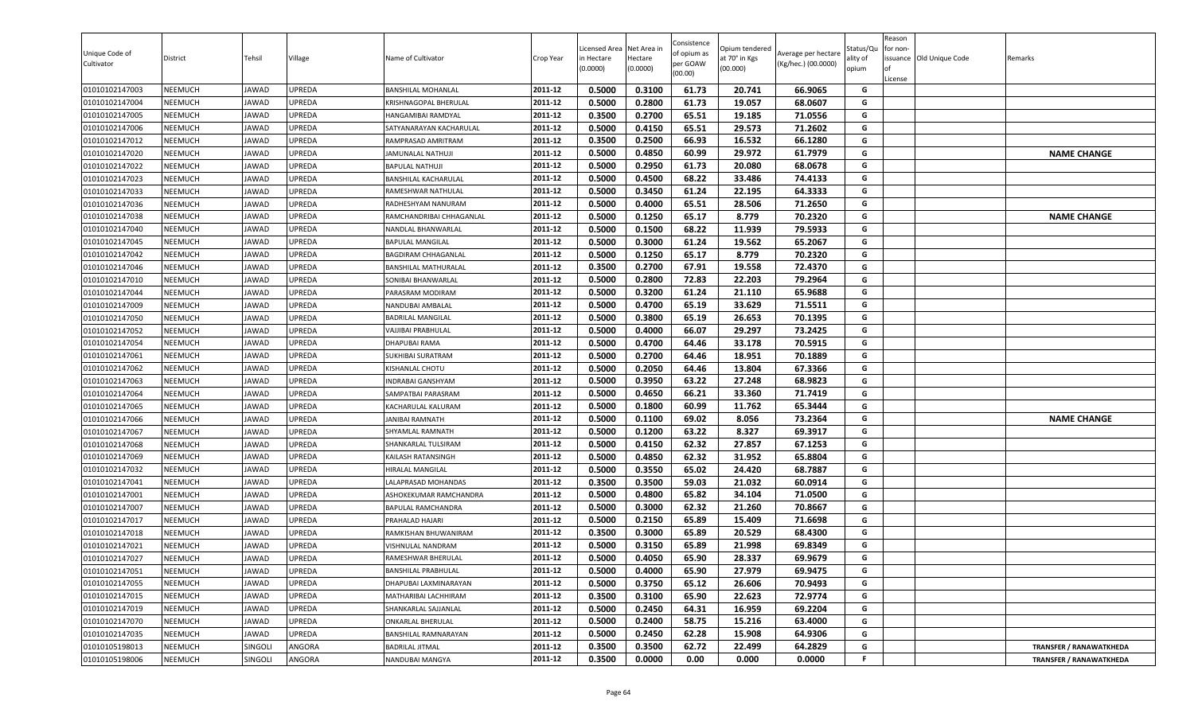| Unique Code of<br>Cultivator     | District           | Tehsil         | Village                 | Name of Cultivator                                 | Crop Year          | Licensed Area<br>in Hectare<br>(0.0000) | Net Area in<br>Hectare<br>(0.0000) | Consistence<br>of opium as<br>per GOAW<br>(00.00) | Opium tendered<br>at 70° in Kgs<br>(00.000) | Average per hectare<br>(Kg/hec.) (00.0000) | აtatus/Qι<br>lity of<br>opium | Reason<br>for non-<br>lof<br>License | issuance Old Unique Code | Remarks                        |
|----------------------------------|--------------------|----------------|-------------------------|----------------------------------------------------|--------------------|-----------------------------------------|------------------------------------|---------------------------------------------------|---------------------------------------------|--------------------------------------------|-------------------------------|--------------------------------------|--------------------------|--------------------------------|
| 01010102147003                   | <b>NEEMUCH</b>     | JAWAD          | <b>UPREDA</b>           | <b>BANSHILAL MOHANLAL</b>                          | 2011-12            | 0.5000                                  | 0.3100                             | 61.73                                             | 20.741                                      | 66.9065                                    | G                             |                                      |                          |                                |
| 01010102147004                   | NEEMUCH            | JAWAD          | UPREDA                  | KRISHNAGOPAL BHERULAL                              | 2011-12            | 0.5000                                  | 0.2800                             | 61.73                                             | 19.057                                      | 68.0607                                    | G                             |                                      |                          |                                |
| 01010102147005                   | NEEMUCH            | <b>JAWAD</b>   | UPREDA                  | HANGAMIBAI RAMDYAL                                 | 2011-12            | 0.3500                                  | 0.2700                             | 65.51                                             | 19.185                                      | 71.0556                                    | G                             |                                      |                          |                                |
| 01010102147006                   | NEEMUCH            | JAWAD          | UPREDA                  | SATYANARAYAN KACHARULAL                            | 2011-12            | 0.5000                                  | 0.4150                             | 65.51                                             | 29.573                                      | 71.2602                                    | G                             |                                      |                          |                                |
| 01010102147012                   | NEEMUCH            | JAWAD          | UPREDA                  | RAMPRASAD AMRITRAM                                 | 2011-12            | 0.3500                                  | 0.2500                             | 66.93                                             | 16.532                                      | 66.1280                                    | G                             |                                      |                          |                                |
| 01010102147020                   | <b>NEEMUCH</b>     | JAWAD          | <b>UPREDA</b>           | JAMUNALAL NATHUJI                                  | 2011-12            | 0.5000                                  | 0.4850                             | 60.99                                             | 29.972                                      | 61.7979                                    | G                             |                                      |                          | <b>NAME CHANGE</b>             |
| 01010102147022                   | <b>NEEMUCH</b>     | JAWAD          | <b>UPREDA</b>           | <b>BAPULAL NATHUJI</b>                             | 2011-12            | 0.5000                                  | 0.2950                             | 61.73                                             | 20.080                                      | 68.0678                                    | G                             |                                      |                          |                                |
| 01010102147023                   | <b>NEEMUCH</b>     | JAWAD          | <b>UPREDA</b>           | BANSHILAL KACHARULAL                               | 2011-12            | 0.5000                                  | 0.4500                             | 68.22                                             | 33.486                                      | 74.4133                                    | G                             |                                      |                          |                                |
| 01010102147033                   | <b>NEEMUCH</b>     | JAWAD          | UPREDA                  | RAMESHWAR NATHULAL                                 | 2011-12            | 0.5000                                  | 0.3450                             | 61.24                                             | 22.195                                      | 64.3333                                    | G                             |                                      |                          |                                |
| 01010102147036                   | NEEMUCH            | <b>JAWAD</b>   | UPREDA                  | RADHESHYAM NANURAM                                 | 2011-12            | 0.5000                                  | 0.4000                             | 65.51                                             | 28.506                                      | 71.2650                                    | G                             |                                      |                          |                                |
| 01010102147038                   | NEEMUCH            | JAWAD          | <b>JPREDA</b>           | RAMCHANDRIBAI CHHAGANLAL                           | 2011-12            | 0.5000                                  | 0.1250                             | 65.17                                             | 8.779                                       | 70.2320                                    | G                             |                                      |                          | <b>NAME CHANGE</b>             |
| 01010102147040                   | NEEMUCH            | <b>JAWAD</b>   | UPREDA                  | NANDLAL BHANWARLAL                                 | 2011-12            | 0.5000                                  | 0.1500                             | 68.22                                             | 11.939                                      | 79.5933                                    | G                             |                                      |                          |                                |
| 01010102147045                   | NEEMUCH            | JAWAD          | <b>UPREDA</b>           | <b>BAPULAL MANGILAL</b>                            | 2011-12<br>2011-12 | 0.5000                                  | 0.3000                             | 61.24                                             | 19.562                                      | 65.2067                                    | G<br>G                        |                                      |                          |                                |
| 01010102147042<br>01010102147046 | NEEMUCH<br>NEEMUCH | JAWAD<br>JAWAD | <b>UPREDA</b><br>UPREDA | BAGDIRAM CHHAGANLAL<br><b>BANSHILAL MATHURALAL</b> | 2011-12            | 0.5000<br>0.3500                        | 0.1250<br>0.2700                   | 65.17<br>67.91                                    | 8.779<br>19.558                             | 70.2320<br>72.4370                         | G                             |                                      |                          |                                |
|                                  | <b>NEEMUCH</b>     | JAWAD          | UPREDA                  |                                                    | 2011-12            | 0.5000                                  | 0.2800                             | 72.83                                             | 22.203                                      | 79.2964                                    | G                             |                                      |                          |                                |
| 01010102147010<br>01010102147044 | <b>NEEMUCH</b>     | JAWAD          | <b>UPREDA</b>           | SONIBAI BHANWARLAL<br>PARASRAM MODIRAM             | 2011-12            | 0.5000                                  | 0.3200                             | 61.24                                             | 21.110                                      | 65.9688                                    | G                             |                                      |                          |                                |
| 01010102147009                   | NEEMUCH            | <b>JAWAD</b>   | UPREDA                  | NANDUBAI AMBALAL                                   | 2011-12            | 0.5000                                  | 0.4700                             | 65.19                                             | 33.629                                      | 71.5511                                    | G                             |                                      |                          |                                |
| 01010102147050                   | <b>NEEMUCH</b>     | <b>JAWAD</b>   | UPREDA                  | <b>BADRILAL MANGILAL</b>                           | 2011-12            | 0.5000                                  | 0.3800                             | 65.19                                             | 26.653                                      | 70.1395                                    | G                             |                                      |                          |                                |
| 01010102147052                   | NEEMUCH            | JAWAD          | UPREDA                  | VAJJIBAI PRABHULAL                                 | 2011-12            | 0.5000                                  | 0.4000                             | 66.07                                             | 29.297                                      | 73.2425                                    | G                             |                                      |                          |                                |
| 01010102147054                   | NEEMUCH            | <b>JAWAD</b>   | UPREDA                  | <b>DHAPUBAI RAMA</b>                               | 2011-12            | 0.5000                                  | 0.4700                             | 64.46                                             | 33.178                                      | 70.5915                                    | G                             |                                      |                          |                                |
| 01010102147061                   | <b>NEEMUCH</b>     | JAWAD          | UPREDA                  | <b>SUKHIBAI SURATRAM</b>                           | 2011-12            | 0.5000                                  | 0.2700                             | 64.46                                             | 18.951                                      | 70.1889                                    | G                             |                                      |                          |                                |
| 01010102147062                   | NEEMUCH            | JAWAD          | UPREDA                  | KISHANLAL CHOTU                                    | 2011-12            | 0.5000                                  | 0.2050                             | 64.46                                             | 13.804                                      | 67.3366                                    | G                             |                                      |                          |                                |
| 01010102147063                   | <b>NEEMUCH</b>     | JAWAD          | UPREDA                  | <b>INDRABAI GANSHYAM</b>                           | 2011-12            | 0.5000                                  | 0.3950                             | 63.22                                             | 27.248                                      | 68.9823                                    | G                             |                                      |                          |                                |
| 01010102147064                   | <b>NEEMUCH</b>     | JAWAD          | UPREDA                  | SAMPATBAI PARASRAM                                 | 2011-12            | 0.5000                                  | 0.4650                             | 66.21                                             | 33.360                                      | 71.7419                                    | G                             |                                      |                          |                                |
| 01010102147065                   | NEEMUCH            | JAWAD          | UPREDA                  | KACHARULAL KALURAM                                 | 2011-12            | 0.5000                                  | 0.1800                             | 60.99                                             | 11.762                                      | 65.3444                                    | G                             |                                      |                          |                                |
| 01010102147066                   | NEEMUCH            | JAWAD          | UPREDA                  | <b>JANIBAI RAMNATH</b>                             | 2011-12            | 0.5000                                  | 0.1100                             | 69.02                                             | 8.056                                       | 73.2364                                    | G                             |                                      |                          | <b>NAME CHANGE</b>             |
| 01010102147067                   | NEEMUCH            | <b>JAWAD</b>   | UPREDA                  | SHYAMLAL RAMNATH                                   | 2011-12            | 0.5000                                  | 0.1200                             | 63.22                                             | 8.327                                       | 69.3917                                    | G                             |                                      |                          |                                |
| 01010102147068                   | NEEMUCH            | JAWAD          | UPREDA                  | SHANKARLAL TULSIRAM                                | 2011-12            | 0.5000                                  | 0.4150                             | 62.32                                             | 27.857                                      | 67.1253                                    | G                             |                                      |                          |                                |
| 01010102147069                   | NEEMUCH            | JAWAD          | UPREDA                  | KAILASH RATANSINGH                                 | 2011-12            | 0.5000                                  | 0.4850                             | 62.32                                             | 31.952                                      | 65.8804                                    | G                             |                                      |                          |                                |
| 01010102147032                   | NEEMUCH            | JAWAD          | <b>UPREDA</b>           | HIRALAL MANGILAL                                   | 2011-12            | 0.5000                                  | 0.3550                             | 65.02                                             | 24.420                                      | 68.7887                                    | G                             |                                      |                          |                                |
| 01010102147041                   | <b>NEEMUCH</b>     | JAWAD          | <b>UPREDA</b>           | LALAPRASAD MOHANDAS                                | 2011-12            | 0.3500                                  | 0.3500                             | 59.03                                             | 21.032                                      | 60.0914                                    | G                             |                                      |                          |                                |
| 01010102147001                   | <b>NEEMUCH</b>     | JAWAD          | <b>UPREDA</b>           | ASHOKEKUMAR RAMCHANDRA                             | 2011-12            | 0.5000                                  | 0.4800                             | 65.82                                             | 34.104                                      | 71.0500                                    | G                             |                                      |                          |                                |
| 01010102147007                   | NEEMUCH            | JAWAD          | UPREDA                  | BAPULAL RAMCHANDRA                                 | 2011-12            | 0.5000                                  | 0.3000                             | 62.32                                             | 21.260                                      | 70.8667                                    | G                             |                                      |                          |                                |
| 01010102147017                   | NEEMUCH            | JAWAD          | UPREDA                  | PRAHALAD HAJARI                                    | 2011-12            | 0.5000                                  | 0.2150                             | 65.89                                             | 15.409                                      | 71.6698                                    | G                             |                                      |                          |                                |
| 01010102147018                   | NEEMUCH            | JAWAD          | UPREDA                  | RAMKISHAN BHUWANIRAM                               | 2011-12            | 0.3500                                  | 0.3000                             | 65.89                                             | 20.529                                      | 68.4300                                    | G                             |                                      |                          |                                |
| 01010102147021                   | NEEMUCH            | <b>JAWAD</b>   | UPREDA                  | VISHNULAL NANDRAM                                  | 2011-12            | 0.5000                                  | 0.3150                             | 65.89                                             | 21.998                                      | 69.8349                                    | G                             |                                      |                          |                                |
| 01010102147027                   | NEEMUCH            | JAWAD          | UPREDA                  | RAMESHWAR BHERULAL                                 | 2011-12            | 0.5000                                  | 0.4050                             | 65.90                                             | 28.337                                      | 69.9679                                    | G                             |                                      |                          |                                |
| 01010102147051                   | NEEMUCH            | JAWAD          | UPREDA                  | <b>BANSHILAL PRABHULAL</b>                         | 2011-12            | 0.5000                                  | 0.4000                             | 65.90                                             | 27.979                                      | 69.9475                                    | G                             |                                      |                          |                                |
| 01010102147055                   | NEEMUCH            | JAWAD          | UPREDA                  | DHAPUBAI LAXMINARAYAN                              | 2011-12            | 0.5000                                  | 0.3750                             | 65.12                                             | 26.606                                      | 70.9493                                    | G                             |                                      |                          |                                |
| 01010102147015                   | NEEMUCH            | JAWAD          | UPREDA                  | MATHARIBAI LACHHIRAM                               | 2011-12            | 0.3500                                  | 0.3100                             | 65.90                                             | 22.623                                      | 72.9774                                    | G                             |                                      |                          |                                |
| 01010102147019                   | NEEMUCH            | JAWAD          | UPREDA                  | SHANKARLAL SAJJANLAL                               | 2011-12            | 0.5000                                  | 0.2450                             | 64.31                                             | 16.959                                      | 69.2204                                    | G                             |                                      |                          |                                |
| 01010102147070                   | <b>NEEMUCH</b>     | JAWAD          | UPREDA                  | ONKARLAL BHERULAL                                  | 2011-12            | 0.5000                                  | 0.2400                             | 58.75                                             | 15.216                                      | 63.4000                                    | G                             |                                      |                          |                                |
| 01010102147035                   | NEEMUCH            | <b>JAWAD</b>   | UPREDA                  | BANSHILAL RAMNARAYAN                               | 2011-12            | 0.5000                                  | 0.2450                             | 62.28                                             | 15.908                                      | 64.9306                                    | G                             |                                      |                          |                                |
| 01010105198013                   | <b>NEEMUCH</b>     | SINGOLI        | ANGORA                  | <b>BADRILAL JITMAL</b>                             | 2011-12            | 0.3500                                  | 0.3500                             | 62.72                                             | 22.499                                      | 64.2829                                    | G                             |                                      |                          | <b>TRANSFER / RANAWATKHEDA</b> |
| 01010105198006                   | NEEMUCH            | SINGOLI        | ANGORA                  | NANDUBAI MANGYA                                    | 2011-12            | 0.3500                                  | 0.0000                             | 0.00                                              | 0.000                                       | 0.0000                                     | F                             |                                      |                          | <b>TRANSFER / RANAWATKHEDA</b> |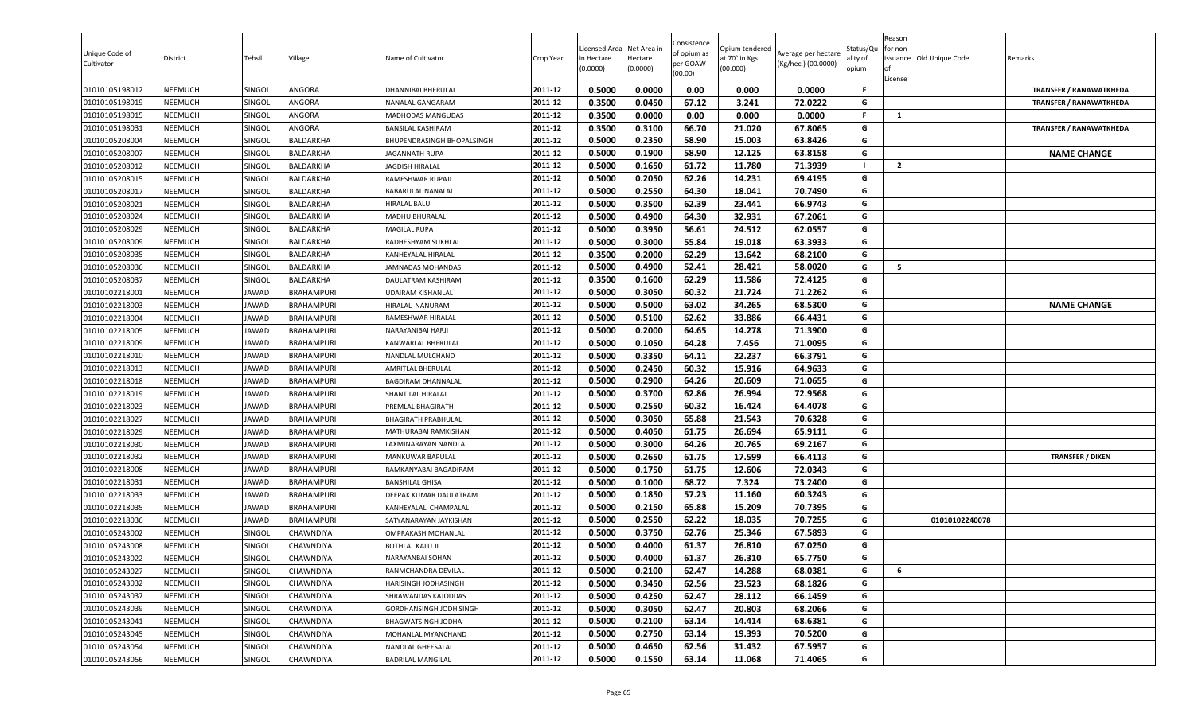| Unique Code of<br>Cultivator | District       | Tehsil         | Village           | Name of Cultivator                | Crop Year | icensed Area<br>in Hectare<br>(0.0000) | Net Area in<br>Hectare<br>(0.0000) | Consistence<br>of opium as<br>per GOAW<br>(00.00) | Opium tendered<br>at 70° in Kgs<br>(00.000) | Average per hectare<br>(Kg/hec.) (00.0000) | Status/Qu<br>lity of<br>opium | Reason<br>or non-<br>License | ssuance Old Unique Code | Remarks                        |
|------------------------------|----------------|----------------|-------------------|-----------------------------------|-----------|----------------------------------------|------------------------------------|---------------------------------------------------|---------------------------------------------|--------------------------------------------|-------------------------------|------------------------------|-------------------------|--------------------------------|
| 01010105198012               | <b>NEEMUCH</b> | SINGOLI        | ANGORA            | DHANNIBAI BHERULAL                | 2011-12   | 0.5000                                 | 0.0000                             | 0.00                                              | 0.000                                       | 0.0000                                     | -F                            |                              |                         | <b>TRANSFER / RANAWATKHEDA</b> |
| 01010105198019               | <b>NEEMUCH</b> | SINGOLI        | ANGORA            | NANALAL GANGARAM                  | 2011-12   | 0.3500                                 | 0.0450                             | 67.12                                             | 3.241                                       | 72.0222                                    | G                             |                              |                         | <b>TRANSFER / RANAWATKHEDA</b> |
| 01010105198015               | NEEMUCH        | SINGOLI        | ANGORA            | MADHODAS MANGUDAS                 | 2011-12   | 0.3500                                 | 0.0000                             | 0.00                                              | 0.000                                       | 0.0000                                     | F.                            | 1                            |                         |                                |
| 01010105198031               | NEEMUCH        | SINGOLI        | ANGORA            | <b>BANSILAL KASHIRAM</b>          | 2011-12   | 0.3500                                 | 0.3100                             | 66.70                                             | 21.020                                      | 67.8065                                    | G                             |                              |                         | <b>TRANSFER / RANAWATKHEDA</b> |
| 01010105208004               | NEEMUCH        | SINGOLI        | BALDARKHA         | <b>BHUPENDRASINGH BHOPALSINGH</b> | 2011-12   | 0.5000                                 | 0.2350                             | 58.90                                             | 15.003                                      | 63.8426                                    | G                             |                              |                         |                                |
| 01010105208007               | <b>NEEMUCH</b> | Singoli        | BALDARKHA         | <b>JAGANNATH RUPA</b>             | 2011-12   | 0.5000                                 | 0.1900                             | 58.90                                             | 12.125                                      | 63.8158                                    | G                             |                              |                         | <b>NAME CHANGE</b>             |
| 01010105208012               | <b>NEEMUCH</b> | Singoli        | BALDARKHA         | <b>JAGDISH HIRALAL</b>            | 2011-12   | 0.5000                                 | 0.1650                             | 61.72                                             | 11.780                                      | 71.3939                                    |                               | $\overline{2}$               |                         |                                |
| 01010105208015               | <b>NEEMUCH</b> | SINGOLI        | BALDARKHA         | RAMESHWAR RUPAJI                  | 2011-12   | 0.5000                                 | 0.2050                             | 62.26                                             | 14.231                                      | 69.4195                                    | G                             |                              |                         |                                |
| 01010105208017               | <b>NEEMUCH</b> | SINGOLI        | BALDARKHA         | <b>BABARULAL NANALAL</b>          | 2011-12   | 0.5000                                 | 0.2550                             | 64.30                                             | 18.041                                      | 70.7490                                    | G                             |                              |                         |                                |
| 01010105208021               | <b>NEEMUCH</b> | SINGOLI        | BALDARKHA         | HIRALAL BALU                      | 2011-12   | 0.5000                                 | 0.3500                             | 62.39                                             | 23.441                                      | 66.9743                                    | G                             |                              |                         |                                |
| 01010105208024               | NEEMUCH        | SINGOLI        | BALDARKHA         | MADHU BHURALAL                    | 2011-12   | 0.5000                                 | 0.4900                             | 64.30                                             | 32.931                                      | 67.2061                                    | G                             |                              |                         |                                |
| 01010105208029               | NEEMUCH        | SINGOLI        | BALDARKHA         | <b>MAGILAL RUPA</b>               | 2011-12   | 0.5000                                 | 0.3950                             | 56.61                                             | 24.512                                      | 62.0557                                    | G                             |                              |                         |                                |
| 01010105208009               | <b>NEEMUCH</b> | SINGOLI        | BALDARKHA         | RADHESHYAM SUKHLAL                | 2011-12   | 0.5000                                 | 0.3000                             | 55.84                                             | 19.018                                      | 63.3933                                    | G                             |                              |                         |                                |
| 01010105208035               | NEEMUCH        | SINGOLI        | BALDARKHA         | KANHEYALAL HIRALAL                | 2011-12   | 0.3500                                 | 0.2000                             | 62.29                                             | 13.642                                      | 68.2100                                    | G                             |                              |                         |                                |
| 01010105208036               | <b>NEEMUCH</b> | SINGOLI        | BALDARKHA         | JAMNADAS MOHANDAS                 | 2011-12   | 0.5000                                 | 0.4900                             | 52.41                                             | 28.421                                      | 58.0020                                    | G                             | 5                            |                         |                                |
| 01010105208037               | <b>NEEMUCH</b> | SINGOLI        | BALDARKHA         | DAULATRAM KASHIRAM                | 2011-12   | 0.3500                                 | 0.1600                             | 62.29                                             | 11.586                                      | 72.4125                                    | G                             |                              |                         |                                |
| 01010102218001               | <b>NEEMUCH</b> | JAWAD          | <b>BRAHAMPURI</b> | UDAIRAM KISHANLAL                 | 2011-12   | 0.5000                                 | 0.3050                             | 60.32                                             | 21.724                                      | 71.2262                                    | G                             |                              |                         |                                |
| 01010102218003               | <b>NEEMUCH</b> | JAWAD          | <b>BRAHAMPURI</b> | HIRALAL NANURAM                   | 2011-12   | 0.5000                                 | 0.5000                             | 63.02                                             | 34.265                                      | 68.5300                                    | G                             |                              |                         | <b>NAME CHANGE</b>             |
| 01010102218004               | <b>NEEMUCH</b> | JAWAD          | <b>BRAHAMPURI</b> | RAMESHWAR HIRALAL                 | 2011-12   | 0.5000                                 | 0.5100                             | 62.62                                             | 33.886                                      | 66.4431                                    | G                             |                              |                         |                                |
| 01010102218005               | NEEMUCH        | JAWAD          | <b>BRAHAMPURI</b> | NARAYANIBAI HARJI                 | 2011-12   | 0.5000                                 | 0.2000                             | 64.65                                             | 14.278                                      | 71.3900                                    | G                             |                              |                         |                                |
| 01010102218009               | NEEMUCH        | <b>JAWAD</b>   | <b>BRAHAMPURI</b> | KANWARLAL BHERULAL                | 2011-12   | 0.5000                                 | 0.1050                             | 64.28                                             | 7.456                                       | 71.0095                                    | G                             |                              |                         |                                |
| 01010102218010               | <b>NEEMUCH</b> | JAWAD          | <b>BRAHAMPURI</b> | NANDLAL MULCHAND                  | 2011-12   | 0.5000                                 | 0.3350                             | 64.11                                             | 22.237                                      | 66.3791                                    | G                             |                              |                         |                                |
| 01010102218013               | NEEMUCH        | <b>JAWAD</b>   | <b>BRAHAMPURI</b> | <b>AMRITLAL BHERULAL</b>          | 2011-12   | 0.5000                                 | 0.2450                             | 60.32                                             | 15.916                                      | 64.9633                                    | G                             |                              |                         |                                |
| 01010102218018               | <b>NEEMUCH</b> | JAWAD          | <b>BRAHAMPURI</b> | BAGDIRAM DHANNALAL                | 2011-12   | 0.5000                                 | 0.2900                             | 64.26                                             | 20.609                                      | 71.0655                                    | G                             |                              |                         |                                |
| 01010102218019               | <b>NEEMUCH</b> | JAWAD          | <b>BRAHAMPURI</b> | <b>SHANTILAL HIRALAL</b>          | 2011-12   | 0.5000                                 | 0.3700                             | 62.86                                             | 26.994                                      | 72.9568                                    | G                             |                              |                         |                                |
| 01010102218023               | <b>NEEMUCH</b> | JAWAD          | <b>BRAHAMPURI</b> | PREMLAL BHAGIRATH                 | 2011-12   | 0.5000                                 | 0.2550                             | 60.32                                             | 16.424                                      | 64.4078                                    | G                             |                              |                         |                                |
| 01010102218027               | NEEMUCH        | <b>JAWAD</b>   | <b>BRAHAMPURI</b> | <b>BHAGIRATH PRABHULAL</b>        | 2011-12   | 0.5000                                 | 0.3050                             | 65.88                                             | 21.543                                      | 70.6328                                    | G                             |                              |                         |                                |
| 01010102218029               | NEEMUCH        | <b>JAWAD</b>   | <b>BRAHAMPURI</b> | MATHURABAI RAMKISHAN              | 2011-12   | 0.5000                                 | 0.4050                             | 61.75                                             | 26.694                                      | 65.9111                                    | G                             |                              |                         |                                |
| 01010102218030               | <b>NEEMUCH</b> | JAWAD          | <b>BRAHAMPURI</b> | LAXMINARAYAN NANDLAL              | 2011-12   | 0.5000                                 | 0.3000                             | 64.26                                             | 20.765                                      | 69.2167                                    | G                             |                              |                         |                                |
| 01010102218032               | NEEMUCH        | <b>JAWAD</b>   | <b>BRAHAMPURI</b> | <b>MANKUWAR BAPULAL</b>           | 2011-12   | 0.5000                                 | 0.2650                             | 61.75                                             | 17.599                                      | 66.4113                                    | G                             |                              |                         | <b>TRANSFER / DIKEN</b>        |
| 01010102218008               | <b>NEEMUCH</b> | JAWAD          | <b>BRAHAMPURI</b> | RAMKANYABAI BAGADIRAM             | 2011-12   | 0.5000                                 | 0.1750                             | 61.75                                             | 12.606                                      | 72.0343                                    | G                             |                              |                         |                                |
| 01010102218031               | <b>NEEMUCH</b> | JAWAD          | <b>BRAHAMPURI</b> | <b>BANSHILAL GHISA</b>            | 2011-12   | 0.5000                                 | 0.1000                             | 68.72                                             | 7.324                                       | 73.2400                                    | G                             |                              |                         |                                |
| 01010102218033               | <b>NEEMUCH</b> | JAWAD          | <b>BRAHAMPURI</b> | DEEPAK KUMAR DAULATRAM            | 2011-12   | 0.5000                                 | 0.1850                             | 57.23                                             | 11.160                                      | 60.3243                                    | G                             |                              |                         |                                |
| 01010102218035               | <b>NEEMUCH</b> | JAWAD          | <b>BRAHAMPURI</b> | KANHEYALAL CHAMPALAL              | 2011-12   | 0.5000                                 | 0.2150                             | 65.88                                             | 15.209                                      | 70.7395                                    | G                             |                              |                         |                                |
| 01010102218036               | <b>NEEMUCH</b> | JAWAD          | <b>BRAHAMPURI</b> | SATYANARAYAN JAYKISHAN            | 2011-12   | 0.5000                                 | 0.2550                             | 62.22                                             | 18.035                                      | 70.7255                                    | G                             |                              | 01010102240078          |                                |
| 01010105243002               | NEEMUCH        | SINGOLI        | CHAWNDIYA         | <b>OMPRAKASH MOHANLAL</b>         | 2011-12   | 0.5000                                 | 0.3750                             | 62.76                                             | 25.346                                      | 67.5893                                    | G                             |                              |                         |                                |
| 01010105243008               | NEEMUCH        | SINGOLI        | CHAWNDIYA         | <b>BOTHLAL KALU JI</b>            | 2011-12   | 0.5000                                 | 0.4000                             | 61.37                                             | 26.810                                      | 67.0250                                    | G                             |                              |                         |                                |
| 01010105243022               | NEEMUCH        | SINGOLI        | CHAWNDIYA         | NARAYANBAI SOHAN                  | 2011-12   | 0.5000                                 | 0.4000                             | 61.37                                             | 26.310                                      | 65.7750                                    | G                             |                              |                         |                                |
| 01010105243027               | <b>NEEMUCH</b> | SINGOLI        | CHAWNDIYA         | RANMCHANDRA DEVILAL               | 2011-12   | 0.5000                                 | 0.2100                             | 62.47                                             | 14.288                                      | 68.0381                                    | G                             | 6                            |                         |                                |
| 01010105243032               | <b>NEEMUCH</b> | SINGOLI        | CHAWNDIYA         | HARISINGH JODHASINGH              | 2011-12   | 0.5000                                 | 0.3450                             | 62.56                                             | 23.523                                      | 68.1826                                    | G                             |                              |                         |                                |
| 01010105243037               | NEEMUCH        | SINGOLI        | CHAWNDIYA         | SHRAWANDAS KAJODDAS               | 2011-12   | 0.5000                                 | 0.4250                             | 62.47                                             | 28.112                                      | 66.1459                                    | G                             |                              |                         |                                |
| 01010105243039               | <b>NEEMUCH</b> | SINGOLI        | CHAWNDIYA         | GORDHANSINGH JODH SINGH           | 2011-12   | 0.5000                                 | 0.3050                             | 62.47                                             | 20.803                                      | 68.2066                                    | G                             |                              |                         |                                |
| 01010105243041               | <b>NEEMUCH</b> | SINGOLI        | <b>CHAWNDIYA</b>  | BHAGWATSINGH JODHA                | 2011-12   | 0.5000                                 | 0.2100                             | 63.14                                             | 14.414                                      | 68.6381                                    | G                             |                              |                         |                                |
| 01010105243045               | NEEMUCH        | SINGOLI        | <b>CHAWNDIYA</b>  | MOHANLAL MYANCHAND                | 2011-12   | 0.5000                                 | 0.2750                             | 63.14                                             | 19.393                                      | 70.5200                                    | G                             |                              |                         |                                |
| 01010105243054               | <b>NEEMUCH</b> | <b>SINGOLI</b> | CHAWNDIYA         | NANDLAL GHEESALAL                 | 2011-12   | 0.5000                                 | 0.4650                             | 62.56                                             | 31.432                                      | 67.5957                                    | G                             |                              |                         |                                |
| 01010105243056               | NEEMUCH        | SINGOLI        | CHAWNDIYA         | <b>BADRILAL MANGILAL</b>          | 2011-12   | 0.5000                                 | 0.1550                             | 63.14                                             | 11.068                                      | 71.4065                                    | G                             |                              |                         |                                |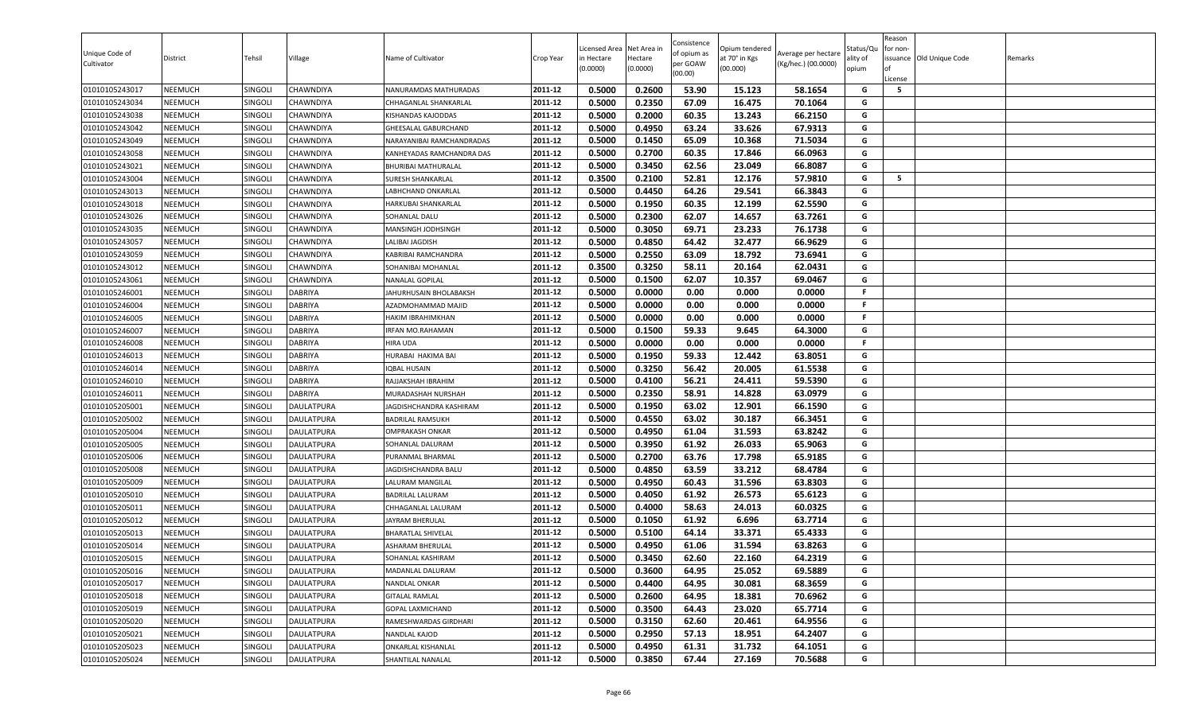| Unique Code of<br>Cultivator | District       | Tehsil         | Village           | Name of Cultivator        | Crop Year | Licensed Area<br>in Hectare<br>(0.0000) | Net Area in<br>Hectare<br>(0.0000) | Consistence<br>of opium as<br>per GOAW<br>(00.00) | )pium tendered<br>at 70° in Kgs<br>(00.000) | Average per hectare<br>(Kg/hec.) (00.0000) | Status/Qเ<br>ality of<br>opium | Reason<br>for non-<br>lof<br>License | issuance Old Unique Code | Remarks |
|------------------------------|----------------|----------------|-------------------|---------------------------|-----------|-----------------------------------------|------------------------------------|---------------------------------------------------|---------------------------------------------|--------------------------------------------|--------------------------------|--------------------------------------|--------------------------|---------|
| 01010105243017               | <b>NEEMUCH</b> | SINGOLI        | <b>CHAWNDIYA</b>  | NANURAMDAS MATHURADAS     | 2011-12   | 0.5000                                  | 0.2600                             | 53.90                                             | 15.123                                      | 58.1654                                    | G                              | 5                                    |                          |         |
| 01010105243034               | <b>NEEMUCH</b> | SINGOLI        | <b>CHAWNDIYA</b>  | CHHAGANLAL SHANKARLAL     | 2011-12   | 0.5000                                  | 0.2350                             | 67.09                                             | 16.475                                      | 70.1064                                    | G                              |                                      |                          |         |
| 01010105243038               | NEEMUCH        | <b>SINGOLI</b> | CHAWNDIYA         | KISHANDAS KAJODDAS        | 2011-12   | 0.5000                                  | 0.2000                             | 60.35                                             | 13.243                                      | 66.2150                                    | G                              |                                      |                          |         |
| 01010105243042               | <b>NEEMUCH</b> | SINGOLI        | <b>CHAWNDIYA</b>  | GHEESALAL GABURCHAND      | 2011-12   | 0.5000                                  | 0.4950                             | 63.24                                             | 33.626                                      | 67.9313                                    | G                              |                                      |                          |         |
| 01010105243049               | <b>NEEMUCH</b> | SINGOLI        | <b>CHAWNDIYA</b>  | NARAYANIBAI RAMCHANDRADAS | 2011-12   | 0.5000                                  | 0.1450                             | 65.09                                             | 10.368                                      | 71.5034                                    | G                              |                                      |                          |         |
| 01010105243058               | <b>NEEMUCH</b> | SINGOLI        | <b>CHAWNDIYA</b>  | KANHEYADAS RAMCHANDRA DAS | 2011-12   | 0.5000                                  | 0.2700                             | 60.35                                             | 17.846                                      | 66.0963                                    | G                              |                                      |                          |         |
| 01010105243021               | <b>NEEMUCH</b> | SINGOLI        | <b>CHAWNDIYA</b>  | BHURIBAI MATHURALAL       | 2011-12   | 0.5000                                  | 0.3450                             | 62.56                                             | 23.049                                      | 66.8087                                    | G                              |                                      |                          |         |
| 01010105243004               | <b>NEEMUCH</b> | SINGOLI        | <b>CHAWNDIYA</b>  | SURESH SHANKARLAL         | 2011-12   | 0.3500                                  | 0.2100                             | 52.81                                             | 12.176                                      | 57.9810                                    | G                              | 5                                    |                          |         |
| 01010105243013               | <b>NEEMUCH</b> | <b>SINGOLI</b> | CHAWNDIYA         | LABHCHAND ONKARLAL        | 2011-12   | 0.5000                                  | 0.4450                             | 64.26                                             | 29.541                                      | 66.3843                                    | G                              |                                      |                          |         |
| 01010105243018               | <b>NEEMUCH</b> | SINGOLI        | CHAWNDIYA         | HARKUBAI SHANKARLAL       | 2011-12   | 0.5000                                  | 0.1950                             | 60.35                                             | 12.199                                      | 62.5590                                    | G                              |                                      |                          |         |
| 01010105243026               | <b>NEEMUCH</b> | SINGOLI        | CHAWNDIYA         | SOHANLAL DALU             | 2011-12   | 0.5000                                  | 0.2300                             | 62.07                                             | 14.657                                      | 63.7261                                    | G                              |                                      |                          |         |
| 01010105243035               | <b>NEEMUCH</b> | SINGOLI        | <b>CHAWNDIYA</b>  | MANSINGH JODHSINGH        | 2011-12   | 0.5000                                  | 0.3050                             | 69.71                                             | 23.233                                      | 76.1738                                    | G                              |                                      |                          |         |
| 01010105243057               | <b>NEEMUCH</b> | SINGOLI        | <b>CHAWNDIYA</b>  | LALIBAI JAGDISH           | 2011-12   | 0.5000                                  | 0.4850                             | 64.42                                             | 32.477                                      | 66.9629                                    | G                              |                                      |                          |         |
| 01010105243059               | <b>NEEMUCH</b> | SINGOLI        | <b>CHAWNDIYA</b>  | KABRIBAI RAMCHANDRA       | 2011-12   | 0.5000                                  | 0.2550                             | 63.09                                             | 18.792                                      | 73.6941                                    | G                              |                                      |                          |         |
| 01010105243012               | <b>NEEMUCH</b> | SINGOLI        | <b>CHAWNDIYA</b>  | SOHANIBAI MOHANLAL        | 2011-12   | 0.3500                                  | 0.3250                             | 58.11                                             | 20.164                                      | 62.0431                                    | G                              |                                      |                          |         |
| 01010105243061               | <b>NEEMUCH</b> | SINGOLI        | <b>CHAWNDIYA</b>  | NANALAL GOPILAL           | 2011-12   | 0.5000                                  | 0.1500                             | 62.07                                             | 10.357                                      | 69.0467                                    | G                              |                                      |                          |         |
| 01010105246001               | <b>NEEMUCH</b> | SINGOLI        | <b>DABRIYA</b>    | JAHURHUSAIN BHOLABAKSH    | 2011-12   | 0.5000                                  | 0.0000                             | 0.00                                              | 0.000                                       | 0.0000                                     | F.                             |                                      |                          |         |
| 01010105246004               | <b>NEEMUCH</b> | SINGOLI        | <b>DABRIYA</b>    | AZADMOHAMMAD MAJID        | 2011-12   | 0.5000                                  | 0.0000                             | 0.00                                              | 0.000                                       | 0.0000                                     | F.                             |                                      |                          |         |
| 01010105246005               | <b>NEEMUCH</b> | SINGOLI        | <b>DABRIYA</b>    | HAKIM IBRAHIMKHAN         | 2011-12   | 0.5000                                  | 0.0000                             | 0.00                                              | 0.000                                       | 0.0000                                     | F.                             |                                      |                          |         |
| 01010105246007               | <b>NEEMUCH</b> | Singoli        | DABRIYA           | IRFAN MO.RAHAMAN          | 2011-12   | 0.5000                                  | 0.1500                             | 59.33                                             | 9.645                                       | 64.3000                                    | G                              |                                      |                          |         |
| 01010105246008               | <b>NEEMUCH</b> | SINGOLI        | <b>DABRIYA</b>    | HIRA UDA                  | 2011-12   | 0.5000                                  | 0.0000                             | 0.00                                              | 0.000                                       | 0.0000                                     | F                              |                                      |                          |         |
| 01010105246013               | <b>NEEMUCH</b> | SINGOLI        | <b>DABRIYA</b>    | HURABAI HAKIMA BAI        | 2011-12   | 0.5000                                  | 0.1950                             | 59.33                                             | 12.442                                      | 63.8051                                    | G                              |                                      |                          |         |
| 01010105246014               | <b>NEEMUCH</b> | SINGOLI        | <b>DABRIYA</b>    | <b>IQBAL HUSAIN</b>       | 2011-12   | 0.5000                                  | 0.3250                             | 56.42                                             | 20.005                                      | 61.5538                                    | G                              |                                      |                          |         |
| 01010105246010               | <b>NEEMUCH</b> | SINGOLI        | <b>DABRIYA</b>    | RAJJAKSHAH IBRAHIM        | 2011-12   | 0.5000                                  | 0.4100                             | 56.21                                             | 24.411                                      | 59.5390                                    | G                              |                                      |                          |         |
| 01010105246011               | <b>NEEMUCH</b> | SINGOLI        | DABRIYA           | MURADASHAH NURSHAH        | 2011-12   | 0.5000                                  | 0.2350                             | 58.91                                             | 14.828                                      | 63.0979                                    | G                              |                                      |                          |         |
| 01010105205001               | <b>NEEMUCH</b> | SINGOLI        | <b>DAULATPURA</b> | JAGDISHCHANDRA KASHIRAM   | 2011-12   | 0.5000                                  | 0.1950                             | 63.02                                             | 12.901                                      | 66.1590                                    | G                              |                                      |                          |         |
| 01010105205002               | <b>NEEMUCH</b> | SINGOLI        | DAULATPURA        | <b>BADRILAL RAMSUKH</b>   | 2011-12   | 0.5000                                  | 0.4550                             | 63.02                                             | 30.187                                      | 66.3451                                    | G                              |                                      |                          |         |
| 01010105205004               | <b>NEEMUCH</b> | SINGOLI        | DAULATPURA        | <b>OMPRAKASH ONKAR</b>    | 2011-12   | 0.5000                                  | 0.4950                             | 61.04                                             | 31.593                                      | 63.8242                                    | G                              |                                      |                          |         |
| 01010105205005               | NEEMUCH        | Singoli        | DAULATPURA        | SOHANLAL DALURAM          | 2011-12   | 0.5000                                  | 0.3950                             | 61.92                                             | 26.033                                      | 65.9063                                    | G                              |                                      |                          |         |
| 01010105205006               | <b>NEEMUCH</b> | SINGOLI        | <b>DAULATPURA</b> | PURANMAL BHARMAL          | 2011-12   | 0.5000                                  | 0.2700                             | 63.76                                             | 17.798                                      | 65.9185                                    | G                              |                                      |                          |         |
| 01010105205008               | <b>NEEMUCH</b> | SINGOLI        | <b>DAULATPURA</b> | JAGDISHCHANDRA BALU       | 2011-12   | 0.5000                                  | 0.4850                             | 63.59                                             | 33.212                                      | 68.4784                                    | G                              |                                      |                          |         |
| 01010105205009               | <b>NEEMUCH</b> | SINGOLI        | <b>DAULATPURA</b> | LALURAM MANGILAL          | 2011-12   | 0.5000                                  | 0.4950                             | 60.43                                             | 31.596                                      | 63.8303                                    | G                              |                                      |                          |         |
| 01010105205010               | <b>NEEMUCH</b> | SINGOLI        | <b>DAULATPURA</b> | <b>BADRILAL LALURAM</b>   | 2011-12   | 0.5000                                  | 0.4050                             | 61.92                                             | 26.573                                      | 65.6123                                    | G                              |                                      |                          |         |
| 01010105205011               | <b>NEEMUCH</b> | SINGOLI        | <b>DAULATPURA</b> | CHHAGANLAL LALURAM        | 2011-12   | 0.5000                                  | 0.4000                             | 58.63                                             | 24.013                                      | 60.0325                                    | G                              |                                      |                          |         |
| 01010105205012               | <b>NEEMUCH</b> | SINGOLI        | <b>DAULATPURA</b> | JAYRAM BHERULAL           | 2011-12   | 0.5000                                  | 0.1050                             | 61.92                                             | 6.696                                       | 63.7714                                    | G                              |                                      |                          |         |
| 01010105205013               | <b>NEEMUCH</b> | Singoli        | DAULATPURA        | <b>BHARATLAL SHIVELAL</b> | 2011-12   | 0.5000                                  | 0.5100                             | 64.14                                             | 33.371                                      | 65.4333                                    | G                              |                                      |                          |         |
| 01010105205014               | <b>NEEMUCH</b> | <b>SINGOLI</b> | DAULATPURA        | ASHARAM BHERULAL          | 2011-12   | 0.5000                                  | 0.4950                             | 61.06                                             | 31.594                                      | 63.8263                                    | G                              |                                      |                          |         |
| 01010105205015               | <b>NEEMUCH</b> | SINGOLI        | DAULATPURA        | SOHANLAL KASHIRAM         | 2011-12   | 0.5000                                  | 0.3450                             | 62.60                                             | 22.160                                      | 64.2319                                    | G                              |                                      |                          |         |
| 01010105205016               | <b>NEEMUCH</b> | SINGOLI        | <b>DAULATPURA</b> | MADANLAL DALURAM          | 2011-12   | 0.5000                                  | 0.3600                             | 64.95                                             | 25.052                                      | 69.5889                                    | G                              |                                      |                          |         |
| 01010105205017               | <b>NEEMUCH</b> | SINGOLI        | <b>DAULATPURA</b> | NANDLAL ONKAR             | 2011-12   | 0.5000                                  | 0.4400                             | 64.95                                             | 30.081                                      | 68.3659                                    | G                              |                                      |                          |         |
| 01010105205018               | <b>NEEMUCH</b> | SINGOLI        | <b>DAULATPURA</b> | <b>GITALAL RAMLAL</b>     | 2011-12   | 0.5000                                  | 0.2600                             | 64.95                                             | 18.381                                      | 70.6962                                    | G                              |                                      |                          |         |
| 01010105205019               | <b>NEEMUCH</b> | SINGOLI        | <b>DAULATPURA</b> | GOPAL LAXMICHAND          | 2011-12   | 0.5000                                  | 0.3500                             | 64.43                                             | 23.020                                      | 65.7714                                    | G                              |                                      |                          |         |
| 01010105205020               | <b>NEEMUCH</b> | SINGOLI        | <b>DAULATPURA</b> | RAMESHWARDAS GIRDHARI     | 2011-12   | 0.5000                                  | 0.3150                             | 62.60                                             | 20.461                                      | 64.9556                                    | G                              |                                      |                          |         |
| 01010105205021               | <b>NEEMUCH</b> | SINGOLI        | <b>DAULATPURA</b> | NANDLAL KAJOD             | 2011-12   | 0.5000                                  | 0.2950                             | 57.13                                             | 18.951                                      | 64.2407                                    | G                              |                                      |                          |         |
| 01010105205023               | <b>NEEMUCH</b> | <b>SINGOLI</b> | <b>DAULATPURA</b> | ONKARLAL KISHANLAL        | 2011-12   | 0.5000                                  | 0.4950                             | 61.31                                             | 31.732                                      | 64.1051                                    | G                              |                                      |                          |         |
| 01010105205024               | <b>NEEMUCH</b> | SINGOLI        | <b>DAULATPURA</b> | SHANTILAL NANALAL         | 2011-12   | 0.5000                                  | 0.3850                             | 67.44                                             | 27.169                                      | 70.5688                                    | G                              |                                      |                          |         |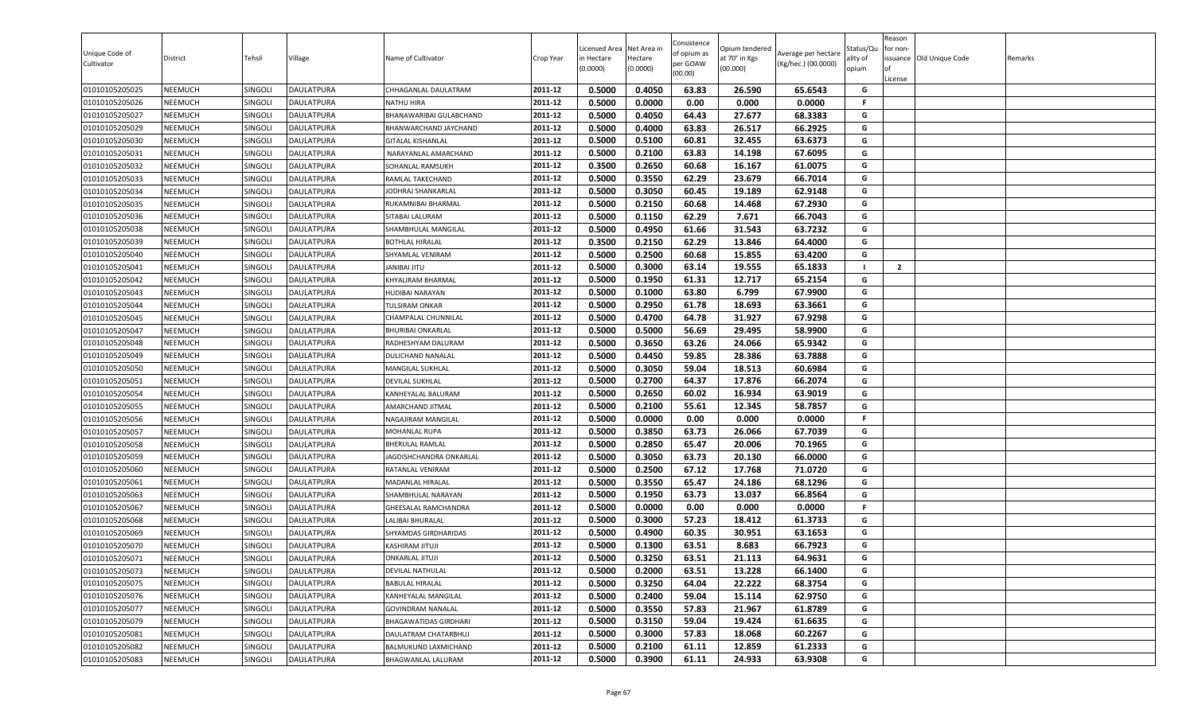| 0.5000<br>0.4050<br>63.83<br>65.6543<br>01010105205025<br><b>NEEMUCH</b><br><b>DAULATPURA</b><br>CHHAGANLAL DAULATRAM<br>2011-12<br>26.590<br>G<br>SINGOLI<br><b>NEEMUCH</b><br>2011-12<br>0.5000<br>0.0000<br>0.00<br>0.000<br>0.0000<br>01010105205026<br>SINGOLI<br><b>DAULATPURA</b><br>F.<br>NATHU HIRA<br>NEEMUCH<br>2011-12<br>0.5000<br>0.4050<br>64.43<br>27.677<br>68.3383<br>G<br>01010105205027<br>SINGOLI<br><b>DAULATPURA</b><br>BHANAWARIBAI GULABCHAND<br>26.517<br>66.2925<br>G<br>01010105205029<br><b>NEEMUCH</b><br>2011-12<br>0.5000<br>0.4000<br>63.83<br>SINGOLI<br><b>DAULATPURA</b><br>BHANWARCHAND JAYCHAND<br>0.5000<br>0.5100<br>63.6373<br>2011-12<br>60.81<br>32.455<br>G<br>01010105205030<br><b>NEEMUCH</b><br>SINGOLI<br><b>DAULATPURA</b><br>GITALAL KISHANLAL<br>G<br>2011-12<br>0.5000<br>0.2100<br>63.83<br>67.6095<br>01010105205031<br><b>NEEMUCH</b><br>SINGOLI<br><b>DAULATPURA</b><br>14.198<br>NARAYANLAL AMARCHAND<br>0.2650<br>60.68<br>2011-12<br>0.3500<br>16.167<br>61.0075<br>G<br><b>NEEMUCH</b><br>SINGOLI<br>01010105205032<br><b>DAULATPURA</b><br>SOHANLAL RAMSUKH<br>0.3550<br>G<br>01010105205033<br><b>NEEMUCH</b><br>SINGOLI<br><b>DAULATPURA</b><br>2011-12<br>0.5000<br>62.29<br>23.679<br>66.7014<br>RAMLAL TAKECHAND<br>01010105205034<br><b>NEEMUCH</b><br>0.5000<br>0.3050<br>60.45<br>19.189<br>62.9148<br>Singoli<br>DAULATPURA<br>2011-12<br>G<br>JODHRAJ SHANKARLAL<br>01010105205035<br>SINGOLI<br>DAULATPURA<br>2011-12<br>0.5000<br>0.2150<br>60.68<br>14.468<br>67.2930<br>G<br><b>NEEMUCH</b><br>RUKAMNIBAI BHARMAL<br>0.5000<br>0.1150<br>62.29<br>7.671<br>66.7043<br>G<br>2011-12<br>01010105205036<br><b>NEEMUCH</b><br>SINGOLI<br>DAULATPURA<br>SITABAI LALURAM<br><b>NEEMUCH</b><br>2011-12<br>0.5000<br>0.4950<br>61.66<br>31.543<br>63.7232<br>G<br>01010105205038<br>SINGOLI<br><b>DAULATPURA</b><br>SHAMBHULAL MANGILAL<br>0.2150<br>64.4000<br>01010105205039<br><b>NEEMUCH</b><br><b>DAULATPURA</b><br>0.3500<br>62.29<br>13.846<br>G<br>SINGOLI<br>2011-12<br><b>BOTHLAL HIRALAL</b><br>0.5000<br>0.2500<br>G<br>01010105205040<br><b>NEEMUCH</b><br>2011-12<br>60.68<br>15.855<br>63.4200<br>SINGOLI<br><b>DAULATPURA</b><br>SHYAMLAL VENIRAM<br>$\overline{2}$<br>0.5000<br>0.3000<br>63.14<br>65.1833<br>01010105205041<br><b>NEEMUCH</b><br>SINGOLI<br><b>DAULATPURA</b><br>2011-12<br>19.555<br>$\blacksquare$<br>UTIL IABINAL<br><b>NEEMUCH</b><br>SINGOLI<br>2011-12<br>0.5000<br>0.1950<br>61.31<br>12.717<br>65.2154<br>G<br>01010105205042<br><b>DAULATPURA</b><br>KHYALIRAM BHARMAL<br>01010105205043<br><b>NEEMUCH</b><br>SINGOLI<br><b>DAULATPURA</b><br>2011-12<br>0.5000<br>0.1000<br>63.80<br>6.799<br>67.9900<br>G<br><b>HUDIBAI NARAYAN</b><br>01010105205044<br><b>NEEMUCH</b><br>SINGOLI<br>2011-12<br>0.5000<br>0.2950<br>61.78<br>18.693<br>63.3661<br>G<br>DAULATPURA<br><b>TULSIRAM ONKAR</b><br>01010105205045<br><b>NEEMUCH</b><br>SINGOLI<br><b>DAULATPURA</b><br>2011-12<br>0.5000<br>0.4700<br>64.78<br>31.927<br>67.9298<br>G<br>CHAMPALAL CHUNNILAL<br>0.5000<br>0.5000<br>56.69<br>29.495<br>58.9900<br>G<br><b>NEEMUCH</b><br>2011-12<br>01010105205047<br>Singoli<br>DAULATPURA<br><b>BHURIBAI ONKARLAL</b><br><b>NEEMUCH</b><br>0.5000<br>0.3650<br>63.26<br>65.9342<br>01010105205048<br>SINGOLI<br><b>DAULATPURA</b><br>2011-12<br>24.066<br>G<br>RADHESHYAM DALURAM<br>63.7888<br>2011-12<br>0.5000<br>0.4450<br>59.85<br>28.386<br>G<br>01010105205049<br><b>NEEMUCH</b><br>SINGOLI<br><b>DAULATPURA</b><br>DULICHAND NANALAL<br>01010105205050<br><b>NEEMUCH</b><br>0.5000<br>0.3050<br>59.04<br>18.513<br>60.6984<br>G<br>SINGOLI<br>DAULATPURA<br>2011-12<br>MANGILAL SUKHLAL<br>0.5000<br>0.2700<br>64.37<br>66.2074<br>G<br>2011-12<br>17.876<br>01010105205051<br><b>NEEMUCH</b><br>SINGOLI<br><b>DAULATPURA</b><br>DEVILAL SUKHLAL<br>0.2650<br><b>NEEMUCH</b><br>SINGOLI<br>0.5000<br>60.02<br>16.934<br>63.9019<br>G<br>01010105205054<br><b>DAULATPURA</b><br>2011-12<br>KANHEYALAL BALURAM<br>2011-12<br>0.5000<br>0.2100<br>55.61<br>12.345<br>58.7857<br>01010105205055<br><b>NEEMUCH</b><br>SINGOLI<br><b>DAULATPURA</b><br>G<br>AMARCHAND JITMAL<br>01010105205056<br><b>NEEMUCH</b><br>SINGOLI<br>0.5000<br>0.0000<br>0.00<br>0.000<br>0.0000<br>DAULATPURA<br>2011-12<br>NAGAJIRAM MANGILAL<br>F.<br>2011-12<br>0.5000<br>0.3850<br>63.73<br>26.066<br>67.7039<br>G<br>01010105205057<br><b>NEEMUCH</b><br><b>SINGOLI</b><br>DAULATPURA<br>MOHANLAL RUPA<br>0.2850<br>NEEMUCH<br>0.5000<br>65.47<br>20.006<br>70.1965<br>G<br>01010105205058<br>Singoli<br>DAULATPURA<br>2011-12<br>BHERULAL RAMLAL<br>0.3050<br>63.73<br>2011-12<br>0.5000<br>20.130<br>66.0000<br>G<br><b>NEEMUCH</b><br>01010105205059<br>SINGOLI<br><b>DAULATPURA</b><br>JAGDISHCHANDRA ONKARLAL<br>0.2500<br>01010105205060<br>0.5000<br>67.12<br>17.768<br>71.0720<br>G<br><b>NEEMUCH</b><br>SINGOLI<br><b>DAULATPURA</b><br>2011-12<br>RATANLAL VENIRAM<br>0.5000<br>0.3550<br>65.47<br>24.186<br>68.1296<br>01010105205061<br><b>NEEMUCH</b><br>SINGOLI<br>MADANLAL HIRALAL<br>2011-12<br>G<br><b>DAULATPURA</b><br>01010105205063<br>SINGOLI<br>0.5000<br>0.1950<br>63.73<br>13.037<br>66.8564<br>G<br><b>NEEMUCH</b><br><b>DAULATPURA</b><br>2011-12<br>SHAMBHULAL NARAYAN<br>0.5000<br>0.0000<br>0.00<br>0.000<br>0.0000<br><b>NEEMUCH</b><br>SINGOLI<br>2011-12<br>01010105205067<br><b>DAULATPURA</b><br>GHEESALAL RAMCHANDRA<br>F.<br>01010105205068<br><b>NEEMUCH</b><br>SINGOLI<br><b>DAULATPURA</b><br>2011-12<br>0.5000<br>0.3000<br>57.23<br>18.412<br>61.3733<br>G<br><b>LALIBAI BHURALAL</b><br>2011-12<br>0.5000<br>0.4900<br>60.35<br>30.951<br>63.1653<br>G<br>01010105205069<br><b>NEEMUCH</b><br>SHYAMDAS GIRDHARIDAS<br>SINGOLI<br>DAULATPURA<br>0.5000<br>8.683<br>66.7923<br>G<br>01010105205070<br><b>NEEMUCH</b><br>2011-12<br>0.1300<br>63.51<br>SINGOLI<br>DAULATPURA<br>KASHIRAM JITUJI<br>0.5000<br>0.3250<br>21.113<br>64.9631<br>2011-12<br>63.51<br>G<br><b>NEEMUCH</b><br>SINGOLI<br>01010105205071<br><b>DAULATPURA</b><br><b>ONKARLAL JITUJI</b><br>2011-12<br><b>NEEMUCH</b><br>0.5000<br>0.2000<br>63.51<br>G<br>01010105205073<br>SINGOLI<br><b>DAULATPURA</b><br>13.228<br>66.1400<br>DEVILAL NATHULAL<br>0.3250<br>2011-12<br>0.5000<br>64.04<br>22.222<br>68.3754<br>G<br>01010105205075<br><b>NEEMUCH</b><br>SINGOLI<br><b>DAULATPURA</b><br><b>BABULAL HIRALAL</b><br>2011-12<br>0.2400<br>01010105205076<br><b>NEEMUCH</b><br>SINGOLI<br><b>DAULATPURA</b><br>0.5000<br>59.04<br>15.114<br>62.9750<br>G<br>KANHEYALAL MANGILAL<br>0.5000<br>0.3550<br>57.83<br>61.8789<br>01010105205077<br>SINGOLI<br>2011-12<br>21.967<br>G<br><b>NEEMUCH</b><br><b>DAULATPURA</b><br><b>GOVINDRAM NANALAL</b><br><b>NEEMUCH</b><br>2011-12<br>0.5000<br>0.3150<br>59.04<br>19.424<br>61.6635<br>G<br>01010105205079<br>SINGOLI<br><b>DAULATPURA</b><br>BHAGAWATIDAS GIRDHARI<br>01010105205081<br><b>NEEMUCH</b><br>SINGOLI<br><b>DAULATPURA</b><br>2011-12<br>0.5000<br>0.3000<br>57.83<br>18.068<br>60.2267<br>G<br>DAULATRAM CHATARBHUJ<br>G<br>2011-12<br>0.5000<br>0.2100<br>61.11<br>12.859<br>61.2333<br>01010105205082<br><b>NEEMUCH</b><br><b>SINGOLI</b><br><b>DAULATPURA</b><br>BALMUKUND LAXMICHAND<br>01010105205083<br>0.5000<br>0.3900<br><b>NEEMUCH</b><br>SINGOLI<br><b>DAULATPURA</b><br>2011-12<br>61.11<br>24.933<br>63.9308<br>G<br>BHAGWANLAL LALURAM | Unique Code of<br>Cultivator | District | Tehsil | Village | Name of Cultivator | Crop Year | Licensed Area<br>in Hectare<br>(0.0000) | Net Area in<br>Hectare<br>(0.0000) | Consistence<br>of opium as<br>per GOAW<br>(00.00) | Opium tendered<br>at 70° in Kgs<br>(00.000) | Average per hectare<br>(Kg/hec.) (00.0000) | Status/Qu<br>ality of<br>opium | Reason<br>for non-<br>lof<br>License | issuance Old Unique Code | Remarks |
|--------------------------------------------------------------------------------------------------------------------------------------------------------------------------------------------------------------------------------------------------------------------------------------------------------------------------------------------------------------------------------------------------------------------------------------------------------------------------------------------------------------------------------------------------------------------------------------------------------------------------------------------------------------------------------------------------------------------------------------------------------------------------------------------------------------------------------------------------------------------------------------------------------------------------------------------------------------------------------------------------------------------------------------------------------------------------------------------------------------------------------------------------------------------------------------------------------------------------------------------------------------------------------------------------------------------------------------------------------------------------------------------------------------------------------------------------------------------------------------------------------------------------------------------------------------------------------------------------------------------------------------------------------------------------------------------------------------------------------------------------------------------------------------------------------------------------------------------------------------------------------------------------------------------------------------------------------------------------------------------------------------------------------------------------------------------------------------------------------------------------------------------------------------------------------------------------------------------------------------------------------------------------------------------------------------------------------------------------------------------------------------------------------------------------------------------------------------------------------------------------------------------------------------------------------------------------------------------------------------------------------------------------------------------------------------------------------------------------------------------------------------------------------------------------------------------------------------------------------------------------------------------------------------------------------------------------------------------------------------------------------------------------------------------------------------------------------------------------------------------------------------------------------------------------------------------------------------------------------------------------------------------------------------------------------------------------------------------------------------------------------------------------------------------------------------------------------------------------------------------------------------------------------------------------------------------------------------------------------------------------------------------------------------------------------------------------------------------------------------------------------------------------------------------------------------------------------------------------------------------------------------------------------------------------------------------------------------------------------------------------------------------------------------------------------------------------------------------------------------------------------------------------------------------------------------------------------------------------------------------------------------------------------------------------------------------------------------------------------------------------------------------------------------------------------------------------------------------------------------------------------------------------------------------------------------------------------------------------------------------------------------------------------------------------------------------------------------------------------------------------------------------------------------------------------------------------------------------------------------------------------------------------------------------------------------------------------------------------------------------------------------------------------------------------------------------------------------------------------------------------------------------------------------------------------------------------------------------------------------------------------------------------------------------------------------------------------------------------------------------------------------------------------------------------------------------------------------------------------------------------------------------------------------------------------------------------------------------------------------------------------------------------------------------------------------------------------------------------------------------------------------------------------------------------------------------------------------------------------------------------------------------------------------------------------------------------------------------------------------------------------------------------------------------------------------------------------------------------------------------------------------------------------------------------------------------------------------------------------------------------------------------------------------------------------------------------------------------------------------------------------------------------------------------------------------------------------------------------------------------------------------------------------------------------------------------------------------------------------------------------------------------------------------------------------------------------------------------------------------------------------------------------------------------------------------------------------------------------------------------------------------------------------------------------------------------------------------------------------------------------------------------------------------------------------------------------------------------------------------------------------------------------------------------------------------------------------------------------------------------------------------------------------------------------------------------------------------------------------------------------------------------------------------------------------|------------------------------|----------|--------|---------|--------------------|-----------|-----------------------------------------|------------------------------------|---------------------------------------------------|---------------------------------------------|--------------------------------------------|--------------------------------|--------------------------------------|--------------------------|---------|
|                                                                                                                                                                                                                                                                                                                                                                                                                                                                                                                                                                                                                                                                                                                                                                                                                                                                                                                                                                                                                                                                                                                                                                                                                                                                                                                                                                                                                                                                                                                                                                                                                                                                                                                                                                                                                                                                                                                                                                                                                                                                                                                                                                                                                                                                                                                                                                                                                                                                                                                                                                                                                                                                                                                                                                                                                                                                                                                                                                                                                                                                                                                                                                                                                                                                                                                                                                                                                                                                                                                                                                                                                                                                                                                                                                                                                                                                                                                                                                                                                                                                                                                                                                                                                                                                                                                                                                                                                                                                                                                                                                                                                                                                                                                                                                                                                                                                                                                                                                                                                                                                                                                                                                                                                                                                                                                                                                                                                                                                                                                                                                                                                                                                                                                                                                                                                                                                                                                                                                                                                                                                                                                                                                                                                                                                                                                                                                                                                                                                                                                                                                                                                                                                                                                                                                                                                                                                                                                                                                                                                                                                                                                                                                                                                                                                                                                                                                                                                                |                              |          |        |         |                    |           |                                         |                                    |                                                   |                                             |                                            |                                |                                      |                          |         |
|                                                                                                                                                                                                                                                                                                                                                                                                                                                                                                                                                                                                                                                                                                                                                                                                                                                                                                                                                                                                                                                                                                                                                                                                                                                                                                                                                                                                                                                                                                                                                                                                                                                                                                                                                                                                                                                                                                                                                                                                                                                                                                                                                                                                                                                                                                                                                                                                                                                                                                                                                                                                                                                                                                                                                                                                                                                                                                                                                                                                                                                                                                                                                                                                                                                                                                                                                                                                                                                                                                                                                                                                                                                                                                                                                                                                                                                                                                                                                                                                                                                                                                                                                                                                                                                                                                                                                                                                                                                                                                                                                                                                                                                                                                                                                                                                                                                                                                                                                                                                                                                                                                                                                                                                                                                                                                                                                                                                                                                                                                                                                                                                                                                                                                                                                                                                                                                                                                                                                                                                                                                                                                                                                                                                                                                                                                                                                                                                                                                                                                                                                                                                                                                                                                                                                                                                                                                                                                                                                                                                                                                                                                                                                                                                                                                                                                                                                                                                                                |                              |          |        |         |                    |           |                                         |                                    |                                                   |                                             |                                            |                                |                                      |                          |         |
|                                                                                                                                                                                                                                                                                                                                                                                                                                                                                                                                                                                                                                                                                                                                                                                                                                                                                                                                                                                                                                                                                                                                                                                                                                                                                                                                                                                                                                                                                                                                                                                                                                                                                                                                                                                                                                                                                                                                                                                                                                                                                                                                                                                                                                                                                                                                                                                                                                                                                                                                                                                                                                                                                                                                                                                                                                                                                                                                                                                                                                                                                                                                                                                                                                                                                                                                                                                                                                                                                                                                                                                                                                                                                                                                                                                                                                                                                                                                                                                                                                                                                                                                                                                                                                                                                                                                                                                                                                                                                                                                                                                                                                                                                                                                                                                                                                                                                                                                                                                                                                                                                                                                                                                                                                                                                                                                                                                                                                                                                                                                                                                                                                                                                                                                                                                                                                                                                                                                                                                                                                                                                                                                                                                                                                                                                                                                                                                                                                                                                                                                                                                                                                                                                                                                                                                                                                                                                                                                                                                                                                                                                                                                                                                                                                                                                                                                                                                                                                |                              |          |        |         |                    |           |                                         |                                    |                                                   |                                             |                                            |                                |                                      |                          |         |
|                                                                                                                                                                                                                                                                                                                                                                                                                                                                                                                                                                                                                                                                                                                                                                                                                                                                                                                                                                                                                                                                                                                                                                                                                                                                                                                                                                                                                                                                                                                                                                                                                                                                                                                                                                                                                                                                                                                                                                                                                                                                                                                                                                                                                                                                                                                                                                                                                                                                                                                                                                                                                                                                                                                                                                                                                                                                                                                                                                                                                                                                                                                                                                                                                                                                                                                                                                                                                                                                                                                                                                                                                                                                                                                                                                                                                                                                                                                                                                                                                                                                                                                                                                                                                                                                                                                                                                                                                                                                                                                                                                                                                                                                                                                                                                                                                                                                                                                                                                                                                                                                                                                                                                                                                                                                                                                                                                                                                                                                                                                                                                                                                                                                                                                                                                                                                                                                                                                                                                                                                                                                                                                                                                                                                                                                                                                                                                                                                                                                                                                                                                                                                                                                                                                                                                                                                                                                                                                                                                                                                                                                                                                                                                                                                                                                                                                                                                                                                                |                              |          |        |         |                    |           |                                         |                                    |                                                   |                                             |                                            |                                |                                      |                          |         |
|                                                                                                                                                                                                                                                                                                                                                                                                                                                                                                                                                                                                                                                                                                                                                                                                                                                                                                                                                                                                                                                                                                                                                                                                                                                                                                                                                                                                                                                                                                                                                                                                                                                                                                                                                                                                                                                                                                                                                                                                                                                                                                                                                                                                                                                                                                                                                                                                                                                                                                                                                                                                                                                                                                                                                                                                                                                                                                                                                                                                                                                                                                                                                                                                                                                                                                                                                                                                                                                                                                                                                                                                                                                                                                                                                                                                                                                                                                                                                                                                                                                                                                                                                                                                                                                                                                                                                                                                                                                                                                                                                                                                                                                                                                                                                                                                                                                                                                                                                                                                                                                                                                                                                                                                                                                                                                                                                                                                                                                                                                                                                                                                                                                                                                                                                                                                                                                                                                                                                                                                                                                                                                                                                                                                                                                                                                                                                                                                                                                                                                                                                                                                                                                                                                                                                                                                                                                                                                                                                                                                                                                                                                                                                                                                                                                                                                                                                                                                                                |                              |          |        |         |                    |           |                                         |                                    |                                                   |                                             |                                            |                                |                                      |                          |         |
|                                                                                                                                                                                                                                                                                                                                                                                                                                                                                                                                                                                                                                                                                                                                                                                                                                                                                                                                                                                                                                                                                                                                                                                                                                                                                                                                                                                                                                                                                                                                                                                                                                                                                                                                                                                                                                                                                                                                                                                                                                                                                                                                                                                                                                                                                                                                                                                                                                                                                                                                                                                                                                                                                                                                                                                                                                                                                                                                                                                                                                                                                                                                                                                                                                                                                                                                                                                                                                                                                                                                                                                                                                                                                                                                                                                                                                                                                                                                                                                                                                                                                                                                                                                                                                                                                                                                                                                                                                                                                                                                                                                                                                                                                                                                                                                                                                                                                                                                                                                                                                                                                                                                                                                                                                                                                                                                                                                                                                                                                                                                                                                                                                                                                                                                                                                                                                                                                                                                                                                                                                                                                                                                                                                                                                                                                                                                                                                                                                                                                                                                                                                                                                                                                                                                                                                                                                                                                                                                                                                                                                                                                                                                                                                                                                                                                                                                                                                                                                |                              |          |        |         |                    |           |                                         |                                    |                                                   |                                             |                                            |                                |                                      |                          |         |
|                                                                                                                                                                                                                                                                                                                                                                                                                                                                                                                                                                                                                                                                                                                                                                                                                                                                                                                                                                                                                                                                                                                                                                                                                                                                                                                                                                                                                                                                                                                                                                                                                                                                                                                                                                                                                                                                                                                                                                                                                                                                                                                                                                                                                                                                                                                                                                                                                                                                                                                                                                                                                                                                                                                                                                                                                                                                                                                                                                                                                                                                                                                                                                                                                                                                                                                                                                                                                                                                                                                                                                                                                                                                                                                                                                                                                                                                                                                                                                                                                                                                                                                                                                                                                                                                                                                                                                                                                                                                                                                                                                                                                                                                                                                                                                                                                                                                                                                                                                                                                                                                                                                                                                                                                                                                                                                                                                                                                                                                                                                                                                                                                                                                                                                                                                                                                                                                                                                                                                                                                                                                                                                                                                                                                                                                                                                                                                                                                                                                                                                                                                                                                                                                                                                                                                                                                                                                                                                                                                                                                                                                                                                                                                                                                                                                                                                                                                                                                                |                              |          |        |         |                    |           |                                         |                                    |                                                   |                                             |                                            |                                |                                      |                          |         |
|                                                                                                                                                                                                                                                                                                                                                                                                                                                                                                                                                                                                                                                                                                                                                                                                                                                                                                                                                                                                                                                                                                                                                                                                                                                                                                                                                                                                                                                                                                                                                                                                                                                                                                                                                                                                                                                                                                                                                                                                                                                                                                                                                                                                                                                                                                                                                                                                                                                                                                                                                                                                                                                                                                                                                                                                                                                                                                                                                                                                                                                                                                                                                                                                                                                                                                                                                                                                                                                                                                                                                                                                                                                                                                                                                                                                                                                                                                                                                                                                                                                                                                                                                                                                                                                                                                                                                                                                                                                                                                                                                                                                                                                                                                                                                                                                                                                                                                                                                                                                                                                                                                                                                                                                                                                                                                                                                                                                                                                                                                                                                                                                                                                                                                                                                                                                                                                                                                                                                                                                                                                                                                                                                                                                                                                                                                                                                                                                                                                                                                                                                                                                                                                                                                                                                                                                                                                                                                                                                                                                                                                                                                                                                                                                                                                                                                                                                                                                                                |                              |          |        |         |                    |           |                                         |                                    |                                                   |                                             |                                            |                                |                                      |                          |         |
|                                                                                                                                                                                                                                                                                                                                                                                                                                                                                                                                                                                                                                                                                                                                                                                                                                                                                                                                                                                                                                                                                                                                                                                                                                                                                                                                                                                                                                                                                                                                                                                                                                                                                                                                                                                                                                                                                                                                                                                                                                                                                                                                                                                                                                                                                                                                                                                                                                                                                                                                                                                                                                                                                                                                                                                                                                                                                                                                                                                                                                                                                                                                                                                                                                                                                                                                                                                                                                                                                                                                                                                                                                                                                                                                                                                                                                                                                                                                                                                                                                                                                                                                                                                                                                                                                                                                                                                                                                                                                                                                                                                                                                                                                                                                                                                                                                                                                                                                                                                                                                                                                                                                                                                                                                                                                                                                                                                                                                                                                                                                                                                                                                                                                                                                                                                                                                                                                                                                                                                                                                                                                                                                                                                                                                                                                                                                                                                                                                                                                                                                                                                                                                                                                                                                                                                                                                                                                                                                                                                                                                                                                                                                                                                                                                                                                                                                                                                                                                |                              |          |        |         |                    |           |                                         |                                    |                                                   |                                             |                                            |                                |                                      |                          |         |
|                                                                                                                                                                                                                                                                                                                                                                                                                                                                                                                                                                                                                                                                                                                                                                                                                                                                                                                                                                                                                                                                                                                                                                                                                                                                                                                                                                                                                                                                                                                                                                                                                                                                                                                                                                                                                                                                                                                                                                                                                                                                                                                                                                                                                                                                                                                                                                                                                                                                                                                                                                                                                                                                                                                                                                                                                                                                                                                                                                                                                                                                                                                                                                                                                                                                                                                                                                                                                                                                                                                                                                                                                                                                                                                                                                                                                                                                                                                                                                                                                                                                                                                                                                                                                                                                                                                                                                                                                                                                                                                                                                                                                                                                                                                                                                                                                                                                                                                                                                                                                                                                                                                                                                                                                                                                                                                                                                                                                                                                                                                                                                                                                                                                                                                                                                                                                                                                                                                                                                                                                                                                                                                                                                                                                                                                                                                                                                                                                                                                                                                                                                                                                                                                                                                                                                                                                                                                                                                                                                                                                                                                                                                                                                                                                                                                                                                                                                                                                                |                              |          |        |         |                    |           |                                         |                                    |                                                   |                                             |                                            |                                |                                      |                          |         |
|                                                                                                                                                                                                                                                                                                                                                                                                                                                                                                                                                                                                                                                                                                                                                                                                                                                                                                                                                                                                                                                                                                                                                                                                                                                                                                                                                                                                                                                                                                                                                                                                                                                                                                                                                                                                                                                                                                                                                                                                                                                                                                                                                                                                                                                                                                                                                                                                                                                                                                                                                                                                                                                                                                                                                                                                                                                                                                                                                                                                                                                                                                                                                                                                                                                                                                                                                                                                                                                                                                                                                                                                                                                                                                                                                                                                                                                                                                                                                                                                                                                                                                                                                                                                                                                                                                                                                                                                                                                                                                                                                                                                                                                                                                                                                                                                                                                                                                                                                                                                                                                                                                                                                                                                                                                                                                                                                                                                                                                                                                                                                                                                                                                                                                                                                                                                                                                                                                                                                                                                                                                                                                                                                                                                                                                                                                                                                                                                                                                                                                                                                                                                                                                                                                                                                                                                                                                                                                                                                                                                                                                                                                                                                                                                                                                                                                                                                                                                                                |                              |          |        |         |                    |           |                                         |                                    |                                                   |                                             |                                            |                                |                                      |                          |         |
|                                                                                                                                                                                                                                                                                                                                                                                                                                                                                                                                                                                                                                                                                                                                                                                                                                                                                                                                                                                                                                                                                                                                                                                                                                                                                                                                                                                                                                                                                                                                                                                                                                                                                                                                                                                                                                                                                                                                                                                                                                                                                                                                                                                                                                                                                                                                                                                                                                                                                                                                                                                                                                                                                                                                                                                                                                                                                                                                                                                                                                                                                                                                                                                                                                                                                                                                                                                                                                                                                                                                                                                                                                                                                                                                                                                                                                                                                                                                                                                                                                                                                                                                                                                                                                                                                                                                                                                                                                                                                                                                                                                                                                                                                                                                                                                                                                                                                                                                                                                                                                                                                                                                                                                                                                                                                                                                                                                                                                                                                                                                                                                                                                                                                                                                                                                                                                                                                                                                                                                                                                                                                                                                                                                                                                                                                                                                                                                                                                                                                                                                                                                                                                                                                                                                                                                                                                                                                                                                                                                                                                                                                                                                                                                                                                                                                                                                                                                                                                |                              |          |        |         |                    |           |                                         |                                    |                                                   |                                             |                                            |                                |                                      |                          |         |
|                                                                                                                                                                                                                                                                                                                                                                                                                                                                                                                                                                                                                                                                                                                                                                                                                                                                                                                                                                                                                                                                                                                                                                                                                                                                                                                                                                                                                                                                                                                                                                                                                                                                                                                                                                                                                                                                                                                                                                                                                                                                                                                                                                                                                                                                                                                                                                                                                                                                                                                                                                                                                                                                                                                                                                                                                                                                                                                                                                                                                                                                                                                                                                                                                                                                                                                                                                                                                                                                                                                                                                                                                                                                                                                                                                                                                                                                                                                                                                                                                                                                                                                                                                                                                                                                                                                                                                                                                                                                                                                                                                                                                                                                                                                                                                                                                                                                                                                                                                                                                                                                                                                                                                                                                                                                                                                                                                                                                                                                                                                                                                                                                                                                                                                                                                                                                                                                                                                                                                                                                                                                                                                                                                                                                                                                                                                                                                                                                                                                                                                                                                                                                                                                                                                                                                                                                                                                                                                                                                                                                                                                                                                                                                                                                                                                                                                                                                                                                                |                              |          |        |         |                    |           |                                         |                                    |                                                   |                                             |                                            |                                |                                      |                          |         |
|                                                                                                                                                                                                                                                                                                                                                                                                                                                                                                                                                                                                                                                                                                                                                                                                                                                                                                                                                                                                                                                                                                                                                                                                                                                                                                                                                                                                                                                                                                                                                                                                                                                                                                                                                                                                                                                                                                                                                                                                                                                                                                                                                                                                                                                                                                                                                                                                                                                                                                                                                                                                                                                                                                                                                                                                                                                                                                                                                                                                                                                                                                                                                                                                                                                                                                                                                                                                                                                                                                                                                                                                                                                                                                                                                                                                                                                                                                                                                                                                                                                                                                                                                                                                                                                                                                                                                                                                                                                                                                                                                                                                                                                                                                                                                                                                                                                                                                                                                                                                                                                                                                                                                                                                                                                                                                                                                                                                                                                                                                                                                                                                                                                                                                                                                                                                                                                                                                                                                                                                                                                                                                                                                                                                                                                                                                                                                                                                                                                                                                                                                                                                                                                                                                                                                                                                                                                                                                                                                                                                                                                                                                                                                                                                                                                                                                                                                                                                                                |                              |          |        |         |                    |           |                                         |                                    |                                                   |                                             |                                            |                                |                                      |                          |         |
|                                                                                                                                                                                                                                                                                                                                                                                                                                                                                                                                                                                                                                                                                                                                                                                                                                                                                                                                                                                                                                                                                                                                                                                                                                                                                                                                                                                                                                                                                                                                                                                                                                                                                                                                                                                                                                                                                                                                                                                                                                                                                                                                                                                                                                                                                                                                                                                                                                                                                                                                                                                                                                                                                                                                                                                                                                                                                                                                                                                                                                                                                                                                                                                                                                                                                                                                                                                                                                                                                                                                                                                                                                                                                                                                                                                                                                                                                                                                                                                                                                                                                                                                                                                                                                                                                                                                                                                                                                                                                                                                                                                                                                                                                                                                                                                                                                                                                                                                                                                                                                                                                                                                                                                                                                                                                                                                                                                                                                                                                                                                                                                                                                                                                                                                                                                                                                                                                                                                                                                                                                                                                                                                                                                                                                                                                                                                                                                                                                                                                                                                                                                                                                                                                                                                                                                                                                                                                                                                                                                                                                                                                                                                                                                                                                                                                                                                                                                                                                |                              |          |        |         |                    |           |                                         |                                    |                                                   |                                             |                                            |                                |                                      |                          |         |
|                                                                                                                                                                                                                                                                                                                                                                                                                                                                                                                                                                                                                                                                                                                                                                                                                                                                                                                                                                                                                                                                                                                                                                                                                                                                                                                                                                                                                                                                                                                                                                                                                                                                                                                                                                                                                                                                                                                                                                                                                                                                                                                                                                                                                                                                                                                                                                                                                                                                                                                                                                                                                                                                                                                                                                                                                                                                                                                                                                                                                                                                                                                                                                                                                                                                                                                                                                                                                                                                                                                                                                                                                                                                                                                                                                                                                                                                                                                                                                                                                                                                                                                                                                                                                                                                                                                                                                                                                                                                                                                                                                                                                                                                                                                                                                                                                                                                                                                                                                                                                                                                                                                                                                                                                                                                                                                                                                                                                                                                                                                                                                                                                                                                                                                                                                                                                                                                                                                                                                                                                                                                                                                                                                                                                                                                                                                                                                                                                                                                                                                                                                                                                                                                                                                                                                                                                                                                                                                                                                                                                                                                                                                                                                                                                                                                                                                                                                                                                                |                              |          |        |         |                    |           |                                         |                                    |                                                   |                                             |                                            |                                |                                      |                          |         |
|                                                                                                                                                                                                                                                                                                                                                                                                                                                                                                                                                                                                                                                                                                                                                                                                                                                                                                                                                                                                                                                                                                                                                                                                                                                                                                                                                                                                                                                                                                                                                                                                                                                                                                                                                                                                                                                                                                                                                                                                                                                                                                                                                                                                                                                                                                                                                                                                                                                                                                                                                                                                                                                                                                                                                                                                                                                                                                                                                                                                                                                                                                                                                                                                                                                                                                                                                                                                                                                                                                                                                                                                                                                                                                                                                                                                                                                                                                                                                                                                                                                                                                                                                                                                                                                                                                                                                                                                                                                                                                                                                                                                                                                                                                                                                                                                                                                                                                                                                                                                                                                                                                                                                                                                                                                                                                                                                                                                                                                                                                                                                                                                                                                                                                                                                                                                                                                                                                                                                                                                                                                                                                                                                                                                                                                                                                                                                                                                                                                                                                                                                                                                                                                                                                                                                                                                                                                                                                                                                                                                                                                                                                                                                                                                                                                                                                                                                                                                                                |                              |          |        |         |                    |           |                                         |                                    |                                                   |                                             |                                            |                                |                                      |                          |         |
|                                                                                                                                                                                                                                                                                                                                                                                                                                                                                                                                                                                                                                                                                                                                                                                                                                                                                                                                                                                                                                                                                                                                                                                                                                                                                                                                                                                                                                                                                                                                                                                                                                                                                                                                                                                                                                                                                                                                                                                                                                                                                                                                                                                                                                                                                                                                                                                                                                                                                                                                                                                                                                                                                                                                                                                                                                                                                                                                                                                                                                                                                                                                                                                                                                                                                                                                                                                                                                                                                                                                                                                                                                                                                                                                                                                                                                                                                                                                                                                                                                                                                                                                                                                                                                                                                                                                                                                                                                                                                                                                                                                                                                                                                                                                                                                                                                                                                                                                                                                                                                                                                                                                                                                                                                                                                                                                                                                                                                                                                                                                                                                                                                                                                                                                                                                                                                                                                                                                                                                                                                                                                                                                                                                                                                                                                                                                                                                                                                                                                                                                                                                                                                                                                                                                                                                                                                                                                                                                                                                                                                                                                                                                                                                                                                                                                                                                                                                                                                |                              |          |        |         |                    |           |                                         |                                    |                                                   |                                             |                                            |                                |                                      |                          |         |
|                                                                                                                                                                                                                                                                                                                                                                                                                                                                                                                                                                                                                                                                                                                                                                                                                                                                                                                                                                                                                                                                                                                                                                                                                                                                                                                                                                                                                                                                                                                                                                                                                                                                                                                                                                                                                                                                                                                                                                                                                                                                                                                                                                                                                                                                                                                                                                                                                                                                                                                                                                                                                                                                                                                                                                                                                                                                                                                                                                                                                                                                                                                                                                                                                                                                                                                                                                                                                                                                                                                                                                                                                                                                                                                                                                                                                                                                                                                                                                                                                                                                                                                                                                                                                                                                                                                                                                                                                                                                                                                                                                                                                                                                                                                                                                                                                                                                                                                                                                                                                                                                                                                                                                                                                                                                                                                                                                                                                                                                                                                                                                                                                                                                                                                                                                                                                                                                                                                                                                                                                                                                                                                                                                                                                                                                                                                                                                                                                                                                                                                                                                                                                                                                                                                                                                                                                                                                                                                                                                                                                                                                                                                                                                                                                                                                                                                                                                                                                                |                              |          |        |         |                    |           |                                         |                                    |                                                   |                                             |                                            |                                |                                      |                          |         |
|                                                                                                                                                                                                                                                                                                                                                                                                                                                                                                                                                                                                                                                                                                                                                                                                                                                                                                                                                                                                                                                                                                                                                                                                                                                                                                                                                                                                                                                                                                                                                                                                                                                                                                                                                                                                                                                                                                                                                                                                                                                                                                                                                                                                                                                                                                                                                                                                                                                                                                                                                                                                                                                                                                                                                                                                                                                                                                                                                                                                                                                                                                                                                                                                                                                                                                                                                                                                                                                                                                                                                                                                                                                                                                                                                                                                                                                                                                                                                                                                                                                                                                                                                                                                                                                                                                                                                                                                                                                                                                                                                                                                                                                                                                                                                                                                                                                                                                                                                                                                                                                                                                                                                                                                                                                                                                                                                                                                                                                                                                                                                                                                                                                                                                                                                                                                                                                                                                                                                                                                                                                                                                                                                                                                                                                                                                                                                                                                                                                                                                                                                                                                                                                                                                                                                                                                                                                                                                                                                                                                                                                                                                                                                                                                                                                                                                                                                                                                                                |                              |          |        |         |                    |           |                                         |                                    |                                                   |                                             |                                            |                                |                                      |                          |         |
|                                                                                                                                                                                                                                                                                                                                                                                                                                                                                                                                                                                                                                                                                                                                                                                                                                                                                                                                                                                                                                                                                                                                                                                                                                                                                                                                                                                                                                                                                                                                                                                                                                                                                                                                                                                                                                                                                                                                                                                                                                                                                                                                                                                                                                                                                                                                                                                                                                                                                                                                                                                                                                                                                                                                                                                                                                                                                                                                                                                                                                                                                                                                                                                                                                                                                                                                                                                                                                                                                                                                                                                                                                                                                                                                                                                                                                                                                                                                                                                                                                                                                                                                                                                                                                                                                                                                                                                                                                                                                                                                                                                                                                                                                                                                                                                                                                                                                                                                                                                                                                                                                                                                                                                                                                                                                                                                                                                                                                                                                                                                                                                                                                                                                                                                                                                                                                                                                                                                                                                                                                                                                                                                                                                                                                                                                                                                                                                                                                                                                                                                                                                                                                                                                                                                                                                                                                                                                                                                                                                                                                                                                                                                                                                                                                                                                                                                                                                                                                |                              |          |        |         |                    |           |                                         |                                    |                                                   |                                             |                                            |                                |                                      |                          |         |
|                                                                                                                                                                                                                                                                                                                                                                                                                                                                                                                                                                                                                                                                                                                                                                                                                                                                                                                                                                                                                                                                                                                                                                                                                                                                                                                                                                                                                                                                                                                                                                                                                                                                                                                                                                                                                                                                                                                                                                                                                                                                                                                                                                                                                                                                                                                                                                                                                                                                                                                                                                                                                                                                                                                                                                                                                                                                                                                                                                                                                                                                                                                                                                                                                                                                                                                                                                                                                                                                                                                                                                                                                                                                                                                                                                                                                                                                                                                                                                                                                                                                                                                                                                                                                                                                                                                                                                                                                                                                                                                                                                                                                                                                                                                                                                                                                                                                                                                                                                                                                                                                                                                                                                                                                                                                                                                                                                                                                                                                                                                                                                                                                                                                                                                                                                                                                                                                                                                                                                                                                                                                                                                                                                                                                                                                                                                                                                                                                                                                                                                                                                                                                                                                                                                                                                                                                                                                                                                                                                                                                                                                                                                                                                                                                                                                                                                                                                                                                                |                              |          |        |         |                    |           |                                         |                                    |                                                   |                                             |                                            |                                |                                      |                          |         |
|                                                                                                                                                                                                                                                                                                                                                                                                                                                                                                                                                                                                                                                                                                                                                                                                                                                                                                                                                                                                                                                                                                                                                                                                                                                                                                                                                                                                                                                                                                                                                                                                                                                                                                                                                                                                                                                                                                                                                                                                                                                                                                                                                                                                                                                                                                                                                                                                                                                                                                                                                                                                                                                                                                                                                                                                                                                                                                                                                                                                                                                                                                                                                                                                                                                                                                                                                                                                                                                                                                                                                                                                                                                                                                                                                                                                                                                                                                                                                                                                                                                                                                                                                                                                                                                                                                                                                                                                                                                                                                                                                                                                                                                                                                                                                                                                                                                                                                                                                                                                                                                                                                                                                                                                                                                                                                                                                                                                                                                                                                                                                                                                                                                                                                                                                                                                                                                                                                                                                                                                                                                                                                                                                                                                                                                                                                                                                                                                                                                                                                                                                                                                                                                                                                                                                                                                                                                                                                                                                                                                                                                                                                                                                                                                                                                                                                                                                                                                                                |                              |          |        |         |                    |           |                                         |                                    |                                                   |                                             |                                            |                                |                                      |                          |         |
|                                                                                                                                                                                                                                                                                                                                                                                                                                                                                                                                                                                                                                                                                                                                                                                                                                                                                                                                                                                                                                                                                                                                                                                                                                                                                                                                                                                                                                                                                                                                                                                                                                                                                                                                                                                                                                                                                                                                                                                                                                                                                                                                                                                                                                                                                                                                                                                                                                                                                                                                                                                                                                                                                                                                                                                                                                                                                                                                                                                                                                                                                                                                                                                                                                                                                                                                                                                                                                                                                                                                                                                                                                                                                                                                                                                                                                                                                                                                                                                                                                                                                                                                                                                                                                                                                                                                                                                                                                                                                                                                                                                                                                                                                                                                                                                                                                                                                                                                                                                                                                                                                                                                                                                                                                                                                                                                                                                                                                                                                                                                                                                                                                                                                                                                                                                                                                                                                                                                                                                                                                                                                                                                                                                                                                                                                                                                                                                                                                                                                                                                                                                                                                                                                                                                                                                                                                                                                                                                                                                                                                                                                                                                                                                                                                                                                                                                                                                                                                |                              |          |        |         |                    |           |                                         |                                    |                                                   |                                             |                                            |                                |                                      |                          |         |
|                                                                                                                                                                                                                                                                                                                                                                                                                                                                                                                                                                                                                                                                                                                                                                                                                                                                                                                                                                                                                                                                                                                                                                                                                                                                                                                                                                                                                                                                                                                                                                                                                                                                                                                                                                                                                                                                                                                                                                                                                                                                                                                                                                                                                                                                                                                                                                                                                                                                                                                                                                                                                                                                                                                                                                                                                                                                                                                                                                                                                                                                                                                                                                                                                                                                                                                                                                                                                                                                                                                                                                                                                                                                                                                                                                                                                                                                                                                                                                                                                                                                                                                                                                                                                                                                                                                                                                                                                                                                                                                                                                                                                                                                                                                                                                                                                                                                                                                                                                                                                                                                                                                                                                                                                                                                                                                                                                                                                                                                                                                                                                                                                                                                                                                                                                                                                                                                                                                                                                                                                                                                                                                                                                                                                                                                                                                                                                                                                                                                                                                                                                                                                                                                                                                                                                                                                                                                                                                                                                                                                                                                                                                                                                                                                                                                                                                                                                                                                                |                              |          |        |         |                    |           |                                         |                                    |                                                   |                                             |                                            |                                |                                      |                          |         |
|                                                                                                                                                                                                                                                                                                                                                                                                                                                                                                                                                                                                                                                                                                                                                                                                                                                                                                                                                                                                                                                                                                                                                                                                                                                                                                                                                                                                                                                                                                                                                                                                                                                                                                                                                                                                                                                                                                                                                                                                                                                                                                                                                                                                                                                                                                                                                                                                                                                                                                                                                                                                                                                                                                                                                                                                                                                                                                                                                                                                                                                                                                                                                                                                                                                                                                                                                                                                                                                                                                                                                                                                                                                                                                                                                                                                                                                                                                                                                                                                                                                                                                                                                                                                                                                                                                                                                                                                                                                                                                                                                                                                                                                                                                                                                                                                                                                                                                                                                                                                                                                                                                                                                                                                                                                                                                                                                                                                                                                                                                                                                                                                                                                                                                                                                                                                                                                                                                                                                                                                                                                                                                                                                                                                                                                                                                                                                                                                                                                                                                                                                                                                                                                                                                                                                                                                                                                                                                                                                                                                                                                                                                                                                                                                                                                                                                                                                                                                                                |                              |          |        |         |                    |           |                                         |                                    |                                                   |                                             |                                            |                                |                                      |                          |         |
|                                                                                                                                                                                                                                                                                                                                                                                                                                                                                                                                                                                                                                                                                                                                                                                                                                                                                                                                                                                                                                                                                                                                                                                                                                                                                                                                                                                                                                                                                                                                                                                                                                                                                                                                                                                                                                                                                                                                                                                                                                                                                                                                                                                                                                                                                                                                                                                                                                                                                                                                                                                                                                                                                                                                                                                                                                                                                                                                                                                                                                                                                                                                                                                                                                                                                                                                                                                                                                                                                                                                                                                                                                                                                                                                                                                                                                                                                                                                                                                                                                                                                                                                                                                                                                                                                                                                                                                                                                                                                                                                                                                                                                                                                                                                                                                                                                                                                                                                                                                                                                                                                                                                                                                                                                                                                                                                                                                                                                                                                                                                                                                                                                                                                                                                                                                                                                                                                                                                                                                                                                                                                                                                                                                                                                                                                                                                                                                                                                                                                                                                                                                                                                                                                                                                                                                                                                                                                                                                                                                                                                                                                                                                                                                                                                                                                                                                                                                                                                |                              |          |        |         |                    |           |                                         |                                    |                                                   |                                             |                                            |                                |                                      |                          |         |
|                                                                                                                                                                                                                                                                                                                                                                                                                                                                                                                                                                                                                                                                                                                                                                                                                                                                                                                                                                                                                                                                                                                                                                                                                                                                                                                                                                                                                                                                                                                                                                                                                                                                                                                                                                                                                                                                                                                                                                                                                                                                                                                                                                                                                                                                                                                                                                                                                                                                                                                                                                                                                                                                                                                                                                                                                                                                                                                                                                                                                                                                                                                                                                                                                                                                                                                                                                                                                                                                                                                                                                                                                                                                                                                                                                                                                                                                                                                                                                                                                                                                                                                                                                                                                                                                                                                                                                                                                                                                                                                                                                                                                                                                                                                                                                                                                                                                                                                                                                                                                                                                                                                                                                                                                                                                                                                                                                                                                                                                                                                                                                                                                                                                                                                                                                                                                                                                                                                                                                                                                                                                                                                                                                                                                                                                                                                                                                                                                                                                                                                                                                                                                                                                                                                                                                                                                                                                                                                                                                                                                                                                                                                                                                                                                                                                                                                                                                                                                                |                              |          |        |         |                    |           |                                         |                                    |                                                   |                                             |                                            |                                |                                      |                          |         |
|                                                                                                                                                                                                                                                                                                                                                                                                                                                                                                                                                                                                                                                                                                                                                                                                                                                                                                                                                                                                                                                                                                                                                                                                                                                                                                                                                                                                                                                                                                                                                                                                                                                                                                                                                                                                                                                                                                                                                                                                                                                                                                                                                                                                                                                                                                                                                                                                                                                                                                                                                                                                                                                                                                                                                                                                                                                                                                                                                                                                                                                                                                                                                                                                                                                                                                                                                                                                                                                                                                                                                                                                                                                                                                                                                                                                                                                                                                                                                                                                                                                                                                                                                                                                                                                                                                                                                                                                                                                                                                                                                                                                                                                                                                                                                                                                                                                                                                                                                                                                                                                                                                                                                                                                                                                                                                                                                                                                                                                                                                                                                                                                                                                                                                                                                                                                                                                                                                                                                                                                                                                                                                                                                                                                                                                                                                                                                                                                                                                                                                                                                                                                                                                                                                                                                                                                                                                                                                                                                                                                                                                                                                                                                                                                                                                                                                                                                                                                                                |                              |          |        |         |                    |           |                                         |                                    |                                                   |                                             |                                            |                                |                                      |                          |         |
|                                                                                                                                                                                                                                                                                                                                                                                                                                                                                                                                                                                                                                                                                                                                                                                                                                                                                                                                                                                                                                                                                                                                                                                                                                                                                                                                                                                                                                                                                                                                                                                                                                                                                                                                                                                                                                                                                                                                                                                                                                                                                                                                                                                                                                                                                                                                                                                                                                                                                                                                                                                                                                                                                                                                                                                                                                                                                                                                                                                                                                                                                                                                                                                                                                                                                                                                                                                                                                                                                                                                                                                                                                                                                                                                                                                                                                                                                                                                                                                                                                                                                                                                                                                                                                                                                                                                                                                                                                                                                                                                                                                                                                                                                                                                                                                                                                                                                                                                                                                                                                                                                                                                                                                                                                                                                                                                                                                                                                                                                                                                                                                                                                                                                                                                                                                                                                                                                                                                                                                                                                                                                                                                                                                                                                                                                                                                                                                                                                                                                                                                                                                                                                                                                                                                                                                                                                                                                                                                                                                                                                                                                                                                                                                                                                                                                                                                                                                                                                |                              |          |        |         |                    |           |                                         |                                    |                                                   |                                             |                                            |                                |                                      |                          |         |
|                                                                                                                                                                                                                                                                                                                                                                                                                                                                                                                                                                                                                                                                                                                                                                                                                                                                                                                                                                                                                                                                                                                                                                                                                                                                                                                                                                                                                                                                                                                                                                                                                                                                                                                                                                                                                                                                                                                                                                                                                                                                                                                                                                                                                                                                                                                                                                                                                                                                                                                                                                                                                                                                                                                                                                                                                                                                                                                                                                                                                                                                                                                                                                                                                                                                                                                                                                                                                                                                                                                                                                                                                                                                                                                                                                                                                                                                                                                                                                                                                                                                                                                                                                                                                                                                                                                                                                                                                                                                                                                                                                                                                                                                                                                                                                                                                                                                                                                                                                                                                                                                                                                                                                                                                                                                                                                                                                                                                                                                                                                                                                                                                                                                                                                                                                                                                                                                                                                                                                                                                                                                                                                                                                                                                                                                                                                                                                                                                                                                                                                                                                                                                                                                                                                                                                                                                                                                                                                                                                                                                                                                                                                                                                                                                                                                                                                                                                                                                                |                              |          |        |         |                    |           |                                         |                                    |                                                   |                                             |                                            |                                |                                      |                          |         |
|                                                                                                                                                                                                                                                                                                                                                                                                                                                                                                                                                                                                                                                                                                                                                                                                                                                                                                                                                                                                                                                                                                                                                                                                                                                                                                                                                                                                                                                                                                                                                                                                                                                                                                                                                                                                                                                                                                                                                                                                                                                                                                                                                                                                                                                                                                                                                                                                                                                                                                                                                                                                                                                                                                                                                                                                                                                                                                                                                                                                                                                                                                                                                                                                                                                                                                                                                                                                                                                                                                                                                                                                                                                                                                                                                                                                                                                                                                                                                                                                                                                                                                                                                                                                                                                                                                                                                                                                                                                                                                                                                                                                                                                                                                                                                                                                                                                                                                                                                                                                                                                                                                                                                                                                                                                                                                                                                                                                                                                                                                                                                                                                                                                                                                                                                                                                                                                                                                                                                                                                                                                                                                                                                                                                                                                                                                                                                                                                                                                                                                                                                                                                                                                                                                                                                                                                                                                                                                                                                                                                                                                                                                                                                                                                                                                                                                                                                                                                                                |                              |          |        |         |                    |           |                                         |                                    |                                                   |                                             |                                            |                                |                                      |                          |         |
|                                                                                                                                                                                                                                                                                                                                                                                                                                                                                                                                                                                                                                                                                                                                                                                                                                                                                                                                                                                                                                                                                                                                                                                                                                                                                                                                                                                                                                                                                                                                                                                                                                                                                                                                                                                                                                                                                                                                                                                                                                                                                                                                                                                                                                                                                                                                                                                                                                                                                                                                                                                                                                                                                                                                                                                                                                                                                                                                                                                                                                                                                                                                                                                                                                                                                                                                                                                                                                                                                                                                                                                                                                                                                                                                                                                                                                                                                                                                                                                                                                                                                                                                                                                                                                                                                                                                                                                                                                                                                                                                                                                                                                                                                                                                                                                                                                                                                                                                                                                                                                                                                                                                                                                                                                                                                                                                                                                                                                                                                                                                                                                                                                                                                                                                                                                                                                                                                                                                                                                                                                                                                                                                                                                                                                                                                                                                                                                                                                                                                                                                                                                                                                                                                                                                                                                                                                                                                                                                                                                                                                                                                                                                                                                                                                                                                                                                                                                                                                |                              |          |        |         |                    |           |                                         |                                    |                                                   |                                             |                                            |                                |                                      |                          |         |
|                                                                                                                                                                                                                                                                                                                                                                                                                                                                                                                                                                                                                                                                                                                                                                                                                                                                                                                                                                                                                                                                                                                                                                                                                                                                                                                                                                                                                                                                                                                                                                                                                                                                                                                                                                                                                                                                                                                                                                                                                                                                                                                                                                                                                                                                                                                                                                                                                                                                                                                                                                                                                                                                                                                                                                                                                                                                                                                                                                                                                                                                                                                                                                                                                                                                                                                                                                                                                                                                                                                                                                                                                                                                                                                                                                                                                                                                                                                                                                                                                                                                                                                                                                                                                                                                                                                                                                                                                                                                                                                                                                                                                                                                                                                                                                                                                                                                                                                                                                                                                                                                                                                                                                                                                                                                                                                                                                                                                                                                                                                                                                                                                                                                                                                                                                                                                                                                                                                                                                                                                                                                                                                                                                                                                                                                                                                                                                                                                                                                                                                                                                                                                                                                                                                                                                                                                                                                                                                                                                                                                                                                                                                                                                                                                                                                                                                                                                                                                                |                              |          |        |         |                    |           |                                         |                                    |                                                   |                                             |                                            |                                |                                      |                          |         |
|                                                                                                                                                                                                                                                                                                                                                                                                                                                                                                                                                                                                                                                                                                                                                                                                                                                                                                                                                                                                                                                                                                                                                                                                                                                                                                                                                                                                                                                                                                                                                                                                                                                                                                                                                                                                                                                                                                                                                                                                                                                                                                                                                                                                                                                                                                                                                                                                                                                                                                                                                                                                                                                                                                                                                                                                                                                                                                                                                                                                                                                                                                                                                                                                                                                                                                                                                                                                                                                                                                                                                                                                                                                                                                                                                                                                                                                                                                                                                                                                                                                                                                                                                                                                                                                                                                                                                                                                                                                                                                                                                                                                                                                                                                                                                                                                                                                                                                                                                                                                                                                                                                                                                                                                                                                                                                                                                                                                                                                                                                                                                                                                                                                                                                                                                                                                                                                                                                                                                                                                                                                                                                                                                                                                                                                                                                                                                                                                                                                                                                                                                                                                                                                                                                                                                                                                                                                                                                                                                                                                                                                                                                                                                                                                                                                                                                                                                                                                                                |                              |          |        |         |                    |           |                                         |                                    |                                                   |                                             |                                            |                                |                                      |                          |         |
|                                                                                                                                                                                                                                                                                                                                                                                                                                                                                                                                                                                                                                                                                                                                                                                                                                                                                                                                                                                                                                                                                                                                                                                                                                                                                                                                                                                                                                                                                                                                                                                                                                                                                                                                                                                                                                                                                                                                                                                                                                                                                                                                                                                                                                                                                                                                                                                                                                                                                                                                                                                                                                                                                                                                                                                                                                                                                                                                                                                                                                                                                                                                                                                                                                                                                                                                                                                                                                                                                                                                                                                                                                                                                                                                                                                                                                                                                                                                                                                                                                                                                                                                                                                                                                                                                                                                                                                                                                                                                                                                                                                                                                                                                                                                                                                                                                                                                                                                                                                                                                                                                                                                                                                                                                                                                                                                                                                                                                                                                                                                                                                                                                                                                                                                                                                                                                                                                                                                                                                                                                                                                                                                                                                                                                                                                                                                                                                                                                                                                                                                                                                                                                                                                                                                                                                                                                                                                                                                                                                                                                                                                                                                                                                                                                                                                                                                                                                                                                |                              |          |        |         |                    |           |                                         |                                    |                                                   |                                             |                                            |                                |                                      |                          |         |
|                                                                                                                                                                                                                                                                                                                                                                                                                                                                                                                                                                                                                                                                                                                                                                                                                                                                                                                                                                                                                                                                                                                                                                                                                                                                                                                                                                                                                                                                                                                                                                                                                                                                                                                                                                                                                                                                                                                                                                                                                                                                                                                                                                                                                                                                                                                                                                                                                                                                                                                                                                                                                                                                                                                                                                                                                                                                                                                                                                                                                                                                                                                                                                                                                                                                                                                                                                                                                                                                                                                                                                                                                                                                                                                                                                                                                                                                                                                                                                                                                                                                                                                                                                                                                                                                                                                                                                                                                                                                                                                                                                                                                                                                                                                                                                                                                                                                                                                                                                                                                                                                                                                                                                                                                                                                                                                                                                                                                                                                                                                                                                                                                                                                                                                                                                                                                                                                                                                                                                                                                                                                                                                                                                                                                                                                                                                                                                                                                                                                                                                                                                                                                                                                                                                                                                                                                                                                                                                                                                                                                                                                                                                                                                                                                                                                                                                                                                                                                                |                              |          |        |         |                    |           |                                         |                                    |                                                   |                                             |                                            |                                |                                      |                          |         |
|                                                                                                                                                                                                                                                                                                                                                                                                                                                                                                                                                                                                                                                                                                                                                                                                                                                                                                                                                                                                                                                                                                                                                                                                                                                                                                                                                                                                                                                                                                                                                                                                                                                                                                                                                                                                                                                                                                                                                                                                                                                                                                                                                                                                                                                                                                                                                                                                                                                                                                                                                                                                                                                                                                                                                                                                                                                                                                                                                                                                                                                                                                                                                                                                                                                                                                                                                                                                                                                                                                                                                                                                                                                                                                                                                                                                                                                                                                                                                                                                                                                                                                                                                                                                                                                                                                                                                                                                                                                                                                                                                                                                                                                                                                                                                                                                                                                                                                                                                                                                                                                                                                                                                                                                                                                                                                                                                                                                                                                                                                                                                                                                                                                                                                                                                                                                                                                                                                                                                                                                                                                                                                                                                                                                                                                                                                                                                                                                                                                                                                                                                                                                                                                                                                                                                                                                                                                                                                                                                                                                                                                                                                                                                                                                                                                                                                                                                                                                                                |                              |          |        |         |                    |           |                                         |                                    |                                                   |                                             |                                            |                                |                                      |                          |         |
|                                                                                                                                                                                                                                                                                                                                                                                                                                                                                                                                                                                                                                                                                                                                                                                                                                                                                                                                                                                                                                                                                                                                                                                                                                                                                                                                                                                                                                                                                                                                                                                                                                                                                                                                                                                                                                                                                                                                                                                                                                                                                                                                                                                                                                                                                                                                                                                                                                                                                                                                                                                                                                                                                                                                                                                                                                                                                                                                                                                                                                                                                                                                                                                                                                                                                                                                                                                                                                                                                                                                                                                                                                                                                                                                                                                                                                                                                                                                                                                                                                                                                                                                                                                                                                                                                                                                                                                                                                                                                                                                                                                                                                                                                                                                                                                                                                                                                                                                                                                                                                                                                                                                                                                                                                                                                                                                                                                                                                                                                                                                                                                                                                                                                                                                                                                                                                                                                                                                                                                                                                                                                                                                                                                                                                                                                                                                                                                                                                                                                                                                                                                                                                                                                                                                                                                                                                                                                                                                                                                                                                                                                                                                                                                                                                                                                                                                                                                                                                |                              |          |        |         |                    |           |                                         |                                    |                                                   |                                             |                                            |                                |                                      |                          |         |
|                                                                                                                                                                                                                                                                                                                                                                                                                                                                                                                                                                                                                                                                                                                                                                                                                                                                                                                                                                                                                                                                                                                                                                                                                                                                                                                                                                                                                                                                                                                                                                                                                                                                                                                                                                                                                                                                                                                                                                                                                                                                                                                                                                                                                                                                                                                                                                                                                                                                                                                                                                                                                                                                                                                                                                                                                                                                                                                                                                                                                                                                                                                                                                                                                                                                                                                                                                                                                                                                                                                                                                                                                                                                                                                                                                                                                                                                                                                                                                                                                                                                                                                                                                                                                                                                                                                                                                                                                                                                                                                                                                                                                                                                                                                                                                                                                                                                                                                                                                                                                                                                                                                                                                                                                                                                                                                                                                                                                                                                                                                                                                                                                                                                                                                                                                                                                                                                                                                                                                                                                                                                                                                                                                                                                                                                                                                                                                                                                                                                                                                                                                                                                                                                                                                                                                                                                                                                                                                                                                                                                                                                                                                                                                                                                                                                                                                                                                                                                                |                              |          |        |         |                    |           |                                         |                                    |                                                   |                                             |                                            |                                |                                      |                          |         |
|                                                                                                                                                                                                                                                                                                                                                                                                                                                                                                                                                                                                                                                                                                                                                                                                                                                                                                                                                                                                                                                                                                                                                                                                                                                                                                                                                                                                                                                                                                                                                                                                                                                                                                                                                                                                                                                                                                                                                                                                                                                                                                                                                                                                                                                                                                                                                                                                                                                                                                                                                                                                                                                                                                                                                                                                                                                                                                                                                                                                                                                                                                                                                                                                                                                                                                                                                                                                                                                                                                                                                                                                                                                                                                                                                                                                                                                                                                                                                                                                                                                                                                                                                                                                                                                                                                                                                                                                                                                                                                                                                                                                                                                                                                                                                                                                                                                                                                                                                                                                                                                                                                                                                                                                                                                                                                                                                                                                                                                                                                                                                                                                                                                                                                                                                                                                                                                                                                                                                                                                                                                                                                                                                                                                                                                                                                                                                                                                                                                                                                                                                                                                                                                                                                                                                                                                                                                                                                                                                                                                                                                                                                                                                                                                                                                                                                                                                                                                                                |                              |          |        |         |                    |           |                                         |                                    |                                                   |                                             |                                            |                                |                                      |                          |         |
|                                                                                                                                                                                                                                                                                                                                                                                                                                                                                                                                                                                                                                                                                                                                                                                                                                                                                                                                                                                                                                                                                                                                                                                                                                                                                                                                                                                                                                                                                                                                                                                                                                                                                                                                                                                                                                                                                                                                                                                                                                                                                                                                                                                                                                                                                                                                                                                                                                                                                                                                                                                                                                                                                                                                                                                                                                                                                                                                                                                                                                                                                                                                                                                                                                                                                                                                                                                                                                                                                                                                                                                                                                                                                                                                                                                                                                                                                                                                                                                                                                                                                                                                                                                                                                                                                                                                                                                                                                                                                                                                                                                                                                                                                                                                                                                                                                                                                                                                                                                                                                                                                                                                                                                                                                                                                                                                                                                                                                                                                                                                                                                                                                                                                                                                                                                                                                                                                                                                                                                                                                                                                                                                                                                                                                                                                                                                                                                                                                                                                                                                                                                                                                                                                                                                                                                                                                                                                                                                                                                                                                                                                                                                                                                                                                                                                                                                                                                                                                |                              |          |        |         |                    |           |                                         |                                    |                                                   |                                             |                                            |                                |                                      |                          |         |
|                                                                                                                                                                                                                                                                                                                                                                                                                                                                                                                                                                                                                                                                                                                                                                                                                                                                                                                                                                                                                                                                                                                                                                                                                                                                                                                                                                                                                                                                                                                                                                                                                                                                                                                                                                                                                                                                                                                                                                                                                                                                                                                                                                                                                                                                                                                                                                                                                                                                                                                                                                                                                                                                                                                                                                                                                                                                                                                                                                                                                                                                                                                                                                                                                                                                                                                                                                                                                                                                                                                                                                                                                                                                                                                                                                                                                                                                                                                                                                                                                                                                                                                                                                                                                                                                                                                                                                                                                                                                                                                                                                                                                                                                                                                                                                                                                                                                                                                                                                                                                                                                                                                                                                                                                                                                                                                                                                                                                                                                                                                                                                                                                                                                                                                                                                                                                                                                                                                                                                                                                                                                                                                                                                                                                                                                                                                                                                                                                                                                                                                                                                                                                                                                                                                                                                                                                                                                                                                                                                                                                                                                                                                                                                                                                                                                                                                                                                                                                                |                              |          |        |         |                    |           |                                         |                                    |                                                   |                                             |                                            |                                |                                      |                          |         |
|                                                                                                                                                                                                                                                                                                                                                                                                                                                                                                                                                                                                                                                                                                                                                                                                                                                                                                                                                                                                                                                                                                                                                                                                                                                                                                                                                                                                                                                                                                                                                                                                                                                                                                                                                                                                                                                                                                                                                                                                                                                                                                                                                                                                                                                                                                                                                                                                                                                                                                                                                                                                                                                                                                                                                                                                                                                                                                                                                                                                                                                                                                                                                                                                                                                                                                                                                                                                                                                                                                                                                                                                                                                                                                                                                                                                                                                                                                                                                                                                                                                                                                                                                                                                                                                                                                                                                                                                                                                                                                                                                                                                                                                                                                                                                                                                                                                                                                                                                                                                                                                                                                                                                                                                                                                                                                                                                                                                                                                                                                                                                                                                                                                                                                                                                                                                                                                                                                                                                                                                                                                                                                                                                                                                                                                                                                                                                                                                                                                                                                                                                                                                                                                                                                                                                                                                                                                                                                                                                                                                                                                                                                                                                                                                                                                                                                                                                                                                                                |                              |          |        |         |                    |           |                                         |                                    |                                                   |                                             |                                            |                                |                                      |                          |         |
|                                                                                                                                                                                                                                                                                                                                                                                                                                                                                                                                                                                                                                                                                                                                                                                                                                                                                                                                                                                                                                                                                                                                                                                                                                                                                                                                                                                                                                                                                                                                                                                                                                                                                                                                                                                                                                                                                                                                                                                                                                                                                                                                                                                                                                                                                                                                                                                                                                                                                                                                                                                                                                                                                                                                                                                                                                                                                                                                                                                                                                                                                                                                                                                                                                                                                                                                                                                                                                                                                                                                                                                                                                                                                                                                                                                                                                                                                                                                                                                                                                                                                                                                                                                                                                                                                                                                                                                                                                                                                                                                                                                                                                                                                                                                                                                                                                                                                                                                                                                                                                                                                                                                                                                                                                                                                                                                                                                                                                                                                                                                                                                                                                                                                                                                                                                                                                                                                                                                                                                                                                                                                                                                                                                                                                                                                                                                                                                                                                                                                                                                                                                                                                                                                                                                                                                                                                                                                                                                                                                                                                                                                                                                                                                                                                                                                                                                                                                                                                |                              |          |        |         |                    |           |                                         |                                    |                                                   |                                             |                                            |                                |                                      |                          |         |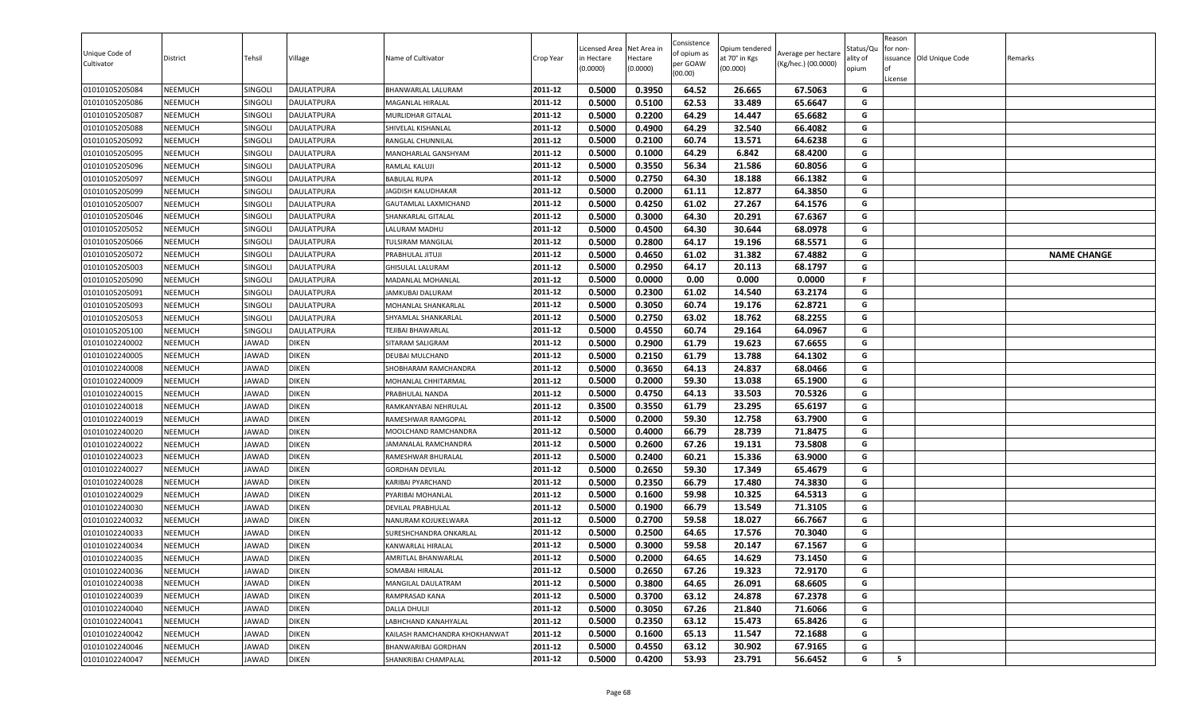| Unique Code of<br>Cultivator     | District                         | Tehsil                | Village        | Name of Cultivator                           | Crop Year          | Licensed Area<br>in Hectare<br>(0.0000) | Net Area in<br>Hectare<br>(0.0000) | Consistence<br>of opium as<br>per GOAW<br>(00.00) | Opium tendered<br>at 70° in Kgs<br>(00.000) | Average per hectare<br>(Kg/hec.) (00.0000) | Status/Qu<br>ality of<br>opium | Reason<br>for non-<br>License | ssuance Old Unique Code | Remarks            |
|----------------------------------|----------------------------------|-----------------------|----------------|----------------------------------------------|--------------------|-----------------------------------------|------------------------------------|---------------------------------------------------|---------------------------------------------|--------------------------------------------|--------------------------------|-------------------------------|-------------------------|--------------------|
| 01010105205084                   | NEEMUCH                          | SINGOLI               | DAULATPURA     | BHANWARLAL LALURAM                           | 2011-12            | 0.5000                                  | 0.3950                             | 64.52                                             | 26.665                                      | 67.5063                                    | G                              |                               |                         |                    |
| 01010105205086                   | NEEMUCH                          | Singoli               | DAULATPURA     | MAGANLAL HIRALAL                             | 2011-12            | 0.5000                                  | 0.5100                             | 62.53                                             | 33.489                                      | 65.6647                                    | G                              |                               |                         |                    |
| 01010105205087                   | NEEMUCH                          | SINGOLI               | DAULATPURA     | <b>MURLIDHAR GITALAL</b>                     | 2011-12            | 0.5000                                  | 0.2200                             | 64.29                                             | 14.447                                      | 65.6682                                    | G                              |                               |                         |                    |
| 01010105205088                   | <b>NEEMUCH</b>                   | SINGOLI               | DAULATPURA     | SHIVELAL KISHANLAL                           | 2011-12            | 0.5000                                  | 0.4900                             | 64.29                                             | 32.540                                      | 66.4082                                    | G                              |                               |                         |                    |
| 01010105205092                   | NEEMUCH                          | SINGOLI               | DAULATPURA     | RANGLAL CHUNNILAL                            | 2011-12            | 0.5000                                  | 0.2100                             | 60.74                                             | 13.571                                      | 64.6238                                    | G                              |                               |                         |                    |
| 01010105205095                   | <b>NEEMUCH</b>                   | SINGOLI               | DAULATPURA     | MANOHARLAL GANSHYAM                          | 2011-12            | 0.5000                                  | 0.1000                             | 64.29                                             | 6.842                                       | 68.4200                                    | G                              |                               |                         |                    |
| 01010105205096                   | <b>NEEMUCH</b>                   | SINGOLI               | DAULATPURA     | RAMLAL KALUJI                                | 2011-12            | 0.5000                                  | 0.3550                             | 56.34                                             | 21.586                                      | 60.8056                                    | G                              |                               |                         |                    |
| 01010105205097                   | <b>NEEMUCH</b>                   | SINGOLI               | DAULATPURA     | <b>BABULAL RUPA</b>                          | 2011-12            | 0.5000                                  | 0.2750                             | 64.30                                             | 18.188                                      | 66.1382                                    | G                              |                               |                         |                    |
| 01010105205099                   | <b>NEEMUCH</b>                   | SINGOLI               | DAULATPURA     | JAGDISH KALUDHAKAR                           | 2011-12            | 0.5000                                  | 0.2000                             | 61.11                                             | 12.877                                      | 64.3850                                    | G                              |                               |                         |                    |
| 01010105205007                   | NEEMUCH                          | SINGOLI               | DAULATPURA     | GAUTAMLAL LAXMICHAND                         | 2011-12            | 0.5000                                  | 0.4250                             | 61.02                                             | 27.267                                      | 64.1576                                    | G                              |                               |                         |                    |
| 01010105205046                   | NEEMUCH                          | SINGOLI               | DAULATPURA     | SHANKARLAL GITALAL                           | 2011-12            | 0.5000                                  | 0.3000                             | 64.30                                             | 20.291                                      | 67.6367                                    | G                              |                               |                         |                    |
| 01010105205052                   | NEEMUCH                          | SINGOLI               | DAULATPURA     | LALURAM MADHU                                | 2011-12            | 0.5000                                  | 0.4500                             | 64.30                                             | 30.644                                      | 68.0978                                    | G                              |                               |                         |                    |
| 01010105205066                   | <b>NEEMUCH</b>                   | SINGOLI               | DAULATPURA     | <b>TULSIRAM MANGILAL</b>                     | 2011-12            | 0.5000                                  | 0.2800                             | 64.17                                             | 19.196                                      | 68.5571                                    | G                              |                               |                         |                    |
| 01010105205072                   | <b>NEEMUCH</b>                   | SINGOLI               | DAULATPURA     | PRABHULAL JITUJI                             | 2011-12            | 0.5000                                  | 0.4650                             | 61.02                                             | 31.382                                      | 67.4882                                    | G                              |                               |                         | <b>NAME CHANGE</b> |
| 01010105205003                   | <b>NEEMUCH</b>                   | SINGOLI               | DAULATPURA     | <b>GHISULAL LALURAM</b>                      | 2011-12            | 0.5000                                  | 0.2950                             | 64.17                                             | 20.113                                      | 68.1797                                    | G                              |                               |                         |                    |
| 01010105205090                   | <b>NEEMUCH</b>                   | SINGOLI               | DAULATPURA     | MADANLAL MOHANLAL                            | 2011-12            | 0.5000                                  | 0.0000                             | 0.00                                              | 0.000                                       | 0.0000                                     | F.                             |                               |                         |                    |
| 01010105205091                   | NEEMUCH                          | SINGOLI               | DAULATPURA     | <b>JAMKUBAI DALURAM</b>                      | 2011-12            | 0.5000                                  | 0.2300                             | 61.02                                             | 14.540                                      | 63.2174                                    | G                              |                               |                         |                    |
| 01010105205093                   | NEEMUCH                          | SINGOLI               | DAULATPURA     | MOHANLAL SHANKARLAL                          | 2011-12            | 0.5000                                  | 0.3050                             | 60.74                                             | 19.176                                      | 62.8721                                    | G                              |                               |                         |                    |
| 01010105205053                   | NEEMUCH                          | SINGOLI               | DAULATPURA     | SHYAMLAL SHANKARLAL                          | 2011-12<br>2011-12 | 0.5000                                  | 0.2750<br>0.4550                   | 63.02<br>60.74                                    | 18.762                                      | 68.2255                                    | G<br>G                         |                               |                         |                    |
| 01010105205100                   | <b>NEEMUCH</b>                   | SINGOLI               | DAULATPURA     | TEJIBAI BHAWARLAL                            |                    | 0.5000                                  |                                    |                                                   | 29.164                                      | 64.0967                                    |                                |                               |                         |                    |
| 01010102240002                   | NEEMUCH                          | JAWAD                 | <b>DIKEN</b>   | SITARAM SALIGRAM                             | 2011-12<br>2011-12 | 0.5000                                  | 0.2900<br>0.2150                   | 61.79                                             | 19.623                                      | 67.6655                                    | G<br>G                         |                               |                         |                    |
| 01010102240005                   | <b>NEEMUCH</b>                   | JAWAD                 | DIKEN          | DEUBAI MULCHAND                              |                    | 0.5000                                  |                                    | 61.79                                             | 13.788                                      | 64.1302                                    |                                |                               |                         |                    |
| 01010102240008                   | <b>NEEMUCH</b>                   | JAWAD                 | DIKEN          | SHOBHARAM RAMCHANDRA                         | 2011-12<br>2011-12 | 0.5000<br>0.5000                        | 0.3650<br>0.2000                   | 64.13<br>59.30                                    | 24.837                                      | 68.0466                                    | G<br>G                         |                               |                         |                    |
| 01010102240009                   | <b>NEEMUCH</b><br><b>NEEMUCH</b> | JAWAD                 | DIKEN<br>DIKEN | MOHANLAL CHHITARMAL                          | 2011-12            | 0.5000                                  | 0.4750                             | 64.13                                             | 13.038<br>33.503                            | 65.1900<br>70.5326                         | G                              |                               |                         |                    |
| 01010102240015                   | NEEMUCH                          | JAWAD<br>JAWAD        | DIKEN          | PRABHULAL NANDA                              | 2011-12            | 0.3500                                  | 0.3550                             | 61.79                                             | 23.295                                      | 65.6197                                    | G                              |                               |                         |                    |
| 01010102240018                   |                                  |                       | diken          | RAMKANYABAI NEHRULAL                         | 2011-12            | 0.5000                                  | 0.2000                             | 59.30                                             |                                             | 63.7900                                    | G                              |                               |                         |                    |
| 01010102240019                   | NEEMUCH                          | JAWAD                 | DIKEN          | RAMESHWAR RAMGOPAL<br>MOOLCHAND RAMCHANDRA   | 2011-12            | 0.5000                                  | 0.4000                             | 66.79                                             | 12.758<br>28.739                            | 71.8475                                    | G                              |                               |                         |                    |
| 01010102240020                   | NEEMUCH<br><b>NEEMUCH</b>        | <b>JAWAD</b><br>JAWAD | DIKEN          | JAMANALAL RAMCHANDRA                         | 2011-12            | 0.5000                                  | 0.2600                             | 67.26                                             | 19.131                                      | 73.5808                                    | G                              |                               |                         |                    |
| 01010102240022                   |                                  |                       | DIKEN          |                                              | 2011-12            | 0.5000                                  | 0.2400                             | 60.21                                             | 15.336                                      | 63.9000                                    | G                              |                               |                         |                    |
| 01010102240023                   | <b>NEEMUCH</b>                   | JAWAD                 | diken          | RAMESHWAR BHURALAL<br><b>GORDHAN DEVILAL</b> | 2011-12            | 0.5000                                  | 0.2650                             | 59.30                                             | 17.349                                      | 65.4679                                    | G                              |                               |                         |                    |
| 01010102240027<br>01010102240028 | <b>NEEMUCH</b><br><b>NEEMUCH</b> | JAWAD<br><b>JAWAD</b> | DIKEN          | KARIBAI PYARCHAND                            | 2011-12            | 0.5000                                  | 0.2350                             | 66.79                                             | 17.480                                      | 74.3830                                    | G                              |                               |                         |                    |
| 01010102240029                   | NEEMUCH                          | JAWAD                 | <b>DIKEN</b>   | PYARIBAI MOHANLAI                            | 2011-12            | 0.5000                                  | 0.1600                             | 59.98                                             | 10.325                                      | 64.5313                                    | G                              |                               |                         |                    |
| 01010102240030                   | <b>NEEMUCH</b>                   | JAWAD                 | DIKEN          | <b>DEVILAL PRABHULAL</b>                     | 2011-12            | 0.5000                                  | 0.1900                             | 66.79                                             | 13.549                                      | 71.3105                                    | G                              |                               |                         |                    |
| 01010102240032                   | NEEMUCH                          | JAWAD                 | DIKEN          | NANURAM KOJUKELWARA                          | 2011-12            | 0.5000                                  | 0.2700                             | 59.58                                             | 18.027                                      | 66.7667                                    | G                              |                               |                         |                    |
| 01010102240033                   | <b>NEEMUCH</b>                   | JAWAD                 | DIKEN          | SURESHCHANDRA ONKARLAL                       | 2011-12            | 0.5000                                  | 0.2500                             | 64.65                                             | 17.576                                      | 70.3040                                    | G                              |                               |                         |                    |
| 01010102240034                   | NEEMUCH                          | <b>JAWAD</b>          | DIKEN          | KANWARLAL HIRALAL                            | 2011-12            | 0.5000                                  | 0.3000                             | 59.58                                             | 20.147                                      | 67.1567                                    | G                              |                               |                         |                    |
| 01010102240035                   | NEEMUCH                          | JAWAD                 | <b>DIKEN</b>   | <b>AMRITLAL BHANWARLAL</b>                   | 2011-12            | 0.5000                                  | 0.2000                             | 64.65                                             | 14.629                                      | 73.1450                                    | G                              |                               |                         |                    |
| 01010102240036                   | NEEMUCH                          | JAWAD                 | <b>DIKEN</b>   | SOMABAI HIRALAL                              | 2011-12            | 0.5000                                  | 0.2650                             | 67.26                                             | 19.323                                      | 72.9170                                    | G                              |                               |                         |                    |
| 01010102240038                   | NEEMUCH                          | <b>JAWAD</b>          | <b>DIKEN</b>   | MANGILAL DAULATRAM                           | 2011-12            | 0.5000                                  | 0.3800                             | 64.65                                             | 26.091                                      | 68.6605                                    | G                              |                               |                         |                    |
| 01010102240039                   | NEEMUCH                          | <b>JAWAD</b>          | <b>DIKEN</b>   | RAMPRASAD KANA                               | 2011-12            | 0.5000                                  | 0.3700                             | 63.12                                             | 24.878                                      | 67.2378                                    | G                              |                               |                         |                    |
| 01010102240040                   | <b>NEEMUCH</b>                   | JAWAD                 | <b>DIKEN</b>   | <b>DALLA DHULJI</b>                          | 2011-12            | 0.5000                                  | 0.3050                             | 67.26                                             | 21.840                                      | 71.6066                                    | G                              |                               |                         |                    |
| 01010102240041                   | <b>NEEMUCH</b>                   | JAWAD                 | DIKEN          | LABHCHAND KANAHYALAL                         | 2011-12            | 0.5000                                  | 0.2350                             | 63.12                                             | 15.473                                      | 65.8426                                    | G                              |                               |                         |                    |
| 01010102240042                   | <b>NEEMUCH</b>                   | JAWAD                 | <b>DIKEN</b>   | KAILASH RAMCHANDRA KHOKHANWAT                | 2011-12            | 0.5000                                  | 0.1600                             | 65.13                                             | 11.547                                      | 72.1688                                    | G                              |                               |                         |                    |
| 01010102240046                   | <b>NEEMUCH</b>                   | JAWAD                 | DIKEN          | BHANWARIBAI GORDHAN                          | 2011-12            | 0.5000                                  | 0.4550                             | 63.12                                             | 30.902                                      | 67.9165                                    | G                              |                               |                         |                    |
| 01010102240047                   | NEEMUCH                          | <b>JAWAD</b>          | <b>DIKEN</b>   | SHANKRIBAI CHAMPALAL                         | 2011-12            | 0.5000                                  | 0.4200                             | 53.93                                             | 23.791                                      | 56.6452                                    | G                              | 5                             |                         |                    |
|                                  |                                  |                       |                |                                              |                    |                                         |                                    |                                                   |                                             |                                            |                                |                               |                         |                    |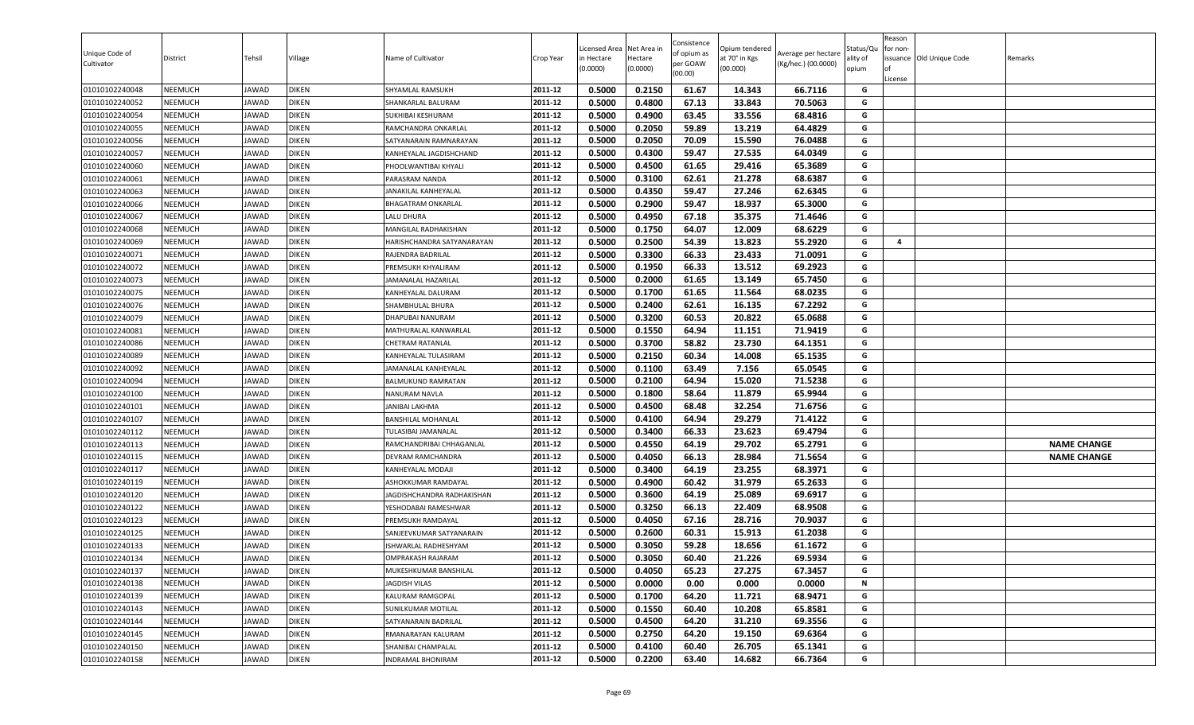| Unique Code of<br>Cultivator | District       | Tehsil | Village      | Name of Cultivator          | Crop Year | Licensed Area<br>in Hectare<br>(0.0000) | Net Area in<br>Hectare<br>(0.0000) | Consistence<br>of opium as<br>per GOAW<br>(00.00) | Opium tendered<br>at 70° in Kgs<br>(00.000) | Average per hectare<br>(Kg/hec.) (00.0000) | Status/Qเ<br>ality of<br>opium | Reason<br>for non-<br>lof<br>License | issuance Old Unique Code | Remarks            |
|------------------------------|----------------|--------|--------------|-----------------------------|-----------|-----------------------------------------|------------------------------------|---------------------------------------------------|---------------------------------------------|--------------------------------------------|--------------------------------|--------------------------------------|--------------------------|--------------------|
| 01010102240048               | <b>NEEMUCH</b> | JAWAD  | <b>DIKEN</b> | SHYAMLAL RAMSUKH            | 2011-12   | 0.5000                                  | 0.2150                             | 61.67                                             | 14.343                                      | 66.7116                                    | G                              |                                      |                          |                    |
| 01010102240052               | <b>NEEMUCH</b> | JAWAD  | <b>DIKEN</b> | SHANKARLAL BALURAM          | 2011-12   | 0.5000                                  | 0.4800                             | 67.13                                             | 33.843                                      | 70.5063                                    | G                              |                                      |                          |                    |
| 01010102240054               | <b>NEEMUCH</b> | JAWAD  | <b>DIKEN</b> | SUKHIBAI KESHURAM           | 2011-12   | 0.5000                                  | 0.4900                             | 63.45                                             | 33.556                                      | 68.4816                                    | G                              |                                      |                          |                    |
| 01010102240055               | <b>NEEMUCH</b> | JAWAD  | <b>DIKEN</b> | RAMCHANDRA ONKARLAL         | 2011-12   | 0.5000                                  | 0.2050                             | 59.89                                             | 13.219                                      | 64.4829                                    | G                              |                                      |                          |                    |
| 01010102240056               | <b>NEEMUCH</b> | JAWAD  | <b>DIKEN</b> | SATYANARAIN RAMNARAYAN      | 2011-12   | 0.5000                                  | 0.2050                             | 70.09                                             | 15.590                                      | 76.0488                                    | G                              |                                      |                          |                    |
| 01010102240057               | <b>NEEMUCH</b> | JAWAD  | <b>DIKEN</b> | KANHEYALAL JAGDISHCHAND     | 2011-12   | 0.5000                                  | 0.4300                             | 59.47                                             | 27.535                                      | 64.0349                                    | G                              |                                      |                          |                    |
| 01010102240060               | <b>NEEMUCH</b> | JAWAD  | <b>DIKEN</b> | PHOOLWANTIBAI KHYALI        | 2011-12   | 0.5000                                  | 0.4500                             | 61.65                                             | 29.416                                      | 65.3689                                    | G                              |                                      |                          |                    |
| 01010102240061               | <b>NEEMUCH</b> | JAWAD  | <b>DIKEN</b> | PARASRAM NANDA              | 2011-12   | 0.5000                                  | 0.3100                             | 62.61                                             | 21.278                                      | 68.6387                                    | G                              |                                      |                          |                    |
| 01010102240063               | <b>NEEMUCH</b> | JAWAD  | <b>DIKEN</b> | JANAKILAL KANHEYALAL        | 2011-12   | 0.5000                                  | 0.4350                             | 59.47                                             | 27.246                                      | 62.6345                                    | G                              |                                      |                          |                    |
| 01010102240066               | <b>NEEMUCH</b> | JAWAD  | <b>DIKEN</b> | <b>BHAGATRAM ONKARLAL</b>   | 2011-12   | 0.5000                                  | 0.2900                             | 59.47                                             | 18.937                                      | 65.3000                                    | G                              |                                      |                          |                    |
| 01010102240067               | <b>NEEMUCH</b> | JAWAD  | <b>DIKEN</b> | LALU DHURA                  | 2011-12   | 0.5000                                  | 0.4950                             | 67.18                                             | 35.375                                      | 71.4646                                    | G                              |                                      |                          |                    |
| 01010102240068               | <b>NEEMUCH</b> | JAWAD  | <b>DIKEN</b> | MANGILAL RADHAKISHAN        | 2011-12   | 0.5000                                  | 0.1750                             | 64.07                                             | 12.009                                      | 68.6229                                    | G                              |                                      |                          |                    |
| 01010102240069               | <b>NEEMUCH</b> | JAWAD  | <b>DIKEN</b> | HARISHCHANDRA SATYANARAYAN  | 2011-12   | 0.5000                                  | 0.2500                             | 54.39                                             | 13.823                                      | 55.2920                                    | G                              | 4                                    |                          |                    |
| 01010102240071               | <b>NEEMUCH</b> | JAWAD  | <b>DIKEN</b> | RAJENDRA BADRILAL           | 2011-12   | 0.5000                                  | 0.3300                             | 66.33                                             | 23.433                                      | 71.0091                                    | G                              |                                      |                          |                    |
| 01010102240072               | <b>NEEMUCH</b> | JAWAD  | <b>DIKEN</b> | PREMSUKH KHYALIRAM          | 2011-12   | 0.5000                                  | 0.1950                             | 66.33                                             | 13.512                                      | 69.2923                                    | G                              |                                      |                          |                    |
| 01010102240073               | <b>NEEMUCH</b> | JAWAD  | <b>DIKEN</b> | JAMANALAL HAZARILAL         | 2011-12   | 0.5000                                  | 0.2000                             | 61.65                                             | 13.149                                      | 65.7450                                    | G                              |                                      |                          |                    |
| 01010102240075               | <b>NEEMUCH</b> | JAWAD  | <b>DIKEN</b> | KANHEYALAL DALURAM          | 2011-12   | 0.5000                                  | 0.1700                             | 61.65                                             | 11.564                                      | 68.0235                                    | G                              |                                      |                          |                    |
| 01010102240076               | <b>NEEMUCH</b> | JAWAD  | <b>DIKEN</b> | SHAMBHULAL BHURA            | 2011-12   | 0.5000                                  | 0.2400                             | 62.61                                             | 16.135                                      | 67.2292                                    | G                              |                                      |                          |                    |
| 01010102240079               | <b>NEEMUCH</b> | JAWAD  | <b>DIKEN</b> | DHAPUBAI NANURAM            | 2011-12   | 0.5000                                  | 0.3200                             | 60.53                                             | 20.822                                      | 65.0688                                    | G                              |                                      |                          |                    |
| 01010102240081               | <b>NEEMUCH</b> | JAWAD  | <b>DIKEN</b> | MATHURALAL KANWARLAL        | 2011-12   | 0.5000                                  | 0.1550                             | 64.94                                             | 11.151                                      | 71.9419                                    | G                              |                                      |                          |                    |
| 01010102240086               | <b>NEEMUCH</b> | JAWAD  | <b>DIKEN</b> | CHETRAM RATANLAL            | 2011-12   | 0.5000                                  | 0.3700                             | 58.82                                             | 23.730                                      | 64.1351                                    | G                              |                                      |                          |                    |
| 01010102240089               | <b>NEEMUCH</b> | JAWAD  | <b>DIKEN</b> | KANHEYALAL TULASIRAM        | 2011-12   | 0.5000                                  | 0.2150                             | 60.34                                             | 14.008                                      | 65.1535                                    | G                              |                                      |                          |                    |
| 01010102240092               | <b>NEEMUCH</b> | JAWAD  | <b>DIKEN</b> | JAMANALAL KANHEYALAL        | 2011-12   | 0.5000                                  | 0.1100                             | 63.49                                             | 7.156                                       | 65.0545                                    | G                              |                                      |                          |                    |
| 01010102240094               | <b>NEEMUCH</b> | JAWAD  | <b>DIKEN</b> | BALMUKUND RAMRATAN          | 2011-12   | 0.5000                                  | 0.2100                             | 64.94                                             | 15.020                                      | 71.5238                                    | G                              |                                      |                          |                    |
| 01010102240100               | <b>NEEMUCH</b> | JAWAD  | <b>DIKEN</b> | NANURAM NAVLA               | 2011-12   | 0.5000                                  | 0.1800                             | 58.64                                             | 11.879                                      | 65.9944                                    | G                              |                                      |                          |                    |
| 01010102240101               | <b>NEEMUCH</b> | JAWAD  | <b>DIKEN</b> | JANIBAI LAKHMA              | 2011-12   | 0.5000                                  | 0.4500                             | 68.48                                             | 32.254                                      | 71.6756                                    | G                              |                                      |                          |                    |
| 01010102240107               | <b>NEEMUCH</b> | JAWAD  | <b>DIKEN</b> | <b>BANSHILAL MOHANLAL</b>   | 2011-12   | 0.5000                                  | 0.4100                             | 64.94                                             | 29.279                                      | 71.4122                                    | G                              |                                      |                          |                    |
| 01010102240112               | <b>NEEMUCH</b> | JAWAD  | <b>DIKEN</b> | TULASIBAI JAMANALAL         | 2011-12   | 0.5000                                  | 0.3400                             | 66.33                                             | 23.623                                      | 69.4794                                    | G                              |                                      |                          |                    |
| 01010102240113               | <b>NEEMUCH</b> | JAWAD  | <b>DIKEN</b> | RAMCHANDRIBAI CHHAGANLAL    | 2011-12   | 0.5000                                  | 0.4550                             | 64.19                                             | 29.702                                      | 65.2791                                    | G                              |                                      |                          | <b>NAME CHANGE</b> |
| 01010102240115               | <b>NEEMUCH</b> | JAWAD  | <b>DIKEN</b> | DEVRAM RAMCHANDRA           | 2011-12   | 0.5000                                  | 0.4050                             | 66.13                                             | 28.984                                      | 71.5654                                    | G                              |                                      |                          | <b>NAME CHANGE</b> |
| 01010102240117               | <b>NEEMUCH</b> | JAWAD  | <b>DIKEN</b> | KANHEYALAL MODAJI           | 2011-12   | 0.5000                                  | 0.3400                             | 64.19                                             | 23.255                                      | 68.3971                                    | G                              |                                      |                          |                    |
| 01010102240119               | <b>NEEMUCH</b> | JAWAD  | <b>DIKEN</b> | ASHOKKUMAR RAMDAYAL         | 2011-12   | 0.5000                                  | 0.4900                             | 60.42                                             | 31.979                                      | 65.2633                                    | G                              |                                      |                          |                    |
| 01010102240120               | <b>NEEMUCH</b> | JAWAD  | <b>DIKEN</b> | JAGDISHCHANDRA RADHAKISHAN  | 2011-12   | 0.5000                                  | 0.3600                             | 64.19                                             | 25.089                                      | 69.6917                                    | G                              |                                      |                          |                    |
| 01010102240122               | <b>NEEMUCH</b> | JAWAD  | <b>DIKEN</b> | YESHODABAI RAMESHWAR        | 2011-12   | 0.5000                                  | 0.3250                             | 66.13                                             | 22.409                                      | 68.9508                                    | G                              |                                      |                          |                    |
| 01010102240123               | <b>NEEMUCH</b> | JAWAD  | <b>DIKEN</b> | PREMSUKH RAMDAYAL           | 2011-12   | 0.5000                                  | 0.4050                             | 67.16                                             | 28.716                                      | 70.9037                                    | G                              |                                      |                          |                    |
| 01010102240125               | <b>NEEMUCH</b> | JAWAD  | <b>DIKEN</b> | SANJEEVKUMAR SATYANARAIN    | 2011-12   | 0.5000                                  | 0.2600                             | 60.31                                             | 15.913                                      | 61.2038                                    | G                              |                                      |                          |                    |
| 01010102240133               | <b>NEEMUCH</b> | JAWAD  | <b>DIKEN</b> | <b>ISHWARLAL RADHESHYAM</b> | 2011-12   | 0.5000                                  | 0.3050                             | 59.28                                             | 18.656                                      | 61.1672                                    | G                              |                                      |                          |                    |
| 01010102240134               | <b>NEEMUCH</b> | JAWAD  | <b>DIKEN</b> | <b>OMPRAKASH RAJARAM</b>    | 2011-12   | 0.5000                                  | 0.3050                             | 60.40                                             | 21.226                                      | 69.5934                                    | G                              |                                      |                          |                    |
| 01010102240137               | <b>NEEMUCH</b> | JAWAD  | <b>DIKEN</b> | MUKESHKUMAR BANSHILAL       | 2011-12   | 0.5000                                  | 0.4050                             | 65.23                                             | 27.275                                      | 67.3457                                    | G                              |                                      |                          |                    |
| 01010102240138               | <b>NEEMUCH</b> | JAWAD  | <b>DIKEN</b> | JAGDISH VILAS               | 2011-12   | 0.5000                                  | 0.0000                             | 0.00                                              | 0.000                                       | 0.0000                                     | N                              |                                      |                          |                    |
| 01010102240139               | <b>NEEMUCH</b> | JAWAD  | <b>DIKEN</b> | KALURAM RAMGOPAL            | 2011-12   | 0.5000                                  | 0.1700                             | 64.20                                             | 11.721                                      | 68.9471                                    | G                              |                                      |                          |                    |
| 01010102240143               | <b>NEEMUCH</b> | JAWAD  | <b>DIKEN</b> | SUNILKUMAR MOTILAL          | 2011-12   | 0.5000                                  | 0.1550                             | 60.40                                             | 10.208                                      | 65.8581                                    | G                              |                                      |                          |                    |
| 01010102240144               | <b>NEEMUCH</b> | JAWAD  | <b>DIKEN</b> | SATYANARAIN BADRILAL        | 2011-12   | 0.5000                                  | 0.4500                             | 64.20                                             | 31.210                                      | 69.3556                                    | G                              |                                      |                          |                    |
| 01010102240145               | <b>NEEMUCH</b> | JAWAD  | <b>DIKEN</b> | RMANARAYAN KALURAM          | 2011-12   | 0.5000                                  | 0.2750                             | 64.20                                             | 19.150                                      | 69.6364                                    | G                              |                                      |                          |                    |
| 01010102240150               | <b>NEEMUCH</b> | JAWAD  | <b>DIKEN</b> | SHANIBAI CHAMPALAL          | 2011-12   | 0.5000                                  | 0.4100                             | 60.40                                             | 26.705                                      | 65.1341                                    | G                              |                                      |                          |                    |
| 01010102240158               | <b>NEEMUCH</b> | JAWAD  | <b>DIKEN</b> | <b>INDRAMAL BHONIRAM</b>    | 2011-12   | 0.5000                                  | 0.2200                             | 63.40                                             | 14.682                                      | 66.7364                                    | G                              |                                      |                          |                    |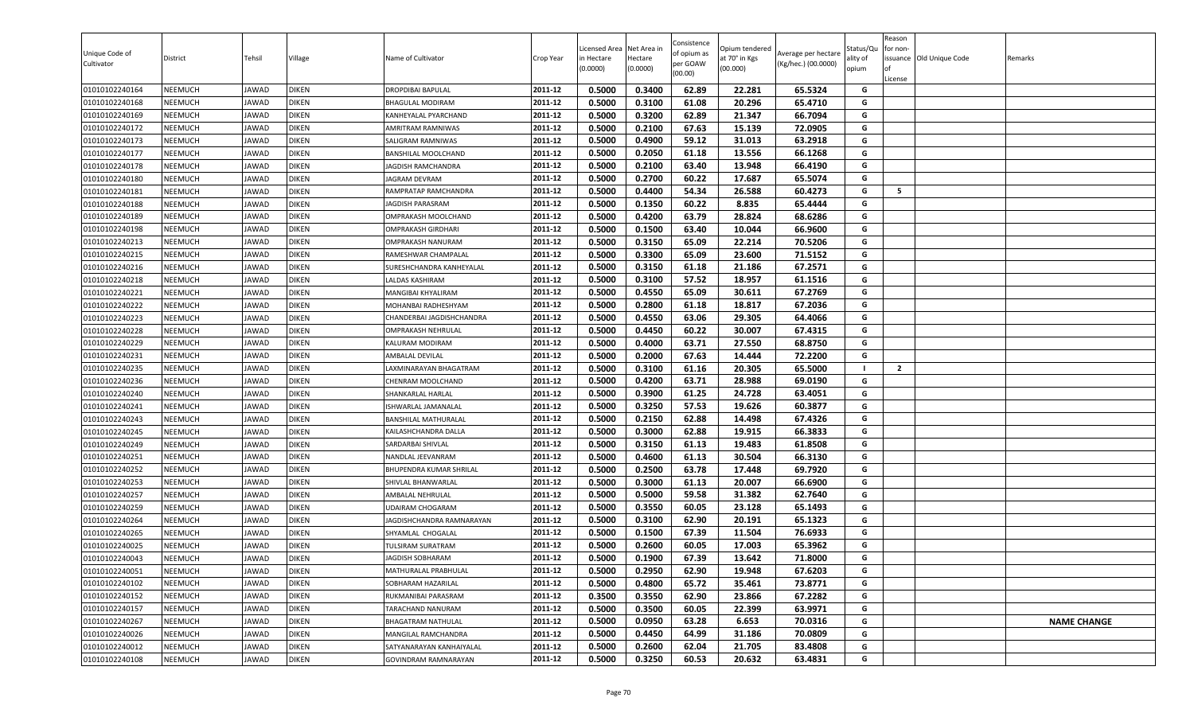| Unique Code of<br>Cultivator     | District                         | Tehsil         | Village                      | Name of Cultivator                            | Crop Year          | Licensed Area<br>in Hectare<br>(0.0000) | Net Area in<br>Hectare<br>(0.0000) | Consistence<br>of opium as<br>per GOAW<br>(00.00) | )pium tendered<br>at 70° in Kgs<br>(00.000) | Average per hectare<br>(Kg/hec.) (00.0000) | Status/Qu<br>ality of<br>opium | Reason<br>for non-<br>lof<br>License | issuance Old Unique Code | Remarks            |
|----------------------------------|----------------------------------|----------------|------------------------------|-----------------------------------------------|--------------------|-----------------------------------------|------------------------------------|---------------------------------------------------|---------------------------------------------|--------------------------------------------|--------------------------------|--------------------------------------|--------------------------|--------------------|
| 01010102240164                   | <b>NEEMUCH</b>                   | JAWAD          | <b>DIKEN</b>                 | DROPDIBAI BAPULAL                             | 2011-12            | 0.5000                                  | 0.3400                             | 62.89                                             | 22.281                                      | 65.5324                                    | G                              |                                      |                          |                    |
| 01010102240168                   | <b>NEEMUCH</b>                   | JAWAD          | <b>DIKEN</b>                 | BHAGULAL MODIRAM                              | 2011-12            | 0.5000                                  | 0.3100                             | 61.08                                             | 20.296                                      | 65.4710                                    | G                              |                                      |                          |                    |
| 01010102240169                   | NEEMUCH                          | JAWAD          | <b>DIKEN</b>                 | KANHEYALAL PYARCHAND                          | 2011-12            | 0.5000                                  | 0.3200                             | 62.89                                             | 21.347                                      | 66.7094                                    | G                              |                                      |                          |                    |
| 01010102240172                   | <b>NEEMUCH</b>                   | JAWAD          | <b>DIKEN</b>                 | AMRITRAM RAMNIWAS                             | 2011-12            | 0.5000                                  | 0.2100                             | 67.63                                             | 15.139                                      | 72.0905                                    | G                              |                                      |                          |                    |
| 01010102240173                   | <b>NEEMUCH</b>                   | JAWAD          | <b>DIKEN</b>                 | SALIGRAM RAMNIWAS                             | 2011-12            | 0.5000                                  | 0.4900                             | 59.12                                             | 31.013                                      | 63.2918                                    | G                              |                                      |                          |                    |
| 01010102240177                   | <b>NEEMUCH</b>                   | JAWAD          | <b>DIKEN</b>                 | BANSHILAL MOOLCHAND                           | 2011-12            | 0.5000                                  | 0.2050                             | 61.18                                             | 13.556                                      | 66.1268                                    | G                              |                                      |                          |                    |
| 01010102240178                   | <b>NEEMUCH</b>                   | JAWAD          | <b>DIKEN</b>                 | JAGDISH RAMCHANDRA                            | 2011-12            | 0.5000                                  | 0.2100                             | 63.40                                             | 13.948                                      | 66.4190                                    | G                              |                                      |                          |                    |
| 01010102240180                   | <b>NEEMUCH</b>                   | JAWAD          | <b>DIKEN</b>                 | JAGRAM DEVRAM                                 | 2011-12            | 0.5000                                  | 0.2700                             | 60.22                                             | 17.687                                      | 65.5074                                    | G                              |                                      |                          |                    |
| 01010102240181                   | <b>NEEMUCH</b>                   | JAWAD          | <b>DIKEN</b>                 | RAMPRATAP RAMCHANDRA                          | 2011-12            | 0.5000                                  | 0.4400                             | 54.34                                             | 26.588                                      | 60.4273                                    | G                              | 5                                    |                          |                    |
| 01010102240188                   | <b>NEEMUCH</b>                   | JAWAD          | <b>DIKEN</b>                 | <b>IAGDISH PARASRAM</b>                       | 2011-12            | 0.5000                                  | 0.1350                             | 60.22                                             | 8.835                                       | 65.4444                                    | G                              |                                      |                          |                    |
| 01010102240189                   | <b>NEEMUCH</b>                   | JAWAD          | <b>DIKEN</b>                 | OMPRAKASH MOOLCHAND                           | 2011-12            | 0.5000                                  | 0.4200                             | 63.79                                             | 28.824                                      | 68.6286                                    | G                              |                                      |                          |                    |
| 01010102240198                   | <b>NEEMUCH</b>                   | JAWAD          | <b>DIKEN</b>                 | <b>OMPRAKASH GIRDHARI</b>                     | 2011-12            | 0.5000                                  | 0.1500                             | 63.40                                             | 10.044                                      | 66.9600                                    | G                              |                                      |                          |                    |
| 01010102240213                   | <b>NEEMUCH</b>                   | JAWAD          | <b>DIKEN</b>                 | OMPRAKASH NANURAM                             | 2011-12            | 0.5000                                  | 0.3150                             | 65.09                                             | 22.214                                      | 70.5206                                    | G                              |                                      |                          |                    |
| 01010102240215                   | <b>NEEMUCH</b>                   | JAWAD          | <b>DIKEN</b>                 | RAMESHWAR CHAMPALAL                           | 2011-12            | 0.5000                                  | 0.3300                             | 65.09                                             | 23.600                                      | 71.5152                                    | G                              |                                      |                          |                    |
| 01010102240216                   | <b>NEEMUCH</b>                   | JAWAD          | <b>DIKEN</b>                 | SURESHCHANDRA KANHEYALAL                      | 2011-12            | 0.5000                                  | 0.3150                             | 61.18                                             | 21.186                                      | 67.2571                                    | G                              |                                      |                          |                    |
| 01010102240218                   | <b>NEEMUCH</b>                   | JAWAD          | <b>DIKEN</b>                 | LALDAS KASHIRAM                               | 2011-12            | 0.5000                                  | 0.3100                             | 57.52                                             | 18.957                                      | 61.1516                                    | G                              |                                      |                          |                    |
| 01010102240221                   | <b>NEEMUCH</b>                   | JAWAD          | <b>DIKEN</b>                 | MANGIBAI KHYALIRAM                            | 2011-12            | 0.5000                                  | 0.4550                             | 65.09                                             | 30.611                                      | 67.2769                                    | G                              |                                      |                          |                    |
| 01010102240222                   | <b>NEEMUCH</b>                   | JAWAD          | <b>DIKEN</b>                 | MOHANBAI RADHESHYAM                           | 2011-12            | 0.5000                                  | 0.2800                             | 61.18                                             | 18.817                                      | 67.2036                                    | G                              |                                      |                          |                    |
| 01010102240223                   | <b>NEEMUCH</b>                   | JAWAD          | <b>DIKEN</b>                 | CHANDERBAI JAGDISHCHANDRA                     | 2011-12            | 0.5000                                  | 0.4550                             | 63.06                                             | 29.305                                      | 64.4066                                    | G                              |                                      |                          |                    |
| 01010102240228                   | <b>NEEMUCH</b>                   | JAWAD          | <b>DIKEN</b>                 | OMPRAKASH NEHRULAL                            | 2011-12            | 0.5000                                  | 0.4450                             | 60.22                                             | 30.007                                      | 67.4315                                    | G                              |                                      |                          |                    |
| 01010102240229                   | <b>NEEMUCH</b>                   | JAWAD          | <b>DIKEN</b>                 | KALURAM MODIRAM                               | 2011-12            | 0.5000                                  | 0.4000                             | 63.71                                             | 27.550                                      | 68.8750                                    | G                              |                                      |                          |                    |
| 01010102240231                   | <b>NEEMUCH</b>                   | JAWAD          | <b>DIKEN</b>                 | AMBALAL DEVILAL                               | 2011-12            | 0.5000                                  | 0.2000                             | 67.63                                             | 14.444                                      | 72.2200                                    | G                              |                                      |                          |                    |
| 01010102240235                   | <b>NEEMUCH</b>                   | JAWAD          | <b>DIKEN</b>                 | LAXMINARAYAN BHAGATRAM                        | 2011-12            | 0.5000                                  | 0.3100                             | 61.16                                             | 20.305                                      | 65.5000                                    | - 1                            | $\overline{2}$                       |                          |                    |
| 01010102240236                   | <b>NEEMUCH</b>                   | JAWAD          | <b>DIKEN</b>                 | CHENRAM MOOLCHAND                             | 2011-12            | 0.5000                                  | 0.4200                             | 63.71                                             | 28.988                                      | 69.0190                                    | G                              |                                      |                          |                    |
| 01010102240240                   | <b>NEEMUCH</b>                   | JAWAD          | <b>DIKEN</b>                 | SHANKARLAL HARLAL                             | 2011-12            | 0.5000                                  | 0.3900                             | 61.25                                             | 24.728                                      | 63.4051                                    | G                              |                                      |                          |                    |
| 01010102240241                   | <b>NEEMUCH</b>                   | JAWAD          | <b>DIKEN</b>                 | ISHWARLAL JAMANALAL                           | 2011-12            | 0.5000                                  | 0.3250                             | 57.53                                             | 19.626                                      | 60.3877                                    | G                              |                                      |                          |                    |
| 01010102240243                   | <b>NEEMUCH</b>                   | JAWAD          | <b>DIKEN</b>                 | BANSHILAL MATHURALAL                          | 2011-12            | 0.5000                                  | 0.2150                             | 62.88                                             | 14.498                                      | 67.4326                                    | G                              |                                      |                          |                    |
| 01010102240245                   | <b>NEEMUCH</b>                   | JAWAD          | <b>DIKEN</b>                 | KAILASHCHANDRA DALLA                          | 2011-12            | 0.5000                                  | 0.3000                             | 62.88                                             | 19.915                                      | 66.3833                                    | G                              |                                      |                          |                    |
| 01010102240249                   | <b>NEEMUCH</b>                   | JAWAD          | <b>DIKEN</b>                 | SARDARBAI SHIVLAL                             | 2011-12            | 0.5000                                  | 0.3150                             | 61.13                                             | 19.483                                      | 61.8508                                    | G                              |                                      |                          |                    |
| 01010102240251                   | <b>NEEMUCH</b>                   | JAWAD          | <b>DIKEN</b>                 | NANDLAL JEEVANRAM                             | 2011-12            | 0.5000                                  | 0.4600                             | 61.13                                             | 30.504                                      | 66.3130                                    | G                              |                                      |                          |                    |
| 01010102240252                   | <b>NEEMUCH</b>                   | JAWAD          | <b>DIKEN</b>                 | BHUPENDRA KUMAR SHRILAL                       | 2011-12            | 0.5000<br>0.5000                        | 0.2500<br>0.3000                   | 63.78                                             | 17.448                                      | 69.7920                                    | G                              |                                      |                          |                    |
| 01010102240253                   | <b>NEEMUCH</b>                   | JAWAD<br>JAWAD | <b>DIKEN</b><br><b>DIKEN</b> | SHIVLAL BHANWARLAL                            | 2011-12<br>2011-12 |                                         |                                    | 61.13                                             | 20.007                                      | 66.6900                                    | G                              |                                      |                          |                    |
| 01010102240257                   | <b>NEEMUCH</b>                   |                |                              | AMBALAL NEHRULAL                              | 2011-12            | 0.5000<br>0.5000                        | 0.5000<br>0.3550                   | 59.58<br>60.05                                    | 31.382<br>23.128                            | 62.7640<br>65.1493                         | G<br>G                         |                                      |                          |                    |
| 01010102240259<br>01010102240264 | <b>NEEMUCH</b><br><b>NEEMUCH</b> | JAWAD<br>JAWAD | <b>DIKEN</b><br><b>DIKEN</b> | UDAIRAM CHOGARAM<br>JAGDISHCHANDRA RAMNARAYAN | 2011-12            | 0.5000                                  | 0.3100                             | 62.90                                             | 20.191                                      | 65.1323                                    | G                              |                                      |                          |                    |
| 01010102240265                   | <b>NEEMUCH</b>                   | JAWAD          | <b>DIKEN</b>                 | SHYAMLAL CHOGALAL                             | 2011-12            | 0.5000                                  | 0.1500                             | 67.39                                             | 11.504                                      | 76.6933                                    | G                              |                                      |                          |                    |
| 01010102240025                   | <b>NEEMUCH</b>                   | JAWAD          | <b>DIKEN</b>                 | TULSIRAM SURATRAM                             | 2011-12            | 0.5000                                  | 0.2600                             | 60.05                                             | 17.003                                      | 65.3962                                    | G                              |                                      |                          |                    |
| 01010102240043                   | <b>NEEMUCH</b>                   | JAWAD          | <b>DIKEN</b>                 | JAGDISH SOBHARAM                              | 2011-12            | 0.5000                                  | 0.1900                             | 67.39                                             | 13.642                                      | 71.8000                                    | G                              |                                      |                          |                    |
| 01010102240051                   | <b>NEEMUCH</b>                   | JAWAD          | <b>DIKEN</b>                 | MATHURALAL PRABHULAL                          | 2011-12            | 0.5000                                  | 0.2950                             | 62.90                                             | 19.948                                      | 67.6203                                    | G                              |                                      |                          |                    |
| 01010102240102                   | <b>NEEMUCH</b>                   | JAWAD          | <b>DIKEN</b>                 | SOBHARAM HAZARILAL                            | 2011-12            | 0.5000                                  | 0.4800                             | 65.72                                             | 35.461                                      | 73.8771                                    | G                              |                                      |                          |                    |
| 01010102240152                   | <b>NEEMUCH</b>                   | JAWAD          | <b>DIKEN</b>                 | RUKMANIBAI PARASRAM                           | 2011-12            | 0.3500                                  | 0.3550                             | 62.90                                             | 23.866                                      | 67.2282                                    | G                              |                                      |                          |                    |
| 01010102240157                   | <b>NEEMUCH</b>                   | JAWAD          | <b>DIKEN</b>                 | TARACHAND NANURAM                             | 2011-12            | 0.5000                                  | 0.3500                             | 60.05                                             | 22.399                                      | 63.9971                                    | G                              |                                      |                          |                    |
| 01010102240267                   | <b>NEEMUCH</b>                   | JAWAD          | <b>DIKEN</b>                 | BHAGATRAM NATHULAL                            | 2011-12            | 0.5000                                  | 0.0950                             | 63.28                                             | 6.653                                       | 70.0316                                    | G                              |                                      |                          | <b>NAME CHANGE</b> |
| 01010102240026                   | <b>NEEMUCH</b>                   | JAWAD          | <b>DIKEN</b>                 | MANGILAL RAMCHANDRA                           | 2011-12            | 0.5000                                  | 0.4450                             | 64.99                                             | 31.186                                      | 70.0809                                    | G                              |                                      |                          |                    |
| 01010102240012                   | <b>NEEMUCH</b>                   | JAWAD          | <b>DIKEN</b>                 | SATYANARAYAN KANHAIYALAL                      | 2011-12            | 0.5000                                  | 0.2600                             | 62.04                                             | 21.705                                      | 83.4808                                    | G                              |                                      |                          |                    |
| 01010102240108                   | <b>NEEMUCH</b>                   | JAWAD          | <b>DIKEN</b>                 | GOVINDRAM RAMNARAYAN                          | 2011-12            | 0.5000                                  | 0.3250                             | 60.53                                             | 20.632                                      | 63.4831                                    | G                              |                                      |                          |                    |
|                                  |                                  |                |                              |                                               |                    |                                         |                                    |                                                   |                                             |                                            |                                |                                      |                          |                    |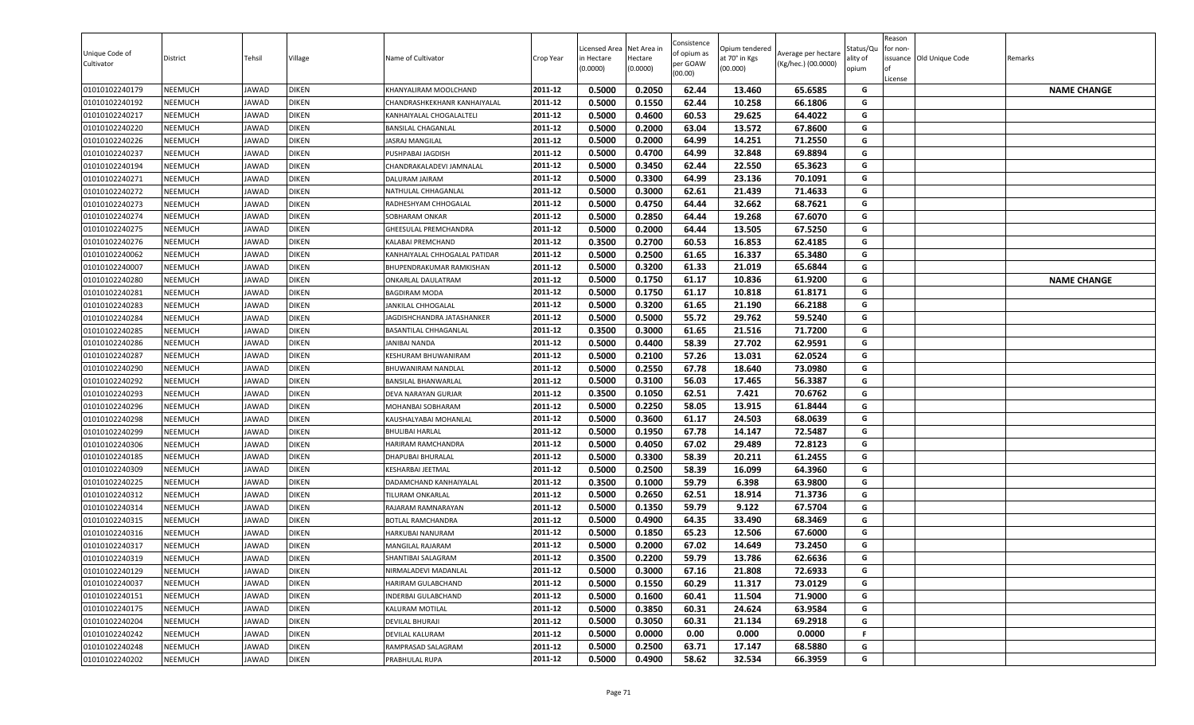| Unique Code of<br>Cultivator     | District                         | Tehsil         | Village                      | Name of Cultivator                              | Crop Year          | Licensed Area<br>in Hectare<br>(0.0000) | Net Area in<br>Hectare<br>(0.0000) | Consistence<br>of opium as<br>per GOAW<br>(00.00) | )pium tendered<br>at 70° in Kgs<br>(00.000) | Average per hectare<br>(Kg/hec.) (00.0000) | Status/Qเ<br>ality of<br>opium | Reason<br>for non-<br>lof<br>License | issuance Old Unique Code | Remarks            |
|----------------------------------|----------------------------------|----------------|------------------------------|-------------------------------------------------|--------------------|-----------------------------------------|------------------------------------|---------------------------------------------------|---------------------------------------------|--------------------------------------------|--------------------------------|--------------------------------------|--------------------------|--------------------|
| 01010102240179                   | <b>NEEMUCH</b>                   | JAWAD          | <b>DIKEN</b>                 | KHANYALIRAM MOOLCHAND                           | 2011-12            | 0.5000                                  | 0.2050                             | 62.44                                             | 13.460                                      | 65.6585                                    | G                              |                                      |                          | <b>NAME CHANGE</b> |
| 01010102240192                   | <b>NEEMUCH</b>                   | JAWAD          | <b>DIKEN</b>                 | CHANDRASHKEKHANR KANHAIYALAL                    | 2011-12            | 0.5000                                  | 0.1550                             | 62.44                                             | 10.258                                      | 66.1806                                    | G                              |                                      |                          |                    |
| 01010102240217                   | NEEMUCH                          | JAWAD          | <b>DIKEN</b>                 | KANHAIYALAL CHOGALALTELI                        | 2011-12            | 0.5000                                  | 0.4600                             | 60.53                                             | 29.625                                      | 64.4022                                    | G                              |                                      |                          |                    |
| 01010102240220                   | NEEMUCH                          | JAWAD          | <b>DIKEN</b>                 | <b>BANSILAL CHAGANLAL</b>                       | 2011-12            | 0.5000                                  | 0.2000                             | 63.04                                             | 13.572                                      | 67.8600                                    | G                              |                                      |                          |                    |
| 01010102240226                   | <b>NEEMUCH</b>                   | <b>JAWAD</b>   | <b>DIKEN</b>                 | JASRAJ MANGILAL                                 | 2011-12            | 0.5000                                  | 0.2000                             | 64.99                                             | 14.251                                      | 71.2550                                    | G                              |                                      |                          |                    |
| 01010102240237                   | <b>NEEMUCH</b>                   | JAWAD          | <b>DIKEN</b>                 | PUSHPABAI JAGDISH                               | 2011-12            | 0.5000                                  | 0.4700                             | 64.99                                             | 32.848                                      | 69.8894                                    | G                              |                                      |                          |                    |
| 01010102240194                   | <b>NEEMUCH</b>                   | JAWAD          | <b>DIKEN</b>                 | CHANDRAKALADEVI JAMNALAL                        | 2011-12            | 0.5000                                  | 0.3450                             | 62.44                                             | 22.550                                      | 65.3623                                    | G                              |                                      |                          |                    |
| 01010102240271                   | <b>NEEMUCH</b>                   | JAWAD          | <b>DIKEN</b>                 | DALURAM JAIRAM                                  | 2011-12            | 0.5000                                  | 0.3300                             | 64.99                                             | 23.136                                      | 70.1091                                    | G                              |                                      |                          |                    |
| 01010102240272                   | <b>NEEMUCH</b>                   | JAWAD          | <b>DIKEN</b>                 | NATHULAL CHHAGANLAL                             | 2011-12            | 0.5000                                  | 0.3000                             | 62.61                                             | 21.439                                      | 71.4633                                    | G                              |                                      |                          |                    |
| 01010102240273                   | <b>NEEMUCH</b>                   | JAWAD          | <b>DIKEN</b>                 | RADHESHYAM CHHOGALAL                            | 2011-12            | 0.5000                                  | 0.4750                             | 64.44                                             | 32.662                                      | 68.7621                                    | G                              |                                      |                          |                    |
| 01010102240274                   | <b>NEEMUCH</b>                   | JAWAD          | <b>DIKEN</b>                 | SOBHARAM ONKAR                                  | 2011-12            | 0.5000                                  | 0.2850                             | 64.44                                             | 19.268                                      | 67.6070                                    | G                              |                                      |                          |                    |
| 01010102240275                   | <b>NEEMUCH</b>                   | JAWAD          | <b>DIKEN</b>                 | GHEESULAL PREMCHANDRA                           | 2011-12            | 0.5000                                  | 0.2000                             | 64.44                                             | 13.505                                      | 67.5250                                    | G                              |                                      |                          |                    |
| 01010102240276                   | <b>NEEMUCH</b>                   | JAWAD          | <b>DIKEN</b>                 | KALABAI PREMCHAND                               | 2011-12            | 0.3500                                  | 0.2700                             | 60.53                                             | 16.853                                      | 62.4185                                    | G                              |                                      |                          |                    |
| 01010102240062                   | <b>NEEMUCH</b>                   | <b>JAWAD</b>   | <b>DIKEN</b>                 | KANHAIYALAL CHHOGALAL PATIDAR                   | 2011-12            | 0.5000                                  | 0.2500                             | 61.65                                             | 16.337                                      | 65.3480                                    | G                              |                                      |                          |                    |
| 01010102240007                   | <b>NEEMUCH</b>                   | JAWAD          | <b>DIKEN</b>                 | <b>BHUPENDRAKUMAR RAMKISHAN</b>                 | 2011-12            | 0.5000                                  | 0.3200                             | 61.33                                             | 21.019                                      | 65.6844                                    | G                              |                                      |                          |                    |
| 01010102240280                   | <b>NEEMUCH</b>                   | JAWAD          | <b>DIKEN</b>                 | ONKARLAL DAULATRAM                              | 2011-12            | 0.5000                                  | 0.1750                             | 61.17                                             | 10.836                                      | 61.9200                                    | G                              |                                      |                          | <b>NAME CHANGE</b> |
| 01010102240281                   | <b>NEEMUCH</b>                   | JAWAD          | <b>DIKEN</b>                 | <b>BAGDIRAM MODA</b>                            | 2011-12            | 0.5000                                  | 0.1750                             | 61.17                                             | 10.818                                      | 61.8171                                    | G                              |                                      |                          |                    |
| 01010102240283                   | <b>NEEMUCH</b>                   | JAWAD          | <b>DIKEN</b>                 | JANKILAL CHHOGALAL                              | 2011-12            | 0.5000                                  | 0.3200                             | 61.65                                             | 21.190                                      | 66.2188                                    | G                              |                                      |                          |                    |
| 01010102240284                   | <b>NEEMUCH</b>                   | JAWAD          | <b>DIKEN</b>                 | JAGDISHCHANDRA JATASHANKER                      | 2011-12            | 0.5000                                  | 0.5000                             | 55.72                                             | 29.762                                      | 59.5240                                    | G                              |                                      |                          |                    |
| 01010102240285                   | <b>NEEMUCH</b>                   | JAWAD          | <b>DIKEN</b>                 | BASANTILAL CHHAGANLAL                           | 2011-12            | 0.3500                                  | 0.3000                             | 61.65                                             | 21.516                                      | 71.7200                                    | G                              |                                      |                          |                    |
| 01010102240286                   | NEEMUCH                          | JAWAD          | <b>DIKEN</b>                 | JANIBAI NANDA                                   | 2011-12            | 0.5000                                  | 0.4400                             | 58.39                                             | 27.702                                      | 62.9591                                    | G<br>G                         |                                      |                          |                    |
| 01010102240287                   | <b>NEEMUCH</b>                   | JAWAD          | <b>DIKEN</b>                 | KESHURAM BHUWANIRAM                             | 2011-12            | 0.5000                                  | 0.2100                             | 57.26                                             | 13.031                                      | 62.0524                                    |                                |                                      |                          |                    |
| 01010102240290                   | <b>NEEMUCH</b>                   | <b>JAWAD</b>   | <b>DIKEN</b>                 | BHUWANIRAM NANDLAL                              | 2011-12<br>2011-12 | 0.5000                                  | 0.2550                             | 67.78                                             | 18.640                                      | 73.0980                                    | G<br>G                         |                                      |                          |                    |
| 01010102240292                   | <b>NEEMUCH</b>                   | JAWAD          | <b>DIKEN</b>                 | BANSILAL BHANWARLAL                             |                    | 0.5000                                  | 0.3100                             | 56.03<br>62.51                                    | 17.465<br>7.421                             | 56.3387                                    | G                              |                                      |                          |                    |
| 01010102240293                   | <b>NEEMUCH</b><br><b>NEEMUCH</b> | JAWAD<br>JAWAD | <b>DIKEN</b><br><b>DIKEN</b> | DEVA NARAYAN GURJAR<br>MOHANBAI SOBHARAM        | 2011-12<br>2011-12 | 0.3500<br>0.5000                        | 0.1050<br>0.2250                   | 58.05                                             | 13.915                                      | 70.6762<br>61.8444                         | G                              |                                      |                          |                    |
| 01010102240296<br>01010102240298 | <b>NEEMUCH</b>                   | JAWAD          | <b>DIKEN</b>                 |                                                 | 2011-12            | 0.5000                                  | 0.3600                             | 61.17                                             | 24.503                                      | 68.0639                                    | G                              |                                      |                          |                    |
| 01010102240299                   |                                  |                |                              | KAUSHALYABAI MOHANLAL<br><b>BHULIBAI HARLAL</b> | 2011-12            | 0.5000                                  | 0.1950                             | 67.78                                             | 14.147                                      | 72.5487                                    | G                              |                                      |                          |                    |
| 01010102240306                   | <b>NEEMUCH</b><br><b>NEEMUCH</b> | JAWAD<br>JAWAD | <b>DIKEN</b><br><b>DIKEN</b> | HARIRAM RAMCHANDRA                              | 2011-12            | 0.5000                                  | 0.4050                             | 67.02                                             | 29.489                                      | 72.8123                                    | G                              |                                      |                          |                    |
| 01010102240185                   | <b>NEEMUCH</b>                   |                | <b>DIKEN</b>                 | DHAPUBAI BHURALAL                               | 2011-12            | 0.5000                                  | 0.3300                             | 58.39                                             | 20.211                                      | 61.2455                                    | G                              |                                      |                          |                    |
|                                  | <b>NEEMUCH</b>                   | JAWAD          | <b>DIKEN</b>                 | KESHARBAI JEETMAL                               | 2011-12            | 0.5000                                  | 0.2500                             | 58.39                                             | 16.099                                      | 64.3960                                    | G                              |                                      |                          |                    |
| 01010102240309<br>01010102240225 | <b>NEEMUCH</b>                   | JAWAD<br>JAWAD | <b>DIKEN</b>                 | DADAMCHAND KANHAIYALAL                          | 2011-12            | 0.3500                                  | 0.1000                             | 59.79                                             | 6.398                                       | 63.9800                                    | G                              |                                      |                          |                    |
| 01010102240312                   | <b>NEEMUCH</b>                   | JAWAD          | <b>DIKEN</b>                 | TILURAM ONKARLAL                                | 2011-12            | 0.5000                                  | 0.2650                             | 62.51                                             | 18.914                                      | 71.3736                                    | G                              |                                      |                          |                    |
| 01010102240314                   | <b>NEEMUCH</b>                   | JAWAD          | <b>DIKEN</b>                 | RAJARAM RAMNARAYAN                              | 2011-12            | 0.5000                                  | 0.1350                             | 59.79                                             | 9.122                                       | 67.5704                                    | G                              |                                      |                          |                    |
| 01010102240315                   | <b>NEEMUCH</b>                   | JAWAD          | <b>DIKEN</b>                 | BOTLAL RAMCHANDRA                               | 2011-12            | 0.5000                                  | 0.4900                             | 64.35                                             | 33.490                                      | 68.3469                                    | G                              |                                      |                          |                    |
| 01010102240316                   | <b>NEEMUCH</b>                   | JAWAD          | <b>DIKEN</b>                 | HARKUBAI NANURAM                                | 2011-12            | 0.5000                                  | 0.1850                             | 65.23                                             | 12.506                                      | 67.6000                                    | G                              |                                      |                          |                    |
| 01010102240317                   | <b>NEEMUCH</b>                   | JAWAD          | <b>DIKEN</b>                 | MANGILAL RAJARAM                                | 2011-12            | 0.5000                                  | 0.2000                             | 67.02                                             | 14.649                                      | 73.2450                                    | G                              |                                      |                          |                    |
| 01010102240319                   | <b>NEEMUCH</b>                   | JAWAD          | <b>DIKEN</b>                 | SHANTIBAI SALAGRAM                              | 2011-12            | 0.3500                                  | 0.2200                             | 59.79                                             | 13.786                                      | 62.6636                                    | G                              |                                      |                          |                    |
| 01010102240129                   | <b>NEEMUCH</b>                   | JAWAD          | <b>DIKEN</b>                 | NIRMALADEVI MADANLAL                            | 2011-12            | 0.5000                                  | 0.3000                             | 67.16                                             | 21.808                                      | 72.6933                                    | G                              |                                      |                          |                    |
| 01010102240037                   | <b>NEEMUCH</b>                   | JAWAD          | <b>DIKEN</b>                 | HARIRAM GULABCHAND                              | 2011-12            | 0.5000                                  | 0.1550                             | 60.29                                             | 11.317                                      | 73.0129                                    | G                              |                                      |                          |                    |
| 01010102240151                   | <b>NEEMUCH</b>                   | JAWAD          | <b>DIKEN</b>                 | INDERBAI GULABCHAND                             | 2011-12            | 0.5000                                  | 0.1600                             | 60.41                                             | 11.504                                      | 71.9000                                    | G                              |                                      |                          |                    |
| 01010102240175                   | <b>NEEMUCH</b>                   | JAWAD          | <b>DIKEN</b>                 | KALURAM MOTILAL                                 | 2011-12            | 0.5000                                  | 0.3850                             | 60.31                                             | 24.624                                      | 63.9584                                    | G                              |                                      |                          |                    |
| 01010102240204                   | <b>NEEMUCH</b>                   | JAWAD          | <b>DIKEN</b>                 | DEVILAL BHURAJI                                 | 2011-12            | 0.5000                                  | 0.3050                             | 60.31                                             | 21.134                                      | 69.2918                                    | G                              |                                      |                          |                    |
| 01010102240242                   | <b>NEEMUCH</b>                   | JAWAD          | <b>DIKEN</b>                 | DEVILAL KALURAM                                 | 2011-12            | 0.5000                                  | 0.0000                             | 0.00                                              | 0.000                                       | 0.0000                                     | F                              |                                      |                          |                    |
| 01010102240248                   | <b>NEEMUCH</b>                   | JAWAD          | <b>DIKEN</b>                 | RAMPRASAD SALAGRAM                              | 2011-12            | 0.5000                                  | 0.2500                             | 63.71                                             | 17.147                                      | 68.5880                                    | G                              |                                      |                          |                    |
| 01010102240202                   | <b>NEEMUCH</b>                   | JAWAD          | <b>DIKEN</b>                 | PRABHULAL RUPA                                  | 2011-12            | 0.5000                                  | 0.4900                             | 58.62                                             | 32.534                                      | 66.3959                                    | G                              |                                      |                          |                    |
|                                  |                                  |                |                              |                                                 |                    |                                         |                                    |                                                   |                                             |                                            |                                |                                      |                          |                    |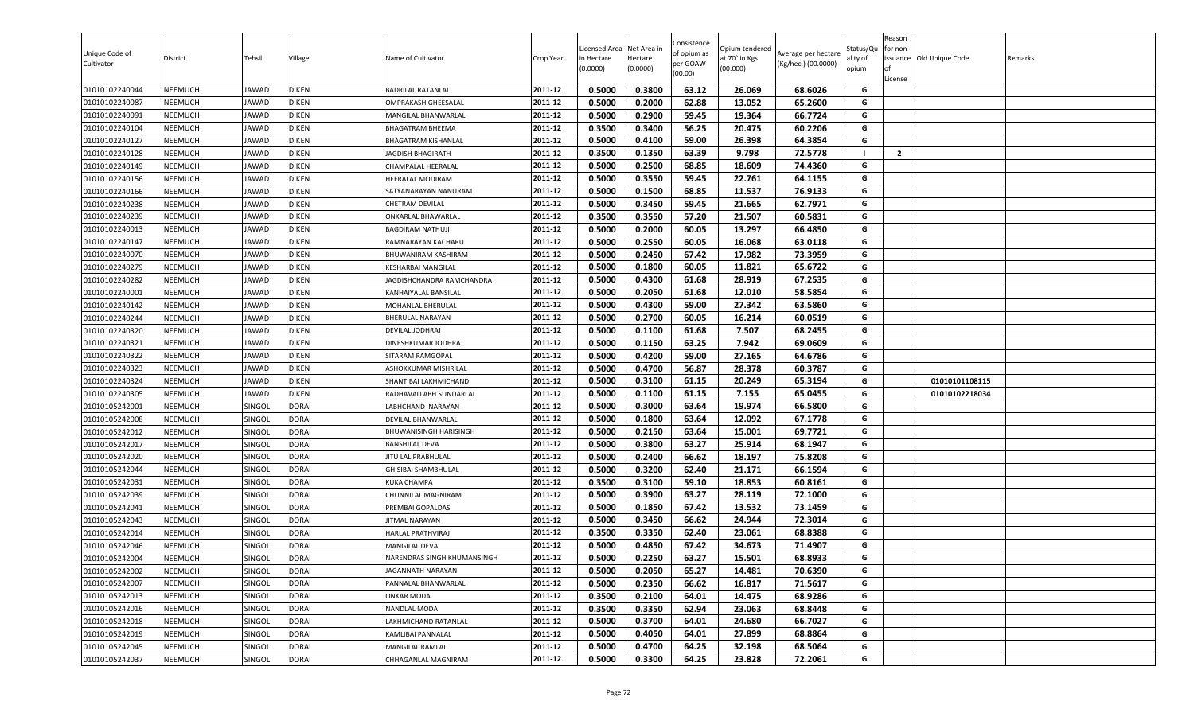| 0.5000<br>0.3800<br>63.12<br>68.6026<br>01010102240044<br><b>NEEMUCH</b><br><b>BADRILAL RATANLAL</b><br>2011-12<br>26.069<br>G<br>JAWAD<br><b>DIKEN</b><br><b>NEEMUCH</b><br>2011-12<br>0.5000<br>0.2000<br>62.88<br>13.052<br>65.2600<br>G<br>01010102240087<br>JAWAD<br><b>DIKEN</b><br>OMPRAKASH GHEESALAL<br>0.2900<br><b>NEEMUCH</b><br>2011-12<br>0.5000<br>59.45<br>19.364<br>66.7724<br>G<br>01010102240091<br>JAWAD<br><b>DIKEN</b><br>MANGILAL BHANWARLAL<br>2011-12<br>0.3500<br>0.3400<br>G<br>01010102240104<br><b>NEEMUCH</b><br><b>DIKEN</b><br>56.25<br>20.475<br>60.2206<br>JAWAD<br>BHAGATRAM BHEEMA |  |
|------------------------------------------------------------------------------------------------------------------------------------------------------------------------------------------------------------------------------------------------------------------------------------------------------------------------------------------------------------------------------------------------------------------------------------------------------------------------------------------------------------------------------------------------------------------------------------------------------------------------|--|
|                                                                                                                                                                                                                                                                                                                                                                                                                                                                                                                                                                                                                        |  |
|                                                                                                                                                                                                                                                                                                                                                                                                                                                                                                                                                                                                                        |  |
|                                                                                                                                                                                                                                                                                                                                                                                                                                                                                                                                                                                                                        |  |
|                                                                                                                                                                                                                                                                                                                                                                                                                                                                                                                                                                                                                        |  |
| 0.5000<br>0.4100<br>64.3854<br>2011-12<br>59.00<br>26.398<br>G<br>01010102240127<br><b>NEEMUCH</b><br>JAWAD<br><b>DIKEN</b><br>BHAGATRAM KISHANLAL                                                                                                                                                                                                                                                                                                                                                                                                                                                                     |  |
| $\overline{2}$<br>2011-12<br>0.3500<br>0.1350<br>63.39<br>9.798<br>72.5778<br>01010102240128<br><b>NEEMUCH</b><br>JAWAD<br><b>DIKEN</b><br>- 1<br><b>JAGDISH BHAGIRATH</b>                                                                                                                                                                                                                                                                                                                                                                                                                                             |  |
| 0.2500<br>68.85<br>2011-12<br>0.5000<br>18.609<br>74.4360<br>G<br><b>NEEMUCH</b><br>JAWAD<br><b>DIKEN</b><br>01010102240149<br>CHAMPALAL HEERALAL                                                                                                                                                                                                                                                                                                                                                                                                                                                                      |  |
| 2011-12<br>0.3550<br>G<br>01010102240156<br><b>NEEMUCH</b><br>JAWAD<br><b>DIKEN</b><br>0.5000<br>59.45<br>22.761<br>64.1155<br>HEERALAL MODIRAM                                                                                                                                                                                                                                                                                                                                                                                                                                                                        |  |
| 01010102240166<br><b>NEEMUCH</b><br>0.5000<br>0.1500<br>68.85<br>11.537<br>76.9133<br>JAWAD<br><b>DIKEN</b><br>2011-12<br>G<br>SATYANARAYAN NANURAM                                                                                                                                                                                                                                                                                                                                                                                                                                                                    |  |
| 62.7971<br>01010102240238<br><b>NEEMUCH</b><br>JAWAD<br><b>DIKEN</b><br>2011-12<br>0.5000<br>0.3450<br>59.45<br>21.665<br>G<br>CHETRAM DEVILAL                                                                                                                                                                                                                                                                                                                                                                                                                                                                         |  |
| 0.3500<br>0.3550<br>57.20<br>21.507<br>60.5831<br>G<br><b>NEEMUCH</b><br>2011-12<br>01010102240239<br>JAWAD<br><b>DIKEN</b><br>ONKARLAL BHAWARLAL                                                                                                                                                                                                                                                                                                                                                                                                                                                                      |  |
| <b>NEEMUCH</b><br><b>DIKEN</b><br>2011-12<br>0.5000<br>0.2000<br>60.05<br>13.297<br>66.4850<br>G<br>01010102240013<br>JAWAD<br><b>BAGDIRAM NATHUJI</b>                                                                                                                                                                                                                                                                                                                                                                                                                                                                 |  |
| 0.5000<br>0.2550<br>63.0118<br>01010102240147<br><b>NEEMUCH</b><br><b>DIKEN</b><br>2011-12<br>60.05<br>16.068<br>G<br>JAWAD<br>RAMNARAYAN KACHARU                                                                                                                                                                                                                                                                                                                                                                                                                                                                      |  |
| 0.5000<br>0.2450<br>G<br>01010102240070<br><b>NEEMUCH</b><br>2011-12<br>67.42<br>17.982<br>73.3959<br>JAWAD<br><b>DIKEN</b><br>BHUWANIRAM KASHIRAM                                                                                                                                                                                                                                                                                                                                                                                                                                                                     |  |
| 65.6722<br>0.5000<br>0.1800<br>60.05<br>G<br>01010102240279<br><b>NEEMUCH</b><br>JAWAD<br><b>DIKEN</b><br>2011-12<br>11.821<br><b>KESHARBAI MANGILAL</b>                                                                                                                                                                                                                                                                                                                                                                                                                                                               |  |
| G<br>01010102240282<br><b>NEEMUCH</b><br>JAWAD<br><b>DIKEN</b><br>2011-12<br>0.5000<br>0.4300<br>61.68<br>28.919<br>67.2535<br>JAGDISHCHANDRA RAMCHANDRA                                                                                                                                                                                                                                                                                                                                                                                                                                                               |  |
| 01010102240001<br><b>NEEMUCH</b><br>JAWAD<br><b>DIKEN</b><br>2011-12<br>0.5000<br>0.2050<br>61.68<br>12.010<br>58.5854<br>G<br>KANHAIYALAL BANSILAI                                                                                                                                                                                                                                                                                                                                                                                                                                                                    |  |
| 01010102240142<br><b>NEEMUCH</b><br><b>DIKEN</b><br>2011-12<br>0.5000<br>0.4300<br>59.00<br>27.342<br>63.5860<br>G<br>JAWAD<br>MOHANLAL BHERULAL<br>0.2700<br><b>NEEMUCH</b><br>JAWAD<br><b>DIKEN</b><br>2011-12<br>G                                                                                                                                                                                                                                                                                                                                                                                                  |  |
| 01010102240244<br>0.5000<br>60.05<br>16.214<br>60.0519<br><b>BHERULAL NARAYAN</b><br>7.507<br>68.2455<br>0.5000<br>61.68<br>G<br>2011-12                                                                                                                                                                                                                                                                                                                                                                                                                                                                               |  |
| 0.1100<br><b>NEEMUCH</b><br><b>DIKEN</b><br>01010102240320<br>JAWAD<br>DEVILAL JODHRAJ<br><b>NEEMUCH</b><br>0.5000<br>0.1150<br>63.25<br>7.942<br>69.0609<br>JAWAD<br><b>DIKEN</b><br>2011-12<br>G                                                                                                                                                                                                                                                                                                                                                                                                                     |  |
| 01010102240321<br>DINESHKUMAR JODHRAJ<br>0.4200<br>64.6786<br>2011-12<br>0.5000<br>59.00<br>27.165<br>G                                                                                                                                                                                                                                                                                                                                                                                                                                                                                                                |  |
| <b>NEEMUCH</b><br>01010102240322<br>JAWAD<br><b>DIKEN</b><br>SITARAM RAMGOPAL<br>0.5000<br>0.4700<br>01010102240323<br><b>NEEMUCH</b><br>56.87<br>28.378<br>60.3787<br>G<br>JAWAD<br><b>DIKEN</b><br>2011-12                                                                                                                                                                                                                                                                                                                                                                                                           |  |
| ASHOKKUMAR MISHRILAL<br>0.5000<br>0.3100<br>61.15<br>65.3194<br>G<br>2011-12<br>20.249<br>01010101108115<br>01010102240324<br><b>NEEMUCH</b><br>JAWAD<br><b>DIKEN</b><br>SHANTIBAI LAKHMICHAND                                                                                                                                                                                                                                                                                                                                                                                                                         |  |
| 01010102240305<br><b>NEEMUCH</b><br>JAWAD<br><b>DIKEN</b><br>0.5000<br>0.1100<br>61.15<br>7.155<br>65.0455<br>G<br>2011-12<br>01010102218034<br>RADHAVALLABH SUNDARLAL                                                                                                                                                                                                                                                                                                                                                                                                                                                 |  |
| 2011-12<br>0.5000<br>0.3000<br>63.64<br>19.974<br>66.5800<br>01010105242001<br><b>NEEMUCH</b><br>SINGOLI<br><b>DORAI</b><br>G<br>LABHCHAND NARAYAN                                                                                                                                                                                                                                                                                                                                                                                                                                                                     |  |
| 01010105242008<br><b>NEEMUCH</b><br>SINGOLI<br><b>DORAI</b><br>0.5000<br>0.1800<br>63.64<br>12.092<br>67.1778<br>G<br>2011-12<br>DEVILAL BHANWARLAL                                                                                                                                                                                                                                                                                                                                                                                                                                                                    |  |
| 0.2150<br>2011-12<br>0.5000<br>63.64<br>15.001<br>69.7721<br>G<br>01010105242012<br><b>NEEMUCH</b><br><b>SINGOLI</b><br><b>DORAI</b><br>BHUWANISINGH HARISINGH                                                                                                                                                                                                                                                                                                                                                                                                                                                         |  |
| 0.3800<br>63.27<br>25.914<br>NEEMUCH<br><b>DORAI</b><br>0.5000<br>68.1947<br>G<br>01010105242017<br>Singoli<br>2011-12<br>BANSHILAL DEVA                                                                                                                                                                                                                                                                                                                                                                                                                                                                               |  |
| 0.5000<br>0.2400<br>66.62<br>18.197<br>75.8208<br>2011-12<br>G<br>01010105242020<br><b>NEEMUCH</b><br><b>DORAI</b><br>SINGOLI<br>JITU LAL PRABHULAL                                                                                                                                                                                                                                                                                                                                                                                                                                                                    |  |
| 0.3200<br><b>DORAI</b><br>0.5000<br>62.40<br>21.171<br>66.1594<br>G<br>01010105242044<br><b>NEEMUCH</b><br>SINGOLI<br><b>GHISIBAI SHAMBHULAL</b><br>2011-12                                                                                                                                                                                                                                                                                                                                                                                                                                                            |  |
| 0.3500<br>0.3100<br>59.10<br>18.853<br>60.8161<br>01010105242031<br><b>NEEMUCH</b><br>SINGOLI<br><b>DORAI</b><br>2011-12<br>G<br><b>KUKA CHAMPA</b>                                                                                                                                                                                                                                                                                                                                                                                                                                                                    |  |
| 01010105242039<br><b>NEEMUCH</b><br>SINGOLI<br><b>DORAI</b><br>2011-12<br>0.5000<br>0.3900<br>63.27<br>28.119<br>72.1000<br>CHUNNILAL MAGNIRAM<br>G                                                                                                                                                                                                                                                                                                                                                                                                                                                                    |  |
| 0.5000<br>0.1850<br>67.42<br>13.532<br>73.1459<br>01010105242041<br><b>NEEMUCH</b><br>SINGOLI<br><b>DORAI</b><br>2011-12<br>G<br>PREMBAI GOPALDAS                                                                                                                                                                                                                                                                                                                                                                                                                                                                      |  |
| 2011-12<br>01010105242043<br><b>NEEMUCH</b><br>SINGOLI<br><b>DORAI</b><br>0.5000<br>0.3450<br>66.62<br>24.944<br>72.3014<br>G<br>JITMAL NARAYAN                                                                                                                                                                                                                                                                                                                                                                                                                                                                        |  |
| 0.3350<br>2011-12<br>0.3500<br>62.40<br>23.061<br>68.8388<br>G<br>01010105242014<br><b>NEEMUCH</b><br><b>DORAI</b><br>HARLAL PRATHVIRAJ<br>Singoli                                                                                                                                                                                                                                                                                                                                                                                                                                                                     |  |
| 0.5000<br>0.4850<br>34.673<br>G<br>01010105242046<br><b>NEEMUCH</b><br><b>SINGOLI</b><br><b>DORAI</b><br>2011-12<br>67.42<br>71.4907<br>MANGILAL DEVA                                                                                                                                                                                                                                                                                                                                                                                                                                                                  |  |
| 0.5000<br>0.2250<br>63.27<br>68.8933<br>15.501<br>G<br><b>NEEMUCH</b><br>SINGOLI<br><b>DORAI</b><br>2011-12<br>01010105242004<br>NARENDRAS SINGH KHUMANSINGH                                                                                                                                                                                                                                                                                                                                                                                                                                                           |  |
| 2011-12<br><b>DORAI</b><br><b>NEEMUCH</b><br>SINGOLI<br>0.5000<br>0.2050<br>65.27<br>G<br>01010105242002<br>14.481<br>70.6390<br>JAGANNATH NARAYAN                                                                                                                                                                                                                                                                                                                                                                                                                                                                     |  |
| 0.2350<br>66.62<br><b>DORAI</b><br>2011-12<br>0.5000<br>16.817<br>71.5617<br>G<br>01010105242007<br><b>NEEMUCH</b><br>SINGOLI<br>PANNALAL BHANWARLAL                                                                                                                                                                                                                                                                                                                                                                                                                                                                   |  |
| 2011-12<br>0.3500<br>0.2100<br>G<br>01010105242013<br><b>NEEMUCH</b><br>SINGOLI<br><b>DORAI</b><br>64.01<br>14.475<br>68.9286<br>ONKAR MODA                                                                                                                                                                                                                                                                                                                                                                                                                                                                            |  |
| 2011-12<br>0.3500<br>0.3350<br>62.94<br>23.063<br>68.8448<br>01010105242016<br><b>NEEMUCH</b><br>SINGOLI<br><b>DORAI</b><br>G<br>NANDLAL MODA                                                                                                                                                                                                                                                                                                                                                                                                                                                                          |  |
| 01010105242018<br><b>NEEMUCH</b><br>SINGOLI<br><b>DORAI</b><br>2011-12<br>0.5000<br>0.3700<br>64.01<br>24.680<br>66.7027<br>G<br>LAKHMICHAND RATANLAL                                                                                                                                                                                                                                                                                                                                                                                                                                                                  |  |
| <b>DORAI</b><br>01010105242019<br><b>NEEMUCH</b><br>SINGOLI<br>2011-12<br>0.5000<br>0.4050<br>64.01<br>27.899<br>68.8864<br>G<br>KAMLIBAI PANNALAL                                                                                                                                                                                                                                                                                                                                                                                                                                                                     |  |
| 2011-12<br>0.4700<br>32.198<br>G<br>01010105242045<br><b>NEEMUCH</b><br>0.5000<br>64.25<br>68.5064<br>SINGOLI<br><b>DORAI</b><br>MANGILAL RAMLAL                                                                                                                                                                                                                                                                                                                                                                                                                                                                       |  |
| 01010105242037<br>0.5000<br>0.3300<br>64.25<br>23.828<br>G<br><b>NEEMUCH</b><br>SINGOLI<br><b>DORAI</b><br>2011-12<br>72.2061<br>CHHAGANLAL MAGNIRAM                                                                                                                                                                                                                                                                                                                                                                                                                                                                   |  |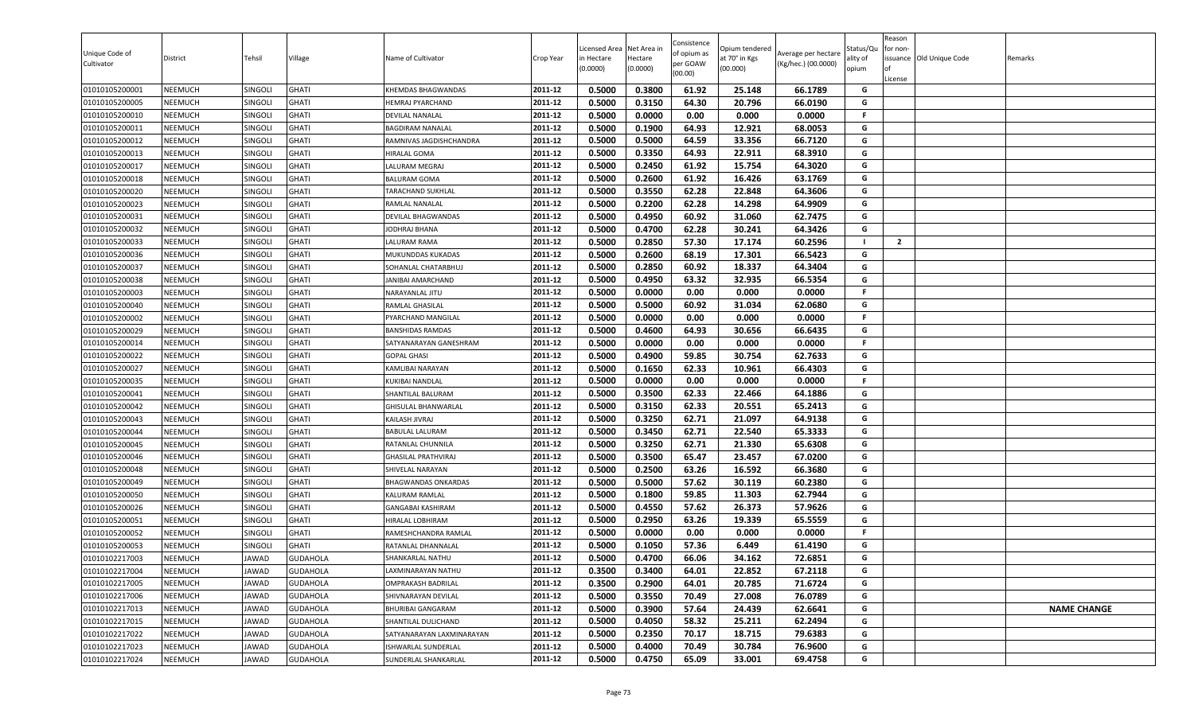| Unique Code of<br>Cultivator | District       | Tehsil         | Village         | Name of Cultivator         | Crop Year | Licensed Area<br>in Hectare<br>(0.0000) | Net Area in<br>Hectare<br>(0.0000) | Consistence<br>of opium as<br>per GOAW<br>(00.00) | )pium tendered<br>at 70° in Kgs<br>(00.000) | Average per hectare<br>(Kg/hec.) (00.0000) | Status/Qu<br>ality of<br>opium | Reason<br>for non-<br>lof<br>License | issuance Old Unique Code | Remarks            |
|------------------------------|----------------|----------------|-----------------|----------------------------|-----------|-----------------------------------------|------------------------------------|---------------------------------------------------|---------------------------------------------|--------------------------------------------|--------------------------------|--------------------------------------|--------------------------|--------------------|
| 01010105200001               | <b>NEEMUCH</b> | SINGOLI        | <b>GHATI</b>    | KHEMDAS BHAGWANDAS         | 2011-12   | 0.5000                                  | 0.3800                             | 61.92                                             | 25.148                                      | 66.1789                                    | G                              |                                      |                          |                    |
| 01010105200005               | <b>NEEMUCH</b> | Singoli        | <b>GHATI</b>    | HEMRAJ PYARCHAND           | 2011-12   | 0.5000                                  | 0.3150                             | 64.30                                             | 20.796                                      | 66.0190                                    | G                              |                                      |                          |                    |
| 01010105200010               | NEEMUCH        | <b>SINGOLI</b> | <b>GHATI</b>    | DEVILAL NANALAL            | 2011-12   | 0.5000                                  | 0.0000                             | 0.00                                              | 0.000                                       | 0.0000                                     | F.                             |                                      |                          |                    |
| 01010105200011               | <b>NEEMUCH</b> | SINGOLI        | <b>GHATI</b>    | <b>BAGDIRAM NANALAL</b>    | 2011-12   | 0.5000                                  | 0.1900                             | 64.93                                             | 12.921                                      | 68.0053                                    | G                              |                                      |                          |                    |
| 01010105200012               | <b>NEEMUCH</b> | SINGOLI        | <b>GHATI</b>    | RAMNIVAS JAGDISHCHANDRA    | 2011-12   | 0.5000                                  | 0.5000                             | 64.59                                             | 33.356                                      | 66.7120                                    | G                              |                                      |                          |                    |
| 01010105200013               | <b>NEEMUCH</b> | SINGOLI        | <b>GHATI</b>    | HIRALAL GOMA               | 2011-12   | 0.5000                                  | 0.3350                             | 64.93                                             | 22.911                                      | 68.3910                                    | G                              |                                      |                          |                    |
| 01010105200017               | <b>NEEMUCH</b> | SINGOLI        | <b>GHATI</b>    | LALURAM MEGRAJ             | 2011-12   | 0.5000                                  | 0.2450                             | 61.92                                             | 15.754                                      | 64.3020                                    | G                              |                                      |                          |                    |
| 01010105200018               | <b>NEEMUCH</b> | SINGOLI        | <b>GHATI</b>    | <b>BALURAM GOMA</b>        | 2011-12   | 0.5000                                  | 0.2600                             | 61.92                                             | 16.426                                      | 63.1769                                    | G                              |                                      |                          |                    |
| 01010105200020               | <b>NEEMUCH</b> | SINGOLI        | <b>GHATI</b>    | TARACHAND SUKHLAL          | 2011-12   | 0.5000                                  | 0.3550                             | 62.28                                             | 22.848                                      | 64.3606                                    | G                              |                                      |                          |                    |
| 01010105200023               | <b>NEEMUCH</b> | SINGOLI        | <b>GHATI</b>    | RAMLAL NANALAL             | 2011-12   | 0.5000                                  | 0.2200                             | 62.28                                             | 14.298                                      | 64.9909                                    | G                              |                                      |                          |                    |
| 01010105200031               | <b>NEEMUCH</b> | SINGOLI        | <b>GHATI</b>    | DEVILAL BHAGWANDAS         | 2011-12   | 0.5000                                  | 0.4950                             | 60.92                                             | 31.060                                      | 62.7475                                    | G                              |                                      |                          |                    |
| 01010105200032               | <b>NEEMUCH</b> | SINGOLI        | <b>GHATI</b>    | JODHRAJ BHANA              | 2011-12   | 0.5000                                  | 0.4700                             | 62.28                                             | 30.241                                      | 64.3426                                    | G                              |                                      |                          |                    |
| 01010105200033               | <b>NEEMUCH</b> | SINGOLI        | <b>GHATI</b>    | LALURAM RAMA               | 2011-12   | 0.5000                                  | 0.2850                             | 57.30                                             | 17.174                                      | 60.2596                                    | - 1                            | $\overline{2}$                       |                          |                    |
| 01010105200036               | <b>NEEMUCH</b> | SINGOLI        | <b>GHATI</b>    | MUKUNDDAS KUKADAS          | 2011-12   | 0.5000                                  | 0.2600                             | 68.19                                             | 17.301                                      | 66.5423                                    | G                              |                                      |                          |                    |
| 01010105200037               | <b>NEEMUCH</b> | SINGOLI        | <b>GHATI</b>    | SOHANLAL CHATARBHUJ        | 2011-12   | 0.5000                                  | 0.2850                             | 60.92                                             | 18.337                                      | 64.3404                                    | G                              |                                      |                          |                    |
| 01010105200038               | <b>NEEMUCH</b> | SINGOLI        | <b>GHATI</b>    | JANIBAI AMARCHAND          | 2011-12   | 0.5000                                  | 0.4950                             | 63.32                                             | 32.935                                      | 66.5354                                    | G                              |                                      |                          |                    |
| 01010105200003               | <b>NEEMUCH</b> | SINGOLI        | <b>GHATI</b>    | NARAYANLAL JITU            | 2011-12   | 0.5000                                  | 0.0000                             | 0.00                                              | 0.000                                       | 0.0000                                     | F.                             |                                      |                          |                    |
| 01010105200040               | <b>NEEMUCH</b> | SINGOLI        | <b>GHATI</b>    | RAMLAL GHASILAL            | 2011-12   | 0.5000                                  | 0.5000                             | 60.92                                             | 31.034                                      | 62.0680                                    | G                              |                                      |                          |                    |
| 01010105200002               | <b>NEEMUCH</b> | SINGOLI        | <b>GHATI</b>    | PYARCHAND MANGILAL         | 2011-12   | 0.5000                                  | 0.0000                             | 0.00                                              | 0.000                                       | 0.0000                                     | F.                             |                                      |                          |                    |
| 01010105200029               | <b>NEEMUCH</b> | Singoli        | <b>GHATI</b>    | <b>BANSHIDAS RAMDAS</b>    | 2011-12   | 0.5000                                  | 0.4600                             | 64.93                                             | 30.656                                      | 66.6435                                    | G                              |                                      |                          |                    |
| 01010105200014               | <b>NEEMUCH</b> | SINGOLI        | <b>GHATI</b>    | SATYANARAYAN GANESHRAM     | 2011-12   | 0.5000                                  | 0.0000                             | 0.00                                              | 0.000                                       | 0.0000                                     | F                              |                                      |                          |                    |
| 01010105200022               | <b>NEEMUCH</b> | SINGOLI        | <b>GHATI</b>    | <b>GOPAL GHASI</b>         | 2011-12   | 0.5000                                  | 0.4900                             | 59.85                                             | 30.754                                      | 62.7633                                    | G                              |                                      |                          |                    |
| 01010105200027               | <b>NEEMUCH</b> | SINGOLI        | <b>GHATI</b>    | KAMLIBAI NARAYAN           | 2011-12   | 0.5000                                  | 0.1650                             | 62.33                                             | 10.961                                      | 66.4303                                    | G                              |                                      |                          |                    |
| 01010105200035               | <b>NEEMUCH</b> | SINGOLI        | <b>GHATI</b>    | KUKIBAI NANDLAL            | 2011-12   | 0.5000                                  | 0.0000                             | 0.00                                              | 0.000                                       | 0.0000                                     | F.                             |                                      |                          |                    |
| 01010105200041               | <b>NEEMUCH</b> | SINGOLI        | <b>GHATI</b>    | SHANTILAL BALURAM          | 2011-12   | 0.5000                                  | 0.3500                             | 62.33                                             | 22.466                                      | 64.1886                                    | G                              |                                      |                          |                    |
| 01010105200042               | <b>NEEMUCH</b> | SINGOLI        | <b>GHATI</b>    | GHISULAL BHANWARLAL        | 2011-12   | 0.5000                                  | 0.3150                             | 62.33                                             | 20.551                                      | 65.2413                                    | G                              |                                      |                          |                    |
| 01010105200043               | <b>NEEMUCH</b> | SINGOLI        | <b>GHATI</b>    | KAILASH JIVRAJ             | 2011-12   | 0.5000                                  | 0.3250                             | 62.71                                             | 21.097                                      | 64.9138                                    | G                              |                                      |                          |                    |
| 01010105200044               | <b>NEEMUCH</b> | SINGOLI        | <b>GHATI</b>    | <b>BABULAL LALURAM</b>     | 2011-12   | 0.5000                                  | 0.3450                             | 62.71                                             | 22.540                                      | 65.3333                                    | G                              |                                      |                          |                    |
| 01010105200045               | <b>NEEMUCH</b> | Singoli        | <b>GHATI</b>    | RATANLAL CHUNNILA          | 2011-12   | 0.5000                                  | 0.3250                             | 62.71                                             | 21.330                                      | 65.6308                                    | G                              |                                      |                          |                    |
| 01010105200046               | <b>NEEMUCH</b> | SINGOLI        | <b>GHATI</b>    | GHASILAL PRATHVIRAJ        | 2011-12   | 0.5000                                  | 0.3500                             | 65.47                                             | 23.457                                      | 67.0200                                    | G                              |                                      |                          |                    |
| 01010105200048               | <b>NEEMUCH</b> | SINGOLI        | <b>GHATI</b>    | SHIVELAL NARAYAN           | 2011-12   | 0.5000                                  | 0.2500                             | 63.26                                             | 16.592                                      | 66.3680                                    | G                              |                                      |                          |                    |
| 01010105200049               | <b>NEEMUCH</b> | SINGOLI        | <b>GHATI</b>    | <b>BHAGWANDAS ONKARDAS</b> | 2011-12   | 0.5000                                  | 0.5000                             | 57.62                                             | 30.119                                      | 60.2380                                    | G                              |                                      |                          |                    |
| 01010105200050               | <b>NEEMUCH</b> | SINGOLI        | <b>GHATI</b>    | KALURAM RAMLAL             | 2011-12   | 0.5000                                  | 0.1800                             | 59.85                                             | 11.303                                      | 62.7944                                    | G                              |                                      |                          |                    |
| 01010105200026               | <b>NEEMUCH</b> | SINGOLI        | <b>GHATI</b>    | GANGABAI KASHIRAM          | 2011-12   | 0.5000                                  | 0.4550                             | 57.62                                             | 26.373                                      | 57.9626                                    | G                              |                                      |                          |                    |
| 01010105200051               | <b>NEEMUCH</b> | SINGOLI        | <b>GHATI</b>    | HIRALAL LOBHIRAM           | 2011-12   | 0.5000                                  | 0.2950                             | 63.26                                             | 19.339                                      | 65.5559                                    | G                              |                                      |                          |                    |
| 01010105200052               | <b>NEEMUCH</b> | Singoli        | <b>GHATI</b>    | RAMESHCHANDRA RAMLAL       | 2011-12   | 0.5000                                  | 0.0000                             | 0.00                                              | 0.000                                       | 0.0000                                     | F.                             |                                      |                          |                    |
| 01010105200053               | <b>NEEMUCH</b> | <b>SINGOLI</b> | <b>GHATI</b>    | RATANLAL DHANNALAI         | 2011-12   | 0.5000                                  | 0.1050                             | 57.36                                             | 6.449                                       | 61.4190                                    | G                              |                                      |                          |                    |
| 01010102217003               | <b>NEEMUCH</b> | JAWAD          | <b>GUDAHOLA</b> | SHANKARLAL NATHU           | 2011-12   | 0.5000                                  | 0.4700                             | 66.06                                             | 34.162                                      | 72.6851                                    | G                              |                                      |                          |                    |
| 01010102217004               | <b>NEEMUCH</b> | JAWAD          | <b>GUDAHOLA</b> | LAXMINARAYAN NATHU         | 2011-12   | 0.3500                                  | 0.3400                             | 64.01                                             | 22.852                                      | 67.2118                                    | G                              |                                      |                          |                    |
| 01010102217005               | <b>NEEMUCH</b> | JAWAD          | <b>GUDAHOLA</b> | <b>OMPRAKASH BADRILAL</b>  | 2011-12   | 0.3500                                  | 0.2900                             | 64.01                                             | 20.785                                      | 71.6724                                    | G                              |                                      |                          |                    |
| 01010102217006               | <b>NEEMUCH</b> | JAWAD          | <b>GUDAHOLA</b> | SHIVNARAYAN DEVILAL        | 2011-12   | 0.5000                                  | 0.3550                             | 70.49                                             | 27.008                                      | 76.0789                                    | G                              |                                      |                          |                    |
| 01010102217013               | <b>NEEMUCH</b> | JAWAD          | <b>GUDAHOLA</b> | BHURIBAI GANGARAM          | 2011-12   | 0.5000                                  | 0.3900                             | 57.64                                             | 24.439                                      | 62.6641                                    | G                              |                                      |                          | <b>NAME CHANGE</b> |
| 01010102217015               | <b>NEEMUCH</b> | JAWAD          | <b>GUDAHOLA</b> | SHANTILAL DULICHAND        | 2011-12   | 0.5000                                  | 0.4050                             | 58.32                                             | 25.211                                      | 62.2494                                    | G                              |                                      |                          |                    |
| 01010102217022               | <b>NEEMUCH</b> | JAWAD          | <b>GUDAHOLA</b> | SATYANARAYAN LAXMINARAYAN  | 2011-12   | 0.5000                                  | 0.2350                             | 70.17                                             | 18.715                                      | 79.6383                                    | G                              |                                      |                          |                    |
| 01010102217023               | <b>NEEMUCH</b> | JAWAD          | <b>GUDAHOLA</b> | ISHWARLAL SUNDERLAL        | 2011-12   | 0.5000                                  | 0.4000                             | 70.49                                             | 30.784                                      | 76.9600                                    | G                              |                                      |                          |                    |
| 01010102217024               | <b>NEEMUCH</b> | JAWAD          | <b>GUDAHOLA</b> | SUNDERLAL SHANKARLAL       | 2011-12   | 0.5000                                  | 0.4750                             | 65.09                                             | 33.001                                      | 69.4758                                    | G                              |                                      |                          |                    |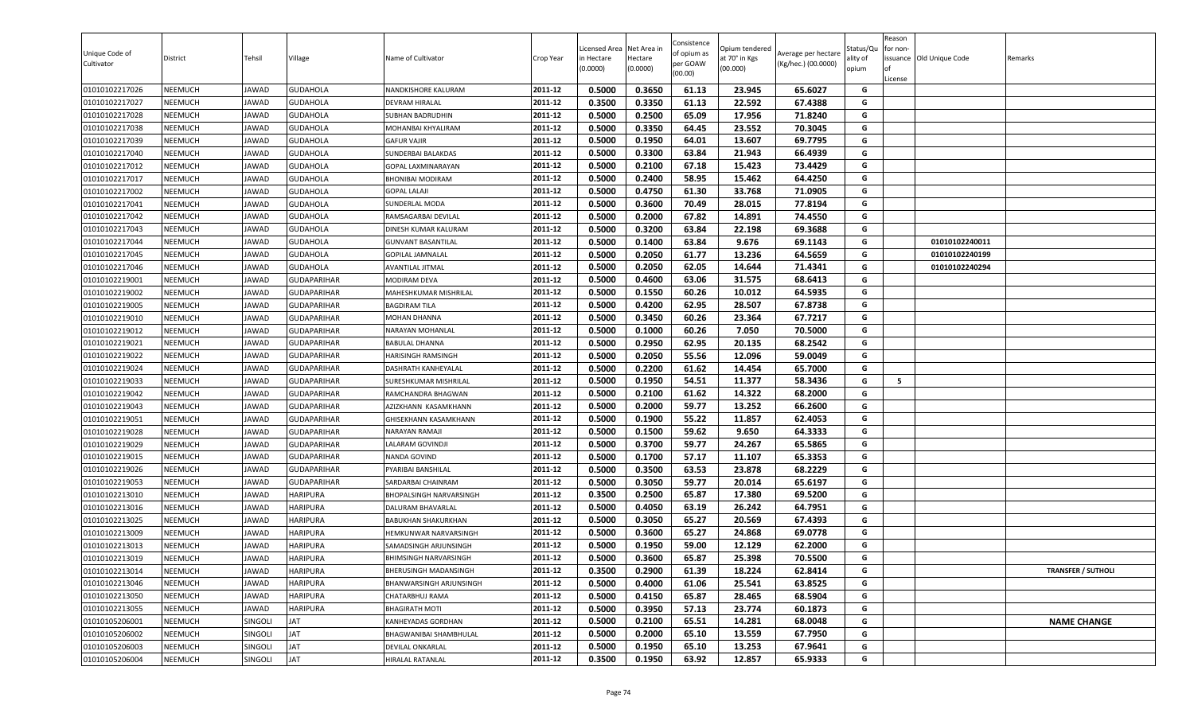| Unique Code of<br>Cultivator | District       | Tehsil  | Village            | Name of Cultivator                           | Crop Year          | Licensed Area<br>in Hectare<br>(0.0000) | Net Area in<br>Hectare<br>(0.0000) | Consistence<br>of opium as<br>per GOAW<br>(00.00) | Opium tendered<br>at 70° in Kgs<br>(00.000) | Average per hectare<br>(Kg/hec.) (00.0000) | Status/Qu<br>ality of<br>opium | Reason<br>for non-<br>lof<br>License | issuance Old Unique Code | Remarks                   |
|------------------------------|----------------|---------|--------------------|----------------------------------------------|--------------------|-----------------------------------------|------------------------------------|---------------------------------------------------|---------------------------------------------|--------------------------------------------|--------------------------------|--------------------------------------|--------------------------|---------------------------|
| 01010102217026               | <b>NEEMUCH</b> | JAWAD   | <b>GUDAHOLA</b>    | NANDKISHORE KALURAM                          | 2011-12            | 0.5000                                  | 0.3650                             | 61.13                                             | 23.945                                      | 65.6027                                    | G                              |                                      |                          |                           |
| 01010102217027               | <b>NEEMUCH</b> | JAWAD   | <b>GUDAHOLA</b>    | DEVRAM HIRALAL                               | 2011-12            | 0.3500                                  | 0.3350                             | 61.13                                             | 22.592                                      | 67.4388                                    | G                              |                                      |                          |                           |
| 01010102217028               | NEEMUCH        | JAWAD   | <b>GUDAHOLA</b>    | <b>SUBHAN BADRUDHIN</b>                      | 2011-12            | 0.5000                                  | 0.2500                             | 65.09                                             | 17.956                                      | 71.8240                                    | G                              |                                      |                          |                           |
| 01010102217038               | <b>NEEMUCH</b> | JAWAD   | <b>GUDAHOLA</b>    | MOHANBAI KHYALIRAM                           | 2011-12            | 0.5000                                  | 0.3350                             | 64.45                                             | 23.552                                      | 70.3045                                    | G                              |                                      |                          |                           |
| 01010102217039               | <b>NEEMUCH</b> | JAWAD   | <b>GUDAHOLA</b>    | <b>GAFUR VAJIR</b>                           | 2011-12            | 0.5000                                  | 0.1950                             | 64.01                                             | 13.607                                      | 69.7795                                    | G                              |                                      |                          |                           |
| 01010102217040               | <b>NEEMUCH</b> | JAWAD   | <b>GUDAHOLA</b>    | SUNDERBAI BALAKDAS                           | 2011-12            | 0.5000                                  | 0.3300                             | 63.84                                             | 21.943                                      | 66.4939                                    | G                              |                                      |                          |                           |
| 01010102217012               | <b>NEEMUCH</b> | JAWAD   | <b>GUDAHOLA</b>    | GOPAL LAXMINARAYAN                           | 2011-12            | 0.5000                                  | 0.2100                             | 67.18                                             | 15.423                                      | 73.4429                                    | G                              |                                      |                          |                           |
| 01010102217017               | <b>NEEMUCH</b> | JAWAD   | <b>GUDAHOLA</b>    | <b>BHONIBAI MODIRAM</b>                      | 2011-12            | 0.5000                                  | 0.2400                             | 58.95                                             | 15.462                                      | 64.4250                                    | G                              |                                      |                          |                           |
| 01010102217002               | <b>NEEMUCH</b> | JAWAD   | <b>GUDAHOLA</b>    | GOPAL LALAJI                                 | 2011-12            | 0.5000                                  | 0.4750                             | 61.30                                             | 33.768                                      | 71.0905                                    | G                              |                                      |                          |                           |
| 01010102217041               | <b>NEEMUCH</b> | JAWAD   | <b>GUDAHOLA</b>    | SUNDERLAL MODA                               | 2011-12            | 0.5000                                  | 0.3600                             | 70.49                                             | 28.015                                      | 77.8194                                    | G                              |                                      |                          |                           |
| 01010102217042               | NEEMUCH        | JAWAD   | <b>GUDAHOLA</b>    | RAMSAGARBAI DEVILAL                          | 2011-12            | 0.5000                                  | 0.2000                             | 67.82                                             | 14.891                                      | 74.4550                                    | G                              |                                      |                          |                           |
| 01010102217043               | <b>NEEMUCH</b> | JAWAD   | <b>GUDAHOLA</b>    | DINESH KUMAR KALURAM                         | 2011-12            | 0.5000                                  | 0.3200                             | 63.84                                             | 22.198                                      | 69.3688                                    | G                              |                                      |                          |                           |
| 01010102217044               | <b>NEEMUCH</b> | JAWAD   | <b>GUDAHOLA</b>    | <b>GUNVANT BASANTILAL</b>                    | 2011-12            | 0.5000                                  | 0.1400                             | 63.84                                             | 9.676                                       | 69.1143                                    | G                              |                                      | 01010102240011           |                           |
| 01010102217045               | <b>NEEMUCH</b> | JAWAD   | <b>GUDAHOLA</b>    | <b>GOPILAL JAMNALAL</b>                      | 2011-12            | 0.5000                                  | 0.2050                             | 61.77                                             | 13.236                                      | 64.5659                                    | G                              |                                      | 01010102240199           |                           |
| 01010102217046               | <b>NEEMUCH</b> | JAWAD   | <b>GUDAHOLA</b>    | AVANTILAL JITMAL                             | 2011-12            | 0.5000                                  | 0.2050                             | 62.05                                             | 14.644                                      | 71.4341                                    | G                              |                                      | 01010102240294           |                           |
| 01010102219001               | <b>NEEMUCH</b> | JAWAD   | <b>GUDAPARIHAR</b> | MODIRAM DEVA                                 | 2011-12            | 0.5000                                  | 0.4600                             | 63.06                                             | 31.575                                      | 68.6413                                    | G                              |                                      |                          |                           |
| 01010102219002               | <b>NEEMUCH</b> | JAWAD   | <b>GUDAPARIHAR</b> | MAHESHKUMAR MISHRILAL                        | 2011-12            | 0.5000                                  | 0.1550                             | 60.26                                             | 10.012                                      | 64.5935                                    | G                              |                                      |                          |                           |
| 01010102219005               | <b>NEEMUCH</b> | JAWAD   | <b>GUDAPARIHAR</b> | <b>BAGDIRAM TILA</b>                         | 2011-12            | 0.5000                                  | 0.4200                             | 62.95                                             | 28.507                                      | 67.8738                                    | G                              |                                      |                          |                           |
| 01010102219010               | <b>NEEMUCH</b> | JAWAD   | <b>GUDAPARIHAR</b> | MOHAN DHANNA                                 | 2011-12            | 0.5000                                  | 0.3450                             | 60.26                                             | 23.364                                      | 67.7217                                    | G                              |                                      |                          |                           |
| 01010102219012               | <b>NEEMUCH</b> | JAWAD   | <b>GUDAPARIHAR</b> | NARAYAN MOHANLAL                             | 2011-12            | 0.5000                                  | 0.1000                             | 60.26                                             | 7.050                                       | 70.5000                                    | G                              |                                      |                          |                           |
| 01010102219021               | <b>NEEMUCH</b> | JAWAD   | <b>GUDAPARIHAR</b> | <b>BABULAL DHANNA</b>                        | 2011-12            | 0.5000                                  | 0.2950                             | 62.95                                             | 20.135                                      | 68.2542                                    | G                              |                                      |                          |                           |
| 01010102219022               | <b>NEEMUCH</b> | JAWAD   | <b>GUDAPARIHAR</b> | HARISINGH RAMSINGH                           | 2011-12            | 0.5000                                  | 0.2050                             | 55.56                                             | 12.096                                      | 59.0049                                    | G                              |                                      |                          |                           |
| 01010102219024               | <b>NEEMUCH</b> | JAWAD   | <b>GUDAPARIHAR</b> | DASHRATH KANHEYALAL                          | 2011-12            | 0.5000                                  | 0.2200                             | 61.62                                             | 14.454                                      | 65.7000                                    | G                              |                                      |                          |                           |
| 01010102219033               | <b>NEEMUCH</b> | JAWAD   | <b>GUDAPARIHAR</b> | SURESHKUMAR MISHRILAL                        | 2011-12            | 0.5000                                  | 0.1950                             | 54.51                                             | 11.377                                      | 58.3436                                    | G                              | 5                                    |                          |                           |
| 01010102219042               | <b>NEEMUCH</b> | JAWAD   | <b>GUDAPARIHAR</b> | RAMCHANDRA BHAGWAN                           | 2011-12            | 0.5000                                  | 0.2100                             | 61.62                                             | 14.322                                      | 68.2000                                    | G                              |                                      |                          |                           |
| 01010102219043               | <b>NEEMUCH</b> | JAWAD   | <b>GUDAPARIHAR</b> | AZIZKHANN KASAMKHANN                         | 2011-12            | 0.5000                                  | 0.2000                             | 59.77                                             | 13.252                                      | 66.2600                                    | G                              |                                      |                          |                           |
| 01010102219051               | <b>NEEMUCH</b> | JAWAD   | <b>GUDAPARIHAR</b> | GHISEKHANN KASAMKHANN                        | 2011-12            | 0.5000                                  | 0.1900                             | 55.22                                             | 11.857                                      | 62.4053                                    | G                              |                                      |                          |                           |
| 01010102219028               | <b>NEEMUCH</b> | JAWAD   | <b>GUDAPARIHAR</b> | NARAYAN RAMAJI                               | 2011-12            | 0.5000                                  | 0.1500                             | 59.62                                             | 9.650                                       | 64.3333                                    | G                              |                                      |                          |                           |
| 01010102219029               | NEEMUCH        | JAWAD   | <b>GUDAPARIHAR</b> | LALARAM GOVINDJI                             | 2011-12            | 0.5000                                  | 0.3700                             | 59.77                                             | 24.267                                      | 65.5865                                    | G                              |                                      |                          |                           |
| 01010102219015               | <b>NEEMUCH</b> | JAWAD   | <b>GUDAPARIHAR</b> | NANDA GOVIND                                 | 2011-12            | 0.5000                                  | 0.1700                             | 57.17                                             | 11.107                                      | 65.3353                                    | G                              |                                      |                          |                           |
| 01010102219026               | <b>NEEMUCH</b> | JAWAD   | <b>GUDAPARIHAR</b> | PYARIBAI BANSHILAL                           | 2011-12            | 0.5000                                  | 0.3500                             | 63.53                                             | 23.878                                      | 68.2229                                    | G                              |                                      |                          |                           |
| 01010102219053               | <b>NEEMUCH</b> | JAWAD   | <b>GUDAPARIHAR</b> | SARDARBAI CHAINRAM                           | 2011-12            | 0.5000                                  | 0.3050                             | 59.77                                             | 20.014                                      | 65.6197                                    | G                              |                                      |                          |                           |
| 01010102213010               | <b>NEEMUCH</b> | JAWAD   | <b>HARIPURA</b>    | BHOPALSINGH NARVARSINGH                      | 2011-12            | 0.3500                                  | 0.2500                             | 65.87                                             | 17.380                                      | 69.5200                                    | G                              |                                      |                          |                           |
| 01010102213016               | <b>NEEMUCH</b> | JAWAD   | <b>HARIPURA</b>    | DALURAM BHAVARLAL                            | 2011-12            | 0.5000                                  | 0.4050                             | 63.19                                             | 26.242                                      | 64.7951                                    | G                              |                                      |                          |                           |
| 01010102213025               | <b>NEEMUCH</b> | JAWAD   | <b>HARIPURA</b>    | <b>BABUKHAN SHAKURKHAN</b>                   | 2011-12            | 0.5000                                  | 0.3050                             | 65.27                                             | 20.569                                      | 67.4393                                    | G                              |                                      |                          |                           |
| 01010102213009               | <b>NEEMUCH</b> | JAWAD   | <b>HARIPURA</b>    | HEMKUNWAR NARVARSINGH                        | 2011-12            | 0.5000                                  | 0.3600                             | 65.27                                             | 24.868                                      | 69.0778                                    | G<br>G                         |                                      |                          |                           |
| 01010102213013               | <b>NEEMUCH</b> | JAWAD   | <b>HARIPURA</b>    | SAMADSINGH ARJUNSINGH                        | 2011-12            | 0.5000                                  | 0.1950                             | 59.00                                             | 12.129                                      | 62.2000                                    | G                              |                                      |                          |                           |
| 01010102213019               | <b>NEEMUCH</b> | JAWAD   | <b>HARIPURA</b>    | BHIMSINGH NARVARSINGH                        | 2011-12            | 0.5000                                  | 0.3600                             | 65.87                                             | 25.398                                      | 70.5500                                    |                                |                                      |                          |                           |
| 01010102213014               | <b>NEEMUCH</b> | JAWAD   | <b>HARIPURA</b>    | BHERUSINGH MADANSINGH                        | 2011-12            | 0.3500                                  | 0.2900                             | 61.39                                             | 18.224                                      | 62.8414                                    | G<br>G                         |                                      |                          | <b>TRANSFER / SUTHOLI</b> |
| 01010102213046               | <b>NEEMUCH</b> | JAWAD   | <b>HARIPURA</b>    | BHANWARSINGH ARJUNSINGH                      | 2011-12            | 0.5000                                  | 0.4000                             | 61.06                                             | 25.541                                      | 63.8525                                    | G                              |                                      |                          |                           |
| 01010102213050               | <b>NEEMUCH</b> | JAWAD   | <b>HARIPURA</b>    | CHATARBHUJ RAMA                              | 2011-12            | 0.5000                                  | 0.4150                             | 65.87                                             | 28.465                                      | 68.5904                                    |                                |                                      |                          |                           |
| 01010102213055               | <b>NEEMUCH</b> | JAWAD   | <b>HARIPURA</b>    | BHAGIRATH MOTI                               | 2011-12            | 0.5000                                  | 0.3950                             | 57.13                                             | 23.774                                      | 60.1873                                    | G<br>G                         |                                      |                          |                           |
| 01010105206001               | <b>NEEMUCH</b> | SINGOLI | JAT<br><b>JAT</b>  | KANHEYADAS GORDHAN<br>BHAGWANIBAI SHAMBHULAL | 2011-12            | 0.5000                                  | 0.2100                             | 65.51                                             | 14.281                                      | 68.0048                                    | G                              |                                      |                          | <b>NAME CHANGE</b>        |
| 01010105206002               | <b>NEEMUCH</b> | SINGOLI |                    |                                              | 2011-12<br>2011-12 | 0.5000                                  | 0.2000                             | 65.10                                             | 13.559                                      | 67.7950                                    | G                              |                                      |                          |                           |
| 01010105206003               | <b>NEEMUCH</b> | SINGOLI | JAT                | DEVILAL ONKARLAL                             |                    | 0.5000                                  | 0.1950                             | 65.10                                             | 13.253                                      | 67.9641                                    |                                |                                      |                          |                           |
| 01010105206004               | <b>NEEMUCH</b> | SINGOLI | <b>JAT</b>         | HIRALAL RATANLAL                             | 2011-12            | 0.3500                                  | 0.1950                             | 63.92                                             | 12.857                                      | 65.9333                                    | G                              |                                      |                          |                           |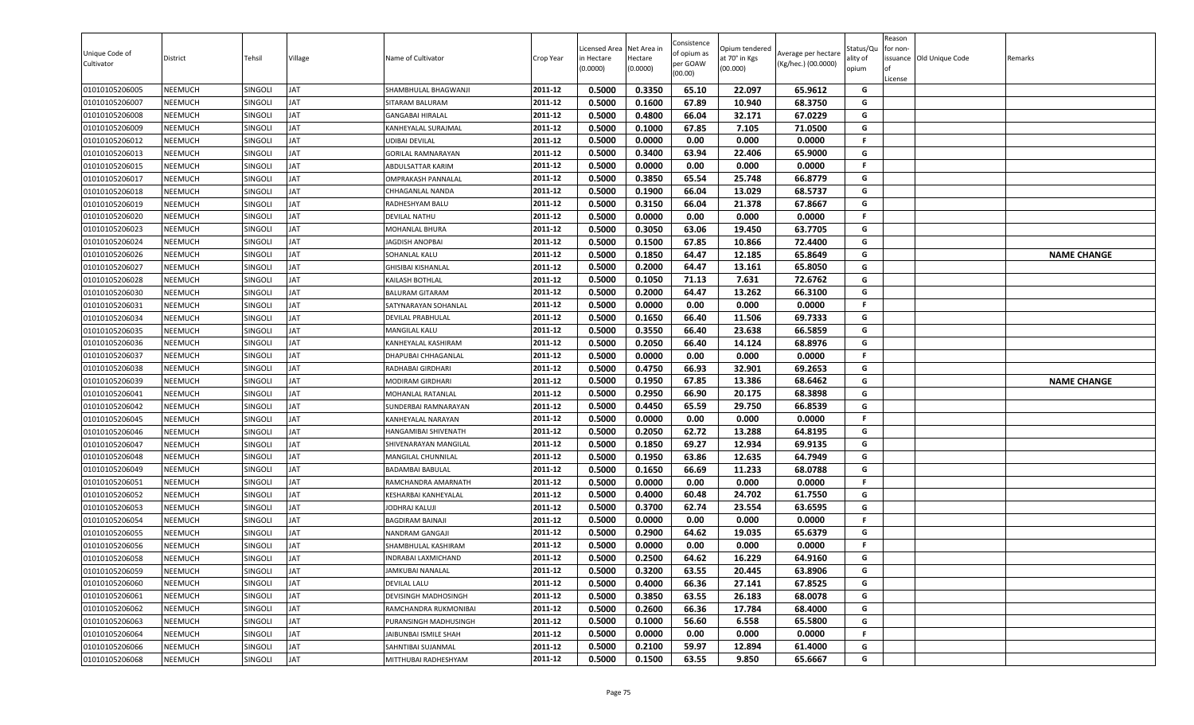| Unique Code of<br>Cultivator     | District           | Tehsil             | Village          | Name of Cultivator                         | Crop Year          | icensed Area<br>in Hectare<br>(0.0000) | Net Area in<br>Hectare<br>(0.0000) | Consistence<br>of opium as<br>per GOAW<br>(00.00) | Opium tendered<br>at 70° in Kgs<br>(00.000) | Average per hectare<br>(Kg/hec.) (00.0000) | Status/Qu<br>lity of<br>opium | Reason<br>or non-<br>License | ssuance Old Unique Code | Remarks            |
|----------------------------------|--------------------|--------------------|------------------|--------------------------------------------|--------------------|----------------------------------------|------------------------------------|---------------------------------------------------|---------------------------------------------|--------------------------------------------|-------------------------------|------------------------------|-------------------------|--------------------|
| 01010105206005                   | NEEMUCH            | SINGOLI            | JAT              | SHAMBHULAL BHAGWANJI                       | 2011-12            | 0.5000                                 | 0.3350                             | 65.10                                             | 22.097                                      | 65.9612                                    | G                             |                              |                         |                    |
| 01010105206007                   | <b>NEEMUCH</b>     | SINGOLI            | JAT              | <b>SITARAM BALURAM</b>                     | 2011-12            | 0.5000                                 | 0.1600                             | 67.89                                             | 10.940                                      | 68.3750                                    | G                             |                              |                         |                    |
| 01010105206008                   | NEEMUCH            | SINGOLI            | AT               | <b>GANGABAI HIRALAL</b>                    | 2011-12            | 0.5000                                 | 0.4800                             | 66.04                                             | 32.171                                      | 67.0229                                    | G                             |                              |                         |                    |
| 01010105206009                   | NEEMUCH            | SINGOLI            | ΙAΤ              | KANHEYALAL SURAJMAL                        | 2011-12            | 0.5000                                 | 0.1000                             | 67.85                                             | 7.105                                       | 71.0500                                    | G                             |                              |                         |                    |
| 01010105206012                   | NEEMUCH            | SINGOLI            | <b>AT</b>        | <b>UDIBAI DEVILAL</b>                      | 2011-12            | 0.5000                                 | 0.0000                             | 0.00                                              | 0.000                                       | 0.0000                                     | F.                            |                              |                         |                    |
| 01010105206013                   | <b>NEEMUCH</b>     | Singoli            | <b>AT</b>        | <b>GORILAL RAMNARAYAN</b>                  | 2011-12            | 0.5000                                 | 0.3400                             | 63.94                                             | 22.406                                      | 65.9000                                    | G                             |                              |                         |                    |
| 01010105206015                   | <b>NEEMUCH</b>     | Singoli            | AT               | ABDULSATTAR KARIM                          | 2011-12            | 0.5000                                 | 0.0000                             | 0.00                                              | 0.000                                       | 0.0000                                     | F.                            |                              |                         |                    |
| 01010105206017                   | <b>NEEMUCH</b>     | SINGOLI            | ΙAΤ              | <b>OMPRAKASH PANNALAL</b>                  | 2011-12            | 0.5000                                 | 0.3850                             | 65.54                                             | 25.748                                      | 66.8779                                    | G                             |                              |                         |                    |
| 01010105206018                   | NEEMUCH            | SINGOLI            | <b>AT</b>        | CHHAGANLAL NANDA                           | 2011-12            | 0.5000                                 | 0.1900                             | 66.04                                             | 13.029                                      | 68.5737                                    | G                             |                              |                         |                    |
| 01010105206019                   | <b>NEEMUCH</b>     | Singoli            | <b>AT</b>        | RADHESHYAM BALU                            | 2011-12            | 0.5000                                 | 0.3150                             | 66.04                                             | 21.378                                      | 67.8667                                    | G                             |                              |                         |                    |
| 01010105206020                   | NEEMUCH            | Singoli            | ΙAΤ              | <b>DEVILAL NATHU</b>                       | 2011-12            | 0.5000                                 | 0.0000                             | 0.00                                              | 0.000                                       | 0.0000                                     | F.                            |                              |                         |                    |
| 01010105206023                   | NEEMUCH            | SINGOLI            | AT               | MOHANLAL BHURA                             | 2011-12            | 0.5000                                 | 0.3050                             | 63.06                                             | 19.450                                      | 63.7705                                    | G                             |                              |                         |                    |
| 01010105206024                   | <b>NEEMUCH</b>     | SINGOLI            | AT               | <b>JAGDISH ANOPBAI</b>                     | 2011-12            | 0.5000                                 | 0.1500                             | 67.85                                             | 10.866                                      | 72.4400                                    | G                             |                              |                         |                    |
| 01010105206026                   | NEEMUCH            | SINGOLI            | AT               | SOHANLAL KALU                              | 2011-12            | 0.5000                                 | 0.1850                             | 64.47                                             | 12.185                                      | 65.8649                                    | G                             |                              |                         | <b>NAME CHANGE</b> |
| 01010105206027                   | <b>NEEMUCH</b>     | Singoli            | AT               | <b>GHISIBAI KISHANLAL</b>                  | 2011-12            | 0.5000                                 | 0.2000                             | 64.47                                             | 13.161                                      | 65.8050                                    | G                             |                              |                         |                    |
| 01010105206028                   | <b>NEEMUCH</b>     | SINGOLI            | JAT              | KAILASH BOTHLAL                            | 2011-12            | 0.5000                                 | 0.1050                             | 71.13                                             | 7.631                                       | 72.6762                                    | G                             |                              |                         |                    |
| 01010105206030                   | <b>NEEMUCH</b>     | SINGOLI            | AT               | <b>BALURAM GITARAM</b>                     | 2011-12            | 0.5000                                 | 0.2000                             | 64.47                                             | 13.262                                      | 66.3100                                    | G<br>F.                       |                              |                         |                    |
| 01010105206031                   | <b>NEEMUCH</b>     | SINGOLI            | ΙAΤ<br><b>AT</b> | SATYNARAYAN SOHANLAL                       | 2011-12<br>2011-12 | 0.5000                                 | 0.0000                             | 0.00                                              | 0.000                                       | 0.0000                                     |                               |                              |                         |                    |
| 01010105206034                   | <b>NEEMUCH</b>     | SINGOLI            |                  | <b>DEVILAL PRABHULAL</b>                   | 2011-12            | 0.5000<br>0.5000                       | 0.1650<br>0.3550                   | 66.40<br>66.40                                    | 11.506<br>23.638                            | 69.7333<br>66.5859                         | G<br>G                        |                              |                         |                    |
| 01010105206035<br>01010105206036 | NEEMUCH<br>NEEMUCH | SINGOLI<br>SINGOLI | ΙAΤ<br>AT        | MANGILAL KALU                              | 2011-12            | 0.5000                                 | 0.2050                             | 66.40                                             | 14.124                                      | 68.8976                                    | G                             |                              |                         |                    |
|                                  | NEEMUCH            |                    | AT               | KANHEYALAL KASHIRAM<br>DHAPUBAI CHHAGANLAL | 2011-12            | 0.5000                                 | 0.0000                             | 0.00                                              | 0.000                                       | 0.0000                                     | F.                            |                              |                         |                    |
| 01010105206037<br>01010105206038 | NEEMUCH            | SINGOLI<br>SINGOLI | AT               | RADHABAI GIRDHARI                          | 2011-12            | 0.5000                                 | 0.4750                             | 66.93                                             | 32.901                                      | 69.2653                                    | G                             |                              |                         |                    |
| 01010105206039                   | <b>NEEMUCH</b>     | Singoli            | JAT              | <b>MODIRAM GIRDHARI</b>                    | 2011-12            | 0.5000                                 | 0.1950                             | 67.85                                             | 13.386                                      | 68.6462                                    | G                             |                              |                         | <b>NAME CHANGE</b> |
| 01010105206041                   | <b>NEEMUCH</b>     | SINGOLI            | JAT              | MOHANLAL RATANLAL                          | 2011-12            | 0.5000                                 | 0.2950                             | 66.90                                             | 20.175                                      | 68.3898                                    | G                             |                              |                         |                    |
| 01010105206042                   | <b>NEEMUCH</b>     | SINGOLI            | AT               | SUNDERBAI RAMNARAYAN                       | 2011-12            | 0.5000                                 | 0.4450                             | 65.59                                             | 29.750                                      | 66.8539                                    | G                             |                              |                         |                    |
| 01010105206045                   | NEEMUCH            | SINGOLI            | AT               | KANHEYALAL NARAYAN                         | 2011-12            | 0.5000                                 | 0.0000                             | 0.00                                              | 0.000                                       | 0.0000                                     | F.                            |                              |                         |                    |
| 01010105206046                   | NEEMUCH            | SINGOLI            | AT               | HANGAMIBAI SHIVENATH                       | 2011-12            | 0.5000                                 | 0.2050                             | 62.72                                             | 13.288                                      | 64.8195                                    | G                             |                              |                         |                    |
| 01010105206047                   | <b>NEEMUCH</b>     | Singoli            | ΙAΤ              | SHIVENARAYAN MANGILAL                      | 2011-12            | 0.5000                                 | 0.1850                             | 69.27                                             | 12.934                                      | 69.9135                                    | G                             |                              |                         |                    |
| 01010105206048                   | NEEMUCH            | SINGOLI            | AT               | MANGILAL CHUNNILAL                         | 2011-12            | 0.5000                                 | 0.1950                             | 63.86                                             | 12.635                                      | 64.7949                                    | G                             |                              |                         |                    |
| 01010105206049                   | <b>NEEMUCH</b>     | SINGOLI            | AT               | <b>BADAMBAI BABULAL</b>                    | 2011-12            | 0.5000                                 | 0.1650                             | 66.69                                             | 11.233                                      | 68.0788                                    | G                             |                              |                         |                    |
| 01010105206051                   | NEEMUCH            | SINGOLI            | ΙAΤ              | RAMCHANDRA AMARNATH                        | 2011-12            | 0.5000                                 | 0.0000                             | 0.00                                              | 0.000                                       | 0.0000                                     | F.                            |                              |                         |                    |
| 01010105206052                   | <b>NEEMUCH</b>     | SINGOLI            | JAT              | KESHARBAI KANHEYALAL                       | 2011-12            | 0.5000                                 | 0.4000                             | 60.48                                             | 24.702                                      | 61.7550                                    | G                             |                              |                         |                    |
| 01010105206053                   | <b>NEEMUCH</b>     | SINGOLI            | ΙAΤ              | <b>JODHRAJ KALUJI</b>                      | 2011-12            | 0.5000                                 | 0.3700                             | 62.74                                             | 23.554                                      | 63.6595                                    | G                             |                              |                         |                    |
| 01010105206054                   | <b>NEEMUCH</b>     | SINGOLI            | <b>AT</b>        | <b>BAGDIRAM BAINAJI</b>                    | 2011-12            | 0.5000                                 | 0.0000                             | 0.00                                              | 0.000                                       | 0.0000                                     | F.                            |                              |                         |                    |
| 01010105206055                   | NEEMUCH            | SINGOLI            | ΙAΤ              | NANDRAM GANGAJI                            | 2011-12            | 0.5000                                 | 0.2900                             | 64.62                                             | 19.035                                      | 65.6379                                    | G                             |                              |                         |                    |
| 01010105206056                   | NEEMUCH            | SINGOLI            | ΙAΤ              | SHAMBHULAL KASHIRAM                        | 2011-12            | 0.5000                                 | 0.0000                             | 0.00                                              | 0.000                                       | 0.0000                                     | F.                            |                              |                         |                    |
| 01010105206058                   | NEEMUCH            | SINGOLI            | <b>JAT</b>       | INDRABAI LAXMICHAND                        | 2011-12            | 0.5000                                 | 0.2500                             | 64.62                                             | 16.229                                      | 64.9160                                    | G                             |                              |                         |                    |
| 01010105206059                   | <b>NEEMUCH</b>     | SINGOLI            | <b>JAT</b>       | JAMKUBAI NANALAL                           | 2011-12            | 0.5000                                 | 0.3200                             | 63.55                                             | 20.445                                      | 63.8906                                    | G                             |                              |                         |                    |
| 01010105206060                   | <b>NEEMUCH</b>     | SINGOLI            | JAT              | <b>DEVILAL LALU</b>                        | 2011-12            | 0.5000                                 | 0.4000                             | 66.36                                             | 27.141                                      | 67.8525                                    | G                             |                              |                         |                    |
| 01010105206061                   | <b>NEEMUCH</b>     | SINGOLI            | JAT              | DEVISINGH MADHOSINGH                       | 2011-12            | 0.5000                                 | 0.3850                             | 63.55                                             | 26.183                                      | 68.0078                                    | G                             |                              |                         |                    |
| 01010105206062                   | <b>NEEMUCH</b>     | SINGOLI            | JAT              | RAMCHANDRA RUKMONIBAI                      | 2011-12            | 0.5000                                 | 0.2600                             | 66.36                                             | 17.784                                      | 68.4000                                    | G                             |                              |                         |                    |
| 01010105206063                   | <b>NEEMUCH</b>     | SINGOLI            | JAT              | PURANSINGH MADHUSINGH                      | 2011-12            | 0.5000                                 | 0.1000                             | 56.60                                             | 6.558                                       | 65.5800                                    | G                             |                              |                         |                    |
| 01010105206064                   | <b>NEEMUCH</b>     | SINGOLI            | JAT              | JAIBUNBAI ISMILE SHAH                      | 2011-12            | 0.5000                                 | 0.0000                             | 0.00                                              | 0.000                                       | 0.0000                                     | F.                            |                              |                         |                    |
| 01010105206066                   | <b>NEEMUCH</b>     | <b>SINGOLI</b>     | JAT              | SAHNTIBAI SUJANMAL                         | 2011-12            | 0.5000                                 | 0.2100                             | 59.97                                             | 12.894                                      | 61.4000                                    | G                             |                              |                         |                    |
| 01010105206068                   | NEEMUCH            | SINGOLI            | JAT              | MITTHUBAI RADHESHYAM                       | 2011-12            | 0.5000                                 | 0.1500                             | 63.55                                             | 9.850                                       | 65.6667                                    | G                             |                              |                         |                    |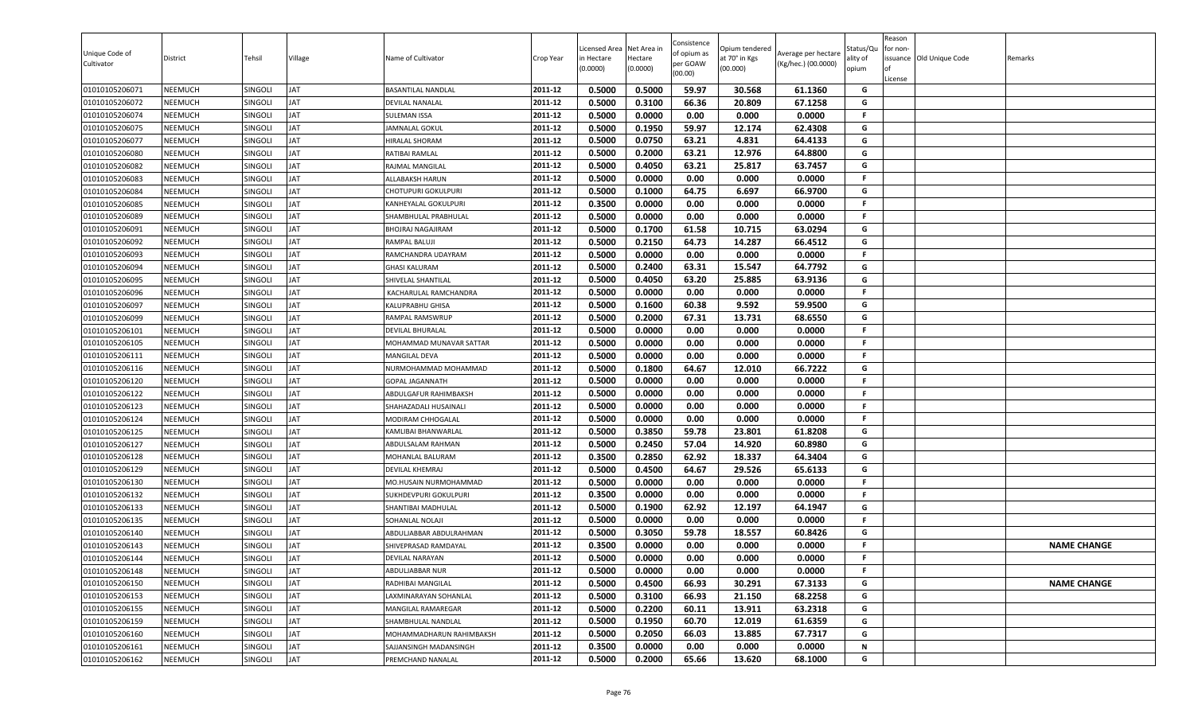| Unique Code of<br>Cultivator | District       | Tehsil  | Village   | Name of Cultivator         | Crop Year | Licensed Area<br>in Hectare<br>(0.0000) | Net Area in<br>Hectare<br>(0.0000) | Consistence<br>of opium as<br>per GOAW<br>(00.00) | Opium tendered<br>at 70° in Kgs<br>(00.000) | Average per hectare<br>(Kg/hec.) (00.0000) | Status/Qu<br>ılity of<br>opium | Reason<br>for non-<br>License | ssuance Old Unique Code | Remarks            |
|------------------------------|----------------|---------|-----------|----------------------------|-----------|-----------------------------------------|------------------------------------|---------------------------------------------------|---------------------------------------------|--------------------------------------------|--------------------------------|-------------------------------|-------------------------|--------------------|
| 01010105206071               | NEEMUCH        | SINGOLI | JAT       | <b>BASANTILAL NANDLAL</b>  | 2011-12   | 0.5000                                  | 0.5000                             | 59.97                                             | 30.568                                      | 61.1360                                    | G                              |                               |                         |                    |
| 01010105206072               | NEEMUCH        | Singoli | ΙAΤ       | <b>DEVILAL NANALAL</b>     | 2011-12   | 0.5000                                  | 0.3100                             | 66.36                                             | 20.809                                      | 67.1258                                    | G                              |                               |                         |                    |
| 01010105206074               | NEEMUCH        | SINGOLI | AT        | <b>SULEMAN ISSA</b>        | 2011-12   | 0.5000                                  | 0.0000                             | 0.00                                              | 0.000                                       | 0.0000                                     | F.                             |                               |                         |                    |
| 01010105206075               | <b>NEEMUCH</b> | SINGOLI | AT        | <b>JAMNALAL GOKUL</b>      | 2011-12   | 0.5000                                  | 0.1950                             | 59.97                                             | 12.174                                      | 62.4308                                    | G                              |                               |                         |                    |
| 01010105206077               | NEEMUCH        | SINGOLI | ΙAΤ       | HIRALAL SHORAM             | 2011-12   | 0.5000                                  | 0.0750                             | 63.21                                             | 4.831                                       | 64.4133                                    | G                              |                               |                         |                    |
| 01010105206080               | <b>NEEMUCH</b> | SINGOLI | <b>AT</b> | RATIBAI RAMLAL             | 2011-12   | 0.5000                                  | 0.2000                             | 63.21                                             | 12.976                                      | 64.8800                                    | G                              |                               |                         |                    |
| 01010105206082               | NEEMUCH        | SINGOLI | ΙAΤ       | RAJMAL MANGILAL            | 2011-12   | 0.5000                                  | 0.4050                             | 63.21                                             | 25.817                                      | 63.7457                                    | G                              |                               |                         |                    |
| 01010105206083               | NEEMUCH        | SINGOLI | <b>AT</b> | <b>ALLABAKSH HARUN</b>     | 2011-12   | 0.5000                                  | 0.0000                             | 0.00                                              | 0.000                                       | 0.0000                                     | F.                             |                               |                         |                    |
| 01010105206084               | <b>NEEMUCH</b> | SINGOLI | ΙAΤ       | <b>CHOTUPURI GOKULPURI</b> | 2011-12   | 0.5000                                  | 0.1000                             | 64.75                                             | 6.697                                       | 66.9700                                    | G                              |                               |                         |                    |
| 01010105206085               | NEEMUCH        | SINGOLI | <b>AT</b> | KANHEYALAL GOKULPURI       | 2011-12   | 0.3500                                  | 0.0000                             | 0.00                                              | 0.000                                       | 0.0000                                     | .F.                            |                               |                         |                    |
| 01010105206089               | NEEMUCH        | SINGOLI | ΙAΤ       | SHAMBHULAL PRABHULAL       | 2011-12   | 0.5000                                  | 0.0000                             | 0.00                                              | 0.000                                       | 0.0000                                     | F.                             |                               |                         |                    |
| 01010105206091               | NEEMUCH        | SINGOLI | AT        | <b>BHOJRAJ NAGAJIRAM</b>   | 2011-12   | 0.5000                                  | 0.1700                             | 61.58                                             | 10.715                                      | 63.0294                                    | G                              |                               |                         |                    |
| 01010105206092               | NEEMUCH        | SINGOLI | AT        | RAMPAL BALUJI              | 2011-12   | 0.5000                                  | 0.2150                             | 64.73                                             | 14.287                                      | 66.4512                                    | G                              |                               |                         |                    |
| 01010105206093               | NEEMUCH        | SINGOLI | ΙAΤ       | RAMCHANDRA UDAYRAM         | 2011-12   | 0.5000                                  | 0.0000                             | 0.00                                              | 0.000                                       | 0.0000                                     | F.                             |                               |                         |                    |
| 01010105206094               | <b>NEEMUCH</b> | SINGOLI | JAT       | <b>GHASI KALURAM</b>       | 2011-12   | 0.5000                                  | 0.2400                             | 63.31                                             | 15.547                                      | 64.7792                                    | G                              |                               |                         |                    |
| 01010105206095               | NEEMUCH        | SINGOLI | <b>AT</b> | SHIVELAL SHANTILAL         | 2011-12   | 0.5000                                  | 0.4050                             | 63.20                                             | 25.885                                      | 63.9136                                    | G                              |                               |                         |                    |
| 01010105206096               | NEEMUCH        | SINGOLI | <b>AT</b> | KACHARULAL RAMCHANDRA      | 2011-12   | 0.5000                                  | 0.0000                             | 0.00                                              | 0.000                                       | 0.0000                                     | F.                             |                               |                         |                    |
| 01010105206097               | NEEMUCH        | SINGOLI | <b>AT</b> | <b>KALUPRABHU GHISA</b>    | 2011-12   | 0.5000                                  | 0.1600                             | 60.38                                             | 9.592                                       | 59.9500                                    | G                              |                               |                         |                    |
| 01010105206099               | NEEMUCH        | SINGOLI | <b>AT</b> | <b>RAMPAL RAMSWRUP</b>     | 2011-12   | 0.5000                                  | 0.2000                             | 67.31                                             | 13.731                                      | 68.6550                                    | G                              |                               |                         |                    |
| 01010105206101               | <b>NEEMUCH</b> | SINGOLI | ΙAΤ       | <b>DEVILAL BHURALAL</b>    | 2011-12   | 0.5000                                  | 0.0000                             | 0.00                                              | 0.000                                       | 0.0000                                     | F.                             |                               |                         |                    |
| 01010105206105               | NEEMUCH        | SINGOLI | AT        | MOHAMMAD MUNAVAR SATTAR    | 2011-12   | 0.5000                                  | 0.0000                             | 0.00                                              | 0.000                                       | 0.0000                                     | F.                             |                               |                         |                    |
| 01010105206111               | <b>NEEMUCH</b> | SINGOLI | <b>AT</b> | <b>MANGILAL DEVA</b>       | 2011-12   | 0.5000                                  | 0.0000                             | 0.00                                              | 0.000                                       | 0.0000                                     | F.                             |                               |                         |                    |
| 01010105206116               | <b>NEEMUCH</b> | SINGOLI | ΙAΤ       | NURMOHAMMAD MOHAMMAD       | 2011-12   | 0.5000                                  | 0.1800                             | 64.67                                             | 12.010                                      | 66.7222                                    | G                              |                               |                         |                    |
| 01010105206120               | <b>NEEMUCH</b> | SINGOLI | <b>AT</b> | <b>GOPAL JAGANNATH</b>     | 2011-12   | 0.5000                                  | 0.0000                             | 0.00                                              | 0.000                                       | 0.0000                                     | .F.                            |                               |                         |                    |
| 01010105206122               | <b>NEEMUCH</b> | SINGOLI | <b>AT</b> | ABDULGAFUR RAHIMBAKSH      | 2011-12   | 0.5000                                  | 0.0000                             | 0.00                                              | 0.000                                       | 0.0000                                     | F.                             |                               |                         |                    |
| 01010105206123               | NEEMUCH        | SINGOLI | AT        | SHAHAZADALI HUSAINALI      | 2011-12   | 0.5000                                  | 0.0000                             | 0.00                                              | 0.000                                       | 0.0000                                     | F.                             |                               |                         |                    |
| 01010105206124               | NEEMUCH        | SINGOLI | ΙAΤ       | <b>MODIRAM CHHOGALAL</b>   | 2011-12   | 0.5000                                  | 0.0000                             | 0.00                                              | 0.000                                       | 0.0000                                     | F.                             |                               |                         |                    |
| 01010105206125               | NEEMUCH        | SINGOLI | <b>AT</b> | KAMLIBAI BHANWARLAL        | 2011-12   | 0.5000                                  | 0.3850                             | 59.78                                             | 23.801                                      | 61.8208                                    | G                              |                               |                         |                    |
| 01010105206127               | <b>NEEMUCH</b> | SINGOLI | ΙAΤ       | ABDULSALAM RAHMAN          | 2011-12   | 0.5000                                  | 0.2450                             | 57.04                                             | 14.920                                      | 60.8980                                    | G                              |                               |                         |                    |
| 01010105206128               | <b>NEEMUCH</b> | SINGOLI | JAT       | MOHANLAL BALURAM           | 2011-12   | 0.3500                                  | 0.2850                             | 62.92                                             | 18.337                                      | 64.3404                                    | G                              |                               |                         |                    |
| 01010105206129               | <b>NEEMUCH</b> | SINGOLI | ΙAΤ       | <b>DEVILAL KHEMRAJ</b>     | 2011-12   | 0.5000                                  | 0.4500                             | 64.67                                             | 29.526                                      | 65.6133                                    | G                              |                               |                         |                    |
| 01010105206130               | NEEMUCH        | SINGOLI | ΙAΤ       | MO.HUSAIN NURMOHAMMAD      | 2011-12   | 0.5000                                  | 0.0000                             | 0.00                                              | 0.000                                       | 0.0000                                     | F.                             |                               |                         |                    |
| 01010105206132               | NEEMUCH        | SINGOLI | ΙAΤ       | SUKHDEVPURI GOKULPURI      | 2011-12   | 0.3500                                  | 0.0000                             | 0.00                                              | 0.000                                       | 0.0000                                     | F.                             |                               |                         |                    |
| 01010105206133               | NEEMUCH        | SINGOLI | ΙAΤ       | SHANTIBAI MADHULAL         | 2011-12   | 0.5000                                  | 0.1900                             | 62.92                                             | 12.197                                      | 64.1947                                    | G                              |                               |                         |                    |
| 01010105206135               | NEEMUCH        | SINGOLI | <b>AT</b> | SOHANLAL NOLAJI            | 2011-12   | 0.5000                                  | 0.0000                             | 0.00                                              | 0.000                                       | 0.0000                                     | F.                             |                               |                         |                    |
| 01010105206140               | <b>NEEMUCH</b> | SINGOLI | <b>AT</b> | ABDULJABBAR ABDULRAHMAN    | 2011-12   | 0.5000                                  | 0.3050                             | 59.78                                             | 18.557                                      | 60.8426                                    | G                              |                               |                         |                    |
| 01010105206143               | NEEMUCH        | SINGOLI | <b>AT</b> | SHIVEPRASAD RAMDAYAL       | 2011-12   | 0.3500                                  | 0.0000                             | 0.00                                              | 0.000                                       | 0.0000                                     | F.                             |                               |                         | <b>NAME CHANGE</b> |
| 01010105206144               | NEEMUCH        | SINGOLI | JAT       | <b>DEVILAL NARAYAN</b>     | 2011-12   | 0.5000                                  | 0.0000                             | 0.00                                              | 0.000                                       | 0.0000                                     | F.                             |                               |                         |                    |
| 01010105206148               | NEEMUCH        | SINGOLI | JAT       | ABDULJABBAR NUR            | 2011-12   | 0.5000                                  | 0.0000                             | 0.00                                              | 0.000                                       | 0.0000                                     | F.                             |                               |                         |                    |
| 01010105206150               | <b>NEEMUCH</b> | SINGOLI | JAT       | RADHIBAI MANGILAL          | 2011-12   | 0.5000                                  | 0.4500                             | 66.93                                             | 30.291                                      | 67.3133                                    | G                              |                               |                         | <b>NAME CHANGE</b> |
| 01010105206153               | NEEMUCH        | SINGOLI | JAT       | LAXMINARAYAN SOHANLAL      | 2011-12   | 0.5000                                  | 0.3100                             | 66.93                                             | 21.150                                      | 68.2258                                    | G                              |                               |                         |                    |
| 01010105206155               | <b>NEEMUCH</b> | SINGOLI | JAT       | MANGILAL RAMAREGAR         | 2011-12   | 0.5000                                  | 0.2200                             | 60.11                                             | 13.911                                      | 63.2318                                    | G                              |                               |                         |                    |
| 01010105206159               | NEEMUCH        | SINGOLI | <b>AT</b> | SHAMBHULAL NANDLAL         | 2011-12   | 0.5000                                  | 0.1950                             | 60.70                                             | 12.019                                      | 61.6359                                    | G                              |                               |                         |                    |
| 01010105206160               | NEEMUCH        | SINGOLI | JAT       | MOHAMMADHARUN RAHIMBAKSH   | 2011-12   | 0.5000                                  | 0.2050                             | 66.03                                             | 13.885                                      | 67.7317                                    | G                              |                               |                         |                    |
| 01010105206161               | NEEMUCH        | SINGOLI | JAT       | SAJJANSINGH MADANSINGH     | 2011-12   | 0.3500                                  | 0.0000                             | 0.00                                              | 0.000                                       | 0.0000                                     | N                              |                               |                         |                    |
| 01010105206162               | NEEMUCH        | SINGOLI | JAT       | PREMCHAND NANALAL          | 2011-12   | 0.5000                                  | 0.2000                             | 65.66                                             | 13.620                                      | 68.1000                                    | G                              |                               |                         |                    |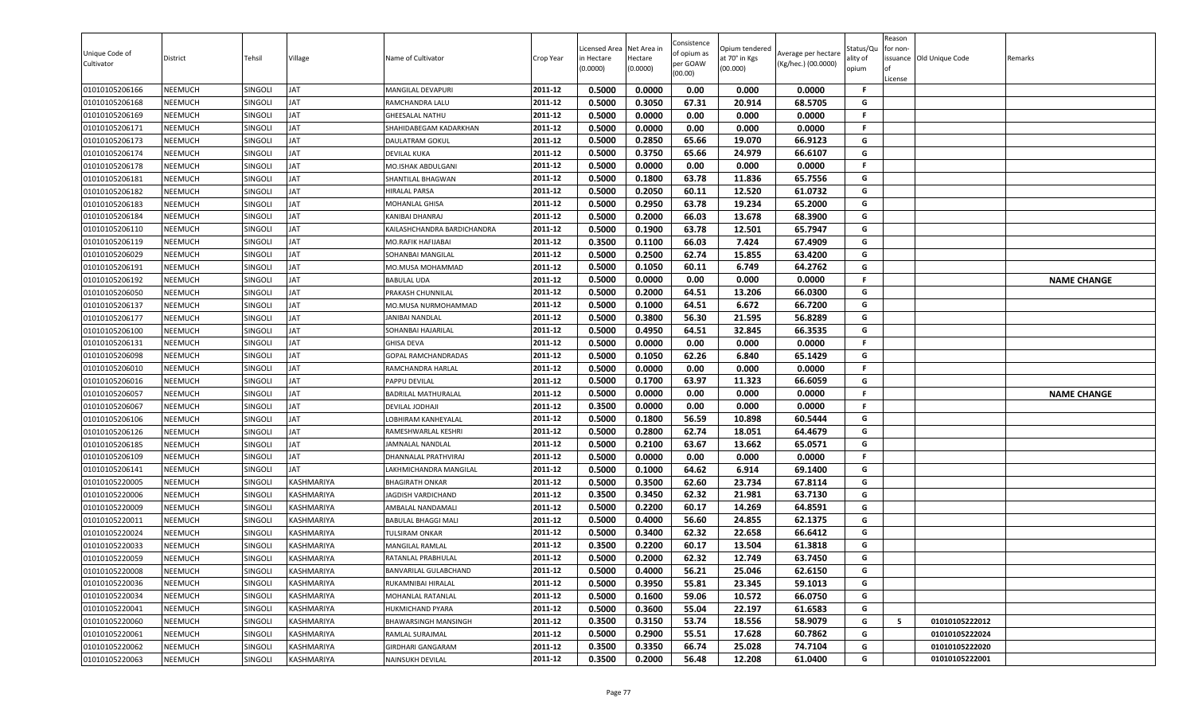| Unique Code of<br>Cultivator | District       | Tehsil         | Village    | Name of Cultivator          | Crop Year | Licensed Area<br>in Hectare<br>(0.0000) | Net Area in<br>Hectare<br>(0.0000) | Consistence<br>of opium as<br>per GOAW<br>(00.00) | Opium tendered<br>at 70° in Kgs<br>(00.000) | Average per hectare<br>(Kg/hec.) (00.0000) | Status/Qu<br>ality of<br>opium | Reason<br>or non-<br>ssuance Old Unique Code<br>License | Remarks            |
|------------------------------|----------------|----------------|------------|-----------------------------|-----------|-----------------------------------------|------------------------------------|---------------------------------------------------|---------------------------------------------|--------------------------------------------|--------------------------------|---------------------------------------------------------|--------------------|
| 01010105206166               | <b>NEEMUCH</b> | SINGOLI        | <b>JAT</b> | MANGILAL DEVAPURI           | 2011-12   | 0.5000                                  | 0.0000                             | 0.00                                              | 0.000                                       | 0.0000                                     | -F                             |                                                         |                    |
| 01010105206168               | <b>NEEMUCH</b> | SINGOLI        | JAT        | RAMCHANDRA LALU             | 2011-12   | 0.5000                                  | 0.3050                             | 67.31                                             | 20.914                                      | 68.5705                                    | G                              |                                                         |                    |
| 01010105206169               | <b>NEEMUCH</b> | SINGOLI        | JAT        | <b>GHEESALAL NATHU</b>      | 2011-12   | 0.5000                                  | 0.0000                             | 0.00                                              | 0.000                                       | 0.0000                                     | F.                             |                                                         |                    |
| 01010105206171               | <b>NEEMUCH</b> | SINGOLI        | JAT        | SHAHIDABEGAM KADARKHAN      | 2011-12   | 0.5000                                  | 0.0000                             | 0.00                                              | 0.000                                       | 0.0000                                     | F.                             |                                                         |                    |
| 01010105206173               | <b>NEEMUCH</b> | SINGOLI        | JAT        | <b>DAULATRAM GOKUL</b>      | 2011-12   | 0.5000                                  | 0.2850                             | 65.66                                             | 19.070                                      | 66.9123                                    | G                              |                                                         |                    |
| 01010105206174               | <b>NEEMUCH</b> | SINGOLI        | <b>JAT</b> | <b>DEVILAL KUKA</b>         | 2011-12   | 0.5000                                  | 0.3750                             | 65.66                                             | 24.979                                      | 66.6107                                    | G                              |                                                         |                    |
| 01010105206178               | <b>NEEMUCH</b> | SINGOLI        | <b>JAT</b> | MO.ISHAK ABDULGANI          | 2011-12   | 0.5000                                  | 0.0000                             | 0.00                                              | 0.000                                       | 0.0000                                     | F.                             |                                                         |                    |
| 01010105206181               | <b>NEEMUCH</b> | SINGOLI        | JAT        | SHANTILAL BHAGWAN           | 2011-12   | 0.5000                                  | 0.1800                             | 63.78                                             | 11.836                                      | 65.7556                                    | G                              |                                                         |                    |
| 01010105206182               | <b>NEEMUCH</b> | SINGOLI        | JAT        | <b>HIRALAL PARSA</b>        | 2011-12   | 0.5000                                  | 0.2050                             | 60.11                                             | 12.520                                      | 61.0732                                    | G                              |                                                         |                    |
| 01010105206183               | <b>NEEMUCH</b> | SINGOLI        | JAT        | MOHANLAL GHISA              | 2011-12   | 0.5000                                  | 0.2950                             | 63.78                                             | 19.234                                      | 65.2000                                    | G                              |                                                         |                    |
| 01010105206184               | <b>NEEMUCH</b> | SINGOLI        | JAT        | KANIBAI DHANRAJ             | 2011-12   | 0.5000                                  | 0.2000                             | 66.03                                             | 13.678                                      | 68.3900                                    | G                              |                                                         |                    |
| 01010105206110               | <b>NEEMUCH</b> | SINGOLI        | <b>JAT</b> | KAILASHCHANDRA BARDICHANDRA | 2011-12   | 0.5000                                  | 0.1900                             | 63.78                                             | 12.501                                      | 65.7947                                    | G                              |                                                         |                    |
| 01010105206119               | <b>NEEMUCH</b> | SINGOLI        | JAT        | MO.RAFIK HAFIJABAI          | 2011-12   | 0.3500                                  | 0.1100                             | 66.03                                             | 7.424                                       | 67.4909                                    | G                              |                                                         |                    |
| 01010105206029               | <b>NEEMUCH</b> | SINGOLI        | JAT        | SOHANBAI MANGILAL           | 2011-12   | 0.5000                                  | 0.2500                             | 62.74                                             | 15.855                                      | 63.4200                                    | G                              |                                                         |                    |
| 01010105206191               | <b>NEEMUCH</b> | Singoli        | JAT        | MO.MUSA MOHAMMAD            | 2011-12   | 0.5000                                  | 0.1050                             | 60.11                                             | 6.749                                       | 64.2762                                    | G                              |                                                         |                    |
| 01010105206192               | <b>NEEMUCH</b> | SINGOLI        | <b>JAT</b> | <b>BABULAL UDA</b>          | 2011-12   | 0.5000                                  | 0.0000                             | 0.00                                              | 0.000                                       | 0.0000                                     | F.                             |                                                         | <b>NAME CHANGE</b> |
| 01010105206050               | <b>NEEMUCH</b> | SINGOLI        | JAT        | PRAKASH CHUNNILAL           | 2011-12   | 0.5000                                  | 0.2000                             | 64.51                                             | 13.206                                      | 66.0300                                    | G                              |                                                         |                    |
| 01010105206137               | <b>NEEMUCH</b> | SINGOLI        | JAT        | MO.MUSA NURMOHAMMAD         | 2011-12   | 0.5000                                  | 0.1000                             | 64.51                                             | 6.672                                       | 66.7200                                    | G                              |                                                         |                    |
| 01010105206177               | <b>NEEMUCH</b> | SINGOLI        | <b>JAT</b> | JANIBAI NANDLAL             | 2011-12   | 0.5000                                  | 0.3800                             | 56.30                                             | 21.595                                      | 56.8289                                    | G                              |                                                         |                    |
| 01010105206100               | <b>NEEMUCH</b> | SINGOLI        | JAT        | SOHANBAI HAJARILAL          | 2011-12   | 0.5000                                  | 0.4950                             | 64.51                                             | 32.845                                      | 66.3535                                    | G                              |                                                         |                    |
| 01010105206131               | <b>NEEMUCH</b> | SINGOLI        | <b>JAT</b> | <b>GHISA DEVA</b>           | 2011-12   | 0.5000                                  | 0.0000                             | 0.00                                              | 0.000                                       | 0.0000                                     | F.                             |                                                         |                    |
| 01010105206098               | <b>NEEMUCH</b> | SINGOLI        | JAT        | <b>GOPAL RAMCHANDRADAS</b>  | 2011-12   | 0.5000                                  | 0.1050                             | 62.26                                             | 6.840                                       | 65.1429                                    | G                              |                                                         |                    |
| 01010105206010               | <b>NEEMUCH</b> | SINGOLI        | <b>JAT</b> | RAMCHANDRA HARLAL           | 2011-12   | 0.5000                                  | 0.0000                             | 0.00                                              | 0.000                                       | 0.0000                                     | F.                             |                                                         |                    |
| 01010105206016               | <b>NEEMUCH</b> | SINGOLI        | <b>JAT</b> | PAPPU DEVILAL               | 2011-12   | 0.5000                                  | 0.1700                             | 63.97                                             | 11.323                                      | 66.6059                                    | G                              |                                                         |                    |
| 01010105206057               | <b>NEEMUCH</b> | SINGOLI        | <b>JAT</b> | <b>BADRILAL MATHURALAL</b>  | 2011-12   | 0.5000                                  | 0.0000                             | 0.00                                              | 0.000                                       | 0.0000                                     | F.                             |                                                         | <b>NAME CHANGE</b> |
| 01010105206067               | <b>NEEMUCH</b> | SINGOLI        | <b>JAT</b> | DEVILAL JODHAJI             | 2011-12   | 0.3500                                  | 0.0000                             | 0.00                                              | 0.000                                       | 0.0000                                     | F.                             |                                                         |                    |
| 01010105206106               | <b>NEEMUCH</b> | SINGOLI        | JAT        | LOBHIRAM KANHEYALAL         | 2011-12   | 0.5000                                  | 0.1800                             | 56.59                                             | 10.898                                      | 60.5444                                    | G                              |                                                         |                    |
| 01010105206126               | <b>NEEMUCH</b> | SINGOLI        | JAT        | RAMESHWARLAL KESHRI         | 2011-12   | 0.5000                                  | 0.2800                             | 62.74                                             | 18.051                                      | 64.4679                                    | G                              |                                                         |                    |
| 01010105206185               | <b>NEEMUCH</b> | SINGOLI        | JAT        | JAMNALAL NANDLAL            | 2011-12   | 0.5000                                  | 0.2100                             | 63.67                                             | 13.662                                      | 65.0571                                    | G                              |                                                         |                    |
| 01010105206109               | <b>NEEMUCH</b> | SINGOLI        | JAT        | DHANNALAL PRATHVIRAJ        | 2011-12   | 0.5000                                  | 0.0000                             | 0.00                                              | 0.000                                       | 0.0000                                     | F.                             |                                                         |                    |
| 01010105206141               | <b>NEEMUCH</b> | SINGOLI        | JAT        | LAKHMICHANDRA MANGILAL      | 2011-12   | 0.5000                                  | 0.1000                             | 64.62                                             | 6.914                                       | 69.1400                                    | G                              |                                                         |                    |
| 01010105220005               | <b>NEEMUCH</b> | <b>SINGOLI</b> | KASHMARIYA | <b>BHAGIRATH ONKAR</b>      | 2011-12   | 0.5000                                  | 0.3500                             | 62.60                                             | 23.734                                      | 67.8114                                    | G                              |                                                         |                    |
| 01010105220006               | <b>NEEMUCH</b> | SINGOLI        | KASHMARIYA | JAGDISH VARDICHAND          | 2011-12   | 0.3500                                  | 0.3450                             | 62.32                                             | 21.981                                      | 63.7130                                    | G                              |                                                         |                    |
| 01010105220009               | <b>NEEMUCH</b> | SINGOLI        | KASHMARIYA | AMBALAL NANDAMALI           | 2011-12   | 0.5000                                  | 0.2200                             | 60.17                                             | 14.269                                      | 64.8591                                    | G                              |                                                         |                    |
| 01010105220011               | <b>NEEMUCH</b> | SINGOLI        | KASHMARIYA | <b>BABULAL BHAGGI MALI</b>  | 2011-12   | 0.5000                                  | 0.4000                             | 56.60                                             | 24.855                                      | 62.1375                                    | G                              |                                                         |                    |
| 01010105220024               | <b>NEEMUCH</b> | SINGOLI        | KASHMARIYA | TULSIRAM ONKAR              | 2011-12   | 0.5000                                  | 0.3400                             | 62.32                                             | 22.658                                      | 66.6412                                    | G                              |                                                         |                    |
| 01010105220033               | <b>NEEMUCH</b> | SINGOLI        | KASHMARIYA | MANGILAL RAMLAL             | 2011-12   | 0.3500                                  | 0.2200                             | 60.17                                             | 13.504                                      | 61.3818                                    | G                              |                                                         |                    |
| 01010105220059               | <b>NEEMUCH</b> | SINGOLI        | KASHMARIYA | RATANLAL PRABHULAL          | 2011-12   | 0.5000                                  | 0.2000                             | 62.32                                             | 12.749                                      | 63.7450                                    | G                              |                                                         |                    |
| 01010105220008               | <b>NEEMUCH</b> | SINGOLI        | KASHMARIYA | BANVARILAL GULABCHAND       | 2011-12   | 0.5000                                  | 0.4000                             | 56.21                                             | 25.046                                      | 62.6150                                    | G                              |                                                         |                    |
| 01010105220036               | <b>NEEMUCH</b> | SINGOLI        | KASHMARIYA | RUKAMNIBAI HIRALAL          | 2011-12   | 0.5000                                  | 0.3950                             | 55.81                                             | 23.345                                      | 59.1013                                    | G                              |                                                         |                    |
| 01010105220034               | <b>NEEMUCH</b> | SINGOLI        | KASHMARIYA | MOHANLAL RATANLAL           | 2011-12   | 0.5000                                  | 0.1600                             | 59.06                                             | 10.572                                      | 66.0750                                    | G                              |                                                         |                    |
| 01010105220041               | <b>NEEMUCH</b> | SINGOLI        | KASHMARIYA | <b>HUKMICHAND PYARA</b>     | 2011-12   | 0.5000                                  | 0.3600                             | 55.04                                             | 22.197                                      | 61.6583                                    | G                              |                                                         |                    |
| 01010105220060               | <b>NEEMUCH</b> | SINGOLI        | KASHMARIYA | BHAWARSINGH MANSINGH        | 2011-12   | 0.3500                                  | 0.3150                             | 53.74                                             | 18.556                                      | 58.9079                                    | G                              | 5<br>01010105222012                                     |                    |
| 01010105220061               | <b>NEEMUCH</b> | SINGOLI        | KASHMARIYA | RAMLAL SURAJMAL             | 2011-12   | 0.5000                                  | 0.2900                             | 55.51                                             | 17.628                                      | 60.7862                                    | G                              | 01010105222024                                          |                    |
| 01010105220062               | <b>NEEMUCH</b> | SINGOLI        | KASHMARIYA | <b>GIRDHARI GANGARAM</b>    | 2011-12   | 0.3500                                  | 0.3350                             | 66.74                                             | 25.028                                      | 74.7104                                    | G                              | 01010105222020                                          |                    |
| 01010105220063               | <b>NEEMUCH</b> | SINGOLI        | KASHMARIYA | NAINSUKH DEVILAL            | 2011-12   | 0.3500                                  | 0.2000                             | 56.48                                             | 12.208                                      | 61.0400                                    | G                              | 01010105222001                                          |                    |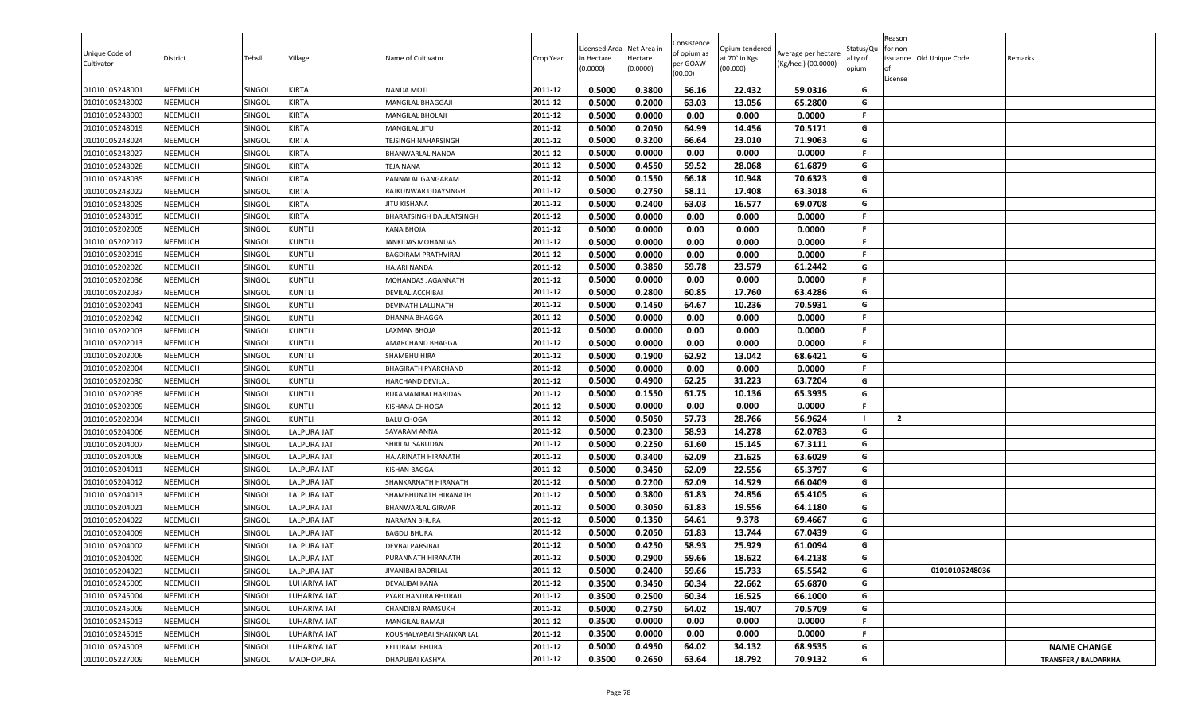| Unique Code of<br>Cultivator     | District                         | Tehsil                    | Village                                  | Name of Cultivator                     | Crop Year          | icensed Area<br>in Hectare<br>0.0000 | Net Area in<br>Hectare<br>(0.0000) | Consistence<br>of opium as<br>per GOAW<br>(00.00) | )pium tendered<br>it 70° in Kgs<br>(00.000) | Average per hectare<br>(Kg/hec.) (00.0000) | Status/Qu<br>ılity of<br>opium | Reason<br>for non-<br>lof<br>License | issuance Old Unique Code | Remarks                     |
|----------------------------------|----------------------------------|---------------------------|------------------------------------------|----------------------------------------|--------------------|--------------------------------------|------------------------------------|---------------------------------------------------|---------------------------------------------|--------------------------------------------|--------------------------------|--------------------------------------|--------------------------|-----------------------------|
| 01010105248001                   | <b>NEEMUCH</b>                   | SINGOLI                   | <b>KIRTA</b>                             | NANDA MOTI                             | 2011-12            | 0.5000                               | 0.3800                             | 56.16                                             | 22.432                                      | 59.0316                                    | G                              |                                      |                          |                             |
| 01010105248002                   | <b>NEEMUCH</b>                   | SINGOLI                   | <b>KIRTA</b>                             | MANGILAL BHAGGAJI                      | 2011-12            | 0.5000                               | 0.2000                             | 63.03                                             | 13.056                                      | 65.2800                                    | G                              |                                      |                          |                             |
| 01010105248003                   | <b>NEEMUCH</b>                   | SINGOLI                   | <b>KIRTA</b>                             | MANGILAL BHOLAJI                       | 2011-12            | 0.5000                               | 0.0000                             | 0.00                                              | 0.000                                       | 0.0000                                     | F.                             |                                      |                          |                             |
| 01010105248019                   | <b>NEEMUCH</b>                   | SINGOLI                   | <b>KIRTA</b>                             | MANGILAL JITU                          | 2011-12            | 0.5000                               | 0.2050                             | 64.99                                             | 14.456                                      | 70.5171                                    | G                              |                                      |                          |                             |
| 01010105248024                   | <b>NEEMUCH</b>                   | SINGOLI                   | <b>KIRTA</b>                             | TEJSINGH NAHARSINGH                    | 2011-12            | 0.5000                               | 0.3200                             | 66.64                                             | 23.010                                      | 71.9063                                    | G                              |                                      |                          |                             |
| 01010105248027                   | <b>NEEMUCH</b>                   | SINGOLI                   | <b>KIRTA</b>                             | BHANWARLAL NANDA                       | 2011-12            | 0.5000                               | 0.0000                             | 0.00                                              | 0.000                                       | 0.0000                                     | F.                             |                                      |                          |                             |
| 01010105248028                   | <b>NEEMUCH</b>                   | SINGOLI                   | <b>KIRTA</b>                             | <b>TEJA NANA</b>                       | 2011-12            | 0.5000                               | 0.4550                             | 59.52                                             | 28.068                                      | 61.6879                                    | G                              |                                      |                          |                             |
| 01010105248035                   | <b>NEEMUCH</b>                   | SINGOLI                   | <b>KIRTA</b>                             | PANNALAL GANGARAM                      | 2011-12            | 0.5000                               | 0.1550                             | 66.18                                             | 10.948                                      | 70.6323                                    | G                              |                                      |                          |                             |
| 01010105248022                   | <b>NEEMUCH</b>                   | SINGOLI                   | KIRTA                                    | RAJKUNWAR UDAYSINGH                    | 2011-12            | 0.5000                               | 0.2750                             | 58.11                                             | 17.408                                      | 63.3018                                    | G                              |                                      |                          |                             |
| 01010105248025                   | <b>NEEMUCH</b>                   | <b>SINGOLI</b>            | <b>KIRTA</b>                             | <b>JITU KISHANA</b>                    | 2011-12            | 0.5000                               | 0.2400                             | 63.03                                             | 16.577                                      | 69.0708                                    | G                              |                                      |                          |                             |
| 01010105248015                   | <b>NEEMUCH</b>                   | SINGOLI                   | <b>KIRTA</b>                             | BHARATSINGH DAULATSINGH                | 2011-12            | 0.5000                               | 0.0000                             | 0.00                                              | 0.000                                       | 0.0000                                     | F.                             |                                      |                          |                             |
| 01010105202005                   | <b>NEEMUCH</b>                   | SINGOLI                   | <b>KUNTLI</b>                            | <b>KANA BHOJA</b>                      | 2011-12            | 0.5000                               | 0.0000                             | 0.00                                              | 0.000                                       | 0.0000                                     | F.                             |                                      |                          |                             |
| 01010105202017                   | <b>NEEMUCH</b>                   | SINGOLI                   | <b>KUNTLI</b>                            | JANKIDAS MOHANDAS                      | 2011-12            | 0.5000                               | 0.0000                             | 0.00                                              | 0.000                                       | 0.0000                                     | F.                             |                                      |                          |                             |
| 01010105202019                   | <b>NEEMUCH</b>                   | <b>SINGOLI</b>            | KUNTLI                                   | <b>BAGDIRAM PRATHVIRAJ</b>             | 2011-12            | 0.5000                               | 0.0000                             | 0.00                                              | 0.000                                       | 0.0000                                     | F.                             |                                      |                          |                             |
| 01010105202026                   | <b>NEEMUCH</b>                   | Singoli                   | <b>KUNTLI</b>                            | <b>HAJARI NANDA</b>                    | 2011-12            | 0.5000                               | 0.3850                             | 59.78                                             | 23.579                                      | 61.2442                                    | G                              |                                      |                          |                             |
| 01010105202036                   | <b>NEEMUCH</b>                   | SINGOLI                   | <b>KUNTLI</b>                            | MOHANDAS JAGANNATH                     | 2011-12            | 0.5000                               | 0.0000                             | 0.00                                              | 0.000                                       | 0.0000                                     | F.                             |                                      |                          |                             |
| 01010105202037                   | <b>NEEMUCH</b>                   | SINGOLI                   | <b>KUNTLI</b>                            | DEVILAL ACCHIBAI                       | 2011-12            | 0.5000                               | 0.2800                             | 60.85                                             | 17.760                                      | 63.4286                                    | G                              |                                      |                          |                             |
| 01010105202041                   | <b>NEEMUCH</b>                   | SINGOLI                   | <b>KUNTLI</b>                            | DEVINATH LALUNATH                      | 2011-12            | 0.5000                               | 0.1450                             | 64.67                                             | 10.236                                      | 70.5931                                    | G                              |                                      |                          |                             |
| 01010105202042                   | <b>NEEMUCH</b>                   | Singoli                   | <b>KUNTLI</b>                            | DHANNA BHAGGA                          | 2011-12            | 0.5000                               | 0.0000                             | 0.00                                              | 0.000                                       | 0.0000                                     | .F                             |                                      |                          |                             |
| 01010105202003                   | <b>NEEMUCH</b>                   | SINGOLI                   | KUNTLI                                   | LAXMAN BHOJA                           | 2011-12            | 0.5000                               | 0.0000                             | 0.00                                              | 0.000                                       | 0.0000                                     | F.                             |                                      |                          |                             |
| 01010105202013                   | <b>NEEMUCH</b>                   | SINGOLI                   | <b>KUNTLI</b>                            | AMARCHAND BHAGGA                       | 2011-12            | 0.5000                               | 0.0000                             | 0.00                                              | 0.000                                       | 0.0000                                     | F.                             |                                      |                          |                             |
| 01010105202006                   | <b>NEEMUCH</b>                   | SINGOLI                   | <b>KUNTLI</b>                            | SHAMBHU HIRA                           | 2011-12            | 0.5000                               | 0.1900                             | 62.92                                             | 13.042                                      | 68.6421                                    | G                              |                                      |                          |                             |
| 01010105202004                   | <b>NEEMUCH</b>                   | SINGOLI                   | <b>KUNTLI</b>                            | <b>BHAGIRATH PYARCHAND</b>             | 2011-12            | 0.5000                               | 0.0000                             | 0.00                                              | 0.000                                       | 0.0000                                     | F                              |                                      |                          |                             |
| 01010105202030                   | <b>NEEMUCH</b>                   | SINGOLI                   | <b>KUNTLI</b>                            | HARCHAND DEVILAL                       | 2011-12            | 0.5000                               | 0.4900                             | 62.25                                             | 31.223                                      | 63.7204                                    | G                              |                                      |                          |                             |
| 01010105202035                   | <b>NEEMUCH</b>                   | SINGOLI                   | <b>KUNTLI</b>                            | RUKAMANIBAI HARIDAS                    | 2011-12<br>2011-12 | 0.5000                               | 0.1550<br>0.0000                   | 61.75<br>0.00                                     | 10.136                                      | 65.3935                                    | G<br>F.                        |                                      |                          |                             |
| 01010105202009                   | <b>NEEMUCH</b><br><b>NEEMUCH</b> | SINGOLI                   | <b>KUNTLI</b><br><b>KUNTLI</b>           | KISHANA CHHOGA                         | 2011-12            | 0.5000                               | 0.5050                             |                                                   | 0.000                                       | 0.0000                                     | - 1                            | $\overline{2}$                       |                          |                             |
| 01010105202034                   |                                  | SINGOLI                   |                                          | <b>BALU CHOGA</b><br>SAVARAM ANNA      | 2011-12            | 0.5000<br>0.5000                     | 0.2300                             | 57.73                                             | 28.766<br>14.278                            | 56.9624<br>62.0783                         | G                              |                                      |                          |                             |
| 01010105204006                   | <b>NEEMUCH</b><br><b>NEEMUCH</b> | SINGOLI<br>SINGOLI        | <b>LALPURA JAT</b><br><b>LALPURA JAT</b> |                                        | 2011-12            | 0.5000                               | 0.2250                             | 58.93<br>61.60                                    | 15.145                                      | 67.3111                                    | G                              |                                      |                          |                             |
| 01010105204007                   | <b>NEEMUCH</b>                   |                           | <b>LALPURA JAT</b>                       | SHRILAL SABUDAN<br>HAJARINATH HIRANATH | 2011-12            | 0.5000                               | 0.3400                             | 62.09                                             | 21.625                                      | 63.6029                                    | G                              |                                      |                          |                             |
| 01010105204008<br>01010105204011 | <b>NEEMUCH</b>                   | <b>SINGOLI</b><br>SINGOLI | <b>LALPURA JAT</b>                       |                                        | 2011-12            | 0.5000                               | 0.3450                             | 62.09                                             | 22.556                                      | 65.3797                                    | G                              |                                      |                          |                             |
| 01010105204012                   | <b>NEEMUCH</b>                   | SINGOLI                   | LALPURA JAT                              | KISHAN BAGGA<br>SHANKARNATH HIRANATH   | 2011-12            | 0.5000                               | 0.2200                             | 62.09                                             | 14.529                                      | 66.0409                                    | G                              |                                      |                          |                             |
| 01010105204013                   | <b>NEEMUCH</b>                   | SINGOLI                   | LALPURA JAT                              | SHAMBHUNATH HIRANATH                   | 2011-12            | 0.5000                               | 0.3800                             | 61.83                                             | 24.856                                      | 65.4105                                    | G                              |                                      |                          |                             |
| 01010105204021                   | <b>NEEMUCH</b>                   | SINGOLI                   | LALPURA JAT                              | BHANWARLAL GIRVAR                      | 2011-12            | 0.5000                               | 0.3050                             | 61.83                                             | 19.556                                      | 64.1180                                    | G                              |                                      |                          |                             |
| 01010105204022                   | <b>NEEMUCH</b>                   | SINGOLI                   | <b>LALPURA JAT</b>                       | NARAYAN BHURA                          | 2011-12            | 0.5000                               | 0.1350                             | 64.61                                             | 9.378                                       | 69.4667                                    | G                              |                                      |                          |                             |
| 01010105204009                   | <b>NEEMUCH</b>                   | SINGOLI                   | <b>LALPURA JAT</b>                       | <b>BAGDU BHURA</b>                     | 2011-12            | 0.5000                               | 0.2050                             | 61.83                                             | 13.744                                      | 67.0439                                    | G                              |                                      |                          |                             |
| 01010105204002                   | <b>NEEMUCH</b>                   | SINGOLI                   | <b>LALPURA JAT</b>                       | DEVBAI PARSIBAI                        | 2011-12            | 0.5000                               | 0.4250                             | 58.93                                             | 25.929                                      | 61.0094                                    | G                              |                                      |                          |                             |
| 01010105204020                   | <b>NEEMUCH</b>                   | SINGOLI                   | <b>LALPURA JAT</b>                       | PURANNATH HIRANATH                     | 2011-12            | 0.5000                               | 0.2900                             | 59.66                                             | 18.622                                      | 64.2138                                    | G                              |                                      |                          |                             |
| 01010105204023                   | <b>NEEMUCH</b>                   | SINGOLI                   | <b>LALPURA JAT</b>                       | <b>JIVANIBAI BADRILAL</b>              | 2011-12            | 0.5000                               | 0.2400                             | 59.66                                             | 15.733                                      | 65.5542                                    | G                              |                                      | 01010105248036           |                             |
| 01010105245005                   | <b>NEEMUCH</b>                   | SINGOLI                   | LUHARIYA JAT                             | DEVALIBAI KANA                         | 2011-12            | 0.3500                               | 0.3450                             | 60.34                                             | 22.662                                      | 65.6870                                    | G                              |                                      |                          |                             |
| 01010105245004                   | <b>NEEMUCH</b>                   | SINGOLI                   | LUHARIYA JAT                             | PYARCHANDRA BHURAJI                    | 2011-12            | 0.3500                               | 0.2500                             | 60.34                                             | 16.525                                      | 66.1000                                    | G                              |                                      |                          |                             |
| 01010105245009                   | <b>NEEMUCH</b>                   | SINGOLI                   | LUHARIYA JAT                             | CHANDIBAI RAMSUKH                      | 2011-12            | 0.5000                               | 0.2750                             | 64.02                                             | 19.407                                      | 70.5709                                    | G                              |                                      |                          |                             |
| 01010105245013                   | <b>NEEMUCH</b>                   | SINGOLI                   | LUHARIYA JAT                             | MANGILAL RAMAJI                        | 2011-12            | 0.3500                               | 0.0000                             | 0.00                                              | 0.000                                       | 0.0000                                     | F.                             |                                      |                          |                             |
| 01010105245015                   | <b>NEEMUCH</b>                   | SINGOLI                   | LUHARIYA JAT                             | KOUSHALYABAI SHANKAR LAL               | 2011-12            | 0.3500                               | 0.0000                             | 0.00                                              | 0.000                                       | 0.0000                                     | F.                             |                                      |                          |                             |
| 01010105245003                   | <b>NEEMUCH</b>                   | SINGOLI                   | LUHARIYA JAT                             | KELURAM BHURA                          | 2011-12            | 0.5000                               | 0.4950                             | 64.02                                             | 34.132                                      | 68.9535                                    | G                              |                                      |                          | <b>NAME CHANGE</b>          |
| 01010105227009                   | <b>NEEMUCH</b>                   | SINGOLI                   | <b>MADHOPURA</b>                         | DHAPUBAI KASHYA                        | 2011-12            | 0.3500                               | 0.2650                             | 63.64                                             | 18.792                                      | 70.9132                                    | G                              |                                      |                          | <b>TRANSFER / BALDARKHA</b> |
|                                  |                                  |                           |                                          |                                        |                    |                                      |                                    |                                                   |                                             |                                            |                                |                                      |                          |                             |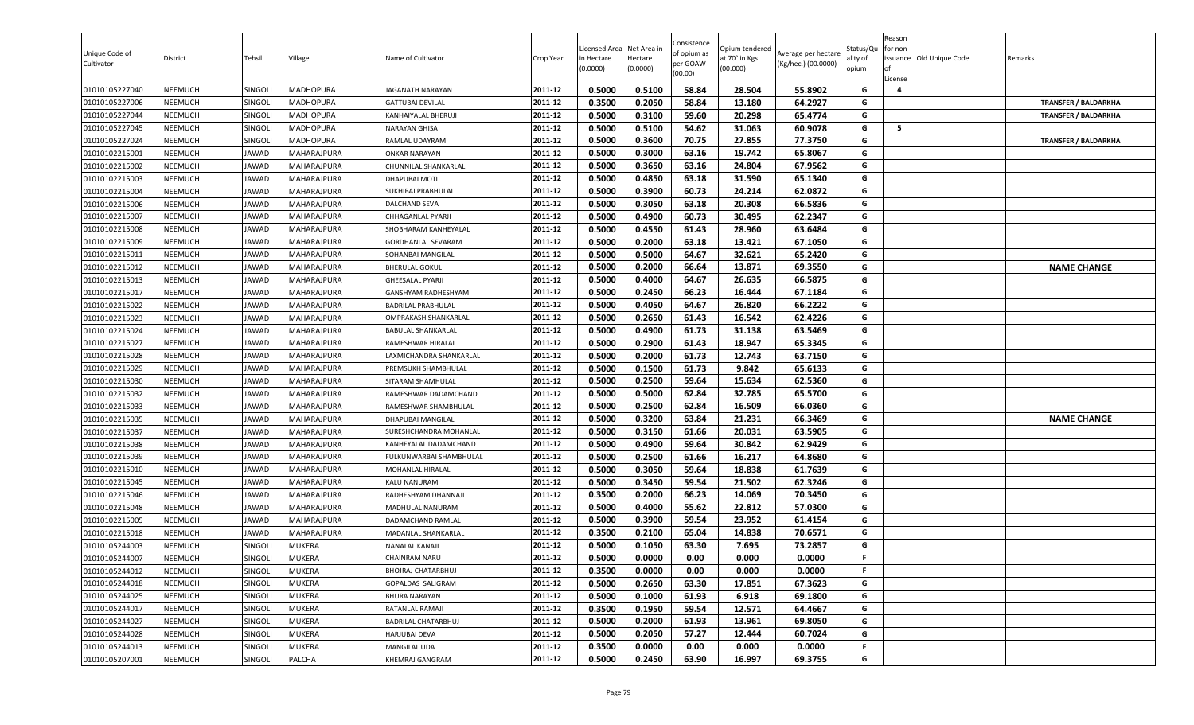| Unique Code of<br>Cultivator | District       | Tehsil         | Village            | Name of Cultivator          | Crop Year | Licensed Area<br>in Hectare<br>(0.0000) | Net Area in<br>Hectare<br>(0.0000) | Consistence<br>of opium as<br>per GOAW<br>(00.00) | Opium tendered<br>at 70° in Kgs<br>(00.000) | Average per hectare<br>(Kg/hec.) (00.0000) | Status/Qu<br>ality of<br>opium | Reason<br>for non-<br>ssuance Old Unique Code<br>License | Remarks                     |
|------------------------------|----------------|----------------|--------------------|-----------------------------|-----------|-----------------------------------------|------------------------------------|---------------------------------------------------|---------------------------------------------|--------------------------------------------|--------------------------------|----------------------------------------------------------|-----------------------------|
| 01010105227040               | <b>NEEMUCH</b> | SINGOLI        | <b>MADHOPURA</b>   | JAGANATH NARAYAN            | 2011-12   | 0.5000                                  | 0.5100                             | 58.84                                             | 28.504                                      | 55.8902                                    | G                              | 4                                                        |                             |
| 01010105227006               | <b>NEEMUCH</b> | SINGOLI        | MADHOPURA          | GATTUBAI DEVILAL            | 2011-12   | 0.3500                                  | 0.2050                             | 58.84                                             | 13.180                                      | 64.2927                                    | G                              |                                                          | <b>TRANSFER / BALDARKHA</b> |
| 01010105227044               | <b>NEEMUCH</b> | SINGOLI        | <b>MADHOPURA</b>   | KANHAIYALAL BHERUJI         | 2011-12   | 0.5000                                  | 0.3100                             | 59.60                                             | 20.298                                      | 65.4774                                    | G                              |                                                          | <b>TRANSFER / BALDARKHA</b> |
| 01010105227045               | <b>NEEMUCH</b> | <b>SINGOLI</b> | MADHOPURA          | NARAYAN GHISA               | 2011-12   | 0.5000                                  | 0.5100                             | 54.62                                             | 31.063                                      | 60.9078                                    | G                              | 5                                                        |                             |
| 01010105227024               | <b>NEEMUCH</b> | <b>SINGOLI</b> | <b>MADHOPURA</b>   | RAMLAL UDAYRAM              | 2011-12   | 0.5000                                  | 0.3600                             | 70.75                                             | 27.855                                      | 77.3750                                    | G                              |                                                          | <b>TRANSFER / BALDARKHA</b> |
| 01010102215001               | <b>NEEMUCH</b> | JAWAD          | MAHARAJPURA        | <b>ONKAR NARAYAN</b>        | 2011-12   | 0.5000                                  | 0.3000                             | 63.16                                             | 19.742                                      | 65.8067                                    | G                              |                                                          |                             |
| 01010102215002               | <b>NEEMUCH</b> | JAWAD          | MAHARAJPURA        | CHUNNILAL SHANKARLAL        | 2011-12   | 0.5000                                  | 0.3650                             | 63.16                                             | 24.804                                      | 67.9562                                    | G                              |                                                          |                             |
| 01010102215003               | <b>NEEMUCH</b> | JAWAD          | MAHARAJPURA        | <b>DHAPUBAI MOTI</b>        | 2011-12   | 0.5000                                  | 0.4850                             | 63.18                                             | 31.590                                      | 65.1340                                    | G                              |                                                          |                             |
| 01010102215004               | <b>NEEMUCH</b> | JAWAD          | MAHARAJPURA        | SUKHIBAI PRABHULAL          | 2011-12   | 0.5000                                  | 0.3900                             | 60.73                                             | 24.214                                      | 62.0872                                    | G                              |                                                          |                             |
| 01010102215006               | <b>NEEMUCH</b> | JAWAD          | MAHARAJPURA        | <b>DALCHAND SEVA</b>        | 2011-12   | 0.5000                                  | 0.3050                             | 63.18                                             | 20.308                                      | 66.5836                                    | G                              |                                                          |                             |
| 01010102215007               | <b>NEEMUCH</b> | JAWAD          | MAHARAJPURA        | CHHAGANLAL PYARJI           | 2011-12   | 0.5000                                  | 0.4900                             | 60.73                                             | 30.495                                      | 62.2347                                    | G                              |                                                          |                             |
| 01010102215008               | <b>NEEMUCH</b> | JAWAD          | MAHARAJPURA        | SHOBHARAM KANHEYALAL        | 2011-12   | 0.5000                                  | 0.4550                             | 61.43                                             | 28.960                                      | 63.6484                                    | G                              |                                                          |                             |
| 01010102215009               | <b>NEEMUCH</b> | JAWAD          | MAHARAJPURA        | GORDHANLAL SEVARAM          | 2011-12   | 0.5000                                  | 0.2000                             | 63.18                                             | 13.421                                      | 67.1050                                    | G                              |                                                          |                             |
| 01010102215011               | <b>NEEMUCH</b> | JAWAD          | MAHARAJPURA        | SOHANBAI MANGILAL           | 2011-12   | 0.5000                                  | 0.5000                             | 64.67                                             | 32.621                                      | 65.2420                                    | G                              |                                                          |                             |
| 01010102215012               | <b>NEEMUCH</b> | JAWAD          | MAHARAJPURA        | <b>BHERULAL GOKUL</b>       | 2011-12   | 0.5000                                  | 0.2000                             | 66.64                                             | 13.871                                      | 69.3550                                    | G                              |                                                          | <b>NAME CHANGE</b>          |
| 01010102215013               | <b>NEEMUCH</b> | JAWAD          | MAHARAJPURA        | <b>GHEESALAL PYARJI</b>     | 2011-12   | 0.5000                                  | 0.4000                             | 64.67                                             | 26.635                                      | 66.5875                                    | G                              |                                                          |                             |
| 01010102215017               | <b>NEEMUCH</b> | JAWAD          | MAHARAJPURA        | GANSHYAM RADHESHYAM         | 2011-12   | 0.5000                                  | 0.2450                             | 66.23                                             | 16.444                                      | 67.1184                                    | G                              |                                                          |                             |
| 01010102215022               | <b>NEEMUCH</b> | JAWAD          | MAHARAJPURA        | <b>BADRILAL PRABHULAL</b>   | 2011-12   | 0.5000                                  | 0.4050                             | 64.67                                             | 26.820                                      | 66.2222                                    | G                              |                                                          |                             |
| 01010102215023               | <b>NEEMUCH</b> | JAWAD          | MAHARAJPURA        | <b>OMPRAKASH SHANKARLAL</b> | 2011-12   | 0.5000                                  | 0.2650                             | 61.43                                             | 16.542                                      | 62.4226                                    | G                              |                                                          |                             |
| 01010102215024               | <b>NEEMUCH</b> | JAWAD          | MAHARAJPURA        | BABULAL SHANKARLAL          | 2011-12   | 0.5000                                  | 0.4900                             | 61.73                                             | 31.138                                      | 63.5469                                    | G                              |                                                          |                             |
| 01010102215027               | <b>NEEMUCH</b> | JAWAD          | <b>MAHARAJPURA</b> | RAMESHWAR HIRALAL           | 2011-12   | 0.5000                                  | 0.2900                             | 61.43                                             | 18.947                                      | 65.3345                                    | G                              |                                                          |                             |
| 01010102215028               | <b>NEEMUCH</b> | JAWAD          | <b>MAHARAJPURA</b> | LAXMICHANDRA SHANKARLAL     | 2011-12   | 0.5000                                  | 0.2000                             | 61.73                                             | 12.743                                      | 63.7150                                    | G                              |                                                          |                             |
| 01010102215029               | <b>NEEMUCH</b> | JAWAD          | MAHARAJPURA        | PREMSUKH SHAMBHULAL         | 2011-12   | 0.5000                                  | 0.1500                             | 61.73                                             | 9.842                                       | 65.6133                                    | G                              |                                                          |                             |
| 01010102215030               | <b>NEEMUCH</b> | JAWAD          | MAHARAJPURA        | SITARAM SHAMHULAL           | 2011-12   | 0.5000                                  | 0.2500                             | 59.64                                             | 15.634                                      | 62.5360                                    | G                              |                                                          |                             |
| 01010102215032               | <b>NEEMUCH</b> | JAWAD          | MAHARAJPURA        | RAMESHWAR DADAMCHAND        | 2011-12   | 0.5000                                  | 0.5000                             | 62.84                                             | 32.785                                      | 65.5700                                    | G                              |                                                          |                             |
| 01010102215033               | <b>NEEMUCH</b> | JAWAD          | MAHARAJPURA        | RAMESHWAR SHAMBHULAL        | 2011-12   | 0.5000                                  | 0.2500                             | 62.84                                             | 16.509                                      | 66.0360                                    | G                              |                                                          |                             |
| 01010102215035               | <b>NEEMUCH</b> | JAWAD          | MAHARAJPURA        | <b>DHAPUBAI MANGILAL</b>    | 2011-12   | 0.5000                                  | 0.3200                             | 63.84                                             | 21.231                                      | 66.3469                                    | G                              |                                                          | <b>NAME CHANGE</b>          |
| 01010102215037               | <b>NEEMUCH</b> | JAWAD          | MAHARAJPURA        | SURESHCHANDRA MOHANLAL      | 2011-12   | 0.5000                                  | 0.3150                             | 61.66                                             | 20.031                                      | 63.5905                                    | G                              |                                                          |                             |
| 01010102215038               | <b>NEEMUCH</b> | JAWAD          | MAHARAJPURA        | KANHEYALAL DADAMCHAND       | 2011-12   | 0.5000                                  | 0.4900                             | 59.64                                             | 30.842                                      | 62.9429                                    | G                              |                                                          |                             |
| 01010102215039               | <b>NEEMUCH</b> | JAWAD          | <b>MAHARAJPURA</b> | FULKUNWARBAI SHAMBHULAL     | 2011-12   | 0.5000                                  | 0.2500                             | 61.66                                             | 16.217                                      | 64.8680                                    | G                              |                                                          |                             |
| 01010102215010               | <b>NEEMUCH</b> | JAWAD          | <b>MAHARAJPURA</b> | MOHANLAL HIRALAL            | 2011-12   | 0.5000                                  | 0.3050                             | 59.64                                             | 18.838                                      | 61.7639                                    | G                              |                                                          |                             |
| 01010102215045               | <b>NEEMUCH</b> | JAWAD          | MAHARAJPURA        | KALU NANURAM                | 2011-12   | 0.5000                                  | 0.3450                             | 59.54                                             | 21.502                                      | 62.3246                                    | G                              |                                                          |                             |
| 01010102215046               | <b>NEEMUCH</b> | JAWAD          | MAHARAJPURA        | RADHESHYAM DHANNAJI         | 2011-12   | 0.3500                                  | 0.2000                             | 66.23                                             | 14.069                                      | 70.3450                                    | G                              |                                                          |                             |
| 01010102215048               | <b>NEEMUCH</b> | JAWAD          | <b>MAHARAJPURA</b> | MADHULAL NANURAM            | 2011-12   | 0.5000                                  | 0.4000                             | 55.62                                             | 22.812                                      | 57.0300                                    | G                              |                                                          |                             |
| 01010102215005               | <b>NEEMUCH</b> | JAWAD          | MAHARAJPURA        | DADAMCHAND RAMLAL           | 2011-12   | 0.5000                                  | 0.3900                             | 59.54                                             | 23.952                                      | 61.4154                                    | G                              |                                                          |                             |
| 01010102215018               | <b>NEEMUCH</b> | JAWAD          | MAHARAJPURA        | MADANLAL SHANKARLAL         | 2011-12   | 0.3500                                  | 0.2100                             | 65.04                                             | 14.838                                      | 70.6571                                    | G                              |                                                          |                             |
| 01010105244003               | <b>NEEMUCH</b> | SINGOLI        | <b>MUKERA</b>      | NANALAL KANAJI              | 2011-12   | 0.5000                                  | 0.1050                             | 63.30                                             | 7.695                                       | 73.2857                                    | G                              |                                                          |                             |
| 01010105244007               | <b>NEEMUCH</b> | SINGOLI        | <b>MUKERA</b>      | <b>CHAINRAM NARU</b>        | 2011-12   | 0.5000                                  | 0.0000                             | 0.00                                              | 0.000                                       | 0.0000                                     | F.                             |                                                          |                             |
| 01010105244012               | <b>NEEMUCH</b> | SINGOLI        | <b>MUKERA</b>      | BHOJRAJ CHATARBHUJ          | 2011-12   | 0.3500                                  | 0.0000                             | 0.00                                              | 0.000                                       | 0.0000                                     | F.                             |                                                          |                             |
| 01010105244018               | <b>NEEMUCH</b> | SINGOLI        | <b>MUKERA</b>      | GOPALDAS SALIGRAM           | 2011-12   | 0.5000                                  | 0.2650                             | 63.30                                             | 17.851                                      | 67.3623                                    | G                              |                                                          |                             |
| 01010105244025               | <b>NEEMUCH</b> | SINGOLI        | <b>MUKERA</b>      | <b>BHURA NARAYAN</b>        | 2011-12   | 0.5000                                  | 0.1000                             | 61.93                                             | 6.918                                       | 69.1800                                    | G                              |                                                          |                             |
| 01010105244017               | <b>NEEMUCH</b> | SINGOLI        | <b>MUKERA</b>      | RATANLAL RAMAJI             | 2011-12   | 0.3500                                  | 0.1950                             | 59.54                                             | 12.571                                      | 64.4667                                    | G                              |                                                          |                             |
| 01010105244027               | <b>NEEMUCH</b> | SINGOLI        | <b>MUKERA</b>      | BADRILAL CHATARBHUJ         | 2011-12   | 0.5000                                  | 0.2000                             | 61.93                                             | 13.961                                      | 69.8050                                    | G                              |                                                          |                             |
| 01010105244028               | <b>NEEMUCH</b> | SINGOLI        | <b>MUKERA</b>      | HARJUBAI DEVA               | 2011-12   | 0.5000                                  | 0.2050                             | 57.27                                             | 12.444                                      | 60.7024                                    | G                              |                                                          |                             |
| 01010105244013               | <b>NEEMUCH</b> | SINGOLI        | <b>MUKERA</b>      | MANGILAL UDA                | 2011-12   | 0.3500                                  | 0.0000                             | 0.00                                              | 0.000                                       | 0.0000                                     | F.                             |                                                          |                             |
| 01010105207001               | <b>NEEMUCH</b> | SINGOLI        | PALCHA             | KHEMRAJ GANGRAM             | 2011-12   | 0.5000                                  | 0.2450                             | 63.90                                             | 16.997                                      | 69.3755                                    | G                              |                                                          |                             |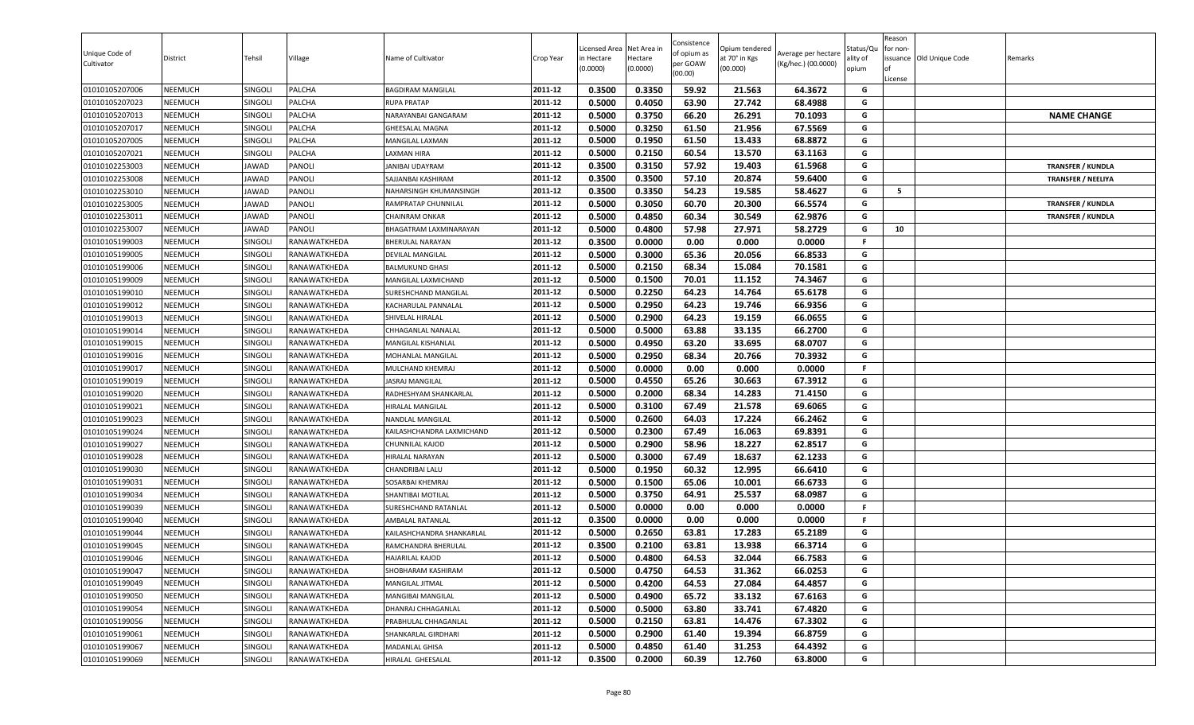| Unique Code of<br>Cultivator | District       | Tehsil       | Village      | Name of Cultivator         | Crop Year | Licensed Area<br>in Hectare<br>(0.0000) | Net Area in<br>Hectare<br>(0.0000) | Consistence<br>of opium as<br>per GOAW<br>(00.00) | Opium tendered<br>at 70° in Kgs<br>(00.000) | Average per hectare<br>(Kg/hec.) (00.0000) | Status/Qu<br>ality of<br>opium | Reason<br>for non-<br>License | ssuance Old Unique Code | Remarks |                           |
|------------------------------|----------------|--------------|--------------|----------------------------|-----------|-----------------------------------------|------------------------------------|---------------------------------------------------|---------------------------------------------|--------------------------------------------|--------------------------------|-------------------------------|-------------------------|---------|---------------------------|
| 01010105207006               | NEEMUCH        | SINGOLI      | PALCHA       | <b>BAGDIRAM MANGILAL</b>   | 2011-12   | 0.3500                                  | 0.3350                             | 59.92                                             | 21.563                                      | 64.3672                                    | G                              |                               |                         |         |                           |
| 01010105207023               | NEEMUCH        | Singoli      | PALCHA       | <b>RUPA PRATAP</b>         | 2011-12   | 0.5000                                  | 0.4050                             | 63.90                                             | 27.742                                      | 68.4988                                    | G                              |                               |                         |         |                           |
| 01010105207013               | NEEMUCH        | SINGOLI      | PALCHA       | NARAYANBAI GANGARAM        | 2011-12   | 0.5000                                  | 0.3750                             | 66.20                                             | 26.291                                      | 70.1093                                    | G                              |                               |                         |         | <b>NAME CHANGE</b>        |
| 01010105207017               | <b>NEEMUCH</b> | SINGOLI      | PALCHA       | <b>GHEESALAL MAGNA</b>     | 2011-12   | 0.5000                                  | 0.3250                             | 61.50                                             | 21.956                                      | 67.5569                                    | G                              |                               |                         |         |                           |
| 01010105207005               | <b>NEEMUCH</b> | SINGOLI      | PALCHA       | MANGILAL LAXMAN            | 2011-12   | 0.5000                                  | 0.1950                             | 61.50                                             | 13.433                                      | 68.8872                                    | G                              |                               |                         |         |                           |
| 01010105207021               | <b>NEEMUCH</b> | SINGOLI      | PALCHA       | <b>LAXMAN HIRA</b>         | 2011-12   | 0.5000                                  | 0.2150                             | 60.54                                             | 13.570                                      | 63.1163                                    | G                              |                               |                         |         |                           |
| 01010102253003               | <b>NEEMUCH</b> | JAWAD        | PANOLI       | JANIBAI UDAYRAM            | 2011-12   | 0.3500                                  | 0.3150                             | 57.92                                             | 19.403                                      | 61.5968                                    | G                              |                               |                         |         | <b>TRANSFER / KUNDLA</b>  |
| 01010102253008               | NEEMUCH        | JAWAD        | PANOLI       | SAJJANBAI KASHIRAM         | 2011-12   | 0.3500                                  | 0.3500                             | 57.10                                             | 20.874                                      | 59.6400                                    | G                              |                               |                         |         | <b>TRANSFER / NEELIYA</b> |
| 01010102253010               | <b>NEEMUCH</b> | JAWAD        | PANOLI       | NAHARSINGH KHUMANSINGH     | 2011-12   | 0.3500                                  | 0.3350                             | 54.23                                             | 19.585                                      | 58.4627                                    | G                              | 5                             |                         |         |                           |
| 01010102253005               | NEEMUCH        | <b>JAWAD</b> | PANOLI       | <b>RAMPRATAP CHUNNILAL</b> | 2011-12   | 0.5000                                  | 0.3050                             | 60.70                                             | 20.300                                      | 66.5574                                    | G                              |                               |                         |         | <b>TRANSFER / KUNDLA</b>  |
| 01010102253011               | NEEMUCH        | JAWAD        | PANOLI       | <b>CHAINRAM ONKAR</b>      | 2011-12   | 0.5000                                  | 0.4850                             | 60.34                                             | 30.549                                      | 62.9876                                    | G                              |                               |                         |         | <b>TRANSFER / KUNDLA</b>  |
| 01010102253007               | NEEMUCH        | <b>JAWAD</b> | PANOLI       | BHAGATRAM LAXMINARAYAN     | 2011-12   | 0.5000                                  | 0.4800                             | 57.98                                             | 27.971                                      | 58.2729                                    | G                              | 10                            |                         |         |                           |
| 01010105199003               | <b>NEEMUCH</b> | SINGOLI      | RANAWATKHEDA | <b>BHERULAL NARAYAN</b>    | 2011-12   | 0.3500                                  | 0.0000                             | 0.00                                              | 0.000                                       | 0.0000                                     | F.                             |                               |                         |         |                           |
| 01010105199005               | NEEMUCH        | SINGOLI      | RANAWATKHEDA | <b>DEVILAL MANGILAL</b>    | 2011-12   | 0.5000                                  | 0.3000                             | 65.36                                             | 20.056                                      | 66.8533                                    | G                              |                               |                         |         |                           |
| 01010105199006               | <b>NEEMUCH</b> | SINGOLI      | RANAWATKHEDA | <b>BALMUKUND GHASI</b>     | 2011-12   | 0.5000                                  | 0.2150                             | 68.34                                             | 15.084                                      | 70.1581                                    | G                              |                               |                         |         |                           |
| 01010105199009               | <b>NEEMUCH</b> | SINGOLI      | RANAWATKHEDA | MANGILAL LAXMICHAND        | 2011-12   | 0.5000                                  | 0.1500                             | 70.01                                             | 11.152                                      | 74.3467                                    | G                              |                               |                         |         |                           |
| 01010105199010               | NEEMUCH        | SINGOLI      | RANAWATKHEDA | SURESHCHAND MANGILAL       | 2011-12   | 0.5000                                  | 0.2250                             | 64.23                                             | 14.764                                      | 65.6178                                    | G                              |                               |                         |         |                           |
| 01010105199012               | NEEMUCH        | SINGOLI      | RANAWATKHEDA | KACHARULAL PANNALAL        | 2011-12   | 0.5000                                  | 0.2950                             | 64.23                                             | 19.746                                      | 66.9356                                    | G                              |                               |                         |         |                           |
| 01010105199013               | NEEMUCH        | SINGOLI      | RANAWATKHEDA | SHIVELAL HIRALAL           | 2011-12   | 0.5000                                  | 0.2900                             | 64.23                                             | 19.159                                      | 66.0655                                    | G                              |                               |                         |         |                           |
| 01010105199014               | <b>NEEMUCH</b> | SINGOLI      | RANAWATKHEDA | CHHAGANLAL NANALAL         | 2011-12   | 0.5000                                  | 0.5000                             | 63.88                                             | 33.135                                      | 66.2700                                    | G                              |                               |                         |         |                           |
| 01010105199015               | NEEMUCH        | SINGOLI      | RANAWATKHEDA | MANGILAL KISHANLAL         | 2011-12   | 0.5000                                  | 0.4950                             | 63.20                                             | 33.695                                      | 68.0707                                    | G                              |                               |                         |         |                           |
| 01010105199016               | <b>NEEMUCH</b> | SINGOLI      | RANAWATKHEDA | MOHANLAL MANGILAL          | 2011-12   | 0.5000                                  | 0.2950                             | 68.34                                             | 20.766                                      | 70.3932                                    | G                              |                               |                         |         |                           |
| 01010105199017               | <b>NEEMUCH</b> | SINGOLI      | RANAWATKHEDA | MULCHAND KHEMRAJ           | 2011-12   | 0.5000                                  | 0.0000                             | 0.00                                              | 0.000                                       | 0.0000                                     | F.                             |                               |                         |         |                           |
| 01010105199019               | <b>NEEMUCH</b> | SINGOLI      | RANAWATKHEDA | <b>JASRAJ MANGILAL</b>     | 2011-12   | 0.5000                                  | 0.4550                             | 65.26                                             | 30.663                                      | 67.3912                                    | G                              |                               |                         |         |                           |
| 01010105199020               | <b>NEEMUCH</b> | SINGOLI      | RANAWATKHEDA | RADHESHYAM SHANKARLAL      | 2011-12   | 0.5000                                  | 0.2000                             | 68.34                                             | 14.283                                      | 71.4150                                    | G                              |                               |                         |         |                           |
| 01010105199021               | NEEMUCH        | SINGOLI      | RANAWATKHEDA | <b>HIRALAL MANGILAL</b>    | 2011-12   | 0.5000                                  | 0.3100                             | 67.49                                             | 21.578                                      | 69.6065                                    | G                              |                               |                         |         |                           |
| 01010105199023               | NEEMUCH        | SINGOLI      | RANAWATKHEDA | NANDLAL MANGILAL           | 2011-12   | 0.5000                                  | 0.2600                             | 64.03                                             | 17.224                                      | 66.2462                                    | G                              |                               |                         |         |                           |
| 01010105199024               | NEEMUCH        | SINGOLI      | RANAWATKHEDA | KAILASHCHANDRA LAXMICHAND  | 2011-12   | 0.5000                                  | 0.2300                             | 67.49                                             | 16.063                                      | 69.8391                                    | G                              |                               |                         |         |                           |
| 01010105199027               | <b>NEEMUCH</b> | SINGOLI      | RANAWATKHEDA | <b>CHUNNILAL KAJOD</b>     | 2011-12   | 0.5000                                  | 0.2900                             | 58.96                                             | 18.227                                      | 62.8517                                    | G                              |                               |                         |         |                           |
| 01010105199028               | <b>NEEMUCH</b> | SINGOLI      | RANAWATKHEDA | HIRALAL NARAYAN            | 2011-12   | 0.5000                                  | 0.3000                             | 67.49                                             | 18.637                                      | 62.1233                                    | G                              |                               |                         |         |                           |
| 01010105199030               | <b>NEEMUCH</b> | SINGOLI      | RANAWATKHEDA | CHANDRIBAI LALU            | 2011-12   | 0.5000                                  | 0.1950                             | 60.32                                             | 12.995                                      | 66.6410                                    | G                              |                               |                         |         |                           |
| 01010105199031               | NEEMUCH        | SINGOLI      | RANAWATKHEDA | <b>SOSARBAI KHEMRAJ</b>    | 2011-12   | 0.5000                                  | 0.1500                             | 65.06                                             | 10.001                                      | 66.6733                                    | G                              |                               |                         |         |                           |
| 01010105199034               | <b>NEEMUCH</b> | SINGOLI      | RANAWATKHEDA | SHANTIBAI MOTILAL          | 2011-12   | 0.5000                                  | 0.3750                             | 64.91                                             | 25.537                                      | 68.0987                                    | G                              |                               |                         |         |                           |
| 01010105199039               | <b>NEEMUCH</b> | SINGOLI      | RANAWATKHEDA | SURESHCHAND RATANLAL       | 2011-12   | 0.5000                                  | 0.0000                             | 0.00                                              | 0.000                                       | 0.0000                                     | F.                             |                               |                         |         |                           |
| 01010105199040               | NEEMUCH        | SINGOLI      | RANAWATKHEDA | AMBALAL RATANLAL           | 2011-12   | 0.3500                                  | 0.0000                             | 0.00                                              | 0.000                                       | 0.0000                                     | F.                             |                               |                         |         |                           |
| 01010105199044               | <b>NEEMUCH</b> | SINGOLI      | RANAWATKHEDA | KAILASHCHANDRA SHANKARLAL  | 2011-12   | 0.5000                                  | 0.2650                             | 63.81                                             | 17.283                                      | 65.2189                                    | G                              |                               |                         |         |                           |
| 01010105199045               | NEEMUCH        | SINGOLI      | RANAWATKHEDA | RAMCHANDRA BHERULAL        | 2011-12   | 0.3500                                  | 0.2100                             | 63.81                                             | 13.938                                      | 66.3714                                    | G                              |                               |                         |         |                           |
| 01010105199046               | <b>NEEMUCH</b> | SINGOLI      | RANAWATKHEDA | <b>HAJARILAL KAJOD</b>     | 2011-12   | 0.5000                                  | 0.4800                             | 64.53                                             | 32.044                                      | 66.7583                                    | G                              |                               |                         |         |                           |
| 01010105199047               | <b>NEEMUCH</b> | SINGOLI      | RANAWATKHEDA | SHOBHARAM KASHIRAM         | 2011-12   | 0.5000                                  | 0.4750                             | 64.53                                             | 31.362                                      | 66.0253                                    | G                              |                               |                         |         |                           |
| 01010105199049               | <b>NEEMUCH</b> | SINGOLI      | RANAWATKHEDA | MANGILAL JITMAL            | 2011-12   | 0.5000                                  | 0.4200                             | 64.53                                             | 27.084                                      | 64.4857                                    | G                              |                               |                         |         |                           |
| 01010105199050               | NEEMUCH        | SINGOLI      | RANAWATKHEDA | MANGIBAI MANGILAL          | 2011-12   | 0.5000                                  | 0.4900                             | 65.72                                             | 33.132                                      | 67.6163                                    | G                              |                               |                         |         |                           |
| 01010105199054               | <b>NEEMUCH</b> | SINGOLI      | RANAWATKHEDA | DHANRAJ CHHAGANLAL         | 2011-12   | 0.5000                                  | 0.5000                             | 63.80                                             | 33.741                                      | 67.4820                                    | G                              |                               |                         |         |                           |
| 01010105199056               | <b>NEEMUCH</b> | SINGOLI      | RANAWATKHEDA | PRABHULAL CHHAGANLAL       | 2011-12   | 0.5000                                  | 0.2150                             | 63.81                                             | 14.476                                      | 67.3302                                    | G                              |                               |                         |         |                           |
| 01010105199061               | <b>NEEMUCH</b> | SINGOLI      | RANAWATKHEDA | SHANKARLAL GIRDHARI        | 2011-12   | 0.5000                                  | 0.2900                             | 61.40                                             | 19.394                                      | 66.8759                                    | G                              |                               |                         |         |                           |
| 01010105199067               | <b>NEEMUCH</b> | SINGOLI      | RANAWATKHEDA | <b>MADANLAL GHISA</b>      | 2011-12   | 0.5000                                  | 0.4850                             | 61.40                                             | 31.253                                      | 64.4392                                    | G                              |                               |                         |         |                           |
| 01010105199069               | NEEMUCH        | SINGOLI      | RANAWATKHEDA | HIRALAL GHEESALAL          | 2011-12   | 0.3500                                  | 0.2000                             | 60.39                                             | 12.760                                      | 63.8000                                    | G                              |                               |                         |         |                           |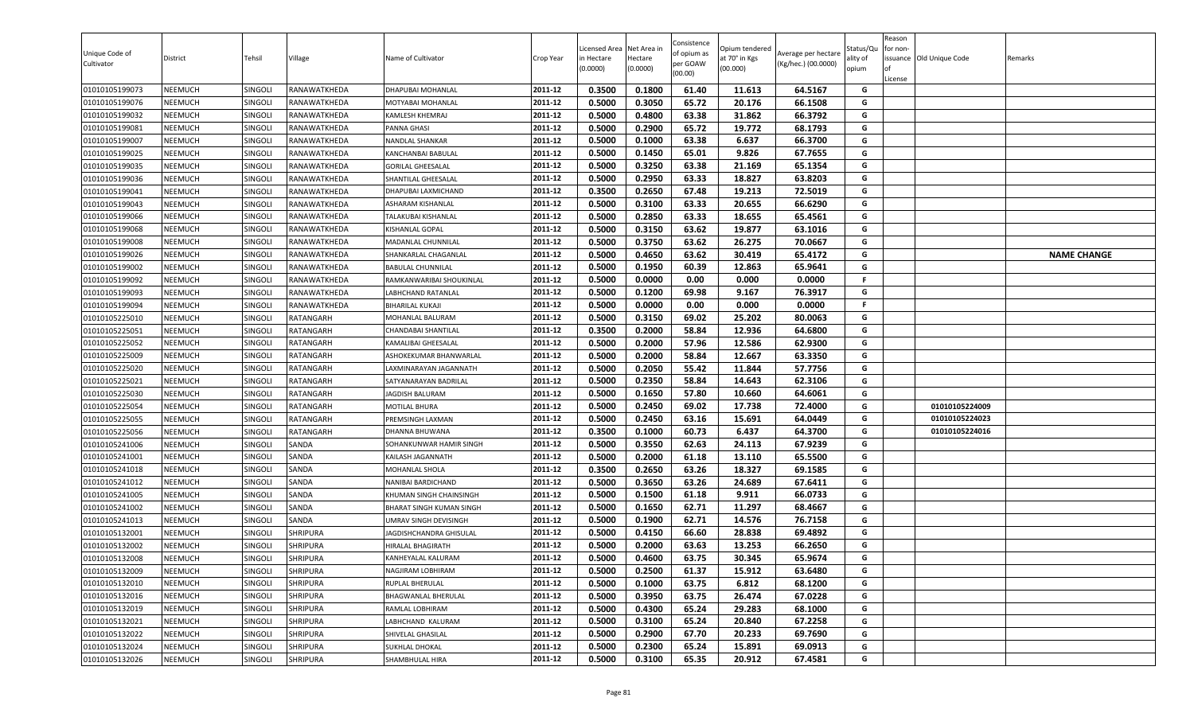| Unique Code of<br>Cultivator | District       | Tehsil         | Village          | Name of Cultivator           | Crop Year | Licensed Area<br>in Hectare<br>(0.0000) | Net Area in<br>Hectare<br>(0.0000) | Consistence<br>of opium as<br>per GOAW<br>(00.00) | Opium tendered<br>at 70° in Kgs<br>(00.000) | Average per hectare<br>(Kg/hec.) (00.0000) | Status/Qu<br>ality of<br>opium | Reason<br>for non-<br>License | ssuance Old Unique Code | Remarks            |
|------------------------------|----------------|----------------|------------------|------------------------------|-----------|-----------------------------------------|------------------------------------|---------------------------------------------------|---------------------------------------------|--------------------------------------------|--------------------------------|-------------------------------|-------------------------|--------------------|
| 01010105199073               | NEEMUCH        | SINGOLI        | RANAWATKHEDA     | DHAPUBAI MOHANLAL            | 2011-12   | 0.3500                                  | 0.1800                             | 61.40                                             | 11.613                                      | 64.5167                                    | G                              |                               |                         |                    |
| 01010105199076               | NEEMUCH        | Singoli        | RANAWATKHEDA     | MOTYABAI MOHANLAL            | 2011-12   | 0.5000                                  | 0.3050                             | 65.72                                             | 20.176                                      | 66.1508                                    | G                              |                               |                         |                    |
| 01010105199032               | NEEMUCH        | SINGOLI        | RANAWATKHEDA     | <b>KAMLESH KHEMRAJ</b>       | 2011-12   | 0.5000                                  | 0.4800                             | 63.38                                             | 31.862                                      | 66.3792                                    | G                              |                               |                         |                    |
| 01010105199081               | <b>NEEMUCH</b> | SINGOLI        | RANAWATKHEDA     | PANNA GHASI                  | 2011-12   | 0.5000                                  | 0.2900                             | 65.72                                             | 19.772                                      | 68.1793                                    | G                              |                               |                         |                    |
| 01010105199007               | NEEMUCH        | SINGOLI        | RANAWATKHEDA     | NANDLAL SHANKAR              | 2011-12   | 0.5000                                  | 0.1000                             | 63.38                                             | 6.637                                       | 66.3700                                    | G                              |                               |                         |                    |
| 01010105199025               | <b>NEEMUCH</b> | SINGOLI        | RANAWATKHEDA     | KANCHANBAI BABULAL           | 2011-12   | 0.5000                                  | 0.1450                             | 65.01                                             | 9.826                                       | 67.7655                                    | G                              |                               |                         |                    |
| 01010105199035               | <b>NEEMUCH</b> | SINGOLI        | RANAWATKHEDA     | <b>GORILAL GHEESALAL</b>     | 2011-12   | 0.5000                                  | 0.3250                             | 63.38                                             | 21.169                                      | 65.1354                                    | G                              |                               |                         |                    |
| 01010105199036               | NEEMUCH        | SINGOLI        | RANAWATKHEDA     | SHANTILAL GHEESALAL          | 2011-12   | 0.5000                                  | 0.2950                             | 63.33                                             | 18.827                                      | 63.8203                                    | G                              |                               |                         |                    |
| 01010105199041               | <b>NEEMUCH</b> | SINGOLI        | RANAWATKHEDA     | DHAPUBAI LAXMICHAND          | 2011-12   | 0.3500                                  | 0.2650                             | 67.48                                             | 19.213                                      | 72.5019                                    | G                              |                               |                         |                    |
| 01010105199043               | NEEMUCH        | SINGOLI        | RANAWATKHEDA     | <b>ASHARAM KISHANLAL</b>     | 2011-12   | 0.5000                                  | 0.3100                             | 63.33                                             | 20.655                                      | 66.6290                                    | G                              |                               |                         |                    |
| 01010105199066               | NEEMUCH        | SINGOLI        | RANAWATKHEDA     | TALAKUBAI KISHANLAL          | 2011-12   | 0.5000                                  | 0.2850                             | 63.33                                             | 18.655                                      | 65.4561                                    | G                              |                               |                         |                    |
| 01010105199068               | NEEMUCH        | SINGOLI        | RANAWATKHEDA     | <b>KISHANLAL GOPAL</b>       | 2011-12   | 0.5000                                  | 0.3150                             | 63.62                                             | 19.877                                      | 63.1016                                    | G                              |                               |                         |                    |
| 01010105199008               | <b>NEEMUCH</b> | SINGOLI        | RANAWATKHEDA     | MADANLAL CHUNNILAL           | 2011-12   | 0.5000                                  | 0.3750                             | 63.62                                             | 26.275                                      | 70.0667                                    | G                              |                               |                         |                    |
| 01010105199026               | NEEMUCH        | SINGOLI        | RANAWATKHEDA     | SHANKARLAL CHAGANLAL         | 2011-12   | 0.5000                                  | 0.4650                             | 63.62                                             | 30.419                                      | 65.4172                                    | G                              |                               |                         | <b>NAME CHANGE</b> |
| 01010105199002               | <b>NEEMUCH</b> | SINGOLI        | RANAWATKHEDA     | <b>BABULAL CHUNNILAL</b>     | 2011-12   | 0.5000                                  | 0.1950                             | 60.39                                             | 12.863                                      | 65.9641                                    | G                              |                               |                         |                    |
| 01010105199092               | <b>NEEMUCH</b> | SINGOLI        | RANAWATKHEDA     | RAMKANWARIBAI SHOUKINLAL     | 2011-12   | 0.5000                                  | 0.0000                             | 0.00                                              | 0.000                                       | 0.0000                                     | F.                             |                               |                         |                    |
| 01010105199093               | NEEMUCH        | SINGOLI        | RANAWATKHEDA     | <b>LABHCHAND RATANLAL</b>    | 2011-12   | 0.5000                                  | 0.1200                             | 69.98                                             | 9.167                                       | 76.3917                                    | G                              |                               |                         |                    |
| 01010105199094               | <b>NEEMUCH</b> | SINGOLI        | RANAWATKHEDA     | <b>BIHARILAL KUKAJI</b>      | 2011-12   | 0.5000                                  | 0.0000                             | 0.00                                              | 0.000                                       | 0.0000                                     | F.                             |                               |                         |                    |
| 01010105225010               | NEEMUCH        | SINGOLI        | RATANGARH        | MOHANLAL BALURAM             | 2011-12   | 0.5000                                  | 0.3150                             | 69.02                                             | 25.202                                      | 80.0063                                    | G                              |                               |                         |                    |
| 01010105225051               | <b>NEEMUCH</b> | SINGOLI        | RATANGARH        | CHANDABAI SHANTILAL          | 2011-12   | 0.3500                                  | 0.2000                             | 58.84                                             | 12.936                                      | 64.6800                                    | G                              |                               |                         |                    |
| 01010105225052               | NEEMUCH        | SINGOLI        | <b>RATANGARH</b> | KAMALIBAI GHEESALAL          | 2011-12   | 0.5000                                  | 0.2000                             | 57.96                                             | 12.586                                      | 62.9300                                    | G                              |                               |                         |                    |
| 01010105225009               | <b>NEEMUCH</b> | SINGOLI        | RATANGARH        | ASHOKEKUMAR BHANWARLAL       | 2011-12   | 0.5000                                  | 0.2000                             | 58.84                                             | 12.667                                      | 63.3350                                    | G                              |                               |                         |                    |
| 01010105225020               | <b>NEEMUCH</b> | SINGOLI        | RATANGARH        | LAXMINARAYAN JAGANNATH       | 2011-12   | 0.5000                                  | 0.2050                             | 55.42                                             | 11.844                                      | 57.7756                                    | G                              |                               |                         |                    |
| 01010105225021               | <b>NEEMUCH</b> | Singoli        | RATANGARH        | SATYANARAYAN BADRILAL        | 2011-12   | 0.5000                                  | 0.2350                             | 58.84                                             | 14.643                                      | 62.3106                                    | G                              |                               |                         |                    |
| 01010105225030               | <b>NEEMUCH</b> | SINGOLI        | RATANGARH        | JAGDISH BALURAM              | 2011-12   | 0.5000                                  | 0.1650                             | 57.80                                             | 10.660                                      | 64.6061                                    | G                              |                               |                         |                    |
| 01010105225054               | NEEMUCH        | SINGOLI        | RATANGARH        | <b>MOTILAL BHURA</b>         | 2011-12   | 0.5000                                  | 0.2450                             | 69.02                                             | 17.738                                      | 72.4000                                    | G                              |                               | 01010105224009          |                    |
| 01010105225055               | NEEMUCH        | SINGOLI        | RATANGARH        | PREMSINGH LAXMAN             | 2011-12   | 0.5000                                  | 0.2450                             | 63.16                                             | 15.691                                      | 64.0449                                    | G                              |                               | 01010105224023          |                    |
| 01010105225056               | NEEMUCH        | SINGOLI        | RATANGARH        | DHANNA BHUWANA               | 2011-12   | 0.3500                                  | 0.1000                             | 60.73                                             | 6.437                                       | 64.3700                                    | G                              |                               | 01010105224016          |                    |
| 01010105241006               | <b>NEEMUCH</b> | SINGOLI        | SANDA            | SOHANKUNWAR HAMIR SINGH      | 2011-12   | 0.5000                                  | 0.3550                             | 62.63                                             | 24.113                                      | 67.9239                                    | G                              |                               |                         |                    |
| 01010105241001               | <b>NEEMUCH</b> | SINGOLI        | SANDA            | KAILASH JAGANNATH            | 2011-12   | 0.5000                                  | 0.2000                             | 61.18                                             | 13.110                                      | 65.5500                                    | G                              |                               |                         |                    |
| 01010105241018               | <b>NEEMUCH</b> | SINGOLI        | SANDA            | MOHANLAL SHOLA               | 2011-12   | 0.3500                                  | 0.2650                             | 63.26                                             | 18.327                                      | 69.1585                                    | G                              |                               |                         |                    |
| 01010105241012               | <b>NEEMUCH</b> | SINGOLI        | SANDA            | NANIBAI BARDICHAND           | 2011-12   | 0.5000                                  | 0.3650                             | 63.26                                             | 24.689                                      | 67.6411                                    | G                              |                               |                         |                    |
| 01010105241005               | <b>NEEMUCH</b> | SINGOLI        | SANDA            | KHUMAN SINGH CHAINSINGH      | 2011-12   | 0.5000                                  | 0.1500                             | 61.18                                             | 9.911                                       | 66.0733                                    | G                              |                               |                         |                    |
| 01010105241002               | <b>NEEMUCH</b> | SINGOLI        | SANDA            | BHARAT SINGH KUMAN SINGH     | 2011-12   | 0.5000                                  | 0.1650                             | 62.71                                             | 11.297                                      | 68.4667                                    | G                              |                               |                         |                    |
| 01010105241013               | NEEMUCH        | SINGOLI        | SANDA            | <b>UMRAV SINGH DEVISINGH</b> | 2011-12   | 0.5000                                  | 0.1900                             | 62.71                                             | 14.576                                      | 76.7158                                    | G                              |                               |                         |                    |
| 01010105132001               | <b>NEEMUCH</b> | SINGOLI        | <b>SHRIPURA</b>  | JAGDISHCHANDRA GHISULAL      | 2011-12   | 0.5000                                  | 0.4150                             | 66.60                                             | 28.838                                      | 69.4892                                    | G                              |                               |                         |                    |
| 01010105132002               | NEEMUCH        | SINGOLI        | <b>SHRIPURA</b>  | HIRALAL BHAGIRATH            | 2011-12   | 0.5000                                  | 0.2000                             | 63.63                                             | 13.253                                      | 66.2650                                    | G                              |                               |                         |                    |
| 01010105132008               | NEEMUCH        | SINGOLI        | <b>SHRIPURA</b>  | KANHEYALAL KALURAM           | 2011-12   | 0.5000                                  | 0.4600                             | 63.75                                             | 30.345                                      | 65.9674                                    | G                              |                               |                         |                    |
| 01010105132009               | <b>NEEMUCH</b> | <b>SINGOLI</b> | <b>SHRIPURA</b>  | NAGJIRAM LOBHIRAM            | 2011-12   | 0.5000                                  | 0.2500                             | 61.37                                             | 15.912                                      | 63.6480                                    | G                              |                               |                         |                    |
| 01010105132010               | NEEMUCH        | SINGOLI        | <b>SHRIPURA</b>  | RUPLAL BHERULAL              | 2011-12   | 0.5000                                  | 0.1000                             | 63.75                                             | 6.812                                       | 68.1200                                    | G                              |                               |                         |                    |
| 01010105132016               | NEEMUCH        | SINGOLI        | <b>SHRIPURA</b>  | <b>BHAGWANLAL BHERULAL</b>   | 2011-12   | 0.5000                                  | 0.3950                             | 63.75                                             | 26.474                                      | 67.0228                                    | G                              |                               |                         |                    |
| 01010105132019               | <b>NEEMUCH</b> | SINGOLI        | <b>SHRIPURA</b>  | RAMLAL LOBHIRAM              | 2011-12   | 0.5000                                  | 0.4300                             | 65.24                                             | 29.283                                      | 68.1000                                    | G                              |                               |                         |                    |
| 01010105132021               | <b>NEEMUCH</b> | SINGOLI        | <b>SHRIPURA</b>  | LABHCHAND KALURAM            | 2011-12   | 0.5000                                  | 0.3100                             | 65.24                                             | 20.840                                      | 67.2258                                    | G                              |                               |                         |                    |
| 01010105132022               | <b>NEEMUCH</b> | SINGOLI        | <b>SHRIPURA</b>  | SHIVELAL GHASILAL            | 2011-12   | 0.5000                                  | 0.2900                             | 67.70                                             | 20.233                                      | 69.7690                                    | G                              |                               |                         |                    |
| 01010105132024               | <b>NEEMUCH</b> | SINGOLI        | <b>SHRIPURA</b>  | <b>SUKHLAL DHOKAL</b>        | 2011-12   | 0.5000                                  | 0.2300                             | 65.24                                             | 15.891                                      | 69.0913                                    | G                              |                               |                         |                    |
| 01010105132026               | NEEMUCH        | SINGOLI        | <b>SHRIPURA</b>  | SHAMBHULAL HIRA              | 2011-12   | 0.5000                                  | 0.3100                             | 65.35                                             | 20.912                                      | 67.4581                                    | G                              |                               |                         |                    |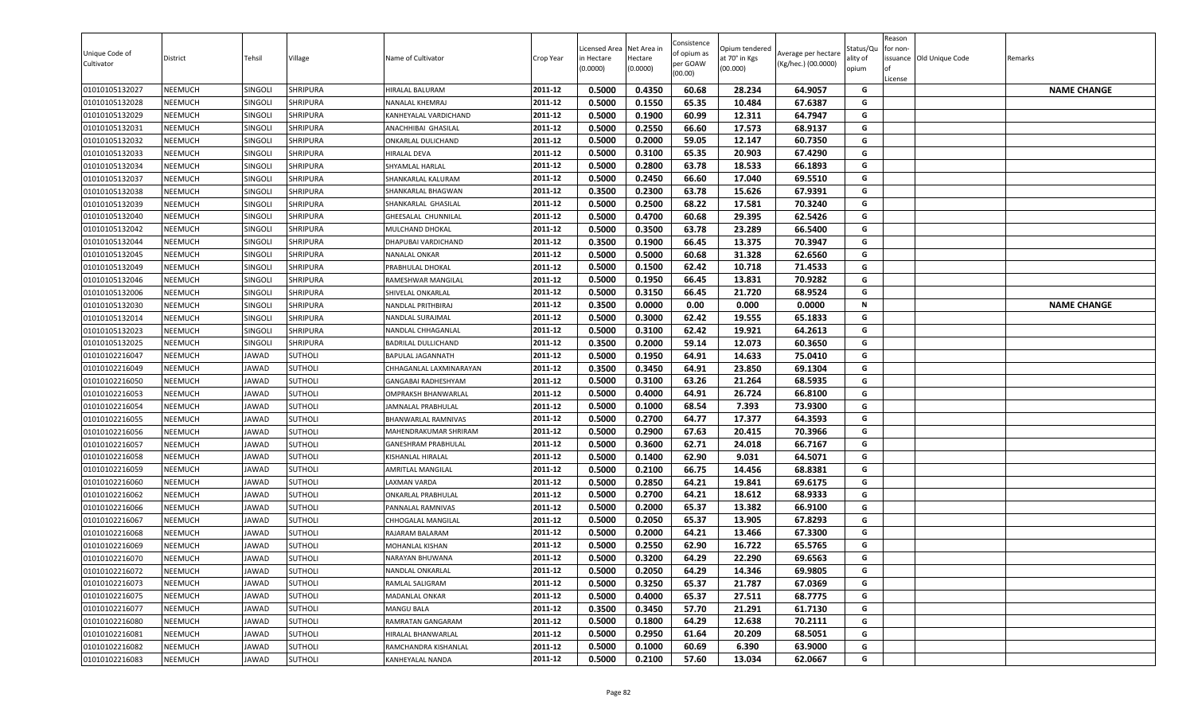| Unique Code of<br>Cultivator     | District                         | Tehsil         | Village                          | Name of Cultivator                             | Crop Year          | Licensed Area<br>in Hectare<br>(0.0000) | Net Area in<br>Hectare<br>(0.0000) | Consistence<br>of opium as<br>per GOAW<br>(00.00) | )pium tendered<br>at 70° in Kgs<br>(00.000) | Average per hectare<br>(Kg/hec.) (00.0000) | Status/Qเ<br>ality of<br>opium | Reason<br>for non-<br>lof<br>License | issuance Old Unique Code | Remarks            |
|----------------------------------|----------------------------------|----------------|----------------------------------|------------------------------------------------|--------------------|-----------------------------------------|------------------------------------|---------------------------------------------------|---------------------------------------------|--------------------------------------------|--------------------------------|--------------------------------------|--------------------------|--------------------|
| 01010105132027                   | <b>NEEMUCH</b>                   | SINGOLI        | <b>SHRIPURA</b>                  | HIRALAL BALURAM                                | 2011-12            | 0.5000                                  | 0.4350                             | 60.68                                             | 28.234                                      | 64.9057                                    | G                              |                                      |                          | <b>NAME CHANGE</b> |
| 01010105132028                   | <b>NEEMUCH</b>                   | SINGOLI        | SHRIPURA                         | NANALAL KHEMRAJ                                | 2011-12            | 0.5000                                  | 0.1550                             | 65.35                                             | 10.484                                      | 67.6387                                    | G                              |                                      |                          |                    |
| 01010105132029                   | <b>NEEMUCH</b>                   | <b>SINGOLI</b> | <b>SHRIPURA</b>                  | KANHEYALAL VARDICHAND                          | 2011-12            | 0.5000                                  | 0.1900                             | 60.99                                             | 12.311                                      | 64.7947                                    | G                              |                                      |                          |                    |
| 01010105132031                   | <b>NEEMUCH</b>                   | SINGOLI        | SHRIPURA                         | ANACHHIBAI GHASILAL                            | 2011-12            | 0.5000                                  | 0.2550                             | 66.60                                             | 17.573                                      | 68.9137                                    | G                              |                                      |                          |                    |
| 01010105132032                   | <b>NEEMUCH</b>                   | SINGOLI        | SHRIPURA                         | ONKARLAL DULICHAND                             | 2011-12            | 0.5000                                  | 0.2000                             | 59.05                                             | 12.147                                      | 60.7350                                    | G                              |                                      |                          |                    |
| 01010105132033                   | <b>NEEMUCH</b>                   | SINGOLI        | SHRIPURA                         | HIRALAL DEVA                                   | 2011-12            | 0.5000                                  | 0.3100                             | 65.35                                             | 20.903                                      | 67.4290                                    | G                              |                                      |                          |                    |
| 01010105132034                   | <b>NEEMUCH</b>                   | SINGOLI        | SHRIPURA                         | SHYAMLAL HARLAL                                | 2011-12            | 0.5000                                  | 0.2800                             | 63.78                                             | 18.533                                      | 66.1893                                    | G                              |                                      |                          |                    |
| 01010105132037                   | <b>NEEMUCH</b>                   | SINGOLI        | <b>SHRIPURA</b>                  | SHANKARLAL KALURAM                             | 2011-12            | 0.5000                                  | 0.2450                             | 66.60                                             | 17.040                                      | 69.5510                                    | G                              |                                      |                          |                    |
| 01010105132038                   | <b>NEEMUCH</b>                   | <b>SINGOLI</b> | SHRIPURA                         | SHANKARLAL BHAGWAN                             | 2011-12            | 0.3500                                  | 0.2300                             | 63.78                                             | 15.626                                      | 67.9391                                    | G                              |                                      |                          |                    |
| 01010105132039                   | <b>NEEMUCH</b>                   | SINGOLI        | SHRIPURA                         | SHANKARLAL GHASILAL                            | 2011-12            | 0.5000                                  | 0.2500                             | 68.22                                             | 17.581                                      | 70.3240                                    | G                              |                                      |                          |                    |
| 01010105132040                   | <b>NEEMUCH</b>                   | SINGOLI        | SHRIPURA                         | GHEESALAL CHUNNILAL                            | 2011-12            | 0.5000                                  | 0.4700                             | 60.68                                             | 29.395                                      | 62.5426                                    | G                              |                                      |                          |                    |
| 01010105132042                   | <b>NEEMUCH</b>                   | SINGOLI        | <b>SHRIPURA</b>                  | MULCHAND DHOKAL                                | 2011-12            | 0.5000                                  | 0.3500                             | 63.78                                             | 23.289                                      | 66.5400                                    | G                              |                                      |                          |                    |
| 01010105132044                   | <b>NEEMUCH</b>                   | SINGOLI        | <b>SHRIPURA</b>                  | DHAPUBAI VARDICHAND                            | 2011-12            | 0.3500                                  | 0.1900                             | 66.45                                             | 13.375                                      | 70.3947                                    | G                              |                                      |                          |                    |
| 01010105132045                   | <b>NEEMUCH</b>                   | SINGOLI        | SHRIPURA                         | NANALAL ONKAR                                  | 2011-12            | 0.5000                                  | 0.5000                             | 60.68                                             | 31.328                                      | 62.6560                                    | G                              |                                      |                          |                    |
| 01010105132049                   | <b>NEEMUCH</b>                   | SINGOLI        | SHRIPURA                         | PRABHULAL DHOKAL                               | 2011-12            | 0.5000                                  | 0.1500                             | 62.42                                             | 10.718                                      | 71.4533                                    | G                              |                                      |                          |                    |
| 01010105132046                   | <b>NEEMUCH</b>                   | SINGOLI        | SHRIPURA                         | RAMESHWAR MANGILAL                             | 2011-12            | 0.5000                                  | 0.1950                             | 66.45                                             | 13.831                                      | 70.9282                                    | G                              |                                      |                          |                    |
| 01010105132006                   | <b>NEEMUCH</b>                   | SINGOLI        | <b>SHRIPURA</b>                  | SHIVELAL ONKARLAL                              | 2011-12            | 0.5000                                  | 0.3150                             | 66.45                                             | 21.720                                      | 68.9524                                    | G                              |                                      |                          |                    |
| 01010105132030                   | <b>NEEMUCH</b>                   | SINGOLI        | <b>SHRIPURA</b>                  | NANDLAL PRITHBIRAJ                             | 2011-12            | 0.3500                                  | 0.0000                             | 0.00                                              | 0.000                                       | 0.0000                                     | N<br>G                         |                                      |                          | <b>NAME CHANGE</b> |
| 01010105132014                   | <b>NEEMUCH</b>                   | SINGOLI        | <b>SHRIPURA</b>                  | NANDLAL SURAJMAL                               | 2011-12<br>2011-12 | 0.5000                                  | 0.3000<br>0.3100                   | 62.42<br>62.42                                    | 19.555<br>19.921                            | 65.1833<br>64.2613                         | G                              |                                      |                          |                    |
| 01010105132023                   | <b>NEEMUCH</b><br><b>NEEMUCH</b> | Singoli        | SHRIPURA<br><b>SHRIPURA</b>      | NANDLAL CHHAGANLAL                             | 2011-12            | 0.5000<br>0.3500                        | 0.2000                             | 59.14                                             | 12.073                                      | 60.3650                                    | G                              |                                      |                          |                    |
| 01010105132025                   |                                  | SINGOLI        |                                  | BADRILAL DULLICHAND                            | 2011-12            | 0.5000                                  | 0.1950                             |                                                   | 14.633                                      |                                            | G                              |                                      |                          |                    |
| 01010102216047<br>01010102216049 | <b>NEEMUCH</b><br><b>NEEMUCH</b> | JAWAD<br>JAWAD | <b>SUTHOLI</b><br><b>SUTHOLI</b> | BAPULAL JAGANNATH                              | 2011-12            | 0.3500                                  | 0.3450                             | 64.91<br>64.91                                    | 23.850                                      | 75.0410<br>69.1304                         | G                              |                                      |                          |                    |
| 01010102216050                   | <b>NEEMUCH</b>                   | JAWAD          | <b>SUTHOLI</b>                   | CHHAGANLAL LAXMINARAYAN<br>GANGABAI RADHESHYAM | 2011-12            | 0.5000                                  | 0.3100                             | 63.26                                             | 21.264                                      | 68.5935                                    | G                              |                                      |                          |                    |
| 01010102216053                   | <b>NEEMUCH</b>                   | JAWAD          | <b>SUTHOLI</b>                   | OMPRAKSH BHANWARLAL                            | 2011-12            | 0.5000                                  | 0.4000                             | 64.91                                             | 26.724                                      | 66.8100                                    | G                              |                                      |                          |                    |
| 01010102216054                   | <b>NEEMUCH</b>                   | JAWAD          | <b>SUTHOLI</b>                   | JAMNALAL PRABHULAL                             | 2011-12            | 0.5000                                  | 0.1000                             | 68.54                                             | 7.393                                       | 73.9300                                    | G                              |                                      |                          |                    |
| 01010102216055                   | <b>NEEMUCH</b>                   | JAWAD          | <b>SUTHOLI</b>                   | BHANWARLAL RAMNIVAS                            | 2011-12            | 0.5000                                  | 0.2700                             | 64.77                                             | 17.377                                      | 64.3593                                    | G                              |                                      |                          |                    |
| 01010102216056                   | <b>NEEMUCH</b>                   | JAWAD          | <b>SUTHOLI</b>                   | MAHENDRAKUMAR SHRIRAM                          | 2011-12            | 0.5000                                  | 0.2900                             | 67.63                                             | 20.415                                      | 70.3966                                    | G                              |                                      |                          |                    |
| 01010102216057                   | <b>NEEMUCH</b>                   | JAWAD          | <b>SUTHOLI</b>                   | GANESHRAM PRABHULAL                            | 2011-12            | 0.5000                                  | 0.3600                             | 62.71                                             | 24.018                                      | 66.7167                                    | G                              |                                      |                          |                    |
| 01010102216058                   | <b>NEEMUCH</b>                   | JAWAD          | <b>SUTHOLI</b>                   | KISHANLAL HIRALAL                              | 2011-12            | 0.5000                                  | 0.1400                             | 62.90                                             | 9.031                                       | 64.5071                                    | G                              |                                      |                          |                    |
| 01010102216059                   | <b>NEEMUCH</b>                   | <b>JAWAD</b>   | <b>SUTHOLI</b>                   | <b>AMRITLAL MANGILAL</b>                       | 2011-12            | 0.5000                                  | 0.2100                             | 66.75                                             | 14.456                                      | 68.8381                                    | G                              |                                      |                          |                    |
| 01010102216060                   | <b>NEEMUCH</b>                   | JAWAD          | <b>SUTHOLI</b>                   | LAXMAN VARDA                                   | 2011-12            | 0.5000                                  | 0.2850                             | 64.21                                             | 19.841                                      | 69.6175                                    | G                              |                                      |                          |                    |
| 01010102216062                   | <b>NEEMUCH</b>                   | JAWAD          | <b>SUTHOLI</b>                   | <b>ONKARLAL PRABHULAL</b>                      | 2011-12            | 0.5000                                  | 0.2700                             | 64.21                                             | 18.612                                      | 68.9333                                    | G                              |                                      |                          |                    |
| 01010102216066                   | <b>NEEMUCH</b>                   | JAWAD          | <b>SUTHOLI</b>                   | PANNALAL RAMNIVAS                              | 2011-12            | 0.5000                                  | 0.2000                             | 65.37                                             | 13.382                                      | 66.9100                                    | G                              |                                      |                          |                    |
| 01010102216067                   | <b>NEEMUCH</b>                   | JAWAD          | <b>SUTHOLI</b>                   | CHHOGALAL MANGILAL                             | 2011-12            | 0.5000                                  | 0.2050                             | 65.37                                             | 13.905                                      | 67.8293                                    | G                              |                                      |                          |                    |
| 01010102216068                   | <b>NEEMUCH</b>                   | JAWAD          | <b>SUTHOLI</b>                   | RAJARAM BALARAM                                | 2011-12            | 0.5000                                  | 0.2000                             | 64.21                                             | 13.466                                      | 67.3300                                    | G                              |                                      |                          |                    |
| 01010102216069                   | <b>NEEMUCH</b>                   | JAWAD          | <b>SUTHOLI</b>                   | MOHANLAL KISHAN                                | 2011-12            | 0.5000                                  | 0.2550                             | 62.90                                             | 16.722                                      | 65.5765                                    | G                              |                                      |                          |                    |
| 01010102216070                   | <b>NEEMUCH</b>                   | JAWAD          | <b>SUTHOLI</b>                   | NARAYAN BHUWANA                                | 2011-12            | 0.5000                                  | 0.3200                             | 64.29                                             | 22.290                                      | 69.6563                                    | G                              |                                      |                          |                    |
| 01010102216072                   | <b>NEEMUCH</b>                   | JAWAD          | SUTHOLI                          | NANDLAL ONKARLAL                               | 2011-12            | 0.5000                                  | 0.2050                             | 64.29                                             | 14.346                                      | 69.9805                                    | G                              |                                      |                          |                    |
| 01010102216073                   | <b>NEEMUCH</b>                   | JAWAD          | SUTHOLI                          | RAMLAL SALIGRAM                                | 2011-12            | 0.5000                                  | 0.3250                             | 65.37                                             | 21.787                                      | 67.0369                                    | G                              |                                      |                          |                    |
| 01010102216075                   | <b>NEEMUCH</b>                   | JAWAD          | SUTHOLI                          | MADANLAL ONKAR                                 | 2011-12            | 0.5000                                  | 0.4000                             | 65.37                                             | 27.511                                      | 68.7775                                    | G                              |                                      |                          |                    |
| 01010102216077                   | <b>NEEMUCH</b>                   | JAWAD          | <b>SUTHOLI</b>                   | <b>MANGU BALA</b>                              | 2011-12            | 0.3500                                  | 0.3450                             | 57.70                                             | 21.291                                      | 61.7130                                    | G                              |                                      |                          |                    |
| 01010102216080                   | <b>NEEMUCH</b>                   | JAWAD          | SUTHOLI                          | RAMRATAN GANGARAM                              | 2011-12            | 0.5000                                  | 0.1800                             | 64.29                                             | 12.638                                      | 70.2111                                    | G                              |                                      |                          |                    |
| 01010102216081                   | <b>NEEMUCH</b>                   | JAWAD          | <b>SUTHOLI</b>                   | HIRALAL BHANWARLAL                             | 2011-12            | 0.5000                                  | 0.2950                             | 61.64                                             | 20.209                                      | 68.5051                                    | G                              |                                      |                          |                    |
| 01010102216082                   | <b>NEEMUCH</b>                   | JAWAD          | <b>SUTHOLI</b>                   | RAMCHANDRA KISHANLAL                           | 2011-12            | 0.5000                                  | 0.1000                             | 60.69                                             | 6.390                                       | 63.9000                                    | G                              |                                      |                          |                    |
| 01010102216083                   | <b>NEEMUCH</b>                   | JAWAD          | SUTHOLI                          | KANHEYALAL NANDA                               | 2011-12            | 0.5000                                  | 0.2100                             | 57.60                                             | 13.034                                      | 62.0667                                    | G                              |                                      |                          |                    |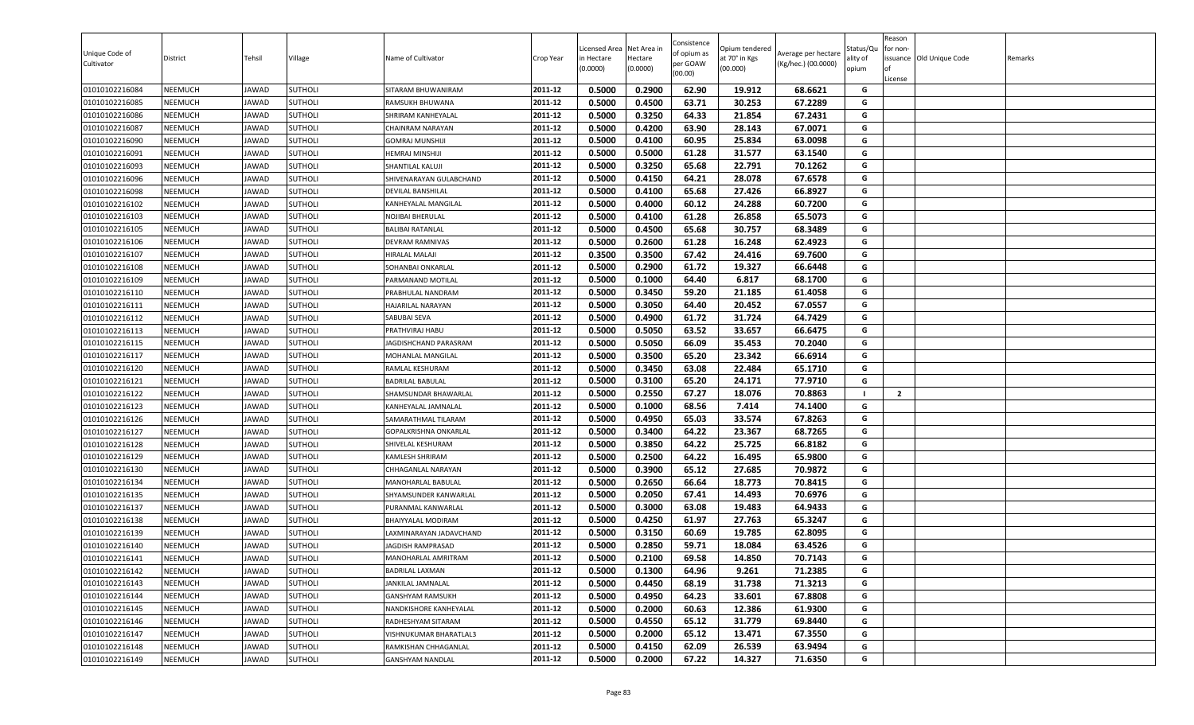|                                  |                                  |                       |                           |                                                      |                    | icensed Area     | Net Area in      | Consistence         | Opium tendered   |                     | Status/Qu | Reason<br>or non- |                         |         |
|----------------------------------|----------------------------------|-----------------------|---------------------------|------------------------------------------------------|--------------------|------------------|------------------|---------------------|------------------|---------------------|-----------|-------------------|-------------------------|---------|
| Unique Code of                   | District                         | Tehsil                | Village                   | Name of Cultivator                                   | Crop Year          | in Hectare       | Hectare          | of opium as         | at 70° in Kgs    | Average per hectare | ılity of  |                   | ssuance Old Unique Code | Remarks |
| Cultivator                       |                                  |                       |                           |                                                      |                    | (0.0000)         | (0.0000)         | per GOAW<br>(00.00) | (00.000)         | (Kg/hec.) (00.0000) | opium     |                   |                         |         |
|                                  |                                  |                       |                           |                                                      |                    |                  |                  |                     |                  |                     |           | License           |                         |         |
| 01010102216084                   | <b>NEEMUCH</b>                   | JAWAD                 | <b>SUTHOLI</b>            | SITARAM BHUWANIRAM                                   | 2011-12            | 0.5000           | 0.2900           | 62.90               | 19.912           | 68.6621             | G         |                   |                         |         |
| 01010102216085                   | <b>NEEMUCH</b>                   | JAWAD                 | SUTHOLI                   | RAMSUKH BHUWANA                                      | 2011-12            | 0.5000           | 0.4500           | 63.71               | 30.253           | 67.2289             | G         |                   |                         |         |
| 01010102216086                   | NEEMUCH                          | JAWAD                 | SUTHOLI                   | SHRIRAM KANHEYALAL                                   | 2011-12            | 0.5000           | 0.3250           | 64.33               | 21.854           | 67.2431             | G         |                   |                         |         |
| 01010102216087                   | NEEMUCH                          | JAWAD                 | <b>SUTHOLI</b>            | <b>CHAINRAM NARAYAN</b>                              | 2011-12            | 0.5000           | 0.4200           | 63.90               | 28.143           | 67.0071             | G         |                   |                         |         |
| 01010102216090                   | NEEMUCH                          | <b>JAWAD</b>          | SUTHOLI                   | <b>GOMRAJ MUNSHIJI</b>                               | 2011-12            | 0.5000           | 0.4100           | 60.95               | 25.834           | 63.0098             | G         |                   |                         |         |
| 01010102216091                   | <b>NEEMUCH</b>                   | JAWAD                 | SUTHOLI                   | HEMRAJ MINSHIJI                                      | 2011-12            | 0.5000           | 0.5000           | 61.28               | 31.577           | 63.1540             | G         |                   |                         |         |
| 01010102216093                   | <b>NEEMUCH</b>                   | JAWAD                 | SUTHOLI                   | SHANTILAL KALUJI                                     | 2011-12            | 0.5000           | 0.3250           | 65.68               | 22.791           | 70.1262             | G         |                   |                         |         |
| 01010102216096                   | <b>NEEMUCH</b>                   | JAWAD                 | SUTHOLI                   | SHIVENARAYAN GULABCHAND                              | 2011-12            | 0.5000           | 0.4150           | 64.21               | 28.078           | 67.6578             | G         |                   |                         |         |
| 01010102216098                   | <b>NEEMUCH</b>                   | JAWAD                 | SUTHOLI                   | <b>DEVILAL BANSHILAL</b>                             | 2011-12            | 0.5000           | 0.4100           | 65.68               | 27.426           | 66.8927             | G         |                   |                         |         |
| 01010102216102                   | <b>NEEMUCH</b>                   | <b>JAWAD</b>          | SUTHOLI                   | KANHEYALAL MANGILAL                                  | 2011-12            | 0.5000           | 0.4000           | 60.12               | 24.288           | 60.7200             | G         |                   |                         |         |
| 01010102216103                   | <b>NEEMUCH</b>                   | JAWAD                 | <b>SUTHOLI</b>            | NOJIBAI BHERULAL                                     | 2011-12            | 0.5000           | 0.4100           | 61.28               | 26.858           | 65.5073             | G         |                   |                         |         |
| 01010102216105                   | <b>NEEMUCH</b>                   | <b>JAWAD</b>          | SUTHOLI                   | <b>BALIBAI RATANLAL</b>                              | 2011-12            | 0.5000           | 0.4500           | 65.68               | 30.757           | 68.3489             | G         |                   |                         |         |
| 01010102216106                   | <b>NEEMUCH</b>                   | JAWAD                 | SUTHOLI                   | DEVRAM RAMNIVAS                                      | 2011-12            | 0.5000           | 0.2600           | 61.28               | 16.248           | 62.4923             | G         |                   |                         |         |
| 01010102216107                   | NEEMUCH                          | <b>JAWAD</b>          | SUTHOLI                   | <b>HIRALAL MALAJI</b>                                | 2011-12            | 0.3500           | 0.3500           | 67.42               | 24.416           | 69.7600             | G         |                   |                         |         |
| 01010102216108                   | <b>NEEMUCH</b>                   | JAWAD                 | SUTHOLI                   | SOHANBAI ONKARLAL                                    | 2011-12            | 0.5000           | 0.2900           | 61.72               | 19.327           | 66.6448             | G         |                   |                         |         |
| 01010102216109                   | <b>NEEMUCH</b>                   | JAWAD                 | SUTHOLI                   | PARMANAND MOTILAL                                    | 2011-12            | 0.5000           | 0.1000           | 64.40               | 6.817            | 68.1700             | G         |                   |                         |         |
| 01010102216110                   | <b>NEEMUCH</b>                   | JAWAD                 | SUTHOLI                   | PRABHULAL NANDRAM                                    | 2011-12            | 0.5000           | 0.3450           | 59.20               | 21.185           | 61.4058             | G         |                   |                         |         |
| 01010102216111                   | <b>NEEMUCH</b>                   | JAWAD                 | SUTHOLI                   | HAJARILAL NARAYAN                                    | 2011-12            | 0.5000           | 0.3050           | 64.40               | 20.452           | 67.0557             | G         |                   |                         |         |
| 01010102216112                   | <b>NEEMUCH</b>                   | JAWAD                 | <b>SUTHOLI</b>            | SABUBAI SEVA                                         | 2011-12            | 0.5000           | 0.4900           | 61.72               | 31.724           | 64.7429             | G         |                   |                         |         |
| 01010102216113                   | NEEMUCH                          | JAWAD                 | SUTHOLI                   | PRATHVIRAJ HABU                                      | 2011-12            | 0.5000           | 0.5050           | 63.52               | 33.657           | 66.6475             | G         |                   |                         |         |
| 01010102216115                   | NEEMUCH                          | <b>JAWAD</b>          | SUTHOLI                   | JAGDISHCHAND PARASRAM                                | 2011-12            | 0.5000           | 0.5050           | 66.09               | 35.453           | 70.2040             | G         |                   |                         |         |
| 01010102216117                   | <b>NEEMUCH</b>                   | JAWAD                 | SUTHOLI                   | MOHANLAL MANGILAL                                    | 2011-12            | 0.5000           | 0.3500           | 65.20               | 23.342           | 66.6914             | G         |                   |                         |         |
| 01010102216120                   | NEEMUCH                          | <b>JAWAD</b>          | SUTHOLI                   | RAMLAL KESHURAM                                      | 2011-12            | 0.5000           | 0.3450           | 63.08               | 22.484           | 65.1710             | G         |                   |                         |         |
| 01010102216121                   | <b>NEEMUCH</b>                   | JAWAD                 | SUTHOLI                   | <b>BADRILAL BABULAL</b>                              | 2011-12            | 0.5000           | 0.3100           | 65.20               | 24.171           | 77.9710             | G         |                   |                         |         |
| 01010102216122                   | <b>NEEMUCH</b>                   | JAWAD                 | SUTHOLI                   | SHAMSUNDAR BHAWARLAL                                 | 2011-12            | 0.5000           | 0.2550           | 67.27               | 18.076           | 70.8863             |           | $\overline{2}$    |                         |         |
| 01010102216123                   | <b>NEEMUCH</b>                   | JAWAD                 | SUTHOLI                   | KANHEYALAL JAMNALAL                                  | 2011-12            | 0.5000           | 0.1000           | 68.56               | 7.414            | 74.1400             | G         |                   |                         |         |
| 01010102216126                   | NEEMUCH                          | <b>JAWAD</b>          | SUTHOLI                   | SAMARATHMAL TILARAM                                  | 2011-12            | 0.5000           | 0.4950           | 65.03               | 33.574           | 67.8263             | G         |                   |                         |         |
| 01010102216127                   | NEEMUCH                          | <b>JAWAD</b>          | SUTHOLI                   | <b>GOPALKRISHNA ONKARLAL</b>                         | 2011-12            | 0.5000           | 0.3400           | 64.22               | 23.367           | 68.7265             | G         |                   |                         |         |
| 01010102216128                   | <b>NEEMUCH</b>                   | JAWAD                 | SUTHOLI                   | SHIVELAL KESHURAM                                    | 2011-12<br>2011-12 | 0.5000           | 0.3850<br>0.2500 | 64.22<br>64.22      | 25.725           | 66.8182<br>65.9800  | G<br>G    |                   |                         |         |
| 01010102216129                   | NEEMUCH                          | <b>JAWAD</b>          | SUTHOLI                   | <b>KAMLESH SHRIRAM</b>                               |                    | 0.5000           |                  |                     | 16.495           |                     | G         |                   |                         |         |
| 01010102216130                   | <b>NEEMUCH</b>                   | JAWAD                 | SUTHOLI                   | CHHAGANLAL NARAYAN                                   | 2011-12<br>2011-12 | 0.5000<br>0.5000 | 0.3900<br>0.2650 | 65.12<br>66.64      | 27.685<br>18.773 | 70.9872             | G         |                   |                         |         |
| 01010102216134                   | <b>NEEMUCH</b>                   | JAWAD                 | SUTHOLI                   | MANOHARLAL BABULAL                                   |                    |                  |                  |                     |                  | 70.8415             | G         |                   |                         |         |
| 01010102216135                   | <b>NEEMUCH</b>                   | JAWAD                 | <b>SUTHOLI</b>            | SHYAMSUNDER KANWARLAL<br>PURANMAL KANWARLAL          | 2011-12<br>2011-12 | 0.5000<br>0.5000 | 0.2050<br>0.3000 | 67.41<br>63.08      | 14.493<br>19.483 | 70.6976<br>64.9433  | G         |                   |                         |         |
| 01010102216137<br>01010102216138 | <b>NEEMUCH</b><br><b>NEEMUCH</b> | JAWAD<br>JAWAD        | SUTHOLI<br><b>SUTHOLI</b> |                                                      | 2011-12            | 0.5000           | 0.4250           | 61.97               | 27.763           | 65.3247             | G         |                   |                         |         |
| 01010102216139                   | NEEMUCH                          | JAWAD                 | <b>SUTHOLI</b>            | <b>BHAIYYALAL MODIRAM</b><br>LAXMINARAYAN JADAVCHAND | 2011-12            | 0.5000           | 0.3150           | 60.69               | 19.785           | 62.8095             | G         |                   |                         |         |
| 01010102216140                   | NEEMUCH                          | AWAD                  | <b>SUTHOLI</b>            | <b>JAGDISH RAMPRASAD</b>                             | 2011-12            | 0.5000           | 0.2850           | 59.71               | 18.084           | 63.4526             | G         |                   |                         |         |
| 01010102216141                   | NEEMUCH                          | <b>JAWAD</b>          | <b>SUTHOLI</b>            | MANOHARLAL AMRITRAM                                  | 2011-12            | 0.5000           | 0.2100           | 69.58               | 14.850           | 70.7143             | G         |                   |                         |         |
| 01010102216142                   | <b>NEEMUCH</b>                   | <b>JAWAD</b>          | SUTHOLI                   | <b>BADRILAL LAXMAN</b>                               | 2011-12            | 0.5000           | 0.1300           | 64.96               | 9.261            | 71.2385             | G         |                   |                         |         |
| 01010102216143                   |                                  |                       | SUTHOLI                   | JANKILAL JAMNALAL                                    | 2011-12            | 0.5000           | 0.4450           | 68.19               | 31.738           | 71.3213             | G         |                   |                         |         |
| 01010102216144                   | <b>NEEMUCH</b><br>NEEMUCH        | JAWAD<br><b>JAWAD</b> | SUTHOLI                   | <b>GANSHYAM RAMSUKH</b>                              | 2011-12            | 0.5000           | 0.4950           | 64.23               | 33.601           | 67.8808             | G         |                   |                         |         |
|                                  |                                  |                       |                           |                                                      |                    |                  |                  |                     |                  |                     |           |                   |                         |         |
| 01010102216145<br>01010102216146 | <b>NEEMUCH</b>                   | JAWAD<br><b>JAWAD</b> | <b>SUTHOLI</b>            | NANDKISHORE KANHEYALAL                               | 2011-12<br>2011-12 | 0.5000           | 0.2000<br>0.4550 | 60.63<br>65.12      | 12.386           | 61.9300<br>69.8440  | G<br>G    |                   |                         |         |
| 01010102216147                   | <b>NEEMUCH</b><br><b>NEEMUCH</b> | JAWAD                 | SUTHOLI<br>SUTHOLI        | RADHESHYAM SITARAM<br>VISHNUKUMAR BHARATLAL3         | 2011-12            | 0.5000<br>0.5000 | 0.2000           | 65.12               | 31.779<br>13.471 | 67.3550             | G         |                   |                         |         |
| 01010102216148                   |                                  | JAWAD                 |                           |                                                      | 2011-12            |                  | 0.4150           | 62.09               | 26.539           |                     | G         |                   |                         |         |
| 01010102216149                   | <b>NEEMUCH</b>                   |                       | SUTHOLI<br><b>SUTHOLI</b> | RAMKISHAN CHHAGANLAL                                 | 2011-12            | 0.5000           |                  |                     |                  | 63.9494             | G         |                   |                         |         |
|                                  | NEEMUCH                          | <b>JAWAD</b>          |                           | <b>GANSHYAM NANDLAL</b>                              |                    | 0.5000           | 0.2000           | 67.22               | 14.327           | 71.6350             |           |                   |                         |         |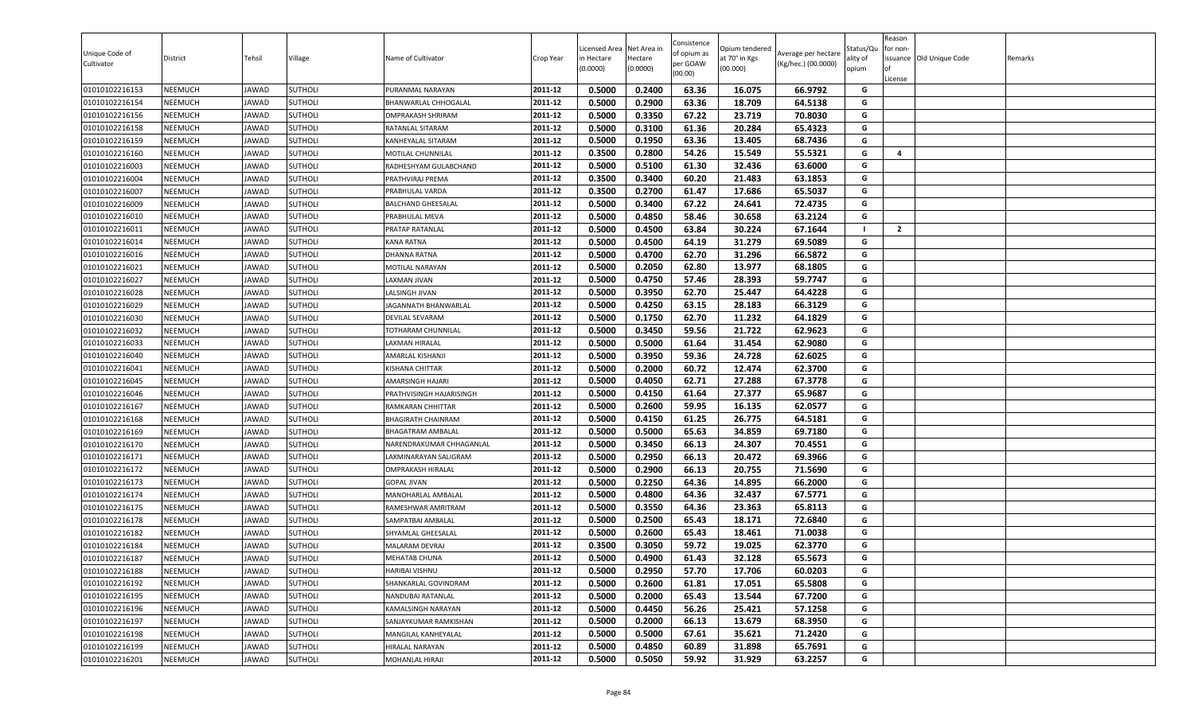| Unique Code of<br>Cultivator     | District                         | Tehsil         | Village                          | Name of Cultivator              | Crop Year          | icensed Area<br>in Hectare<br>(0.0000) | Net Area in<br>Hectare<br>(0.0000) | Consistence<br>of opium as<br>per GOAW<br>(00.00) | Opium tendered<br>it 70° in Kgs<br>(00.000) | Average per hectare<br>(Kg/hec.) (00.0000) | Status/Qu<br>ılity of<br>opium | Reason<br>for non-<br>lof<br>License | issuance Old Unique Code | Remarks |
|----------------------------------|----------------------------------|----------------|----------------------------------|---------------------------------|--------------------|----------------------------------------|------------------------------------|---------------------------------------------------|---------------------------------------------|--------------------------------------------|--------------------------------|--------------------------------------|--------------------------|---------|
| 01010102216153                   | <b>NEEMUCH</b>                   | JAWAD          | <b>SUTHOLI</b>                   | PURANMAL NARAYAN                | 2011-12            | 0.5000                                 | 0.2400                             | 63.36                                             | 16.075                                      | 66.9792                                    | G                              |                                      |                          |         |
| 01010102216154                   | <b>NEEMUCH</b>                   | JAWAD          | SUTHOLI                          | BHANWARLAL CHHOGALAL            | 2011-12            | 0.5000                                 | 0.2900                             | 63.36                                             | 18.709                                      | 64.5138                                    | G                              |                                      |                          |         |
| 01010102216156                   | <b>NEEMUCH</b>                   | JAWAD          | <b>SUTHOLI</b>                   | OMPRAKASH SHRIRAM               | 2011-12            | 0.5000                                 | 0.3350                             | 67.22                                             | 23.719                                      | 70.8030                                    | G                              |                                      |                          |         |
| 01010102216158                   | <b>NEEMUCH</b>                   | JAWAD          | <b>SUTHOLI</b>                   | RATANLAL SITARAM                | 2011-12            | 0.5000                                 | 0.3100                             | 61.36                                             | 20.284                                      | 65.4323                                    | G                              |                                      |                          |         |
| 01010102216159                   | <b>NEEMUCH</b>                   | JAWAD          | <b>SUTHOLI</b>                   | KANHEYALAL SITARAM              | 2011-12            | 0.5000                                 | 0.1950                             | 63.36                                             | 13.405                                      | 68.7436                                    | G                              |                                      |                          |         |
| 01010102216160                   | <b>NEEMUCH</b>                   | JAWAD          | SUTHOLI                          | MOTILAL CHUNNILAL               | 2011-12            | 0.3500                                 | 0.2800                             | 54.26                                             | 15.549                                      | 55.5321                                    | G                              | $\overline{4}$                       |                          |         |
| 01010102216003                   | <b>NEEMUCH</b>                   | JAWAD          | <b>SUTHOLI</b>                   | RADHESHYAM GULABCHAND           | 2011-12            | 0.5000                                 | 0.5100                             | 61.30                                             | 32.436                                      | 63.6000                                    | G                              |                                      |                          |         |
| 01010102216004                   | <b>NEEMUCH</b>                   | JAWAD          | <b>SUTHOLI</b>                   | PRATHVIRAJ PREMA                | 2011-12            | 0.3500                                 | 0.3400                             | 60.20                                             | 21.483                                      | 63.1853                                    | G                              |                                      |                          |         |
| 01010102216007                   | <b>NEEMUCH</b>                   | JAWAD          | <b>SUTHOLI</b>                   | PRABHULAL VARDA                 | 2011-12            | 0.3500                                 | 0.2700                             | 61.47                                             | 17.686                                      | 65.5037                                    | G                              |                                      |                          |         |
| 01010102216009                   | <b>NEEMUCH</b>                   | JAWAD          | <b>SUTHOLI</b>                   | BALCHAND GHEESALAL              | 2011-12            | 0.5000                                 | 0.3400                             | 67.22                                             | 24.641                                      | 72.4735                                    | G                              |                                      |                          |         |
| 01010102216010                   | <b>NEEMUCH</b>                   | JAWAD          | SUTHOLI                          | PRABHULAL MEVA                  | 2011-12            | 0.5000                                 | 0.4850                             | 58.46                                             | 30.658                                      | 63.2124                                    | G                              |                                      |                          |         |
| 01010102216011                   | <b>NEEMUCH</b>                   | JAWAD          | SUTHOLI                          | PRATAP RATANLAL                 | 2011-12            | 0.5000                                 | 0.4500                             | 63.84                                             | 30.224                                      | 67.1644                                    | - 1                            | $\overline{2}$                       |                          |         |
| 01010102216014                   | <b>NEEMUCH</b>                   | JAWAD          | SUTHOLI                          | <b>KANA RATNA</b>               | 2011-12            | 0.5000                                 | 0.4500                             | 64.19                                             | 31.279                                      | 69.5089                                    | G                              |                                      |                          |         |
| 01010102216016                   | <b>NEEMUCH</b>                   | JAWAD          | SUTHOLI                          | DHANNA RATNA                    | 2011-12            | 0.5000                                 | 0.4700                             | 62.70                                             | 31.296                                      | 66.5872                                    | G                              |                                      |                          |         |
| 01010102216021                   | <b>NEEMUCH</b>                   | JAWAD          | <b>SUTHOLI</b>                   | MOTILAL NARAYAN                 | 2011-12            | 0.5000                                 | 0.2050                             | 62.80                                             | 13.977                                      | 68.1805                                    | G                              |                                      |                          |         |
| 01010102216027                   | <b>NEEMUCH</b>                   | JAWAD          | <b>SUTHOLI</b>                   | LAXMAN JIVAN                    | 2011-12            | 0.5000                                 | 0.4750                             | 57.46                                             | 28.393                                      | 59.7747                                    | G                              |                                      |                          |         |
| 01010102216028                   | <b>NEEMUCH</b>                   | JAWAD          | <b>SUTHOLI</b>                   | LALSINGH JIVAN                  | 2011-12            | 0.5000                                 | 0.3950                             | 62.70                                             | 25.447                                      | 64.4228                                    | G                              |                                      |                          |         |
| 01010102216029                   | <b>NEEMUCH</b>                   | JAWAD          | SUTHOLI                          | JAGANNATH BHANWARLAL            | 2011-12            | 0.5000                                 | 0.4250                             | 63.15                                             | 28.183                                      | 66.3129                                    | G                              |                                      |                          |         |
| 01010102216030                   | <b>NEEMUCH</b>                   | JAWAD          | <b>SUTHOLI</b>                   | DEVILAL SEVARAM                 | 2011-12            | 0.5000                                 | 0.1750                             | 62.70                                             | 11.232                                      | 64.1829                                    | G                              |                                      |                          |         |
| 01010102216032                   | <b>NEEMUCH</b>                   | JAWAD          | <b>SUTHOLI</b>                   | TOTHARAM CHUNNILAL              | 2011-12            | 0.5000                                 | 0.3450                             | 59.56                                             | 21.722                                      | 62.9623                                    | G                              |                                      |                          |         |
| 01010102216033                   | <b>NEEMUCH</b>                   | JAWAD          | <b>SUTHOLI</b>                   | LAXMAN HIRALAL                  | 2011-12            | 0.5000                                 | 0.5000                             | 61.64                                             | 31.454                                      | 62.9080                                    | G                              |                                      |                          |         |
| 01010102216040                   | <b>NEEMUCH</b>                   | JAWAD          | SUTHOLI                          | AMARLAL KISHANJI                | 2011-12            | 0.5000                                 | 0.3950                             | 59.36                                             | 24.728                                      | 62.6025                                    | G                              |                                      |                          |         |
| 01010102216041                   | <b>NEEMUCH</b>                   | JAWAD          | <b>SUTHOLI</b>                   | KISHANA CHITTAR                 | 2011-12            | 0.5000                                 | 0.2000                             | 60.72                                             | 12.474                                      | 62.3700                                    | G                              |                                      |                          |         |
| 01010102216045                   | <b>NEEMUCH</b>                   | JAWAD          | SUTHOLI                          | AMARSINGH HAJARI                | 2011-12            | 0.5000                                 | 0.4050                             | 62.71                                             | 27.288                                      | 67.3778                                    | G                              |                                      |                          |         |
| 01010102216046                   | <b>NEEMUCH</b>                   | JAWAD          | SUTHOLI                          | PRATHVISINGH HAJARISINGH        | 2011-12            | 0.5000                                 | 0.4150                             | 61.64                                             | 27.377                                      | 65.9687                                    | G                              |                                      |                          |         |
| 01010102216167                   | <b>NEEMUCH</b>                   | JAWAD          | <b>SUTHOLI</b>                   | RAMKARAN CHHITTAR               | 2011-12            | 0.5000                                 | 0.2600                             | 59.95                                             | 16.135                                      | 62.0577                                    | G                              |                                      |                          |         |
| 01010102216168                   | <b>NEEMUCH</b>                   | JAWAD          | <b>SUTHOLI</b>                   | <b>BHAGIRATH CHAINRAM</b>       | 2011-12            | 0.5000                                 | 0.4150                             | 61.25                                             | 26.775                                      | 64.5181                                    | G                              |                                      |                          |         |
| 01010102216169                   | <b>NEEMUCH</b>                   | JAWAD          | <b>SUTHOLI</b>                   | <b>BHAGATRAM AMBALAL</b>        | 2011-12            | 0.5000                                 | 0.5000                             | 65.63                                             | 34.859                                      | 69.7180                                    | G                              |                                      |                          |         |
| 01010102216170                   | <b>NEEMUCH</b>                   | JAWAD          | SUTHOLI                          | NARENDRAKUMAR CHHAGANLAL        | 2011-12            | 0.5000                                 | 0.3450                             | 66.13                                             | 24.307                                      | 70.4551                                    | G                              |                                      |                          |         |
| 01010102216171                   | <b>NEEMUCH</b>                   | JAWAD          | <b>SUTHOLI</b>                   | LAXMINARAYAN SALIGRAM           | 2011-12            | 0.5000                                 | 0.2950                             | 66.13                                             | 20.472                                      | 69.3966                                    | G                              |                                      |                          |         |
| 01010102216172                   | <b>NEEMUCH</b>                   | JAWAD          | SUTHOLI                          | OMPRAKASH HIRALAL               | 2011-12            | 0.5000                                 | 0.2900                             | 66.13                                             | 20.755                                      | 71.5690                                    | G                              |                                      |                          |         |
| 01010102216173                   | <b>NEEMUCH</b>                   | JAWAD          | <b>SUTHOLI</b>                   | <b>GOPAL JIVAN</b>              | 2011-12            | 0.5000                                 | 0.2250                             | 64.36                                             | 14.895                                      | 66.2000                                    | G                              |                                      |                          |         |
| 01010102216174                   | <b>NEEMUCH</b>                   | JAWAD          | <b>SUTHOLI</b>                   | MANOHARLAL AMBALAL              | 2011-12            | 0.5000                                 | 0.4800                             | 64.36                                             | 32.437                                      | 67.5771                                    | G<br>G                         |                                      |                          |         |
| 01010102216175                   | <b>NEEMUCH</b>                   | JAWAD          | SUTHOLI                          | RAMESHWAR AMRITRAM              | 2011-12<br>2011-12 | 0.5000                                 | 0.3550                             | 64.36                                             | 23.363                                      | 65.8113                                    | G                              |                                      |                          |         |
| 01010102216178                   | <b>NEEMUCH</b><br><b>NEEMUCH</b> | JAWAD          | SUTHOLI                          | SAMPATBAI AMBALAL               | 2011-12            | 0.5000<br>0.5000                       | 0.2500<br>0.2600                   | 65.43<br>65.43                                    | 18.171<br>18.461                            | 72.6840<br>71.0038                         | G                              |                                      |                          |         |
| 01010102216182<br>01010102216184 | <b>NEEMUCH</b>                   | JAWAD<br>JAWAD | <b>SUTHOLI</b><br><b>SUTHOLI</b> | SHYAMLAL GHEESALAL              | 2011-12            | 0.3500                                 | 0.3050                             | 59.72                                             | 19.025                                      | 62.3770                                    | G                              |                                      |                          |         |
| 01010102216187                   | <b>NEEMUCH</b>                   | JAWAD          | <b>SUTHOLI</b>                   | MALARAM DEVRAJ<br>MEHATAB CHUNA | 2011-12            | 0.5000                                 | 0.4900                             | 61.43                                             | 32.128                                      | 65.5673                                    | G                              |                                      |                          |         |
| 01010102216188                   | <b>NEEMUCH</b>                   | JAWAD          | <b>SUTHOLI</b>                   | HARIBAI VISHNU                  | 2011-12            | 0.5000                                 | 0.2950                             | 57.70                                             | 17.706                                      |                                            | G                              |                                      |                          |         |
| 01010102216192                   | <b>NEEMUCH</b>                   | JAWAD          | SUTHOLI                          | SHANKARLAL GOVINDRAM            | 2011-12            | 0.5000                                 | 0.2600                             | 61.81                                             | 17.051                                      | 60.0203<br>65.5808                         | G                              |                                      |                          |         |
| 01010102216195                   | <b>NEEMUCH</b>                   | JAWAD          | SUTHOLI                          | NANDUBAI RATANLAL               | 2011-12            | 0.5000                                 | 0.2000                             | 65.43                                             | 13.544                                      | 67.7200                                    | G                              |                                      |                          |         |
|                                  |                                  |                |                                  | KAMALSINGH NARAYAN              | 2011-12            | 0.5000                                 | 0.4450                             | 56.26                                             | 25.421                                      | 57.1258                                    | G                              |                                      |                          |         |
| 01010102216196<br>01010102216197 | <b>NEEMUCH</b><br><b>NEEMUCH</b> | JAWAD<br>JAWAD | <b>SUTHOLI</b><br>SUTHOLI        | SANJAYKUMAR RAMKISHAN           | 2011-12            | 0.5000                                 | 0.2000                             | 66.13                                             | 13.679                                      | 68.3950                                    | G                              |                                      |                          |         |
| 01010102216198                   | <b>NEEMUCH</b>                   | JAWAD          | SUTHOLI                          | MANGILAL KANHEYALAL             | 2011-12            | 0.5000                                 | 0.5000                             | 67.61                                             | 35.621                                      | 71.2420                                    | G                              |                                      |                          |         |
| 01010102216199                   | <b>NEEMUCH</b>                   | JAWAD          | <b>SUTHOLI</b>                   | HIRALAL NARAYAN                 | 2011-12            | 0.5000                                 | 0.4850                             | 60.89                                             | 31.898                                      | 65.7691                                    | G                              |                                      |                          |         |
| 01010102216201                   | <b>NEEMUCH</b>                   | JAWAD          | <b>SUTHOLI</b>                   | MOHANLAL HIRAJI                 | 2011-12            | 0.5000                                 | 0.5050                             | 59.92                                             | 31.929                                      | 63.2257                                    | G                              |                                      |                          |         |
|                                  |                                  |                |                                  |                                 |                    |                                        |                                    |                                                   |                                             |                                            |                                |                                      |                          |         |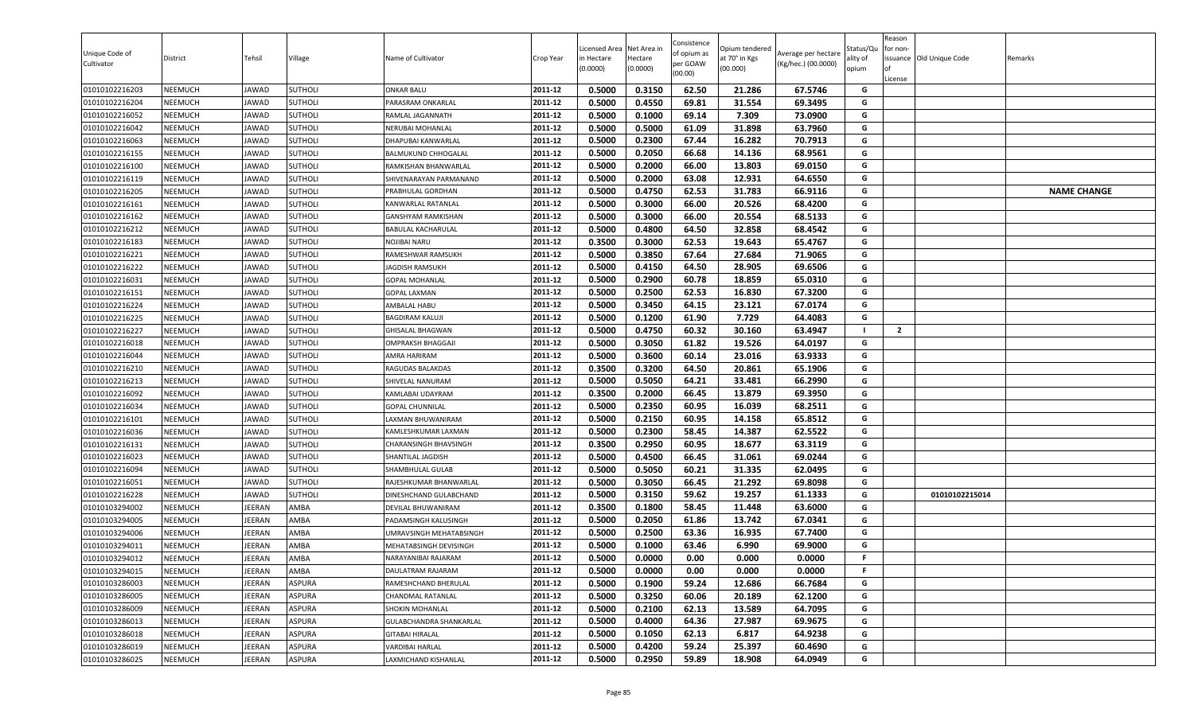| Unique Code of<br>Cultivator | District       | Tehsil        | Village        | Name of Cultivator        | Crop Year | Licensed Area<br>in Hectare<br>(0.0000) | Net Area in<br>Hectare<br>(0.0000) | Consistence<br>of opium as<br>per GOAW<br>(00.00) | Opium tendered<br>at 70° in Kgs<br>(00.000) | Average per hectare<br>(Kg/hec.) (00.0000) | აtatus/Qι<br>ılity of<br>opium | Reason<br>for non-<br>of<br>License | issuance Old Unique Code | Remarks            |
|------------------------------|----------------|---------------|----------------|---------------------------|-----------|-----------------------------------------|------------------------------------|---------------------------------------------------|---------------------------------------------|--------------------------------------------|--------------------------------|-------------------------------------|--------------------------|--------------------|
| 01010102216203               | <b>NEEMUCH</b> | JAWAD         | <b>SUTHOLI</b> | <b>ONKAR BALU</b>         | 2011-12   | 0.5000                                  | 0.3150                             | 62.50                                             | 21.286                                      | 67.5746                                    | G                              |                                     |                          |                    |
| 01010102216204               | NEEMUCH        | JAWAD         | SUTHOLI        | PARASRAM ONKARLAL         | 2011-12   | 0.5000                                  | 0.4550                             | 69.81                                             | 31.554                                      | 69.3495                                    | G                              |                                     |                          |                    |
| 01010102216052               | NEEMUCH        | JAWAD         | <b>SUTHOLI</b> | RAMLAL JAGANNATH          | 2011-12   | 0.5000                                  | 0.1000                             | 69.14                                             | 7.309                                       | 73.0900                                    | G                              |                                     |                          |                    |
| 01010102216042               | NEEMUCH        | JAWAD         | <b>SUTHOLI</b> | NERUBAI MOHANLAL          | 2011-12   | 0.5000                                  | 0.5000                             | 61.09                                             | 31.898                                      | 63.7960                                    | G                              |                                     |                          |                    |
| 01010102216063               | NEEMUCH        | JAWAD         | <b>SUTHOLI</b> | DHAPUBAI KANWARLAL        | 2011-12   | 0.5000                                  | 0.2300                             | 67.44                                             | 16.282                                      | 70.7913                                    | G                              |                                     |                          |                    |
| 01010102216155               | <b>NEEMUCH</b> | JAWAD         | <b>SUTHOLI</b> | BALMUKUND CHHOGALAL       | 2011-12   | 0.5000                                  | 0.2050                             | 66.68                                             | 14.136                                      | 68.9561                                    | G                              |                                     |                          |                    |
| 01010102216100               | <b>NEEMUCH</b> | <b>JAWAD</b>  | <b>SUTHOLI</b> | RAMKISHAN BHANWARLAL      | 2011-12   | 0.5000                                  | 0.2000                             | 66.00                                             | 13.803                                      | 69.0150                                    | G                              |                                     |                          |                    |
| 01010102216119               | <b>NEEMUCH</b> | JAWAD         | <b>SUTHOLI</b> | SHIVENARAYAN PARMANAND    | 2011-12   | 0.5000                                  | 0.2000                             | 63.08                                             | 12.931                                      | 64.6550                                    | G                              |                                     |                          |                    |
| 01010102216205               | <b>NEEMUCH</b> | JAWAD         | SUTHOLI        | PRABHULAL GORDHAN         | 2011-12   | 0.5000                                  | 0.4750                             | 62.53                                             | 31.783                                      | 66.9116                                    | G                              |                                     |                          | <b>NAME CHANGE</b> |
| 01010102216161               | NEEMUCH        | <b>JAWAD</b>  | <b>SUTHOLI</b> | KANWARLAL RATANLAL        | 2011-12   | 0.5000                                  | 0.3000                             | 66.00                                             | 20.526                                      | 68.4200                                    | G                              |                                     |                          |                    |
| 01010102216162               | NEEMUCH        | JAWAD         | SUTHOLI        | GANSHYAM RAMKISHAN        | 2011-12   | 0.5000                                  | 0.3000                             | 66.00                                             | 20.554                                      | 68.5133                                    | G                              |                                     |                          |                    |
| 01010102216212               | NEEMUCH        | <b>JAWAD</b>  | <b>SUTHOLI</b> | <b>BABULAL KACHARULAL</b> | 2011-12   | 0.5000                                  | 0.4800                             | 64.50                                             | 32.858                                      | 68.4542                                    | G                              |                                     |                          |                    |
| 01010102216183               | NEEMUCH        | JAWAD         | <b>SUTHOLI</b> | NOJIBAI NARU              | 2011-12   | 0.3500                                  | 0.3000                             | 62.53                                             | 19.643                                      | 65.4767                                    | G                              |                                     |                          |                    |
| 01010102216221               | NEEMUCH        | JAWAD         | <b>SUTHOLI</b> | RAMESHWAR RAMSUKH         | 2011-12   | 0.5000                                  | 0.3850                             | 67.64                                             | 27.684                                      | 71.9065                                    | G                              |                                     |                          |                    |
| 01010102216222               | <b>NEEMUCH</b> | JAWAD         | <b>SUTHOLI</b> | JAGDISH RAMSUKH           | 2011-12   | 0.5000                                  | 0.4150                             | 64.50                                             | 28.905                                      | 69.6506                                    | G                              |                                     |                          |                    |
| 01010102216031               | <b>NEEMUCH</b> | JAWAD         | <b>SUTHOLI</b> | <b>GOPAL MOHANLAL</b>     | 2011-12   | 0.5000                                  | 0.2900                             | 60.78                                             | 18.859                                      | 65.0310                                    | G                              |                                     |                          |                    |
| 01010102216151               | <b>NEEMUCH</b> | JAWAD         | <b>SUTHOLI</b> | <b>GOPAL LAXMAN</b>       | 2011-12   | 0.5000                                  | 0.2500                             | 62.53                                             | 16.830                                      | 67.3200                                    | G                              |                                     |                          |                    |
| 01010102216224               | NEEMUCH        | <b>JAWAD</b>  | <b>SUTHOLI</b> | AMBALAL HABU              | 2011-12   | 0.5000                                  | 0.3450                             | 64.15                                             | 23.121                                      | 67.0174                                    | G                              |                                     |                          |                    |
| 01010102216225               | <b>NEEMUCH</b> | <b>JAWAD</b>  | <b>SUTHOLI</b> | <b>BAGDIRAM KALUJI</b>    | 2011-12   | 0.5000                                  | 0.1200                             | 61.90                                             | 7.729                                       | 64.4083                                    | G                              |                                     |                          |                    |
| 01010102216227               | NEEMUCH        | JAWAD         | SUTHOLI        | <b>GHISALAL BHAGWAN</b>   | 2011-12   | 0.5000                                  | 0.4750                             | 60.32                                             | 30.160                                      | 63.4947                                    | - 1                            | $\overline{2}$                      |                          |                    |
| 01010102216018               | NEEMUCH        | <b>JAWAD</b>  | <b>SUTHOLI</b> | <b>OMPRAKSH BHAGGAJI</b>  | 2011-12   | 0.5000                                  | 0.3050                             | 61.82                                             | 19.526                                      | 64.0197                                    | G                              |                                     |                          |                    |
| 01010102216044               | <b>NEEMUCH</b> | JAWAD         | <b>SUTHOLI</b> | AMRA HARIRAM              | 2011-12   | 0.5000                                  | 0.3600                             | 60.14                                             | 23.016                                      | 63.9333                                    | G                              |                                     |                          |                    |
| 01010102216210               | NEEMUCH        | JAWAD         | <b>SUTHOLI</b> | RAGUDAS BALAKDAS          | 2011-12   | 0.3500                                  | 0.3200                             | 64.50                                             | 20.861                                      | 65.1906                                    | G                              |                                     |                          |                    |
| 01010102216213               | <b>NEEMUCH</b> | JAWAD         | <b>SUTHOLI</b> | SHIVELAL NANURAM          | 2011-12   | 0.5000                                  | 0.5050                             | 64.21                                             | 33.481                                      | 66.2990                                    | G                              |                                     |                          |                    |
| 01010102216092               | <b>NEEMUCH</b> | JAWAD         | SUTHOLI        | KAMLABAI UDAYRAM          | 2011-12   | 0.3500                                  | 0.2000                             | 66.45                                             | 13.879                                      | 69.3950                                    | G                              |                                     |                          |                    |
| 01010102216034               | NEEMUCH        | JAWAD         | <b>SUTHOLI</b> | <b>GOPAL CHUNNILAL</b>    | 2011-12   | 0.5000                                  | 0.2350                             | 60.95                                             | 16.039                                      | 68.2511                                    | G                              |                                     |                          |                    |
| 01010102216101               | NEEMUCH        | JAWAD         | <b>SUTHOLI</b> | LAXMAN BHUWANIRAM         | 2011-12   | 0.5000                                  | 0.2150                             | 60.95                                             | 14.158                                      | 65.8512                                    | G                              |                                     |                          |                    |
| 01010102216036               | NEEMUCH        | <b>JAWAD</b>  | SUTHOLI        | KAMLESHKUMAR LAXMAN       | 2011-12   | 0.5000                                  | 0.2300                             | 58.45                                             | 14.387                                      | 62.5522                                    | G                              |                                     |                          |                    |
| 01010102216131               | NEEMUCH        | JAWAD         | SUTHOLI        | CHARANSINGH BHAVSINGH     | 2011-12   | 0.3500                                  | 0.2950                             | 60.95                                             | 18.677                                      | 63.3119                                    | G                              |                                     |                          |                    |
| 01010102216023               | NEEMUCH        | JAWAD         | <b>SUTHOLI</b> | SHANTILAL JAGDISH         | 2011-12   | 0.5000                                  | 0.4500                             | 66.45                                             | 31.061                                      | 69.0244                                    | G                              |                                     |                          |                    |
| 01010102216094               | NEEMUCH        | JAWAD         | SUTHOLI        | SHAMBHULAL GULAB          | 2011-12   | 0.5000                                  | 0.5050                             | 60.21                                             | 31.335                                      | 62.0495                                    | G                              |                                     |                          |                    |
| 01010102216051               | <b>NEEMUCH</b> | JAWAD         | <b>SUTHOLI</b> | RAJESHKUMAR BHANWARLAL    | 2011-12   | 0.5000                                  | 0.3050                             | 66.45                                             | 21.292                                      | 69.8098                                    | G                              |                                     |                          |                    |
| 01010102216228               | NEEMUCH        | JAWAD         | <b>SUTHOLI</b> | DINESHCHAND GULABCHAND    | 2011-12   | 0.5000                                  | 0.3150                             | 59.62                                             | 19.257                                      | 61.1333                                    | G                              |                                     | 01010102215014           |                    |
| 01010103294002               | NEEMUCH        | JEERAN        | AMBA           | DEVILAL BHUWANIRAM        | 2011-12   | 0.3500                                  | 0.1800                             | 58.45                                             | 11.448                                      | 63.6000                                    | G                              |                                     |                          |                    |
| 01010103294005               | NEEMUCH        | JEERAN        | AMBA           | PADAMSINGH KALUSINGH      | 2011-12   | 0.5000                                  | 0.2050                             | 61.86                                             | 13.742                                      | 67.0341                                    | G                              |                                     |                          |                    |
| 01010103294006               | NEEMUCH        | JEERAN        | AMBA           | UMRAVSINGH MEHATABSINGH   | 2011-12   | 0.5000                                  | 0.2500                             | 63.36                                             | 16.935                                      | 67.7400                                    | G                              |                                     |                          |                    |
| 01010103294011               | NEEMUCH        | <b>JEERAN</b> | AMBA           | MEHATABSINGH DEVISINGH    | 2011-12   | 0.5000                                  | 0.1000                             | 63.46                                             | 6.990                                       | 69.9000                                    | G                              |                                     |                          |                    |
| 01010103294012               | <b>NEEMUCH</b> | JEERAN        | AMBA           | NARAYANIBAI RAJARAM       | 2011-12   | 0.5000                                  | 0.0000                             | 0.00                                              | 0.000                                       | 0.0000                                     | F                              |                                     |                          |                    |
| 01010103294015               | NEEMUCH        | JEERAN        | AMBA           | DAULATRAM RAJARAM         | 2011-12   | 0.5000                                  | 0.0000                             | 0.00                                              | 0.000                                       | 0.0000                                     | F.                             |                                     |                          |                    |
| 01010103286003               | NEEMUCH        | JEERAN        | <b>ASPURA</b>  | RAMESHCHAND BHERULAL      | 2011-12   | 0.5000                                  | 0.1900                             | 59.24                                             | 12.686                                      | 66.7684                                    | G                              |                                     |                          |                    |
| 01010103286005               | NEEMUCH        | JEERAN        | <b>ASPURA</b>  | CHANDMAL RATANLAL         | 2011-12   | 0.5000                                  | 0.3250                             | 60.06                                             | 20.189                                      | 62.1200                                    | G                              |                                     |                          |                    |
| 01010103286009               | NEEMUCH        | JEERAN        | ASPURA         | SHOKIN MOHANLAL           | 2011-12   | 0.5000                                  | 0.2100                             | 62.13                                             | 13.589                                      | 64.7095                                    | G                              |                                     |                          |                    |
| 01010103286013               | <b>NEEMUCH</b> | JEERAN        | ASPURA         | GULABCHANDRA SHANKARLAL   | 2011-12   | 0.5000                                  | 0.4000                             | 64.36                                             | 27.987                                      | 69.9675                                    | G                              |                                     |                          |                    |
| 01010103286018               | <b>NEEMUCH</b> | JEERAN        | <b>ASPURA</b>  | <b>GITABAI HIRALAL</b>    | 2011-12   | 0.5000                                  | 0.1050                             | 62.13                                             | 6.817                                       | 64.9238                                    | G                              |                                     |                          |                    |
| 01010103286019               | <b>NEEMUCH</b> | JEERAN        | ASPURA         | <b>VARDIBAI HARLAL</b>    | 2011-12   | 0.5000                                  | 0.4200                             | 59.24                                             | 25.397                                      | 60.4690                                    | G                              |                                     |                          |                    |
| 01010103286025               | NEEMUCH        | JEERAN        | ASPURA         | LAXMICHAND KISHANLAL      | 2011-12   | 0.5000                                  | 0.2950                             | 59.89                                             | 18.908                                      | 64.0949                                    | G                              |                                     |                          |                    |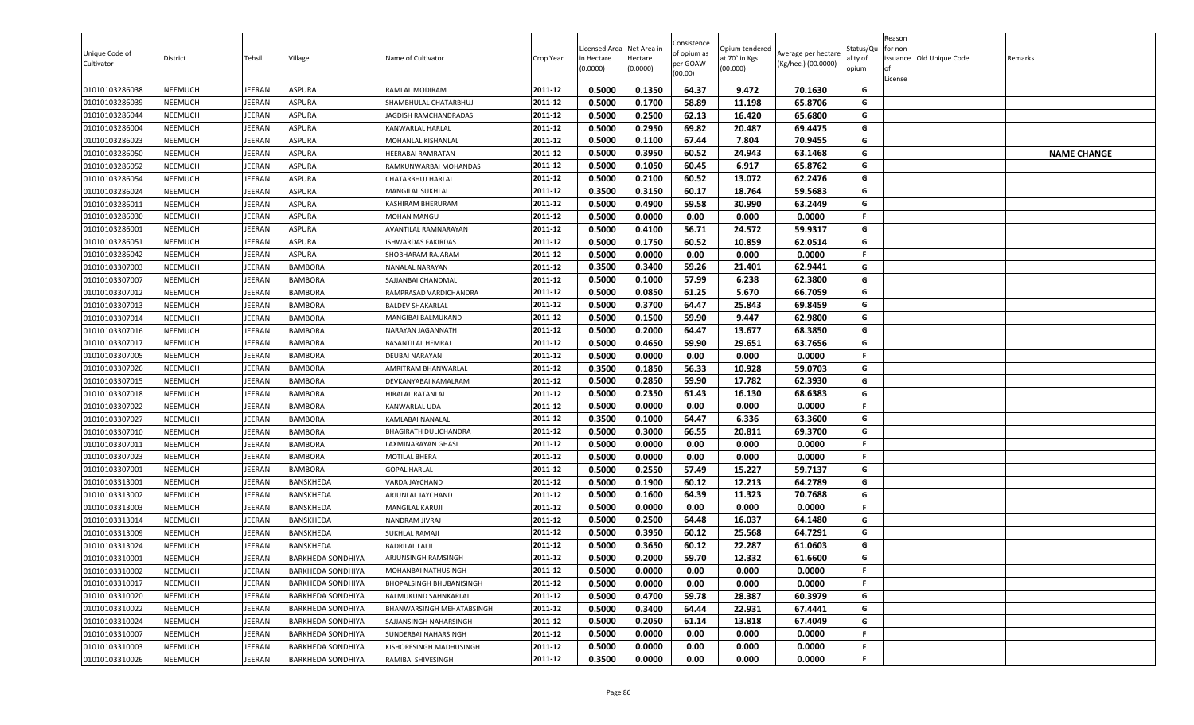| Unique Code of<br>Cultivator     | District                         | Tehsil                  | Village                                              | Name of Cultivator                                     | Crop Year          | Licensed Area<br>in Hectare<br>(0.0000) | Net Area in<br>Hectare<br>(0.0000) | Consistence<br>of opium as<br>per GOAW<br>(00.00) | Opium tendered<br>at 70° in Kgs<br>(00.000) | Average per hectare<br>(Kg/hec.) (00.0000) | Status/Qu<br>ality of<br>opium | Reason<br>for non-<br>lof<br>License | issuance Old Unique Code | Remarks            |
|----------------------------------|----------------------------------|-------------------------|------------------------------------------------------|--------------------------------------------------------|--------------------|-----------------------------------------|------------------------------------|---------------------------------------------------|---------------------------------------------|--------------------------------------------|--------------------------------|--------------------------------------|--------------------------|--------------------|
| 01010103286038                   | <b>NEEMUCH</b>                   | <b>JEERAN</b>           | <b>ASPURA</b>                                        | RAMLAL MODIRAM                                         | 2011-12            | 0.5000                                  | 0.1350                             | 64.37                                             | 9.472                                       | 70.1630                                    | G                              |                                      |                          |                    |
| 01010103286039                   | <b>NEEMUCH</b>                   | JEERAN                  | ASPURA                                               | SHAMBHULAL CHATARBHUJ                                  | 2011-12            | 0.5000                                  | 0.1700                             | 58.89                                             | 11.198                                      | 65.8706                                    | G                              |                                      |                          |                    |
| 01010103286044                   | <b>NEEMUCH</b>                   | JEERAN                  | <b>ASPURA</b>                                        | JAGDISH RAMCHANDRADAS                                  | 2011-12            | 0.5000                                  | 0.2500                             | 62.13                                             | 16.420                                      | 65.6800                                    | G                              |                                      |                          |                    |
| 01010103286004                   | <b>NEEMUCH</b>                   | <b>JEERAN</b>           | ASPURA                                               | KANWARLAL HARLAL                                       | 2011-12            | 0.5000                                  | 0.2950                             | 69.82                                             | 20.487                                      | 69.4475                                    | G                              |                                      |                          |                    |
| 01010103286023                   | <b>NEEMUCH</b>                   | <b>JEERAN</b>           | ASPURA                                               | MOHANLAL KISHANLAL                                     | 2011-12            | 0.5000                                  | 0.1100                             | 67.44                                             | 7.804                                       | 70.9455                                    | G                              |                                      |                          |                    |
| 01010103286050                   | <b>NEEMUCH</b>                   | JEERAN                  | <b>ASPURA</b>                                        | HEERABAI RAMRATAN                                      | 2011-12            | 0.5000                                  | 0.3950                             | 60.52                                             | 24.943                                      | 63.1468                                    | G                              |                                      |                          | <b>NAME CHANGE</b> |
| 01010103286052                   | <b>NEEMUCH</b>                   | <b>JEERAN</b>           | ASPURA                                               | RAMKUNWARBAI MOHANDAS                                  | 2011-12            | 0.5000                                  | 0.1050                             | 60.45                                             | 6.917                                       | 65.8762                                    | G                              |                                      |                          |                    |
| 01010103286054                   | <b>NEEMUCH</b>                   | JEERAN                  | <b>ASPURA</b>                                        | CHATARBHUJ HARLAI                                      | 2011-12            | 0.5000                                  | 0.2100                             | 60.52                                             | 13.072                                      | 62.2476                                    | G                              |                                      |                          |                    |
| 01010103286024                   | <b>NEEMUCH</b>                   | <b>JEERAN</b>           | ASPURA                                               | MANGILAL SUKHLAL                                       | 2011-12            | 0.3500                                  | 0.3150                             | 60.17                                             | 18.764                                      | 59.5683                                    | G                              |                                      |                          |                    |
| 01010103286011                   | <b>NEEMUCH</b>                   | JEERAN                  | ASPURA                                               | KASHIRAM BHERURAM                                      | 2011-12            | 0.5000                                  | 0.4900                             | 59.58                                             | 30.990                                      | 63.2449                                    | G                              |                                      |                          |                    |
| 01010103286030                   | NEEMUCH                          | <b>JEERAN</b>           | ASPURA                                               | MOHAN MANGU                                            | 2011-12            | 0.5000                                  | 0.0000                             | 0.00                                              | 0.000                                       | 0.0000                                     | F.                             |                                      |                          |                    |
| 01010103286001                   | <b>NEEMUCH</b>                   | JEERAN                  | <b>ASPURA</b>                                        | AVANTILAL RAMNARAYAN                                   | 2011-12            | 0.5000                                  | 0.4100                             | 56.71                                             | 24.572                                      | 59.9317                                    | G                              |                                      |                          |                    |
| 01010103286051                   | <b>NEEMUCH</b>                   | JEERAN                  | ASPURA                                               | ISHWARDAS FAKIRDAS                                     | 2011-12            | 0.5000                                  | 0.1750                             | 60.52                                             | 10.859                                      | 62.0514                                    | G                              |                                      |                          |                    |
| 01010103286042                   | <b>NEEMUCH</b>                   | JEERAN                  | ASPURA                                               | SHOBHARAM RAJARAM                                      | 2011-12            | 0.5000                                  | 0.0000                             | 0.00                                              | 0.000                                       | 0.0000                                     | F                              |                                      |                          |                    |
| 01010103307003                   | <b>NEEMUCH</b>                   | JEERAN                  | <b>BAMBORA</b>                                       | NANALAL NARAYAN                                        | 2011-12            | 0.3500                                  | 0.3400                             | 59.26                                             | 21.401                                      | 62.9441                                    | G                              |                                      |                          |                    |
| 01010103307007                   | <b>NEEMUCH</b>                   | <b>JEERAN</b>           | <b>BAMBORA</b>                                       | SAJJANBAI CHANDMAL                                     | 2011-12            | 0.5000                                  | 0.1000                             | 57.99                                             | 6.238                                       | 62.3800                                    | G                              |                                      |                          |                    |
| 01010103307012                   | <b>NEEMUCH</b>                   | JEERAN                  | <b>BAMBORA</b>                                       | RAMPRASAD VARDICHANDRA                                 | 2011-12            | 0.5000                                  | 0.0850                             | 61.25                                             | 5.670                                       | 66.7059                                    | G                              |                                      |                          |                    |
| 01010103307013                   | <b>NEEMUCH</b>                   | <b>JEERAN</b>           | <b>BAMBORA</b>                                       | <b>BALDEV SHAKARLAL</b>                                | 2011-12            | 0.5000                                  | 0.3700                             | 64.47                                             | 25.843                                      | 69.8459                                    | G                              |                                      |                          |                    |
| 01010103307014                   | <b>NEEMUCH</b>                   | JEERAN                  | <b>BAMBORA</b>                                       | MANGIBAI BALMUKAND                                     | 2011-12            | 0.5000                                  | 0.1500                             | 59.90                                             | 9.447                                       | 62.9800                                    | G                              |                                      |                          |                    |
| 01010103307016                   | <b>NEEMUCH</b>                   | <b>JEERAN</b>           | <b>BAMBORA</b>                                       | NARAYAN JAGANNATH                                      | 2011-12            | 0.5000                                  | 0.2000                             | 64.47                                             | 13.677                                      | 68.3850                                    | G                              |                                      |                          |                    |
| 01010103307017                   | <b>NEEMUCH</b>                   | JEERAN                  | <b>BAMBORA</b>                                       | BASANTILAL HEMRAJ                                      | 2011-12            | 0.5000                                  | 0.4650                             | 59.90                                             | 29.651                                      | 63.7656                                    | G                              |                                      |                          |                    |
| 01010103307005                   | <b>NEEMUCH</b>                   | JEERAN                  | <b>BAMBORA</b>                                       | DEUBAI NARAYAN                                         | 2011-12            | 0.5000                                  | 0.0000                             | 0.00                                              | 0.000                                       | 0.0000                                     | F.                             |                                      |                          |                    |
| 01010103307026                   | <b>NEEMUCH</b>                   | JEERAN                  | <b>BAMBORA</b>                                       | AMRITRAM BHANWARLAL                                    | 2011-12            | 0.3500                                  | 0.1850                             | 56.33                                             | 10.928                                      | 59.0703                                    | G                              |                                      |                          |                    |
| 01010103307015                   | <b>NEEMUCH</b>                   | JEERAN                  | <b>BAMBORA</b>                                       | DEVKANYABAI KAMALRAM                                   | 2011-12            | 0.5000                                  | 0.2850                             | 59.90                                             | 17.782                                      | 62.3930                                    | G                              |                                      |                          |                    |
| 01010103307018                   | <b>NEEMUCH</b>                   | <b>JEERAN</b>           | <b>BAMBORA</b>                                       | HIRALAL RATANLAL                                       | 2011-12            | 0.5000                                  | 0.2350                             | 61.43                                             | 16.130                                      | 68.6383                                    | G                              |                                      |                          |                    |
| 01010103307022                   | <b>NEEMUCH</b>                   | JEERAN                  | <b>BAMBORA</b>                                       | KANWARLAL UDA                                          | 2011-12            | 0.5000                                  | 0.0000                             | 0.00                                              | 0.000                                       | 0.0000                                     | F.                             |                                      |                          |                    |
| 01010103307027                   | <b>NEEMUCH</b>                   | JEERAN                  | <b>BAMBORA</b>                                       | KAMLABAI NANALAL                                       | 2011-12            | 0.3500                                  | 0.1000                             | 64.47                                             | 6.336                                       | 63.3600                                    | G                              |                                      |                          |                    |
| 01010103307010                   | <b>NEEMUCH</b>                   | JEERAN                  | <b>BAMBORA</b>                                       | BHAGIRATH DULICHANDRA                                  | 2011-12            | 0.5000                                  | 0.3000                             | 66.55                                             | 20.811                                      | 69.3700                                    | G                              |                                      |                          |                    |
| 01010103307011                   | <b>NEEMUCH</b>                   | <b>JEERAN</b>           | <b>BAMBORA</b>                                       | LAXMINARAYAN GHASI                                     | 2011-12            | 0.5000                                  | 0.0000                             | 0.00                                              | 0.000                                       | 0.0000                                     | F.                             |                                      |                          |                    |
| 01010103307023                   | <b>NEEMUCH</b>                   | <b>JEERAN</b>           | <b>BAMBORA</b>                                       | MOTILAL BHERA                                          | 2011-12            | 0.5000                                  | 0.0000                             | 0.00                                              | 0.000                                       | 0.0000                                     | F.                             |                                      |                          |                    |
| 01010103307001                   | <b>NEEMUCH</b>                   | JEERAN                  | <b>BAMBORA</b>                                       | <b>GOPAL HARLAL</b>                                    | 2011-12            | 0.5000                                  | 0.2550                             | 57.49                                             | 15.227                                      | 59.7137                                    | G                              |                                      |                          |                    |
| 01010103313001                   | <b>NEEMUCH</b>                   | <b>JEERAN</b>           | <b>BANSKHEDA</b>                                     | VARDA JAYCHAND                                         | 2011-12            | 0.5000                                  | 0.1900                             | 60.12                                             | 12.213                                      | 64.2789                                    | G                              |                                      |                          |                    |
| 01010103313002                   | <b>NEEMUCH</b>                   | JEERAN                  | <b>BANSKHEDA</b>                                     | ARJUNLAL JAYCHAND                                      | 2011-12            | 0.5000                                  | 0.1600                             | 64.39                                             | 11.323                                      | 70.7688                                    | G                              |                                      |                          |                    |
| 01010103313003                   | <b>NEEMUCH</b>                   | <b>JEERAN</b>           | BANSKHEDA<br><b>BANSKHEDA</b>                        | MANGILAL KARUJI                                        | 2011-12            | 0.5000                                  | 0.0000                             | 0.00                                              | 0.000                                       | 0.0000                                     | F.                             |                                      |                          |                    |
| 01010103313014                   | <b>NEEMUCH</b>                   | JEERAN                  |                                                      | NANDRAM JIVRAJ                                         | 2011-12<br>2011-12 | 0.5000                                  | 0.2500<br>0.3950                   | 64.48                                             | 16.037<br>25.568                            | 64.1480                                    | G<br>G                         |                                      |                          |                    |
| 01010103313009                   | <b>NEEMUCH</b>                   | <b>JEERAN</b>           | <b>BANSKHEDA</b>                                     | SUKHLAL RAMAJI                                         | 2011-12            | 0.5000                                  |                                    | 60.12                                             |                                             | 64.7291                                    | G                              |                                      |                          |                    |
| 01010103313024                   | <b>NEEMUCH</b>                   | <b>JEERAN</b>           | BANSKHEDA                                            | BADRILAL LALJI<br>ARJUNSINGH RAMSINGH                  | 2011-12            | 0.5000<br>0.5000                        | 0.3650<br>0.2000                   | 60.12<br>59.70                                    | 22.287<br>12.332                            | 61.0603<br>61.6600                         | G                              |                                      |                          |                    |
| 01010103310001                   | <b>NEEMUCH</b>                   | <b>JEERAN</b>           | <b>BARKHEDA SONDHIYA</b>                             |                                                        | 2011-12            |                                         |                                    |                                                   |                                             |                                            |                                |                                      |                          |                    |
| 01010103310002                   | <b>NEEMUCH</b>                   | JEERAN                  | <b>BARKHEDA SONDHIYA</b>                             | MOHANBAI NATHUSINGH<br><b>BHOPALSINGH BHUBANISINGH</b> | 2011-12            | 0.5000<br>0.5000                        | 0.0000<br>0.0000                   | 0.00<br>0.00                                      | 0.000<br>0.000                              | 0.0000<br>0.0000                           | F.<br>F.                       |                                      |                          |                    |
| 01010103310017                   | <b>NEEMUCH</b>                   | JEERAN                  | <b>BARKHEDA SONDHIYA</b>                             |                                                        | 2011-12            |                                         |                                    |                                                   |                                             |                                            | G                              |                                      |                          |                    |
| 01010103310020                   | <b>NEEMUCH</b>                   | JEERAN                  | <b>BARKHEDA SONDHIYA</b>                             | BALMUKUND SAHNKARLAL                                   | 2011-12            | 0.5000                                  | 0.4700                             | 59.78                                             | 28.387<br>22.931                            | 60.3979                                    | G                              |                                      |                          |                    |
| 01010103310022                   | <b>NEEMUCH</b>                   | JEERAN                  | <b>BARKHEDA SONDHIYA</b>                             | BHANWARSINGH MEHATABSINGH                              | 2011-12            | 0.5000                                  | 0.3400                             | 64.44                                             |                                             | 67.4441                                    | G                              |                                      |                          |                    |
| 01010103310024<br>01010103310007 | <b>NEEMUCH</b><br><b>NEEMUCH</b> | <b>JEERAN</b><br>JEERAN | <b>BARKHEDA SONDHIYA</b><br><b>BARKHEDA SONDHIYA</b> | SAJJANSINGH NAHARSINGH<br>SUNDERBAI NAHARSINGH         | 2011-12            | 0.5000                                  | 0.2050                             | 61.14<br>0.00                                     | 13.818<br>0.000                             | 67.4049<br>0.0000                          |                                |                                      |                          |                    |
|                                  |                                  |                         |                                                      |                                                        | 2011-12            | 0.5000                                  | 0.0000                             |                                                   |                                             |                                            | F.                             |                                      |                          |                    |
| 01010103310003                   | <b>NEEMUCH</b>                   | JEERAN                  | <b>BARKHEDA SONDHIYA</b>                             | KISHORESINGH MADHUSINGH                                |                    | 0.5000                                  | 0.0000                             | 0.00                                              | 0.000                                       | 0.0000                                     | F                              |                                      |                          |                    |
| 01010103310026                   | <b>NEEMUCH</b>                   | JEERAN                  | <b>BARKHEDA SONDHIYA</b>                             | RAMIBAI SHIVESINGH                                     | 2011-12            | 0.3500                                  | 0.0000                             | 0.00                                              | 0.000                                       | 0.0000                                     |                                |                                      |                          |                    |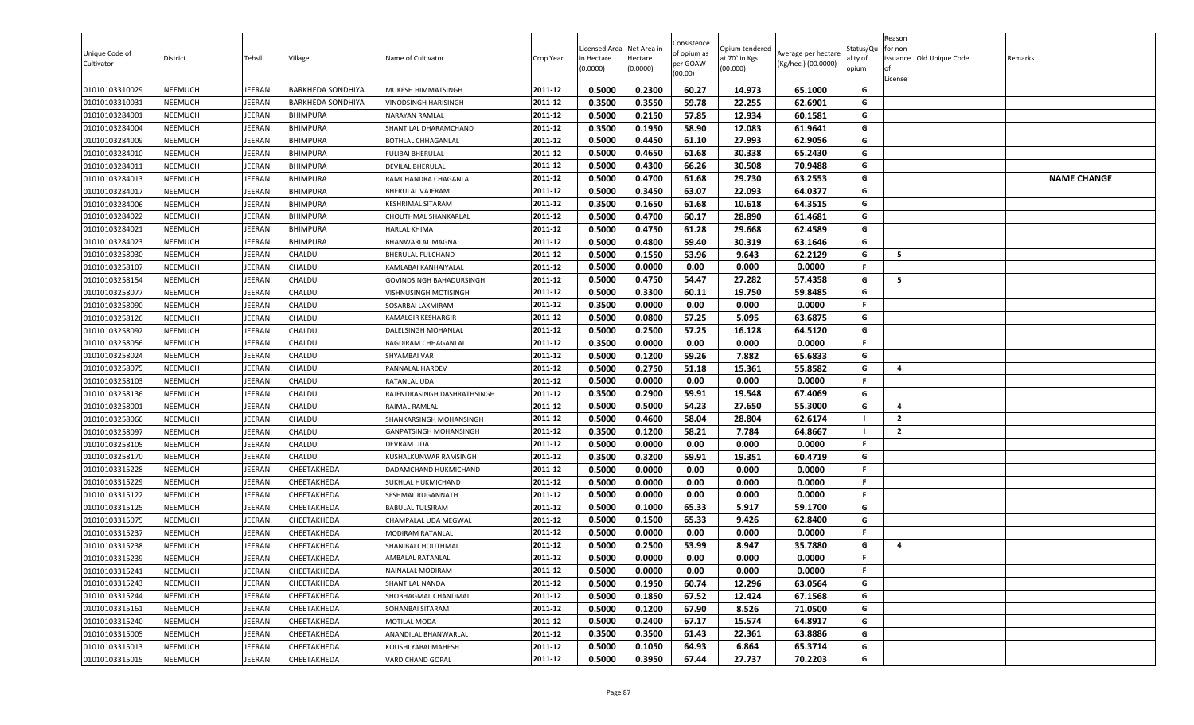| Unique Code of<br>Cultivator     | District                         | Tehsil           | Village                    | Name of Cultivator                       | Crop Year          | Licensed Area<br>in Hectare<br>(0.0000) | Net Area in<br>Hectare<br>(0.0000) | Consistence<br>of opium as<br>per GOAW<br>(00.00) | )pium tendered<br>at 70° in Kgs<br>(00.000) | Average per hectare<br>(Kg/hec.) (00.0000) | Status/Qเ<br>ality of<br>opium | Reason<br>for non-<br>lof<br>License | issuance Old Unique Code | Remarks            |
|----------------------------------|----------------------------------|------------------|----------------------------|------------------------------------------|--------------------|-----------------------------------------|------------------------------------|---------------------------------------------------|---------------------------------------------|--------------------------------------------|--------------------------------|--------------------------------------|--------------------------|--------------------|
| 01010103310029                   | <b>NEEMUCH</b>                   | JEERAN           | <b>BARKHEDA SONDHIYA</b>   | MUKESH HIMMATSINGH                       | 2011-12            | 0.5000                                  | 0.2300                             | 60.27                                             | 14.973                                      | 65.1000                                    | G                              |                                      |                          |                    |
| 01010103310031                   | <b>NEEMUCH</b>                   | <b>JEERAN</b>    | <b>BARKHEDA SONDHIYA</b>   | VINODSINGH HARISINGH                     | 2011-12            | 0.3500                                  | 0.3550                             | 59.78                                             | 22.255                                      | 62.6901                                    | G                              |                                      |                          |                    |
| 01010103284001                   | <b>NEEMUCH</b>                   | JEERAN           | <b>BHIMPURA</b>            | NARAYAN RAMLAL                           | 2011-12            | 0.5000                                  | 0.2150                             | 57.85                                             | 12.934                                      | 60.1581                                    | G                              |                                      |                          |                    |
| 01010103284004                   | <b>NEEMUCH</b>                   | JEERAN           | <b>BHIMPURA</b>            | SHANTILAL DHARAMCHAND                    | 2011-12            | 0.3500                                  | 0.1950                             | 58.90                                             | 12.083                                      | 61.9641                                    | G                              |                                      |                          |                    |
| 01010103284009                   | <b>NEEMUCH</b>                   | <b>JEERAN</b>    | <b>BHIMPURA</b>            | BOTHLAL CHHAGANLAL                       | 2011-12            | 0.5000                                  | 0.4450                             | 61.10                                             | 27.993                                      | 62.9056                                    | G                              |                                      |                          |                    |
| 01010103284010                   | <b>NEEMUCH</b>                   | JEERAN           | <b>BHIMPURA</b>            | FULIBAI BHERULAL                         | 2011-12            | 0.5000                                  | 0.4650                             | 61.68                                             | 30.338                                      | 65.2430                                    | G                              |                                      |                          |                    |
| 01010103284011                   | <b>NEEMUCH</b>                   | <b>JEERAN</b>    | <b>BHIMPURA</b>            | DEVILAL BHERULAL                         | 2011-12            | 0.5000                                  | 0.4300                             | 66.26                                             | 30.508                                      | 70.9488                                    | G                              |                                      |                          |                    |
| 01010103284013                   | <b>NEEMUCH</b>                   | JEERAN           | <b>BHIMPURA</b>            | RAMCHANDRA CHAGANLAL                     | 2011-12            | 0.5000                                  | 0.4700                             | 61.68                                             | 29.730                                      | 63.2553                                    | G                              |                                      |                          | <b>NAME CHANGE</b> |
| 01010103284017                   | <b>NEEMUCH</b>                   | <b>JEERAN</b>    | <b>BHIMPURA</b>            | BHERULAL VAJERAM                         | 2011-12            | 0.5000                                  | 0.3450                             | 63.07                                             | 22.093                                      | 64.0377                                    | G                              |                                      |                          |                    |
| 01010103284006                   | <b>NEEMUCH</b>                   | JEERAN           | <b>BHIMPURA</b>            | <b>KESHRIMAL SITARAM</b>                 | 2011-12            | 0.3500                                  | 0.1650                             | 61.68                                             | 10.618                                      | 64.3515                                    | G                              |                                      |                          |                    |
| 01010103284022                   | NEEMUCH                          | <b>JEERAN</b>    | <b>BHIMPURA</b>            | CHOUTHMAL SHANKARLAL                     | 2011-12            | 0.5000                                  | 0.4700                             | 60.17                                             | 28.890                                      | 61.4681                                    | G                              |                                      |                          |                    |
| 01010103284021                   | <b>NEEMUCH</b>                   | JEERAN           | <b>BHIMPURA</b>            | <b>HARLAL KHIMA</b>                      | 2011-12            | 0.5000                                  | 0.4750                             | 61.28                                             | 29.668                                      | 62.4589                                    | G                              |                                      |                          |                    |
| 01010103284023                   | <b>NEEMUCH</b>                   | JEERAN           | <b>BHIMPURA</b>            | BHANWARLAL MAGNA                         | 2011-12            | 0.5000                                  | 0.4800                             | 59.40                                             | 30.319                                      | 63.1646                                    | G                              |                                      |                          |                    |
| 01010103258030                   | <b>NEEMUCH</b>                   | JEERAN           | CHALDU                     | <b>BHERULAL FULCHAND</b>                 | 2011-12            | 0.5000                                  | 0.1550                             | 53.96                                             | 9.643                                       | 62.2129                                    | G                              | 5                                    |                          |                    |
| 01010103258107                   | <b>NEEMUCH</b>                   | JEERAN           | CHALDU                     | KAMLABAI KANHAIYALAL                     | 2011-12            | 0.5000                                  | 0.0000                             | 0.00                                              | 0.000                                       | 0.0000                                     | F.                             |                                      |                          |                    |
| 01010103258154                   | <b>NEEMUCH</b>                   | <b>JEERAN</b>    | CHALDU                     | GOVINDSINGH BAHADURSINGH                 | 2011-12            | 0.5000                                  | 0.4750                             | 54.47                                             | 27.282                                      | 57.4358                                    | G                              | - 5                                  |                          |                    |
| 01010103258077                   | <b>NEEMUCH</b>                   | JEERAN           | CHALDU                     | <b>VISHNUSINGH MOTISINGH</b>             | 2011-12            | 0.5000                                  | 0.3300                             | 60.11                                             | 19.750                                      | 59.8485                                    | G                              |                                      |                          |                    |
| 01010103258090                   | <b>NEEMUCH</b>                   | <b>JEERAN</b>    | CHALDU                     | SOSARBAI LAXMIRAM                        | 2011-12            | 0.3500                                  | 0.0000                             | 0.00                                              | 0.000                                       | 0.0000                                     | F.                             |                                      |                          |                    |
| 01010103258126                   | <b>NEEMUCH</b>                   | JEERAN           | CHALDU                     | KAMALGIR KESHARGIR                       | 2011-12            | 0.5000                                  | 0.0800                             | 57.25                                             | 5.095                                       | 63.6875                                    | G                              |                                      |                          |                    |
| 01010103258092                   | <b>NEEMUCH</b>                   | <b>JEERAN</b>    | CHALDU                     | DALELSINGH MOHANLAL                      | 2011-12            | 0.5000                                  | 0.2500                             | 57.25                                             | 16.128                                      | 64.5120                                    | G                              |                                      |                          |                    |
| 01010103258056                   | <b>NEEMUCH</b>                   | JEERAN           | CHALDU                     | <b>BAGDIRAM CHHAGANLAL</b>               | 2011-12            | 0.3500                                  | 0.0000                             | 0.00                                              | 0.000                                       | 0.0000                                     | F                              |                                      |                          |                    |
| 01010103258024                   | <b>NEEMUCH</b>                   | JEERAN           | CHALDU                     | SHYAMBAI VAR                             | 2011-12            | 0.5000                                  | 0.1200                             | 59.26                                             | 7.882                                       | 65.6833                                    | G                              |                                      |                          |                    |
| 01010103258075                   | <b>NEEMUCH</b>                   | JEERAN           | CHALDU                     | PANNALAL HARDEV                          | 2011-12            | 0.5000                                  | 0.2750                             | 51.18                                             | 15.361                                      | 55.8582                                    | G                              | -4                                   |                          |                    |
| 01010103258103                   | <b>NEEMUCH</b>                   | JEERAN           | CHALDU                     | RATANLAL UDA                             | 2011-12            | 0.5000                                  | 0.0000                             | 0.00                                              | 0.000                                       | 0.0000                                     | F.                             |                                      |                          |                    |
| 01010103258136                   | <b>NEEMUCH</b>                   | <b>JEERAN</b>    | CHALDU                     | RAJENDRASINGH DASHRATHSINGH              | 2011-12            | 0.3500                                  | 0.2900                             | 59.91                                             | 19.548                                      | 67.4069                                    | G                              | $\overline{\mathbf{4}}$              |                          |                    |
| 01010103258001                   | <b>NEEMUCH</b>                   | JEERAN           | CHALDU                     | RAIMAL RAMLAL                            | 2011-12            | 0.5000                                  | 0.5000                             | 54.23                                             | 27.650                                      | 55.3000                                    | G                              |                                      |                          |                    |
| 01010103258066                   | <b>NEEMUCH</b>                   | <b>JEERAN</b>    | CHALDU                     | SHANKARSINGH MOHANSINGH                  | 2011-12            | 0.5000                                  | 0.4600                             | 58.04                                             | 28.804                                      | 62.6174                                    | - 1<br>- 1                     | $\overline{2}$                       |                          |                    |
| 01010103258097                   | <b>NEEMUCH</b>                   | JEERAN           | CHALDU                     | GANPATSINGH MOHANSINGH                   | 2011-12            | 0.3500                                  | 0.1200                             | 58.21                                             | 7.784                                       | 64.8667                                    |                                | $\overline{2}$                       |                          |                    |
| 01010103258105                   | <b>NEEMUCH</b>                   | <b>JEERAN</b>    | <b>CHALDU</b>              | <b>DEVRAM UDA</b>                        | 2011-12<br>2011-12 | 0.5000<br>0.3500                        | 0.0000<br>0.3200                   | 0.00<br>59.91                                     | 0.000<br>19.351                             | 0.0000<br>60.4719                          | F.<br>G                        |                                      |                          |                    |
| 01010103258170                   | <b>NEEMUCH</b>                   | <b>JEERAN</b>    | CHALDU                     | KUSHALKUNWAR RAMSINGH                    |                    |                                         |                                    |                                                   |                                             |                                            |                                |                                      |                          |                    |
| 01010103315228                   | <b>NEEMUCH</b>                   | JEERAN           | CHEETAKHEDA                | DADAMCHAND HUKMICHAND                    | 2011-12<br>2011-12 | 0.5000<br>0.5000                        | 0.0000<br>0.0000                   | 0.00<br>0.00                                      | 0.000<br>0.000                              | 0.0000<br>0.0000                           | F.<br>.F                       |                                      |                          |                    |
| 01010103315229<br>01010103315122 | <b>NEEMUCH</b><br><b>NEEMUCH</b> | JEERAN<br>JEERAN | CHEETAKHEDA<br>CHEETAKHEDA | SUKHLAL HUKMICHAND<br>SESHMAL RUGANNATH  | 2011-12            | 0.5000                                  | 0.0000                             | 0.00                                              | 0.000                                       | 0.0000                                     | F.                             |                                      |                          |                    |
|                                  | <b>NEEMUCH</b>                   | <b>JEERAN</b>    | CHEETAKHEDA                | <b>BABULAL TULSIRAM</b>                  | 2011-12            | 0.5000                                  | 0.1000                             | 65.33                                             | 5.917                                       | 59.1700                                    | G                              |                                      |                          |                    |
| 01010103315125<br>01010103315075 | <b>NEEMUCH</b>                   | JEERAN           | CHEETAKHEDA                |                                          | 2011-12            | 0.5000                                  | 0.1500                             | 65.33                                             | 9.426                                       | 62.8400                                    | G                              |                                      |                          |                    |
| 01010103315237                   | <b>NEEMUCH</b>                   | JEERAN           | CHEETAKHEDA                | CHAMPALAL UDA MEGWAL<br>MODIRAM RATANLAL | 2011-12            | 0.5000                                  | 0.0000                             | 0.00                                              | 0.000                                       | 0.0000                                     | F.                             |                                      |                          |                    |
| 01010103315238                   | <b>NEEMUCH</b>                   | <b>JEERAN</b>    | CHEETAKHEDA                | SHANIBAI CHOUTHMAL                       | 2011-12            | 0.5000                                  | 0.2500                             | 53.99                                             | 8.947                                       | 35.7880                                    | G                              | 4                                    |                          |                    |
| 01010103315239                   | <b>NEEMUCH</b>                   | <b>JEERAN</b>    | CHEETAKHEDA                | AMBALAL RATANLAL                         | 2011-12            | 0.5000                                  | 0.0000                             | 0.00                                              | 0.000                                       | 0.0000                                     | F.                             |                                      |                          |                    |
| 01010103315241                   | <b>NEEMUCH</b>                   | JEERAN           | CHEETAKHEDA                | NAINALAL MODIRAM                         | 2011-12            | 0.5000                                  | 0.0000                             | 0.00                                              | 0.000                                       | 0.0000                                     | F.                             |                                      |                          |                    |
| 01010103315243                   | <b>NEEMUCH</b>                   | JEERAN           | CHEETAKHEDA                | SHANTILAL NANDA                          | 2011-12            | 0.5000                                  | 0.1950                             | 60.74                                             | 12.296                                      | 63.0564                                    | G                              |                                      |                          |                    |
| 01010103315244                   | <b>NEEMUCH</b>                   | JEERAN           | CHEETAKHEDA                | SHOBHAGMAL CHANDMAL                      | 2011-12            | 0.5000                                  | 0.1850                             | 67.52                                             | 12.424                                      | 67.1568                                    | G                              |                                      |                          |                    |
| 01010103315161                   | <b>NEEMUCH</b>                   | JEERAN           | CHEETAKHEDA                | SOHANBAI SITARAM                         | 2011-12            | 0.5000                                  | 0.1200                             | 67.90                                             | 8.526                                       | 71.0500                                    | G                              |                                      |                          |                    |
| 01010103315240                   | <b>NEEMUCH</b>                   | JEERAN           | CHEETAKHEDA                | MOTILAL MODA                             | 2011-12            | 0.5000                                  | 0.2400                             | 67.17                                             | 15.574                                      | 64.8917                                    | G                              |                                      |                          |                    |
| 01010103315005                   | <b>NEEMUCH</b>                   | JEERAN           | CHEETAKHEDA                | ANANDILAL BHANWARLAL                     | 2011-12            | 0.3500                                  | 0.3500                             | 61.43                                             | 22.361                                      | 63.8886                                    | G                              |                                      |                          |                    |
| 01010103315013                   | <b>NEEMUCH</b>                   | JEERAN           | CHEETAKHEDA                | KOUSHLYABAI MAHESH                       | 2011-12            | 0.5000                                  | 0.1050                             | 64.93                                             | 6.864                                       | 65.3714                                    | G                              |                                      |                          |                    |
| 01010103315015                   | <b>NEEMUCH</b>                   | JEERAN           | CHEETAKHEDA                | VARDICHAND GOPAL                         | 2011-12            | 0.5000                                  | 0.3950                             | 67.44                                             | 27.737                                      | 70.2203                                    | G                              |                                      |                          |                    |
|                                  |                                  |                  |                            |                                          |                    |                                         |                                    |                                                   |                                             |                                            |                                |                                      |                          |                    |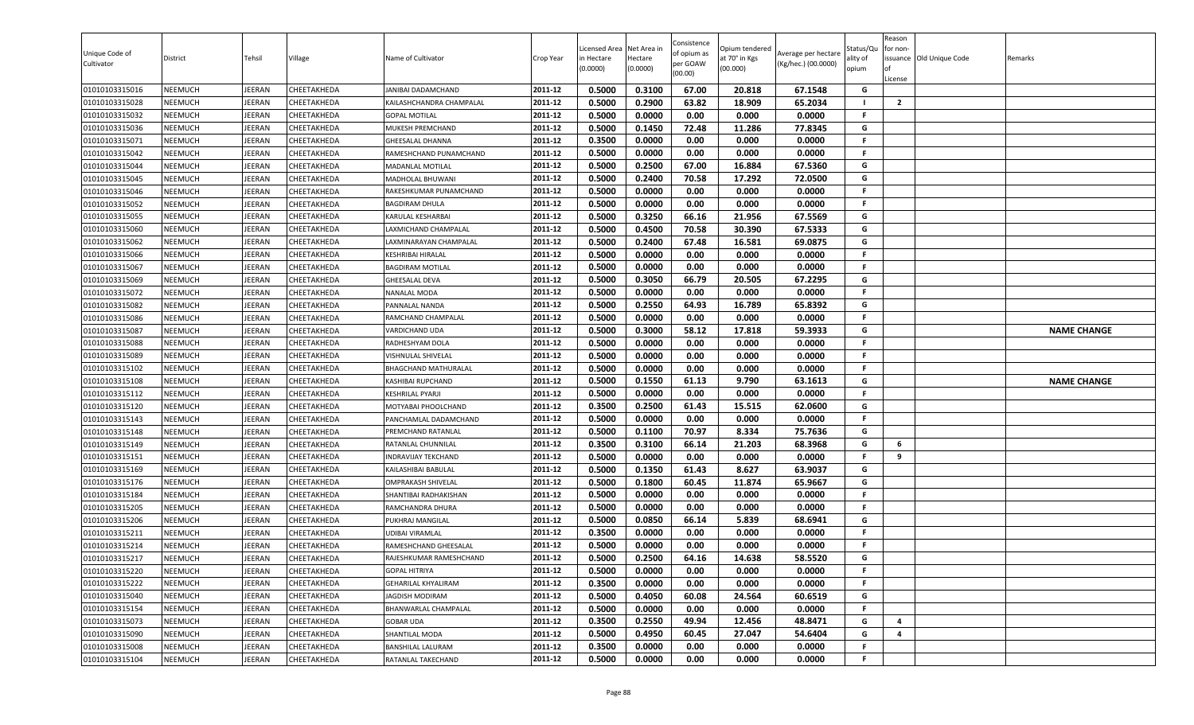| Unique Code of<br>Cultivator     | District                  | Tehsil           | Village                    | Name of Cultivator                                  | Crop Year          | Licensed Area<br>in Hectare<br>(0.0000) | Net Area in<br>Hectare<br>(0.0000) | Consistence<br>of opium as<br>per GOAW<br>(00.00) | Opium tendered<br>at 70° in Kgs<br>(00.000) | Average per hectare<br>(Kg/hec.) (00.0000) | status/Qι<br>ılity of<br>opium | Reason<br>for non-<br>of<br>License | issuance Old Unique Code | Remarks            |
|----------------------------------|---------------------------|------------------|----------------------------|-----------------------------------------------------|--------------------|-----------------------------------------|------------------------------------|---------------------------------------------------|---------------------------------------------|--------------------------------------------|--------------------------------|-------------------------------------|--------------------------|--------------------|
| 01010103315016                   | <b>NEEMUCH</b>            | <b>JEERAN</b>    | CHEETAKHEDA                | JANIBAI DADAMCHAND                                  | 2011-12            | 0.5000                                  | 0.3100                             | 67.00                                             | 20.818                                      | 67.1548                                    | G                              |                                     |                          |                    |
| 01010103315028                   | NEEMUCH                   | JEERAN           | CHEETAKHEDA                | KAILASHCHANDRA CHAMPALAL                            | 2011-12            | 0.5000                                  | 0.2900                             | 63.82                                             | 18.909                                      | 65.2034                                    | - 1                            | $\overline{2}$                      |                          |                    |
| 01010103315032                   | NEEMUCH                   | <b>JEERAN</b>    | CHEETAKHEDA                | <b>GOPAL MOTILAL</b>                                | 2011-12            | 0.5000                                  | 0.0000                             | 0.00                                              | 0.000                                       | 0.0000                                     | F                              |                                     |                          |                    |
| 01010103315036                   | <b>NEEMUCH</b>            | JEERAN           | CHEETAKHEDA                | MUKESH PREMCHAND                                    | 2011-12            | 0.5000                                  | 0.1450                             | 72.48                                             | 11.286                                      | 77.8345                                    | G                              |                                     |                          |                    |
| 01010103315071                   | NEEMUCH                   | JEERAN           | CHEETAKHEDA                | <b>GHEESALAL DHANNA</b>                             | 2011-12            | 0.3500                                  | 0.0000                             | 0.00                                              | 0.000                                       | 0.0000                                     | F                              |                                     |                          |                    |
| 01010103315042                   | <b>NEEMUCH</b>            | JEERAN           | CHEETAKHEDA                | RAMESHCHAND PUNAMCHAND                              | 2011-12            | 0.5000                                  | 0.0000                             | 0.00                                              | 0.000                                       | 0.0000                                     | F.                             |                                     |                          |                    |
| 01010103315044                   | <b>NEEMUCH</b>            | JEERAN           | CHEETAKHEDA                | MADANLAL MOTILAL                                    | 2011-12            | 0.5000                                  | 0.2500                             | 67.00                                             | 16.884                                      | 67.5360                                    | G                              |                                     |                          |                    |
| 01010103315045                   | <b>NEEMUCH</b>            | JEERAN           | CHEETAKHEDA                | MADHOLAL BHUWANI                                    | 2011-12            | 0.5000                                  | 0.2400                             | 70.58                                             | 17.292                                      | 72.0500                                    | G                              |                                     |                          |                    |
| 01010103315046                   | <b>NEEMUCH</b>            | JEERAN           | CHEETAKHEDA                | RAKESHKUMAR PUNAMCHAND                              | 2011-12            | 0.5000                                  | 0.0000                             | 0.00                                              | 0.000                                       | 0.0000                                     | F                              |                                     |                          |                    |
| 01010103315052                   | NEEMUCH                   | JEERAN           | CHEETAKHEDA                | <b>BAGDIRAM DHULA</b>                               | 2011-12            | 0.5000                                  | 0.0000                             | 0.00                                              | 0.000                                       | 0.0000                                     | F.                             |                                     |                          |                    |
| 01010103315055                   | NEEMUCH                   | JEERAN           | CHEETAKHEDA                | KARULAL KESHARBAI                                   | 2011-12            | 0.5000                                  | 0.3250                             | 66.16                                             | 21.956                                      | 67.5569                                    | G                              |                                     |                          |                    |
| 01010103315060                   | NEEMUCH                   | JEERAN           | CHEETAKHEDA                | LAXMICHAND CHAMPALAL                                | 2011-12            | 0.5000                                  | 0.4500                             | 70.58                                             | 30.390                                      | 67.5333                                    | G                              |                                     |                          |                    |
| 01010103315062                   | <b>NEEMUCH</b>            | JEERAN           | CHEETAKHEDA                | LAXMINARAYAN CHAMPALAL                              | 2011-12<br>2011-12 | 0.5000                                  | 0.2400                             | 67.48                                             | 16.581                                      | 69.0875                                    | G<br>F                         |                                     |                          |                    |
| 01010103315066<br>01010103315067 | NEEMUCH<br><b>NEEMUCH</b> | JEERAN<br>JEERAN | CHEETAKHEDA<br>CHEETAKHEDA | <b>KESHRIBAI HIRALAL</b><br><b>BAGDIRAM MOTILAL</b> | 2011-12            | 0.5000<br>0.5000                        | 0.0000<br>0.0000                   | 0.00<br>0.00                                      | 0.000<br>0.000                              | 0.0000<br>0.0000                           | F.                             |                                     |                          |                    |
|                                  | <b>NEEMUCH</b>            | JEERAN           | CHEETAKHEDA                | <b>GHEESALAL DEVA</b>                               | 2011-12            | 0.5000                                  | 0.3050                             | 66.79                                             | 20.505                                      | 67.2295                                    | G                              |                                     |                          |                    |
| 01010103315069<br>01010103315072 | <b>NEEMUCH</b>            | JEERAN           | CHEETAKHEDA                | NANALAL MODA                                        | 2011-12            | 0.5000                                  | 0.0000                             | 0.00                                              | 0.000                                       | 0.0000                                     | F.                             |                                     |                          |                    |
| 01010103315082                   | NEEMUCH                   | JEERAN           | CHEETAKHEDA                | PANNALAL NANDA                                      | 2011-12            | 0.5000                                  | 0.2550                             | 64.93                                             | 16.789                                      | 65.8392                                    | G                              |                                     |                          |                    |
| 01010103315086                   | <b>NEEMUCH</b>            | <b>JEERAN</b>    | CHEETAKHEDA                | RAMCHAND CHAMPALAL                                  | 2011-12            | 0.5000                                  | 0.0000                             | 0.00                                              | 0.000                                       | 0.0000                                     | F.                             |                                     |                          |                    |
| 01010103315087                   | NEEMUCH                   | JEERAN           | CHEETAKHEDA                | <b>VARDICHAND UDA</b>                               | 2011-12            | 0.5000                                  | 0.3000                             | 58.12                                             | 17.818                                      | 59.3933                                    | G                              |                                     |                          | <b>NAME CHANGE</b> |
| 01010103315088                   | NEEMUCH                   | JEERAN           | CHEETAKHEDA                | RADHESHYAM DOLA                                     | 2011-12            | 0.5000                                  | 0.0000                             | 0.00                                              | 0.000                                       | 0.0000                                     | F                              |                                     |                          |                    |
| 01010103315089                   | <b>NEEMUCH</b>            | JEERAN           | CHEETAKHEDA                | VISHNULAL SHIVELAL                                  | 2011-12            | 0.5000                                  | 0.0000                             | 0.00                                              | 0.000                                       | 0.0000                                     | F.                             |                                     |                          |                    |
| 01010103315102                   | <b>NEEMUCH</b>            | JEERAN           | CHEETAKHEDA                | BHAGCHAND MATHURALAL                                | 2011-12            | 0.5000                                  | 0.0000                             | 0.00                                              | 0.000                                       | 0.0000                                     | F                              |                                     |                          |                    |
| 01010103315108                   | <b>NEEMUCH</b>            | JEERAN           | CHEETAKHEDA                | KASHIBAI RUPCHAND                                   | 2011-12            | 0.5000                                  | 0.1550                             | 61.13                                             | 9.790                                       | 63.1613                                    | G                              |                                     |                          | <b>NAME CHANGE</b> |
| 01010103315112                   | <b>NEEMUCH</b>            | JEERAN           | CHEETAKHEDA                | <b>KESHRILAL PYARJI</b>                             | 2011-12            | 0.5000                                  | 0.0000                             | 0.00                                              | 0.000                                       | 0.0000                                     | F.                             |                                     |                          |                    |
| 01010103315120                   | NEEMUCH                   | JEERAN           | CHEETAKHEDA                | MOTYABAI PHOOLCHAND                                 | 2011-12            | 0.3500                                  | 0.2500                             | 61.43                                             | 15.515                                      | 62.0600                                    | G                              |                                     |                          |                    |
| 01010103315143                   | NEEMUCH                   | JEERAN           | CHEETAKHEDA                | PANCHAMLAL DADAMCHAND                               | 2011-12            | 0.5000                                  | 0.0000                             | 0.00                                              | 0.000                                       | 0.0000                                     | F.                             |                                     |                          |                    |
| 01010103315148                   | NEEMUCH                   | JEERAN           | CHEETAKHEDA                | PREMCHAND RATANLAL                                  | 2011-12            | 0.5000                                  | 0.1100                             | 70.97                                             | 8.334                                       | 75.7636                                    | G                              |                                     |                          |                    |
| 01010103315149                   | NEEMUCH                   | JEERAN           | CHEETAKHEDA                | RATANLAL CHUNNILAL                                  | 2011-12            | 0.3500                                  | 0.3100                             | 66.14                                             | 21.203                                      | 68.3968                                    | G                              | 6                                   |                          |                    |
| 01010103315151                   | NEEMUCH                   | JEERAN           | CHEETAKHEDA                | <b>INDRAVIJAY TEKCHAND</b>                          | 2011-12            | 0.5000                                  | 0.0000                             | 0.00                                              | 0.000                                       | 0.0000                                     | F.                             | 9                                   |                          |                    |
| 01010103315169                   | NEEMUCH                   | JEERAN           | CHEETAKHEDA                | KAILASHIBAI BABULAL                                 | 2011-12            | 0.5000                                  | 0.1350                             | 61.43                                             | 8.627                                       | 63.9037                                    | G                              |                                     |                          |                    |
| 01010103315176                   | <b>NEEMUCH</b>            | JEERAN           | CHEETAKHEDA                | OMPRAKASH SHIVELAL                                  | 2011-12            | 0.5000                                  | 0.1800                             | 60.45                                             | 11.874                                      | 65.9667                                    | G                              |                                     |                          |                    |
| 01010103315184                   | <b>NEEMUCH</b>            | JEERAN           | CHEETAKHEDA                | SHANTIBAI RADHAKISHAN                               | 2011-12            | 0.5000                                  | 0.0000                             | 0.00                                              | 0.000                                       | 0.0000                                     | F.                             |                                     |                          |                    |
| 01010103315205                   | NEEMUCH                   | JEERAN           | CHEETAKHEDA                | RAMCHANDRA DHURA                                    | 2011-12            | 0.5000                                  | 0.0000                             | 0.00                                              | 0.000                                       | 0.0000                                     | F.                             |                                     |                          |                    |
| 01010103315206                   | NEEMUCH                   | JEERAN           | CHEETAKHEDA                | PUKHRAJ MANGILAL                                    | 2011-12            | 0.5000                                  | 0.0850                             | 66.14                                             | 5.839                                       | 68.6941                                    | G                              |                                     |                          |                    |
| 01010103315211                   | NEEMUCH                   | JEERAN           | CHEETAKHEDA                | <b>UDIBAI VIRAMLAL</b>                              | 2011-12            | 0.3500                                  | 0.0000                             | 0.00                                              | 0.000                                       | 0.0000                                     | F.                             |                                     |                          |                    |
| 01010103315214                   | NEEMUCH                   | <b>JEERAN</b>    | CHEETAKHEDA                | RAMESHCHAND GHEESALAL                               | 2011-12            | 0.5000                                  | 0.0000                             | 0.00                                              | 0.000                                       | 0.0000                                     | F.                             |                                     |                          |                    |
| 01010103315217                   | NEEMUCH                   | JEERAN           | CHEETAKHEDA                | RAJESHKUMAR RAMESHCHAND                             | 2011-12            | 0.5000                                  | 0.2500                             | 64.16                                             | 14.638                                      | 58.5520                                    | G                              |                                     |                          |                    |
| 01010103315220                   | NEEMUCH                   | JEERAN           | CHEETAKHEDA                | <b>GOPAL HITRIYA</b>                                | 2011-12            | 0.5000                                  | 0.0000                             | 0.00                                              | 0.000                                       | 0.0000                                     | F.                             |                                     |                          |                    |
| 01010103315222                   | NEEMUCH                   | JEERAN           | CHEETAKHEDA                | <b>GEHARILAL KHYALIRAM</b>                          | 2011-12            | 0.3500                                  | 0.0000                             | 0.00                                              | 0.000                                       | 0.0000                                     | F.                             |                                     |                          |                    |
| 01010103315040                   | NEEMUCH                   | JEERAN           | CHEETAKHEDA                | JAGDISH MODIRAM                                     | 2011-12            | 0.5000                                  | 0.4050                             | 60.08                                             | 24.564                                      | 60.6519                                    | G                              |                                     |                          |                    |
| 01010103315154                   | NEEMUCH                   | JEERAN           | CHEETAKHEDA                | BHANWARLAL CHAMPALAL                                | 2011-12            | 0.5000                                  | 0.0000                             | 0.00                                              | 0.000                                       | 0.0000                                     | F.                             |                                     |                          |                    |
| 01010103315073                   | <b>NEEMUCH</b>            | JEERAN           | CHEETAKHEDA                | <b>GOBAR UDA</b>                                    | 2011-12            | 0.3500                                  | 0.2550                             | 49.94                                             | 12.456                                      | 48.8471                                    | G                              | 4                                   |                          |                    |
| 01010103315090                   | NEEMUCH                   | JEERAN           | CHEETAKHEDA                | SHANTILAL MODA                                      | 2011-12            | 0.5000                                  | 0.4950                             | 60.45                                             | 27.047                                      | 54.6404                                    | G                              | 4                                   |                          |                    |
| 01010103315008                   | <b>NEEMUCH</b>            | JEERAN           | CHEETAKHEDA                | BANSHILAL LALURAM                                   | 2011-12            | 0.3500                                  | 0.0000                             | 0.00                                              | 0.000                                       | 0.0000                                     | F.                             |                                     |                          |                    |
| 01010103315104                   | NEEMUCH                   | JEERAN           | CHEETAKHEDA                | RATANLAL TAKECHAND                                  | 2011-12            | 0.5000                                  | 0.0000                             | 0.00                                              | 0.000                                       | 0.0000                                     | F                              |                                     |                          |                    |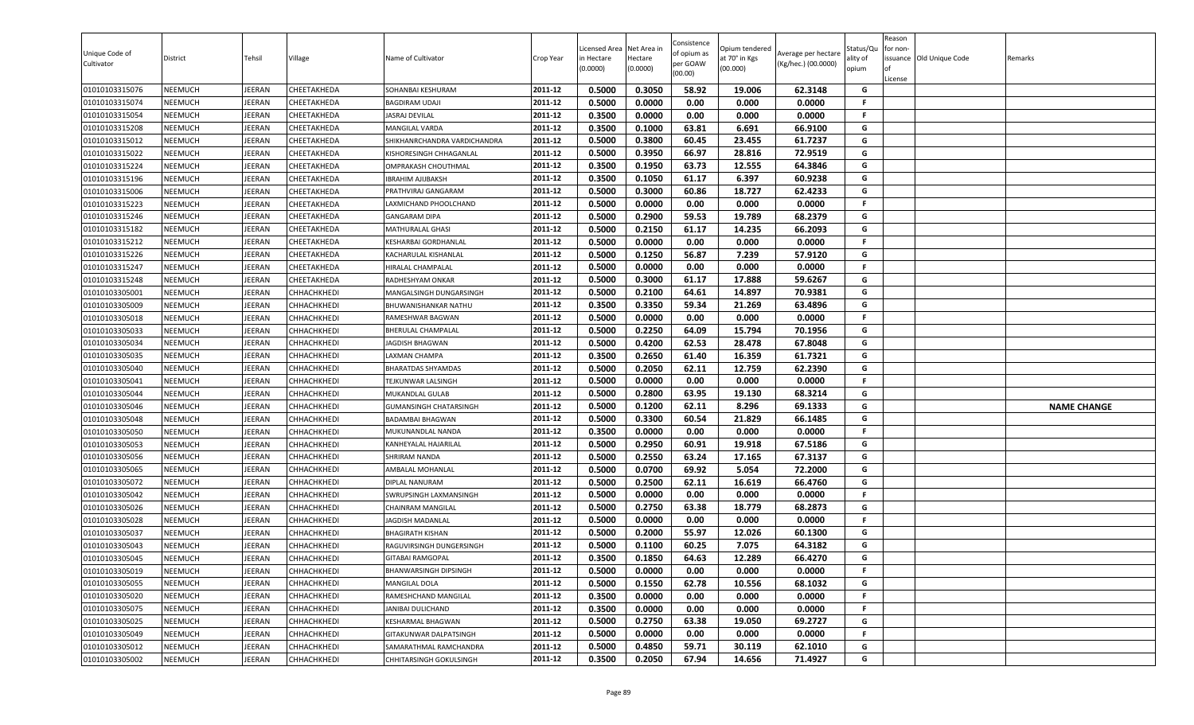| Unique Code of<br>Cultivator     | District                         | Tehsil           | Village                    | Name of Cultivator                        | Crop Year          | Licensed Area<br>in Hectare<br>(0.0000) | Net Area in<br>Hectare<br>(0.0000) | Consistence<br>of opium as<br>per GOAW<br>(00.00) | Opium tendered<br>at 70° in Kgs<br>(00.000) | Average per hectare<br>(Kg/hec.) (00.0000) | Status/Qu<br>ality of<br>opium | Reason<br>for non-<br>License | ssuance Old Unique Code | Remarks            |
|----------------------------------|----------------------------------|------------------|----------------------------|-------------------------------------------|--------------------|-----------------------------------------|------------------------------------|---------------------------------------------------|---------------------------------------------|--------------------------------------------|--------------------------------|-------------------------------|-------------------------|--------------------|
| 01010103315076                   | NEEMUCH                          | EERAN            | CHEETAKHEDA                | SOHANBAI KESHURAM                         | 2011-12            | 0.5000                                  | 0.3050                             | 58.92                                             | 19.006                                      | 62.3148                                    | G                              |                               |                         |                    |
| 01010103315074                   | NEEMUCH                          | EERAN            | CHEETAKHEDA                | <b>BAGDIRAM UDAJI</b>                     | 2011-12            | 0.5000                                  | 0.0000                             | 0.00                                              | 0.000                                       | 0.0000                                     | F.                             |                               |                         |                    |
| 01010103315054                   | NEEMUCH                          | <b>JEERAN</b>    | CHEETAKHEDA                | <b>JASRAJ DEVILAL</b>                     | 2011-12            | 0.3500                                  | 0.0000                             | 0.00                                              | 0.000                                       | 0.0000                                     | F.                             |                               |                         |                    |
| 01010103315208                   | <b>NEEMUCH</b>                   | JEERAN           | CHEETAKHEDA                | MANGILAL VARDA                            | 2011-12            | 0.3500                                  | 0.1000                             | 63.81                                             | 6.691                                       | 66.9100                                    | G                              |                               |                         |                    |
| 01010103315012                   | <b>NEEMUCH</b>                   | JEERAN           | CHEETAKHEDA                | SHIKHANRCHANDRA VARDICHANDRA              | 2011-12            | 0.5000                                  | 0.3800                             | 60.45                                             | 23.455                                      | 61.7237                                    | G                              |                               |                         |                    |
| 01010103315022                   | <b>NEEMUCH</b>                   | EERAN            | CHEETAKHEDA                | KISHORESINGH CHHAGANLAL                   | 2011-12            | 0.5000                                  | 0.3950                             | 66.97                                             | 28.816                                      | 72.9519                                    | G                              |                               |                         |                    |
| 01010103315224                   | <b>NEEMUCH</b>                   | <b>JEERAN</b>    | CHEETAKHEDA                | OMPRAKASH CHOUTHMAL                       | 2011-12            | 0.3500                                  | 0.1950                             | 63.73                                             | 12.555                                      | 64.3846                                    | G                              |                               |                         |                    |
| 01010103315196                   | NEEMUCH                          | <b>JEERAN</b>    | CHEETAKHEDA                | <b>IBRAHIM AJIJBAKSH</b>                  | 2011-12            | 0.3500                                  | 0.1050                             | 61.17                                             | 6.397                                       | 60.9238                                    | G                              |                               |                         |                    |
| 01010103315006                   | <b>NEEMUCH</b>                   | <b>JEERAN</b>    | CHEETAKHEDA                | PRATHVIRAJ GANGARAM                       | 2011-12            | 0.5000                                  | 0.3000                             | 60.86                                             | 18.727                                      | 62.4233                                    | G                              |                               |                         |                    |
| 01010103315223                   | NEEMUCH                          | <b>JEERAN</b>    | CHEETAKHEDA                | LAXMICHAND PHOOLCHAND                     | 2011-12            | 0.5000                                  | 0.0000                             | 0.00                                              | 0.000                                       | 0.0000                                     | F.                             |                               |                         |                    |
| 01010103315246                   | NEEMUCH                          | EERAN            | CHEETAKHEDA                | <b>GANGARAM DIPA</b>                      | 2011-12            | 0.5000                                  | 0.2900                             | 59.53                                             | 19.789                                      | 68.2379                                    | G<br>G                         |                               |                         |                    |
| 01010103315182                   | NEEMUCH                          | JEERAN           | CHEETAKHEDA                | MATHURALAL GHASI                          | 2011-12<br>2011-12 | 0.5000                                  | 0.2150<br>0.0000                   | 61.17                                             | 14.235                                      | 66.2093<br>0.0000                          | F.                             |                               |                         |                    |
| 01010103315212                   | <b>NEEMUCH</b>                   | JEERAN           | CHEETAKHEDA                | <b>KESHARBAI GORDHANLAL</b>               | 2011-12            | 0.5000                                  | 0.1250                             | 0.00<br>56.87                                     | 0.000                                       |                                            | G                              |                               |                         |                    |
| 01010103315226<br>01010103315247 | <b>NEEMUCH</b><br><b>NEEMUCH</b> | JEERAN<br>JEERAN | CHEETAKHEDA<br>CHEETAKHEDA | KACHARULAL KISHANLAL<br>HIRALAL CHAMPALAL | 2011-12            | 0.5000<br>0.5000                        | 0.0000                             | 0.00                                              | 7.239<br>0.000                              | 57.9120<br>0.0000                          | F.                             |                               |                         |                    |
| 01010103315248                   | <b>NEEMUCH</b>                   | <b>JEERAN</b>    | CHEETAKHEDA                | RADHESHYAM ONKAR                          | 2011-12            | 0.5000                                  | 0.3000                             | 61.17                                             | 17.888                                      | 59.6267                                    | G                              |                               |                         |                    |
| 01010103305001                   | NEEMUCH                          | <b>JEERAN</b>    | СННАСНКНЕDІ                | MANGALSINGH DUNGARSINGH                   | 2011-12            | 0.5000                                  | 0.2100                             | 64.61                                             | 14.897                                      | 70.9381                                    | G                              |                               |                         |                    |
| 01010103305009                   | NEEMUCH                          | <b>JEERAN</b>    | CHHACHKHEDI                | <b>BHUWANISHANKAR NATHU</b>               | 2011-12            | 0.3500                                  | 0.3350                             | 59.34                                             | 21.269                                      | 63.4896                                    | G                              |                               |                         |                    |
| 01010103305018                   | NEEMUCH                          | EERAN            | CHHACHKHEDI                | RAMESHWAR BAGWAN                          | 2011-12            | 0.5000                                  | 0.0000                             | 0.00                                              | 0.000                                       | 0.0000                                     | F.                             |                               |                         |                    |
| 01010103305033                   | <b>NEEMUCH</b>                   | <b>JEERAN</b>    | CHHACHKHEDI                | <b>BHERULAL CHAMPALAL</b>                 | 2011-12            | 0.5000                                  | 0.2250                             | 64.09                                             | 15.794                                      | 70.1956                                    | G                              |                               |                         |                    |
| 01010103305034                   | NEEMUCH                          | JEERAN           | CHHACHKHEDI                | JAGDISH BHAGWAN                           | 2011-12            | 0.5000                                  | 0.4200                             | 62.53                                             | 28.478                                      | 67.8048                                    | G                              |                               |                         |                    |
| 01010103305035                   | <b>NEEMUCH</b>                   | JEERAN           | CHHACHKHEDI                | LAXMAN CHAMPA                             | 2011-12            | 0.3500                                  | 0.2650                             | 61.40                                             | 16.359                                      | 61.7321                                    | G                              |                               |                         |                    |
| 01010103305040                   | <b>NEEMUCH</b>                   | <b>JEERAN</b>    | CHHACHKHEDI                | <b>BHARATDAS SHYAMDAS</b>                 | 2011-12            | 0.5000                                  | 0.2050                             | 62.11                                             | 12.759                                      | 62.2390                                    | G                              |                               |                         |                    |
| 01010103305041                   | <b>NEEMUCH</b>                   | EERAN            | CHHACHKHEDI                | TEJKUNWAR LALSINGH                        | 2011-12            | 0.5000                                  | 0.0000                             | 0.00                                              | 0.000                                       | 0.0000                                     | F.                             |                               |                         |                    |
| 01010103305044                   | <b>NEEMUCH</b>                   | <b>JEERAN</b>    | CHHACHKHEDI                | MUKANDLAL GULAB                           | 2011-12            | 0.5000                                  | 0.2800                             | 63.95                                             | 19.130                                      | 68.3214                                    | G                              |                               |                         |                    |
| 01010103305046                   | NEEMUCH                          | <b>JEERAN</b>    | СННАСНКНЕDІ                | <b>GUMANSINGH CHATARSINGH</b>             | 2011-12            | 0.5000                                  | 0.1200                             | 62.11                                             | 8.296                                       | 69.1333                                    | G                              |                               |                         | <b>NAME CHANGE</b> |
| 01010103305048                   | NEEMUCH                          | JEERAN           | CHHACHKHEDI                | <b>BADAMBAI BHAGWAN</b>                   | 2011-12            | 0.5000                                  | 0.3300                             | 60.54                                             | 21.829                                      | 66.1485                                    | G                              |                               |                         |                    |
| 01010103305050                   | NEEMUCH                          | <b>JEERAN</b>    | CHHACHKHEDI                | MUKUNANDLAL NANDA                         | 2011-12            | 0.3500                                  | 0.0000                             | 0.00                                              | 0.000                                       | 0.0000                                     | F.                             |                               |                         |                    |
| 01010103305053                   | <b>NEEMUCH</b>                   | JEERAN           | CHHACHKHEDI                | KANHEYALAL HAJARILAL                      | 2011-12            | 0.5000                                  | 0.2950                             | 60.91                                             | 19.918                                      | 67.5186                                    | G                              |                               |                         |                    |
| 01010103305056                   | <b>NEEMUCH</b>                   | EERAN            | CHHACHKHEDI                | <b>SHRIRAM NANDA</b>                      | 2011-12            | 0.5000                                  | 0.2550                             | 63.24                                             | 17.165                                      | 67.3137                                    | G                              |                               |                         |                    |
| 01010103305065                   | <b>NEEMUCH</b>                   | JEERAN           | CHHACHKHEDI                | AMBALAL MOHANLAL                          | 2011-12            | 0.5000                                  | 0.0700                             | 69.92                                             | 5.054                                       | 72.2000                                    | G                              |                               |                         |                    |
| 01010103305072                   | <b>NEEMUCH</b>                   | <b>JEERAN</b>    | CHHACHKHEDI                | <b>DIPLAL NANURAM</b>                     | 2011-12            | 0.5000                                  | 0.2500                             | 62.11                                             | 16.619                                      | 66.4760                                    | G                              |                               |                         |                    |
| 01010103305042                   | NEEMUCH                          | <b>JEERAN</b>    | СННАСНКНЕDІ                | <b>SWRUPSINGH LAXMANSINGH</b>             | 2011-12            | 0.5000                                  | 0.0000                             | 0.00                                              | 0.000                                       | 0.0000                                     | F.                             |                               |                         |                    |
| 01010103305026                   | <b>NEEMUCH</b>                   | <b>JEERAN</b>    | СННАСНКНЕDІ                | CHAINRAM MANGILAL                         | 2011-12            | 0.5000                                  | 0.2750                             | 63.38                                             | 18.779                                      | 68.2873                                    | G                              |                               |                         |                    |
| 01010103305028                   | NEEMUCH                          | JEERAN           | СННАСНКНЕDІ                | <b>JAGDISH MADANLAL</b>                   | 2011-12            | 0.5000                                  | 0.0000                             | 0.00                                              | 0.000                                       | 0.0000                                     | F.                             |                               |                         |                    |
| 01010103305037                   | <b>NEEMUCH</b>                   | JEERAN           | CHHACHKHEDI                | <b>BHAGIRATH KISHAN</b>                   | 2011-12            | 0.5000                                  | 0.2000                             | 55.97                                             | 12.026                                      | 60.1300                                    | G                              |                               |                         |                    |
| 01010103305043                   | NEEMUCH                          | <b>JEERAN</b>    | CHHACHKHEDI                | RAGUVIRSINGH DUNGERSINGH                  | 2011-12            | 0.5000                                  | 0.1100                             | 60.25                                             | 7.075                                       | 64.3182                                    | G                              |                               |                         |                    |
| 01010103305045                   | NEEMUCH                          | JEERAN           | <b>СННАСНКНЕDI</b>         | <b>GITABAI RAMGOPAL</b>                   | 2011-12            | 0.3500                                  | 0.1850                             | 64.63                                             | 12.289                                      | 66.4270                                    | G                              |                               |                         |                    |
| 01010103305019                   | <b>NEEMUCH</b>                   | JEERAN           | CHHACHKHEDI                | BHANWARSINGH DIPSINGH                     | 2011-12            | 0.5000                                  | 0.0000                             | 0.00                                              | 0.000                                       | 0.0000                                     | F.                             |                               |                         |                    |
| 01010103305055                   | <b>NEEMUCH</b>                   | JEERAN           | СННАСНКНЕDІ                | MANGILAL DOLA                             | 2011-12            | 0.5000                                  | 0.1550                             | 62.78                                             | 10.556                                      | 68.1032                                    | G                              |                               |                         |                    |
| 01010103305020                   | NEEMUCH                          | <b>JEERAN</b>    | СННАСНКНЕDІ                | RAMESHCHAND MANGILAL                      | 2011-12            | 0.3500                                  | 0.0000                             | 0.00                                              | 0.000                                       | 0.0000                                     | F.                             |                               |                         |                    |
| 01010103305075                   | <b>NEEMUCH</b>                   | <b>JEERAN</b>    | CHHACHKHEDI                | <b>JANIBAI DULICHAND</b>                  | 2011-12            | 0.3500                                  | 0.0000                             | 0.00                                              | 0.000                                       | 0.0000                                     | F.                             |                               |                         |                    |
| 01010103305025                   | <b>NEEMUCH</b>                   | JEERAN           | CHHACHKHEDI                | KESHARMAL BHAGWAN                         | 2011-12            | 0.5000                                  | 0.2750                             | 63.38                                             | 19.050                                      | 69.2727                                    | G                              |                               |                         |                    |
| 01010103305049                   | <b>NEEMUCH</b>                   | JEERAN           | СННАСНКНЕDІ                | GITAKUNWAR DALPATSINGH                    | 2011-12            | 0.5000                                  | 0.0000                             | 0.00                                              | 0.000                                       | 0.0000                                     | F.                             |                               |                         |                    |
| 01010103305012                   | <b>NEEMUCH</b>                   | JEERAN           | CHHACHKHEDI                | SAMARATHMAL RAMCHANDRA                    | 2011-12            | 0.5000                                  | 0.4850                             | 59.71                                             | 30.119                                      | 62.1010                                    | G                              |                               |                         |                    |
| 01010103305002                   | NEEMUCH                          | JEERAN           | СННАСНКНЕDІ                | CHHITARSINGH GOKULSINGH                   | 2011-12            | 0.3500                                  | 0.2050                             | 67.94                                             | 14.656                                      | 71.4927                                    | G                              |                               |                         |                    |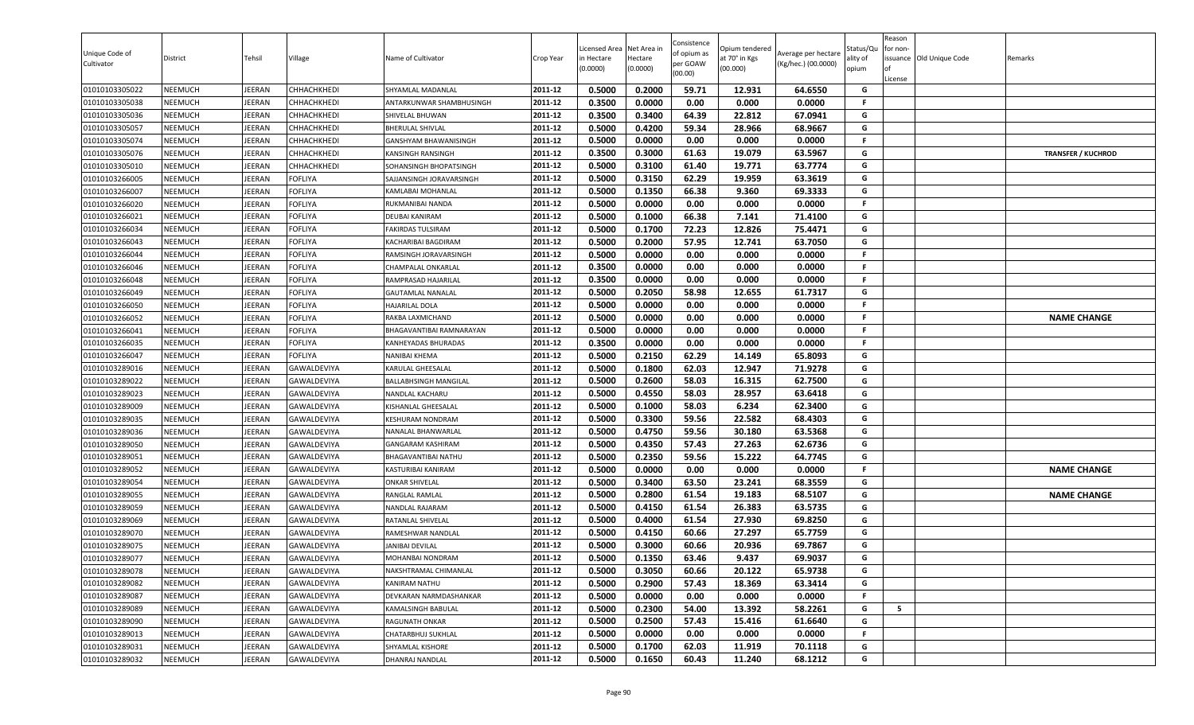| Unique Code of<br>Cultivator | District       | Tehsil        | Village            | Name of Cultivator           | Crop Year | Licensed Area<br>in Hectare<br>(0.0000) | Net Area in<br>Hectare<br>(0.0000) | Consistence<br>of opium as<br>per GOAW<br>(00.00) | Opium tendered<br>at 70° in Kgs<br>(00.000) | Average per hectare<br>(Kg/hec.) (00.0000) | Status/Qu<br>ılity of<br>opium | Reason<br>for non-<br>License | ssuance Old Unique Code | Remarks                   |
|------------------------------|----------------|---------------|--------------------|------------------------------|-----------|-----------------------------------------|------------------------------------|---------------------------------------------------|---------------------------------------------|--------------------------------------------|--------------------------------|-------------------------------|-------------------------|---------------------------|
| 01010103305022               | NEEMUCH        | EERAN         | CHHACHKHEDI        | SHYAMLAL MADANLAL            | 2011-12   | 0.5000                                  | 0.2000                             | 59.71                                             | 12.931                                      | 64.6550                                    | G                              |                               |                         |                           |
| 01010103305038               | NEEMUCH        | EERAN         | CHHACHKHEDI        | ANTARKUNWAR SHAMBHUSINGH     | 2011-12   | 0.3500                                  | 0.0000                             | 0.00                                              | 0.000                                       | 0.0000                                     | F.                             |                               |                         |                           |
| 01010103305036               | NEEMUCH        | <b>JEERAN</b> | CHHACHKHEDI        | SHIVELAL BHUWAN              | 2011-12   | 0.3500                                  | 0.3400                             | 64.39                                             | 22.812                                      | 67.0941                                    | G                              |                               |                         |                           |
| 01010103305057               | <b>NEEMUCH</b> | JEERAN        | СННАСНКНЕDІ        | <b>BHERULAL SHIVLAL</b>      | 2011-12   | 0.5000                                  | 0.4200                             | 59.34                                             | 28.966                                      | 68.9667                                    | G                              |                               |                         |                           |
| 01010103305074               | NEEMUCH        | JEERAN        | CHHACHKHEDI        | GANSHYAM BHAWANISINGH        | 2011-12   | 0.5000                                  | 0.0000                             | 0.00                                              | 0.000                                       | 0.0000                                     | F.                             |                               |                         |                           |
| 01010103305076               | <b>NEEMUCH</b> | EERAN         | CHHACHKHEDI        | <b>KANSINGH RANSINGH</b>     | 2011-12   | 0.3500                                  | 0.3000                             | 61.63                                             | 19.079                                      | 63.5967                                    | G                              |                               |                         | <b>TRANSFER / KUCHROD</b> |
| 01010103305010               | <b>NEEMUCH</b> | <b>JEERAN</b> | CHHACHKHEDI        | SOHANSINGH BHOPATSINGH       | 2011-12   | 0.5000                                  | 0.3100                             | 61.40                                             | 19.771                                      | 63.7774                                    | G                              |                               |                         |                           |
| 01010103266005               | NEEMUCH        | <b>JEERAN</b> | <b>FOFLIYA</b>     | SAJJANSINGH JORAVARSINGH     | 2011-12   | 0.5000                                  | 0.3150                             | 62.29                                             | 19.959                                      | 63.3619                                    | G                              |                               |                         |                           |
| 01010103266007               | <b>NEEMUCH</b> | <b>JEERAN</b> | <b>FOFLIYA</b>     | KAMLABAI MOHANLAL            | 2011-12   | 0.5000                                  | 0.1350                             | 66.38                                             | 9.360                                       | 69.3333                                    | G                              |                               |                         |                           |
| 01010103266020               | NEEMUCH        | <b>JEERAN</b> | FOFLIYA            | RUKMANIBAI NANDA             | 2011-12   | 0.5000                                  | 0.0000                             | 0.00                                              | 0.000                                       | 0.0000                                     | .F.                            |                               |                         |                           |
| 01010103266021               | NEEMUCH        | EERAN         | <b>OFLIYA</b>      | DEUBAI KANIRAM               | 2011-12   | 0.5000                                  | 0.1000                             | 66.38                                             | 7.141                                       | 71.4100                                    | G                              |                               |                         |                           |
| 01010103266034               | NEEMUCH        | <b>JEERAN</b> | <b>FOFLIYA</b>     | <b>FAKIRDAS TULSIRAM</b>     | 2011-12   | 0.5000                                  | 0.1700                             | 72.23                                             | 12.826                                      | 75.4471                                    | G                              |                               |                         |                           |
| 01010103266043               | <b>NEEMUCH</b> | JEERAN        | FOFLIYA            | KACHARIBAI BAGDIRAM          | 2011-12   | 0.5000                                  | 0.2000                             | 57.95                                             | 12.741                                      | 63.7050                                    | G                              |                               |                         |                           |
| 01010103266044               | NEEMUCH        | <b>JEERAN</b> | FOFLIYA            | RAMSINGH JORAVARSINGH        | 2011-12   | 0.5000                                  | 0.0000                             | 0.00                                              | 0.000                                       | 0.0000                                     | F.                             |                               |                         |                           |
| 01010103266046               | <b>NEEMUCH</b> | JEERAN        | FOFLIYA            | <b>CHAMPALAL ONKARLAL</b>    | 2011-12   | 0.3500                                  | 0.0000                             | 0.00                                              | 0.000                                       | 0.0000                                     | F.                             |                               |                         |                           |
| 01010103266048               | <b>NEEMUCH</b> | <b>JEERAN</b> | FOFLIYA            | RAMPRASAD HAJARILAL          | 2011-12   | 0.3500                                  | 0.0000                             | 0.00                                              | 0.000                                       | 0.0000                                     | F.                             |                               |                         |                           |
| 01010103266049               | NEEMUCH        | <b>JEERAN</b> | <b>FOFLIYA</b>     | <b>GAUTAMLAL NANALAL</b>     | 2011-12   | 0.5000                                  | 0.2050                             | 58.98                                             | 12.655                                      | 61.7317                                    | G                              |                               |                         |                           |
| 01010103266050               | NEEMUCH        | <b>JEERAN</b> | FOFLIYA            | <b>HAJARILAL DOLA</b>        | 2011-12   | 0.5000                                  | 0.0000                             | 0.00                                              | 0.000                                       | 0.0000                                     | F.                             |                               |                         |                           |
| 01010103266052               | NEEMUCH        | EERAN         | FOFLIYA            | RAKBA LAXMICHAND             | 2011-12   | 0.5000                                  | 0.0000                             | 0.00                                              | 0.000                                       | 0.0000                                     | F.                             |                               |                         | <b>NAME CHANGE</b>        |
| 01010103266041               | <b>NEEMUCH</b> | <b>JEERAN</b> | FOFLIYA            | BHAGAVANTIBAI RAMNARAYAN     | 2011-12   | 0.5000                                  | 0.0000                             | 0.00                                              | 0.000                                       | 0.0000                                     | F.                             |                               |                         |                           |
| 01010103266035               | NEEMUCH        | JEERAN        | <b>FOFLIYA</b>     | KANHEYADAS BHURADAS          | 2011-12   | 0.3500                                  | 0.0000                             | 0.00                                              | 0.000                                       | 0.0000                                     | F.                             |                               |                         |                           |
| 01010103266047               | <b>NEEMUCH</b> | JEERAN        | FOFLIYA            | <b>NANIBAI KHEMA</b>         | 2011-12   | 0.5000                                  | 0.2150                             | 62.29                                             | 14.149                                      | 65.8093                                    | G                              |                               |                         |                           |
| 01010103289016               | <b>NEEMUCH</b> | <b>JEERAN</b> | GAWALDEVIYA        | KARULAL GHEESALAL            | 2011-12   | 0.5000                                  | 0.1800                             | 62.03                                             | 12.947                                      | 71.9278                                    | G                              |                               |                         |                           |
| 01010103289022               | <b>NEEMUCH</b> | EERAN         | GAWALDEVIYA        | <b>BALLABHSINGH MANGILAL</b> | 2011-12   | 0.5000                                  | 0.2600                             | 58.03                                             | 16.315                                      | 62.7500                                    | G                              |                               |                         |                           |
| 01010103289023               | <b>NEEMUCH</b> | <b>JEERAN</b> | GAWALDEVIYA        | NANDLAL KACHARU              | 2011-12   | 0.5000                                  | 0.4550                             | 58.03                                             | 28.957                                      | 63.6418                                    | G                              |                               |                         |                           |
| 01010103289009               | NEEMUCH        | <b>JEERAN</b> | <b>GAWALDEVIYA</b> | KISHANLAL GHEESALAL          | 2011-12   | 0.5000                                  | 0.1000                             | 58.03                                             | 6.234                                       | 62.3400                                    | G                              |                               |                         |                           |
| 01010103289035               | NEEMUCH        | <b>JEERAN</b> | GAWALDEVIYA        | <b>KESHURAM NONDRAM</b>      | 2011-12   | 0.5000                                  | 0.3300                             | 59.56                                             | 22.582                                      | 68.4303                                    | G                              |                               |                         |                           |
| 01010103289036               | NEEMUCH        | <b>JEERAN</b> | GAWALDEVIYA        | NANALAL BHANWARLAL           | 2011-12   | 0.5000                                  | 0.4750                             | 59.56                                             | 30.180                                      | 63.5368                                    | G                              |                               |                         |                           |
| 01010103289050               | <b>NEEMUCH</b> | JEERAN        | GAWALDEVIYA        | GANGARAM KASHIRAM            | 2011-12   | 0.5000                                  | 0.4350                             | 57.43                                             | 27.263                                      | 62.6736                                    | G                              |                               |                         |                           |
| 01010103289051               | <b>NEEMUCH</b> | EERAN         | GAWALDEVIYA        | BHAGAVANTIBAI NATHU          | 2011-12   | 0.5000                                  | 0.2350                             | 59.56                                             | 15.222                                      | 64.7745                                    | G                              |                               |                         |                           |
| 01010103289052               | <b>NEEMUCH</b> | JEERAN        | GAWALDEVIYA        | <b>KASTURIBAI KANIRAM</b>    | 2011-12   | 0.5000                                  | 0.0000                             | 0.00                                              | 0.000                                       | 0.0000                                     | F.                             |                               |                         | <b>NAME CHANGE</b>        |
| 01010103289054               | NEEMUCH        | <b>JEERAN</b> | GAWALDEVIYA        | <b>ONKAR SHIVELAL</b>        | 2011-12   | 0.5000                                  | 0.3400                             | 63.50                                             | 23.241                                      | 68.3559                                    | G                              |                               |                         |                           |
| 01010103289055               | NEEMUCH        | <b>JEERAN</b> | GAWALDEVIYA        | RANGLAL RAMLAL               | 2011-12   | 0.5000                                  | 0.2800                             | 61.54                                             | 19.183                                      | 68.5107                                    | G                              |                               |                         | <b>NAME CHANGE</b>        |
| 01010103289059               | <b>NEEMUCH</b> | <b>JEERAN</b> | GAWALDEVIYA        | NANDLAL RAJARAM              | 2011-12   | 0.5000                                  | 0.4150                             | 61.54                                             | 26.383                                      | 63.5735                                    | G                              |                               |                         |                           |
| 01010103289069               | NEEMUCH        | <b>JEERAN</b> | GAWALDEVIYA        | RATANLAL SHIVELAL            | 2011-12   | 0.5000                                  | 0.4000                             | 61.54                                             | 27.930                                      | 69.8250                                    | G                              |                               |                         |                           |
| 01010103289070               | <b>NEEMUCH</b> | JEERAN        | GAWALDEVIYA        | RAMESHWAR NANDLAL            | 2011-12   | 0.5000                                  | 0.4150                             | 60.66                                             | 27.297                                      | 65.7759                                    | G                              |                               |                         |                           |
| 01010103289075               | NEEMUCH        | <b>JEERAN</b> | GAWALDEVIYA        | <b>JANIBAI DEVILAL</b>       | 2011-12   | 0.5000                                  | 0.3000                             | 60.66                                             | 20.936                                      | 69.7867                                    | G                              |                               |                         |                           |
| 01010103289077               | NEEMUCH        | JEERAN        | <b>GAWALDEVIYA</b> | <b>MOHANBAI NONDRAM</b>      | 2011-12   | 0.5000                                  | 0.1350                             | 63.46                                             | 9.437                                       | 69.9037                                    | G                              |                               |                         |                           |
| 01010103289078               | <b>NEEMUCH</b> | JEERAN        | GAWALDEVIYA        | NAKSHTRAMAL CHIMANLAL        | 2011-12   | 0.5000                                  | 0.3050                             | 60.66                                             | 20.122                                      | 65.9738                                    | G                              |                               |                         |                           |
| 01010103289082               | <b>NEEMUCH</b> | JEERAN        | GAWALDEVIYA        | KANIRAM NATHU                | 2011-12   | 0.5000                                  | 0.2900                             | 57.43                                             | 18.369                                      | 63.3414                                    | G                              |                               |                         |                           |
| 01010103289087               | NEEMUCH        | <b>JEERAN</b> | GAWALDEVIYA        | DEVKARAN NARMDASHANKAR       | 2011-12   | 0.5000                                  | 0.0000                             | 0.00                                              | 0.000                                       | 0.0000                                     | F.                             |                               |                         |                           |
| 01010103289089               | <b>NEEMUCH</b> | <b>JEERAN</b> | GAWALDEVIYA        | KAMALSINGH BABULAL           | 2011-12   | 0.5000                                  | 0.2300                             | 54.00                                             | 13.392                                      | 58.2261                                    | G                              | 5                             |                         |                           |
| 01010103289090               | NEEMUCH        | JEERAN        | GAWALDEVIYA        | <b>RAGUNATH ONKAR</b>        | 2011-12   | 0.5000                                  | 0.2500                             | 57.43                                             | 15.416                                      | 61.6640                                    | G                              |                               |                         |                           |
| 01010103289013               | <b>NEEMUCH</b> | JEERAN        | GAWALDEVIYA        | CHATARBHUJ SUKHLAL           | 2011-12   | 0.5000                                  | 0.0000                             | 0.00                                              | 0.000                                       | 0.0000                                     | F.                             |                               |                         |                           |
| 01010103289031               | <b>NEEMUCH</b> | JEERAN        | GAWALDEVIYA        | SHYAMLAL KISHORE             | 2011-12   | 0.5000                                  | 0.1700                             | 62.03                                             | 11.919                                      | 70.1118                                    | G                              |                               |                         |                           |
| 01010103289032               | NEEMUCH        | JEERAN        | GAWALDEVIYA        | DHANRAJ NANDLAL              | 2011-12   | 0.5000                                  | 0.1650                             | 60.43                                             | 11.240                                      | 68.1212                                    | G                              |                               |                         |                           |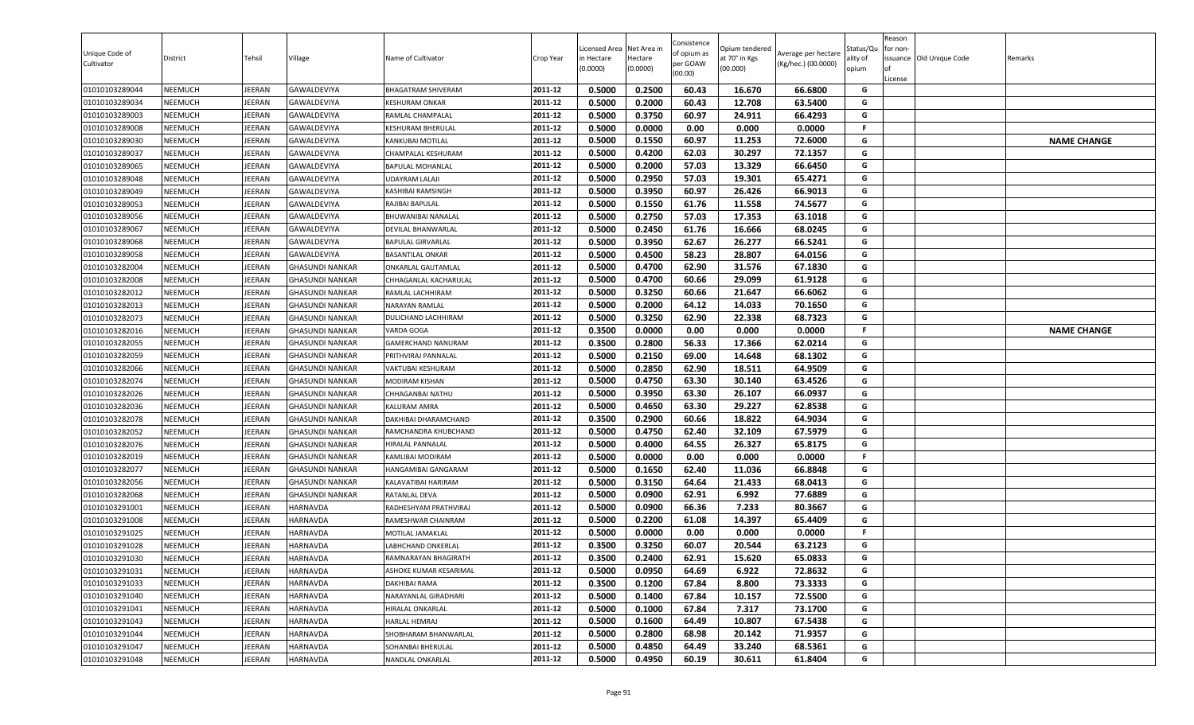| Unique Code of<br>Cultivator     | District                         | Tehsil                         | Village                                          | Name of Cultivator                      | Crop Year          | Licensed Area<br>in Hectare<br>(0.0000) | Net Area in<br>Hectare<br>(0.0000) | Consistence<br>of opium as<br>per GOAW<br>(00.00) | Opium tendered<br>at 70° in Kgs<br>(00.000) | Average per hectare<br>(Kg/hec.) (00.0000) | Status/Qu<br>ality of<br>opium | Reason<br>for non-<br>ssuance Old Unique Code<br>License | Remarks            |
|----------------------------------|----------------------------------|--------------------------------|--------------------------------------------------|-----------------------------------------|--------------------|-----------------------------------------|------------------------------------|---------------------------------------------------|---------------------------------------------|--------------------------------------------|--------------------------------|----------------------------------------------------------|--------------------|
| 01010103289044                   | <b>NEEMUCH</b>                   | <b>IEERAN</b>                  | <b>GAWALDEVIYA</b>                               | BHAGATRAM SHIVERAM                      | 2011-12            | 0.5000                                  | 0.2500                             | 60.43                                             | 16.670                                      | 66.6800                                    | G                              |                                                          |                    |
| 01010103289034                   | <b>NEEMUCH</b>                   | EERAN                          | GAWALDEVIYA                                      | KESHURAM ONKAR                          | 2011-12            | 0.5000                                  | 0.2000                             | 60.43                                             | 12.708                                      | 63.5400                                    | G                              |                                                          |                    |
| 01010103289003                   | NEEMUCH                          | JEERAN                         | GAWALDEVIYA                                      | RAMLAL CHAMPALAL                        | 2011-12            | 0.5000                                  | 0.3750                             | 60.97                                             | 24.911                                      | 66.4293                                    | G                              |                                                          |                    |
| 01010103289008                   | <b>NEEMUCH</b>                   | JEERAN                         | GAWALDEVIYA                                      | KESHURAM BHERULAL                       | 2011-12            | 0.5000                                  | 0.0000                             | 0.00                                              | 0.000                                       | 0.0000                                     | F.                             |                                                          |                    |
| 01010103289030                   | <b>NEEMUCH</b>                   | JEERAN                         | <b>GAWALDEVIYA</b>                               | KANKUBAI MOTILAL                        | 2011-12            | 0.5000                                  | 0.1550                             | 60.97                                             | 11.253                                      | 72.6000                                    | G                              |                                                          | <b>NAME CHANGE</b> |
| 01010103289037                   | <b>NEEMUCH</b>                   | <b>IEERAN</b>                  | <b>GAWALDEVIYA</b>                               | CHAMPALAL KESHURAM                      | 2011-12            | 0.5000                                  | 0.4200                             | 62.03                                             | 30.297                                      | 72.1357                                    | G                              |                                                          |                    |
| 01010103289065                   | <b>NEEMUCH</b>                   | <b>IEERAN</b>                  | <b>GAWALDEVIYA</b>                               | <b>BAPULAL MOHANLAL</b>                 | 2011-12            | 0.5000                                  | 0.2000                             | 57.03                                             | 13.329                                      | 66.6450                                    | G                              |                                                          |                    |
| 01010103289048                   | <b>NEEMUCH</b>                   | <b>IEERAN</b>                  | <b>GAWALDEVIYA</b>                               | <b>UDAYRAM LALAJI</b>                   | 2011-12            | 0.5000                                  | 0.2950                             | 57.03                                             | 19.301                                      | 65.4271                                    | G                              |                                                          |                    |
| 01010103289049                   | <b>NEEMUCH</b>                   | JEERAN                         | GAWALDEVIYA                                      | KASHIBAI RAMSINGH                       | 2011-12            | 0.5000                                  | 0.3950                             | 60.97                                             | 26.426                                      | 66.9013                                    | G                              |                                                          |                    |
| 01010103289053                   | <b>NEEMUCH</b>                   | <b>IEERAN</b>                  | GAWALDEVIYA                                      | RAJIBAI BAPULAL                         | 2011-12            | 0.5000                                  | 0.1550                             | 61.76                                             | 11.558                                      | 74.5677                                    | G                              |                                                          |                    |
| 01010103289056                   | <b>NEEMUCH</b>                   | EERAN                          | GAWALDEVIYA                                      | BHUWANIBAI NANALAL                      | 2011-12            | 0.5000                                  | 0.2750                             | 57.03                                             | 17.353                                      | 63.1018                                    | G                              |                                                          |                    |
| 01010103289067                   | <b>NEEMUCH</b>                   | JEERAN                         | <b>GAWALDEVIYA</b>                               | DEVILAL BHANWARLAL                      | 2011-12            | 0.5000                                  | 0.2450                             | 61.76                                             | 16.666                                      | 68.0245                                    | G                              |                                                          |                    |
| 01010103289068                   | <b>NEEMUCH</b>                   | JEERAN                         | GAWALDEVIYA                                      | <b>BAPULAL GIRVARLAL</b>                | 2011-12            | 0.5000                                  | 0.3950                             | 62.67                                             | 26.277                                      | 66.5241                                    | G                              |                                                          |                    |
| 01010103289058                   | <b>NEEMUCH</b>                   | <b>IEERAN</b>                  | GAWALDEVIYA                                      | BASANTILAL ONKAR                        | 2011-12            | 0.5000                                  | 0.4500                             | 58.23                                             | 28.807                                      | 64.0156                                    | G                              |                                                          |                    |
| 01010103282004                   | <b>NEEMUCH</b>                   | <b>IEERAN</b>                  | <b>GHASUNDI NANKAR</b>                           | ONKARLAL GAUTAMLAL                      | 2011-12            | 0.5000                                  | 0.4700                             | 62.90                                             | 31.576                                      | 67.1830                                    | G                              |                                                          |                    |
| 01010103282008                   | <b>NEEMUCH</b>                   | <b>IEERAN</b>                  | <b>GHASUNDI NANKAR</b>                           | CHHAGANLAL KACHARULAL                   | 2011-12            | 0.5000                                  | 0.4700                             | 60.66                                             | 29.099                                      | 61.9128                                    | G                              |                                                          |                    |
| 01010103282012                   | <b>NEEMUCH</b>                   | <b>IEERAN</b>                  | <b>GHASUNDI NANKAR</b>                           | RAMLAL LACHHIRAM                        | 2011-12            | 0.5000                                  | 0.3250                             | 60.66                                             | 21.647                                      | 66.6062                                    | G                              |                                                          |                    |
| 01010103282013                   | <b>NEEMUCH</b>                   | JEERAN                         | <b>GHASUNDI NANKAR</b>                           | NARAYAN RAMLAL                          | 2011-12            | 0.5000                                  | 0.2000                             | 64.12                                             | 14.033                                      | 70.1650                                    | G<br>G                         |                                                          |                    |
| 01010103282073                   | <b>NEEMUCH</b>                   | <b>IEERAN</b>                  | <b>GHASUNDI NANKAR</b>                           | <b>DULICHAND LACHHIRAM</b>              | 2011-12<br>2011-12 | 0.5000<br>0.3500                        | 0.3250                             | 62.90                                             | 22.338                                      | 68.7323                                    | F.                             |                                                          |                    |
| 01010103282016                   | <b>NEEMUCH</b>                   | <b>IEERAN</b>                  | <b>GHASUNDI NANKAR</b>                           | VARDA GOGA                              |                    |                                         | 0.0000                             | 0.00                                              | 0.000                                       | 0.0000                                     |                                |                                                          | <b>NAME CHANGE</b> |
| 01010103282055                   | <b>NEEMUCH</b>                   | JEERAN                         | <b>GHASUNDI NANKAR</b>                           | <b>GAMERCHAND NANURAM</b>               | 2011-12<br>2011-12 | 0.3500<br>0.5000                        | 0.2800<br>0.2150                   | 56.33<br>69.00                                    | 17.366                                      | 62.0214<br>68.1302                         | G<br>G                         |                                                          |                    |
| 01010103282059                   | <b>NEEMUCH</b>                   | <b>IEERAN</b>                  | <b>GHASUNDI NANKAR</b>                           | PRITHVIRAJ PANNALAL                     |                    |                                         |                                    |                                                   | 14.648                                      |                                            |                                |                                                          |                    |
| 01010103282066                   | <b>NEEMUCH</b>                   | JEERAN                         | <b>GHASUNDI NANKAR</b>                           | VAKTUBAI KESHURAM<br>MODIRAM KISHAN     | 2011-12<br>2011-12 | 0.5000<br>0.5000                        | 0.2850<br>0.4750                   | 62.90<br>63.30                                    | 18.511                                      | 64.9509                                    | G<br>G                         |                                                          |                    |
| 01010103282074<br>01010103282026 | <b>NEEMUCH</b><br><b>NEEMUCH</b> | <b>IEERAN</b><br><b>IEERAN</b> | <b>GHASUNDI NANKAR</b>                           |                                         | 2011-12            | 0.5000                                  | 0.3950                             | 63.30                                             | 30.140<br>26.107                            | 63.4526<br>66.0937                         | G                              |                                                          |                    |
|                                  |                                  |                                | <b>GHASUNDI NANKAR</b><br><b>GHASUNDI NANKAR</b> | CHHAGANBAI NATHU<br><b>KALURAM AMRA</b> | 2011-12            | 0.5000                                  | 0.4650                             | 63.30                                             | 29.227                                      | 62.8538                                    | G                              |                                                          |                    |
| 01010103282036<br>01010103282078 | <b>NEEMUCH</b><br><b>NEEMUCH</b> | JEERAN<br><b>IEERAN</b>        | <b>GHASUNDI NANKAR</b>                           | DAKHIBAI DHARAMCHAND                    | 2011-12            | 0.3500                                  | 0.2900                             | 60.66                                             | 18.822                                      | 64.9034                                    | G                              |                                                          |                    |
| 01010103282052                   | <b>NEEMUCH</b>                   | <b>IEERAN</b>                  | <b>GHASUNDI NANKAR</b>                           | RAMCHANDRA KHUBCHAND                    | 2011-12            | 0.5000                                  | 0.4750                             | 62.40                                             | 32.109                                      | 67.5979                                    | G                              |                                                          |                    |
| 01010103282076                   | <b>NEEMUCH</b>                   | <b>IEERAN</b>                  | <b>GHASUNDI NANKAR</b>                           | HIRALAL PANNALAL                        | 2011-12            | 0.5000                                  | 0.4000                             | 64.55                                             | 26.327                                      | 65.8175                                    | G                              |                                                          |                    |
| 01010103282019                   | <b>NEEMUCH</b>                   | <b>IEERAN</b>                  | <b>GHASUNDI NANKAR</b>                           | KAMLIBAI MODIRAM                        | 2011-12            | 0.5000                                  | 0.0000                             | 0.00                                              | 0.000                                       | 0.0000                                     | F.                             |                                                          |                    |
| 01010103282077                   | <b>NEEMUCH</b>                   | <b>IEERAN</b>                  | <b>GHASUNDI NANKAR</b>                           | HANGAMIBAI GANGARAM                     | 2011-12            | 0.5000                                  | 0.1650                             | 62.40                                             | 11.036                                      | 66.8848                                    | G                              |                                                          |                    |
| 01010103282056                   | <b>NEEMUCH</b>                   | <b>IEERAN</b>                  | <b>GHASUNDI NANKAR</b>                           | KALAVATIBAI HARIRAM                     | 2011-12            | 0.5000                                  | 0.3150                             | 64.64                                             | 21.433                                      | 68.0413                                    | G                              |                                                          |                    |
| 01010103282068                   | <b>NEEMUCH</b>                   | <b>IEERAN</b>                  | <b>GHASUNDI NANKAR</b>                           | RATANLAL DEVA                           | 2011-12            | 0.5000                                  | 0.0900                             | 62.91                                             | 6.992                                       | 77.6889                                    | G                              |                                                          |                    |
| 01010103291001                   | <b>NEEMUCH</b>                   | <b>IEERAN</b>                  | <b>HARNAVDA</b>                                  | RADHESHYAM PRATHVIRAJ                   | 2011-12            | 0.5000                                  | 0.0900                             | 66.36                                             | 7.233                                       | 80.3667                                    | G                              |                                                          |                    |
| 01010103291008                   | <b>NEEMUCH</b>                   | JEERAN                         | <b>HARNAVDA</b>                                  | RAMESHWAR CHAINRAM                      | 2011-12            | 0.5000                                  | 0.2200                             | 61.08                                             | 14.397                                      | 65.4409                                    | G                              |                                                          |                    |
| 01010103291025                   | <b>NEEMUCH</b>                   | <b>IEERAN</b>                  | <b>HARNAVDA</b>                                  | MOTILAL JAMAKLAL                        | 2011-12            | 0.5000                                  | 0.0000                             | 0.00                                              | 0.000                                       | 0.0000                                     | F.                             |                                                          |                    |
| 01010103291028                   | <b>NEEMUCH</b>                   | <b>IEERAN</b>                  | HARNAVDA                                         | ABHCHAND ONKERLAL                       | 2011-12            | 0.3500                                  | 0.3250                             | 60.07                                             | 20.544                                      | 63.2123                                    | G                              |                                                          |                    |
| 01010103291030                   | <b>NEEMUCH</b>                   | JEERAN                         | <b>HARNAVDA</b>                                  | RAMNARAYAN BHAGIRATH                    | 2011-12            | 0.3500                                  | 0.2400                             | 62.91                                             | 15.620                                      | 65.0833                                    | G                              |                                                          |                    |
| 01010103291031                   | <b>NEEMUCH</b>                   | JEERAN                         | <b>HARNAVDA</b>                                  | ASHOKE KUMAR KESARIMAL                  | 2011-12            | 0.5000                                  | 0.0950                             | 64.69                                             | 6.922                                       | 72.8632                                    | G                              |                                                          |                    |
| 01010103291033                   | <b>NEEMUCH</b>                   | JEERAN                         | <b>HARNAVDA</b>                                  | DAKHIBAI RAMA                           | 2011-12            | 0.3500                                  | 0.1200                             | 67.84                                             | 8.800                                       | 73.3333                                    | G                              |                                                          |                    |
| 01010103291040                   | <b>NEEMUCH</b>                   | <b>IEERAN</b>                  | <b>HARNAVDA</b>                                  | NARAYANLAL GIRADHARI                    | 2011-12            | 0.5000                                  | 0.1400                             | 67.84                                             | 10.157                                      | 72.5500                                    | G                              |                                                          |                    |
| 01010103291041                   | <b>NEEMUCH</b>                   | <b>IEERAN</b>                  | HARNAVDA                                         | HIRALAL ONKARLAL                        | 2011-12            | 0.5000                                  | 0.1000                             | 67.84                                             | 7.317                                       | 73.1700                                    | G                              |                                                          |                    |
| 01010103291043                   | <b>NEEMUCH</b>                   | IEERAN                         | HARNAVDA                                         | HARLAL HEMRAJ                           | 2011-12            | 0.5000                                  | 0.1600                             | 64.49                                             | 10.807                                      | 67.5438                                    | G                              |                                                          |                    |
| 01010103291044                   | <b>NEEMUCH</b>                   | <b>IEERAN</b>                  | <b>HARNAVDA</b>                                  | SHOBHARAM BHANWARLAL                    | 2011-12            | 0.5000                                  | 0.2800                             | 68.98                                             | 20.142                                      | 71.9357                                    | G                              |                                                          |                    |
| 01010103291047                   | <b>NEEMUCH</b>                   | JEERAN                         | <b>HARNAVDA</b>                                  | SOHANBAI BHERULAL                       | 2011-12            | 0.5000                                  | 0.4850                             | 64.49                                             | 33.240                                      | 68.5361                                    | G                              |                                                          |                    |
| 01010103291048                   | <b>NEEMUCH</b>                   | JEERAN                         | <b>HARNAVDA</b>                                  | NANDLAL ONKARLAL                        | 2011-12            | 0.5000                                  | 0.4950                             | 60.19                                             | 30.611                                      | 61.8404                                    | G                              |                                                          |                    |
|                                  |                                  |                                |                                                  |                                         |                    |                                         |                                    |                                                   |                                             |                                            |                                |                                                          |                    |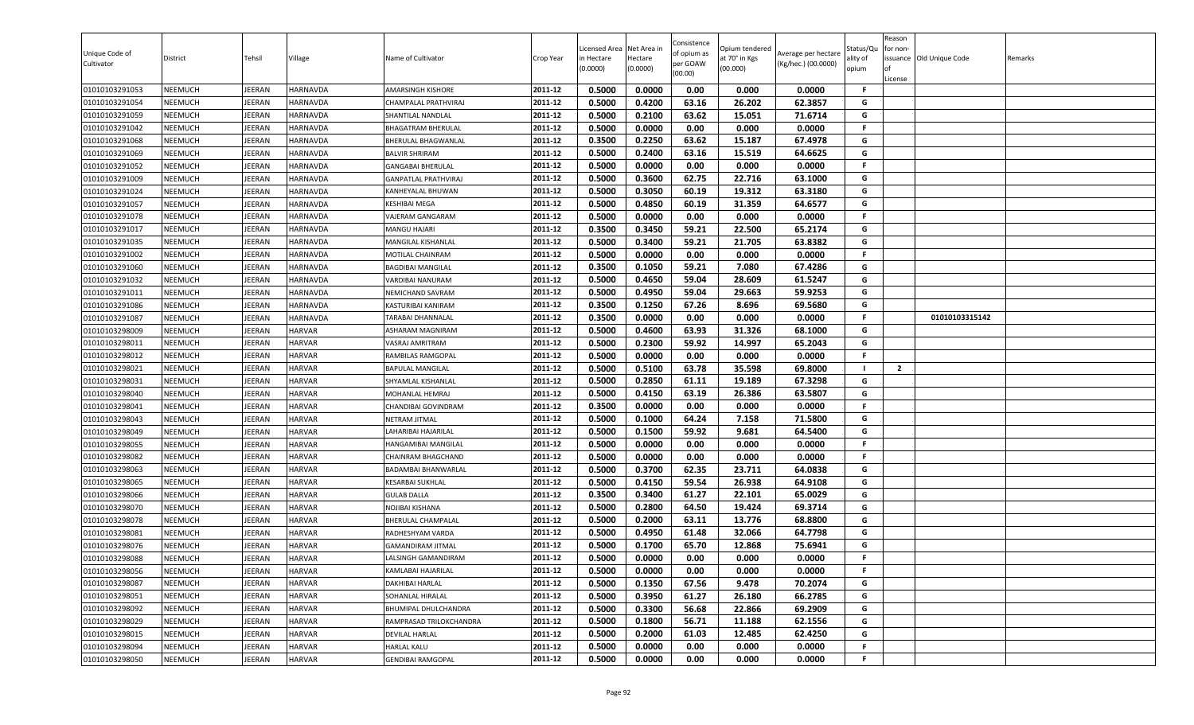| Unique Code of<br>Cultivator     | District                         | Tehsil                         | Village                        | Name of Cultivator                               | Crop Year          | Licensed Area<br>in Hectare<br>(0.0000) | Net Area in<br>Hectare<br>(0.0000) | Consistence<br>of opium as<br>per GOAW<br>(00.00) | Opium tendered<br>at 70° in Kgs<br>(00.000) | Average per hectare<br>(Kg/hec.) (00.0000) | Status/Qu<br>ality of<br>opium | Reason<br>for non-<br>lof<br>License | issuance Old Unique Code | Remarks |
|----------------------------------|----------------------------------|--------------------------------|--------------------------------|--------------------------------------------------|--------------------|-----------------------------------------|------------------------------------|---------------------------------------------------|---------------------------------------------|--------------------------------------------|--------------------------------|--------------------------------------|--------------------------|---------|
| 01010103291053                   | <b>NEEMUCH</b>                   | JEERAN                         | <b>HARNAVDA</b>                | AMARSINGH KISHORE                                | 2011-12            | 0.5000                                  | 0.0000                             | 0.00                                              | 0.000                                       | 0.0000                                     | F.                             |                                      |                          |         |
| 01010103291054                   | <b>NEEMUCH</b>                   | JEERAN                         | <b>HARNAVDA</b>                | CHAMPALAL PRATHVIRAJ                             | 2011-12            | 0.5000                                  | 0.4200                             | 63.16                                             | 26.202                                      | 62.3857                                    | G                              |                                      |                          |         |
| 01010103291059                   | NEEMUCH                          | JEERAN                         | HARNAVDA                       | SHANTILAL NANDLAL                                | 2011-12            | 0.5000                                  | 0.2100                             | 63.62                                             | 15.051                                      | 71.6714                                    | G                              |                                      |                          |         |
| 01010103291042                   | <b>NEEMUCH</b>                   | <b>JEERAN</b>                  | <b>HARNAVDA</b>                | BHAGATRAM BHERULAL                               | 2011-12            | 0.5000                                  | 0.0000                             | 0.00                                              | 0.000                                       | 0.0000                                     | F.                             |                                      |                          |         |
| 01010103291068                   | <b>NEEMUCH</b>                   | <b>JEERAN</b>                  | <b>HARNAVDA</b>                | BHERULAL BHAGWANLAL                              | 2011-12            | 0.3500                                  | 0.2250                             | 63.62                                             | 15.187                                      | 67.4978                                    | G                              |                                      |                          |         |
| 01010103291069                   | <b>NEEMUCH</b>                   | JEERAN                         | <b>HARNAVDA</b>                | <b>BALVIR SHRIRAM</b>                            | 2011-12            | 0.5000                                  | 0.2400                             | 63.16                                             | 15.519                                      | 64.6625                                    | G                              |                                      |                          |         |
| 01010103291052                   | <b>NEEMUCH</b>                   | <b>JEERAN</b>                  | HARNAVDA                       | <b>GANGABAI BHERULAL</b>                         | 2011-12            | 0.5000                                  | 0.0000                             | 0.00                                              | 0.000                                       | 0.0000                                     | F.                             |                                      |                          |         |
| 01010103291009                   | <b>NEEMUCH</b>                   | JEERAN                         | <b>HARNAVDA</b>                | <b>GANPATLAL PRATHVIRAJ</b>                      | 2011-12            | 0.5000                                  | 0.3600                             | 62.75                                             | 22.716                                      | 63.1000                                    | G                              |                                      |                          |         |
| 01010103291024                   | <b>NEEMUCH</b>                   | <b>JEERAN</b>                  | <b>HARNAVDA</b>                | KANHEYALAL BHUWAN                                | 2011-12            | 0.5000                                  | 0.3050                             | 60.19                                             | 19.312                                      | 63.3180                                    | G                              |                                      |                          |         |
| 01010103291057                   | <b>NEEMUCH</b>                   | JEERAN                         | <b>HARNAVDA</b>                | KESHIBAI MEGA                                    | 2011-12            | 0.5000                                  | 0.4850                             | 60.19                                             | 31.359                                      | 64.6577                                    | G                              |                                      |                          |         |
| 01010103291078                   | NEEMUCH                          | <b>JEERAN</b>                  | <b>HARNAVDA</b>                | VAJERAM GANGARAM                                 | 2011-12            | 0.5000                                  | 0.0000                             | 0.00                                              | 0.000                                       | 0.0000                                     | F.                             |                                      |                          |         |
| 01010103291017                   | <b>NEEMUCH</b>                   | JEERAN                         | <b>HARNAVDA</b>                | MANGU HAJARI                                     | 2011-12            | 0.3500                                  | 0.3450                             | 59.21                                             | 22.500                                      | 65.2174                                    | G                              |                                      |                          |         |
| 01010103291035                   | <b>NEEMUCH</b>                   | JEERAN                         | <b>HARNAVDA</b>                | MANGILAL KISHANLAL                               | 2011-12            | 0.5000                                  | 0.3400                             | 59.21                                             | 21.705                                      | 63.8382                                    | G                              |                                      |                          |         |
| 01010103291002                   | <b>NEEMUCH</b>                   | JEERAN                         | HARNAVDA                       | MOTILAL CHAINRAM                                 | 2011-12            | 0.5000                                  | 0.0000                             | 0.00                                              | 0.000                                       | 0.0000                                     | F.                             |                                      |                          |         |
| 01010103291060                   | <b>NEEMUCH</b>                   | JEERAN                         | <b>HARNAVDA</b>                | <b>BAGDIBAI MANGILAL</b>                         | 2011-12            | 0.3500                                  | 0.1050                             | 59.21                                             | 7.080                                       | 67.4286                                    | G                              |                                      |                          |         |
| 01010103291032                   | <b>NEEMUCH</b>                   | <b>JEERAN</b>                  | <b>HARNAVDA</b>                | VARDIBAI NANURAM                                 | 2011-12            | 0.5000                                  | 0.4650                             | 59.04                                             | 28.609                                      | 61.5247                                    | G                              |                                      |                          |         |
| 01010103291011                   | <b>NEEMUCH</b>                   | JEERAN                         | <b>HARNAVDA</b>                | NEMICHAND SAVRAM                                 | 2011-12            | 0.5000                                  | 0.4950                             | 59.04                                             | 29.663                                      | 59.9253                                    | G                              |                                      |                          |         |
| 01010103291086                   | <b>NEEMUCH</b>                   | <b>JEERAN</b>                  | <b>HARNAVDA</b>                | KASTURIBAI KANIRAM                               | 2011-12            | 0.3500                                  | 0.1250                             | 67.26                                             | 8.696                                       | 69.5680                                    | G                              |                                      |                          |         |
| 01010103291087                   | <b>NEEMUCH</b>                   | JEERAN                         | <b>HARNAVDA</b>                | TARABAI DHANNALAL                                | 2011-12            | 0.3500                                  | 0.0000                             | 0.00                                              | 0.000                                       | 0.0000                                     | .F                             |                                      | 01010103315142           |         |
| 01010103298009                   | <b>NEEMUCH</b>                   | <b>JEERAN</b>                  | <b>HARVAR</b>                  | ASHARAM MAGNIRAM                                 | 2011-12            | 0.5000                                  | 0.4600                             | 63.93                                             | 31.326                                      | 68.1000                                    | G                              |                                      |                          |         |
| 01010103298011                   | <b>NEEMUCH</b>                   | JEERAN                         | <b>HARVAR</b>                  | VASRAJ AMRITRAM                                  | 2011-12            | 0.5000                                  | 0.2300                             | 59.92                                             | 14.997                                      | 65.2043                                    | G                              |                                      |                          |         |
| 01010103298012                   | <b>NEEMUCH</b>                   | JEERAN                         | <b>HARVAR</b>                  | RAMBILAS RAMGOPAL                                | 2011-12            | 0.5000                                  | 0.0000                             | 0.00                                              | 0.000                                       | 0.0000                                     | F.                             |                                      |                          |         |
| 01010103298021                   | <b>NEEMUCH</b>                   | JEERAN                         | <b>HARVAR</b>                  | <b>BAPULAL MANGILAL</b>                          | 2011-12            | 0.5000                                  | 0.5100                             | 63.78                                             | 35.598                                      | 69.8000                                    | - 1                            | $\overline{2}$                       |                          |         |
| 01010103298031                   | <b>NEEMUCH</b>                   | JEERAN                         | <b>HARVAR</b>                  | SHYAMLAL KISHANLAL                               | 2011-12            | 0.5000                                  | 0.2850                             | 61.11                                             | 19.189                                      | 67.3298                                    | G                              |                                      |                          |         |
| 01010103298040                   | <b>NEEMUCH</b>                   | <b>JEERAN</b>                  | <b>HARVAR</b>                  | MOHANLAL HEMRAJ                                  | 2011-12            | 0.5000                                  | 0.4150                             | 63.19                                             | 26.386                                      | 63.5807                                    | G                              |                                      |                          |         |
| 01010103298041                   | <b>NEEMUCH</b>                   | JEERAN                         | <b>HARVAR</b>                  | CHANDIBAI GOVINDRAM                              | 2011-12            | 0.3500                                  | 0.0000                             | 0.00                                              | 0.000                                       | 0.0000                                     | F.                             |                                      |                          |         |
| 01010103298043                   | <b>NEEMUCH</b>                   | JEERAN                         | <b>HARVAR</b>                  | <b>NETRAM JITMAL</b>                             | 2011-12            | 0.5000                                  | 0.1000                             | 64.24                                             | 7.158                                       | 71.5800                                    | G                              |                                      |                          |         |
| 01010103298049                   | <b>NEEMUCH</b>                   | JEERAN                         | <b>HARVAR</b>                  | LAHARIBAI HAJARILAL                              | 2011-12            | 0.5000                                  | 0.1500                             | 59.92                                             | 9.681                                       | 64.5400                                    | G                              |                                      |                          |         |
| 01010103298055                   | <b>NEEMUCH</b>                   | JEERAN                         | <b>HARVAR</b>                  | HANGAMIBAI MANGILAL                              | 2011-12            | 0.5000                                  | 0.0000                             | 0.00                                              | 0.000                                       | 0.0000                                     | F.                             |                                      |                          |         |
| 01010103298082                   | <b>NEEMUCH</b>                   | <b>JEERAN</b>                  | <b>HARVAR</b>                  | CHAINRAM BHAGCHAND                               | 2011-12            | 0.5000                                  | 0.0000                             | 0.00                                              | 0.000                                       | 0.0000                                     | F.                             |                                      |                          |         |
| 01010103298063                   | <b>NEEMUCH</b>                   | JEERAN                         | <b>HARVAR</b>                  | BADAMBAI BHANWARLAL                              | 2011-12            | 0.5000                                  | 0.3700                             | 62.35                                             | 23.711                                      | 64.0838                                    | G                              |                                      |                          |         |
| 01010103298065                   | <b>NEEMUCH</b>                   | <b>JEERAN</b>                  | <b>HARVAR</b>                  | <b>KESARBAI SUKHLAL</b>                          | 2011-12            | 0.5000                                  | 0.4150                             | 59.54                                             | 26.938                                      | 64.9108                                    | G                              |                                      |                          |         |
| 01010103298066                   | <b>NEEMUCH</b>                   | JEERAN                         | <b>HARVAR</b>                  | <b>GULAB DALLA</b><br>NOJIBAI KISHANA            | 2011-12            | 0.3500                                  | 0.3400                             | 61.27                                             | 22.101                                      | 65.0029                                    | G                              |                                      |                          |         |
| 01010103298070                   | <b>NEEMUCH</b><br><b>NEEMUCH</b> | <b>JEERAN</b>                  | <b>HARVAR</b><br><b>HARVAR</b> |                                                  | 2011-12<br>2011-12 | 0.5000                                  | 0.2800                             | 64.50                                             | 19.424                                      | 69.3714                                    | G<br>G                         |                                      |                          |         |
| 01010103298078                   |                                  | JEERAN                         |                                | BHERULAL CHAMPALAL<br>RADHESHYAM VARDA           | 2011-12            | 0.5000<br>0.5000                        | 0.2000<br>0.4950                   | 63.11<br>61.48                                    | 13.776<br>32.066                            | 68.8800<br>64.7798                         | G                              |                                      |                          |         |
| 01010103298081<br>01010103298076 | <b>NEEMUCH</b><br><b>NEEMUCH</b> | <b>JEERAN</b><br><b>JEERAN</b> | <b>HARVAR</b><br><b>HARVAR</b> |                                                  | 2011-12            | 0.5000                                  |                                    |                                                   | 12.868                                      | 75.6941                                    | G                              |                                      |                          |         |
| 01010103298088                   | <b>NEEMUCH</b>                   | <b>JEERAN</b>                  | <b>HARVAR</b>                  | <b>GAMANDIRAM JITMAL</b><br>LALSINGH GAMANDIRAM  | 2011-12            | 0.5000                                  | 0.1700<br>0.0000                   | 65.70<br>0.00                                     | 0.000                                       | 0.0000                                     | F.                             |                                      |                          |         |
|                                  | <b>NEEMUCH</b>                   | JEERAN                         | <b>HARVAR</b>                  | KAMLABAI HAJARILAL                               | 2011-12            | 0.5000                                  | 0.0000                             | 0.00                                              | 0.000                                       | 0.0000                                     | F.                             |                                      |                          |         |
| 01010103298056<br>01010103298087 | <b>NEEMUCH</b>                   | JEERAN                         | <b>HARVAR</b>                  | DAKHIBAI HARLAL                                  | 2011-12            | 0.5000                                  | 0.1350                             | 67.56                                             | 9.478                                       | 70.2074                                    | G                              |                                      |                          |         |
| 01010103298051                   | <b>NEEMUCH</b>                   | <b>JEERAN</b>                  | <b>HARVAR</b>                  |                                                  | 2011-12            | 0.5000                                  | 0.3950                             | 61.27                                             | 26.180                                      | 66.2785                                    | G                              |                                      |                          |         |
|                                  |                                  |                                |                                | SOHANLAL HIRALAL                                 |                    |                                         |                                    |                                                   |                                             |                                            | G                              |                                      |                          |         |
| 01010103298092                   | <b>NEEMUCH</b>                   | JEERAN                         | <b>HARVAR</b>                  | BHUMIPAL DHULCHANDRA                             | 2011-12<br>2011-12 | 0.5000                                  | 0.3300                             | 56.68                                             | 22.866                                      | 69.2909                                    | G                              |                                      |                          |         |
| 01010103298029<br>01010103298015 | <b>NEEMUCH</b><br><b>NEEMUCH</b> | <b>JEERAN</b><br>JEERAN        | <b>HARVAR</b><br><b>HARVAR</b> | RAMPRASAD TRILOKCHANDRA<br><b>DEVILAL HARLAL</b> | 2011-12            | 0.5000<br>0.5000                        | 0.1800<br>0.2000                   | 56.71<br>61.03                                    | 11.188<br>12.485                            | 62.1556<br>62.4250                         | G                              |                                      |                          |         |
| 01010103298094                   |                                  | JEERAN                         |                                | <b>HARLAL KALU</b>                               | 2011-12            |                                         |                                    | 0.00                                              | 0.000                                       | 0.0000                                     | .F                             |                                      |                          |         |
|                                  | <b>NEEMUCH</b>                   |                                | <b>HARVAR</b>                  |                                                  |                    | 0.5000                                  | 0.0000                             |                                                   |                                             |                                            | F                              |                                      |                          |         |
| 01010103298050                   | <b>NEEMUCH</b>                   | JEERAN                         | <b>HARVAR</b>                  | <b>GENDIBAI RAMGOPAL</b>                         | 2011-12            | 0.5000                                  | 0.0000                             | 0.00                                              | 0.000                                       | 0.0000                                     |                                |                                      |                          |         |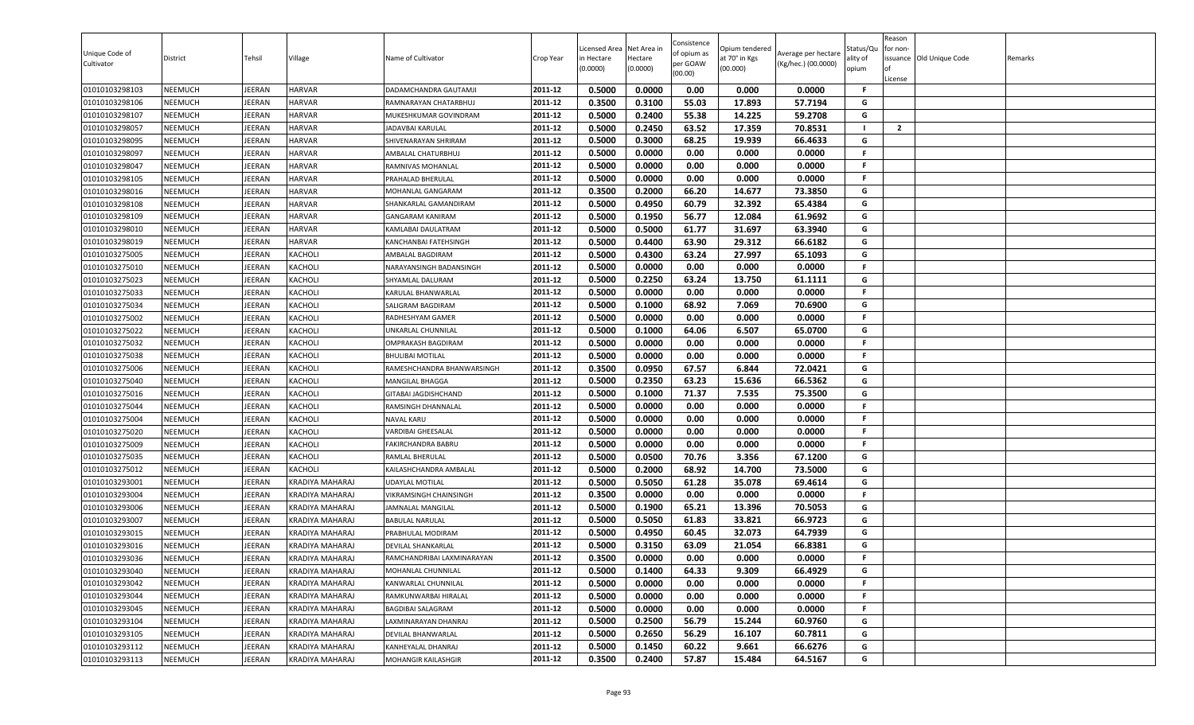| 0.5000<br>0.0000<br>0.00<br>0.000<br>0.0000<br>01010103298103<br><b>NEEMUCH</b><br>DADAMCHANDRA GAUTAMJI<br>2011-12<br>JEERAN<br><b>HARVAR</b><br>F.<br><b>NEEMUCH</b><br>2011-12<br>0.3500<br>0.3100<br>55.03<br>17.893<br>57.7194<br>G<br>01010103298106<br>JEERAN<br><b>HARVAR</b><br>RAMNARAYAN CHATARBHUJ<br>0.2400<br>NEEMUCH<br>2011-12<br>0.5000<br>55.38<br>14.225<br>59.2708<br>G<br>01010103298107<br>JEERAN<br><b>HARVAR</b><br>MUKESHKUMAR GOVINDRAM<br>2011-12<br>0.2450<br>70.8531<br>$\overline{2}$<br>01010103298057<br><b>NEEMUCH</b><br><b>JEERAN</b><br><b>HARVAR</b><br>0.5000<br>63.52<br>17.359<br>- 1<br>JADAVBAI KARULAL<br>0.5000<br>0.3000<br>66.4633<br>2011-12<br>68.25<br>19.939<br>G<br><b>NEEMUCH</b><br><b>JEERAN</b><br>01010103298095<br><b>HARVAR</b><br>SHIVENARAYAN SHRIRAM<br>2011-12<br>0.5000<br>0.0000<br>0.00<br>0.0000<br>F.<br>01010103298097<br><b>NEEMUCH</b><br>JEERAN<br><b>HARVAR</b><br>0.000<br>AMBALAL CHATURBHUJ<br>2011-12<br>0.5000<br>0.0000<br>0.00<br>0.000<br>0.0000<br><b>NEEMUCH</b><br><b>JEERAN</b><br><b>HARVAR</b><br>F.<br>01010103298047<br>RAMNIVAS MOHANLAL<br>2011-12<br>0.0000<br>01010103298105<br><b>NEEMUCH</b><br>JEERAN<br><b>HARVAR</b><br>0.5000<br>0.00<br>0.000<br>0.0000<br>F.<br>PRAHALAD BHERULAL<br>01010103298016<br><b>NEEMUCH</b><br><b>JEERAN</b><br><b>HARVAR</b><br>0.3500<br>0.2000<br>66.20<br>14.677<br>73.3850<br>2011-12<br>G<br>MOHANLAL GANGARAM |  |
|----------------------------------------------------------------------------------------------------------------------------------------------------------------------------------------------------------------------------------------------------------------------------------------------------------------------------------------------------------------------------------------------------------------------------------------------------------------------------------------------------------------------------------------------------------------------------------------------------------------------------------------------------------------------------------------------------------------------------------------------------------------------------------------------------------------------------------------------------------------------------------------------------------------------------------------------------------------------------------------------------------------------------------------------------------------------------------------------------------------------------------------------------------------------------------------------------------------------------------------------------------------------------------------------------------------------------------------------------------------------------------------------------------------------------------------------------|--|
|                                                                                                                                                                                                                                                                                                                                                                                                                                                                                                                                                                                                                                                                                                                                                                                                                                                                                                                                                                                                                                                                                                                                                                                                                                                                                                                                                                                                                                                    |  |
|                                                                                                                                                                                                                                                                                                                                                                                                                                                                                                                                                                                                                                                                                                                                                                                                                                                                                                                                                                                                                                                                                                                                                                                                                                                                                                                                                                                                                                                    |  |
|                                                                                                                                                                                                                                                                                                                                                                                                                                                                                                                                                                                                                                                                                                                                                                                                                                                                                                                                                                                                                                                                                                                                                                                                                                                                                                                                                                                                                                                    |  |
|                                                                                                                                                                                                                                                                                                                                                                                                                                                                                                                                                                                                                                                                                                                                                                                                                                                                                                                                                                                                                                                                                                                                                                                                                                                                                                                                                                                                                                                    |  |
|                                                                                                                                                                                                                                                                                                                                                                                                                                                                                                                                                                                                                                                                                                                                                                                                                                                                                                                                                                                                                                                                                                                                                                                                                                                                                                                                                                                                                                                    |  |
|                                                                                                                                                                                                                                                                                                                                                                                                                                                                                                                                                                                                                                                                                                                                                                                                                                                                                                                                                                                                                                                                                                                                                                                                                                                                                                                                                                                                                                                    |  |
|                                                                                                                                                                                                                                                                                                                                                                                                                                                                                                                                                                                                                                                                                                                                                                                                                                                                                                                                                                                                                                                                                                                                                                                                                                                                                                                                                                                                                                                    |  |
|                                                                                                                                                                                                                                                                                                                                                                                                                                                                                                                                                                                                                                                                                                                                                                                                                                                                                                                                                                                                                                                                                                                                                                                                                                                                                                                                                                                                                                                    |  |
|                                                                                                                                                                                                                                                                                                                                                                                                                                                                                                                                                                                                                                                                                                                                                                                                                                                                                                                                                                                                                                                                                                                                                                                                                                                                                                                                                                                                                                                    |  |
| 0.4950<br>01010103298108<br><b>NEEMUCH</b><br>JEERAN<br><b>HARVAR</b><br>2011-12<br>0.5000<br>60.79<br>32.392<br>65.4384<br>G<br>SHANKARLAL GAMANDIRAM                                                                                                                                                                                                                                                                                                                                                                                                                                                                                                                                                                                                                                                                                                                                                                                                                                                                                                                                                                                                                                                                                                                                                                                                                                                                                             |  |
| 0.5000<br>0.1950<br>56.77<br>12.084<br>61.9692<br>G<br><b>JEERAN</b><br>2011-12<br>01010103298109<br><b>NEEMUCH</b><br><b>HARVAR</b><br>GANGARAM KANIRAM                                                                                                                                                                                                                                                                                                                                                                                                                                                                                                                                                                                                                                                                                                                                                                                                                                                                                                                                                                                                                                                                                                                                                                                                                                                                                           |  |
| <b>NEEMUCH</b><br><b>HARVAR</b><br>2011-12<br>0.5000<br>0.5000<br>61.77<br>31.697<br>63.3940<br>G<br>01010103298010<br>JEERAN<br>KAMLABAI DAULATRAM                                                                                                                                                                                                                                                                                                                                                                                                                                                                                                                                                                                                                                                                                                                                                                                                                                                                                                                                                                                                                                                                                                                                                                                                                                                                                                |  |
| 0.4400<br>01010103298019<br><b>NEEMUCH</b><br>JEERAN<br>0.5000<br>63.90<br>29.312<br>66.6182<br>G<br><b>HARVAR</b><br>2011-12<br>KANCHANBAI FATEHSINGH                                                                                                                                                                                                                                                                                                                                                                                                                                                                                                                                                                                                                                                                                                                                                                                                                                                                                                                                                                                                                                                                                                                                                                                                                                                                                             |  |
| 0.5000<br>0.4300<br>G<br>01010103275005<br><b>NEEMUCH</b><br>JEERAN<br>KACHOLI<br>2011-12<br>63.24<br>27.997<br>65.1093<br>AMBALAL BAGDIRAM                                                                                                                                                                                                                                                                                                                                                                                                                                                                                                                                                                                                                                                                                                                                                                                                                                                                                                                                                                                                                                                                                                                                                                                                                                                                                                        |  |
| 0.5000<br>0.0000<br>0.00<br>0.000<br>0.0000<br>01010103275010<br><b>NEEMUCH</b><br>JEERAN<br>KACHOLI<br>2011-12<br>F.<br>NARAYANSINGH BADANSINGH                                                                                                                                                                                                                                                                                                                                                                                                                                                                                                                                                                                                                                                                                                                                                                                                                                                                                                                                                                                                                                                                                                                                                                                                                                                                                                   |  |
| 01010103275023<br><b>NEEMUCH</b><br><b>JEERAN</b><br>KACHOLI<br>2011-12<br>0.5000<br>0.2250<br>63.24<br>13.750<br>61.1111<br>G<br>SHYAMLAL DALURAM                                                                                                                                                                                                                                                                                                                                                                                                                                                                                                                                                                                                                                                                                                                                                                                                                                                                                                                                                                                                                                                                                                                                                                                                                                                                                                 |  |
| 01010103275033<br><b>NEEMUCH</b><br>JEERAN<br><b>KACHOLI</b><br>2011-12<br>0.5000<br>0.0000<br>0.00<br>0.000<br>0.0000<br>KARULAL BHANWARLAL<br>F.                                                                                                                                                                                                                                                                                                                                                                                                                                                                                                                                                                                                                                                                                                                                                                                                                                                                                                                                                                                                                                                                                                                                                                                                                                                                                                 |  |
| 01010103275034<br><b>NEEMUCH</b><br><b>JEERAN</b><br>KACHOLI<br>2011-12<br>0.5000<br>0.1000<br>68.92<br>7.069<br>70.6900<br>G<br>SALIGRAM BAGDIRAM<br>F.                                                                                                                                                                                                                                                                                                                                                                                                                                                                                                                                                                                                                                                                                                                                                                                                                                                                                                                                                                                                                                                                                                                                                                                                                                                                                           |  |
| 01010103275002<br><b>NEEMUCH</b><br>JEERAN<br>KACHOLI<br>2011-12<br>0.5000<br>0.0000<br>0.00<br>0.000<br>0.0000<br>RADHESHYAM GAMER<br>G                                                                                                                                                                                                                                                                                                                                                                                                                                                                                                                                                                                                                                                                                                                                                                                                                                                                                                                                                                                                                                                                                                                                                                                                                                                                                                           |  |
| 0.5000<br>0.1000<br>64.06<br>6.507<br>65.0700<br><b>NEEMUCH</b><br><b>JEERAN</b><br>2011-12<br>01010103275022<br>KACHOLI<br>UNKARLAL CHUNNILAL<br>01010103275032<br><b>NEEMUCH</b><br>JEERAN<br>0.5000<br>0.0000<br>0.0000<br>2011-12<br>F                                                                                                                                                                                                                                                                                                                                                                                                                                                                                                                                                                                                                                                                                                                                                                                                                                                                                                                                                                                                                                                                                                                                                                                                         |  |
| KACHOLI<br>0.00<br>0.000<br>OMPRAKASH BAGDIRAM<br>0.0000<br>2011-12<br>F.                                                                                                                                                                                                                                                                                                                                                                                                                                                                                                                                                                                                                                                                                                                                                                                                                                                                                                                                                                                                                                                                                                                                                                                                                                                                                                                                                                          |  |
| 0.5000<br>0.00<br>0.000<br>0.0000<br>01010103275038<br><b>NEEMUCH</b><br>JEERAN<br>KACHOLI<br><b>BHULIBAI MOTILAL</b><br>0.3500<br>0.0950<br><b>NEEMUCH</b><br>JEERAN<br>67.57<br>6.844<br>72.0421<br>G                                                                                                                                                                                                                                                                                                                                                                                                                                                                                                                                                                                                                                                                                                                                                                                                                                                                                                                                                                                                                                                                                                                                                                                                                                            |  |
| 01010103275006<br>KACHOLI<br>RAMESHCHANDRA BHANWARSINGH<br>2011-12<br>0.5000<br>0.2350<br>63.23<br>15.636<br>66.5362<br>01010103275040<br>JEERAN<br>2011-12<br>G<br><b>NEEMUCH</b><br>KACHOLI<br>MANGILAL BHAGGA                                                                                                                                                                                                                                                                                                                                                                                                                                                                                                                                                                                                                                                                                                                                                                                                                                                                                                                                                                                                                                                                                                                                                                                                                                   |  |
| <b>NEEMUCH</b><br><b>JEERAN</b><br>KACHOLI<br>0.5000<br>0.1000<br>71.37<br>7.535<br>75.3500<br>G<br>01010103275016<br>2011-12<br>GITABAI JAGDISHCHAND                                                                                                                                                                                                                                                                                                                                                                                                                                                                                                                                                                                                                                                                                                                                                                                                                                                                                                                                                                                                                                                                                                                                                                                                                                                                                              |  |
| 2011-12<br>0.5000<br>0.0000<br>0.00<br>0.000<br>0.0000<br>01010103275044<br><b>NEEMUCH</b><br>JEERAN<br><b>KACHOLI</b><br>RAMSINGH DHANNALAL<br>F.                                                                                                                                                                                                                                                                                                                                                                                                                                                                                                                                                                                                                                                                                                                                                                                                                                                                                                                                                                                                                                                                                                                                                                                                                                                                                                 |  |
| 01010103275004<br><b>NEEMUCH</b><br>JEERAN<br>KACHOLI<br>0.5000<br>0.0000<br>0.00<br>0.000<br>0.0000<br>2011-12<br><b>NAVAL KARU</b><br>F.                                                                                                                                                                                                                                                                                                                                                                                                                                                                                                                                                                                                                                                                                                                                                                                                                                                                                                                                                                                                                                                                                                                                                                                                                                                                                                         |  |
| 2011-12<br>0.5000<br>0.0000<br>0.00<br>0.000<br>0.0000<br>01010103275020<br><b>NEEMUCH</b><br>JEERAN<br>KACHOLI<br>F<br>VARDIBAI GHEESALAL                                                                                                                                                                                                                                                                                                                                                                                                                                                                                                                                                                                                                                                                                                                                                                                                                                                                                                                                                                                                                                                                                                                                                                                                                                                                                                         |  |
| 0.00<br>NEEMUCH<br>0.5000<br>0.0000<br>0.000<br>0.0000<br>01010103275009<br>JEERAN<br>KACHOLI<br>2011-12<br>FAKIRCHANDRA BABRU<br>F.                                                                                                                                                                                                                                                                                                                                                                                                                                                                                                                                                                                                                                                                                                                                                                                                                                                                                                                                                                                                                                                                                                                                                                                                                                                                                                               |  |
| 0.5000<br>0.0500<br>70.76<br>3.356<br>67.1200<br>2011-12<br>G<br><b>NEEMUCH</b><br><b>JEERAN</b><br>KACHOLI<br>01010103275035<br>RAMLAL BHERULAL                                                                                                                                                                                                                                                                                                                                                                                                                                                                                                                                                                                                                                                                                                                                                                                                                                                                                                                                                                                                                                                                                                                                                                                                                                                                                                   |  |
| 01010103275012<br>0.5000<br>0.2000<br>68.92<br>14.700<br>73.5000<br>G<br><b>NEEMUCH</b><br>JEERAN<br>KACHOLI<br>KAILASHCHANDRA AMBALAL<br>2011-12                                                                                                                                                                                                                                                                                                                                                                                                                                                                                                                                                                                                                                                                                                                                                                                                                                                                                                                                                                                                                                                                                                                                                                                                                                                                                                  |  |
| 0.5000<br>0.5050<br>61.28<br>35.078<br>69.4614<br>01010103293001<br><b>NEEMUCH</b><br><b>JEERAN</b><br>2011-12<br>G<br>KRADIYA MAHARAJ<br>UDAYLAL MOTILAL                                                                                                                                                                                                                                                                                                                                                                                                                                                                                                                                                                                                                                                                                                                                                                                                                                                                                                                                                                                                                                                                                                                                                                                                                                                                                          |  |
| 01010103293004<br>JEERAN<br>0.3500<br>0.0000<br>0.00<br>0.000<br>0.0000<br><b>NEEMUCH</b><br>KRADIYA MAHARAJ<br>VIKRAMSINGH CHAINSINGH<br>2011-12<br>F.                                                                                                                                                                                                                                                                                                                                                                                                                                                                                                                                                                                                                                                                                                                                                                                                                                                                                                                                                                                                                                                                                                                                                                                                                                                                                            |  |
| 0.5000<br>0.1900<br>65.21<br>13.396<br>70.5053<br><b>NEEMUCH</b><br><b>JEERAN</b><br>2011-12<br>G<br>01010103293006<br>KRADIYA MAHARAJ<br>JAMNALAL MANGILAL                                                                                                                                                                                                                                                                                                                                                                                                                                                                                                                                                                                                                                                                                                                                                                                                                                                                                                                                                                                                                                                                                                                                                                                                                                                                                        |  |
| 66.9723<br>01010103293007<br><b>NEEMUCH</b><br>JEERAN<br>2011-12<br>0.5000<br>0.5050<br>61.83<br>33.821<br>G<br><b>KRADIYA MAHARAJ</b><br><b>BABULAL NARULAL</b>                                                                                                                                                                                                                                                                                                                                                                                                                                                                                                                                                                                                                                                                                                                                                                                                                                                                                                                                                                                                                                                                                                                                                                                                                                                                                   |  |
| 2011-12<br>0.5000<br>0.4950<br>60.45<br>32.073<br>64.7939<br>G<br>01010103293015<br><b>NEEMUCH</b><br>JEERAN<br>KRADIYA MAHARAJ<br>PRABHULAL MODIRAM                                                                                                                                                                                                                                                                                                                                                                                                                                                                                                                                                                                                                                                                                                                                                                                                                                                                                                                                                                                                                                                                                                                                                                                                                                                                                               |  |
| 0.5000<br>0.3150<br>66.8381<br>G<br>01010103293016<br><b>NEEMUCH</b><br><b>JEERAN</b><br>2011-12<br>63.09<br>21.054<br><b>KRADIYA MAHARAJ</b><br>DEVILAL SHANKARLAL                                                                                                                                                                                                                                                                                                                                                                                                                                                                                                                                                                                                                                                                                                                                                                                                                                                                                                                                                                                                                                                                                                                                                                                                                                                                                |  |
| 0.3500<br>0.0000<br>0.00<br>0.000<br>0.0000<br>F.<br><b>NEEMUCH</b><br><b>JEERAN</b><br>2011-12<br>01010103293036<br><b>KRADIYA MAHARAJ</b><br>RAMCHANDRIBAI LAXMINARAYAN                                                                                                                                                                                                                                                                                                                                                                                                                                                                                                                                                                                                                                                                                                                                                                                                                                                                                                                                                                                                                                                                                                                                                                                                                                                                          |  |
| 2011-12<br>01010103293040<br><b>NEEMUCH</b><br>JEERAN<br>0.5000<br>0.1400<br>64.33<br>66.4929<br>G<br><b>KRADIYA MAHARAJ</b><br>MOHANLAL CHUNNILAL<br>9.309                                                                                                                                                                                                                                                                                                                                                                                                                                                                                                                                                                                                                                                                                                                                                                                                                                                                                                                                                                                                                                                                                                                                                                                                                                                                                        |  |
| 0.0000<br>0.00<br>2011-12<br>0.5000<br>0.000<br>0.0000<br>01010103293042<br><b>NEEMUCH</b><br>JEERAN<br>KRADIYA MAHARAJ<br>KANWARLAL CHUNNILAL<br>F.                                                                                                                                                                                                                                                                                                                                                                                                                                                                                                                                                                                                                                                                                                                                                                                                                                                                                                                                                                                                                                                                                                                                                                                                                                                                                               |  |
| 2011-12<br>0.0000<br>01010103293044<br><b>NEEMUCH</b><br>JEERAN<br>KRADIYA MAHARAJ<br>0.5000<br>0.00<br>0.000<br>0.0000<br>RAMKUNWARBAI HIRALAL<br>F                                                                                                                                                                                                                                                                                                                                                                                                                                                                                                                                                                                                                                                                                                                                                                                                                                                                                                                                                                                                                                                                                                                                                                                                                                                                                               |  |
| 2011-12<br>0.5000<br>0.0000<br>0.00<br>0.000<br>0.0000<br>01010103293045<br><b>NEEMUCH</b><br>JEERAN<br>KRADIYA MAHARAJ<br>BAGDIBAI SALAGRAM<br>F.                                                                                                                                                                                                                                                                                                                                                                                                                                                                                                                                                                                                                                                                                                                                                                                                                                                                                                                                                                                                                                                                                                                                                                                                                                                                                                 |  |
| <b>NEEMUCH</b><br><b>JEERAN</b><br>2011-12<br>0.5000<br>0.2500<br>56.79<br>15.244<br>60.9760<br>G<br>01010103293104<br>KRADIYA MAHARAJ<br>LAXMINARAYAN DHANRAJ                                                                                                                                                                                                                                                                                                                                                                                                                                                                                                                                                                                                                                                                                                                                                                                                                                                                                                                                                                                                                                                                                                                                                                                                                                                                                     |  |
| 01010103293105<br><b>NEEMUCH</b><br>JEERAN<br><b>KRADIYA MAHARAJ</b><br>2011-12<br>0.5000<br>0.2650<br>56.29<br>16.107<br>60.7811<br>G<br>DEVILAL BHANWARLAL                                                                                                                                                                                                                                                                                                                                                                                                                                                                                                                                                                                                                                                                                                                                                                                                                                                                                                                                                                                                                                                                                                                                                                                                                                                                                       |  |
| 2011-12<br>60.22<br>9.661<br>66.6276<br>G<br>01010103293112<br><b>NEEMUCH</b><br>JEERAN<br>0.5000<br>0.1450<br>KRADIYA MAHARAJ<br>KANHEYALAL DHANRAJ                                                                                                                                                                                                                                                                                                                                                                                                                                                                                                                                                                                                                                                                                                                                                                                                                                                                                                                                                                                                                                                                                                                                                                                                                                                                                               |  |
| 01010103293113<br><b>NEEMUCH</b><br>JEERAN<br>0.3500<br>0.2400<br>57.87<br>15.484<br>G<br><b>KRADIYA MAHARAJ</b><br>2011-12<br>64.5167<br>MOHANGIR KAILASHGIR                                                                                                                                                                                                                                                                                                                                                                                                                                                                                                                                                                                                                                                                                                                                                                                                                                                                                                                                                                                                                                                                                                                                                                                                                                                                                      |  |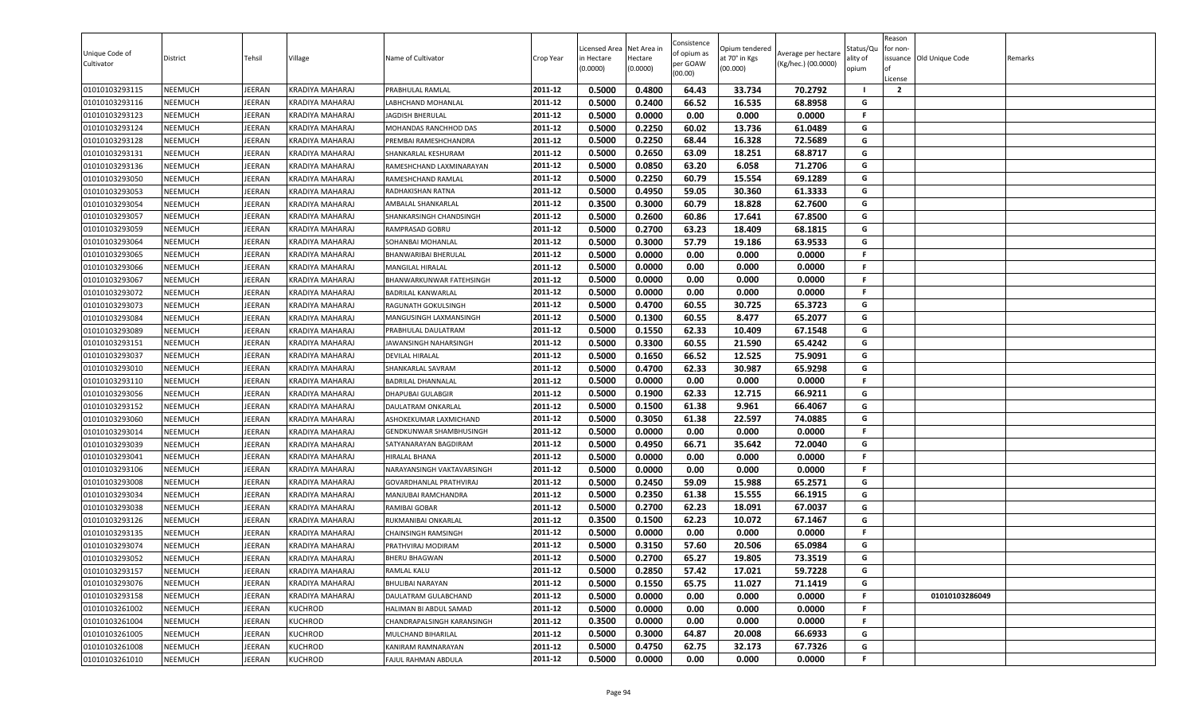| Unique Code of<br>Cultivator | District       | Tehsil        | Village                | Name of Cultivator          | Crop Year | Licensed Area<br>in Hectare<br>(0.0000) | Net Area in<br>Hectare<br>(0.0000) | Consistence<br>of opium as<br>per GOAW<br>(00.00) | Opium tendered<br>at 70° in Kgs<br>(00.000) | Average per hectare<br>(Kg/hec.) (00.0000) | status/Qι<br>ılity of<br>opium | Reason<br>for non-<br>of<br>License | issuance Old Unique Code | Remarks |
|------------------------------|----------------|---------------|------------------------|-----------------------------|-----------|-----------------------------------------|------------------------------------|---------------------------------------------------|---------------------------------------------|--------------------------------------------|--------------------------------|-------------------------------------|--------------------------|---------|
| 01010103293115               | <b>NEEMUCH</b> | JEERAN        | KRADIYA MAHARAJ        | PRABHULAL RAMLAL            | 2011-12   | 0.5000                                  | 0.4800                             | 64.43                                             | 33.734                                      | 70.2792                                    | - 1                            | $\overline{2}$                      |                          |         |
| 01010103293116               | NEEMUCH        | <b>JEERAN</b> | KRADIYA MAHARAJ        | LABHCHAND MOHANLAL          | 2011-12   | 0.5000                                  | 0.2400                             | 66.52                                             | 16.535                                      | 68.8958                                    | G                              |                                     |                          |         |
| 01010103293123               | <b>NEEMUCH</b> | <b>JEERAN</b> | KRADIYA MAHARAJ        | JAGDISH BHERULAL            | 2011-12   | 0.5000                                  | 0.0000                             | 0.00                                              | 0.000                                       | 0.0000                                     | F                              |                                     |                          |         |
| 01010103293124               | <b>NEEMUCH</b> | JEERAN        | KRADIYA MAHARAJ        | MOHANDAS RANCHHOD DAS       | 2011-12   | 0.5000                                  | 0.2250                             | 60.02                                             | 13.736                                      | 61.0489                                    | G                              |                                     |                          |         |
| 01010103293128               | NEEMUCH        | JEERAN        | KRADIYA MAHARAJ        | PREMBAI RAMESHCHANDRA       | 2011-12   | 0.5000                                  | 0.2250                             | 68.44                                             | 16.328                                      | 72.5689                                    | G                              |                                     |                          |         |
| 01010103293131               | <b>NEEMUCH</b> | JEERAN        | KRADIYA MAHARAJ        | SHANKARLAL KESHURAM         | 2011-12   | 0.5000                                  | 0.2650                             | 63.09                                             | 18.251                                      | 68.8717                                    | G                              |                                     |                          |         |
| 01010103293136               | NEEMUCH        | JEERAN        | KRADIYA MAHARAJ        | RAMESHCHAND LAXMINARAYAN    | 2011-12   | 0.5000                                  | 0.0850                             | 63.20                                             | 6.058                                       | 71.2706                                    | G                              |                                     |                          |         |
| 01010103293050               | <b>NEEMUCH</b> | JEERAN        | <b>KRADIYA MAHARAJ</b> | RAMESHCHAND RAMLAL          | 2011-12   | 0.5000                                  | 0.2250                             | 60.79                                             | 15.554                                      | 69.1289                                    | G                              |                                     |                          |         |
| 01010103293053               | <b>NEEMUCH</b> | JEERAN        | KRADIYA MAHARAJ        | RADHAKISHAN RATNA           | 2011-12   | 0.5000                                  | 0.4950                             | 59.05                                             | 30.360                                      | 61.3333                                    | G                              |                                     |                          |         |
| 01010103293054               | <b>NEEMUCH</b> | <b>JEERAN</b> | KRADIYA MAHARAJ        | AMBALAL SHANKARLAL          | 2011-12   | 0.3500                                  | 0.3000                             | 60.79                                             | 18.828                                      | 62.7600                                    | G                              |                                     |                          |         |
| 01010103293057               | NEEMUCH        | <b>JEERAN</b> | KRADIYA MAHARAJ        | SHANKARSINGH CHANDSINGH     | 2011-12   | 0.5000                                  | 0.2600                             | 60.86                                             | 17.641                                      | 67.8500                                    | G                              |                                     |                          |         |
| 01010103293059               | NEEMUCH        | JEERAN        | KRADIYA MAHARAJ        | RAMPRASAD GOBRU             | 2011-12   | 0.5000                                  | 0.2700                             | 63.23                                             | 18.409                                      | 68.1815                                    | G                              |                                     |                          |         |
| 01010103293064               | <b>NEEMUCH</b> | JEERAN        | KRADIYA MAHARAJ        | SOHANBAI MOHANLAL           | 2011-12   | 0.5000                                  | 0.3000                             | 57.79                                             | 19.186                                      | 63.9533                                    | G                              |                                     |                          |         |
| 01010103293065               | NEEMUCH        | JEERAN        | KRADIYA MAHARAJ        | <b>BHANWARIBAI BHERULAL</b> | 2011-12   | 0.5000                                  | 0.0000                             | 0.00                                              | 0.000                                       | 0.0000                                     | F                              |                                     |                          |         |
| 01010103293066               | <b>NEEMUCH</b> | JEERAN        | KRADIYA MAHARAJ        | MANGILAL HIRALAL            | 2011-12   | 0.5000                                  | 0.0000                             | 0.00                                              | 0.000                                       | 0.0000                                     | F.                             |                                     |                          |         |
| 01010103293067               | <b>NEEMUCH</b> | JEERAN        | KRADIYA MAHARAJ        | BHANWARKUNWAR FATEHSINGH    | 2011-12   | 0.5000                                  | 0.0000                             | 0.00                                              | 0.000                                       | 0.0000                                     | F.                             |                                     |                          |         |
| 01010103293072               | <b>NEEMUCH</b> | JEERAN        | <b>KRADIYA MAHARAJ</b> | <b>BADRILAL KANWARLAL</b>   | 2011-12   | 0.5000                                  | 0.0000                             | 0.00                                              | 0.000                                       | 0.0000                                     | F.                             |                                     |                          |         |
| 01010103293073               | NEEMUCH        | <b>JEERAN</b> | KRADIYA MAHARAJ        | RAGUNATH GOKULSINGH         | 2011-12   | 0.5000                                  | 0.4700                             | 60.55                                             | 30.725                                      | 65.3723                                    | G                              |                                     |                          |         |
| 01010103293084               | NEEMUCH        | <b>JEERAN</b> | KRADIYA MAHARAJ        | MANGUSINGH LAXMANSINGH      | 2011-12   | 0.5000                                  | 0.1300                             | 60.55                                             | 8.477                                       | 65.2077                                    | G                              |                                     |                          |         |
| 01010103293089               | NEEMUCH        | <b>JEERAN</b> | KRADIYA MAHARAJ        | PRABHULAL DAULATRAM         | 2011-12   | 0.5000                                  | 0.1550                             | 62.33                                             | 10.409                                      | 67.1548                                    | G                              |                                     |                          |         |
| 01010103293151               | NEEMUCH        | JEERAN        | KRADIYA MAHARAJ        | JAWANSINGH NAHARSINGH       | 2011-12   | 0.5000                                  | 0.3300                             | 60.55                                             | 21.590                                      | 65.4242                                    | G                              |                                     |                          |         |
| 01010103293037               | <b>NEEMUCH</b> | JEERAN        | KRADIYA MAHARAJ        | <b>DEVILAL HIRALAL</b>      | 2011-12   | 0.5000                                  | 0.1650                             | 66.52                                             | 12.525                                      | 75.9091                                    | G                              |                                     |                          |         |
| 01010103293010               | <b>NEEMUCH</b> | JEERAN        | KRADIYA MAHARAJ        | SHANKARLAL SAVRAM           | 2011-12   | 0.5000                                  | 0.4700                             | 62.33                                             | 30.987                                      | 65.9298                                    | G                              |                                     |                          |         |
| 01010103293110               | <b>NEEMUCH</b> | JEERAN        | KRADIYA MAHARAJ        | BADRILAL DHANNALAL          | 2011-12   | 0.5000                                  | 0.0000                             | 0.00                                              | 0.000                                       | 0.0000                                     | F.                             |                                     |                          |         |
| 01010103293056               | <b>NEEMUCH</b> | JEERAN        | KRADIYA MAHARAJ        | DHAPUBAI GULABGIR           | 2011-12   | 0.5000                                  | 0.1900                             | 62.33                                             | 12.715                                      | 66.9211                                    | G                              |                                     |                          |         |
| 01010103293152               | NEEMUCH        | JEERAN        | KRADIYA MAHARAJ        | DAULATRAM ONKARLAL          | 2011-12   | 0.5000                                  | 0.1500                             | 61.38                                             | 9.961                                       | 66.4067                                    | G                              |                                     |                          |         |
| 01010103293060               | NEEMUCH        | JEERAN        | KRADIYA MAHARAJ        | ASHOKEKUMAR LAXMICHAND      | 2011-12   | 0.5000                                  | 0.3050                             | 61.38                                             | 22.597                                      | 74.0885                                    | G                              |                                     |                          |         |
| 01010103293014               | NEEMUCH        | JEERAN        | KRADIYA MAHARAJ        | GENDKUNWAR SHAMBHUSINGH     | 2011-12   | 0.5000                                  | 0.0000                             | 0.00                                              | 0.000                                       | 0.0000                                     | F                              |                                     |                          |         |
| 01010103293039               | NEEMUCH        | JEERAN        | KRADIYA MAHARAJ        | SATYANARAYAN BAGDIRAM       | 2011-12   | 0.5000                                  | 0.4950                             | 66.71                                             | 35.642                                      | 72.0040                                    | G                              |                                     |                          |         |
| 01010103293041               | NEEMUCH        | JEERAN        | KRADIYA MAHARAJ        | HIRALAL BHANA               | 2011-12   | 0.5000                                  | 0.0000                             | 0.00                                              | 0.000                                       | 0.0000                                     | F.                             |                                     |                          |         |
| 01010103293106               | <b>NEEMUCH</b> | JEERAN        | KRADIYA MAHARAJ        | NARAYANSINGH VAKTAVARSINGH  | 2011-12   | 0.5000                                  | 0.0000                             | 0.00                                              | 0.000                                       | 0.0000                                     | F.                             |                                     |                          |         |
| 01010103293008               | <b>NEEMUCH</b> | <b>JEERAN</b> | KRADIYA MAHARAJ        | GOVARDHANLAL PRATHVIRAJ     | 2011-12   | 0.5000                                  | 0.2450                             | 59.09                                             | 15.988                                      | 65.2571                                    | G                              |                                     |                          |         |
| 01010103293034               | <b>NEEMUCH</b> | JEERAN        | KRADIYA MAHARAJ        | MANJUBAI RAMCHANDRA         | 2011-12   | 0.5000                                  | 0.2350                             | 61.38                                             | 15.555                                      | 66.1915                                    | G                              |                                     |                          |         |
| 01010103293038               | <b>NEEMUCH</b> | <b>JEERAN</b> | KRADIYA MAHARAJ        | RAMIBAI GOBAR               | 2011-12   | 0.5000                                  | 0.2700                             | 62.23                                             | 18.091                                      | 67.0037                                    | G                              |                                     |                          |         |
| 01010103293126               | NEEMUCH        | JEERAN        | KRADIYA MAHARAJ        | RUKMANIBAI ONKARLAL         | 2011-12   | 0.3500                                  | 0.1500                             | 62.23                                             | 10.072                                      | 67.1467                                    | G                              |                                     |                          |         |
| 01010103293135               | NEEMUCH        | <b>JEERAN</b> | KRADIYA MAHARAJ        | <b>CHAINSINGH RAMSINGH</b>  | 2011-12   | 0.5000                                  | 0.0000                             | 0.00                                              | 0.000                                       | 0.0000                                     | F.                             |                                     |                          |         |
| 01010103293074               | NEEMUCH        | <b>JEERAN</b> | KRADIYA MAHARAJ        | PRATHVIRAJ MODIRAM          | 2011-12   | 0.5000                                  | 0.3150                             | 57.60                                             | 20.506                                      | 65.0984                                    | G                              |                                     |                          |         |
| 01010103293052               | NEEMUCH        | JEERAN        | KRADIYA MAHARAJ        | <b>BHERU BHAGWAN</b>        | 2011-12   | 0.5000                                  | 0.2700                             | 65.27                                             | 19.805                                      | 73.3519                                    | G                              |                                     |                          |         |
| 01010103293157               | NEEMUCH        | JEERAN        | KRADIYA MAHARAJ        | RAMLAL KALU                 | 2011-12   | 0.5000                                  | 0.2850                             | 57.42                                             | 17.021                                      | 59.7228                                    | G                              |                                     |                          |         |
| 01010103293076               | NEEMUCH        | JEERAN        | KRADIYA MAHARAJ        | BHULIBAI NARAYAN            | 2011-12   | 0.5000                                  | 0.1550                             | 65.75                                             | 11.027                                      | 71.1419                                    | G                              |                                     |                          |         |
| 01010103293158               | NEEMUCH        | JEERAN        | KRADIYA MAHARAJ        | DAULATRAM GULABCHAND        | 2011-12   | 0.5000                                  | 0.0000                             | 0.00                                              | 0.000                                       | 0.0000                                     | F                              |                                     | 01010103286049           |         |
| 01010103261002               | NEEMUCH        | JEERAN        | <b>KUCHROD</b>         | HALIMAN BI ABDUL SAMAD      | 2011-12   | 0.5000                                  | 0.0000                             | 0.00                                              | 0.000                                       | 0.0000                                     | F.                             |                                     |                          |         |
| 01010103261004               | <b>NEEMUCH</b> | JEERAN        | KUCHROD                | CHANDRAPALSINGH KARANSINGH  | 2011-12   | 0.3500                                  | 0.0000                             | 0.00                                              | 0.000                                       | 0.0000                                     | F                              |                                     |                          |         |
| 01010103261005               | NEEMUCH        | JEERAN        | <b>KUCHROD</b>         | MULCHAND BIHARILAL          | 2011-12   | 0.5000                                  | 0.3000                             | 64.87                                             | 20.008                                      | 66.6933                                    | G                              |                                     |                          |         |
| 01010103261008               | <b>NEEMUCH</b> | JEERAN        | <b>KUCHROD</b>         | KANIRAM RAMNARAYAN          | 2011-12   | 0.5000                                  | 0.4750                             | 62.75                                             | 32.173                                      | 67.7326                                    | G                              |                                     |                          |         |
| 01010103261010               | NEEMUCH        | JEERAN        | <b>KUCHROD</b>         | FAJUL RAHMAN ABDULA         | 2011-12   | 0.5000                                  | 0.0000                             | 0.00                                              | 0.000                                       | 0.0000                                     | F                              |                                     |                          |         |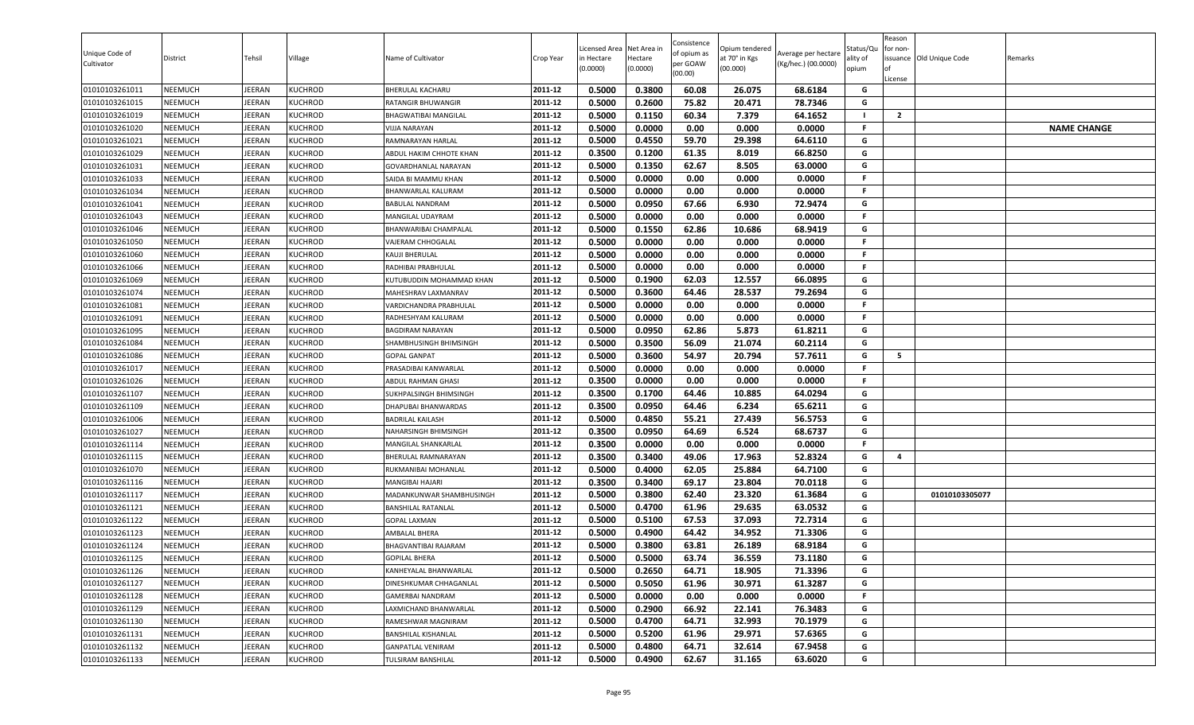| 0.3800<br>0.5000<br>60.08<br>68.6184<br><b>NEEMUCH</b><br><b>IEERAN</b><br><b>KUCHROD</b><br>BHERULAL KACHARU<br>2011-12<br>26.075<br>G<br>01010103261011<br>0.2600<br>75.82<br>G<br><b>NEEMUCH</b><br><b>KUCHROD</b><br>2011-12<br>0.5000<br>20.471<br>78.7346<br>01010103261015<br>IEERAN<br>RATANGIR BHUWANGIR<br>64.1652<br>2011-12<br>0.5000<br>0.1150<br>60.34<br>7.379<br>01010103261019<br><b>NEEMUCH</b><br>JEERAN<br><b>KUCHROD</b><br><b>BHAGWATIBAI MANGILAL</b><br>$\overline{2}$<br>01010103261020<br><b>NEEMUCH</b><br>JEERAN<br>2011-12<br>0.5000<br>0.0000<br>0.00<br>0.000<br>0.0000<br>F.<br><b>NAME CHANGE</b><br><b>KUCHROD</b><br>VIJJA NARAYAN<br>0.5000<br>0.4550<br><b>IEERAN</b><br>2011-12<br>59.70<br>29.398<br>64.6110<br>G<br>01010103261021<br><b>NEEMUCH</b><br><b>KUCHROD</b><br>RAMNARAYAN HARLAL<br>0.3500<br>66.8250<br>G<br><b>NEEMUCH</b><br><b>IEERAN</b><br><b>KUCHROD</b><br>2011-12<br>0.1200<br>61.35<br>8.019<br>01010103261029<br>ABDUL HAKIM CHHOTE KHAN<br>0.1350<br>62.67<br>2011-12<br>0.5000<br>8.505<br>63.0000<br>G<br><b>NEEMUCH</b><br><b>IEERAN</b><br><b>KUCHROD</b><br>01010103261031<br>GOVARDHANLAL NARAYAN<br>2011-12<br>F.<br><b>NEEMUCH</b><br><b>IEERAN</b><br>0.5000<br>0.0000<br>0.00<br>0.000<br>0.0000<br>01010103261033<br><b>KUCHROD</b><br>SAIDA BI MAMMU KHAN<br>01010103261034<br><b>NEEMUCH</b><br>JEERAN<br><b>KUCHROD</b><br>2011-12<br>0.5000<br>0.0000<br>0.00<br>0.000<br>0.0000<br>-F<br>BHANWARLAL KALURAM<br>G<br><b>IEERAN</b><br><b>KUCHROD</b><br>2011-12<br>0.5000<br>0.0950<br>67.66<br>6.930<br>72.9474<br>01010103261041<br><b>NEEMUCH</b><br>BABULAL NANDRAM<br>0.5000<br>0.0000<br>0.00<br>0.000<br>0.0000<br><b>NEEMUCH</b><br><b>KUCHROD</b><br>2011-12<br>F.<br>01010103261043<br>IEERAN<br>MANGILAL UDAYRAM<br>2011-12<br>0.1550<br>01010103261046<br><b>NEEMUCH</b><br><b>IEERAN</b><br><b>KUCHROD</b><br>0.5000<br>62.86<br>10.686<br>68.9419<br>G<br>BHANWARIBAI CHAMPALAL<br>01010103261050<br><b>NEEMUCH</b><br><b>IEERAN</b><br><b>KUCHROD</b><br>2011-12<br>0.5000<br>0.0000<br>0.00<br>0.000<br>0.0000<br>F.<br>VAJERAM CHHOGALAL<br>2011-12<br>0.5000<br>0.0000<br>0.00<br>F.<br>01010103261060<br><b>NEEMUCH</b><br><b>IEERAN</b><br><b>KUCHROD</b><br>0.000<br>0.0000<br>KAUJI BHERULAL<br><b>NEEMUCH</b><br>0.5000<br>0.0000<br>0.00<br>0.000<br>0.0000<br>F.<br>01010103261066<br>IEERAN<br><b>KUCHROD</b><br>2011-12<br>RADHIBAI PRABHULAL<br>2011-12<br>G<br><b>NEEMUCH</b><br><b>IEERAN</b><br><b>KUCHROD</b><br>0.5000<br>0.1900<br>62.03<br>12.557<br>66.0895<br>01010103261069<br>KUTUBUDDIN MOHAMMAD KHAN<br>0.3600<br><b>IEERAN</b><br>2011-12<br>0.5000<br>64.46<br>28.537<br>79.2694<br>G<br>01010103261074<br><b>NEEMUCH</b><br><b>KUCHROD</b><br>MAHESHRAV LAXMANRAV<br>01010103261081<br><b>NEEMUCH</b><br><b>IEERAN</b><br><b>KUCHROD</b><br>2011-12<br>0.5000<br>0.0000<br>0.00<br>0.000<br>0.0000<br>-F<br>VARDICHANDRA PRABHULAL<br>01010103261091<br><b>NEEMUCH</b><br><b>IEERAN</b><br><b>KUCHROD</b><br>2011-12<br>0.5000<br>0.0000<br>0.00<br>0.000<br>0.0000<br>RADHESHYAM KALURAM<br>-F<br>5.873<br>0.5000<br>0.0950<br>62.86<br>61.8211<br><b>NEEMUCH</b><br>2011-12<br>G<br>01010103261095<br>IEERAN<br><b>KUCHROD</b><br>BAGDIRAM NARAYAN<br>0.3500<br>01010103261084<br><b>NEEMUCH</b><br><b>IEERAN</b><br><b>KUCHROD</b><br>2011-12<br>0.5000<br>56.09<br>21.074<br>60.2114<br>G<br>SHAMBHUSINGH BHIMSINGH<br>0.3600<br>2011-12<br>0.5000<br>54.97<br>20.794<br>57.7611<br>G<br>5<br><b>NEEMUCH</b><br>01010103261086<br>JEERAN<br><b>KUCHROD</b><br><b>GOPAL GANPAT</b><br>JEERAN<br>0.5000<br>0.0000<br>0.00<br>0.0000<br>01010103261017<br><b>NEEMUCH</b><br><b>KUCHROD</b><br>2011-12<br>0.000<br>F.<br>PRASADIBAI KANWARLAL<br>0.3500<br>0.0000<br>0.00<br>0.000<br>0.0000<br>F.<br>2011-12<br>01010103261026<br><b>NEEMUCH</b><br>IEERAN<br><b>KUCHROD</b><br>ABDUL RAHMAN GHASI<br>0.3500<br>0.1700<br>64.0294<br>01010103261107<br><b>NEEMUCH</b><br><b>IEERAN</b><br><b>KUCHROD</b><br>64.46<br>10.885<br>G<br>2011-12<br>SUKHPALSINGH BHIMSINGH<br>0.0950<br>2011-12<br>0.3500<br>64.46<br>6.234<br>65.6211<br>G<br>01010103261109<br><b>NEEMUCH</b><br>JEERAN<br><b>KUCHROD</b><br>DHAPUBAI BHANWARDAS<br>0.5000<br>0.4850<br>55.21<br>56.5753<br>01010103261006<br><b>NEEMUCH</b><br><b>IEERAN</b><br><b>KUCHROD</b><br>2011-12<br>27.439<br>G<br><b>BADRILAL KAILASH</b><br>0.3500<br>0.0950<br>64.69<br>6.524<br>68.6737<br>01010103261027<br><b>NEEMUCH</b><br><b>IEERAN</b><br><b>KUCHROD</b><br>NAHARSINGH BHIMSINGH<br>2011-12<br>G<br>0.3500<br><b>NEEMUCH</b><br>0.0000<br>0.00<br>0.000<br>0.0000<br>01010103261114<br>IEERAN<br><b>KUCHROD</b><br>2011-12<br>F.<br>MANGILAL SHANKARLAL<br>0.3500<br>0.3400<br>49.06<br>52.8324<br>01010103261115<br>NEEMUCH<br><b>IEERAN</b><br><b>KUCHROD</b><br>2011-12<br>17.963<br>G<br>BHERULAL RAMNARAYAN<br>$\boldsymbol{a}$<br>01010103261070<br><b>NEEMUCH</b><br>JEERAN<br><b>KUCHROD</b><br>2011-12<br>0.5000<br>0.4000<br>62.05<br>25.884<br>64.7100<br>G<br>RUKMANIBAI MOHANLAL<br>0.3500<br>0.3400<br>69.17<br>23.804<br>2011-12<br>70.0118<br>G<br>01010103261116<br><b>NEEMUCH</b><br><b>IEERAN</b><br><b>KUCHROD</b><br>MANGIBAI HAJARI<br><b>KUCHROD</b><br>0.5000<br>0.3800<br>62.40<br>23.320<br>61.3684<br>G<br>01010103261117<br><b>NEEMUCH</b><br>IEERAN<br>2011-12<br>01010103305077<br>MADANKUNWAR SHAMBHUSINGH<br>0.4700<br>2011-12<br>0.5000<br>61.96<br>29.635<br>63.0532<br>G<br><b>NEEMUCH</b><br><b>IEERAN</b><br>01010103261121<br><b>KUCHROD</b><br><b>BANSHILAL RATANLAL</b><br>G<br>01010103261122<br><b>NEEMUCH</b><br><b>IEERAN</b><br><b>KUCHROD</b><br>2011-12<br>0.5000<br>0.5100<br>67.53<br>37.093<br>72.7314<br><b>GOPAL LAXMAN</b><br>0.5000<br>0.4900<br>64.42<br>34.952<br>71.3306<br>01010103261123<br>2011-12<br>G<br><b>NEEMUCH</b><br>IEERAN<br><b>KUCHROD</b><br>AMBALAL BHERA<br>0.3800<br>01010103261124<br><b>NEEMUCH</b><br>EERAN<br><b>KUCHROD</b><br>2011-12<br>0.5000<br>63.81<br>26.189<br>68.9184<br>G<br>BHAGVANTIBAI RAJARAM<br>63.74<br>2011-12<br>0.5000<br>0.5000<br>36.559<br>73.1180<br>G<br>01010103261125<br><b>NEEMUCH</b><br>JEERAN<br><b>KUCHROD</b><br><b>GOPILAL BHERA</b><br>2011-12<br>0.2650<br>01010103261126<br><b>NEEMUCH</b><br>JEERAN<br><b>KUCHROD</b><br>0.5000<br>64.71<br>18.905<br>71.3396<br>G<br>KANHEYALAL BHANWARLAL<br>0.5000<br>0.5050<br>61.96<br>61.3287<br>2011-12<br>30.971<br>G<br>01010103261127<br><b>NEEMUCH</b><br>JEERAN<br><b>KUCHROD</b><br>DINESHKUMAR CHHAGANLAL<br>01010103261128<br>2011-12<br>0.5000<br>F.<br><b>NEEMUCH</b><br>JEERAN<br><b>KUCHROD</b><br>0.0000<br>0.00<br>0.000<br>0.0000<br><b>GAMERBAI NANDRAM</b><br>66.92<br>0.5000<br>0.2900<br>22.141<br>76.3483<br>G<br>01010103261129<br><b>NEEMUCH</b><br><b>IEERAN</b><br><b>KUCHROD</b><br>LAXMICHAND BHANWARLAL<br>2011-12<br>G<br>01010103261130<br><b>NEEMUCH</b><br>JEERAN<br><b>KUCHROD</b><br>2011-12<br>0.5000<br>0.4700<br>64.71<br>32.993<br>70.1979<br>RAMESHWAR MAGNIRAM<br>01010103261131<br><b>NEEMUCH</b><br>JEERAN<br><b>KUCHROD</b><br>2011-12<br>0.5000<br>0.5200<br>61.96<br>29.971<br>57.6365<br><b>BANSHILAL KISHANLAL</b><br>G<br>01010103261132<br><b>NEEMUCH</b><br>JEERAN<br><b>KUCHROD</b><br>2011-12<br>0.5000<br>0.4800<br>64.71<br>32.614<br>67.9458<br>G<br><b>GANPATLAL VENIRAM</b><br>01010103261133<br><b>NEEMUCH</b><br>JEERAN<br><b>KUCHROD</b><br>2011-12<br>0.5000<br>0.4900<br>62.67<br>31.165<br>63.6020<br>G<br>TULSIRAM BANSHILAL | Unique Code of<br>Cultivator | District | Tehsil | Village | Name of Cultivator | Crop Year | Licensed Area<br>in Hectare<br>(0.0000) | Net Area in<br>Hectare<br>(0.0000) | Consistence<br>of opium as<br>per GOAW<br>(00.00) | Opium tendered<br>at 70° in Kgs<br>(00.000) | Average per hectare<br>(Kg/hec.) (00.0000) | Status/Qu<br>ılity of<br>opium | Reason<br>or non-<br>ssuance Old Unique Code<br>License | Remarks |
|-----------------------------------------------------------------------------------------------------------------------------------------------------------------------------------------------------------------------------------------------------------------------------------------------------------------------------------------------------------------------------------------------------------------------------------------------------------------------------------------------------------------------------------------------------------------------------------------------------------------------------------------------------------------------------------------------------------------------------------------------------------------------------------------------------------------------------------------------------------------------------------------------------------------------------------------------------------------------------------------------------------------------------------------------------------------------------------------------------------------------------------------------------------------------------------------------------------------------------------------------------------------------------------------------------------------------------------------------------------------------------------------------------------------------------------------------------------------------------------------------------------------------------------------------------------------------------------------------------------------------------------------------------------------------------------------------------------------------------------------------------------------------------------------------------------------------------------------------------------------------------------------------------------------------------------------------------------------------------------------------------------------------------------------------------------------------------------------------------------------------------------------------------------------------------------------------------------------------------------------------------------------------------------------------------------------------------------------------------------------------------------------------------------------------------------------------------------------------------------------------------------------------------------------------------------------------------------------------------------------------------------------------------------------------------------------------------------------------------------------------------------------------------------------------------------------------------------------------------------------------------------------------------------------------------------------------------------------------------------------------------------------------------------------------------------------------------------------------------------------------------------------------------------------------------------------------------------------------------------------------------------------------------------------------------------------------------------------------------------------------------------------------------------------------------------------------------------------------------------------------------------------------------------------------------------------------------------------------------------------------------------------------------------------------------------------------------------------------------------------------------------------------------------------------------------------------------------------------------------------------------------------------------------------------------------------------------------------------------------------------------------------------------------------------------------------------------------------------------------------------------------------------------------------------------------------------------------------------------------------------------------------------------------------------------------------------------------------------------------------------------------------------------------------------------------------------------------------------------------------------------------------------------------------------------------------------------------------------------------------------------------------------------------------------------------------------------------------------------------------------------------------------------------------------------------------------------------------------------------------------------------------------------------------------------------------------------------------------------------------------------------------------------------------------------------------------------------------------------------------------------------------------------------------------------------------------------------------------------------------------------------------------------------------------------------------------------------------------------------------------------------------------------------------------------------------------------------------------------------------------------------------------------------------------------------------------------------------------------------------------------------------------------------------------------------------------------------------------------------------------------------------------------------------------------------------------------------------------------------------------------------------------------------------------------------------------------------------------------------------------------------------------------------------------------------------------------------------------------------------------------------------------------------------------------------------------------------------------------------------------------------------------------------------------------------------------------------------------------------------------------------------------------------------------------------------------------------------------------------------------------------------------------------------------------------------------------------------------------------------------------------------------------------------------------------------------------------------------------------------------------------------------------------------------------------------------------------------------------------------------------------------------------------------------------------------------------------------------------------------------------------------------------------------------------------------------------------------------------------------------------------------------------------------------------------------------------------------------------------------------------------------------------------------------------------------------------------------------------------------------------------------------------------------------------------------------------------------------------------------------------------------------------------------------------|------------------------------|----------|--------|---------|--------------------|-----------|-----------------------------------------|------------------------------------|---------------------------------------------------|---------------------------------------------|--------------------------------------------|--------------------------------|---------------------------------------------------------|---------|
|                                                                                                                                                                                                                                                                                                                                                                                                                                                                                                                                                                                                                                                                                                                                                                                                                                                                                                                                                                                                                                                                                                                                                                                                                                                                                                                                                                                                                                                                                                                                                                                                                                                                                                                                                                                                                                                                                                                                                                                                                                                                                                                                                                                                                                                                                                                                                                                                                                                                                                                                                                                                                                                                                                                                                                                                                                                                                                                                                                                                                                                                                                                                                                                                                                                                                                                                                                                                                                                                                                                                                                                                                                                                                                                                                                                                                                                                                                                                                                                                                                                                                                                                                                                                                                                                                                                                                                                                                                                                                                                                                                                                                                                                                                                                                                                                                                                                                                                                                                                                                                                                                                                                                                                                                                                                                                                                                                                                                                                                                                                                                                                                                                                                                                                                                                                                                                                                                                                                                                                                                                                                                                                                                                                                                                                                                                                                                                                                                                                                                                                                                                                                                                                                                                                                                                                                                                                                                                                                                                                                                                                                                                                                                                                                                                                                                                                                                                                                                                                                                                                                                     |                              |          |        |         |                    |           |                                         |                                    |                                                   |                                             |                                            |                                |                                                         |         |
|                                                                                                                                                                                                                                                                                                                                                                                                                                                                                                                                                                                                                                                                                                                                                                                                                                                                                                                                                                                                                                                                                                                                                                                                                                                                                                                                                                                                                                                                                                                                                                                                                                                                                                                                                                                                                                                                                                                                                                                                                                                                                                                                                                                                                                                                                                                                                                                                                                                                                                                                                                                                                                                                                                                                                                                                                                                                                                                                                                                                                                                                                                                                                                                                                                                                                                                                                                                                                                                                                                                                                                                                                                                                                                                                                                                                                                                                                                                                                                                                                                                                                                                                                                                                                                                                                                                                                                                                                                                                                                                                                                                                                                                                                                                                                                                                                                                                                                                                                                                                                                                                                                                                                                                                                                                                                                                                                                                                                                                                                                                                                                                                                                                                                                                                                                                                                                                                                                                                                                                                                                                                                                                                                                                                                                                                                                                                                                                                                                                                                                                                                                                                                                                                                                                                                                                                                                                                                                                                                                                                                                                                                                                                                                                                                                                                                                                                                                                                                                                                                                                                                     |                              |          |        |         |                    |           |                                         |                                    |                                                   |                                             |                                            |                                |                                                         |         |
|                                                                                                                                                                                                                                                                                                                                                                                                                                                                                                                                                                                                                                                                                                                                                                                                                                                                                                                                                                                                                                                                                                                                                                                                                                                                                                                                                                                                                                                                                                                                                                                                                                                                                                                                                                                                                                                                                                                                                                                                                                                                                                                                                                                                                                                                                                                                                                                                                                                                                                                                                                                                                                                                                                                                                                                                                                                                                                                                                                                                                                                                                                                                                                                                                                                                                                                                                                                                                                                                                                                                                                                                                                                                                                                                                                                                                                                                                                                                                                                                                                                                                                                                                                                                                                                                                                                                                                                                                                                                                                                                                                                                                                                                                                                                                                                                                                                                                                                                                                                                                                                                                                                                                                                                                                                                                                                                                                                                                                                                                                                                                                                                                                                                                                                                                                                                                                                                                                                                                                                                                                                                                                                                                                                                                                                                                                                                                                                                                                                                                                                                                                                                                                                                                                                                                                                                                                                                                                                                                                                                                                                                                                                                                                                                                                                                                                                                                                                                                                                                                                                                                     |                              |          |        |         |                    |           |                                         |                                    |                                                   |                                             |                                            |                                |                                                         |         |
|                                                                                                                                                                                                                                                                                                                                                                                                                                                                                                                                                                                                                                                                                                                                                                                                                                                                                                                                                                                                                                                                                                                                                                                                                                                                                                                                                                                                                                                                                                                                                                                                                                                                                                                                                                                                                                                                                                                                                                                                                                                                                                                                                                                                                                                                                                                                                                                                                                                                                                                                                                                                                                                                                                                                                                                                                                                                                                                                                                                                                                                                                                                                                                                                                                                                                                                                                                                                                                                                                                                                                                                                                                                                                                                                                                                                                                                                                                                                                                                                                                                                                                                                                                                                                                                                                                                                                                                                                                                                                                                                                                                                                                                                                                                                                                                                                                                                                                                                                                                                                                                                                                                                                                                                                                                                                                                                                                                                                                                                                                                                                                                                                                                                                                                                                                                                                                                                                                                                                                                                                                                                                                                                                                                                                                                                                                                                                                                                                                                                                                                                                                                                                                                                                                                                                                                                                                                                                                                                                                                                                                                                                                                                                                                                                                                                                                                                                                                                                                                                                                                                                     |                              |          |        |         |                    |           |                                         |                                    |                                                   |                                             |                                            |                                |                                                         |         |
|                                                                                                                                                                                                                                                                                                                                                                                                                                                                                                                                                                                                                                                                                                                                                                                                                                                                                                                                                                                                                                                                                                                                                                                                                                                                                                                                                                                                                                                                                                                                                                                                                                                                                                                                                                                                                                                                                                                                                                                                                                                                                                                                                                                                                                                                                                                                                                                                                                                                                                                                                                                                                                                                                                                                                                                                                                                                                                                                                                                                                                                                                                                                                                                                                                                                                                                                                                                                                                                                                                                                                                                                                                                                                                                                                                                                                                                                                                                                                                                                                                                                                                                                                                                                                                                                                                                                                                                                                                                                                                                                                                                                                                                                                                                                                                                                                                                                                                                                                                                                                                                                                                                                                                                                                                                                                                                                                                                                                                                                                                                                                                                                                                                                                                                                                                                                                                                                                                                                                                                                                                                                                                                                                                                                                                                                                                                                                                                                                                                                                                                                                                                                                                                                                                                                                                                                                                                                                                                                                                                                                                                                                                                                                                                                                                                                                                                                                                                                                                                                                                                                                     |                              |          |        |         |                    |           |                                         |                                    |                                                   |                                             |                                            |                                |                                                         |         |
|                                                                                                                                                                                                                                                                                                                                                                                                                                                                                                                                                                                                                                                                                                                                                                                                                                                                                                                                                                                                                                                                                                                                                                                                                                                                                                                                                                                                                                                                                                                                                                                                                                                                                                                                                                                                                                                                                                                                                                                                                                                                                                                                                                                                                                                                                                                                                                                                                                                                                                                                                                                                                                                                                                                                                                                                                                                                                                                                                                                                                                                                                                                                                                                                                                                                                                                                                                                                                                                                                                                                                                                                                                                                                                                                                                                                                                                                                                                                                                                                                                                                                                                                                                                                                                                                                                                                                                                                                                                                                                                                                                                                                                                                                                                                                                                                                                                                                                                                                                                                                                                                                                                                                                                                                                                                                                                                                                                                                                                                                                                                                                                                                                                                                                                                                                                                                                                                                                                                                                                                                                                                                                                                                                                                                                                                                                                                                                                                                                                                                                                                                                                                                                                                                                                                                                                                                                                                                                                                                                                                                                                                                                                                                                                                                                                                                                                                                                                                                                                                                                                                                     |                              |          |        |         |                    |           |                                         |                                    |                                                   |                                             |                                            |                                |                                                         |         |
|                                                                                                                                                                                                                                                                                                                                                                                                                                                                                                                                                                                                                                                                                                                                                                                                                                                                                                                                                                                                                                                                                                                                                                                                                                                                                                                                                                                                                                                                                                                                                                                                                                                                                                                                                                                                                                                                                                                                                                                                                                                                                                                                                                                                                                                                                                                                                                                                                                                                                                                                                                                                                                                                                                                                                                                                                                                                                                                                                                                                                                                                                                                                                                                                                                                                                                                                                                                                                                                                                                                                                                                                                                                                                                                                                                                                                                                                                                                                                                                                                                                                                                                                                                                                                                                                                                                                                                                                                                                                                                                                                                                                                                                                                                                                                                                                                                                                                                                                                                                                                                                                                                                                                                                                                                                                                                                                                                                                                                                                                                                                                                                                                                                                                                                                                                                                                                                                                                                                                                                                                                                                                                                                                                                                                                                                                                                                                                                                                                                                                                                                                                                                                                                                                                                                                                                                                                                                                                                                                                                                                                                                                                                                                                                                                                                                                                                                                                                                                                                                                                                                                     |                              |          |        |         |                    |           |                                         |                                    |                                                   |                                             |                                            |                                |                                                         |         |
|                                                                                                                                                                                                                                                                                                                                                                                                                                                                                                                                                                                                                                                                                                                                                                                                                                                                                                                                                                                                                                                                                                                                                                                                                                                                                                                                                                                                                                                                                                                                                                                                                                                                                                                                                                                                                                                                                                                                                                                                                                                                                                                                                                                                                                                                                                                                                                                                                                                                                                                                                                                                                                                                                                                                                                                                                                                                                                                                                                                                                                                                                                                                                                                                                                                                                                                                                                                                                                                                                                                                                                                                                                                                                                                                                                                                                                                                                                                                                                                                                                                                                                                                                                                                                                                                                                                                                                                                                                                                                                                                                                                                                                                                                                                                                                                                                                                                                                                                                                                                                                                                                                                                                                                                                                                                                                                                                                                                                                                                                                                                                                                                                                                                                                                                                                                                                                                                                                                                                                                                                                                                                                                                                                                                                                                                                                                                                                                                                                                                                                                                                                                                                                                                                                                                                                                                                                                                                                                                                                                                                                                                                                                                                                                                                                                                                                                                                                                                                                                                                                                                                     |                              |          |        |         |                    |           |                                         |                                    |                                                   |                                             |                                            |                                |                                                         |         |
|                                                                                                                                                                                                                                                                                                                                                                                                                                                                                                                                                                                                                                                                                                                                                                                                                                                                                                                                                                                                                                                                                                                                                                                                                                                                                                                                                                                                                                                                                                                                                                                                                                                                                                                                                                                                                                                                                                                                                                                                                                                                                                                                                                                                                                                                                                                                                                                                                                                                                                                                                                                                                                                                                                                                                                                                                                                                                                                                                                                                                                                                                                                                                                                                                                                                                                                                                                                                                                                                                                                                                                                                                                                                                                                                                                                                                                                                                                                                                                                                                                                                                                                                                                                                                                                                                                                                                                                                                                                                                                                                                                                                                                                                                                                                                                                                                                                                                                                                                                                                                                                                                                                                                                                                                                                                                                                                                                                                                                                                                                                                                                                                                                                                                                                                                                                                                                                                                                                                                                                                                                                                                                                                                                                                                                                                                                                                                                                                                                                                                                                                                                                                                                                                                                                                                                                                                                                                                                                                                                                                                                                                                                                                                                                                                                                                                                                                                                                                                                                                                                                                                     |                              |          |        |         |                    |           |                                         |                                    |                                                   |                                             |                                            |                                |                                                         |         |
|                                                                                                                                                                                                                                                                                                                                                                                                                                                                                                                                                                                                                                                                                                                                                                                                                                                                                                                                                                                                                                                                                                                                                                                                                                                                                                                                                                                                                                                                                                                                                                                                                                                                                                                                                                                                                                                                                                                                                                                                                                                                                                                                                                                                                                                                                                                                                                                                                                                                                                                                                                                                                                                                                                                                                                                                                                                                                                                                                                                                                                                                                                                                                                                                                                                                                                                                                                                                                                                                                                                                                                                                                                                                                                                                                                                                                                                                                                                                                                                                                                                                                                                                                                                                                                                                                                                                                                                                                                                                                                                                                                                                                                                                                                                                                                                                                                                                                                                                                                                                                                                                                                                                                                                                                                                                                                                                                                                                                                                                                                                                                                                                                                                                                                                                                                                                                                                                                                                                                                                                                                                                                                                                                                                                                                                                                                                                                                                                                                                                                                                                                                                                                                                                                                                                                                                                                                                                                                                                                                                                                                                                                                                                                                                                                                                                                                                                                                                                                                                                                                                                                     |                              |          |        |         |                    |           |                                         |                                    |                                                   |                                             |                                            |                                |                                                         |         |
|                                                                                                                                                                                                                                                                                                                                                                                                                                                                                                                                                                                                                                                                                                                                                                                                                                                                                                                                                                                                                                                                                                                                                                                                                                                                                                                                                                                                                                                                                                                                                                                                                                                                                                                                                                                                                                                                                                                                                                                                                                                                                                                                                                                                                                                                                                                                                                                                                                                                                                                                                                                                                                                                                                                                                                                                                                                                                                                                                                                                                                                                                                                                                                                                                                                                                                                                                                                                                                                                                                                                                                                                                                                                                                                                                                                                                                                                                                                                                                                                                                                                                                                                                                                                                                                                                                                                                                                                                                                                                                                                                                                                                                                                                                                                                                                                                                                                                                                                                                                                                                                                                                                                                                                                                                                                                                                                                                                                                                                                                                                                                                                                                                                                                                                                                                                                                                                                                                                                                                                                                                                                                                                                                                                                                                                                                                                                                                                                                                                                                                                                                                                                                                                                                                                                                                                                                                                                                                                                                                                                                                                                                                                                                                                                                                                                                                                                                                                                                                                                                                                                                     |                              |          |        |         |                    |           |                                         |                                    |                                                   |                                             |                                            |                                |                                                         |         |
|                                                                                                                                                                                                                                                                                                                                                                                                                                                                                                                                                                                                                                                                                                                                                                                                                                                                                                                                                                                                                                                                                                                                                                                                                                                                                                                                                                                                                                                                                                                                                                                                                                                                                                                                                                                                                                                                                                                                                                                                                                                                                                                                                                                                                                                                                                                                                                                                                                                                                                                                                                                                                                                                                                                                                                                                                                                                                                                                                                                                                                                                                                                                                                                                                                                                                                                                                                                                                                                                                                                                                                                                                                                                                                                                                                                                                                                                                                                                                                                                                                                                                                                                                                                                                                                                                                                                                                                                                                                                                                                                                                                                                                                                                                                                                                                                                                                                                                                                                                                                                                                                                                                                                                                                                                                                                                                                                                                                                                                                                                                                                                                                                                                                                                                                                                                                                                                                                                                                                                                                                                                                                                                                                                                                                                                                                                                                                                                                                                                                                                                                                                                                                                                                                                                                                                                                                                                                                                                                                                                                                                                                                                                                                                                                                                                                                                                                                                                                                                                                                                                                                     |                              |          |        |         |                    |           |                                         |                                    |                                                   |                                             |                                            |                                |                                                         |         |
|                                                                                                                                                                                                                                                                                                                                                                                                                                                                                                                                                                                                                                                                                                                                                                                                                                                                                                                                                                                                                                                                                                                                                                                                                                                                                                                                                                                                                                                                                                                                                                                                                                                                                                                                                                                                                                                                                                                                                                                                                                                                                                                                                                                                                                                                                                                                                                                                                                                                                                                                                                                                                                                                                                                                                                                                                                                                                                                                                                                                                                                                                                                                                                                                                                                                                                                                                                                                                                                                                                                                                                                                                                                                                                                                                                                                                                                                                                                                                                                                                                                                                                                                                                                                                                                                                                                                                                                                                                                                                                                                                                                                                                                                                                                                                                                                                                                                                                                                                                                                                                                                                                                                                                                                                                                                                                                                                                                                                                                                                                                                                                                                                                                                                                                                                                                                                                                                                                                                                                                                                                                                                                                                                                                                                                                                                                                                                                                                                                                                                                                                                                                                                                                                                                                                                                                                                                                                                                                                                                                                                                                                                                                                                                                                                                                                                                                                                                                                                                                                                                                                                     |                              |          |        |         |                    |           |                                         |                                    |                                                   |                                             |                                            |                                |                                                         |         |
|                                                                                                                                                                                                                                                                                                                                                                                                                                                                                                                                                                                                                                                                                                                                                                                                                                                                                                                                                                                                                                                                                                                                                                                                                                                                                                                                                                                                                                                                                                                                                                                                                                                                                                                                                                                                                                                                                                                                                                                                                                                                                                                                                                                                                                                                                                                                                                                                                                                                                                                                                                                                                                                                                                                                                                                                                                                                                                                                                                                                                                                                                                                                                                                                                                                                                                                                                                                                                                                                                                                                                                                                                                                                                                                                                                                                                                                                                                                                                                                                                                                                                                                                                                                                                                                                                                                                                                                                                                                                                                                                                                                                                                                                                                                                                                                                                                                                                                                                                                                                                                                                                                                                                                                                                                                                                                                                                                                                                                                                                                                                                                                                                                                                                                                                                                                                                                                                                                                                                                                                                                                                                                                                                                                                                                                                                                                                                                                                                                                                                                                                                                                                                                                                                                                                                                                                                                                                                                                                                                                                                                                                                                                                                                                                                                                                                                                                                                                                                                                                                                                                                     |                              |          |        |         |                    |           |                                         |                                    |                                                   |                                             |                                            |                                |                                                         |         |
|                                                                                                                                                                                                                                                                                                                                                                                                                                                                                                                                                                                                                                                                                                                                                                                                                                                                                                                                                                                                                                                                                                                                                                                                                                                                                                                                                                                                                                                                                                                                                                                                                                                                                                                                                                                                                                                                                                                                                                                                                                                                                                                                                                                                                                                                                                                                                                                                                                                                                                                                                                                                                                                                                                                                                                                                                                                                                                                                                                                                                                                                                                                                                                                                                                                                                                                                                                                                                                                                                                                                                                                                                                                                                                                                                                                                                                                                                                                                                                                                                                                                                                                                                                                                                                                                                                                                                                                                                                                                                                                                                                                                                                                                                                                                                                                                                                                                                                                                                                                                                                                                                                                                                                                                                                                                                                                                                                                                                                                                                                                                                                                                                                                                                                                                                                                                                                                                                                                                                                                                                                                                                                                                                                                                                                                                                                                                                                                                                                                                                                                                                                                                                                                                                                                                                                                                                                                                                                                                                                                                                                                                                                                                                                                                                                                                                                                                                                                                                                                                                                                                                     |                              |          |        |         |                    |           |                                         |                                    |                                                   |                                             |                                            |                                |                                                         |         |
|                                                                                                                                                                                                                                                                                                                                                                                                                                                                                                                                                                                                                                                                                                                                                                                                                                                                                                                                                                                                                                                                                                                                                                                                                                                                                                                                                                                                                                                                                                                                                                                                                                                                                                                                                                                                                                                                                                                                                                                                                                                                                                                                                                                                                                                                                                                                                                                                                                                                                                                                                                                                                                                                                                                                                                                                                                                                                                                                                                                                                                                                                                                                                                                                                                                                                                                                                                                                                                                                                                                                                                                                                                                                                                                                                                                                                                                                                                                                                                                                                                                                                                                                                                                                                                                                                                                                                                                                                                                                                                                                                                                                                                                                                                                                                                                                                                                                                                                                                                                                                                                                                                                                                                                                                                                                                                                                                                                                                                                                                                                                                                                                                                                                                                                                                                                                                                                                                                                                                                                                                                                                                                                                                                                                                                                                                                                                                                                                                                                                                                                                                                                                                                                                                                                                                                                                                                                                                                                                                                                                                                                                                                                                                                                                                                                                                                                                                                                                                                                                                                                                                     |                              |          |        |         |                    |           |                                         |                                    |                                                   |                                             |                                            |                                |                                                         |         |
|                                                                                                                                                                                                                                                                                                                                                                                                                                                                                                                                                                                                                                                                                                                                                                                                                                                                                                                                                                                                                                                                                                                                                                                                                                                                                                                                                                                                                                                                                                                                                                                                                                                                                                                                                                                                                                                                                                                                                                                                                                                                                                                                                                                                                                                                                                                                                                                                                                                                                                                                                                                                                                                                                                                                                                                                                                                                                                                                                                                                                                                                                                                                                                                                                                                                                                                                                                                                                                                                                                                                                                                                                                                                                                                                                                                                                                                                                                                                                                                                                                                                                                                                                                                                                                                                                                                                                                                                                                                                                                                                                                                                                                                                                                                                                                                                                                                                                                                                                                                                                                                                                                                                                                                                                                                                                                                                                                                                                                                                                                                                                                                                                                                                                                                                                                                                                                                                                                                                                                                                                                                                                                                                                                                                                                                                                                                                                                                                                                                                                                                                                                                                                                                                                                                                                                                                                                                                                                                                                                                                                                                                                                                                                                                                                                                                                                                                                                                                                                                                                                                                                     |                              |          |        |         |                    |           |                                         |                                    |                                                   |                                             |                                            |                                |                                                         |         |
|                                                                                                                                                                                                                                                                                                                                                                                                                                                                                                                                                                                                                                                                                                                                                                                                                                                                                                                                                                                                                                                                                                                                                                                                                                                                                                                                                                                                                                                                                                                                                                                                                                                                                                                                                                                                                                                                                                                                                                                                                                                                                                                                                                                                                                                                                                                                                                                                                                                                                                                                                                                                                                                                                                                                                                                                                                                                                                                                                                                                                                                                                                                                                                                                                                                                                                                                                                                                                                                                                                                                                                                                                                                                                                                                                                                                                                                                                                                                                                                                                                                                                                                                                                                                                                                                                                                                                                                                                                                                                                                                                                                                                                                                                                                                                                                                                                                                                                                                                                                                                                                                                                                                                                                                                                                                                                                                                                                                                                                                                                                                                                                                                                                                                                                                                                                                                                                                                                                                                                                                                                                                                                                                                                                                                                                                                                                                                                                                                                                                                                                                                                                                                                                                                                                                                                                                                                                                                                                                                                                                                                                                                                                                                                                                                                                                                                                                                                                                                                                                                                                                                     |                              |          |        |         |                    |           |                                         |                                    |                                                   |                                             |                                            |                                |                                                         |         |
|                                                                                                                                                                                                                                                                                                                                                                                                                                                                                                                                                                                                                                                                                                                                                                                                                                                                                                                                                                                                                                                                                                                                                                                                                                                                                                                                                                                                                                                                                                                                                                                                                                                                                                                                                                                                                                                                                                                                                                                                                                                                                                                                                                                                                                                                                                                                                                                                                                                                                                                                                                                                                                                                                                                                                                                                                                                                                                                                                                                                                                                                                                                                                                                                                                                                                                                                                                                                                                                                                                                                                                                                                                                                                                                                                                                                                                                                                                                                                                                                                                                                                                                                                                                                                                                                                                                                                                                                                                                                                                                                                                                                                                                                                                                                                                                                                                                                                                                                                                                                                                                                                                                                                                                                                                                                                                                                                                                                                                                                                                                                                                                                                                                                                                                                                                                                                                                                                                                                                                                                                                                                                                                                                                                                                                                                                                                                                                                                                                                                                                                                                                                                                                                                                                                                                                                                                                                                                                                                                                                                                                                                                                                                                                                                                                                                                                                                                                                                                                                                                                                                                     |                              |          |        |         |                    |           |                                         |                                    |                                                   |                                             |                                            |                                |                                                         |         |
|                                                                                                                                                                                                                                                                                                                                                                                                                                                                                                                                                                                                                                                                                                                                                                                                                                                                                                                                                                                                                                                                                                                                                                                                                                                                                                                                                                                                                                                                                                                                                                                                                                                                                                                                                                                                                                                                                                                                                                                                                                                                                                                                                                                                                                                                                                                                                                                                                                                                                                                                                                                                                                                                                                                                                                                                                                                                                                                                                                                                                                                                                                                                                                                                                                                                                                                                                                                                                                                                                                                                                                                                                                                                                                                                                                                                                                                                                                                                                                                                                                                                                                                                                                                                                                                                                                                                                                                                                                                                                                                                                                                                                                                                                                                                                                                                                                                                                                                                                                                                                                                                                                                                                                                                                                                                                                                                                                                                                                                                                                                                                                                                                                                                                                                                                                                                                                                                                                                                                                                                                                                                                                                                                                                                                                                                                                                                                                                                                                                                                                                                                                                                                                                                                                                                                                                                                                                                                                                                                                                                                                                                                                                                                                                                                                                                                                                                                                                                                                                                                                                                                     |                              |          |        |         |                    |           |                                         |                                    |                                                   |                                             |                                            |                                |                                                         |         |
|                                                                                                                                                                                                                                                                                                                                                                                                                                                                                                                                                                                                                                                                                                                                                                                                                                                                                                                                                                                                                                                                                                                                                                                                                                                                                                                                                                                                                                                                                                                                                                                                                                                                                                                                                                                                                                                                                                                                                                                                                                                                                                                                                                                                                                                                                                                                                                                                                                                                                                                                                                                                                                                                                                                                                                                                                                                                                                                                                                                                                                                                                                                                                                                                                                                                                                                                                                                                                                                                                                                                                                                                                                                                                                                                                                                                                                                                                                                                                                                                                                                                                                                                                                                                                                                                                                                                                                                                                                                                                                                                                                                                                                                                                                                                                                                                                                                                                                                                                                                                                                                                                                                                                                                                                                                                                                                                                                                                                                                                                                                                                                                                                                                                                                                                                                                                                                                                                                                                                                                                                                                                                                                                                                                                                                                                                                                                                                                                                                                                                                                                                                                                                                                                                                                                                                                                                                                                                                                                                                                                                                                                                                                                                                                                                                                                                                                                                                                                                                                                                                                                                     |                              |          |        |         |                    |           |                                         |                                    |                                                   |                                             |                                            |                                |                                                         |         |
|                                                                                                                                                                                                                                                                                                                                                                                                                                                                                                                                                                                                                                                                                                                                                                                                                                                                                                                                                                                                                                                                                                                                                                                                                                                                                                                                                                                                                                                                                                                                                                                                                                                                                                                                                                                                                                                                                                                                                                                                                                                                                                                                                                                                                                                                                                                                                                                                                                                                                                                                                                                                                                                                                                                                                                                                                                                                                                                                                                                                                                                                                                                                                                                                                                                                                                                                                                                                                                                                                                                                                                                                                                                                                                                                                                                                                                                                                                                                                                                                                                                                                                                                                                                                                                                                                                                                                                                                                                                                                                                                                                                                                                                                                                                                                                                                                                                                                                                                                                                                                                                                                                                                                                                                                                                                                                                                                                                                                                                                                                                                                                                                                                                                                                                                                                                                                                                                                                                                                                                                                                                                                                                                                                                                                                                                                                                                                                                                                                                                                                                                                                                                                                                                                                                                                                                                                                                                                                                                                                                                                                                                                                                                                                                                                                                                                                                                                                                                                                                                                                                                                     |                              |          |        |         |                    |           |                                         |                                    |                                                   |                                             |                                            |                                |                                                         |         |
|                                                                                                                                                                                                                                                                                                                                                                                                                                                                                                                                                                                                                                                                                                                                                                                                                                                                                                                                                                                                                                                                                                                                                                                                                                                                                                                                                                                                                                                                                                                                                                                                                                                                                                                                                                                                                                                                                                                                                                                                                                                                                                                                                                                                                                                                                                                                                                                                                                                                                                                                                                                                                                                                                                                                                                                                                                                                                                                                                                                                                                                                                                                                                                                                                                                                                                                                                                                                                                                                                                                                                                                                                                                                                                                                                                                                                                                                                                                                                                                                                                                                                                                                                                                                                                                                                                                                                                                                                                                                                                                                                                                                                                                                                                                                                                                                                                                                                                                                                                                                                                                                                                                                                                                                                                                                                                                                                                                                                                                                                                                                                                                                                                                                                                                                                                                                                                                                                                                                                                                                                                                                                                                                                                                                                                                                                                                                                                                                                                                                                                                                                                                                                                                                                                                                                                                                                                                                                                                                                                                                                                                                                                                                                                                                                                                                                                                                                                                                                                                                                                                                                     |                              |          |        |         |                    |           |                                         |                                    |                                                   |                                             |                                            |                                |                                                         |         |
|                                                                                                                                                                                                                                                                                                                                                                                                                                                                                                                                                                                                                                                                                                                                                                                                                                                                                                                                                                                                                                                                                                                                                                                                                                                                                                                                                                                                                                                                                                                                                                                                                                                                                                                                                                                                                                                                                                                                                                                                                                                                                                                                                                                                                                                                                                                                                                                                                                                                                                                                                                                                                                                                                                                                                                                                                                                                                                                                                                                                                                                                                                                                                                                                                                                                                                                                                                                                                                                                                                                                                                                                                                                                                                                                                                                                                                                                                                                                                                                                                                                                                                                                                                                                                                                                                                                                                                                                                                                                                                                                                                                                                                                                                                                                                                                                                                                                                                                                                                                                                                                                                                                                                                                                                                                                                                                                                                                                                                                                                                                                                                                                                                                                                                                                                                                                                                                                                                                                                                                                                                                                                                                                                                                                                                                                                                                                                                                                                                                                                                                                                                                                                                                                                                                                                                                                                                                                                                                                                                                                                                                                                                                                                                                                                                                                                                                                                                                                                                                                                                                                                     |                              |          |        |         |                    |           |                                         |                                    |                                                   |                                             |                                            |                                |                                                         |         |
|                                                                                                                                                                                                                                                                                                                                                                                                                                                                                                                                                                                                                                                                                                                                                                                                                                                                                                                                                                                                                                                                                                                                                                                                                                                                                                                                                                                                                                                                                                                                                                                                                                                                                                                                                                                                                                                                                                                                                                                                                                                                                                                                                                                                                                                                                                                                                                                                                                                                                                                                                                                                                                                                                                                                                                                                                                                                                                                                                                                                                                                                                                                                                                                                                                                                                                                                                                                                                                                                                                                                                                                                                                                                                                                                                                                                                                                                                                                                                                                                                                                                                                                                                                                                                                                                                                                                                                                                                                                                                                                                                                                                                                                                                                                                                                                                                                                                                                                                                                                                                                                                                                                                                                                                                                                                                                                                                                                                                                                                                                                                                                                                                                                                                                                                                                                                                                                                                                                                                                                                                                                                                                                                                                                                                                                                                                                                                                                                                                                                                                                                                                                                                                                                                                                                                                                                                                                                                                                                                                                                                                                                                                                                                                                                                                                                                                                                                                                                                                                                                                                                                     |                              |          |        |         |                    |           |                                         |                                    |                                                   |                                             |                                            |                                |                                                         |         |
|                                                                                                                                                                                                                                                                                                                                                                                                                                                                                                                                                                                                                                                                                                                                                                                                                                                                                                                                                                                                                                                                                                                                                                                                                                                                                                                                                                                                                                                                                                                                                                                                                                                                                                                                                                                                                                                                                                                                                                                                                                                                                                                                                                                                                                                                                                                                                                                                                                                                                                                                                                                                                                                                                                                                                                                                                                                                                                                                                                                                                                                                                                                                                                                                                                                                                                                                                                                                                                                                                                                                                                                                                                                                                                                                                                                                                                                                                                                                                                                                                                                                                                                                                                                                                                                                                                                                                                                                                                                                                                                                                                                                                                                                                                                                                                                                                                                                                                                                                                                                                                                                                                                                                                                                                                                                                                                                                                                                                                                                                                                                                                                                                                                                                                                                                                                                                                                                                                                                                                                                                                                                                                                                                                                                                                                                                                                                                                                                                                                                                                                                                                                                                                                                                                                                                                                                                                                                                                                                                                                                                                                                                                                                                                                                                                                                                                                                                                                                                                                                                                                                                     |                              |          |        |         |                    |           |                                         |                                    |                                                   |                                             |                                            |                                |                                                         |         |
|                                                                                                                                                                                                                                                                                                                                                                                                                                                                                                                                                                                                                                                                                                                                                                                                                                                                                                                                                                                                                                                                                                                                                                                                                                                                                                                                                                                                                                                                                                                                                                                                                                                                                                                                                                                                                                                                                                                                                                                                                                                                                                                                                                                                                                                                                                                                                                                                                                                                                                                                                                                                                                                                                                                                                                                                                                                                                                                                                                                                                                                                                                                                                                                                                                                                                                                                                                                                                                                                                                                                                                                                                                                                                                                                                                                                                                                                                                                                                                                                                                                                                                                                                                                                                                                                                                                                                                                                                                                                                                                                                                                                                                                                                                                                                                                                                                                                                                                                                                                                                                                                                                                                                                                                                                                                                                                                                                                                                                                                                                                                                                                                                                                                                                                                                                                                                                                                                                                                                                                                                                                                                                                                                                                                                                                                                                                                                                                                                                                                                                                                                                                                                                                                                                                                                                                                                                                                                                                                                                                                                                                                                                                                                                                                                                                                                                                                                                                                                                                                                                                                                     |                              |          |        |         |                    |           |                                         |                                    |                                                   |                                             |                                            |                                |                                                         |         |
|                                                                                                                                                                                                                                                                                                                                                                                                                                                                                                                                                                                                                                                                                                                                                                                                                                                                                                                                                                                                                                                                                                                                                                                                                                                                                                                                                                                                                                                                                                                                                                                                                                                                                                                                                                                                                                                                                                                                                                                                                                                                                                                                                                                                                                                                                                                                                                                                                                                                                                                                                                                                                                                                                                                                                                                                                                                                                                                                                                                                                                                                                                                                                                                                                                                                                                                                                                                                                                                                                                                                                                                                                                                                                                                                                                                                                                                                                                                                                                                                                                                                                                                                                                                                                                                                                                                                                                                                                                                                                                                                                                                                                                                                                                                                                                                                                                                                                                                                                                                                                                                                                                                                                                                                                                                                                                                                                                                                                                                                                                                                                                                                                                                                                                                                                                                                                                                                                                                                                                                                                                                                                                                                                                                                                                                                                                                                                                                                                                                                                                                                                                                                                                                                                                                                                                                                                                                                                                                                                                                                                                                                                                                                                                                                                                                                                                                                                                                                                                                                                                                                                     |                              |          |        |         |                    |           |                                         |                                    |                                                   |                                             |                                            |                                |                                                         |         |
|                                                                                                                                                                                                                                                                                                                                                                                                                                                                                                                                                                                                                                                                                                                                                                                                                                                                                                                                                                                                                                                                                                                                                                                                                                                                                                                                                                                                                                                                                                                                                                                                                                                                                                                                                                                                                                                                                                                                                                                                                                                                                                                                                                                                                                                                                                                                                                                                                                                                                                                                                                                                                                                                                                                                                                                                                                                                                                                                                                                                                                                                                                                                                                                                                                                                                                                                                                                                                                                                                                                                                                                                                                                                                                                                                                                                                                                                                                                                                                                                                                                                                                                                                                                                                                                                                                                                                                                                                                                                                                                                                                                                                                                                                                                                                                                                                                                                                                                                                                                                                                                                                                                                                                                                                                                                                                                                                                                                                                                                                                                                                                                                                                                                                                                                                                                                                                                                                                                                                                                                                                                                                                                                                                                                                                                                                                                                                                                                                                                                                                                                                                                                                                                                                                                                                                                                                                                                                                                                                                                                                                                                                                                                                                                                                                                                                                                                                                                                                                                                                                                                                     |                              |          |        |         |                    |           |                                         |                                    |                                                   |                                             |                                            |                                |                                                         |         |
|                                                                                                                                                                                                                                                                                                                                                                                                                                                                                                                                                                                                                                                                                                                                                                                                                                                                                                                                                                                                                                                                                                                                                                                                                                                                                                                                                                                                                                                                                                                                                                                                                                                                                                                                                                                                                                                                                                                                                                                                                                                                                                                                                                                                                                                                                                                                                                                                                                                                                                                                                                                                                                                                                                                                                                                                                                                                                                                                                                                                                                                                                                                                                                                                                                                                                                                                                                                                                                                                                                                                                                                                                                                                                                                                                                                                                                                                                                                                                                                                                                                                                                                                                                                                                                                                                                                                                                                                                                                                                                                                                                                                                                                                                                                                                                                                                                                                                                                                                                                                                                                                                                                                                                                                                                                                                                                                                                                                                                                                                                                                                                                                                                                                                                                                                                                                                                                                                                                                                                                                                                                                                                                                                                                                                                                                                                                                                                                                                                                                                                                                                                                                                                                                                                                                                                                                                                                                                                                                                                                                                                                                                                                                                                                                                                                                                                                                                                                                                                                                                                                                                     |                              |          |        |         |                    |           |                                         |                                    |                                                   |                                             |                                            |                                |                                                         |         |
|                                                                                                                                                                                                                                                                                                                                                                                                                                                                                                                                                                                                                                                                                                                                                                                                                                                                                                                                                                                                                                                                                                                                                                                                                                                                                                                                                                                                                                                                                                                                                                                                                                                                                                                                                                                                                                                                                                                                                                                                                                                                                                                                                                                                                                                                                                                                                                                                                                                                                                                                                                                                                                                                                                                                                                                                                                                                                                                                                                                                                                                                                                                                                                                                                                                                                                                                                                                                                                                                                                                                                                                                                                                                                                                                                                                                                                                                                                                                                                                                                                                                                                                                                                                                                                                                                                                                                                                                                                                                                                                                                                                                                                                                                                                                                                                                                                                                                                                                                                                                                                                                                                                                                                                                                                                                                                                                                                                                                                                                                                                                                                                                                                                                                                                                                                                                                                                                                                                                                                                                                                                                                                                                                                                                                                                                                                                                                                                                                                                                                                                                                                                                                                                                                                                                                                                                                                                                                                                                                                                                                                                                                                                                                                                                                                                                                                                                                                                                                                                                                                                                                     |                              |          |        |         |                    |           |                                         |                                    |                                                   |                                             |                                            |                                |                                                         |         |
|                                                                                                                                                                                                                                                                                                                                                                                                                                                                                                                                                                                                                                                                                                                                                                                                                                                                                                                                                                                                                                                                                                                                                                                                                                                                                                                                                                                                                                                                                                                                                                                                                                                                                                                                                                                                                                                                                                                                                                                                                                                                                                                                                                                                                                                                                                                                                                                                                                                                                                                                                                                                                                                                                                                                                                                                                                                                                                                                                                                                                                                                                                                                                                                                                                                                                                                                                                                                                                                                                                                                                                                                                                                                                                                                                                                                                                                                                                                                                                                                                                                                                                                                                                                                                                                                                                                                                                                                                                                                                                                                                                                                                                                                                                                                                                                                                                                                                                                                                                                                                                                                                                                                                                                                                                                                                                                                                                                                                                                                                                                                                                                                                                                                                                                                                                                                                                                                                                                                                                                                                                                                                                                                                                                                                                                                                                                                                                                                                                                                                                                                                                                                                                                                                                                                                                                                                                                                                                                                                                                                                                                                                                                                                                                                                                                                                                                                                                                                                                                                                                                                                     |                              |          |        |         |                    |           |                                         |                                    |                                                   |                                             |                                            |                                |                                                         |         |
|                                                                                                                                                                                                                                                                                                                                                                                                                                                                                                                                                                                                                                                                                                                                                                                                                                                                                                                                                                                                                                                                                                                                                                                                                                                                                                                                                                                                                                                                                                                                                                                                                                                                                                                                                                                                                                                                                                                                                                                                                                                                                                                                                                                                                                                                                                                                                                                                                                                                                                                                                                                                                                                                                                                                                                                                                                                                                                                                                                                                                                                                                                                                                                                                                                                                                                                                                                                                                                                                                                                                                                                                                                                                                                                                                                                                                                                                                                                                                                                                                                                                                                                                                                                                                                                                                                                                                                                                                                                                                                                                                                                                                                                                                                                                                                                                                                                                                                                                                                                                                                                                                                                                                                                                                                                                                                                                                                                                                                                                                                                                                                                                                                                                                                                                                                                                                                                                                                                                                                                                                                                                                                                                                                                                                                                                                                                                                                                                                                                                                                                                                                                                                                                                                                                                                                                                                                                                                                                                                                                                                                                                                                                                                                                                                                                                                                                                                                                                                                                                                                                                                     |                              |          |        |         |                    |           |                                         |                                    |                                                   |                                             |                                            |                                |                                                         |         |
|                                                                                                                                                                                                                                                                                                                                                                                                                                                                                                                                                                                                                                                                                                                                                                                                                                                                                                                                                                                                                                                                                                                                                                                                                                                                                                                                                                                                                                                                                                                                                                                                                                                                                                                                                                                                                                                                                                                                                                                                                                                                                                                                                                                                                                                                                                                                                                                                                                                                                                                                                                                                                                                                                                                                                                                                                                                                                                                                                                                                                                                                                                                                                                                                                                                                                                                                                                                                                                                                                                                                                                                                                                                                                                                                                                                                                                                                                                                                                                                                                                                                                                                                                                                                                                                                                                                                                                                                                                                                                                                                                                                                                                                                                                                                                                                                                                                                                                                                                                                                                                                                                                                                                                                                                                                                                                                                                                                                                                                                                                                                                                                                                                                                                                                                                                                                                                                                                                                                                                                                                                                                                                                                                                                                                                                                                                                                                                                                                                                                                                                                                                                                                                                                                                                                                                                                                                                                                                                                                                                                                                                                                                                                                                                                                                                                                                                                                                                                                                                                                                                                                     |                              |          |        |         |                    |           |                                         |                                    |                                                   |                                             |                                            |                                |                                                         |         |
|                                                                                                                                                                                                                                                                                                                                                                                                                                                                                                                                                                                                                                                                                                                                                                                                                                                                                                                                                                                                                                                                                                                                                                                                                                                                                                                                                                                                                                                                                                                                                                                                                                                                                                                                                                                                                                                                                                                                                                                                                                                                                                                                                                                                                                                                                                                                                                                                                                                                                                                                                                                                                                                                                                                                                                                                                                                                                                                                                                                                                                                                                                                                                                                                                                                                                                                                                                                                                                                                                                                                                                                                                                                                                                                                                                                                                                                                                                                                                                                                                                                                                                                                                                                                                                                                                                                                                                                                                                                                                                                                                                                                                                                                                                                                                                                                                                                                                                                                                                                                                                                                                                                                                                                                                                                                                                                                                                                                                                                                                                                                                                                                                                                                                                                                                                                                                                                                                                                                                                                                                                                                                                                                                                                                                                                                                                                                                                                                                                                                                                                                                                                                                                                                                                                                                                                                                                                                                                                                                                                                                                                                                                                                                                                                                                                                                                                                                                                                                                                                                                                                                     |                              |          |        |         |                    |           |                                         |                                    |                                                   |                                             |                                            |                                |                                                         |         |
|                                                                                                                                                                                                                                                                                                                                                                                                                                                                                                                                                                                                                                                                                                                                                                                                                                                                                                                                                                                                                                                                                                                                                                                                                                                                                                                                                                                                                                                                                                                                                                                                                                                                                                                                                                                                                                                                                                                                                                                                                                                                                                                                                                                                                                                                                                                                                                                                                                                                                                                                                                                                                                                                                                                                                                                                                                                                                                                                                                                                                                                                                                                                                                                                                                                                                                                                                                                                                                                                                                                                                                                                                                                                                                                                                                                                                                                                                                                                                                                                                                                                                                                                                                                                                                                                                                                                                                                                                                                                                                                                                                                                                                                                                                                                                                                                                                                                                                                                                                                                                                                                                                                                                                                                                                                                                                                                                                                                                                                                                                                                                                                                                                                                                                                                                                                                                                                                                                                                                                                                                                                                                                                                                                                                                                                                                                                                                                                                                                                                                                                                                                                                                                                                                                                                                                                                                                                                                                                                                                                                                                                                                                                                                                                                                                                                                                                                                                                                                                                                                                                                                     |                              |          |        |         |                    |           |                                         |                                    |                                                   |                                             |                                            |                                |                                                         |         |
|                                                                                                                                                                                                                                                                                                                                                                                                                                                                                                                                                                                                                                                                                                                                                                                                                                                                                                                                                                                                                                                                                                                                                                                                                                                                                                                                                                                                                                                                                                                                                                                                                                                                                                                                                                                                                                                                                                                                                                                                                                                                                                                                                                                                                                                                                                                                                                                                                                                                                                                                                                                                                                                                                                                                                                                                                                                                                                                                                                                                                                                                                                                                                                                                                                                                                                                                                                                                                                                                                                                                                                                                                                                                                                                                                                                                                                                                                                                                                                                                                                                                                                                                                                                                                                                                                                                                                                                                                                                                                                                                                                                                                                                                                                                                                                                                                                                                                                                                                                                                                                                                                                                                                                                                                                                                                                                                                                                                                                                                                                                                                                                                                                                                                                                                                                                                                                                                                                                                                                                                                                                                                                                                                                                                                                                                                                                                                                                                                                                                                                                                                                                                                                                                                                                                                                                                                                                                                                                                                                                                                                                                                                                                                                                                                                                                                                                                                                                                                                                                                                                                                     |                              |          |        |         |                    |           |                                         |                                    |                                                   |                                             |                                            |                                |                                                         |         |
|                                                                                                                                                                                                                                                                                                                                                                                                                                                                                                                                                                                                                                                                                                                                                                                                                                                                                                                                                                                                                                                                                                                                                                                                                                                                                                                                                                                                                                                                                                                                                                                                                                                                                                                                                                                                                                                                                                                                                                                                                                                                                                                                                                                                                                                                                                                                                                                                                                                                                                                                                                                                                                                                                                                                                                                                                                                                                                                                                                                                                                                                                                                                                                                                                                                                                                                                                                                                                                                                                                                                                                                                                                                                                                                                                                                                                                                                                                                                                                                                                                                                                                                                                                                                                                                                                                                                                                                                                                                                                                                                                                                                                                                                                                                                                                                                                                                                                                                                                                                                                                                                                                                                                                                                                                                                                                                                                                                                                                                                                                                                                                                                                                                                                                                                                                                                                                                                                                                                                                                                                                                                                                                                                                                                                                                                                                                                                                                                                                                                                                                                                                                                                                                                                                                                                                                                                                                                                                                                                                                                                                                                                                                                                                                                                                                                                                                                                                                                                                                                                                                                                     |                              |          |        |         |                    |           |                                         |                                    |                                                   |                                             |                                            |                                |                                                         |         |
|                                                                                                                                                                                                                                                                                                                                                                                                                                                                                                                                                                                                                                                                                                                                                                                                                                                                                                                                                                                                                                                                                                                                                                                                                                                                                                                                                                                                                                                                                                                                                                                                                                                                                                                                                                                                                                                                                                                                                                                                                                                                                                                                                                                                                                                                                                                                                                                                                                                                                                                                                                                                                                                                                                                                                                                                                                                                                                                                                                                                                                                                                                                                                                                                                                                                                                                                                                                                                                                                                                                                                                                                                                                                                                                                                                                                                                                                                                                                                                                                                                                                                                                                                                                                                                                                                                                                                                                                                                                                                                                                                                                                                                                                                                                                                                                                                                                                                                                                                                                                                                                                                                                                                                                                                                                                                                                                                                                                                                                                                                                                                                                                                                                                                                                                                                                                                                                                                                                                                                                                                                                                                                                                                                                                                                                                                                                                                                                                                                                                                                                                                                                                                                                                                                                                                                                                                                                                                                                                                                                                                                                                                                                                                                                                                                                                                                                                                                                                                                                                                                                                                     |                              |          |        |         |                    |           |                                         |                                    |                                                   |                                             |                                            |                                |                                                         |         |
|                                                                                                                                                                                                                                                                                                                                                                                                                                                                                                                                                                                                                                                                                                                                                                                                                                                                                                                                                                                                                                                                                                                                                                                                                                                                                                                                                                                                                                                                                                                                                                                                                                                                                                                                                                                                                                                                                                                                                                                                                                                                                                                                                                                                                                                                                                                                                                                                                                                                                                                                                                                                                                                                                                                                                                                                                                                                                                                                                                                                                                                                                                                                                                                                                                                                                                                                                                                                                                                                                                                                                                                                                                                                                                                                                                                                                                                                                                                                                                                                                                                                                                                                                                                                                                                                                                                                                                                                                                                                                                                                                                                                                                                                                                                                                                                                                                                                                                                                                                                                                                                                                                                                                                                                                                                                                                                                                                                                                                                                                                                                                                                                                                                                                                                                                                                                                                                                                                                                                                                                                                                                                                                                                                                                                                                                                                                                                                                                                                                                                                                                                                                                                                                                                                                                                                                                                                                                                                                                                                                                                                                                                                                                                                                                                                                                                                                                                                                                                                                                                                                                                     |                              |          |        |         |                    |           |                                         |                                    |                                                   |                                             |                                            |                                |                                                         |         |
|                                                                                                                                                                                                                                                                                                                                                                                                                                                                                                                                                                                                                                                                                                                                                                                                                                                                                                                                                                                                                                                                                                                                                                                                                                                                                                                                                                                                                                                                                                                                                                                                                                                                                                                                                                                                                                                                                                                                                                                                                                                                                                                                                                                                                                                                                                                                                                                                                                                                                                                                                                                                                                                                                                                                                                                                                                                                                                                                                                                                                                                                                                                                                                                                                                                                                                                                                                                                                                                                                                                                                                                                                                                                                                                                                                                                                                                                                                                                                                                                                                                                                                                                                                                                                                                                                                                                                                                                                                                                                                                                                                                                                                                                                                                                                                                                                                                                                                                                                                                                                                                                                                                                                                                                                                                                                                                                                                                                                                                                                                                                                                                                                                                                                                                                                                                                                                                                                                                                                                                                                                                                                                                                                                                                                                                                                                                                                                                                                                                                                                                                                                                                                                                                                                                                                                                                                                                                                                                                                                                                                                                                                                                                                                                                                                                                                                                                                                                                                                                                                                                                                     |                              |          |        |         |                    |           |                                         |                                    |                                                   |                                             |                                            |                                |                                                         |         |
|                                                                                                                                                                                                                                                                                                                                                                                                                                                                                                                                                                                                                                                                                                                                                                                                                                                                                                                                                                                                                                                                                                                                                                                                                                                                                                                                                                                                                                                                                                                                                                                                                                                                                                                                                                                                                                                                                                                                                                                                                                                                                                                                                                                                                                                                                                                                                                                                                                                                                                                                                                                                                                                                                                                                                                                                                                                                                                                                                                                                                                                                                                                                                                                                                                                                                                                                                                                                                                                                                                                                                                                                                                                                                                                                                                                                                                                                                                                                                                                                                                                                                                                                                                                                                                                                                                                                                                                                                                                                                                                                                                                                                                                                                                                                                                                                                                                                                                                                                                                                                                                                                                                                                                                                                                                                                                                                                                                                                                                                                                                                                                                                                                                                                                                                                                                                                                                                                                                                                                                                                                                                                                                                                                                                                                                                                                                                                                                                                                                                                                                                                                                                                                                                                                                                                                                                                                                                                                                                                                                                                                                                                                                                                                                                                                                                                                                                                                                                                                                                                                                                                     |                              |          |        |         |                    |           |                                         |                                    |                                                   |                                             |                                            |                                |                                                         |         |
|                                                                                                                                                                                                                                                                                                                                                                                                                                                                                                                                                                                                                                                                                                                                                                                                                                                                                                                                                                                                                                                                                                                                                                                                                                                                                                                                                                                                                                                                                                                                                                                                                                                                                                                                                                                                                                                                                                                                                                                                                                                                                                                                                                                                                                                                                                                                                                                                                                                                                                                                                                                                                                                                                                                                                                                                                                                                                                                                                                                                                                                                                                                                                                                                                                                                                                                                                                                                                                                                                                                                                                                                                                                                                                                                                                                                                                                                                                                                                                                                                                                                                                                                                                                                                                                                                                                                                                                                                                                                                                                                                                                                                                                                                                                                                                                                                                                                                                                                                                                                                                                                                                                                                                                                                                                                                                                                                                                                                                                                                                                                                                                                                                                                                                                                                                                                                                                                                                                                                                                                                                                                                                                                                                                                                                                                                                                                                                                                                                                                                                                                                                                                                                                                                                                                                                                                                                                                                                                                                                                                                                                                                                                                                                                                                                                                                                                                                                                                                                                                                                                                                     |                              |          |        |         |                    |           |                                         |                                    |                                                   |                                             |                                            |                                |                                                         |         |
|                                                                                                                                                                                                                                                                                                                                                                                                                                                                                                                                                                                                                                                                                                                                                                                                                                                                                                                                                                                                                                                                                                                                                                                                                                                                                                                                                                                                                                                                                                                                                                                                                                                                                                                                                                                                                                                                                                                                                                                                                                                                                                                                                                                                                                                                                                                                                                                                                                                                                                                                                                                                                                                                                                                                                                                                                                                                                                                                                                                                                                                                                                                                                                                                                                                                                                                                                                                                                                                                                                                                                                                                                                                                                                                                                                                                                                                                                                                                                                                                                                                                                                                                                                                                                                                                                                                                                                                                                                                                                                                                                                                                                                                                                                                                                                                                                                                                                                                                                                                                                                                                                                                                                                                                                                                                                                                                                                                                                                                                                                                                                                                                                                                                                                                                                                                                                                                                                                                                                                                                                                                                                                                                                                                                                                                                                                                                                                                                                                                                                                                                                                                                                                                                                                                                                                                                                                                                                                                                                                                                                                                                                                                                                                                                                                                                                                                                                                                                                                                                                                                                                     |                              |          |        |         |                    |           |                                         |                                    |                                                   |                                             |                                            |                                |                                                         |         |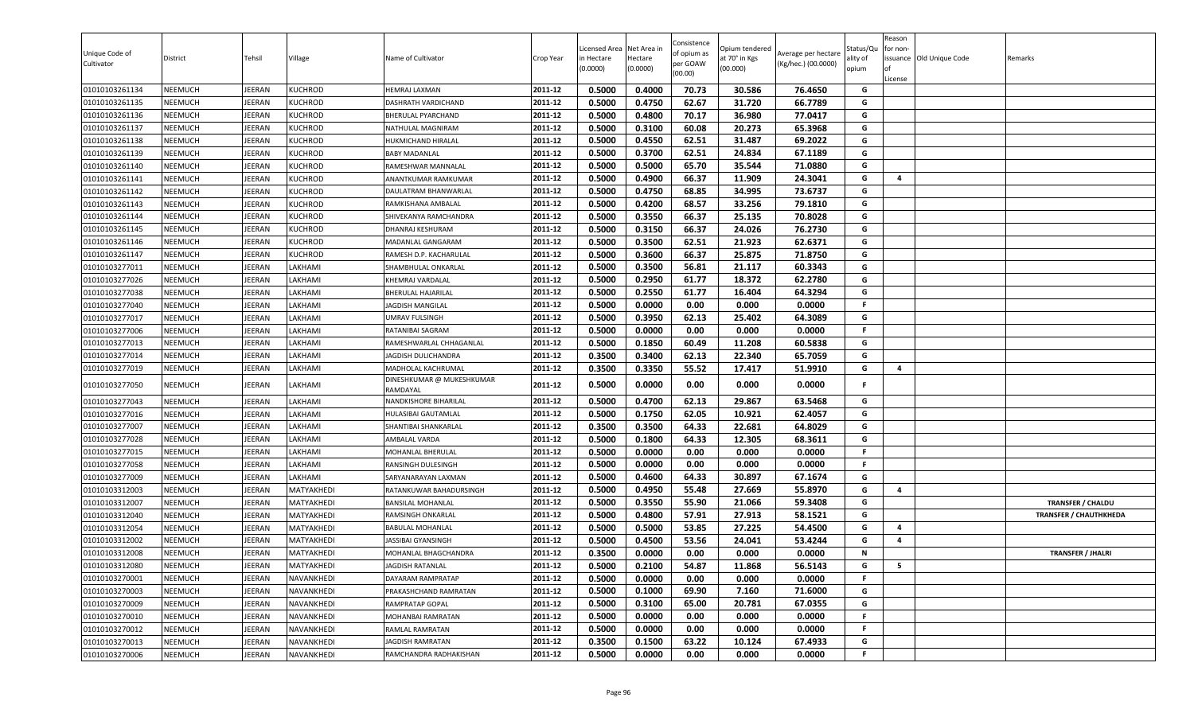| Unique Code of<br>Cultivator | District       | Tehsil        | Village           | Name of Cultivator                    | Crop Year | Licensed Area<br>in Hectare<br>(0.0000) | Net Area in<br>Hectare<br>(0.0000) | Consistence<br>of opium as<br>per GOAW<br>(00.00) | )pium tendered<br>at 70° in Kgs<br>(00.000) | Average per hectare<br>(Kg/hec.) (00.0000) | Status/Qเ<br>ality of<br>opium | Reason<br>for non-<br>lof<br>License | issuance Old Unique Code | Remarks                       |
|------------------------------|----------------|---------------|-------------------|---------------------------------------|-----------|-----------------------------------------|------------------------------------|---------------------------------------------------|---------------------------------------------|--------------------------------------------|--------------------------------|--------------------------------------|--------------------------|-------------------------------|
| 01010103261134               | <b>NEEMUCH</b> | <b>JEERAN</b> | <b>KUCHROD</b>    | <b>HEMRAJ LAXMAN</b>                  | 2011-12   | 0.5000                                  | 0.4000                             | 70.73                                             | 30.586                                      | 76.4650                                    | G                              |                                      |                          |                               |
| 01010103261135               | <b>NEEMUCH</b> | JEERAN        | <b>KUCHROD</b>    | DASHRATH VARDICHAND                   | 2011-12   | 0.5000                                  | 0.4750                             | 62.67                                             | 31.720                                      | 66.7789                                    | G                              |                                      |                          |                               |
| 01010103261136               | NEEMUCH        | JEERAN        | <b>KUCHROD</b>    | BHERULAL PYARCHAND                    | 2011-12   | 0.5000                                  | 0.4800                             | 70.17                                             | 36.980                                      | 77.0417                                    | G                              |                                      |                          |                               |
| 01010103261137               | <b>NEEMUCH</b> | JEERAN        | <b>KUCHROD</b>    | NATHULAL MAGNIRAM                     | 2011-12   | 0.5000                                  | 0.3100                             | 60.08                                             | 20.273                                      | 65.3968                                    | G                              |                                      |                          |                               |
| 01010103261138               | <b>NEEMUCH</b> | JEERAN        | <b>KUCHROD</b>    | HUKMICHAND HIRALAL                    | 2011-12   | 0.5000                                  | 0.4550                             | 62.51                                             | 31.487                                      | 69.2022                                    | G                              |                                      |                          |                               |
| 01010103261139               | <b>NEEMUCH</b> | JEERAN        | <b>KUCHROD</b>    | <b>BABY MADANLAL</b>                  | 2011-12   | 0.5000                                  | 0.3700                             | 62.51                                             | 24.834                                      | 67.1189                                    | G                              |                                      |                          |                               |
| 01010103261140               | <b>NEEMUCH</b> | <b>JEERAN</b> | <b>KUCHROD</b>    | RAMESHWAR MANNALAL                    | 2011-12   | 0.5000                                  | 0.5000                             | 65.70                                             | 35.544                                      | 71.0880                                    | G                              |                                      |                          |                               |
| 01010103261141               | <b>NEEMUCH</b> | JEERAN        | <b>KUCHROD</b>    | ANANTKUMAR RAMKUMAR                   | 2011-12   | 0.5000                                  | 0.4900                             | 66.37                                             | 11.909                                      | 24.3041                                    | G                              | 4                                    |                          |                               |
| 01010103261142               | <b>NEEMUCH</b> | <b>JEERAN</b> | <b>KUCHROD</b>    | DAULATRAM BHANWARLAL                  | 2011-12   | 0.5000                                  | 0.4750                             | 68.85                                             | 34.995                                      | 73.6737                                    | G                              |                                      |                          |                               |
| 01010103261143               | <b>NEEMUCH</b> | JEERAN        | <b>KUCHROD</b>    | RAMKISHANA AMBALAI                    | 2011-12   | 0.5000                                  | 0.4200                             | 68.57                                             | 33.256                                      | 79.1810                                    | G                              |                                      |                          |                               |
| 01010103261144               | NEEMUCH        | <b>JEERAN</b> | <b>KUCHROD</b>    | SHIVEKANYA RAMCHANDRA                 | 2011-12   | 0.5000                                  | 0.3550                             | 66.37                                             | 25.135                                      | 70.8028                                    | G                              |                                      |                          |                               |
| 01010103261145               | <b>NEEMUCH</b> | JEERAN        | <b>KUCHROD</b>    | DHANRAJ KESHURAM                      | 2011-12   | 0.5000                                  | 0.3150                             | 66.37                                             | 24.026                                      | 76.2730                                    | G                              |                                      |                          |                               |
| 01010103261146               | <b>NEEMUCH</b> | JEERAN        | <b>KUCHROD</b>    | MADANLAL GANGARAM                     | 2011-12   | 0.5000                                  | 0.3500                             | 62.51                                             | 21.923                                      | 62.6371                                    | G                              |                                      |                          |                               |
| 01010103261147               | <b>NEEMUCH</b> | JEERAN        | <b>KUCHROD</b>    | RAMESH D.P. KACHARULAL                | 2011-12   | 0.5000                                  | 0.3600                             | 66.37                                             | 25.875                                      | 71.8750                                    | G                              |                                      |                          |                               |
| 01010103277011               | <b>NEEMUCH</b> | JEERAN        | LAKHAMI           | SHAMBHULAL ONKARLAL                   | 2011-12   | 0.5000                                  | 0.3500                             | 56.81                                             | 21.117                                      | 60.3343                                    | G                              |                                      |                          |                               |
| 01010103277026               | <b>NEEMUCH</b> | <b>JEERAN</b> | LAKHAMI           | KHEMRAJ VARDALAL                      | 2011-12   | 0.5000                                  | 0.2950                             | 61.77                                             | 18.372                                      | 62.2780                                    | G                              |                                      |                          |                               |
| 01010103277038               | <b>NEEMUCH</b> | JEERAN        | LAKHAMI           | BHERULAL HAJARILAL                    | 2011-12   | 0.5000                                  | 0.2550                             | 61.77                                             | 16.404                                      | 64.3294                                    | G                              |                                      |                          |                               |
| 01010103277040               | <b>NEEMUCH</b> | JEERAN        | LAKHAMI           | JAGDISH MANGILAL                      | 2011-12   | 0.5000                                  | 0.0000                             | 0.00                                              | 0.000                                       | 0.0000                                     | F.                             |                                      |                          |                               |
| 01010103277017               | <b>NEEMUCH</b> | JEERAN        | LAKHAMI           | UMRAV FULSINGH                        | 2011-12   | 0.5000                                  | 0.3950                             | 62.13                                             | 25.402                                      | 64.3089                                    | G                              |                                      |                          |                               |
| 01010103277006               | <b>NEEMUCH</b> | <b>JEERAN</b> | LAKHAMI           | RATANIBAI SAGRAM                      | 2011-12   | 0.5000                                  | 0.0000                             | 0.00                                              | 0.000                                       | 0.0000                                     | F.                             |                                      |                          |                               |
| 01010103277013               | <b>NEEMUCH</b> | JEERAN        | LAKHAMI           | RAMESHWARLAL CHHAGANLAL               | 2011-12   | 0.5000                                  | 0.1850                             | 60.49                                             | 11.208                                      | 60.5838                                    | G                              |                                      |                          |                               |
| 01010103277014               | <b>NEEMUCH</b> | JEERAN        | LAKHAMI           | JAGDISH DULICHANDRA                   | 2011-12   | 0.3500                                  | 0.3400                             | 62.13                                             | 22.340                                      | 65.7059                                    | G                              |                                      |                          |                               |
| 01010103277019               | <b>NEEMUCH</b> | <b>JEERAN</b> | LAKHAMI           | MADHOLAL KACHRUMAL                    | 2011-12   | 0.3500                                  | 0.3350                             | 55.52                                             | 17.417                                      | 51.9910                                    | G                              | -4                                   |                          |                               |
| 01010103277050               | <b>NEEMUCH</b> | <b>JEERAN</b> | LAKHAMI           | DINESHKUMAR @ MUKESHKUMAR<br>RAMDAYAL | 2011-12   | 0.5000                                  | 0.0000                             | 0.00                                              | 0.000                                       | 0.0000                                     | F                              |                                      |                          |                               |
| 01010103277043               | <b>NEEMUCH</b> | JEERAN        | LAKHAMI           | NANDKISHORE BIHARILAL                 | 2011-12   | 0.5000                                  | 0.4700                             | 62.13                                             | 29.867                                      | 63.5468                                    | G                              |                                      |                          |                               |
| 01010103277016               | <b>NEEMUCH</b> | JEERAN        | LAKHAMI           | HULASIBAI GAUTAMLAL                   | 2011-12   | 0.5000                                  | 0.1750                             | 62.05                                             | 10.921                                      | 62.4057                                    | G                              |                                      |                          |                               |
| 01010103277007               | <b>NEEMUCH</b> | JEERAN        | LAKHAMI           | SHANTIBAI SHANKARLAL                  | 2011-12   | 0.3500                                  | 0.3500                             | 64.33                                             | 22.681                                      | 64.8029                                    | G                              |                                      |                          |                               |
| 01010103277028               | <b>NEEMUCH</b> | JEERAN        | LAKHAMI           | AMBALAL VARDA                         | 2011-12   | 0.5000                                  | 0.1800                             | 64.33                                             | 12.305                                      | 68.3611                                    | G                              |                                      |                          |                               |
| 01010103277015               | <b>NEEMUCH</b> | <b>JEERAN</b> | LAKHAMI           | MOHANLAL BHERULAL                     | 2011-12   | 0.5000                                  | 0.0000                             | 0.00                                              | 0.000                                       | 0.0000                                     | F.                             |                                      |                          |                               |
| 01010103277058               | <b>NEEMUCH</b> | <b>JEERAN</b> | LAKHAMI           | RANSINGH DULESINGH                    | 2011-12   | 0.5000                                  | 0.0000                             | 0.00                                              | 0.000                                       | 0.0000                                     | F.                             |                                      |                          |                               |
| 01010103277009               | <b>NEEMUCH</b> | JEERAN        | LAKHAMI           | SARYANARAYAN LAXMAN                   | 2011-12   | 0.5000                                  | 0.4600                             | 64.33                                             | 30.897                                      | 67.1674                                    | G                              |                                      |                          |                               |
| 01010103312003               | <b>NEEMUCH</b> | <b>JEERAN</b> | MATYAKHEDI        | RATANKUWAR BAHADURSINGH               | 2011-12   | 0.5000                                  | 0.4950                             | 55.48                                             | 27.669                                      | 55.8970                                    | G                              | 4                                    |                          |                               |
| 01010103312007               | <b>NEEMUCH</b> | JEERAN        | MATYAKHEDI        | <b>BANSILAL MOHANLAL</b>              | 2011-12   | 0.5000                                  | 0.3550                             | 55.90                                             | 21.066                                      | 59.3408                                    | G                              |                                      |                          | <b>TRANSFER / CHALDU</b>      |
| 01010103312040               | <b>NEEMUCH</b> | JEERAN        | MATYAKHEDI        | RAMSINGH ONKARLAL                     | 2011-12   | 0.5000                                  | 0.4800                             | 57.91                                             | 27.913                                      | 58.1521                                    | G                              |                                      |                          | <b>TRANSFER / CHAUTHKHEDA</b> |
| 01010103312054               | <b>NEEMUCH</b> | JEERAN        | MATYAKHEDI        | <b>BABULAL MOHANLAL</b>               | 2011-12   | 0.5000                                  | 0.5000                             | 53.85                                             | 27.225                                      | 54.4500                                    | G                              | $\overline{\mathbf{4}}$              |                          |                               |
| 01010103312002               | <b>NEEMUCH</b> | JEERAN        | MATYAKHEDI        | JASSIBAI GYANSINGH                    | 2011-12   | 0.5000                                  | 0.4500                             | 53.56                                             | 24.041                                      | 53.4244                                    | G                              | 4                                    |                          |                               |
| 01010103312008               | <b>NEEMUCH</b> | <b>JEERAN</b> | MATYAKHEDI        | MOHANLAL BHAGCHANDRA                  | 2011-12   | 0.3500                                  | 0.0000                             | 0.00                                              | 0.000                                       | 0.0000                                     | N                              |                                      |                          | <b>TRANSFER / JHALRI</b>      |
| 01010103312080               | <b>NEEMUCH</b> | JEERAN        | MATYAKHEDI        | JAGDISH RATANLAL                      | 2011-12   | 0.5000                                  | 0.2100                             | 54.87                                             | 11.868                                      | 56.5143                                    | G                              | 5                                    |                          |                               |
| 01010103270001               | <b>NEEMUCH</b> | JEERAN        | NAVANKHEDI        | DAYARAM RAMPRATAP                     | 2011-12   | 0.5000                                  | 0.0000                             | 0.00                                              | 0.000                                       | 0.0000                                     | F.                             |                                      |                          |                               |
| 01010103270003               | <b>NEEMUCH</b> | JEERAN        | <b>NAVANKHEDI</b> | PRAKASHCHAND RAMRATAN                 | 2011-12   | 0.5000                                  | 0.1000                             | 69.90                                             | 7.160                                       | 71.6000                                    | G                              |                                      |                          |                               |
| 01010103270009               | <b>NEEMUCH</b> | JEERAN        | NAVANKHEDI        | RAMPRATAP GOPAL                       | 2011-12   | 0.5000                                  | 0.3100                             | 65.00                                             | 20.781                                      | 67.0355                                    | G                              |                                      |                          |                               |
| 01010103270010               | <b>NEEMUCH</b> | JEERAN        | <b>NAVANKHEDI</b> | MOHANBAI RAMRATAN                     | 2011-12   | 0.5000                                  | 0.0000                             | 0.00                                              | 0.000                                       | 0.0000                                     | F                              |                                      |                          |                               |
| 01010103270012               | <b>NEEMUCH</b> | <b>JEERAN</b> | NAVANKHEDI        | RAMLAL RAMRATAN                       | 2011-12   | 0.5000                                  | 0.0000                             | 0.00                                              | 0.000                                       | 0.0000                                     | F.                             |                                      |                          |                               |
| 01010103270013               | <b>NEEMUCH</b> | JEERAN        | NAVANKHEDI        | JAGDISH RAMRATAN                      | 2011-12   | 0.3500                                  | 0.1500                             | 63.22                                             | 10.124                                      | 67.4933                                    | G                              |                                      |                          |                               |
| 01010103270006               | <b>NEEMUCH</b> | JEERAN        | NAVANKHEDI        | RAMCHANDRA RADHAKISHAN                | 2011-12   | 0.5000                                  | 0.0000                             | 0.00                                              | 0.000                                       | 0.0000                                     | F.                             |                                      |                          |                               |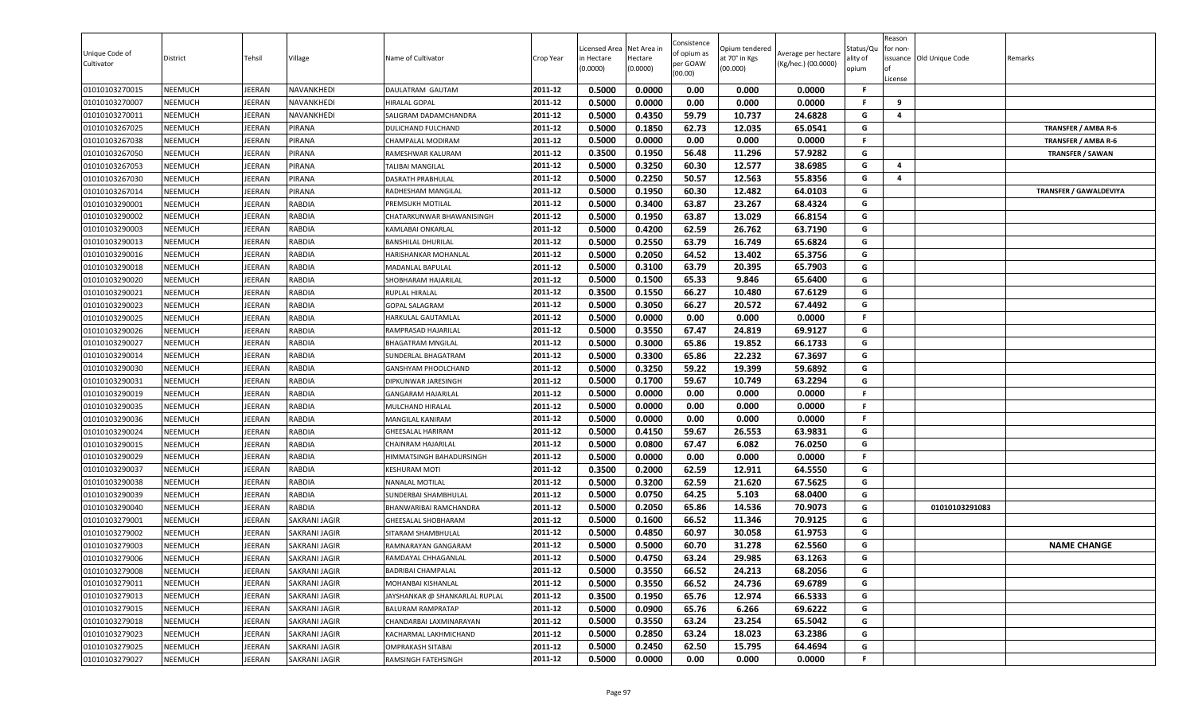| Unique Code of<br>Cultivator | District       | Tehsil        | Village              | Name of Cultivator             | Crop Year | Licensed Area<br>in Hectare<br>(0.0000) | Net Area in<br>Hectare<br>(0.0000) | Consistence<br>of opium as<br>per GOAW<br>(00.00) | Opium tendered<br>at 70° in Kgs<br>(00.000) | Average per hectare<br>(Kg/hec.) (00.0000) | Status/Qu<br>ality of<br>opium | Reason<br>for non-<br>ssuance Old Unique Code<br>License | Remarks                       |
|------------------------------|----------------|---------------|----------------------|--------------------------------|-----------|-----------------------------------------|------------------------------------|---------------------------------------------------|---------------------------------------------|--------------------------------------------|--------------------------------|----------------------------------------------------------|-------------------------------|
| 01010103270015               | <b>NEEMUCH</b> | <b>IEERAN</b> | NAVANKHEDI           | DAULATRAM GAUTAM               | 2011-12   | 0.5000                                  | 0.0000                             | 0.00                                              | 0.000                                       | 0.0000                                     | -F                             |                                                          |                               |
| 01010103270007               | <b>NEEMUCH</b> | EERAN         | NAVANKHEDI           | HIRALAL GOPAL                  | 2011-12   | 0.5000                                  | 0.0000                             | 0.00                                              | 0.000                                       | 0.0000                                     | -F                             | 9                                                        |                               |
| 01010103270011               | <b>NEEMUCH</b> | JEERAN        | NAVANKHEDI           | SALIGRAM DADAMCHANDRA          | 2011-12   | 0.5000                                  | 0.4350                             | 59.79                                             | 10.737                                      | 24.6828                                    | G                              | 4                                                        |                               |
| 01010103267025               | <b>NEEMUCH</b> | JEERAN        | <b>PIRANA</b>        | <b>DULICHAND FULCHAND</b>      | 2011-12   | 0.5000                                  | 0.1850                             | 62.73                                             | 12.035                                      | 65.0541                                    | G                              |                                                          | TRANSFER / AMBA R-6           |
| 01010103267038               | <b>NEEMUCH</b> | JEERAN        | PIRANA               | CHAMPALAL MODIRAM              | 2011-12   | 0.5000                                  | 0.0000                             | 0.00                                              | 0.000                                       | 0.0000                                     | F.                             |                                                          | TRANSFER / AMBA R-6           |
| 01010103267050               | <b>NEEMUCH</b> | <b>IEERAN</b> | PIRANA               | RAMESHWAR KALURAM              | 2011-12   | 0.3500                                  | 0.1950                             | 56.48                                             | 11.296                                      | 57.9282                                    | G                              |                                                          | <b>TRANSFER / SAWAN</b>       |
| 01010103267053               | <b>NEEMUCH</b> | <b>IEERAN</b> | <b>PIRANA</b>        | <b>TALIBAI MANGILAL</b>        | 2011-12   | 0.5000                                  | 0.3250                             | 60.30                                             | 12.577                                      | 38.6985                                    | G                              | 4                                                        |                               |
| 01010103267030               | <b>NEEMUCH</b> | <b>IEERAN</b> | <b>PIRANA</b>        | <b>DASRATH PRABHULAL</b>       | 2011-12   | 0.5000                                  | 0.2250                             | 50.57                                             | 12.563                                      | 55.8356                                    | G                              | 4                                                        |                               |
| 01010103267014               | <b>NEEMUCH</b> | JEERAN        | <b>PIRANA</b>        | RADHESHAM MANGILAL             | 2011-12   | 0.5000                                  | 0.1950                             | 60.30                                             | 12.482                                      | 64.0103                                    | G                              |                                                          | <b>TRANSFER / GAWALDEVIYA</b> |
| 01010103290001               | <b>NEEMUCH</b> | <b>IEERAN</b> | <b>RABDIA</b>        | PREMSUKH MOTILAL               | 2011-12   | 0.5000                                  | 0.3400                             | 63.87                                             | 23.267                                      | 68.4324                                    | G                              |                                                          |                               |
| 01010103290002               | <b>NEEMUCH</b> | EERAN         | <b>RABDIA</b>        | CHATARKUNWAR BHAWANISINGH      | 2011-12   | 0.5000                                  | 0.1950                             | 63.87                                             | 13.029                                      | 66.8154                                    | G                              |                                                          |                               |
| 01010103290003               | <b>NEEMUCH</b> | JEERAN        | <b>RABDIA</b>        | KAMLABAI ONKARLAL              | 2011-12   | 0.5000                                  | 0.4200                             | 62.59                                             | 26.762                                      | 63.7190                                    | G                              |                                                          |                               |
| 01010103290013               | <b>NEEMUCH</b> | JEERAN        | <b>RABDIA</b>        | <b>BANSHILAL DHURILAL</b>      | 2011-12   | 0.5000                                  | 0.2550                             | 63.79                                             | 16.749                                      | 65.6824                                    | G                              |                                                          |                               |
| 01010103290016               | <b>NEEMUCH</b> | <b>IEERAN</b> | <b>RABDIA</b>        | HARISHANKAR MOHANLAL           | 2011-12   | 0.5000                                  | 0.2050                             | 64.52                                             | 13.402                                      | 65.3756                                    | G                              |                                                          |                               |
| 01010103290018               | <b>NEEMUCH</b> | <b>IEERAN</b> | <b>RABDIA</b>        | MADANLAL BAPULAL               | 2011-12   | 0.5000                                  | 0.3100                             | 63.79                                             | 20.395                                      | 65.7903                                    | G                              |                                                          |                               |
| 01010103290020               | <b>NEEMUCH</b> | <b>IEERAN</b> | <b>RABDIA</b>        | SHOBHARAM HAJARILAL            | 2011-12   | 0.5000                                  | 0.1500                             | 65.33                                             | 9.846                                       | 65.6400                                    | G                              |                                                          |                               |
| 01010103290021               | <b>NEEMUCH</b> | <b>IEERAN</b> | <b>RABDIA</b>        | <b>RUPLAL HIRALAL</b>          | 2011-12   | 0.3500                                  | 0.1550                             | 66.27                                             | 10.480                                      | 67.6129                                    | G                              |                                                          |                               |
| 01010103290023               | <b>NEEMUCH</b> | <b>IEERAN</b> | <b>RABDIA</b>        | <b>GOPAL SALAGRAM</b>          | 2011-12   | 0.5000                                  | 0.3050                             | 66.27                                             | 20.572                                      | 67.4492                                    | G                              |                                                          |                               |
| 01010103290025               | <b>NEEMUCH</b> | <b>IEERAN</b> | <b>RABDIA</b>        | HARKULAL GAUTAMLAL             | 2011-12   | 0.5000                                  | 0.0000                             | 0.00                                              | 0.000                                       | 0.0000                                     | <b>F</b>                       |                                                          |                               |
| 01010103290026               | <b>NEEMUCH</b> | <b>IEERAN</b> | <b>RABDIA</b>        | RAMPRASAD HAJARILAL            | 2011-12   | 0.5000                                  | 0.3550                             | 67.47                                             | 24.819                                      | 69.9127                                    | G                              |                                                          |                               |
| 01010103290027               | <b>NEEMUCH</b> | JEERAN        | <b>RABDIA</b>        | <b>BHAGATRAM MNGILAL</b>       | 2011-12   | 0.5000                                  | 0.3000                             | 65.86                                             | 19.852                                      | 66.1733                                    | G                              |                                                          |                               |
| 01010103290014               | <b>NEEMUCH</b> | <b>IEERAN</b> | <b>RABDIA</b>        | SUNDERLAL BHAGATRAM            | 2011-12   | 0.5000                                  | 0.3300                             | 65.86                                             | 22.232                                      | 67.3697                                    | G                              |                                                          |                               |
| 01010103290030               | <b>NEEMUCH</b> | JEERAN        | <b>RABDIA</b>        | GANSHYAM PHOOLCHAND            | 2011-12   | 0.5000                                  | 0.3250                             | 59.22                                             | 19.399                                      | 59.6892                                    | G                              |                                                          |                               |
| 01010103290031               | <b>NEEMUCH</b> | <b>IEERAN</b> | <b>RABDIA</b>        | DIPKUNWAR JARESINGH            | 2011-12   | 0.5000                                  | 0.1700                             | 59.67                                             | 10.749                                      | 63.2294                                    | G                              |                                                          |                               |
| 01010103290019               | <b>NEEMUCH</b> | <b>IEERAN</b> | <b>RABDIA</b>        | <b>GANGARAM HAJARILAL</b>      | 2011-12   | 0.5000                                  | 0.0000                             | 0.00                                              | 0.000                                       | 0.0000                                     | F.                             |                                                          |                               |
| 01010103290035               | <b>NEEMUCH</b> | JEERAN        | <b>RABDIA</b>        | MULCHAND HIRALAL               | 2011-12   | 0.5000                                  | 0.0000                             | 0.00                                              | 0.000                                       | 0.0000                                     | F.                             |                                                          |                               |
| 01010103290036               | <b>NEEMUCH</b> | <b>IEERAN</b> | <b>RABDIA</b>        | <b>MANGILAL KANIRAM</b>        | 2011-12   | 0.5000                                  | 0.0000                             | 0.00                                              | 0.000                                       | 0.0000                                     | -F                             |                                                          |                               |
| 01010103290024               | <b>NEEMUCH</b> | <b>IEERAN</b> | <b>RABDIA</b>        | <b>GHEESALAL HARIRAM</b>       | 2011-12   | 0.5000                                  | 0.4150                             | 59.67                                             | 26.553                                      | 63.9831                                    | G                              |                                                          |                               |
| 01010103290015               | <b>NEEMUCH</b> | <b>IEERAN</b> | <b>RABDIA</b>        | CHAINRAM HAJARILAL             | 2011-12   | 0.5000                                  | 0.0800                             | 67.47                                             | 6.082                                       | 76.0250                                    | G                              |                                                          |                               |
| 01010103290029               | <b>NEEMUCH</b> | <b>IEERAN</b> | <b>RABDIA</b>        | HIMMATSINGH BAHADURSINGH       | 2011-12   | 0.5000                                  | 0.0000                             | 0.00                                              | 0.000                                       | 0.0000                                     | F.                             |                                                          |                               |
| 01010103290037               | <b>NEEMUCH</b> | <b>IEERAN</b> | <b>RABDIA</b>        | <b>KESHURAM MOTI</b>           | 2011-12   | 0.3500                                  | 0.2000                             | 62.59                                             | 12.911                                      | 64.5550                                    | G                              |                                                          |                               |
| 01010103290038               | <b>NEEMUCH</b> | JEERAN        | <b>RABDIA</b>        | NANALAL MOTILAL                | 2011-12   | 0.5000                                  | 0.3200                             | 62.59                                             | 21.620                                      | 67.5625                                    | G                              |                                                          |                               |
| 01010103290039               | <b>NEEMUCH</b> | <b>IEERAN</b> | <b>RABDIA</b>        | <b>SUNDERBAI SHAMBHULAL</b>    | 2011-12   | 0.5000                                  | 0.0750                             | 64.25                                             | 5.103                                       | 68.0400                                    | G                              |                                                          |                               |
| 01010103290040               | <b>NEEMUCH</b> | <b>IEERAN</b> | <b>RABDIA</b>        | BHANWARIBAI RAMCHANDRA         | 2011-12   | 0.5000                                  | 0.2050                             | 65.86                                             | 14.536                                      | 70.9073                                    | G                              | 01010103291083                                           |                               |
| 01010103279001               | <b>NEEMUCH</b> | JEERAN        | <b>SAKRANI JAGIR</b> | <b>GHEESALAL SHOBHARAM</b>     | 2011-12   | 0.5000                                  | 0.1600                             | 66.52                                             | 11.346                                      | 70.9125                                    | G                              |                                                          |                               |
| 01010103279002               | <b>NEEMUCH</b> | <b>IEERAN</b> | SAKRANI JAGIR        | SITARAM SHAMBHULAL             | 2011-12   | 0.5000                                  | 0.4850                             | 60.97                                             | 30.058                                      | 61.9753                                    | G                              |                                                          |                               |
| 01010103279003               | <b>NEEMUCH</b> | <b>IEERAN</b> | SAKRANI JAGIR        | RAMNARAYAN GANGARAM            | 2011-12   | 0.5000                                  | 0.5000                             | 60.70                                             | 31.278                                      | 62.5560                                    | G                              |                                                          | <b>NAME CHANGE</b>            |
| 01010103279006               | <b>NEEMUCH</b> | JEERAN        | SAKRANI JAGIR        | RAMDAYAL CHHAGANLAL            | 2011-12   | 0.5000                                  | 0.4750                             | 63.24                                             | 29.985                                      | 63.1263                                    | G                              |                                                          |                               |
| 01010103279008               | <b>NEEMUCH</b> | JEERAN        | <b>SAKRANI JAGIR</b> | <b>BADRIBAI CHAMPALAL</b>      | 2011-12   | 0.5000                                  | 0.3550                             | 66.52                                             | 24.213                                      | 68.2056                                    | G                              |                                                          |                               |
| 01010103279011               | <b>NEEMUCH</b> | JEERAN        | <b>SAKRANI JAGIR</b> | MOHANBAI KISHANLAL             | 2011-12   | 0.5000                                  | 0.3550                             | 66.52                                             | 24.736                                      | 69.6789                                    | G                              |                                                          |                               |
| 01010103279013               | <b>NEEMUCH</b> | <b>IEERAN</b> | <b>SAKRANI JAGIR</b> | JAYSHANKAR @ SHANKARLAL RUPLAL | 2011-12   | 0.3500                                  | 0.1950                             | 65.76                                             | 12.974                                      | 66.5333                                    | G                              |                                                          |                               |
| 01010103279015               | <b>NEEMUCH</b> | <b>IEERAN</b> | SAKRANI JAGIR        | <b>BALURAM RAMPRATAP</b>       | 2011-12   | 0.5000                                  | 0.0900                             | 65.76                                             | 6.266                                       | 69.6222                                    | G                              |                                                          |                               |
| 01010103279018               | <b>NEEMUCH</b> | <b>IEERAN</b> | <b>SAKRANI JAGIR</b> | CHANDARBAI LAXMINARAYAN        | 2011-12   | 0.5000                                  | 0.3550                             | 63.24                                             | 23.254                                      | 65.5042                                    | G                              |                                                          |                               |
| 01010103279023               | <b>NEEMUCH</b> | JEERAN        | <b>SAKRANI JAGIR</b> | KACHARMAL LAKHMICHAND          | 2011-12   | 0.5000                                  | 0.2850                             | 63.24                                             | 18.023                                      | 63.2386                                    | G                              |                                                          |                               |
| 01010103279025               | <b>NEEMUCH</b> | JEERAN        | <b>SAKRANI JAGIR</b> | <b>OMPRAKASH SITABAI</b>       | 2011-12   | 0.5000                                  | 0.2450                             | 62.50                                             | 15.795                                      | 64.4694                                    | G                              |                                                          |                               |
| 01010103279027               | <b>NEEMUCH</b> | JEERAN        | SAKRANI JAGIR        | RAMSINGH FATEHSINGH            | 2011-12   | 0.5000                                  | 0.0000                             | 0.00                                              | 0.000                                       | 0.0000                                     | F                              |                                                          |                               |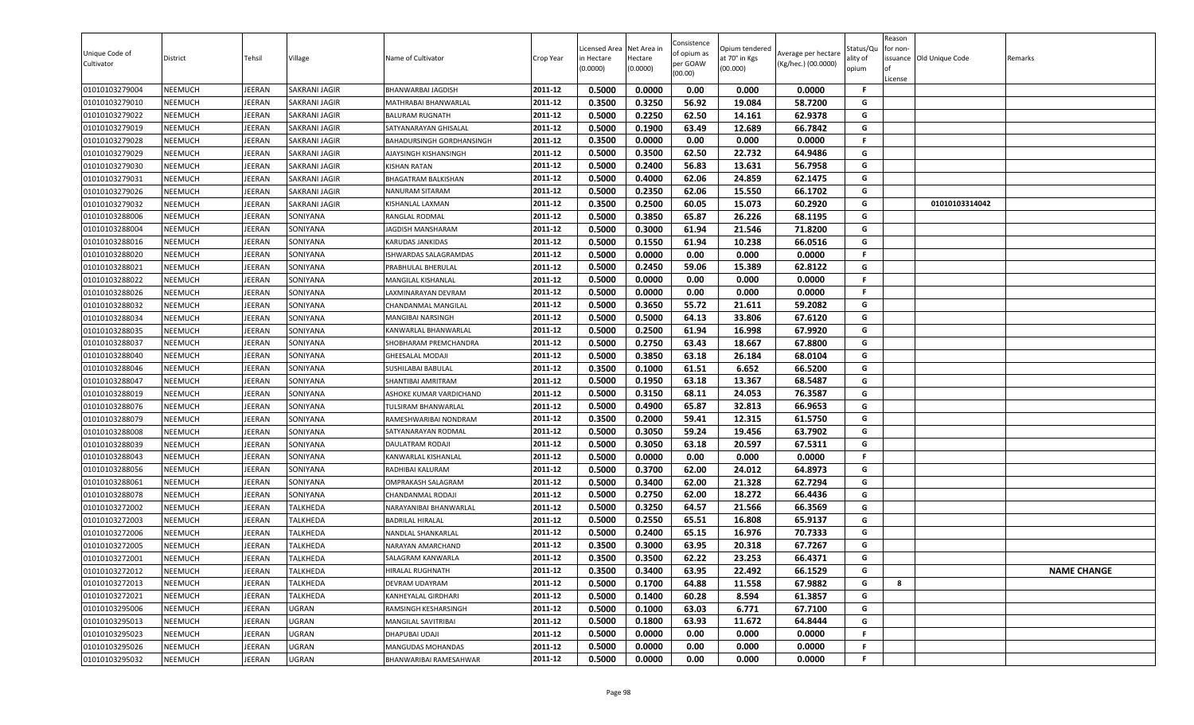| Unique Code of<br>Cultivator     | District                         | Tehsil           | Village              | Name of Cultivator                        | Crop Year          | Licensed Area<br>in Hectare<br>(0.0000) | Net Area in<br>Hectare<br>(0.0000) | Consistence<br>of opium as<br>per GOAW<br>(00.00) | Opium tendered<br>at 70° in Kgs<br>(00.000) | Average per hectare<br>(Kg/hec.) (00.0000) | status/Qι<br>ılity of<br>opium | Reason<br>for non-<br>of<br>License | issuance Old Unique Code | Remarks            |
|----------------------------------|----------------------------------|------------------|----------------------|-------------------------------------------|--------------------|-----------------------------------------|------------------------------------|---------------------------------------------------|---------------------------------------------|--------------------------------------------|--------------------------------|-------------------------------------|--------------------------|--------------------|
| 01010103279004                   | <b>NEEMUCH</b>                   | <b>JEERAN</b>    | SAKRANI JAGIR        | BHANWARBAI JAGDISH                        | 2011-12            | 0.5000                                  | 0.0000                             | 0.00                                              | 0.000                                       | 0.0000                                     | F.                             |                                     |                          |                    |
| 01010103279010                   | NEEMUCH                          | JEERAN           | SAKRANI JAGIR        | MATHRABAI BHANWARLAL                      | 2011-12            | 0.3500                                  | 0.3250                             | 56.92                                             | 19.084                                      | 58.7200                                    | G                              |                                     |                          |                    |
| 01010103279022                   | NEEMUCH                          | JEERAN           | SAKRANI JAGIR        | <b>BALURAM RUGNATH</b>                    | 2011-12            | 0.5000                                  | 0.2250                             | 62.50                                             | 14.161                                      | 62.9378                                    | G                              |                                     |                          |                    |
| 01010103279019                   | NEEMUCH                          | JEERAN           | SAKRANI JAGIR        | SATYANARAYAN GHISALAL                     | 2011-12            | 0.5000                                  | 0.1900                             | 63.49                                             | 12.689                                      | 66.7842                                    | G                              |                                     |                          |                    |
| 01010103279028                   | NEEMUCH                          | JEERAN           | SAKRANI JAGIR        | BAHADURSINGH GORDHANSINGH                 | 2011-12            | 0.3500                                  | 0.0000                             | 0.00                                              | 0.000                                       | 0.0000                                     | F                              |                                     |                          |                    |
| 01010103279029                   | <b>NEEMUCH</b>                   | JEERAN           | SAKRANI JAGIR        | AJAYSINGH KISHANSINGH                     | 2011-12            | 0.5000                                  | 0.3500                             | 62.50                                             | 22.732                                      | 64.9486                                    | G                              |                                     |                          |                    |
| 01010103279030                   | <b>NEEMUCH</b>                   | JEERAN           | SAKRANI JAGIR        | <b>KISHAN RATAN</b>                       | 2011-12            | 0.5000                                  | 0.2400                             | 56.83                                             | 13.631                                      | 56.7958                                    | G                              |                                     |                          |                    |
| 01010103279031                   | <b>NEEMUCH</b>                   | JEERAN           | SAKRANI JAGIR        | BHAGATRAM BALKISHAN                       | 2011-12            | 0.5000                                  | 0.4000                             | 62.06                                             | 24.859                                      | 62.1475                                    | G                              |                                     |                          |                    |
| 01010103279026                   | <b>NEEMUCH</b>                   | JEERAN           | SAKRANI JAGIR        | NANURAM SITARAM                           | 2011-12            | 0.5000                                  | 0.2350                             | 62.06                                             | 15.550                                      | 66.1702                                    | G                              |                                     |                          |                    |
| 01010103279032                   | NEEMUCH                          | <b>JEERAN</b>    | SAKRANI JAGIR        | KISHANLAL LAXMAN                          | 2011-12            | 0.3500                                  | 0.2500                             | 60.05                                             | 15.073                                      | 60.2920                                    | G                              |                                     | 01010103314042           |                    |
| 01010103288006                   | NEEMUCH                          | <b>JEERAN</b>    | SONIYANA             | RANGLAL RODMAL                            | 2011-12            | 0.5000                                  | 0.3850                             | 65.87                                             | 26.226                                      | 68.1195                                    | G                              |                                     |                          |                    |
| 01010103288004                   | NEEMUCH                          | JEERAN           | SONIYANA             | <b>JAGDISH MANSHARAM</b>                  | 2011-12            | 0.5000                                  | 0.3000                             | 61.94                                             | 21.546                                      | 71.8200                                    | G                              |                                     |                          |                    |
| 01010103288016                   | <b>NEEMUCH</b>                   | JEERAN           | SONIYANA             | KARUDAS JANKIDAS                          | 2011-12            | 0.5000                                  | 0.1550                             | 61.94                                             | 10.238                                      | 66.0516                                    | G                              |                                     |                          |                    |
| 01010103288020                   | NEEMUCH                          | JEERAN           | SONIYANA             | ISHWARDAS SALAGRAMDAS                     | 2011-12            | 0.5000                                  | 0.0000                             | 0.00                                              | 0.000                                       | 0.0000                                     | F                              |                                     |                          |                    |
| 01010103288021                   | <b>NEEMUCH</b>                   | JEERAN           | SONIYANA             | PRABHULAL BHERULAL                        | 2011-12<br>2011-12 | 0.5000                                  | 0.2450                             | 59.06                                             | 15.389                                      | 62.8122                                    | G<br>F.                        |                                     |                          |                    |
| 01010103288022<br>01010103288026 | <b>NEEMUCH</b><br><b>NEEMUCH</b> | JEERAN<br>JEERAN | SONIYANA<br>SONIYANA | MANGILAL KISHANLAL<br>LAXMINARAYAN DEVRAM | 2011-12            | 0.5000<br>0.5000                        | 0.0000<br>0.0000                   | 0.00<br>0.00                                      | 0.000<br>0.000                              | 0.0000<br>0.0000                           | F.                             |                                     |                          |                    |
| 01010103288032                   | NEEMUCH                          | <b>JEERAN</b>    | SONIYANA             | CHANDANMAL MANGILAL                       | 2011-12            | 0.5000                                  | 0.3650                             | 55.72                                             | 21.611                                      | 59.2082                                    | G                              |                                     |                          |                    |
| 01010103288034                   | <b>NEEMUCH</b>                   | <b>JEERAN</b>    | SONIYANA             | MANGIBAI NARSINGH                         | 2011-12            | 0.5000                                  | 0.5000                             | 64.13                                             | 33.806                                      | 67.6120                                    | G                              |                                     |                          |                    |
|                                  | NEEMUCH                          | <b>JEERAN</b>    | SONIYANA             | KANWARLAL BHANWARLAL                      | 2011-12            | 0.5000                                  | 0.2500                             | 61.94                                             | 16.998                                      | 67.9920                                    | G                              |                                     |                          |                    |
| 01010103288035<br>01010103288037 | NEEMUCH                          | JEERAN           | SONIYANA             | SHOBHARAM PREMCHANDRA                     | 2011-12            | 0.5000                                  | 0.2750                             | 63.43                                             | 18.667                                      | 67.8800                                    | G                              |                                     |                          |                    |
| 01010103288040                   | <b>NEEMUCH</b>                   | JEERAN           | SONIYANA             | <b>GHEESALAL MODAJI</b>                   | 2011-12            | 0.5000                                  | 0.3850                             | 63.18                                             | 26.184                                      | 68.0104                                    | G                              |                                     |                          |                    |
| 01010103288046                   | <b>NEEMUCH</b>                   | JEERAN           | SONIYANA             | SUSHILABAI BABULAL                        | 2011-12            | 0.3500                                  | 0.1000                             | 61.51                                             | 6.652                                       | 66.5200                                    | G                              |                                     |                          |                    |
| 01010103288047                   | <b>NEEMUCH</b>                   | JEERAN           | SONIYANA             | SHANTIBAI AMRITRAM                        | 2011-12            | 0.5000                                  | 0.1950                             | 63.18                                             | 13.367                                      | 68.5487                                    | G                              |                                     |                          |                    |
| 01010103288019                   | <b>NEEMUCH</b>                   | JEERAN           | SONIYANA             | ASHOKE KUMAR VARDICHAND                   | 2011-12            | 0.5000                                  | 0.3150                             | 68.11                                             | 24.053                                      | 76.3587                                    | G                              |                                     |                          |                    |
| 01010103288076                   | <b>NEEMUCH</b>                   | JEERAN           | SONIYANA             | TULSIRAM BHANWARLAL                       | 2011-12            | 0.5000                                  | 0.4900                             | 65.87                                             | 32.813                                      | 66.9653                                    | G                              |                                     |                          |                    |
| 01010103288079                   | NEEMUCH                          | JEERAN           | SONIYANA             | RAMESHWARIBAI NONDRAM                     | 2011-12            | 0.3500                                  | 0.2000                             | 59.41                                             | 12.315                                      | 61.5750                                    | G                              |                                     |                          |                    |
| 01010103288008                   | NEEMUCH                          | JEERAN           | SONIYANA             | SATYANARAYAN RODMAL                       | 2011-12            | 0.5000                                  | 0.3050                             | 59.24                                             | 19.456                                      | 63.7902                                    | G                              |                                     |                          |                    |
| 01010103288039                   | NEEMUCH                          | JEERAN           | SONIYANA             | DAULATRAM RODAJI                          | 2011-12            | 0.5000                                  | 0.3050                             | 63.18                                             | 20.597                                      | 67.5311                                    | G                              |                                     |                          |                    |
| 01010103288043                   | NEEMUCH                          | JEERAN           | SONIYANA             | KANWARLAL KISHANLAL                       | 2011-12            | 0.5000                                  | 0.0000                             | 0.00                                              | 0.000                                       | 0.0000                                     | F                              |                                     |                          |                    |
| 01010103288056                   | <b>NEEMUCH</b>                   | JEERAN           | SONIYANA             | RADHIBAI KALURAM                          | 2011-12            | 0.5000                                  | 0.3700                             | 62.00                                             | 24.012                                      | 64.8973                                    | G                              |                                     |                          |                    |
| 01010103288061                   | <b>NEEMUCH</b>                   | JEERAN           | SONIYANA             | OMPRAKASH SALAGRAM                        | 2011-12            | 0.5000                                  | 0.3400                             | 62.00                                             | 21.328                                      | 62.7294                                    | G                              |                                     |                          |                    |
| 01010103288078                   | <b>NEEMUCH</b>                   | JEERAN           | SONIYANA             | CHANDANMAL RODAJI                         | 2011-12            | 0.5000                                  | 0.2750                             | 62.00                                             | 18.272                                      | 66.4436                                    | G                              |                                     |                          |                    |
| 01010103272002                   | NEEMUCH                          | <b>JEERAN</b>    | TALKHEDA             | NARAYANIBAI BHANWARLAL                    | 2011-12            | 0.5000                                  | 0.3250                             | 64.57                                             | 21.566                                      | 66.3569                                    | G                              |                                     |                          |                    |
| 01010103272003                   | <b>NEEMUCH</b>                   | JEERAN           | TALKHEDA             | <b>BADRILAL HIRALAL</b>                   | 2011-12            | 0.5000                                  | 0.2550                             | 65.51                                             | 16.808                                      | 65.9137                                    | G                              |                                     |                          |                    |
| 01010103272006                   | NEEMUCH                          | <b>JEERAN</b>    | TALKHEDA             | NANDLAL SHANKARLAL                        | 2011-12            | 0.5000                                  | 0.2400                             | 65.15                                             | 16.976                                      | 70.7333                                    | G                              |                                     |                          |                    |
| 01010103272005                   | NEEMUCH                          | <b>JEERAN</b>    | TALKHEDA             | NARAYAN AMARCHAND                         | 2011-12            | 0.3500                                  | 0.3000                             | 63.95                                             | 20.318                                      | 67.7267                                    | G                              |                                     |                          |                    |
| 01010103272001                   | NEEMUCH                          | <b>JEERAN</b>    | TALKHEDA             | SALAGRAM KANWARLA                         | 2011-12            | 0.3500                                  | 0.3500                             | 62.22                                             | 23.253                                      | 66.4371                                    | G                              |                                     |                          |                    |
| 01010103272012                   | NEEMUCH                          | JEERAN           | TALKHEDA             | HIRALAL RUGHNATH                          | 2011-12            | 0.3500                                  | 0.3400                             | 63.95                                             | 22.492                                      | 66.1529                                    | G                              |                                     |                          | <b>NAME CHANGE</b> |
| 01010103272013                   | NEEMUCH                          | JEERAN           | TALKHEDA             | DEVRAM UDAYRAM                            | 2011-12            | 0.5000                                  | 0.1700                             | 64.88                                             | 11.558                                      | 67.9882                                    | G                              | 8                                   |                          |                    |
| 01010103272021                   | NEEMUCH                          | JEERAN           | TALKHEDA             | KANHEYALAL GIRDHARI                       | 2011-12            | 0.5000                                  | 0.1400                             | 60.28                                             | 8.594                                       | 61.3857                                    | G                              |                                     |                          |                    |
| 01010103295006                   | NEEMUCH                          | JEERAN           | UGRAN                | RAMSINGH KESHARSINGH                      | 2011-12            | 0.5000                                  | 0.1000                             | 63.03                                             | 6.771                                       | 67.7100                                    | G                              |                                     |                          |                    |
| 01010103295013                   | <b>NEEMUCH</b>                   | JEERAN           | UGRAN                | MANGILAL SAVITRIBAI                       | 2011-12            | 0.5000                                  | 0.1800                             | 63.93                                             | 11.672                                      | 64.8444                                    | G                              |                                     |                          |                    |
| 01010103295023                   | <b>NEEMUCH</b>                   | JEERAN           | UGRAN                | DHAPUBAI UDAJI                            | 2011-12            | 0.5000                                  | 0.0000                             | 0.00                                              | 0.000                                       | 0.0000                                     | F                              |                                     |                          |                    |
| 01010103295026                   | <b>NEEMUCH</b>                   | JEERAN           | UGRAN                | MANGUDAS MOHANDAS                         | 2011-12            | 0.5000                                  | 0.0000                             | 0.00                                              | 0.000                                       | 0.0000                                     | F.                             |                                     |                          |                    |
| 01010103295032                   | NEEMUCH                          | JEERAN           | UGRAN                | BHANWARIBAI RAMESAHWAR                    | 2011-12            | 0.5000                                  | 0.0000                             | 0.00                                              | 0.000                                       | 0.0000                                     | F                              |                                     |                          |                    |